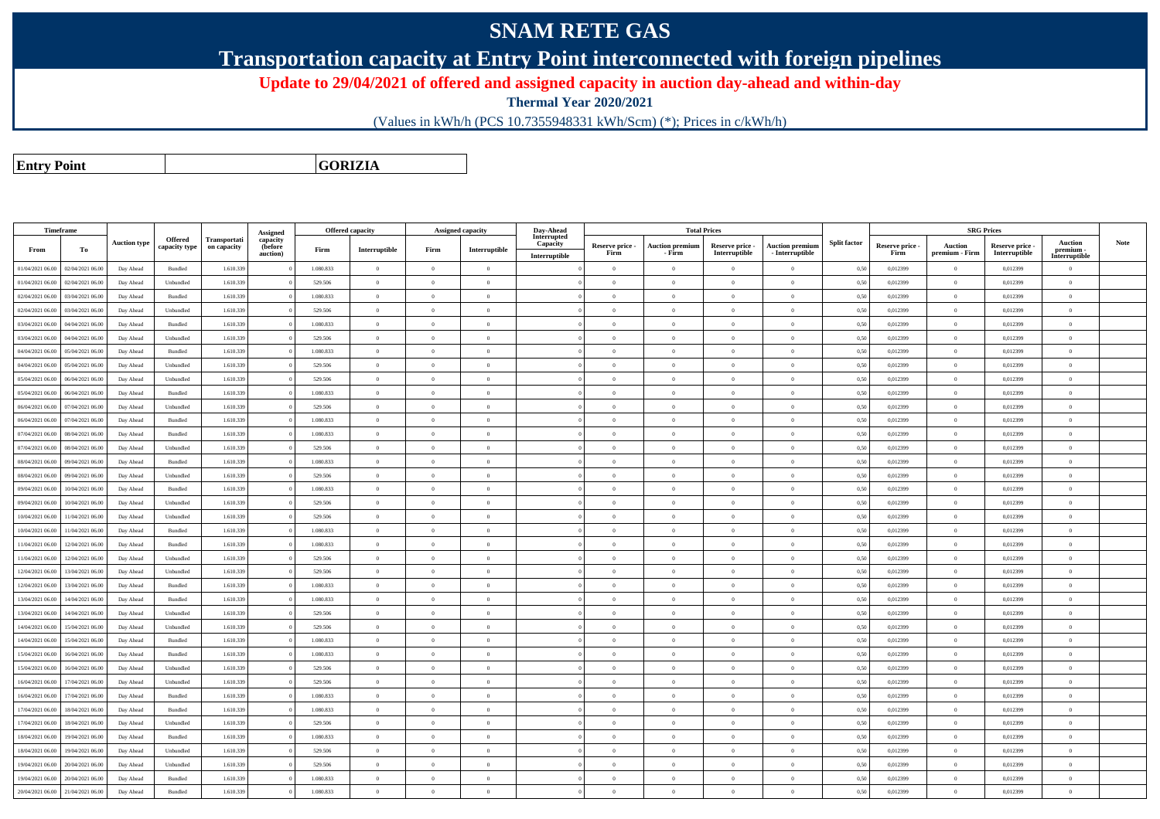## **SNAM RETE GAS**

**Transportation capacity at Entry Point interconnected with foreign pipelines**

**Update to 29/04/2021 of offered and assigned capacity in auction day-ahead and within-day**

**Thermal Year 2020/2021**

(Values in kWh/h (PCS 10.7355948331 kWh/Scm) (\*); Prices in c/kWh/h)

**Entry Point**

**GORIZIA**

| Timeframe        |                  |                     |                                 |                             | Assigned            |           | <b>Offered capacity</b> | Assigned capacity |                                         | Day-Ahead               |                 |                        | <b>Total Prices</b> |                        |                     |                 | <b>SRG Prices</b> |               |                            |             |
|------------------|------------------|---------------------|---------------------------------|-----------------------------|---------------------|-----------|-------------------------|-------------------|-----------------------------------------|-------------------------|-----------------|------------------------|---------------------|------------------------|---------------------|-----------------|-------------------|---------------|----------------------------|-------------|
|                  |                  | <b>Auction type</b> | <b>Offered</b><br>capacity type | Transportati<br>on capacity | capacity<br>(before |           |                         |                   |                                         | Interrupted<br>Capacity | Reserve price - | <b>Auction premiun</b> | Reserve price -     | <b>Auction premiun</b> | <b>Split factor</b> | Reserve price - | <b>Auction</b>    | Reserve price | <b>Auction</b>             | <b>Note</b> |
| From             | To               |                     |                                 |                             | auction)            | Firm      | Interruptible           | Firm              | $\label{prop:1} \textbf{Interruptible}$ | Interruptible           | Firm            | - Firm                 | Interruptible       | $-$ Interruptible      |                     | Firm            | premium - Firm    | Interruptible | premium -<br>Interruptible |             |
| 01/04/2021 06.00 | 02/04/2021 06:00 | Day Ahead           | Bundled                         | 1.610.33                    |                     | 1.080.833 | $\overline{0}$          | $\theta$          | $\overline{0}$                          |                         | $\overline{0}$  | $\theta$               | $\Omega$            | $\overline{0}$         | 0,50                | 0,012399        | $\theta$          | 0,012399      | $\Omega$                   |             |
| 01/04/2021 06:00 | 02/04/2021 06:00 | Day Ahead           | Unbundled                       | 1.610.339                   |                     | 529.506   | $\bf{0}$                | $\Omega$          | $\overline{0}$                          |                         | $\overline{0}$  | $\overline{0}$         | $\bf{0}$            | $\,$ 0                 | 0,50                | 0,012399        | $\overline{0}$    | 0,012399      | $\overline{0}$             |             |
| 02/04/2021 06:00 | 03/04/2021 06.00 | Day Ahead           | Bundled                         | 1.610.33                    |                     | 1.080.833 | $\overline{0}$          | $\Omega$          | $\theta$                                |                         | $\theta$        | $\theta$               | $\theta$            | $\mathbf{0}$           | 0,50                | 0,012399        | $\overline{0}$    | 0,012399      | $\Omega$                   |             |
| 02/04/2021 06:00 | 03/04/2021 06:00 | Day Ahead           | Unbundled                       | 1.610.339                   |                     | 529.506   | $\overline{0}$          | $\Omega$          | $\bf{0}$                                |                         | $\bf{0}$        | $\theta$               | $\overline{0}$      | $\,0\,$                | 0,50                | 0,012399        | $\overline{0}$    | 0,012399      | $\mathbf{0}$               |             |
| 03/04/2021 06:00 | 04/04/2021 06.00 | Day Ahead           | Bundled                         | 1.610.33                    |                     | 1.080.833 | $\overline{0}$          | $\Omega$          | $\theta$                                |                         | $\theta$        | $\theta$               | $\theta$            | $\mathbf{0}$           | 0,50                | 0,012399        | $\overline{0}$    | 0,012399      | $\mathbf{0}$               |             |
| 03/04/2021 06:00 | 04/04/2021 06.00 | Day Ahead           | Unbundled                       | 1.610.33                    |                     | 529.506   | $\overline{0}$          | $\Omega$          | $\theta$                                |                         | $\theta$        | $\theta$               | $\overline{0}$      | $\overline{0}$         | 0,50                | 0,012399        | $\overline{0}$    | 0,012399      | $\Omega$                   |             |
| 04/04/2021 06:00 | 05/04/2021 06:00 | Day Ahead           | $\mathbf B$ undled              | 1.610.33                    |                     | 1.080.833 | $\overline{0}$          | $\overline{0}$    | $\theta$                                |                         | $\theta$        | $\theta$               | $\overline{0}$      | $\overline{0}$         | 0,50                | 0,012399        | $\overline{0}$    | 0,012399      | $\mathbf{0}$               |             |
| 04/04/2021 06:00 | 05/04/2021 06:00 | Day Ahead           | Unbundled                       | 1.610.339                   |                     | 529.506   | $\overline{0}$          | $\Omega$          | $\Omega$                                |                         | $\theta$        | $\theta$               | $\overline{0}$      | $\theta$               | 0,50                | 0,012399        | $\overline{0}$    | 0,012399      | $\Omega$                   |             |
| 05/04/2021 06:00 | 06/04/2021 06:00 | Day Ahead           | Unbundled                       | 1.610.339                   |                     | 529.506   | $\mathbf{0}$            | $\Omega$          | $\theta$                                |                         | $\theta$        |                        | $\theta$            | $\theta$               | 0,50                | 0,012399        | $\overline{0}$    | 0,012399      | $\theta$                   |             |
| 05/04/2021 06:00 | 06/04/2021 06:00 | Day Ahead           | Bundled                         | 1.610.339                   |                     | 1.080.833 | $\overline{0}$          | $\Omega$          | $\theta$                                |                         | $\theta$        | $\theta$               | $\overline{0}$      | $\overline{0}$         | 0,50                | 0,012399        | $\overline{0}$    | 0,012399      | $\theta$                   |             |
| 06/04/2021 06:00 | 07/04/2021 06.00 | Day Ahead           | Unbundled                       | 1.610.339                   |                     | 529.506   | $\mathbf{0}$            | $\Omega$          | $\theta$                                |                         | $\theta$        | $\theta$               | $\overline{0}$      | $\mathbf{0}$           | 0,50                | 0,012399        | $\overline{0}$    | 0,012399      | $\theta$                   |             |
| 06/04/2021 06:00 | 07/04/2021 06:00 | Day Ahead           | Bundled                         | 1.610.339                   |                     | 1.080.833 | $\overline{0}$          | $\Omega$          | $\Omega$                                |                         | $\theta$        | $\theta$               | $\Omega$            | $\theta$               | 0,50                | 0,012399        | $\overline{0}$    | 0.012399      | $\Omega$                   |             |
| 07/04/2021 06:00 | 08/04/2021 06:00 | Day Ahead           | Bundled                         | 1.610.339                   |                     | 1.080.833 | $\overline{0}$          | $\Omega$          | $\Omega$                                |                         | $\Omega$        | $\theta$               | $\Omega$            | $\Omega$               | 0.50                | 0.012399        | $\overline{0}$    | 0.012399      | $\Omega$                   |             |
| 07/04/2021 06:00 | 08/04/2021 06:00 | Day Ahead           | $\label{thm:undl} Unbundle$     | 1.610.339                   |                     | 529.506   | $\overline{0}$          | $\Omega$          | $\Omega$                                |                         | $\Omega$        | $\theta$               | $\Omega$            | $\theta$               | 0,50                | 0,012399        | $\overline{0}$    | 0,012399      | $\Omega$                   |             |
| 08/04/2021 06:00 | 09/04/2021 06:00 | Day Ahead           | Bundled                         | 1.610.339                   |                     | 1.080.833 | $\overline{0}$          | $\Omega$          | $\Omega$                                |                         | $\Omega$        | $\theta$               | $\overline{0}$      | $\overline{0}$         | 0.50                | 0.012399        | $\overline{0}$    | 0,012399      | $\Omega$                   |             |
| 08/04/2021 06:00 | 09/04/2021 06.00 | Day Ahead           | Unbundled                       | 1.610.33                    |                     | 529.506   | $\,$ 0                  | $\overline{0}$    | $\theta$                                |                         | $\theta$        | $\theta$               | $\overline{0}$      | $\,$ 0                 | 0,50                | 0,012399        | $\overline{0}$    | 0,012399      | $\mathbf{0}$               |             |
| 09/04/2021 06:00 | 10/04/2021 06:00 | Day Ahead           | <b>Bundled</b>                  | 1.610.339                   |                     | 1.080.833 | $\theta$                | $\Omega$          | $\Omega$                                |                         | $\Omega$        | $\mathbf{a}$           | $\Omega$            | $\Omega$               | 0.50                | 0.012399        | $\overline{0}$    | 0.012399      | $\Omega$                   |             |
| 09/04/2021 06:00 | 10/04/2021 06:00 | Day Ahead           | Unbundled                       | 1.610.33                    |                     | 529.506   | $\,$ 0 $\,$             | $\Omega$          | $\theta$                                |                         | $\theta$        | $\theta$               | $\overline{0}$      | $\mathbf{0}$           | 0,50                | 0,012399        | $\overline{0}$    | 0,012399      | $\Omega$                   |             |
| 10/04/2021 06:00 | 11/04/2021 06.00 | Day Ahead           | Unbundled                       | 1.610.339                   |                     | 529.506   | $\overline{0}$          | $\Omega$          | $\overline{0}$                          |                         | $\theta$        | $\theta$               | $\overline{0}$      | $\overline{0}$         | 0,50                | 0,012399        | $\overline{0}$    | 0,012399      | $\mathbf{0}$               |             |
| 10/04/2021 06:00 | 1/04/2021 06.00  | Day Ahead           | Bundled                         | 1.610.33                    |                     | 1.080.833 | $\,$ 0                  | $\Omega$          | $\theta$                                |                         | $\theta$        | $\theta$               | $\overline{0}$      | $\bf{0}$               | 0,50                | 0,012399        | $\overline{0}$    | 0,012399      | $\Omega$                   |             |
| 11/04/2021 06:00 | 12/04/2021 06.00 | Day Ahead           | Bundled                         | 1.610.339                   |                     | 1.080.833 | $\overline{0}$          | $\Omega$          | $\theta$                                |                         | $\theta$        | $\theta$               | $\overline{0}$      | $\mathbf{0}$           | 0,50                | 0,012399        | $\overline{0}$    | 0,012399      | $\mathbf{0}$               |             |
| 11/04/2021 06:00 | 12/04/2021 06:00 | Day Ahead           | Unbundled                       | 1.610.33                    |                     | 529.506   | $\overline{0}$          | $\overline{0}$    | $\theta$                                |                         | $\theta$        | $\theta$               | $\theta$            | $\mathbf{0}$           | 0,50                | 0,012399        | $\overline{0}$    | 0,012399      | $\mathbf{0}$               |             |
| 12/04/2021 06:00 | 13/04/2021 06.00 | Day Ahead           | Unbundled                       | 1.610.339                   |                     | 529.506   | $\overline{0}$          | $\overline{0}$    | $\overline{0}$                          |                         | $\overline{0}$  | $\overline{0}$         | $\overline{0}$      | $\overline{0}$         | 0,50                | 0,012399        | $\overline{0}$    | 0,012399      | $\overline{0}$             |             |
| 12/04/2021 06:00 | 13/04/2021 06:00 | Day Ahead           | Bundled                         | 1.610.33                    |                     | 1.080.833 | $\overline{0}$          | $\Omega$          | $\Omega$                                |                         | $\Omega$        | $\theta$               | $\overline{0}$      | $\theta$               | 0,50                | 0,012399        | $\overline{0}$    | 0,012399      | $\Omega$                   |             |
| 13/04/2021 06:00 | 14/04/2021 06.00 | Day Ahead           | Bundled                         | 1.610.339                   |                     | 1.080.833 | $\theta$                | $\theta$          | $\theta$                                |                         | $\theta$        | $\theta$               | $\overline{0}$      | $\mathbf{0}$           | 0,50                | 0,012399        | $\overline{0}$    | 0,012399      | $\theta$                   |             |
| 13/04/2021 06:00 | 14/04/2021 06.00 | Day Ahead           | Unbundled                       | 1.610.33                    |                     | 529.506   | $\Omega$                | $\Omega$          | $\theta$                                |                         | $\theta$        | $\theta$               | $\Omega$            | $\theta$               | 0,50                | 0,012399        | $\theta$          | 0,012399      | $\Omega$                   |             |
| 14/04/2021 06:00 | 15/04/2021 06:00 | Day Ahead           | Unbundled                       | 1.610.339                   |                     | 529.506   | $\theta$                | $\theta$          | $\theta$                                |                         | $\theta$        | $\theta$               | $\overline{0}$      | $\mathbf{0}$           | 0,50                | 0,012399        | $\overline{0}$    | 0,012399      | $\mathbf{0}$               |             |
| 14/04/2021 06:00 | 15/04/2021 06:00 | Day Ahead           | Bundled                         | 1.610.339                   |                     | 1.080.833 | $\theta$                | $\Omega$          | $\theta$                                |                         | $\theta$        | $\theta$               | $\theta$            | $\theta$               | 0.50                | 0.012399        | $\overline{0}$    | 0.012399      | $\Omega$                   |             |
| 15/04/2021 06:00 | 16/04/2021 06:00 | Day Ahead           | Bundled                         | 1.610.339                   |                     | 1.080.833 | $\overline{0}$          | $\Omega$          | $\theta$                                |                         | $\theta$        | $\theta$               | $\overline{0}$      | $\overline{0}$         | 0,50                | 0,012399        | $\overline{0}$    | 0,012399      | $\theta$                   |             |
| 15/04/2021 06:00 | 16/04/2021 06:00 | Day Ahead           | Unbundled                       | 1.610.339                   |                     | 529.506   | $\Omega$                | $\Omega$          | $\Omega$                                |                         | $\theta$        | $\mathbf{a}$           | $\theta$            | $\theta$               | 0,50                | 0.012399        | $\overline{0}$    | 0.012399      | $\Omega$                   |             |
| 16/04/2021 06:00 | 17/04/2021 06.00 | Day Ahead           | Unbundled                       | 1.610.339                   |                     | 529.506   | $\,$ 0 $\,$             | $\theta$          | $\overline{0}$                          |                         | $\overline{0}$  | $\theta$               | $\overline{0}$      | $\theta$               | 0,50                | 0,012399        | $\overline{0}$    | 0,012399      | $\overline{0}$             |             |
| 16/04/2021 06:00 | 17/04/2021 06:00 | Day Ahead           | Bundled                         | 1.610.339                   |                     | 1.080.833 | $\overline{0}$          | $\Omega$          | $\theta$                                |                         | $\Omega$        | $\theta$               | $\overline{0}$      | $\overline{0}$         | 0,50                | 0.012399        | $\overline{0}$    | 0.012399      | $\theta$                   |             |
| 17/04/2021 06:00 | 18/04/2021 06:00 | Day Ahead           | Bundled                         | 1.610.339                   |                     | 1.080.833 | $\theta$                | $\overline{0}$    | $\overline{0}$                          |                         | $\overline{0}$  | $\theta$               | $\overline{0}$      | $\overline{0}$         | 0,50                | 0,012399        | $\overline{0}$    | 0,012399      | $\mathbf{0}$               |             |
| 17/04/2021 06:00 | 18/04/2021 06:00 | Day Ahead           | $\ensuremath{\mathsf{Unb}}$     | 1.610.339                   |                     | 529.506   | $\overline{0}$          | $\Omega$          | $\theta$                                |                         | $\theta$        | $\theta$               | $\Omega$            | $\theta$               | 0,50                | 0,012399        | $\overline{0}$    | 0,012399      | $\Omega$                   |             |
| 18/04/2021 06:00 | 19/04/2021 06.00 | Day Ahead           | Bundled                         | 1.610.339                   |                     | 1.080.833 | $\theta$                | $\theta$          | $\theta$                                |                         | $\theta$        | $\theta$               | $\overline{0}$      | $\theta$               | 0,50                | 0,012399        | $\overline{0}$    | 0,012399      | $\theta$                   |             |
| 18/04/2021 06:00 | 19/04/2021 06:00 | Day Ahead           | Unbundled                       | 1.610.339                   |                     | 529.506   | $\,$ 0 $\,$             | $\Omega$          | $\overline{0}$                          |                         | $\overline{0}$  | $\theta$               | $\bf{0}$            | $\overline{0}$         | 0,50                | 0,012399        | $\overline{0}$    | 0,012399      | $\overline{0}$             |             |
| 19/04/2021 06:00 | 20/04/2021 06.00 | Day Ahead           | Unbundled                       | 1.610.33                    |                     | 529.506   | $\overline{0}$          | $\Omega$          | $\theta$                                |                         | $\theta$        | $\mathbf{a}$           | $\overline{0}$      | $\mathbf{0}$           | 0,50                | 0,012399        | $\overline{0}$    | 0,012399      | $\Omega$                   |             |
| 19/04/2021 06:00 | 20/04/2021 06.00 | Day Ahead           | Bundled                         | 1.610.339                   |                     | 1.080.833 | $\overline{0}$          | $\Omega$          | $\theta$                                |                         | $\overline{0}$  | $\theta$               | $\bf{0}$            | $\overline{0}$         | 0.50                | 0,012399        | $\overline{0}$    | 0.012399      | $\overline{0}$             |             |
| 20/04/2021 06:00 | 21/04/2021 06.00 | Day Ahead           | Bundled                         | 1.610.339                   |                     | 1.080.833 | $\theta$                | $\Omega$          | $\Omega$                                |                         | $\Omega$        |                        | $\Omega$            | $\Omega$               | 0,50                | 0,012399        | $\overline{0}$    | 0,012399      | $\Omega$                   |             |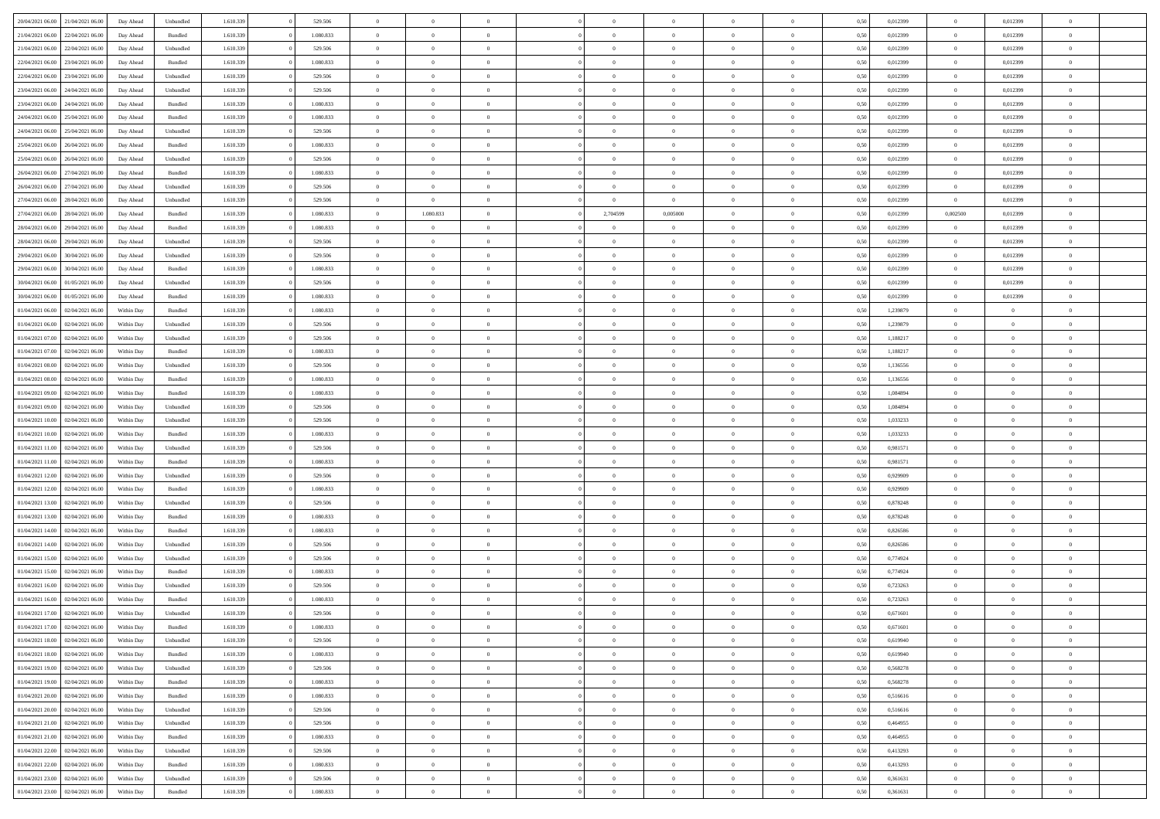| 20/04/2021 06:00 21/04/2021 06:00    | Day Ahead  | Unbundled | 1.610.339 | 529.506   | $\overline{0}$ | $\overline{0}$ | $\Omega$       | $\Omega$       | $\theta$       | $\Omega$       | $\overline{0}$ | 0,50 | 0,012399 | $\theta$       | 0,012399       | $\overline{0}$ |  |
|--------------------------------------|------------|-----------|-----------|-----------|----------------|----------------|----------------|----------------|----------------|----------------|----------------|------|----------|----------------|----------------|----------------|--|
| 21/04/2021 06:00<br>22/04/2021 06:00 | Day Ahead  | Bundled   | 1.610.339 | 1.080.833 | $\overline{0}$ | $\overline{0}$ | $\overline{0}$ | $\overline{0}$ | $\theta$       | $\overline{0}$ | $\bf{0}$       | 0,50 | 0,012399 | $\theta$       | 0,012399       | $\overline{0}$ |  |
| 21/04/2021 06:00<br>22/04/2021 06:00 | Day Ahead  | Unbundled | 1.610.339 | 529.506   | $\overline{0}$ | $\bf{0}$       | $\overline{0}$ | $\overline{0}$ | $\overline{0}$ | $\overline{0}$ | $\bf{0}$       | 0,50 | 0,012399 | $\bf{0}$       | 0,012399       | $\overline{0}$ |  |
| 22/04/2021 06:00<br>23/04/2021 06:00 | Day Ahead  | Bundled   | 1.610.339 | 1.080.833 | $\overline{0}$ | $\overline{0}$ | $\overline{0}$ | $\overline{0}$ | $\theta$       | $\overline{0}$ | $\overline{0}$ | 0.50 | 0.012399 | $\theta$       | 0.012399       | $\overline{0}$ |  |
| 22/04/2021 06:00<br>23/04/2021 06:00 | Day Ahead  | Unbundled | 1.610.339 | 529.506   | $\overline{0}$ | $\overline{0}$ | $\overline{0}$ | $\overline{0}$ | $\theta$       | $\overline{0}$ | $\bf{0}$       | 0,50 | 0,012399 | $\theta$       | 0,012399       | $\overline{0}$ |  |
| 23/04/2021 06:00<br>24/04/2021 06.00 | Day Ahead  | Unbundled | 1.610.339 | 529.506   | $\overline{0}$ | $\bf{0}$       | $\overline{0}$ | $\overline{0}$ | $\overline{0}$ | $\overline{0}$ | $\bf{0}$       | 0,50 | 0,012399 | $\bf{0}$       | 0,012399       | $\bf{0}$       |  |
| 23/04/2021 06:00<br>24/04/2021 06.00 | Day Ahead  | Bundled   | 1.610.339 | 1.080.833 | $\overline{0}$ | $\overline{0}$ | $\overline{0}$ | $\overline{0}$ | $\overline{0}$ | $\overline{0}$ | $\overline{0}$ | 0.5( | 0,012399 | $\overline{0}$ | 0.012399       | $\overline{0}$ |  |
| 24/04/2021 06:00<br>25/04/2021 06:00 | Day Ahead  | Bundled   | 1.610.339 | 1.080.833 | $\overline{0}$ | $\theta$       | $\overline{0}$ | $\overline{0}$ | $\theta$       | $\overline{0}$ | $\bf{0}$       | 0,50 | 0,012399 | $\theta$       | 0,012399       | $\overline{0}$ |  |
|                                      |            |           |           |           |                |                |                |                |                |                |                |      |          |                |                |                |  |
| 24/04/2021 06:00<br>25/04/2021 06.00 | Day Ahead  | Unbundled | 1.610.339 | 529.506   | $\overline{0}$ | $\bf{0}$       | $\overline{0}$ | $\overline{0}$ | $\overline{0}$ | $\overline{0}$ | $\bf{0}$       | 0,50 | 0,012399 | $\bf{0}$       | 0,012399       | $\overline{0}$ |  |
| 25/04/2021 06:00<br>26/04/2021 06:00 | Day Ahead  | Bundled   | 1.610.339 | 1.080.833 | $\overline{0}$ | $\overline{0}$ | $\overline{0}$ | $\overline{0}$ | $\overline{0}$ | $\overline{0}$ | $\overline{0}$ | 0.5( | 0,012399 | $\overline{0}$ | 0,012399       | $\overline{0}$ |  |
| 25/04/2021 06:00<br>26/04/2021 06:00 | Day Ahead  | Unbundled | 1.610.339 | 529.506   | $\overline{0}$ | $\overline{0}$ | $\overline{0}$ | $\overline{0}$ | $\theta$       | $\overline{0}$ | $\bf{0}$       | 0,50 | 0,012399 | $\theta$       | 0,012399       | $\overline{0}$ |  |
| 26/04/2021 06:00<br>27/04/2021 06:00 | Day Ahead  | Bundled   | 1.610.339 | 1.080.833 | $\overline{0}$ | $\bf{0}$       | $\overline{0}$ | $\overline{0}$ | $\overline{0}$ | $\overline{0}$ | $\bf{0}$       | 0,50 | 0,012399 | $\bf{0}$       | 0,012399       | $\overline{0}$ |  |
| 26/04/2021 06:00<br>27/04/2021 06:00 | Day Ahead  | Unbundled | 1.610.339 | 529,506   | $\overline{0}$ | $\overline{0}$ | $\overline{0}$ | $\overline{0}$ | $\theta$       | $\overline{0}$ | $\overline{0}$ | 0.5( | 0.012399 | $\overline{0}$ | 0.012399       | $\overline{0}$ |  |
| 27/04/2021 06:00<br>28/04/2021 06:00 | Day Ahead  | Unbundled | 1.610.339 | 529.506   | $\overline{0}$ | $\theta$       | $\overline{0}$ | $\overline{0}$ | $\overline{0}$ | $\overline{0}$ | $\bf{0}$       | 0,50 | 0,012399 | $\,$ 0 $\,$    | 0,012399       | $\overline{0}$ |  |
| 27/04/2021 06:00<br>28/04/2021 06:00 | Day Ahead  | Bundled   | 1.610.339 | 1.080.833 | $\overline{0}$ | 1.080.833      | $\overline{0}$ | 2,704599       | 0,005000       | $\overline{0}$ | $\bf{0}$       | 0,50 | 0,012399 | 0,002500       | 0,012399       | $\bf{0}$       |  |
| 28/04/2021 06:00<br>29/04/2021 06:00 | Day Ahead  | Bundled   | 1.610.339 | 1.080.833 | $\overline{0}$ | $\overline{0}$ | $\overline{0}$ | $\overline{0}$ | $\overline{0}$ | $\overline{0}$ | $\overline{0}$ | 0.5( | 0,012399 | $\overline{0}$ | 0.012399       | $\overline{0}$ |  |
| 28/04/2021 06:00<br>29/04/2021 06:00 | Day Ahead  | Unbundled | 1.610.339 | 529.506   | $\overline{0}$ | $\theta$       | $\overline{0}$ | $\overline{0}$ | $\theta$       | $\overline{0}$ | $\bf{0}$       | 0,50 | 0,012399 | $\theta$       | 0,012399       | $\overline{0}$ |  |
| 29/04/2021 06:00<br>30/04/2021 06.00 | Day Ahead  | Unbundled | 1.610.339 | 529.506   | $\overline{0}$ | $\bf{0}$       | $\overline{0}$ | $\overline{0}$ | $\overline{0}$ | $\overline{0}$ | $\bf{0}$       | 0,50 | 0,012399 | $\bf{0}$       | 0,012399       | $\overline{0}$ |  |
| 29/04/2021 06:00<br>30/04/2021 06:00 | Day Ahead  | Bundled   | 1.610.339 | 1.080.833 | $\overline{0}$ | $\overline{0}$ | $\overline{0}$ | $\overline{0}$ | $\overline{0}$ | $\overline{0}$ | $\overline{0}$ | 0.5( | 0,012399 | $\overline{0}$ | 0.012399       | $\overline{0}$ |  |
| 30/04/2021 06:00<br>01/05/2021 06:00 | Day Ahead  | Unbundled | 1.610.339 | 529.506   | $\bf{0}$       | $\overline{0}$ | $\overline{0}$ | $\overline{0}$ | $\theta$       | $\overline{0}$ | $\bf{0}$       | 0,50 | 0,012399 | $\,$ 0 $\,$    | 0,012399       | $\overline{0}$ |  |
| 30/04/2021 06:00<br>01/05/2021 06:00 | Day Ahead  | Bundled   | 1.610.339 | 1.080.833 | $\overline{0}$ | $\bf{0}$       | $\overline{0}$ | $\overline{0}$ | $\overline{0}$ | $\overline{0}$ | $\bf{0}$       | 0,50 | 0,012399 | $\bf{0}$       | 0,012399       | $\overline{0}$ |  |
| 01/04/2021 06:00<br>02/04/2021 06:00 | Within Day | Bundled   | 1.610.339 | 1.080.833 | $\overline{0}$ | $\overline{0}$ | $\overline{0}$ | $\overline{0}$ | $\overline{0}$ | $\overline{0}$ | $\overline{0}$ | 0.5( | 1,239879 | $\theta$       | $\overline{0}$ | $\overline{0}$ |  |
| 01/04/2021 06:00<br>02/04/2021 06:00 | Within Day | Unbundled | 1.610.339 | 529.506   | $\overline{0}$ | $\overline{0}$ | $\overline{0}$ | $\overline{0}$ | $\theta$       | $\overline{0}$ | $\bf{0}$       | 0,50 | 1,239879 | $\theta$       | $\theta$       | $\overline{0}$ |  |
| 01/04/2021 07:00<br>02/04/2021 06:00 | Within Day | Unbundled | 1.610.339 | 529.506   | $\overline{0}$ | $\bf{0}$       | $\overline{0}$ | $\overline{0}$ | $\overline{0}$ | $\overline{0}$ | $\bf{0}$       | 0,50 | 1,188217 | $\bf{0}$       | $\overline{0}$ | $\bf{0}$       |  |
| 01/04/2021 07:00<br>02/04/2021 06:00 | Within Day | Bundled   | 1.610.339 | 1.080.833 | $\overline{0}$ | $\overline{0}$ | $\overline{0}$ | $\overline{0}$ | $\overline{0}$ | $\overline{0}$ | $\overline{0}$ | 0.5( | 1,188217 | $\theta$       | $\theta$       | $\overline{0}$ |  |
| 01/04/2021 08:00<br>02/04/2021 06:00 | Within Day | Unbundled | 1.610.339 | 529.506   | $\overline{0}$ | $\overline{0}$ | $\overline{0}$ | $\overline{0}$ | $\theta$       | $\overline{0}$ | $\bf{0}$       | 0,50 | 1,136556 | $\theta$       | $\theta$       | $\overline{0}$ |  |
| 01/04/2021 08:00<br>02/04/2021 06:00 | Within Day | Bundled   | 1.610.339 | 1.080.833 | $\overline{0}$ | $\bf{0}$       | $\overline{0}$ | $\overline{0}$ | $\overline{0}$ | $\overline{0}$ | $\bf{0}$       | 0,50 | 1,136556 | $\bf{0}$       | $\bf{0}$       | $\overline{0}$ |  |
| 01/04/2021 09:00<br>02/04/2021 06:00 | Within Day | Bundled   | 1.610.339 | 1.080.833 | $\overline{0}$ | $\overline{0}$ | $\overline{0}$ | $\overline{0}$ | $\overline{0}$ | $\overline{0}$ | $\overline{0}$ | 0.5( | 1.084894 | $\theta$       | $\theta$       | $\overline{0}$ |  |
| 01/04/2021 09:00<br>02/04/2021 06:00 | Within Day | Unbundled | 1.610.339 | 529.506   | $\bf{0}$       | $\overline{0}$ | $\overline{0}$ | $\overline{0}$ | $\theta$       | $\overline{0}$ | $\bf{0}$       | 0,50 | 1,084894 | $\theta$       | $\theta$       | $\overline{0}$ |  |
| 01/04/2021 10:00<br>02/04/2021 06:00 | Within Day | Unbundled | 1.610.339 | 529.506   | $\overline{0}$ | $\bf{0}$       | $\overline{0}$ | $\overline{0}$ | $\bf{0}$       | $\overline{0}$ | $\bf{0}$       | 0,50 | 1,033233 | $\bf{0}$       | $\overline{0}$ | $\overline{0}$ |  |
| 01/04/2021 10:00<br>02/04/2021 06.00 | Within Day | Bundled   | 1.610.339 | 1.080.833 | $\overline{0}$ | $\overline{0}$ | $\Omega$       | $\Omega$       | $\Omega$       | $\theta$       | $\overline{0}$ | 0,50 | 1,033233 | $\,$ 0 $\,$    | $\Omega$       | $\theta$       |  |
| 01/04/2021 11:00<br>02/04/2021 06:00 | Within Day | Unbundled | 1.610.339 | 529.506   | $\overline{0}$ | $\overline{0}$ | $\overline{0}$ | $\overline{0}$ | $\theta$       | $\overline{0}$ | $\bf{0}$       | 0,50 | 0,981571 | $\theta$       | $\theta$       | $\overline{0}$ |  |
| 01/04/2021 11:00<br>02/04/2021 06:00 | Within Day | Bundled   | 1.610.339 | 1.080.833 | $\overline{0}$ | $\bf{0}$       | $\overline{0}$ | $\overline{0}$ | $\bf{0}$       | $\overline{0}$ | $\bf{0}$       | 0,50 | 0,981571 | $\bf{0}$       | $\overline{0}$ | $\bf{0}$       |  |
| 01/04/2021 12:00<br>02/04/2021 06:00 | Within Day | Unbundled | 1.610.339 | 529.506   | $\overline{0}$ | $\overline{0}$ | $\Omega$       | $\Omega$       | $\overline{0}$ | $\theta$       | $\overline{0}$ | 0.50 | 0,929909 | $\overline{0}$ | $\Omega$       | $\theta$       |  |
| 01/04/2021 12:00<br>02/04/2021 06:00 | Within Day | Bundled   | 1.610.339 | 1.080.833 | $\bf{0}$       | $\overline{0}$ | $\overline{0}$ | $\overline{0}$ | $\theta$       | $\overline{0}$ | $\bf{0}$       | 0,50 | 0,929909 | $\theta$       | $\theta$       | $\overline{0}$ |  |
| 01/04/2021 13:00<br>02/04/2021 06:00 | Within Day | Unbundled | 1.610.339 | 529.506   | $\overline{0}$ | $\bf{0}$       | $\overline{0}$ | $\overline{0}$ | $\overline{0}$ | $\overline{0}$ | $\bf{0}$       | 0,50 | 0,878248 | $\bf{0}$       | $\overline{0}$ | $\overline{0}$ |  |
| 01/04/2021 13:00<br>02/04/2021 06:00 | Within Day | Bundled   | 1.610.339 | 1.080.833 | $\overline{0}$ | $\theta$       | $\Omega$       | $\Omega$       | $\Omega$       | $\Omega$       | $\overline{0}$ | 0.50 | 0,878248 | $\theta$       | $\Omega$       | $\theta$       |  |
| 01/04/2021 14:00<br>02/04/2021 06:00 | Within Day | Bundled   | 1.610.339 | 1.080.833 | $\bf{0}$       | $\overline{0}$ | $\overline{0}$ | $\overline{0}$ | $\theta$       | $\overline{0}$ | $\bf{0}$       | 0,50 | 0,826586 | $\theta$       | $\theta$       | $\overline{0}$ |  |
| 01/04/2021 14:00<br>02/04/2021 06:00 | Within Day | Unbundled | 1.610.339 | 529.506   | $\overline{0}$ | $\bf{0}$       | $\overline{0}$ | $\overline{0}$ | $\overline{0}$ | $\overline{0}$ | $\bf{0}$       | 0,50 | 0,826586 | $\bf{0}$       | $\overline{0}$ | $\overline{0}$ |  |
| 01/04/2021 15:00<br>02/04/2021 06.00 | Within Day | Unbundled | 1.610.339 | 529.506   | $\overline{0}$ | $\overline{0}$ | $\overline{0}$ | $\Omega$       | $\theta$       | $\theta$       | $\overline{0}$ | 0.50 | 0,774924 | $\,$ 0 $\,$    | $\Omega$       | $\theta$       |  |
| 01/04/2021 15:00<br>02/04/2021 06:00 | Within Day | Bundled   | 1.610.339 | 1.080.833 | $\bf{0}$       | $\overline{0}$ | $\overline{0}$ | $\overline{0}$ | $\theta$       | $\overline{0}$ | $\bf{0}$       | 0,50 | 0,774924 | $\,$ 0 $\,$    | $\theta$       | $\overline{0}$ |  |
| 01/04/2021 16:00<br>02/04/2021 06.00 | Within Day | Unbundled | 1.610.339 | 529.506   | $\overline{0}$ | $\bf{0}$       | $\overline{0}$ | $\overline{0}$ | $\bf{0}$       | $\overline{0}$ | $\bf{0}$       | 0,50 | 0,723263 | $\overline{0}$ | $\overline{0}$ | $\bf{0}$       |  |
| 01/04/2021 16:00<br>02/04/2021 06.00 | Within Day | Bundled   | 1.610.339 | 1.080.833 | $\overline{0}$ | $\Omega$       | $\Omega$       | $\Omega$       | $\Omega$       | $\theta$       | $\overline{0}$ | 0.50 | 0,723263 | $\theta$       | $\Omega$       | $\theta$       |  |
| 01/04/2021 17:00<br>02/04/2021 06:00 | Within Day | Unbundled | 1.610.339 | 529.506   | $\bf{0}$       | $\bf{0}$       | $\overline{0}$ | $\overline{0}$ | $\bf{0}$       | $\overline{0}$ | $\bf{0}$       | 0,50 | 0,671601 | $\bf{0}$       | $\bf{0}$       | $\overline{0}$ |  |
| 01/04/2021 17:00 02/04/2021 06:00    | Within Day | Bundled   | 1.610.339 | 1.080.833 | $\bf{0}$       |                |                |                |                |                |                | 0,50 | 0,671601 | $\bf{0}$       | $\bf{0}$       |                |  |
| 01/04/2021 18:00 02/04/2021 06:00    | Within Day | Unbundled | 1.610.339 | 529.506   | $\Omega$       | $\overline{0}$ | $\Omega$       | $\theta$       | $\overline{0}$ | $\theta$       | $\overline{0}$ | 0.50 | 0.619940 | $\theta$       | $\theta$       | $\theta$       |  |
| 01/04/2021 18:00<br>02/04/2021 06:00 | Within Day | Bundled   | 1.610.339 | 1.080.833 | $\overline{0}$ | $\overline{0}$ | $\overline{0}$ | $\overline{0}$ | $\,$ 0 $\,$    | $\overline{0}$ | $\,$ 0 $\,$    | 0,50 | 0,619940 | $\,$ 0 $\,$    | $\,$ 0 $\,$    | $\,$ 0         |  |
| 01/04/2021 19:00 02/04/2021 06:00    | Within Day | Unbundled | 1.610.339 | 529.506   | $\overline{0}$ | $\overline{0}$ | $\overline{0}$ | $\overline{0}$ | $\overline{0}$ | $\overline{0}$ | $\bf{0}$       | 0,50 | 0,568278 | $\overline{0}$ | $\bf{0}$       | $\overline{0}$ |  |
| 01/04/2021 19:00<br>02/04/2021 06:00 | Within Day | Bundled   | 1.610.339 | 1.080.833 | $\overline{0}$ | $\bf{0}$       | $\overline{0}$ | $\overline{0}$ | $\overline{0}$ | $\overline{0}$ | $\bf{0}$       | 0,50 | 0,568278 | $\bf{0}$       | $\theta$       | $\overline{0}$ |  |
| 01/04/2021 20:00<br>02/04/2021 06:00 | Within Day | Bundled   | 1.610.339 | 1.080.833 | $\overline{0}$ | $\overline{0}$ | $\overline{0}$ | $\overline{0}$ | $\overline{0}$ | $\overline{0}$ | $\bf{0}$       | 0,50 | 0,516616 | $\,$ 0 $\,$    | $\,$ 0 $\,$    | $\overline{0}$ |  |
| 01/04/2021 20:00<br>02/04/2021 06:00 | Within Day | Unbundled | 1.610.339 | 529.506   | $\overline{0}$ | $\overline{0}$ | $\overline{0}$ | $\overline{0}$ | $\mathbf{0}$   | $\overline{0}$ | $\bf{0}$       | 0,50 | 0,516616 | $\overline{0}$ | $\overline{0}$ | $\overline{0}$ |  |
| 01/04/2021 21:00<br>02/04/2021 06:00 | Within Day | Unbundled | 1.610.339 | 529.506   | $\overline{0}$ | $\bf{0}$       | $\overline{0}$ | $\overline{0}$ | $\overline{0}$ | $\overline{0}$ | $\bf{0}$       | 0.50 | 0.464955 | $\overline{0}$ | $\theta$       | $\overline{0}$ |  |
| 01/04/2021 21:00<br>02/04/2021 06:00 | Within Day | Bundled   | 1.610.339 | 1.080.833 | $\overline{0}$ | $\overline{0}$ | $\overline{0}$ | $\overline{0}$ | $\overline{0}$ | $\overline{0}$ | $\bf{0}$       | 0,50 | 0,464955 | $\,$ 0 $\,$    | $\bf{0}$       | $\overline{0}$ |  |
| 01/04/2021 22:00<br>02/04/2021 06:00 | Within Day | Unbundled | 1.610.339 | 529.506   | $\overline{0}$ | $\bf{0}$       | $\overline{0}$ | $\overline{0}$ | $\overline{0}$ | $\overline{0}$ | $\bf{0}$       | 0,50 | 0,413293 | $\overline{0}$ | $\overline{0}$ | $\bf{0}$       |  |
| 01/04/2021 22:00<br>02/04/2021 06:00 | Within Day | Bundled   | 1.610.339 | 1.080.833 | $\overline{0}$ | $\overline{0}$ | $\overline{0}$ | $\overline{0}$ | $\overline{0}$ | $\overline{0}$ | $\bf{0}$       | 0.50 | 0,413293 | $\overline{0}$ | $\theta$       | $\overline{0}$ |  |
| 01/04/2021 23:00<br>02/04/2021 06:00 | Within Day | Unbundled | 1.610.339 | 529.506   | $\overline{0}$ | $\,$ 0         | $\overline{0}$ | $\overline{0}$ | $\overline{0}$ | $\bf{0}$       | $\bf{0}$       | 0,50 | 0,361631 | $\,$ 0 $\,$    | $\,$ 0 $\,$    | $\bf{0}$       |  |
| 01/04/2021 23:00 02/04/2021 06:00    | Within Day | Bundled   | 1.610.339 | 1.080.833 | $\overline{0}$ | $\bf{0}$       | $\overline{0}$ | $\overline{0}$ | $\overline{0}$ | $\overline{0}$ | $\bf{0}$       | 0,50 | 0,361631 | $\overline{0}$ | $\bf{0}$       | $\overline{0}$ |  |
|                                      |            |           |           |           |                |                |                |                |                |                |                |      |          |                |                |                |  |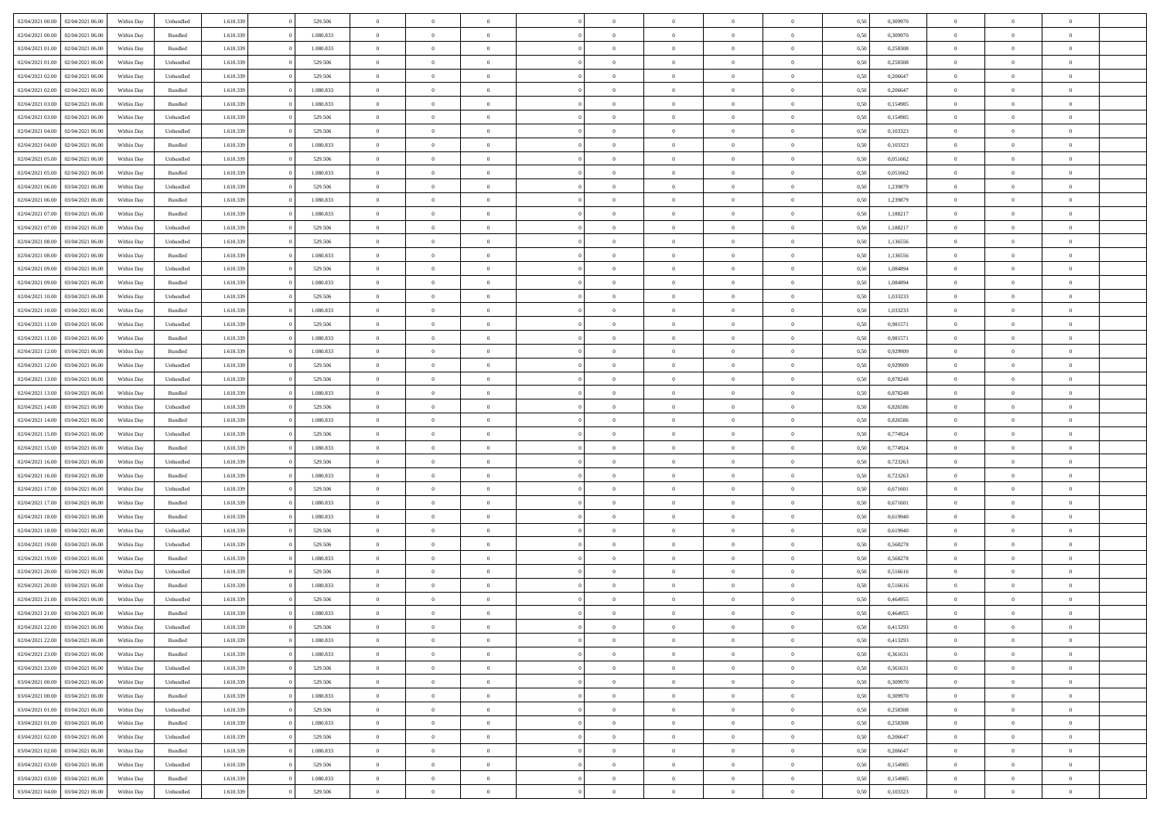| 02/04/2021 00:00 | 02/04/2021 06:00 | Within Dav | Unbundled | 1.610.339 | 529.506   | $\overline{0}$ | $\Omega$       |                | $\Omega$       | $\Omega$       | $\Omega$       | $\theta$       | 0,50 | 0,309970 | $\theta$       | $\theta$       | $\theta$       |  |
|------------------|------------------|------------|-----------|-----------|-----------|----------------|----------------|----------------|----------------|----------------|----------------|----------------|------|----------|----------------|----------------|----------------|--|
|                  |                  |            |           |           |           |                |                |                |                |                |                |                |      |          |                |                |                |  |
| 02/04/2021 00:00 | 02/04/2021 06:00 | Within Day | Bundled   | 1.610.339 | 1.080.833 | $\overline{0}$ | $\theta$       | $\overline{0}$ | $\overline{0}$ | $\bf{0}$       | $\overline{0}$ | $\bf{0}$       | 0,50 | 0,309970 | $\theta$       | $\theta$       | $\overline{0}$ |  |
| 02/04/2021 01:00 | 02/04/2021 06:00 | Within Day | Bundled   | 1.610.339 | 1.080.833 | $\overline{0}$ | $\overline{0}$ | $\overline{0}$ | $\bf{0}$       | $\bf{0}$       | $\bf{0}$       | $\bf{0}$       | 0,50 | 0,258308 | $\overline{0}$ | $\overline{0}$ | $\overline{0}$ |  |
| 02/04/2021 01:00 | 02/04/2021 06:00 | Within Dav | Unbundled | 1.610.339 | 529.506   | $\overline{0}$ | $\overline{0}$ | $\overline{0}$ | $\overline{0}$ | $\bf{0}$       | $\overline{0}$ | $\overline{0}$ | 0.50 | 0,258308 | $\theta$       | $\theta$       | $\overline{0}$ |  |
| 02/04/2021 02:00 | 02/04/2021 06:00 | Within Day | Unbundled | 1.610.339 | 529.506   | $\overline{0}$ | $\theta$       | $\overline{0}$ | $\overline{0}$ | $\bf{0}$       | $\overline{0}$ | $\bf{0}$       | 0,50 | 0,206647 | $\theta$       | $\overline{0}$ | $\overline{0}$ |  |
| 02/04/2021 02:00 | 02/04/2021 06:00 | Within Day | Bundled   | 1.610.339 | 1.080.833 | $\overline{0}$ | $\bf{0}$       | $\overline{0}$ | $\bf{0}$       | $\overline{0}$ | $\overline{0}$ | $\mathbf{0}$   | 0,50 | 0,206647 | $\overline{0}$ | $\overline{0}$ | $\bf{0}$       |  |
|                  |                  |            |           |           |           |                |                |                |                | $\overline{0}$ |                |                |      |          | $\theta$       | $\overline{0}$ | $\overline{0}$ |  |
| 02/04/2021 03:00 | 02/04/2021 06:00 | Within Dav | Bundled   | 1.610.339 | 1.080.833 | $\overline{0}$ | $\overline{0}$ | $\overline{0}$ | $\overline{0}$ |                | $\overline{0}$ | $\overline{0}$ | 0.50 | 0,154985 |                |                |                |  |
| 02/04/2021 03:00 | 02/04/2021 06:00 | Within Day | Unbundled | 1.610.339 | 529.506   | $\overline{0}$ | $\theta$       | $\overline{0}$ | $\overline{0}$ | $\bf{0}$       | $\overline{0}$ | $\bf{0}$       | 0,50 | 0,154985 | $\theta$       | $\theta$       | $\overline{0}$ |  |
| 02/04/2021 04:00 | 02/04/2021 06.00 | Within Day | Unbundled | 1.610.339 | 529.506   | $\overline{0}$ | $\overline{0}$ | $\overline{0}$ | $\bf{0}$       | $\bf{0}$       | $\bf{0}$       | $\bf{0}$       | 0,50 | 0,103323 | $\,0\,$        | $\overline{0}$ | $\overline{0}$ |  |
| 02/04/2021 04:00 | 02/04/2021 06:00 | Within Dav | Bundled   | 1.610.339 | 1.080.833 | $\overline{0}$ | $\overline{0}$ | $\overline{0}$ | $\overline{0}$ | $\overline{0}$ | $\overline{0}$ | $\overline{0}$ | 0.50 | 0,103323 | $\theta$       | $\overline{0}$ | $\overline{0}$ |  |
| 02/04/2021 05:00 | 02/04/2021 06:00 | Within Day | Unbundled | 1.610.339 | 529.506   | $\overline{0}$ | $\theta$       | $\overline{0}$ | $\overline{0}$ | $\bf{0}$       | $\overline{0}$ | $\bf{0}$       | 0,50 | 0,051662 | $\,$ 0 $\,$    | $\overline{0}$ | $\overline{0}$ |  |
| 02/04/2021 05:00 | 02/04/2021 06.00 | Within Day | Bundled   | 1.610.339 | 1.080.833 | $\overline{0}$ | $\overline{0}$ | $\overline{0}$ | $\bf{0}$       | $\bf{0}$       | $\bf{0}$       | $\bf{0}$       | 0,50 | 0,051662 | $\bf{0}$       | $\overline{0}$ | $\overline{0}$ |  |
| 02/04/2021 06:00 | 03/04/2021 06:00 | Within Day | Unbundled | 1.610.339 | 529.506   | $\overline{0}$ | $\overline{0}$ | $\overline{0}$ | $\overline{0}$ | $\bf{0}$       | $\overline{0}$ | $\overline{0}$ | 0.50 | 1,239879 | $\theta$       | $\theta$       | $\overline{0}$ |  |
|                  |                  |            |           |           |           | $\overline{0}$ | $\theta$       | $\overline{0}$ | $\overline{0}$ | $\bf{0}$       | $\overline{0}$ |                |      |          | $\theta$       | $\theta$       | $\overline{0}$ |  |
| 02/04/2021 06:00 | 03/04/2021 06.00 | Within Day | Bundled   | 1.610.339 | 1.080.833 |                |                |                |                |                |                | $\bf{0}$       | 0,50 | 1,239879 |                |                |                |  |
| 02/04/2021 07:00 | 03/04/2021 06:00 | Within Day | Bundled   | 1.610.339 | 1.080.833 | $\overline{0}$ | $\overline{0}$ | $\overline{0}$ | $\bf{0}$       | $\overline{0}$ | $\overline{0}$ | $\mathbf{0}$   | 0,50 | 1,188217 | $\bf{0}$       | $\overline{0}$ | $\bf{0}$       |  |
| 02/04/2021 07:00 | 03/04/2021 06:00 | Within Dav | Unbundled | 1.610.339 | 529.506   | $\overline{0}$ | $\overline{0}$ | $\overline{0}$ | $\overline{0}$ | $\overline{0}$ | $\overline{0}$ | $\overline{0}$ | 0.50 | 1,188217 | $\theta$       | $\overline{0}$ | $\overline{0}$ |  |
| 02/04/2021 08:00 | 03/04/2021 06:00 | Within Day | Unbundled | 1.610.339 | 529.506   | $\overline{0}$ | $\theta$       | $\overline{0}$ | $\overline{0}$ | $\bf{0}$       | $\overline{0}$ | $\bf{0}$       | 0,50 | 1,136556 | $\,$ 0 $\,$    | $\theta$       | $\overline{0}$ |  |
| 02/04/2021 08:00 | 03/04/2021 06:00 | Within Day | Bundled   | 1.610.339 | 1.080.833 | $\overline{0}$ | $\overline{0}$ | $\overline{0}$ | $\bf{0}$       | $\bf{0}$       | $\bf{0}$       | $\mathbf{0}$   | 0,50 | 1,136556 | $\,0\,$        | $\overline{0}$ | $\overline{0}$ |  |
| 02/04/2021 09:00 | 03/04/2021 06:00 | Within Day | Unbundled | 1.610.339 | 529.506   | $\overline{0}$ | $\overline{0}$ | $\overline{0}$ | $\overline{0}$ | $\overline{0}$ | $\overline{0}$ | $\overline{0}$ | 0.50 | 1,084894 | $\theta$       | $\overline{0}$ | $\overline{0}$ |  |
| 02/04/2021 09:00 | 03/04/2021 06:00 | Within Day | Bundled   | 1.610.339 | 1.080.833 | $\overline{0}$ | $\theta$       | $\overline{0}$ | $\overline{0}$ | $\bf{0}$       | $\overline{0}$ | $\bf{0}$       | 0,50 | 1,084894 | $\,$ 0 $\,$    | $\theta$       | $\overline{0}$ |  |
|                  |                  |            |           |           |           |                |                |                |                |                |                |                |      |          |                |                |                |  |
| 02/04/2021 10:00 | 03/04/2021 06:00 | Within Day | Unbundled | 1.610.339 | 529.506   | $\overline{0}$ | $\overline{0}$ | $\overline{0}$ | $\bf{0}$       | $\bf{0}$       | $\bf{0}$       | $\bf{0}$       | 0,50 | 1,033233 | $\bf{0}$       | $\overline{0}$ | $\overline{0}$ |  |
| 02/04/2021 10:00 | 03/04/2021 06:00 | Within Day | Bundled   | 1.610.339 | 1.080.833 | $\overline{0}$ | $\overline{0}$ | $\overline{0}$ | $\overline{0}$ | $\bf{0}$       | $\overline{0}$ | $\overline{0}$ | 0.50 | 1,033233 | $\theta$       | $\overline{0}$ | $\overline{0}$ |  |
| 02/04/2021 11:00 | 03/04/2021 06:00 | Within Day | Unbundled | 1.610.339 | 529.506   | $\overline{0}$ | $\theta$       | $\overline{0}$ | $\overline{0}$ | $\bf{0}$       | $\overline{0}$ | $\bf{0}$       | 0,50 | 0,981571 | $\,$ 0 $\,$    | $\overline{0}$ | $\overline{0}$ |  |
| 02/04/2021 11:00 | 03/04/2021 06:00 | Within Day | Bundled   | 1.610.339 | 1.080.833 | $\overline{0}$ | $\bf{0}$       | $\overline{0}$ | $\bf{0}$       | $\overline{0}$ | $\overline{0}$ | $\mathbf{0}$   | 0,50 | 0,981571 | $\bf{0}$       | $\overline{0}$ | $\bf{0}$       |  |
| 02/04/2021 12:00 | 03/04/2021 06:00 | Within Dav | Bundled   | 1.610.339 | 1.080.833 | $\overline{0}$ | $\overline{0}$ | $\overline{0}$ | $\overline{0}$ | $\overline{0}$ | $\overline{0}$ | $\overline{0}$ | 0.50 | 0.929909 | $\theta$       | $\overline{0}$ | $\overline{0}$ |  |
| 02/04/2021 12:00 | 03/04/2021 06:00 | Within Day | Unbundled | 1.610.339 | 529.506   | $\overline{0}$ | $\theta$       | $\overline{0}$ | $\overline{0}$ | $\bf{0}$       | $\overline{0}$ | $\bf{0}$       | 0,50 | 0,929909 | $\theta$       | $\theta$       | $\overline{0}$ |  |
| 02/04/2021 13:00 | 03/04/2021 06:00 | Within Day | Unbundled | 1.610.339 | 529.506   | $\overline{0}$ | $\overline{0}$ | $\overline{0}$ | $\bf{0}$       | $\bf{0}$       | $\bf{0}$       | $\bf{0}$       | 0,50 | 0,878248 | $\,0\,$        | $\overline{0}$ | $\overline{0}$ |  |
| 02/04/2021 13:00 | 03/04/2021 06:00 |            | Bundled   | 1.610.339 | 1.080.833 | $\overline{0}$ | $\overline{0}$ | $\overline{0}$ | $\overline{0}$ | $\overline{0}$ | $\overline{0}$ | $\overline{0}$ | 0.50 | 0,878248 | $\theta$       | $\overline{0}$ | $\overline{0}$ |  |
|                  |                  | Within Day |           |           |           |                |                |                |                |                |                |                |      |          |                |                |                |  |
| 02/04/2021 14:00 | 03/04/2021 06:00 | Within Day | Unbundled | 1.610.339 | 529.506   | $\overline{0}$ | $\theta$       | $\overline{0}$ | $\overline{0}$ | $\bf{0}$       | $\overline{0}$ | $\bf{0}$       | 0,50 | 0,826586 | $\,$ 0 $\,$    | $\overline{0}$ | $\overline{0}$ |  |
| 02/04/2021 14:00 | 03/04/2021 06:00 | Within Day | Bundled   | 1.610.339 | 1.080.833 | $\overline{0}$ | $\overline{0}$ | $\overline{0}$ | $\bf{0}$       | $\bf{0}$       | $\bf{0}$       | $\bf{0}$       | 0,50 | 0,826586 | $\bf{0}$       | $\overline{0}$ | $\overline{0}$ |  |
| 02/04/2021 15:00 | 03/04/2021 06:00 | Within Day | Unbundled | 1.610.339 | 529.506   | $\overline{0}$ | $\Omega$       | $\overline{0}$ | $\Omega$       | $\Omega$       | $\overline{0}$ | $\overline{0}$ | 0,50 | 0,774924 | $\,0\,$        | $\theta$       | $\theta$       |  |
| 02/04/2021 15:00 | 03/04/2021 06:00 | Within Day | Bundled   | 1.610.339 | 1.080.833 | $\overline{0}$ | $\theta$       | $\overline{0}$ | $\overline{0}$ | $\bf{0}$       | $\overline{0}$ | $\bf{0}$       | 0,50 | 0,774924 | $\,$ 0 $\,$    | $\theta$       | $\overline{0}$ |  |
| 02/04/2021 16:00 | 03/04/2021 06:00 | Within Day | Unbundled | 1.610.339 | 529.506   | $\overline{0}$ | $\overline{0}$ | $\overline{0}$ | $\bf{0}$       | $\bf{0}$       | $\overline{0}$ | $\mathbf{0}$   | 0,50 | 0,723263 | $\bf{0}$       | $\overline{0}$ | $\bf{0}$       |  |
| 02/04/2021 16:00 | 03/04/2021 06:00 | Within Day | Bundled   | 1.610.339 | 1.080.833 | $\overline{0}$ | $\Omega$       | $\Omega$       | $\Omega$       | $\bf{0}$       | $\overline{0}$ | $\overline{0}$ | 0.50 | 0,723263 | $\,0\,$        | $\theta$       | $\theta$       |  |
| 02/04/2021 17:00 | 03/04/2021 06:00 | Within Day | Unbundled | 1.610.339 | 529.506   | $\overline{0}$ | $\theta$       | $\overline{0}$ | $\overline{0}$ | $\bf{0}$       | $\overline{0}$ | $\bf{0}$       | 0,50 | 0,671601 | $\,$ 0 $\,$    | $\theta$       | $\overline{0}$ |  |
|                  |                  |            |           |           |           |                |                |                |                |                |                |                |      |          |                |                |                |  |
| 02/04/2021 17.00 | 03/04/2021 06:00 | Within Day | Bundled   | 1.610.339 | 1.080.833 | $\overline{0}$ | $\overline{0}$ | $\overline{0}$ | $\bf{0}$       | $\bf{0}$       | $\bf{0}$       | $\bf{0}$       | 0,50 | 0,671601 | $\,0\,$        | $\overline{0}$ | $\overline{0}$ |  |
| 02/04/2021 18:00 | 03/04/2021 06:00 | Within Day | Bundled   | 1.610.339 | 1.080.833 | $\overline{0}$ | $\Omega$       | $\overline{0}$ | $\Omega$       | $\theta$       | $\overline{0}$ | $\overline{0}$ | 0.50 | 0.619940 | $\theta$       | $\theta$       | $\theta$       |  |
| 02/04/2021 18:00 | 03/04/2021 06:00 | Within Day | Unbundled | 1.610.339 | 529.506   | $\overline{0}$ | $\theta$       | $\overline{0}$ | $\overline{0}$ | $\bf{0}$       | $\overline{0}$ | $\bf{0}$       | 0,50 | 0,619940 | $\,$ 0 $\,$    | $\overline{0}$ | $\overline{0}$ |  |
| 02/04/2021 19:00 | 03/04/2021 06:00 | Within Day | Unbundled | 1.610.339 | 529.506   | $\overline{0}$ | $\overline{0}$ | $\overline{0}$ | $\bf{0}$       | $\bf{0}$       | $\bf{0}$       | $\bf{0}$       | 0,50 | 0,568278 | $\overline{0}$ | $\overline{0}$ | $\overline{0}$ |  |
| 02/04/2021 19:00 | 03/04/2021 06:00 | Within Day | Bundled   | 1.610.339 | 1.080.833 | $\overline{0}$ | $\Omega$       | $\overline{0}$ | $\Omega$       | $\overline{0}$ | $\overline{0}$ | $\overline{0}$ | 0.50 | 0,568278 | $\,0\,$        | $\theta$       | $\theta$       |  |
| 02/04/2021 20:00 | 03/04/2021 06:00 | Within Day | Unbundled | 1.610.339 | 529.506   | $\overline{0}$ | $\theta$       | $\overline{0}$ | $\overline{0}$ | $\bf{0}$       | $\overline{0}$ | $\bf{0}$       | 0,50 | 0,516616 | $\,$ 0 $\,$    | $\overline{0}$ | $\overline{0}$ |  |
| 02/04/2021 20.00 | 03/04/2021 06:00 | Within Day | Bundled   | 1.610.339 | 1.080.833 | $\overline{0}$ | $\overline{0}$ | $\overline{0}$ | $\bf{0}$       | $\bf{0}$       | $\bf{0}$       | $\mathbf{0}$   | 0,50 | 0,516616 | $\overline{0}$ | $\overline{0}$ | $\bf{0}$       |  |
|                  | 03/04/2021 06:00 |            | Unbundled | 1.610.339 | 529.506   | $\overline{0}$ | $\Omega$       | $\Omega$       | $\Omega$       | $\Omega$       | $\Omega$       | $\overline{0}$ | 0.50 | 0.464955 | $\theta$       | $\theta$       | $\theta$       |  |
| 02/04/2021 21:00 |                  | Within Day |           |           |           |                |                |                |                |                |                |                |      |          |                |                |                |  |
| 02/04/2021 21:00 | 03/04/2021 06:00 | Within Day | Bundled   | 1.610.339 | 1.080.833 | $\overline{0}$ | $\overline{0}$ | $\overline{0}$ | $\bf{0}$       | $\,$ 0         | $\bf{0}$       | $\bf{0}$       | 0,50 | 0,464955 | $\,0\,$        | $\overline{0}$ | $\overline{0}$ |  |
| 02/04/2021 22:00 | 03/04/2021 06:00 | Within Day | Unbundled | 1.610.339 | 529.506   | $\bf{0}$       | $\bf{0}$       |                |                |                |                |                | 0,50 | 0,413293 | $\bf{0}$       | $\overline{0}$ |                |  |
| 02/04/2021 22.00 | 03/04/2021 06:00 | Within Day | Bundled   | 1.610.339 | 1.080.833 | $\overline{0}$ | $\overline{0}$ | $\overline{0}$ | $\Omega$       | $\overline{0}$ | $\overline{0}$ | $\overline{0}$ | 0,50 | 0,413293 | $\theta$       | $\theta$       | $\Omega$       |  |
| 02/04/2021 23:00 | 03/04/2021 06:00 | Within Day | Bundled   | 1.610.339 | 1.080.833 | $\overline{0}$ | $\bf{0}$       | $\overline{0}$ | $\bf{0}$       | $\,$ 0 $\,$    | $\overline{0}$ | $\,$ 0 $\,$    | 0,50 | 0,361631 | $\,$ 0 $\,$    | $\,$ 0 $\,$    | $\,$ 0         |  |
| 02/04/2021 23.00 | 03/04/2021 06:00 | Within Day | Unbundled | 1.610.339 | 529.506   | $\overline{0}$ | $\overline{0}$ | $\overline{0}$ | $\overline{0}$ | $\overline{0}$ | $\overline{0}$ | $\mathbf{0}$   | 0,50 | 0,361631 | $\overline{0}$ | $\bf{0}$       | $\overline{0}$ |  |
| 03/04/2021 00:00 | 03/04/2021 06:00 | Within Day | Unbundled | 1.610.339 | 529.506   | $\overline{0}$ | $\overline{0}$ | $\overline{0}$ | $\Omega$       | $\overline{0}$ | $\overline{0}$ | $\overline{0}$ | 0,50 | 0,309970 | $\overline{0}$ | $\theta$       | $\overline{0}$ |  |
| 03/04/2021 00:00 | 03/04/2021 06:00 | Within Day | Bundled   | 1.610.339 | 1.080.833 | $\overline{0}$ | $\,$ 0         | $\overline{0}$ | $\overline{0}$ | $\,$ 0 $\,$    | $\overline{0}$ | $\mathbf{0}$   | 0,50 | 0,309970 | $\,$ 0 $\,$    | $\overline{0}$ | $\overline{0}$ |  |
|                  |                  |            |           |           |           |                |                |                |                |                |                |                |      |          |                |                |                |  |
| 03/04/2021 01:00 | 03/04/2021 06:00 | Within Day | Unbundled | 1.610.339 | 529.506   | $\overline{0}$ | $\overline{0}$ | $\overline{0}$ | $\overline{0}$ | $\overline{0}$ | $\overline{0}$ | $\mathbf{0}$   | 0,50 | 0,258308 | $\overline{0}$ | $\overline{0}$ | $\overline{0}$ |  |
| 03/04/2021 01:00 | 03/04/2021 06:00 | Within Day | Bundled   | 1.610.339 | 1.080.833 | $\overline{0}$ | $\overline{0}$ | $\overline{0}$ | $\overline{0}$ | $\overline{0}$ | $\overline{0}$ | $\bf{0}$       | 0.50 | 0,258308 | $\overline{0}$ | $\theta$       | $\overline{0}$ |  |
| 03/04/2021 02:00 | 03/04/2021 06:00 | Within Day | Unbundled | 1.610.339 | 529.506   | $\overline{0}$ | $\,$ 0         | $\overline{0}$ | $\overline{0}$ | $\bf{0}$       | $\overline{0}$ | $\bf{0}$       | 0,50 | 0,206647 | $\,$ 0 $\,$    | $\overline{0}$ | $\overline{0}$ |  |
| 03/04/2021 02:00 | 03/04/2021 06:00 | Within Day | Bundled   | 1.610.339 | 1.080.833 | $\overline{0}$ | $\bf{0}$       | $\overline{0}$ | $\overline{0}$ | $\overline{0}$ | $\overline{0}$ | $\mathbf{0}$   | 0,50 | 0,206647 | $\overline{0}$ | $\overline{0}$ | $\bf{0}$       |  |
| 03/04/2021 03:00 | 03/04/2021 06:00 | Within Day | Unbundled | 1.610.339 | 529.506   | $\overline{0}$ | $\overline{0}$ | $\overline{0}$ | $\Omega$       | $\overline{0}$ | $\overline{0}$ | $\overline{0}$ | 0.50 | 0,154985 | $\overline{0}$ | $\overline{0}$ | $\overline{0}$ |  |
| 03/04/2021 03:00 | 03/04/2021 06:00 | Within Day | Bundled   | 1.610.339 | 1.080.833 | $\overline{0}$ | $\bf{0}$       | $\overline{0}$ | $\bf{0}$       | $\bf{0}$       | $\overline{0}$ | $\mathbf{0}$   | 0,50 | 0,154985 | $\,$ 0 $\,$    | $\,$ 0 $\,$    | $\bf{0}$       |  |
| 03/04/2021 04:00 | 03/04/2021 06:00 | Within Day | Unbundled | 1.610.339 | 529.506   | $\overline{0}$ | $\overline{0}$ | $\overline{0}$ | $\overline{0}$ | $\overline{0}$ | $\overline{0}$ | $\mathbf{0}$   | 0,50 | 0,103323 | $\overline{0}$ | $\bf{0}$       | $\overline{0}$ |  |
|                  |                  |            |           |           |           |                |                |                |                |                |                |                |      |          |                |                |                |  |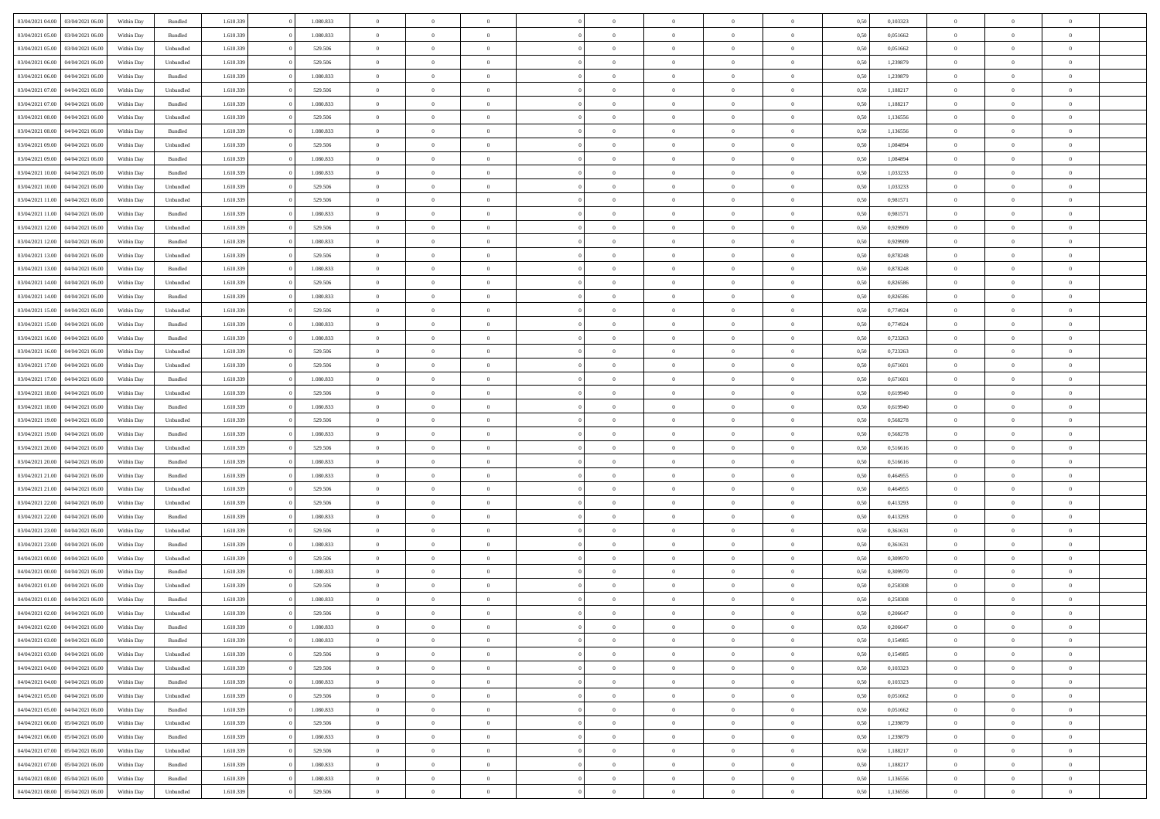| 03/04/2021 04:00 | 03/04/2021 06:00                  | Within Day | Bundled            | 1.610.339 | 1.080.833 | $\overline{0}$ | $\theta$       |                | $\Omega$       | $\Omega$       | $\theta$       | $\theta$       | 0,50 | 0,103323 | $\theta$       | $\overline{0}$ | $\theta$       |  |
|------------------|-----------------------------------|------------|--------------------|-----------|-----------|----------------|----------------|----------------|----------------|----------------|----------------|----------------|------|----------|----------------|----------------|----------------|--|
|                  |                                   |            |                    |           |           |                |                |                |                |                |                |                |      |          |                |                |                |  |
| 03/04/2021 05:00 | 03/04/2021 06:00                  | Within Day | Bundled            | 1.610.339 | 1.080.833 | $\overline{0}$ | $\overline{0}$ | $\overline{0}$ | $\overline{0}$ | $\bf{0}$       | $\overline{0}$ | $\bf{0}$       | 0,50 | 0,051662 | $\theta$       | $\overline{0}$ | $\overline{0}$ |  |
| 03/04/2021 05:00 | 03/04/2021 06:00                  | Within Day | Unbundled          | 1.610.339 | 529.506   | $\overline{0}$ | $\overline{0}$ | $\overline{0}$ | $\overline{0}$ | $\bf{0}$       | $\overline{0}$ | $\mathbf{0}$   | 0,50 | 0,051662 | $\overline{0}$ | $\overline{0}$ | $\bf{0}$       |  |
| 03/04/2021 06:00 | 04/04/2021 06:00                  | Within Dav | Unbundled          | 1.610.339 | 529.506   | $\overline{0}$ | $\overline{0}$ | $\overline{0}$ | $\overline{0}$ | $\bf{0}$       | $\overline{0}$ | $\overline{0}$ | 0.50 | 1,239879 | $\theta$       | $\overline{0}$ | $\overline{0}$ |  |
| 03/04/2021 06:00 | 04/04/2021 06.00                  | Within Day | Bundled            | 1.610.339 | 1.080.833 | $\overline{0}$ | $\theta$       | $\overline{0}$ | $\overline{0}$ | $\bf{0}$       | $\overline{0}$ | $\bf{0}$       | 0,50 | 1,239879 | $\,$ 0 $\,$    | $\overline{0}$ | $\overline{0}$ |  |
| 03/04/2021 07:00 | 04/04/2021 06:00                  | Within Day | Unbundled          | 1.610.339 | 529.506   | $\overline{0}$ | $\overline{0}$ | $\overline{0}$ | $\overline{0}$ | $\overline{0}$ | $\overline{0}$ | $\mathbf{0}$   | 0,50 | 1,188217 | $\overline{0}$ | $\overline{0}$ | $\bf{0}$       |  |
|                  |                                   |            |                    |           |           |                |                |                |                |                |                |                |      |          |                |                |                |  |
| 03/04/2021 07:00 | 04/04/2021 06.00                  | Within Dav | Bundled            | 1.610.339 | 1.080.833 | $\overline{0}$ | $\overline{0}$ | $\overline{0}$ | $\overline{0}$ | $\overline{0}$ | $\overline{0}$ | $\overline{0}$ | 0.50 | 1,188217 | $\theta$       | $\overline{0}$ | $\overline{0}$ |  |
| 03/04/2021 08:00 | 04/04/2021 06.00                  | Within Day | Unbundled          | 1.610.339 | 529.506   | $\overline{0}$ | $\theta$       | $\overline{0}$ | $\overline{0}$ | $\bf{0}$       | $\overline{0}$ | $\bf{0}$       | 0,50 | 1,136556 | $\,$ 0 $\,$    | $\theta$       | $\overline{0}$ |  |
| 03/04/2021 08:00 | 04/04/2021 06.00                  | Within Day | Bundled            | 1.610.339 | 1.080.833 | $\overline{0}$ | $\overline{0}$ | $\overline{0}$ | $\bf{0}$       | $\bf{0}$       | $\bf{0}$       | $\mathbf{0}$   | 0,50 | 1,136556 | $\,0\,$        | $\overline{0}$ | $\overline{0}$ |  |
| 03/04/2021 09:00 | 04/04/2021 06.00                  | Within Dav | Unbundled          | 1.610.339 | 529.506   | $\overline{0}$ | $\overline{0}$ | $\overline{0}$ | $\overline{0}$ | $\overline{0}$ | $\overline{0}$ | $\overline{0}$ | 0.50 | 1,084894 | $\theta$       | $\overline{0}$ | $\overline{0}$ |  |
| 03/04/2021 09:00 | 04/04/2021 06.00                  | Within Day | Bundled            | 1.610.339 | 1.080.833 | $\overline{0}$ | $\theta$       | $\overline{0}$ | $\overline{0}$ | $\bf{0}$       | $\overline{0}$ | $\bf{0}$       | 0,50 | 1,084894 | $\,$ 0 $\,$    | $\overline{0}$ | $\overline{0}$ |  |
| 03/04/2021 10:00 | 04/04/2021 06.00                  | Within Day | Bundled            | 1.610.339 | 1.080.833 | $\overline{0}$ | $\overline{0}$ | $\overline{0}$ | $\bf{0}$       | $\overline{0}$ | $\bf{0}$       | $\mathbf{0}$   | 0,50 | 1,033233 | $\overline{0}$ | $\overline{0}$ | $\bf{0}$       |  |
| 03/04/2021 10:00 | 04/04/2021 06:00                  | Within Day | Unbundled          | 1.610.339 | 529.506   | $\overline{0}$ | $\overline{0}$ | $\overline{0}$ | $\overline{0}$ | $\overline{0}$ | $\overline{0}$ | $\overline{0}$ | 0.50 | 1,033233 | $\theta$       | $\theta$       | $\overline{0}$ |  |
|                  |                                   |            |                    |           |           |                |                |                |                |                |                |                |      |          |                |                |                |  |
| 03/04/2021 11:00 | 04/04/2021 06.00                  | Within Day | Unbundled          | 1.610.339 | 529.506   | $\overline{0}$ | $\theta$       | $\overline{0}$ | $\overline{0}$ | $\bf{0}$       | $\overline{0}$ | $\bf{0}$       | 0,50 | 0,981571 | $\theta$       | $\overline{0}$ | $\overline{0}$ |  |
| 03/04/2021 11:00 | 04/04/2021 06:00                  | Within Day | Bundled            | 1.610.339 | 1.080.833 | $\overline{0}$ | $\overline{0}$ | $\overline{0}$ | $\bf{0}$       | $\overline{0}$ | $\overline{0}$ | $\mathbf{0}$   | 0,50 | 0,981571 | $\overline{0}$ | $\overline{0}$ | $\bf{0}$       |  |
| 03/04/2021 12:00 | 04/04/2021 06:00                  | Within Dav | Unbundled          | 1.610.339 | 529.506   | $\overline{0}$ | $\overline{0}$ | $\overline{0}$ | $\overline{0}$ | $\overline{0}$ | $\overline{0}$ | $\overline{0}$ | 0.50 | 0.929909 | $\overline{0}$ | $\overline{0}$ | $\overline{0}$ |  |
| 03/04/2021 12:00 | 04/04/2021 06.00                  | Within Day | Bundled            | 1.610.339 | 1.080.833 | $\overline{0}$ | $\theta$       | $\overline{0}$ | $\overline{0}$ | $\bf{0}$       | $\overline{0}$ | $\bf{0}$       | 0,50 | 0,929909 | $\theta$       | $\overline{0}$ | $\overline{0}$ |  |
| 03/04/2021 13:00 | 04/04/2021 06.00                  | Within Day | Unbundled          | 1.610.339 | 529.506   | $\overline{0}$ | $\overline{0}$ | $\overline{0}$ | $\bf{0}$       | $\overline{0}$ | $\bf{0}$       | $\mathbf{0}$   | 0,50 | 0,878248 | $\overline{0}$ | $\overline{0}$ | $\bf{0}$       |  |
| 03/04/2021 13:00 | 04/04/2021 06.00                  | Within Day | Bundled            | 1.610.339 | 1.080.833 | $\overline{0}$ | $\overline{0}$ | $\overline{0}$ | $\overline{0}$ | $\overline{0}$ | $\overline{0}$ | $\overline{0}$ | 0.50 | 0,878248 | $\theta$       | $\overline{0}$ | $\overline{0}$ |  |
|                  |                                   |            |                    |           |           | $\overline{0}$ |                |                |                |                |                |                |      |          |                |                |                |  |
| 03/04/2021 14:00 | 04/04/2021 06.00                  | Within Day | Unbundled          | 1.610.339 | 529.506   |                | $\theta$       | $\overline{0}$ | $\overline{0}$ | $\bf{0}$       | $\overline{0}$ | $\bf{0}$       | 0,50 | 0,826586 | $\,$ 0 $\,$    | $\overline{0}$ | $\overline{0}$ |  |
| 03/04/2021 14:00 | 04/04/2021 06:00                  | Within Day | Bundled            | 1.610.339 | 1.080.833 | $\overline{0}$ | $\overline{0}$ | $\overline{0}$ | $\bf{0}$       | $\bf{0}$       | $\bf{0}$       | $\mathbf{0}$   | 0,50 | 0,826586 | $\overline{0}$ | $\overline{0}$ | $\bf{0}$       |  |
| 03/04/2021 15:00 | 04/04/2021 06:00                  | Within Day | Unbundled          | 1.610.339 | 529.506   | $\overline{0}$ | $\overline{0}$ | $\overline{0}$ | $\overline{0}$ | $\overline{0}$ | $\overline{0}$ | $\overline{0}$ | 0.50 | 0,774924 | $\theta$       | $\overline{0}$ | $\overline{0}$ |  |
| 03/04/2021 15:00 | 04/04/2021 06.00                  | Within Day | Bundled            | 1.610.339 | 1.080.833 | $\overline{0}$ | $\theta$       | $\overline{0}$ | $\overline{0}$ | $\bf{0}$       | $\overline{0}$ | $\,$ 0 $\,$    | 0,50 | 0,774924 | $\,$ 0 $\,$    | $\overline{0}$ | $\overline{0}$ |  |
| 03/04/2021 16:00 | 04/04/2021 06.00                  | Within Day | Bundled            | 1.610.339 | 1.080.833 | $\overline{0}$ | $\overline{0}$ | $\overline{0}$ | $\bf{0}$       | $\overline{0}$ | $\overline{0}$ | $\mathbf{0}$   | 0,50 | 0,723263 | $\overline{0}$ | $\overline{0}$ | $\bf{0}$       |  |
| 03/04/2021 16:00 | 04/04/2021 06.00                  | Within Dav | Unbundled          | 1.610.339 | 529.506   | $\overline{0}$ | $\overline{0}$ | $\overline{0}$ | $\overline{0}$ | $\overline{0}$ | $\overline{0}$ | $\overline{0}$ | 0.50 | 0,723263 | $\overline{0}$ | $\overline{0}$ | $\overline{0}$ |  |
| 03/04/2021 17:00 | 04/04/2021 06.00                  |            |                    | 1.610.339 | 529.506   | $\overline{0}$ | $\theta$       | $\overline{0}$ | $\overline{0}$ | $\bf{0}$       | $\overline{0}$ |                |      | 0,671601 | $\,$ 0 $\,$    | $\overline{0}$ | $\overline{0}$ |  |
|                  |                                   | Within Day | Unbundled          |           |           |                |                |                |                |                |                | $\bf{0}$       | 0,50 |          |                |                |                |  |
| 03/04/2021 17:00 | 04/04/2021 06.00                  | Within Day | Bundled            | 1.610.339 | 1.080.833 | $\overline{0}$ | $\overline{0}$ | $\overline{0}$ | $\overline{0}$ | $\bf{0}$       | $\overline{0}$ | $\mathbf{0}$   | 0,50 | 0,671601 | $\,0\,$        | $\overline{0}$ | $\bf{0}$       |  |
| 03/04/2021 18:00 | 04/04/2021 06.00                  | Within Day | Unbundled          | 1.610.339 | 529.506   | $\overline{0}$ | $\overline{0}$ | $\overline{0}$ | $\overline{0}$ | $\overline{0}$ | $\overline{0}$ | $\overline{0}$ | 0.50 | 0.619940 | $\theta$       | $\overline{0}$ | $\overline{0}$ |  |
| 03/04/2021 18:00 | 04/04/2021 06.00                  | Within Day | Bundled            | 1.610.339 | 1.080.833 | $\overline{0}$ | $\overline{0}$ | $\overline{0}$ | $\overline{0}$ | $\bf{0}$       | $\overline{0}$ | $\bf{0}$       | 0,50 | 0,619940 | $\,$ 0 $\,$    | $\overline{0}$ | $\overline{0}$ |  |
| 03/04/2021 19:00 | 04/04/2021 06:00                  | Within Day | Unbundled          | 1.610.339 | 529.506   | $\overline{0}$ | $\overline{0}$ | $\overline{0}$ | $\overline{0}$ | $\overline{0}$ | $\overline{0}$ | $\mathbf{0}$   | 0,50 | 0,568278 | $\overline{0}$ | $\overline{0}$ | $\bf{0}$       |  |
| 03/04/2021 19:00 | 04/04/2021 06.00                  | Within Day | Bundled            | 1.610.339 | 1.080.833 | $\overline{0}$ | $\Omega$       | $\overline{0}$ | $\Omega$       | $\Omega$       | $\overline{0}$ | $\overline{0}$ | 0,50 | 0,568278 | $\,0\,$        | $\theta$       | $\theta$       |  |
| 03/04/2021 20:00 | 04/04/2021 06.00                  | Within Day | Unbundled          | 1.610.339 | 529.506   | $\overline{0}$ | $\overline{0}$ | $\overline{0}$ | $\overline{0}$ | $\bf{0}$       | $\overline{0}$ | $\bf{0}$       | 0,50 | 0,516616 | $\,$ 0 $\,$    | $\overline{0}$ | $\overline{0}$ |  |
|                  |                                   |            |                    |           |           |                |                |                |                |                |                |                |      |          |                |                |                |  |
| 03/04/2021 20:00 | 04/04/2021 06:00                  | Within Day | Bundled            | 1.610.339 | 1.080.833 | $\overline{0}$ | $\overline{0}$ | $\overline{0}$ | $\overline{0}$ | $\overline{0}$ | $\overline{0}$ | $\mathbf{0}$   | 0,50 | 0,516616 | $\overline{0}$ | $\overline{0}$ | $\bf{0}$       |  |
| 03/04/2021 21:00 | 04/04/2021 06:00                  | Within Day | Bundled            | 1.610.339 | 1.080.833 | $\overline{0}$ | $\Omega$       | $\overline{0}$ | $\Omega$       | $\overline{0}$ | $\overline{0}$ | $\overline{0}$ | 0.50 | 0.464955 | $\,0\,$        | $\theta$       | $\theta$       |  |
| 03/04/2021 21:00 | 04/04/2021 06.00                  | Within Day | Unbundled          | 1.610.339 | 529.506   | $\overline{0}$ | $\theta$       | $\overline{0}$ | $\overline{0}$ | $\bf{0}$       | $\overline{0}$ | $\bf{0}$       | 0,50 | 0,464955 | $\,$ 0 $\,$    | $\overline{0}$ | $\overline{0}$ |  |
| 03/04/2021 22.00 | 04/04/2021 06.00                  | Within Day | Unbundled          | 1.610.339 | 529.506   | $\overline{0}$ | $\bf{0}$       | $\overline{0}$ | $\overline{0}$ | $\bf{0}$       | $\overline{0}$ | $\mathbf{0}$   | 0,50 | 0,413293 | $\overline{0}$ | $\overline{0}$ | $\bf{0}$       |  |
| 03/04/2021 22.00 | 04/04/2021 06:00                  | Within Day | Bundled            | 1.610.339 | 1.080.833 | $\overline{0}$ | $\Omega$       | $\overline{0}$ | $\Omega$       | $\overline{0}$ | $\overline{0}$ | $\overline{0}$ | 0.50 | 0,413293 | $\,$ 0 $\,$    | $\theta$       | $\theta$       |  |
| 03/04/2021 23:00 | 04/04/2021 06.00                  | Within Day | Unbundled          | 1.610.339 | 529.506   | $\overline{0}$ | $\,$ 0         | $\overline{0}$ | $\overline{0}$ | $\,$ 0         | $\overline{0}$ | $\bf{0}$       | 0,50 | 0,361631 | $\,$ 0 $\,$    | $\overline{0}$ | $\overline{0}$ |  |
|                  |                                   |            |                    |           |           |                |                |                |                | $\bf{0}$       |                |                |      |          |                | $\overline{0}$ | $\bf{0}$       |  |
| 03/04/2021 23.00 | 04/04/2021 06.00                  | Within Day | Bundled            | 1.610.339 | 1.080.833 | $\overline{0}$ | $\overline{0}$ | $\overline{0}$ | $\overline{0}$ |                | $\overline{0}$ | $\mathbf{0}$   | 0,50 | 0,361631 | $\overline{0}$ |                |                |  |
| 04/04/2021 00:00 | 04/04/2021 06.00                  | Within Day | Unbundled          | 1.610.339 | 529.506   | $\overline{0}$ | $\Omega$       | $\overline{0}$ | $\Omega$       | $\overline{0}$ | $\overline{0}$ | $\overline{0}$ | 0,50 | 0,309970 | $\,0\,$        | $\theta$       | $\theta$       |  |
| 04/04/2021 00:00 | 04/04/2021 06.00                  | Within Day | Bundled            | 1.610.339 | 1.080.833 | $\overline{0}$ | $\overline{0}$ | $\overline{0}$ | $\overline{0}$ | $\,$ 0         | $\overline{0}$ | $\bf{0}$       | 0,50 | 0,309970 | $\,$ 0 $\,$    | $\overline{0}$ | $\overline{0}$ |  |
| 04/04/2021 01.00 | 04/04/2021 06.00                  | Within Day | Unbundled          | 1.610.339 | 529.506   | $\overline{0}$ | $\overline{0}$ | $\overline{0}$ | $\bf{0}$       | $\bf{0}$       | $\overline{0}$ | $\mathbf{0}$   | 0,50 | 0,258308 | $\overline{0}$ | $\overline{0}$ | $\bf{0}$       |  |
| 04/04/2021 01:00 | 04/04/2021 06:00                  | Within Day | Bundled            | 1.610.339 | 1.080.833 | $\overline{0}$ | $\Omega$       | $\Omega$       | $\Omega$       | $\Omega$       | $\Omega$       | $\overline{0}$ | 0.50 | 0,258308 | $\theta$       | $\theta$       | $\theta$       |  |
| 04/04/2021 02:00 | 04/04/2021 06:00                  | Within Day | Unbundled          | 1.610.339 | 529.506   | $\overline{0}$ | $\overline{0}$ | $\overline{0}$ | $\bf{0}$       | $\,$ 0         | $\bf{0}$       | $\bf{0}$       | 0,50 | 0,206647 | $\,0\,$        | $\,$ 0 $\,$    | $\overline{0}$ |  |
|                  | 04/04/2021 02:00 04/04/2021 06:00 | Within Day | $\mathbf B$ undled | 1.610.339 | 1.080.833 | $\bf{0}$       | $\bf{0}$       |                |                | $\bf{0}$       |                |                | 0,50 | 0,206647 | $\bf{0}$       | $\overline{0}$ |                |  |
| 04/04/2021 03:00 | 04/04/2021 06:00                  | Within Day | Bundled            | 1.610.339 | 1.080.833 | $\overline{0}$ | $\overline{0}$ | $\overline{0}$ | $\Omega$       | $\overline{0}$ | $\overline{0}$ | $\overline{0}$ | 0,50 | 0,154985 | $\theta$       | $\theta$       | $\Omega$       |  |
|                  |                                   |            |                    |           |           |                |                |                |                |                |                |                |      |          |                |                |                |  |
| 04/04/2021 03:00 | 04/04/2021 06:00                  | Within Day | Unbundled          | 1.610.339 | 529.506   | $\overline{0}$ | $\,$ 0         | $\overline{0}$ | $\bf{0}$       | $\,$ 0 $\,$    | $\overline{0}$ | $\,$ 0 $\,$    | 0,50 | 0,154985 | $\,$ 0 $\,$    | $\,$ 0 $\,$    | $\,$ 0         |  |
| 04/04/2021 04:00 | 04/04/2021 06:00                  | Within Day | Unbundled          | 1.610.339 | 529.506   | $\overline{0}$ | $\overline{0}$ | $\overline{0}$ | $\overline{0}$ | $\overline{0}$ | $\overline{0}$ | $\mathbf{0}$   | 0,50 | 0,103323 | $\overline{0}$ | $\bf{0}$       | $\bf{0}$       |  |
| 04/04/2021 04:00 | 04/04/2021 06:00                  | Within Day | $\mathbf B$ undled | 1.610.339 | 1.080.833 | $\overline{0}$ | $\overline{0}$ | $\overline{0}$ | $\Omega$       | $\overline{0}$ | $\overline{0}$ | $\overline{0}$ | 0,50 | 0,103323 | $\overline{0}$ | $\theta$       | $\overline{0}$ |  |
| 04/04/2021 05:00 | 04/04/2021 06:00                  | Within Day | Unbundled          | 1.610.339 | 529.506   | $\overline{0}$ | $\,$ 0         | $\overline{0}$ | $\bf{0}$       | $\,$ 0 $\,$    | $\overline{0}$ | $\mathbf{0}$   | 0,50 | 0,051662 | $\,$ 0 $\,$    | $\overline{0}$ | $\overline{0}$ |  |
| 04/04/2021 05:00 | 04/04/2021 06:00                  | Within Day | Bundled            | 1.610.339 | 1.080.833 | $\overline{0}$ | $\overline{0}$ | $\overline{0}$ | $\overline{0}$ | $\overline{0}$ | $\overline{0}$ | $\mathbf{0}$   | 0,50 | 0,051662 | $\overline{0}$ | $\overline{0}$ | $\bf{0}$       |  |
| 04/04/2021 06:00 | 05/04/2021 06:00                  | Within Day | Unbundled          | 1.610.339 | 529.506   | $\overline{0}$ | $\overline{0}$ | $\overline{0}$ | $\overline{0}$ | $\overline{0}$ | $\overline{0}$ | $\bf{0}$       | 0.50 | 1,239879 | $\overline{0}$ | $\theta$       | $\overline{0}$ |  |
| 04/04/2021 06:00 | 05/04/2021 06:00                  | Within Day | Bundled            | 1.610.339 | 1.080.833 | $\overline{0}$ | $\,$ 0         | $\overline{0}$ | $\bf{0}$       | $\bf{0}$       | $\bf{0}$       | $\bf{0}$       | 0,50 | 1,239879 | $\,$ 0 $\,$    | $\overline{0}$ | $\overline{0}$ |  |
|                  |                                   |            |                    |           |           |                |                |                |                |                |                |                |      |          |                |                |                |  |
| 04/04/2021 07:00 | 05/04/2021 06:00                  | Within Day | Unbundled          | 1.610.339 | 529.506   | $\overline{0}$ | $\bf{0}$       | $\overline{0}$ | $\overline{0}$ | $\overline{0}$ | $\overline{0}$ | $\mathbf{0}$   | 0,50 | 1,188217 | $\overline{0}$ | $\overline{0}$ | $\bf{0}$       |  |
| 04/04/2021 07:00 | 05/04/2021 06:00                  | Within Day | Bundled            | 1.610.339 | 1.080.833 | $\overline{0}$ | $\overline{0}$ | $\overline{0}$ | $\Omega$       | $\overline{0}$ | $\overline{0}$ | $\overline{0}$ | 0.50 | 1,188217 | $\overline{0}$ | $\overline{0}$ | $\overline{0}$ |  |
| 04/04/2021 08:00 | 05/04/2021 06:00                  | Within Day | Bundled            | 1.610.339 | 1.080.833 | $\overline{0}$ | $\bf{0}$       | $\overline{0}$ | $\bf{0}$       | $\bf{0}$       | $\bf{0}$       | $\mathbf{0}$   | 0,50 | 1,136556 | $\,$ 0 $\,$    | $\,$ 0 $\,$    | $\bf{0}$       |  |
| 04/04/2021 08:00 | 05/04/2021 06:00                  | Within Day | Unbundled          | 1.610.339 | 529.506   | $\overline{0}$ | $\overline{0}$ | $\overline{0}$ | $\overline{0}$ | $\overline{0}$ | $\bf{0}$       | $\mathbf{0}$   | 0,50 | 1,136556 | $\overline{0}$ | $\bf{0}$       | $\overline{0}$ |  |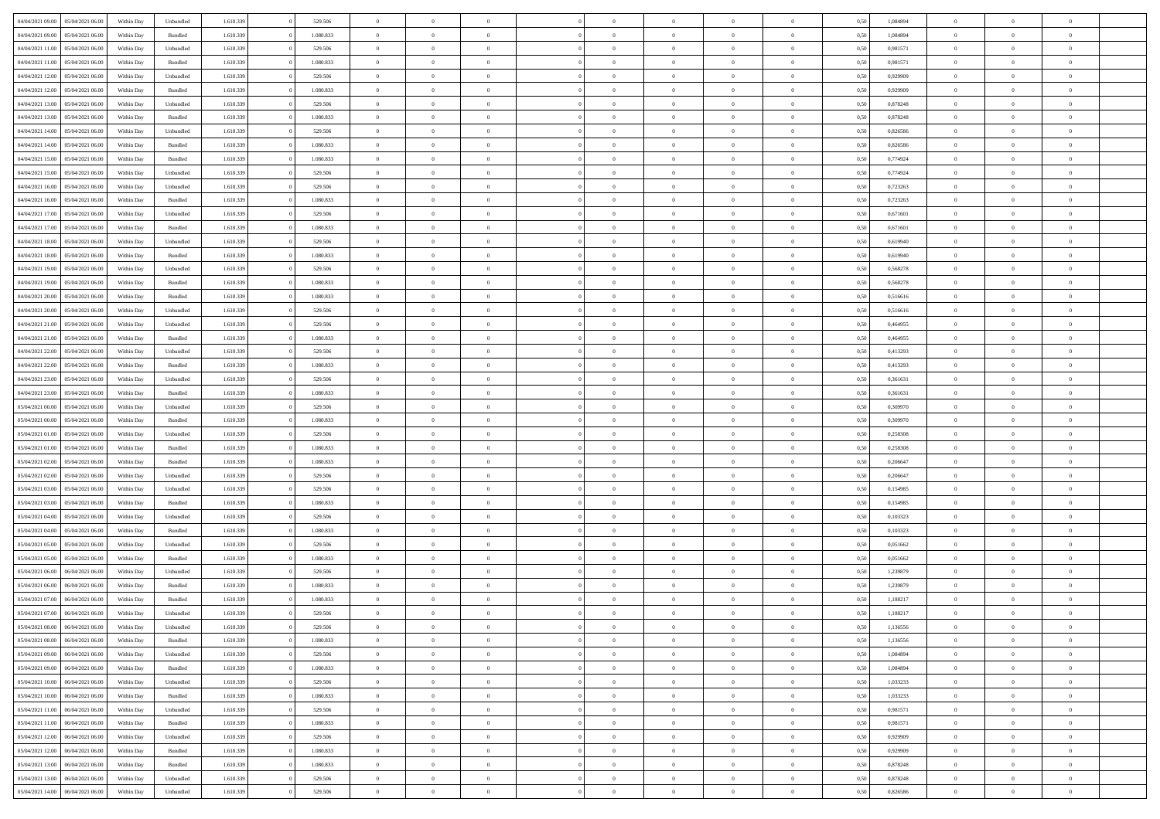| 04/04/2021 09:00                  | 05/04/2021 06:00 | Within Day | Unbundled | 1.610.339 | 529.506   | $\overline{0}$ | $\Omega$       |                | $\Omega$       | $\Omega$       | $\Omega$       | $\theta$       | 0,50 | 1,084894 | $\theta$       | $\theta$       | $\theta$       |  |
|-----------------------------------|------------------|------------|-----------|-----------|-----------|----------------|----------------|----------------|----------------|----------------|----------------|----------------|------|----------|----------------|----------------|----------------|--|
| 04/04/2021 09:00                  | 05/04/2021 06:00 | Within Day | Bundled   | 1.610.339 | 1.080.833 | $\overline{0}$ | $\theta$       | $\overline{0}$ | $\overline{0}$ | $\bf{0}$       | $\overline{0}$ | $\bf{0}$       | 0,50 | 1,084894 | $\theta$       | $\theta$       | $\overline{0}$ |  |
| 04/04/2021 11:00                  | 05/04/2021 06:00 | Within Day | Unbundled | 1.610.339 | 529.506   | $\overline{0}$ | $\overline{0}$ | $\overline{0}$ | $\bf{0}$       | $\bf{0}$       | $\bf{0}$       | $\bf{0}$       | 0,50 | 0,981571 | $\overline{0}$ | $\overline{0}$ | $\overline{0}$ |  |
| 04/04/2021 11:00                  | 05/04/2021 06:00 | Within Dav | Bundled   | 1.610.339 | 1.080.833 | $\overline{0}$ | $\overline{0}$ | $\overline{0}$ | $\overline{0}$ | $\bf{0}$       | $\overline{0}$ | $\overline{0}$ | 0.50 | 0.981571 | $\theta$       | $\theta$       | $\overline{0}$ |  |
|                                   |                  |            |           |           |           |                |                |                |                |                |                |                |      |          |                |                |                |  |
| 04/04/2021 12:00                  | 05/04/2021 06:00 | Within Day | Unbundled | 1.610.339 | 529.506   | $\overline{0}$ | $\theta$       | $\overline{0}$ | $\overline{0}$ | $\bf{0}$       | $\overline{0}$ | $\bf{0}$       | 0,50 | 0,929909 | $\theta$       | $\overline{0}$ | $\overline{0}$ |  |
| 04/04/2021 12:00                  | 05/04/2021 06:00 | Within Day | Bundled   | 1.610.339 | 1.080.833 | $\overline{0}$ | $\overline{0}$ | $\overline{0}$ | $\overline{0}$ | $\overline{0}$ | $\overline{0}$ | $\mathbf{0}$   | 0,50 | 0,929909 | $\overline{0}$ | $\overline{0}$ | $\bf{0}$       |  |
| 04/04/2021 13:00                  | 05/04/2021 06:00 | Within Dav | Unbundled | 1.610.339 | 529.506   | $\overline{0}$ | $\overline{0}$ | $\overline{0}$ | $\overline{0}$ | $\overline{0}$ | $\overline{0}$ | $\overline{0}$ | 0.50 | 0,878248 | $\theta$       | $\overline{0}$ | $\overline{0}$ |  |
| 04/04/2021 13:00                  | 05/04/2021 06:00 | Within Day | Bundled   | 1.610.339 | 1.080.833 | $\overline{0}$ | $\theta$       | $\overline{0}$ | $\overline{0}$ | $\bf{0}$       | $\overline{0}$ | $\bf{0}$       | 0,50 | 0,878248 | $\theta$       | $\theta$       | $\overline{0}$ |  |
| 04/04/2021 14:00                  | 05/04/2021 06:00 | Within Day | Unbundled | 1.610.339 | 529.506   | $\overline{0}$ | $\overline{0}$ | $\overline{0}$ | $\overline{0}$ | $\bf{0}$       | $\overline{0}$ | $\bf{0}$       | 0,50 | 0,826586 | $\,0\,$        | $\overline{0}$ | $\overline{0}$ |  |
| 04/04/2021 14:00                  | 05/04/2021 06:00 | Within Dav | Bundled   | 1.610.339 | 1.080.833 | $\overline{0}$ | $\overline{0}$ | $\overline{0}$ | $\overline{0}$ | $\overline{0}$ | $\overline{0}$ | $\overline{0}$ | 0.50 | 0,826586 | $\theta$       | $\overline{0}$ | $\overline{0}$ |  |
|                                   |                  |            |           |           |           |                |                |                |                |                |                |                |      |          |                |                |                |  |
| 04/04/2021 15:00                  | 05/04/2021 06:00 | Within Day | Bundled   | 1.610.339 | 1.080.833 | $\overline{0}$ | $\theta$       | $\overline{0}$ | $\overline{0}$ | $\bf{0}$       | $\overline{0}$ | $\bf{0}$       | 0,50 | 0,774924 | $\,$ 0 $\,$    | $\overline{0}$ | $\overline{0}$ |  |
| 04/04/2021 15:00                  | 05/04/2021 06:00 | Within Day | Unbundled | 1.610.339 | 529.506   | $\overline{0}$ | $\overline{0}$ | $\overline{0}$ | $\overline{0}$ | $\bf{0}$       | $\overline{0}$ | $\mathbf{0}$   | 0,50 | 0,774924 | $\overline{0}$ | $\overline{0}$ | $\overline{0}$ |  |
| 04/04/2021 16:00                  | 05/04/2021 06:00 | Within Day | Unbundled | 1.610.339 | 529.506   | $\overline{0}$ | $\overline{0}$ | $\overline{0}$ | $\overline{0}$ | $\bf{0}$       | $\overline{0}$ | $\overline{0}$ | 0.50 | 0,723263 | $\theta$       | $\theta$       | $\overline{0}$ |  |
| 04/04/2021 16:00                  | 05/04/2021 06:00 | Within Day | Bundled   | 1.610.339 | 1.080.833 | $\overline{0}$ | $\theta$       | $\overline{0}$ | $\overline{0}$ | $\bf{0}$       | $\overline{0}$ | $\bf{0}$       | 0,50 | 0,723263 | $\theta$       | $\theta$       | $\overline{0}$ |  |
| 04/04/2021 17.00                  | 05/04/2021 06:00 | Within Day | Unbundled | 1.610.339 | 529.506   | $\overline{0}$ | $\overline{0}$ | $\overline{0}$ | $\overline{0}$ | $\overline{0}$ | $\overline{0}$ | $\mathbf{0}$   | 0,50 | 0,671601 | $\overline{0}$ | $\overline{0}$ | $\bf{0}$       |  |
| 04/04/2021 17:00                  | 05/04/2021 06:00 | Within Dav | Bundled   | 1.610.339 | 1.080.833 | $\overline{0}$ | $\overline{0}$ | $\overline{0}$ | $\overline{0}$ | $\overline{0}$ | $\overline{0}$ | $\overline{0}$ | 0.50 | 0,671601 | $\theta$       | $\overline{0}$ | $\overline{0}$ |  |
|                                   |                  |            |           |           |           |                |                |                |                |                |                |                |      |          |                |                |                |  |
| 04/04/2021 18:00                  | 05/04/2021 06:00 | Within Day | Unbundled | 1.610.339 | 529.506   | $\overline{0}$ | $\theta$       | $\overline{0}$ | $\overline{0}$ | $\bf{0}$       | $\overline{0}$ | $\bf{0}$       | 0,50 | 0,619940 | $\theta$       | $\theta$       | $\overline{0}$ |  |
| 04/04/2021 18:00                  | 05/04/2021 06:00 | Within Day | Bundled   | 1.610.339 | 1.080.833 | $\overline{0}$ | $\overline{0}$ | $\overline{0}$ | $\overline{0}$ | $\bf{0}$       | $\overline{0}$ | $\bf{0}$       | 0,50 | 0,619940 | $\,0\,$        | $\overline{0}$ | $\overline{0}$ |  |
| 04/04/2021 19:00                  | 05/04/2021 06:00 | Within Dav | Unbundled | 1.610.339 | 529.506   | $\overline{0}$ | $\overline{0}$ | $\overline{0}$ | $\overline{0}$ | $\overline{0}$ | $\overline{0}$ | $\overline{0}$ | 0.50 | 0,568278 | $\theta$       | $\overline{0}$ | $\overline{0}$ |  |
| 04/04/2021 19:00                  | 05/04/2021 06:00 | Within Day | Bundled   | 1.610.339 | 1.080.833 | $\overline{0}$ | $\theta$       | $\overline{0}$ | $\overline{0}$ | $\bf{0}$       | $\overline{0}$ | $\bf{0}$       | 0,50 | 0,568278 | $\,$ 0 $\,$    | $\theta$       | $\overline{0}$ |  |
| 04/04/2021 20.00                  | 05/04/2021 06:00 | Within Day | Bundled   | 1.610.339 | 1.080.833 | $\overline{0}$ | $\overline{0}$ | $\overline{0}$ | $\overline{0}$ | $\bf{0}$       | $\overline{0}$ | $\bf{0}$       | 0,50 | 0,516616 | $\bf{0}$       | $\overline{0}$ | $\overline{0}$ |  |
| 04/04/2021 20:00                  | 05/04/2021 06:00 | Within Day | Unbundled | 1.610.339 | 529.506   | $\overline{0}$ | $\overline{0}$ | $\overline{0}$ | $\overline{0}$ | $\bf{0}$       | $\overline{0}$ | $\overline{0}$ | 0.50 | 0.516616 | $\theta$       | $\overline{0}$ | $\overline{0}$ |  |
|                                   |                  |            |           |           |           |                |                |                |                |                |                |                |      |          |                |                |                |  |
| 04/04/2021 21.00                  | 05/04/2021 06:00 | Within Day | Unbundled | 1.610.339 | 529.506   | $\overline{0}$ | $\theta$       | $\overline{0}$ | $\overline{0}$ | $\bf{0}$       | $\overline{0}$ | $\bf{0}$       | 0,50 | 0,464955 | $\,$ 0 $\,$    | $\overline{0}$ | $\overline{0}$ |  |
| 04/04/2021 21.00                  | 05/04/2021 06:00 | Within Day | Bundled   | 1.610.339 | 1.080.833 | $\overline{0}$ | $\overline{0}$ | $\overline{0}$ | $\bf{0}$       | $\overline{0}$ | $\overline{0}$ | $\mathbf{0}$   | 0,50 | 0,464955 | $\overline{0}$ | $\overline{0}$ | $\bf{0}$       |  |
| 04/04/2021 22:00                  | 05/04/2021 06:00 | Within Dav | Unbundled | 1.610.339 | 529.506   | $\overline{0}$ | $\overline{0}$ | $\overline{0}$ | $\overline{0}$ | $\overline{0}$ | $\overline{0}$ | $\overline{0}$ | 0.50 | 0,413293 | $\overline{0}$ | $\overline{0}$ | $\overline{0}$ |  |
| 04/04/2021 22.00                  | 05/04/2021 06:00 | Within Day | Bundled   | 1.610.339 | 1.080.833 | $\overline{0}$ | $\theta$       | $\overline{0}$ | $\overline{0}$ | $\bf{0}$       | $\overline{0}$ | $\bf{0}$       | 0,50 | 0,413293 | $\theta$       | $\theta$       | $\overline{0}$ |  |
| 04/04/2021 23.00                  | 05/04/2021 06:00 | Within Day | Unbundled | 1.610.339 | 529.506   | $\overline{0}$ | $\overline{0}$ | $\overline{0}$ | $\bf{0}$       | $\bf{0}$       | $\bf{0}$       | $\bf{0}$       | 0,50 | 0,361631 | $\,0\,$        | $\overline{0}$ | $\overline{0}$ |  |
| 04/04/2021 23:00                  | 05/04/2021 06:00 | Within Day | Bundled   | 1.610.339 | 1.080.833 | $\overline{0}$ | $\overline{0}$ | $\overline{0}$ | $\overline{0}$ | $\overline{0}$ | $\overline{0}$ | $\overline{0}$ | 0.50 | 0,361631 | $\theta$       | $\overline{0}$ | $\overline{0}$ |  |
|                                   |                  |            |           |           |           | $\overline{0}$ | $\theta$       | $\overline{0}$ |                | $\bf{0}$       | $\overline{0}$ |                |      |          |                |                | $\overline{0}$ |  |
| 05/04/2021 00:00                  | 05/04/2021 06:00 | Within Day | Unbundled | 1.610.339 | 529.506   |                |                |                | $\overline{0}$ |                |                | $\bf{0}$       | 0,50 | 0,309970 | $\,$ 0 $\,$    | $\overline{0}$ |                |  |
| 05/04/2021 00:00                  | 05/04/2021 06:00 | Within Day | Bundled   | 1.610.339 | 1.080.833 | $\overline{0}$ | $\overline{0}$ | $\overline{0}$ | $\bf{0}$       | $\bf{0}$       | $\bf{0}$       | $\bf{0}$       | 0,50 | 0,309970 | $\overline{0}$ | $\overline{0}$ | $\overline{0}$ |  |
| 05/04/2021 01:00                  | 05/04/2021 06:00 | Within Day | Unbundled | 1.610.339 | 529.506   | $\overline{0}$ | $\Omega$       | $\Omega$       | $\Omega$       | $\Omega$       | $\Omega$       | $\overline{0}$ | 0,50 | 0,258308 | $\,0\,$        | $\theta$       | $\theta$       |  |
| 05/04/2021 01:00                  | 05/04/2021 06:00 | Within Day | Bundled   | 1.610.339 | 1.080.833 | $\overline{0}$ | $\theta$       | $\overline{0}$ | $\overline{0}$ | $\bf{0}$       | $\overline{0}$ | $\bf{0}$       | 0,50 | 0,258308 | $\theta$       | $\theta$       | $\overline{0}$ |  |
| 05/04/2021 02:00                  | 05/04/2021 06:00 | Within Day | Bundled   | 1.610.339 | 1.080.833 | $\overline{0}$ | $\overline{0}$ | $\overline{0}$ | $\bf{0}$       | $\bf{0}$       | $\overline{0}$ | $\mathbf{0}$   | 0,50 | 0,206647 | $\overline{0}$ | $\overline{0}$ | $\bf{0}$       |  |
| 05/04/2021 02:00                  | 05/04/2021 06:00 | Within Day | Unbundled | 1.610.339 | 529.506   | $\overline{0}$ | $\Omega$       | $\Omega$       | $\Omega$       | $\bf{0}$       | $\overline{0}$ | $\overline{0}$ | 0.50 | 0.206647 | $\theta$       | $\theta$       | $\theta$       |  |
| 05/04/2021 03:00                  | 05/04/2021 06:00 | Within Day | Unbundled | 1.610.339 | 529.506   | $\overline{0}$ | $\theta$       | $\overline{0}$ | $\overline{0}$ | $\bf{0}$       | $\overline{0}$ | $\bf{0}$       | 0,50 | 0,154985 | $\,$ 0 $\,$    | $\theta$       | $\overline{0}$ |  |
|                                   |                  |            |           |           |           |                |                |                |                |                |                |                |      |          |                |                |                |  |
| 05/04/2021 03:00                  | 05/04/2021 06:00 | Within Day | Bundled   | 1.610.339 | 1.080.833 | $\overline{0}$ | $\overline{0}$ | $\overline{0}$ | $\bf{0}$       | $\bf{0}$       | $\bf{0}$       | $\bf{0}$       | 0,50 | 0,154985 | $\bf{0}$       | $\overline{0}$ | $\overline{0}$ |  |
| 05/04/2021 04:00                  | 05/04/2021 06:00 | Within Day | Unbundled | 1.610.339 | 529.506   | $\overline{0}$ | $\Omega$       | $\Omega$       | $\Omega$       | $\theta$       | $\theta$       | $\overline{0}$ | 0.50 | 0.103323 | $\theta$       | $\theta$       | $\theta$       |  |
| 05/04/2021 04:00                  | 05/04/2021 06:00 | Within Day | Bundled   | 1.610.339 | 1.080.833 | $\overline{0}$ | $\theta$       | $\overline{0}$ | $\overline{0}$ | $\bf{0}$       | $\overline{0}$ | $\bf{0}$       | 0,50 | 0,103323 | $\,$ 0 $\,$    | $\overline{0}$ | $\overline{0}$ |  |
| 05/04/2021 05:00                  | 05/04/2021 06:00 | Within Day | Unbundled | 1.610.339 | 529.506   | $\overline{0}$ | $\overline{0}$ | $\overline{0}$ | $\bf{0}$       | $\bf{0}$       | $\bf{0}$       | $\bf{0}$       | 0,50 | 0,051662 | $\overline{0}$ | $\overline{0}$ | $\overline{0}$ |  |
| 05/04/2021 05:00                  | 05/04/2021 06:00 | Within Day | Bundled   | 1.610.339 | 1.080.833 | $\overline{0}$ | $\Omega$       | $\overline{0}$ | $\Omega$       | $\Omega$       | $\overline{0}$ | $\overline{0}$ | 0.50 | 0,051662 | $\,0\,$        | $\theta$       | $\theta$       |  |
| 05/04/2021 06:00                  | 06/04/2021 06:00 | Within Day | Unbundled | 1.610.339 | 529.506   | $\overline{0}$ | $\theta$       | $\overline{0}$ | $\overline{0}$ | $\bf{0}$       | $\overline{0}$ | $\bf{0}$       | 0,50 | 1,239879 | $\,$ 0 $\,$    | $\overline{0}$ | $\overline{0}$ |  |
|                                   |                  |            |           |           |           |                |                |                |                |                |                |                |      |          |                |                |                |  |
| 05/04/2021 06:00                  | 06/04/2021 06:00 | Within Day | Bundled   | 1.610.339 | 1.080.833 | $\overline{0}$ | $\overline{0}$ | $\overline{0}$ | $\overline{0}$ | $\bf{0}$       | $\overline{0}$ | $\mathbf{0}$   | 0,50 | 1,239879 | $\overline{0}$ | $\overline{0}$ | $\bf{0}$       |  |
| 05/04/2021 07:00                  | 06/04/2021 06:00 | Within Day | Bundled   | 1.610.339 | 1.080.833 | $\overline{0}$ | $\Omega$       | $\Omega$       | $\Omega$       | $\Omega$       | $\Omega$       | $\overline{0}$ | 0.50 | 1,188217 | $\theta$       | $\theta$       | $\theta$       |  |
| 05/04/2021 07:00                  | 06/04/2021 06:00 | Within Day | Unbundled | 1.610.339 | 529.506   | $\overline{0}$ | $\overline{0}$ | $\overline{0}$ | $\bf{0}$       | $\,$ 0         | $\overline{0}$ | $\bf{0}$       | 0,50 | 1,188217 | $\,0\,$        | $\overline{0}$ | $\overline{0}$ |  |
| 05/04/2021 08:00 06/04/2021 06:00 |                  | Within Day | Unbundled | 1.610.339 | 529.506   | $\bf{0}$       | $\bf{0}$       |                |                |                |                |                | 0,50 | 1,136556 | $\bf{0}$       | $\overline{0}$ |                |  |
| 05/04/2021 08:00                  | 06/04/2021 06:00 | Within Day | Bundled   | 1.610.339 | 1.080.833 | $\overline{0}$ | $\overline{0}$ | $\overline{0}$ | $\Omega$       | $\overline{0}$ | $\overline{0}$ | $\overline{0}$ | 0,50 | 1,136556 | $\theta$       | $\theta$       | $\Omega$       |  |
| 05/04/2021 09:00                  | 06/04/2021 06:00 | Within Day | Unbundled | 1.610.339 | 529.506   | $\overline{0}$ | $\,$ 0         | $\overline{0}$ | $\overline{0}$ | $\,$ 0 $\,$    | $\overline{0}$ | $\,$ 0 $\,$    | 0,50 | 1,084894 | $\,$ 0 $\,$    | $\,$ 0 $\,$    | $\,$ 0         |  |
| 05/04/2021 09:00                  | 06/04/2021 06:00 | Within Day | Bundled   | 1.610.339 | 1.080.833 | $\overline{0}$ | $\overline{0}$ | $\overline{0}$ | $\overline{0}$ | $\overline{0}$ | $\overline{0}$ | $\mathbf{0}$   | 0,50 | 1,084894 | $\overline{0}$ | $\bf{0}$       | $\bf{0}$       |  |
|                                   |                  |            |           |           |           |                |                |                |                |                |                |                |      |          |                |                |                |  |
| 05/04/2021 10:00                  | 06/04/2021 06:00 | Within Day | Unbundled | 1.610.339 | 529.506   | $\overline{0}$ | $\overline{0}$ | $\overline{0}$ | $\Omega$       | $\overline{0}$ | $\overline{0}$ | $\overline{0}$ | 0,50 | 1,033233 | $\overline{0}$ | $\theta$       | $\overline{0}$ |  |
| 05/04/2021 10:00                  | 06/04/2021 06:00 | Within Day | Bundled   | 1.610.339 | 1.080.833 | $\overline{0}$ | $\,$ 0         | $\overline{0}$ | $\overline{0}$ | $\,$ 0 $\,$    | $\overline{0}$ | $\mathbf{0}$   | 0,50 | 1,033233 | $\,$ 0 $\,$    | $\overline{0}$ | $\overline{0}$ |  |
| 05/04/2021 11:00                  | 06/04/2021 06:00 | Within Day | Unbundled | 1.610.339 | 529.506   | $\overline{0}$ | $\overline{0}$ | $\overline{0}$ | $\overline{0}$ | $\overline{0}$ | $\overline{0}$ | $\mathbf{0}$   | 0,50 | 0,981571 | $\overline{0}$ | $\overline{0}$ | $\bf{0}$       |  |
| 05/04/2021 11:00                  | 06/04/2021 06:00 | Within Day | Bundled   | 1.610.339 | 1.080.833 | $\overline{0}$ | $\overline{0}$ | $\overline{0}$ | $\overline{0}$ | $\overline{0}$ | $\overline{0}$ | $\bf{0}$       | 0.50 | 0,981571 | $\overline{0}$ | $\theta$       | $\overline{0}$ |  |
| 05/04/2021 12:00                  | 06/04/2021 06:00 | Within Day | Unbundled | 1.610.339 | 529.506   | $\overline{0}$ | $\,$ 0         | $\overline{0}$ | $\overline{0}$ | $\bf{0}$       | $\overline{0}$ | $\bf{0}$       | 0,50 | 0,929909 | $\,$ 0 $\,$    | $\overline{0}$ | $\overline{0}$ |  |
| 05/04/2021 12:00                  | 06/04/2021 06:00 | Within Day | Bundled   | 1.610.339 | 1.080.833 | $\overline{0}$ | $\bf{0}$       | $\overline{0}$ | $\overline{0}$ | $\overline{0}$ | $\overline{0}$ | $\mathbf{0}$   | 0,50 | 0,929909 | $\overline{0}$ | $\overline{0}$ | $\bf{0}$       |  |
|                                   |                  |            |           |           |           |                |                |                |                |                |                |                |      |          |                |                |                |  |
| 05/04/2021 13:00                  | 06/04/2021 06:00 | Within Day | Bundled   | 1.610.339 | 1.080.833 | $\overline{0}$ | $\overline{0}$ | $\overline{0}$ | $\Omega$       | $\overline{0}$ | $\overline{0}$ | $\overline{0}$ | 0.50 | 0,878248 | $\overline{0}$ | $\overline{0}$ | $\overline{0}$ |  |
| 05/04/2021 13:00                  | 06/04/2021 06:00 | Within Day | Unbundled | 1.610.339 | 529.506   | $\overline{0}$ | $\bf{0}$       | $\overline{0}$ | $\overline{0}$ | $\bf{0}$       | $\overline{0}$ | $\mathbf{0}$   | 0,50 | 0,878248 | $\,$ 0 $\,$    | $\,$ 0 $\,$    | $\bf{0}$       |  |
| 05/04/2021 14:00                  | 06/04/2021 06:00 | Within Day | Unbundled | 1.610.339 | 529.506   | $\overline{0}$ | $\bf{0}$       | $\overline{0}$ | $\overline{0}$ | $\bf{0}$       | $\overline{0}$ | $\bf{0}$       | 0,50 | 0,826586 | $\overline{0}$ | $\overline{0}$ | $\bf{0}$       |  |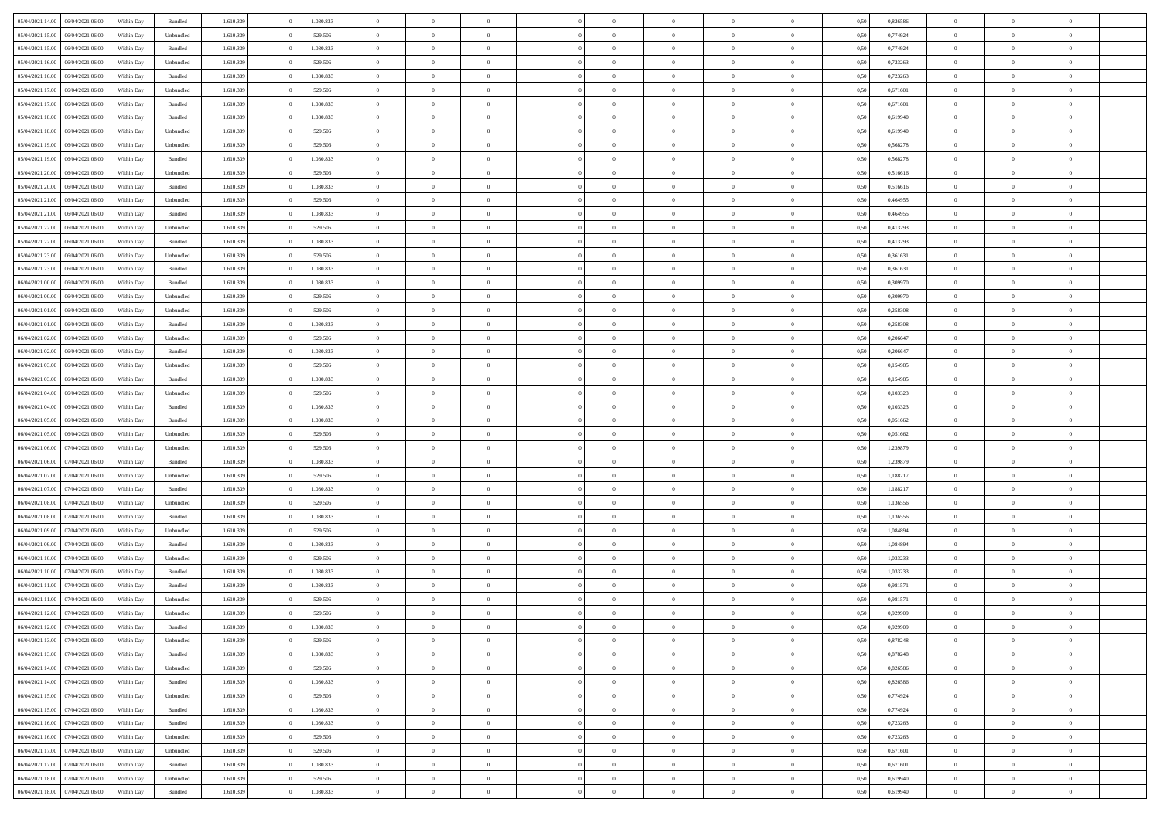| 05/04/2021 14:00                  | 06/04/2021 06:00 | Within Day | Bundled            | 1.610.339 | 1.080.833 | $\overline{0}$ | $\Omega$       |                | $\Omega$       | $\Omega$       | $\theta$       | $\theta$       | 0,50 | 0,826586 | $\theta$       | $\theta$       | $\theta$       |  |
|-----------------------------------|------------------|------------|--------------------|-----------|-----------|----------------|----------------|----------------|----------------|----------------|----------------|----------------|------|----------|----------------|----------------|----------------|--|
|                                   |                  |            |                    |           |           |                |                |                |                |                |                |                |      |          |                |                |                |  |
| 05/04/2021 15:00                  | 06/04/2021 06:00 | Within Day | Unbundled          | 1.610.339 | 529.506   | $\overline{0}$ | $\theta$       | $\overline{0}$ | $\overline{0}$ | $\bf{0}$       | $\overline{0}$ | $\bf{0}$       | 0,50 | 0,774924 | $\theta$       | $\overline{0}$ | $\overline{0}$ |  |
| 05/04/2021 15:00                  | 06/04/2021 06:00 | Within Day | Bundled            | 1.610.339 | 1.080.833 | $\overline{0}$ | $\overline{0}$ | $\overline{0}$ | $\overline{0}$ | $\bf{0}$       | $\overline{0}$ | $\mathbf{0}$   | 0,50 | 0,774924 | $\overline{0}$ | $\overline{0}$ | $\bf{0}$       |  |
| 05/04/2021 16:00                  | 06/04/2021 06:00 | Within Day | Unbundled          | 1.610.339 | 529.506   | $\overline{0}$ | $\overline{0}$ | $\overline{0}$ | $\overline{0}$ | $\bf{0}$       | $\overline{0}$ | $\overline{0}$ | 0.50 | 0,723263 | $\theta$       | $\theta$       | $\overline{0}$ |  |
|                                   |                  |            |                    |           |           |                |                |                |                |                |                |                |      |          |                |                |                |  |
| 05/04/2021 16:00                  | 06/04/2021 06:00 | Within Day | Bundled            | 1.610.339 | 1.080.833 | $\overline{0}$ | $\theta$       | $\overline{0}$ | $\overline{0}$ | $\bf{0}$       | $\overline{0}$ | $\bf{0}$       | 0,50 | 0,723263 | $\,$ 0 $\,$    | $\overline{0}$ | $\overline{0}$ |  |
| 05/04/2021 17:00                  | 06/04/2021 06:00 | Within Day | Unbundled          | 1.610.339 | 529.506   | $\overline{0}$ | $\overline{0}$ | $\overline{0}$ | $\bf{0}$       | $\overline{0}$ | $\overline{0}$ | $\mathbf{0}$   | 0,50 | 0,671601 | $\overline{0}$ | $\overline{0}$ | $\bf{0}$       |  |
| 05/04/2021 17:00                  | 06/04/2021 06:00 | Within Dav | Bundled            | 1.610.339 | 1.080.833 | $\overline{0}$ | $\overline{0}$ | $\overline{0}$ | $\overline{0}$ | $\overline{0}$ | $\overline{0}$ | $\overline{0}$ | 0.50 | 0,671601 | $\theta$       | $\overline{0}$ | $\overline{0}$ |  |
| 05/04/2021 18:00                  | 06/04/2021 06:00 | Within Day | Bundled            | 1.610.339 | 1.080.833 | $\overline{0}$ | $\theta$       | $\overline{0}$ | $\overline{0}$ | $\bf{0}$       | $\overline{0}$ | $\bf{0}$       | 0,50 | 0,619940 | $\theta$       | $\theta$       | $\overline{0}$ |  |
|                                   |                  |            |                    |           |           |                | $\overline{0}$ |                |                | $\bf{0}$       |                |                |      |          | $\,0\,$        | $\overline{0}$ | $\overline{0}$ |  |
| 05/04/2021 18:00                  | 06/04/2021 06:00 | Within Day | Unbundled          | 1.610.339 | 529.506   | $\overline{0}$ |                | $\overline{0}$ | $\bf{0}$       |                | $\bf{0}$       | $\mathbf{0}$   | 0,50 | 0,619940 |                |                |                |  |
| 05/04/2021 19:00                  | 06/04/2021 06:00 | Within Dav | Unbundled          | 1.610.339 | 529.506   | $\overline{0}$ | $\overline{0}$ | $\overline{0}$ | $\overline{0}$ | $\overline{0}$ | $\overline{0}$ | $\overline{0}$ | 0.50 | 0,568278 | $\theta$       | $\overline{0}$ | $\overline{0}$ |  |
| 05/04/2021 19:00                  | 06/04/2021 06:00 | Within Day | Bundled            | 1.610.339 | 1.080.833 | $\overline{0}$ | $\theta$       | $\overline{0}$ | $\overline{0}$ | $\bf{0}$       | $\overline{0}$ | $\bf{0}$       | 0,50 | 0,568278 | $\,$ 0 $\,$    | $\overline{0}$ | $\overline{0}$ |  |
| 05/04/2021 20.00                  | 06/04/2021 06:00 | Within Day | Unbundled          | 1.610.339 | 529.506   | $\overline{0}$ | $\overline{0}$ | $\overline{0}$ | $\bf{0}$       | $\bf{0}$       | $\bf{0}$       | $\mathbf{0}$   | 0,50 | 0,516616 | $\overline{0}$ | $\overline{0}$ | $\bf{0}$       |  |
| 05/04/2021 20:00                  | 06/04/2021 06:00 | Within Day | Bundled            | 1.610.339 | 1.080.833 | $\overline{0}$ | $\overline{0}$ | $\overline{0}$ | $\overline{0}$ | $\bf{0}$       | $\overline{0}$ | $\overline{0}$ | 0.50 | 0.516616 | $\theta$       | $\theta$       | $\overline{0}$ |  |
|                                   |                  |            |                    |           |           | $\overline{0}$ | $\theta$       |                |                | $\bf{0}$       |                |                |      |          | $\theta$       | $\overline{0}$ |                |  |
| 05/04/2021 21:00                  | 06/04/2021 06:00 | Within Day | Unbundled          | 1.610.339 | 529.506   |                |                | $\overline{0}$ | $\overline{0}$ |                | $\overline{0}$ | $\bf{0}$       | 0,50 | 0,464955 |                |                | $\overline{0}$ |  |
| 05/04/2021 21.00                  | 06/04/2021 06:00 | Within Day | Bundled            | 1.610.339 | 1.080.833 | $\overline{0}$ | $\overline{0}$ | $\overline{0}$ | $\bf{0}$       | $\overline{0}$ | $\overline{0}$ | $\mathbf{0}$   | 0,50 | 0,464955 | $\overline{0}$ | $\overline{0}$ | $\bf{0}$       |  |
| 05/04/2021 22.00                  | 06/04/2021 06:00 | Within Dav | Unbundled          | 1.610.339 | 529.506   | $\overline{0}$ | $\overline{0}$ | $\overline{0}$ | $\overline{0}$ | $\overline{0}$ | $\overline{0}$ | $\overline{0}$ | 0.50 | 0,413293 | $\theta$       | $\overline{0}$ | $\overline{0}$ |  |
| 05/04/2021 22.00                  | 06/04/2021 06:00 | Within Day | Bundled            | 1.610.339 | 1.080.833 | $\overline{0}$ | $\theta$       | $\overline{0}$ | $\overline{0}$ | $\bf{0}$       | $\overline{0}$ | $\bf{0}$       | 0,50 | 0,413293 | $\,$ 0 $\,$    | $\overline{0}$ | $\overline{0}$ |  |
| 05/04/2021 23.00                  | 06/04/2021 06:00 | Within Day | Unbundled          | 1.610.339 | 529.506   | $\overline{0}$ | $\overline{0}$ | $\overline{0}$ | $\bf{0}$       | $\bf{0}$       | $\bf{0}$       | $\mathbf{0}$   | 0,50 | 0,361631 | $\bf{0}$       | $\overline{0}$ | $\bf{0}$       |  |
|                                   |                  |            |                    |           |           |                |                |                |                |                |                |                |      |          |                |                |                |  |
| 05/04/2021 23:00                  | 06/04/2021 06:00 | Within Dav | Bundled            | 1.610.339 | 1.080.833 | $\overline{0}$ | $\overline{0}$ | $\overline{0}$ | $\overline{0}$ | $\overline{0}$ | $\overline{0}$ | $\overline{0}$ | 0.50 | 0,361631 | $\theta$       | $\overline{0}$ | $\overline{0}$ |  |
| 06/04/2021 00:00                  | 06/04/2021 06:00 | Within Day | Bundled            | 1.610.339 | 1.080.833 | $\overline{0}$ | $\theta$       | $\overline{0}$ | $\overline{0}$ | $\bf{0}$       | $\overline{0}$ | $\bf{0}$       | 0,50 | 0,309970 | $\,$ 0 $\,$    | $\overline{0}$ | $\overline{0}$ |  |
| 06/04/2021 00:00                  | 06/04/2021 06:00 | Within Day | Unbundled          | 1.610.339 | 529.506   | $\overline{0}$ | $\overline{0}$ | $\overline{0}$ | $\bf{0}$       | $\bf{0}$       | $\bf{0}$       | $\mathbf{0}$   | 0,50 | 0,309970 | $\overline{0}$ | $\overline{0}$ | $\bf{0}$       |  |
| 06/04/2021 01:00                  | 06/04/2021 06:00 | Within Day | Unbundled          | 1.610.339 | 529.506   | $\overline{0}$ | $\overline{0}$ | $\overline{0}$ | $\overline{0}$ | $\overline{0}$ | $\overline{0}$ | $\overline{0}$ | 0.50 | 0,258308 | $\theta$       | $\overline{0}$ | $\overline{0}$ |  |
| 06/04/2021 01:00                  | 06/04/2021 06:00 | Within Day | Bundled            | 1.610.339 | 1.080.833 | $\overline{0}$ | $\theta$       | $\overline{0}$ | $\overline{0}$ | $\bf{0}$       | $\overline{0}$ |                |      | 0,258308 | $\,$ 0 $\,$    | $\overline{0}$ | $\overline{0}$ |  |
|                                   |                  |            |                    |           |           |                |                |                |                |                |                | $\bf{0}$       | 0,50 |          |                |                |                |  |
| 06/04/2021 02:00                  | 06/04/2021 06:00 | Within Day | Unbundled          | 1.610.339 | 529.506   | $\overline{0}$ | $\overline{0}$ | $\overline{0}$ | $\overline{0}$ | $\overline{0}$ | $\overline{0}$ | $\mathbf{0}$   | 0,50 | 0,206647 | $\overline{0}$ | $\overline{0}$ | $\bf{0}$       |  |
| 06/04/2021 02:00                  | 06/04/2021 06:00 | Within Dav | Bundled            | 1.610.339 | 1.080.833 | $\overline{0}$ | $\overline{0}$ | $\overline{0}$ | $\overline{0}$ | $\overline{0}$ | $\overline{0}$ | $\overline{0}$ | 0.50 | 0.206647 | $\overline{0}$ | $\overline{0}$ | $\overline{0}$ |  |
| 06/04/2021 03:00                  | 06/04/2021 06:00 | Within Day | Unbundled          | 1.610.339 | 529.506   | $\overline{0}$ | $\theta$       | $\overline{0}$ | $\overline{0}$ | $\bf{0}$       | $\overline{0}$ | $\bf{0}$       | 0,50 | 0,154985 | $\,$ 0 $\,$    | $\overline{0}$ | $\overline{0}$ |  |
| 06/04/2021 03:00                  | 06/04/2021 06:00 | Within Day | Bundled            | 1.610.339 | 1.080.833 | $\overline{0}$ | $\overline{0}$ | $\overline{0}$ | $\overline{0}$ | $\bf{0}$       | $\overline{0}$ | $\mathbf{0}$   | 0,50 | 0,154985 | $\,0\,$        | $\overline{0}$ | $\overline{0}$ |  |
|                                   |                  |            |                    |           |           |                | $\overline{0}$ |                |                | $\overline{0}$ |                |                |      |          | $\theta$       | $\overline{0}$ | $\overline{0}$ |  |
| 06/04/2021 04:00                  | 06/04/2021 06:00 | Within Day | Unbundled          | 1.610.339 | 529.506   | $\overline{0}$ |                | $\overline{0}$ | $\overline{0}$ |                | $\overline{0}$ | $\overline{0}$ | 0.50 | 0,103323 |                |                |                |  |
| 06/04/2021 04:00                  | 06/04/2021 06:00 | Within Day | Bundled            | 1.610.339 | 1.080.833 | $\overline{0}$ | $\theta$       | $\overline{0}$ | $\overline{0}$ | $\bf{0}$       | $\overline{0}$ | $\bf{0}$       | 0,50 | 0,103323 | $\,$ 0 $\,$    | $\overline{0}$ | $\overline{0}$ |  |
| 06/04/2021 05:00                  | 06/04/2021 06:00 | Within Day | Bundled            | 1.610.339 | 1.080.833 | $\overline{0}$ | $\overline{0}$ | $\overline{0}$ | $\overline{0}$ | $\bf{0}$       | $\overline{0}$ | $\bf{0}$       | 0,50 | 0,051662 | $\overline{0}$ | $\overline{0}$ | $\bf{0}$       |  |
| 06/04/2021 05:00                  | 06/04/2021 06:00 | Within Day | Unbundled          | 1.610.339 | 529.506   | $\overline{0}$ | $\Omega$       | $\overline{0}$ | $\Omega$       | $\Omega$       | $\overline{0}$ | $\overline{0}$ | 0,50 | 0.051662 | $\,0\,$        | $\theta$       | $\theta$       |  |
| 06/04/2021 06:00                  | 07/04/2021 06:00 | Within Day | Unbundled          | 1.610.339 | 529.506   | $\overline{0}$ | $\theta$       | $\overline{0}$ | $\overline{0}$ | $\bf{0}$       | $\overline{0}$ | $\bf{0}$       | 0,50 | 1,239879 | $\,$ 0 $\,$    | $\overline{0}$ | $\overline{0}$ |  |
|                                   |                  |            |                    |           |           |                |                |                |                |                |                |                |      |          |                |                |                |  |
| 06/04/2021 06:00                  | 07/04/2021 06:00 | Within Day | Bundled            | 1.610.339 | 1.080.833 | $\overline{0}$ | $\overline{0}$ | $\overline{0}$ | $\overline{0}$ | $\overline{0}$ | $\overline{0}$ | $\mathbf{0}$   | 0,50 | 1,239879 | $\overline{0}$ | $\overline{0}$ | $\bf{0}$       |  |
| 06/04/2021 07:00                  | 07/04/2021 06:00 | Within Day | Unbundled          | 1.610.339 | 529.506   | $\overline{0}$ | $\Omega$       | $\Omega$       | $\Omega$       | $\overline{0}$ | $\overline{0}$ | $\overline{0}$ | 0.50 | 1,188217 | $\,0\,$        | $\theta$       | $\theta$       |  |
| 06/04/2021 07:00                  | 07/04/2021 06:00 | Within Day | Bundled            | 1.610.339 | 1.080.833 | $\overline{0}$ | $\theta$       | $\overline{0}$ | $\overline{0}$ | $\bf{0}$       | $\overline{0}$ | $\bf{0}$       | 0,50 | 1,188217 | $\,$ 0 $\,$    | $\overline{0}$ | $\overline{0}$ |  |
| 06/04/2021 08:00                  | 07/04/2021 06.00 | Within Day | Unbundled          | 1.610.339 | 529.506   | $\overline{0}$ | $\overline{0}$ | $\overline{0}$ | $\overline{0}$ | $\bf{0}$       | $\overline{0}$ | $\mathbf{0}$   | 0,50 | 1,136556 | $\bf{0}$       | $\overline{0}$ | $\bf{0}$       |  |
| 06/04/2021 08:00                  | 07/04/2021 06:00 |            |                    |           | 1.080.833 | $\overline{0}$ | $\Omega$       | $\overline{0}$ | $\Omega$       | $\overline{0}$ | $\overline{0}$ | $\overline{0}$ | 0.50 |          | $\,$ 0 $\,$    | $\theta$       | $\theta$       |  |
|                                   |                  | Within Day | Bundled            | 1.610.339 |           |                |                |                |                |                |                |                |      | 1,136556 |                |                |                |  |
| 06/04/2021 09:00                  | 07/04/2021 06:00 | Within Day | Unbundled          | 1.610.339 | 529.506   | $\overline{0}$ | $\overline{0}$ | $\overline{0}$ | $\overline{0}$ | $\,$ 0         | $\overline{0}$ | $\bf{0}$       | 0,50 | 1,084894 | $\,$ 0 $\,$    | $\overline{0}$ | $\overline{0}$ |  |
| 06/04/2021 09:00                  | 07/04/2021 06:00 | Within Day | Bundled            | 1.610.339 | 1.080.833 | $\overline{0}$ | $\overline{0}$ | $\overline{0}$ | $\overline{0}$ | $\bf{0}$       | $\overline{0}$ | $\mathbf{0}$   | 0,50 | 1,084894 | $\overline{0}$ | $\overline{0}$ | $\bf{0}$       |  |
| 06/04/2021 10:00                  | 07/04/2021 06.00 | Within Day | Unbundled          | 1.610.339 | 529.506   | $\overline{0}$ | $\Omega$       | $\overline{0}$ | $\Omega$       | $\overline{0}$ | $\overline{0}$ | $\overline{0}$ | 0,50 | 1,033233 | $\,0\,$        | $\theta$       | $\theta$       |  |
| 06/04/2021 10:00                  | 07/04/2021 06:00 | Within Day | Bundled            | 1.610.339 | 1.080.833 | $\overline{0}$ | $\overline{0}$ | $\overline{0}$ | $\overline{0}$ | $\,$ 0         | $\overline{0}$ | $\bf{0}$       | 0,50 | 1,033233 | $\,$ 0 $\,$    | $\overline{0}$ | $\overline{0}$ |  |
|                                   |                  |            |                    |           |           |                |                |                |                |                |                |                |      |          |                |                |                |  |
| 06/04/2021 11:00                  | 07/04/2021 06.00 | Within Day | Bundled            | 1.610.339 | 1.080.833 | $\overline{0}$ | $\overline{0}$ | $\overline{0}$ | $\bf{0}$       | $\bf{0}$       | $\overline{0}$ | $\mathbf{0}$   | 0,50 | 0,981571 | $\overline{0}$ | $\overline{0}$ | $\bf{0}$       |  |
| 06/04/2021 11:00                  | 07/04/2021 06:00 | Within Day | Unbundled          | 1.610.339 | 529.506   | $\overline{0}$ | $\Omega$       | $\Omega$       | $\Omega$       | $\Omega$       | $\Omega$       | $\overline{0}$ | 0.50 | 0.981571 | $\theta$       | $\theta$       | $\theta$       |  |
| 06/04/2021 12:00                  | 07/04/2021 06:00 | Within Day | Unbundled          | 1.610.339 | 529.506   | $\overline{0}$ | $\overline{0}$ | $\overline{0}$ | $\bf{0}$       | $\,$ 0         | $\bf{0}$       | $\bf{0}$       | 0,50 | 0,929909 | $\,0\,$        | $\,$ 0 $\,$    | $\overline{0}$ |  |
| 06/04/2021 12:00 07/04/2021 06:00 |                  | Within Day | $\mathbf B$ undled | 1.610.339 | 1.080.833 | $\overline{0}$ | $\bf{0}$       |                |                | $\bf{0}$       |                |                | 0,50 | 0,929909 | $\bf{0}$       | $\overline{0}$ |                |  |
| 06/04/2021 13:00                  | 07/04/2021 06:00 | Within Day | Unbundled          | 1.610.339 | 529.506   | $\overline{0}$ | $\overline{0}$ | $\overline{0}$ | $\Omega$       | $\overline{0}$ | $\overline{0}$ | $\overline{0}$ | 0.50 | 0,878248 | $\theta$       | $\theta$       | $\theta$       |  |
|                                   |                  |            |                    |           |           |                | $\,$ 0         |                |                | $\,$ 0 $\,$    |                |                |      |          | $\,$ 0 $\,$    | $\,$ 0 $\,$    | $\,$ 0         |  |
| 06/04/2021 13:00                  | 07/04/2021 06:00 | Within Day | Bundled            | 1.610.339 | 1.080.833 | $\overline{0}$ |                | $\overline{0}$ | $\bf{0}$       |                | $\overline{0}$ | $\,$ 0 $\,$    | 0,50 | 0,878248 |                |                |                |  |
| 06/04/2021 14:00                  | 07/04/2021 06:00 | Within Day | Unbundled          | 1.610.339 | 529.506   | $\overline{0}$ | $\overline{0}$ | $\overline{0}$ | $\overline{0}$ | $\overline{0}$ | $\overline{0}$ | $\mathbf{0}$   | 0,50 | 0,826586 | $\overline{0}$ | $\bf{0}$       | $\overline{0}$ |  |
| 06/04/2021 14:00                  | 07/04/2021 06:00 | Within Day | $\mathbf B$ undled | 1.610.339 | 1.080.833 | $\overline{0}$ | $\overline{0}$ | $\overline{0}$ | $\Omega$       | $\overline{0}$ | $\overline{0}$ | $\overline{0}$ | 0,50 | 0,826586 | $\overline{0}$ | $\theta$       | $\overline{0}$ |  |
| 06/04/2021 15:00                  | 07/04/2021 06:00 | Within Day | Unbundled          | 1.610.339 | 529.506   | $\overline{0}$ | $\,$ 0         | $\overline{0}$ | $\overline{0}$ | $\,$ 0 $\,$    | $\overline{0}$ | $\mathbf{0}$   | 0,50 | 0,774924 | $\,$ 0 $\,$    | $\overline{0}$ | $\overline{0}$ |  |
| 06/04/2021 15:00                  | 07/04/2021 06:00 | Within Day | Bundled            | 1.610.339 | 1.080.833 | $\overline{0}$ | $\overline{0}$ | $\overline{0}$ | $\overline{0}$ | $\overline{0}$ | $\overline{0}$ | $\mathbf{0}$   | 0,50 | 0,774924 | $\overline{0}$ | $\overline{0}$ | $\bf{0}$       |  |
|                                   |                  |            |                    |           |           |                |                |                |                |                |                |                |      |          |                |                |                |  |
| 06/04/2021 16:00                  | 07/04/2021 06:00 | Within Day | Bundled            | 1.610.339 | 1.080.833 | $\overline{0}$ | $\overline{0}$ | $\overline{0}$ | $\overline{0}$ | $\overline{0}$ | $\overline{0}$ | $\bf{0}$       | 0.50 | 0,723263 | $\overline{0}$ | $\theta$       | $\overline{0}$ |  |
| 06/04/2021 16:00                  | 07/04/2021 06:00 | Within Day | Unbundled          | 1.610.339 | 529.506   | $\overline{0}$ | $\,$ 0         | $\overline{0}$ | $\bf{0}$       | $\bf{0}$       | $\bf{0}$       | $\bf{0}$       | 0,50 | 0,723263 | $\,$ 0 $\,$    | $\overline{0}$ | $\overline{0}$ |  |
| 06/04/2021 17:00                  | 07/04/2021 06:00 | Within Day | Unbundled          | 1.610.339 | 529.506   | $\overline{0}$ | $\bf{0}$       | $\overline{0}$ | $\overline{0}$ | $\overline{0}$ | $\overline{0}$ | $\mathbf{0}$   | 0,50 | 0,671601 | $\overline{0}$ | $\overline{0}$ | $\bf{0}$       |  |
| 06/04/2021 17:00                  | 07/04/2021 06:00 | Within Day | Bundled            | 1.610.339 | 1.080.833 | $\overline{0}$ | $\overline{0}$ | $\overline{0}$ | $\Omega$       | $\overline{0}$ | $\overline{0}$ | $\overline{0}$ | 0.50 | 0,671601 | $\overline{0}$ | $\overline{0}$ | $\overline{0}$ |  |
| 06/04/2021 18:00                  | 07/04/2021 06:00 | Within Day | Unbundled          | 1.610.339 | 529.506   | $\overline{0}$ | $\bf{0}$       | $\overline{0}$ | $\bf{0}$       | $\bf{0}$       | $\bf{0}$       | $\mathbf{0}$   | 0,50 | 0,619940 | $\,$ 0 $\,$    | $\,$ 0 $\,$    | $\bf{0}$       |  |
|                                   |                  |            |                    |           |           |                |                |                |                |                |                |                |      |          |                |                |                |  |
| 06/04/2021 18:00                  | 07/04/2021 06:00 | Within Day | Bundled            | 1.610.339 | 1.080.833 | $\overline{0}$ | $\overline{0}$ | $\overline{0}$ | $\overline{0}$ | $\overline{0}$ | $\bf{0}$       | $\mathbf{0}$   | 0,50 | 0,619940 | $\overline{0}$ | $\bf{0}$       | $\overline{0}$ |  |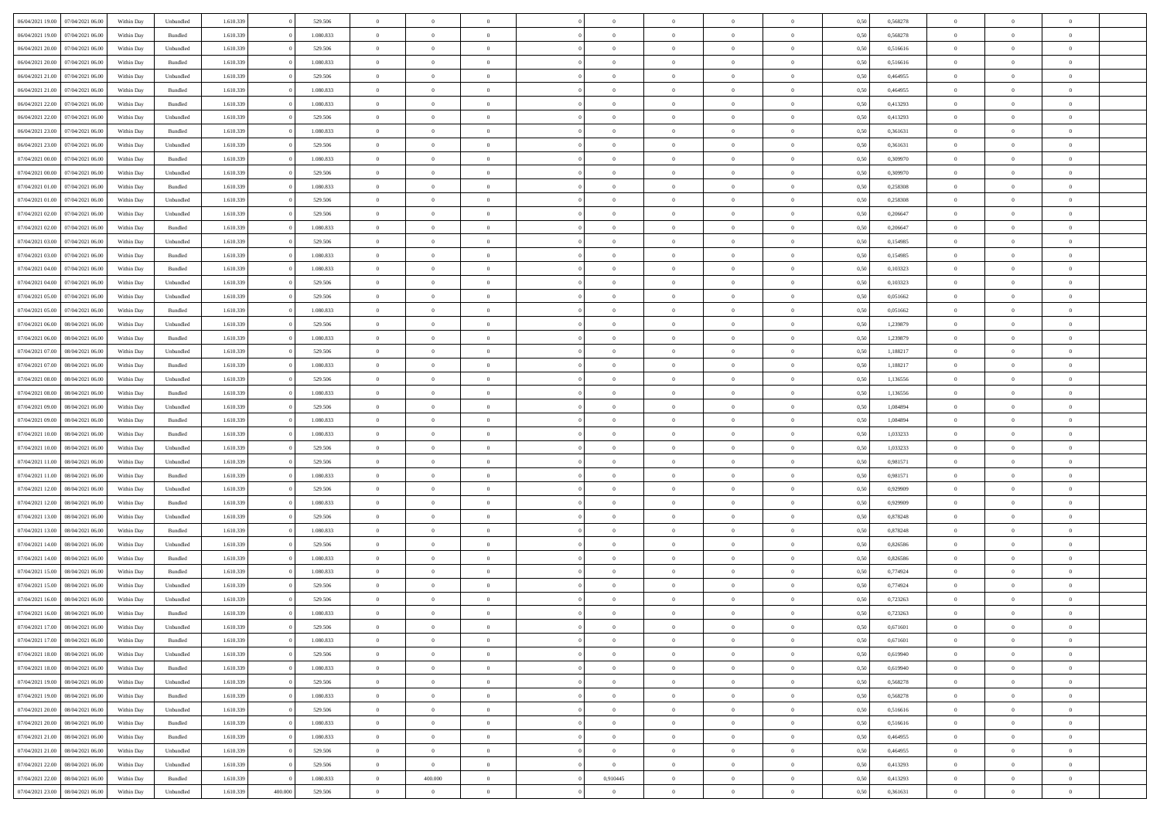| 06/04/2021 19:00                  | 07/04/2021 06:00 | Within Dav | Unbundled | 1.610.339 |         | 529.506   | $\overline{0}$ | $\Omega$       |                | $\Omega$       | $\Omega$       | $\Omega$       | $\theta$       | 0.50 | 0,568278 | $\theta$       | $\theta$       | $\theta$       |  |
|-----------------------------------|------------------|------------|-----------|-----------|---------|-----------|----------------|----------------|----------------|----------------|----------------|----------------|----------------|------|----------|----------------|----------------|----------------|--|
|                                   |                  |            |           |           |         |           |                |                |                |                |                |                |                |      |          |                |                |                |  |
| 06/04/2021 19:00                  | 07/04/2021 06:00 | Within Day | Bundled   | 1.610.339 |         | 1.080.833 | $\overline{0}$ | $\theta$       | $\overline{0}$ | $\overline{0}$ | $\bf{0}$       | $\overline{0}$ | $\bf{0}$       | 0,50 | 0,568278 | $\theta$       | $\theta$       | $\overline{0}$ |  |
| 06/04/2021 20.00                  | 07/04/2021 06.00 | Within Day | Unbundled | 1.610.339 |         | 529.506   | $\overline{0}$ | $\overline{0}$ | $\overline{0}$ | $\bf{0}$       | $\bf{0}$       | $\bf{0}$       | $\bf{0}$       | 0,50 | 0,516616 | $\bf{0}$       | $\overline{0}$ | $\overline{0}$ |  |
|                                   |                  |            |           |           |         |           |                |                |                |                |                |                |                |      |          |                |                |                |  |
| 06/04/2021 20:00                  | 07/04/2021 06:00 | Within Dav | Bundled   | 1.610.339 |         | 1.080.833 | $\overline{0}$ | $\overline{0}$ | $\overline{0}$ | $\overline{0}$ | $\bf{0}$       | $\overline{0}$ | $\overline{0}$ | 0.50 | 0.516616 | $\theta$       | $\theta$       | $\overline{0}$ |  |
| 06/04/2021 21:00                  | 07/04/2021 06:00 | Within Day | Unbundled | 1.610.339 |         | 529.506   | $\overline{0}$ | $\theta$       | $\overline{0}$ | $\overline{0}$ | $\bf{0}$       | $\overline{0}$ | $\bf{0}$       | 0,50 | 0,464955 | $\theta$       | $\theta$       | $\overline{0}$ |  |
| 06/04/2021 21:00                  | 07/04/2021 06.00 | Within Day | Bundled   | 1.610.339 |         | 1.080.833 | $\overline{0}$ | $\overline{0}$ | $\overline{0}$ | $\overline{0}$ | $\overline{0}$ | $\overline{0}$ | $\mathbf{0}$   | 0,50 | 0,464955 | $\overline{0}$ | $\overline{0}$ | $\bf{0}$       |  |
| 06/04/2021 22:00                  | 07/04/2021 06.00 | Within Dav | Bundled   | 1.610.339 |         | 1.080.833 | $\overline{0}$ | $\overline{0}$ | $\overline{0}$ |                | $\overline{0}$ | $\overline{0}$ | $\overline{0}$ | 0.50 | 0,413293 | $\theta$       | $\overline{0}$ | $\overline{0}$ |  |
|                                   |                  |            |           |           |         |           |                |                |                | $\overline{0}$ |                |                |                |      |          |                |                |                |  |
| 06/04/2021 22.00                  | 07/04/2021 06:00 | Within Day | Unbundled | 1.610.339 |         | 529.506   | $\overline{0}$ | $\theta$       | $\overline{0}$ | $\overline{0}$ | $\bf{0}$       | $\overline{0}$ | $\bf{0}$       | 0,50 | 0,413293 | $\theta$       | $\theta$       | $\overline{0}$ |  |
| 06/04/2021 23.00                  | 07/04/2021 06.00 | Within Day | Bundled   | 1.610.339 |         | 1.080.833 | $\overline{0}$ | $\overline{0}$ | $\overline{0}$ | $\overline{0}$ | $\bf{0}$       | $\overline{0}$ | $\bf{0}$       | 0,50 | 0,361631 | $\,0\,$        | $\overline{0}$ | $\overline{0}$ |  |
| 06/04/2021 23:00                  | 07/04/2021 06.00 | Within Dav | Unbundled | 1.610.339 |         | 529.506   | $\overline{0}$ | $\overline{0}$ | $\overline{0}$ | $\overline{0}$ | $\overline{0}$ | $\overline{0}$ | $\overline{0}$ | 0.50 | 0,361631 | $\theta$       | $\overline{0}$ | $\overline{0}$ |  |
|                                   |                  |            |           |           |         |           |                |                |                |                |                |                |                |      |          |                |                |                |  |
| 07/04/2021 00:00                  | 07/04/2021 06:00 | Within Day | Bundled   | 1.610.339 |         | 1.080.833 | $\overline{0}$ | $\theta$       | $\overline{0}$ | $\overline{0}$ | $\bf{0}$       | $\overline{0}$ | $\bf{0}$       | 0,50 | 0,309970 | $\theta$       | $\overline{0}$ | $\overline{0}$ |  |
| 07/04/2021 00:00                  | 07/04/2021 06.00 | Within Day | Unbundled | 1.610.339 |         | 529.506   | $\overline{0}$ | $\overline{0}$ | $\overline{0}$ | $\overline{0}$ | $\bf{0}$       | $\overline{0}$ | $\mathbf{0}$   | 0,50 | 0,309970 | $\overline{0}$ | $\overline{0}$ | $\overline{0}$ |  |
| 07/04/2021 01:00                  | 07/04/2021 06:00 | Within Day | Bundled   | 1.610.339 |         | 1.080.833 | $\overline{0}$ | $\overline{0}$ | $\overline{0}$ | $\overline{0}$ | $\bf{0}$       | $\overline{0}$ | $\overline{0}$ | 0.50 | 0,258308 | $\theta$       | $\theta$       | $\overline{0}$ |  |
|                                   |                  |            |           |           |         |           |                |                |                |                |                |                |                |      |          |                |                |                |  |
| 07/04/2021 01:00                  | 07/04/2021 06:00 | Within Day | Unbundled | 1.610.339 |         | 529.506   | $\overline{0}$ | $\theta$       | $\overline{0}$ | $\overline{0}$ | $\bf{0}$       | $\overline{0}$ | $\bf{0}$       | 0,50 | 0,258308 | $\theta$       | $\theta$       | $\overline{0}$ |  |
| 07/04/2021 02:00                  | 07/04/2021 06:00 | Within Day | Unbundled | 1.610.339 |         | 529.506   | $\overline{0}$ | $\overline{0}$ | $\overline{0}$ | $\overline{0}$ | $\overline{0}$ | $\overline{0}$ | $\mathbf{0}$   | 0,50 | 0,206647 | $\overline{0}$ | $\overline{0}$ | $\bf{0}$       |  |
| 07/04/2021 02:00                  | 07/04/2021 06:00 | Within Dav | Bundled   | 1.610.339 |         | 1.080.833 | $\overline{0}$ | $\overline{0}$ | $\overline{0}$ | $\overline{0}$ | $\overline{0}$ | $\overline{0}$ | $\overline{0}$ | 0.50 | 0.206647 | $\theta$       | $\overline{0}$ | $\overline{0}$ |  |
|                                   |                  |            |           |           |         |           |                |                |                |                |                |                |                |      |          |                |                |                |  |
| 07/04/2021 03:00                  | 07/04/2021 06:00 | Within Day | Unbundled | 1.610.339 |         | 529.506   | $\overline{0}$ | $\theta$       | $\overline{0}$ | $\overline{0}$ | $\bf{0}$       | $\overline{0}$ | $\bf{0}$       | 0,50 | 0,154985 | $\theta$       | $\theta$       | $\overline{0}$ |  |
| 07/04/2021 03:00                  | 07/04/2021 06.00 | Within Day | Bundled   | 1.610.339 |         | 1.080.833 | $\overline{0}$ | $\overline{0}$ | $\overline{0}$ | $\overline{0}$ | $\bf{0}$       | $\overline{0}$ | $\mathbf{0}$   | 0,50 | 0,154985 | $\,0\,$        | $\overline{0}$ | $\overline{0}$ |  |
| 07/04/2021 04:00                  | 07/04/2021 06.00 | Within Day | Bundled   | 1.610.339 |         | 1.080.833 | $\overline{0}$ | $\overline{0}$ | $\overline{0}$ | $\overline{0}$ | $\overline{0}$ | $\overline{0}$ | $\overline{0}$ | 0.50 | 0,103323 | $\theta$       | $\overline{0}$ | $\overline{0}$ |  |
|                                   |                  |            |           |           |         |           |                |                |                |                |                |                |                |      |          |                |                |                |  |
| 07/04/2021 04:00                  | 07/04/2021 06:00 | Within Day | Unbundled | 1.610.339 |         | 529.506   | $\overline{0}$ | $\theta$       | $\overline{0}$ | $\overline{0}$ | $\bf{0}$       | $\overline{0}$ | $\bf{0}$       | 0,50 | 0,103323 | $\theta$       | $\theta$       | $\overline{0}$ |  |
| 07/04/2021 05:00                  | 07/04/2021 06:00 | Within Day | Unbundled | 1.610.339 |         | 529.506   | $\overline{0}$ | $\overline{0}$ | $\overline{0}$ | $\overline{0}$ | $\bf{0}$       | $\overline{0}$ | $\bf{0}$       | 0,50 | 0,051662 | $\,0\,$        | $\overline{0}$ | $\overline{0}$ |  |
| 07/04/2021 05:00                  | 07/04/2021 06:00 | Within Day | Bundled   | 1.610.339 |         | 1.080.833 | $\overline{0}$ | $\overline{0}$ | $\overline{0}$ | $\overline{0}$ | $\bf{0}$       | $\overline{0}$ | $\overline{0}$ | 0.50 | 0.051662 | $\theta$       | $\overline{0}$ | $\overline{0}$ |  |
|                                   |                  |            |           |           |         |           | $\overline{0}$ | $\theta$       | $\overline{0}$ | $\overline{0}$ | $\bf{0}$       | $\overline{0}$ |                |      |          | $\,$ 0 $\,$    | $\overline{0}$ | $\overline{0}$ |  |
| 07/04/2021 06:00                  | 08/04/2021 06:00 | Within Day | Unbundled | 1.610.339 |         | 529.506   |                |                |                |                |                |                | $\bf{0}$       | 0,50 | 1,239879 |                |                |                |  |
| 07/04/2021 06.00                  | 08/04/2021 06:00 | Within Day | Bundled   | 1.610.339 |         | 1.080.833 | $\overline{0}$ | $\overline{0}$ | $\overline{0}$ | $\bf{0}$       | $\overline{0}$ | $\overline{0}$ | $\mathbf{0}$   | 0,50 | 1,239879 | $\overline{0}$ | $\overline{0}$ | $\bf{0}$       |  |
| 07/04/2021 07:00                  | 08/04/2021 06:00 | Within Dav | Unbundled | 1.610.339 |         | 529.506   | $\overline{0}$ | $\overline{0}$ | $\overline{0}$ | $\overline{0}$ | $\overline{0}$ | $\overline{0}$ | $\overline{0}$ | 0.50 | 1,188217 | $\theta$       | $\overline{0}$ | $\overline{0}$ |  |
| 07/04/2021 07:00                  | 08/04/2021 06:00 | Within Day | Bundled   | 1.610.339 |         | 1.080.833 | $\overline{0}$ | $\theta$       | $\overline{0}$ | $\overline{0}$ | $\bf{0}$       | $\overline{0}$ | $\bf{0}$       | 0,50 | 1,188217 | $\theta$       | $\theta$       | $\overline{0}$ |  |
|                                   |                  |            |           |           |         |           |                |                |                |                |                |                |                |      |          |                |                |                |  |
| 07/04/2021 08:00                  | 08/04/2021 06:00 | Within Day | Unbundled | 1.610.339 |         | 529.506   | $\overline{0}$ | $\overline{0}$ | $\overline{0}$ | $\bf{0}$       | $\bf{0}$       | $\bf{0}$       | $\bf{0}$       | 0,50 | 1,136556 | $\,0\,$        | $\overline{0}$ | $\overline{0}$ |  |
| 07/04/2021 08:00                  | 08/04/2021 06:00 | Within Day | Bundled   | 1.610.339 |         | 1.080.833 | $\overline{0}$ | $\overline{0}$ | $\overline{0}$ | $\overline{0}$ | $\overline{0}$ | $\overline{0}$ | $\overline{0}$ | 0.50 | 1,136556 | $\theta$       | $\overline{0}$ | $\overline{0}$ |  |
| 07/04/2021 09:00                  | 08/04/2021 06:00 | Within Day | Unbundled | 1.610.339 |         | 529.506   | $\overline{0}$ | $\theta$       | $\overline{0}$ | $\overline{0}$ | $\bf{0}$       | $\overline{0}$ | $\bf{0}$       | 0,50 | 1,084894 | $\,$ 0 $\,$    | $\overline{0}$ | $\overline{0}$ |  |
|                                   |                  |            |           |           |         |           |                |                |                |                |                |                |                |      |          |                |                |                |  |
| 07/04/2021 09:00                  | 08/04/2021 06:00 | Within Day | Bundled   | 1.610.339 |         | 1.080.833 | $\overline{0}$ | $\overline{0}$ | $\overline{0}$ | $\bf{0}$       | $\bf{0}$       | $\bf{0}$       | $\bf{0}$       | 0,50 | 1,084894 | $\overline{0}$ | $\overline{0}$ | $\overline{0}$ |  |
| 07/04/2021 10:00                  | 08/04/2021 06:00 | Within Day | Bundled   | 1.610.339 |         | 1.080.833 | $\overline{0}$ | $\Omega$       | $\Omega$       | $\Omega$       | $\Omega$       | $\Omega$       | $\overline{0}$ | 0,50 | 1,033233 | $\,0\,$        | $\theta$       | $\theta$       |  |
| 07/04/2021 10:00                  | 08/04/2021 06:00 | Within Day | Unbundled | 1.610.339 |         | 529.506   | $\overline{0}$ | $\theta$       | $\overline{0}$ | $\overline{0}$ | $\bf{0}$       | $\overline{0}$ | $\bf{0}$       | 0,50 | 1,033233 | $\theta$       | $\theta$       | $\overline{0}$ |  |
|                                   |                  |            |           |           |         |           |                |                |                |                |                |                |                |      |          |                |                |                |  |
| 07/04/2021 11:00                  | 08/04/2021 06:00 | Within Day | Unbundled | 1.610.339 |         | 529.506   | $\overline{0}$ | $\overline{0}$ | $\overline{0}$ | $\bf{0}$       | $\bf{0}$       | $\overline{0}$ | $\mathbf{0}$   | 0,50 | 0,981571 | $\overline{0}$ | $\overline{0}$ | $\bf{0}$       |  |
| 07/04/2021 11:00                  | 08/04/2021 06:00 | Within Day | Bundled   | 1.610.339 |         | 1.080.833 | $\overline{0}$ | $\Omega$       | $\Omega$       | $\Omega$       | $\bf{0}$       | $\overline{0}$ | $\overline{0}$ | 0.50 | 0,981571 | $\,0\,$        | $\theta$       | $\theta$       |  |
| 07/04/2021 12:00                  | 08/04/2021 06:00 | Within Day | Unbundled | 1.610.339 |         | 529.506   | $\overline{0}$ | $\theta$       | $\overline{0}$ | $\overline{0}$ | $\bf{0}$       | $\overline{0}$ | $\bf{0}$       | 0,50 | 0,929909 | $\,$ 0 $\,$    | $\theta$       | $\overline{0}$ |  |
|                                   |                  |            |           |           |         |           |                |                |                |                |                |                |                |      |          |                |                |                |  |
| 07/04/2021 12:00                  | 08/04/2021 06:00 | Within Day | Bundled   | 1.610.339 |         | 1.080.833 | $\overline{0}$ | $\overline{0}$ | $\overline{0}$ | $\bf{0}$       | $\bf{0}$       | $\bf{0}$       | $\bf{0}$       | 0,50 | 0,929909 | $\,0\,$        | $\overline{0}$ | $\overline{0}$ |  |
| 07/04/2021 13:00                  | 08/04/2021 06:00 | Within Day | Unbundled | 1.610.339 |         | 529.506   | $\overline{0}$ | $\Omega$       | $\Omega$       | $\Omega$       | $\theta$       | $\theta$       | $\overline{0}$ | 0.50 | 0,878248 | $\,0\,$        | $\theta$       | $\theta$       |  |
| 07/04/2021 13:00                  | 08/04/2021 06:00 | Within Day | Bundled   | 1.610.339 |         | 1.080.833 | $\overline{0}$ | $\theta$       | $\overline{0}$ | $\overline{0}$ | $\bf{0}$       | $\overline{0}$ | $\bf{0}$       | 0,50 | 0,878248 | $\,$ 0 $\,$    | $\overline{0}$ | $\overline{0}$ |  |
| 07/04/2021 14:00                  | 08/04/2021 06:00 | Within Day | Unbundled | 1.610.339 |         | 529.506   | $\overline{0}$ | $\overline{0}$ | $\overline{0}$ | $\bf{0}$       | $\bf{0}$       | $\bf{0}$       | $\bf{0}$       | 0,50 | 0,826586 | $\overline{0}$ | $\overline{0}$ | $\overline{0}$ |  |
|                                   |                  |            |           |           |         |           |                |                |                |                |                |                |                |      |          |                |                |                |  |
| 07/04/2021 14:00                  | 08/04/2021 06:00 | Within Day | Bundled   | 1.610.339 |         | 1.080.833 | $\overline{0}$ | $\Omega$       | $\overline{0}$ | $\Omega$       | $\Omega$       | $\overline{0}$ | $\overline{0}$ | 0.50 | 0,826586 | $\,0\,$        | $\theta$       | $\theta$       |  |
| 07/04/2021 15:00                  | 08/04/2021 06:00 | Within Day | Bundled   | 1.610.339 |         | 1.080.833 | $\overline{0}$ | $\theta$       | $\overline{0}$ | $\overline{0}$ | $\bf{0}$       | $\overline{0}$ | $\bf{0}$       | 0,50 | 0,774924 | $\,$ 0 $\,$    | $\overline{0}$ | $\overline{0}$ |  |
| 07/04/2021 15:00                  | 08/04/2021 06:00 | Within Day | Unbundled | 1.610.339 |         | 529.506   | $\overline{0}$ | $\overline{0}$ | $\overline{0}$ | $\bf{0}$       | $\bf{0}$       | $\bf{0}$       | $\mathbf{0}$   | 0,50 | 0,774924 | $\overline{0}$ | $\overline{0}$ | $\bf{0}$       |  |
|                                   |                  |            |           |           |         |           |                |                |                |                |                |                |                |      |          |                |                |                |  |
| 07/04/2021 16:00                  | 08/04/2021 06:00 | Within Day | Unbundled | 1.610.339 |         | 529.506   | $\overline{0}$ | $\Omega$       | $\Omega$       | $\Omega$       | $\Omega$       | $\Omega$       | $\overline{0}$ | 0.50 | 0,723263 | $\theta$       | $\theta$       | $\theta$       |  |
| 07/04/2021 16:00                  | 08/04/2021 06:00 | Within Day | Bundled   | 1.610.339 |         | 1.080.833 | $\overline{0}$ | $\overline{0}$ | $\overline{0}$ | $\bf{0}$       | $\,$ 0         | $\overline{0}$ | $\bf{0}$       | 0,50 | 0,723263 | $\,0\,$        | $\overline{0}$ | $\overline{0}$ |  |
| 07/04/2021 17:00 08/04/2021 06:00 |                  | Within Day | Unbundled | 1.610.339 |         | 529.506   | $\bf{0}$       | $\bf{0}$       |                |                |                |                |                | 0,50 | 0,671601 | $\bf{0}$       | $\overline{0}$ |                |  |
|                                   |                  |            |           |           |         |           |                |                |                |                |                |                |                |      |          |                |                |                |  |
| 07/04/2021 17:00                  | 08/04/2021 06:00 | Within Day | Bundled   | 1.610.339 |         | 1.080.833 | $\overline{0}$ | $\overline{0}$ | $\overline{0}$ | $\Omega$       | $\overline{0}$ | $\overline{0}$ | $\overline{0}$ | 0,50 | 0.671601 | $\theta$       | $\theta$       | $\theta$       |  |
| 07/04/2021 18:00                  | 08/04/2021 06:00 | Within Day | Unbundled | 1.610.339 |         | 529.506   | $\overline{0}$ | $\bf{0}$       | $\overline{0}$ | $\overline{0}$ | $\,$ 0 $\,$    | $\overline{0}$ | $\,$ 0 $\,$    | 0,50 | 0,619940 | $\,$ 0 $\,$    | $\,$ 0 $\,$    | $\,$ 0         |  |
| 07/04/2021 18:00                  | 08/04/2021 06:00 | Within Day | Bundled   | 1.610.339 |         | 1.080.833 | $\overline{0}$ | $\overline{0}$ | $\overline{0}$ | $\overline{0}$ | $\overline{0}$ | $\overline{0}$ | $\mathbf{0}$   | 0,50 | 0,619940 | $\overline{0}$ | $\bf{0}$       | $\bf{0}$       |  |
|                                   |                  |            |           |           |         |           |                | $\overline{0}$ | $\overline{0}$ | $\Omega$       | $\overline{0}$ | $\overline{0}$ |                |      |          | $\overline{0}$ | $\,0\,$        | $\overline{0}$ |  |
| 07/04/2021 19:00                  | 08/04/2021 06:00 | Within Day | Unbundled | 1.610.339 |         | 529.506   | $\overline{0}$ |                |                |                |                |                | $\overline{0}$ | 0,50 | 0,568278 |                |                |                |  |
| 07/04/2021 19:00                  | 08/04/2021 06:00 | Within Day | Bundled   | 1.610.339 |         | 1.080.833 | $\overline{0}$ | $\,$ 0         | $\overline{0}$ | $\overline{0}$ | $\,$ 0 $\,$    | $\overline{0}$ | $\mathbf{0}$   | 0,50 | 0,568278 | $\,$ 0 $\,$    | $\overline{0}$ | $\overline{0}$ |  |
| 07/04/2021 20:00                  | 08/04/2021 06:00 | Within Day | Unbundled | 1.610.339 |         | 529.506   | $\overline{0}$ | $\overline{0}$ | $\overline{0}$ | $\overline{0}$ | $\overline{0}$ | $\overline{0}$ | $\mathbf{0}$   | 0,50 | 0,516616 | $\overline{0}$ | $\overline{0}$ | $\bf{0}$       |  |
| 07/04/2021 20:00                  | 08/04/2021 06:00 |            | Bundled   | 1.610.339 |         | 1.080.833 | $\overline{0}$ | $\overline{0}$ | $\overline{0}$ | $\overline{0}$ | $\overline{0}$ | $\overline{0}$ | $\bf{0}$       | 0.50 | 0,516616 | $\overline{0}$ | $\theta$       | $\overline{0}$ |  |
|                                   |                  | Within Day |           |           |         |           |                |                |                |                |                |                |                |      |          |                |                |                |  |
| 07/04/2021 21:00                  | 08/04/2021 06:00 | Within Day | Bundled   | 1.610.339 |         | 1.080.833 | $\overline{0}$ | $\,$ 0         | $\overline{0}$ | $\overline{0}$ | $\bf{0}$       | $\overline{0}$ | $\bf{0}$       | 0,50 | 0,464955 | $\,$ 0 $\,$    | $\overline{0}$ | $\overline{0}$ |  |
| 07/04/2021 21:00                  | 08/04/2021 06:00 | Within Day | Unbundled | 1.610.339 |         | 529.506   | $\overline{0}$ | $\overline{0}$ | $\overline{0}$ | $\overline{0}$ | $\overline{0}$ | $\overline{0}$ | $\mathbf{0}$   | 0,50 | 0,464955 | $\overline{0}$ | $\overline{0}$ | $\bf{0}$       |  |
| 07/04/2021 22.00                  | 08/04/2021 06:00 | Within Day | Unbundled | 1.610.339 |         | 529.506   | $\overline{0}$ | $\overline{0}$ | $\overline{0}$ | $\overline{0}$ | $\overline{0}$ | $\overline{0}$ | $\overline{0}$ | 0.50 | 0,413293 | $\overline{0}$ | $\overline{0}$ | $\overline{0}$ |  |
|                                   |                  |            |           |           |         |           |                |                |                |                |                |                |                |      |          |                |                |                |  |
| 07/04/2021 22.00                  | 08/04/2021 06:00 | Within Day | Bundled   | 1.610.339 |         | 1.080.833 | $\overline{0}$ | 400.000        | $\overline{0}$ | 0,910445       | $\bf{0}$       | $\overline{0}$ | $\mathbf{0}$   | 0,50 | 0,413293 | $\,$ 0 $\,$    | $\,$ 0 $\,$    | $\bf{0}$       |  |
| 07/04/2021 23.00                  | 08/04/2021 06:00 | Within Day | Unbundled | 1.610.339 | 400.000 | 529.506   | $\overline{0}$ | $\sim$ 0       | $\overline{0}$ | $\overline{0}$ | $\overline{0}$ | $\overline{0}$ | $\mathbf{0}$   | 0,50 | 0,361631 | $\overline{0}$ | $\bf{0}$       | $\overline{0}$ |  |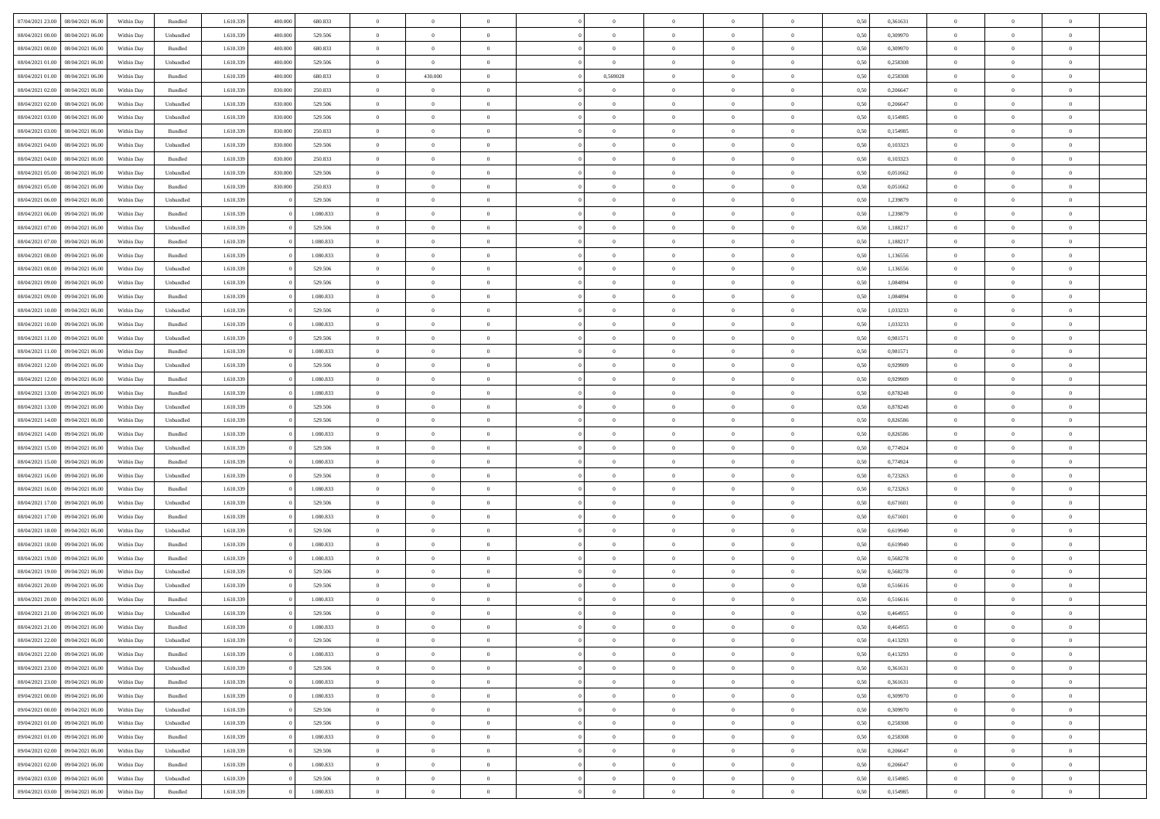| 07/04/2021 23:00  08/04/2021 06:00   | Within Day | Bundled   | 1.610.339 | 400,000 | 680.833   | $\overline{0}$ | $\overline{0}$ | $\Omega$       | $\Omega$       | $\theta$       | $\theta$       | $\overline{0}$ | 0,50 | 0,361631 | $\theta$       | $\theta$       | $\theta$       |  |
|--------------------------------------|------------|-----------|-----------|---------|-----------|----------------|----------------|----------------|----------------|----------------|----------------|----------------|------|----------|----------------|----------------|----------------|--|
| 08/04/2021 00:00<br>08/04/2021 06:00 | Within Day | Unbundled | 1.610.339 | 400.000 | 529.506   | $\overline{0}$ | $\overline{0}$ | $\overline{0}$ | $\overline{0}$ | $\theta$       | $\overline{0}$ | $\bf{0}$       | 0,50 | 0,309970 | $\theta$       | $\theta$       | $\overline{0}$ |  |
| 08/04/2021 00:00<br>08/04/2021 06:00 | Within Day | Bundled   | 1.610.339 | 400.000 | 680.833   | $\overline{0}$ | $\bf{0}$       | $\overline{0}$ | $\overline{0}$ | $\overline{0}$ | $\overline{0}$ | $\bf{0}$       | 0,50 | 0,309970 | $\bf{0}$       | $\overline{0}$ | $\overline{0}$ |  |
| 08/04/2021 01:00<br>08/04/2021 06:00 | Within Day | Unbundled | 1.610.339 | 400,000 | 529,506   | $\overline{0}$ | $\overline{0}$ | $\overline{0}$ | $\overline{0}$ | $\theta$       | $\overline{0}$ | $\overline{0}$ | 0.50 | 0.258308 | $\theta$       | $\theta$       | $\overline{0}$ |  |
| 08/04/2021 01:00<br>08/04/2021 06:00 | Within Day | Bundled   | 1.610.339 | 400,000 | 680.833   | $\overline{0}$ | 430.000        | $\overline{0}$ | 0,569028       | $\theta$       | $\overline{0}$ | $\bf{0}$       | 0,50 | 0,258308 | $\theta$       | $\theta$       | $\overline{0}$ |  |
|                                      |            |           |           |         |           |                |                |                |                |                |                |                |      |          |                |                |                |  |
| 08/04/2021 02:00<br>08/04/2021 06:00 | Within Day | Bundled   | 1.610.339 | 830,000 | 250.833   | $\overline{0}$ | $\bf{0}$       | $\overline{0}$ | $\overline{0}$ | $\overline{0}$ | $\overline{0}$ | $\bf{0}$       | 0,50 | 0,206647 | $\bf{0}$       | $\overline{0}$ | $\bf{0}$       |  |
| 08/04/2021 02:00<br>08/04/2021 06:00 | Within Day | Unbundled | 1.610.339 | 830,000 | 529,506   | $\overline{0}$ | $\overline{0}$ | $\overline{0}$ | $\overline{0}$ | $\overline{0}$ | $\overline{0}$ | $\overline{0}$ | 0.5( | 0.206647 | $\theta$       | $\theta$       | $\overline{0}$ |  |
| 08/04/2021 03:00<br>08/04/2021 06:00 | Within Day | Unbundled | 1.610.339 | 830,000 | 529.506   | $\bf{0}$       | $\theta$       | $\overline{0}$ | $\overline{0}$ | $\theta$       | $\overline{0}$ | $\bf{0}$       | 0,50 | 0,154985 | $\theta$       | $\theta$       | $\overline{0}$ |  |
| 08/04/2021 03:00<br>08/04/2021 06:00 | Within Day | Bundled   | 1.610.339 | 830,000 | 250.833   | $\overline{0}$ | $\bf{0}$       | $\overline{0}$ | $\overline{0}$ | $\overline{0}$ | $\overline{0}$ | $\bf{0}$       | 0,50 | 0,154985 | $\bf{0}$       | $\overline{0}$ | $\overline{0}$ |  |
| 08/04/2021 04:00<br>08/04/2021 06:00 | Within Day | Unbundled | 1.610.339 | 830,000 | 529,506   | $\overline{0}$ | $\overline{0}$ | $\overline{0}$ | $\overline{0}$ | $\overline{0}$ | $\overline{0}$ | $\bf{0}$       | 0.50 | 0,103323 | $\theta$       | $\theta$       | $\overline{0}$ |  |
| 08/04/2021 04:00<br>08/04/2021 06:00 | Within Day | Bundled   | 1.610.339 | 830,000 | 250.833   | $\bf{0}$       | $\overline{0}$ | $\overline{0}$ | $\overline{0}$ | $\theta$       | $\overline{0}$ | $\bf{0}$       | 0,50 | 0,103323 | $\theta$       | $\theta$       | $\overline{0}$ |  |
| 08/04/2021 05:00<br>08/04/2021 06:00 | Within Day | Unbundled | 1.610.339 | 830,000 | 529.506   | $\overline{0}$ | $\bf{0}$       | $\overline{0}$ | $\overline{0}$ | $\overline{0}$ | $\overline{0}$ | $\bf{0}$       | 0,50 | 0,051662 | $\bf{0}$       | $\overline{0}$ | $\overline{0}$ |  |
| 08/04/2021 05:00<br>08/04/2021 06:00 | Within Day | Bundled   | 1.610.339 | 830,000 | 250,833   | $\overline{0}$ | $\overline{0}$ | $\overline{0}$ | $\overline{0}$ | $\overline{0}$ | $\overline{0}$ | $\overline{0}$ | 0.5( | 0.051662 | $\theta$       | $\theta$       | $\overline{0}$ |  |
| 08/04/2021 06:00<br>09/04/2021 06:00 | Within Day | Unbundled | 1.610.339 |         | 529.506   | $\overline{0}$ | $\overline{0}$ | $\overline{0}$ | $\overline{0}$ | $\theta$       | $\overline{0}$ | $\bf{0}$       | 0,50 | 1,239879 | $\theta$       | $\theta$       | $\overline{0}$ |  |
| 08/04/2021 06:00<br>09/04/2021 06.00 | Within Day | Bundled   | 1.610.339 |         | 1.080.833 | $\overline{0}$ | $\bf{0}$       | $\overline{0}$ | $\overline{0}$ | $\overline{0}$ | $\overline{0}$ | $\bf{0}$       | 0,50 | 1,239879 | $\bf{0}$       | $\overline{0}$ | $\bf{0}$       |  |
| 08/04/2021 07:00<br>09/04/2021 06:00 | Within Day | Unbundled | 1.610.339 |         | 529,506   | $\overline{0}$ | $\overline{0}$ | $\overline{0}$ | $\overline{0}$ | $\overline{0}$ | $\overline{0}$ | $\overline{0}$ | 0.5( | 1,188217 | $\theta$       | $\overline{0}$ | $\overline{0}$ |  |
| 08/04/2021 07:00<br>09/04/2021 06:00 | Within Day | Bundled   | 1.610.339 |         | 1.080.833 | $\bf{0}$       | $\overline{0}$ | $\overline{0}$ | $\overline{0}$ | $\theta$       | $\overline{0}$ | $\bf{0}$       | 0,50 | 1,188217 | $\theta$       | $\theta$       | $\overline{0}$ |  |
|                                      |            |           |           |         |           |                |                |                |                |                |                |                |      |          |                |                |                |  |
| 08/04/2021 08:00<br>09/04/2021 06.00 | Within Day | Bundled   | 1.610.339 |         | 1.080.833 | $\overline{0}$ | $\bf{0}$       | $\overline{0}$ | $\overline{0}$ | $\overline{0}$ | $\overline{0}$ | $\bf{0}$       | 0,50 | 1,136556 | $\bf{0}$       | $\overline{0}$ | $\overline{0}$ |  |
| 08/04/2021 08:00<br>09/04/2021 06:00 | Within Day | Unbundled | 1.610.339 |         | 529.506   | $\overline{0}$ | $\overline{0}$ | $\overline{0}$ | $\overline{0}$ | $\overline{0}$ | $\overline{0}$ | $\overline{0}$ | 0.50 | 1,136556 | $\theta$       | $\theta$       | $\overline{0}$ |  |
| 08/04/2021 09:00<br>09/04/2021 06:00 | Within Day | Unbundled | 1.610.339 |         | 529.506   | $\bf{0}$       | $\overline{0}$ | $\overline{0}$ | $\overline{0}$ | $\theta$       | $\overline{0}$ | $\bf{0}$       | 0,50 | 1,084894 | $\theta$       | $\theta$       | $\overline{0}$ |  |
| 08/04/2021 09:00<br>09/04/2021 06.00 | Within Day | Bundled   | 1.610.339 |         | 1.080.833 | $\overline{0}$ | $\bf{0}$       | $\overline{0}$ | $\overline{0}$ | $\overline{0}$ | $\overline{0}$ | $\bf{0}$       | 0,50 | 1,084894 | $\bf{0}$       | $\overline{0}$ | $\overline{0}$ |  |
| 08/04/2021 10:00<br>09/04/2021 06:00 | Within Day | Unbundled | 1.610.339 |         | 529,506   | $\overline{0}$ | $\overline{0}$ | $\overline{0}$ | $\overline{0}$ | $\overline{0}$ | $\overline{0}$ | $\overline{0}$ | 0.5( | 1,033233 | $\theta$       | $\theta$       | $\overline{0}$ |  |
| 08/04/2021 10:00<br>09/04/2021 06:00 | Within Day | Bundled   | 1.610.339 |         | 1.080.833 | $\overline{0}$ | $\overline{0}$ | $\overline{0}$ | $\overline{0}$ | $\theta$       | $\overline{0}$ | $\bf{0}$       | 0,50 | 1,033233 | $\theta$       | $\theta$       | $\overline{0}$ |  |
| 08/04/2021 11:00<br>09/04/2021 06.00 | Within Day | Unbundled | 1.610.339 |         | 529.506   | $\overline{0}$ | $\bf{0}$       | $\overline{0}$ | $\overline{0}$ | $\overline{0}$ | $\overline{0}$ | $\bf{0}$       | 0,50 | 0,981571 | $\overline{0}$ | $\overline{0}$ | $\bf{0}$       |  |
| 08/04/2021 11:00<br>09/04/2021 06:00 | Within Day | Bundled   | 1.610.339 |         | 1.080.833 | $\overline{0}$ | $\overline{0}$ | $\overline{0}$ | $\overline{0}$ | $\overline{0}$ | $\overline{0}$ | $\overline{0}$ | 0.5( | 0,981571 | $\overline{0}$ | $\theta$       | $\overline{0}$ |  |
| 08/04/2021 12:00<br>09/04/2021 06:00 | Within Day | Unbundled | 1.610.339 |         | 529.506   | $\overline{0}$ | $\overline{0}$ | $\overline{0}$ | $\overline{0}$ | $\theta$       | $\overline{0}$ | $\bf{0}$       | 0,50 | 0,929909 | $\theta$       | $\theta$       | $\overline{0}$ |  |
| 08/04/2021 12:00<br>09/04/2021 06.00 | Within Day | Bundled   | 1.610.339 |         | 1.080.833 | $\overline{0}$ | $\bf{0}$       | $\overline{0}$ | $\overline{0}$ | $\overline{0}$ | $\bf{0}$       | $\bf{0}$       | 0,50 | 0,929909 | $\bf{0}$       | $\bf{0}$       | $\overline{0}$ |  |
| 08/04/2021 13:00<br>09/04/2021 06:00 | Within Day | Bundled   | 1.610.339 |         | 1.080.833 | $\overline{0}$ | $\overline{0}$ | $\overline{0}$ | $\overline{0}$ | $\overline{0}$ | $\overline{0}$ | $\overline{0}$ | 0.5( | 0,878248 | $\theta$       | $\theta$       | $\overline{0}$ |  |
| 08/04/2021 13:00<br>09/04/2021 06:00 | Within Day | Unbundled | 1.610.339 |         | 529.506   | $\bf{0}$       | $\overline{0}$ | $\overline{0}$ | $\overline{0}$ | $\theta$       | $\overline{0}$ | $\bf{0}$       | 0,50 | 0,878248 | $\theta$       | $\theta$       | $\overline{0}$ |  |
| 08/04/2021 14:00<br>09/04/2021 06.00 | Within Day | Unbundled | 1.610.339 |         | 529.506   | $\overline{0}$ | $\bf{0}$       | $\overline{0}$ | $\overline{0}$ | $\bf{0}$       | $\overline{0}$ | $\bf{0}$       | 0,50 | 0,826586 | $\bf{0}$       | $\overline{0}$ | $\overline{0}$ |  |
|                                      |            |           |           |         |           | $\overline{0}$ | $\overline{0}$ | $\Omega$       | $\Omega$       | $\Omega$       | $\Omega$       | $\overline{0}$ | 0.50 |          | $\,$ 0 $\,$    | $\Omega$       | $\theta$       |  |
| 08/04/2021 14:00<br>09/04/2021 06.00 | Within Day | Bundled   | 1.610.339 |         | 1.080.833 |                |                |                |                |                |                |                |      | 0,826586 | $\theta$       |                |                |  |
| 08/04/2021 15:00<br>09/04/2021 06:00 | Within Day | Unbundled | 1.610.339 |         | 529.506   | $\bf{0}$       | $\overline{0}$ | $\overline{0}$ | $\overline{0}$ | $\theta$       | $\overline{0}$ | $\bf{0}$       | 0,50 | 0,774924 |                | $\theta$       | $\overline{0}$ |  |
| 08/04/2021 15:00<br>09/04/2021 06.00 | Within Day | Bundled   | 1.610.339 |         | 1.080.833 | $\overline{0}$ | $\bf{0}$       | $\overline{0}$ | $\overline{0}$ | $\overline{0}$ | $\overline{0}$ | $\bf{0}$       | 0,50 | 0,774924 | $\bf{0}$       | $\overline{0}$ | $\bf{0}$       |  |
| 08/04/2021 16:00<br>09/04/2021 06:00 | Within Day | Unbundled | 1.610.339 |         | 529.506   | $\overline{0}$ | $\overline{0}$ | $\Omega$       | $\Omega$       | $\overline{0}$ | $\Omega$       | $\overline{0}$ | 0.50 | 0,723263 | $\bf{0}$       | $\theta$       | $\theta$       |  |
| 08/04/2021 16:00<br>09/04/2021 06:00 | Within Day | Bundled   | 1.610.339 |         | 1.080.833 | $\bf{0}$       | $\overline{0}$ | $\overline{0}$ | $\overline{0}$ | $\theta$       | $\overline{0}$ | $\bf{0}$       | 0,50 | 0,723263 | $\theta$       | $\theta$       | $\overline{0}$ |  |
| 08/04/2021 17:00<br>09/04/2021 06.00 | Within Day | Unbundled | 1.610.339 |         | 529.506   | $\overline{0}$ | $\bf{0}$       | $\overline{0}$ | $\overline{0}$ | $\overline{0}$ | $\bf{0}$       | $\bf{0}$       | 0,50 | 0,671601 | $\bf{0}$       | $\overline{0}$ | $\overline{0}$ |  |
| 08/04/2021 17:00<br>09/04/2021 06:00 | Within Day | Bundled   | 1.610.339 |         | 1.080.833 | $\overline{0}$ | $\overline{0}$ | $\Omega$       | $\Omega$       | $\Omega$       | $\Omega$       | $\overline{0}$ | 0.50 | 0.671601 | $\theta$       | $\Omega$       | $\theta$       |  |
| 08/04/2021 18:00<br>09/04/2021 06:00 | Within Day | Unbundled | 1.610.339 |         | 529.506   | $\bf{0}$       | $\overline{0}$ | $\overline{0}$ | $\overline{0}$ | $\theta$       | $\overline{0}$ | $\bf{0}$       | 0,50 | 0,619940 | $\,$ 0 $\,$    | $\theta$       | $\overline{0}$ |  |
| 08/04/2021 18:00<br>09/04/2021 06.00 | Within Day | Bundled   | 1.610.339 |         | 1.080.833 | $\overline{0}$ | $\bf{0}$       | $\overline{0}$ | $\overline{0}$ | $\overline{0}$ | $\overline{0}$ | $\bf{0}$       | 0,50 | 0,619940 | $\bf{0}$       | $\overline{0}$ | $\overline{0}$ |  |
| 08/04/2021 19:00<br>09/04/2021 06.00 | Within Day | Bundled   | 1.610.339 |         | 1.080.833 | $\overline{0}$ | $\overline{0}$ | $\overline{0}$ | $\Omega$       | $\theta$       | $\Omega$       | $\overline{0}$ | 0.50 | 0,568278 | $\,$ 0 $\,$    | $\overline{0}$ | $\theta$       |  |
| 08/04/2021 19:00<br>09/04/2021 06:00 | Within Day | Unbundled | 1.610.339 |         | 529.506   | $\bf{0}$       | $\overline{0}$ | $\overline{0}$ | $\overline{0}$ | $\theta$       | $\overline{0}$ | $\bf{0}$       | 0,50 | 0,568278 | $\,$ 0 $\,$    | $\theta$       | $\overline{0}$ |  |
| 08/04/2021 20:00<br>09/04/2021 06.00 | Within Day | Unbundled | 1.610.339 |         | 529.506   | $\overline{0}$ | $\bf{0}$       | $\overline{0}$ | $\overline{0}$ | $\bf{0}$       | $\overline{0}$ | $\bf{0}$       | 0,50 | 0,516616 | $\overline{0}$ | $\overline{0}$ | $\bf{0}$       |  |
| 08/04/2021 20:00<br>09/04/2021 06:00 | Within Day | Bundled   | 1.610.339 |         | 1.080.833 | $\overline{0}$ | $\Omega$       | $\Omega$       | $\Omega$       | $\Omega$       | $\theta$       | $\overline{0}$ | 0.50 | 0.516616 | $\theta$       | $\overline{0}$ | $\theta$       |  |
| 08/04/2021 21:00<br>09/04/2021 06:00 | Within Day | Unbundled | 1.610.339 |         | 529.506   | $\bf{0}$       | $\bf{0}$       | $\overline{0}$ | $\overline{0}$ | $\overline{0}$ | $\bf{0}$       | $\bf{0}$       | 0,50 | 0,464955 | $\bf{0}$       | $\,$ 0 $\,$    | $\overline{0}$ |  |
| 08/04/2021 21:00 09/04/2021 06:00    |            | Bundled   |           |         |           |                |                |                |                |                |                |                |      |          |                |                |                |  |
|                                      | Within Day |           | 1.610.339 |         | 1.080.833 | $\bf{0}$       |                |                |                |                |                |                | 0,50 | 0,464955 | $\bf{0}$       | $\bf{0}$       | $\Omega$       |  |
| 08/04/2021 22:00 09/04/2021 06:00    | Within Day | Unbundled | 1.610.339 |         | 529.506   | $\Omega$       | $\overline{0}$ | $\Omega$       | $\theta$       | $\overline{0}$ | $\theta$       | $\overline{0}$ | 0.50 | 0,413293 | $\theta$       | $\theta$       |                |  |
| 08/04/2021 22:00<br>09/04/2021 06:00 | Within Day | Bundled   | 1.610.339 |         | 1.080.833 | $\overline{0}$ | $\overline{0}$ | $\overline{0}$ | $\overline{0}$ | $\,$ 0 $\,$    | $\overline{0}$ | $\,$ 0 $\,$    | 0,50 | 0,413293 | $\,$ 0 $\,$    | $\,$ 0 $\,$    | $\,$ 0         |  |
| 08/04/2021 23:00<br>09/04/2021 06:00 | Within Day | Unbundled | 1.610.339 |         | 529.506   | $\overline{0}$ | $\overline{0}$ | $\overline{0}$ | $\overline{0}$ | $\overline{0}$ | $\overline{0}$ | $\bf{0}$       | 0,50 | 0,361631 | $\overline{0}$ | $\bf{0}$       | $\overline{0}$ |  |
| 08/04/2021 23:00<br>09/04/2021 06:00 | Within Day | Bundled   | 1.610.339 |         | 1.080.833 | $\overline{0}$ | $\bf{0}$       | $\overline{0}$ | $\overline{0}$ | $\overline{0}$ | $\overline{0}$ | $\bf{0}$       | 0,50 | 0,361631 | $\bf{0}$       | $\theta$       | $\overline{0}$ |  |
| 09/04/2021 00:00<br>09/04/2021 06:00 | Within Day | Bundled   | 1.610.339 |         | 1.080.833 | $\overline{0}$ | $\overline{0}$ | $\overline{0}$ | $\overline{0}$ | $\overline{0}$ | $\overline{0}$ | $\bf{0}$       | 0,50 | 0,309970 | $\,$ 0 $\,$    | $\,$ 0 $\,$    | $\overline{0}$ |  |
| 09/04/2021 00:00<br>09/04/2021 06:00 | Within Day | Unbundled | 1.610.339 |         | 529.506   | $\overline{0}$ | $\overline{0}$ | $\overline{0}$ | $\overline{0}$ | $\bf{0}$       | $\overline{0}$ | $\bf{0}$       | 0,50 | 0,309970 | $\overline{0}$ | $\overline{0}$ | $\overline{0}$ |  |
| 09/04/2021 01:00<br>09/04/2021 06:00 | Within Day | Unbundled | 1.610.339 |         | 529.506   | $\overline{0}$ | $\bf{0}$       | $\overline{0}$ | $\overline{0}$ | $\overline{0}$ | $\overline{0}$ | $\bf{0}$       | 0.50 | 0,258308 | $\overline{0}$ | $\theta$       | $\overline{0}$ |  |
| 09/04/2021 01:00<br>09/04/2021 06:00 | Within Day | Bundled   | 1.610.339 |         | 1.080.833 | $\overline{0}$ | $\overline{0}$ | $\overline{0}$ | $\overline{0}$ | $\overline{0}$ | $\bf{0}$       | $\bf{0}$       | 0,50 | 0,258308 | $\,$ 0 $\,$    | $\bf{0}$       | $\overline{0}$ |  |
| 09/04/2021 02:00<br>09/04/2021 06:00 | Within Day | Unbundled | 1.610.339 |         | 529.506   | $\overline{0}$ | $\bf{0}$       | $\overline{0}$ | $\overline{0}$ | $\overline{0}$ | $\overline{0}$ | $\bf{0}$       | 0,50 | 0,206647 | $\overline{0}$ | $\overline{0}$ | $\bf{0}$       |  |
| 09/04/2021 02:00<br>09/04/2021 06:00 | Within Day | Bundled   | 1.610.339 |         | 1.080.833 | $\overline{0}$ | $\overline{0}$ | $\overline{0}$ | $\overline{0}$ | $\overline{0}$ | $\overline{0}$ | $\bf{0}$       | 0.50 | 0,206647 | $\overline{0}$ | $\theta$       | $\overline{0}$ |  |
| 09/04/2021 03:00<br>09/04/2021 06:00 | Within Day | Unbundled | 1.610.339 |         | 529.506   | $\overline{0}$ | $\,$ 0         | $\overline{0}$ | $\overline{0}$ | $\bf{0}$       | $\bf{0}$       | $\bf{0}$       | 0,50 | 0,154985 | $\,$ 0 $\,$    | $\,$ 0 $\,$    | $\bf{0}$       |  |
|                                      |            |           |           |         |           |                | $\bf{0}$       |                |                |                |                |                |      |          |                |                |                |  |
| 09/04/2021 03:00 09/04/2021 06:00    | Within Day | Bundled   | 1.610.339 |         | 1.080.833 | $\overline{0}$ |                | $\overline{0}$ | $\overline{0}$ | $\overline{0}$ | $\overline{0}$ | $\bf{0}$       | 0,50 | 0,154985 | $\overline{0}$ | $\bf{0}$       | $\overline{0}$ |  |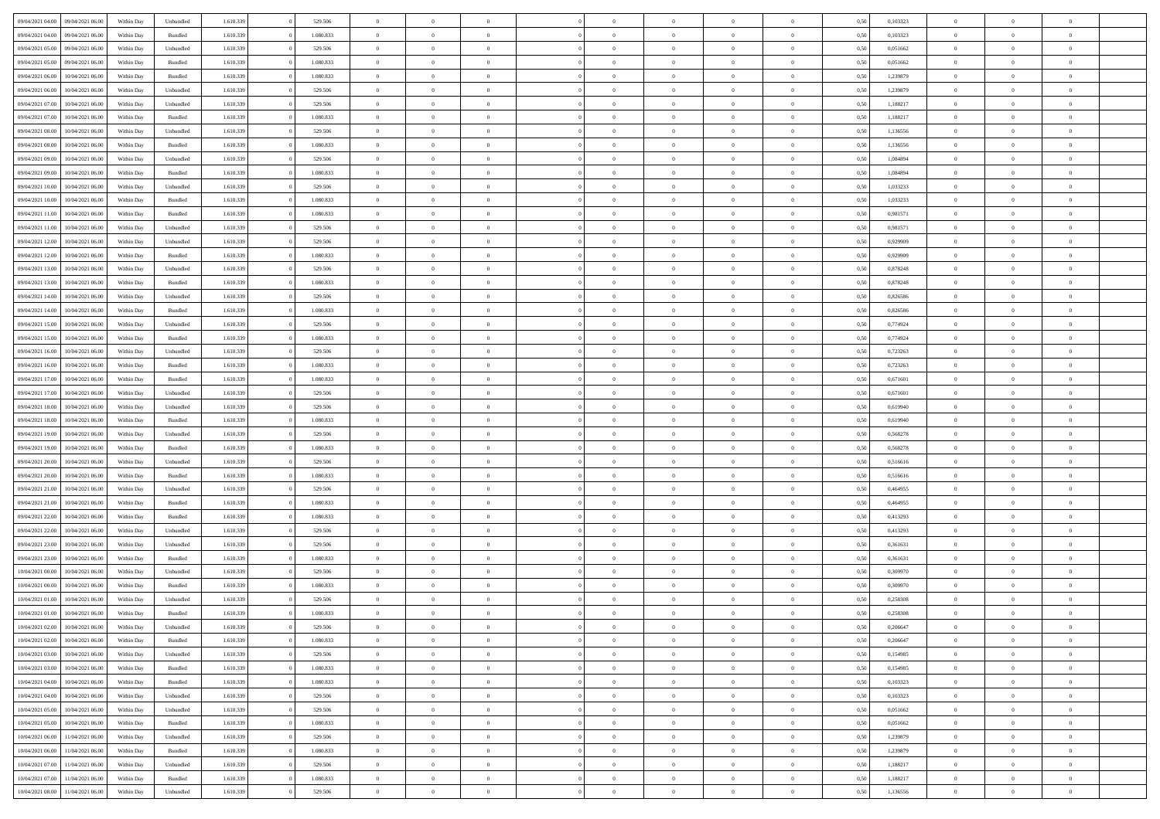| 09/04/2021 04:00 | 09/04/2021 06:00 | Within Dav | Unbundled          | 1.610.339 | 529.506   | $\overline{0}$ | $\Omega$       |                | $\Omega$       | $\Omega$       | $\Omega$       | $\theta$       | 0.50 | 0,103323 | $\theta$       | $\theta$       | $\theta$       |  |
|------------------|------------------|------------|--------------------|-----------|-----------|----------------|----------------|----------------|----------------|----------------|----------------|----------------|------|----------|----------------|----------------|----------------|--|
|                  |                  |            |                    |           |           |                |                |                |                |                |                |                |      |          |                |                |                |  |
| 09/04/2021 04:00 | 09/04/2021 06:00 | Within Day | Bundled            | 1.610.339 | 1.080.833 | $\overline{0}$ | $\theta$       | $\overline{0}$ | $\overline{0}$ | $\bf{0}$       | $\overline{0}$ | $\bf{0}$       | 0,50 | 0,103323 | $\theta$       | $\theta$       | $\overline{0}$ |  |
| 09/04/2021 05:00 | 09/04/2021 06:00 | Within Day | Unbundled          | 1.610.339 | 529.506   | $\overline{0}$ | $\overline{0}$ | $\overline{0}$ | $\bf{0}$       | $\bf{0}$       | $\bf{0}$       | $\bf{0}$       | 0,50 | 0,051662 | $\bf{0}$       | $\overline{0}$ | $\overline{0}$ |  |
| 09/04/2021 05:00 | 09/04/2021 06:00 | Within Dav | Bundled            | 1.610.339 | 1.080.833 | $\overline{0}$ | $\overline{0}$ | $\overline{0}$ | $\overline{0}$ | $\bf{0}$       | $\overline{0}$ | $\overline{0}$ | 0.50 | 0.051662 | $\theta$       | $\theta$       | $\overline{0}$ |  |
|                  |                  |            |                    |           |           |                |                |                |                |                |                |                |      |          |                |                |                |  |
| 09/04/2021 06:00 | 10/04/2021 06:00 | Within Day | Bundled            | 1.610.339 | 1.080.833 | $\overline{0}$ | $\theta$       | $\overline{0}$ | $\overline{0}$ | $\bf{0}$       | $\overline{0}$ | $\bf{0}$       | 0,50 | 1,239879 | $\theta$       | $\overline{0}$ | $\overline{0}$ |  |
| 09/04/2021 06:00 | 10/04/2021 06:00 | Within Day | Unbundled          | 1.610.339 | 529.506   | $\overline{0}$ | $\bf{0}$       | $\overline{0}$ | $\overline{0}$ | $\overline{0}$ | $\overline{0}$ | $\mathbf{0}$   | 0,50 | 1,239879 | $\overline{0}$ | $\overline{0}$ | $\bf{0}$       |  |
| 09/04/2021 07:00 | 10/04/2021 06:00 | Within Dav | Unbundled          | 1.610.339 | 529.506   | $\overline{0}$ | $\overline{0}$ | $\overline{0}$ | $\overline{0}$ | $\overline{0}$ | $\overline{0}$ | $\overline{0}$ | 0.50 | 1,188217 | $\theta$       | $\overline{0}$ | $\overline{0}$ |  |
| 09/04/2021 07:00 | 10/04/2021 06:00 | Within Day | Bundled            | 1.610.339 | 1.080.833 | $\overline{0}$ | $\theta$       | $\overline{0}$ | $\overline{0}$ | $\bf{0}$       | $\overline{0}$ | $\bf{0}$       | 0,50 | 1,188217 | $\theta$       | $\theta$       | $\overline{0}$ |  |
|                  |                  |            |                    |           |           |                | $\overline{0}$ |                |                | $\bf{0}$       |                |                |      |          | $\,0\,$        | $\overline{0}$ | $\overline{0}$ |  |
| 09/04/2021 08:00 | 10/04/2021 06:00 | Within Day | Unbundled          | 1.610.339 | 529.506   | $\overline{0}$ |                | $\overline{0}$ | $\overline{0}$ |                | $\overline{0}$ | $\bf{0}$       | 0,50 | 1,136556 |                |                |                |  |
| 09/04/2021 08:00 | 10/04/2021 06:00 | Within Dav | Bundled            | 1.610.339 | 1.080.833 | $\overline{0}$ | $\overline{0}$ | $\overline{0}$ | $\overline{0}$ | $\overline{0}$ | $\overline{0}$ | $\overline{0}$ | 0.50 | 1,136556 | $\theta$       | $\overline{0}$ | $\overline{0}$ |  |
| 09/04/2021 09:00 | 10/04/2021 06:00 | Within Day | Unbundled          | 1.610.339 | 529.506   | $\overline{0}$ | $\theta$       | $\overline{0}$ | $\overline{0}$ | $\bf{0}$       | $\overline{0}$ | $\bf{0}$       | 0,50 | 1,084894 | $\,$ 0 $\,$    | $\overline{0}$ | $\overline{0}$ |  |
| 09/04/2021 09:00 | 10/04/2021 06:00 | Within Day | Bundled            | 1.610.339 | 1.080.833 | $\overline{0}$ | $\overline{0}$ | $\overline{0}$ | $\overline{0}$ | $\bf{0}$       | $\overline{0}$ | $\mathbf{0}$   | 0,50 | 1,084894 | $\overline{0}$ | $\overline{0}$ | $\overline{0}$ |  |
| 09/04/2021 10:00 | 10/04/2021 06:00 | Within Day | Unbundled          | 1.610.339 | 529.506   | $\overline{0}$ | $\overline{0}$ | $\overline{0}$ | $\overline{0}$ | $\bf{0}$       | $\overline{0}$ | $\overline{0}$ | 0.50 | 1,033233 | $\theta$       | $\theta$       | $\overline{0}$ |  |
|                  |                  |            |                    |           |           | $\overline{0}$ | $\theta$       | $\overline{0}$ | $\overline{0}$ | $\bf{0}$       | $\overline{0}$ |                |      |          | $\theta$       | $\theta$       | $\overline{0}$ |  |
| 09/04/2021 10:00 | 10/04/2021 06:00 | Within Day | Bundled            | 1.610.339 | 1.080.833 |                |                |                |                |                |                | $\bf{0}$       | 0,50 | 1,033233 |                |                |                |  |
| 09/04/2021 11:00 | 10/04/2021 06:00 | Within Day | Bundled            | 1.610.339 | 1.080.833 | $\overline{0}$ | $\overline{0}$ | $\overline{0}$ | $\overline{0}$ | $\overline{0}$ | $\overline{0}$ | $\mathbf{0}$   | 0,50 | 0,981571 | $\overline{0}$ | $\overline{0}$ | $\bf{0}$       |  |
| 09/04/2021 11:00 | 10/04/2021 06:00 | Within Dav | Unbundled          | 1.610.339 | 529.506   | $\overline{0}$ | $\overline{0}$ | $\overline{0}$ | $\overline{0}$ | $\overline{0}$ | $\overline{0}$ | $\overline{0}$ | 0.50 | 0.981571 | $\theta$       | $\overline{0}$ | $\overline{0}$ |  |
| 09/04/2021 12:00 | 10/04/2021 06:00 | Within Day | Unbundled          | 1.610.339 | 529.506   | $\overline{0}$ | $\theta$       | $\overline{0}$ | $\overline{0}$ | $\bf{0}$       | $\overline{0}$ | $\bf{0}$       | 0,50 | 0,929909 | $\theta$       | $\theta$       | $\overline{0}$ |  |
| 09/04/2021 12:00 | 10/04/2021 06:00 | Within Day | Bundled            | 1.610.339 | 1.080.833 | $\overline{0}$ | $\overline{0}$ | $\overline{0}$ | $\overline{0}$ | $\bf{0}$       | $\overline{0}$ | $\mathbf{0}$   | 0,50 | 0,929909 | $\,0\,$        | $\overline{0}$ | $\overline{0}$ |  |
|                  |                  |            |                    |           |           |                |                |                |                |                |                |                |      |          |                |                |                |  |
| 09/04/2021 13:00 | 10/04/2021 06:00 | Within Day | Unbundled          | 1.610.339 | 529.506   | $\overline{0}$ | $\overline{0}$ | $\overline{0}$ | $\overline{0}$ | $\overline{0}$ | $\overline{0}$ | $\overline{0}$ | 0.50 | 0,878248 | $\theta$       | $\overline{0}$ | $\overline{0}$ |  |
| 09/04/2021 13:00 | 10/04/2021 06:00 | Within Day | Bundled            | 1.610.339 | 1.080.833 | $\overline{0}$ | $\theta$       | $\overline{0}$ | $\overline{0}$ | $\bf{0}$       | $\overline{0}$ | $\bf{0}$       | 0,50 | 0,878248 | $\,$ 0 $\,$    | $\theta$       | $\overline{0}$ |  |
| 09/04/2021 14:00 | 10/04/2021 06:00 | Within Day | Unbundled          | 1.610.339 | 529.506   | $\overline{0}$ | $\overline{0}$ | $\overline{0}$ | $\overline{0}$ | $\bf{0}$       | $\overline{0}$ | $\bf{0}$       | 0,50 | 0,826586 | $\bf{0}$       | $\overline{0}$ | $\overline{0}$ |  |
| 09/04/2021 14:00 | 10/04/2021 06:00 | Within Day | Bundled            | 1.610.339 | 1.080.833 | $\overline{0}$ | $\overline{0}$ | $\overline{0}$ | $\overline{0}$ | $\bf{0}$       | $\overline{0}$ | $\overline{0}$ | 0.50 | 0.826586 | $\theta$       | $\overline{0}$ | $\overline{0}$ |  |
| 09/04/2021 15:00 | 10/04/2021 06:00 | Within Day | Unbundled          | 1.610.339 | 529.506   | $\overline{0}$ | $\theta$       | $\overline{0}$ | $\overline{0}$ | $\bf{0}$       | $\overline{0}$ | $\bf{0}$       | 0,50 | 0,774924 | $\,$ 0 $\,$    | $\overline{0}$ | $\overline{0}$ |  |
|                  |                  |            |                    |           |           |                |                |                |                |                |                |                |      |          |                |                |                |  |
| 09/04/2021 15:00 | 10/04/2021 06:00 | Within Day | Bundled            | 1.610.339 | 1.080.833 | $\overline{0}$ | $\overline{0}$ | $\overline{0}$ | $\bf{0}$       | $\overline{0}$ | $\overline{0}$ | $\mathbf{0}$   | 0,50 | 0,774924 | $\overline{0}$ | $\overline{0}$ | $\bf{0}$       |  |
| 09/04/2021 16:00 | 10/04/2021 06:00 | Within Dav | Unbundled          | 1.610.339 | 529.506   | $\overline{0}$ | $\overline{0}$ | $\overline{0}$ | $\overline{0}$ | $\overline{0}$ | $\overline{0}$ | $\overline{0}$ | 0.50 | 0,723263 | $\theta$       | $\overline{0}$ | $\overline{0}$ |  |
| 09/04/2021 16:00 | 10/04/2021 06:00 | Within Day | Bundled            | 1.610.339 | 1.080.833 | $\overline{0}$ | $\theta$       | $\overline{0}$ | $\overline{0}$ | $\bf{0}$       | $\overline{0}$ | $\bf{0}$       | 0,50 | 0,723263 | $\theta$       | $\theta$       | $\overline{0}$ |  |
| 09/04/2021 17:00 | 10/04/2021 06:00 | Within Day | Bundled            | 1.610.339 | 1.080.833 | $\overline{0}$ | $\overline{0}$ | $\overline{0}$ | $\bf{0}$       | $\bf{0}$       | $\bf{0}$       | $\bf{0}$       | 0,50 | 0,671601 | $\,0\,$        | $\overline{0}$ | $\overline{0}$ |  |
|                  | 10/04/2021 06:00 |            | Unbundled          | 1.610.339 | 529.506   | $\overline{0}$ | $\overline{0}$ | $\overline{0}$ | $\overline{0}$ | $\overline{0}$ | $\overline{0}$ | $\overline{0}$ | 0.50 | 0,671601 | $\theta$       | $\overline{0}$ | $\overline{0}$ |  |
| 09/04/2021 17:00 |                  | Within Day |                    |           |           |                |                |                |                |                |                |                |      |          |                |                |                |  |
| 09/04/2021 18:00 | 10/04/2021 06:00 | Within Day | Unbundled          | 1.610.339 | 529.506   | $\overline{0}$ | $\theta$       | $\overline{0}$ | $\overline{0}$ | $\bf{0}$       | $\overline{0}$ | $\bf{0}$       | 0,50 | 0,619940 | $\,$ 0 $\,$    | $\overline{0}$ | $\overline{0}$ |  |
| 09/04/2021 18:00 | 10/04/2021 06:00 | Within Day | Bundled            | 1.610.339 | 1.080.833 | $\overline{0}$ | $\overline{0}$ | $\overline{0}$ | $\bf{0}$       | $\bf{0}$       | $\bf{0}$       | $\bf{0}$       | 0,50 | 0,619940 | $\bf{0}$       | $\overline{0}$ | $\overline{0}$ |  |
| 09/04/2021 19:00 | 10/04/2021 06:00 | Within Day | Unbundled          | 1.610.339 | 529.506   | $\overline{0}$ | $\Omega$       | $\overline{0}$ | $\Omega$       | $\Omega$       | $\overline{0}$ | $\overline{0}$ | 0,50 | 0,568278 | $\,0\,$        | $\theta$       | $\theta$       |  |
| 09/04/2021 19:00 | 10/04/2021 06:00 | Within Day | Bundled            | 1.610.339 | 1.080.833 | $\overline{0}$ | $\theta$       | $\overline{0}$ | $\overline{0}$ | $\bf{0}$       | $\overline{0}$ | $\bf{0}$       | 0,50 | 0,568278 | $\,$ 0 $\,$    | $\theta$       | $\overline{0}$ |  |
|                  |                  |            |                    |           |           |                |                |                |                |                |                |                |      |          |                |                |                |  |
| 09/04/2021 20:00 | 10/04/2021 06:00 | Within Day | Unbundled          | 1.610.339 | 529.506   | $\overline{0}$ | $\overline{0}$ | $\overline{0}$ | $\bf{0}$       | $\bf{0}$       | $\overline{0}$ | $\mathbf{0}$   | 0,50 | 0,516616 | $\overline{0}$ | $\overline{0}$ | $\bf{0}$       |  |
| 09/04/2021 20:00 | 10/04/2021 06:00 | Within Day | Bundled            | 1.610.339 | 1.080.833 | $\overline{0}$ | $\Omega$       | $\Omega$       | $\Omega$       | $\bf{0}$       | $\overline{0}$ | $\overline{0}$ | 0.50 | 0,516616 | $\,0\,$        | $\theta$       | $\theta$       |  |
| 09/04/2021 21.00 | 10/04/2021 06:00 | Within Day | Unbundled          | 1.610.339 | 529.506   | $\overline{0}$ | $\theta$       | $\overline{0}$ | $\overline{0}$ | $\bf{0}$       | $\overline{0}$ | $\bf{0}$       | 0,50 | 0,464955 | $\,$ 0 $\,$    | $\theta$       | $\overline{0}$ |  |
| 09/04/2021 21.00 | 10/04/2021 06:00 | Within Day | Bundled            | 1.610.339 | 1.080.833 | $\overline{0}$ | $\overline{0}$ | $\overline{0}$ | $\bf{0}$       | $\bf{0}$       | $\bf{0}$       | $\bf{0}$       | 0,50 | 0,464955 | $\bf{0}$       | $\overline{0}$ | $\overline{0}$ |  |
| 09/04/2021 22.00 | 10/04/2021 06:00 | Within Day | Bundled            | 1.610.339 | 1.080.833 | $\overline{0}$ | $\Omega$       | $\overline{0}$ | $\Omega$       | $\theta$       | $\overline{0}$ | $\overline{0}$ | 0.50 | 0,413293 | $\,0\,$        | $\theta$       | $\theta$       |  |
|                  |                  |            |                    |           |           |                |                |                |                |                |                |                |      |          |                |                |                |  |
| 09/04/2021 22.00 | 10/04/2021 06:00 | Within Day | Unbundled          | 1.610.339 | 529.506   | $\overline{0}$ | $\theta$       | $\overline{0}$ | $\overline{0}$ | $\bf{0}$       | $\overline{0}$ | $\bf{0}$       | 0,50 | 0,413293 | $\,$ 0 $\,$    | $\overline{0}$ | $\overline{0}$ |  |
| 09/04/2021 23.00 | 10/04/2021 06:00 | Within Day | Unbundled          | 1.610.339 | 529.506   | $\overline{0}$ | $\overline{0}$ | $\overline{0}$ | $\bf{0}$       | $\bf{0}$       | $\bf{0}$       | $\bf{0}$       | 0,50 | 0,361631 | $\overline{0}$ | $\overline{0}$ | $\overline{0}$ |  |
| 09/04/2021 23:00 | 10/04/2021 06:00 | Within Day | Bundled            | 1.610.339 | 1.080.833 | $\overline{0}$ | $\Omega$       | $\overline{0}$ | $\Omega$       | $\overline{0}$ | $\overline{0}$ | $\overline{0}$ | 0.50 | 0,361631 | $\,0\,$        | $\theta$       | $\theta$       |  |
| 10/04/2021 00:00 | 10/04/2021 06:00 | Within Day | Unbundled          | 1.610.339 | 529.506   | $\overline{0}$ | $\theta$       | $\overline{0}$ | $\overline{0}$ | $\,$ 0         | $\overline{0}$ | $\bf{0}$       | 0,50 | 0,309970 | $\,$ 0 $\,$    | $\overline{0}$ | $\overline{0}$ |  |
| 10/04/2021 00:00 | 10/04/2021 06:00 | Within Day | Bundled            | 1.610.339 | 1.080.833 | $\overline{0}$ | $\overline{0}$ | $\overline{0}$ | $\bf{0}$       | $\bf{0}$       | $\overline{0}$ | $\mathbf{0}$   | 0,50 | 0,309970 | $\overline{0}$ | $\overline{0}$ | $\bf{0}$       |  |
|                  |                  |            |                    |           |           |                |                |                |                |                |                |                |      |          |                |                |                |  |
| 10/04/2021 01:00 | 10/04/2021 06:00 | Within Day | Unbundled          | 1.610.339 | 529.506   | $\overline{0}$ | $\Omega$       | $\Omega$       | $\Omega$       | $\Omega$       | $\Omega$       | $\overline{0}$ | 0.50 | 0.258308 | $\theta$       | $\theta$       | $\theta$       |  |
| 10/04/2021 01:00 | 10/04/2021 06:00 | Within Day | Bundled            | 1.610.339 | 1.080.833 | $\overline{0}$ | $\overline{0}$ | $\overline{0}$ | $\bf{0}$       | $\,$ 0         | $\overline{0}$ | $\bf{0}$       | 0,50 | 0,258308 | $\,0\,$        | $\overline{0}$ | $\overline{0}$ |  |
| 10/04/2021 02:00 | 10/04/2021 06:00 | Within Day | Unbundled          | 1.610.339 | 529.506   | $\bf{0}$       | $\bf{0}$       |                |                |                |                |                | 0,50 | 0,206647 | $\bf{0}$       | $\overline{0}$ |                |  |
| 10/04/2021 02:00 | 10/04/2021 06:00 | Within Day | Bundled            | 1.610.339 | 1.080.833 | $\overline{0}$ | $\overline{0}$ | $\overline{0}$ | $\Omega$       | $\overline{0}$ | $\overline{0}$ | $\overline{0}$ | 0.50 | 0.206647 | $\theta$       | $\theta$       | $\theta$       |  |
| 10/04/2021 03:00 | 10/04/2021 06:00 | Within Day | Unbundled          | 1.610.339 | 529.506   | $\overline{0}$ | $\,$ 0         | $\overline{0}$ | $\overline{0}$ | $\,$ 0 $\,$    | $\overline{0}$ | $\,$ 0 $\,$    | 0,50 | 0,154985 | $\,$ 0 $\,$    | $\,$ 0 $\,$    | $\,$ 0         |  |
|                  |                  |            |                    |           |           |                |                |                |                |                |                |                |      |          |                |                |                |  |
| 10/04/2021 03:00 | 10/04/2021 06:00 | Within Day | Bundled            | 1.610.339 | 1.080.833 | $\overline{0}$ | $\overline{0}$ | $\overline{0}$ | $\overline{0}$ | $\overline{0}$ | $\overline{0}$ | $\mathbf{0}$   | 0,50 | 0,154985 | $\overline{0}$ | $\bf{0}$       | $\bf{0}$       |  |
| 10/04/2021 04:00 | 10/04/2021 06:00 | Within Day | $\mathbf B$ undled | 1.610.339 | 1.080.833 | $\overline{0}$ | $\overline{0}$ | $\overline{0}$ | $\Omega$       | $\overline{0}$ | $\overline{0}$ | $\overline{0}$ | 0,50 | 0,103323 | $\overline{0}$ | $\theta$       | $\overline{0}$ |  |
| 10/04/2021 04:00 | 10/04/2021 06:00 | Within Day | Unbundled          | 1.610.339 | 529.506   | $\overline{0}$ | $\,$ 0         | $\overline{0}$ | $\overline{0}$ | $\,$ 0 $\,$    | $\overline{0}$ | $\mathbf{0}$   | 0,50 | 0,103323 | $\,$ 0 $\,$    | $\overline{0}$ | $\overline{0}$ |  |
| 10/04/2021 05:00 | 10/04/2021 06:00 | Within Day | Unbundled          | 1.610.339 | 529.506   | $\overline{0}$ | $\overline{0}$ | $\overline{0}$ | $\overline{0}$ | $\overline{0}$ | $\overline{0}$ | $\mathbf{0}$   | 0,50 | 0,051662 | $\overline{0}$ | $\overline{0}$ | $\bf{0}$       |  |
|                  | 10/04/2021 06:00 |            |                    |           | 1.080.833 |                | $\overline{0}$ | $\overline{0}$ |                | $\overline{0}$ | $\overline{0}$ |                | 0.50 | 0.051662 |                | $\theta$       | $\overline{0}$ |  |
| 10/04/2021 05:00 |                  | Within Day | Bundled            | 1.610.339 |           | $\overline{0}$ |                |                | $\overline{0}$ |                |                | $\bf{0}$       |      |          | $\overline{0}$ |                |                |  |
| 10/04/2021 06:00 | 11/04/2021 06:00 | Within Day | Unbundled          | 1.610.339 | 529.506   | $\overline{0}$ | $\,$ 0         | $\overline{0}$ | $\overline{0}$ | $\bf{0}$       | $\overline{0}$ | $\bf{0}$       | 0,50 | 1,239879 | $\,$ 0 $\,$    | $\overline{0}$ | $\overline{0}$ |  |
| 10/04/2021 06:00 | 11/04/2021 06:00 | Within Day | Bundled            | 1.610.339 | 1.080.833 | $\overline{0}$ | $\bf{0}$       | $\overline{0}$ | $\overline{0}$ | $\overline{0}$ | $\overline{0}$ | $\mathbf{0}$   | 0,50 | 1,239879 | $\overline{0}$ | $\overline{0}$ | $\bf{0}$       |  |
| 10/04/2021 07:00 | 11/04/2021 06:00 | Within Day | Unbundled          | 1.610.339 | 529.506   | $\overline{0}$ | $\overline{0}$ | $\overline{0}$ | $\Omega$       | $\overline{0}$ | $\overline{0}$ | $\overline{0}$ | 0.50 | 1,188217 | $\overline{0}$ | $\overline{0}$ | $\overline{0}$ |  |
| 10/04/2021 07:00 | 11/04/2021 06:00 | Within Day | Bundled            | 1.610.339 | 1.080.833 | $\overline{0}$ | $\bf{0}$       | $\overline{0}$ | $\bf{0}$       | $\bf{0}$       | $\overline{0}$ | $\mathbf{0}$   | 0,50 | 1,188217 | $\,$ 0 $\,$    | $\,$ 0 $\,$    | $\bf{0}$       |  |
|                  |                  |            |                    |           |           |                |                |                |                |                |                |                |      |          |                |                |                |  |
| 10/04/2021 08:00 | 11/04/2021 06:00 | Within Day | Unbundled          | 1.610.339 | 529.506   | $\overline{0}$ | $\overline{0}$ | $\overline{0}$ | $\overline{0}$ | $\overline{0}$ | $\overline{0}$ | $\mathbf{0}$   | 0,50 | 1,136556 | $\overline{0}$ | $\bf{0}$       | $\bf{0}$       |  |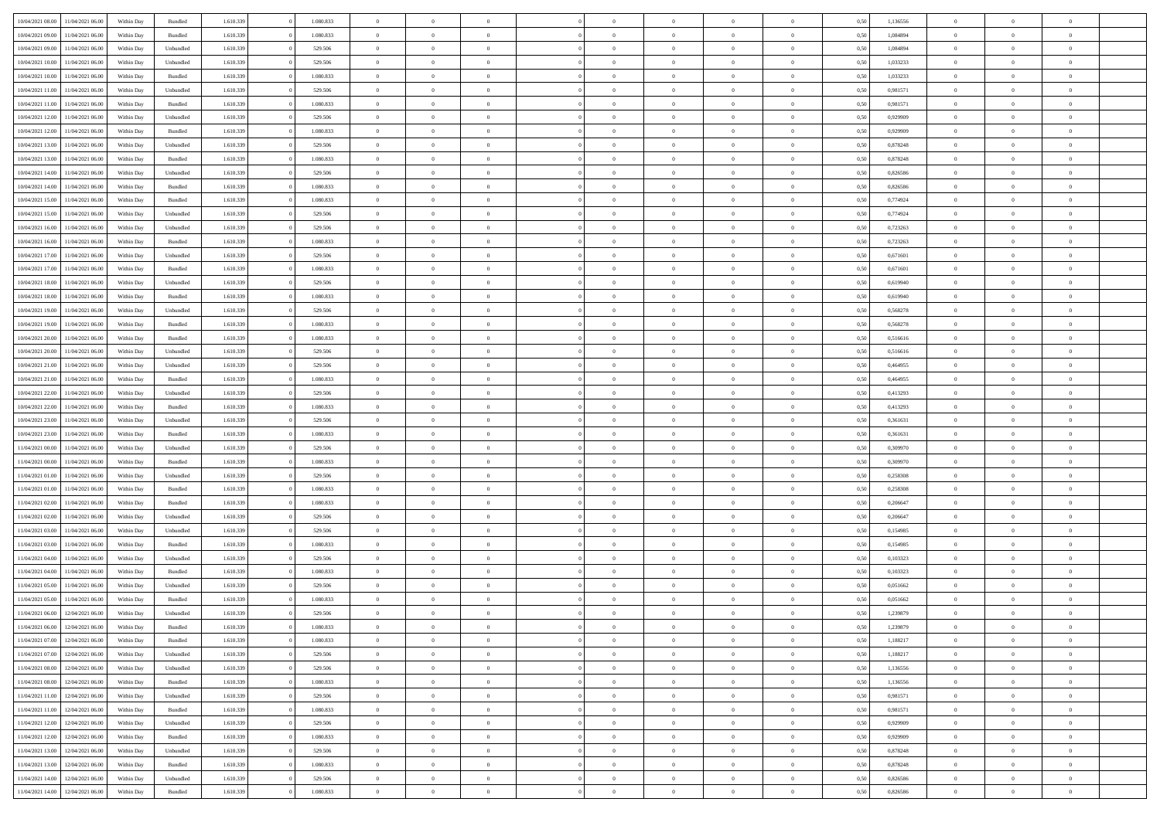|                                   |                  |            |                    |           |           | $\overline{0}$ | $\Omega$       |                |                | $\Omega$       | $\Omega$       | $\theta$       |      |          | $\theta$       |                | $\theta$       |  |
|-----------------------------------|------------------|------------|--------------------|-----------|-----------|----------------|----------------|----------------|----------------|----------------|----------------|----------------|------|----------|----------------|----------------|----------------|--|
| 10/04/2021 08:00                  | 11/04/2021 06:00 | Within Day | Bundled            | 1.610.339 | 1.080.833 |                |                |                | $\Omega$       |                |                |                | 0,50 | 1,136556 |                | $\theta$       |                |  |
| 10/04/2021 09:00                  | 11/04/2021 06:00 | Within Day | Bundled            | 1.610.339 | 1.080.833 | $\overline{0}$ | $\theta$       | $\overline{0}$ | $\overline{0}$ | $\bf{0}$       | $\overline{0}$ | $\bf{0}$       | 0,50 | 1,084894 | $\theta$       | $\overline{0}$ | $\overline{0}$ |  |
| 10/04/2021 09:00                  | 11/04/2021 06:00 | Within Day | Unbundled          | 1.610.339 | 529.506   | $\overline{0}$ | $\overline{0}$ | $\overline{0}$ | $\overline{0}$ | $\bf{0}$       | $\overline{0}$ | $\mathbf{0}$   | 0,50 | 1,084894 | $\overline{0}$ | $\overline{0}$ | $\overline{0}$ |  |
| 10/04/2021 10:00                  | 11/04/2021 06:00 | Within Dav | Unbundled          | 1.610.339 | 529.506   | $\overline{0}$ | $\overline{0}$ | $\overline{0}$ | $\overline{0}$ | $\bf{0}$       | $\overline{0}$ | $\overline{0}$ | 0.50 | 1,033233 | $\theta$       | $\theta$       | $\overline{0}$ |  |
|                                   |                  |            |                    |           |           |                |                |                |                |                |                |                |      |          |                |                |                |  |
| 10/04/2021 10:00                  | 11/04/2021 06:00 | Within Day | Bundled            | 1.610.339 | 1.080.833 | $\overline{0}$ | $\theta$       | $\overline{0}$ | $\overline{0}$ | $\bf{0}$       | $\overline{0}$ | $\bf{0}$       | 0,50 | 1,033233 | $\theta$       | $\overline{0}$ | $\overline{0}$ |  |
| 10/04/2021 11:00                  | 11/04/2021 06:00 | Within Day | Unbundled          | 1.610.339 | 529.506   | $\overline{0}$ | $\bf{0}$       | $\overline{0}$ | $\overline{0}$ | $\overline{0}$ | $\overline{0}$ | $\mathbf{0}$   | 0,50 | 0,981571 | $\overline{0}$ | $\overline{0}$ | $\bf{0}$       |  |
| 10/04/2021 11:00                  | 11/04/2021 06:00 | Within Dav | Bundled            | 1.610.339 | 1.080.833 | $\overline{0}$ | $\overline{0}$ | $\overline{0}$ | $\overline{0}$ | $\overline{0}$ | $\overline{0}$ | $\overline{0}$ | 0.50 | 0.981571 | $\theta$       | $\overline{0}$ | $\overline{0}$ |  |
| 10/04/2021 12:00                  | 11/04/2021 06:00 | Within Day | Unbundled          | 1.610.339 | 529.506   | $\overline{0}$ | $\theta$       | $\overline{0}$ | $\overline{0}$ | $\bf{0}$       | $\overline{0}$ | $\bf{0}$       | 0,50 | 0,929909 | $\theta$       | $\theta$       | $\overline{0}$ |  |
|                                   |                  |            |                    |           |           |                |                |                |                |                |                |                |      |          |                |                |                |  |
| 10/04/2021 12:00                  | 11/04/2021 06:00 | Within Day | Bundled            | 1.610.339 | 1.080.833 | $\overline{0}$ | $\overline{0}$ | $\overline{0}$ | $\bf{0}$       | $\bf{0}$       | $\bf{0}$       | $\mathbf{0}$   | 0,50 | 0,929909 | $\,0\,$        | $\overline{0}$ | $\overline{0}$ |  |
| 10/04/2021 13:00                  | 11/04/2021 06:00 | Within Dav | Unbundled          | 1.610.339 | 529.506   | $\overline{0}$ | $\overline{0}$ | $\overline{0}$ | $\overline{0}$ | $\overline{0}$ | $\overline{0}$ | $\overline{0}$ | 0.50 | 0,878248 | $\theta$       | $\overline{0}$ | $\overline{0}$ |  |
| 10/04/2021 13:00                  | 11/04/2021 06:00 | Within Day | Bundled            | 1.610.339 | 1.080.833 | $\overline{0}$ | $\theta$       | $\overline{0}$ | $\overline{0}$ | $\bf{0}$       | $\overline{0}$ | $\bf{0}$       | 0,50 | 0,878248 | $\,$ 0 $\,$    | $\overline{0}$ | $\overline{0}$ |  |
| 10/04/2021 14:00                  | 11/04/2021 06:00 | Within Day | Unbundled          | 1.610.339 | 529.506   | $\overline{0}$ | $\overline{0}$ | $\overline{0}$ | $\bf{0}$       | $\bf{0}$       | $\bf{0}$       | $\mathbf{0}$   | 0,50 | 0,826586 | $\overline{0}$ | $\overline{0}$ | $\bf{0}$       |  |
|                                   |                  |            |                    |           |           |                |                |                |                |                |                |                |      |          |                |                |                |  |
| 10/04/2021 14:00                  | 11/04/2021 06:00 | Within Day | Bundled            | 1.610.339 | 1.080.833 | $\overline{0}$ | $\overline{0}$ | $\overline{0}$ | $\overline{0}$ | $\bf{0}$       | $\overline{0}$ | $\overline{0}$ | 0.50 | 0.826586 | $\theta$       | $\theta$       | $\overline{0}$ |  |
| 10/04/2021 15:00                  | 11/04/2021 06:00 | Within Day | Bundled            | 1.610.339 | 1.080.833 | $\overline{0}$ | $\theta$       | $\overline{0}$ | $\overline{0}$ | $\bf{0}$       | $\overline{0}$ | $\bf{0}$       | 0,50 | 0,774924 | $\theta$       | $\theta$       | $\overline{0}$ |  |
| 10/04/2021 15:00                  | 11/04/2021 06:00 | Within Day | Unbundled          | 1.610.339 | 529.506   | $\overline{0}$ | $\overline{0}$ | $\overline{0}$ | $\bf{0}$       | $\overline{0}$ | $\overline{0}$ | $\mathbf{0}$   | 0,50 | 0,774924 | $\overline{0}$ | $\overline{0}$ | $\bf{0}$       |  |
| 10/04/2021 16:00                  | 11/04/2021 06:00 | Within Dav | Unbundled          | 1.610.339 | 529.506   | $\overline{0}$ | $\overline{0}$ | $\overline{0}$ | $\overline{0}$ | $\overline{0}$ | $\overline{0}$ | $\overline{0}$ | 0.50 | 0,723263 | $\theta$       | $\overline{0}$ | $\overline{0}$ |  |
|                                   |                  |            |                    |           |           | $\overline{0}$ | $\theta$       | $\overline{0}$ |                | $\bf{0}$       | $\overline{0}$ |                |      |          |                | $\theta$       | $\overline{0}$ |  |
| 10/04/2021 16:00                  | 11/04/2021 06:00 | Within Day | Bundled            | 1.610.339 | 1.080.833 |                |                |                | $\overline{0}$ |                |                | $\bf{0}$       | 0,50 | 0,723263 | $\,$ 0 $\,$    |                |                |  |
| 10/04/2021 17:00                  | 11/04/2021 06:00 | Within Day | Unbundled          | 1.610.339 | 529.506   | $\overline{0}$ | $\overline{0}$ | $\overline{0}$ | $\bf{0}$       | $\bf{0}$       | $\bf{0}$       | $\mathbf{0}$   | 0,50 | 0,671601 | $\,0\,$        | $\overline{0}$ | $\overline{0}$ |  |
| 10/04/2021 17:00                  | 11/04/2021 06:00 | Within Day | Bundled            | 1.610.339 | 1.080.833 | $\overline{0}$ | $\overline{0}$ | $\overline{0}$ | $\overline{0}$ | $\overline{0}$ | $\overline{0}$ | $\overline{0}$ | 0.50 | 0,671601 | $\theta$       | $\overline{0}$ | $\overline{0}$ |  |
| 10/04/2021 18:00                  | 11/04/2021 06:00 | Within Day | Unbundled          | 1.610.339 | 529.506   | $\overline{0}$ | $\theta$       | $\overline{0}$ | $\overline{0}$ | $\bf{0}$       | $\overline{0}$ | $\bf{0}$       | 0,50 | 0,619940 | $\,$ 0 $\,$    | $\theta$       | $\overline{0}$ |  |
|                                   |                  |            |                    |           |           |                |                |                |                |                |                |                |      |          |                |                |                |  |
| 10/04/2021 18:00                  | 11/04/2021 06:00 | Within Day | Bundled            | 1.610.339 | 1.080.833 | $\overline{0}$ | $\overline{0}$ | $\overline{0}$ | $\bf{0}$       | $\bf{0}$       | $\bf{0}$       | $\bf{0}$       | 0,50 | 0,619940 | $\bf{0}$       | $\overline{0}$ | $\overline{0}$ |  |
| 10/04/2021 19:00                  | 11/04/2021 06:00 | Within Day | Unbundled          | 1.610.339 | 529.506   | $\overline{0}$ | $\overline{0}$ | $\overline{0}$ | $\overline{0}$ | $\bf{0}$       | $\overline{0}$ | $\overline{0}$ | 0.50 | 0,568278 | $\theta$       | $\overline{0}$ | $\overline{0}$ |  |
| 10/04/2021 19:00                  | 11/04/2021 06:00 | Within Day | Bundled            | 1.610.339 | 1.080.833 | $\overline{0}$ | $\theta$       | $\overline{0}$ | $\overline{0}$ | $\bf{0}$       | $\overline{0}$ | $\bf{0}$       | 0,50 | 0,568278 | $\,$ 0 $\,$    | $\overline{0}$ | $\overline{0}$ |  |
| 10/04/2021 20:00                  | 11/04/2021 06:00 | Within Day | Bundled            | 1.610.339 | 1.080.833 | $\overline{0}$ | $\overline{0}$ | $\overline{0}$ | $\bf{0}$       | $\overline{0}$ | $\overline{0}$ | $\mathbf{0}$   | 0,50 | 0,516616 | $\overline{0}$ | $\overline{0}$ | $\bf{0}$       |  |
| 10/04/2021 20:00                  | 11/04/2021 06:00 | Within Dav | Unbundled          | 1.610.339 | 529.506   | $\overline{0}$ | $\overline{0}$ | $\overline{0}$ | $\overline{0}$ | $\overline{0}$ | $\overline{0}$ | $\overline{0}$ | 0.50 | 0.516616 | $\overline{0}$ | $\overline{0}$ | $\overline{0}$ |  |
|                                   |                  |            |                    |           |           |                |                |                |                |                |                |                |      |          |                |                |                |  |
| 10/04/2021 21:00                  | 11/04/2021 06:00 | Within Day | Unbundled          | 1.610.339 | 529.506   | $\overline{0}$ | $\theta$       | $\overline{0}$ | $\overline{0}$ | $\bf{0}$       | $\overline{0}$ | $\bf{0}$       | 0,50 | 0,464955 | $\theta$       | $\theta$       | $\overline{0}$ |  |
| 10/04/2021 21:00                  | 11/04/2021 06:00 | Within Day | Bundled            | 1.610.339 | 1.080.833 | $\overline{0}$ | $\overline{0}$ | $\overline{0}$ | $\bf{0}$       | $\bf{0}$       | $\bf{0}$       | $\bf{0}$       | 0,50 | 0,464955 | $\,0\,$        | $\overline{0}$ | $\overline{0}$ |  |
| 10/04/2021 22.00                  | 11/04/2021 06:00 | Within Day | Unbundled          | 1.610.339 | 529.506   | $\overline{0}$ | $\overline{0}$ | $\overline{0}$ | $\overline{0}$ | $\overline{0}$ | $\overline{0}$ | $\overline{0}$ | 0.50 | 0,413293 | $\theta$       | $\overline{0}$ | $\overline{0}$ |  |
| 10/04/2021 22:00                  | 11/04/2021 06:00 | Within Day | Bundled            | 1.610.339 | 1.080.833 | $\overline{0}$ | $\theta$       | $\overline{0}$ | $\overline{0}$ | $\bf{0}$       | $\overline{0}$ | $\bf{0}$       | 0,50 | 0,413293 | $\,$ 0 $\,$    | $\overline{0}$ | $\overline{0}$ |  |
|                                   |                  |            |                    |           |           |                |                |                |                |                |                |                |      |          |                |                |                |  |
| 10/04/2021 23:00                  | 11/04/2021 06:00 | Within Day | Unbundled          | 1.610.339 | 529.506   | $\overline{0}$ | $\overline{0}$ | $\overline{0}$ | $\overline{0}$ | $\bf{0}$       | $\overline{0}$ | $\bf{0}$       | 0,50 | 0,361631 | $\overline{0}$ | $\overline{0}$ | $\overline{0}$ |  |
| 10/04/2021 23:00                  | 11/04/2021 06.00 | Within Day | Bundled            | 1.610.339 | 1.080.833 | $\overline{0}$ | $\Omega$       | $\overline{0}$ | $\Omega$       | $\Omega$       | $\overline{0}$ | $\overline{0}$ | 0,50 | 0,361631 | $\,0\,$        | $\theta$       | $\theta$       |  |
| 11/04/2021 00:00                  | 11/04/2021 06:00 | Within Day | Unbundled          | 1.610.339 | 529.506   | $\overline{0}$ | $\theta$       | $\overline{0}$ | $\overline{0}$ | $\bf{0}$       | $\overline{0}$ | $\bf{0}$       | 0,50 | 0,309970 | $\theta$       | $\overline{0}$ | $\overline{0}$ |  |
| 11/04/2021 00:00                  | 11/04/2021 06:00 | Within Day | Bundled            | 1.610.339 | 1.080.833 | $\overline{0}$ | $\overline{0}$ | $\overline{0}$ | $\overline{0}$ | $\bf{0}$       | $\overline{0}$ | $\mathbf{0}$   | 0,50 | 0,309970 | $\overline{0}$ | $\overline{0}$ | $\bf{0}$       |  |
| 11/04/2021 01:00                  | 11/04/2021 06:00 |            | Unbundled          | 1.610.339 | 529.506   | $\overline{0}$ | $\Omega$       | $\Omega$       | $\Omega$       | $\bf{0}$       | $\overline{0}$ | $\overline{0}$ | 0.50 | 0,258308 | $\,0\,$        | $\theta$       | $\theta$       |  |
|                                   |                  | Within Day |                    |           |           |                |                |                |                |                |                |                |      |          |                |                |                |  |
| 11/04/2021 01:00                  | 11/04/2021 06:00 | Within Day | Bundled            | 1.610.339 | 1.080.833 | $\overline{0}$ | $\theta$       | $\overline{0}$ | $\overline{0}$ | $\bf{0}$       | $\overline{0}$ | $\bf{0}$       | 0,50 | 0,258308 | $\,$ 0 $\,$    | $\overline{0}$ | $\overline{0}$ |  |
| 11/04/2021 02:00                  | 11/04/2021 06:00 | Within Day | Bundled            | 1.610.339 | 1.080.833 | $\overline{0}$ | $\overline{0}$ | $\overline{0}$ | $\overline{0}$ | $\bf{0}$       | $\overline{0}$ | $\bf{0}$       | 0,50 | 0,206647 | $\bf{0}$       | $\overline{0}$ | $\overline{0}$ |  |
| 11/04/2021 02:00                  | 11/04/2021 06:00 | Within Day | Unbundled          | 1.610.339 | 529.506   | $\overline{0}$ | $\Omega$       | $\Omega$       | $\Omega$       | $\theta$       | $\overline{0}$ | $\overline{0}$ | 0.50 | 0.206647 | $\theta$       | $\theta$       | $\theta$       |  |
| 11/04/2021 03:00                  | 11/04/2021 06:00 | Within Day | Unbundled          | 1.610.339 | 529.506   | $\overline{0}$ | $\theta$       | $\overline{0}$ | $\overline{0}$ | $\,$ 0         | $\overline{0}$ | $\bf{0}$       | 0,50 | 0,154985 | $\,$ 0 $\,$    | $\overline{0}$ | $\overline{0}$ |  |
|                                   |                  |            |                    |           |           |                |                |                |                |                |                |                |      |          |                |                |                |  |
| 11/04/2021 03:00                  | 11/04/2021 06:00 | Within Day | Bundled            | 1.610.339 | 1.080.833 | $\overline{0}$ | $\overline{0}$ | $\overline{0}$ | $\overline{0}$ | $\bf{0}$       | $\overline{0}$ | $\mathbf{0}$   | 0,50 | 0,154985 | $\overline{0}$ | $\overline{0}$ | $\overline{0}$ |  |
| 11/04/2021 04:00                  | 11/04/2021 06.00 | Within Day | Unbundled          | 1.610.339 | 529.506   | $\overline{0}$ | $\Omega$       | $\overline{0}$ | $\Omega$       | $\overline{0}$ | $\overline{0}$ | $\overline{0}$ | 0.50 | 0,103323 | $\,0\,$        | $\theta$       | $\theta$       |  |
| 11/04/2021 04:00                  | 11/04/2021 06:00 | Within Day | Bundled            | 1.610.339 | 1.080.833 | $\overline{0}$ | $\theta$       | $\overline{0}$ | $\overline{0}$ | $\,$ 0         | $\overline{0}$ | $\bf{0}$       | 0,50 | 0,103323 | $\,$ 0 $\,$    | $\overline{0}$ | $\overline{0}$ |  |
| 11/04/2021 05:00                  | 11/04/2021 06:00 | Within Day | Unbundled          | 1.610.339 | 529.506   | $\overline{0}$ | $\overline{0}$ | $\overline{0}$ | $\overline{0}$ | $\bf{0}$       | $\overline{0}$ | $\mathbf{0}$   | 0,50 | 0,051662 | $\overline{0}$ | $\overline{0}$ | $\bf{0}$       |  |
| 11/04/2021 05:00                  | 11/04/2021 06:00 |            | Bundled            | 1.610.339 | 1.080.833 | $\overline{0}$ | $\Omega$       | $\Omega$       | $\Omega$       | $\Omega$       | $\Omega$       | $\overline{0}$ | 0.50 | 0.051662 | $\theta$       | $\theta$       | $\theta$       |  |
|                                   |                  | Within Day |                    |           |           |                |                |                |                |                |                |                |      |          |                |                |                |  |
| 11/04/2021 06:00                  | 12/04/2021 06:00 | Within Day | Unbundled          | 1.610.339 | 529.506   | $\overline{0}$ | $\overline{0}$ | $\overline{0}$ | $\bf{0}$       | $\,$ 0         | $\overline{0}$ | $\bf{0}$       | 0,50 | 1,239879 | $\,0\,$        | $\overline{0}$ | $\overline{0}$ |  |
| 11/04/2021 06:00                  | 12/04/2021 06:00 | Within Day | $\mathbf B$ undled | 1.610.339 | 1.080.833 | $\bf{0}$       | $\bf{0}$       |                |                |                |                |                | 0,50 | 1,239879 | $\bf{0}$       | $\overline{0}$ |                |  |
| 11/04/2021 07:00                  | 12/04/2021 06:00 | Within Day | Bundled            | 1.610.339 | 1.080.833 | $\overline{0}$ | $\overline{0}$ | $\overline{0}$ | $\Omega$       | $\overline{0}$ | $\overline{0}$ | $\overline{0}$ | 0,50 | 1,188217 | $\theta$       | $\theta$       | $\Omega$       |  |
| 11/04/2021 07:00                  | 12/04/2021 06:00 | Within Day | Unbundled          | 1.610.339 | 529.506   | $\overline{0}$ | $\,$ 0         | $\overline{0}$ | $\overline{0}$ | $\,$ 0 $\,$    | $\overline{0}$ | $\,$ 0 $\,$    | 0,50 | 1,188217 | $\,$ 0 $\,$    | $\,$ 0 $\,$    | $\,$ 0         |  |
|                                   |                  |            |                    |           |           |                |                |                |                |                |                |                |      |          |                |                |                |  |
| 11/04/2021 08:00                  | 12/04/2021 06:00 | Within Day | Unbundled          | 1.610.339 | 529.506   | $\overline{0}$ | $\overline{0}$ | $\overline{0}$ | $\overline{0}$ | $\overline{0}$ | $\overline{0}$ | $\mathbf{0}$   | 0,50 | 1,136556 | $\overline{0}$ | $\bf{0}$       | $\bf{0}$       |  |
| 11/04/2021 08:00                  | 12/04/2021 06:00 | Within Day | $\mathbf B$ undled | 1.610.339 | 1.080.833 | $\overline{0}$ | $\overline{0}$ | $\overline{0}$ | $\Omega$       | $\overline{0}$ | $\overline{0}$ | $\overline{0}$ | 0,50 | 1,136556 | $\overline{0}$ | $\theta$       | $\overline{0}$ |  |
| 11/04/2021 11:00                  | 12/04/2021 06:00 | Within Day | Unbundled          | 1.610.339 | 529.506   | $\overline{0}$ | $\,$ 0         | $\overline{0}$ | $\overline{0}$ | $\,$ 0 $\,$    | $\overline{0}$ | $\mathbf{0}$   | 0,50 | 0,981571 | $\,$ 0 $\,$    | $\overline{0}$ | $\overline{0}$ |  |
| 11/04/2021 11:00                  | 12/04/2021 06:00 | Within Day | Bundled            | 1.610.339 | 1.080.833 | $\overline{0}$ | $\overline{0}$ | $\overline{0}$ | $\overline{0}$ | $\overline{0}$ | $\overline{0}$ | $\mathbf{0}$   | 0,50 | 0,981571 | $\overline{0}$ | $\overline{0}$ | $\bf{0}$       |  |
|                                   |                  |            |                    |           |           |                |                |                |                |                |                |                |      |          |                |                |                |  |
| 11/04/2021 12:00                  | 12/04/2021 06:00 | Within Day | Unbundled          | 1.610.339 | 529.506   | $\overline{0}$ | $\overline{0}$ | $\overline{0}$ | $\overline{0}$ | $\overline{0}$ | $\overline{0}$ | $\bf{0}$       | 0.50 | 0,929909 | $\overline{0}$ | $\theta$       | $\overline{0}$ |  |
| 11/04/2021 12:00                  | 12/04/2021 06:00 | Within Day | Bundled            | 1.610.339 | 1.080.833 | $\overline{0}$ | $\,$ 0         | $\overline{0}$ | $\bf{0}$       | $\bf{0}$       | $\bf{0}$       | $\bf{0}$       | 0,50 | 0,929909 | $\,$ 0 $\,$    | $\overline{0}$ | $\overline{0}$ |  |
| 11/04/2021 13:00                  | 12/04/2021 06:00 | Within Day | Unbundled          | 1.610.339 | 529.506   | $\overline{0}$ | $\bf{0}$       | $\overline{0}$ | $\overline{0}$ | $\overline{0}$ | $\overline{0}$ | $\mathbf{0}$   | 0,50 | 0,878248 | $\overline{0}$ | $\overline{0}$ | $\bf{0}$       |  |
| 11/04/2021 13:00                  | 12/04/2021 06:00 | Within Day | Bundled            | 1.610.339 | 1.080.833 | $\overline{0}$ | $\overline{0}$ | $\overline{0}$ | $\Omega$       | $\overline{0}$ | $\overline{0}$ | $\overline{0}$ | 0.50 | 0,878248 | $\overline{0}$ | $\overline{0}$ | $\overline{0}$ |  |
|                                   |                  |            |                    |           |           |                | $\bf{0}$       |                | $\overline{0}$ |                |                |                |      |          | $\,$ 0 $\,$    | $\,$ 0 $\,$    |                |  |
| 11/04/2021 14:00                  | 12/04/2021 06:00 | Within Day | Unbundled          | 1.610.339 | 529.506   | $\overline{0}$ |                | $\overline{0}$ |                | $\bf{0}$       | $\bf{0}$       | $\bf{0}$       | 0,50 | 0,826586 |                |                | $\bf{0}$       |  |
| 11/04/2021 14:00 12/04/2021 06:00 |                  | Within Day | Bundled            | 1.610.339 | 1.080.833 | $\overline{0}$ | $\bf{0}$       | $\overline{0}$ | $\bf{0}$       | $\bf{0}$       | $\bf{0}$       | $\bf{0}$       | 0,50 | 0,826586 | $\overline{0}$ | $\overline{0}$ | $\bf{0}$       |  |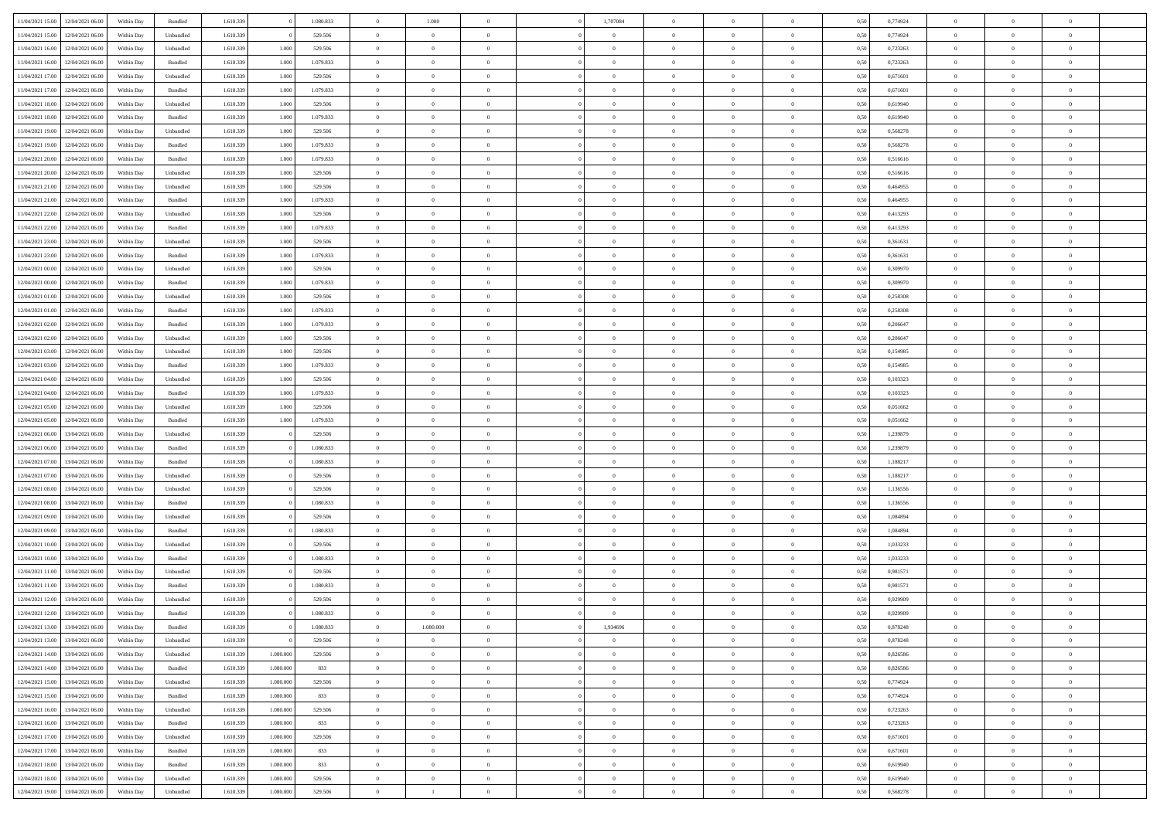| 11/04/2021 15:00                  | 12/04/2021 06:00                  | Within Day | Bundled            | 1.610.339 |           | 1.080.833 | $\overline{0}$ | 1.000                            |                | 1,707084       | $\bf{0}$       | $\overline{0}$ | $\theta$       | 0,50 | 0,774924 | $\theta$       | $\theta$       | $\overline{0}$ |  |
|-----------------------------------|-----------------------------------|------------|--------------------|-----------|-----------|-----------|----------------|----------------------------------|----------------|----------------|----------------|----------------|----------------|------|----------|----------------|----------------|----------------|--|
| 11/04/2021 15:00                  | 12/04/2021 06.00                  | Within Day | Unbundled          | 1.610.339 |           | 529.506   | $\overline{0}$ | $\overline{0}$                   | $\overline{0}$ | $\overline{0}$ | $\bf{0}$       | $\bf{0}$       | $\bf{0}$       | 0,50 | 0,774924 | $\,$ 0 $\,$    | $\overline{0}$ | $\overline{0}$ |  |
|                                   |                                   |            |                    |           |           |           |                |                                  |                |                |                |                |                |      |          |                |                |                |  |
| 11/04/2021 16:00                  | 12/04/2021 06:00                  | Within Day | Unbundled          | 1.610.339 | 1.000     | 529.506   | $\overline{0}$ | $\overline{0}$                   | $\overline{0}$ | $\overline{0}$ | $\bf{0}$       | $\overline{0}$ | $\mathbf{0}$   | 0.50 | 0,723263 | $\mathbf{0}$   | $\,$ 0 $\,$    | $\bf{0}$       |  |
| 11/04/2021 16:00                  | 12/04/2021 06:00                  | Within Day | Bundled            | 1.610.339 | 1.000     | 1.079.833 | $\overline{0}$ | $\,$ 0                           | $\overline{0}$ | $\overline{0}$ | $\,0\,$        | $\overline{0}$ | $\overline{0}$ | 0,50 | 0,723263 | $\,$ 0 $\,$    | $\overline{0}$ | $\overline{0}$ |  |
| 11/04/2021 17:00                  | 12/04/2021 06.00                  | Within Day | Unbundled          | 1.610.339 | 1.000     | 529.506   | $\overline{0}$ | $\overline{0}$                   | $\overline{0}$ | $\overline{0}$ | $\,$ 0         | $\overline{0}$ | $\bf{0}$       | 0,50 | 0,671601 | $\,$ 0 $\,$    | $\overline{0}$ | $\overline{0}$ |  |
| 11/04/2021 17:00                  | 12/04/2021 06:00                  | Within Day | Bundled            | 1.610.339 | 1.000     | 1.079.833 | $\overline{0}$ | $\overline{0}$                   | $\overline{0}$ | $\overline{0}$ | $\bf{0}$       | $\overline{0}$ | $\bf{0}$       | 0.50 | 0.671601 | $\,0\,$        | $\overline{0}$ | $\overline{0}$ |  |
| 11/04/2021 18:00                  | 12/04/2021 06:00                  | Within Day | Unbundled          | 1.610.339 | 1.000     | 529.506   | $\overline{0}$ | $\overline{0}$                   | $\overline{0}$ | $\overline{0}$ | $\bf{0}$       | $\overline{0}$ | $\bf{0}$       | 0,50 | 0,619940 | $\,$ 0 $\,$    | $\overline{0}$ | $\overline{0}$ |  |
| 11/04/2021 18:00                  | 12/04/2021 06.00                  | Within Day | Bundled            | 1.610.339 | 1.000     | 1.079.833 | $\overline{0}$ | $\overline{0}$                   | $\overline{0}$ | $\overline{0}$ | $\,$ 0         | $\bf{0}$       | $\bf{0}$       | 0,50 | 0,619940 | $\,$ 0 $\,$    | $\overline{0}$ | $\overline{0}$ |  |
| 11/04/2021 19:00                  | 12/04/2021 06:00                  | Within Day | Unbundled          | 1.610.339 | 1.000     | 529,506   | $\overline{0}$ | $\overline{0}$                   | $\overline{0}$ | $\overline{0}$ | $\bf{0}$       | $\overline{0}$ | $\mathbf{0}$   | 0.50 | 0.568278 | $\bf{0}$       | $\overline{0}$ | $\bf{0}$       |  |
| 11/04/2021 19:00                  | 12/04/2021 06:00                  | Within Day | Bundled            | 1.610.339 | 1.000     | 1.079.833 | $\overline{0}$ | $\overline{0}$                   | $\overline{0}$ | $\overline{0}$ | $\bf{0}$       | $\overline{0}$ | $\bf{0}$       | 0,50 | 0,568278 | $\,$ 0 $\,$    | $\overline{0}$ | $\overline{0}$ |  |
| 11/04/2021 20:00                  | 12/04/2021 06.00                  | Within Day | Bundled            | 1.610.339 | 1.000     | 1.079.833 | $\overline{0}$ | $\overline{0}$                   | $\overline{0}$ | $\overline{0}$ | $\bf{0}$       | $\bf{0}$       | $\bf{0}$       | 0,50 | 0,516616 | $\,$ 0 $\,$    | $\overline{0}$ | $\overline{0}$ |  |
| 11/04/2021 20:00                  | 12/04/2021 06:00                  |            |                    | 1.610.339 | 1.000     |           | $\overline{0}$ |                                  |                | $\overline{0}$ | $\bf{0}$       | $\overline{0}$ |                | 0.50 | 0.516616 | $\overline{0}$ | $\,$ 0 $\,$    | $\overline{0}$ |  |
|                                   |                                   | Within Day | Unbundled          |           |           | 529.506   |                | $\overline{0}$<br>$\overline{0}$ | $\overline{0}$ |                |                |                | $\mathbf{0}$   |      |          |                |                |                |  |
| 11/04/2021 21:00                  | 12/04/2021 06:00                  | Within Day | Unbundled          | 1.610.339 | 1.000     | 529.506   | $\overline{0}$ |                                  | $\overline{0}$ | $\overline{0}$ | $\bf{0}$       | $\overline{0}$ | $\overline{0}$ | 0,50 | 0,464955 | $\,$ 0 $\,$    | $\overline{0}$ | $\overline{0}$ |  |
| 11/04/2021 21:00                  | 12/04/2021 06.00                  | Within Day | Bundled            | 1.610.339 | 1.000     | 1.079.833 | $\bf{0}$       | $\overline{0}$                   | $\overline{0}$ | $\overline{0}$ | $\,$ 0         | $\overline{0}$ | $\bf{0}$       | 0,50 | 0,464955 | $\,$ 0 $\,$    | $\overline{0}$ | $\overline{0}$ |  |
| 11/04/2021 22:00                  | 12/04/2021 06:00                  | Within Day | Unbundled          | 1.610.339 | 1.000     | 529.506   | $\overline{0}$ | $\overline{0}$                   | $\overline{0}$ | $\overline{0}$ | $\bf{0}$       | $\overline{0}$ | $\bf{0}$       | 0.50 | 0.413293 | $\,0\,$        | $\overline{0}$ | $\overline{0}$ |  |
| 11/04/2021 22.00                  | 12/04/2021 06:00                  | Within Day | Bundled            | 1.610.339 | 1.000     | 1.079.833 | $\overline{0}$ | $\overline{0}$                   | $\overline{0}$ | $\overline{0}$ | $\bf{0}$       | $\overline{0}$ | $\bf{0}$       | 0,50 | 0,413293 | $\,$ 0 $\,$    | $\theta$       | $\overline{0}$ |  |
| 11/04/2021 23:00                  | 12/04/2021 06.00                  | Within Day | Unbundled          | 1.610.339 | 1.000     | 529.506   | $\overline{0}$ | $\overline{0}$                   | $\overline{0}$ | $\overline{0}$ | $\,$ 0         | $\overline{0}$ | $\bf{0}$       | 0,50 | 0,361631 | $\,$ 0 $\,$    | $\overline{0}$ | $\overline{0}$ |  |
| 11/04/2021 23:00                  | 12/04/2021 06:00                  | Within Day | Bundled            | 1.610.339 | 1.000     | 1.079.833 | $\overline{0}$ | $\overline{0}$                   | $\overline{0}$ | $\overline{0}$ | $\overline{0}$ | $\overline{0}$ | $\mathbf{0}$   | 0.50 | 0.361631 | $\bf{0}$       | $\overline{0}$ | $\bf{0}$       |  |
| 12/04/2021 00:00                  | 12/04/2021 06:00                  | Within Day | Unbundled          | 1.610.339 | 1.000     | 529.506   | $\overline{0}$ | $\overline{0}$                   | $\overline{0}$ | $\overline{0}$ | $\bf{0}$       | $\overline{0}$ | $\bf{0}$       | 0,50 | 0,309970 | $\,$ 0 $\,$    | $\overline{0}$ | $\overline{0}$ |  |
| 12/04/2021 00:00                  | 12/04/2021 06.00                  | Within Day | Bundled            | 1.610.339 | 1.000     | 1.079.833 | $\overline{0}$ | $\overline{0}$                   | $\overline{0}$ | $\overline{0}$ | $\bf{0}$       | $\overline{0}$ | $\bf{0}$       | 0,50 | 0,309970 | $\,$ 0 $\,$    | $\overline{0}$ | $\overline{0}$ |  |
| 12/04/2021 01:00                  | 12/04/2021 06:00                  | Within Day | Unbundled          | 1.610.339 | 1.000     | 529.506   | $\overline{0}$ | $\overline{0}$                   | $\overline{0}$ | $\overline{0}$ | $\bf{0}$       | $\overline{0}$ | $\mathbf{0}$   | 0.50 | 0.258308 | $\overline{0}$ | $\,$ 0 $\,$    | $\overline{0}$ |  |
| 12/04/2021 01:00                  | 12/04/2021 06:00                  | Within Day | Bundled            | 1.610.339 | 1.000     | 1.079.833 | $\overline{0}$ | $\overline{0}$                   | $\overline{0}$ | $\overline{0}$ | $\,$ 0 $\,$    | $\overline{0}$ | $\overline{0}$ | 0,50 | 0,258308 | $\,$ 0 $\,$    | $\overline{0}$ | $\overline{0}$ |  |
| 12/04/2021 02:00                  | 12/04/2021 06.00                  | Within Day | Bundled            | 1.610.339 | 1.000     | 1.079.833 | $\overline{0}$ | $\overline{0}$                   | $\overline{0}$ | $\overline{0}$ | $\bf{0}$       | $\overline{0}$ | $\bf{0}$       | 0,50 | 0,206647 | $\,$ 0 $\,$    | $\overline{0}$ | $\overline{0}$ |  |
|                                   |                                   |            |                    |           |           |           |                |                                  |                |                |                |                |                |      |          |                |                |                |  |
| 12/04/2021 02:00                  | 12/04/2021 06:00                  | Within Day | Unbundled          | 1.610.339 | 1.000     | 529.506   | $\overline{0}$ | $\overline{0}$                   | $\overline{0}$ | $\overline{0}$ | $\bf{0}$       | $\overline{0}$ | $\bf{0}$       | 0.50 | 0.206647 | $\,0\,$        | $\overline{0}$ | $\overline{0}$ |  |
| 12/04/2021 03:00                  | 12/04/2021 06:00                  | Within Day | Unbundled          | 1.610.339 | 1.000     | 529.506   | $\overline{0}$ | $\overline{0}$                   | $\overline{0}$ | $\overline{0}$ | $\bf{0}$       | $\overline{0}$ | $\bf{0}$       | 0,50 | 0,154985 | $\,$ 0 $\,$    | $\theta$       | $\overline{0}$ |  |
| 12/04/2021 03:00                  | 12/04/2021 06.00                  | Within Day | Bundled            | 1.610.339 | 1.000     | 1.079.833 | $\bf{0}$       | $\overline{0}$                   | $\overline{0}$ | $\overline{0}$ | $\,$ 0         | $\bf{0}$       | $\bf{0}$       | 0,50 | 0,154985 | $\,$ 0 $\,$    | $\overline{0}$ | $\overline{0}$ |  |
| 12/04/2021 04:00                  | 12/04/2021 06:00                  | Within Day | Unbundled          | 1.610.339 | 1.000     | 529,506   | $\overline{0}$ | $\overline{0}$                   | $\overline{0}$ | $\overline{0}$ | $\bf{0}$       | $\overline{0}$ | $\mathbf{0}$   | 0.50 | 0.103323 | $\bf{0}$       | $\overline{0}$ | $\bf{0}$       |  |
| 12/04/2021 04:00                  | 12/04/2021 06:00                  | Within Day | Bundled            | 1.610.339 | 1.000     | 1.079.833 | $\overline{0}$ | $\overline{0}$                   | $\overline{0}$ | $\overline{0}$ | $\bf{0}$       | $\overline{0}$ | $\bf{0}$       | 0,50 | 0,103323 | $\,$ 0 $\,$    | $\overline{0}$ | $\overline{0}$ |  |
| 12/04/2021 05:00                  | 12/04/2021 06.00                  | Within Day | Unbundled          | 1.610.339 | 1.000     | 529.506   | $\overline{0}$ | $\overline{0}$                   | $\overline{0}$ | $\overline{0}$ | $\bf{0}$       | $\bf{0}$       | $\bf{0}$       | 0,50 | 0,051662 | $\,$ 0 $\,$    | $\overline{0}$ | $\overline{0}$ |  |
| 12/04/2021 05:00                  | 12/04/2021 06:00                  | Within Day | Bundled            | 1.610.339 | 1.000     | 1.079.833 | $\overline{0}$ | $\overline{0}$                   | $\overline{0}$ | $\overline{0}$ | $\bf{0}$       | $\overline{0}$ | $\mathbf{0}$   | 0.50 | 0.051662 | $\overline{0}$ | $\,$ 0 $\,$    | $\overline{0}$ |  |
| 12/04/2021 06:00                  | 13/04/2021 06:00                  | Within Dav | Unbundled          | 1.610.339 |           | 529.506   | $\overline{0}$ | $\overline{0}$                   | $\overline{0}$ | $\overline{0}$ | $\overline{0}$ | $\overline{0}$ | $\mathbf{0}$   | 0.50 | 1,239879 | $\theta$       | $\overline{0}$ | $\overline{0}$ |  |
| 12/04/2021 06:00                  | 13/04/2021 06.00                  | Within Day | Bundled            | 1.610.339 |           | 1.080.833 | $\overline{0}$ | $\overline{0}$                   | $\overline{0}$ | $\overline{0}$ | $\bf{0}$       | $\bf{0}$       | $\bf{0}$       | 0,50 | 1,239879 | $\,$ 0 $\,$    | $\overline{0}$ | $\overline{0}$ |  |
| 12/04/2021 07:00                  | 13/04/2021 06:00                  | Within Day | Bundled            | 1.610.339 |           | 1.080.833 | $\overline{0}$ | $\overline{0}$                   | $\overline{0}$ | $\overline{0}$ | $\bf{0}$       | $\overline{0}$ | $\bf{0}$       | 0.50 | 1.188217 | $\,0\,$        | $\overline{0}$ | $\overline{0}$ |  |
| 12/04/2021 07:00                  | 13/04/2021 06:00                  | Within Dav | Unbundled          | 1.610.339 |           | 529.506   | $\overline{0}$ | $\overline{0}$                   | $\overline{0}$ | $\overline{0}$ | $\overline{0}$ | $\overline{0}$ | $\overline{0}$ | 0,50 | 1,188217 | $\theta$       | $\overline{0}$ | $\overline{0}$ |  |
|                                   |                                   |            |                    |           |           |           |                | $\overline{0}$                   | $\overline{0}$ | $\overline{0}$ | $\bf{0}$       |                |                |      |          | $\,$ 0 $\,$    | $\overline{0}$ | $\overline{0}$ |  |
| 12/04/2021 08:00                  | 13/04/2021 06.00                  | Within Day | Unbundled          | 1.610.339 |           | 529.506   | $\overline{0}$ |                                  |                |                |                | $\bf{0}$       | $\bf{0}$       | 0,50 | 1,136556 |                |                |                |  |
| 12/04/2021 08:00                  | 13/04/2021 06:00                  | Within Day | Bundled            | 1.610.339 |           | 1.080.833 | $\overline{0}$ | $\overline{0}$                   | $\overline{0}$ | $\overline{0}$ | $\bf{0}$       | $\overline{0}$ | $\mathbf{0}$   | 0.50 | 1.136556 | $\overline{0}$ | $\overline{0}$ | $\bf{0}$       |  |
| 12/04/2021 09:00                  | 13/04/2021 06:00                  | Within Dav | Unbundled          | 1.610.339 |           | 529.506   | $\overline{0}$ | $\overline{0}$                   | $\overline{0}$ | $\overline{0}$ | $\overline{0}$ | $\overline{0}$ | $\overline{0}$ | 0,50 | 1,084894 | $\theta$       | $\overline{0}$ | $\overline{0}$ |  |
| 12/04/2021 09:00                  | 13/04/2021 06.00                  | Within Day | Bundled            | 1.610.339 |           | 1.080.833 | $\overline{0}$ | $\overline{0}$                   | $\overline{0}$ | $\bf{0}$       | $\bf{0}$       | $\bf{0}$       | $\bf{0}$       | 0,50 | 1,084894 | $\,$ 0 $\,$    | $\overline{0}$ | $\overline{0}$ |  |
| 12/04/2021 10:00                  | 13/04/2021 06:00                  | Within Day | Unbundled          | 1.610.339 |           | 529.506   | $\overline{0}$ | $\overline{0}$                   | $\overline{0}$ | $\overline{0}$ | $\bf{0}$       | $\overline{0}$ | $\mathbf{0}$   | 0.50 | 1,033233 | $\overline{0}$ | $\,$ 0 $\,$    | $\overline{0}$ |  |
| 12/04/2021 10:00                  | 13/04/2021 06:00                  | Within Dav | Bundled            | 1.610.339 |           | 1.080.833 | $\overline{0}$ | $\overline{0}$                   | $\overline{0}$ | $\overline{0}$ | $\overline{0}$ | $\overline{0}$ | $\overline{0}$ | 0.50 | 1,033233 | $\theta$       | $\overline{0}$ | $\overline{0}$ |  |
| 12/04/2021 11:00                  | 13/04/2021 06:00                  | Within Day | Unbundled          | 1.610.339 |           | 529.506   | $\overline{0}$ | $\overline{0}$                   | $\overline{0}$ | $\overline{0}$ | $\bf{0}$       | $\overline{0}$ | $\bf{0}$       | 0,50 | 0,981571 | $\,$ 0 $\,$    | $\overline{0}$ | $\overline{0}$ |  |
| 12/04/2021 11:00                  | 13/04/2021 06:00                  | Within Day | Bundled            | 1.610.339 |           | 1.080.833 | $\overline{0}$ | $\overline{0}$                   | $\overline{0}$ | $\overline{0}$ | $\bf{0}$       | $\overline{0}$ | $\bf{0}$       | 0.50 | 0.981571 | $\,0\,$        | $\overline{0}$ | $\overline{0}$ |  |
| 12/04/2021 12:00                  | 13/04/2021 06:00                  | Within Dav | Unbundled          | 1.610.339 |           | 529.506   | $\overline{0}$ | $\theta$                         | $\Omega$       | $\overline{0}$ | $\bf{0}$       | $\overline{0}$ | $\overline{0}$ | 0.50 | 0,929909 | $\theta$       | $\overline{0}$ | $\overline{0}$ |  |
| 12/04/2021 12:00                  | 13/04/2021 06:00                  | Within Day | Bundled            | 1.610.339 |           | 1.080.833 | $\overline{0}$ | $\overline{0}$                   | $\overline{0}$ | $\overline{0}$ | $\,$ 0         | $\overline{0}$ | $\bf{0}$       | 0,50 | 0,929909 | $\,$ 0 $\,$    | $\overline{0}$ | $\overline{0}$ |  |
|                                   | 12/04/2021 13:00 13/04/2021 06:00 | Within Day | $\mathbf B$ undled | 1.610.339 |           | 1.080.833 | $\bf{0}$       | 1.080.000                        |                | 1.934696       | $\bf{0}$       |                |                | 0.50 | 0,878248 | $\bf{0}$       | $\bf{0}$       |                |  |
| 12/04/2021 13:00 13/04/2021 06:00 |                                   | Within Day | Unbundled          | 1.610.339 |           | 529.506   | $\overline{0}$ | $\overline{0}$                   | $\overline{0}$ | $\overline{0}$ | $\mathbf{0}$   | $\overline{0}$ | $\overline{0}$ | 0,50 | 0,878248 | $\theta$       | $\overline{0}$ | $\overline{0}$ |  |
|                                   |                                   |            |                    |           |           |           |                |                                  |                |                |                |                |                |      |          |                |                |                |  |
| 12/04/2021 14:00                  | 13/04/2021 06:00                  | Within Day | Unbundled          | 1.610.339 | 1.080.000 | 529.506   | $\overline{0}$ | $\overline{0}$                   | $\overline{0}$ | $\overline{0}$ | $\overline{0}$ | $\overline{0}$ | $\bf{0}$       | 0,50 | 0,826586 | $\overline{0}$ | $\overline{0}$ | $\bf{0}$       |  |
| 12/04/2021 14:00                  | 13/04/2021 06:00                  | Within Day | Bundled            | 1.610.339 | 1,080,000 | 833       | $\overline{0}$ | $\overline{0}$                   | $\overline{0}$ | $\overline{0}$ | $\overline{0}$ | $\overline{0}$ | $\mathbf{0}$   | 0.50 | 0.826586 | $\overline{0}$ | $\,$ 0 $\,$    | $\bf{0}$       |  |
| 12/04/2021 15:00                  | 13/04/2021 06:00                  | Within Day | Unbundled          | 1.610.339 | 1.080.000 | 529,506   | $\overline{0}$ | $\overline{0}$                   | $\overline{0}$ | $\overline{0}$ | $\overline{0}$ | $\overline{0}$ | $\overline{0}$ | 0,50 | 0,774924 | $\overline{0}$ | $\theta$       | $\overline{0}$ |  |
| 12/04/2021 15:00                  | 13/04/2021 06:00                  | Within Day | Bundled            | 1.610.339 | 1.080.000 | 833       | $\overline{0}$ | $\overline{0}$                   | $\overline{0}$ | $\overline{0}$ | $\bf{0}$       | $\overline{0}$ | $\bf{0}$       | 0,50 | 0,774924 | $\,$ 0 $\,$    | $\overline{0}$ | $\bf{0}$       |  |
| 12/04/2021 16:00                  | 13/04/2021 06:00                  | Within Day | Unbundled          | 1.610.339 | 1,080,000 | 529.506   | $\overline{0}$ | $\overline{0}$                   | $\overline{0}$ | $\overline{0}$ | $\bf{0}$       | $\overline{0}$ | $\mathbf{0}$   | 0.50 | 0,723263 | $\mathbf{0}$   | $\overline{0}$ | $\overline{0}$ |  |
| 12/04/2021 16:00                  | 13/04/2021 06:00                  | Within Day | Bundled            | 1.610.339 | 1.080.000 | 833       | $\overline{0}$ | $\overline{0}$                   | $\overline{0}$ | $\overline{0}$ | $\bf{0}$       | $\overline{0}$ | $\overline{0}$ | 0,50 | 0,723263 | $\overline{0}$ | $\theta$       | $\overline{0}$ |  |
| 12/04/2021 17:00                  | 13/04/2021 06:00                  | Within Day | Unbundled          | 1.610.339 | 1.080.000 | 529.506   | $\overline{0}$ | $\bf{0}$                         | $\overline{0}$ | $\bf{0}$       | $\,$ 0 $\,$    | $\overline{0}$ | $\bf{0}$       | 0,50 | 0,671601 | $\,$ 0 $\,$    | $\,$ 0 $\,$    | $\overline{0}$ |  |
| 12/04/2021 17:00                  | 13/04/2021 06:00                  | Within Day | Bundled            | 1.610.339 | 1,080,000 | 833       | $\overline{0}$ | $\overline{0}$                   | $\overline{0}$ | $\overline{0}$ | $\bf{0}$       | $\overline{0}$ | $\mathbf{0}$   | 0.50 | 0.671601 | $\mathbf{0}$   | $\bf{0}$       | $\bf{0}$       |  |
| 12/04/2021 18:00                  | 13/04/2021 06:00                  | Within Day | Bundled            | 1.610.339 | 1.080.000 | 833       | $\overline{0}$ | $\overline{0}$                   | $\overline{0}$ | $\overline{0}$ | $\overline{0}$ | $\overline{0}$ | $\overline{0}$ | 0,50 | 0,619940 | $\overline{0}$ | $\overline{0}$ | $\overline{0}$ |  |
| 12/04/2021 18:00                  | 13/04/2021 06:00                  | Within Day | Unbundled          | 1.610.339 | 1.080.000 | 529.506   | $\overline{0}$ | $\bf{0}$                         | $\overline{0}$ | $\bf{0}$       | $\bf{0}$       | $\bf{0}$       | $\bf{0}$       | 0,50 | 0,619940 | $\overline{0}$ | $\overline{0}$ | $\bf{0}$       |  |
|                                   |                                   |            |                    |           |           |           |                |                                  |                |                |                |                |                |      |          |                |                |                |  |
|                                   | 12/04/2021 19:00 13/04/2021 06:00 | Within Day | Unbundled          | 1.610.339 | 1.080.000 | 529.506   | $\,$ 0 $\,$    | $\mathbf{1}$                     | $\overline{0}$ | $\overline{0}$ | $\,$ 0 $\,$    | $\,$ 0 $\,$    | $\,$ 0 $\,$    | 0,50 | 0,568278 | $\overline{0}$ | $\,$ 0 $\,$    | $\,$ 0 $\,$    |  |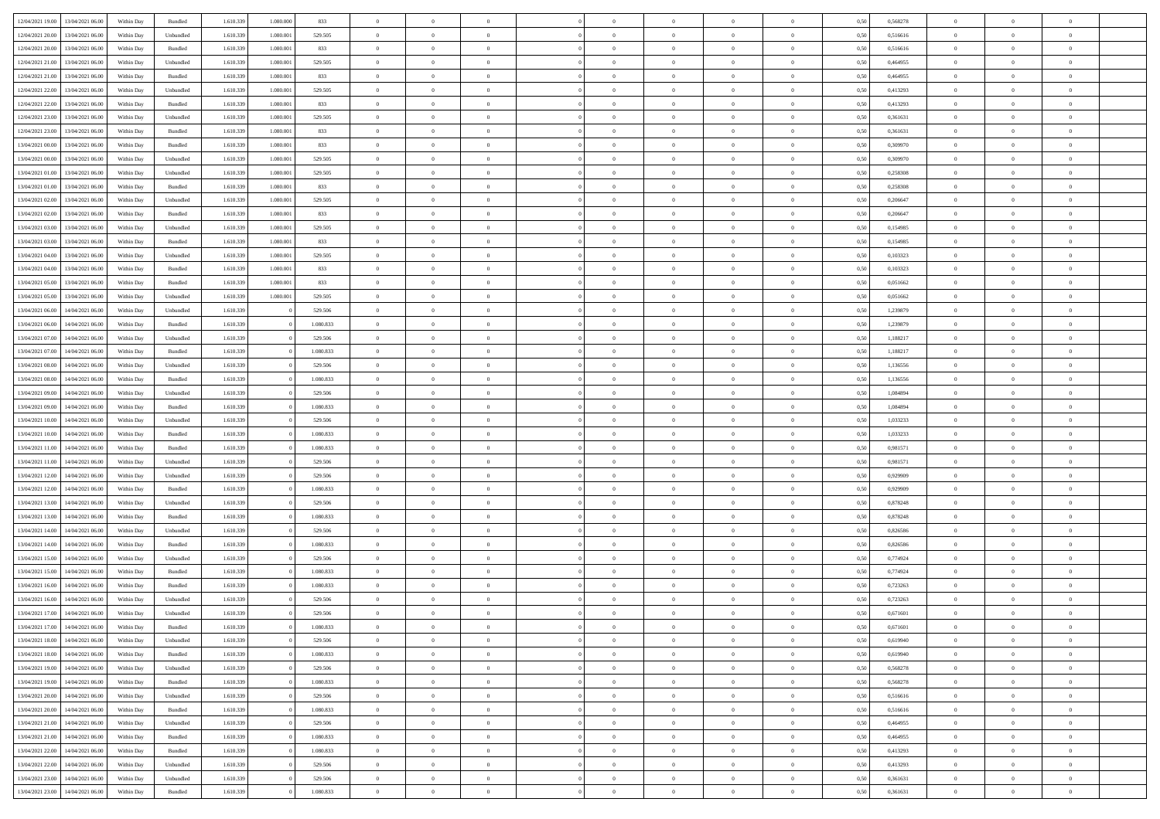| 12/04/2021 19:00                  | 13/04/2021 06:00 | Within Day | Bundled            | 1.610.339 | 1.080.000 | 833       | $\overline{0}$ | $\theta$       |                | $\overline{0}$ | $\bf{0}$       | $\overline{0}$ | $\theta$       | 0,50 | 0,568278 | $\theta$       | $\theta$       | $\theta$                 |  |
|-----------------------------------|------------------|------------|--------------------|-----------|-----------|-----------|----------------|----------------|----------------|----------------|----------------|----------------|----------------|------|----------|----------------|----------------|--------------------------|--|
| 12/04/2021 20:00                  | 13/04/2021 06:00 | Within Day | Unbundled          | 1.610.33  | 1.080.001 | 529.505   | $\overline{0}$ | $\overline{0}$ | $\overline{0}$ | $\overline{0}$ | $\,$ 0         | $\bf{0}$       | $\bf{0}$       | 0,50 | 0,516616 | $\,$ 0 $\,$    | $\overline{0}$ | $\overline{0}$           |  |
|                                   |                  |            |                    |           |           |           |                |                |                |                |                |                |                |      |          |                |                |                          |  |
| 12/04/2021 20:00                  | 13/04/2021 06:00 | Within Day | Bundled            | 1.610.339 | 1.080.001 | 833       | $\overline{0}$ | $\overline{0}$ | $\overline{0}$ | $\overline{0}$ | $\bf{0}$       | $\overline{0}$ | $\mathbf{0}$   | 0,50 | 0,516616 | $\bf{0}$       | $\overline{0}$ | $\overline{0}$           |  |
| 12/04/2021 21:00                  | 13/04/2021 06:00 | Within Day | Unbundled          | 1.610.339 | 1.080.001 | 529.505   | $\overline{0}$ | $\overline{0}$ | $\overline{0}$ | $\overline{0}$ | $\,$ 0         | $\overline{0}$ | $\overline{0}$ | 0,50 | 0,464955 | $\,$ 0 $\,$    | $\overline{0}$ | $\overline{0}$           |  |
| 12/04/2021 21:00                  | 13/04/2021 06:00 | Within Day | Bundled            | 1.610.33  | 1.080.001 | 833       | $\overline{0}$ | $\theta$       | $\overline{0}$ |                | $\overline{0}$ | $\overline{0}$ | $\bf{0}$       | 0,50 | 0,464955 | $\,$ 0 $\,$    | $\overline{0}$ | $\overline{0}$           |  |
| 12/04/2021 22:00                  | 13/04/2021 06:00 | Within Day | Unbundled          | 1.610.339 | 1.080.001 | 529.505   | $\overline{0}$ | $\overline{0}$ | $\overline{0}$ | $\overline{0}$ | $\bf{0}$       | $\overline{0}$ | $\bf{0}$       | 0.50 | 0.413293 | $\,0\,$        | $\theta$       | $\overline{0}$           |  |
| 12/04/2021 22:00                  | 13/04/2021 06:00 | Within Day | Bundled            | 1.610.339 | 1.080.001 | 833       | $\overline{0}$ | $\overline{0}$ | $\overline{0}$ | $\overline{0}$ | $\bf{0}$       | $\overline{0}$ | $\overline{0}$ | 0,50 | 0,413293 | $\,$ 0 $\,$    | $\theta$       | $\overline{0}$           |  |
| 12/04/2021 23:00                  | 13/04/2021 06.00 | Within Day | Unbundled          | 1.610.33  | 1.080.001 | 529.505   | $\overline{0}$ | $\theta$       | $\overline{0}$ | $\overline{0}$ | $\,$ 0         | $\bf{0}$       | $\bf{0}$       | 0,50 | 0,361631 | $\,$ 0 $\,$    | $\overline{0}$ | $\overline{0}$           |  |
| 12/04/2021 23:00                  | 13/04/2021 06:00 | Within Day | Bundled            | 1.610.339 | 1.080.001 | 833       | $\overline{0}$ | $\overline{0}$ | $\overline{0}$ | $\overline{0}$ | $\bf{0}$       | $\overline{0}$ | $\bf{0}$       | 0.50 | 0.361631 | $\,0\,$        | $\overline{0}$ | $\overline{0}$           |  |
| 13/04/2021 00:00                  | 13/04/2021 06:00 | Within Day | Bundled            | 1.610.339 | 1.080.001 | 833       | $\overline{0}$ | $\overline{0}$ | $\overline{0}$ | $\overline{0}$ | $\,$ 0         | $\overline{0}$ | $\bf{0}$       | 0,50 | 0,309970 | $\,$ 0 $\,$    | $\overline{0}$ | $\overline{0}$           |  |
| 13/04/2021 00:00                  | 13/04/2021 06:00 | Within Day | Unbundled          | 1.610.33  | 1.080.001 | 529.505   | $\bf{0}$       | $\theta$       | $\overline{0}$ | $\overline{0}$ | $\,$ 0         | $\bf{0}$       | $\bf{0}$       | 0,50 | 0,309970 | $\,$ 0 $\,$    | $\overline{0}$ | $\overline{0}$           |  |
|                                   |                  |            |                    |           |           |           |                |                |                |                |                |                |                |      |          |                |                |                          |  |
| 13/04/2021 01:00                  | 13/04/2021 06:00 | Within Day | Unbundled          | 1.610.339 | 1,080,001 | 529.505   | $\overline{0}$ | $\overline{0}$ | $\overline{0}$ | $\overline{0}$ | $\bf{0}$       | $\overline{0}$ | $\mathbf{0}$   | 0.50 | 0,258308 | $\,$ 0 $\,$    | $\overline{0}$ | $\bf{0}$                 |  |
| 13/04/2021 01:00                  | 13/04/2021 06:00 | Within Day | Bundled            | 1.610.339 | 1.080.001 | 833       | $\overline{0}$ | $\overline{0}$ | $\overline{0}$ | $\overline{0}$ | $\bf{0}$       | $\overline{0}$ | $\overline{0}$ | 0,50 | 0,258308 | $\,$ 0 $\,$    | $\overline{0}$ | $\overline{0}$           |  |
| 13/04/2021 02:00                  | 13/04/2021 06:00 | Within Day | Unbundled          | 1.610.33  | 1.080.001 | 529.505   | $\overline{0}$ | $\theta$       | $\overline{0}$ | $\overline{0}$ | $\bf{0}$       | $\overline{0}$ | $\bf{0}$       | 0,50 | 0,206647 | $\,$ 0 $\,$    | $\overline{0}$ | $\overline{0}$           |  |
| 13/04/2021 02:00                  | 13/04/2021 06:00 | Within Day | Bundled            | 1.610.339 | 1.080.001 | 833       | $\overline{0}$ | $\overline{0}$ | $\overline{0}$ | $\overline{0}$ | $\,$ 0         | $\overline{0}$ | $\bf{0}$       | 0.50 | 0.206647 | $\,0\,$        | $\theta$       | $\overline{0}$           |  |
| 13/04/2021 03:00                  | 13/04/2021 06:00 | Within Day | Unbundled          | 1.610.339 | 1.080.001 | 529.505   | $\overline{0}$ | $\overline{0}$ | $\overline{0}$ | $\overline{0}$ | $\,$ 0         | $\overline{0}$ | $\bf{0}$       | 0,50 | 0,154985 | $\,$ 0 $\,$    | $\theta$       | $\overline{0}$           |  |
| 13/04/2021 03:00                  | 13/04/2021 06.00 | Within Day | Bundled            | 1.610.33  | 1.080.001 | 833       | $\overline{0}$ | $\theta$       | $\overline{0}$ |                | $\,$ 0         | $\overline{0}$ | $\bf{0}$       | 0,50 | 0,154985 | $\,$ 0 $\,$    | $\overline{0}$ | $\overline{0}$           |  |
| 13/04/2021 04:00                  | 13/04/2021 06:00 | Within Day | Unbundled          | 1.610.339 | 1.080.001 | 529.505   | $\overline{0}$ | $\overline{0}$ | $\overline{0}$ | $\overline{0}$ | $\bf{0}$       | $\overline{0}$ | $\bf{0}$       | 0.50 | 0.103323 | $\bf{0}$       | $\overline{0}$ | $\overline{\phantom{a}}$ |  |
| 13/04/2021 04:00                  | 13/04/2021 06:00 | Within Day | Bundled            | 1.610.339 | 1.080.001 | 833       | $\overline{0}$ | $\overline{0}$ | $\overline{0}$ | $\overline{0}$ | $\bf{0}$       | $\overline{0}$ | $\bf{0}$       | 0,50 | 0,103323 | $\,$ 0 $\,$    | $\overline{0}$ | $\overline{0}$           |  |
| 13/04/2021 05:00                  | 13/04/2021 06:00 | Within Day | Bundled            | 1.610.33  | 1.080.001 | 833       | $\bf{0}$       | $\overline{0}$ | $\overline{0}$ | $\overline{0}$ | $\,$ 0         | $\overline{0}$ | $\bf{0}$       | 0,50 | 0,051662 | $\,$ 0 $\,$    | $\overline{0}$ | $\overline{0}$           |  |
|                                   |                  |            |                    |           |           |           |                |                |                |                |                |                |                |      |          |                |                |                          |  |
| 13/04/2021 05:00                  | 13/04/2021 06:00 | Within Day | Unbundled          | 1.610.339 | 1.080.001 | 529.505   | $\overline{0}$ | $\overline{0}$ | $\overline{0}$ | $\overline{0}$ | $\bf{0}$       | $\overline{0}$ | $\mathbf{0}$   | 0.50 | 0.051662 | $\,$ 0 $\,$    | $\overline{0}$ | $\overline{\phantom{a}}$ |  |
| 13/04/2021 06:00                  | 14/04/2021 06:00 | Within Day | Unbundled          | 1.610.339 |           | 529.506   | $\overline{0}$ | $\overline{0}$ | $\overline{0}$ | $\overline{0}$ | $\bf{0}$       | $\overline{0}$ | $\overline{0}$ | 0,50 | 1,239879 | $\,$ 0 $\,$    | $\overline{0}$ | $\overline{0}$           |  |
| 13/04/2021 06:00                  | 14/04/2021 06.00 | Within Day | Bundled            | 1.610.339 |           | 1.080.833 | $\overline{0}$ | $\theta$       | $\overline{0}$ | $\overline{0}$ | $\,$ 0         | $\overline{0}$ | $\bf{0}$       | 0,50 | 1,239879 | $\,$ 0 $\,$    | $\overline{0}$ | $\overline{0}$           |  |
| 13/04/2021 07:00                  | 14/04/2021 06:00 | Within Day | Unbundled          | 1.610.339 |           | 529.506   | $\overline{0}$ | $\overline{0}$ | $\overline{0}$ | $\overline{0}$ | $\bf{0}$       | $\overline{0}$ | $\bf{0}$       | 0.50 | 1.188217 | $\,0\,$        | $\theta$       | $\overline{0}$           |  |
| 13/04/2021 07:00                  | 14/04/2021 06:00 | Within Day | Bundled            | 1.610.339 |           | 1.080.833 | $\overline{0}$ | $\overline{0}$ | $\overline{0}$ | $\overline{0}$ | $\,$ 0         | $\overline{0}$ | $\overline{0}$ | 0,50 | 1,188217 | $\,$ 0 $\,$    | $\theta$       | $\overline{0}$           |  |
| 13/04/2021 08:00                  | 14/04/2021 06.00 | Within Day | Unbundled          | 1.610.339 |           | 529.506   | $\overline{0}$ | $\theta$       | $\overline{0}$ |                | $\,$ 0         | $\overline{0}$ | $\bf{0}$       | 0,50 | 1,136556 | $\,$ 0 $\,$    | $\overline{0}$ | $\overline{0}$           |  |
| 13/04/2021 08:00                  | 14/04/2021 06:00 | Within Day | Bundled            | 1.610.339 |           | 1.080.833 | $\overline{0}$ | $\overline{0}$ | $\overline{0}$ | $\overline{0}$ | $\bf{0}$       | $\overline{0}$ | $\bf{0}$       | 0.50 | 1.136556 | $\,0\,$        | $\overline{0}$ | $\overline{0}$           |  |
| 13/04/2021 09:00                  | 14/04/2021 06:00 | Within Day | Unbundled          | 1.610.339 |           | 529.506   | $\overline{0}$ | $\overline{0}$ | $\overline{0}$ | $\overline{0}$ | $\bf{0}$       | $\overline{0}$ | $\bf{0}$       | 0,50 | 1,084894 | $\,$ 0 $\,$    | $\overline{0}$ | $\overline{0}$           |  |
| 13/04/2021 09:00                  | 14/04/2021 06.00 | Within Day | Bundled            | 1.610.339 |           | 1.080.833 | $\overline{0}$ | $\overline{0}$ | $\overline{0}$ | $\overline{0}$ | $\bf{0}$       | $\overline{0}$ | $\bf{0}$       | 0,50 | 1,084894 | $\,$ 0 $\,$    | $\overline{0}$ | $\overline{0}$           |  |
|                                   | 14/04/2021 06:00 |            |                    | 1.610.339 |           | 529.506   |                | $\bf{0}$       |                | $\overline{0}$ | $\bf{0}$       | $\overline{0}$ |                | 0.50 | 1.033233 | $\,$ 0 $\,$    | $\overline{0}$ | $\bf{0}$                 |  |
| 13/04/2021 10:00                  |                  | Within Day | Unbundled          |           |           |           | $\bf{0}$       |                | $\overline{0}$ |                |                |                | $\mathbf{0}$   |      |          |                |                |                          |  |
| 13/04/2021 10:00                  | 14/04/2021 06:00 | Within Dav | Bundled            | 1.610.339 |           | 1.080.833 | $\overline{0}$ | $\overline{0}$ | $\overline{0}$ | $\overline{0}$ | $\overline{0}$ | $\overline{0}$ | $\overline{0}$ | 0.50 | 1,033233 | $\theta$       | $\overline{0}$ | $\overline{0}$           |  |
| 13/04/2021 11:00                  | 14/04/2021 06.00 | Within Day | Bundled            | 1.610.339 |           | 1.080.833 | $\bf{0}$       | $\theta$       | $\overline{0}$ | $\overline{0}$ | $\,$ 0         | $\overline{0}$ | $\bf{0}$       | 0,50 | 0,981571 | $\,$ 0 $\,$    | $\overline{0}$ | $\overline{0}$           |  |
| 13/04/2021 11:00                  | 14/04/2021 06:00 | Within Day | Unbundled          | 1.610.339 |           | 529.506   | $\overline{0}$ | $\overline{0}$ | $\overline{0}$ | $\overline{0}$ | $\bf{0}$       | $\overline{0}$ | $\bf{0}$       | 0.50 | 0.981571 | $\,0\,$        | $\theta$       | $\overline{0}$           |  |
| 13/04/2021 12:00                  | 14/04/2021 06:00 | Within Dav | Unbundled          | 1.610.339 |           | 529.506   | $\overline{0}$ | $\overline{0}$ | $\Omega$       | $\Omega$       | $\mathbf{0}$   | $\overline{0}$ | $\overline{0}$ | 0.50 | 0,929909 | $\theta$       | $\overline{0}$ | $\overline{0}$           |  |
| 13/04/2021 12:00                  | 14/04/2021 06.00 | Within Day | Bundled            | 1.610.339 |           | 1.080.833 | $\overline{0}$ | $\theta$       | $\overline{0}$ | $\overline{0}$ | $\,$ 0         | $\overline{0}$ | $\bf{0}$       | 0,50 | 0,929909 | $\,$ 0 $\,$    | $\overline{0}$ | $\overline{0}$           |  |
| 13/04/2021 13:00                  | 14/04/2021 06:00 | Within Day | Unbundled          | 1.610.339 |           | 529.506   | $\overline{0}$ | $\overline{0}$ | $\overline{0}$ | $\overline{0}$ | $\bf{0}$       | $\overline{0}$ | $\bf{0}$       | 0.50 | 0.878248 | $\,0\,$        | $\overline{0}$ | $\overline{0}$           |  |
| 13/04/2021 13:00                  | 14/04/2021 06:00 | Within Dav | Bundled            | 1.610.339 |           | 1.080.833 | $\overline{0}$ | $\overline{0}$ | $\overline{0}$ | $\overline{0}$ | $\overline{0}$ | $\overline{0}$ | $\overline{0}$ | 0.50 | 0,878248 | $\theta$       | $\overline{0}$ | $\overline{0}$           |  |
| 13/04/2021 14:00                  | 14/04/2021 06.00 | Within Day | Unbundled          | 1.610.339 |           | 529.506   | $\overline{0}$ | $\overline{0}$ | $\overline{0}$ | $\bf{0}$       | $\bf{0}$       | $\overline{0}$ | $\bf{0}$       | 0,50 | 0,826586 | $\,$ 0 $\,$    | $\overline{0}$ | $\overline{0}$           |  |
| 13/04/2021 14:00                  | 14/04/2021 06:00 | Within Day | Bundled            | 1.610.339 |           | 1.080.833 | $\overline{0}$ | $\overline{0}$ | $\overline{0}$ | $\overline{0}$ | $\bf{0}$       | $\overline{0}$ | $\mathbf{0}$   | 0.50 | 0.826586 | $\,$ 0 $\,$    | $\overline{0}$ | $\overline{0}$           |  |
| 13/04/2021 15:00                  | 14/04/2021 06:00 | Within Dav | Unbundled          | 1.610.339 |           | 529.506   | $\overline{0}$ | $\overline{0}$ | $\Omega$       | $\overline{0}$ | $\mathbf{0}$   | $\overline{0}$ | $\overline{0}$ | 0.50 | 0,774924 | $\theta$       | $\overline{0}$ | $\overline{0}$           |  |
|                                   |                  |            |                    |           |           |           |                |                |                |                |                |                |                |      |          |                |                |                          |  |
| 13/04/2021 15:00                  | 14/04/2021 06.00 | Within Day | Bundled            | 1.610.339 |           | 1.080.833 | $\overline{0}$ | $\overline{0}$ | $\overline{0}$ | $\overline{0}$ | $\,$ 0         | $\bf{0}$       | $\bf{0}$       | 0,50 | 0,774924 | $\,$ 0 $\,$    | $\overline{0}$ | $\overline{0}$           |  |
| 13/04/2021 16:00                  | 14/04/2021 06:00 | Within Day | Bundled            | 1.610.339 |           | 1.080.833 | $\overline{0}$ | $\overline{0}$ | $\overline{0}$ | $\overline{0}$ | $\bf{0}$       | $\overline{0}$ | $\overline{0}$ | 0.50 | 0,723263 | $\,0\,$        | $\theta$       | $\overline{0}$           |  |
| 13/04/2021 16:00                  | 14/04/2021 06:00 | Within Dav | Unbundled          | 1.610.339 |           | 529.506   | $\overline{0}$ | $\Omega$       | $\Omega$       | $\Omega$       | $\bf{0}$       | $\overline{0}$ | $\mathbf{0}$   | 0.50 | 0,723263 | $\theta$       | $\overline{0}$ | $\overline{0}$           |  |
| 13/04/2021 17:00                  | 14/04/2021 06:00 | Within Day | Unbundled          | 1.610.339 |           | 529.506   | $\overline{0}$ | $\,$ 0 $\,$    | $\overline{0}$ | $\bf{0}$       | $\,$ 0         | $\bf{0}$       | $\bf{0}$       | 0,50 | 0,671601 | $\,$ 0 $\,$    | $\overline{0}$ | $\overline{0}$           |  |
| 13/04/2021 17:00                  | 14/04/2021 06:00 | Within Day | $\mathbf B$ undled | 1.610.339 |           | 1.080.833 | $\bf{0}$       | $\bf{0}$       |                | $^{\circ}$     | $\Omega$       |                |                | 0,50 | 0,671601 | $\bf{0}$       | $\theta$       |                          |  |
| 13/04/2021 18:00                  | 14/04/2021 06:00 | Within Day | Unbundled          | 1.610.339 |           | 529.506   | $\overline{0}$ | $\overline{0}$ | $\overline{0}$ | $\overline{0}$ | $\overline{0}$ | $\overline{0}$ | $\mathbf{0}$   | 0,50 | 0,619940 | $\theta$       | $\overline{0}$ | $\overline{0}$           |  |
| 13/04/2021 18:00                  | 14/04/2021 06:00 | Within Day | Bundled            | 1.610.339 |           | 1.080.833 | $\overline{0}$ | $\overline{0}$ | $\overline{0}$ | $\bf{0}$       | $\overline{0}$ | $\overline{0}$ | $\bf{0}$       | 0,50 | 0,619940 | $\overline{0}$ | $\overline{0}$ | $\bf{0}$                 |  |
| 13/04/2021 19:00                  | 14/04/2021 06:00 | Within Day | Unbundled          | 1.610.339 |           | 529.506   | $\overline{0}$ | $\overline{0}$ | $\overline{0}$ | $\overline{0}$ | $\overline{0}$ | $\overline{0}$ | $\mathbf{0}$   | 0.50 | 0.568278 | $\overline{0}$ | $\bf{0}$       | $\bf{0}$                 |  |
| 13/04/2021 19:00                  | 14/04/2021 06:00 | Within Day | Bundled            | 1.610.339 |           | 1.080.833 | $\overline{0}$ | $\overline{0}$ | $\overline{0}$ | $\overline{0}$ | $\overline{0}$ | $\overline{0}$ | $\mathbf{0}$   | 0,50 | 0,568278 | $\overline{0}$ | $\theta$       | $\overline{0}$           |  |
|                                   |                  |            |                    |           |           |           |                |                |                | $\overline{0}$ |                |                |                |      |          | $\,$ 0 $\,$    |                |                          |  |
| 13/04/2021 20:00                  | 14/04/2021 06:00 | Within Day | Unbundled          | 1.610.339 |           | 529.506   | $\overline{0}$ | $\overline{0}$ | $\overline{0}$ |                | $\bf{0}$       | $\bf{0}$       | $\bf{0}$       | 0,50 | 0,516616 |                | $\overline{0}$ | $\overline{0}$           |  |
| 13/04/2021 20:00                  | 14/04/2021 06:00 | Within Day | Bundled            | 1.610.339 |           | 1.080.833 | $\overline{0}$ | $\overline{0}$ | $\overline{0}$ | $\overline{0}$ | $\bf{0}$       | $\overline{0}$ | $\mathbf{0}$   | 0.50 | 0.516616 | $\,$ 0 $\,$    | $\overline{0}$ | $\overline{0}$           |  |
| 13/04/2021 21:00                  | 14/04/2021 06:00 | Within Day | Unbundled          | 1.610.339 |           | 529.506   | $\overline{0}$ | $\overline{0}$ | $\overline{0}$ | $\overline{0}$ | $\overline{0}$ | $\overline{0}$ | $\overline{0}$ | 0,50 | 0,464955 | $\overline{0}$ | $\theta$       | $\overline{0}$           |  |
| 13/04/2021 21:00                  | 14/04/2021 06:00 | Within Day | Bundled            | 1.610.339 |           | 1.080.833 | $\overline{0}$ | $\,$ 0         | $\overline{0}$ | $\bf{0}$       | $\,$ 0 $\,$    | $\overline{0}$ | $\bf{0}$       | 0,50 | 0,464955 | $\,$ 0 $\,$    | $\overline{0}$ | $\overline{0}$           |  |
| 13/04/2021 22:00                  | 14/04/2021 06:00 | Within Day | Bundled            | 1.610.339 |           | 1.080.833 | $\overline{0}$ | $\overline{0}$ | $\overline{0}$ | $\overline{0}$ | $\bf{0}$       | $\overline{0}$ | $\mathbf{0}$   | 0.50 | 0.413293 | $\mathbf{0}$   | $\bf{0}$       | $\overline{0}$           |  |
| 13/04/2021 22:00                  | 14/04/2021 06:00 | Within Day | Unbundled          | 1.610.339 |           | 529.506   | $\overline{0}$ | $\overline{0}$ | $\overline{0}$ | $\overline{0}$ | $\overline{0}$ | $\overline{0}$ | $\overline{0}$ | 0,50 | 0,413293 | $\overline{0}$ | $\overline{0}$ | $\overline{0}$           |  |
| 13/04/2021 23:00                  | 14/04/2021 06:00 | Within Day | Unbundled          | 1.610.339 |           | 529.506   | $\overline{0}$ | $\overline{0}$ | $\overline{0}$ | $\bf{0}$       | $\bf{0}$       | $\bf{0}$       | $\bf{0}$       | 0,50 | 0,361631 | $\bf{0}$       | $\overline{0}$ | $\bf{0}$                 |  |
| 13/04/2021 23:00 14/04/2021 06:00 |                  | Within Day | Bundled            | 1.610.339 |           | 1.080.833 | $\,$ 0 $\,$    | $\,$ 0 $\,$    | $\overline{0}$ | $\overline{0}$ | $\,$ 0 $\,$    | $\overline{0}$ | $\,$ 0 $\,$    | 0,50 | 0,361631 | $\overline{0}$ | $\,$ 0 $\,$    | $\,$ 0 $\,$              |  |
|                                   |                  |            |                    |           |           |           |                |                |                |                |                |                |                |      |          |                |                |                          |  |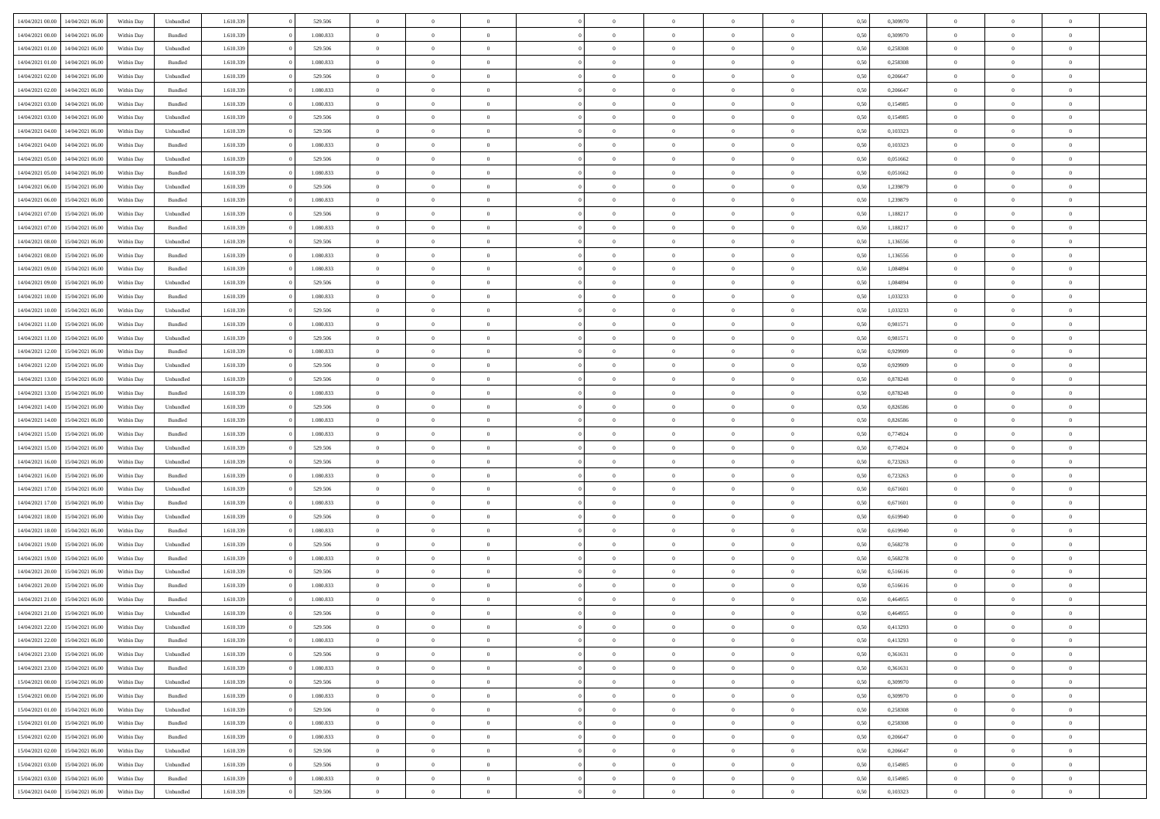| 14/04/2021 00:00 | 14/04/2021 06:00 | Within Dav | Unbundled | 1.610.339 | 529.506   | $\overline{0}$ | $\Omega$       |                | $\Omega$       | $\Omega$       | $\Omega$       | $\theta$       | 0,50 | 0,309970 | $\theta$       | $\theta$       | $\theta$       |  |
|------------------|------------------|------------|-----------|-----------|-----------|----------------|----------------|----------------|----------------|----------------|----------------|----------------|------|----------|----------------|----------------|----------------|--|
|                  |                  |            |           |           |           |                |                |                |                |                |                |                |      |          |                |                |                |  |
| 14/04/2021 00:00 | 14/04/2021 06:00 | Within Day | Bundled   | 1.610.339 | 1.080.833 | $\overline{0}$ | $\theta$       | $\overline{0}$ | $\overline{0}$ | $\bf{0}$       | $\overline{0}$ | $\bf{0}$       | 0,50 | 0,309970 | $\theta$       | $\theta$       | $\overline{0}$ |  |
| 14/04/2021 01:00 | 14/04/2021 06:00 | Within Day | Unbundled | 1.610.339 | 529.506   | $\overline{0}$ | $\overline{0}$ | $\overline{0}$ | $\overline{0}$ | $\bf{0}$       | $\overline{0}$ | $\mathbf{0}$   | 0,50 | 0,258308 | $\overline{0}$ | $\overline{0}$ | $\overline{0}$ |  |
| 14/04/2021 01:00 | 14/04/2021 06:00 | Within Dav | Bundled   | 1.610.339 | 1.080.833 | $\overline{0}$ | $\overline{0}$ | $\overline{0}$ | $\overline{0}$ | $\bf{0}$       | $\overline{0}$ | $\overline{0}$ | 0.50 | 0,258308 | $\theta$       | $\theta$       | $\overline{0}$ |  |
|                  |                  |            |           |           |           |                |                |                |                |                |                |                |      |          |                |                |                |  |
| 14/04/2021 02.00 | 14/04/2021 06:00 | Within Day | Unbundled | 1.610.339 | 529.506   | $\overline{0}$ | $\theta$       | $\overline{0}$ | $\overline{0}$ | $\bf{0}$       | $\overline{0}$ | $\bf{0}$       | 0,50 | 0,206647 | $\theta$       | $\overline{0}$ | $\overline{0}$ |  |
| 14/04/2021 02:00 | 14/04/2021 06:00 | Within Day | Bundled   | 1.610.339 | 1.080.833 | $\overline{0}$ | $\overline{0}$ | $\overline{0}$ | $\overline{0}$ | $\overline{0}$ | $\overline{0}$ | $\mathbf{0}$   | 0,50 | 0,206647 | $\overline{0}$ | $\overline{0}$ | $\bf{0}$       |  |
| 14/04/2021 03:00 | 14/04/2021 06:00 | Within Dav | Bundled   | 1.610.339 | 1.080.833 | $\overline{0}$ | $\overline{0}$ | $\overline{0}$ | $\overline{0}$ | $\overline{0}$ | $\overline{0}$ | $\overline{0}$ | 0.50 | 0,154985 | $\theta$       | $\overline{0}$ | $\overline{0}$ |  |
| 14/04/2021 03:00 | 14/04/2021 06:00 | Within Day | Unbundled | 1.610.339 | 529.506   | $\overline{0}$ | $\theta$       | $\overline{0}$ | $\overline{0}$ | $\bf{0}$       | $\overline{0}$ | $\bf{0}$       | 0,50 | 0,154985 | $\theta$       | $\theta$       | $\overline{0}$ |  |
| 14/04/2021 04:00 | 14/04/2021 06:00 | Within Day | Unbundled | 1.610.339 | 529.506   | $\overline{0}$ | $\overline{0}$ | $\overline{0}$ | $\overline{0}$ | $\bf{0}$       | $\overline{0}$ | $\bf{0}$       | 0,50 | 0,103323 | $\,0\,$        | $\overline{0}$ | $\overline{0}$ |  |
|                  |                  |            |           |           |           |                |                |                |                |                |                |                |      |          |                |                |                |  |
| 14/04/2021 04:00 | 14/04/2021 06:00 | Within Dav | Bundled   | 1.610.339 | 1.080.833 | $\overline{0}$ | $\overline{0}$ | $\overline{0}$ | $\overline{0}$ | $\overline{0}$ | $\overline{0}$ | $\overline{0}$ | 0.50 | 0,103323 | $\theta$       | $\overline{0}$ | $\overline{0}$ |  |
| 14/04/2021 05:00 | 14/04/2021 06:00 | Within Day | Unbundled | 1.610.339 | 529.506   | $\overline{0}$ | $\theta$       | $\overline{0}$ | $\overline{0}$ | $\bf{0}$       | $\overline{0}$ | $\bf{0}$       | 0,50 | 0,051662 | $\,$ 0 $\,$    | $\overline{0}$ | $\overline{0}$ |  |
| 14/04/2021 05:00 | 14/04/2021 06:00 | Within Day | Bundled   | 1.610.339 | 1.080.833 | $\overline{0}$ | $\overline{0}$ | $\overline{0}$ | $\overline{0}$ | $\bf{0}$       | $\overline{0}$ | $\mathbf{0}$   | 0,50 | 0,051662 | $\overline{0}$ | $\overline{0}$ | $\overline{0}$ |  |
| 14/04/2021 06:00 | 15/04/2021 06:00 | Within Day | Unbundled | 1.610.339 | 529.506   | $\overline{0}$ | $\overline{0}$ | $\overline{0}$ | $\overline{0}$ | $\bf{0}$       | $\overline{0}$ | $\overline{0}$ | 0.50 | 1,239879 | $\theta$       | $\theta$       | $\overline{0}$ |  |
| 14/04/2021 06:00 | 15/04/2021 06:00 | Within Day | Bundled   | 1.610.339 | 1.080.833 | $\overline{0}$ | $\theta$       | $\overline{0}$ | $\overline{0}$ | $\bf{0}$       | $\overline{0}$ | $\bf{0}$       | 0,50 | 1,239879 | $\theta$       | $\overline{0}$ | $\overline{0}$ |  |
|                  |                  |            |           |           |           |                |                |                |                |                |                |                |      |          |                |                |                |  |
| 14/04/2021 07:00 | 15/04/2021 06:00 | Within Day | Unbundled | 1.610.339 | 529.506   | $\overline{0}$ | $\overline{0}$ | $\overline{0}$ | $\overline{0}$ | $\overline{0}$ | $\overline{0}$ | $\mathbf{0}$   | 0,50 | 1,188217 | $\overline{0}$ | $\overline{0}$ | $\bf{0}$       |  |
| 14/04/2021 07:00 | 15/04/2021 06:00 | Within Dav | Bundled   | 1.610.339 | 1.080.833 | $\overline{0}$ | $\overline{0}$ | $\overline{0}$ | $\overline{0}$ | $\overline{0}$ | $\overline{0}$ | $\overline{0}$ | 0.50 | 1,188217 | $\theta$       | $\overline{0}$ | $\overline{0}$ |  |
| 14/04/2021 08:00 | 15/04/2021 06:00 | Within Day | Unbundled | 1.610.339 | 529.506   | $\overline{0}$ | $\theta$       | $\overline{0}$ | $\overline{0}$ | $\bf{0}$       | $\overline{0}$ | $\bf{0}$       | 0,50 | 1,136556 | $\,$ 0 $\,$    | $\theta$       | $\overline{0}$ |  |
| 14/04/2021 08:00 | 15/04/2021 06:00 | Within Day | Bundled   | 1.610.339 | 1.080.833 | $\overline{0}$ | $\overline{0}$ | $\overline{0}$ | $\overline{0}$ | $\bf{0}$       | $\bf{0}$       | $\mathbf{0}$   | 0,50 | 1,136556 | $\,0\,$        | $\overline{0}$ | $\overline{0}$ |  |
| 14/04/2021 09:00 | 15/04/2021 06:00 | Within Day | Bundled   | 1.610.339 | 1.080.833 | $\overline{0}$ | $\overline{0}$ | $\overline{0}$ | $\overline{0}$ | $\overline{0}$ | $\overline{0}$ | $\overline{0}$ | 0.50 | 1,084894 | $\theta$       | $\overline{0}$ | $\overline{0}$ |  |
|                  |                  |            |           |           |           |                |                |                |                |                |                |                |      |          |                |                |                |  |
| 14/04/2021 09:00 | 15/04/2021 06:00 | Within Day | Unbundled | 1.610.339 | 529.506   | $\overline{0}$ | $\theta$       | $\overline{0}$ | $\overline{0}$ | $\bf{0}$       | $\overline{0}$ | $\bf{0}$       | 0,50 | 1,084894 | $\,$ 0 $\,$    | $\theta$       | $\overline{0}$ |  |
| 14/04/2021 10:00 | 15/04/2021 06:00 | Within Day | Bundled   | 1.610.339 | 1.080.833 | $\overline{0}$ | $\overline{0}$ | $\overline{0}$ | $\bf{0}$       | $\bf{0}$       | $\bf{0}$       | $\bf{0}$       | 0,50 | 1,033233 | $\overline{0}$ | $\overline{0}$ | $\overline{0}$ |  |
| 14/04/2021 10:00 | 15/04/2021 06:00 | Within Day | Unbundled | 1.610.339 | 529.506   | $\overline{0}$ | $\overline{0}$ | $\overline{0}$ | $\overline{0}$ | $\bf{0}$       | $\overline{0}$ | $\overline{0}$ | 0.50 | 1,033233 | $\theta$       | $\theta$       | $\overline{0}$ |  |
| 14/04/2021 11:00 | 15/04/2021 06:00 | Within Day | Bundled   | 1.610.339 | 1.080.833 | $\overline{0}$ | $\theta$       | $\overline{0}$ | $\overline{0}$ | $\bf{0}$       | $\overline{0}$ | $\bf{0}$       | 0,50 | 0,981571 | $\,$ 0 $\,$    | $\overline{0}$ | $\overline{0}$ |  |
| 14/04/2021 11:00 | 15/04/2021 06:00 | Within Day | Unbundled | 1.610.339 | 529.506   | $\overline{0}$ | $\bf{0}$       | $\overline{0}$ | $\bf{0}$       | $\overline{0}$ | $\overline{0}$ | $\mathbf{0}$   | 0,50 | 0,981571 | $\overline{0}$ | $\overline{0}$ | $\bf{0}$       |  |
|                  |                  |            |           |           |           |                |                |                |                |                |                |                |      |          |                |                |                |  |
| 14/04/2021 12:00 | 15/04/2021 06:00 | Within Day | Bundled   | 1.610.339 | 1.080.833 | $\overline{0}$ | $\overline{0}$ | $\overline{0}$ | $\overline{0}$ | $\overline{0}$ | $\overline{0}$ | $\overline{0}$ | 0.50 | 0.929909 | $\overline{0}$ | $\overline{0}$ | $\overline{0}$ |  |
| 14/04/2021 12:00 | 15/04/2021 06:00 | Within Day | Unbundled | 1.610.339 | 529.506   | $\overline{0}$ | $\theta$       | $\overline{0}$ | $\overline{0}$ | $\bf{0}$       | $\overline{0}$ | $\bf{0}$       | 0,50 | 0,929909 | $\theta$       | $\theta$       | $\overline{0}$ |  |
| 14/04/2021 13:00 | 15/04/2021 06:00 | Within Day | Unbundled | 1.610.339 | 529.506   | $\overline{0}$ | $\overline{0}$ | $\overline{0}$ | $\bf{0}$       | $\bf{0}$       | $\bf{0}$       | $\bf{0}$       | 0,50 | 0,878248 | $\,0\,$        | $\overline{0}$ | $\overline{0}$ |  |
| 14/04/2021 13:00 | 15/04/2021 06:00 | Within Day | Bundled   | 1.610.339 | 1.080.833 | $\overline{0}$ | $\overline{0}$ | $\overline{0}$ | $\overline{0}$ | $\overline{0}$ | $\overline{0}$ | $\overline{0}$ | 0.50 | 0,878248 | $\theta$       | $\overline{0}$ | $\overline{0}$ |  |
| 14/04/2021 14:00 | 15/04/2021 06:00 | Within Day | Unbundled | 1.610.339 | 529.506   | $\overline{0}$ | $\theta$       | $\overline{0}$ | $\overline{0}$ | $\bf{0}$       | $\overline{0}$ | $\bf{0}$       | 0,50 | 0,826586 | $\,$ 0 $\,$    | $\overline{0}$ | $\overline{0}$ |  |
| 14/04/2021 14:00 | 15/04/2021 06:00 | Within Day | Bundled   | 1.610.339 | 1.080.833 | $\overline{0}$ | $\overline{0}$ | $\overline{0}$ | $\bf{0}$       | $\bf{0}$       | $\bf{0}$       | $\bf{0}$       | 0,50 | 0,826586 | $\overline{0}$ | $\overline{0}$ | $\overline{0}$ |  |
|                  |                  |            |           |           |           |                |                |                |                |                |                |                |      |          |                |                | $\theta$       |  |
| 14/04/2021 15:00 | 15/04/2021 06:00 | Within Day | Bundled   | 1.610.339 | 1.080.833 | $\overline{0}$ | $\Omega$       | $\overline{0}$ | $\Omega$       | $\Omega$       | $\overline{0}$ | $\overline{0}$ | 0.50 | 0,774924 | $\,0\,$        | $\theta$       |                |  |
| 14/04/2021 15:00 | 15/04/2021 06:00 | Within Day | Unbundled | 1.610.339 | 529.506   | $\overline{0}$ | $\theta$       | $\overline{0}$ | $\overline{0}$ | $\bf{0}$       | $\overline{0}$ | $\bf{0}$       | 0,50 | 0,774924 | $\,$ 0 $\,$    | $\theta$       | $\overline{0}$ |  |
| 14/04/2021 16:00 | 15/04/2021 06:00 | Within Day | Unbundled | 1.610.339 | 529.506   | $\overline{0}$ | $\overline{0}$ | $\overline{0}$ | $\bf{0}$       | $\bf{0}$       | $\overline{0}$ | $\mathbf{0}$   | 0,50 | 0,723263 | $\overline{0}$ | $\overline{0}$ | $\bf{0}$       |  |
| 14/04/2021 16:00 | 15/04/2021 06:00 | Within Day | Bundled   | 1.610.339 | 1.080.833 | $\overline{0}$ | $\Omega$       | $\Omega$       | $\Omega$       | $\bf{0}$       | $\overline{0}$ | $\overline{0}$ | 0.50 | 0,723263 | $\,0\,$        | $\theta$       | $\theta$       |  |
| 14/04/2021 17:00 | 15/04/2021 06:00 | Within Day | Unbundled | 1.610.339 | 529.506   | $\overline{0}$ | $\theta$       | $\overline{0}$ | $\overline{0}$ | $\bf{0}$       | $\overline{0}$ | $\bf{0}$       | 0,50 | 0,671601 | $\,$ 0 $\,$    | $\theta$       | $\overline{0}$ |  |
| 14/04/2021 17:00 | 15/04/2021 06:00 | Within Day | Bundled   | 1.610.339 | 1.080.833 | $\overline{0}$ | $\overline{0}$ | $\overline{0}$ | $\bf{0}$       | $\bf{0}$       | $\bf{0}$       | $\bf{0}$       | 0,50 | 0,671601 | $\,0\,$        | $\overline{0}$ | $\overline{0}$ |  |
|                  |                  |            |           |           |           |                |                |                |                |                |                |                |      |          |                |                |                |  |
| 14/04/2021 18:00 | 15/04/2021 06:00 | Within Day | Unbundled | 1.610.339 | 529.506   | $\overline{0}$ | $\Omega$       | $\overline{0}$ | $\Omega$       | $\theta$       | $\overline{0}$ | $\overline{0}$ | 0.50 | 0.619940 | $\theta$       | $\theta$       | $\theta$       |  |
| 14/04/2021 18:00 | 15/04/2021 06:00 | Within Day | Bundled   | 1.610.339 | 1.080.833 | $\overline{0}$ | $\theta$       | $\overline{0}$ | $\overline{0}$ | $\bf{0}$       | $\overline{0}$ | $\bf{0}$       | 0,50 | 0,619940 | $\,$ 0 $\,$    | $\overline{0}$ | $\overline{0}$ |  |
| 14/04/2021 19:00 | 15/04/2021 06:00 | Within Day | Unbundled | 1.610.339 | 529.506   | $\overline{0}$ | $\overline{0}$ | $\overline{0}$ | $\overline{0}$ | $\bf{0}$       | $\overline{0}$ | $\bf{0}$       | 0,50 | 0,568278 | $\overline{0}$ | $\overline{0}$ | $\overline{0}$ |  |
| 14/04/2021 19:00 | 15/04/2021 06:00 | Within Day | Bundled   | 1.610.339 | 1.080.833 | $\overline{0}$ | $\Omega$       | $\overline{0}$ | $\Omega$       | $\overline{0}$ | $\overline{0}$ | $\overline{0}$ | 0.50 | 0,568278 | $\,0\,$        | $\theta$       | $\theta$       |  |
| 14/04/2021 20:00 | 15/04/2021 06:00 | Within Day | Unbundled | 1.610.339 | 529.506   | $\overline{0}$ | $\theta$       | $\overline{0}$ | $\overline{0}$ | $\,$ 0         | $\overline{0}$ | $\bf{0}$       | 0,50 | 0,516616 | $\,$ 0 $\,$    | $\overline{0}$ | $\overline{0}$ |  |
| 14/04/2021 20:00 | 15/04/2021 06:00 | Within Day | Bundled   | 1.610.339 | 1.080.833 | $\overline{0}$ | $\overline{0}$ | $\overline{0}$ | $\overline{0}$ | $\bf{0}$       | $\overline{0}$ | $\mathbf{0}$   | 0,50 | 0,516616 | $\overline{0}$ | $\overline{0}$ | $\bf{0}$       |  |
|                  |                  |            |           |           |           |                |                |                |                |                |                |                |      |          |                |                |                |  |
| 14/04/2021 21:00 | 15/04/2021 06:00 | Within Day | Bundled   | 1.610.339 | 1.080.833 | $\overline{0}$ | $\Omega$       | $\Omega$       | $\Omega$       | $\Omega$       | $\Omega$       | $\overline{0}$ | 0.50 | 0.464955 | $\theta$       | $\theta$       | $\theta$       |  |
| 14/04/2021 21:00 | 15/04/2021 06:00 | Within Day | Unbundled | 1.610.339 | 529.506   | $\overline{0}$ | $\overline{0}$ | $\overline{0}$ | $\bf{0}$       | $\,$ 0         | $\overline{0}$ | $\bf{0}$       | 0,50 | 0,464955 | $\,0\,$        | $\overline{0}$ | $\overline{0}$ |  |
| 14/04/2021 22:00 | 15/04/2021 06:00 | Within Day | Unbundled | 1.610.339 | 529.506   | $\bf{0}$       | $\bf{0}$       |                |                |                |                |                | 0,50 | 0,413293 | $\bf{0}$       | $\overline{0}$ |                |  |
| 14/04/2021 22.00 | 15/04/2021 06:00 | Within Day | Bundled   | 1.610.339 | 1.080.833 | $\overline{0}$ | $\overline{0}$ | $\overline{0}$ | $\Omega$       | $\overline{0}$ | $\overline{0}$ | $\overline{0}$ | 0,50 | 0,413293 | $\theta$       | $\theta$       | $\theta$       |  |
| 14/04/2021 23:00 | 15/04/2021 06:00 | Within Day | Unbundled | 1.610.339 | 529.506   | $\overline{0}$ | $\,$ 0         | $\overline{0}$ | $\overline{0}$ | $\,$ 0 $\,$    | $\overline{0}$ | $\,$ 0 $\,$    | 0,50 | 0,361631 | $\,$ 0 $\,$    | $\,$ 0 $\,$    | $\,$ 0         |  |
| 14/04/2021 23:00 | 15/04/2021 06:00 | Within Day | Bundled   | 1.610.339 | 1.080.833 | $\overline{0}$ | $\overline{0}$ | $\overline{0}$ | $\overline{0}$ | $\overline{0}$ | $\overline{0}$ | $\mathbf{0}$   | 0,50 | 0,361631 | $\overline{0}$ | $\bf{0}$       | $\bf{0}$       |  |
|                  |                  |            |           |           |           |                |                |                |                |                |                |                |      |          |                |                |                |  |
| 15/04/2021 00:00 | 15/04/2021 06:00 | Within Day | Unbundled | 1.610.339 | 529.506   | $\overline{0}$ | $\overline{0}$ | $\overline{0}$ | $\Omega$       | $\overline{0}$ | $\overline{0}$ | $\overline{0}$ | 0,50 | 0,309970 | $\overline{0}$ | $\theta$       | $\overline{0}$ |  |
| 15/04/2021 00:00 | 15/04/2021 06:00 | Within Day | Bundled   | 1.610.339 | 1.080.833 | $\overline{0}$ | $\,$ 0         | $\overline{0}$ | $\overline{0}$ | $\,$ 0 $\,$    | $\overline{0}$ | $\mathbf{0}$   | 0,50 | 0,309970 | $\,$ 0 $\,$    | $\overline{0}$ | $\overline{0}$ |  |
| 15/04/2021 01:00 | 15/04/2021 06:00 | Within Day | Unbundled | 1.610.339 | 529.506   | $\overline{0}$ | $\overline{0}$ | $\overline{0}$ | $\overline{0}$ | $\overline{0}$ | $\overline{0}$ | $\mathbf{0}$   | 0,50 | 0,258308 | $\overline{0}$ | $\overline{0}$ | $\bf{0}$       |  |
| 15/04/2021 01:00 | 15/04/2021 06:00 | Within Day | Bundled   | 1.610.339 | 1.080.833 | $\overline{0}$ | $\overline{0}$ | $\overline{0}$ | $\overline{0}$ | $\overline{0}$ | $\overline{0}$ | $\bf{0}$       | 0.50 | 0,258308 | $\overline{0}$ | $\theta$       | $\overline{0}$ |  |
| 15/04/2021 02:00 | 15/04/2021 06:00 | Within Day | Bundled   | 1.610.339 | 1.080.833 | $\overline{0}$ | $\,$ 0         | $\overline{0}$ | $\overline{0}$ | $\bf{0}$       | $\overline{0}$ | $\bf{0}$       | 0,50 | 0,206647 | $\,$ 0 $\,$    | $\overline{0}$ | $\overline{0}$ |  |
|                  |                  |            |           |           |           |                |                |                |                |                |                |                |      |          |                |                |                |  |
| 15/04/2021 02:00 | 15/04/2021 06:00 | Within Day | Unbundled | 1.610.339 | 529.506   | $\overline{0}$ | $\bf{0}$       | $\overline{0}$ | $\overline{0}$ | $\overline{0}$ | $\overline{0}$ | $\mathbf{0}$   | 0,50 | 0,206647 | $\overline{0}$ | $\overline{0}$ | $\bf{0}$       |  |
| 15/04/2021 03:00 | 15/04/2021 06:00 | Within Day | Unbundled | 1.610.339 | 529.506   | $\overline{0}$ | $\overline{0}$ | $\overline{0}$ | $\Omega$       | $\overline{0}$ | $\overline{0}$ | $\overline{0}$ | 0.50 | 0,154985 | $\overline{0}$ | $\overline{0}$ | $\overline{0}$ |  |
| 15/04/2021 03:00 | 15/04/2021 06:00 | Within Day | Bundled   | 1.610.339 | 1.080.833 | $\overline{0}$ | $\bf{0}$       | $\overline{0}$ | $\bf{0}$       | $\bf{0}$       | $\overline{0}$ | $\mathbf{0}$   | 0,50 | 0,154985 | $\,$ 0 $\,$    | $\,$ 0 $\,$    | $\bf{0}$       |  |
| 15/04/2021 04:00 | 15/04/2021 06:00 | Within Day | Unbundled | 1.610.339 | 529.506   | $\overline{0}$ | $\overline{0}$ | $\overline{0}$ | $\overline{0}$ | $\overline{0}$ | $\overline{0}$ | $\mathbf{0}$   | 0,50 | 0,103323 | $\overline{0}$ | $\bf{0}$       | $\overline{0}$ |  |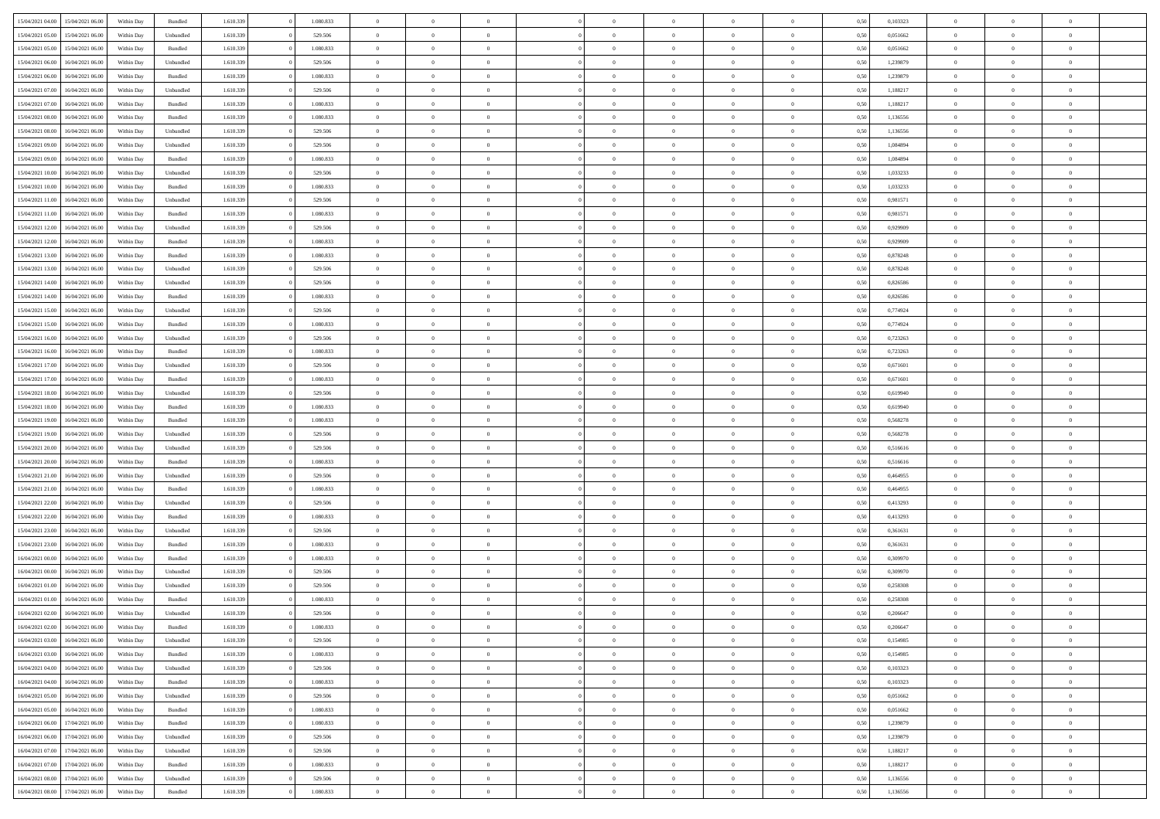| 15/04/2021 04:00                  | 15/04/2021 06:00 | Within Day | Bundled            | 1.610.339 | 1.080.833 | $\overline{0}$ | $\Omega$       |                | $\Omega$       | $\Omega$       | $\theta$       | $\theta$       | 0,50 | 0,103323 | $\theta$       | $\theta$       | $\theta$       |  |
|-----------------------------------|------------------|------------|--------------------|-----------|-----------|----------------|----------------|----------------|----------------|----------------|----------------|----------------|------|----------|----------------|----------------|----------------|--|
|                                   |                  |            |                    |           |           |                |                |                |                |                |                |                |      |          |                |                |                |  |
| 15/04/2021 05:00                  | 15/04/2021 06:00 | Within Day | Unbundled          | 1.610.339 | 529.506   | $\overline{0}$ | $\theta$       | $\overline{0}$ | $\overline{0}$ | $\bf{0}$       | $\overline{0}$ | $\bf{0}$       | 0,50 | 0,051662 | $\theta$       | $\overline{0}$ | $\overline{0}$ |  |
| 15/04/2021 05:00                  | 15/04/2021 06:00 | Within Day | Bundled            | 1.610.339 | 1.080.833 | $\overline{0}$ | $\overline{0}$ | $\overline{0}$ | $\bf{0}$       | $\bf{0}$       | $\bf{0}$       | $\mathbf{0}$   | 0,50 | 0,051662 | $\overline{0}$ | $\overline{0}$ | $\bf{0}$       |  |
| 15/04/2021 06:00                  | 16/04/2021 06:00 | Within Day | Unbundled          | 1.610.339 | 529.506   | $\overline{0}$ | $\overline{0}$ | $\overline{0}$ | $\overline{0}$ | $\bf{0}$       | $\overline{0}$ | $\overline{0}$ | 0.50 | 1,239879 | $\theta$       | $\theta$       | $\overline{0}$ |  |
| 15/04/2021 06:00                  | 16/04/2021 06:00 | Within Day | Bundled            | 1.610.339 | 1.080.833 | $\overline{0}$ | $\theta$       | $\overline{0}$ | $\overline{0}$ | $\bf{0}$       | $\overline{0}$ | $\bf{0}$       | 0,50 | 1,239879 | $\,$ 0 $\,$    | $\overline{0}$ | $\overline{0}$ |  |
| 15/04/2021 07:00                  | 16/04/2021 06:00 | Within Day | Unbundled          | 1.610.339 | 529.506   | $\overline{0}$ | $\overline{0}$ | $\overline{0}$ | $\bf{0}$       | $\overline{0}$ | $\overline{0}$ | $\mathbf{0}$   | 0,50 | 1,188217 | $\overline{0}$ | $\overline{0}$ | $\bf{0}$       |  |
|                                   |                  |            |                    |           |           |                | $\overline{0}$ |                |                | $\overline{0}$ |                |                |      |          | $\theta$       | $\overline{0}$ | $\overline{0}$ |  |
| 15/04/2021 07:00                  | 16/04/2021 06:00 | Within Dav | Bundled            | 1.610.339 | 1.080.833 | $\overline{0}$ |                | $\overline{0}$ | $\overline{0}$ |                | $\overline{0}$ | $\overline{0}$ | 0.50 | 1,188217 |                |                |                |  |
| 15/04/2021 08:00                  | 16/04/2021 06:00 | Within Day | Bundled            | 1.610.339 | 1.080.833 | $\overline{0}$ | $\theta$       | $\overline{0}$ | $\overline{0}$ | $\bf{0}$       | $\overline{0}$ | $\bf{0}$       | 0,50 | 1,136556 | $\theta$       | $\theta$       | $\overline{0}$ |  |
| 15/04/2021 08:00                  | 16/04/2021 06:00 | Within Day | Unbundled          | 1.610.339 | 529.506   | $\overline{0}$ | $\overline{0}$ | $\overline{0}$ | $\bf{0}$       | $\bf{0}$       | $\bf{0}$       | $\mathbf{0}$   | 0,50 | 1,136556 | $\,0\,$        | $\overline{0}$ | $\overline{0}$ |  |
| 15/04/2021 09:00                  | 16/04/2021 06:00 | Within Dav | Unbundled          | 1.610.339 | 529.506   | $\overline{0}$ | $\overline{0}$ | $\overline{0}$ | $\overline{0}$ | $\overline{0}$ | $\overline{0}$ | $\overline{0}$ | 0.50 | 1,084894 | $\theta$       | $\overline{0}$ | $\overline{0}$ |  |
| 15/04/2021 09:00                  | 16/04/2021 06:00 | Within Day | Bundled            | 1.610.339 | 1.080.833 | $\overline{0}$ | $\theta$       | $\overline{0}$ | $\overline{0}$ | $\bf{0}$       | $\overline{0}$ | $\bf{0}$       | 0,50 | 1,084894 | $\,$ 0 $\,$    | $\overline{0}$ | $\overline{0}$ |  |
| 15/04/2021 10:00                  | 16/04/2021 06:00 | Within Day | Unbundled          | 1.610.339 | 529.506   | $\overline{0}$ | $\overline{0}$ | $\overline{0}$ | $\bf{0}$       | $\bf{0}$       | $\bf{0}$       | $\mathbf{0}$   | 0,50 | 1,033233 | $\overline{0}$ | $\overline{0}$ | $\bf{0}$       |  |
| 15/04/2021 10:00                  | 16/04/2021 06:00 | Within Day | Bundled            | 1.610.339 | 1.080.833 | $\overline{0}$ | $\overline{0}$ | $\overline{0}$ | $\overline{0}$ | $\bf{0}$       | $\overline{0}$ | $\overline{0}$ | 0.50 | 1,033233 | $\theta$       | $\theta$       | $\overline{0}$ |  |
|                                   |                  |            |                    |           |           |                |                |                |                |                |                |                |      |          |                |                |                |  |
| 15/04/2021 11:00                  | 16/04/2021 06:00 | Within Day | Unbundled          | 1.610.339 | 529.506   | $\overline{0}$ | $\theta$       | $\overline{0}$ | $\overline{0}$ | $\bf{0}$       | $\overline{0}$ | $\bf{0}$       | 0,50 | 0,981571 | $\theta$       | $\overline{0}$ | $\overline{0}$ |  |
| 15/04/2021 11:00                  | 16/04/2021 06:00 | Within Day | Bundled            | 1.610.339 | 1.080.833 | $\overline{0}$ | $\overline{0}$ | $\overline{0}$ | $\bf{0}$       | $\overline{0}$ | $\overline{0}$ | $\mathbf{0}$   | 0,50 | 0,981571 | $\overline{0}$ | $\overline{0}$ | $\bf{0}$       |  |
| 15/04/2021 12:00                  | 16/04/2021 06:00 | Within Dav | Unbundled          | 1.610.339 | 529.506   | $\overline{0}$ | $\overline{0}$ | $\overline{0}$ | $\overline{0}$ | $\overline{0}$ | $\overline{0}$ | $\overline{0}$ | 0.50 | 0.929909 | $\overline{0}$ | $\overline{0}$ | $\overline{0}$ |  |
| 15/04/2021 12:00                  | 16/04/2021 06:00 | Within Day | Bundled            | 1.610.339 | 1.080.833 | $\overline{0}$ | $\theta$       | $\overline{0}$ | $\overline{0}$ | $\bf{0}$       | $\overline{0}$ | $\bf{0}$       | 0,50 | 0,929909 | $\theta$       | $\overline{0}$ | $\overline{0}$ |  |
| 15/04/2021 13:00                  | 16/04/2021 06:00 | Within Day | Bundled            | 1.610.339 | 1.080.833 | $\overline{0}$ | $\overline{0}$ | $\overline{0}$ | $\bf{0}$       | $\bf{0}$       | $\bf{0}$       | $\mathbf{0}$   | 0,50 | 0,878248 | $\bf{0}$       | $\overline{0}$ | $\bf{0}$       |  |
| 15/04/2021 13:00                  | 16/04/2021 06:00 | Within Dav | Unbundled          | 1.610.339 | 529.506   | $\overline{0}$ | $\overline{0}$ | $\overline{0}$ | $\overline{0}$ | $\overline{0}$ | $\overline{0}$ | $\overline{0}$ | 0.50 | 0,878248 | $\theta$       | $\overline{0}$ | $\overline{0}$ |  |
| 15/04/2021 14:00                  | 16/04/2021 06:00 | Within Day | Unbundled          | 1.610.339 | 529.506   | $\overline{0}$ | $\theta$       | $\overline{0}$ | $\overline{0}$ | $\bf{0}$       | $\overline{0}$ | $\bf{0}$       | 0,50 | 0,826586 | $\,$ 0 $\,$    | $\overline{0}$ | $\overline{0}$ |  |
|                                   |                  |            |                    |           |           |                |                |                |                |                |                |                |      |          |                |                |                |  |
| 15/04/2021 14:00                  | 16/04/2021 06:00 | Within Day | Bundled            | 1.610.339 | 1.080.833 | $\overline{0}$ | $\overline{0}$ | $\overline{0}$ | $\bf{0}$       | $\bf{0}$       | $\bf{0}$       | $\mathbf{0}$   | 0,50 | 0,826586 | $\overline{0}$ | $\overline{0}$ | $\bf{0}$       |  |
| 15/04/2021 15:00                  | 16/04/2021 06:00 | Within Day | Unbundled          | 1.610.339 | 529.506   | $\overline{0}$ | $\overline{0}$ | $\overline{0}$ | $\overline{0}$ | $\overline{0}$ | $\overline{0}$ | $\overline{0}$ | 0.50 | 0,774924 | $\theta$       | $\overline{0}$ | $\overline{0}$ |  |
| 15/04/2021 15:00                  | 16/04/2021 06:00 | Within Day | Bundled            | 1.610.339 | 1.080.833 | $\overline{0}$ | $\theta$       | $\overline{0}$ | $\overline{0}$ | $\bf{0}$       | $\overline{0}$ | $\,$ 0 $\,$    | 0,50 | 0,774924 | $\,$ 0 $\,$    | $\overline{0}$ | $\overline{0}$ |  |
| 15/04/2021 16:00                  | 16/04/2021 06:00 | Within Day | Unbundled          | 1.610.339 | 529.506   | $\overline{0}$ | $\overline{0}$ | $\overline{0}$ | $\overline{0}$ | $\overline{0}$ | $\overline{0}$ | $\mathbf{0}$   | 0,50 | 0,723263 | $\overline{0}$ | $\overline{0}$ | $\bf{0}$       |  |
| 15/04/2021 16:00                  | 16/04/2021 06:00 | Within Dav | Bundled            | 1.610.339 | 1.080.833 | $\overline{0}$ | $\overline{0}$ | $\overline{0}$ | $\overline{0}$ | $\overline{0}$ | $\overline{0}$ | $\overline{0}$ | 0.50 | 0,723263 | $\overline{0}$ | $\overline{0}$ | $\overline{0}$ |  |
| 15/04/2021 17:00                  | 16/04/2021 06:00 | Within Day | Unbundled          | 1.610.339 | 529.506   | $\overline{0}$ | $\theta$       | $\overline{0}$ | $\overline{0}$ | $\bf{0}$       | $\overline{0}$ | $\bf{0}$       | 0,50 | 0,671601 | $\,$ 0 $\,$    | $\overline{0}$ | $\overline{0}$ |  |
| 15/04/2021 17:00                  | 16/04/2021 06:00 | Within Day | Bundled            | 1.610.339 | 1.080.833 | $\overline{0}$ | $\overline{0}$ | $\overline{0}$ | $\overline{0}$ | $\bf{0}$       | $\overline{0}$ | $\mathbf{0}$   | 0,50 | 0,671601 | $\,0\,$        | $\overline{0}$ | $\bf{0}$       |  |
|                                   |                  |            |                    |           |           |                |                |                |                |                |                |                |      |          |                |                |                |  |
| 15/04/2021 18:00                  | 16/04/2021 06:00 | Within Day | Unbundled          | 1.610.339 | 529.506   | $\overline{0}$ | $\overline{0}$ | $\overline{0}$ | $\overline{0}$ | $\overline{0}$ | $\overline{0}$ | $\overline{0}$ | 0.50 | 0.619940 | $\theta$       | $\overline{0}$ | $\overline{0}$ |  |
| 15/04/2021 18:00                  | 16/04/2021 06:00 | Within Day | Bundled            | 1.610.339 | 1.080.833 | $\overline{0}$ | $\theta$       | $\overline{0}$ | $\overline{0}$ | $\bf{0}$       | $\overline{0}$ | $\bf{0}$       | 0,50 | 0,619940 | $\,$ 0 $\,$    | $\overline{0}$ | $\overline{0}$ |  |
| 15/04/2021 19:00                  | 16/04/2021 06:00 | Within Day | Bundled            | 1.610.339 | 1.080.833 | $\overline{0}$ | $\overline{0}$ | $\overline{0}$ | $\overline{0}$ | $\overline{0}$ | $\overline{0}$ | $\mathbf{0}$   | 0,50 | 0,568278 | $\overline{0}$ | $\overline{0}$ | $\bf{0}$       |  |
| 15/04/2021 19:00                  | 16/04/2021 06:00 | Within Day | Unbundled          | 1.610.339 | 529.506   | $\overline{0}$ | $\Omega$       | $\overline{0}$ | $\Omega$       | $\Omega$       | $\overline{0}$ | $\overline{0}$ | 0,50 | 0,568278 | $\,0\,$        | $\theta$       | $\theta$       |  |
| 15/04/2021 20:00                  | 16/04/2021 06:00 | Within Day | Unbundled          | 1.610.339 | 529.506   | $\overline{0}$ | $\theta$       | $\overline{0}$ | $\overline{0}$ | $\bf{0}$       | $\overline{0}$ | $\bf{0}$       | 0,50 | 0,516616 | $\,$ 0 $\,$    | $\overline{0}$ | $\overline{0}$ |  |
| 15/04/2021 20:00                  | 16/04/2021 06:00 | Within Day | Bundled            | 1.610.339 | 1.080.833 | $\overline{0}$ | $\overline{0}$ | $\overline{0}$ | $\overline{0}$ | $\overline{0}$ | $\overline{0}$ | $\mathbf{0}$   | 0,50 | 0,516616 | $\overline{0}$ | $\overline{0}$ | $\bf{0}$       |  |
| 15/04/2021 21:00                  | 16/04/2021 06:00 | Within Day | Unbundled          | 1.610.339 | 529.506   | $\overline{0}$ | $\Omega$       | $\Omega$       | $\Omega$       | $\overline{0}$ | $\overline{0}$ | $\overline{0}$ | 0.50 | 0.464955 | $\,0\,$        | $\theta$       | $\theta$       |  |
|                                   |                  |            |                    |           |           |                |                |                |                |                |                |                |      |          |                |                |                |  |
| 15/04/2021 21:00                  | 16/04/2021 06:00 | Within Day | Bundled            | 1.610.339 | 1.080.833 | $\overline{0}$ | $\theta$       | $\overline{0}$ | $\overline{0}$ | $\bf{0}$       | $\overline{0}$ | $\bf{0}$       | 0,50 | 0,464955 | $\,$ 0 $\,$    | $\overline{0}$ | $\overline{0}$ |  |
| 15/04/2021 22.00                  | 16/04/2021 06:00 | Within Day | Unbundled          | 1.610.339 | 529.506   | $\overline{0}$ | $\overline{0}$ | $\overline{0}$ | $\overline{0}$ | $\bf{0}$       | $\overline{0}$ | $\mathbf{0}$   | 0,50 | 0,413293 | $\bf{0}$       | $\overline{0}$ | $\bf{0}$       |  |
| 15/04/2021 22.00                  | 16/04/2021 06:00 | Within Day | Bundled            | 1.610.339 | 1.080.833 | $\overline{0}$ | $\Omega$       | $\overline{0}$ | $\Omega$       | $\overline{0}$ | $\overline{0}$ | $\overline{0}$ | 0.50 | 0,413293 | $\,$ 0 $\,$    | $\theta$       | $\theta$       |  |
| 15/04/2021 23:00                  | 16/04/2021 06:00 | Within Day | Unbundled          | 1.610.339 | 529.506   | $\overline{0}$ | $\overline{0}$ | $\overline{0}$ | $\overline{0}$ | $\,$ 0         | $\overline{0}$ | $\bf{0}$       | 0,50 | 0,361631 | $\,$ 0 $\,$    | $\overline{0}$ | $\overline{0}$ |  |
| 15/04/2021 23.00                  | 16/04/2021 06:00 | Within Day | Bundled            | 1.610.339 | 1.080.833 | $\overline{0}$ | $\overline{0}$ | $\overline{0}$ | $\bf{0}$       | $\bf{0}$       | $\bf{0}$       | $\mathbf{0}$   | 0,50 | 0,361631 | $\overline{0}$ | $\overline{0}$ | $\bf{0}$       |  |
| 16/04/2021 00:00                  | 16/04/2021 06:00 | Within Day | Bundled            | 1.610.339 | 1.080.833 | $\overline{0}$ | $\Omega$       | $\overline{0}$ | $\Omega$       | $\overline{0}$ | $\overline{0}$ | $\overline{0}$ | 0.50 | 0,309970 | $\,0\,$        | $\theta$       | $\theta$       |  |
| 16/04/2021 00:00                  | 16/04/2021 06:00 | Within Day | Unbundled          | 1.610.339 | 529.506   | $\overline{0}$ | $\overline{0}$ | $\overline{0}$ | $\overline{0}$ | $\,$ 0         | $\overline{0}$ | $\bf{0}$       | 0,50 | 0,309970 | $\,$ 0 $\,$    | $\overline{0}$ | $\overline{0}$ |  |
| 16/04/2021 01:00                  | 16/04/2021 06:00 | Within Day | Unbundled          | 1.610.339 | 529.506   | $\overline{0}$ | $\overline{0}$ | $\overline{0}$ | $\bf{0}$       | $\bf{0}$       | $\overline{0}$ | $\mathbf{0}$   | 0,50 | 0,258308 | $\overline{0}$ | $\overline{0}$ | $\bf{0}$       |  |
|                                   |                  |            |                    |           |           |                |                |                |                |                |                |                |      |          |                |                |                |  |
| 16/04/2021 01:00                  | 16/04/2021 06:00 | Within Day | Bundled            | 1.610.339 | 1.080.833 | $\overline{0}$ | $\Omega$       | $\Omega$       | $\Omega$       | $\Omega$       | $\Omega$       | $\overline{0}$ | 0.50 | 0.258308 | $\theta$       | $\theta$       | $\theta$       |  |
| 16/04/2021 02:00                  | 16/04/2021 06:00 | Within Day | Unbundled          | 1.610.339 | 529.506   | $\overline{0}$ | $\overline{0}$ | $\overline{0}$ | $\bf{0}$       | $\,$ 0         | $\bf{0}$       | $\bf{0}$       | 0,50 | 0,206647 | $\,0\,$        | $\,0\,$        | $\overline{0}$ |  |
| 16/04/2021 02:00                  | 16/04/2021 06:00 | Within Day | $\mathbf B$ undled | 1.610.339 | 1.080.833 | $\overline{0}$ | $\bf{0}$       |                |                | $\bf{0}$       |                |                | 0,50 | 0,206647 | $\bf{0}$       | $\overline{0}$ |                |  |
| 16/04/2021 03:00                  | 16/04/2021 06:00 | Within Day | Unbundled          | 1.610.339 | 529.506   | $\overline{0}$ | $\overline{0}$ | $\overline{0}$ | $\Omega$       | $\overline{0}$ | $\overline{0}$ | $\overline{0}$ | 0,50 | 0,154985 | $\theta$       | $\theta$       | $\theta$       |  |
| 16/04/2021 03:00                  | 16/04/2021 06:00 | Within Day | Bundled            | 1.610.339 | 1.080.833 | $\overline{0}$ | $\,$ 0         | $\overline{0}$ | $\bf{0}$       | $\,$ 0 $\,$    | $\overline{0}$ | $\,$ 0 $\,$    | 0,50 | 0,154985 | $\,$ 0 $\,$    | $\,$ 0 $\,$    | $\,$ 0         |  |
| 16/04/2021 04:00                  | 16/04/2021 06:00 | Within Day | Unbundled          | 1.610.339 | 529.506   | $\overline{0}$ | $\overline{0}$ | $\overline{0}$ | $\overline{0}$ | $\overline{0}$ | $\overline{0}$ | $\mathbf{0}$   | 0,50 | 0,103323 | $\overline{0}$ | $\bf{0}$       | $\bf{0}$       |  |
| 16/04/2021 04:00                  | 16/04/2021 06:00 | Within Day | $\mathbf B$ undled | 1.610.339 | 1.080.833 | $\overline{0}$ | $\overline{0}$ | $\overline{0}$ | $\Omega$       | $\overline{0}$ | $\overline{0}$ | $\overline{0}$ | 0,50 | 0,103323 | $\overline{0}$ | $\theta$       | $\overline{0}$ |  |
|                                   |                  |            |                    |           |           |                |                |                |                |                |                |                |      |          |                |                |                |  |
| 16/04/2021 05:00                  | 16/04/2021 06:00 | Within Day | Unbundled          | 1.610.339 | 529.506   | $\overline{0}$ | $\,$ 0         | $\overline{0}$ | $\overline{0}$ | $\,$ 0 $\,$    | $\overline{0}$ | $\mathbf{0}$   | 0,50 | 0,051662 | $\,$ 0 $\,$    | $\overline{0}$ | $\overline{0}$ |  |
| 16/04/2021 05:00                  | 16/04/2021 06:00 | Within Day | Bundled            | 1.610.339 | 1.080.833 | $\overline{0}$ | $\overline{0}$ | $\overline{0}$ | $\overline{0}$ | $\overline{0}$ | $\overline{0}$ | $\mathbf{0}$   | 0,50 | 0,051662 | $\overline{0}$ | $\overline{0}$ | $\bf{0}$       |  |
| 16/04/2021 06:00                  | 17/04/2021 06:00 | Within Day | Bundled            | 1.610.339 | 1.080.833 | $\overline{0}$ | $\overline{0}$ | $\overline{0}$ | $\Omega$       | $\overline{0}$ | $\overline{0}$ | $\bf{0}$       | 0.50 | 1,239879 | $\overline{0}$ | $\theta$       | $\overline{0}$ |  |
| 16/04/2021 06:00                  | 17/04/2021 06:00 | Within Day | Unbundled          | 1.610.339 | 529.506   | $\overline{0}$ | $\,$ 0         | $\overline{0}$ | $\bf{0}$       | $\bf{0}$       | $\bf{0}$       | $\bf{0}$       | 0,50 | 1,239879 | $\,$ 0 $\,$    | $\overline{0}$ | $\overline{0}$ |  |
| 16/04/2021 07:00                  | 17/04/2021 06:00 | Within Day | Unbundled          | 1.610.339 | 529.506   | $\overline{0}$ | $\bf{0}$       | $\overline{0}$ | $\overline{0}$ | $\overline{0}$ | $\overline{0}$ | $\mathbf{0}$   | 0,50 | 1,188217 | $\overline{0}$ | $\overline{0}$ | $\bf{0}$       |  |
| 16/04/2021 07:00                  | 17/04/2021 06:00 | Within Day | Bundled            | 1.610.339 | 1.080.833 | $\overline{0}$ | $\overline{0}$ | $\overline{0}$ | $\Omega$       | $\overline{0}$ | $\overline{0}$ | $\overline{0}$ | 0.50 | 1,188217 | $\overline{0}$ | $\overline{0}$ | $\overline{0}$ |  |
| 16/04/2021 08:00                  | 17/04/2021 06:00 | Within Day | Unbundled          | 1.610.339 | 529.506   | $\overline{0}$ | $\bf{0}$       | $\overline{0}$ | $\overline{0}$ | $\bf{0}$       | $\bf{0}$       | $\mathbf{0}$   | 0,50 | 1,136556 | $\,$ 0 $\,$    | $\,$ 0 $\,$    | $\bf{0}$       |  |
|                                   |                  |            |                    |           |           |                |                |                |                |                |                |                |      |          |                |                |                |  |
| 16/04/2021 08:00 17/04/2021 06:00 |                  | Within Day | Bundled            | 1.610.339 | 1.080.833 | $\overline{0}$ | $\overline{0}$ | $\overline{0}$ | $\overline{0}$ | $\overline{0}$ | $\bf{0}$       | $\mathbf{0}$   | 0,50 | 1,136556 | $\overline{0}$ | $\bf{0}$       | $\bf{0}$       |  |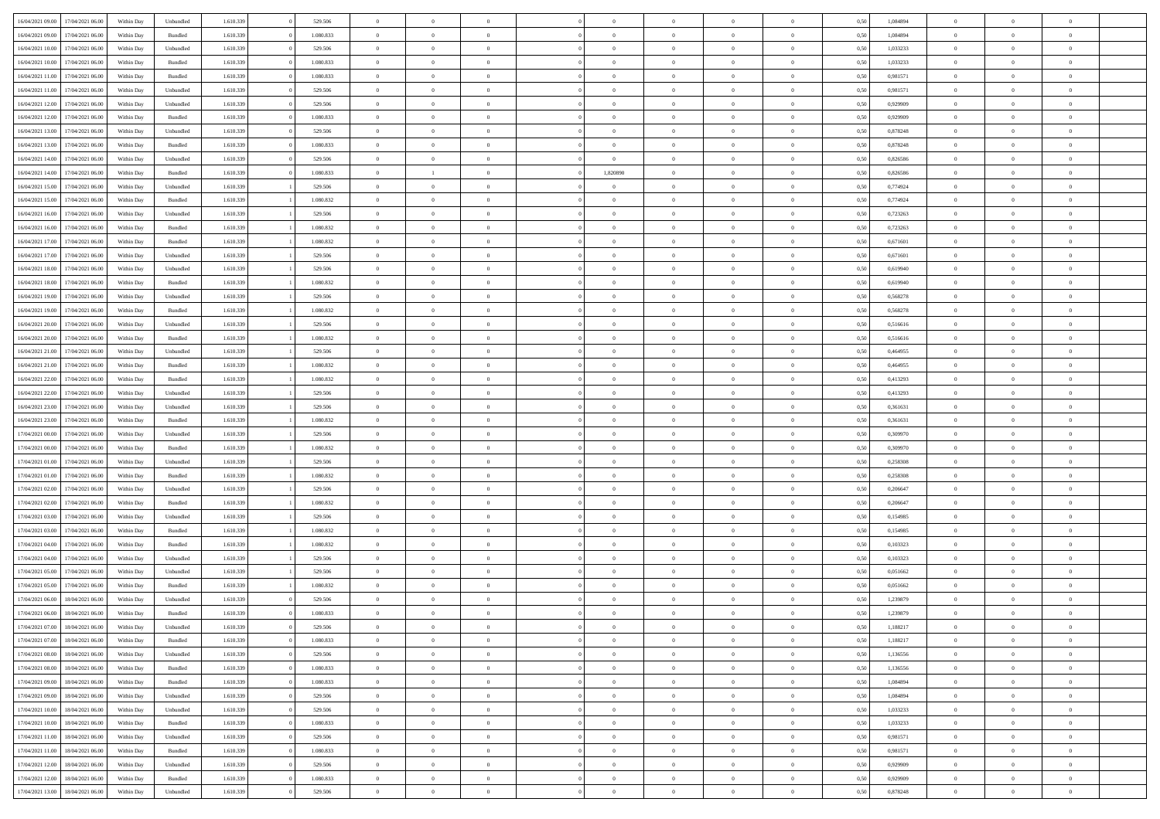| 16/04/2021 09:00 | 17/04/2021 06:00 | Within Dav | Unbundled          | 1.610.339 | 529.506   | $\overline{0}$ | $\Omega$       |                | $\Omega$       | $\Omega$       | $\Omega$       | $\theta$       | 0,50 | 1,084894 | $\theta$       | $\theta$       | $\theta$       |  |
|------------------|------------------|------------|--------------------|-----------|-----------|----------------|----------------|----------------|----------------|----------------|----------------|----------------|------|----------|----------------|----------------|----------------|--|
| 16/04/2021 09:00 | 17/04/2021 06:00 | Within Day | Bundled            | 1.610.339 | 1.080.833 | $\overline{0}$ | $\theta$       | $\overline{0}$ | $\overline{0}$ | $\bf{0}$       | $\overline{0}$ | $\bf{0}$       | 0,50 | 1,084894 | $\theta$       | $\theta$       | $\overline{0}$ |  |
| 16/04/2021 10:00 | 17/04/2021 06:00 | Within Day | Unbundled          | 1.610.339 | 529.506   | $\overline{0}$ | $\overline{0}$ | $\overline{0}$ | $\bf{0}$       | $\bf{0}$       | $\bf{0}$       | $\mathbf{0}$   | 0,50 | 1,033233 | $\bf{0}$       | $\overline{0}$ | $\overline{0}$ |  |
| 16/04/2021 10:00 | 17/04/2021 06:00 | Within Dav | Bundled            | 1.610.339 | 1.080.833 | $\overline{0}$ | $\overline{0}$ | $\overline{0}$ | $\overline{0}$ | $\bf{0}$       | $\overline{0}$ | $\overline{0}$ | 0.50 | 1,033233 | $\theta$       | $\theta$       | $\overline{0}$ |  |
| 16/04/2021 11:00 | 17/04/2021 06:00 | Within Day | Bundled            | 1.610.339 | 1.080.833 | $\overline{0}$ | $\theta$       | $\overline{0}$ | $\overline{0}$ | $\bf{0}$       | $\overline{0}$ | $\bf{0}$       | 0,50 | 0,981571 | $\theta$       | $\overline{0}$ | $\overline{0}$ |  |
|                  |                  |            |                    |           |           |                |                |                |                |                |                |                |      |          |                |                |                |  |
| 16/04/2021 11:00 | 17/04/2021 06:00 | Within Day | Unbundled          | 1.610.339 | 529.506   | $\overline{0}$ | $\overline{0}$ | $\overline{0}$ | $\overline{0}$ | $\overline{0}$ | $\overline{0}$ | $\mathbf{0}$   | 0,50 | 0,981571 | $\overline{0}$ | $\overline{0}$ | $\bf{0}$       |  |
| 16/04/2021 12:00 | 17/04/2021 06:00 | Within Dav | Unbundled          | 1.610.339 | 529.506   | $\overline{0}$ | $\overline{0}$ | $\overline{0}$ | $\overline{0}$ | $\overline{0}$ | $\overline{0}$ | $\overline{0}$ | 0.50 | 0.929909 | $\theta$       | $\overline{0}$ | $\overline{0}$ |  |
| 16/04/2021 12:00 | 17/04/2021 06:00 | Within Day | Bundled            | 1.610.339 | 1.080.833 | $\overline{0}$ | $\theta$       | $\overline{0}$ | $\overline{0}$ | $\bf{0}$       | $\overline{0}$ | $\bf{0}$       | 0,50 | 0,929909 | $\theta$       | $\theta$       | $\overline{0}$ |  |
| 16/04/2021 13:00 | 17/04/2021 06:00 | Within Day | Unbundled          | 1.610.339 | 529.506   | $\overline{0}$ | $\overline{0}$ | $\overline{0}$ | $\overline{0}$ | $\bf{0}$       | $\overline{0}$ | $\bf{0}$       | 0,50 | 0,878248 | $\,0\,$        | $\overline{0}$ | $\overline{0}$ |  |
| 16/04/2021 13:00 | 17/04/2021 06:00 | Within Dav | Bundled            | 1.610.339 | 1.080.833 | $\overline{0}$ | $\overline{0}$ | $\overline{0}$ | $\overline{0}$ | $\overline{0}$ | $\overline{0}$ | $\overline{0}$ | 0.50 | 0,878248 | $\theta$       | $\overline{0}$ | $\overline{0}$ |  |
| 16/04/2021 14:00 | 17/04/2021 06:00 | Within Day | Unbundled          | 1.610.339 | 529.506   | $\overline{0}$ | $\theta$       | $\overline{0}$ | $\overline{0}$ | $\bf{0}$       | $\overline{0}$ | $\bf{0}$       | 0,50 | 0,826586 | $\,$ 0 $\,$    | $\overline{0}$ | $\overline{0}$ |  |
| 16/04/2021 14:00 | 17/04/2021 06:00 | Within Day | Bundled            | 1.610.339 | 1.080.833 | $\overline{0}$ | $\mathbf{1}$   | $\overline{0}$ | 1,820890       | $\bf{0}$       | $\overline{0}$ | $\mathbf{0}$   | 0,50 | 0,826586 | $\overline{0}$ | $\overline{0}$ | $\overline{0}$ |  |
|                  |                  |            |                    |           |           |                |                |                |                |                |                |                |      |          |                |                |                |  |
| 16/04/2021 15:00 | 17/04/2021 06:00 | Within Day | Unbundled          | 1.610.339 | 529.506   | $\overline{0}$ | $\overline{0}$ | $\overline{0}$ | $\overline{0}$ | $\bf{0}$       | $\overline{0}$ | $\overline{0}$ | 0.50 | 0.774924 | $\theta$       | $\theta$       | $\overline{0}$ |  |
| 16/04/2021 15:00 | 17/04/2021 06:00 | Within Day | Bundled            | 1.610.339 | 1.080.832 | $\overline{0}$ | $\theta$       | $\overline{0}$ | $\overline{0}$ | $\bf{0}$       | $\overline{0}$ | $\bf{0}$       | 0,50 | 0,774924 | $\theta$       | $\theta$       | $\overline{0}$ |  |
| 16/04/2021 16:00 | 17/04/2021 06:00 | Within Day | Unbundled          | 1.610.339 | 529.506   | $\overline{0}$ | $\overline{0}$ | $\overline{0}$ | $\overline{0}$ | $\overline{0}$ | $\overline{0}$ | $\mathbf{0}$   | 0,50 | 0,723263 | $\overline{0}$ | $\overline{0}$ | $\bf{0}$       |  |
| 16/04/2021 16:00 | 17/04/2021 06:00 | Within Dav | Bundled            | 1.610.339 | 1.080.832 | $\overline{0}$ | $\overline{0}$ | $\overline{0}$ | $\overline{0}$ | $\overline{0}$ | $\overline{0}$ | $\overline{0}$ | 0.50 | 0,723263 | $\theta$       | $\overline{0}$ | $\overline{0}$ |  |
| 16/04/2021 17:00 | 17/04/2021 06:00 | Within Day | Bundled            | 1.610.339 | 1.080.832 | $\overline{0}$ | $\theta$       | $\overline{0}$ | $\overline{0}$ | $\bf{0}$       | $\overline{0}$ | $\bf{0}$       | 0,50 | 0,671601 | $\,$ 0 $\,$    | $\theta$       | $\overline{0}$ |  |
| 16/04/2021 17:00 | 17/04/2021 06:00 | Within Day | Unbundled          | 1.610.339 | 529.506   | $\overline{0}$ | $\overline{0}$ | $\overline{0}$ | $\overline{0}$ | $\bf{0}$       | $\overline{0}$ | $\mathbf{0}$   | 0,50 | 0,671601 | $\,0\,$        | $\overline{0}$ | $\overline{0}$ |  |
| 16/04/2021 18:00 | 17/04/2021 06:00 | Within Day | Unbundled          | 1.610.339 | 529.506   | $\overline{0}$ | $\overline{0}$ | $\overline{0}$ | $\overline{0}$ | $\overline{0}$ | $\overline{0}$ | $\overline{0}$ | 0.50 | 0,619940 | $\theta$       | $\overline{0}$ | $\overline{0}$ |  |
|                  |                  |            |                    |           |           | $\overline{0}$ | $\theta$       | $\overline{0}$ |                | $\bf{0}$       | $\overline{0}$ |                |      |          |                | $\theta$       | $\overline{0}$ |  |
| 16/04/2021 18:00 | 17/04/2021 06:00 | Within Day | Bundled            | 1.610.339 | 1.080.832 |                |                |                | $\overline{0}$ |                |                | $\bf{0}$       | 0,50 | 0,619940 | $\,$ 0 $\,$    |                |                |  |
| 16/04/2021 19:00 | 17/04/2021 06:00 | Within Day | Unbundled          | 1.610.339 | 529.506   | $\overline{0}$ | $\overline{0}$ | $\overline{0}$ | $\overline{0}$ | $\bf{0}$       | $\overline{0}$ | $\bf{0}$       | 0,50 | 0,568278 | $\overline{0}$ | $\overline{0}$ | $\overline{0}$ |  |
| 16/04/2021 19:00 | 17/04/2021 06:00 | Within Day | Bundled            | 1.610.339 | 1.080.832 | $\overline{0}$ | $\overline{0}$ | $\overline{0}$ | $\overline{0}$ | $\bf{0}$       | $\overline{0}$ | $\overline{0}$ | 0.50 | 0,568278 | $\theta$       | $\overline{0}$ | $\overline{0}$ |  |
| 16/04/2021 20:00 | 17/04/2021 06:00 | Within Day | Unbundled          | 1.610.339 | 529.506   | $\overline{0}$ | $\theta$       | $\overline{0}$ | $\overline{0}$ | $\bf{0}$       | $\overline{0}$ | $\bf{0}$       | 0,50 | 0,516616 | $\,$ 0 $\,$    | $\overline{0}$ | $\overline{0}$ |  |
| 16/04/2021 20:00 | 17/04/2021 06:00 | Within Day | Bundled            | 1.610.339 | 1.080.832 | $\overline{0}$ | $\overline{0}$ | $\overline{0}$ | $\bf{0}$       | $\overline{0}$ | $\overline{0}$ | $\mathbf{0}$   | 0,50 | 0,516616 | $\overline{0}$ | $\overline{0}$ | $\bf{0}$       |  |
| 16/04/2021 21:00 | 17/04/2021 06:00 | Within Dav | Unbundled          | 1.610.339 | 529.506   | $\overline{0}$ | $\overline{0}$ | $\overline{0}$ | $\overline{0}$ | $\overline{0}$ | $\overline{0}$ | $\overline{0}$ | 0.50 | 0,464955 | $\theta$       | $\overline{0}$ | $\overline{0}$ |  |
| 16/04/2021 21:00 | 17/04/2021 06:00 | Within Day | Bundled            | 1.610.339 | 1.080.832 | $\overline{0}$ | $\theta$       | $\overline{0}$ | $\overline{0}$ | $\bf{0}$       | $\overline{0}$ | $\bf{0}$       | 0,50 | 0,464955 | $\theta$       | $\theta$       | $\overline{0}$ |  |
| 16/04/2021 22:00 | 17/04/2021 06:00 | Within Day | Bundled            | 1.610.339 | 1.080.832 | $\overline{0}$ | $\overline{0}$ | $\overline{0}$ | $\bf{0}$       | $\bf{0}$       | $\bf{0}$       | $\bf{0}$       | 0,50 | 0,413293 | $\,0\,$        | $\overline{0}$ | $\overline{0}$ |  |
|                  |                  |            |                    |           |           |                | $\overline{0}$ |                |                | $\overline{0}$ |                |                |      |          | $\theta$       | $\overline{0}$ | $\overline{0}$ |  |
| 16/04/2021 22.00 | 17/04/2021 06:00 | Within Day | Unbundled          | 1.610.339 | 529.506   | $\overline{0}$ |                | $\overline{0}$ | $\overline{0}$ |                | $\overline{0}$ | $\overline{0}$ | 0.50 | 0,413293 |                |                |                |  |
| 16/04/2021 23:00 | 17/04/2021 06:00 | Within Day | Unbundled          | 1.610.339 | 529.506   | $\overline{0}$ | $\theta$       | $\overline{0}$ | $\overline{0}$ | $\bf{0}$       | $\overline{0}$ | $\bf{0}$       | 0,50 | 0,361631 | $\,$ 0 $\,$    | $\overline{0}$ | $\overline{0}$ |  |
| 16/04/2021 23:00 | 17/04/2021 06:00 | Within Day | Bundled            | 1.610.339 | 1.080.832 | $\overline{0}$ | $\overline{0}$ | $\overline{0}$ | $\bf{0}$       | $\bf{0}$       | $\bf{0}$       | $\bf{0}$       | 0,50 | 0,361631 | $\overline{0}$ | $\overline{0}$ | $\overline{0}$ |  |
| 17/04/2021 00:00 | 17/04/2021 06:00 | Within Day | Unbundled          | 1.610.339 | 529.506   | $\overline{0}$ | $\Omega$       | $\Omega$       | $\Omega$       | $\Omega$       | $\overline{0}$ | $\overline{0}$ | 0.50 | 0,309970 | $\,0\,$        | $\theta$       | $\theta$       |  |
| 17/04/2021 00:00 | 17/04/2021 06:00 | Within Day | Bundled            | 1.610.339 | 1.080.832 | $\overline{0}$ | $\theta$       | $\overline{0}$ | $\overline{0}$ | $\bf{0}$       | $\overline{0}$ | $\bf{0}$       | 0,50 | 0,309970 | $\theta$       | $\theta$       | $\overline{0}$ |  |
| 17/04/2021 01:00 | 17/04/2021 06:00 | Within Day | Unbundled          | 1.610.339 | 529.506   | $\overline{0}$ | $\overline{0}$ | $\overline{0}$ | $\bf{0}$       | $\bf{0}$       | $\overline{0}$ | $\mathbf{0}$   | 0,50 | 0,258308 | $\overline{0}$ | $\overline{0}$ | $\bf{0}$       |  |
| 17/04/2021 01:00 | 17/04/2021 06:00 | Within Day | Bundled            | 1.610.339 | 1.080.832 | $\overline{0}$ | $\Omega$       | $\Omega$       | $\Omega$       | $\bf{0}$       | $\overline{0}$ | $\overline{0}$ | 0.50 | 0,258308 | $\,0\,$        | $\theta$       | $\theta$       |  |
| 17/04/2021 02:00 | 17/04/2021 06:00 | Within Day | Unbundled          | 1.610.339 | 529.506   | $\overline{0}$ | $\theta$       | $\overline{0}$ | $\overline{0}$ | $\bf{0}$       | $\overline{0}$ | $\bf{0}$       | 0,50 | 0,206647 | $\,$ 0 $\,$    | $\theta$       | $\overline{0}$ |  |
|                  |                  |            |                    |           |           |                | $\overline{0}$ |                |                | $\bf{0}$       |                |                |      |          | $\bf{0}$       | $\overline{0}$ | $\overline{0}$ |  |
| 17/04/2021 02:00 | 17/04/2021 06:00 | Within Day | Bundled            | 1.610.339 | 1.080.832 | $\overline{0}$ |                | $\overline{0}$ | $\bf{0}$       |                | $\bf{0}$       | $\bf{0}$       | 0,50 | 0,206647 |                |                |                |  |
| 17/04/2021 03:00 | 17/04/2021 06:00 | Within Day | Unbundled          | 1.610.339 | 529.506   | $\overline{0}$ | $\Omega$       | $\Omega$       | $\Omega$       | $\theta$       | $\overline{0}$ | $\overline{0}$ | 0.50 | 0,154985 | $\,0\,$        | $\theta$       | $\theta$       |  |
| 17/04/2021 03:00 | 17/04/2021 06:00 | Within Day | Bundled            | 1.610.339 | 1.080.832 | $\overline{0}$ | $\theta$       | $\overline{0}$ | $\overline{0}$ | $\bf{0}$       | $\overline{0}$ | $\bf{0}$       | 0,50 | 0,154985 | $\,$ 0 $\,$    | $\overline{0}$ | $\overline{0}$ |  |
| 17/04/2021 04:00 | 17/04/2021 06:00 | Within Day | Bundled            | 1.610.339 | 1.080.832 | $\overline{0}$ | $\overline{0}$ | $\overline{0}$ | $\bf{0}$       | $\bf{0}$       | $\bf{0}$       | $\bf{0}$       | 0,50 | 0,103323 | $\overline{0}$ | $\overline{0}$ | $\overline{0}$ |  |
| 17/04/2021 04:00 | 17/04/2021 06:00 | Within Day | Unbundled          | 1.610.339 | 529.506   | $\overline{0}$ | $\Omega$       | $\overline{0}$ | $\Omega$       | $\Omega$       | $\overline{0}$ | $\overline{0}$ | 0.50 | 0,103323 | $\,0\,$        | $\theta$       | $\theta$       |  |
| 17/04/2021 05:00 | 17/04/2021 06:00 | Within Day | Unbundled          | 1.610.339 | 529.506   | $\overline{0}$ | $\theta$       | $\overline{0}$ | $\overline{0}$ | $\bf{0}$       | $\overline{0}$ | $\bf{0}$       | 0,50 | 0,051662 | $\,$ 0 $\,$    | $\overline{0}$ | $\overline{0}$ |  |
| 17/04/2021 05:00 | 17/04/2021 06:00 | Within Day | Bundled            | 1.610.339 | 1.080.832 | $\overline{0}$ | $\overline{0}$ | $\overline{0}$ | $\bf{0}$       | $\bf{0}$       | $\bf{0}$       | $\mathbf{0}$   | 0,50 | 0,051662 | $\overline{0}$ | $\overline{0}$ | $\bf{0}$       |  |
| 17/04/2021 06:00 | 18/04/2021 06:00 | Within Day | Unbundled          | 1.610.339 | 529.506   | $\overline{0}$ | $\Omega$       | $\Omega$       | $\Omega$       | $\Omega$       | $\Omega$       | $\overline{0}$ | 0.50 | 1,239879 | $\theta$       | $\theta$       | $\theta$       |  |
| 17/04/2021 06:00 | 18/04/2021 06:00 | Within Day | Bundled            | 1.610.339 | 1.080.833 | $\overline{0}$ | $\,$ 0 $\,$    | $\overline{0}$ | $\bf{0}$       | $\,$ 0         | $\overline{0}$ | $\bf{0}$       | 0,50 | 1,239879 | $\,0\,$        | $\overline{0}$ | $\overline{0}$ |  |
| 17/04/2021 07:00 | 18/04/2021 06:00 | Within Day | Unbundled          | 1.610.339 |           |                |                |                |                |                |                |                |      |          |                |                |                |  |
|                  |                  |            |                    |           | 529.506   | $\bf{0}$       | $\bf{0}$       |                |                |                |                |                | 0,50 | 1,188217 | $\bf{0}$       | $\overline{0}$ |                |  |
| 17/04/2021 07:00 | 18/04/2021 06:00 | Within Day | Bundled            | 1.610.339 | 1.080.833 | $\overline{0}$ | $\overline{0}$ | $\overline{0}$ | $\Omega$       | $\overline{0}$ | $\overline{0}$ | $\overline{0}$ | 0,50 | 1,188217 | $\theta$       | $\theta$       | $\theta$       |  |
| 17/04/2021 08:00 | 18/04/2021 06:00 | Within Day | Unbundled          | 1.610.339 | 529.506   | $\overline{0}$ | $\,$ 0         | $\overline{0}$ | $\overline{0}$ | $\,$ 0 $\,$    | $\overline{0}$ | $\,$ 0 $\,$    | 0,50 | 1,136556 | $\,$ 0 $\,$    | $\,$ 0 $\,$    | $\,$ 0         |  |
| 17/04/2021 08:00 | 18/04/2021 06:00 | Within Day | Bundled            | 1.610.339 | 1.080.833 | $\overline{0}$ | $\overline{0}$ | $\overline{0}$ | $\overline{0}$ | $\overline{0}$ | $\overline{0}$ | $\mathbf{0}$   | 0,50 | 1,136556 | $\overline{0}$ | $\bf{0}$       | $\bf{0}$       |  |
| 17/04/2021 09:00 | 18/04/2021 06:00 | Within Day | $\mathbf B$ undled | 1.610.339 | 1.080.833 | $\overline{0}$ | $\overline{0}$ | $\overline{0}$ | $\Omega$       | $\overline{0}$ | $\overline{0}$ | $\overline{0}$ | 0,50 | 1,084894 | $\overline{0}$ | $\theta$       | $\overline{0}$ |  |
| 17/04/2021 09:00 | 18/04/2021 06:00 | Within Day | Unbundled          | 1.610.339 | 529.506   | $\overline{0}$ | $\,$ 0         | $\overline{0}$ | $\overline{0}$ | $\,$ 0 $\,$    | $\overline{0}$ | $\mathbf{0}$   | 0,50 | 1,084894 | $\,$ 0 $\,$    | $\overline{0}$ | $\overline{0}$ |  |
| 17/04/2021 10:00 | 18/04/2021 06:00 | Within Day | Unbundled          | 1.610.339 | 529.506   | $\overline{0}$ | $\overline{0}$ | $\overline{0}$ | $\overline{0}$ | $\overline{0}$ | $\overline{0}$ | $\mathbf{0}$   | 0,50 | 1,033233 | $\overline{0}$ | $\overline{0}$ | $\bf{0}$       |  |
| 17/04/2021 10:00 | 18/04/2021 06:00 | Within Day | Bundled            | 1.610.339 | 1.080.833 | $\overline{0}$ | $\overline{0}$ | $\overline{0}$ | $\overline{0}$ | $\overline{0}$ | $\overline{0}$ | $\bf{0}$       | 0.50 | 1,033233 | $\overline{0}$ | $\theta$       | $\overline{0}$ |  |
| 17/04/2021 11:00 | 18/04/2021 06:00 |            |                    | 1.610.339 | 529.506   | $\overline{0}$ | $\,$ 0         |                |                | $\bf{0}$       |                |                |      | 0,981571 | $\,$ 0 $\,$    | $\overline{0}$ | $\overline{0}$ |  |
|                  |                  | Within Day | Unbundled          |           |           |                |                | $\overline{0}$ | $\overline{0}$ |                | $\overline{0}$ | $\bf{0}$       | 0,50 |          |                |                |                |  |
| 17/04/2021 11:00 | 18/04/2021 06:00 | Within Day | Bundled            | 1.610.339 | 1.080.833 | $\overline{0}$ | $\bf{0}$       | $\overline{0}$ | $\overline{0}$ | $\overline{0}$ | $\overline{0}$ | $\mathbf{0}$   | 0,50 | 0,981571 | $\overline{0}$ | $\overline{0}$ | $\bf{0}$       |  |
| 17/04/2021 12:00 | 18/04/2021 06:00 | Within Day | Unbundled          | 1.610.339 | 529.506   | $\overline{0}$ | $\overline{0}$ | $\overline{0}$ | $\Omega$       | $\overline{0}$ | $\overline{0}$ | $\overline{0}$ | 0.50 | 0,929909 | $\overline{0}$ | $\overline{0}$ | $\overline{0}$ |  |
| 17/04/2021 12:00 | 18/04/2021 06:00 | Within Day | Bundled            | 1.610.339 | 1.080.833 | $\overline{0}$ | $\bf{0}$       | $\overline{0}$ | $\overline{0}$ | $\bf{0}$       | $\overline{0}$ | $\mathbf{0}$   | 0,50 | 0,929909 | $\,$ 0 $\,$    | $\,$ 0 $\,$    | $\bf{0}$       |  |
| 17/04/2021 13:00 | 18/04/2021 06:00 | Within Day | Unbundled          | 1.610.339 | 529.506   | $\overline{0}$ | $\bf{0}$       | $\overline{0}$ | $\overline{0}$ | $\bf{0}$       | $\overline{0}$ | $\bf{0}$       | 0,50 | 0,878248 | $\overline{0}$ | $\overline{0}$ | $\bf{0}$       |  |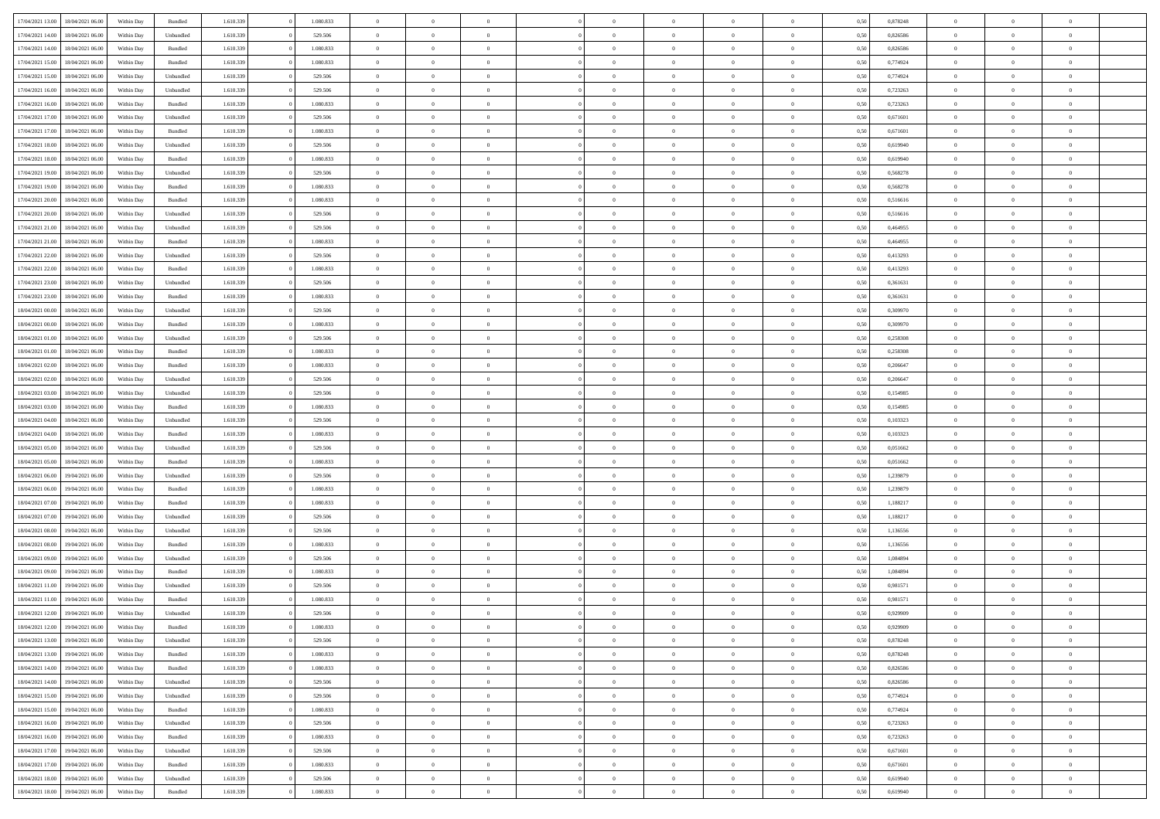| 17/04/2021 13:00 | 18/04/2021 06:00 | Within Day | Bundled            | 1.610.339 | 1.080.833 | $\overline{0}$ | $\Omega$       |                | $\Omega$       | $\Omega$       | $\theta$       | $\theta$       | 0,50 | 0,878248 | $\theta$       | $\theta$       | $\theta$       |  |
|------------------|------------------|------------|--------------------|-----------|-----------|----------------|----------------|----------------|----------------|----------------|----------------|----------------|------|----------|----------------|----------------|----------------|--|
|                  |                  |            |                    |           |           |                |                |                |                |                |                |                |      |          |                |                |                |  |
| 17/04/2021 14:00 | 18/04/2021 06:00 | Within Day | Unbundled          | 1.610.339 | 529.506   | $\overline{0}$ | $\theta$       | $\overline{0}$ | $\overline{0}$ | $\bf{0}$       | $\overline{0}$ | $\bf{0}$       | 0,50 | 0,826586 | $\theta$       | $\overline{0}$ | $\overline{0}$ |  |
| 17/04/2021 14:00 | 18/04/2021 06:00 | Within Day | Bundled            | 1.610.339 | 1.080.833 | $\overline{0}$ | $\bf{0}$       | $\overline{0}$ | $\overline{0}$ | $\bf{0}$       | $\overline{0}$ | $\mathbf{0}$   | 0,50 | 0,826586 | $\overline{0}$ | $\overline{0}$ | $\bf{0}$       |  |
| 17/04/2021 15:00 | 18/04/2021 06:00 | Within Dav | Bundled            | 1.610.339 | 1.080.833 | $\overline{0}$ | $\overline{0}$ | $\overline{0}$ |                | $\bf{0}$       | $\overline{0}$ | $\overline{0}$ | 0.50 | 0,774924 | $\theta$       | $\theta$       | $\overline{0}$ |  |
|                  |                  |            |                    |           |           |                |                |                | $\overline{0}$ |                |                |                |      |          |                |                |                |  |
| 17/04/2021 15:00 | 18/04/2021 06:00 | Within Day | Unbundled          | 1.610.339 | 529.506   | $\overline{0}$ | $\theta$       | $\overline{0}$ | $\overline{0}$ | $\bf{0}$       | $\overline{0}$ | $\bf{0}$       | 0,50 | 0,774924 | $\,$ 0 $\,$    | $\overline{0}$ | $\overline{0}$ |  |
| 17/04/2021 16:00 | 18/04/2021 06:00 | Within Day | Unbundled          | 1.610.339 | 529.506   | $\overline{0}$ | $\overline{0}$ | $\overline{0}$ | $\bf{0}$       | $\overline{0}$ | $\overline{0}$ | $\mathbf{0}$   | 0,50 | 0,723263 | $\overline{0}$ | $\overline{0}$ | $\bf{0}$       |  |
| 17/04/2021 16:00 | 18/04/2021 06:00 | Within Dav | Bundled            | 1.610.339 | 1.080.833 | $\overline{0}$ | $\overline{0}$ | $\overline{0}$ | $\overline{0}$ | $\overline{0}$ | $\overline{0}$ | $\overline{0}$ | 0.50 | 0,723263 | $\theta$       | $\overline{0}$ | $\overline{0}$ |  |
|                  |                  |            |                    |           |           |                |                |                |                |                |                |                |      |          |                |                |                |  |
| 17/04/2021 17:00 | 18/04/2021 06:00 | Within Day | Unbundled          | 1.610.339 | 529.506   | $\overline{0}$ | $\theta$       | $\overline{0}$ | $\overline{0}$ | $\bf{0}$       | $\overline{0}$ | $\bf{0}$       | 0,50 | 0,671601 | $\theta$       | $\theta$       | $\overline{0}$ |  |
| 17/04/2021 17:00 | 18/04/2021 06:00 | Within Day | Bundled            | 1.610.339 | 1.080.833 | $\overline{0}$ | $\overline{0}$ | $\overline{0}$ | $\bf{0}$       | $\bf{0}$       | $\bf{0}$       | $\bf{0}$       | 0,50 | 0,671601 | $\,0\,$        | $\overline{0}$ | $\overline{0}$ |  |
| 17/04/2021 18:00 | 18/04/2021 06:00 | Within Dav | Unbundled          | 1.610.339 | 529.506   | $\overline{0}$ | $\overline{0}$ | $\overline{0}$ | $\overline{0}$ | $\overline{0}$ | $\overline{0}$ | $\overline{0}$ | 0.50 | 0,619940 | $\theta$       | $\overline{0}$ | $\overline{0}$ |  |
| 17/04/2021 18:00 | 18/04/2021 06:00 | Within Day | Bundled            | 1.610.339 | 1.080.833 | $\overline{0}$ | $\theta$       | $\overline{0}$ | $\overline{0}$ | $\bf{0}$       | $\overline{0}$ | $\bf{0}$       | 0,50 | 0,619940 | $\,$ 0 $\,$    | $\overline{0}$ | $\overline{0}$ |  |
|                  |                  |            |                    |           |           |                |                |                |                |                |                |                |      |          |                |                |                |  |
| 17/04/2021 19:00 | 18/04/2021 06:00 | Within Day | Unbundled          | 1.610.339 | 529.506   | $\overline{0}$ | $\overline{0}$ | $\overline{0}$ | $\bf{0}$       | $\bf{0}$       | $\bf{0}$       | $\mathbf{0}$   | 0,50 | 0,568278 | $\overline{0}$ | $\overline{0}$ | $\bf{0}$       |  |
| 17/04/2021 19:00 | 18/04/2021 06:00 | Within Day | Bundled            | 1.610.339 | 1.080.833 | $\overline{0}$ | $\overline{0}$ | $\overline{0}$ | $\overline{0}$ | $\bf{0}$       | $\overline{0}$ | $\overline{0}$ | 0.50 | 0,568278 | $\theta$       | $\theta$       | $\overline{0}$ |  |
| 17/04/2021 20:00 | 18/04/2021 06:00 | Within Day | Bundled            | 1.610.339 | 1.080.833 | $\overline{0}$ | $\theta$       | $\overline{0}$ | $\overline{0}$ | $\bf{0}$       | $\overline{0}$ | $\bf{0}$       | 0,50 | 0,516616 | $\theta$       | $\overline{0}$ | $\overline{0}$ |  |
|                  |                  |            |                    |           |           |                |                |                |                |                |                |                |      |          |                | $\overline{0}$ |                |  |
| 17/04/2021 20:00 | 18/04/2021 06:00 | Within Day | Unbundled          | 1.610.339 | 529.506   | $\overline{0}$ | $\overline{0}$ | $\overline{0}$ | $\bf{0}$       | $\overline{0}$ | $\overline{0}$ | $\mathbf{0}$   | 0,50 | 0,516616 | $\overline{0}$ |                | $\bf{0}$       |  |
| 17/04/2021 21:00 | 18/04/2021 06:00 | Within Dav | Unbundled          | 1.610.339 | 529.506   | $\overline{0}$ | $\overline{0}$ | $\overline{0}$ | $\overline{0}$ | $\overline{0}$ | $\overline{0}$ | $\overline{0}$ | 0.50 | 0,464955 | $\theta$       | $\overline{0}$ | $\overline{0}$ |  |
| 17/04/2021 21:00 | 18/04/2021 06:00 | Within Day | Bundled            | 1.610.339 | 1.080.833 | $\overline{0}$ | $\theta$       | $\overline{0}$ | $\overline{0}$ | $\bf{0}$       | $\overline{0}$ | $\bf{0}$       | 0,50 | 0,464955 | $\,$ 0 $\,$    | $\overline{0}$ | $\overline{0}$ |  |
| 17/04/2021 22.00 | 18/04/2021 06:00 | Within Day | Unbundled          | 1.610.339 | 529.506   | $\overline{0}$ | $\overline{0}$ | $\overline{0}$ | $\bf{0}$       | $\bf{0}$       | $\bf{0}$       | $\mathbf{0}$   | 0,50 | 0,413293 | $\overline{0}$ | $\overline{0}$ | $\bf{0}$       |  |
| 17/04/2021 22:00 | 18/04/2021 06:00 | Within Day | Bundled            | 1.610.339 | 1.080.833 | $\overline{0}$ | $\overline{0}$ | $\overline{0}$ | $\overline{0}$ | $\overline{0}$ | $\overline{0}$ | $\overline{0}$ | 0.50 | 0,413293 | $\theta$       | $\overline{0}$ | $\overline{0}$ |  |
|                  |                  |            |                    |           |           |                |                |                |                |                |                |                |      |          |                |                |                |  |
| 17/04/2021 23:00 | 18/04/2021 06:00 | Within Day | Unbundled          | 1.610.339 | 529.506   | $\overline{0}$ | $\theta$       | $\overline{0}$ | $\overline{0}$ | $\bf{0}$       | $\overline{0}$ | $\bf{0}$       | 0,50 | 0,361631 | $\,$ 0 $\,$    | $\overline{0}$ | $\overline{0}$ |  |
| 17/04/2021 23:00 | 18/04/2021 06:00 | Within Day | Bundled            | 1.610.339 | 1.080.833 | $\overline{0}$ | $\overline{0}$ | $\overline{0}$ | $\bf{0}$       | $\bf{0}$       | $\bf{0}$       | $\mathbf{0}$   | 0,50 | 0,361631 | $\overline{0}$ | $\overline{0}$ | $\bf{0}$       |  |
| 18/04/2021 00:00 | 18/04/2021 06:00 | Within Day | Unbundled          | 1.610.339 | 529.506   | $\overline{0}$ | $\overline{0}$ | $\overline{0}$ | $\overline{0}$ | $\overline{0}$ | $\overline{0}$ | $\overline{0}$ | 0.50 | 0,309970 | $\theta$       | $\overline{0}$ | $\overline{0}$ |  |
|                  |                  |            |                    |           |           | $\overline{0}$ | $\theta$       | $\overline{0}$ | $\overline{0}$ | $\bf{0}$       | $\overline{0}$ |                |      |          | $\,$ 0 $\,$    | $\overline{0}$ | $\overline{0}$ |  |
| 18/04/2021 00:00 | 18/04/2021 06:00 | Within Day | Bundled            | 1.610.339 | 1.080.833 |                |                |                |                |                |                | $\,$ 0 $\,$    | 0,50 | 0,309970 |                |                |                |  |
| 18/04/2021 01:00 | 18/04/2021 06:00 | Within Day | Unbundled          | 1.610.339 | 529.506   | $\overline{0}$ | $\overline{0}$ | $\overline{0}$ | $\bf{0}$       | $\overline{0}$ | $\overline{0}$ | $\mathbf{0}$   | 0,50 | 0,258308 | $\overline{0}$ | $\overline{0}$ | $\bf{0}$       |  |
| 18/04/2021 01:00 | 18/04/2021 06:00 | Within Dav | Bundled            | 1.610.339 | 1.080.833 | $\overline{0}$ | $\overline{0}$ | $\overline{0}$ | $\overline{0}$ | $\overline{0}$ | $\overline{0}$ | $\overline{0}$ | 0.50 | 0,258308 | $\theta$       | $\overline{0}$ | $\overline{0}$ |  |
| 18/04/2021 02:00 | 18/04/2021 06:00 | Within Day | Bundled            | 1.610.339 | 1.080.833 | $\overline{0}$ | $\theta$       | $\overline{0}$ | $\overline{0}$ | $\bf{0}$       | $\overline{0}$ | $\bf{0}$       | 0,50 | 0,206647 | $\theta$       | $\overline{0}$ | $\overline{0}$ |  |
|                  |                  |            |                    |           |           |                |                |                |                |                |                |                |      |          |                |                |                |  |
| 18/04/2021 02:00 | 18/04/2021 06:00 | Within Day | Unbundled          | 1.610.339 | 529.506   | $\overline{0}$ | $\overline{0}$ | $\overline{0}$ | $\overline{0}$ | $\bf{0}$       | $\overline{0}$ | $\bf{0}$       | 0,50 | 0,206647 | $\,0\,$        | $\overline{0}$ | $\bf{0}$       |  |
| 18/04/2021 03:00 | 18/04/2021 06:00 | Within Day | Unbundled          | 1.610.339 | 529.506   | $\overline{0}$ | $\overline{0}$ | $\overline{0}$ | $\overline{0}$ | $\overline{0}$ | $\overline{0}$ | $\overline{0}$ | 0.50 | 0,154985 | $\theta$       | $\overline{0}$ | $\overline{0}$ |  |
| 18/04/2021 03:00 | 18/04/2021 06:00 | Within Day | Bundled            | 1.610.339 | 1.080.833 | $\overline{0}$ | $\theta$       | $\overline{0}$ | $\overline{0}$ | $\bf{0}$       | $\overline{0}$ | $\bf{0}$       | 0,50 | 0,154985 | $\,$ 0 $\,$    | $\overline{0}$ | $\overline{0}$ |  |
| 18/04/2021 04:00 | 18/04/2021 06:00 | Within Day | Unbundled          | 1.610.339 | 529.506   | $\overline{0}$ | $\overline{0}$ | $\overline{0}$ | $\overline{0}$ | $\bf{0}$       | $\overline{0}$ | $\bf{0}$       | 0,50 | 0,103323 | $\overline{0}$ | $\overline{0}$ | $\bf{0}$       |  |
|                  |                  |            |                    |           |           |                | $\Omega$       |                | $\Omega$       | $\Omega$       |                |                |      |          |                | $\theta$       | $\theta$       |  |
| 18/04/2021 04:00 | 18/04/2021 06:00 | Within Day | Bundled            | 1.610.339 | 1.080.833 | $\overline{0}$ |                | $\overline{0}$ |                |                | $\overline{0}$ | $\overline{0}$ | 0,50 | 0,103323 | $\,0\,$        |                |                |  |
| 18/04/2021 05:00 | 18/04/2021 06:00 | Within Day | Unbundled          | 1.610.339 | 529.506   | $\overline{0}$ | $\theta$       | $\overline{0}$ | $\overline{0}$ | $\bf{0}$       | $\overline{0}$ | $\bf{0}$       | 0,50 | 0,051662 | $\,$ 0 $\,$    | $\overline{0}$ | $\overline{0}$ |  |
| 18/04/2021 05:00 | 18/04/2021 06:00 | Within Day | Bundled            | 1.610.339 | 1.080.833 | $\overline{0}$ | $\overline{0}$ | $\overline{0}$ | $\overline{0}$ | $\overline{0}$ | $\overline{0}$ | $\mathbf{0}$   | 0,50 | 0,051662 | $\overline{0}$ | $\overline{0}$ | $\bf{0}$       |  |
| 18/04/2021 06:00 | 19/04/2021 06:00 | Within Day | Unbundled          | 1.610.339 | 529.506   | $\overline{0}$ | $\Omega$       | $\Omega$       | $\Omega$       | $\overline{0}$ | $\overline{0}$ | $\overline{0}$ | 0.50 | 1,239879 | $\,0\,$        | $\theta$       | $\theta$       |  |
| 18/04/2021 06:00 | 19/04/2021 06:00 |            |                    | 1.610.339 | 1.080.833 | $\overline{0}$ | $\theta$       | $\overline{0}$ | $\overline{0}$ | $\bf{0}$       | $\overline{0}$ |                |      | 1,239879 | $\,$ 0 $\,$    | $\overline{0}$ | $\overline{0}$ |  |
|                  |                  | Within Day | Bundled            |           |           |                |                |                |                |                |                | $\bf{0}$       | 0,50 |          |                |                |                |  |
| 18/04/2021 07:00 | 19/04/2021 06:00 | Within Day | Bundled            | 1.610.339 | 1.080.833 | $\overline{0}$ | $\overline{0}$ | $\overline{0}$ | $\overline{0}$ | $\bf{0}$       | $\overline{0}$ | $\mathbf{0}$   | 0,50 | 1,188217 | $\bf{0}$       | $\overline{0}$ | $\bf{0}$       |  |
| 18/04/2021 07:00 | 19/04/2021 06:00 | Within Day | Unbundled          | 1.610.339 | 529.506   | $\overline{0}$ | $\Omega$       | $\overline{0}$ | $\Omega$       | $\overline{0}$ | $\overline{0}$ | $\overline{0}$ | 0.50 | 1,188217 | $\,$ 0 $\,$    | $\theta$       | $\theta$       |  |
| 18/04/2021 08:00 | 19/04/2021 06:00 | Within Day | Unbundled          | 1.610.339 | 529.506   | $\overline{0}$ | $\overline{0}$ | $\overline{0}$ | $\overline{0}$ | $\,$ 0         | $\overline{0}$ | $\bf{0}$       | 0,50 | 1,136556 | $\,$ 0 $\,$    | $\overline{0}$ | $\overline{0}$ |  |
|                  |                  |            |                    |           |           |                |                |                |                |                |                |                |      |          |                |                |                |  |
| 18/04/2021 08:00 | 19/04/2021 06:00 | Within Day | Bundled            | 1.610.339 | 1.080.833 | $\overline{0}$ | $\overline{0}$ | $\overline{0}$ | $\overline{0}$ | $\bf{0}$       | $\bf{0}$       | $\mathbf{0}$   | 0,50 | 1,136556 | $\overline{0}$ | $\overline{0}$ | $\bf{0}$       |  |
| 18/04/2021 09:00 | 19/04/2021 06:00 | Within Day | Unbundled          | 1.610.339 | 529.506   | $\overline{0}$ | $\Omega$       | $\overline{0}$ | $\Omega$       | $\overline{0}$ | $\overline{0}$ | $\overline{0}$ | 0,50 | 1,084894 | $\,0\,$        | $\theta$       | $\theta$       |  |
| 18/04/2021 09:00 | 19/04/2021 06:00 | Within Day | Bundled            | 1.610.339 | 1.080.833 | $\overline{0}$ | $\overline{0}$ | $\overline{0}$ | $\overline{0}$ | $\,$ 0         | $\overline{0}$ | $\bf{0}$       | 0,50 | 1,084894 | $\,$ 0 $\,$    | $\overline{0}$ | $\overline{0}$ |  |
| 18/04/2021 11:00 | 19/04/2021 06:00 | Within Day | Unbundled          | 1.610.339 | 529.506   | $\overline{0}$ | $\overline{0}$ | $\overline{0}$ | $\bf{0}$       | $\bf{0}$       | $\overline{0}$ | $\mathbf{0}$   | 0,50 | 0,981571 | $\overline{0}$ | $\overline{0}$ | $\bf{0}$       |  |
|                  | 19/04/2021 06:00 |            |                    |           | 1.080.833 | $\overline{0}$ | $\Omega$       | $\Omega$       | $\Omega$       | $\Omega$       | $\Omega$       | $\overline{0}$ | 0.50 | 0.981571 | $\theta$       | $\theta$       | $\theta$       |  |
| 18/04/2021 11:00 |                  | Within Day | Bundled            | 1.610.339 |           |                |                |                |                |                |                |                |      |          |                |                |                |  |
| 18/04/2021 12:00 | 19/04/2021 06:00 | Within Day | Unbundled          | 1.610.339 | 529.506   | $\overline{0}$ | $\overline{0}$ | $\overline{0}$ | $\bf{0}$       | $\,$ 0         | $\bf{0}$       | $\bf{0}$       | 0,50 | 0,929909 | $\,0\,$        | $\,$ 0 $\,$    | $\overline{0}$ |  |
| 18/04/2021 12:00 | 19/04/2021 06:00 | Within Day | $\mathbf B$ undled | 1.610.339 | 1.080.833 | $\overline{0}$ | $\bf{0}$       |                |                | $\bf{0}$       |                |                | 0,50 | 0,929909 | $\bf{0}$       | $\overline{0}$ |                |  |
| 18/04/2021 13:00 | 19/04/2021 06:00 | Within Day | Unbundled          | 1.610.339 | 529.506   | $\overline{0}$ | $\overline{0}$ | $\overline{0}$ | $\Omega$       | $\overline{0}$ | $\overline{0}$ | $\overline{0}$ | 0,50 | 0,878248 | $\theta$       | $\theta$       | $\theta$       |  |
| 18/04/2021 13:00 | 19/04/2021 06:00 | Within Day | Bundled            | 1.610.339 | 1.080.833 | $\overline{0}$ | $\,$ 0         | $\overline{0}$ | $\bf{0}$       | $\,$ 0 $\,$    | $\overline{0}$ | $\,$ 0 $\,$    | 0,50 | 0,878248 | $\,$ 0 $\,$    | $\,$ 0 $\,$    | $\,$ 0         |  |
|                  |                  |            |                    |           |           |                |                |                |                |                |                |                |      |          |                |                |                |  |
| 18/04/2021 14:00 | 19/04/2021 06:00 | Within Day | Bundled            | 1.610.339 | 1.080.833 | $\overline{0}$ | $\overline{0}$ | $\overline{0}$ | $\overline{0}$ | $\overline{0}$ | $\overline{0}$ | $\mathbf{0}$   | 0,50 | 0,826586 | $\overline{0}$ | $\bf{0}$       | $\bf{0}$       |  |
| 18/04/2021 14:00 | 19/04/2021 06:00 | Within Day | Unbundled          | 1.610.339 | 529.506   | $\overline{0}$ | $\overline{0}$ | $\overline{0}$ | $\Omega$       | $\overline{0}$ | $\overline{0}$ | $\overline{0}$ | 0,50 | 0,826586 | $\overline{0}$ | $\theta$       | $\overline{0}$ |  |
| 18/04/2021 15:00 | 19/04/2021 06:00 | Within Day | Unbundled          | 1.610.339 | 529.506   | $\overline{0}$ | $\,$ 0         | $\overline{0}$ | $\overline{0}$ | $\,$ 0 $\,$    | $\overline{0}$ | $\mathbf{0}$   | 0,50 | 0,774924 | $\,$ 0 $\,$    | $\overline{0}$ | $\overline{0}$ |  |
| 18/04/2021 15:00 | 19/04/2021 06:00 | Within Day | Bundled            | 1.610.339 | 1.080.833 | $\overline{0}$ | $\overline{0}$ | $\overline{0}$ | $\overline{0}$ | $\overline{0}$ | $\overline{0}$ | $\mathbf{0}$   | 0,50 | 0,774924 | $\overline{0}$ | $\overline{0}$ | $\bf{0}$       |  |
|                  |                  |            |                    |           |           |                |                |                |                |                |                |                |      |          |                |                |                |  |
| 18/04/2021 16:00 | 19/04/2021 06:00 | Within Day | Unbundled          | 1.610.339 | 529.506   | $\overline{0}$ | $\overline{0}$ | $\overline{0}$ | $\overline{0}$ | $\overline{0}$ | $\overline{0}$ | $\bf{0}$       | 0.50 | 0,723263 | $\overline{0}$ | $\theta$       | $\overline{0}$ |  |
| 18/04/2021 16:00 | 19/04/2021 06:00 | Within Day | Bundled            | 1.610.339 | 1.080.833 | $\overline{0}$ | $\,$ 0         | $\overline{0}$ | $\bf{0}$       | $\bf{0}$       | $\bf{0}$       | $\bf{0}$       | 0,50 | 0,723263 | $\,$ 0 $\,$    | $\overline{0}$ | $\overline{0}$ |  |
| 18/04/2021 17:00 | 19/04/2021 06:00 | Within Day | Unbundled          | 1.610.339 | 529.506   | $\overline{0}$ | $\bf{0}$       | $\overline{0}$ | $\overline{0}$ | $\overline{0}$ | $\overline{0}$ | $\mathbf{0}$   | 0,50 | 0,671601 | $\overline{0}$ | $\overline{0}$ | $\bf{0}$       |  |
|                  | 19/04/2021 06:00 |            | Bundled            |           | 1.080.833 | $\overline{0}$ | $\overline{0}$ | $\overline{0}$ | $\Omega$       | $\overline{0}$ | $\overline{0}$ |                | 0.50 |          | $\overline{0}$ | $\overline{0}$ | $\overline{0}$ |  |
| 18/04/2021 17:00 |                  | Within Day |                    | 1.610.339 |           |                |                |                |                |                |                | $\overline{0}$ |      | 0,671601 |                |                |                |  |
| 18/04/2021 18:00 | 19/04/2021 06:00 | Within Day | Unbundled          | 1.610.339 | 529.506   | $\overline{0}$ | $\bf{0}$       | $\overline{0}$ | $\bf{0}$       | $\bf{0}$       | $\bf{0}$       | $\mathbf{0}$   | 0,50 | 0,619940 | $\,$ 0 $\,$    | $\,$ 0 $\,$    | $\bf{0}$       |  |
| 18/04/2021 18:00 | 19/04/2021 06:00 | Within Day | Bundled            | 1.610.339 | 1.080.833 | $\overline{0}$ | $\overline{0}$ | $\overline{0}$ | $\overline{0}$ | $\overline{0}$ | $\bf{0}$       | $\mathbf{0}$   | 0,50 | 0,619940 | $\overline{0}$ | $\bf{0}$       | $\bf{0}$       |  |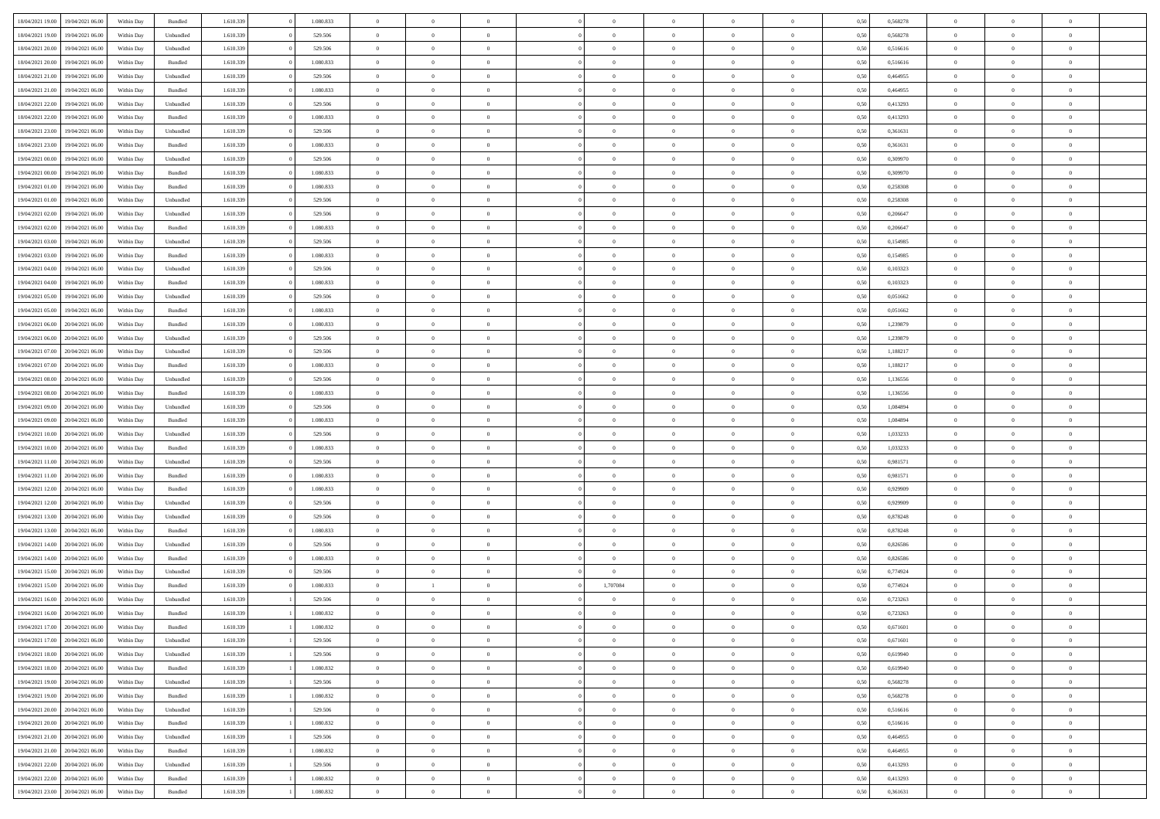| 18/04/2021 19:00 | 19/04/2021 06:00 | Within Day | Bundled            | 1.610.339 | 1.080.833 | $\overline{0}$ | $\Omega$       |                | $\Omega$       | $\Omega$       | $\Omega$       | $\theta$       | 0.50 | 0,568278 | $\theta$       | $\theta$       | $\theta$       |  |
|------------------|------------------|------------|--------------------|-----------|-----------|----------------|----------------|----------------|----------------|----------------|----------------|----------------|------|----------|----------------|----------------|----------------|--|
|                  |                  |            |                    |           |           |                |                |                |                |                |                |                |      |          |                |                |                |  |
| 18/04/2021 19:00 | 19/04/2021 06:00 | Within Day | Unbundled          | 1.610.339 | 529.506   | $\overline{0}$ | $\theta$       | $\overline{0}$ | $\overline{0}$ | $\bf{0}$       | $\overline{0}$ | $\bf{0}$       | 0,50 | 0,568278 | $\theta$       | $\theta$       | $\overline{0}$ |  |
| 18/04/2021 20:00 | 19/04/2021 06:00 | Within Day | Unbundled          | 1.610.339 | 529.506   | $\overline{0}$ | $\bf{0}$       | $\overline{0}$ | $\bf{0}$       | $\bf{0}$       | $\bf{0}$       | $\mathbf{0}$   | 0,50 | 0,516616 | $\bf{0}$       | $\overline{0}$ | $\overline{0}$ |  |
| 18/04/2021 20:00 | 19/04/2021 06:00 | Within Dav | Bundled            | 1.610.339 | 1.080.833 | $\overline{0}$ | $\overline{0}$ | $\overline{0}$ | $\overline{0}$ | $\bf{0}$       | $\overline{0}$ | $\overline{0}$ | 0.50 | 0.516616 | $\theta$       | $\theta$       | $\overline{0}$ |  |
|                  |                  |            |                    |           |           |                |                |                |                |                |                |                |      |          |                |                |                |  |
| 18/04/2021 21:00 | 19/04/2021 06:00 | Within Day | Unbundled          | 1.610.339 | 529.506   | $\overline{0}$ | $\theta$       | $\overline{0}$ | $\overline{0}$ | $\bf{0}$       | $\overline{0}$ | $\bf{0}$       | 0,50 | 0,464955 | $\theta$       | $\overline{0}$ | $\overline{0}$ |  |
| 18/04/2021 21:00 | 19/04/2021 06:00 | Within Day | Bundled            | 1.610.339 | 1.080.833 | $\overline{0}$ | $\overline{0}$ | $\overline{0}$ | $\overline{0}$ | $\overline{0}$ | $\overline{0}$ | $\mathbf{0}$   | 0,50 | 0,464955 | $\overline{0}$ | $\overline{0}$ | $\bf{0}$       |  |
| 18/04/2021 22:00 | 19/04/2021 06:00 | Within Dav | Unbundled          | 1.610.339 | 529.506   | $\overline{0}$ | $\overline{0}$ | $\overline{0}$ | $\overline{0}$ | $\overline{0}$ | $\overline{0}$ | $\overline{0}$ | 0.50 | 0,413293 | $\theta$       | $\overline{0}$ | $\overline{0}$ |  |
| 18/04/2021 22:00 | 19/04/2021 06:00 | Within Day | Bundled            | 1.610.339 | 1.080.833 | $\overline{0}$ | $\theta$       | $\overline{0}$ | $\overline{0}$ | $\bf{0}$       | $\overline{0}$ | $\bf{0}$       | 0,50 | 0,413293 | $\theta$       | $\theta$       | $\overline{0}$ |  |
|                  |                  |            |                    |           |           |                | $\overline{0}$ |                |                | $\bf{0}$       |                |                |      |          | $\,0\,$        | $\overline{0}$ | $\overline{0}$ |  |
| 18/04/2021 23:00 | 19/04/2021 06:00 | Within Day | Unbundled          | 1.610.339 | 529.506   | $\overline{0}$ |                | $\overline{0}$ | $\overline{0}$ |                | $\overline{0}$ | $\bf{0}$       | 0,50 | 0,361631 |                |                |                |  |
| 18/04/2021 23:00 | 19/04/2021 06:00 | Within Dav | Bundled            | 1.610.339 | 1.080.833 | $\overline{0}$ | $\overline{0}$ | $\overline{0}$ | $\overline{0}$ | $\overline{0}$ | $\overline{0}$ | $\overline{0}$ | 0.50 | 0,361631 | $\theta$       | $\overline{0}$ | $\overline{0}$ |  |
| 19/04/2021 00:00 | 19/04/2021 06:00 | Within Day | Unbundled          | 1.610.339 | 529.506   | $\overline{0}$ | $\theta$       | $\overline{0}$ | $\overline{0}$ | $\bf{0}$       | $\overline{0}$ | $\bf{0}$       | 0,50 | 0,309970 | $\,$ 0 $\,$    | $\overline{0}$ | $\overline{0}$ |  |
| 19/04/2021 00:00 | 19/04/2021 06:00 | Within Day | Bundled            | 1.610.339 | 1.080.833 | $\overline{0}$ | $\overline{0}$ | $\overline{0}$ | $\overline{0}$ | $\bf{0}$       | $\overline{0}$ | $\mathbf{0}$   | 0,50 | 0,309970 | $\overline{0}$ | $\overline{0}$ | $\bf{0}$       |  |
| 19/04/2021 01:00 | 19/04/2021 06:00 | Within Day | Bundled            | 1.610.339 | 1.080.833 | $\overline{0}$ | $\overline{0}$ | $\overline{0}$ | $\overline{0}$ | $\bf{0}$       | $\overline{0}$ | $\overline{0}$ | 0.50 | 0,258308 | $\theta$       | $\theta$       | $\overline{0}$ |  |
|                  |                  |            |                    |           |           |                |                |                |                |                |                |                |      |          |                |                |                |  |
| 19/04/2021 01:00 | 19/04/2021 06:00 | Within Day | Unbundled          | 1.610.339 | 529.506   | $\overline{0}$ | $\theta$       | $\overline{0}$ | $\overline{0}$ | $\bf{0}$       | $\overline{0}$ | $\bf{0}$       | 0,50 | 0,258308 | $\theta$       | $\overline{0}$ | $\overline{0}$ |  |
| 19/04/2021 02:00 | 19/04/2021 06:00 | Within Day | Unbundled          | 1.610.339 | 529.506   | $\overline{0}$ | $\overline{0}$ | $\overline{0}$ | $\overline{0}$ | $\overline{0}$ | $\overline{0}$ | $\mathbf{0}$   | 0,50 | 0,206647 | $\overline{0}$ | $\overline{0}$ | $\bf{0}$       |  |
| 19/04/2021 02:00 | 19/04/2021 06:00 | Within Dav | Bundled            | 1.610.339 | 1.080.833 | $\overline{0}$ | $\overline{0}$ | $\overline{0}$ | $\overline{0}$ | $\overline{0}$ | $\overline{0}$ | $\overline{0}$ | 0.50 | 0.206647 | $\theta$       | $\overline{0}$ | $\overline{0}$ |  |
| 19/04/2021 03:00 | 19/04/2021 06:00 | Within Day | Unbundled          | 1.610.339 | 529.506   | $\overline{0}$ | $\theta$       | $\overline{0}$ | $\overline{0}$ | $\bf{0}$       | $\overline{0}$ | $\bf{0}$       | 0,50 | 0,154985 | $\theta$       | $\theta$       | $\overline{0}$ |  |
|                  |                  |            |                    |           |           |                | $\overline{0}$ |                |                | $\bf{0}$       |                |                |      |          | $\bf{0}$       | $\overline{0}$ | $\overline{0}$ |  |
| 19/04/2021 03:00 | 19/04/2021 06:00 | Within Day | Bundled            | 1.610.339 | 1.080.833 | $\overline{0}$ |                | $\overline{0}$ | $\overline{0}$ |                | $\overline{0}$ | $\mathbf{0}$   | 0,50 | 0,154985 |                |                |                |  |
| 19/04/2021 04:00 | 19/04/2021 06:00 | Within Day | Unbundled          | 1.610.339 | 529.506   | $\overline{0}$ | $\overline{0}$ | $\overline{0}$ | $\overline{0}$ | $\overline{0}$ | $\overline{0}$ | $\overline{0}$ | 0.50 | 0,103323 | $\theta$       | $\overline{0}$ | $\overline{0}$ |  |
| 19/04/2021 04:00 | 19/04/2021 06:00 | Within Day | Bundled            | 1.610.339 | 1.080.833 | $\overline{0}$ | $\theta$       | $\overline{0}$ | $\overline{0}$ | $\bf{0}$       | $\overline{0}$ | $\bf{0}$       | 0,50 | 0,103323 | $\,$ 0 $\,$    | $\theta$       | $\overline{0}$ |  |
| 19/04/2021 05:00 | 19/04/2021 06:00 | Within Day | Unbundled          | 1.610.339 | 529.506   | $\overline{0}$ | $\overline{0}$ | $\overline{0}$ | $\overline{0}$ | $\bf{0}$       | $\overline{0}$ | $\bf{0}$       | 0,50 | 0,051662 | $\,0\,$        | $\overline{0}$ | $\overline{0}$ |  |
| 19/04/2021 05:00 | 19/04/2021 06:00 | Within Day | Bundled            | 1.610.339 | 1.080.833 | $\overline{0}$ | $\overline{0}$ | $\overline{0}$ | $\overline{0}$ | $\bf{0}$       | $\overline{0}$ | $\overline{0}$ | 0.50 | 0.051662 | $\theta$       | $\overline{0}$ | $\overline{0}$ |  |
|                  |                  |            |                    |           |           |                |                |                |                |                |                |                |      |          |                |                |                |  |
| 19/04/2021 06:00 | 20/04/2021 06:00 | Within Day | Bundled            | 1.610.339 | 1.080.833 | $\overline{0}$ | $\theta$       | $\overline{0}$ | $\overline{0}$ | $\bf{0}$       | $\overline{0}$ | $\bf{0}$       | 0,50 | 1,239879 | $\,$ 0 $\,$    | $\overline{0}$ | $\overline{0}$ |  |
| 19/04/2021 06:00 | 20/04/2021 06:00 | Within Day | Unbundled          | 1.610.339 | 529.506   | $\overline{0}$ | $\overline{0}$ | $\overline{0}$ | $\bf{0}$       | $\overline{0}$ | $\overline{0}$ | $\mathbf{0}$   | 0,50 | 1,239879 | $\overline{0}$ | $\overline{0}$ | $\bf{0}$       |  |
| 19/04/2021 07:00 | 20/04/2021 06:00 | Within Dav | Unbundled          | 1.610.339 | 529.506   | $\overline{0}$ | $\overline{0}$ | $\overline{0}$ | $\overline{0}$ | $\overline{0}$ | $\overline{0}$ | $\overline{0}$ | 0.50 | 1,188217 | $\theta$       | $\overline{0}$ | $\overline{0}$ |  |
| 19/04/2021 07:00 | 20/04/2021 06:00 | Within Day | Bundled            | 1.610.339 | 1.080.833 | $\overline{0}$ | $\theta$       | $\overline{0}$ | $\overline{0}$ | $\bf{0}$       | $\overline{0}$ | $\bf{0}$       | 0,50 | 1,188217 | $\theta$       | $\theta$       | $\overline{0}$ |  |
|                  |                  |            |                    |           |           |                |                |                |                |                |                |                |      |          |                |                |                |  |
| 19/04/2021 08:00 | 20/04/2021 06:00 | Within Day | Unbundled          | 1.610.339 | 529.506   | $\overline{0}$ | $\overline{0}$ | $\overline{0}$ | $\bf{0}$       | $\bf{0}$       | $\bf{0}$       | $\bf{0}$       | 0,50 | 1,136556 | $\,0\,$        | $\overline{0}$ | $\overline{0}$ |  |
| 19/04/2021 08:00 | 20/04/2021 06:00 | Within Day | Bundled            | 1.610.339 | 1.080.833 | $\overline{0}$ | $\overline{0}$ | $\overline{0}$ | $\overline{0}$ | $\overline{0}$ | $\overline{0}$ | $\overline{0}$ | 0.50 | 1,136556 | $\theta$       | $\overline{0}$ | $\overline{0}$ |  |
| 19/04/2021 09:00 | 20/04/2021 06:00 | Within Day | Unbundled          | 1.610.339 | 529.506   | $\overline{0}$ | $\theta$       | $\overline{0}$ | $\overline{0}$ | $\bf{0}$       | $\overline{0}$ | $\bf{0}$       | 0,50 | 1,084894 | $\,$ 0 $\,$    | $\overline{0}$ | $\overline{0}$ |  |
| 19/04/2021 09:00 | 20/04/2021 06:00 | Within Day | Bundled            | 1.610.339 | 1.080.833 | $\overline{0}$ | $\overline{0}$ | $\overline{0}$ | $\bf{0}$       | $\bf{0}$       | $\bf{0}$       | $\bf{0}$       | 0,50 | 1,084894 | $\overline{0}$ | $\overline{0}$ | $\overline{0}$ |  |
| 19/04/2021 10:00 | 20/04/2021 06:00 | Within Day | Unbundled          | 1.610.339 | 529.506   | $\overline{0}$ | $\Omega$       | $\overline{0}$ | $\Omega$       | $\Omega$       | $\overline{0}$ | $\overline{0}$ | 0,50 | 1,033233 | $\,0\,$        | $\theta$       | $\theta$       |  |
|                  |                  |            |                    |           |           |                |                |                |                |                |                |                |      |          |                |                |                |  |
| 19/04/2021 10:00 | 20/04/2021 06:00 | Within Day | Bundled            | 1.610.339 | 1.080.833 | $\overline{0}$ | $\theta$       | $\overline{0}$ | $\overline{0}$ | $\bf{0}$       | $\overline{0}$ | $\bf{0}$       | 0,50 | 1,033233 | $\theta$       | $\theta$       | $\overline{0}$ |  |
| 19/04/2021 11:00 | 20/04/2021 06:00 | Within Day | Unbundled          | 1.610.339 | 529.506   | $\overline{0}$ | $\overline{0}$ | $\overline{0}$ | $\bf{0}$       | $\bf{0}$       | $\overline{0}$ | $\mathbf{0}$   | 0,50 | 0,981571 | $\overline{0}$ | $\overline{0}$ | $\bf{0}$       |  |
| 19/04/2021 11:00 | 20/04/2021 06:00 | Within Day | Bundled            | 1.610.339 | 1.080.833 | $\overline{0}$ | $\Omega$       | $\Omega$       | $\Omega$       | $\bf{0}$       | $\overline{0}$ | $\overline{0}$ | 0.50 | 0,981571 | $\,0\,$        | $\theta$       | $\theta$       |  |
| 19/04/2021 12:00 | 20/04/2021 06:00 | Within Day | Bundled            | 1.610.339 | 1.080.833 | $\overline{0}$ | $\theta$       | $\overline{0}$ | $\overline{0}$ | $\bf{0}$       | $\overline{0}$ | $\bf{0}$       | 0,50 | 0,929909 | $\,$ 0 $\,$    | $\overline{0}$ | $\overline{0}$ |  |
|                  |                  |            |                    |           |           |                | $\overline{0}$ |                |                | $\bf{0}$       |                |                |      |          | $\,0\,$        | $\overline{0}$ | $\overline{0}$ |  |
| 19/04/2021 12:00 | 20/04/2021 06:00 | Within Day | Unbundled          | 1.610.339 | 529.506   | $\overline{0}$ |                | $\overline{0}$ | $\bf{0}$       |                | $\bf{0}$       | $\bf{0}$       | 0,50 | 0,929909 |                |                |                |  |
| 19/04/2021 13:00 | 20/04/2021 06:00 | Within Day | Unbundled          | 1.610.339 | 529.506   | $\overline{0}$ | $\Omega$       | $\overline{0}$ | $\Omega$       | $\overline{0}$ | $\overline{0}$ | $\overline{0}$ | 0.50 | 0,878248 | $\,$ 0 $\,$    | $\theta$       | $\theta$       |  |
| 19/04/2021 13:00 | 20/04/2021 06:00 | Within Day | Bundled            | 1.610.339 | 1.080.833 | $\overline{0}$ | $\theta$       | $\overline{0}$ | $\overline{0}$ | $\,$ 0         | $\overline{0}$ | $\bf{0}$       | 0,50 | 0,878248 | $\,$ 0 $\,$    | $\overline{0}$ | $\overline{0}$ |  |
| 19/04/2021 14:00 | 20/04/2021 06:00 | Within Day | Unbundled          | 1.610.339 | 529.506   | $\overline{0}$ | $\overline{0}$ | $\overline{0}$ | $\bf{0}$       | $\bf{0}$       | $\bf{0}$       | $\mathbf{0}$   | 0,50 | 0,826586 | $\overline{0}$ | $\overline{0}$ | $\overline{0}$ |  |
| 19/04/2021 14:00 | 20/04/2021 06:00 | Within Day | Bundled            | 1.610.339 | 1.080.833 | $\overline{0}$ | $\Omega$       | $\overline{0}$ | $\Omega$       | $\overline{0}$ | $\overline{0}$ | $\overline{0}$ | 0.50 | 0,826586 | $\,0\,$        | $\theta$       | $\theta$       |  |
|                  |                  |            |                    |           |           | $\overline{0}$ | $\theta$       | $\overline{0}$ | $\overline{0}$ |                | $\overline{0}$ |                |      |          | $\,$ 0 $\,$    | $\overline{0}$ | $\overline{0}$ |  |
| 19/04/2021 15:00 | 20/04/2021 06:00 | Within Day | Unbundled          | 1.610.339 | 529.506   |                |                |                |                | $\,$ 0         |                | $\bf{0}$       | 0,50 | 0,774924 |                |                |                |  |
| 19/04/2021 15:00 | 20/04/2021 06:00 | Within Day | Bundled            | 1.610.339 | 1.080.833 | $\overline{0}$ | $\mathbf{1}$   | $\overline{0}$ | 1,707084       | $\bf{0}$       | $\bf{0}$       | $\mathbf{0}$   | 0,50 | 0,774924 | $\overline{0}$ | $\overline{0}$ | $\bf{0}$       |  |
| 19/04/2021 16:00 | 20/04/2021 06:00 | Within Day | Unbundled          | 1.610.339 | 529.506   | $\overline{0}$ | $\Omega$       | $\Omega$       | $\Omega$       | $\Omega$       | $\Omega$       | $\overline{0}$ | 0.50 | 0,723263 | $\theta$       | $\theta$       | $\theta$       |  |
| 19/04/2021 16:00 | 20/04/2021 06:00 | Within Day | Bundled            | 1.610.339 | 1.080.832 | $\overline{0}$ | $\,$ 0 $\,$    | $\overline{0}$ | $\bf{0}$       | $\,$ 0         | $\overline{0}$ | $\bf{0}$       | 0,50 | 0,723263 | $\,0\,$        | $\overline{0}$ | $\overline{0}$ |  |
| 19/04/2021 17:00 | 20/04/2021 06:00 | Within Day | $\mathbf B$ undled | 1.610.339 | 1.080.832 | $\bf{0}$       | $\bf{0}$       |                |                |                |                |                | 0,50 | 0,671601 | $\bf{0}$       | $\overline{0}$ |                |  |
|                  |                  |            |                    |           |           |                |                |                |                |                |                |                |      |          |                |                |                |  |
| 19/04/2021 17:00 | 20/04/2021 06:00 | Within Day | Unbundled          | 1.610.339 | 529.506   | $\overline{0}$ | $\overline{0}$ | $\overline{0}$ | $\Omega$       | $\overline{0}$ | $\overline{0}$ | $\overline{0}$ | 0.50 | 0.671601 | $\theta$       | $\theta$       | $\theta$       |  |
| 19/04/2021 18:00 | 20/04/2021 06:00 | Within Day | Unbundled          | 1.610.339 | 529.506   | $\overline{0}$ | $\bf{0}$       | $\overline{0}$ | $\overline{0}$ | $\,$ 0 $\,$    | $\overline{0}$ | $\,$ 0 $\,$    | 0,50 | 0,619940 | $\,$ 0 $\,$    | $\,$ 0 $\,$    | $\,$ 0         |  |
| 19/04/2021 18:00 | 20/04/2021 06:00 | Within Day | Bundled            | 1.610.339 | 1.080.832 | $\overline{0}$ | $\overline{0}$ | $\overline{0}$ | $\overline{0}$ | $\overline{0}$ | $\overline{0}$ | $\mathbf{0}$   | 0,50 | 0,619940 | $\overline{0}$ | $\bf{0}$       | $\bf{0}$       |  |
| 19/04/2021 19:00 | 20/04/2021 06:00 | Within Day | Unbundled          | 1.610.339 | 529.506   | $\overline{0}$ | $\overline{0}$ | $\overline{0}$ | $\Omega$       | $\overline{0}$ | $\overline{0}$ | $\overline{0}$ | 0,50 | 0,568278 | $\overline{0}$ | $\theta$       | $\overline{0}$ |  |
| 19/04/2021 19:00 | 20/04/2021 06:00 | Within Day | Bundled            | 1.610.339 | 1.080.832 | $\overline{0}$ | $\,$ 0         | $\overline{0}$ | $\overline{0}$ | $\,$ 0 $\,$    | $\overline{0}$ | $\mathbf{0}$   | 0,50 | 0,568278 | $\,$ 0 $\,$    | $\overline{0}$ | $\overline{0}$ |  |
|                  |                  |            |                    |           |           |                |                |                |                |                |                |                |      |          |                |                |                |  |
| 19/04/2021 20:00 | 20/04/2021 06:00 | Within Day | Unbundled          | 1.610.339 | 529.506   | $\overline{0}$ | $\overline{0}$ | $\overline{0}$ | $\overline{0}$ | $\overline{0}$ | $\overline{0}$ | $\mathbf{0}$   | 0,50 | 0,516616 | $\overline{0}$ | $\overline{0}$ | $\bf{0}$       |  |
| 19/04/2021 20:00 | 20/04/2021 06:00 | Within Day | Bundled            | 1.610.339 | 1.080.832 | $\overline{0}$ | $\overline{0}$ | $\overline{0}$ | $\Omega$       | $\overline{0}$ | $\overline{0}$ | $\bf{0}$       | 0.50 | 0,516616 | $\overline{0}$ | $\theta$       | $\overline{0}$ |  |
| 19/04/2021 21:00 | 20/04/2021 06:00 | Within Day | Unbundled          | 1.610.339 | 529.506   | $\overline{0}$ | $\,$ 0         | $\overline{0}$ | $\overline{0}$ | $\bf{0}$       | $\overline{0}$ | $\bf{0}$       | 0,50 | 0,464955 | $\,$ 0 $\,$    | $\overline{0}$ | $\overline{0}$ |  |
| 19/04/2021 21:00 | 20/04/2021 06:00 | Within Day | Bundled            | 1.610.339 | 1.080.832 | $\overline{0}$ | $\bf{0}$       | $\overline{0}$ | $\overline{0}$ | $\overline{0}$ | $\overline{0}$ | $\mathbf{0}$   | 0,50 | 0,464955 | $\overline{0}$ | $\overline{0}$ | $\bf{0}$       |  |
|                  |                  |            |                    |           |           |                |                |                |                |                |                |                |      |          |                |                |                |  |
| 19/04/2021 22:00 | 20/04/2021 06:00 | Within Day | Unbundled          | 1.610.339 | 529.506   | $\overline{0}$ | $\overline{0}$ | $\overline{0}$ | $\Omega$       | $\overline{0}$ | $\overline{0}$ | $\overline{0}$ | 0.50 | 0,413293 | $\overline{0}$ | $\overline{0}$ | $\overline{0}$ |  |
| 19/04/2021 22:00 | 20/04/2021 06:00 | Within Day | Bundled            | 1.610.339 | 1.080.832 | $\overline{0}$ | $\bf{0}$       | $\overline{0}$ | $\bf{0}$       | $\bf{0}$       | $\overline{0}$ | $\mathbf{0}$   | 0,50 | 0,413293 | $\,$ 0 $\,$    | $\,$ 0 $\,$    | $\bf{0}$       |  |
| 19/04/2021 23:00 | 20/04/2021 06:00 | Within Day | Bundled            | 1.610.339 | 1.080.832 | $\overline{0}$ | $\overline{0}$ | $\overline{0}$ | $\overline{0}$ | $\overline{0}$ | $\overline{0}$ | $\mathbf{0}$   | 0,50 | 0,361631 | $\overline{0}$ | $\bf{0}$       | $\bf{0}$       |  |
|                  |                  |            |                    |           |           |                |                |                |                |                |                |                |      |          |                |                |                |  |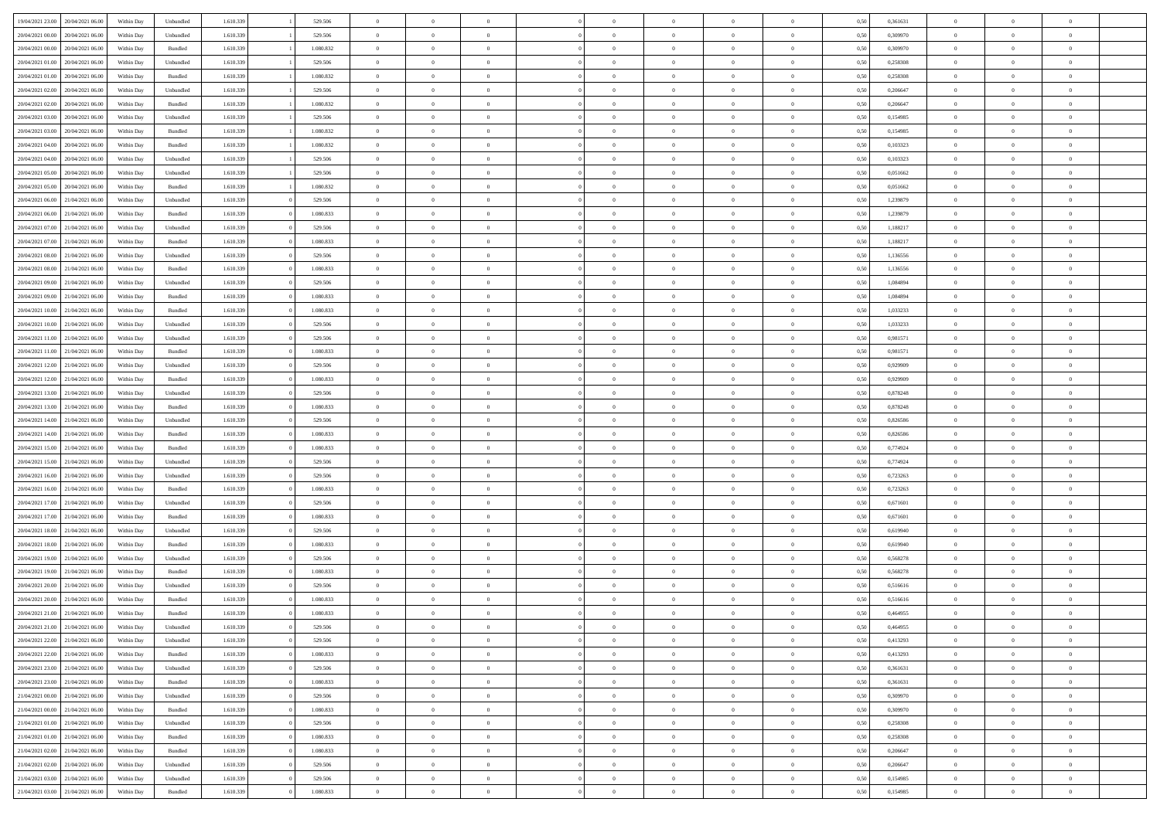|                                   |                  |            |                    |           |           | $\overline{0}$ | $\Omega$       |                |                | $\Omega$       | $\Omega$       | $\theta$       |      |          | $\theta$       |                | $\theta$       |  |
|-----------------------------------|------------------|------------|--------------------|-----------|-----------|----------------|----------------|----------------|----------------|----------------|----------------|----------------|------|----------|----------------|----------------|----------------|--|
| 19/04/2021 23:00                  | 20/04/2021 06:00 | Within Dav | Unbundled          | 1.610.339 | 529.506   |                |                |                | $\Omega$       |                |                |                | 0,50 | 0,361631 |                | $\theta$       |                |  |
| 20/04/2021 00:00                  | 20/04/2021 06:00 | Within Day | Unbundled          | 1.610.339 | 529.506   | $\overline{0}$ | $\theta$       | $\overline{0}$ | $\overline{0}$ | $\bf{0}$       | $\overline{0}$ | $\bf{0}$       | 0,50 | 0,309970 | $\theta$       | $\theta$       | $\overline{0}$ |  |
| 20/04/2021 00:00                  | 20/04/2021 06:00 | Within Day | Bundled            | 1.610.339 | 1.080.832 | $\overline{0}$ | $\overline{0}$ | $\overline{0}$ | $\overline{0}$ | $\bf{0}$       | $\overline{0}$ | $\bf{0}$       | 0,50 | 0,309970 | $\overline{0}$ | $\overline{0}$ | $\overline{0}$ |  |
| 20/04/2021 01:00                  | 20/04/2021 06:00 | Within Day | Unbundled          | 1.610.339 | 529.506   | $\overline{0}$ | $\overline{0}$ | $\overline{0}$ | $\overline{0}$ | $\bf{0}$       | $\overline{0}$ | $\overline{0}$ | 0.50 | 0,258308 | $\theta$       | $\theta$       | $\overline{0}$ |  |
| 20/04/2021 01:00                  | 20/04/2021 06:00 | Within Day | Bundled            | 1.610.339 | 1.080.832 | $\overline{0}$ | $\theta$       | $\overline{0}$ | $\overline{0}$ | $\bf{0}$       | $\overline{0}$ | $\bf{0}$       | 0,50 | 0,258308 | $\theta$       | $\theta$       | $\overline{0}$ |  |
|                                   |                  |            |                    |           |           |                |                |                |                |                |                |                |      |          |                |                |                |  |
| 20/04/2021 02:00                  | 20/04/2021 06:00 | Within Day | Unbundled          | 1.610.339 | 529.506   | $\overline{0}$ | $\bf{0}$       | $\overline{0}$ | $\overline{0}$ | $\overline{0}$ | $\overline{0}$ | $\mathbf{0}$   | 0,50 | 0,206647 | $\overline{0}$ | $\overline{0}$ | $\bf{0}$       |  |
| 20/04/2021 02:00                  | 20/04/2021 06:00 | Within Dav | Bundled            | 1.610.339 | 1.080.832 | $\overline{0}$ | $\overline{0}$ | $\overline{0}$ | $\overline{0}$ | $\overline{0}$ | $\overline{0}$ | $\overline{0}$ | 0.50 | 0.206647 | $\theta$       | $\overline{0}$ | $\overline{0}$ |  |
| 20/04/2021 03:00                  | 20/04/2021 06:00 | Within Day | Unbundled          | 1.610.339 | 529.506   | $\overline{0}$ | $\theta$       | $\overline{0}$ | $\overline{0}$ | $\bf{0}$       | $\overline{0}$ | $\bf{0}$       | 0,50 | 0,154985 | $\theta$       | $\theta$       | $\overline{0}$ |  |
| 20/04/2021 03:00                  | 20/04/2021 06:00 | Within Day | Bundled            | 1.610.339 | 1.080.832 | $\overline{0}$ | $\overline{0}$ | $\overline{0}$ | $\bf{0}$       | $\bf{0}$       | $\bf{0}$       | $\bf{0}$       | 0,50 | 0,154985 | $\,0\,$        | $\overline{0}$ | $\overline{0}$ |  |
| 20/04/2021 04:00                  | 20/04/2021 06:00 | Within Dav | Bundled            | 1.610.339 | 1.080.832 | $\overline{0}$ | $\overline{0}$ | $\overline{0}$ | $\overline{0}$ | $\overline{0}$ | $\overline{0}$ | $\overline{0}$ | 0.50 | 0,103323 | $\theta$       | $\overline{0}$ | $\overline{0}$ |  |
| 20/04/2021 04:00                  | 20/04/2021 06:00 | Within Day | Unbundled          | 1.610.339 | 529.506   | $\overline{0}$ | $\theta$       | $\overline{0}$ | $\overline{0}$ | $\bf{0}$       | $\overline{0}$ | $\bf{0}$       | 0,50 | 0,103323 | $\,$ 0 $\,$    | $\theta$       | $\overline{0}$ |  |
| 20/04/2021 05:00                  | 20/04/2021 06:00 | Within Day | Unbundled          | 1.610.339 | 529.506   | $\overline{0}$ | $\overline{0}$ | $\overline{0}$ | $\bf{0}$       | $\bf{0}$       | $\bf{0}$       | $\mathbf{0}$   | 0,50 | 0,051662 | $\overline{0}$ | $\overline{0}$ | $\overline{0}$ |  |
| 20/04/2021 05:00                  | 20/04/2021 06:00 |            | Bundled            | 1.610.339 | 1.080.832 | $\overline{0}$ | $\overline{0}$ | $\overline{0}$ |                | $\bf{0}$       | $\overline{0}$ | $\overline{0}$ | 0.50 | 0.051662 | $\theta$       | $\theta$       | $\overline{0}$ |  |
|                                   |                  | Within Day |                    |           |           |                |                |                | $\overline{0}$ |                |                |                |      |          |                |                |                |  |
| 20/04/2021 06:00                  | 21/04/2021 06:00 | Within Day | Unbundled          | 1.610.339 | 529.506   | $\overline{0}$ | $\theta$       | $\overline{0}$ | $\overline{0}$ | $\bf{0}$       | $\overline{0}$ | $\bf{0}$       | 0,50 | 1,239879 | $\theta$       | $\theta$       | $\overline{0}$ |  |
| 20/04/2021 06:00                  | 21/04/2021 06:00 | Within Day | Bundled            | 1.610.339 | 1.080.833 | $\overline{0}$ | $\overline{0}$ | $\overline{0}$ | $\bf{0}$       | $\overline{0}$ | $\overline{0}$ | $\mathbf{0}$   | 0,50 | 1,239879 | $\overline{0}$ | $\overline{0}$ | $\bf{0}$       |  |
| 20/04/2021 07:00                  | 21/04/2021 06:00 | Within Dav | Unbundled          | 1.610.339 | 529.506   | $\overline{0}$ | $\overline{0}$ | $\overline{0}$ | $\overline{0}$ | $\overline{0}$ | $\overline{0}$ | $\overline{0}$ | 0.50 | 1,188217 | $\theta$       | $\overline{0}$ | $\overline{0}$ |  |
| 20/04/2021 07:00                  | 21/04/2021 06:00 | Within Day | Bundled            | 1.610.339 | 1.080.833 | $\overline{0}$ | $\theta$       | $\overline{0}$ | $\overline{0}$ | $\bf{0}$       | $\overline{0}$ | $\bf{0}$       | 0,50 | 1,188217 | $\theta$       | $\theta$       | $\overline{0}$ |  |
| 20/04/2021 08:00                  | 21/04/2021 06:00 | Within Day | Unbundled          | 1.610.339 | 529.506   | $\overline{0}$ | $\overline{0}$ | $\overline{0}$ | $\bf{0}$       | $\bf{0}$       | $\bf{0}$       | $\mathbf{0}$   | 0,50 | 1,136556 | $\,0\,$        | $\overline{0}$ | $\overline{0}$ |  |
| 20/04/2021 08:00                  | 21/04/2021 06:00 | Within Day | Bundled            | 1.610.339 | 1.080.833 | $\overline{0}$ | $\overline{0}$ | $\overline{0}$ | $\overline{0}$ | $\overline{0}$ | $\overline{0}$ | $\overline{0}$ | 0.50 | 1,136556 | $\theta$       | $\overline{0}$ | $\overline{0}$ |  |
|                                   |                  |            |                    |           |           |                |                |                |                |                |                |                |      |          |                |                |                |  |
| 20/04/2021 09:00                  | 21/04/2021 06:00 | Within Day | Unbundled          | 1.610.339 | 529.506   | $\overline{0}$ | $\theta$       | $\overline{0}$ | $\overline{0}$ | $\bf{0}$       | $\overline{0}$ | $\bf{0}$       | 0,50 | 1,084894 | $\,$ 0 $\,$    | $\theta$       | $\overline{0}$ |  |
| 20/04/2021 09:00                  | 21/04/2021 06:00 | Within Day | Bundled            | 1.610.339 | 1.080.833 | $\overline{0}$ | $\overline{0}$ | $\overline{0}$ | $\bf{0}$       | $\bf{0}$       | $\bf{0}$       | $\bf{0}$       | 0,50 | 1,084894 | $\overline{0}$ | $\overline{0}$ | $\overline{0}$ |  |
| 20/04/2021 10:00                  | 21/04/2021 06:00 | Within Day | Bundled            | 1.610.339 | 1.080.833 | $\overline{0}$ | $\overline{0}$ | $\overline{0}$ | $\overline{0}$ | $\bf{0}$       | $\overline{0}$ | $\overline{0}$ | 0.50 | 1,033233 | $\theta$       | $\theta$       | $\overline{0}$ |  |
| 20/04/2021 10:00                  | 21/04/2021 06:00 | Within Day | Unbundled          | 1.610.339 | 529.506   | $\overline{0}$ | $\theta$       | $\overline{0}$ | $\overline{0}$ | $\bf{0}$       | $\overline{0}$ | $\bf{0}$       | 0,50 | 1,033233 | $\,$ 0 $\,$    | $\overline{0}$ | $\overline{0}$ |  |
| 20/04/2021 11:00                  | 21/04/2021 06:00 | Within Day | Unbundled          | 1.610.339 | 529.506   | $\overline{0}$ | $\bf{0}$       | $\overline{0}$ | $\bf{0}$       | $\overline{0}$ | $\overline{0}$ | $\mathbf{0}$   | 0,50 | 0,981571 | $\overline{0}$ | $\overline{0}$ | $\bf{0}$       |  |
| 20/04/2021 11:00                  | 21/04/2021 06:00 | Within Dav | Bundled            | 1.610.339 | 1.080.833 | $\overline{0}$ | $\overline{0}$ | $\overline{0}$ | $\overline{0}$ | $\overline{0}$ | $\overline{0}$ | $\overline{0}$ | 0.50 | 0.981571 | $\theta$       | $\overline{0}$ | $\overline{0}$ |  |
|                                   |                  |            |                    |           |           | $\overline{0}$ | $\theta$       | $\overline{0}$ |                | $\bf{0}$       | $\overline{0}$ |                |      |          | $\theta$       | $\theta$       | $\overline{0}$ |  |
| 20/04/2021 12:00                  | 21/04/2021 06:00 | Within Day | Unbundled          | 1.610.339 | 529.506   |                |                |                | $\overline{0}$ |                |                | $\bf{0}$       | 0,50 | 0,929909 |                |                |                |  |
| 20/04/2021 12:00                  | 21/04/2021 06:00 | Within Day | Bundled            | 1.610.339 | 1.080.833 | $\overline{0}$ | $\overline{0}$ | $\overline{0}$ | $\bf{0}$       | $\bf{0}$       | $\bf{0}$       | $\bf{0}$       | 0,50 | 0,929909 | $\,0\,$        | $\overline{0}$ | $\overline{0}$ |  |
| 20/04/2021 13:00                  | 21/04/2021 06:00 | Within Day | Unbundled          | 1.610.339 | 529.506   | $\overline{0}$ | $\overline{0}$ | $\overline{0}$ | $\overline{0}$ | $\overline{0}$ | $\overline{0}$ | $\overline{0}$ | 0.50 | 0,878248 | $\theta$       | $\overline{0}$ | $\overline{0}$ |  |
| 20/04/2021 13:00                  | 21/04/2021 06:00 | Within Day | Bundled            | 1.610.339 | 1.080.833 | $\overline{0}$ | $\theta$       | $\overline{0}$ | $\overline{0}$ | $\bf{0}$       | $\overline{0}$ | $\bf{0}$       | 0,50 | 0,878248 | $\,$ 0 $\,$    | $\overline{0}$ | $\overline{0}$ |  |
| 20/04/2021 14:00                  | 21/04/2021 06:00 | Within Day | Unbundled          | 1.610.339 | 529.506   | $\overline{0}$ | $\overline{0}$ | $\overline{0}$ | $\bf{0}$       | $\bf{0}$       | $\bf{0}$       | $\bf{0}$       | 0,50 | 0,826586 | $\overline{0}$ | $\overline{0}$ | $\overline{0}$ |  |
| 20/04/2021 14:00                  | 21/04/2021 06.00 | Within Day | Bundled            | 1.610.339 | 1.080.833 | $\overline{0}$ | $\Omega$       | $\Omega$       | $\Omega$       | $\Omega$       | $\Omega$       | $\overline{0}$ | 0.50 | 0,826586 | $\,0\,$        | $\theta$       | $\theta$       |  |
| 20/04/2021 15:00                  | 21/04/2021 06:00 | Within Day | Bundled            | 1.610.339 | 1.080.833 | $\overline{0}$ | $\theta$       | $\overline{0}$ | $\overline{0}$ | $\bf{0}$       | $\overline{0}$ | $\bf{0}$       | 0,50 | 0,774924 | $\theta$       | $\theta$       | $\overline{0}$ |  |
|                                   |                  |            |                    |           |           |                |                |                |                |                |                |                |      |          |                |                |                |  |
| 20/04/2021 15:00                  | 21/04/2021 06:00 | Within Day | Unbundled          | 1.610.339 | 529.506   | $\overline{0}$ | $\overline{0}$ | $\overline{0}$ | $\overline{0}$ | $\bf{0}$       | $\overline{0}$ | $\mathbf{0}$   | 0,50 | 0,774924 | $\overline{0}$ | $\overline{0}$ | $\bf{0}$       |  |
| 20/04/2021 16:00                  | 21/04/2021 06:00 | Within Day | Unbundled          | 1.610.339 | 529.506   | $\overline{0}$ | $\Omega$       | $\Omega$       | $\Omega$       | $\bf{0}$       | $\overline{0}$ | $\overline{0}$ | 0.50 | 0,723263 | $\,0\,$        | $\theta$       | $\theta$       |  |
| 20/04/2021 16:00                  | 21/04/2021 06:00 | Within Day | Bundled            | 1.610.339 | 1.080.833 | $\overline{0}$ | $\theta$       | $\overline{0}$ | $\overline{0}$ | $\bf{0}$       | $\overline{0}$ | $\bf{0}$       | 0,50 | 0,723263 | $\,$ 0 $\,$    | $\theta$       | $\overline{0}$ |  |
| 20/04/2021 17:00                  | 21/04/2021 06:00 | Within Day | Unbundled          | 1.610.339 | 529.506   | $\overline{0}$ | $\overline{0}$ | $\overline{0}$ | $\overline{0}$ | $\bf{0}$       | $\overline{0}$ | $\bf{0}$       | 0,50 | 0,671601 | $\,0\,$        | $\overline{0}$ | $\overline{0}$ |  |
| 20/04/2021 17:00                  | 21/04/2021 06:00 | Within Day | Bundled            | 1.610.339 | 1.080.833 | $\overline{0}$ | $\Omega$       | $\Omega$       | $\Omega$       | $\theta$       | $\theta$       | $\overline{0}$ | 0.50 | 0.671601 | $\theta$       | $\theta$       | $\theta$       |  |
| 20/04/2021 18:00                  | 21/04/2021 06:00 | Within Day | Unbundled          | 1.610.339 | 529.506   | $\overline{0}$ | $\theta$       | $\overline{0}$ | $\overline{0}$ | $\bf{0}$       | $\overline{0}$ | $\bf{0}$       | 0,50 | 0,619940 | $\,$ 0 $\,$    | $\overline{0}$ | $\overline{0}$ |  |
| 20/04/2021 18:00                  | 21/04/2021 06:00 | Within Day | Bundled            | 1.610.339 | 1.080.833 | $\overline{0}$ | $\overline{0}$ | $\overline{0}$ | $\overline{0}$ | $\bf{0}$       | $\overline{0}$ | $\bf{0}$       | 0,50 | 0,619940 | $\overline{0}$ | $\overline{0}$ | $\overline{0}$ |  |
|                                   |                  |            |                    |           |           |                |                |                |                |                |                |                |      |          |                |                |                |  |
| 20/04/2021 19:00                  | 21/04/2021 06.00 | Within Day | Unbundled          | 1.610.339 | 529.506   | $\overline{0}$ | $\Omega$       | $\overline{0}$ | $\Omega$       | $\Omega$       | $\overline{0}$ | $\overline{0}$ | 0.50 | 0,568278 | $\,0\,$        | $\theta$       | $\theta$       |  |
| 20/04/2021 19:00                  | 21/04/2021 06:00 | Within Day | Bundled            | 1.610.339 | 1.080.833 | $\overline{0}$ | $\theta$       | $\overline{0}$ | $\overline{0}$ | $\bf{0}$       | $\overline{0}$ | $\bf{0}$       | 0,50 | 0,568278 | $\,$ 0 $\,$    | $\overline{0}$ | $\overline{0}$ |  |
| 20/04/2021 20:00                  | 21/04/2021 06:00 | Within Day | Unbundled          | 1.610.339 | 529.506   | $\overline{0}$ | $\overline{0}$ | $\overline{0}$ | $\overline{0}$ | $\bf{0}$       | $\overline{0}$ | $\mathbf{0}$   | 0,50 | 0,516616 | $\overline{0}$ | $\overline{0}$ | $\bf{0}$       |  |
| 20/04/2021 20:00                  | 21/04/2021 06:00 | Within Day | Bundled            | 1.610.339 | 1.080.833 | $\overline{0}$ | $\Omega$       | $\Omega$       | $\Omega$       | $\Omega$       | $\Omega$       | $\overline{0}$ | 0.50 | 0,516616 | $\theta$       | $\theta$       | $\theta$       |  |
| 20/04/2021 21:00                  | 21/04/2021 06:00 | Within Day | Bundled            | 1.610.339 | 1.080.833 | $\overline{0}$ | $\,$ 0 $\,$    | $\overline{0}$ | $\bf{0}$       | $\,$ 0         | $\overline{0}$ | $\bf{0}$       | 0,50 | 0,464955 | $\,0\,$        | $\overline{0}$ | $\overline{0}$ |  |
| 20/04/2021 21:00                  | 21/04/2021 06:00 | Within Day | Unbundled          | 1.610.339 | 529.506   | $\bf{0}$       | $\bf{0}$       |                |                |                |                |                | 0,50 | 0,464955 | $\bf{0}$       | $\overline{0}$ |                |  |
| 20/04/2021 22:00                  | 21/04/2021 06:00 | Within Day | Unbundled          | 1.610.339 | 529.506   | $\overline{0}$ | $\overline{0}$ | $\overline{0}$ | $\Omega$       | $\overline{0}$ | $\overline{0}$ | $\overline{0}$ | 0,50 | 0,413293 | $\theta$       | $\theta$       | $\theta$       |  |
| 20/04/2021 22:00                  | 21/04/2021 06:00 | Within Day | Bundled            | 1.610.339 | 1.080.833 | $\overline{0}$ | $\,$ 0         | $\overline{0}$ | $\overline{0}$ | $\,$ 0 $\,$    | $\overline{0}$ | $\,$ 0 $\,$    | 0,50 | 0,413293 | $\,$ 0 $\,$    | $\,$ 0 $\,$    | $\,$ 0         |  |
|                                   |                  |            |                    |           |           |                |                |                |                |                |                |                |      |          |                |                |                |  |
| 20/04/2021 23:00                  | 21/04/2021 06:00 | Within Day | Unbundled          | 1.610.339 | 529.506   | $\overline{0}$ | $\overline{0}$ | $\overline{0}$ | $\overline{0}$ | $\overline{0}$ | $\overline{0}$ | $\mathbf{0}$   | 0,50 | 0,361631 | $\overline{0}$ | $\bf{0}$       | $\bf{0}$       |  |
| 20/04/2021 23:00                  | 21/04/2021 06:00 | Within Day | $\mathbf B$ undled | 1.610.339 | 1.080.833 | $\overline{0}$ | $\overline{0}$ | $\overline{0}$ | $\Omega$       | $\overline{0}$ | $\overline{0}$ | $\overline{0}$ | 0,50 | 0,361631 | $\overline{0}$ | $\theta$       | $\overline{0}$ |  |
| 21/04/2021 00:00                  | 21/04/2021 06:00 | Within Day | Unbundled          | 1.610.339 | 529.506   | $\overline{0}$ | $\,$ 0         | $\overline{0}$ | $\overline{0}$ | $\,$ 0 $\,$    | $\overline{0}$ | $\mathbf{0}$   | 0,50 | 0,309970 | $\,$ 0 $\,$    | $\overline{0}$ | $\overline{0}$ |  |
| 21/04/2021 00:00                  | 21/04/2021 06:00 | Within Day | Bundled            | 1.610.339 | 1.080.833 | $\overline{0}$ | $\overline{0}$ | $\overline{0}$ | $\overline{0}$ | $\overline{0}$ | $\overline{0}$ | $\mathbf{0}$   | 0,50 | 0,309970 | $\overline{0}$ | $\overline{0}$ | $\bf{0}$       |  |
| 21/04/2021 01:00                  | 21/04/2021 06:00 | Within Day | Unbundled          | 1.610.339 | 529.506   | $\overline{0}$ | $\overline{0}$ | $\overline{0}$ | $\overline{0}$ | $\overline{0}$ | $\overline{0}$ | $\bf{0}$       | 0.50 | 0,258308 | $\overline{0}$ | $\theta$       | $\overline{0}$ |  |
| 21/04/2021 01:00                  | 21/04/2021 06:00 | Within Day | Bundled            | 1.610.339 | 1.080.833 | $\overline{0}$ | $\,$ 0         | $\overline{0}$ | $\bf{0}$       | $\bf{0}$       | $\bf{0}$       | $\bf{0}$       | 0,50 | 0,258308 | $\,$ 0 $\,$    | $\overline{0}$ | $\overline{0}$ |  |
|                                   |                  |            |                    |           |           |                |                |                |                |                |                |                |      |          |                |                |                |  |
| 21/04/2021 02:00                  | 21/04/2021 06:00 | Within Day | Bundled            | 1.610.339 | 1.080.833 | $\overline{0}$ | $\bf{0}$       | $\overline{0}$ | $\overline{0}$ | $\overline{0}$ | $\overline{0}$ | $\mathbf{0}$   | 0,50 | 0,206647 | $\overline{0}$ | $\overline{0}$ | $\bf{0}$       |  |
| 21/04/2021 02:00                  | 21/04/2021 06:00 | Within Day | Unbundled          | 1.610.339 | 529.506   | $\overline{0}$ | $\overline{0}$ | $\overline{0}$ | $\Omega$       | $\overline{0}$ | $\overline{0}$ | $\overline{0}$ | 0.50 | 0,206647 | $\overline{0}$ | $\overline{0}$ | $\overline{0}$ |  |
| 21/04/2021 03:00                  | 21/04/2021 06:00 | Within Day | Unbundled          | 1.610.339 | 529.506   | $\overline{0}$ | $\bf{0}$       | $\overline{0}$ | $\overline{0}$ | $\bf{0}$       | $\bf{0}$       | $\mathbf{0}$   | 0,50 | 0,154985 | $\,$ 0 $\,$    | $\,$ 0 $\,$    | $\bf{0}$       |  |
| 21/04/2021 03:00 21/04/2021 06:00 |                  | Within Day | Bundled            | 1.610.339 | 1.080.833 | $\overline{0}$ | $\bf{0}$       | $\overline{0}$ | $\overline{0}$ | $\bf{0}$       | $\bf{0}$       | $\bf{0}$       | 0,50 | 0,154985 | $\overline{0}$ | $\overline{0}$ | $\bf{0}$       |  |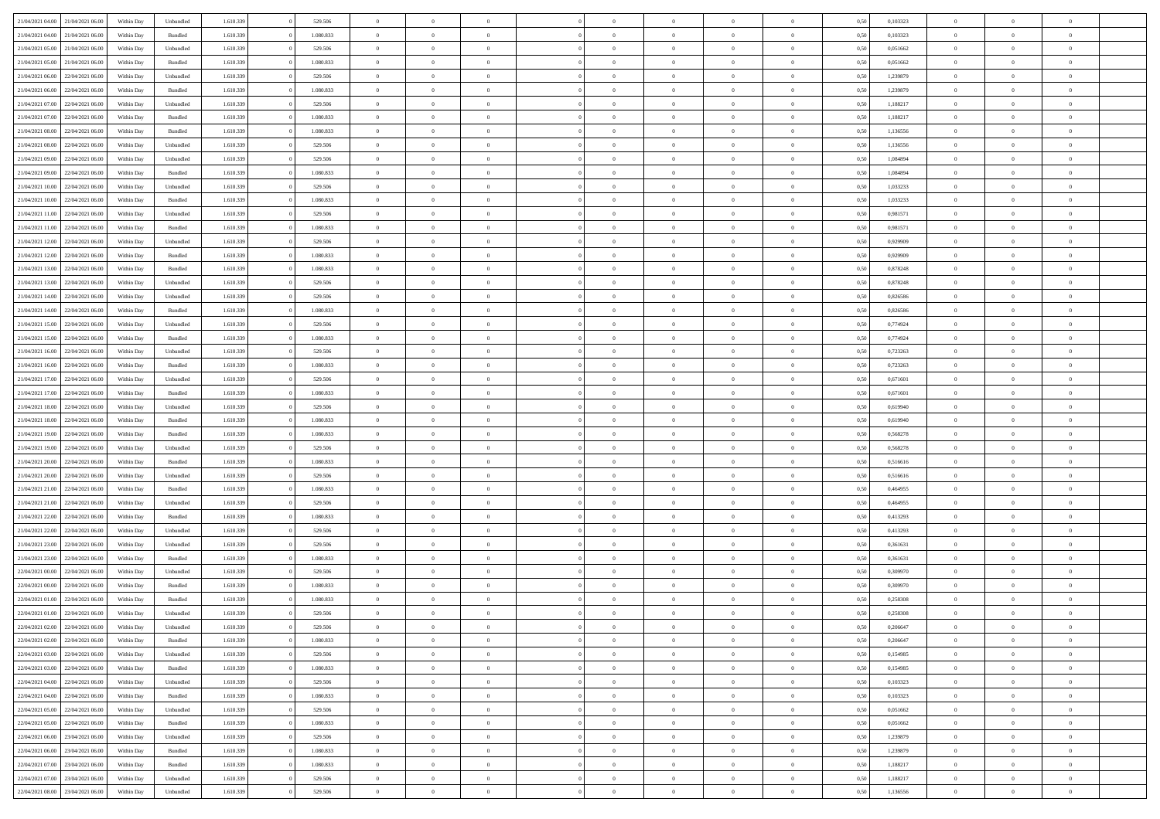| 21/04/2021 04:00 | 21/04/2021 06:00                  | Within Dav | Unbundled | 1.610.339 | 529.506   | $\overline{0}$ | $\Omega$       |                | $\Omega$       | $\Omega$       | $\Omega$       | $\theta$       | 0,50 | 0,103323 | $\theta$       | $\theta$       | $\theta$       |  |
|------------------|-----------------------------------|------------|-----------|-----------|-----------|----------------|----------------|----------------|----------------|----------------|----------------|----------------|------|----------|----------------|----------------|----------------|--|
| 21/04/2021 04:00 | 21/04/2021 06:00                  | Within Day | Bundled   | 1.610.339 | 1.080.833 | $\overline{0}$ | $\theta$       | $\overline{0}$ | $\overline{0}$ | $\bf{0}$       | $\overline{0}$ | $\bf{0}$       | 0,50 | 0,103323 | $\theta$       | $\theta$       | $\overline{0}$ |  |
| 21/04/2021 05:00 | 21/04/2021 06:00                  | Within Day | Unbundled | 1.610.339 | 529.506   | $\overline{0}$ | $\overline{0}$ | $\overline{0}$ | $\bf{0}$       | $\bf{0}$       | $\bf{0}$       | $\bf{0}$       | 0,50 | 0,051662 | $\bf{0}$       | $\overline{0}$ | $\overline{0}$ |  |
|                  |                                   |            |           |           |           |                |                |                |                |                |                |                |      |          | $\theta$       |                |                |  |
| 21/04/2021 05:00 | 21/04/2021 06:00                  | Within Dav | Bundled   | 1.610.339 | 1.080.833 | $\overline{0}$ | $\overline{0}$ | $\overline{0}$ | $\overline{0}$ | $\bf{0}$       | $\overline{0}$ | $\overline{0}$ | 0.50 | 0.051662 |                | $\theta$       | $\overline{0}$ |  |
| 21/04/2021 06:00 | 22/04/2021 06.00                  | Within Day | Unbundled | 1.610.339 | 529.506   | $\overline{0}$ | $\theta$       | $\overline{0}$ | $\overline{0}$ | $\bf{0}$       | $\overline{0}$ | $\bf{0}$       | 0,50 | 1,239879 | $\theta$       | $\theta$       | $\overline{0}$ |  |
| 21/04/2021 06:00 | 22/04/2021 06:00                  | Within Day | Bundled   | 1.610.339 | 1.080.833 | $\overline{0}$ | $\bf{0}$       | $\overline{0}$ | $\bf{0}$       | $\overline{0}$ | $\overline{0}$ | $\mathbf{0}$   | 0,50 | 1,239879 | $\overline{0}$ | $\overline{0}$ | $\bf{0}$       |  |
| 21/04/2021 07:00 | 22/04/2021 06:00                  | Within Dav | Unbundled | 1.610.339 | 529.506   | $\overline{0}$ | $\overline{0}$ | $\overline{0}$ | $\overline{0}$ | $\overline{0}$ | $\overline{0}$ | $\overline{0}$ | 0.50 | 1,188217 | $\theta$       | $\overline{0}$ | $\overline{0}$ |  |
|                  |                                   |            |           |           |           |                |                |                |                |                |                |                |      |          |                |                |                |  |
| 21/04/2021 07:00 | 22/04/2021 06:00                  | Within Day | Bundled   | 1.610.339 | 1.080.833 | $\overline{0}$ | $\theta$       | $\overline{0}$ | $\overline{0}$ | $\bf{0}$       | $\overline{0}$ | $\bf{0}$       | 0,50 | 1,188217 | $\theta$       | $\theta$       | $\overline{0}$ |  |
| 21/04/2021 08:00 | 22/04/2021 06:00                  | Within Day | Bundled   | 1.610.339 | 1.080.833 | $\overline{0}$ | $\overline{0}$ | $\overline{0}$ | $\bf{0}$       | $\bf{0}$       | $\bf{0}$       | $\bf{0}$       | 0,50 | 1,136556 | $\,0\,$        | $\overline{0}$ | $\overline{0}$ |  |
| 21/04/2021 08:00 | 22/04/2021 06:00                  | Within Dav | Unbundled | 1.610.339 | 529.506   | $\overline{0}$ | $\overline{0}$ | $\overline{0}$ | $\overline{0}$ | $\overline{0}$ | $\overline{0}$ | $\overline{0}$ | 0.50 | 1,136556 | $\theta$       | $\overline{0}$ | $\overline{0}$ |  |
|                  |                                   |            |           |           |           |                |                |                |                |                |                |                |      |          |                |                |                |  |
| 21/04/2021 09:00 | 22/04/2021 06.00                  | Within Day | Unbundled | 1.610.339 | 529.506   | $\overline{0}$ | $\theta$       | $\overline{0}$ | $\overline{0}$ | $\bf{0}$       | $\overline{0}$ | $\bf{0}$       | 0,50 | 1,084894 | $\,$ 0 $\,$    | $\overline{0}$ | $\overline{0}$ |  |
| 21/04/2021 09:00 | 22/04/2021 06:00                  | Within Day | Bundled   | 1.610.339 | 1.080.833 | $\overline{0}$ | $\overline{0}$ | $\overline{0}$ | $\bf{0}$       | $\bf{0}$       | $\bf{0}$       | $\mathbf{0}$   | 0,50 | 1,084894 | $\overline{0}$ | $\overline{0}$ | $\overline{0}$ |  |
| 21/04/2021 10:00 | 22/04/2021 06:00                  | Within Day | Unbundled | 1.610.339 | 529.506   | $\overline{0}$ | $\overline{0}$ | $\overline{0}$ | $\overline{0}$ | $\bf{0}$       | $\overline{0}$ | $\overline{0}$ | 0.50 | 1,033233 | $\theta$       | $\theta$       | $\overline{0}$ |  |
| 21/04/2021 10:00 | 22/04/2021 06.00                  |            |           | 1.610.339 | 1.080.833 | $\overline{0}$ | $\theta$       | $\overline{0}$ | $\overline{0}$ | $\bf{0}$       | $\overline{0}$ |                |      | 1,033233 | $\theta$       | $\theta$       | $\overline{0}$ |  |
|                  |                                   | Within Day | Bundled   |           |           |                |                |                |                |                |                | $\bf{0}$       | 0,50 |          |                |                |                |  |
| 21/04/2021 11:00 | 22/04/2021 06:00                  | Within Day | Unbundled | 1.610.339 | 529.506   | $\overline{0}$ | $\overline{0}$ | $\overline{0}$ | $\overline{0}$ | $\overline{0}$ | $\overline{0}$ | $\mathbf{0}$   | 0,50 | 0,981571 | $\bf{0}$       | $\overline{0}$ | $\bf{0}$       |  |
| 21/04/2021 11:00 | 22/04/2021 06:00                  | Within Dav | Bundled   | 1.610.339 | 1.080.833 | $\overline{0}$ | $\overline{0}$ | $\overline{0}$ | $\overline{0}$ | $\overline{0}$ | $\overline{0}$ | $\overline{0}$ | 0.50 | 0.981571 | $\theta$       | $\overline{0}$ | $\overline{0}$ |  |
| 21/04/2021 12:00 | 22/04/2021 06:00                  | Within Day | Unbundled | 1.610.339 | 529.506   | $\overline{0}$ | $\theta$       | $\overline{0}$ | $\overline{0}$ | $\bf{0}$       | $\overline{0}$ | $\bf{0}$       | 0,50 | 0,929909 | $\theta$       | $\theta$       | $\overline{0}$ |  |
|                  |                                   |            |           |           |           |                |                |                |                |                |                |                |      |          |                |                |                |  |
| 21/04/2021 12:00 | 22/04/2021 06:00                  | Within Day | Bundled   | 1.610.339 | 1.080.833 | $\overline{0}$ | $\overline{0}$ | $\overline{0}$ | $\overline{0}$ | $\bf{0}$       | $\overline{0}$ | $\mathbf{0}$   | 0,50 | 0,929909 | $\,0\,$        | $\overline{0}$ | $\overline{0}$ |  |
| 21/04/2021 13:00 | 22/04/2021 06:00                  | Within Day | Bundled   | 1.610.339 | 1.080.833 | $\overline{0}$ | $\overline{0}$ | $\overline{0}$ | $\overline{0}$ | $\overline{0}$ | $\overline{0}$ | $\overline{0}$ | 0.50 | 0,878248 | $\theta$       | $\overline{0}$ | $\overline{0}$ |  |
| 21/04/2021 13:00 | 22/04/2021 06:00                  | Within Day | Unbundled | 1.610.339 | 529.506   | $\overline{0}$ | $\theta$       | $\overline{0}$ | $\overline{0}$ | $\bf{0}$       | $\overline{0}$ | $\bf{0}$       | 0,50 | 0,878248 | $\,$ 0 $\,$    | $\theta$       | $\overline{0}$ |  |
| 21/04/2021 14:00 | 22/04/2021 06:00                  | Within Day | Unbundled | 1.610.339 | 529.506   | $\overline{0}$ | $\overline{0}$ | $\overline{0}$ | $\overline{0}$ | $\bf{0}$       | $\overline{0}$ | $\bf{0}$       | 0,50 | 0,826586 | $\bf{0}$       | $\overline{0}$ | $\overline{0}$ |  |
|                  |                                   |            |           |           |           |                |                |                |                |                |                |                |      |          |                |                |                |  |
| 21/04/2021 14:00 | 22/04/2021 06:00                  | Within Day | Bundled   | 1.610.339 | 1.080.833 | $\overline{0}$ | $\overline{0}$ | $\overline{0}$ | $\overline{0}$ | $\bf{0}$       | $\overline{0}$ | $\overline{0}$ | 0.50 | 0.826586 | $\theta$       | $\theta$       | $\overline{0}$ |  |
| 21/04/2021 15:00 | 22/04/2021 06:00                  | Within Day | Unbundled | 1.610.339 | 529.506   | $\overline{0}$ | $\theta$       | $\overline{0}$ | $\overline{0}$ | $\bf{0}$       | $\overline{0}$ | $\bf{0}$       | 0,50 | 0,774924 | $\,$ 0 $\,$    | $\overline{0}$ | $\overline{0}$ |  |
| 21/04/2021 15:00 | 22/04/2021 06:00                  | Within Day | Bundled   | 1.610.339 | 1.080.833 | $\overline{0}$ | $\bf{0}$       | $\overline{0}$ | $\overline{0}$ | $\overline{0}$ | $\overline{0}$ | $\mathbf{0}$   | 0,50 | 0,774924 | $\bf{0}$       | $\overline{0}$ | $\bf{0}$       |  |
| 21/04/2021 16:00 | 22/04/2021 06:00                  | Within Dav | Unbundled | 1.610.339 | 529.506   | $\overline{0}$ | $\overline{0}$ | $\overline{0}$ | $\overline{0}$ | $\overline{0}$ | $\overline{0}$ | $\overline{0}$ | 0.50 | 0,723263 | $\theta$       | $\overline{0}$ | $\overline{0}$ |  |
|                  |                                   |            |           |           |           |                |                |                |                |                |                |                |      |          |                |                |                |  |
| 21/04/2021 16:00 | 22/04/2021 06:00                  | Within Day | Bundled   | 1.610.339 | 1.080.833 | $\overline{0}$ | $\theta$       | $\overline{0}$ | $\overline{0}$ | $\bf{0}$       | $\overline{0}$ | $\bf{0}$       | 0,50 | 0,723263 | $\theta$       | $\theta$       | $\overline{0}$ |  |
| 21/04/2021 17:00 | 22/04/2021 06:00                  | Within Day | Unbundled | 1.610.339 | 529.506   | $\overline{0}$ | $\overline{0}$ | $\overline{0}$ | $\overline{0}$ | $\bf{0}$       | $\overline{0}$ | $\bf{0}$       | 0,50 | 0,671601 | $\,0\,$        | $\overline{0}$ | $\overline{0}$ |  |
| 21/04/2021 17:00 | 22/04/2021 06:00                  | Within Day | Bundled   | 1.610.339 | 1.080.833 | $\overline{0}$ | $\overline{0}$ | $\overline{0}$ | $\overline{0}$ | $\overline{0}$ | $\overline{0}$ | $\overline{0}$ | 0.50 | 0,671601 | $\theta$       | $\overline{0}$ | $\overline{0}$ |  |
| 21/04/2021 18:00 | 22/04/2021 06:00                  | Within Day | Unbundled | 1.610.339 | 529.506   | $\overline{0}$ | $\theta$       | $\overline{0}$ | $\overline{0}$ | $\bf{0}$       | $\overline{0}$ | $\bf{0}$       | 0,50 | 0,619940 | $\,$ 0 $\,$    | $\overline{0}$ | $\overline{0}$ |  |
|                  |                                   |            |           |           |           |                |                |                |                |                |                |                |      |          |                |                |                |  |
| 21/04/2021 18:00 | 22/04/2021 06:00                  | Within Day | Bundled   | 1.610.339 | 1.080.833 | $\overline{0}$ | $\overline{0}$ | $\overline{0}$ | $\overline{0}$ | $\bf{0}$       | $\overline{0}$ | $\bf{0}$       | 0,50 | 0,619940 | $\bf{0}$       | $\overline{0}$ | $\overline{0}$ |  |
| 21/04/2021 19:00 | 22/04/2021 06:00                  | Within Day | Bundled   | 1.610.339 | 1.080.833 | $\overline{0}$ | $\Omega$       | $\overline{0}$ | $\Omega$       | $\Omega$       | $\overline{0}$ | $\overline{0}$ | 0,50 | 0,568278 | $\,0\,$        | $\theta$       | $\theta$       |  |
| 21/04/2021 19:00 | 22/04/2021 06:00                  | Within Day | Unbundled | 1.610.339 | 529.506   | $\overline{0}$ | $\theta$       | $\overline{0}$ | $\overline{0}$ | $\bf{0}$       | $\overline{0}$ | $\bf{0}$       | 0,50 | 0,568278 | $\,$ 0 $\,$    | $\theta$       | $\overline{0}$ |  |
|                  |                                   |            |           |           |           |                |                |                |                |                |                |                |      |          |                |                |                |  |
| 21/04/2021 20:00 | 22/04/2021 06:00                  | Within Day | Bundled   | 1.610.339 | 1.080.833 | $\overline{0}$ | $\overline{0}$ | $\overline{0}$ | $\overline{0}$ | $\bf{0}$       | $\overline{0}$ | $\mathbf{0}$   | 0,50 | 0,516616 | $\bf{0}$       | $\overline{0}$ | $\bf{0}$       |  |
| 21/04/2021 20:00 | 22/04/2021 06:00                  | Within Day | Unbundled | 1.610.339 | 529.506   | $\overline{0}$ | $\Omega$       | $\Omega$       | $\Omega$       | $\bf{0}$       | $\overline{0}$ | $\overline{0}$ | 0.50 | 0,516616 | $\,0\,$        | $\theta$       | $\theta$       |  |
| 21/04/2021 21:00 | 22/04/2021 06:00                  | Within Day | Bundled   | 1.610.339 | 1.080.833 | $\overline{0}$ | $\theta$       | $\overline{0}$ | $\overline{0}$ | $\bf{0}$       | $\overline{0}$ | $\bf{0}$       | 0,50 | 0,464955 | $\,$ 0 $\,$    | $\theta$       | $\overline{0}$ |  |
| 21/04/2021 21:00 | 22/04/2021 06:00                  | Within Day | Unbundled | 1.610.339 | 529.506   | $\overline{0}$ | $\overline{0}$ | $\overline{0}$ | $\overline{0}$ | $\bf{0}$       | $\overline{0}$ | $\bf{0}$       | 0,50 | 0,464955 | $\bf{0}$       | $\overline{0}$ | $\overline{0}$ |  |
|                  |                                   |            |           |           |           |                |                |                |                |                |                |                |      |          |                |                |                |  |
| 21/04/2021 22.00 | 22/04/2021 06:00                  | Within Day | Bundled   | 1.610.339 | 1.080.833 | $\overline{0}$ | $\Omega$       | $\overline{0}$ | $\Omega$       | $\theta$       | $\overline{0}$ | $\overline{0}$ | 0.50 | 0,413293 | $\,$ 0 $\,$    | $\theta$       | $\theta$       |  |
| 21/04/2021 22:00 | 22/04/2021 06:00                  | Within Day | Unbundled | 1.610.339 | 529.506   | $\overline{0}$ | $\theta$       | $\overline{0}$ | $\overline{0}$ | $\bf{0}$       | $\overline{0}$ | $\bf{0}$       | 0,50 | 0,413293 | $\,$ 0 $\,$    | $\overline{0}$ | $\overline{0}$ |  |
| 21/04/2021 23:00 | 22/04/2021 06:00                  | Within Day | Unbundled | 1.610.339 | 529.506   | $\overline{0}$ | $\overline{0}$ | $\overline{0}$ | $\overline{0}$ | $\bf{0}$       | $\overline{0}$ | $\bf{0}$       | 0,50 | 0,361631 | $\bf{0}$       | $\overline{0}$ | $\overline{0}$ |  |
| 21/04/2021 23:00 | 22/04/2021 06:00                  |            |           | 1.610.339 | 1.080.833 | $\overline{0}$ | $\Omega$       | $\overline{0}$ | $\Omega$       | $\Omega$       | $\overline{0}$ | $\overline{0}$ | 0.50 | 0,361631 | $\,0\,$        | $\theta$       | $\theta$       |  |
|                  |                                   | Within Day | Bundled   |           |           |                |                |                |                |                |                |                |      |          |                |                |                |  |
| 22/04/2021 00:00 | 22/04/2021 06:00                  | Within Day | Unbundled | 1.610.339 | 529.506   | $\overline{0}$ | $\theta$       | $\overline{0}$ | $\overline{0}$ | $\bf{0}$       | $\overline{0}$ | $\bf{0}$       | 0,50 | 0,309970 | $\,$ 0 $\,$    | $\overline{0}$ | $\overline{0}$ |  |
| 22/04/2021 00:00 | 22/04/2021 06:00                  | Within Day | Bundled   | 1.610.339 | 1.080.833 | $\overline{0}$ | $\overline{0}$ | $\overline{0}$ | $\bf{0}$       | $\bf{0}$       | $\bf{0}$       | $\mathbf{0}$   | 0,50 | 0,309970 | $\bf{0}$       | $\overline{0}$ | $\bf{0}$       |  |
| 22/04/2021 01:00 | 22/04/2021 06:00                  | Within Day | Bundled   | 1.610.339 | 1.080.833 | $\overline{0}$ | $\Omega$       | $\Omega$       | $\Omega$       | $\Omega$       | $\Omega$       | $\overline{0}$ | 0.50 | 0.258308 | $\theta$       | $\theta$       | $\theta$       |  |
| 22/04/2021 01:00 | 22/04/2021 06:00                  | Within Day | Unbundled | 1.610.339 | 529.506   | $\overline{0}$ | $\overline{0}$ | $\overline{0}$ | $\bf{0}$       | $\,$ 0         | $\bf{0}$       | $\bf{0}$       | 0,50 | 0,258308 | $\,0\,$        | $\overline{0}$ | $\overline{0}$ |  |
|                  |                                   |            |           |           |           |                |                |                |                |                |                |                |      |          |                |                |                |  |
|                  | 22/04/2021 02:00 22/04/2021 06:00 | Within Day | Unbundled | 1.610.339 | 529.506   | $\bf{0}$       | $\bf{0}$       |                |                |                |                |                | 0,50 | 0,206647 | $\bf{0}$       | $\overline{0}$ |                |  |
| 22/04/2021 02:00 | 22/04/2021 06:00                  | Within Day | Bundled   | 1.610.339 | 1.080.833 | $\overline{0}$ | $\overline{0}$ | $\overline{0}$ | $\Omega$       | $\overline{0}$ | $\overline{0}$ | $\overline{0}$ | 0.50 | 0.206647 | $\theta$       | $\theta$       | $\theta$       |  |
| 22/04/2021 03:00 | 22/04/2021 06:00                  | Within Day | Unbundled | 1.610.339 | 529.506   | $\overline{0}$ | $\,$ 0         | $\overline{0}$ | $\bf{0}$       | $\,$ 0 $\,$    | $\overline{0}$ | $\,$ 0 $\,$    | 0,50 | 0,154985 | $\,$ 0 $\,$    | $\,$ 0 $\,$    | $\,$ 0         |  |
|                  |                                   |            |           |           |           |                |                |                |                |                |                |                |      |          |                |                |                |  |
| 22/04/2021 03:00 | 22/04/2021 06:00                  | Within Day | Bundled   | 1.610.339 | 1.080.833 | $\overline{0}$ | $\overline{0}$ | $\overline{0}$ | $\overline{0}$ | $\overline{0}$ | $\overline{0}$ | $\mathbf{0}$   | 0,50 | 0,154985 | $\overline{0}$ | $\bf{0}$       | $\bf{0}$       |  |
| 22/04/2021 04:00 | 22/04/2021 06:00                  | Within Day | Unbundled | 1.610.339 | 529.506   | $\overline{0}$ | $\overline{0}$ | $\overline{0}$ | $\Omega$       | $\overline{0}$ | $\overline{0}$ | $\overline{0}$ | 0,50 | 0,103323 | $\overline{0}$ | $\theta$       | $\overline{0}$ |  |
| 22/04/2021 04:00 | 22/04/2021 06:00                  | Within Day | Bundled   | 1.610.339 | 1.080.833 | $\overline{0}$ | $\,$ 0         | $\overline{0}$ | $\overline{0}$ | $\,$ 0 $\,$    | $\overline{0}$ | $\mathbf{0}$   | 0,50 | 0,103323 | $\,$ 0 $\,$    | $\overline{0}$ | $\overline{0}$ |  |
| 22/04/2021 05:00 | 22/04/2021 06:00                  | Within Day | Unbundled | 1.610.339 | 529.506   | $\overline{0}$ | $\overline{0}$ | $\overline{0}$ | $\overline{0}$ | $\overline{0}$ | $\overline{0}$ | $\mathbf{0}$   | 0,50 | 0,051662 | $\overline{0}$ | $\overline{0}$ | $\bf{0}$       |  |
|                  |                                   |            |           |           |           |                |                |                |                |                |                |                |      |          |                |                |                |  |
| 22/04/2021 05:00 | 22/04/2021 06:00                  | Within Day | Bundled   | 1.610.339 | 1.080.833 | $\overline{0}$ | $\overline{0}$ | $\overline{0}$ | $\Omega$       | $\overline{0}$ | $\overline{0}$ | $\bf{0}$       | 0.50 | 0.051662 | $\overline{0}$ | $\theta$       | $\overline{0}$ |  |
| 22/04/2021 06:00 | 23/04/2021 06:00                  | Within Day | Unbundled | 1.610.339 | 529.506   | $\overline{0}$ | $\,$ 0         | $\overline{0}$ | $\bf{0}$       | $\bf{0}$       | $\bf{0}$       | $\bf{0}$       | 0,50 | 1,239879 | $\,$ 0 $\,$    | $\overline{0}$ | $\overline{0}$ |  |
| 22/04/2021 06:00 | 23/04/2021 06:00                  | Within Day | Bundled   | 1.610.339 | 1.080.833 | $\overline{0}$ | $\bf{0}$       | $\overline{0}$ | $\overline{0}$ | $\overline{0}$ | $\overline{0}$ | $\mathbf{0}$   | 0,50 | 1,239879 | $\overline{0}$ | $\overline{0}$ | $\bf{0}$       |  |
|                  | 23/04/2021 06:00                  |            |           |           | 1.080.833 |                | $\overline{0}$ | $\overline{0}$ | $\Omega$       | $\overline{0}$ | $\overline{0}$ |                |      |          |                | $\overline{0}$ | $\overline{0}$ |  |
| 22/04/2021 07:00 |                                   | Within Day | Bundled   | 1.610.339 |           | $\overline{0}$ |                |                |                |                |                | $\overline{0}$ | 0.50 | 1,188217 | $\overline{0}$ |                |                |  |
| 22/04/2021 07:00 | 23/04/2021 06:00                  | Within Day | Unbundled | 1.610.339 | 529.506   | $\overline{0}$ | $\bf{0}$       | $\overline{0}$ | $\overline{0}$ | $\bf{0}$       | $\bf{0}$       | $\mathbf{0}$   | 0,50 | 1,188217 | $\,$ 0 $\,$    | $\,$ 0 $\,$    | $\bf{0}$       |  |
|                  | 22/04/2021 08:00 23/04/2021 06:00 | Within Day | Unbundled | 1.610.339 | 529.506   | $\overline{0}$ | $\overline{0}$ | $\overline{0}$ | $\overline{0}$ | $\overline{0}$ | $\bf{0}$       | $\mathbf{0}$   | 0,50 | 1,136556 | $\overline{0}$ | $\bf{0}$       | $\bf{0}$       |  |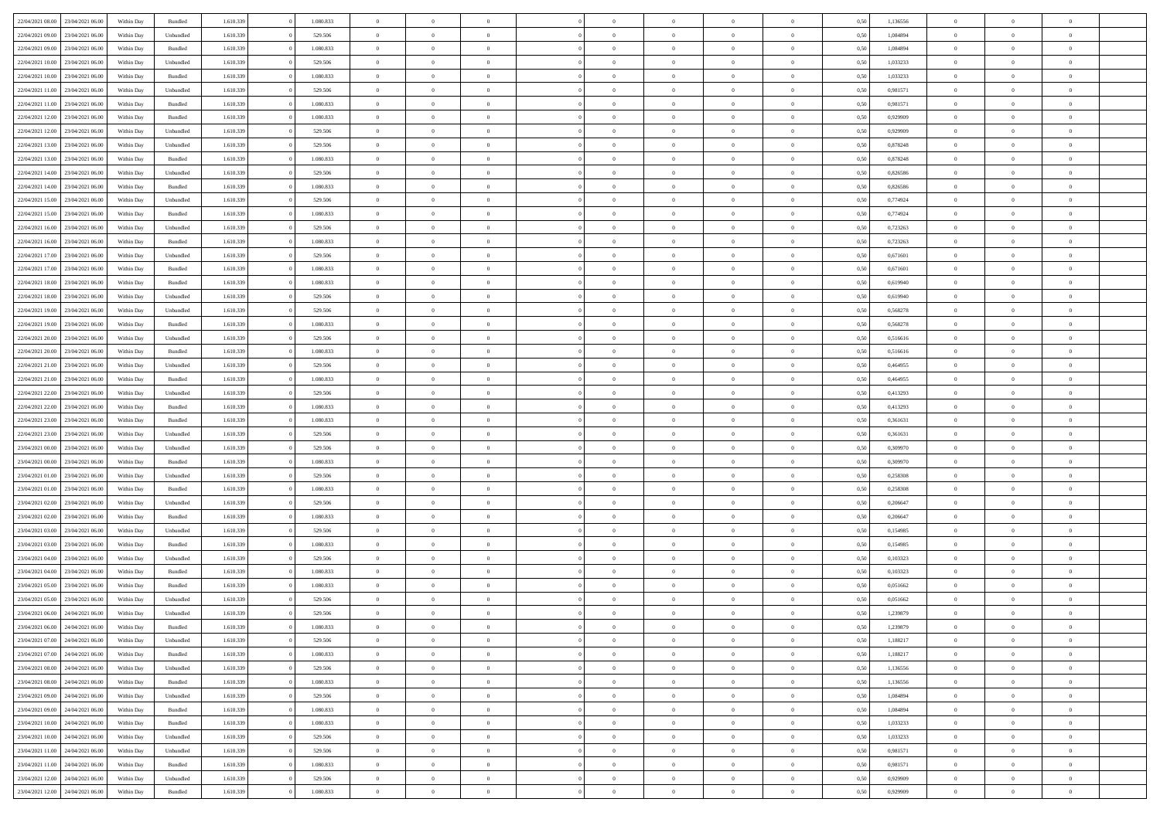| 22/04/2021 08:00 23/04/2021 06:00    | Within Day | Bundled   | 1.610.339 | 1.080.833 | $\overline{0}$ | $\overline{0}$ | $\Omega$       | $\Omega$       | $\theta$       | $\Omega$       | $\overline{0}$ | 0,50 | 1,136556 | $\theta$       | $\theta$       | $\theta$       |  |
|--------------------------------------|------------|-----------|-----------|-----------|----------------|----------------|----------------|----------------|----------------|----------------|----------------|------|----------|----------------|----------------|----------------|--|
| 22/04/2021 09:00<br>23/04/2021 06:00 | Within Day | Unbundled | 1.610.339 | 529.506   | $\overline{0}$ | $\overline{0}$ | $\overline{0}$ | $\overline{0}$ | $\theta$       | $\overline{0}$ | $\bf{0}$       | 0,50 | 1,084894 | $\theta$       | $\theta$       | $\overline{0}$ |  |
| 22/04/2021 09:00<br>23/04/2021 06:00 | Within Day | Bundled   | 1.610.339 | 1.080.833 | $\overline{0}$ | $\bf{0}$       | $\overline{0}$ | $\overline{0}$ | $\overline{0}$ | $\overline{0}$ | $\bf{0}$       | 0,50 | 1,084894 | $\bf{0}$       | $\overline{0}$ | $\overline{0}$ |  |
| 22/04/2021 10:00<br>23/04/2021 06:00 | Within Day | Unbundled | 1.610.339 | 529,506   | $\overline{0}$ | $\overline{0}$ | $\overline{0}$ | $\overline{0}$ | $\theta$       | $\overline{0}$ | $\overline{0}$ | 0.50 | 1,033233 | $\theta$       | $\theta$       | $\overline{0}$ |  |
| 22/04/2021 10:00<br>23/04/2021 06:00 | Within Day | Bundled   | 1.610.339 | 1.080.833 | $\overline{0}$ | $\overline{0}$ | $\overline{0}$ | $\overline{0}$ | $\theta$       | $\overline{0}$ | $\bf{0}$       | 0,50 | 1,033233 | $\theta$       | $\theta$       | $\overline{0}$ |  |
|                                      |            |           |           |           |                |                |                |                |                |                |                |      |          |                |                |                |  |
| 22/04/2021 11:00<br>23/04/2021 06:00 | Within Day | Unbundled | 1.610.339 | 529.506   | $\overline{0}$ | $\bf{0}$       | $\overline{0}$ | $\overline{0}$ | $\overline{0}$ | $\overline{0}$ | $\bf{0}$       | 0,50 | 0,981571 | $\overline{0}$ | $\overline{0}$ | $\bf{0}$       |  |
| 22/04/2021 11:00<br>23/04/2021 06:00 | Within Day | Bundled   | 1.610.339 | 1.080.833 | $\overline{0}$ | $\overline{0}$ | $\overline{0}$ | $\overline{0}$ | $\overline{0}$ | $\overline{0}$ | $\overline{0}$ | 0.5( | 0,981571 | $\theta$       | $\theta$       | $\overline{0}$ |  |
| 22/04/2021 12:00<br>23/04/2021 06:00 | Within Day | Bundled   | 1.610.339 | 1.080.833 | $\overline{0}$ | $\theta$       | $\overline{0}$ | $\overline{0}$ | $\theta$       | $\overline{0}$ | $\bf{0}$       | 0,50 | 0,929909 | $\theta$       | $\theta$       | $\overline{0}$ |  |
| 22/04/2021 12:00<br>23/04/2021 06:00 | Within Day | Unbundled | 1.610.339 | 529.506   | $\overline{0}$ | $\bf{0}$       | $\overline{0}$ | $\overline{0}$ | $\overline{0}$ | $\overline{0}$ | $\bf{0}$       | 0,50 | 0,929909 | $\bf{0}$       | $\bf{0}$       | $\overline{0}$ |  |
| 22/04/2021 13:00<br>23/04/2021 06:00 | Within Day | Unbundled | 1.610.339 | 529.506   | $\overline{0}$ | $\overline{0}$ | $\overline{0}$ | $\overline{0}$ | $\overline{0}$ | $\overline{0}$ | $\bf{0}$       | 0.50 | 0,878248 | $\theta$       | $\theta$       | $\overline{0}$ |  |
| 22/04/2021 13:00<br>23/04/2021 06:00 | Within Day | Bundled   | 1.610.339 | 1.080.833 | $\bf{0}$       | $\overline{0}$ | $\overline{0}$ | $\overline{0}$ | $\theta$       | $\overline{0}$ | $\bf{0}$       | 0,50 | 0,878248 | $\theta$       | $\theta$       | $\overline{0}$ |  |
| 22/04/2021 14:00<br>23/04/2021 06:00 | Within Day | Unbundled | 1.610.339 | 529.506   | $\overline{0}$ | $\bf{0}$       | $\overline{0}$ | $\overline{0}$ | $\bf{0}$       | $\overline{0}$ | $\bf{0}$       | 0,50 | 0,826586 | $\bf{0}$       | $\overline{0}$ | $\overline{0}$ |  |
| 22/04/2021 14:00<br>23/04/2021 06:00 | Within Day | Bundled   | 1.610.339 | 1.080.833 | $\overline{0}$ | $\overline{0}$ | $\overline{0}$ | $\overline{0}$ | $\overline{0}$ | $\overline{0}$ | $\overline{0}$ | 0.5( | 0.826586 | $\theta$       | $\theta$       | $\overline{0}$ |  |
| 22/04/2021 15:00<br>23/04/2021 06:00 | Within Day | Unbundled | 1.610.339 | 529.506   | $\overline{0}$ | $\overline{0}$ | $\overline{0}$ | $\overline{0}$ | $\theta$       | $\overline{0}$ | $\,$ 0 $\,$    | 0,50 | 0,774924 | $\theta$       | $\theta$       | $\overline{0}$ |  |
| 22/04/2021 15:00<br>23/04/2021 06:00 | Within Day | Bundled   | 1.610.339 | 1.080.833 | $\overline{0}$ | $\bf{0}$       | $\overline{0}$ | $\overline{0}$ | $\overline{0}$ | $\overline{0}$ | $\bf{0}$       | 0,50 | 0,774924 | $\bf{0}$       | $\overline{0}$ | $\bf{0}$       |  |
| 22/04/2021 16:00<br>23/04/2021 06:00 | Within Day | Unbundled | 1.610.339 | 529.506   | $\overline{0}$ | $\overline{0}$ | $\overline{0}$ | $\overline{0}$ | $\overline{0}$ | $\overline{0}$ | $\overline{0}$ | 0.5( | 0,723263 | $\overline{0}$ | $\overline{0}$ | $\overline{0}$ |  |
| 22/04/2021 16:00<br>23/04/2021 06:00 | Within Day | Bundled   | 1.610.339 | 1.080.833 | $\overline{0}$ | $\overline{0}$ | $\overline{0}$ | $\overline{0}$ | $\theta$       | $\overline{0}$ | $\bf{0}$       | 0,50 | 0,723263 | $\theta$       | $\theta$       | $\overline{0}$ |  |
| 22/04/2021 17:00<br>23/04/2021 06:00 | Within Day | Unbundled | 1.610.339 | 529.506   | $\overline{0}$ | $\bf{0}$       | $\overline{0}$ | $\overline{0}$ | $\overline{0}$ | $\overline{0}$ | $\bf{0}$       | 0,50 | 0,671601 | $\bf{0}$       | $\overline{0}$ | $\overline{0}$ |  |
|                                      |            |           |           |           |                | $\overline{0}$ |                |                | $\overline{0}$ |                |                |      |          | $\theta$       | $\theta$       | $\overline{0}$ |  |
| 22/04/2021 17:00<br>23/04/2021 06:00 | Within Day | Bundled   | 1.610.339 | 1.080.833 | $\overline{0}$ |                | $\overline{0}$ | $\overline{0}$ |                | $\overline{0}$ | $\overline{0}$ | 0.50 | 0,671601 |                |                |                |  |
| 22/04/2021 18:00<br>23/04/2021 06:00 | Within Day | Bundled   | 1.610.339 | 1.080.833 | $\bf{0}$       | $\overline{0}$ | $\overline{0}$ | $\overline{0}$ | $\theta$       | $\overline{0}$ | $\bf{0}$       | 0,50 | 0,619940 | $\theta$       | $\theta$       | $\overline{0}$ |  |
| 22/04/2021 18:00<br>23/04/2021 06:00 | Within Day | Unbundled | 1.610.339 | 529.506   | $\overline{0}$ | $\bf{0}$       | $\overline{0}$ | $\overline{0}$ | $\overline{0}$ | $\overline{0}$ | $\bf{0}$       | 0,50 | 0,619940 | $\bf{0}$       | $\overline{0}$ | $\overline{0}$ |  |
| 22/04/2021 19:00<br>23/04/2021 06:00 | Within Day | Unbundled | 1.610.339 | 529,506   | $\overline{0}$ | $\overline{0}$ | $\overline{0}$ | $\overline{0}$ | $\overline{0}$ | $\overline{0}$ | $\overline{0}$ | 0.50 | 0,568278 | $\theta$       | $\theta$       | $\overline{0}$ |  |
| 22/04/2021 19:00<br>23/04/2021 06:00 | Within Day | Bundled   | 1.610.339 | 1.080.833 | $\overline{0}$ | $\overline{0}$ | $\overline{0}$ | $\overline{0}$ | $\theta$       | $\overline{0}$ | $\bf{0}$       | 0,50 | 0,568278 | $\theta$       | $\theta$       | $\overline{0}$ |  |
| 22/04/2021 20:00<br>23/04/2021 06.00 | Within Day | Unbundled | 1.610.339 | 529.506   | $\overline{0}$ | $\bf{0}$       | $\overline{0}$ | $\overline{0}$ | $\overline{0}$ | $\overline{0}$ | $\bf{0}$       | 0,50 | 0,516616 | $\overline{0}$ | $\overline{0}$ | $\bf{0}$       |  |
| 22/04/2021 20:00<br>23/04/2021 06:00 | Within Day | Bundled   | 1.610.339 | 1.080.833 | $\overline{0}$ | $\overline{0}$ | $\overline{0}$ | $\overline{0}$ | $\overline{0}$ | $\overline{0}$ | $\overline{0}$ | 0.5( | 0.516616 | $\overline{0}$ | $\theta$       | $\overline{0}$ |  |
| 22/04/2021 21:00<br>23/04/2021 06:00 | Within Day | Unbundled | 1.610.339 | 529.506   | $\bf{0}$       | $\overline{0}$ | $\overline{0}$ | $\overline{0}$ | $\theta$       | $\overline{0}$ | $\bf{0}$       | 0,50 | 0,464955 | $\theta$       | $\theta$       | $\overline{0}$ |  |
| 22/04/2021 21:00<br>23/04/2021 06:00 | Within Day | Bundled   | 1.610.339 | 1.080.833 | $\overline{0}$ | $\bf{0}$       | $\overline{0}$ | $\overline{0}$ | $\overline{0}$ | $\overline{0}$ | $\bf{0}$       | 0,50 | 0,464955 | $\bf{0}$       | $\bf{0}$       | $\overline{0}$ |  |
| 22/04/2021 22:00<br>23/04/2021 06:00 | Within Day | Unbundled | 1.610.339 | 529.506   | $\overline{0}$ | $\overline{0}$ | $\overline{0}$ | $\overline{0}$ | $\overline{0}$ | $\overline{0}$ | $\overline{0}$ | 0.5( | 0,413293 | $\theta$       | $\theta$       | $\overline{0}$ |  |
| 22/04/2021 22:00<br>23/04/2021 06:00 | Within Day | Bundled   | 1.610.339 | 1.080.833 | $\bf{0}$       | $\overline{0}$ | $\overline{0}$ | $\overline{0}$ | $\theta$       | $\overline{0}$ | $\bf{0}$       | 0,50 | 0,413293 | $\,$ 0 $\,$    | $\theta$       | $\overline{0}$ |  |
| 22/04/2021 23:00<br>23/04/2021 06:00 | Within Day | Bundled   | 1.610.339 | 1.080.833 | $\overline{0}$ | $\bf{0}$       | $\overline{0}$ | $\overline{0}$ | $\bf{0}$       | $\overline{0}$ | $\bf{0}$       | 0,50 | 0,361631 | $\bf{0}$       | $\overline{0}$ | $\overline{0}$ |  |
| 22/04/2021 23:00<br>23/04/2021 06.00 | Within Day | Unbundled | 1.610.339 | 529.506   | $\overline{0}$ | $\overline{0}$ | $\Omega$       | $\Omega$       | $\Omega$       | $\Omega$       | $\overline{0}$ | 0.50 | 0,361631 | $\,$ 0 $\,$    | $\Omega$       | $\theta$       |  |
| 23/04/2021 00:00<br>23/04/2021 06:00 | Within Day | Unbundled | 1.610.339 | 529.506   | $\bf{0}$       | $\overline{0}$ | $\overline{0}$ | $\overline{0}$ | $\theta$       | $\overline{0}$ | $\bf{0}$       | 0,50 | 0,309970 | $\theta$       | $\theta$       | $\overline{0}$ |  |
|                                      |            |           |           |           |                |                |                |                |                |                |                |      |          |                |                |                |  |
| 23/04/2021 00:00<br>23/04/2021 06:00 | Within Day | Bundled   | 1.610.339 | 1.080.833 | $\overline{0}$ | $\bf{0}$       | $\overline{0}$ | $\overline{0}$ | $\overline{0}$ | $\overline{0}$ | $\bf{0}$       | 0,50 | 0,309970 | $\overline{0}$ | $\overline{0}$ | $\bf{0}$       |  |
| 23/04/2021 01:00<br>23/04/2021 06:00 | Within Day | Unbundled | 1.610.339 | 529.506   | $\overline{0}$ | $\overline{0}$ | $\Omega$       | $\Omega$       | $\overline{0}$ | $\Omega$       | $\overline{0}$ | 0.50 | 0,258308 | $\bf{0}$       | $\overline{0}$ | $\theta$       |  |
| 23/04/2021 01:00<br>23/04/2021 06:00 | Within Day | Bundled   | 1.610.339 | 1.080.833 | $\bf{0}$       | $\overline{0}$ | $\overline{0}$ | $\overline{0}$ | $\theta$       | $\overline{0}$ | $\bf{0}$       | 0,50 | 0,258308 | $\theta$       | $\theta$       | $\overline{0}$ |  |
| 23/04/2021 02:00<br>23/04/2021 06.00 | Within Day | Unbundled | 1.610.339 | 529.506   | $\overline{0}$ | $\bf{0}$       | $\overline{0}$ | $\overline{0}$ | $\overline{0}$ | $\bf{0}$       | $\bf{0}$       | 0,50 | 0,206647 | $\bf{0}$       | $\overline{0}$ | $\overline{0}$ |  |
| 23/04/2021 02:00<br>23/04/2021 06:00 | Within Day | Bundled   | 1.610.339 | 1.080.833 | $\overline{0}$ | $\overline{0}$ | $\Omega$       | $\Omega$       | $\Omega$       | $\Omega$       | $\overline{0}$ | 0.50 | 0.206647 | $\theta$       | $\Omega$       | $\theta$       |  |
| 23/04/2021 03:00<br>23/04/2021 06:00 | Within Day | Unbundled | 1.610.339 | 529.506   | $\bf{0}$       | $\overline{0}$ | $\overline{0}$ | $\overline{0}$ | $\theta$       | $\overline{0}$ | $\bf{0}$       | 0,50 | 0,154985 | $\theta$       | $\theta$       | $\overline{0}$ |  |
| 23/04/2021 03:00<br>23/04/2021 06:00 | Within Day | Bundled   | 1.610.339 | 1.080.833 | $\overline{0}$ | $\bf{0}$       | $\overline{0}$ | $\overline{0}$ | $\overline{0}$ | $\overline{0}$ | $\bf{0}$       | 0,50 | 0,154985 | $\bf{0}$       | $\overline{0}$ | $\overline{0}$ |  |
| 23/04/2021 04:00<br>23/04/2021 06.00 | Within Day | Unbundled | 1.610.339 | 529.506   | $\overline{0}$ | $\overline{0}$ | $\overline{0}$ | $\Omega$       | $\theta$       | $\Omega$       | $\overline{0}$ | 0.50 | 0,103323 | $\bf{0}$       | $\overline{0}$ | $\theta$       |  |
| 23/04/2021 04:00<br>23/04/2021 06:00 | Within Day | Bundled   | 1.610.339 | 1.080.833 | $\bf{0}$       | $\overline{0}$ | $\overline{0}$ | $\overline{0}$ | $\theta$       | $\overline{0}$ | $\bf{0}$       | 0,50 | 0,103323 | $\,$ 0 $\,$    | $\theta$       | $\overline{0}$ |  |
| 23/04/2021 05:00<br>23/04/2021 06.00 | Within Day | Bundled   | 1.610.339 | 1.080.833 | $\overline{0}$ | $\bf{0}$       | $\overline{0}$ | $\overline{0}$ | $\bf{0}$       | $\overline{0}$ | $\bf{0}$       | 0,50 | 0,051662 | $\overline{0}$ | $\overline{0}$ | $\bf{0}$       |  |
| 23/04/2021 05:00<br>23/04/2021 06:00 | Within Day | Unbundled | 1.610.339 | 529.506   | $\overline{0}$ | $\Omega$       | $\Omega$       | $\Omega$       | $\Omega$       | $\theta$       | $\overline{0}$ | 0.50 | 0.051662 | $\theta$       | $\overline{0}$ | $\theta$       |  |
| 23/04/2021 06:00<br>24/04/2021 06:00 | Within Day | Unbundled | 1.610.339 | 529.506   | $\bf{0}$       | $\bf{0}$       | $\overline{0}$ | $\overline{0}$ | $\overline{0}$ | $\bf{0}$       | $\bf{0}$       | 0,50 | 1,239879 | $\bf{0}$       | $\bf{0}$       | $\overline{0}$ |  |
| 23/04/2021 06:00 24/04/2021 06:00    | Within Day | Bundled   | 1.610.339 | 1.080.833 | $\bf{0}$       | $\bf{0}$       |                |                |                |                |                | 0,50 | 1,239879 | $\bf{0}$       | $\bf{0}$       |                |  |
| 23/04/2021 07:00 24/04/2021 06:00    | Within Day |           | 1.610.339 |           | $\Omega$       | $\overline{0}$ | $\Omega$       | $\theta$       | $\overline{0}$ | $\theta$       | $\overline{0}$ |      |          | $\theta$       | $\theta$       | $\Omega$       |  |
|                                      |            | Unbundled |           | 529.506   |                | $\overline{0}$ |                |                | $\,$ 0 $\,$    |                |                | 0,50 | 1,188217 | $\,$ 0 $\,$    | $\,$ 0 $\,$    | $\,$ 0         |  |
| 23/04/2021 07:00<br>24/04/2021 06:00 | Within Day | Bundled   | 1.610.339 | 1.080.833 | $\overline{0}$ |                | $\overline{0}$ | $\overline{0}$ |                | $\overline{0}$ | $\,$ 0 $\,$    | 0,50 | 1,188217 |                |                |                |  |
| 23/04/2021 08:00 24/04/2021 06:00    | Within Day | Unbundled | 1.610.339 | 529.506   | $\overline{0}$ | $\overline{0}$ | $\overline{0}$ | $\overline{0}$ | $\overline{0}$ | $\overline{0}$ | $\bf{0}$       | 0,50 | 1,136556 | $\overline{0}$ | $\bf{0}$       | $\overline{0}$ |  |
| 24/04/2021 06:00<br>23/04/2021 08:00 | Within Day | Bundled   | 1.610.339 | 1.080.833 | $\overline{0}$ | $\bf{0}$       | $\overline{0}$ | $\overline{0}$ | $\overline{0}$ | $\overline{0}$ | $\bf{0}$       | 0,50 | 1,136556 | $\bf{0}$       | $\theta$       | $\overline{0}$ |  |
| 23/04/2021 09:00<br>24/04/2021 06:00 | Within Day | Unbundled | 1.610.339 | 529.506   | $\overline{0}$ | $\overline{0}$ | $\overline{0}$ | $\overline{0}$ | $\overline{0}$ | $\overline{0}$ | $\bf{0}$       | 0,50 | 1,084894 | $\,$ 0 $\,$    | $\,$ 0 $\,$    | $\overline{0}$ |  |
| 23/04/2021 09:00<br>24/04/2021 06:00 | Within Day | Bundled   | 1.610.339 | 1.080.833 | $\overline{0}$ | $\overline{0}$ | $\overline{0}$ | $\overline{0}$ | $\mathbf{0}$   | $\overline{0}$ | $\bf{0}$       | 0,50 | 1,084894 | $\overline{0}$ | $\overline{0}$ | $\overline{0}$ |  |
| 24/04/2021 06:00<br>23/04/2021 10:00 | Within Day | Bundled   | 1.610.339 | 1.080.833 | $\overline{0}$ | $\bf{0}$       | $\overline{0}$ | $\overline{0}$ | $\overline{0}$ | $\overline{0}$ | $\bf{0}$       | 0.50 | 1,033233 | $\overline{0}$ | $\theta$       | $\overline{0}$ |  |
| 23/04/2021 10:00<br>24/04/2021 06:00 | Within Day | Unbundled | 1.610.339 | 529.506   | $\overline{0}$ | $\overline{0}$ | $\overline{0}$ | $\overline{0}$ | $\overline{0}$ | $\overline{0}$ | $\bf{0}$       | 0,50 | 1,033233 | $\,$ 0 $\,$    | $\,$ 0 $\,$    | $\overline{0}$ |  |
| 23/04/2021 11:00 24/04/2021 06:00    | Within Day | Unbundled | 1.610.339 | 529.506   | $\overline{0}$ | $\bf{0}$       | $\overline{0}$ | $\overline{0}$ | $\overline{0}$ | $\overline{0}$ | $\bf{0}$       | 0,50 | 0,981571 | $\bf{0}$       | $\overline{0}$ | $\bf{0}$       |  |
| 23/04/2021 11:00 24/04/2021 06:00    | Within Day | Bundled   | 1.610.339 | 1.080.833 | $\overline{0}$ | $\overline{0}$ | $\overline{0}$ | $\overline{0}$ | $\overline{0}$ | $\overline{0}$ | $\bf{0}$       | 0.50 | 0,981571 | $\overline{0}$ | $\theta$       | $\overline{0}$ |  |
| 23/04/2021 12:00<br>24/04/2021 06:00 | Within Day | Unbundled | 1.610.339 | 529.506   | $\overline{0}$ | $\,$ 0         | $\overline{0}$ | $\overline{0}$ | $\bf{0}$       | $\overline{0}$ | $\bf{0}$       | 0,50 | 0,929909 | $\,$ 0 $\,$    | $\,$ 0 $\,$    | $\bf{0}$       |  |
| 23/04/2021 12:00 24/04/2021 06:00    | Within Day | Bundled   | 1.610.339 | 1.080.833 | $\overline{0}$ | $\bf{0}$       | $\overline{0}$ | $\overline{0}$ | $\overline{0}$ | $\overline{0}$ | $\bf{0}$       | 0,50 | 0,929909 | $\overline{0}$ | $\bf{0}$       | $\overline{0}$ |  |
|                                      |            |           |           |           |                |                |                |                |                |                |                |      |          |                |                |                |  |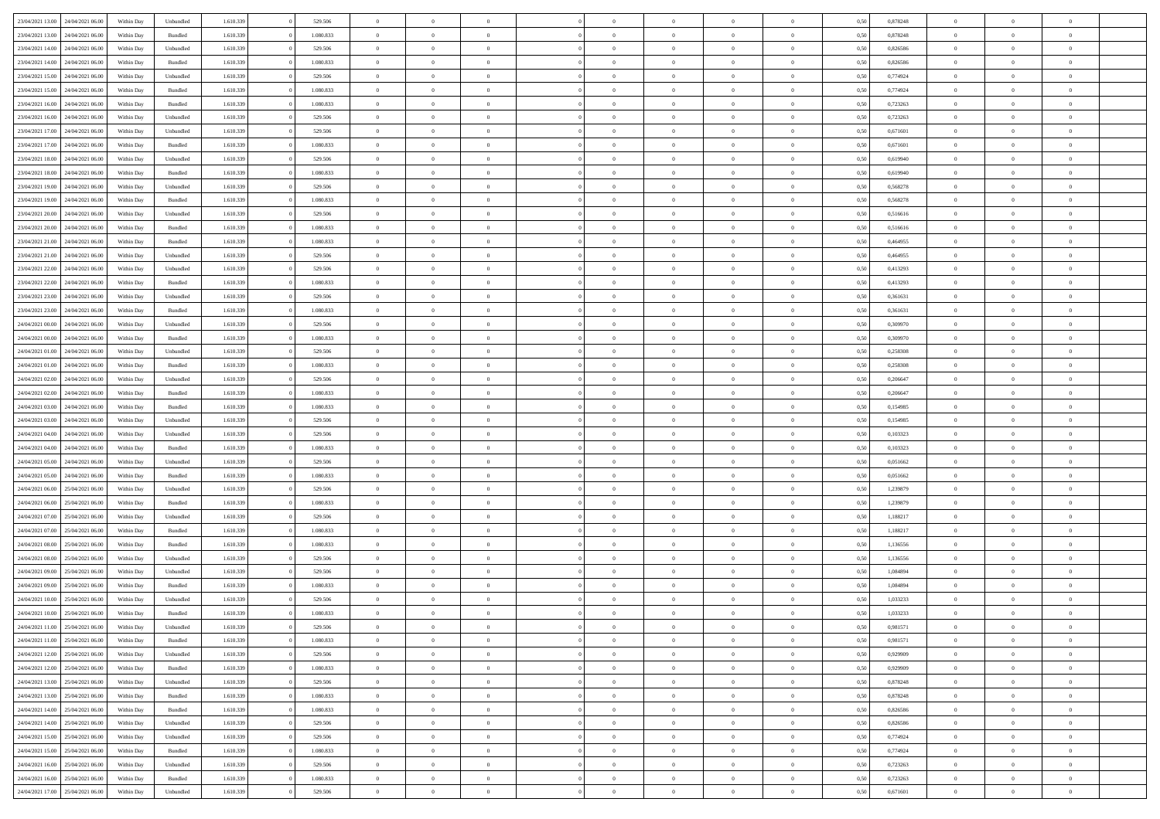|                                   |                  |            |           |           |           | $\overline{0}$ | $\Omega$       |                |                | $\Omega$       | $\Omega$       | $\theta$       |      |          | $\theta$       |                | $\theta$       |  |
|-----------------------------------|------------------|------------|-----------|-----------|-----------|----------------|----------------|----------------|----------------|----------------|----------------|----------------|------|----------|----------------|----------------|----------------|--|
| 23/04/2021 13:00                  | 24/04/2021 06:00 | Within Dav | Unbundled | 1.610.339 | 529.506   |                |                |                | $\Omega$       |                |                |                | 0.50 | 0,878248 |                | $\theta$       |                |  |
| 23/04/2021 13:00                  | 24/04/2021 06.00 | Within Day | Bundled   | 1.610.339 | 1.080.833 | $\overline{0}$ | $\theta$       | $\overline{0}$ | $\overline{0}$ | $\bf{0}$       | $\overline{0}$ | $\bf{0}$       | 0,50 | 0,878248 | $\theta$       | $\theta$       | $\overline{0}$ |  |
| 23/04/2021 14:00                  | 24/04/2021 06.00 | Within Day | Unbundled | 1.610.339 | 529.506   | $\overline{0}$ | $\overline{0}$ | $\overline{0}$ | $\bf{0}$       | $\bf{0}$       | $\bf{0}$       | $\mathbf{0}$   | 0,50 | 0,826586 | $\bf{0}$       | $\overline{0}$ | $\overline{0}$ |  |
| 23/04/2021 14:00                  | 24/04/2021 06:00 | Within Dav | Bundled   | 1.610.339 | 1.080.833 | $\overline{0}$ | $\overline{0}$ | $\overline{0}$ | $\overline{0}$ | $\bf{0}$       | $\overline{0}$ | $\overline{0}$ | 0.50 | 0.826586 | $\theta$       | $\theta$       | $\overline{0}$ |  |
|                                   |                  |            |           |           |           |                |                |                |                |                |                |                |      |          |                |                |                |  |
| 23/04/2021 15:00                  | 24/04/2021 06.00 | Within Day | Unbundled | 1.610.339 | 529.506   | $\overline{0}$ | $\theta$       | $\overline{0}$ | $\overline{0}$ | $\bf{0}$       | $\overline{0}$ | $\bf{0}$       | 0,50 | 0,774924 | $\theta$       | $\theta$       | $\overline{0}$ |  |
| 23/04/2021 15:00                  | 24/04/2021 06.00 | Within Day | Bundled   | 1.610.339 | 1.080.833 | $\overline{0}$ | $\bf{0}$       | $\overline{0}$ | $\bf{0}$       | $\overline{0}$ | $\overline{0}$ | $\mathbf{0}$   | 0,50 | 0,774924 | $\bf{0}$       | $\overline{0}$ | $\bf{0}$       |  |
| 23/04/2021 16:00                  | 24/04/2021 06.00 | Within Dav | Bundled   | 1.610.339 | 1.080.833 | $\overline{0}$ | $\overline{0}$ | $\overline{0}$ | $\overline{0}$ | $\overline{0}$ | $\overline{0}$ | $\overline{0}$ | 0.50 | 0,723263 | $\theta$       | $\overline{0}$ | $\overline{0}$ |  |
| 23/04/2021 16:00                  | 24/04/2021 06.00 | Within Day | Unbundled | 1.610.339 | 529.506   | $\overline{0}$ | $\theta$       | $\overline{0}$ | $\overline{0}$ | $\bf{0}$       | $\overline{0}$ | $\bf{0}$       | 0,50 | 0,723263 | $\theta$       | $\theta$       | $\overline{0}$ |  |
|                                   |                  |            |           |           |           |                | $\overline{0}$ |                |                | $\bf{0}$       |                |                |      |          | $\,0\,$        | $\overline{0}$ | $\overline{0}$ |  |
| 23/04/2021 17:00                  | 24/04/2021 06.00 | Within Day | Unbundled | 1.610.339 | 529.506   | $\overline{0}$ |                | $\overline{0}$ | $\bf{0}$       |                | $\bf{0}$       | $\bf{0}$       | 0,50 | 0,671601 |                |                |                |  |
| 23/04/2021 17:00                  | 24/04/2021 06.00 | Within Dav | Bundled   | 1.610.339 | 1.080.833 | $\overline{0}$ | $\overline{0}$ | $\overline{0}$ | $\overline{0}$ | $\overline{0}$ | $\overline{0}$ | $\overline{0}$ | 0.50 | 0,671601 | $\theta$       | $\overline{0}$ | $\overline{0}$ |  |
| 23/04/2021 18:00                  | 24/04/2021 06.00 | Within Day | Unbundled | 1.610.339 | 529.506   | $\overline{0}$ | $\theta$       | $\overline{0}$ | $\overline{0}$ | $\bf{0}$       | $\overline{0}$ | $\bf{0}$       | 0,50 | 0,619940 | $\,$ 0 $\,$    | $\overline{0}$ | $\overline{0}$ |  |
| 23/04/2021 18:00                  | 24/04/2021 06.00 | Within Day | Bundled   | 1.610.339 | 1.080.833 | $\overline{0}$ | $\overline{0}$ | $\overline{0}$ | $\bf{0}$       | $\bf{0}$       | $\bf{0}$       | $\mathbf{0}$   | 0,50 | 0,619940 | $\bf{0}$       | $\overline{0}$ | $\overline{0}$ |  |
| 23/04/2021 19:00                  | 24/04/2021 06:00 | Within Day | Unbundled | 1.610.339 | 529.506   | $\overline{0}$ | $\overline{0}$ | $\overline{0}$ | $\overline{0}$ | $\bf{0}$       | $\overline{0}$ | $\overline{0}$ | 0.50 | 0,568278 | $\theta$       | $\theta$       | $\overline{0}$ |  |
|                                   |                  |            |           |           |           | $\overline{0}$ | $\theta$       | $\overline{0}$ | $\overline{0}$ | $\bf{0}$       | $\overline{0}$ |                |      |          | $\theta$       | $\theta$       | $\overline{0}$ |  |
| 23/04/2021 19:00                  | 24/04/2021 06.00 | Within Day | Bundled   | 1.610.339 | 1.080.833 |                |                |                |                |                |                | $\bf{0}$       | 0,50 | 0,568278 |                |                |                |  |
| 23/04/2021 20:00                  | 24/04/2021 06.00 | Within Day | Unbundled | 1.610.339 | 529.506   | $\overline{0}$ | $\overline{0}$ | $\overline{0}$ | $\bf{0}$       | $\overline{0}$ | $\overline{0}$ | $\mathbf{0}$   | 0,50 | 0,516616 | $\bf{0}$       | $\overline{0}$ | $\bf{0}$       |  |
| 23/04/2021 20:00                  | 24/04/2021 06:00 | Within Dav | Bundled   | 1.610.339 | 1.080.833 | $\overline{0}$ | $\overline{0}$ | $\overline{0}$ | $\overline{0}$ | $\overline{0}$ | $\overline{0}$ | $\overline{0}$ | 0.50 | 0,516616 | $\theta$       | $\overline{0}$ | $\overline{0}$ |  |
| 23/04/2021 21:00                  | 24/04/2021 06.00 | Within Day | Bundled   | 1.610.339 | 1.080.833 | $\overline{0}$ | $\theta$       | $\overline{0}$ | $\overline{0}$ | $\bf{0}$       | $\overline{0}$ | $\bf{0}$       | 0,50 | 0,464955 | $\theta$       | $\theta$       | $\overline{0}$ |  |
| 23/04/2021 21:00                  | 24/04/2021 06.00 | Within Day | Unbundled | 1.610.339 | 529.506   | $\overline{0}$ | $\overline{0}$ | $\overline{0}$ | $\bf{0}$       | $\bf{0}$       | $\bf{0}$       | $\mathbf{0}$   | 0,50 | 0,464955 | $\,0\,$        | $\overline{0}$ | $\overline{0}$ |  |
|                                   |                  |            |           |           |           |                |                |                |                |                |                |                |      |          |                |                |                |  |
| 23/04/2021 22:00                  | 24/04/2021 06.00 | Within Day | Unbundled | 1.610.339 | 529.506   | $\overline{0}$ | $\overline{0}$ | $\overline{0}$ | $\overline{0}$ | $\overline{0}$ | $\overline{0}$ | $\overline{0}$ | 0.50 | 0,413293 | $\theta$       | $\overline{0}$ | $\overline{0}$ |  |
| 23/04/2021 22:00                  | 24/04/2021 06.00 | Within Day | Bundled   | 1.610.339 | 1.080.833 | $\overline{0}$ | $\theta$       | $\overline{0}$ | $\overline{0}$ | $\bf{0}$       | $\overline{0}$ | $\bf{0}$       | 0,50 | 0,413293 | $\,$ 0 $\,$    | $\theta$       | $\overline{0}$ |  |
| 23/04/2021 23:00                  | 24/04/2021 06.00 | Within Day | Unbundled | 1.610.339 | 529.506   | $\overline{0}$ | $\overline{0}$ | $\overline{0}$ | $\bf{0}$       | $\bf{0}$       | $\bf{0}$       | $\bf{0}$       | 0,50 | 0,361631 | $\bf{0}$       | $\overline{0}$ | $\overline{0}$ |  |
| 23/04/2021 23:00                  | 24/04/2021 06:00 | Within Day | Bundled   | 1.610.339 | 1.080.833 | $\overline{0}$ | $\overline{0}$ | $\overline{0}$ | $\overline{0}$ | $\bf{0}$       | $\overline{0}$ | $\overline{0}$ | 0.50 | 0.361631 | $\theta$       | $\theta$       | $\overline{0}$ |  |
| 24/04/2021 00:00                  | 24/04/2021 06.00 | Within Day | Unbundled | 1.610.339 | 529.506   | $\overline{0}$ | $\theta$       | $\overline{0}$ | $\overline{0}$ | $\bf{0}$       | $\overline{0}$ | $\bf{0}$       | 0,50 | 0,309970 | $\,$ 0 $\,$    | $\overline{0}$ | $\overline{0}$ |  |
|                                   |                  |            |           |           |           |                |                |                |                |                |                |                |      |          |                |                |                |  |
| 24/04/2021 00:00                  | 24/04/2021 06.00 | Within Day | Bundled   | 1.610.339 | 1.080.833 | $\overline{0}$ | $\overline{0}$ | $\overline{0}$ | $\overline{0}$ | $\overline{0}$ | $\overline{0}$ | $\mathbf{0}$   | 0,50 | 0,309970 | $\bf{0}$       | $\overline{0}$ | $\bf{0}$       |  |
| 24/04/2021 01:00                  | 24/04/2021 06.00 | Within Dav | Unbundled | 1.610.339 | 529.506   | $\overline{0}$ | $\overline{0}$ | $\overline{0}$ | $\overline{0}$ | $\overline{0}$ | $\overline{0}$ | $\overline{0}$ | 0.50 | 0,258308 | $\theta$       | $\overline{0}$ | $\overline{0}$ |  |
| 24/04/2021 01:00                  | 24/04/2021 06.00 | Within Day | Bundled   | 1.610.339 | 1.080.833 | $\overline{0}$ | $\theta$       | $\overline{0}$ | $\overline{0}$ | $\bf{0}$       | $\overline{0}$ | $\bf{0}$       | 0,50 | 0,258308 | $\theta$       | $\theta$       | $\overline{0}$ |  |
| 24/04/2021 02:00                  | 24/04/2021 06.00 | Within Day | Unbundled | 1.610.339 | 529.506   | $\overline{0}$ | $\overline{0}$ | $\overline{0}$ | $\overline{0}$ | $\bf{0}$       | $\overline{0}$ | $\bf{0}$       | 0,50 | 0,206647 | $\,0\,$        | $\overline{0}$ | $\overline{0}$ |  |
|                                   | 24/04/2021 06.00 |            | Bundled   | 1.610.339 | 1.080.833 | $\overline{0}$ | $\overline{0}$ | $\overline{0}$ | $\overline{0}$ | $\overline{0}$ | $\overline{0}$ | $\overline{0}$ | 0.50 | 0.206647 | $\theta$       | $\overline{0}$ | $\overline{0}$ |  |
| 24/04/2021 02.00                  |                  | Within Day |           |           |           |                |                |                |                |                |                |                |      |          |                |                |                |  |
| 24/04/2021 03:00                  | 24/04/2021 06.00 | Within Day | Bundled   | 1.610.339 | 1.080.833 | $\overline{0}$ | $\theta$       | $\overline{0}$ | $\overline{0}$ | $\bf{0}$       | $\overline{0}$ | $\bf{0}$       | 0,50 | 0,154985 | $\,$ 0 $\,$    | $\overline{0}$ | $\overline{0}$ |  |
| 24/04/2021 03:00                  | 24/04/2021 06.00 | Within Day | Unbundled | 1.610.339 | 529.506   | $\overline{0}$ | $\overline{0}$ | $\overline{0}$ | $\overline{0}$ | $\bf{0}$       | $\overline{0}$ | $\bf{0}$       | 0,50 | 0,154985 | $\bf{0}$       | $\overline{0}$ | $\overline{0}$ |  |
| 24/04/2021 04:00                  | 24/04/2021 06.00 | Within Day | Unbundled | 1.610.339 | 529.506   | $\overline{0}$ | $\Omega$       | $\overline{0}$ | $\Omega$       | $\Omega$       | $\overline{0}$ | $\overline{0}$ | 0.50 | 0,103323 | $\,0\,$        | $\theta$       | $\theta$       |  |
| 24/04/2021 04:00                  | 24/04/2021 06.00 | Within Day | Bundled   | 1.610.339 | 1.080.833 | $\overline{0}$ | $\theta$       | $\overline{0}$ | $\overline{0}$ | $\bf{0}$       | $\overline{0}$ | $\bf{0}$       | 0,50 | 0,103323 | $\theta$       | $\theta$       | $\overline{0}$ |  |
|                                   |                  |            |           |           |           |                |                |                |                |                |                |                |      |          |                |                |                |  |
| 24/04/2021 05:00                  | 24/04/2021 06.00 | Within Day | Unbundled | 1.610.339 | 529.506   | $\overline{0}$ | $\overline{0}$ | $\overline{0}$ | $\bf{0}$       | $\bf{0}$       | $\overline{0}$ | $\mathbf{0}$   | 0,50 | 0,051662 | $\bf{0}$       | $\overline{0}$ | $\bf{0}$       |  |
| 24/04/2021 05:00                  | 24/04/2021 06:00 | Within Day | Bundled   | 1.610.339 | 1.080.833 | $\overline{0}$ | $\Omega$       | $\Omega$       | $\Omega$       | $\bf{0}$       | $\overline{0}$ | $\overline{0}$ | 0.50 | 0.051662 | $\,0\,$        | $\theta$       | $\theta$       |  |
| 24/04/2021 06:00                  | 25/04/2021 06:00 | Within Day | Unbundled | 1.610.339 | 529.506   | $\overline{0}$ | $\theta$       | $\overline{0}$ | $\overline{0}$ | $\bf{0}$       | $\overline{0}$ | $\bf{0}$       | 0,50 | 1,239879 | $\,$ 0 $\,$    | $\theta$       | $\overline{0}$ |  |
| 24/04/2021 06:00                  | 25/04/2021 06:00 | Within Day | Bundled   | 1.610.339 | 1.080.833 | $\overline{0}$ | $\overline{0}$ | $\overline{0}$ | $\bf{0}$       | $\bf{0}$       | $\bf{0}$       | $\bf{0}$       | 0,50 | 1,239879 | $\bf{0}$       | $\overline{0}$ | $\overline{0}$ |  |
| 24/04/2021 07:00                  | 25/04/2021 06:00 | Within Day | Unbundled | 1.610.339 | 529.506   | $\overline{0}$ | $\Omega$       | $\overline{0}$ | $\Omega$       | $\theta$       | $\overline{0}$ | $\overline{0}$ | 0.50 | 1,188217 | $\,$ 0 $\,$    | $\theta$       | $\theta$       |  |
|                                   |                  |            |           |           |           |                |                |                |                |                |                |                |      |          |                |                |                |  |
| 24/04/2021 07:00                  | 25/04/2021 06:00 | Within Day | Bundled   | 1.610.339 | 1.080.833 | $\overline{0}$ | $\theta$       | $\overline{0}$ | $\overline{0}$ | $\,$ 0         | $\overline{0}$ | $\bf{0}$       | 0,50 | 1,188217 | $\,$ 0 $\,$    | $\overline{0}$ | $\overline{0}$ |  |
| 24/04/2021 08:00                  | 25/04/2021 06:00 | Within Day | Bundled   | 1.610.339 | 1.080.833 | $\overline{0}$ | $\overline{0}$ | $\overline{0}$ | $\bf{0}$       | $\bf{0}$       | $\bf{0}$       | $\mathbf{0}$   | 0,50 | 1,136556 | $\bf{0}$       | $\overline{0}$ | $\overline{0}$ |  |
| 24/04/2021 08:00                  | 25/04/2021 06.00 | Within Day | Unbundled | 1.610.339 | 529.506   | $\overline{0}$ | $\Omega$       | $\overline{0}$ | $\Omega$       | $\overline{0}$ | $\overline{0}$ | $\overline{0}$ | 0.50 | 1,136556 | $\,0\,$        | $\theta$       | $\theta$       |  |
| 24/04/2021 09:00                  | 25/04/2021 06:00 | Within Day | Unbundled | 1.610.339 | 529.506   | $\overline{0}$ | $\theta$       | $\overline{0}$ | $\overline{0}$ | $\,$ 0         | $\overline{0}$ | $\bf{0}$       | 0,50 | 1,084894 | $\,$ 0 $\,$    | $\overline{0}$ | $\overline{0}$ |  |
| 24/04/2021 09:00                  | 25/04/2021 06:00 | Within Day | Bundled   | 1.610.339 | 1.080.833 | $\overline{0}$ | $\overline{0}$ | $\overline{0}$ | $\bf{0}$       | $\bf{0}$       | $\bf{0}$       | $\mathbf{0}$   | 0,50 | 1,084894 | $\bf{0}$       | $\overline{0}$ | $\bf{0}$       |  |
|                                   |                  |            |           |           |           |                |                |                |                |                |                |                |      |          |                |                |                |  |
| 24/04/2021 10:00                  | 25/04/2021 06:00 | Within Day | Unbundled | 1.610.339 | 529.506   | $\overline{0}$ | $\Omega$       | $\Omega$       | $\Omega$       | $\Omega$       | $\Omega$       | $\overline{0}$ | 0.50 | 1.033233 | $\theta$       | $\theta$       | $\theta$       |  |
| 24/04/2021 10:00                  | 25/04/2021 06:00 | Within Day | Bundled   | 1.610.339 | 1.080.833 | $\overline{0}$ | $\overline{0}$ | $\overline{0}$ | $\bf{0}$       | $\,$ 0         | $\bf{0}$       | $\bf{0}$       | 0,50 | 1,033233 | $\,0\,$        | $\overline{0}$ | $\overline{0}$ |  |
| 24/04/2021 11:00                  | 25/04/2021 06:00 | Within Day | Unbundled | 1.610.339 | 529.506   | $\bf{0}$       | $\bf{0}$       |                |                |                |                |                | 0,50 | 0,981571 | $\bf{0}$       | $\overline{0}$ |                |  |
| 24/04/2021 11:00                  | 25/04/2021 06:00 | Within Day | Bundled   | 1.610.339 | 1.080.833 | $\overline{0}$ | $\overline{0}$ | $\overline{0}$ | $\Omega$       | $\overline{0}$ | $\overline{0}$ | $\overline{0}$ | 0,50 | 0.981571 | $\theta$       | $\theta$       | $\theta$       |  |
| 24/04/2021 12:00                  | 25/04/2021 06:00 | Within Day | Unbundled | 1.610.339 | 529.506   | $\overline{0}$ | $\,$ 0         | $\overline{0}$ | $\bf{0}$       | $\,$ 0 $\,$    | $\overline{0}$ | $\,$ 0 $\,$    | 0,50 | 0,929909 | $\,$ 0 $\,$    | $\,$ 0 $\,$    | $\,$ 0         |  |
|                                   |                  |            |           |           |           |                |                |                |                |                |                |                |      |          |                |                |                |  |
| 24/04/2021 12:00                  | 25/04/2021 06:00 | Within Day | Bundled   | 1.610.339 | 1.080.833 | $\overline{0}$ | $\overline{0}$ | $\overline{0}$ | $\overline{0}$ | $\overline{0}$ | $\overline{0}$ | $\mathbf{0}$   | 0,50 | 0,929909 | $\overline{0}$ | $\bf{0}$       | $\bf{0}$       |  |
| 24/04/2021 13:00                  | 25/04/2021 06:00 | Within Day | Unbundled | 1.610.339 | 529.506   | $\overline{0}$ | $\overline{0}$ | $\overline{0}$ | $\Omega$       | $\overline{0}$ | $\overline{0}$ | $\overline{0}$ | 0,50 | 0,878248 | $\overline{0}$ | $\theta$       | $\overline{0}$ |  |
| 24/04/2021 13:00                  | 25/04/2021 06:00 | Within Day | Bundled   | 1.610.339 | 1.080.833 | $\overline{0}$ | $\,$ 0         | $\overline{0}$ | $\overline{0}$ | $\,$ 0 $\,$    | $\overline{0}$ | $\mathbf{0}$   | 0,50 | 0,878248 | $\,$ 0 $\,$    | $\overline{0}$ | $\overline{0}$ |  |
| 24/04/2021 14:00                  | 25/04/2021 06:00 | Within Day | Bundled   | 1.610.339 | 1.080.833 | $\overline{0}$ | $\overline{0}$ | $\overline{0}$ | $\overline{0}$ | $\overline{0}$ | $\overline{0}$ | $\mathbf{0}$   | 0,50 | 0,826586 | $\overline{0}$ | $\overline{0}$ | $\bf{0}$       |  |
|                                   | 25/04/2021 06:00 |            |           |           |           |                | $\overline{0}$ | $\overline{0}$ |                | $\overline{0}$ | $\overline{0}$ |                | 0.50 |          |                | $\theta$       | $\overline{0}$ |  |
| 24/04/2021 14:00                  |                  | Within Day | Unbundled | 1.610.339 | 529.506   | $\overline{0}$ |                |                | $\overline{0}$ |                |                | $\bf{0}$       |      | 0,826586 | $\overline{0}$ |                |                |  |
| 24/04/2021 15:00                  | 25/04/2021 06:00 | Within Day | Unbundled | 1.610.339 | 529.506   | $\overline{0}$ | $\,$ 0         | $\overline{0}$ | $\bf{0}$       | $\bf{0}$       | $\bf{0}$       | $\bf{0}$       | 0,50 | 0,774924 | $\,$ 0 $\,$    | $\overline{0}$ | $\overline{0}$ |  |
| 24/04/2021 15:00                  | 25/04/2021 06:00 | Within Day | Bundled   | 1.610.339 | 1.080.833 | $\overline{0}$ | $\bf{0}$       | $\overline{0}$ | $\overline{0}$ | $\overline{0}$ | $\overline{0}$ | $\mathbf{0}$   | 0,50 | 0,774924 | $\overline{0}$ | $\overline{0}$ | $\bf{0}$       |  |
| 24/04/2021 16:00                  | 25/04/2021 06:00 | Within Day | Unbundled | 1.610.339 | 529.506   | $\overline{0}$ | $\overline{0}$ | $\overline{0}$ | $\Omega$       | $\overline{0}$ | $\overline{0}$ | $\overline{0}$ | 0.50 | 0,723263 | $\overline{0}$ | $\overline{0}$ | $\overline{0}$ |  |
| 24/04/2021 16:00                  | 25/04/2021 06:00 | Within Day | Bundled   | 1.610.339 | 1.080.833 | $\overline{0}$ | $\bf{0}$       | $\overline{0}$ | $\bf{0}$       | $\bf{0}$       | $\bf{0}$       | $\mathbf{0}$   | 0,50 | 0,723263 | $\,$ 0 $\,$    | $\,$ 0 $\,$    | $\bf{0}$       |  |
|                                   |                  |            |           |           |           |                |                |                |                |                |                |                |      |          |                |                |                |  |
| 24/04/2021 17:00 25/04/2021 06:00 |                  | Within Day | Unbundled | 1.610.339 | 529.506   | $\overline{0}$ | $\overline{0}$ | $\overline{0}$ | $\overline{0}$ | $\overline{0}$ | $\bf{0}$       | $\mathbf{0}$   | 0,50 | 0,671601 | $\overline{0}$ | $\bf{0}$       | $\overline{0}$ |  |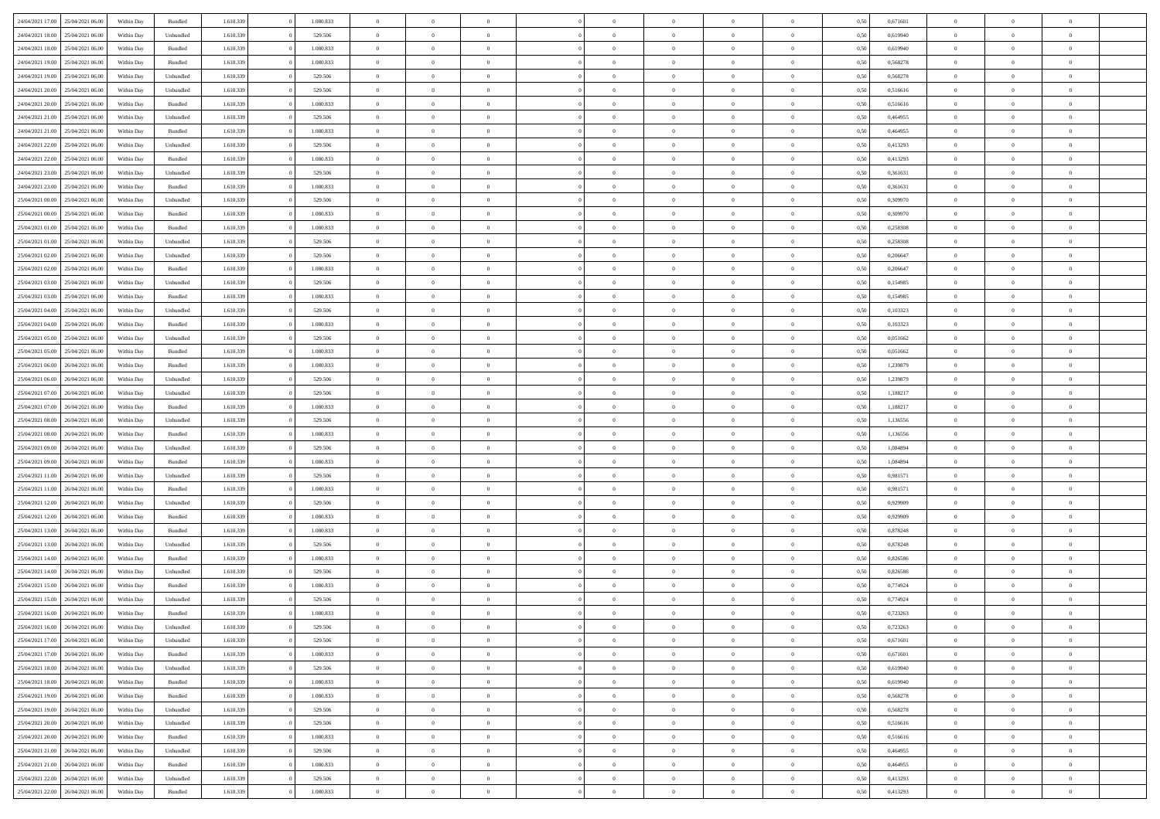| 24/04/2021 17:00 25/04/2021 06:00    | Within Day | Bundled            | 1.610.339 | 1.080.833 | $\overline{0}$ | $\overline{0}$ | $\Omega$       | $\Omega$       | $\Omega$       |                | $\overline{0}$ | 0,50 | 0,671601 | $\mathbf{0}$   | $\Omega$       | $\Omega$       |  |
|--------------------------------------|------------|--------------------|-----------|-----------|----------------|----------------|----------------|----------------|----------------|----------------|----------------|------|----------|----------------|----------------|----------------|--|
| 24/04/2021 18:00<br>25/04/2021 06:00 | Within Day | Unbundled          | 1.610.339 | 529.506   | $\bf{0}$       | $\overline{0}$ | $\overline{0}$ | $\theta$       | $\overline{0}$ | $\overline{0}$ | $\,$ 0         | 0,50 | 0,619940 | $\theta$       | $\theta$       | $\bf{0}$       |  |
| 24/04/2021 18:00<br>25/04/2021 06:00 | Within Day | Bundled            | 1.610.339 | 1.080.833 | $\overline{0}$ | $\overline{0}$ | $\overline{0}$ | $\bf{0}$       | $\bf{0}$       | $\overline{0}$ | $\mathbf{0}$   | 0,50 | 0,619940 | $\bf{0}$       | $\bf{0}$       | $\bf{0}$       |  |
| 24/04/2021 19:00                     |            |                    |           |           |                |                |                |                |                |                |                |      |          | $\mathbf{0}$   |                |                |  |
| 25/04/2021 06:00                     | Within Day | Bundled            | 1.610.339 | 1.080.833 | $\overline{0}$ | $\overline{0}$ | $\overline{0}$ | $\overline{0}$ | $\overline{0}$ | $\Omega$       | $\overline{0}$ | 0.50 | 0,568278 |                | $\overline{0}$ | $\bf{0}$       |  |
| 24/04/2021 19:00<br>25/04/2021 06:00 | Within Day | Unbundled          | 1.610.339 | 529.506   | $\bf{0}$       | $\overline{0}$ | $\overline{0}$ | $\theta$       | $\overline{0}$ | $\overline{0}$ | $\bf{0}$       | 0,50 | 0,568278 | $\theta$       | $\theta$       | $\overline{0}$ |  |
| 24/04/2021 20:00<br>25/04/2021 06.00 | Within Day | Unbundled          | 1.610.339 | 529.506   | $\overline{0}$ | $\overline{0}$ | $\overline{0}$ | $\bf{0}$       | $\overline{0}$ | $\overline{0}$ | $\overline{0}$ | 0,50 | 0,516616 | $\overline{0}$ | $\overline{0}$ | $\overline{0}$ |  |
| 24/04/2021 20:00<br>25/04/2021 06:00 | Within Day | Bundled            | 1.610.339 | 1.080.833 | $\overline{0}$ | $\overline{0}$ | $\overline{0}$ | $\overline{0}$ | $\overline{0}$ | $\overline{0}$ | $\mathbf{0}$   | 0.50 | 0.516616 | $\mathbf{0}$   | $\overline{0}$ | $\overline{0}$ |  |
|                                      |            |                    |           |           |                |                |                |                |                |                |                |      |          |                |                |                |  |
| 24/04/2021 21:00<br>25/04/2021 06:00 | Within Day | Unbundled          | 1.610.339 | 529.506   | $\bf{0}$       | $\overline{0}$ | $\overline{0}$ | $\theta$       | $\overline{0}$ | $\overline{0}$ | $\bf{0}$       | 0,50 | 0,464955 | $\theta$       | $\theta$       | $\bf{0}$       |  |
| 24/04/2021 21:00<br>25/04/2021 06.00 | Within Day | Bundled            | 1.610.339 | 1.080.833 | $\overline{0}$ | $\overline{0}$ | $\overline{0}$ | $\bf{0}$       | $\bf{0}$       | $\overline{0}$ | $\mathbf{0}$   | 0,50 | 0,464955 | $\bf{0}$       | $\bf{0}$       | $\bf{0}$       |  |
| 24/04/2021 22:00<br>25/04/2021 06:00 | Within Day | Unbundled          | 1.610.339 | 529.506   | $\overline{0}$ | $\overline{0}$ | $\overline{0}$ | $\overline{0}$ | $\overline{0}$ | $\overline{0}$ | $\overline{0}$ | 0.50 | 0,413293 | $\overline{0}$ | $\overline{0}$ | $\overline{0}$ |  |
| 24/04/2021 22:00<br>25/04/2021 06:00 | Within Day | Bundled            | 1.610.339 | 1.080.833 | $\bf{0}$       | $\overline{0}$ | $\overline{0}$ | $\overline{0}$ | $\overline{0}$ | $\overline{0}$ | $\,$ 0         | 0,50 | 0,413293 | $\theta$       | $\theta$       | $\bf{0}$       |  |
|                                      |            |                    |           |           |                |                |                |                |                |                |                |      |          |                |                |                |  |
| 24/04/2021 23:00<br>25/04/2021 06:00 | Within Day | Unbundled          | 1.610.339 | 529.506   | $\overline{0}$ | $\overline{0}$ | $\overline{0}$ | $\bf{0}$       | $\bf{0}$       | $\overline{0}$ | $\mathbf{0}$   | 0,50 | 0,361631 | $\bf{0}$       | $\bf{0}$       | $\bf{0}$       |  |
| 24/04/2021 23:00<br>25/04/2021 06:00 | Within Day | Bundled            | 1.610.339 | 1.080.833 | $\overline{0}$ | $\overline{0}$ | $\overline{0}$ | $\overline{0}$ | $\overline{0}$ | $\overline{0}$ | $\overline{0}$ | 0.50 | 0.361631 | $\mathbf{0}$   | $\overline{0}$ | $\bf{0}$       |  |
| 25/04/2021 00:00<br>25/04/2021 06:00 | Within Day | Unbundled          | 1.610.339 | 529.506   | $\bf{0}$       | $\overline{0}$ | $\overline{0}$ | $\theta$       | $\overline{0}$ | $\overline{0}$ | $\,$ 0         | 0,50 | 0,309970 | $\theta$       | $\theta$       | $\overline{0}$ |  |
|                                      |            |                    |           |           |                |                |                |                |                |                |                |      |          |                |                |                |  |
| 25/04/2021 00:00<br>25/04/2021 06:00 | Within Day | Bundled            | 1.610.339 | 1.080.833 | $\overline{0}$ | $\overline{0}$ | $\overline{0}$ | $\bf{0}$       | $\overline{0}$ | $\overline{0}$ | $\overline{0}$ | 0,50 | 0,309970 | $\overline{0}$ | $\overline{0}$ | $\overline{0}$ |  |
| 25/04/2021 01:00<br>25/04/2021 06:00 | Within Day | Bundled            | 1.610.339 | 1.080.833 | $\overline{0}$ | $\overline{0}$ | $\overline{0}$ | $\overline{0}$ | $\overline{0}$ | $\overline{0}$ | $\mathbf{0}$   | 0.50 | 0,258308 | $\overline{0}$ | $\overline{0}$ | $\overline{0}$ |  |
| 25/04/2021 01:00<br>25/04/2021 06:00 | Within Day | Unbundled          | 1.610.339 | 529.506   | $\bf{0}$       | $\overline{0}$ | $\overline{0}$ | $\overline{0}$ | $\overline{0}$ | $\overline{0}$ | $\bf{0}$       | 0,50 | 0,258308 | $\theta$       | $\theta$       | $\bf{0}$       |  |
| 25/04/2021 02:00<br>25/04/2021 06.00 | Within Day | Unbundled          | 1.610.339 | 529.506   | $\overline{0}$ | $\overline{0}$ | $\bf{0}$       | $\bf{0}$       | $\bf{0}$       | $\overline{0}$ | $\mathbf{0}$   | 0,50 | 0,206647 | $\bf{0}$       | $\bf{0}$       | $\bf{0}$       |  |
|                                      |            |                    |           |           |                |                |                |                |                |                |                |      |          |                |                |                |  |
| 25/04/2021 02:00<br>25/04/2021 06:00 | Within Day | Bundled            | 1.610.339 | 1.080.833 | $\overline{0}$ | $\overline{0}$ | $\overline{0}$ | $\overline{0}$ | $\overline{0}$ | $\overline{0}$ | $\overline{0}$ | 0.50 | 0.206647 | $\overline{0}$ | $\overline{0}$ | $\overline{0}$ |  |
| 25/04/2021 03:00<br>25/04/2021 06:00 | Within Day | Unbundled          | 1.610.339 | 529.506   | $\bf{0}$       | $\overline{0}$ | $\overline{0}$ | $\theta$       | $\overline{0}$ | $\overline{0}$ | $\,$ 0         | 0,50 | 0,154985 | $\theta$       | $\theta$       | $\bf{0}$       |  |
| 25/04/2021 03:00<br>25/04/2021 06:00 | Within Day | Bundled            | 1.610.339 | 1.080.833 | $\overline{0}$ | $\overline{0}$ | $\overline{0}$ | $\bf{0}$       | $\bf{0}$       | $\overline{0}$ | $\mathbf{0}$   | 0,50 | 0,154985 | $\bf{0}$       | $\bf{0}$       | $\bf{0}$       |  |
| 25/04/2021 04:00<br>25/04/2021 06:00 | Within Day | Unbundled          | 1.610.339 | 529,506   | $\overline{0}$ | $\overline{0}$ | $\overline{0}$ | $\overline{0}$ | $\overline{0}$ | $\overline{0}$ | $\overline{0}$ | 0.50 | 0,103323 | $\overline{0}$ | $\overline{0}$ | $\bf{0}$       |  |
|                                      |            |                    |           |           |                |                |                |                |                |                |                |      |          |                |                |                |  |
| 25/04/2021 04:00<br>25/04/2021 06:00 | Within Day | Bundled            | 1.610.339 | 1.080.833 | $\bf{0}$       | $\overline{0}$ | $\overline{0}$ | $\theta$       | $\overline{0}$ | $\overline{0}$ | $\,$ 0         | 0,50 | 0,103323 | $\mathbf{0}$   | $\theta$       | $\bf{0}$       |  |
| 25/04/2021 05:00<br>25/04/2021 06:00 | Within Day | Unbundled          | 1.610.339 | 529.506   | $\overline{0}$ | $\overline{0}$ | $\overline{0}$ | $\bf{0}$       | $\overline{0}$ | $\overline{0}$ | $\overline{0}$ | 0,50 | 0,051662 | $\overline{0}$ | $\overline{0}$ | $\overline{0}$ |  |
| 25/04/2021 05:00<br>25/04/2021 06:00 | Within Day | Bundled            | 1.610.339 | 1.080.833 | $\overline{0}$ | $\overline{0}$ | $\overline{0}$ | $\overline{0}$ | $\overline{0}$ | $\overline{0}$ | $\overline{0}$ | 0.50 | 0.051662 | $\overline{0}$ | $\overline{0}$ | $\overline{0}$ |  |
| 25/04/2021 06:00<br>26/04/2021 06:00 | Within Day | Bundled            | 1.610.339 | 1.080.833 | $\bf{0}$       | $\overline{0}$ | $\bf{0}$       | $\overline{0}$ | $\overline{0}$ | $\overline{0}$ | $\bf{0}$       | 0,50 | 1,239879 | $\theta$       | $\theta$       | $\bf{0}$       |  |
|                                      |            |                    |           |           |                |                |                |                |                |                |                |      |          |                |                |                |  |
| 25/04/2021 06:00<br>26/04/2021 06.00 | Within Day | Unbundled          | 1.610.339 | 529.506   | $\overline{0}$ | $\overline{0}$ | $\overline{0}$ | $\bf{0}$       | $\bf{0}$       | $\overline{0}$ | $\mathbf{0}$   | 0,50 | 1,239879 | $\bf{0}$       | $\bf{0}$       | $\bf{0}$       |  |
| 25/04/2021 07:00<br>26/04/2021 06:00 | Within Day | Unbundled          | 1.610.339 | 529.506   | $\overline{0}$ | $\overline{0}$ | $\overline{0}$ | $\overline{0}$ | $\overline{0}$ | $\overline{0}$ | $\overline{0}$ | 0.50 | 1,188217 | $\overline{0}$ | $\overline{0}$ | $\bf{0}$       |  |
| 25/04/2021 07:00<br>26/04/2021 06:00 | Within Day | Bundled            | 1.610.339 | 1.080.833 | $\bf{0}$       | $\overline{0}$ | $\overline{0}$ | $\overline{0}$ | $\overline{0}$ | $\overline{0}$ | $\,$ 0         | 0,50 | 1,188217 | $\theta$       | $\theta$       | $\bf{0}$       |  |
| 25/04/2021 08:00<br>26/04/2021 06.00 | Within Day | Unbundled          | 1.610.339 | 529.506   | $\overline{0}$ | $\overline{0}$ | $\overline{0}$ | $\bf{0}$       | $\bf{0}$       | $\overline{0}$ | $\mathbf{0}$   | 0,50 | 1,136556 | $\overline{0}$ | $\bf{0}$       | $\bf{0}$       |  |
|                                      |            |                    |           |           |                |                |                |                |                |                |                |      |          |                |                |                |  |
| 25/04/2021 08:00<br>26/04/2021 06.00 | Within Day | Bundled            | 1.610.339 | 1.080.833 | $\overline{0}$ | $\overline{0}$ | $\overline{0}$ | $\overline{0}$ | $\overline{0}$ | $\Omega$       | $\overline{0}$ | 0,50 | 1,136556 | $\bf{0}$       | $\Omega$       | $\Omega$       |  |
| 25/04/2021 09:00<br>26/04/2021 06:00 | Within Day | Unbundled          | 1.610.339 | 529.506   | $\bf{0}$       | $\overline{0}$ | $\overline{0}$ | $\theta$       | $\overline{0}$ | $\overline{0}$ | $\,$ 0         | 0,50 | 1,084894 | $\theta$       | $\theta$       | $\bf{0}$       |  |
| 25/04/2021 09:00<br>26/04/2021 06.00 | Within Day | Bundled            | 1.610.339 | 1.080.833 | $\overline{0}$ | $\overline{0}$ | $\overline{0}$ | $\bf{0}$       | $\overline{0}$ | $\overline{0}$ | $\overline{0}$ | 0,50 | 1,084894 | $\overline{0}$ | $\bf{0}$       | $\overline{0}$ |  |
| 25/04/2021 11:00<br>26/04/2021 06:00 | Within Day | Unbundled          | 1.610.339 | 529.506   | $\overline{0}$ | $\overline{0}$ | $\overline{0}$ | $\overline{0}$ | $\overline{0}$ | $\Omega$       | $\overline{0}$ | 0.50 | 0,981571 | $\overline{0}$ | $\Omega$       | $\Omega$       |  |
|                                      |            |                    |           |           |                |                |                |                |                |                |                |      |          |                |                |                |  |
| 25/04/2021 11:00<br>26/04/2021 06:00 | Within Day | Bundled            | 1.610.339 | 1.080.833 | $\bf{0}$       | $\overline{0}$ | $\bf{0}$       | $\overline{0}$ | $\overline{0}$ | $\overline{0}$ | $\bf{0}$       | 0,50 | 0,981571 | $\theta$       | $\theta$       | $\bf{0}$       |  |
| 25/04/2021 12:00<br>26/04/2021 06.00 | Within Day | Unbundled          | 1.610.339 | 529.506   | $\overline{0}$ | $\overline{0}$ | $\bf{0}$       | $\bf{0}$       | $\bf{0}$       | $\overline{0}$ | $\bf{0}$       | 0,50 | 0,929909 | $\bf{0}$       | $\bf{0}$       | $\bf{0}$       |  |
| 25/04/2021 12:00<br>26/04/2021 06:00 | Within Day | Bundled            | 1.610.339 | 1.080.833 | $\overline{0}$ | $\overline{0}$ | $\Omega$       | $\overline{0}$ | $\overline{0}$ | $\Omega$       | $\theta$       | 0.50 | 0,929909 | $\overline{0}$ | $\Omega$       | $\Omega$       |  |
| 25/04/2021 13:00<br>26/04/2021 06:00 | Within Day | $\mathbf B$ undled | 1.610.339 | 1.080.833 | $\bf{0}$       | $\overline{0}$ | $\bf{0}$       | $\overline{0}$ | $\overline{0}$ | $\overline{0}$ | $\,$ 0         | 0,50 | 0,878248 | $\theta$       | $\theta$       | $\bf{0}$       |  |
|                                      |            |                    |           |           |                |                |                |                |                |                |                |      |          |                |                |                |  |
| 25/04/2021 13:00<br>26/04/2021 06.00 | Within Day | Unbundled          | 1.610.339 | 529.506   | $\overline{0}$ | $\overline{0}$ | $\overline{0}$ | $\bf{0}$       | $\bf{0}$       | $\overline{0}$ | $\mathbf{0}$   | 0,50 | 0,878248 | $\overline{0}$ | $\bf{0}$       | $\bf{0}$       |  |
| 25/04/2021 14:00<br>26/04/2021 06.00 | Within Day | Bundled            | 1.610.339 | 1.080.833 | $\overline{0}$ | $\overline{0}$ | $\overline{0}$ | $\overline{0}$ | $\overline{0}$ | $\Omega$       | $\overline{0}$ | 0.50 | 0,826586 | $\overline{0}$ | $\Omega$       | $\Omega$       |  |
| 25/04/2021 14:00<br>26/04/2021 06:00 | Within Day | Unbundled          | 1.610.339 | 529.506   | $\bf{0}$       | $\overline{0}$ | $\bf{0}$       | $\overline{0}$ | $\overline{0}$ | $\overline{0}$ | $\,$ 0         | 0,50 | 0,826586 | $\,$ 0 $\,$    | $\theta$       | $\bf{0}$       |  |
| 25/04/2021 15:00<br>26/04/2021 06.00 | Within Day | Bundled            | 1.610.339 | 1.080.833 | $\overline{0}$ | $\overline{0}$ | $\overline{0}$ | $\bf{0}$       | $\overline{0}$ | $\overline{0}$ | $\overline{0}$ | 0,50 | 0,774924 | $\overline{0}$ | $\bf{0}$       | $\bf{0}$       |  |
|                                      |            |                    |           |           |                |                |                |                |                |                |                |      |          |                |                |                |  |
| 25/04/2021 15:00<br>26/04/2021 06.00 | Within Day | Unbundled          | 1.610.339 | 529.506   | $\overline{0}$ | $\Omega$       | $\Omega$       | $\Omega$       | $\overline{0}$ | $\Omega$       | $\overline{0}$ | 0.50 | 0.774924 | $\overline{0}$ | $\Omega$       | $\Omega$       |  |
| 25/04/2021 16:00<br>26/04/2021 06:00 | Within Day | Bundled            | 1.610.339 | 1.080.833 | $\bf{0}$       | $\bf{0}$       | $\bf{0}$       | $\bf{0}$       | $\bf{0}$       | $\overline{0}$ | $\,$ 0         | 0,50 | 0,723263 | $\bf{0}$       | $\,$ 0         | $\bf{0}$       |  |
| 25/04/2021 16:00<br>26/04/2021 06:00 | Within Day | Unbundled          | 1.610.339 | 529.506   |                | $\bf{0}$       |                | $\bf{0}$       |                |                |                | 0,50 | 0,723263 | $\bf{0}$       | $\bf{0}$       |                |  |
| 25/04/2021 17:00 26/04/2021 06:00    | Within Day | Unbundled          | 1.610.339 | 529.506   | $\overline{0}$ | $\overline{0}$ | $\theta$       | $\overline{0}$ | $\overline{0}$ | $\overline{0}$ | $\mathbf{0}$   | 0,50 | 0.671601 | $\overline{0}$ | $\theta$       | $\theta$       |  |
|                                      |            |                    |           |           |                |                |                |                |                |                |                |      |          |                |                |                |  |
| 25/04/2021 17:00<br>26/04/2021 06:00 | Within Day | Bundled            | 1.610.339 | 1.080.833 | $\overline{0}$ | $\overline{0}$ | $\overline{0}$ | $\bf{0}$       | $\overline{0}$ | $\overline{0}$ | $\mathbf{0}$   | 0,50 | 0,671601 | $\,$ 0 $\,$    | $\overline{0}$ | $\,0\,$        |  |
| 25/04/2021 18:00<br>26/04/2021 06:00 | Within Day | Unbundled          | 1.610.339 | 529.506   | $\overline{0}$ | $\overline{0}$ | $\overline{0}$ | $\bf{0}$       | $\overline{0}$ | $\overline{0}$ | $\overline{0}$ | 0,50 | 0,619940 | $\overline{0}$ | $\overline{0}$ | $\overline{0}$ |  |
| 25/04/2021 18:00<br>26/04/2021 06:00 | Within Day | Bundled            | 1.610.339 | 1.080.833 | $\overline{0}$ | $\overline{0}$ | $\overline{0}$ | $\overline{0}$ | $\bf{0}$       | $\overline{0}$ | $\overline{0}$ | 0,50 | 0,619940 | $\overline{0}$ | $\overline{0}$ | $\overline{0}$ |  |
| 25/04/2021 19:00<br>26/04/2021 06:00 | Within Day | Bundled            | 1.610.339 | 1.080.833 | $\overline{0}$ | $\overline{0}$ | $\overline{0}$ | $\overline{0}$ | $\overline{0}$ | $\overline{0}$ | $\,$ 0 $\,$    | 0,50 | 0,568278 | $\,$ 0 $\,$    | $\theta$       | $\bf{0}$       |  |
|                                      |            |                    |           |           |                |                |                |                |                |                |                |      |          |                |                |                |  |
| 25/04/2021 19:00<br>26/04/2021 06:00 | Within Day | Unbundled          | 1.610.339 | 529.506   | $\overline{0}$ | $\overline{0}$ | $\overline{0}$ | $\bf{0}$       | $\overline{0}$ | $\overline{0}$ | $\overline{0}$ | 0,50 | 0,568278 | $\overline{0}$ | $\overline{0}$ | $\overline{0}$ |  |
| 25/04/2021 20:00<br>26/04/2021 06:00 | Within Day | Unbundled          | 1.610.339 | 529.506   | $\overline{0}$ | $\overline{0}$ | $\overline{0}$ | $\overline{0}$ | $\overline{0}$ | $\overline{0}$ | $\overline{0}$ | 0.50 | 0,516616 | $\overline{0}$ | $\overline{0}$ | $\overline{0}$ |  |
| 25/04/2021 20:00<br>26/04/2021 06:00 | Within Day | Bundled            | 1.610.339 | 1.080.833 | $\overline{0}$ | $\overline{0}$ | $\overline{0}$ | $\bf{0}$       | $\bf{0}$       | $\overline{0}$ | $\,$ 0 $\,$    | 0,50 | 0,516616 | $\,$ 0 $\,$    | $\theta$       | $\,$ 0         |  |
| 25/04/2021 21:00<br>26/04/2021 06:00 | Within Day | Unbundled          | 1.610.339 | 529.506   | $\overline{0}$ | $\overline{0}$ | $\overline{0}$ | $\bf{0}$       | $\overline{0}$ | $\overline{0}$ | $\overline{0}$ | 0,50 | 0,464955 | $\bf{0}$       | $\bf{0}$       | $\overline{0}$ |  |
|                                      |            |                    |           |           |                |                |                |                |                |                |                |      |          |                |                |                |  |
| 25/04/2021 21:00<br>26/04/2021 06:00 | Within Day | Bundled            | 1.610.339 | 1.080.833 | $\overline{0}$ | $\overline{0}$ | $\overline{0}$ | $\overline{0}$ | $\overline{0}$ | $\overline{0}$ | $\overline{0}$ | 0,50 | 0.464955 | $\overline{0}$ | $\overline{0}$ | $\overline{0}$ |  |
| 25/04/2021 22:00<br>26/04/2021 06:00 | Within Day | Unbundled          | 1.610.339 | 529.506   | $\overline{0}$ | $\overline{0}$ | $\overline{0}$ | $\bf{0}$       | $\bf{0}$       | $\bf{0}$       | $\,$ 0 $\,$    | 0,50 | 0,413293 | $\,$ 0 $\,$    | $\,0\,$        | $\,$ 0         |  |
| 25/04/2021 22:00 26/04/2021 06:00    | Within Day | Bundled            | 1.610.339 | 1.080.833 | $\overline{0}$ | $\overline{0}$ | $\overline{0}$ | $\bf{0}$       | $\overline{0}$ | $\overline{0}$ | $\overline{0}$ | 0,50 | 0,413293 | $\overline{0}$ | $\bf{0}$       | $\overline{0}$ |  |
|                                      |            |                    |           |           |                |                |                |                |                |                |                |      |          |                |                |                |  |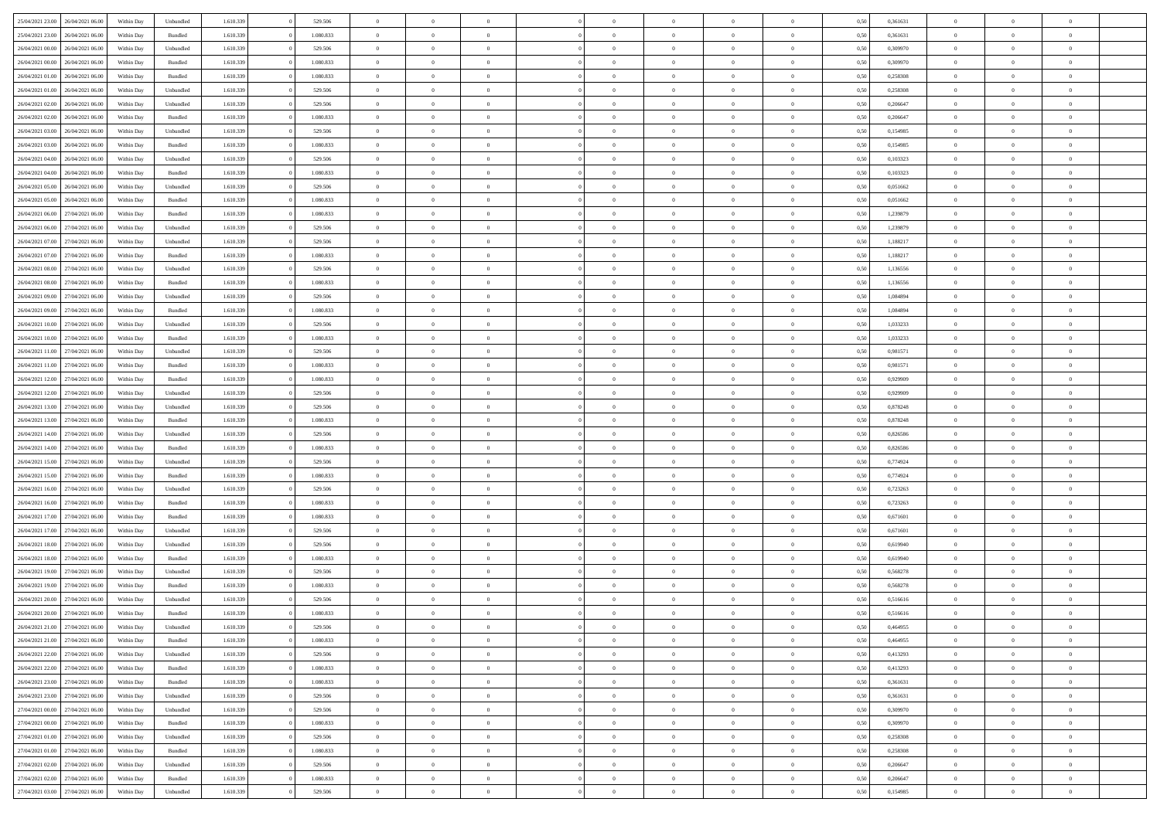| 25/04/2021 23:00                  | 26/04/2021 06:00 | Within Dav | Unbundled          | 1.610.339 | 529.506   | $\overline{0}$ | $\Omega$       |                | $\Omega$       | $\Omega$       | $\Omega$       | $\theta$       | 0,50 | 0,361631 | $\theta$       | $\theta$       | $\theta$       |  |
|-----------------------------------|------------------|------------|--------------------|-----------|-----------|----------------|----------------|----------------|----------------|----------------|----------------|----------------|------|----------|----------------|----------------|----------------|--|
|                                   |                  |            |                    |           |           |                |                |                |                |                |                |                |      |          |                |                |                |  |
| 25/04/2021 23:00                  | 26/04/2021 06:00 | Within Day | Bundled            | 1.610.339 | 1.080.833 | $\overline{0}$ | $\theta$       | $\overline{0}$ | $\overline{0}$ | $\bf{0}$       | $\overline{0}$ | $\bf{0}$       | 0,50 | 0,361631 | $\theta$       | $\theta$       | $\overline{0}$ |  |
| 26/04/2021 00:00                  | 26/04/2021 06:00 | Within Day | Unbundled          | 1.610.339 | 529.506   | $\overline{0}$ | $\overline{0}$ | $\overline{0}$ | $\bf{0}$       | $\bf{0}$       | $\bf{0}$       | $\bf{0}$       | 0,50 | 0,309970 | $\overline{0}$ | $\overline{0}$ | $\overline{0}$ |  |
| 26/04/2021 00:00                  | 26/04/2021 06:00 | Within Dav | Bundled            | 1.610.339 | 1.080.833 | $\overline{0}$ | $\overline{0}$ | $\overline{0}$ | $\overline{0}$ | $\bf{0}$       | $\overline{0}$ | $\overline{0}$ | 0.50 | 0,309970 | $\theta$       | $\theta$       | $\overline{0}$ |  |
|                                   |                  |            |                    |           |           |                |                |                |                |                |                |                |      |          |                |                |                |  |
| 26/04/2021 01:00                  | 26/04/2021 06:00 | Within Day | Bundled            | 1.610.339 | 1.080.833 | $\overline{0}$ | $\theta$       | $\overline{0}$ | $\overline{0}$ | $\bf{0}$       | $\overline{0}$ | $\bf{0}$       | 0,50 | 0,258308 | $\theta$       | $\theta$       | $\overline{0}$ |  |
| 26/04/2021 01:00                  | 26/04/2021 06:00 | Within Day | Unbundled          | 1.610.339 | 529.506   | $\overline{0}$ | $\bf{0}$       | $\overline{0}$ | $\bf{0}$       | $\overline{0}$ | $\overline{0}$ | $\mathbf{0}$   | 0,50 | 0,258308 | $\overline{0}$ | $\overline{0}$ | $\bf{0}$       |  |
| 26/04/2021 02:00                  | 26/04/2021 06:00 | Within Dav | Unbundled          | 1.610.339 | 529.506   | $\overline{0}$ | $\overline{0}$ | $\overline{0}$ | $\overline{0}$ | $\overline{0}$ | $\overline{0}$ | $\overline{0}$ | 0.50 | 0.206647 | $\theta$       | $\overline{0}$ | $\overline{0}$ |  |
| 26/04/2021 02.00                  | 26/04/2021 06:00 | Within Day | Bundled            | 1.610.339 | 1.080.833 | $\overline{0}$ | $\theta$       | $\overline{0}$ | $\overline{0}$ | $\bf{0}$       | $\overline{0}$ | $\bf{0}$       | 0,50 | 0,206647 | $\theta$       | $\theta$       | $\overline{0}$ |  |
|                                   |                  |            |                    |           |           |                |                |                |                |                |                |                |      |          |                |                |                |  |
| 26/04/2021 03:00                  | 26/04/2021 06:00 | Within Day | Unbundled          | 1.610.339 | 529.506   | $\overline{0}$ | $\overline{0}$ | $\overline{0}$ | $\bf{0}$       | $\bf{0}$       | $\bf{0}$       | $\bf{0}$       | 0,50 | 0,154985 | $\,0\,$        | $\overline{0}$ | $\overline{0}$ |  |
| 26/04/2021 03:00                  | 26/04/2021 06:00 | Within Dav | Bundled            | 1.610.339 | 1.080.833 | $\overline{0}$ | $\overline{0}$ | $\overline{0}$ | $\overline{0}$ | $\overline{0}$ | $\overline{0}$ | $\overline{0}$ | 0.50 | 0,154985 | $\theta$       | $\overline{0}$ | $\overline{0}$ |  |
| 26/04/2021 04:00                  | 26/04/2021 06:00 | Within Day | Unbundled          | 1.610.339 | 529.506   | $\overline{0}$ | $\theta$       | $\overline{0}$ | $\overline{0}$ | $\bf{0}$       | $\overline{0}$ | $\bf{0}$       | 0,50 | 0,103323 | $\,$ 0 $\,$    | $\overline{0}$ | $\overline{0}$ |  |
| 26/04/2021 04:00                  | 26/04/2021 06:00 | Within Day | Bundled            | 1.610.339 | 1.080.833 | $\overline{0}$ | $\overline{0}$ | $\overline{0}$ | $\bf{0}$       | $\bf{0}$       | $\bf{0}$       | $\mathbf{0}$   | 0,50 | 0,103323 | $\overline{0}$ | $\overline{0}$ | $\overline{0}$ |  |
| 26/04/2021 05:00                  | 26/04/2021 06:00 | Within Day | Unbundled          | 1.610.339 | 529.506   | $\overline{0}$ | $\overline{0}$ | $\overline{0}$ | $\overline{0}$ | $\bf{0}$       | $\overline{0}$ | $\overline{0}$ | 0.50 | 0.051662 | $\theta$       | $\theta$       | $\overline{0}$ |  |
|                                   |                  |            |                    |           |           | $\overline{0}$ | $\theta$       | $\overline{0}$ | $\overline{0}$ | $\bf{0}$       | $\overline{0}$ |                |      |          | $\theta$       | $\theta$       | $\overline{0}$ |  |
| 26/04/2021 05:00                  | 26/04/2021 06:00 | Within Day | Bundled            | 1.610.339 | 1.080.833 |                |                |                |                |                |                | $\bf{0}$       | 0,50 | 0,051662 |                |                |                |  |
| 26/04/2021 06:00                  | 27/04/2021 06:00 | Within Day | Bundled            | 1.610.339 | 1.080.833 | $\overline{0}$ | $\overline{0}$ | $\overline{0}$ | $\bf{0}$       | $\overline{0}$ | $\overline{0}$ | $\mathbf{0}$   | 0,50 | 1,239879 | $\overline{0}$ | $\overline{0}$ | $\bf{0}$       |  |
| 26/04/2021 06:00                  | 27/04/2021 06:00 | Within Dav | Unbundled          | 1.610.339 | 529.506   | $\overline{0}$ | $\overline{0}$ | $\overline{0}$ | $\overline{0}$ | $\overline{0}$ | $\overline{0}$ | $\overline{0}$ | 0.50 | 1,239879 | $\theta$       | $\overline{0}$ | $\overline{0}$ |  |
| 26/04/2021 07:00                  | 27/04/2021 06.00 | Within Day | Unbundled          | 1.610.339 | 529.506   | $\overline{0}$ | $\theta$       | $\overline{0}$ | $\overline{0}$ | $\bf{0}$       | $\overline{0}$ | $\bf{0}$       | 0,50 | 1,188217 | $\,$ 0 $\,$    | $\theta$       | $\overline{0}$ |  |
| 26/04/2021 07:00                  | 27/04/2021 06:00 | Within Day | Bundled            | 1.610.339 | 1.080.833 | $\overline{0}$ | $\overline{0}$ | $\overline{0}$ | $\bf{0}$       | $\bf{0}$       | $\bf{0}$       | $\mathbf{0}$   | 0,50 | 1,188217 | $\,0\,$        | $\overline{0}$ | $\overline{0}$ |  |
|                                   |                  |            |                    |           |           |                | $\overline{0}$ |                |                | $\overline{0}$ |                |                |      |          | $\theta$       | $\overline{0}$ | $\overline{0}$ |  |
| 26/04/2021 08:00                  | 27/04/2021 06.00 | Within Day | Unbundled          | 1.610.339 | 529.506   | $\overline{0}$ |                | $\overline{0}$ | $\overline{0}$ |                | $\overline{0}$ | $\overline{0}$ | 0.50 | 1,136556 |                |                |                |  |
| 26/04/2021 08:00                  | 27/04/2021 06.00 | Within Day | Bundled            | 1.610.339 | 1.080.833 | $\overline{0}$ | $\theta$       | $\overline{0}$ | $\overline{0}$ | $\bf{0}$       | $\overline{0}$ | $\bf{0}$       | 0,50 | 1,136556 | $\,$ 0 $\,$    | $\theta$       | $\overline{0}$ |  |
| 26/04/2021 09:00                  | 27/04/2021 06:00 | Within Day | Unbundled          | 1.610.339 | 529.506   | $\overline{0}$ | $\overline{0}$ | $\overline{0}$ | $\bf{0}$       | $\bf{0}$       | $\bf{0}$       | $\bf{0}$       | 0,50 | 1,084894 | $\bf{0}$       | $\overline{0}$ | $\overline{0}$ |  |
| 26/04/2021 09:00                  | 27/04/2021 06:00 | Within Day | Bundled            | 1.610.339 | 1.080.833 | $\overline{0}$ | $\overline{0}$ | $\overline{0}$ | $\overline{0}$ | $\bf{0}$       | $\overline{0}$ | $\overline{0}$ | 0.50 | 1.084894 | $\theta$       | $\theta$       | $\overline{0}$ |  |
| 26/04/2021 10:00                  | 27/04/2021 06.00 | Within Day | Unbundled          | 1.610.339 | 529.506   | $\overline{0}$ | $\theta$       | $\overline{0}$ | $\overline{0}$ | $\bf{0}$       | $\overline{0}$ | $\bf{0}$       | 0,50 | 1,033233 | $\,$ 0 $\,$    | $\overline{0}$ | $\overline{0}$ |  |
|                                   |                  |            |                    |           |           |                |                |                |                |                |                |                |      |          |                |                |                |  |
| 26/04/2021 10:00                  | 27/04/2021 06:00 | Within Day | Bundled            | 1.610.339 | 1.080.833 | $\overline{0}$ | $\overline{0}$ | $\overline{0}$ | $\bf{0}$       | $\overline{0}$ | $\overline{0}$ | $\mathbf{0}$   | 0,50 | 1,033233 | $\overline{0}$ | $\overline{0}$ | $\bf{0}$       |  |
| 26/04/2021 11:00                  | 27/04/2021 06:00 | Within Dav | Unbundled          | 1.610.339 | 529.506   | $\overline{0}$ | $\overline{0}$ | $\overline{0}$ | $\overline{0}$ | $\overline{0}$ | $\overline{0}$ | $\overline{0}$ | 0.50 | 0.981571 | $\theta$       | $\overline{0}$ | $\overline{0}$ |  |
| 26/04/2021 11:00                  | 27/04/2021 06.00 | Within Day | Bundled            | 1.610.339 | 1.080.833 | $\overline{0}$ | $\theta$       | $\overline{0}$ | $\overline{0}$ | $\bf{0}$       | $\overline{0}$ | $\bf{0}$       | 0,50 | 0,981571 | $\theta$       | $\theta$       | $\overline{0}$ |  |
| 26/04/2021 12:00                  | 27/04/2021 06:00 | Within Day | Bundled            | 1.610.339 | 1.080.833 | $\overline{0}$ | $\overline{0}$ | $\overline{0}$ | $\bf{0}$       | $\bf{0}$       | $\bf{0}$       | $\bf{0}$       | 0,50 | 0,929909 | $\,0\,$        | $\overline{0}$ | $\overline{0}$ |  |
| 26/04/2021 12:00                  | 27/04/2021 06:00 | Within Day | Unbundled          | 1.610.339 | 529.506   | $\overline{0}$ | $\overline{0}$ | $\overline{0}$ | $\overline{0}$ | $\overline{0}$ | $\overline{0}$ | $\overline{0}$ | 0.50 | 0.929909 | $\theta$       | $\overline{0}$ | $\overline{0}$ |  |
|                                   |                  |            |                    |           |           |                |                |                |                |                |                |                |      |          |                |                |                |  |
| 26/04/2021 13:00                  | 27/04/2021 06.00 | Within Day | Unbundled          | 1.610.339 | 529.506   | $\overline{0}$ | $\theta$       | $\overline{0}$ | $\overline{0}$ | $\bf{0}$       | $\overline{0}$ | $\bf{0}$       | 0,50 | 0,878248 | $\,$ 0 $\,$    | $\overline{0}$ | $\overline{0}$ |  |
| 26/04/2021 13:00                  | 27/04/2021 06:00 | Within Day | Bundled            | 1.610.339 | 1.080.833 | $\overline{0}$ | $\overline{0}$ | $\overline{0}$ | $\bf{0}$       | $\bf{0}$       | $\bf{0}$       | $\bf{0}$       | 0,50 | 0,878248 | $\bf{0}$       | $\overline{0}$ | $\overline{0}$ |  |
| 26/04/2021 14:00                  | 27/04/2021 06.00 | Within Day | Unbundled          | 1.610.339 | 529.506   | $\overline{0}$ | $\Omega$       | $\overline{0}$ | $\Omega$       | $\Omega$       | $\overline{0}$ | $\overline{0}$ | 0.50 | 0,826586 | $\,0\,$        | $\theta$       | $\theta$       |  |
| 26/04/2021 14:00                  | 27/04/2021 06.00 | Within Day | Bundled            | 1.610.339 | 1.080.833 | $\overline{0}$ | $\theta$       | $\overline{0}$ | $\overline{0}$ | $\bf{0}$       | $\overline{0}$ | $\bf{0}$       | 0,50 | 0,826586 | $\theta$       | $\theta$       | $\overline{0}$ |  |
|                                   |                  |            |                    |           |           |                |                |                |                | $\bf{0}$       |                |                |      |          |                | $\overline{0}$ | $\bf{0}$       |  |
| 26/04/2021 15:00                  | 27/04/2021 06:00 | Within Day | Unbundled          | 1.610.339 | 529.506   | $\overline{0}$ | $\overline{0}$ | $\overline{0}$ | $\bf{0}$       |                | $\overline{0}$ | $\mathbf{0}$   | 0,50 | 0,774924 | $\bf{0}$       |                |                |  |
| 26/04/2021 15:00                  | 27/04/2021 06:00 | Within Day | Bundled            | 1.610.339 | 1.080.833 | $\overline{0}$ | $\Omega$       | $\Omega$       | $\Omega$       | $\bf{0}$       | $\overline{0}$ | $\overline{0}$ | 0.50 | 0,774924 | $\,0\,$        | $\theta$       | $\theta$       |  |
| 26/04/2021 16:00                  | 27/04/2021 06.00 | Within Day | Unbundled          | 1.610.339 | 529.506   | $\overline{0}$ | $\theta$       | $\overline{0}$ | $\overline{0}$ | $\bf{0}$       | $\overline{0}$ | $\bf{0}$       | 0,50 | 0,723263 | $\,$ 0 $\,$    | $\theta$       | $\overline{0}$ |  |
| 26/04/2021 16:00                  | 27/04/2021 06:00 | Within Day | Bundled            | 1.610.339 | 1.080.833 | $\overline{0}$ | $\overline{0}$ | $\overline{0}$ | $\bf{0}$       | $\bf{0}$       | $\bf{0}$       | $\bf{0}$       | 0,50 | 0,723263 | $\bf{0}$       | $\overline{0}$ | $\overline{0}$ |  |
| 26/04/2021 17:00                  | 27/04/2021 06:00 | Within Day | Bundled            | 1.610.339 | 1.080.833 | $\overline{0}$ | $\Omega$       | $\overline{0}$ | $\Omega$       | $\theta$       | $\theta$       | $\overline{0}$ | 0.50 | 0.671601 | $\theta$       | $\theta$       | $\theta$       |  |
|                                   |                  |            |                    |           |           | $\overline{0}$ | $\theta$       | $\overline{0}$ |                | $\bf{0}$       | $\overline{0}$ |                |      |          | $\,$ 0 $\,$    |                | $\overline{0}$ |  |
| 26/04/2021 17:00                  | 27/04/2021 06.00 | Within Day | Unbundled          | 1.610.339 | 529.506   |                |                |                | $\overline{0}$ |                |                | $\bf{0}$       | 0,50 | 0,671601 |                | $\overline{0}$ |                |  |
| 26/04/2021 18:00                  | 27/04/2021 06:00 | Within Day | Unbundled          | 1.610.339 | 529.506   | $\overline{0}$ | $\overline{0}$ | $\overline{0}$ | $\bf{0}$       | $\bf{0}$       | $\bf{0}$       | $\bf{0}$       | 0,50 | 0,619940 | $\bf{0}$       | $\overline{0}$ | $\overline{0}$ |  |
| 26/04/2021 18:00                  | 27/04/2021 06.00 | Within Day | Bundled            | 1.610.339 | 1.080.833 | $\overline{0}$ | $\Omega$       | $\overline{0}$ | $\Omega$       | $\Omega$       | $\overline{0}$ | $\overline{0}$ | 0.50 | 0,619940 | $\,0\,$        | $\theta$       | $\theta$       |  |
| 26/04/2021 19:00                  | 27/04/2021 06.00 | Within Day | Unbundled          | 1.610.339 | 529.506   | $\overline{0}$ | $\theta$       | $\overline{0}$ | $\overline{0}$ | $\bf{0}$       | $\overline{0}$ | $\bf{0}$       | 0,50 | 0,568278 | $\,$ 0 $\,$    | $\overline{0}$ | $\overline{0}$ |  |
| 26/04/2021 19:00                  | 27/04/2021 06:00 | Within Day | Bundled            | 1.610.339 | 1.080.833 | $\overline{0}$ | $\overline{0}$ | $\overline{0}$ | $\bf{0}$       | $\bf{0}$       | $\bf{0}$       | $\mathbf{0}$   | 0,50 | 0,568278 | $\overline{0}$ | $\overline{0}$ | $\bf{0}$       |  |
|                                   |                  |            |                    |           |           |                |                |                |                |                |                |                |      |          |                |                |                |  |
| 26/04/2021 20:00                  | 27/04/2021 06:00 | Within Day | Unbundled          | 1.610.339 | 529.506   | $\overline{0}$ | $\Omega$       | $\Omega$       | $\Omega$       | $\Omega$       | $\Omega$       | $\overline{0}$ | 0.50 | 0,516616 | $\theta$       | $\theta$       | $\theta$       |  |
| 26/04/2021 20:00                  | 27/04/2021 06:00 | Within Day | Bundled            | 1.610.339 | 1.080.833 | $\overline{0}$ | $\overline{0}$ | $\overline{0}$ | $\bf{0}$       | $\,$ 0         | $\bf{0}$       | $\bf{0}$       | 0,50 | 0,516616 | $\,0\,$        | $\overline{0}$ | $\overline{0}$ |  |
| 26/04/2021 21:00                  | 27/04/2021 06:00 | Within Day | Unbundled          | 1.610.339 | 529.506   | $\bf{0}$       | $\bf{0}$       |                |                |                |                |                | 0,50 | 0,464955 | $\bf{0}$       | $\overline{0}$ |                |  |
| 26/04/2021 21:00                  | 27/04/2021 06:00 | Within Day | Bundled            | 1.610.339 | 1.080.833 | $\overline{0}$ | $\overline{0}$ | $\overline{0}$ | $\Omega$       | $\overline{0}$ | $\overline{0}$ | $\overline{0}$ | 0.50 | 0.464955 | $\theta$       | $\theta$       | $\theta$       |  |
| 26/04/2021 22.00                  | 27/04/2021 06.00 | Within Day | Unbundled          | 1.610.339 | 529.506   | $\overline{0}$ | $\,$ 0         | $\overline{0}$ | $\bf{0}$       | $\,$ 0 $\,$    | $\overline{0}$ | $\,$ 0 $\,$    | 0,50 | 0,413293 | $\,$ 0 $\,$    | $\,$ 0 $\,$    | $\,$ 0         |  |
|                                   |                  |            |                    |           |           |                |                |                |                |                |                |                |      |          |                |                |                |  |
| 26/04/2021 22.00                  | 27/04/2021 06:00 | Within Day | Bundled            | 1.610.339 | 1.080.833 | $\overline{0}$ | $\overline{0}$ | $\overline{0}$ | $\overline{0}$ | $\overline{0}$ | $\overline{0}$ | $\mathbf{0}$   | 0,50 | 0,413293 | $\overline{0}$ | $\bf{0}$       | $\bf{0}$       |  |
| 26/04/2021 23:00                  | 27/04/2021 06:00 | Within Day | $\mathbf B$ undled | 1.610.339 | 1.080.833 | $\overline{0}$ | $\overline{0}$ | $\overline{0}$ | $\Omega$       | $\overline{0}$ | $\overline{0}$ | $\overline{0}$ | 0,50 | 0,361631 | $\overline{0}$ | $\theta$       | $\overline{0}$ |  |
| 26/04/2021 23:00                  | 27/04/2021 06.00 | Within Day | Unbundled          | 1.610.339 | 529.506   | $\overline{0}$ | $\,$ 0         | $\overline{0}$ | $\overline{0}$ | $\,$ 0 $\,$    | $\overline{0}$ | $\mathbf{0}$   | 0,50 | 0,361631 | $\,$ 0 $\,$    | $\overline{0}$ | $\overline{0}$ |  |
| 27/04/2021 00:00                  | 27/04/2021 06:00 | Within Day | Unbundled          | 1.610.339 | 529.506   | $\overline{0}$ | $\overline{0}$ | $\overline{0}$ | $\overline{0}$ | $\overline{0}$ | $\overline{0}$ | $\mathbf{0}$   | 0,50 | 0,309970 | $\overline{0}$ | $\overline{0}$ | $\bf{0}$       |  |
| 27/04/2021 00:00                  | 27/04/2021 06:00 | Within Day | Bundled            | 1.610.339 | 1.080.833 | $\overline{0}$ | $\overline{0}$ | $\overline{0}$ | $\Omega$       | $\overline{0}$ | $\overline{0}$ | $\bf{0}$       | 0.50 | 0,309970 | $\overline{0}$ | $\theta$       | $\overline{0}$ |  |
|                                   |                  |            |                    |           |           |                |                |                |                |                |                |                |      |          |                |                |                |  |
| 27/04/2021 01:00                  | 27/04/2021 06:00 | Within Day | Unbundled          | 1.610.339 | 529.506   | $\overline{0}$ | $\,$ 0         | $\overline{0}$ | $\bf{0}$       | $\bf{0}$       | $\bf{0}$       | $\bf{0}$       | 0,50 | 0,258308 | $\,$ 0 $\,$    | $\overline{0}$ | $\overline{0}$ |  |
| 27/04/2021 01:00                  | 27/04/2021 06:00 | Within Day | Bundled            | 1.610.339 | 1.080.833 | $\overline{0}$ | $\bf{0}$       | $\overline{0}$ | $\overline{0}$ | $\overline{0}$ | $\overline{0}$ | $\mathbf{0}$   | 0,50 | 0,258308 | $\overline{0}$ | $\overline{0}$ | $\bf{0}$       |  |
| 27/04/2021 02:00                  | 27/04/2021 06:00 | Within Day | Unbundled          | 1.610.339 | 529.506   | $\overline{0}$ | $\overline{0}$ | $\overline{0}$ | $\Omega$       | $\overline{0}$ | $\overline{0}$ | $\overline{0}$ | 0.50 | 0,206647 | $\overline{0}$ | $\overline{0}$ | $\overline{0}$ |  |
| 27/04/2021 02:00                  | 27/04/2021 06.00 | Within Day | Bundled            | 1.610.339 | 1.080.833 | $\overline{0}$ | $\bf{0}$       | $\overline{0}$ | $\overline{0}$ | $\bf{0}$       | $\bf{0}$       | $\mathbf{0}$   | 0,50 | 0,206647 | $\,$ 0 $\,$    | $\,$ 0 $\,$    | $\bf{0}$       |  |
| 27/04/2021 03:00 27/04/2021 06:00 |                  | Within Day | Unbundled          | 1.610.339 | 529.506   | $\overline{0}$ | $\overline{0}$ | $\overline{0}$ | $\overline{0}$ | $\overline{0}$ | $\bf{0}$       | $\mathbf{0}$   | 0,50 | 0,154985 | $\overline{0}$ | $\bf{0}$       | $\bf{0}$       |  |
|                                   |                  |            |                    |           |           |                |                |                |                |                |                |                |      |          |                |                |                |  |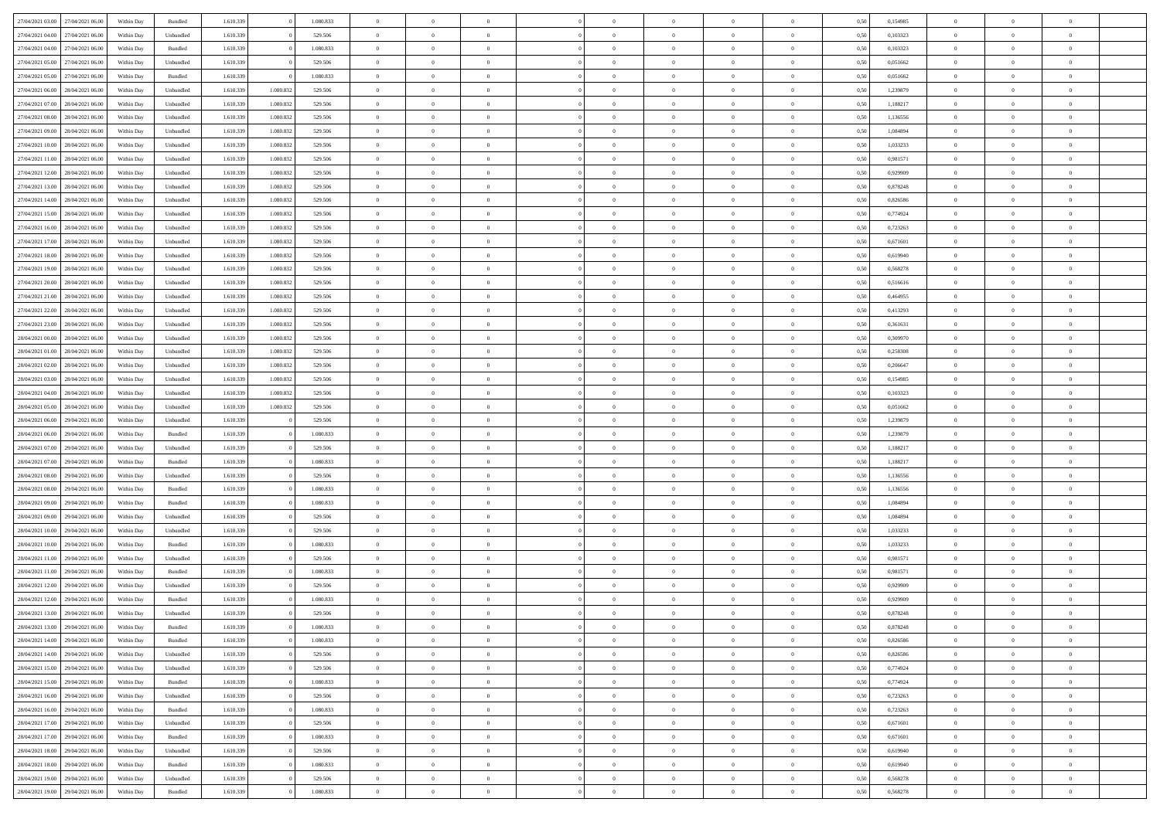| 27/04/2021 03:00 27/04/2021 06:00    | Within Day | Bundled   | 1.610.339 |           | 1.080.833 | $\overline{0}$ | $\overline{0}$ | $\Omega$       | $\Omega$       | $\theta$       | $\Omega$       | $\overline{0}$ | 0,50 | 0,154985 | $\theta$       | $\Omega$       | $\theta$       |  |
|--------------------------------------|------------|-----------|-----------|-----------|-----------|----------------|----------------|----------------|----------------|----------------|----------------|----------------|------|----------|----------------|----------------|----------------|--|
| 27/04/2021 04:00<br>27/04/2021 06:00 | Within Day | Unbundled | 1.610.339 |           | 529.506   | $\overline{0}$ | $\overline{0}$ | $\overline{0}$ | $\overline{0}$ | $\theta$       | $\overline{0}$ | $\bf{0}$       | 0,50 | 0,103323 | $\theta$       | $\theta$       | $\overline{0}$ |  |
| 27/04/2021 04:00<br>27/04/2021 06:00 | Within Day | Bundled   | 1.610.339 |           | 1.080.833 | $\overline{0}$ | $\bf{0}$       | $\overline{0}$ | $\overline{0}$ | $\bf{0}$       | $\overline{0}$ | $\bf{0}$       | 0,50 | 0,103323 | $\bf{0}$       | $\overline{0}$ | $\overline{0}$ |  |
| 27/04/2021 05:00<br>27/04/2021 06:00 | Within Day | Unbundled | 1.610.339 |           | 529.506   | $\overline{0}$ | $\overline{0}$ | $\overline{0}$ | $\overline{0}$ | $\overline{0}$ | $\overline{0}$ | $\overline{0}$ | 0.50 | 0.051662 | $\theta$       | $\theta$       | $\overline{0}$ |  |
| 27/04/2021 05:00<br>27/04/2021 06:00 | Within Day | Bundled   | 1.610.339 |           | 1.080.833 | $\overline{0}$ | $\overline{0}$ | $\overline{0}$ | $\overline{0}$ | $\theta$       | $\overline{0}$ | $\bf{0}$       | 0,50 | 0,051662 | $\theta$       | $\theta$       | $\overline{0}$ |  |
| 27/04/2021 06:00<br>28/04/2021 06:00 | Within Day | Unbundled | 1.610.339 | 1.080.832 | 529.506   | $\overline{0}$ | $\bf{0}$       | $\overline{0}$ | $\overline{0}$ | $\overline{0}$ | $\overline{0}$ | $\bf{0}$       | 0,50 | 1,239879 | $\overline{0}$ | $\overline{0}$ | $\bf{0}$       |  |
| 27/04/2021 07:00<br>28/04/2021 06:00 | Within Day | Unbundled | 1.610.339 | 1.080.832 | 529,506   | $\overline{0}$ | $\overline{0}$ | $\overline{0}$ | $\overline{0}$ | $\overline{0}$ | $\overline{0}$ | $\overline{0}$ | 0.5( | 1,188217 | $\theta$       | $\theta$       | $\overline{0}$ |  |
|                                      |            |           |           |           |           |                |                |                |                |                |                |                |      |          |                |                |                |  |
| 27/04/2021 08:00<br>28/04/2021 06:00 | Within Day | Unbundled | 1.610.339 | 1.080.832 | 529.506   | $\overline{0}$ | $\overline{0}$ | $\overline{0}$ | $\overline{0}$ | $\theta$       | $\overline{0}$ | $\bf{0}$       | 0,50 | 1,136556 | $\theta$       | $\theta$       | $\overline{0}$ |  |
| 27/04/2021 09:00<br>28/04/2021 06:00 | Within Day | Unbundled | 1.610.339 | 1.080.832 | 529.506   | $\overline{0}$ | $\bf{0}$       | $\overline{0}$ | $\overline{0}$ | $\overline{0}$ | $\bf{0}$       | $\bf{0}$       | 0,50 | 1,084894 | $\bf{0}$       | $\overline{0}$ | $\overline{0}$ |  |
| 27/04/2021 10:00<br>28/04/2021 06:00 | Within Day | Unbundled | 1.610.339 | 1.080.832 | 529,506   | $\overline{0}$ | $\overline{0}$ | $\overline{0}$ | $\overline{0}$ | $\overline{0}$ | $\overline{0}$ | $\bf{0}$       | 0.5( | 1,033233 | $\theta$       | $\theta$       | $\overline{0}$ |  |
| 27/04/2021 11:00<br>28/04/2021 06:00 | Within Day | Unbundled | 1.610.339 | 1.080.832 | 529.506   | $\overline{0}$ | $\overline{0}$ | $\overline{0}$ | $\overline{0}$ | $\theta$       | $\overline{0}$ | $\bf{0}$       | 0,50 | 0,981571 | $\theta$       | $\theta$       | $\overline{0}$ |  |
| 27/04/2021 12:00<br>28/04/2021 06:00 | Within Day | Unbundled | 1.610.339 | 1.080.832 | 529.506   | $\overline{0}$ | $\bf{0}$       | $\overline{0}$ | $\overline{0}$ | $\overline{0}$ | $\overline{0}$ | $\bf{0}$       | 0,50 | 0,929909 | $\bf{0}$       | $\overline{0}$ | $\overline{0}$ |  |
| 27/04/2021 13:00<br>28/04/2021 06:00 | Within Day | Unbundled | 1.610.339 | 1.080.832 | 529,506   | $\overline{0}$ | $\overline{0}$ | $\overline{0}$ | $\overline{0}$ | $\overline{0}$ | $\overline{0}$ | $\overline{0}$ | 0.5( | 0.878248 | $\theta$       | $\theta$       | $\overline{0}$ |  |
| 27/04/2021 14:00<br>28/04/2021 06:00 | Within Day | Unbundled | 1.610.339 | 1.080.832 | 529.506   | $\overline{0}$ | $\theta$       | $\overline{0}$ | $\overline{0}$ | $\theta$       | $\overline{0}$ | $\bf{0}$       | 0,50 | 0,826586 | $\theta$       | $\theta$       | $\overline{0}$ |  |
| 27/04/2021 15:00<br>28/04/2021 06:00 | Within Day | Unbundled | 1.610.339 | 1.080.832 | 529.506   | $\overline{0}$ | $\bf{0}$       | $\overline{0}$ | $\overline{0}$ | $\overline{0}$ | $\overline{0}$ | $\bf{0}$       | 0,50 | 0,774924 | $\bf{0}$       | $\overline{0}$ | $\bf{0}$       |  |
| 27/04/2021 16:00<br>28/04/2021 06:00 | Within Day | Unbundled | 1.610.339 | 1.080.832 | 529,506   | $\overline{0}$ | $\overline{0}$ | $\overline{0}$ | $\overline{0}$ | $\overline{0}$ | $\overline{0}$ | $\overline{0}$ | 0.5( | 0,723263 | $\overline{0}$ | $\overline{0}$ | $\overline{0}$ |  |
| 27/04/2021 17:00<br>28/04/2021 06:00 | Within Day | Unbundled | 1.610.339 | 1.080.832 | 529.506   | $\bf{0}$       | $\overline{0}$ | $\overline{0}$ | $\overline{0}$ | $\theta$       | $\overline{0}$ | $\bf{0}$       | 0,50 | 0,671601 | $\theta$       | $\theta$       | $\overline{0}$ |  |
| 27/04/2021 18:00<br>28/04/2021 06:00 | Within Day | Unbundled | 1.610.339 | 1.080.832 | 529.506   | $\overline{0}$ | $\bf{0}$       | $\overline{0}$ | $\overline{0}$ | $\overline{0}$ | $\bf{0}$       | $\bf{0}$       | 0,50 | 0,619940 | $\bf{0}$       | $\overline{0}$ | $\overline{0}$ |  |
| 27/04/2021 19:00<br>28/04/2021 06:00 | Within Day | Unbundled | 1.610.339 | 1.080.832 | 529,506   | $\overline{0}$ | $\overline{0}$ | $\overline{0}$ | $\overline{0}$ | $\overline{0}$ | $\overline{0}$ | $\overline{0}$ | 0.5( | 0,568278 | $\theta$       | $\theta$       | $\overline{0}$ |  |
| 27/04/2021 20:00<br>28/04/2021 06:00 | Within Day | Unbundled | 1.610.339 | 1.080.832 | 529.506   | $\bf{0}$       | $\overline{0}$ | $\overline{0}$ | $\overline{0}$ | $\theta$       | $\overline{0}$ | $\bf{0}$       | 0,50 | 0,516616 | $\theta$       | $\theta$       | $\overline{0}$ |  |
| 27/04/2021 21:00<br>28/04/2021 06:00 | Within Day | Unbundled | 1.610.339 | 1.080.832 | 529.506   | $\overline{0}$ | $\bf{0}$       | $\overline{0}$ | $\overline{0}$ | $\overline{0}$ | $\overline{0}$ | $\bf{0}$       | 0,50 | 0,464955 | $\bf{0}$       | $\overline{0}$ | $\overline{0}$ |  |
| 27/04/2021 22:00<br>28/04/2021 06:00 | Within Day | Unbundled | 1.610.339 | 1.080.832 | 529,506   | $\overline{0}$ | $\overline{0}$ | $\overline{0}$ | $\overline{0}$ | $\overline{0}$ | $\overline{0}$ | $\overline{0}$ | 0.5( | 0,413293 | $\theta$       | $\theta$       | $\overline{0}$ |  |
|                                      |            |           |           |           |           |                |                |                |                |                |                |                |      |          |                |                |                |  |
| 27/04/2021 23:00<br>28/04/2021 06:00 | Within Day | Unbundled | 1.610.339 | 1.080.832 | 529.506   | $\overline{0}$ | $\theta$       | $\overline{0}$ | $\overline{0}$ | $\theta$       | $\overline{0}$ | $\bf{0}$       | 0,50 | 0,361631 | $\theta$       | $\theta$       | $\overline{0}$ |  |
| 28/04/2021 00:00<br>28/04/2021 06:00 | Within Day | Unbundled | 1.610.339 | 1.080.832 | 529.506   | $\overline{0}$ | $\bf{0}$       | $\overline{0}$ | $\overline{0}$ | $\overline{0}$ | $\overline{0}$ | $\bf{0}$       | 0,50 | 0,309970 | $\overline{0}$ | $\overline{0}$ | $\bf{0}$       |  |
| 28/04/2021 01:00<br>28/04/2021 06:00 | Within Day | Unbundled | 1.610.339 | 1.080.832 | 529,506   | $\overline{0}$ | $\overline{0}$ | $\overline{0}$ | $\overline{0}$ | $\overline{0}$ | $\overline{0}$ | $\overline{0}$ | 0.5( | 0,258308 | $\overline{0}$ | $\theta$       | $\overline{0}$ |  |
| 28/04/2021 02:00<br>28/04/2021 06:00 | Within Day | Unbundled | 1.610.339 | 1.080.832 | 529.506   | $\overline{0}$ | $\overline{0}$ | $\overline{0}$ | $\overline{0}$ | $\theta$       | $\overline{0}$ | $\bf{0}$       | 0,50 | 0,206647 | $\theta$       | $\theta$       | $\overline{0}$ |  |
| 28/04/2021 03:00<br>28/04/2021 06:00 | Within Day | Unbundled | 1.610.339 | 1.080.832 | 529.506   | $\overline{0}$ | $\bf{0}$       | $\overline{0}$ | $\overline{0}$ | $\overline{0}$ | $\bf{0}$       | $\bf{0}$       | 0,50 | 0,154985 | $\bf{0}$       | $\bf{0}$       | $\overline{0}$ |  |
| 28/04/2021 04:00<br>28/04/2021 06:00 | Within Day | Unbundled | 1.610.339 | 1.080.832 | 529,506   | $\overline{0}$ | $\overline{0}$ | $\overline{0}$ | $\overline{0}$ | $\overline{0}$ | $\overline{0}$ | $\overline{0}$ | 0.5( | 0,103323 | $\theta$       | $\theta$       | $\overline{0}$ |  |
| 28/04/2021 05:00<br>28/04/2021 06:00 | Within Day | Unbundled | 1.610.339 | 1.080.832 | 529.506   | $\bf{0}$       | $\overline{0}$ | $\overline{0}$ | $\overline{0}$ | $\theta$       | $\overline{0}$ | $\bf{0}$       | 0,50 | 0,051662 | $\,$ 0 $\,$    | $\theta$       | $\overline{0}$ |  |
| 28/04/2021 06:00<br>29/04/2021 06.00 | Within Day | Unbundled | 1.610.339 |           | 529.506   | $\overline{0}$ | $\bf{0}$       | $\overline{0}$ | $\overline{0}$ | $\overline{0}$ | $\overline{0}$ | $\bf{0}$       | 0,50 | 1,239879 | $\bf{0}$       | $\overline{0}$ | $\overline{0}$ |  |
| 28/04/2021 06:00<br>29/04/2021 06.00 | Within Day | Bundled   | 1.610.339 |           | 1.080.833 | $\overline{0}$ | $\overline{0}$ | $\overline{0}$ | $\Omega$       | $\Omega$       | $\Omega$       | $\overline{0}$ | 0,50 | 1,239879 | $\,$ 0 $\,$    | $\overline{0}$ | $\theta$       |  |
| 28/04/2021 07:00<br>29/04/2021 06:00 | Within Day | Unbundled | 1.610.339 |           | 529.506   | $\overline{0}$ | $\overline{0}$ | $\overline{0}$ | $\overline{0}$ | $\theta$       | $\overline{0}$ | $\bf{0}$       | 0,50 | 1,188217 | $\theta$       | $\theta$       | $\overline{0}$ |  |
| 28/04/2021 07:00<br>29/04/2021 06.00 | Within Day | Bundled   | 1.610.339 |           | 1.080.833 | $\overline{0}$ | $\bf{0}$       | $\overline{0}$ | $\overline{0}$ | $\overline{0}$ | $\overline{0}$ | $\bf{0}$       | 0,50 | 1,188217 | $\bf{0}$       | $\overline{0}$ | $\bf{0}$       |  |
| 28/04/2021 08:00<br>29/04/2021 06:00 | Within Day | Unbundled | 1.610.339 |           | 529.506   | $\overline{0}$ | $\overline{0}$ | $\Omega$       | $\Omega$       | $\overline{0}$ | $\Omega$       | $\overline{0}$ | 0.50 | 1,136556 | $\bf{0}$       | $\theta$       | $\theta$       |  |
| 28/04/2021 08:00<br>29/04/2021 06:00 | Within Day | Bundled   | 1.610.339 |           | 1.080.833 | $\bf{0}$       | $\overline{0}$ | $\overline{0}$ | $\overline{0}$ | $\theta$       | $\overline{0}$ | $\bf{0}$       | 0,50 | 1,136556 | $\,$ 0 $\,$    | $\theta$       | $\overline{0}$ |  |
| 28/04/2021 09:00<br>29/04/2021 06.00 | Within Day | Bundled   | 1.610.339 |           | 1.080.833 | $\overline{0}$ | $\bf{0}$       | $\overline{0}$ | $\overline{0}$ | $\overline{0}$ | $\overline{0}$ | $\bf{0}$       | 0,50 | 1,084894 | $\bf{0}$       | $\overline{0}$ | $\overline{0}$ |  |
| 28/04/2021 09:00<br>29/04/2021 06:00 | Within Day | Unbundled | 1.610.339 |           | 529.506   | $\overline{0}$ | $\overline{0}$ | $\Omega$       | $\Omega$       | $\Omega$       | $\theta$       | $\overline{0}$ | 0.50 | 1.084894 | $\theta$       | $\theta$       | $\theta$       |  |
| 28/04/2021 10:00<br>29/04/2021 06:00 | Within Day | Unbundled | 1.610.339 |           | 529.506   | $\bf{0}$       | $\bf{0}$       | $\overline{0}$ | $\overline{0}$ | $\theta$       | $\overline{0}$ | $\bf{0}$       | 0,50 | 1,033233 | $\,$ 0 $\,$    | $\theta$       | $\overline{0}$ |  |
| 28/04/2021 10:00<br>29/04/2021 06.00 | Within Day | Bundled   | 1.610.339 |           | 1.080.833 | $\overline{0}$ | $\bf{0}$       | $\overline{0}$ | $\overline{0}$ | $\overline{0}$ | $\overline{0}$ | $\bf{0}$       | 0,50 | 1,033233 | $\bf{0}$       | $\overline{0}$ | $\overline{0}$ |  |
| 28/04/2021 11:00<br>29/04/2021 06.00 | Within Day | Unbundled | 1.610.339 |           | 529.506   | $\overline{0}$ | $\overline{0}$ | $\overline{0}$ | $\Omega$       | $\theta$       | $\Omega$       | $\overline{0}$ | 0.50 | 0,981571 | $\bf{0}$       | $\overline{0}$ | $\theta$       |  |
|                                      |            |           |           |           |           |                | $\overline{0}$ | $\overline{0}$ | $\overline{0}$ | $\theta$       | $\overline{0}$ |                |      |          | $\,$ 0 $\,$    | $\theta$       | $\overline{0}$ |  |
| 28/04/2021 11:00<br>29/04/2021 06:00 | Within Day | Bundled   | 1.610.339 |           | 1.080.833 | $\bf{0}$       |                |                |                |                |                | $\bf{0}$       | 0,50 | 0,981571 |                |                |                |  |
| 28/04/2021 12:00<br>29/04/2021 06.00 | Within Day | Unbundled | 1.610.339 |           | 529.506   | $\overline{0}$ | $\bf{0}$       | $\overline{0}$ | $\overline{0}$ | $\overline{0}$ | $\overline{0}$ | $\bf{0}$       | 0,50 | 0,929909 | $\bf{0}$       | $\overline{0}$ | $\bf{0}$       |  |
| 28/04/2021 12:00<br>29/04/2021 06.00 | Within Day | Bundled   | 1.610.339 |           | 1.080.833 | $\overline{0}$ | $\Omega$       | $\Omega$       | $\Omega$       | $\Omega$       | $\theta$       | $\overline{0}$ | 0.50 | 0,929909 | $\theta$       | $\overline{0}$ | $\theta$       |  |
| 28/04/2021 13:00<br>29/04/2021 06:00 | Within Day | Unbundled | 1.610.339 |           | 529.506   | $\bf{0}$       | $\bf{0}$       | $\overline{0}$ | $\overline{0}$ | $\overline{0}$ | $\bf{0}$       | $\bf{0}$       | 0,50 | 0,878248 | $\bf{0}$       | $\,0\,$        | $\overline{0}$ |  |
| 28/04/2021 13:00 29/04/2021 06:00    | Within Day | Bundled   | 1.610.339 |           | 1.080.833 | $\bf{0}$       |                |                |                |                |                |                | 0,50 | 0,878248 | $\bf{0}$       | $\bf{0}$       |                |  |
| 28/04/2021 14:00 29/04/2021 06:00    | Within Day | Bundled   | 1.610.339 |           | 1.080.833 | $\Omega$       | $\overline{0}$ | $\Omega$       | $\theta$       | $\overline{0}$ | $\theta$       | $\overline{0}$ | 0.50 | 0.826586 | $\theta$       | $\theta$       | $\theta$       |  |
| 28/04/2021 14:00<br>29/04/2021 06:00 | Within Day | Unbundled | 1.610.339 |           | 529.506   | $\overline{0}$ | $\overline{0}$ | $\overline{0}$ | $\overline{0}$ | $\,$ 0 $\,$    | $\overline{0}$ | $\,$ 0 $\,$    | 0,50 | 0,826586 | $\,$ 0 $\,$    | $\,$ 0 $\,$    | $\,$ 0         |  |
| 28/04/2021 15:00 29/04/2021 06:00    | Within Day | Unbundled | 1.610.339 |           | 529.506   | $\overline{0}$ | $\overline{0}$ | $\overline{0}$ | $\overline{0}$ | $\overline{0}$ | $\overline{0}$ | $\bf{0}$       | 0,50 | 0,774924 | $\overline{0}$ | $\bf{0}$       | $\overline{0}$ |  |
| 28/04/2021 15:00<br>29/04/2021 06:00 | Within Day | Bundled   | 1.610.339 |           | 1.080.833 | $\overline{0}$ | $\bf{0}$       | $\overline{0}$ | $\overline{0}$ | $\overline{0}$ | $\overline{0}$ | $\bf{0}$       | 0,50 | 0,774924 | $\bf{0}$       | $\theta$       | $\overline{0}$ |  |
| 28/04/2021 16:00<br>29/04/2021 06:00 | Within Day | Unbundled | 1.610.339 |           | 529.506   | $\overline{0}$ | $\overline{0}$ | $\overline{0}$ | $\overline{0}$ | $\overline{0}$ | $\overline{0}$ | $\bf{0}$       | 0,50 | 0,723263 | $\,$ 0 $\,$    | $\,$ 0 $\,$    | $\overline{0}$ |  |
| 28/04/2021 16:00<br>29/04/2021 06:00 | Within Day | Bundled   | 1.610.339 |           | 1.080.833 | $\overline{0}$ | $\overline{0}$ | $\overline{0}$ | $\overline{0}$ | $\bf{0}$       | $\overline{0}$ | $\bf{0}$       | 0,50 | 0,723263 | $\overline{0}$ | $\overline{0}$ | $\overline{0}$ |  |
| 28/04/2021 17:00<br>29/04/2021 06:00 | Within Day | Unbundled | 1.610.339 |           | 529.506   | $\overline{0}$ | $\bf{0}$       | $\overline{0}$ | $\overline{0}$ | $\overline{0}$ | $\overline{0}$ | $\bf{0}$       | 0.50 | 0,671601 | $\overline{0}$ | $\theta$       | $\overline{0}$ |  |
| 28/04/2021 17:00<br>29/04/2021 06:00 | Within Day | Bundled   | 1.610.339 |           | 1.080.833 | $\overline{0}$ | $\overline{0}$ | $\overline{0}$ | $\overline{0}$ | $\overline{0}$ | $\overline{0}$ | $\bf{0}$       | 0,50 | 0,671601 | $\,$ 0 $\,$    | $\bf{0}$       | $\overline{0}$ |  |
| 28/04/2021 18:00<br>29/04/2021 06:00 | Within Day | Unbundled | 1.610.339 |           | 529.506   | $\overline{0}$ | $\bf{0}$       | $\overline{0}$ | $\overline{0}$ | $\overline{0}$ | $\overline{0}$ | $\bf{0}$       | 0,50 | 0,619940 | $\bf{0}$       | $\overline{0}$ | $\bf{0}$       |  |
| 28/04/2021 18:00<br>29/04/2021 06:00 | Within Day | Bundled   | 1.610.339 |           | 1.080.833 | $\overline{0}$ | $\overline{0}$ | $\overline{0}$ | $\overline{0}$ | $\overline{0}$ | $\overline{0}$ | $\bf{0}$       | 0.50 | 0,619940 | $\overline{0}$ | $\theta$       | $\overline{0}$ |  |
| 28/04/2021 19:00<br>29/04/2021 06:00 | Within Day | Unbundled | 1.610.339 |           | 529.506   | $\overline{0}$ | $\,$ 0         | $\overline{0}$ | $\overline{0}$ | $\bf{0}$       | $\overline{0}$ | $\bf{0}$       | 0,50 | 0,568278 | $\,$ 0 $\,$    | $\,$ 0 $\,$    | $\bf{0}$       |  |
| 28/04/2021 19:00 29/04/2021 06:00    | Within Day | Bundled   | 1.610.339 |           | 1.080.833 | $\overline{0}$ | $\bf{0}$       | $\overline{0}$ | $\overline{0}$ | $\overline{0}$ | $\overline{0}$ | $\bf{0}$       | 0,50 | 0,568278 | $\overline{0}$ | $\bf{0}$       | $\overline{0}$ |  |
|                                      |            |           |           |           |           |                |                |                |                |                |                |                |      |          |                |                |                |  |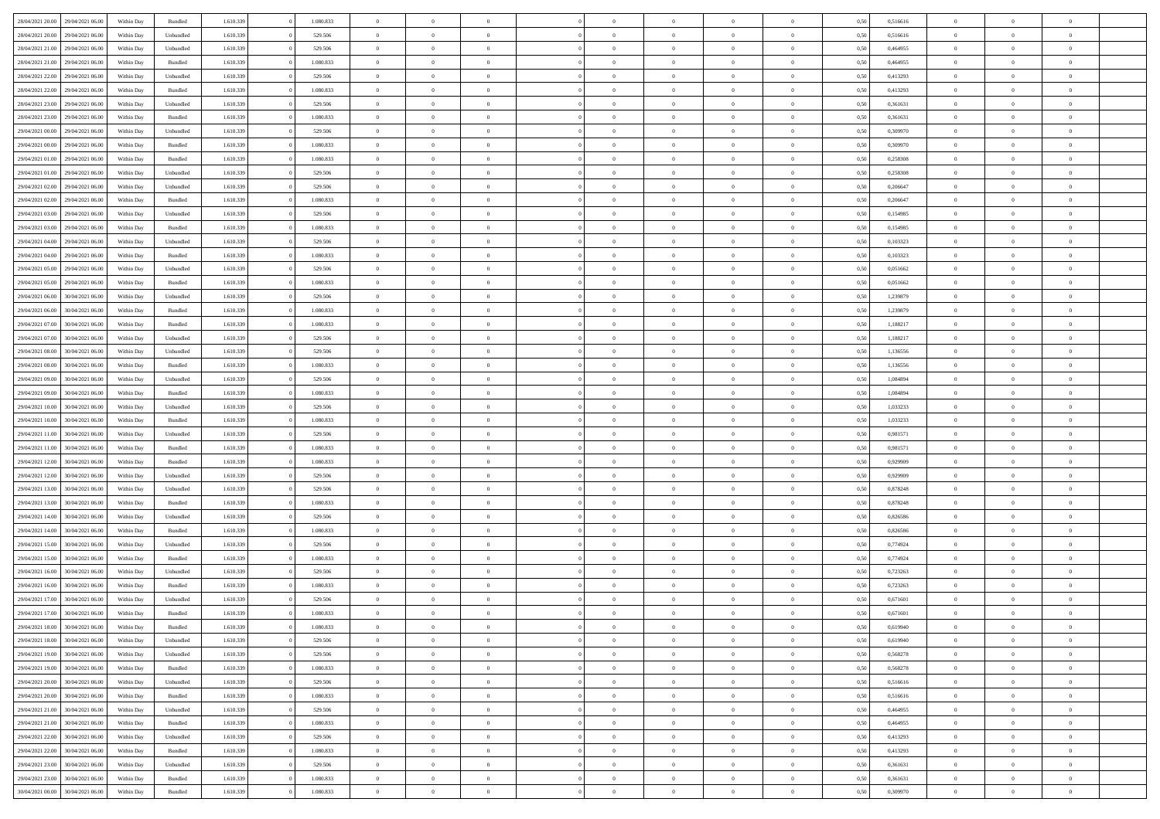| 28/04/2021 20:00 | 29/04/2021 06:00 | Within Day | Bundled            | 1.610.339 | 1.080.833 | $\overline{0}$ | $\Omega$       |                | $\Omega$       | $\Omega$       | $\Omega$       | $\theta$       | 0,50 | 0,516616 | $\theta$       | $\theta$       | $\theta$       |  |
|------------------|------------------|------------|--------------------|-----------|-----------|----------------|----------------|----------------|----------------|----------------|----------------|----------------|------|----------|----------------|----------------|----------------|--|
|                  |                  |            |                    |           |           |                |                |                |                |                |                |                |      |          |                |                |                |  |
| 28/04/2021 20:00 | 29/04/2021 06.00 | Within Day | Unbundled          | 1.610.339 | 529.506   | $\overline{0}$ | $\theta$       | $\overline{0}$ | $\overline{0}$ | $\bf{0}$       | $\overline{0}$ | $\bf{0}$       | 0,50 | 0,516616 | $\theta$       | $\theta$       | $\overline{0}$ |  |
| 28/04/2021 21:00 | 29/04/2021 06:00 | Within Day | Unbundled          | 1.610.339 | 529.506   | $\overline{0}$ | $\overline{0}$ | $\overline{0}$ | $\overline{0}$ | $\bf{0}$       | $\overline{0}$ | $\bf{0}$       | 0,50 | 0,464955 | $\bf{0}$       | $\overline{0}$ | $\overline{0}$ |  |
| 28/04/2021 21:00 | 29/04/2021 06:00 | Within Dav | Bundled            | 1.610.339 | 1.080.833 | $\overline{0}$ | $\overline{0}$ | $\overline{0}$ | $\overline{0}$ | $\bf{0}$       | $\overline{0}$ | $\overline{0}$ | 0.50 | 0.464955 | $\theta$       | $\theta$       | $\overline{0}$ |  |
|                  |                  |            |                    |           |           |                |                |                |                |                |                |                |      |          |                |                |                |  |
| 28/04/2021 22:00 | 29/04/2021 06.00 | Within Day | Unbundled          | 1.610.339 | 529.506   | $\overline{0}$ | $\theta$       | $\overline{0}$ | $\overline{0}$ | $\bf{0}$       | $\overline{0}$ | $\bf{0}$       | 0,50 | 0,413293 | $\theta$       | $\overline{0}$ | $\overline{0}$ |  |
| 28/04/2021 22:00 | 29/04/2021 06.00 | Within Day | Bundled            | 1.610.339 | 1.080.833 | $\overline{0}$ | $\overline{0}$ | $\overline{0}$ | $\overline{0}$ | $\overline{0}$ | $\overline{0}$ | $\mathbf{0}$   | 0,50 | 0,413293 | $\overline{0}$ | $\overline{0}$ | $\bf{0}$       |  |
| 28/04/2021 23:00 | 29/04/2021 06.00 | Within Dav | Unbundled          | 1.610.339 | 529.506   | $\overline{0}$ | $\overline{0}$ | $\overline{0}$ | $\overline{0}$ | $\overline{0}$ | $\overline{0}$ | $\overline{0}$ | 0.50 | 0,361631 | $\theta$       | $\overline{0}$ | $\overline{0}$ |  |
| 28/04/2021 23:00 | 29/04/2021 06.00 | Within Day | Bundled            | 1.610.339 | 1.080.833 | $\overline{0}$ | $\theta$       | $\overline{0}$ | $\overline{0}$ | $\bf{0}$       | $\overline{0}$ | $\bf{0}$       | 0,50 | 0,361631 | $\theta$       | $\theta$       | $\overline{0}$ |  |
|                  |                  |            |                    |           |           |                |                |                |                |                |                |                |      |          |                |                |                |  |
| 29/04/2021 00:00 | 29/04/2021 06.00 | Within Day | Unbundled          | 1.610.339 | 529.506   | $\overline{0}$ | $\overline{0}$ | $\overline{0}$ | $\bf{0}$       | $\bf{0}$       | $\bf{0}$       | $\bf{0}$       | 0,50 | 0,309970 | $\,0\,$        | $\overline{0}$ | $\overline{0}$ |  |
| 29/04/2021 00:00 | 29/04/2021 06.00 | Within Dav | Bundled            | 1.610.339 | 1.080.833 | $\overline{0}$ | $\overline{0}$ | $\overline{0}$ | $\overline{0}$ | $\overline{0}$ | $\overline{0}$ | $\overline{0}$ | 0.50 | 0,309970 | $\theta$       | $\overline{0}$ | $\overline{0}$ |  |
| 29/04/2021 01:00 | 29/04/2021 06.00 | Within Day | Bundled            | 1.610.339 | 1.080.833 | $\overline{0}$ | $\theta$       | $\overline{0}$ | $\overline{0}$ | $\bf{0}$       | $\overline{0}$ | $\bf{0}$       | 0,50 | 0,258308 | $\,$ 0 $\,$    | $\overline{0}$ | $\overline{0}$ |  |
| 29/04/2021 01:00 | 29/04/2021 06:00 | Within Day | Unbundled          | 1.610.339 | 529.506   | $\overline{0}$ | $\overline{0}$ | $\overline{0}$ | $\bf{0}$       | $\bf{0}$       | $\bf{0}$       | $\mathbf{0}$   | 0,50 | 0,258308 | $\overline{0}$ | $\overline{0}$ | $\overline{0}$ |  |
| 29/04/2021 02:00 | 29/04/2021 06:00 | Within Day | Unbundled          | 1.610.339 | 529.506   | $\overline{0}$ | $\overline{0}$ | $\overline{0}$ | $\overline{0}$ | $\bf{0}$       | $\overline{0}$ | $\overline{0}$ | 0.50 | 0.206647 | $\theta$       | $\theta$       | $\overline{0}$ |  |
|                  |                  |            |                    |           |           |                |                |                |                |                |                |                |      |          |                |                |                |  |
| 29/04/2021 02.00 | 29/04/2021 06.00 | Within Day | Bundled            | 1.610.339 | 1.080.833 | $\overline{0}$ | $\theta$       | $\overline{0}$ | $\overline{0}$ | $\bf{0}$       | $\overline{0}$ | $\bf{0}$       | 0,50 | 0,206647 | $\theta$       | $\overline{0}$ | $\overline{0}$ |  |
| 29/04/2021 03:00 | 29/04/2021 06:00 | Within Day | Unbundled          | 1.610.339 | 529.506   | $\overline{0}$ | $\overline{0}$ | $\overline{0}$ | $\bf{0}$       | $\overline{0}$ | $\overline{0}$ | $\mathbf{0}$   | 0,50 | 0,154985 | $\overline{0}$ | $\overline{0}$ | $\bf{0}$       |  |
| 29/04/2021 03:00 | 29/04/2021 06:00 | Within Dav | Bundled            | 1.610.339 | 1.080.833 | $\overline{0}$ | $\overline{0}$ | $\overline{0}$ | $\overline{0}$ | $\overline{0}$ | $\overline{0}$ | $\overline{0}$ | 0.50 | 0,154985 | $\theta$       | $\overline{0}$ | $\overline{0}$ |  |
| 29/04/2021 04:00 | 29/04/2021 06.00 | Within Day | Unbundled          | 1.610.339 | 529.506   | $\overline{0}$ | $\theta$       | $\overline{0}$ | $\overline{0}$ | $\bf{0}$       | $\overline{0}$ | $\bf{0}$       | 0,50 | 0,103323 | $\theta$       | $\theta$       | $\overline{0}$ |  |
| 29/04/2021 04:00 | 29/04/2021 06.00 | Within Day | Bundled            | 1.610.339 | 1.080.833 | $\overline{0}$ | $\overline{0}$ | $\overline{0}$ | $\bf{0}$       | $\bf{0}$       | $\bf{0}$       | $\mathbf{0}$   | 0,50 | 0,103323 | $\bf{0}$       | $\overline{0}$ | $\overline{0}$ |  |
|                  |                  |            |                    |           |           |                |                |                |                |                |                |                |      |          |                |                |                |  |
| 29/04/2021 05:00 | 29/04/2021 06.00 | Within Day | Unbundled          | 1.610.339 | 529.506   | $\overline{0}$ | $\overline{0}$ | $\overline{0}$ | $\overline{0}$ | $\overline{0}$ | $\overline{0}$ | $\overline{0}$ | 0.50 | 0,051662 | $\theta$       | $\overline{0}$ | $\overline{0}$ |  |
| 29/04/2021 05:00 | 29/04/2021 06.00 | Within Day | Bundled            | 1.610.339 | 1.080.833 | $\overline{0}$ | $\theta$       | $\overline{0}$ | $\overline{0}$ | $\bf{0}$       | $\overline{0}$ | $\bf{0}$       | 0,50 | 0,051662 | $\,$ 0 $\,$    | $\theta$       | $\overline{0}$ |  |
| 29/04/2021 06:00 | 30/04/2021 06:00 | Within Day | Unbundled          | 1.610.339 | 529.506   | $\overline{0}$ | $\overline{0}$ | $\overline{0}$ | $\bf{0}$       | $\bf{0}$       | $\bf{0}$       | $\bf{0}$       | 0,50 | 1,239879 | $\bf{0}$       | $\overline{0}$ | $\overline{0}$ |  |
| 29/04/2021 06:00 | 30/04/2021 06:00 | Within Day | Bundled            | 1.610.339 | 1.080.833 | $\overline{0}$ | $\overline{0}$ | $\overline{0}$ | $\overline{0}$ | $\bf{0}$       | $\overline{0}$ | $\overline{0}$ | 0.50 | 1,239879 | $\theta$       | $\overline{0}$ | $\overline{0}$ |  |
|                  |                  |            |                    |           |           |                |                |                |                |                |                |                |      |          |                |                |                |  |
| 29/04/2021 07:00 | 30/04/2021 06:00 | Within Day | Bundled            | 1.610.339 | 1.080.833 | $\overline{0}$ | $\theta$       | $\overline{0}$ | $\overline{0}$ | $\bf{0}$       | $\overline{0}$ | $\bf{0}$       | 0,50 | 1,188217 | $\,$ 0 $\,$    | $\overline{0}$ | $\overline{0}$ |  |
| 29/04/2021 07:00 | 30/04/2021 06:00 | Within Day | Unbundled          | 1.610.339 | 529.506   | $\overline{0}$ | $\overline{0}$ | $\overline{0}$ | $\bf{0}$       | $\overline{0}$ | $\overline{0}$ | $\mathbf{0}$   | 0,50 | 1,188217 | $\overline{0}$ | $\overline{0}$ | $\bf{0}$       |  |
| 29/04/2021 08:00 | 30/04/2021 06:00 | Within Dav | Unbundled          | 1.610.339 | 529.506   | $\overline{0}$ | $\overline{0}$ | $\overline{0}$ | $\overline{0}$ | $\overline{0}$ | $\overline{0}$ | $\overline{0}$ | 0.50 | 1,136556 | $\overline{0}$ | $\overline{0}$ | $\overline{0}$ |  |
| 29/04/2021 08:00 | 30/04/2021 06:00 | Within Day | Bundled            | 1.610.339 | 1.080.833 | $\overline{0}$ | $\theta$       | $\overline{0}$ | $\overline{0}$ | $\bf{0}$       | $\overline{0}$ | $\bf{0}$       | 0,50 | 1,136556 | $\theta$       | $\theta$       | $\overline{0}$ |  |
|                  | 30/04/2021 06:00 | Within Day | Unbundled          | 1.610.339 | 529.506   | $\overline{0}$ | $\overline{0}$ | $\overline{0}$ | $\bf{0}$       | $\bf{0}$       | $\bf{0}$       | $\bf{0}$       | 0,50 | 1,084894 | $\,0\,$        | $\overline{0}$ | $\overline{0}$ |  |
| 29/04/2021 09:00 |                  |            |                    |           |           |                |                |                |                |                |                |                |      |          |                |                |                |  |
| 29/04/2021 09:00 | 30/04/2021 06:00 | Within Day | Bundled            | 1.610.339 | 1.080.833 | $\overline{0}$ | $\overline{0}$ | $\overline{0}$ | $\overline{0}$ | $\overline{0}$ | $\overline{0}$ | $\overline{0}$ | 0.50 | 1,084894 | $\theta$       | $\overline{0}$ | $\overline{0}$ |  |
| 29/04/2021 10:00 | 30/04/2021 06:00 | Within Day | Unbundled          | 1.610.339 | 529.506   | $\overline{0}$ | $\theta$       | $\overline{0}$ | $\overline{0}$ | $\bf{0}$       | $\overline{0}$ | $\bf{0}$       | 0,50 | 1,033233 | $\,$ 0 $\,$    | $\overline{0}$ | $\overline{0}$ |  |
| 29/04/2021 10:00 | 30/04/2021 06:00 | Within Day | Bundled            | 1.610.339 | 1.080.833 | $\overline{0}$ | $\overline{0}$ | $\overline{0}$ | $\bf{0}$       | $\bf{0}$       | $\bf{0}$       | $\bf{0}$       | 0,50 | 1,033233 | $\overline{0}$ | $\overline{0}$ | $\overline{0}$ |  |
| 29/04/2021 11:00 | 30/04/2021 06:00 | Within Day | Unbundled          | 1.610.339 | 529.506   | $\overline{0}$ | $\Omega$       | $\overline{0}$ | $\Omega$       | $\Omega$       | $\overline{0}$ | $\overline{0}$ | 0,50 | 0,981571 | $\,0\,$        | $\theta$       | $\theta$       |  |
|                  |                  |            |                    |           |           |                | $\theta$       |                |                |                |                |                |      |          | $\theta$       |                |                |  |
| 29/04/2021 11:00 | 30/04/2021 06:00 | Within Day | Bundled            | 1.610.339 | 1.080.833 | $\overline{0}$ |                | $\overline{0}$ | $\overline{0}$ | $\bf{0}$       | $\overline{0}$ | $\bf{0}$       | 0,50 | 0,981571 |                | $\theta$       | $\overline{0}$ |  |
| 29/04/2021 12:00 | 30/04/2021 06:00 | Within Day | Bundled            | 1.610.339 | 1.080.833 | $\overline{0}$ | $\overline{0}$ | $\overline{0}$ | $\bf{0}$       | $\bf{0}$       | $\overline{0}$ | $\mathbf{0}$   | 0,50 | 0,929909 | $\overline{0}$ | $\overline{0}$ | $\bf{0}$       |  |
| 29/04/2021 12:00 | 30/04/2021 06:00 | Within Day | Unbundled          | 1.610.339 | 529.506   | $\overline{0}$ | $\Omega$       | $\Omega$       | $\Omega$       | $\bf{0}$       | $\overline{0}$ | $\overline{0}$ | 0.50 | 0,929909 | $\,0\,$        | $\theta$       | $\theta$       |  |
| 29/04/2021 13:00 | 30/04/2021 06:00 | Within Day | Unbundled          | 1.610.339 | 529.506   | $\overline{0}$ | $\theta$       | $\overline{0}$ | $\overline{0}$ | $\bf{0}$       | $\overline{0}$ | $\bf{0}$       | 0,50 | 0,878248 | $\,$ 0 $\,$    | $\theta$       | $\overline{0}$ |  |
| 29/04/2021 13:00 | 30/04/2021 06:00 | Within Day | Bundled            | 1.610.339 | 1.080.833 | $\overline{0}$ | $\overline{0}$ | $\overline{0}$ | $\bf{0}$       | $\bf{0}$       | $\bf{0}$       | $\bf{0}$       | 0,50 | 0,878248 | $\bf{0}$       | $\overline{0}$ | $\overline{0}$ |  |
|                  |                  |            |                    |           |           |                |                |                |                |                |                |                |      |          |                |                |                |  |
| 29/04/2021 14:00 | 30/04/2021 06:00 | Within Day | Unbundled          | 1.610.339 | 529.506   | $\overline{0}$ | $\Omega$       | $\overline{0}$ | $\Omega$       | $\theta$       | $\overline{0}$ | $\overline{0}$ | 0.50 | 0.826586 | $\,$ 0 $\,$    | $\theta$       | $\theta$       |  |
| 29/04/2021 14:00 | 30/04/2021 06:00 | Within Day | Bundled            | 1.610.339 | 1.080.833 | $\overline{0}$ | $\theta$       | $\overline{0}$ | $\overline{0}$ | $\bf{0}$       | $\overline{0}$ | $\bf{0}$       | 0,50 | 0,826586 | $\,$ 0 $\,$    | $\overline{0}$ | $\overline{0}$ |  |
| 29/04/2021 15:00 | 30/04/2021 06:00 | Within Day | Unbundled          | 1.610.339 | 529.506   | $\overline{0}$ | $\overline{0}$ | $\overline{0}$ | $\overline{0}$ | $\bf{0}$       | $\overline{0}$ | $\mathbf{0}$   | 0,50 | 0,774924 | $\bf{0}$       | $\overline{0}$ | $\overline{0}$ |  |
| 29/04/2021 15:00 | 30/04/2021 06:00 | Within Day | Bundled            | 1.610.339 | 1.080.833 | $\overline{0}$ | $\Omega$       | $\overline{0}$ | $\Omega$       | $\Omega$       | $\overline{0}$ | $\overline{0}$ | 0.50 | 0,774924 | $\,0\,$        | $\theta$       | $\theta$       |  |
| 29/04/2021 16:00 | 30/04/2021 06:00 | Within Day | Unbundled          | 1.610.339 | 529.506   | $\overline{0}$ | $\theta$       | $\overline{0}$ | $\overline{0}$ | $\,$ 0         | $\overline{0}$ | $\bf{0}$       | 0,50 | 0,723263 | $\,$ 0 $\,$    | $\overline{0}$ | $\overline{0}$ |  |
|                  |                  |            |                    |           |           |                |                |                |                |                |                |                |      |          |                |                |                |  |
| 29/04/2021 16:00 | 30/04/2021 06:00 | Within Day | Bundled            | 1.610.339 | 1.080.833 | $\overline{0}$ | $\overline{0}$ | $\overline{0}$ | $\overline{0}$ | $\bf{0}$       | $\overline{0}$ | $\mathbf{0}$   | 0,50 | 0,723263 | $\bf{0}$       | $\overline{0}$ | $\bf{0}$       |  |
| 29/04/2021 17:00 | 30/04/2021 06:00 | Within Day | Unbundled          | 1.610.339 | 529.506   | $\overline{0}$ | $\Omega$       | $\Omega$       | $\Omega$       | $\Omega$       | $\Omega$       | $\overline{0}$ | 0.50 | 0.671601 | $\theta$       | $\theta$       | $\theta$       |  |
| 29/04/2021 17:00 | 30/04/2021 06:00 | Within Day | Bundled            | 1.610.339 | 1.080.833 | $\overline{0}$ | $\,$ 0 $\,$    | $\overline{0}$ | $\bf{0}$       | $\,$ 0         | $\overline{0}$ | $\bf{0}$       | 0,50 | 0,671601 | $\,0\,$        | $\overline{0}$ | $\overline{0}$ |  |
| 29/04/2021 18:00 | 30/04/2021 06:00 | Within Day | $\mathbf B$ undled | 1.610.339 | 1.080.833 | $\bf{0}$       | $\bf{0}$       |                |                |                |                |                | 0,50 | 0,619940 | $\bf{0}$       | $\overline{0}$ |                |  |
|                  | 30/04/2021 06:00 |            |                    | 1.610.339 |           | $\overline{0}$ | $\overline{0}$ |                | $\Omega$       | $\overline{0}$ | $\overline{0}$ | $\overline{0}$ |      | 0.619940 | $\theta$       | $\theta$       | $\Omega$       |  |
| 29/04/2021 18:00 |                  | Within Day | Unbundled          |           | 529.506   |                |                | $\overline{0}$ |                |                |                |                | 0,50 |          |                |                |                |  |
| 29/04/2021 19:00 | 30/04/2021 06:00 | Within Day | Unbundled          | 1.610.339 | 529.506   | $\overline{0}$ | $\bf{0}$       | $\overline{0}$ | $\bf{0}$       | $\,$ 0 $\,$    | $\overline{0}$ | $\,$ 0 $\,$    | 0,50 | 0,568278 | $\,$ 0 $\,$    | $\,$ 0 $\,$    | $\,$ 0         |  |
| 29/04/2021 19:00 | 30/04/2021 06:00 | Within Day | Bundled            | 1.610.339 | 1.080.833 | $\overline{0}$ | $\overline{0}$ | $\overline{0}$ | $\overline{0}$ | $\overline{0}$ | $\overline{0}$ | $\mathbf{0}$   | 0,50 | 0,568278 | $\overline{0}$ | $\bf{0}$       | $\bf{0}$       |  |
| 29/04/2021 20:00 | 30/04/2021 06:00 | Within Day | Unbundled          | 1.610.339 | 529.506   | $\overline{0}$ | $\overline{0}$ | $\overline{0}$ | $\Omega$       | $\overline{0}$ | $\overline{0}$ | $\overline{0}$ | 0,50 | 0,516616 | $\overline{0}$ | $\overline{0}$ | $\overline{0}$ |  |
| 29/04/2021 20:00 | 30/04/2021 06:00 | Within Day | Bundled            | 1.610.339 | 1.080.833 | $\overline{0}$ | $\,$ 0         | $\overline{0}$ | $\bf{0}$       | $\,$ 0 $\,$    | $\overline{0}$ | $\mathbf{0}$   | 0,50 | 0,516616 | $\,$ 0 $\,$    | $\overline{0}$ | $\overline{0}$ |  |
|                  |                  |            |                    |           |           |                |                |                |                |                |                |                |      |          |                |                |                |  |
| 29/04/2021 21:00 | 30/04/2021 06:00 | Within Day | Unbundled          | 1.610.339 | 529.506   | $\overline{0}$ | $\overline{0}$ | $\overline{0}$ | $\overline{0}$ | $\overline{0}$ | $\overline{0}$ | $\mathbf{0}$   | 0,50 | 0,464955 | $\overline{0}$ | $\overline{0}$ | $\bf{0}$       |  |
| 29/04/2021 21:00 | 30/04/2021 06:00 | Within Day | Bundled            | 1.610.339 | 1.080.833 | $\overline{0}$ | $\overline{0}$ | $\overline{0}$ | $\overline{0}$ | $\overline{0}$ | $\overline{0}$ | $\bf{0}$       | 0.50 | 0.464955 | $\overline{0}$ | $\theta$       | $\overline{0}$ |  |
| 29/04/2021 22.00 | 30/04/2021 06:00 | Within Day | Unbundled          | 1.610.339 | 529.506   | $\overline{0}$ | $\,$ 0         | $\overline{0}$ | $\bf{0}$       | $\bf{0}$       | $\bf{0}$       | $\bf{0}$       | 0,50 | 0,413293 | $\,$ 0 $\,$    | $\overline{0}$ | $\overline{0}$ |  |
| 29/04/2021 22.00 | 30/04/2021 06:00 | Within Day | Bundled            | 1.610.339 | 1.080.833 | $\overline{0}$ | $\bf{0}$       | $\overline{0}$ | $\overline{0}$ | $\overline{0}$ | $\overline{0}$ | $\mathbf{0}$   | 0,50 | 0,413293 | $\overline{0}$ | $\overline{0}$ | $\bf{0}$       |  |
|                  |                  |            |                    |           |           |                |                |                |                |                |                |                |      |          |                |                |                |  |
| 29/04/2021 23:00 | 30/04/2021 06:00 | Within Day | Unbundled          | 1.610.339 | 529.506   | $\overline{0}$ | $\overline{0}$ | $\overline{0}$ | $\Omega$       | $\overline{0}$ | $\overline{0}$ | $\overline{0}$ | 0,50 | 0.361631 | $\overline{0}$ | $\overline{0}$ | $\overline{0}$ |  |
| 29/04/2021 23:00 | 30/04/2021 06:00 | Within Day | Bundled            | 1.610.339 | 1.080.833 | $\overline{0}$ | $\bf{0}$       | $\overline{0}$ | $\bf{0}$       | $\bf{0}$       | $\bf{0}$       | $\mathbf{0}$   | 0,50 | 0,361631 | $\,$ 0 $\,$    | $\,$ 0 $\,$    | $\bf{0}$       |  |
| 30/04/2021 00:00 | 30/04/2021 06:00 | Within Day | Bundled            | 1.610.339 | 1.080.833 | $\overline{0}$ | $\overline{0}$ | $\overline{0}$ | $\overline{0}$ | $\overline{0}$ | $\bf{0}$       | $\mathbf{0}$   | 0,50 | 0,309970 | $\overline{0}$ | $\bf{0}$       | $\overline{0}$ |  |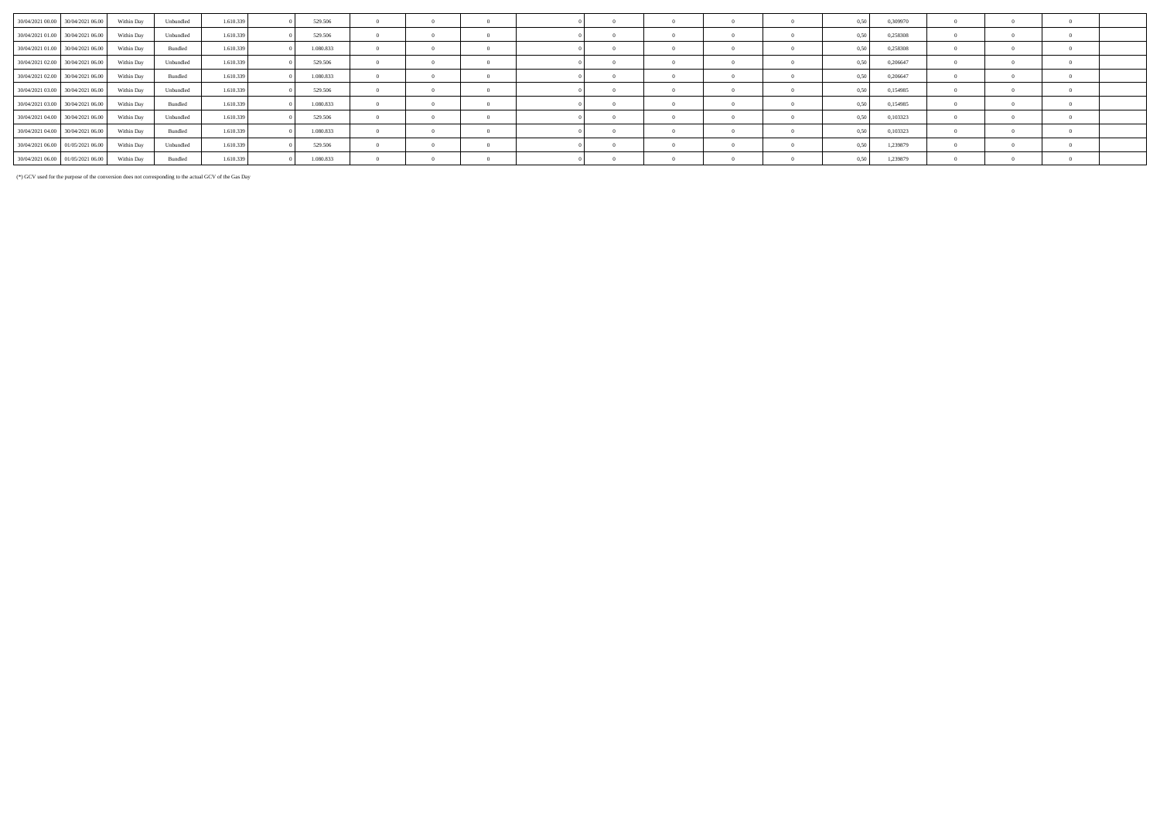| 30/04/2021 00:00 30/04/2021 06:00            | Within Day | Unbundled | 1.610.339 | 529,506   |  |  |          |  | 0.50 | 0.309970 |  |  |
|----------------------------------------------|------------|-----------|-----------|-----------|--|--|----------|--|------|----------|--|--|
| 30/04/2021 01:00 30/04/2021 06:00            | Within Day | Unbundled | 1.610.339 | 529.506   |  |  |          |  |      | 0.258308 |  |  |
| 30/04/2021 01:00 30/04/2021 06:00            | Within Day | Bundled   | 1.610.339 | 1.080.833 |  |  |          |  | 0.50 | 0.258308 |  |  |
| 30/04/2021 02:00 30/04/2021 06:00            | Within Day | Unbundled | 1.610.339 | 529.506   |  |  |          |  | 0.50 | 0.206647 |  |  |
| 30/04/2021 02.00 30/04/2021 06:00            | Within Day | Bundled   | 1.610.339 | 1.080.833 |  |  |          |  | 0.50 | 0.206647 |  |  |
| 30/04/2021 03:00 30/04/2021 06:00 Within Day |            | Unbundled | 1.610.339 | 529.506   |  |  | $\Omega$ |  | 0.50 | 0,154985 |  |  |
| 30/04/2021 03:00 30/04/2021 06:00            | Within Day | Bundled   | 1.610.339 | 1.080.833 |  |  |          |  | 0.50 | 0.154985 |  |  |
| 30/04/2021 04:00 30/04/2021 06:00            | Within Day | Unbundled | 1.610.339 | 529.506   |  |  |          |  | 0.50 | 0,103323 |  |  |
| 30/04/2021 04:00 30/04/2021 06:00            | Within Day | Bundled   | 1.610.339 | 1.080.833 |  |  |          |  | 0.50 | 0.103323 |  |  |
| 30/04/2021 06:00 01/05/2021 06:00            | Within Dav | Unbundled | 1.610.339 | 529.506   |  |  |          |  | 0.50 | 1,239879 |  |  |
| 30/04/2021 06:00 01/05/2021 06:00            | Within Dav | Bundled   | 1.610.339 | 1.080.833 |  |  |          |  | 0.50 | 1,239879 |  |  |

(\*) GCV used for the purpose of the conversion does not corresponding to the actual GCV of the Gas Day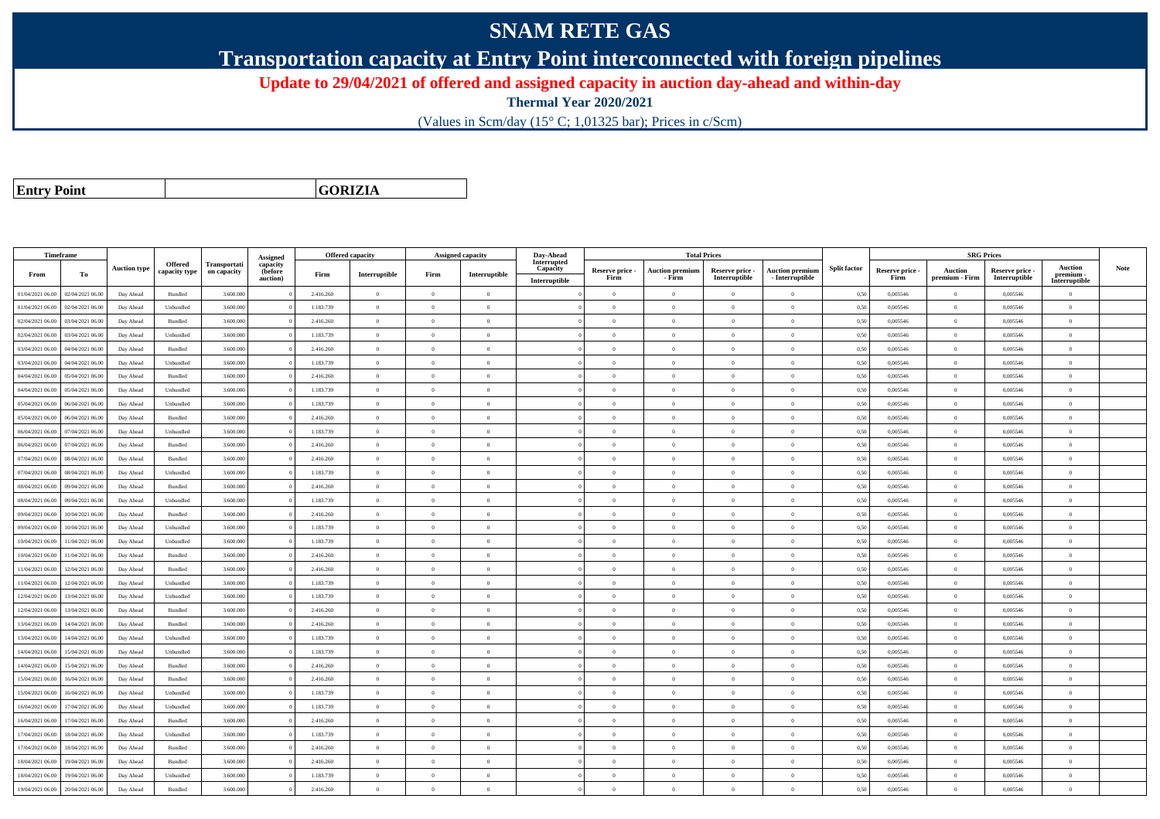## **SNAM RETE GAS**

**Transportation capacity at Entry Point interconnected with foreign pipelines**

**Update to 29/04/2021 of offered and assigned capacity in auction day-ahead and within-day**

**Thermal Year 2020/2021**

(Values in Scm/day (15° C; 1,01325 bar); Prices in c/Scm)

**Entry Point**

**GORIZIA**

|                  | Timeframe        |                     |                                 |                             |                                             |           | <b>Offered capacity</b> |                | <b>Assigned capacity</b> | Day-Ahead                                |                         | <b>Total Prices</b>              |                                  |                                           |                     |                         | <b>SRG Prices</b>                |                                  |                                              |             |
|------------------|------------------|---------------------|---------------------------------|-----------------------------|---------------------------------------------|-----------|-------------------------|----------------|--------------------------|------------------------------------------|-------------------------|----------------------------------|----------------------------------|-------------------------------------------|---------------------|-------------------------|----------------------------------|----------------------------------|----------------------------------------------|-------------|
| From             | To               | <b>Auction type</b> | <b>Offered</b><br>capacity type | Transportati<br>on capacity | Assigned<br>capacity<br>(before<br>auction) | Firm      | Interruptible           | Firm           | Interruptible            | Interrupted<br>Capacity<br>Interruptible | Reserve price -<br>Firm | <b>Auction premium</b><br>- Firm | Reserve price -<br>Interruptible | <b>Auction premiun</b><br>- Interruptible | <b>Split factor</b> | Reserve price -<br>Firm | <b>Auction</b><br>premium - Firm | Reserve price -<br>Interruptible | <b>Auction</b><br>premium -<br>Interruptible | <b>Note</b> |
| 01/04/2021 06:00 | 02/04/2021 06:00 | Day Ahead           | Bundled                         | 3.600.000                   |                                             | 2.416.260 | $\overline{0}$          | $\Omega$       | $\overline{0}$           |                                          | $\Omega$                | $\theta$                         | $\Omega$                         | $\theta$                                  | 0.50                | 0.005546                | $\theta$                         | 0.005546                         | $\theta$                                     |             |
| 01/04/2021 06:00 | 02/04/2021 06:00 | Day Ahead           | Unbundled                       | 3.600.000                   |                                             | 1.183.739 | $\overline{0}$          | $\overline{0}$ | $\theta$                 |                                          | $\Omega$                | $\theta$                         | $\overline{0}$                   | $\mathbf{0}$                              | 0,50                | 0,005546                | $\overline{0}$                   | 0,005546                         | $\bf{0}$                                     |             |
| 02/04/2021 06:00 | 03/04/2021 06:00 | Day Ahead           | Bundled                         | 3.600,000                   |                                             | 2.416.260 | $\overline{0}$          | $\theta$       | $\Omega$                 |                                          | $\Omega$                | $\sqrt{2}$                       | $\Omega$                         | $\Omega$                                  | 0.50                | 0.005546                | $\overline{0}$                   | 0.005546                         | $\Omega$                                     |             |
| 02/04/2021 06:00 | 03/04/2021 06:00 | Day Ahead           | Unbundled                       | 3.600,000                   |                                             | 1.183.739 | $\overline{0}$          | $\Omega$       | $\Omega$                 |                                          | $\Omega$                | $\theta$                         | $\theta$                         | $\theta$                                  | 0,50                | 0,005546                | $\overline{0}$                   | 0.005546                         | $\theta$                                     |             |
| 03/04/2021 06:00 | 04/04/2021 06:00 | Day Ahead           | Bundled                         | 3.600.000                   |                                             | 2.416.260 | $\overline{0}$          | $\overline{0}$ | $\overline{0}$           |                                          | $\overline{0}$          | $\overline{0}$                   | $\overline{0}$                   | $\mathbf{0}$                              | 0,50                | 0,005546                | $\overline{0}$                   | 0,005546                         | $\bf{0}$                                     |             |
| 03/04/2021 06:00 | 04/04/2021 06.00 | Day Ahead           | Unbundled                       | 3 600 000                   |                                             | 1.183.739 | $\overline{0}$          | $\overline{0}$ | $\overline{0}$           |                                          | $\overline{0}$          | $\theta$                         | $\overline{0}$                   | $\overline{0}$                            | 0,50                | 0.005546                | $\overline{0}$                   | 0.005546                         | $\Omega$                                     |             |
| 04/04/2021 06:00 | 05/04/2021 06.00 | Day Ahead           | Bundled                         | 3.600.000                   |                                             | 2.416.260 | $\overline{0}$          | $\overline{0}$ | $\overline{0}$           |                                          | $\Omega$                | $\theta$                         | $\overline{0}$                   | $\mathbf{0}$                              | 0,50                | 0,005546                | $\overline{0}$                   | 0,005546                         | $\Omega$                                     |             |
| 04/04/2021 06:00 | 05/04/2021 06:00 | Day Ahead           | Unbundled                       | 3.600.000                   |                                             | 1.183.739 | $\overline{0}$          | $\Omega$       | $\Omega$                 |                                          | $\Omega$                | $\theta$                         | $\overline{0}$                   | $\Omega$                                  | 0,50                | 0,005546                | $\overline{0}$                   | 0,005546                         | $\Omega$                                     |             |
| 05/04/2021 06:00 | 06/04/2021 06:00 | Day Ahead           | Unbundled                       | 3.600.000                   |                                             | 1.183.739 | $\overline{0}$          | $\Omega$       | $\theta$                 |                                          | $\Omega$                | $\theta$                         | $\Omega$                         | $\Omega$                                  | 0.50                | 0.005546                | $\overline{0}$                   | 0.005546                         | $\Omega$                                     |             |
| 05/04/2021 06:00 | 06/04/2021 06:00 | Day Ahead           | Bundled                         | 3.600.000                   |                                             | 2.416.260 | $\theta$                | $\Omega$       | $\Omega$                 |                                          | $\Omega$                | $\theta$                         | $\overline{0}$                   | $\theta$                                  | 0,50                | 0,005546                | $\Omega$                         | 0,005546                         | $\Omega$                                     |             |
| 06/04/2021 06:00 | 07/04/2021 06:00 | Day Ahead           | Unbundled                       | 3.600,000                   |                                             | 1.183.739 | $\overline{0}$          | $\overline{0}$ | $\overline{0}$           |                                          | $\overline{0}$          | $\theta$                         | $\overline{0}$                   | $\overline{0}$                            | 0.50                | 0.005546                | $\overline{0}$                   | 0.005546                         | $\bf{0}$                                     |             |
| 06/04/2021 06:00 | 07/04/2021 06.00 | Day Ahead           | Bundled                         | 3.600.000                   |                                             | 2.416.260 | $\overline{0}$          | $\overline{0}$ | $\overline{0}$           |                                          | $\overline{0}$          | $\theta$                         | $\overline{0}$                   | $\bf{0}$                                  | 0.50                | 0,005546                | $\overline{0}$                   | 0,005546                         | $\overline{0}$                               |             |
| 07/04/2021 06:00 | 08/04/2021 06:00 | Day Ahead           | Bundled                         | 3.600.000                   |                                             | 2.416.260 | $\overline{0}$          | $\overline{0}$ | $\overline{0}$           |                                          | $\Omega$                |                                  | $\overline{0}$                   | $\Omega$                                  | 0,50                | 0,005546                | $\overline{0}$                   | 0,005546                         | $\Omega$                                     |             |
| 07/04/2021 06:00 | 08/04/2021 06:00 | Day Ahead           | Unbundled                       | 3.600,000                   |                                             | 1.183.739 | $\overline{0}$          | $\overline{0}$ | $\overline{0}$           |                                          | $\overline{0}$          | $\theta$                         | $\overline{0}$                   | $\overline{0}$                            | 0,50                | 0,005546                | $\overline{0}$                   | 0.005546                         | $\theta$                                     |             |
| 08/04/2021 06:00 | 09/04/2021 06:00 | Day Ahead           | Bundled                         | 3.600.000                   |                                             | 2.416.260 | $\overline{0}$          | $\overline{0}$ | $\Omega$                 |                                          | $\overline{0}$          | $\theta$                         | $\overline{0}$                   | $\mathbf{0}$                              | 0,50                | 0,005546                | $\overline{0}$                   | 0,005546                         | $\bf{0}$                                     |             |
| 08/04/2021 06:00 | 09/04/2021 06:00 | Day Ahead           | Unbundled                       | 3.600,000                   |                                             | 1.183.739 | $\overline{0}$          | $\Omega$       | $\Omega$                 |                                          | $\theta$                |                                  | $\Omega$                         | $\theta$                                  | 0.50                | 0.005546                | $\Omega$                         | 0.005546                         | $\Omega$                                     |             |
| 09/04/2021 06:00 | 10/04/2021 06:00 | Day Ahead           | Bundled                         | 3.600,000                   |                                             | 2.416.260 | $\overline{0}$          | $\overline{0}$ | $\overline{0}$           |                                          | $\overline{0}$          | $\theta$                         | $\overline{0}$                   | $\overline{0}$                            | 0.50                | 0.005546                | $\overline{0}$                   | 0.005546                         | $\Omega$                                     |             |
| 09/04/2021 06:00 | 10/04/2021 06:00 | Day Ahead           | Unbundled                       | 3.600.000                   |                                             | 1.183.739 | $\overline{0}$          | $\overline{0}$ | $\overline{0}$           |                                          | $\overline{0}$          | $\bf{0}$                         | $\overline{0}$                   | $\mathbf{0}$                              | 0,50                | 0,005546                | $\overline{0}$                   | 0,005546                         | $\bf{0}$                                     |             |
| 10/04/2021 06:00 | 11/04/2021 06:00 | Day Ahead           | Unbundled                       | 3.600,000                   |                                             | 1.183.739 | $\overline{0}$          | $\theta$       | $\overline{0}$           |                                          | $\Omega$                | $\theta$                         | $\overline{0}$                   | $\theta$                                  | 0,50                | 0.005546                | $\overline{0}$                   | 0.005546                         | $\Omega$                                     |             |
| 10/04/2021 06:00 | 11/04/2021 06:00 | Day Ahead           | Bundled                         | 3.600.000                   |                                             | 2.416.260 | $\overline{0}$          | $\overline{0}$ | $\overline{0}$           |                                          | $\Omega$                | $\theta$                         | $\overline{0}$                   | $\overline{0}$                            | 0,50                | 0,005546                | $\overline{0}$                   | 0,005546                         | $\Omega$                                     |             |
| 11/04/2021 06:00 | 12/04/2021 06:00 | Day Ahead           | Bundled                         | 3.600.000                   |                                             | 2.416.260 | $\overline{0}$          | $\theta$       | $\Omega$                 |                                          | $\Omega$                | $\theta$                         | $\overline{0}$                   | $\Omega$                                  | 0,50                | 0,005546                | $\overline{0}$                   | 0,005546                         | $\Omega$                                     |             |
| 11/04/2021 06:00 | 12/04/2021 06:00 | Day Ahead           | Unbundled                       | 3.600,000                   |                                             | 1.183.739 | $\overline{0}$          | $\Omega$       | $\Omega$                 |                                          | $\Omega$                | $\theta$                         | $\Omega$                         | $\Omega$                                  | 0.50                | 0.005546                | $\overline{0}$                   | 0.005546                         | $\theta$                                     |             |
| 12/04/2021 06:00 | 13/04/2021 06:00 | Day Ahead           | Unbundled                       | 3.600.000                   |                                             | 1.183.739 | $\overline{0}$          | $\overline{0}$ | $\overline{0}$           |                                          | $\overline{0}$          | $\theta$                         | $\overline{0}$                   | $\mathbf{0}$                              | 0,50                | 0,005546                | $\overline{0}$                   | 0,005546                         | $\bf{0}$                                     |             |
| 12/04/2021 06:00 | 13/04/2021 06:00 | Day Ahead           | Bundled                         | 3.600.000                   |                                             | 2.416.260 | $\overline{0}$          | $\overline{0}$ | $\overline{0}$           |                                          | $\overline{0}$          | $\theta$                         | $\overline{0}$                   | $\mathbf{0}$                              | 0,50                | 0,005546                | $\overline{0}$                   | 0,005546                         | $\bf{0}$                                     |             |
| 13/04/2021 06:00 | 14/04/2021 06:00 | Day Ahead           | Bundled                         | 3.600.000                   |                                             | 2.416.260 | $\overline{0}$          | $\overline{0}$ | $\overline{0}$           |                                          | $\overline{0}$          | $\theta$                         | $\overline{0}$                   | $\overline{0}$                            | 0,50                | 0,005546                | $\overline{0}$                   | 0,005546                         | $\bf{0}$                                     |             |
| 13/04/2021 06:00 | 14/04/2021 06.0  | Day Ahead           | Unbundled                       | 3.600.000                   |                                             | 1.183.739 | $\overline{0}$          | $\overline{0}$ | $\overline{0}$           |                                          | $\overline{0}$          | $\theta$                         | $\overline{0}$                   | $\overline{0}$                            | 0,50                | 0,005546                | $\overline{0}$                   | 0,005546                         | $\bf{0}$                                     |             |
| 14/04/2021 06:00 | 15/04/2021 06:00 | Day Ahead           | Unbundled                       | 3.600,000                   |                                             | 1.183.739 | $\overline{0}$          | $\Omega$       | $\Omega$                 |                                          | $\Omega$                | $\theta$                         | $\theta$                         | $\theta$                                  | 0,50                | 0.005546                | $\overline{0}$                   | 0.005546                         | $\theta$                                     |             |
| 14/04/2021 06:00 | 15/04/2021 06:00 | Day Ahead           | Bundled                         | 3.600.000                   |                                             | 2.416.260 | $\overline{0}$          | $\theta$       | $\Omega$                 |                                          | $\Omega$                | $\theta$                         | $\overline{0}$                   | $\Omega$                                  | 0,50                | 0,005546                | $\overline{0}$                   | 0,005546                         | $\Omega$                                     |             |
| 15/04/2021 06:00 | 16/04/2021 06:00 | Day Ahead           | Bundled                         | 3.600.000                   |                                             | 2.416.260 | $\overline{0}$          | $\overline{0}$ | $\overline{0}$           |                                          | $\overline{0}$          |                                  | $\overline{0}$                   | $\mathbf{0}$                              | 0,50                | 0,005546                | $\overline{0}$                   | 0,005546                         | $\bf{0}$                                     |             |
| 15/04/2021 06:00 | 16/04/2021 06:00 | Day Ahead           | Unbundled                       | 3.600.000                   |                                             | 1.183.739 | $\overline{0}$          | $\overline{0}$ | $\overline{0}$           |                                          | $\overline{0}$          | $\theta$                         | $\overline{0}$                   | $\overline{0}$                            | 0,50                | 0,005546                | $\overline{0}$                   | 0,005546                         | $\bf{0}$                                     |             |
| 16/04/2021 06:00 | 17/04/2021 06.00 | Day Ahead           | Unbundled                       | 3.600.000                   |                                             | 1.183.739 | $\overline{0}$          | $\overline{0}$ | $\overline{0}$           |                                          | $\overline{0}$          | $\theta$                         | $\overline{0}$                   | $\mathbf{0}$                              | 0,50                | 0,005546                | $\overline{0}$                   | 0,005546                         | $\bf{0}$                                     |             |
| 16/04/2021 06:00 | 17/04/2021 06.00 | Day Ahead           | Bundled                         | 3.600.000                   |                                             | 2.416.260 | $\overline{0}$          | $\overline{0}$ | $\Omega$                 |                                          | $\Omega$                |                                  | $\overline{0}$                   | $\Omega$                                  | 0,50                | 0,005546                | $\overline{0}$                   | 0,005546                         | $\Omega$                                     |             |
| 17/04/2021 06:00 | 18/04/2021 06:00 | Day Ahead           | Unbundled                       | 3.600,000                   |                                             | 1.183.739 | $\overline{0}$          | $\overline{0}$ | $\Omega$                 |                                          | $\Omega$                | $\theta$                         | $\theta$                         | $\theta$                                  | 0.50                | 0.005546                | $\overline{0}$                   | 0.005546                         | $\theta$                                     |             |
| 17/04/2021 06:00 | 18/04/2021 06:00 | Day Ahead           | Bundled                         | 3.600.000                   |                                             | 2.416.260 | $\overline{0}$          | $\Omega$       | $\theta$                 |                                          | $\theta$                | $\theta$                         | $\Omega$                         | $\Omega$                                  | 0,50                | 0,005546                | $\overline{0}$                   | 0,005546                         | $\Omega$                                     |             |
| 18/04/2021 06:00 | 19/04/2021 06:00 | Day Ahead           | Bundled                         | 3.600.000                   |                                             | 2.416.260 | $\overline{0}$          | $\overline{0}$ | $\overline{0}$           |                                          | $\Omega$                |                                  | $\overline{0}$                   | $\mathbf{0}$                              | 0,50                | 0,005546                | $\overline{0}$                   | 0,005546                         | $\bf{0}$                                     |             |
| 18/04/2021 06:00 | 19/04/2021 06.0  | Day Ahead           | Unbundled                       | 3.600.000                   |                                             | 1.183.739 | $\overline{0}$          | $\overline{0}$ | $\overline{0}$           |                                          | $\overline{0}$          | $\theta$                         | $\overline{0}$                   | $\mathbf{0}$                              | 0,50                | 0,005546                | $\overline{0}$                   | 0,005546                         | $\bf{0}$                                     |             |
| 19/04/2021 06:00 | 20/04/2021 06:00 | Day Ahead           | Bundled                         | 3.600.000                   |                                             | 2.416.260 | $\theta$                | $\Omega$       | $\Omega$                 |                                          | $\Omega$                |                                  | $\Omega$                         | $\theta$                                  | 0,50                | 0,005546                | $\overline{0}$                   | 0,005546                         | $\Omega$                                     |             |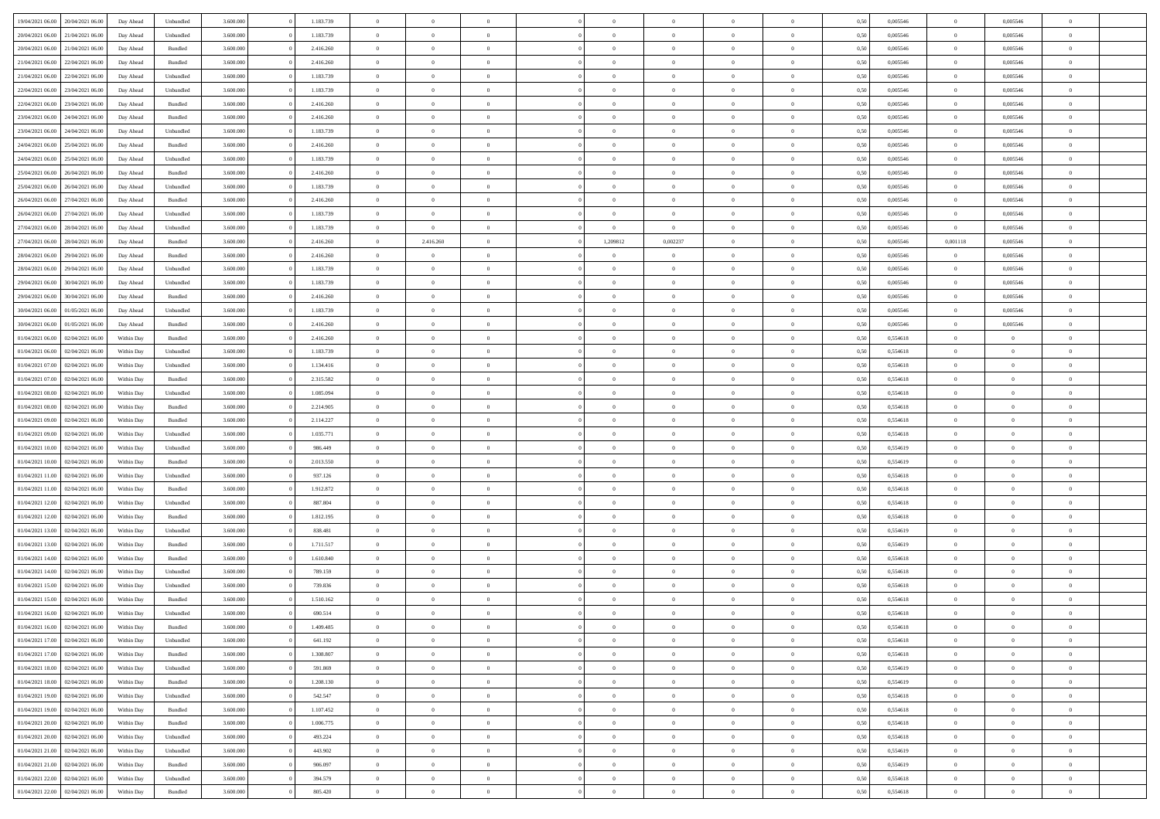| 19/04/2021 06:00<br>20/04/2021 06:00 | Day Ahead  | Unbundled |                    | 3.600.000 | 1.183.739 | $\overline{0}$ | $\Omega$       |                |                | $\theta$       | $\Omega$       | $\Omega$     | 0,50 | 0,005546 | $\mathbf{0}$   | 0,005546       | $\Omega$       |  |
|--------------------------------------|------------|-----------|--------------------|-----------|-----------|----------------|----------------|----------------|----------------|----------------|----------------|--------------|------|----------|----------------|----------------|----------------|--|
| 20/04/2021 06:00<br>21/04/2021 06:00 | Day Ahead  |           | Unbundled          | 3.600.000 | 1.183.739 | $\overline{0}$ | $\overline{0}$ | $\overline{0}$ |                | $\overline{0}$ | $\overline{0}$ | $\theta$     | 0,50 | 0,005546 | $\bf{0}$       | 0,005546       | $\bf{0}$       |  |
| 20/04/2021 06:00<br>21/04/2021 06:00 | Day Ahead  | Bundled   |                    | 3.600.000 | 2.416.260 | $\overline{0}$ | $\bf{0}$       | $\overline{0}$ | $\overline{0}$ | $\,$ 0 $\,$    | $\overline{0}$ | $\bf{0}$     | 0,50 | 0,005546 | $\bf{0}$       | 0,005546       | $\bf{0}$       |  |
| 21/04/2021 06:00<br>22/04/2021 06:00 | Day Ahead  | Bundled   |                    | 3.600,000 | 2.416.260 | $\overline{0}$ | $\overline{0}$ | $\overline{0}$ | $^{\circ}$     | $\overline{0}$ | $\overline{0}$ | $\bf{0}$     | 0.50 | 0.005546 | $\overline{0}$ | 0.005546       | $\overline{0}$ |  |
| 21/04/2021 06:00<br>22/04/2021 06.00 | Day Ahead  |           | Unbundled          | 3.600.000 | 1.183.739 | $\overline{0}$ | $\overline{0}$ | $\overline{0}$ |                | $\overline{0}$ | $\overline{0}$ | $\theta$     | 0,50 | 0,005546 | $\,$ 0 $\,$    | 0,005546       | $\overline{0}$ |  |
| 22/04/2021 06:00<br>23/04/2021 06:00 | Day Ahead  |           | Unbundled          | 3.600.000 | 1.183.739 | $\overline{0}$ | $\bf{0}$       | $\overline{0}$ | $\overline{0}$ | $\bf{0}$       | $\overline{0}$ | $\bf{0}$     | 0,50 | 0,005546 | $\overline{0}$ | 0,005546       | $\bf{0}$       |  |
|                                      |            |           |                    |           |           |                |                |                |                |                |                |              |      |          |                |                |                |  |
| 22/04/2021 06:00<br>23/04/2021 06:00 | Day Ahead  | Bundled   |                    | 3.600.000 | 2.416.260 | $\overline{0}$ | $\overline{0}$ | $\overline{0}$ | $\Omega$       | $\overline{0}$ | $\overline{0}$ | $\bf{0}$     | 0,50 | 0,005546 | $\overline{0}$ | 0.005546       | $\overline{0}$ |  |
| 23/04/2021 06:00<br>24/04/2021 06.00 | Day Ahead  |           | Bundled            | 3.600.000 | 2.416.260 | $\overline{0}$ | $\overline{0}$ | $\overline{0}$ |                | $\overline{0}$ | $\overline{0}$ | $\theta$     | 0,50 | 0,005546 | $\bf{0}$       | 0,005546       | $\bf{0}$       |  |
| 23/04/2021 06:00<br>24/04/2021 06.00 | Day Ahead  |           | Unbundled          | 3.600.000 | 1.183.739 | $\overline{0}$ | $\overline{0}$ | $\overline{0}$ | $\overline{0}$ | $\bf{0}$       | $\overline{0}$ | $\bf{0}$     | 0,50 | 0,005546 | $\bf{0}$       | 0,005546       | $\bf{0}$       |  |
| 24/04/2021 06:00<br>25/04/2021 06:00 | Day Ahead  | Bundled   |                    | 3.600.000 | 2.416.260 | $\overline{0}$ | $\overline{0}$ | $\overline{0}$ | $\Omega$       | $\overline{0}$ | $\overline{0}$ | $\bf{0}$     | 0.50 | 0,005546 | $\overline{0}$ | 0.005546       | $\overline{0}$ |  |
| 24/04/2021 06:00<br>25/04/2021 06:00 | Day Ahead  |           | Unbundled          | 3.600.000 | 1.183.739 | $\overline{0}$ | $\overline{0}$ | $\overline{0}$ | $\overline{0}$ | $\overline{0}$ | $\overline{0}$ | $\theta$     | 0,50 | 0,005546 | $\,$ 0 $\,$    | 0,005546       | $\bf{0}$       |  |
| 25/04/2021 06:00<br>26/04/2021 06:00 | Day Ahead  | Bundled   |                    | 3.600.000 | 2.416.260 | $\overline{0}$ | $\bf{0}$       | $\overline{0}$ | $\overline{0}$ | $\bf{0}$       | $\overline{0}$ | $\bf{0}$     | 0,50 | 0,005546 | $\bf{0}$       | 0,005546       | $\bf{0}$       |  |
| 25/04/2021 06:00<br>26/04/2021 06:00 | Day Ahead  | Unbundled |                    | 3.600.000 | 1.183.739 | $\overline{0}$ | $\overline{0}$ | $\overline{0}$ | $^{\circ}$     | $\overline{0}$ | $\overline{0}$ | $\bf{0}$     | 0.50 | 0.005546 | $\overline{0}$ | 0.005546       | $\overline{0}$ |  |
|                                      |            |           |                    |           |           |                |                |                |                |                |                |              |      |          |                |                |                |  |
| 26/04/2021 06:00<br>27/04/2021 06.00 | Day Ahead  |           | Bundled            | 3.600.000 | 2.416.260 | $\overline{0}$ | $\overline{0}$ | $\overline{0}$ |                | $\overline{0}$ | $\overline{0}$ | $\theta$     | 0,50 | 0,005546 | $\bf{0}$       | 0,005546       | $\overline{0}$ |  |
| 26/04/2021 06:00<br>27/04/2021 06:00 | Day Ahead  |           | Unbundled          | 3.600.000 | 1.183.739 | $\overline{0}$ | $\overline{0}$ | $\overline{0}$ | $\overline{0}$ | $\bf{0}$       | $\overline{0}$ | $\bf{0}$     | 0,50 | 0,005546 | $\overline{0}$ | 0,005546       | $\bf{0}$       |  |
| 27/04/2021 06:00<br>28/04/2021 06:00 | Day Ahead  | Unbundled |                    | 3.600,000 | 1.183.739 | $\overline{0}$ | $\overline{0}$ | $\overline{0}$ | $\Omega$       | $\overline{0}$ | $\overline{0}$ | $\bf{0}$     | 0.50 | 0,005546 | $\overline{0}$ | 0.005546       | $\overline{0}$ |  |
| 27/04/2021 06:00<br>28/04/2021 06:00 | Day Ahead  |           | Bundled            | 3.600.000 | 2.416.260 | $\overline{0}$ | 2.416.260      | $\overline{0}$ | 1,209812       | 0,002237       | $\overline{0}$ | $\theta$     | 0,50 | 0,005546 | 0,001118       | 0,005546       | $\bf{0}$       |  |
| 28/04/2021 06:00<br>29/04/2021 06.00 | Day Ahead  | Bundled   |                    | 3.600.000 | 2.416.260 | $\overline{0}$ | $\bf{0}$       | $\overline{0}$ | $\overline{0}$ | $\bf{0}$       | $\overline{0}$ | $\bf{0}$     | 0,50 | 0,005546 | $\bf{0}$       | 0,005546       | $\bf{0}$       |  |
| 28/04/2021 06:00<br>29/04/2021 06:00 | Day Ahead  | Unbundled |                    | 3.600.000 | 1.183.739 | $\overline{0}$ | $\overline{0}$ | $\overline{0}$ | $\Omega$       | $\overline{0}$ | $\overline{0}$ | $\bf{0}$     | 0.50 | 0,005546 | $\overline{0}$ | 0.005546       | $\overline{0}$ |  |
| 29/04/2021 06:00<br>30/04/2021 06:00 | Day Ahead  |           | Unbundled          | 3.600.000 | 1.183.739 | $\overline{0}$ | $\overline{0}$ | $\overline{0}$ | $\overline{0}$ | $\overline{0}$ | $\overline{0}$ | $\theta$     | 0,50 | 0,005546 | $\,$ 0 $\,$    | 0,005546       | $\bf{0}$       |  |
|                                      |            |           |                    |           |           |                |                |                |                |                |                |              |      |          |                |                |                |  |
| 29/04/2021 06:00<br>30/04/2021 06:00 | Day Ahead  | Bundled   |                    | 3.600.000 | 2.416.260 | $\overline{0}$ | $\bf{0}$       | $\overline{0}$ | $\overline{0}$ | $\,$ 0 $\,$    | $\overline{0}$ | $\bf{0}$     | 0,50 | 0,005546 | $\bf{0}$       | 0,005546       | $\bf{0}$       |  |
| 30/04/2021 06:00<br>01/05/2021 06:00 | Day Ahead  |           | Unbundled          | 3.600,000 | 1.183.739 | $\overline{0}$ | $\overline{0}$ | $\overline{0}$ | $^{\circ}$     | $\overline{0}$ | $\overline{0}$ | $\bf{0}$     | 0.50 | 0.005546 | $\mathbf{0}$   | 0.005546       | $\overline{0}$ |  |
| 30/04/2021 06:00<br>01/05/2021 06:00 | Day Ahead  |           | Bundled            | 3.600.000 | 2.416.260 | $\overline{0}$ | $\overline{0}$ | $\overline{0}$ |                | $\overline{0}$ | $\overline{0}$ | $\theta$     | 0,50 | 0,005546 | $\bf{0}$       | 0,005546       | $\overline{0}$ |  |
| 01/04/2021 06:00<br>02/04/2021 06.00 | Within Day |           | Bundled            | 3.600.000 | 2.416.260 | $\overline{0}$ | $\bf{0}$       | $\overline{0}$ | $\overline{0}$ | $\bf{0}$       | $\overline{0}$ | $\bf{0}$     | 0,50 | 0,554618 | $\bf{0}$       | $\bf{0}$       | $\bf{0}$       |  |
| 01/04/2021 06:00<br>02/04/2021 06:00 | Within Dav | Unbundled |                    | 3.600.000 | 1.183.739 | $\overline{0}$ | $\overline{0}$ | $\overline{0}$ | $\Omega$       | $\overline{0}$ | $\overline{0}$ | $\bf{0}$     | 0.50 | 0.554618 | $\mathbf{0}$   | $\overline{0}$ | $\overline{0}$ |  |
| 01/04/2021 07:00<br>02/04/2021 06:00 | Within Day |           | Unbundled          | 3.600.000 | 1.134.416 | $\overline{0}$ | $\overline{0}$ | $\overline{0}$ | $\overline{0}$ | $\overline{0}$ | $\overline{0}$ | $\theta$     | 0,50 | 0,554618 | $\bf{0}$       | $\overline{0}$ | $\bf{0}$       |  |
| 01/04/2021 07:00<br>02/04/2021 06.00 | Within Day | Bundled   |                    | 3.600.000 | 2.315.582 | $\overline{0}$ | $\overline{0}$ | $\overline{0}$ | $\overline{0}$ | $\,$ 0 $\,$    | $\overline{0}$ | $\bf{0}$     | 0,50 | 0,554618 | $\bf{0}$       | $\overline{0}$ | $\bf{0}$       |  |
| 01/04/2021 08:00<br>02/04/2021 06:00 | Within Dav |           | Unbundled          | 3.600,000 | 1.085.094 | $\overline{0}$ | $\overline{0}$ | $\overline{0}$ | $\Omega$       | $\overline{0}$ | $\overline{0}$ | $\bf{0}$     | 0.50 | 0.554618 | $\mathbf{0}$   | $\overline{0}$ | $\overline{0}$ |  |
|                                      |            |           |                    |           |           |                |                |                |                |                |                |              |      |          |                |                |                |  |
| 01/04/2021 08:00<br>02/04/2021 06:00 | Within Day |           | Bundled            | 3.600.000 | 2.214.905 | $\overline{0}$ | $\overline{0}$ | $\overline{0}$ | $\overline{0}$ | $\overline{0}$ | $\overline{0}$ | $\theta$     | 0,50 | 0,554618 | $\,$ 0 $\,$    | $\overline{0}$ | $\overline{0}$ |  |
| 01/04/2021 09:00<br>02/04/2021 06.00 | Within Day | Bundled   |                    | 3.600.000 | 2.114.227 | $\overline{0}$ | $\bf{0}$       | $\overline{0}$ | $\overline{0}$ | $\bf{0}$       | $\overline{0}$ | $\bf{0}$     | 0,50 | 0,554618 | $\bf{0}$       | $\bf{0}$       | $\bf{0}$       |  |
| 01/04/2021 09:00<br>02/04/2021 06.00 | Within Day | Unbundled |                    | 3.600.000 | 1.035.771 | $\overline{0}$ | $\Omega$       | $\Omega$       | $\Omega$       | $\theta$       | $\overline{0}$ | $\theta$     | 0.50 | 0,554618 | $\,$ 0 $\,$    | $\overline{0}$ | $\Omega$       |  |
| 01/04/2021 10:00<br>02/04/2021 06:00 | Within Day |           | Unbundled          | 3.600.000 | 986.449   | $\overline{0}$ | $\overline{0}$ | $\overline{0}$ |                | $\overline{0}$ | $\overline{0}$ | $\theta$     | 0,50 | 0,554619 | $\bf{0}$       | $\overline{0}$ | $\bf{0}$       |  |
| 01/04/2021 10:00<br>02/04/2021 06:00 | Within Day |           | Bundled            | 3.600.000 | 2.013.550 | $\overline{0}$ | $\bf{0}$       | $\overline{0}$ | $\overline{0}$ | $\bf{0}$       | $\overline{0}$ | $\bf{0}$     | 0,50 | 0,554619 | $\bf{0}$       | $\bf{0}$       | $\bf{0}$       |  |
| 01/04/2021 11:00<br>02/04/2021 06:00 | Within Day | Unbundled |                    | 3.600,000 | 937.126   | $\overline{0}$ | $\Omega$       | $\Omega$       | $\Omega$       | $\overline{0}$ | $\overline{0}$ | $\mathbf{0}$ | 0.50 | 0.554618 | $\,$ 0 $\,$    | $\overline{0}$ | $\theta$       |  |
| 01/04/2021 11:00<br>02/04/2021 06:00 | Within Day |           | Bundled            | 3.600.000 | 1.912.872 | $\overline{0}$ | $\overline{0}$ | $\overline{0}$ | $\overline{0}$ | $\overline{0}$ | $\overline{0}$ | $\theta$     | 0,50 | 0,554618 | $\bf{0}$       | $\overline{0}$ | $\overline{0}$ |  |
|                                      |            |           |                    |           |           |                |                |                | $\overline{0}$ |                |                |              |      |          |                |                |                |  |
| 01/04/2021 12:00<br>02/04/2021 06.00 | Within Day |           | Unbundled          | 3.600.000 | 887.804   | $\overline{0}$ | $\bf{0}$       | $\overline{0}$ |                | $\bf{0}$       | $\overline{0}$ | $\bf{0}$     | 0,50 | 0,554618 | $\bf{0}$       | $\bf{0}$       | $\bf{0}$       |  |
| 01/04/2021 12:00<br>02/04/2021 06:00 | Within Day | Bundled   |                    | 3.600,000 | 1.812.195 | $\overline{0}$ | $\Omega$       | $\Omega$       | $\Omega$       | $\theta$       | $\overline{0}$ | $\mathbf{0}$ | 0.50 | 0.554618 | $\mathbf{0}$   | $\overline{0}$ | $\theta$       |  |
| 01/04/2021 13:00<br>02/04/2021 06:00 | Within Day |           | Unbundled          | 3.600.000 | 838.481   | $\overline{0}$ | $\overline{0}$ | $\overline{0}$ | $\overline{0}$ | $\overline{0}$ | $\overline{0}$ | $\theta$     | 0,50 | 0,554619 | $\,$ 0 $\,$    | $\overline{0}$ | $\overline{0}$ |  |
| 01/04/2021 13:00<br>02/04/2021 06.00 | Within Day | Bundled   |                    | 3.600.000 | 1.711.517 | $\overline{0}$ | $\bf{0}$       | $\overline{0}$ | $\overline{0}$ | $\bf{0}$       | $\overline{0}$ | $\bf{0}$     | 0,50 | 0,554619 | $\bf{0}$       | $\bf{0}$       | $\bf{0}$       |  |
| 01/04/2021 14:00<br>02/04/2021 06.00 | Within Day | Bundled   |                    | 3.600.000 | 1.610.840 | $\overline{0}$ | $\Omega$       | $\Omega$       | $^{\circ}$     | $\theta$       | $\overline{0}$ | $\theta$     | 0.50 | 0,554618 | $\,$ 0 $\,$    | $\overline{0}$ | $\Omega$       |  |
| 01/04/2021 14:00<br>02/04/2021 06:00 | Within Day |           | Unbundled          | 3.600.000 | 789.159   | $\overline{0}$ | $\overline{0}$ | $\overline{0}$ | $\overline{0}$ | $\bf{0}$       | $\overline{0}$ | $\bf{0}$     | 0,50 | 0,554618 | $\,$ 0 $\,$    | $\overline{0}$ | $\overline{0}$ |  |
| 01/04/2021 15:00<br>02/04/2021 06.00 | Within Day |           | Unbundled          | 3.600.000 | 739.836   | $\overline{0}$ | $\bf{0}$       | $\overline{0}$ | $\overline{0}$ | $\bf{0}$       | $\overline{0}$ | $\bf{0}$     | 0,50 | 0,554618 | $\mathbf{0}$   | $\bf{0}$       | $\bf{0}$       |  |
| 01/04/2021 15:00<br>02/04/2021 06:00 | Within Day | Bundled   |                    | 3.600,000 | 1.510.162 | $\overline{0}$ | $\Omega$       | $\Omega$       | $^{\circ}$     | $\Omega$       | $\overline{0}$ | $\theta$     | 0.50 | 0.554618 | $\overline{0}$ | $\Omega$       | $\theta$       |  |
| 01/04/2021 16:00<br>02/04/2021 06:00 |            |           |                    | 3.600.000 | 690.514   | $\overline{0}$ | $\bf{0}$       | $\overline{0}$ | $\overline{0}$ | $\bf{0}$       | $\overline{0}$ | $\bf{0}$     |      | 0,554618 | $\bf{0}$       | $\bf{0}$       | $\bf{0}$       |  |
|                                      | Within Day |           | Unbundled          |           |           |                |                |                |                |                |                |              | 0,50 |          |                |                |                |  |
| 01/04/2021 16:00 02/04/2021 06:00    | Within Day |           | Bundled            | 3.600.000 | 1.409.485 | $\bf{0}$       | $\bf{0}$       |                |                |                |                |              | 0,50 | 0,554618 | $\bf{0}$       |                |                |  |
| 01/04/2021 17:00<br>02/04/2021 06:00 | Within Day |           | Unbundled          | 3.600,000 | 641.192   | $\overline{0}$ | $\overline{0}$ | $\overline{0}$ | $\Omega$       | $\overline{0}$ | $\overline{0}$ | $\mathbf{0}$ | 0.50 | 0.554618 | $\overline{0}$ | $\overline{0}$ | $\overline{0}$ |  |
| 01/04/2021 17:00<br>02/04/2021 06:00 | Within Day |           | Bundled            | 3.600.000 | 1.308.807 | $\overline{0}$ | $\,$ 0 $\,$    | $\overline{0}$ | $\overline{0}$ | $\,$ 0         | $\overline{0}$ | $\bf{0}$     | 0,50 | 0,554618 | $\bf{0}$       | $\,$ 0 $\,$    | $\bf{0}$       |  |
| 01/04/2021 18:00<br>02/04/2021 06:00 | Within Day |           | Unbundled          | 3.600.000 | 591.869   | $\overline{0}$ | $\overline{0}$ | $\overline{0}$ | $\overline{0}$ | $\overline{0}$ | $\overline{0}$ | $\bf{0}$     | 0,50 | 0,554619 | $\overline{0}$ | $\overline{0}$ | $\bf{0}$       |  |
| 01/04/2021 18:00<br>02/04/2021 06:00 | Within Day |           | $\mathbf B$ undled | 3.600.000 | 1.208.130 | $\overline{0}$ | $\overline{0}$ | $\overline{0}$ | $\Omega$       | $\overline{0}$ | $\overline{0}$ | $\mathbf{0}$ | 0.50 | 0,554619 | $\,$ 0 $\,$    | $\bf{0}$       | $\bf{0}$       |  |
| 01/04/2021 19:00<br>02/04/2021 06:00 | Within Day |           | Unbundled          | 3.600.000 | 542.547   | $\overline{0}$ | $\,$ 0 $\,$    | $\overline{0}$ | $\overline{0}$ | $\,$ 0         | $\overline{0}$ | $\bf{0}$     | 0,50 | 0,554618 | $\bf{0}$       | $\overline{0}$ | $\bf{0}$       |  |
| 01/04/2021 19:00<br>02/04/2021 06:00 | Within Day |           | Bundled            | 3.600.000 | 1.107.452 | $\overline{0}$ | $\overline{0}$ | $\overline{0}$ | $\overline{0}$ | $\overline{0}$ | $\overline{0}$ | $\bf{0}$     | 0,50 | 0,554618 | $\overline{0}$ | $\overline{0}$ | $\bf{0}$       |  |
|                                      |            |           |                    |           |           |                |                |                |                |                |                |              |      |          |                |                |                |  |
| 01/04/2021 20:00<br>02/04/2021 06:00 | Within Day |           | Bundled            | 3.600,000 | 1.006.775 | $\overline{0}$ | $\overline{0}$ | $\overline{0}$ | $\Omega$       | $\overline{0}$ | $\overline{0}$ | $\mathbf{0}$ | 0.50 | 0,554618 | $\overline{0}$ | $\bf{0}$       | $\overline{0}$ |  |
| 01/04/2021 20:00<br>02/04/2021 06:00 | Within Day |           | Unbundled          | 3.600.000 | 493.224   | $\overline{0}$ | $\,$ 0 $\,$    | $\overline{0}$ | $\overline{0}$ | $\bf{0}$       | $\overline{0}$ | $\bf{0}$     | 0,50 | 0,554618 | $\,0\,$        | $\bf{0}$       | $\bf{0}$       |  |
| 01/04/2021 21:00<br>02/04/2021 06:00 | Within Day |           | Unbundled          | 3.600.000 | 443.902   | $\overline{0}$ | $\overline{0}$ | $\overline{0}$ | $\overline{0}$ | $\overline{0}$ | $\overline{0}$ | $\bf{0}$     | 0,50 | 0,554619 | $\overline{0}$ | $\bf{0}$       | $\bf{0}$       |  |
| 01/04/2021 21:00<br>02/04/2021 06:00 | Within Day |           | Bundled            | 3.600,000 | 906.097   | $\overline{0}$ | $\overline{0}$ | $\overline{0}$ | $\Omega$       | $\overline{0}$ | $\overline{0}$ | $\mathbf{0}$ | 0.50 | 0,554619 | $\bf{0}$       | $\overline{0}$ | $\overline{0}$ |  |
| 01/04/2021 22.00<br>02/04/2021 06:00 | Within Day |           | Unbundled          | 3.600.000 | 394.579   | $\overline{0}$ | $\,$ 0 $\,$    | $\overline{0}$ | $\overline{0}$ | $\,$ 0 $\,$    | $\overline{0}$ | $\bf{0}$     | 0,50 | 0,554618 | $\,0\,$        | $\,$ 0 $\,$    | $\bf{0}$       |  |
| 01/04/2021 22.00<br>02/04/2021 06:00 | Within Day |           | Bundled            | 3.600.000 | 805.420   | $\overline{0}$ | $\overline{0}$ | $\overline{0}$ | $\overline{0}$ | $\bf{0}$       | $\overline{0}$ | $\bf{0}$     | 0,50 | 0,554618 | $\overline{0}$ | $\overline{0}$ | $\bf{0}$       |  |
|                                      |            |           |                    |           |           |                |                |                |                |                |                |              |      |          |                |                |                |  |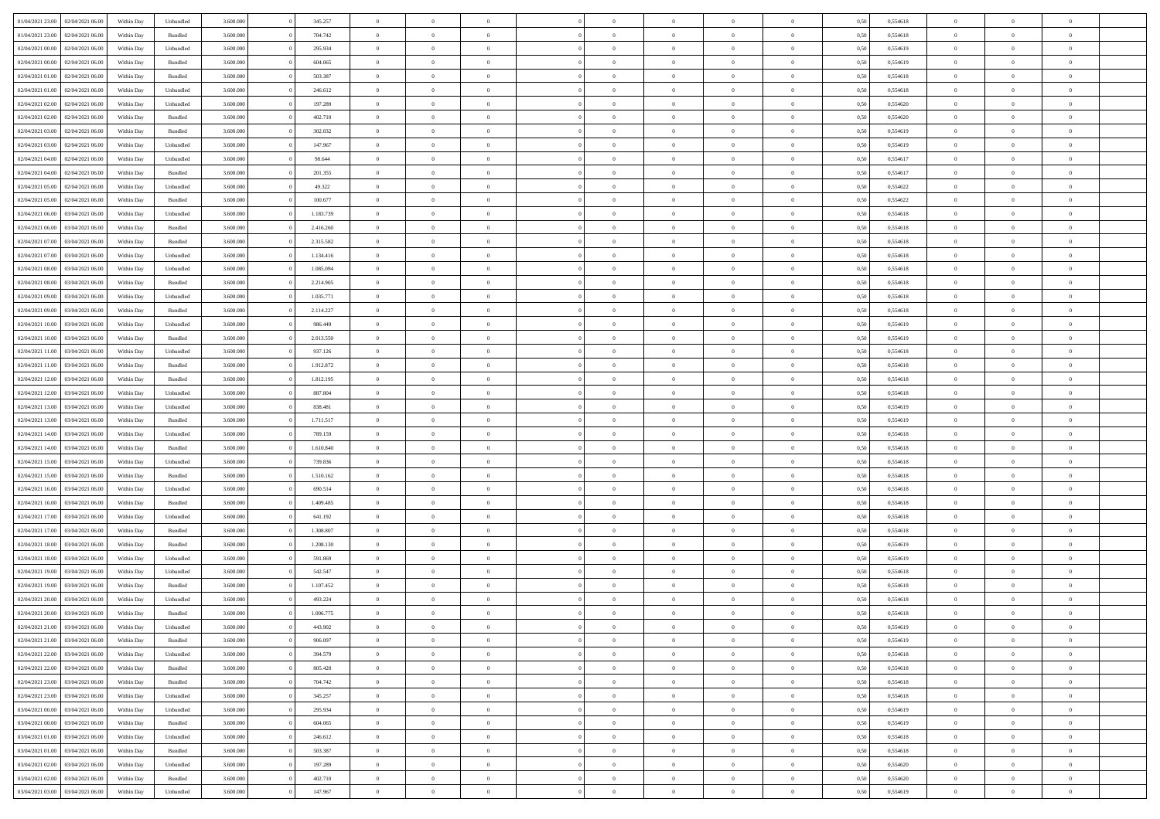| 01/04/2021 23:00 | 02/04/2021 06:00 | Within Day | Unbundled          | 3.600.000 | 345.257   | $\overline{0}$ | $\Omega$       |                | $\Omega$       | $\Omega$       | $\Omega$       | $\theta$       | 0,50 | 0,554618 | $\theta$       | $\theta$       | $\theta$       |  |
|------------------|------------------|------------|--------------------|-----------|-----------|----------------|----------------|----------------|----------------|----------------|----------------|----------------|------|----------|----------------|----------------|----------------|--|
|                  |                  |            |                    |           |           |                |                |                |                |                |                |                |      |          |                |                |                |  |
| 01/04/2021 23:00 | 02/04/2021 06:00 | Within Day | Bundled            | 3.600.000 | 704.742   | $\overline{0}$ | $\theta$       | $\overline{0}$ | $\overline{0}$ | $\bf{0}$       | $\overline{0}$ | $\bf{0}$       | 0,50 | 0,554618 | $\theta$       | $\theta$       | $\overline{0}$ |  |
| 02/04/2021 00:00 | 02/04/2021 06:00 | Within Day | Unbundled          | 3.600.000 | 295.934   | $\overline{0}$ | $\overline{0}$ | $\overline{0}$ | $\bf{0}$       | $\bf{0}$       | $\bf{0}$       | $\bf{0}$       | 0,50 | 0,554619 | $\overline{0}$ | $\overline{0}$ | $\overline{0}$ |  |
| 02/04/2021 00:00 | 02/04/2021 06:00 | Within Dav | Bundled            | 3.600,000 | 604.065   | $\overline{0}$ | $\overline{0}$ | $\overline{0}$ | $\overline{0}$ | $\bf{0}$       | $\overline{0}$ | $\overline{0}$ | 0.50 | 0.554619 | $\theta$       | $\theta$       | $\overline{0}$ |  |
|                  |                  |            |                    |           |           | $\overline{0}$ | $\theta$       | $\overline{0}$ |                | $\bf{0}$       | $\overline{0}$ |                |      |          | $\theta$       | $\theta$       | $\overline{0}$ |  |
| 02/04/2021 01:00 | 02/04/2021 06:00 | Within Day | Bundled            | 3.600.000 | 503.387   |                |                |                | $\overline{0}$ |                |                | $\bf{0}$       | 0,50 | 0,554618 |                |                |                |  |
| 02/04/2021 01:00 | 02/04/2021 06:00 | Within Day | Unbundled          | 3.600.000 | 246.612   | $\overline{0}$ | $\bf{0}$       | $\overline{0}$ | $\bf{0}$       | $\overline{0}$ | $\overline{0}$ | $\mathbf{0}$   | 0,50 | 0,554618 | $\overline{0}$ | $\overline{0}$ | $\bf{0}$       |  |
| 02/04/2021 02:00 | 02/04/2021 06:00 | Within Dav | Unbundled          | 3.600.000 | 197.289   | $\overline{0}$ | $\overline{0}$ | $\overline{0}$ | $\overline{0}$ | $\overline{0}$ | $\overline{0}$ | $\overline{0}$ | 0.50 | 0,554620 | $\theta$       | $\overline{0}$ | $\overline{0}$ |  |
| 02/04/2021 02:00 | 02/04/2021 06:00 | Within Day | Bundled            | 3.600.000 | 402.710   | $\overline{0}$ | $\theta$       | $\overline{0}$ | $\overline{0}$ | $\bf{0}$       | $\overline{0}$ | $\bf{0}$       | 0,50 | 0,554620 | $\theta$       | $\theta$       | $\overline{0}$ |  |
| 02/04/2021 03:00 | 02/04/2021 06.00 | Within Day | Bundled            | 3.600.000 | 302.032   | $\overline{0}$ | $\overline{0}$ | $\overline{0}$ | $\bf{0}$       | $\bf{0}$       | $\bf{0}$       | $\bf{0}$       | 0,50 | 0,554619 | $\,0\,$        | $\overline{0}$ | $\overline{0}$ |  |
|                  |                  |            |                    |           |           |                | $\overline{0}$ |                |                | $\overline{0}$ |                |                |      |          | $\theta$       | $\overline{0}$ | $\overline{0}$ |  |
| 02/04/2021 03:00 | 02/04/2021 06:00 | Within Dav | Unbundled          | 3.600.000 | 147.967   | $\overline{0}$ |                | $\overline{0}$ | $\overline{0}$ |                | $\overline{0}$ | $\overline{0}$ | 0.50 | 0.554619 |                |                |                |  |
| 02/04/2021 04:00 | 02/04/2021 06:00 | Within Day | Unbundled          | 3.600.000 | 98.644    | $\overline{0}$ | $\theta$       | $\overline{0}$ | $\overline{0}$ | $\bf{0}$       | $\overline{0}$ | $\bf{0}$       | 0,50 | 0,554617 | $\,$ 0 $\,$    | $\theta$       | $\overline{0}$ |  |
| 02/04/2021 04:00 | 02/04/2021 06.00 | Within Day | Bundled            | 3.600.000 | 201.355   | $\overline{0}$ | $\overline{0}$ | $\overline{0}$ | $\bf{0}$       | $\bf{0}$       | $\bf{0}$       | $\mathbf{0}$   | 0,50 | 0,554617 | $\overline{0}$ | $\overline{0}$ | $\overline{0}$ |  |
| 02/04/2021 05:00 | 02/04/2021 06:00 | Within Day | Unbundled          | 3.600.000 | 49.322    | $\overline{0}$ | $\overline{0}$ | $\overline{0}$ | $\overline{0}$ | $\bf{0}$       | $\overline{0}$ | $\overline{0}$ | 0.50 | 0.554622 | $\theta$       | $\theta$       | $\overline{0}$ |  |
| 02/04/2021 05:00 | 02/04/2021 06:00 | Within Day | Bundled            | 3.600.000 | 100.677   | $\overline{0}$ | $\theta$       | $\overline{0}$ | $\overline{0}$ | $\bf{0}$       | $\overline{0}$ | $\bf{0}$       | 0,50 | 0,554622 | $\theta$       | $\theta$       | $\overline{0}$ |  |
|                  |                  |            |                    |           |           |                |                |                |                |                |                |                |      |          |                |                |                |  |
| 02/04/2021 06.00 | 03/04/2021 06:00 | Within Day | Unbundled          | 3.600.000 | 1.183.739 | $\overline{0}$ | $\overline{0}$ | $\overline{0}$ | $\overline{0}$ | $\overline{0}$ | $\overline{0}$ | $\mathbf{0}$   | 0,50 | 0,554618 | $\overline{0}$ | $\overline{0}$ | $\bf{0}$       |  |
| 02/04/2021 06:00 | 03/04/2021 06:00 | Within Dav | Bundled            | 3.600.000 | 2.416.260 | $\overline{0}$ | $\overline{0}$ | $\overline{0}$ | $\overline{0}$ | $\overline{0}$ | $\overline{0}$ | $\overline{0}$ | 0.50 | 0.554618 | $\theta$       | $\overline{0}$ | $\overline{0}$ |  |
| 02/04/2021 07:00 | 03/04/2021 06:00 | Within Day | Bundled            | 3.600.000 | 2.315.582 | $\overline{0}$ | $\theta$       | $\overline{0}$ | $\overline{0}$ | $\bf{0}$       | $\overline{0}$ | $\bf{0}$       | 0,50 | 0,554618 | $\theta$       | $\theta$       | $\overline{0}$ |  |
| 02/04/2021 07:00 | 03/04/2021 06:00 | Within Day | Unbundled          | 3.600.000 | 1.134.416 | $\overline{0}$ | $\overline{0}$ | $\overline{0}$ | $\overline{0}$ | $\bf{0}$       | $\overline{0}$ | $\mathbf{0}$   | 0,50 | 0,554618 | $\,0\,$        | $\overline{0}$ | $\overline{0}$ |  |
| 02/04/2021 08:00 | 03/04/2021 06:00 | Within Day | Unbundled          | 3.600.000 | 1.085.094 | $\overline{0}$ | $\overline{0}$ | $\overline{0}$ | $\overline{0}$ | $\overline{0}$ | $\overline{0}$ | $\overline{0}$ | 0.50 | 0,554618 | $\theta$       | $\overline{0}$ | $\overline{0}$ |  |
| 02/04/2021 08:00 | 03/04/2021 06:00 | Within Day | Bundled            | 3.600.000 | 2.214.905 | $\overline{0}$ | $\theta$       | $\overline{0}$ | $\overline{0}$ | $\bf{0}$       | $\overline{0}$ | $\bf{0}$       | 0,50 | 0,554618 | $\,$ 0 $\,$    | $\theta$       | $\overline{0}$ |  |
|                  |                  |            |                    |           |           |                |                |                |                |                |                |                |      |          |                |                |                |  |
| 02/04/2021 09:00 | 03/04/2021 06:00 | Within Day | Unbundled          | 3.600.000 | 1.035.771 | $\overline{0}$ | $\overline{0}$ | $\overline{0}$ | $\overline{0}$ | $\bf{0}$       | $\overline{0}$ | $\bf{0}$       | 0,50 | 0,554618 | $\bf{0}$       | $\overline{0}$ | $\overline{0}$ |  |
| 02/04/2021 09:00 | 03/04/2021 06:00 | Within Day | Bundled            | 3.600,000 | 2.114.227 | $\overline{0}$ | $\overline{0}$ | $\overline{0}$ | $\overline{0}$ | $\bf{0}$       | $\overline{0}$ | $\overline{0}$ | 0.50 | 0.554618 | $\theta$       | $\theta$       | $\overline{0}$ |  |
| 02/04/2021 10:00 | 03/04/2021 06:00 | Within Day | Unbundled          | 3.600.000 | 986.449   | $\overline{0}$ | $\theta$       | $\overline{0}$ | $\overline{0}$ | $\bf{0}$       | $\overline{0}$ | $\bf{0}$       | 0,50 | 0,554619 | $\,$ 0 $\,$    | $\overline{0}$ | $\overline{0}$ |  |
| 02/04/2021 10:00 | 03/04/2021 06:00 | Within Day | Bundled            | 3.600.000 | 2.013.550 | $\overline{0}$ | $\bf{0}$       | $\overline{0}$ | $\overline{0}$ | $\overline{0}$ | $\overline{0}$ | $\mathbf{0}$   | 0,50 | 0,554619 | $\overline{0}$ | $\overline{0}$ | $\bf{0}$       |  |
| 02/04/2021 11:00 | 03/04/2021 06:00 | Within Dav | Unbundled          | 3.600.000 | 937.126   | $\overline{0}$ | $\overline{0}$ | $\overline{0}$ | $\overline{0}$ | $\overline{0}$ | $\overline{0}$ | $\overline{0}$ | 0.50 | 0.554618 | $\theta$       | $\overline{0}$ | $\overline{0}$ |  |
| 02/04/2021 11:00 | 03/04/2021 06:00 | Within Day | Bundled            | 3.600.000 | 1.912.872 | $\overline{0}$ | $\theta$       | $\overline{0}$ | $\overline{0}$ | $\bf{0}$       | $\overline{0}$ | $\bf{0}$       | 0,50 | 0,554618 | $\theta$       | $\theta$       | $\overline{0}$ |  |
| 02/04/2021 12:00 | 03/04/2021 06:00 | Within Day | Bundled            | 3.600.000 | 1.812.195 | $\overline{0}$ | $\overline{0}$ | $\overline{0}$ | $\overline{0}$ | $\bf{0}$       | $\overline{0}$ | $\bf{0}$       | 0,50 | 0,554618 | $\,0\,$        | $\overline{0}$ | $\overline{0}$ |  |
|                  |                  |            |                    |           |           |                |                |                |                |                |                |                |      |          |                |                |                |  |
| 02/04/2021 12:00 | 03/04/2021 06:00 | Within Day | Unbundled          | 3.600.000 | 887.804   | $\overline{0}$ | $\overline{0}$ | $\overline{0}$ | $\overline{0}$ | $\overline{0}$ | $\overline{0}$ | $\overline{0}$ | 0.50 | 0.554618 | $\theta$       | $\overline{0}$ | $\overline{0}$ |  |
| 02/04/2021 13:00 | 03/04/2021 06:00 | Within Day | Unbundled          | 3.600.000 | 838.481   | $\overline{0}$ | $\theta$       | $\overline{0}$ | $\overline{0}$ | $\bf{0}$       | $\overline{0}$ | $\bf{0}$       | 0,50 | 0,554619 | $\,$ 0 $\,$    | $\overline{0}$ | $\overline{0}$ |  |
| 02/04/2021 13:00 | 03/04/2021 06:00 | Within Day | Bundled            | 3.600.000 | 1.711.517 | $\overline{0}$ | $\overline{0}$ | $\overline{0}$ | $\overline{0}$ | $\bf{0}$       | $\overline{0}$ | $\bf{0}$       | 0,50 | 0,554619 | $\overline{0}$ | $\overline{0}$ | $\overline{0}$ |  |
| 02/04/2021 14:00 | 03/04/2021 06:00 | Within Day | Unbundled          | 3.600.000 | 789.159   | $\overline{0}$ | $\Omega$       | $\Omega$       | $\Omega$       | $\Omega$       | $\Omega$       | $\overline{0}$ | 0,50 | 0,554618 | $\,0\,$        | $\theta$       | $\theta$       |  |
| 02/04/2021 14:00 | 03/04/2021 06:00 | Within Day | Bundled            | 3.600.000 | 1.610.840 | $\overline{0}$ | $\theta$       | $\overline{0}$ | $\overline{0}$ | $\bf{0}$       | $\overline{0}$ | $\bf{0}$       | 0,50 | 0,554618 | $\theta$       | $\theta$       | $\overline{0}$ |  |
| 02/04/2021 15:00 | 03/04/2021 06:00 | Within Day | Unbundled          | 3.600.000 | 739.836   | $\overline{0}$ | $\overline{0}$ | $\overline{0}$ | $\bf{0}$       | $\bf{0}$       | $\overline{0}$ | $\mathbf{0}$   | 0,50 | 0,554618 | $\overline{0}$ | $\overline{0}$ | $\bf{0}$       |  |
|                  |                  |            |                    |           |           |                |                |                |                |                |                |                |      |          |                |                |                |  |
| 02/04/2021 15:00 | 03/04/2021 06:00 | Within Day | Bundled            | 3.600,000 | 1.510.162 | $\overline{0}$ | $\Omega$       | $\Omega$       | $\Omega$       | $\bf{0}$       | $\overline{0}$ | $\overline{0}$ | 0.50 | 0.554618 | $\theta$       | $\theta$       | $\theta$       |  |
| 02/04/2021 16:00 | 03/04/2021 06:00 | Within Day | Unbundled          | 3.600.000 | 690.514   | $\overline{0}$ | $\theta$       | $\overline{0}$ | $\overline{0}$ | $\bf{0}$       | $\overline{0}$ | $\bf{0}$       | 0,50 | 0,554618 | $\theta$       | $\theta$       | $\overline{0}$ |  |
| 02/04/2021 16:00 | 03/04/2021 06:00 | Within Day | Bundled            | 3.600.000 | 1.409.485 | $\overline{0}$ | $\overline{0}$ | $\overline{0}$ | $\bf{0}$       | $\bf{0}$       | $\bf{0}$       | $\bf{0}$       | 0,50 | 0,554618 | $\,0\,$        | $\overline{0}$ | $\overline{0}$ |  |
| 02/04/2021 17:00 | 03/04/2021 06:00 | Within Day | Unbundled          | 3.600,000 | 641.192   | $\overline{0}$ | $\Omega$       | $\Omega$       | $\Omega$       | $\theta$       | $\theta$       | $\overline{0}$ | 0.50 | 0.554618 | $\theta$       | $\theta$       | $\theta$       |  |
| 02/04/2021 17:00 | 03/04/2021 06:00 | Within Day | Bundled            | 3.600.000 | 1.308.807 | $\overline{0}$ | $\theta$       | $\overline{0}$ | $\overline{0}$ | $\bf{0}$       | $\overline{0}$ | $\bf{0}$       | 0,50 | 0,554618 | $\,$ 0 $\,$    | $\overline{0}$ | $\overline{0}$ |  |
|                  |                  |            |                    |           |           |                | $\overline{0}$ |                |                | $\bf{0}$       |                |                |      |          |                | $\overline{0}$ | $\overline{0}$ |  |
| 02/04/2021 18:00 | 03/04/2021 06:00 | Within Day | Bundled            | 3.600.000 | 1.208.130 | $\overline{0}$ |                | $\overline{0}$ | $\bf{0}$       |                | $\bf{0}$       | $\bf{0}$       | 0,50 | 0,554619 | $\overline{0}$ |                |                |  |
| 02/04/2021 18:00 | 03/04/2021 06:00 | Within Day | Unbundled          | 3.600.000 | 591.869   | $\overline{0}$ | $\Omega$       | $\overline{0}$ | $\Omega$       | $\Omega$       | $\overline{0}$ | $\overline{0}$ | 0,50 | 0,554619 | $\,0\,$        | $\theta$       | $\theta$       |  |
| 02/04/2021 19:00 | 03/04/2021 06:00 | Within Day | Unbundled          | 3.600.000 | 542.547   | $\overline{0}$ | $\theta$       | $\overline{0}$ | $\overline{0}$ | $\bf{0}$       | $\overline{0}$ | $\bf{0}$       | 0,50 | 0,554618 | $\,$ 0 $\,$    | $\overline{0}$ | $\overline{0}$ |  |
| 02/04/2021 19:00 | 03/04/2021 06:00 | Within Day | Bundled            | 3.600.000 | 1.107.452 | $\overline{0}$ | $\overline{0}$ | $\overline{0}$ | $\overline{0}$ | $\bf{0}$       | $\overline{0}$ | $\mathbf{0}$   | 0,50 | 0,554618 | $\bf{0}$       | $\overline{0}$ | $\bf{0}$       |  |
| 02/04/2021 20:00 | 03/04/2021 06:00 | Within Day | Unbundled          | 3.600,000 | 493.224   | $\overline{0}$ | $\Omega$       | $\Omega$       | $\Omega$       | $\Omega$       | $\Omega$       | $\overline{0}$ | 0.50 | 0.554618 | $\theta$       | $\theta$       | $\theta$       |  |
| 02/04/2021 20:00 | 03/04/2021 06:00 | Within Day | Bundled            | 3.600.000 | 1.006.775 | $\overline{0}$ | $\overline{0}$ | $\overline{0}$ | $\bf{0}$       | $\,$ 0         | $\overline{0}$ | $\bf{0}$       | 0,50 | 0,554618 | $\,0\,$        | $\overline{0}$ | $\overline{0}$ |  |
| 02/04/2021 21:00 | 03/04/2021 06:00 | Within Day | Unbundled          | 3.600.000 | 443.902   | $\bf{0}$       | $\bf{0}$       |                |                |                |                |                | 0,50 | 0,554619 | $\bf{0}$       | $\overline{0}$ |                |  |
|                  |                  |            |                    |           |           |                |                |                |                |                |                |                |      |          |                |                |                |  |
| 02/04/2021 21:00 | 03/04/2021 06:00 | Within Day | Bundled            | 3.600,000 | 906 097   | $\overline{0}$ | $\overline{0}$ | $\overline{0}$ | $\Omega$       | $\overline{0}$ | $\overline{0}$ | $\overline{0}$ | 0,50 | 0.554619 | $\theta$       | $\theta$       | $\theta$       |  |
| 02/04/2021 22.00 | 03/04/2021 06:00 | Within Day | Unbundled          | 3.600.000 | 394.579   | $\overline{0}$ | $\bf{0}$       | $\overline{0}$ | $\overline{0}$ | $\,$ 0 $\,$    | $\overline{0}$ | $\,$ 0 $\,$    | 0,50 | 0,554618 | $\,$ 0 $\,$    | $\,$ 0 $\,$    | $\,$ 0         |  |
| 02/04/2021 22.00 | 03/04/2021 06:00 | Within Day | Bundled            | 3.600.000 | 805.420   | $\overline{0}$ | $\overline{0}$ | $\overline{0}$ | $\overline{0}$ | $\overline{0}$ | $\overline{0}$ | $\mathbf{0}$   | 0,50 | 0,554618 | $\overline{0}$ | $\bf{0}$       | $\overline{0}$ |  |
| 02/04/2021 23:00 | 03/04/2021 06:00 | Within Day | $\mathbf B$ undled | 3.600.000 | 704.742   | $\overline{0}$ | $\overline{0}$ | $\overline{0}$ | $\Omega$       | $\overline{0}$ | $\overline{0}$ | $\overline{0}$ | 0,50 | 0,554618 | $\overline{0}$ | $\theta$       | $\overline{0}$ |  |
| 02/04/2021 23:00 | 03/04/2021 06:00 | Within Day | Unbundled          | 3.600.000 | 345.257   | $\overline{0}$ | $\,$ 0         | $\overline{0}$ | $\overline{0}$ | $\,$ 0 $\,$    | $\overline{0}$ | $\mathbf{0}$   | 0,50 | 0,554618 | $\,$ 0 $\,$    | $\overline{0}$ | $\,$ 0         |  |
| 03/04/2021 00:00 | 03/04/2021 06:00 | Within Day | Unbundled          | 3.600.000 | 295.934   | $\overline{0}$ | $\overline{0}$ | $\overline{0}$ | $\overline{0}$ | $\overline{0}$ | $\overline{0}$ | $\mathbf{0}$   | 0,50 | 0,554619 | $\overline{0}$ | $\overline{0}$ | $\overline{0}$ |  |
|                  |                  |            |                    |           |           |                |                |                |                |                |                |                |      |          |                |                |                |  |
| 03/04/2021 00:00 | 03/04/2021 06:00 | Within Day | Bundled            | 3.600,000 | 604.065   | $\overline{0}$ | $\overline{0}$ | $\overline{0}$ | $\overline{0}$ | $\overline{0}$ | $\overline{0}$ | $\overline{0}$ | 0.50 | 0,554619 | $\overline{0}$ | $\theta$       | $\overline{0}$ |  |
| 03/04/2021 01:00 | 03/04/2021 06:00 | Within Day | Unbundled          | 3.600.000 | 246.612   | $\overline{0}$ | $\,$ 0         | $\overline{0}$ | $\bf{0}$       | $\bf{0}$       | $\bf{0}$       | $\bf{0}$       | 0,50 | 0,554618 | $\,$ 0 $\,$    | $\overline{0}$ | $\overline{0}$ |  |
| 03/04/2021 01:00 | 03/04/2021 06:00 | Within Day | Bundled            | 3.600.000 | 503.387   | $\overline{0}$ | $\overline{0}$ | $\overline{0}$ | $\overline{0}$ | $\overline{0}$ | $\overline{0}$ | $\mathbf{0}$   | 0,50 | 0,554618 | $\overline{0}$ | $\overline{0}$ | $\bf{0}$       |  |
| 03/04/2021 02:00 | 03/04/2021 06:00 | Within Day | Unbundled          | 3.600,000 | 197.289   | $\overline{0}$ | $\overline{0}$ | $\overline{0}$ | $\Omega$       | $\overline{0}$ | $\overline{0}$ | $\overline{0}$ | 0.50 | 0,554620 | $\overline{0}$ | $\overline{0}$ | $\overline{0}$ |  |
| 03/04/2021 02:00 | 03/04/2021 06:00 | Within Day | Bundled            | 3.600.000 | 402.710   | $\overline{0}$ | $\bf{0}$       | $\overline{0}$ | $\bf{0}$       | $\bf{0}$       | $\bf{0}$       | $\mathbf{0}$   | 0,50 | 0,554620 | $\,$ 0 $\,$    | $\,$ 0 $\,$    | $\bf{0}$       |  |
| 03/04/2021 03:00 | 03/04/2021 06:00 | Within Day | Unbundled          | 3.600.000 | 147.967   | $\overline{0}$ | $\overline{0}$ | $\overline{0}$ | $\overline{0}$ | $\overline{0}$ | $\bf{0}$       | $\mathbf{0}$   | 0,50 | 0,554619 | $\overline{0}$ | $\bf{0}$       | $\overline{0}$ |  |
|                  |                  |            |                    |           |           |                |                |                |                |                |                |                |      |          |                |                |                |  |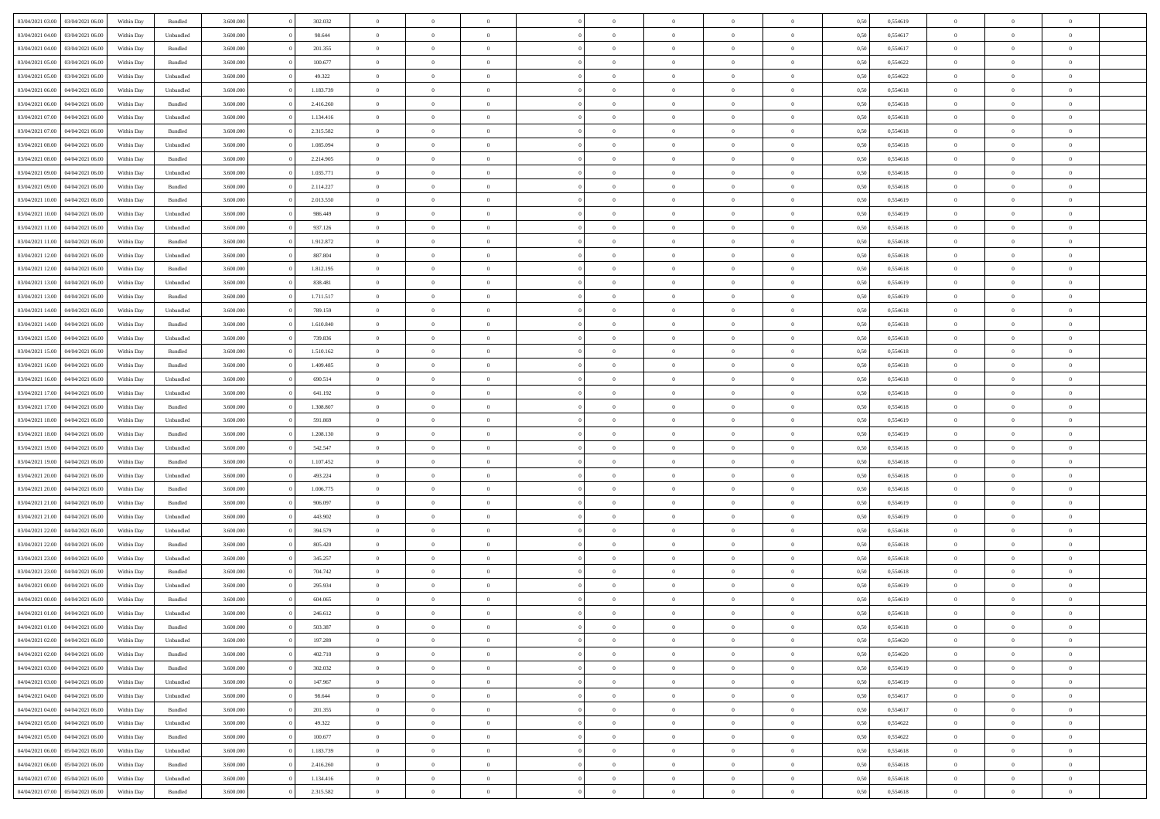| 03/04/2021 03:00                  | 03/04/2021 06:00 | Within Day | Bundled            | 3.600.000 | 302.032   | $\overline{0}$ | $\Omega$       |                | $\Omega$       | $\Omega$       | $\Omega$       | $\theta$       | 0,50 | 0,554619 | $\theta$       | $\theta$       | $\theta$       |  |
|-----------------------------------|------------------|------------|--------------------|-----------|-----------|----------------|----------------|----------------|----------------|----------------|----------------|----------------|------|----------|----------------|----------------|----------------|--|
| 03/04/2021 04:00                  | 03/04/2021 06:00 | Within Day | Unbundled          | 3.600.000 | 98.644    | $\overline{0}$ | $\theta$       | $\overline{0}$ | $\overline{0}$ | $\bf{0}$       | $\overline{0}$ | $\bf{0}$       | 0,50 | 0,554617 | $\theta$       | $\theta$       | $\overline{0}$ |  |
| 03/04/2021 04:00                  | 03/04/2021 06:00 | Within Day | Bundled            | 3.600.000 | 201.355   | $\overline{0}$ | $\overline{0}$ | $\overline{0}$ | $\bf{0}$       | $\bf{0}$       | $\bf{0}$       | $\bf{0}$       | 0,50 | 0,554617 | $\overline{0}$ | $\overline{0}$ | $\overline{0}$ |  |
| 03/04/2021 05:00                  | 03/04/2021 06:00 | Within Dav | Bundled            | 3.600,000 | 100.677   | $\overline{0}$ | $\overline{0}$ | $\overline{0}$ | $\overline{0}$ | $\bf{0}$       | $\overline{0}$ | $\overline{0}$ | 0.50 | 0.554622 | $\theta$       | $\theta$       | $\overline{0}$ |  |
| 03/04/2021 05:00                  | 03/04/2021 06:00 | Within Day | Unbundled          | 3.600.000 | 49.322    | $\overline{0}$ | $\theta$       | $\overline{0}$ | $\overline{0}$ | $\bf{0}$       | $\overline{0}$ | $\bf{0}$       | 0,50 | 0,554622 | $\theta$       | $\overline{0}$ | $\overline{0}$ |  |
|                                   |                  |            |                    |           |           |                |                |                |                |                |                |                |      |          |                |                |                |  |
| 03/04/2021 06:00                  | 04/04/2021 06.00 | Within Day | Unbundled          | 3.600.000 | 1.183.739 | $\overline{0}$ | $\overline{0}$ | $\overline{0}$ | $\bf{0}$       | $\overline{0}$ | $\overline{0}$ | $\mathbf{0}$   | 0,50 | 0,554618 | $\overline{0}$ | $\overline{0}$ | $\bf{0}$       |  |
| 03/04/2021 06:00                  | 04/04/2021 06.00 | Within Dav | Bundled            | 3.600.000 | 2.416.260 | $\overline{0}$ | $\overline{0}$ | $\overline{0}$ | $\overline{0}$ | $\overline{0}$ | $\overline{0}$ | $\overline{0}$ | 0.50 | 0,554618 | $\theta$       | $\overline{0}$ | $\overline{0}$ |  |
| 03/04/2021 07:00                  | 04/04/2021 06.00 | Within Day | Unbundled          | 3.600.000 | 1.134.416 | $\overline{0}$ | $\theta$       | $\overline{0}$ | $\overline{0}$ | $\bf{0}$       | $\overline{0}$ | $\bf{0}$       | 0,50 | 0,554618 | $\theta$       | $\theta$       | $\overline{0}$ |  |
| 03/04/2021 07:00                  | 04/04/2021 06.00 | Within Day | Bundled            | 3.600.000 | 2.315.582 | $\overline{0}$ | $\overline{0}$ | $\overline{0}$ | $\bf{0}$       | $\bf{0}$       | $\bf{0}$       | $\bf{0}$       | 0,50 | 0,554618 | $\,0\,$        | $\overline{0}$ | $\overline{0}$ |  |
| 03/04/2021 08:00                  | 04/04/2021 06.00 | Within Dav | Unbundled          | 3.600.000 | 1.085.094 | $\overline{0}$ | $\overline{0}$ | $\overline{0}$ | $\overline{0}$ | $\overline{0}$ | $\overline{0}$ | $\overline{0}$ | 0.50 | 0.554618 | $\theta$       | $\overline{0}$ | $\overline{0}$ |  |
| 03/04/2021 08:00                  | 04/04/2021 06.00 | Within Day | Bundled            | 3.600.000 | 2.214.905 | $\overline{0}$ | $\theta$       | $\overline{0}$ | $\overline{0}$ | $\bf{0}$       | $\overline{0}$ | $\bf{0}$       | 0,50 | 0,554618 | $\,$ 0 $\,$    | $\overline{0}$ | $\overline{0}$ |  |
| 03/04/2021 09:00                  | 04/04/2021 06:00 | Within Day | Unbundled          | 3.600.000 | 1.035.771 | $\overline{0}$ | $\overline{0}$ | $\overline{0}$ | $\bf{0}$       | $\bf{0}$       | $\bf{0}$       | $\bf{0}$       | 0,50 | 0,554618 | $\overline{0}$ | $\overline{0}$ | $\overline{0}$ |  |
|                                   |                  |            |                    |           |           |                |                |                |                |                |                |                |      |          |                |                |                |  |
| 03/04/2021 09:00                  | 04/04/2021 06:00 | Within Day | Bundled            | 3.600.000 | 2.114.227 | $\overline{0}$ | $\overline{0}$ | $\overline{0}$ | $\overline{0}$ | $\bf{0}$       | $\overline{0}$ | $\overline{0}$ | 0.50 | 0.554618 | $\theta$       | $\theta$       | $\overline{0}$ |  |
| 03/04/2021 10:00                  | 04/04/2021 06.00 | Within Day | Bundled            | 3.600.000 | 2.013.550 | $\overline{0}$ | $\theta$       | $\overline{0}$ | $\overline{0}$ | $\bf{0}$       | $\overline{0}$ | $\bf{0}$       | 0,50 | 0,554619 | $\theta$       | $\overline{0}$ | $\overline{0}$ |  |
| 03/04/2021 10:00                  | 04/04/2021 06.00 | Within Day | Unbundled          | 3.600.000 | 986.449   | $\overline{0}$ | $\overline{0}$ | $\overline{0}$ | $\bf{0}$       | $\overline{0}$ | $\overline{0}$ | $\mathbf{0}$   | 0,50 | 0,554619 | $\overline{0}$ | $\overline{0}$ | $\bf{0}$       |  |
| 03/04/2021 11:00                  | 04/04/2021 06.00 | Within Dav | Unbundled          | 3.600.000 | 937.126   | $\overline{0}$ | $\overline{0}$ | $\overline{0}$ | $\overline{0}$ | $\overline{0}$ | $\overline{0}$ | $\overline{0}$ | 0.50 | 0.554618 | $\theta$       | $\overline{0}$ | $\overline{0}$ |  |
| 03/04/2021 11:00                  | 04/04/2021 06.00 | Within Day | Bundled            | 3.600.000 | 1.912.872 | $\overline{0}$ | $\theta$       | $\overline{0}$ | $\overline{0}$ | $\bf{0}$       | $\overline{0}$ | $\bf{0}$       | 0,50 | 0,554618 | $\theta$       | $\theta$       | $\overline{0}$ |  |
| 03/04/2021 12:00                  | 04/04/2021 06.00 | Within Day | Unbundled          | 3.600.000 | 887.804   | $\overline{0}$ | $\overline{0}$ | $\overline{0}$ | $\bf{0}$       | $\bf{0}$       | $\bf{0}$       | $\bf{0}$       | 0,50 | 0,554618 | $\,0\,$        | $\overline{0}$ | $\overline{0}$ |  |
| 03/04/2021 12:00                  | 04/04/2021 06.00 | Within Day | Bundled            | 3.600.000 | 1.812.195 | $\overline{0}$ | $\overline{0}$ | $\overline{0}$ | $\overline{0}$ | $\overline{0}$ | $\overline{0}$ | $\overline{0}$ | 0.50 | 0,554618 | $\theta$       | $\overline{0}$ | $\overline{0}$ |  |
|                                   |                  |            |                    |           |           | $\overline{0}$ | $\theta$       | $\overline{0}$ |                | $\bf{0}$       | $\overline{0}$ |                |      |          |                | $\theta$       | $\overline{0}$ |  |
| 03/04/2021 13:00                  | 04/04/2021 06.00 | Within Day | Unbundled          | 3.600.000 | 838.481   |                |                |                | $\overline{0}$ |                |                | $\bf{0}$       | 0,50 | 0,554619 | $\,$ 0 $\,$    |                |                |  |
| 03/04/2021 13:00                  | 04/04/2021 06:00 | Within Day | Bundled            | 3.600.000 | 1.711.517 | $\overline{0}$ | $\overline{0}$ | $\overline{0}$ | $\bf{0}$       | $\bf{0}$       | $\bf{0}$       | $\bf{0}$       | 0,50 | 0,554619 | $\bf{0}$       | $\overline{0}$ | $\overline{0}$ |  |
| 03/04/2021 14:00                  | 04/04/2021 06:00 | Within Day | Unbundled          | 3.600.000 | 789.159   | $\overline{0}$ | $\overline{0}$ | $\overline{0}$ | $\overline{0}$ | $\bf{0}$       | $\overline{0}$ | $\overline{0}$ | 0.50 | 0.554618 | $\theta$       | $\overline{0}$ | $\overline{0}$ |  |
| 03/04/2021 14:00                  | 04/04/2021 06.00 | Within Day | Bundled            | 3.600.000 | 1.610.840 | $\overline{0}$ | $\theta$       | $\overline{0}$ | $\overline{0}$ | $\bf{0}$       | $\overline{0}$ | $\bf{0}$       | 0,50 | 0,554618 | $\,$ 0 $\,$    | $\overline{0}$ | $\overline{0}$ |  |
| 03/04/2021 15:00                  | 04/04/2021 06.00 | Within Day | Unbundled          | 3.600.000 | 739.836   | $\overline{0}$ | $\bf{0}$       | $\overline{0}$ | $\bf{0}$       | $\overline{0}$ | $\overline{0}$ | $\mathbf{0}$   | 0,50 | 0,554618 | $\overline{0}$ | $\overline{0}$ | $\bf{0}$       |  |
| 03/04/2021 15:00                  | 04/04/2021 06.00 | Within Dav | Bundled            | 3.600.000 | 1.510.162 | $\overline{0}$ | $\overline{0}$ | $\overline{0}$ | $\overline{0}$ | $\overline{0}$ | $\overline{0}$ | $\overline{0}$ | 0.50 | 0,554618 | $\theta$       | $\overline{0}$ | $\overline{0}$ |  |
| 03/04/2021 16:00                  | 04/04/2021 06.00 | Within Day | Bundled            | 3.600.000 | 1.409.485 | $\overline{0}$ | $\theta$       | $\overline{0}$ | $\overline{0}$ | $\bf{0}$       | $\overline{0}$ | $\bf{0}$       | 0,50 | 0,554618 | $\theta$       | $\theta$       | $\overline{0}$ |  |
|                                   |                  |            |                    |           |           |                |                |                |                |                |                |                |      |          |                |                |                |  |
| 03/04/2021 16:00                  | 04/04/2021 06:00 | Within Day | Unbundled          | 3.600.000 | 690.514   | $\overline{0}$ | $\overline{0}$ | $\overline{0}$ | $\overline{0}$ | $\bf{0}$       | $\overline{0}$ | $\bf{0}$       | 0,50 | 0,554618 | $\,0\,$        | $\overline{0}$ | $\overline{0}$ |  |
| 03/04/2021 17:00                  | 04/04/2021 06.00 | Within Day | Unbundled          | 3.600.000 | 641.192   | $\overline{0}$ | $\overline{0}$ | $\overline{0}$ | $\overline{0}$ | $\overline{0}$ | $\overline{0}$ | $\overline{0}$ | 0.50 | 0.554618 | $\theta$       | $\overline{0}$ | $\overline{0}$ |  |
| 03/04/2021 17:00                  | 04/04/2021 06.00 | Within Day | Bundled            | 3.600.000 | 1.308.807 | $\overline{0}$ | $\theta$       | $\overline{0}$ | $\overline{0}$ | $\bf{0}$       | $\overline{0}$ | $\bf{0}$       | 0,50 | 0,554618 | $\,$ 0 $\,$    | $\overline{0}$ | $\overline{0}$ |  |
| 03/04/2021 18:00                  | 04/04/2021 06:00 | Within Day | Unbundled          | 3.600.000 | 591.869   | $\overline{0}$ | $\overline{0}$ | $\overline{0}$ | $\overline{0}$ | $\bf{0}$       | $\overline{0}$ | $\bf{0}$       | 0,50 | 0,554619 | $\bf{0}$       | $\overline{0}$ | $\overline{0}$ |  |
| 03/04/2021 18:00                  | 04/04/2021 06.00 | Within Day | Bundled            | 3.600.000 | 1.208.130 | $\overline{0}$ | $\Omega$       | $\Omega$       | $\Omega$       | $\Omega$       | $\Omega$       | $\overline{0}$ | 0,50 | 0,554619 | $\,0\,$        | $\theta$       | $\theta$       |  |
| 03/04/2021 19:00                  | 04/04/2021 06.00 | Within Day | Unbundled          | 3.600.000 | 542.547   | $\overline{0}$ | $\theta$       | $\overline{0}$ | $\overline{0}$ | $\bf{0}$       | $\overline{0}$ | $\bf{0}$       | 0,50 | 0,554618 | $\,$ 0 $\,$    | $\theta$       | $\overline{0}$ |  |
| 03/04/2021 19:00                  | 04/04/2021 06:00 | Within Day | Bundled            | 3.600.000 | 1.107.452 | $\overline{0}$ | $\overline{0}$ | $\overline{0}$ | $\overline{0}$ | $\bf{0}$       | $\overline{0}$ | $\mathbf{0}$   | 0,50 | 0,554618 | $\overline{0}$ | $\overline{0}$ | $\bf{0}$       |  |
| 03/04/2021 20:00                  | 04/04/2021 06:00 |            | Unbundled          | 3.600,000 | 493.224   | $\overline{0}$ | $\Omega$       | $\Omega$       | $\Omega$       | $\bf{0}$       | $\overline{0}$ | $\overline{0}$ | 0.50 | 0.554618 | $\theta$       | $\theta$       | $\theta$       |  |
|                                   |                  | Within Day |                    |           |           |                |                |                |                |                |                |                |      |          |                |                |                |  |
| 03/04/2021 20:00                  | 04/04/2021 06.00 | Within Day | Bundled            | 3.600.000 | 1.006.775 | $\overline{0}$ | $\theta$       | $\overline{0}$ | $\overline{0}$ | $\bf{0}$       | $\overline{0}$ | $\bf{0}$       | 0,50 | 0,554618 | $\,$ 0 $\,$    | $\theta$       | $\overline{0}$ |  |
| 03/04/2021 21.00                  | 04/04/2021 06.00 | Within Day | Bundled            | 3.600.000 | 906.097   | $\overline{0}$ | $\overline{0}$ | $\overline{0}$ | $\overline{0}$ | $\bf{0}$       | $\overline{0}$ | $\bf{0}$       | 0,50 | 0,554619 | $\,0\,$        | $\overline{0}$ | $\overline{0}$ |  |
| 03/04/2021 21:00                  | 04/04/2021 06:00 | Within Day | Unbundled          | 3.600,000 | 443.902   | $\overline{0}$ | $\Omega$       | $\Omega$       | $\Omega$       | $\theta$       | $\theta$       | $\overline{0}$ | 0.50 | 0.554619 | $\theta$       | $\theta$       | $\theta$       |  |
| 03/04/2021 22:00                  | 04/04/2021 06.00 | Within Day | Unbundled          | 3.600.000 | 394.579   | $\overline{0}$ | $\theta$       | $\overline{0}$ | $\overline{0}$ | $\bf{0}$       | $\overline{0}$ | $\bf{0}$       | 0,50 | 0,554618 | $\,$ 0 $\,$    | $\overline{0}$ | $\overline{0}$ |  |
| 03/04/2021 22.00                  | 04/04/2021 06:00 | Within Day | Bundled            | 3.600.000 | 805.420   | $\overline{0}$ | $\overline{0}$ | $\overline{0}$ | $\overline{0}$ | $\bf{0}$       | $\overline{0}$ | $\bf{0}$       | 0,50 | 0,554618 | $\overline{0}$ | $\overline{0}$ | $\overline{0}$ |  |
| 03/04/2021 23:00                  | 04/04/2021 06.00 | Within Day | Unbundled          | 3.600.000 | 345.257   | $\overline{0}$ | $\Omega$       | $\overline{0}$ | $\Omega$       | $\Omega$       | $\overline{0}$ | $\overline{0}$ | 0,50 | 0,554618 | $\,0\,$        | $\theta$       | $\theta$       |  |
| 03/04/2021 23:00                  | 04/04/2021 06.00 | Within Day | Bundled            | 3.600.000 | 704.742   | $\overline{0}$ | $\theta$       | $\overline{0}$ | $\overline{0}$ | $\bf{0}$       | $\overline{0}$ | $\bf{0}$       | 0,50 | 0,554618 | $\,$ 0 $\,$    | $\overline{0}$ | $\overline{0}$ |  |
| 04/04/2021 00:00                  | 04/04/2021 06.00 | Within Day | Unbundled          | 3.600.000 | 295.934   | $\overline{0}$ | $\overline{0}$ | $\overline{0}$ | $\overline{0}$ | $\bf{0}$       | $\overline{0}$ | $\mathbf{0}$   | 0,50 | 0,554619 | $\overline{0}$ | $\overline{0}$ | $\bf{0}$       |  |
|                                   |                  |            |                    |           |           |                |                |                |                |                |                |                |      |          |                |                |                |  |
| 04/04/2021 00:00                  | 04/04/2021 06:00 | Within Day | Bundled            | 3.600,000 | 604,065   | $\overline{0}$ | $\Omega$       | $\Omega$       | $\Omega$       | $\Omega$       | $\Omega$       | $\overline{0}$ | 0.50 | 0.554619 | $\theta$       | $\theta$       | $\theta$       |  |
| 04/04/2021 01:00                  | 04/04/2021 06:00 | Within Day | Unbundled          | 3.600.000 | 246.612   | $\overline{0}$ | $\overline{0}$ | $\overline{0}$ | $\bf{0}$       | $\,$ 0         | $\overline{0}$ | $\bf{0}$       | 0,50 | 0,554618 | $\,0\,$        | $\overline{0}$ | $\overline{0}$ |  |
| 04/04/2021 01:00 04/04/2021 06:00 |                  | Within Day | $\mathbf B$ undled | 3.600.000 | 503.387   | $\bf{0}$       | $\bf{0}$       |                |                |                |                |                | 0,50 | 0,554618 | $\bf{0}$       | $\overline{0}$ |                |  |
| 04/04/2021 02.00                  | 04/04/2021 06:00 | Within Day | Unbundled          | 3.600.000 | 197.289   | $\overline{0}$ | $\overline{0}$ | $\overline{0}$ | $\Omega$       | $\overline{0}$ | $\overline{0}$ | $\overline{0}$ | 0,50 | 0.554620 | $\theta$       | $\theta$       | $\theta$       |  |
| 04/04/2021 02:00                  | 04/04/2021 06:00 | Within Day | Bundled            | 3.600.000 | 402.710   | $\overline{0}$ | $\bf{0}$       | $\overline{0}$ | $\overline{0}$ | $\,$ 0 $\,$    | $\overline{0}$ | $\,$ 0 $\,$    | 0,50 | 0,554620 | $\,$ 0 $\,$    | $\,$ 0 $\,$    | $\,$ 0         |  |
| 04/04/2021 03:00                  | 04/04/2021 06:00 | Within Day | Bundled            | 3.600.000 | 302.032   | $\overline{0}$ | $\overline{0}$ | $\overline{0}$ | $\overline{0}$ | $\overline{0}$ | $\overline{0}$ | $\mathbf{0}$   | 0,50 | 0,554619 | $\overline{0}$ | $\bf{0}$       | $\overline{0}$ |  |
| 04/04/2021 03:00                  | 04/04/2021 06:00 | Within Day | Unbundled          | 3.600.000 | 147.967   | $\overline{0}$ | $\overline{0}$ | $\overline{0}$ | $\Omega$       | $\overline{0}$ | $\overline{0}$ | $\overline{0}$ | 0,50 | 0,554619 | $\overline{0}$ | $\theta$       | $\overline{0}$ |  |
| 04/04/2021 04:00                  | 04/04/2021 06:00 | Within Day | Unbundled          | 3.600.000 | 98.644    | $\overline{0}$ | $\,$ 0         | $\overline{0}$ | $\overline{0}$ | $\,$ 0 $\,$    | $\overline{0}$ | $\mathbf{0}$   | 0,50 | 0,554617 | $\,$ 0 $\,$    | $\overline{0}$ | $\overline{0}$ |  |
|                                   |                  |            |                    |           |           |                |                |                |                |                |                |                |      |          |                |                |                |  |
| 04/04/2021 04:00                  | 04/04/2021 06:00 | Within Day | Bundled            | 3.600.000 | 201.355   | $\overline{0}$ | $\overline{0}$ | $\overline{0}$ | $\overline{0}$ | $\overline{0}$ | $\overline{0}$ | $\mathbf{0}$   | 0,50 | 0,554617 | $\overline{0}$ | $\overline{0}$ | $\bf{0}$       |  |
| 04/04/2021 05:00                  | 04/04/2021 06:00 | Within Day | Unbundled          | 3.600.000 | 49.322    | $\overline{0}$ | $\overline{0}$ | $\overline{0}$ | $\overline{0}$ | $\overline{0}$ | $\overline{0}$ | $\bf{0}$       | 0.50 | 0,554622 | $\overline{0}$ | $\theta$       | $\overline{0}$ |  |
| 04/04/2021 05:00                  | 04/04/2021 06:00 | Within Day | Bundled            | 3.600.000 | 100.677   | $\overline{0}$ | $\,$ 0         | $\overline{0}$ | $\bf{0}$       | $\bf{0}$       | $\bf{0}$       | $\bf{0}$       | 0,50 | 0,554622 | $\,$ 0 $\,$    | $\overline{0}$ | $\overline{0}$ |  |
| 04/04/2021 06.00                  | 05/04/2021 06:00 | Within Day | Unbundled          | 3.600.000 | 1.183.739 | $\overline{0}$ | $\bf{0}$       | $\overline{0}$ | $\overline{0}$ | $\overline{0}$ | $\overline{0}$ | $\mathbf{0}$   | 0,50 | 0,554618 | $\overline{0}$ | $\overline{0}$ | $\bf{0}$       |  |
| 04/04/2021 06:00                  | 05/04/2021 06:00 | Within Day | Bundled            | 3.600,000 | 2.416.260 | $\overline{0}$ | $\overline{0}$ | $\overline{0}$ | $\Omega$       | $\overline{0}$ | $\overline{0}$ | $\overline{0}$ | 0.50 | 0,554618 | $\overline{0}$ | $\overline{0}$ | $\overline{0}$ |  |
| 04/04/2021 07:00                  | 05/04/2021 06:00 | Within Day | Unbundled          | 3.600.000 | 1.134.416 | $\overline{0}$ | $\bf{0}$       | $\overline{0}$ | $\overline{0}$ | $\bf{0}$       | $\bf{0}$       | $\mathbf{0}$   | 0,50 | 0,554618 | $\,$ 0 $\,$    | $\,$ 0 $\,$    | $\bf{0}$       |  |
|                                   |                  |            |                    |           |           |                | $\bf{0}$       |                |                | $\bf{0}$       |                |                |      |          |                | $\overline{0}$ |                |  |
| 04/04/2021 07:00                  | 05/04/2021 06:00 | Within Day | Bundled            | 3.600.000 | 2.315.582 | $\overline{0}$ |                | $\overline{0}$ | $\overline{0}$ |                | $\bf{0}$       | $\bf{0}$       | 0,50 | 0,554618 | $\overline{0}$ |                | $\bf{0}$       |  |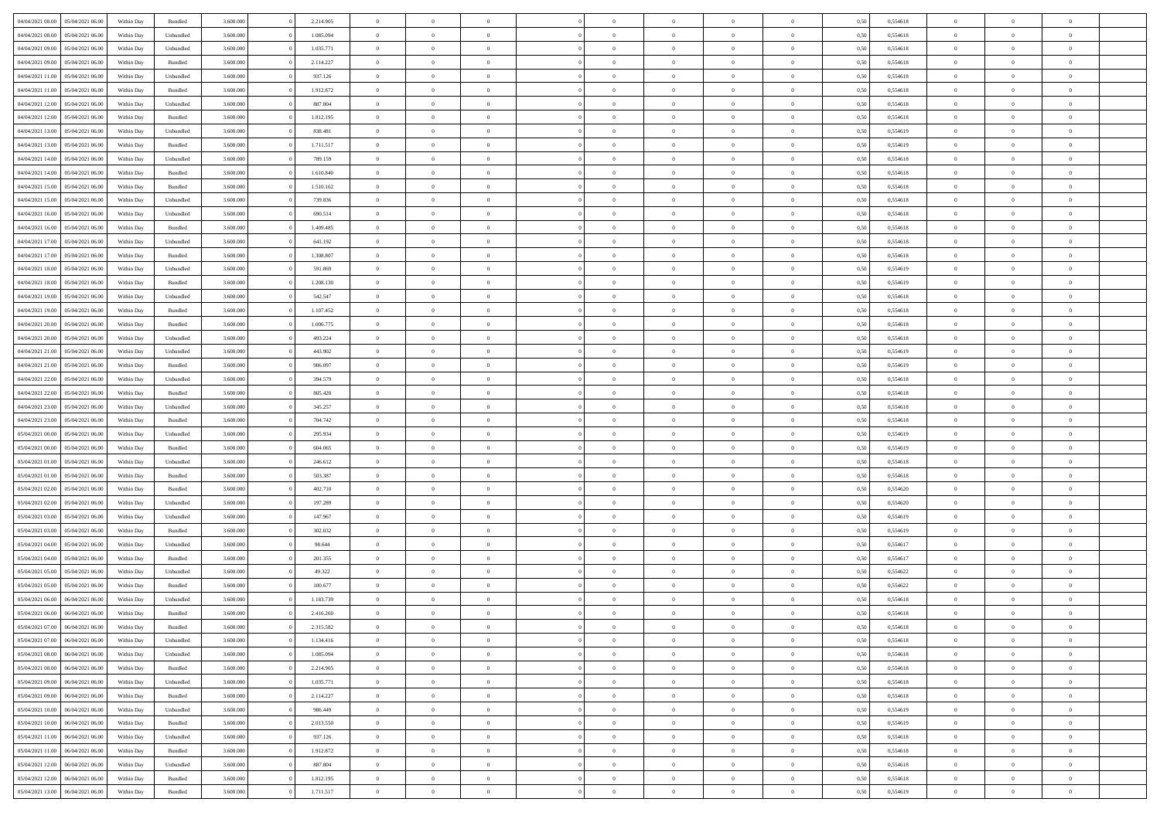|                                   |                  |            |                    |           |           | $\overline{0}$ | $\Omega$       |                |                | $\Omega$       | $\Omega$       | $\theta$       |      |          | $\theta$       | $\theta$       | $\theta$       |  |
|-----------------------------------|------------------|------------|--------------------|-----------|-----------|----------------|----------------|----------------|----------------|----------------|----------------|----------------|------|----------|----------------|----------------|----------------|--|
| 04/04/2021 08:00                  | 05/04/2021 06:00 | Within Day | Bundled            | 3.600.000 | 2.214.905 |                |                |                | $\Omega$       |                |                |                | 0,50 | 0,554618 |                |                |                |  |
| 04/04/2021 08:00                  | 05/04/2021 06:00 | Within Day | Unbundled          | 3.600.000 | 1.085.094 | $\overline{0}$ | $\theta$       | $\overline{0}$ | $\overline{0}$ | $\bf{0}$       | $\overline{0}$ | $\bf{0}$       | 0,50 | 0,554618 | $\theta$       | $\theta$       | $\overline{0}$ |  |
| 04/04/2021 09:00                  | 05/04/2021 06:00 | Within Day | Unbundled          | 3.600.000 | 1.035.771 | $\overline{0}$ | $\overline{0}$ | $\overline{0}$ | $\bf{0}$       | $\bf{0}$       | $\bf{0}$       | $\bf{0}$       | 0,50 | 0,554618 | $\overline{0}$ | $\overline{0}$ | $\overline{0}$ |  |
| 04/04/2021 09:00                  | 05/04/2021 06:00 | Within Dav | Bundled            | 3.600,000 | 2.114.227 | $\overline{0}$ | $\overline{0}$ | $\overline{0}$ | $\overline{0}$ | $\bf{0}$       | $\overline{0}$ | $\overline{0}$ | 0.50 | 0.554618 | $\theta$       | $\theta$       | $\overline{0}$ |  |
| 04/04/2021 11:00                  | 05/04/2021 06:00 | Within Day | Unbundled          | 3.600.000 | 937.126   | $\overline{0}$ | $\theta$       | $\overline{0}$ | $\overline{0}$ | $\bf{0}$       | $\overline{0}$ | $\bf{0}$       | 0,50 | 0,554618 | $\theta$       | $\overline{0}$ | $\overline{0}$ |  |
|                                   |                  |            |                    |           |           |                |                |                |                |                |                |                |      |          |                |                |                |  |
| 04/04/2021 11:00                  | 05/04/2021 06:00 | Within Day | Bundled            | 3.600.000 | 1.912.872 | $\overline{0}$ | $\overline{0}$ | $\overline{0}$ | $\bf{0}$       | $\overline{0}$ | $\overline{0}$ | $\mathbf{0}$   | 0,50 | 0,554618 | $\overline{0}$ | $\overline{0}$ | $\bf{0}$       |  |
| 04/04/2021 12:00                  | 05/04/2021 06:00 | Within Dav | Unbundled          | 3.600.000 | 887.804   | $\overline{0}$ | $\overline{0}$ | $\overline{0}$ | $\overline{0}$ | $\overline{0}$ | $\overline{0}$ | $\overline{0}$ | 0.50 | 0,554618 | $\theta$       | $\overline{0}$ | $\overline{0}$ |  |
| 04/04/2021 12:00                  | 05/04/2021 06:00 | Within Day | Bundled            | 3.600.000 | 1.812.195 | $\overline{0}$ | $\theta$       | $\overline{0}$ | $\overline{0}$ | $\bf{0}$       | $\overline{0}$ | $\bf{0}$       | 0,50 | 0,554618 | $\theta$       | $\theta$       | $\overline{0}$ |  |
| 04/04/2021 13:00                  | 05/04/2021 06:00 | Within Day | Unbundled          | 3.600.000 | 838.481   | $\overline{0}$ | $\overline{0}$ | $\overline{0}$ | $\bf{0}$       | $\bf{0}$       | $\bf{0}$       | $\bf{0}$       | 0,50 | 0,554619 | $\,0\,$        | $\overline{0}$ | $\overline{0}$ |  |
| 04/04/2021 13:00                  | 05/04/2021 06:00 | Within Dav | Bundled            | 3.600.000 | 1.711.517 | $\overline{0}$ | $\overline{0}$ | $\overline{0}$ | $\overline{0}$ | $\overline{0}$ | $\overline{0}$ | $\overline{0}$ | 0.50 | 0,554619 | $\theta$       | $\overline{0}$ | $\overline{0}$ |  |
|                                   |                  |            |                    |           |           | $\overline{0}$ | $\theta$       | $\overline{0}$ |                | $\bf{0}$       | $\overline{0}$ |                |      |          | $\,$ 0 $\,$    | $\overline{0}$ | $\overline{0}$ |  |
| 04/04/2021 14:00                  | 05/04/2021 06:00 | Within Day | Unbundled          | 3.600.000 | 789.159   |                |                |                | $\overline{0}$ |                |                | $\bf{0}$       | 0,50 | 0,554618 |                |                |                |  |
| 04/04/2021 14:00                  | 05/04/2021 06:00 | Within Day | Bundled            | 3.600.000 | 1.610.840 | $\overline{0}$ | $\overline{0}$ | $\overline{0}$ | $\bf{0}$       | $\bf{0}$       | $\bf{0}$       | $\bf{0}$       | 0,50 | 0,554618 | $\overline{0}$ | $\overline{0}$ | $\bf{0}$       |  |
| 04/04/2021 15:00                  | 05/04/2021 06:00 | Within Day | Bundled            | 3.600.000 | 1.510.162 | $\overline{0}$ | $\overline{0}$ | $\overline{0}$ | $\overline{0}$ | $\bf{0}$       | $\overline{0}$ | $\overline{0}$ | 0.50 | 0.554618 | $\theta$       | $\theta$       | $\overline{0}$ |  |
| 04/04/2021 15:00                  | 05/04/2021 06:00 | Within Day | Unbundled          | 3.600.000 | 739.836   | $\overline{0}$ | $\theta$       | $\overline{0}$ | $\overline{0}$ | $\bf{0}$       | $\overline{0}$ | $\bf{0}$       | 0,50 | 0,554618 | $\theta$       | $\overline{0}$ | $\overline{0}$ |  |
| 04/04/2021 16:00                  | 05/04/2021 06:00 | Within Day | Unbundled          | 3.600.000 | 690.514   | $\overline{0}$ | $\overline{0}$ | $\overline{0}$ | $\overline{0}$ | $\overline{0}$ | $\overline{0}$ | $\mathbf{0}$   | 0,50 | 0,554618 | $\overline{0}$ | $\overline{0}$ | $\bf{0}$       |  |
| 04/04/2021 16:00                  | 05/04/2021 06:00 | Within Dav | Bundled            | 3.600.000 | 1.409.485 | $\overline{0}$ | $\overline{0}$ | $\overline{0}$ | $\overline{0}$ | $\overline{0}$ | $\overline{0}$ | $\overline{0}$ | 0.50 | 0.554618 | $\theta$       | $\overline{0}$ | $\overline{0}$ |  |
| 04/04/2021 17.00                  | 05/04/2021 06:00 | Within Day | Unbundled          | 3.600.000 | 641.192   | $\overline{0}$ | $\theta$       | $\overline{0}$ | $\overline{0}$ | $\bf{0}$       | $\overline{0}$ | $\bf{0}$       | 0,50 | 0,554618 | $\theta$       | $\theta$       | $\overline{0}$ |  |
|                                   |                  |            |                    |           |           |                | $\overline{0}$ |                |                | $\bf{0}$       |                |                |      |          | $\,0\,$        | $\overline{0}$ | $\overline{0}$ |  |
| 04/04/2021 17:00                  | 05/04/2021 06:00 | Within Day | Bundled            | 3.600.000 | 1.308.807 | $\overline{0}$ |                | $\overline{0}$ | $\overline{0}$ |                | $\overline{0}$ | $\bf{0}$       | 0,50 | 0,554618 |                |                |                |  |
| 04/04/2021 18:00                  | 05/04/2021 06:00 | Within Day | Unbundled          | 3.600.000 | 591.869   | $\overline{0}$ | $\overline{0}$ | $\overline{0}$ | $\overline{0}$ | $\overline{0}$ | $\overline{0}$ | $\overline{0}$ | 0.50 | 0,554619 | $\theta$       | $\overline{0}$ | $\overline{0}$ |  |
| 04/04/2021 18:00                  | 05/04/2021 06:00 | Within Day | Bundled            | 3.600.000 | 1.208.130 | $\overline{0}$ | $\theta$       | $\overline{0}$ | $\overline{0}$ | $\bf{0}$       | $\overline{0}$ | $\bf{0}$       | 0,50 | 0,554619 | $\,$ 0 $\,$    | $\theta$       | $\overline{0}$ |  |
| 04/04/2021 19:00                  | 05/04/2021 06:00 | Within Day | Unbundled          | 3.600.000 | 542.547   | $\overline{0}$ | $\overline{0}$ | $\overline{0}$ | $\overline{0}$ | $\bf{0}$       | $\overline{0}$ | $\bf{0}$       | 0,50 | 0,554618 | $\overline{0}$ | $\overline{0}$ | $\overline{0}$ |  |
| 04/04/2021 19:00                  | 05/04/2021 06:00 | Within Day | Bundled            | 3.600,000 | 1.107.452 | $\overline{0}$ | $\overline{0}$ | $\overline{0}$ | $\overline{0}$ | $\bf{0}$       | $\overline{0}$ | $\overline{0}$ | 0.50 | 0.554618 | $\theta$       | $\overline{0}$ | $\overline{0}$ |  |
| 04/04/2021 20.00                  | 05/04/2021 06:00 | Within Day | Bundled            | 3.600.000 | 1.006.775 | $\overline{0}$ | $\theta$       | $\overline{0}$ | $\overline{0}$ | $\bf{0}$       | $\overline{0}$ | $\bf{0}$       | 0,50 | 0,554618 | $\,$ 0 $\,$    | $\overline{0}$ | $\overline{0}$ |  |
| 04/04/2021 20:00                  | 05/04/2021 06:00 | Within Day | Unbundled          | 3.600.000 | 493.224   | $\overline{0}$ | $\overline{0}$ | $\overline{0}$ | $\overline{0}$ | $\overline{0}$ | $\overline{0}$ | $\mathbf{0}$   | 0,50 | 0,554618 | $\overline{0}$ | $\overline{0}$ | $\bf{0}$       |  |
| 04/04/2021 21:00                  | 05/04/2021 06:00 | Within Dav | Unbundled          | 3.600.000 | 443.902   | $\overline{0}$ | $\overline{0}$ | $\overline{0}$ | $\overline{0}$ | $\overline{0}$ | $\overline{0}$ | $\overline{0}$ | 0.50 | 0,554619 | $\theta$       | $\overline{0}$ | $\overline{0}$ |  |
|                                   |                  |            |                    |           |           |                |                |                |                |                |                |                |      |          |                |                |                |  |
| 04/04/2021 21.00                  | 05/04/2021 06:00 | Within Day | Bundled            | 3.600.000 | 906.097   | $\overline{0}$ | $\theta$       | $\overline{0}$ | $\overline{0}$ | $\bf{0}$       | $\overline{0}$ | $\bf{0}$       | 0,50 | 0,554619 | $\theta$       | $\theta$       | $\overline{0}$ |  |
| 04/04/2021 22.00                  | 05/04/2021 06:00 | Within Day | Unbundled          | 3.600.000 | 394.579   | $\overline{0}$ | $\overline{0}$ | $\overline{0}$ | $\overline{0}$ | $\bf{0}$       | $\overline{0}$ | $\bf{0}$       | 0,50 | 0,554618 | $\,0\,$        | $\overline{0}$ | $\overline{0}$ |  |
| 04/04/2021 22.00                  | 05/04/2021 06:00 | Within Day | Bundled            | 3.600.000 | 805.420   | $\overline{0}$ | $\overline{0}$ | $\overline{0}$ | $\overline{0}$ | $\overline{0}$ | $\overline{0}$ | $\overline{0}$ | 0.50 | 0.554618 | $\theta$       | $\overline{0}$ | $\overline{0}$ |  |
| 04/04/2021 23:00                  | 05/04/2021 06:00 | Within Day | Unbundled          | 3.600.000 | 345.257   | $\overline{0}$ | $\theta$       | $\overline{0}$ | $\overline{0}$ | $\bf{0}$       | $\overline{0}$ | $\bf{0}$       | 0,50 | 0,554618 | $\,$ 0 $\,$    | $\overline{0}$ | $\overline{0}$ |  |
| 04/04/2021 23.00                  | 05/04/2021 06:00 | Within Day | Bundled            | 3.600.000 | 704.742   | $\overline{0}$ | $\overline{0}$ | $\overline{0}$ | $\overline{0}$ | $\bf{0}$       | $\overline{0}$ | $\bf{0}$       | 0,50 | 0,554618 | $\overline{0}$ | $\overline{0}$ | $\overline{0}$ |  |
| 05/04/2021 00:00                  | 05/04/2021 06:00 | Within Day | Unbundled          | 3.600.000 | 295.934   | $\overline{0}$ | $\Omega$       | $\Omega$       | $\Omega$       | $\Omega$       | $\Omega$       | $\overline{0}$ | 0,50 | 0,554619 | $\,0\,$        | $\theta$       | $\theta$       |  |
|                                   |                  |            |                    |           |           | $\overline{0}$ | $\theta$       | $\overline{0}$ | $\overline{0}$ | $\bf{0}$       | $\overline{0}$ |                |      |          | $\theta$       | $\overline{0}$ | $\overline{0}$ |  |
| 05/04/2021 00:00                  | 05/04/2021 06:00 | Within Day | Bundled            | 3.600.000 | 604.065   |                |                |                |                |                |                | $\bf{0}$       | 0,50 | 0,554619 |                |                |                |  |
| 05/04/2021 01:00                  | 05/04/2021 06:00 | Within Day | Unbundled          | 3.600.000 | 246.612   | $\overline{0}$ | $\overline{0}$ | $\overline{0}$ | $\bf{0}$       | $\bf{0}$       | $\overline{0}$ | $\mathbf{0}$   | 0,50 | 0,554618 | $\overline{0}$ | $\overline{0}$ | $\bf{0}$       |  |
| 05/04/2021 01:00                  | 05/04/2021 06:00 | Within Day | Bundled            | 3.600,000 | 503,387   | $\overline{0}$ | $\Omega$       | $\Omega$       | $\Omega$       | $\bf{0}$       | $\overline{0}$ | $\overline{0}$ | 0.50 | 0.554618 | $\theta$       | $\theta$       | $\theta$       |  |
| 05/04/2021 02:00                  | 05/04/2021 06:00 | Within Day | Bundled            | 3.600.000 | 402.710   | $\overline{0}$ | $\theta$       | $\overline{0}$ | $\overline{0}$ | $\bf{0}$       | $\overline{0}$ | $\bf{0}$       | 0,50 | 0,554620 | $\,$ 0 $\,$    | $\theta$       | $\overline{0}$ |  |
| 05/04/2021 02:00                  | 05/04/2021 06:00 | Within Day | Unbundled          | 3.600.000 | 197.289   | $\overline{0}$ | $\overline{0}$ | $\overline{0}$ | $\bf{0}$       | $\bf{0}$       | $\bf{0}$       | $\bf{0}$       | 0,50 | 0,554620 | $\bf{0}$       | $\overline{0}$ | $\overline{0}$ |  |
| 05/04/2021 03:00                  | 05/04/2021 06:00 | Within Day | Unbundled          | 3.600,000 | 147.967   | $\overline{0}$ | $\Omega$       | $\Omega$       | $\Omega$       | $\theta$       | $\theta$       | $\overline{0}$ | 0.50 | 0.554619 | $\theta$       | $\theta$       | $\theta$       |  |
| 05/04/2021 03:00                  | 05/04/2021 06:00 | Within Day | Bundled            | 3.600.000 | 302.032   | $\overline{0}$ | $\theta$       | $\overline{0}$ | $\overline{0}$ | $\bf{0}$       | $\overline{0}$ | $\bf{0}$       | 0,50 | 0,554619 | $\,$ 0 $\,$    | $\overline{0}$ | $\overline{0}$ |  |
|                                   |                  |            |                    |           |           |                |                |                |                |                |                |                |      |          |                |                |                |  |
| 05/04/2021 04:00                  | 05/04/2021 06:00 | Within Day | Unbundled          | 3.600.000 | 98.644    | $\overline{0}$ | $\overline{0}$ | $\overline{0}$ | $\bf{0}$       | $\bf{0}$       | $\bf{0}$       | $\bf{0}$       | 0,50 | 0,554617 | $\overline{0}$ | $\overline{0}$ | $\overline{0}$ |  |
| 05/04/2021 04:00                  | 05/04/2021 06:00 | Within Day | Bundled            | 3.600.000 | 201.355   | $\overline{0}$ | $\Omega$       | $\overline{0}$ | $\Omega$       | $\Omega$       | $\overline{0}$ | $\overline{0}$ | 0,50 | 0,554617 | $\,0\,$        | $\theta$       | $\theta$       |  |
| 05/04/2021 05:00                  | 05/04/2021 06:00 | Within Day | Unbundled          | 3.600.000 | 49.322    | $\overline{0}$ | $\theta$       | $\overline{0}$ | $\overline{0}$ | $\bf{0}$       | $\overline{0}$ | $\bf{0}$       | 0,50 | 0,554622 | $\,$ 0 $\,$    | $\overline{0}$ | $\overline{0}$ |  |
| 05/04/2021 05:00                  | 05/04/2021 06:00 | Within Day | Bundled            | 3.600.000 | 100.677   | $\overline{0}$ | $\overline{0}$ | $\overline{0}$ | $\bf{0}$       | $\bf{0}$       | $\bf{0}$       | $\mathbf{0}$   | 0,50 | 0,554622 | $\overline{0}$ | $\overline{0}$ | $\bf{0}$       |  |
| 05/04/2021 06:00                  | 06/04/2021 06:00 | Within Day | Unbundled          | 3.600,000 | 1.183.739 | $\overline{0}$ | $\Omega$       | $\Omega$       | $\Omega$       | $\Omega$       | $\Omega$       | $\overline{0}$ | 0.50 | 0.554618 | $\theta$       | $\theta$       | $\theta$       |  |
| 05/04/2021 06:00                  | 06/04/2021 06:00 | Within Day | Bundled            | 3.600.000 | 2.416.260 | $\overline{0}$ | $\overline{0}$ | $\overline{0}$ | $\bf{0}$       | $\,$ 0         | $\bf{0}$       | $\bf{0}$       | 0,50 | 0,554618 | $\,0\,$        | $\,$ 0 $\,$    | $\overline{0}$ |  |
| 05/04/2021 07:00 06/04/2021 06:00 |                  | Within Day | $\mathbf B$ undled | 3.600.000 | 2.315.582 | $\bf{0}$       | $\bf{0}$       |                |                |                |                |                | 0,50 | 0,554618 | $\bf{0}$       | $\overline{0}$ |                |  |
|                                   | 06/04/2021 06:00 |            |                    | 3.600.000 | 1.134.416 | $\overline{0}$ | $\overline{0}$ |                | $\Omega$       | $\overline{0}$ | $\overline{0}$ |                |      | 0.554618 | $\theta$       | $\theta$       | $\theta$       |  |
| 05/04/2021 07:00                  |                  | Within Day | Unbundled          |           |           |                |                | $\overline{0}$ |                |                |                | $\overline{0}$ | 0,50 |          |                |                |                |  |
| 05/04/2021 08:00                  | 06/04/2021 06:00 | Within Day | Unbundled          | 3.600.000 | 1.085.094 | $\overline{0}$ | $\,$ 0         | $\overline{0}$ | $\bf{0}$       | $\,$ 0 $\,$    | $\overline{0}$ | $\,$ 0 $\,$    | 0,50 | 0,554618 | $\,$ 0 $\,$    | $\,$ 0 $\,$    | $\,$ 0         |  |
| 05/04/2021 08:00                  | 06/04/2021 06:00 | Within Day | Bundled            | 3.600.000 | 2.214.905 | $\overline{0}$ | $\overline{0}$ | $\overline{0}$ | $\overline{0}$ | $\overline{0}$ | $\overline{0}$ | $\mathbf{0}$   | 0,50 | 0,554618 | $\overline{0}$ | $\bf{0}$       | $\bf{0}$       |  |
| 05/04/2021 09:00                  | 06/04/2021 06:00 | Within Day | Unbundled          | 3.600.000 | 1.035.771 | $\overline{0}$ | $\overline{0}$ | $\overline{0}$ | $\Omega$       | $\overline{0}$ | $\overline{0}$ | $\overline{0}$ | 0,50 | 0,554618 | $\overline{0}$ | $\theta$       | $\overline{0}$ |  |
| 05/04/2021 09:00                  | 06/04/2021 06:00 | Within Day | Bundled            | 3.600.000 | 2.114.227 | $\overline{0}$ | $\,$ 0         | $\overline{0}$ | $\overline{0}$ | $\,$ 0 $\,$    | $\overline{0}$ | $\mathbf{0}$   | 0,50 | 0,554618 | $\,$ 0 $\,$    | $\overline{0}$ | $\overline{0}$ |  |
| 05/04/2021 10:00                  | 06/04/2021 06:00 | Within Day | Unbundled          | 3.600.000 | 986.449   | $\overline{0}$ | $\overline{0}$ | $\overline{0}$ | $\overline{0}$ | $\overline{0}$ | $\overline{0}$ | $\mathbf{0}$   | 0,50 | 0,554619 | $\overline{0}$ | $\overline{0}$ | $\bf{0}$       |  |
| 05/04/2021 10:00                  | 06/04/2021 06:00 | Within Day | Bundled            | 3.600,000 | 2.013.550 | $\overline{0}$ | $\overline{0}$ | $\overline{0}$ | $\Omega$       | $\overline{0}$ | $\overline{0}$ | $\bf{0}$       | 0.50 | 0,554619 | $\overline{0}$ | $\theta$       | $\overline{0}$ |  |
| 05/04/2021 11:00                  | 06/04/2021 06:00 | Within Day | Unbundled          | 3.600.000 | 937.126   | $\overline{0}$ | $\,$ 0         | $\overline{0}$ | $\bf{0}$       | $\bf{0}$       | $\bf{0}$       | $\bf{0}$       | 0,50 | 0,554618 | $\,$ 0 $\,$    | $\overline{0}$ | $\overline{0}$ |  |
|                                   |                  |            |                    |           |           |                |                |                |                |                |                |                |      |          |                |                |                |  |
| 05/04/2021 11:00                  | 06/04/2021 06:00 | Within Day | Bundled            | 3.600.000 | 1.912.872 | $\overline{0}$ | $\bf{0}$       | $\overline{0}$ | $\overline{0}$ | $\overline{0}$ | $\overline{0}$ | $\mathbf{0}$   | 0,50 | 0,554618 | $\overline{0}$ | $\overline{0}$ | $\bf{0}$       |  |
| 05/04/2021 12:00                  | 06/04/2021 06:00 | Within Day | Unbundled          | 3.600,000 | 887.804   | $\overline{0}$ | $\overline{0}$ | $\overline{0}$ | $\Omega$       | $\overline{0}$ | $\overline{0}$ | $\overline{0}$ | 0.50 | 0,554618 | $\overline{0}$ | $\overline{0}$ | $\overline{0}$ |  |
| 05/04/2021 12:00                  | 06/04/2021 06:00 | Within Day | Bundled            | 3.600.000 | 1.812.195 | $\overline{0}$ | $\bf{0}$       | $\overline{0}$ | $\bf{0}$       | $\bf{0}$       | $\overline{0}$ | $\mathbf{0}$   | 0,50 | 0,554618 | $\,$ 0 $\,$    | $\,$ 0 $\,$    | $\bf{0}$       |  |
| 05/04/2021 13:00                  | 06/04/2021 06:00 | Within Day | Bundled            | 3.600.000 | 1.711.517 | $\overline{0}$ | $\overline{0}$ | $\overline{0}$ | $\overline{0}$ | $\overline{0}$ | $\overline{0}$ | $\mathbf{0}$   | 0,50 | 0,554619 | $\overline{0}$ | $\bf{0}$       | $\bf{0}$       |  |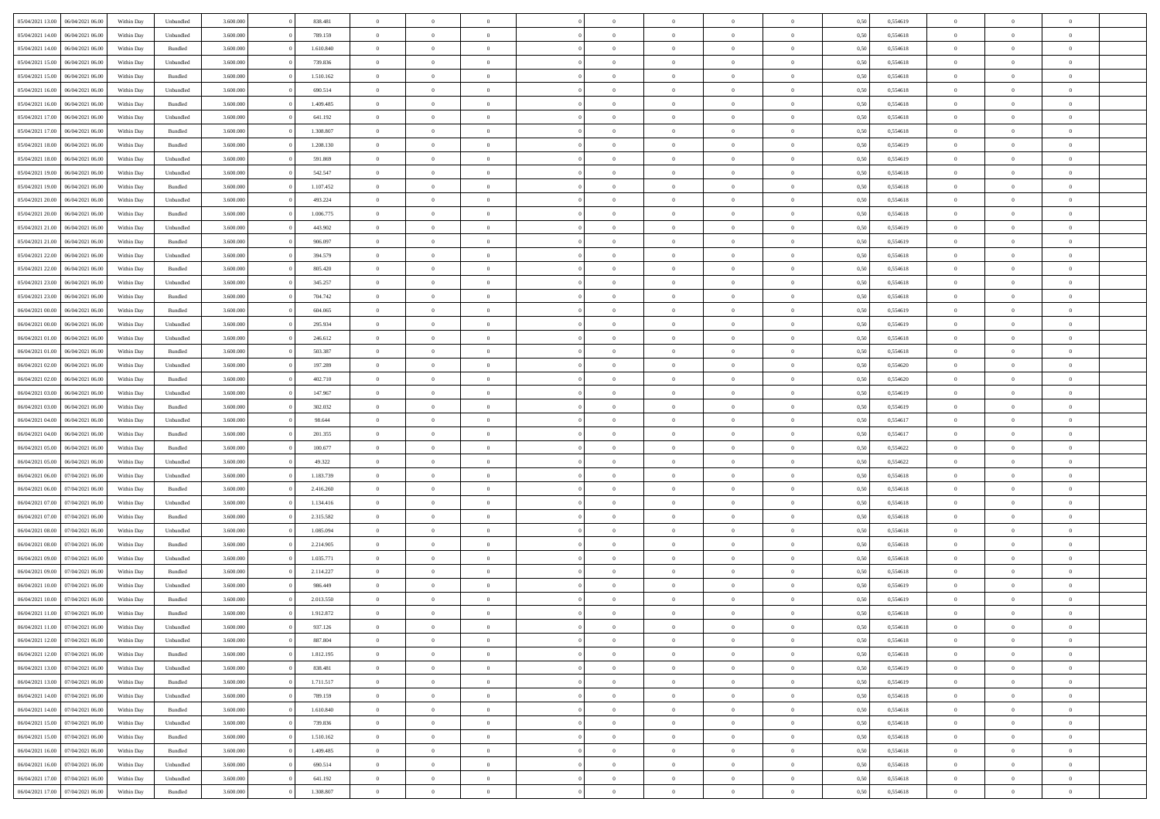| 05/04/2021 13:00                  | 06/04/2021 06:00 | Within Day | Unbundled          | 3.600.000 | 838.481   | $\overline{0}$ | $\Omega$       |                | $\Omega$       | $\Omega$       | $\Omega$       | $\theta$       | 0,50 | 0,554619 | $\theta$       | $\theta$       | $\theta$       |  |
|-----------------------------------|------------------|------------|--------------------|-----------|-----------|----------------|----------------|----------------|----------------|----------------|----------------|----------------|------|----------|----------------|----------------|----------------|--|
| 05/04/2021 14:00                  | 06/04/2021 06:00 | Within Day | Unbundled          | 3.600.000 | 789.159   | $\overline{0}$ | $\theta$       | $\overline{0}$ | $\overline{0}$ | $\bf{0}$       | $\overline{0}$ | $\bf{0}$       | 0,50 | 0,554618 | $\theta$       | $\theta$       | $\overline{0}$ |  |
| 05/04/2021 14:00                  | 06/04/2021 06:00 | Within Day | Bundled            | 3.600.000 | 1.610.840 | $\overline{0}$ | $\overline{0}$ | $\overline{0}$ | $\overline{0}$ | $\bf{0}$       | $\overline{0}$ | $\bf{0}$       | 0,50 | 0,554618 | $\overline{0}$ | $\overline{0}$ | $\overline{0}$ |  |
| 05/04/2021 15:00                  | 06/04/2021 06:00 | Within Dav | Unbundled          | 3.600.000 | 739.836   | $\overline{0}$ | $\overline{0}$ | $\overline{0}$ | $\overline{0}$ | $\bf{0}$       | $\overline{0}$ | $\overline{0}$ | 0.50 | 0.554618 | $\theta$       | $\theta$       | $\overline{0}$ |  |
|                                   |                  |            |                    |           |           |                |                |                |                |                |                |                |      |          |                |                |                |  |
| 05/04/2021 15:00                  | 06/04/2021 06:00 | Within Day | Bundled            | 3.600.000 | 1.510.162 | $\overline{0}$ | $\theta$       | $\overline{0}$ | $\overline{0}$ | $\bf{0}$       | $\overline{0}$ | $\bf{0}$       | 0,50 | 0,554618 | $\theta$       | $\overline{0}$ | $\overline{0}$ |  |
| 05/04/2021 16:00                  | 06/04/2021 06:00 | Within Day | Unbundled          | 3.600.000 | 690.514   | $\overline{0}$ | $\bf{0}$       | $\overline{0}$ | $\overline{0}$ | $\overline{0}$ | $\overline{0}$ | $\mathbf{0}$   | 0,50 | 0,554618 | $\overline{0}$ | $\overline{0}$ | $\bf{0}$       |  |
| 05/04/2021 16:00                  | 06/04/2021 06:00 | Within Dav | Bundled            | 3.600.000 | 1.409.485 | $\overline{0}$ | $\overline{0}$ | $\overline{0}$ | $\overline{0}$ | $\overline{0}$ | $\overline{0}$ | $\overline{0}$ | 0.50 | 0,554618 | $\theta$       | $\overline{0}$ | $\overline{0}$ |  |
| 05/04/2021 17:00                  | 06/04/2021 06:00 | Within Day | Unbundled          | 3.600.000 | 641.192   | $\overline{0}$ | $\theta$       | $\overline{0}$ | $\overline{0}$ | $\bf{0}$       | $\overline{0}$ | $\bf{0}$       | 0,50 | 0,554618 | $\theta$       | $\theta$       | $\overline{0}$ |  |
|                                   |                  |            |                    |           |           |                |                |                |                |                |                |                |      |          |                |                |                |  |
| 05/04/2021 17.00                  | 06/04/2021 06:00 | Within Day | Bundled            | 3.600.000 | 1.308.807 | $\overline{0}$ | $\overline{0}$ | $\overline{0}$ | $\overline{0}$ | $\bf{0}$       | $\overline{0}$ | $\bf{0}$       | 0,50 | 0,554618 | $\,0\,$        | $\overline{0}$ | $\overline{0}$ |  |
| 05/04/2021 18:00                  | 06/04/2021 06:00 | Within Dav | Bundled            | 3.600.000 | 1.208.130 | $\overline{0}$ | $\overline{0}$ | $\overline{0}$ | $\overline{0}$ | $\overline{0}$ | $\overline{0}$ | $\overline{0}$ | 0.50 | 0.554619 | $\theta$       | $\overline{0}$ | $\overline{0}$ |  |
| 05/04/2021 18:00                  | 06/04/2021 06:00 | Within Day | Unbundled          | 3.600.000 | 591.869   | $\overline{0}$ | $\theta$       | $\overline{0}$ | $\overline{0}$ | $\bf{0}$       | $\overline{0}$ | $\bf{0}$       | 0,50 | 0,554619 | $\,$ 0 $\,$    | $\overline{0}$ | $\overline{0}$ |  |
| 05/04/2021 19:00                  | 06/04/2021 06:00 | Within Day | Unbundled          | 3.600.000 | 542.547   | $\overline{0}$ | $\overline{0}$ | $\overline{0}$ | $\overline{0}$ | $\bf{0}$       | $\overline{0}$ | $\mathbf{0}$   | 0,50 | 0,554618 | $\overline{0}$ | $\overline{0}$ | $\overline{0}$ |  |
| 05/04/2021 19:00                  | 06/04/2021 06:00 | Within Day | Bundled            | 3.600.000 | 1.107.452 | $\overline{0}$ | $\overline{0}$ | $\overline{0}$ | $\overline{0}$ | $\bf{0}$       | $\overline{0}$ | $\overline{0}$ | 0.50 | 0.554618 | $\theta$       | $\theta$       | $\overline{0}$ |  |
|                                   |                  |            |                    |           |           |                |                |                |                |                |                |                |      |          |                |                |                |  |
| 05/04/2021 20.00                  | 06/04/2021 06:00 | Within Day | Unbundled          | 3.600.000 | 493.224   | $\overline{0}$ | $\theta$       | $\overline{0}$ | $\overline{0}$ | $\bf{0}$       | $\overline{0}$ | $\bf{0}$       | 0,50 | 0,554618 | $\theta$       | $\theta$       | $\overline{0}$ |  |
| 05/04/2021 20:00                  | 06/04/2021 06:00 | Within Day | Bundled            | 3.600.000 | 1.006.775 | $\overline{0}$ | $\overline{0}$ | $\overline{0}$ | $\overline{0}$ | $\overline{0}$ | $\overline{0}$ | $\mathbf{0}$   | 0,50 | 0,554618 | $\overline{0}$ | $\overline{0}$ | $\bf{0}$       |  |
| 05/04/2021 21:00                  | 06/04/2021 06:00 | Within Dav | Unbundled          | 3.600.000 | 443.902   | $\overline{0}$ | $\overline{0}$ | $\overline{0}$ | $\overline{0}$ | $\overline{0}$ | $\overline{0}$ | $\overline{0}$ | 0.50 | 0,554619 | $\theta$       | $\overline{0}$ | $\overline{0}$ |  |
| 05/04/2021 21:00                  | 06/04/2021 06:00 | Within Day | Bundled            | 3.600.000 | 906.097   | $\overline{0}$ | $\theta$       | $\overline{0}$ | $\overline{0}$ | $\bf{0}$       | $\overline{0}$ | $\bf{0}$       | 0,50 | 0,554619 | $\theta$       | $\theta$       | $\overline{0}$ |  |
|                                   |                  |            |                    |           |           |                |                |                |                |                |                |                |      |          |                |                |                |  |
| 05/04/2021 22.00                  | 06/04/2021 06:00 | Within Day | Unbundled          | 3.600.000 | 394.579   | $\overline{0}$ | $\overline{0}$ | $\overline{0}$ | $\bf{0}$       | $\bf{0}$       | $\bf{0}$       | $\bf{0}$       | 0,50 | 0,554618 | $\,0\,$        | $\overline{0}$ | $\overline{0}$ |  |
| 05/04/2021 22.00                  | 06/04/2021 06:00 | Within Day | Bundled            | 3.600.000 | 805.420   | $\overline{0}$ | $\overline{0}$ | $\overline{0}$ | $\overline{0}$ | $\overline{0}$ | $\overline{0}$ | $\overline{0}$ | 0.50 | 0,554618 | $\theta$       | $\overline{0}$ | $\overline{0}$ |  |
| 05/04/2021 23:00                  | 06/04/2021 06:00 | Within Day | Unbundled          | 3.600.000 | 345.257   | $\overline{0}$ | $\theta$       | $\overline{0}$ | $\overline{0}$ | $\bf{0}$       | $\overline{0}$ | $\bf{0}$       | 0,50 | 0,554618 | $\,$ 0 $\,$    | $\theta$       | $\overline{0}$ |  |
| 05/04/2021 23.00                  | 06/04/2021 06:00 | Within Day | Bundled            | 3.600.000 | 704.742   | $\overline{0}$ | $\overline{0}$ | $\overline{0}$ | $\bf{0}$       | $\bf{0}$       | $\bf{0}$       | $\bf{0}$       | 0,50 | 0,554618 | $\bf{0}$       | $\overline{0}$ | $\overline{0}$ |  |
| 06/04/2021 00:00                  | 06/04/2021 06:00 | Within Day | Bundled            | 3.600,000 | 604.065   | $\overline{0}$ | $\overline{0}$ | $\overline{0}$ | $\overline{0}$ | $\bf{0}$       | $\overline{0}$ | $\overline{0}$ | 0.50 | 0.554619 | $\theta$       | $\theta$       | $\overline{0}$ |  |
|                                   |                  |            |                    |           |           |                |                |                |                |                |                |                |      |          |                |                |                |  |
| 06/04/2021 00:00                  | 06/04/2021 06:00 | Within Day | Unbundled          | 3.600.000 | 295.934   | $\overline{0}$ | $\theta$       | $\overline{0}$ | $\overline{0}$ | $\bf{0}$       | $\overline{0}$ | $\bf{0}$       | 0,50 | 0,554619 | $\,$ 0 $\,$    | $\overline{0}$ | $\overline{0}$ |  |
| 06/04/2021 01:00                  | 06/04/2021 06:00 | Within Day | Unbundled          | 3.600.000 | 246.612   | $\overline{0}$ | $\bf{0}$       | $\overline{0}$ | $\bf{0}$       | $\overline{0}$ | $\overline{0}$ | $\mathbf{0}$   | 0,50 | 0,554618 | $\overline{0}$ | $\overline{0}$ | $\bf{0}$       |  |
| 06/04/2021 01:00                  | 06/04/2021 06:00 | Within Dav | Bundled            | 3.600.000 | 503.387   | $\overline{0}$ | $\overline{0}$ | $\overline{0}$ | $\overline{0}$ | $\overline{0}$ | $\overline{0}$ | $\overline{0}$ | 0.50 | 0.554618 | $\theta$       | $\overline{0}$ | $\overline{0}$ |  |
| 06/04/2021 02:00                  | 06/04/2021 06:00 | Within Day | Unbundled          | 3.600.000 | 197.289   | $\overline{0}$ | $\theta$       | $\overline{0}$ | $\overline{0}$ | $\bf{0}$       | $\overline{0}$ | $\bf{0}$       | 0,50 | 0,554620 | $\theta$       | $\theta$       | $\overline{0}$ |  |
|                                   |                  |            |                    |           |           |                |                |                |                |                |                |                |      |          |                |                |                |  |
| 06/04/2021 02:00                  | 06/04/2021 06:00 | Within Day | Bundled            | 3.600.000 | 402.710   | $\overline{0}$ | $\overline{0}$ | $\overline{0}$ | $\bf{0}$       | $\bf{0}$       | $\bf{0}$       | $\bf{0}$       | 0,50 | 0,554620 | $\,0\,$        | $\overline{0}$ | $\overline{0}$ |  |
| 06/04/2021 03:00                  | 06/04/2021 06:00 | Within Day | Unbundled          | 3.600.000 | 147.967   | $\overline{0}$ | $\overline{0}$ | $\overline{0}$ | $\overline{0}$ | $\overline{0}$ | $\overline{0}$ | $\overline{0}$ | 0.50 | 0.554619 | $\theta$       | $\overline{0}$ | $\overline{0}$ |  |
| 06/04/2021 03:00                  | 06/04/2021 06:00 | Within Day | Bundled            | 3.600.000 | 302.032   | $\overline{0}$ | $\theta$       | $\overline{0}$ | $\overline{0}$ | $\bf{0}$       | $\overline{0}$ | $\bf{0}$       | 0,50 | 0,554619 | $\,$ 0 $\,$    | $\overline{0}$ | $\overline{0}$ |  |
| 06/04/2021 04:00                  | 06/04/2021 06:00 | Within Day | Unbundled          | 3.600.000 | 98.644    | $\overline{0}$ | $\overline{0}$ | $\overline{0}$ | $\bf{0}$       | $\bf{0}$       | $\bf{0}$       | $\bf{0}$       | 0,50 | 0,554617 | $\overline{0}$ | $\overline{0}$ | $\overline{0}$ |  |
| 06/04/2021 04:00                  | 06/04/2021 06:00 | Within Day | Bundled            | 3.600.000 | 201.355   | $\overline{0}$ | $\Omega$       | $\Omega$       | $\Omega$       | $\Omega$       | $\Omega$       | $\overline{0}$ | 0,50 | 0,554617 | $\,0\,$        | $\theta$       | $\theta$       |  |
|                                   |                  |            |                    |           |           |                |                |                |                |                |                |                |      |          |                |                |                |  |
| 06/04/2021 05:00                  | 06/04/2021 06:00 | Within Day | Bundled            | 3.600.000 | 100.677   | $\overline{0}$ | $\theta$       | $\overline{0}$ | $\overline{0}$ | $\bf{0}$       | $\overline{0}$ | $\bf{0}$       | 0,50 | 0,554622 | $\theta$       | $\theta$       | $\overline{0}$ |  |
| 06/04/2021 05:00                  | 06/04/2021 06:00 | Within Day | Unbundled          | 3.600.000 | 49.322    | $\overline{0}$ | $\overline{0}$ | $\overline{0}$ | $\bf{0}$       | $\bf{0}$       | $\overline{0}$ | $\mathbf{0}$   | 0,50 | 0,554622 | $\overline{0}$ | $\overline{0}$ | $\bf{0}$       |  |
| 06/04/2021 06:00                  | 07/04/2021 06:00 | Within Day | Unbundled          | 3.600,000 | 1.183.739 | $\overline{0}$ | $\Omega$       | $\Omega$       | $\Omega$       | $\bf{0}$       | $\overline{0}$ | $\overline{0}$ | 0.50 | 0.554618 | $\theta$       | $\theta$       | $\theta$       |  |
| 06/04/2021 06:00                  | 07/04/2021 06:00 | Within Day | Bundled            | 3.600.000 | 2.416.260 | $\overline{0}$ | $\theta$       | $\overline{0}$ | $\overline{0}$ | $\bf{0}$       | $\overline{0}$ | $\bf{0}$       | 0,50 | 0,554618 | $\theta$       | $\theta$       | $\overline{0}$ |  |
| 06/04/2021 07:00                  | 07/04/2021 06.00 | Within Day | Unbundled          | 3.600.000 | 1.134.416 | $\overline{0}$ | $\overline{0}$ | $\overline{0}$ | $\bf{0}$       | $\bf{0}$       | $\bf{0}$       | $\bf{0}$       | 0,50 | 0,554618 | $\,0\,$        | $\overline{0}$ | $\overline{0}$ |  |
|                                   |                  |            |                    |           |           |                |                |                |                |                |                |                |      |          |                |                |                |  |
| 06/04/2021 07:00                  | 07/04/2021 06:00 | Within Day | Bundled            | 3.600,000 | 2.315.582 | $\overline{0}$ | $\Omega$       | $\overline{0}$ | $\Omega$       | $\theta$       | $\theta$       | $\overline{0}$ | 0.50 | 0.554618 | $\theta$       | $\theta$       | $\theta$       |  |
| 06/04/2021 08:00                  | 07/04/2021 06:00 | Within Day | Unbundled          | 3.600.000 | 1.085.094 | $\overline{0}$ | $\theta$       | $\overline{0}$ | $\overline{0}$ | $\bf{0}$       | $\overline{0}$ | $\bf{0}$       | 0,50 | 0,554618 | $\,$ 0 $\,$    | $\overline{0}$ | $\overline{0}$ |  |
| 06/04/2021 08:00                  | 07/04/2021 06.00 | Within Day | Bundled            | 3.600.000 | 2.214.905 | $\overline{0}$ | $\overline{0}$ | $\overline{0}$ | $\bf{0}$       | $\bf{0}$       | $\overline{0}$ | $\bf{0}$       | 0,50 | 0,554618 | $\overline{0}$ | $\overline{0}$ | $\overline{0}$ |  |
| 06/04/2021 09:00                  | 07/04/2021 06.00 | Within Day | Unbundled          | 3.600.000 | 1.035.771 | $\overline{0}$ | $\Omega$       | $\overline{0}$ | $\Omega$       | $\Omega$       | $\overline{0}$ | $\overline{0}$ | 0,50 | 0,554618 | $\,0\,$        | $\theta$       | $\theta$       |  |
| 06/04/2021 09:00                  | 07/04/2021 06:00 | Within Day | Bundled            | 3.600.000 | 2.114.227 | $\overline{0}$ | $\theta$       | $\overline{0}$ | $\overline{0}$ | $\bf{0}$       | $\overline{0}$ | $\bf{0}$       | 0,50 | 0,554618 | $\,$ 0 $\,$    | $\overline{0}$ | $\overline{0}$ |  |
|                                   |                  |            |                    |           |           |                |                |                |                |                |                |                |      |          |                |                |                |  |
| 06/04/2021 10:00                  | 07/04/2021 06.00 | Within Day | Unbundled          | 3.600.000 | 986.449   | $\overline{0}$ | $\overline{0}$ | $\overline{0}$ | $\overline{0}$ | $\bf{0}$       | $\overline{0}$ | $\mathbf{0}$   | 0,50 | 0,554619 | $\overline{0}$ | $\overline{0}$ | $\bf{0}$       |  |
| 06/04/2021 10:00                  | 07/04/2021 06:00 | Within Day | Bundled            | 3.600,000 | 2.013.550 | $\overline{0}$ | $\Omega$       | $\Omega$       | $\Omega$       | $\Omega$       | $\Omega$       | $\overline{0}$ | 0.50 | 0.554619 | $\theta$       | $\theta$       | $\theta$       |  |
| 06/04/2021 11:00                  | 07/04/2021 06:00 | Within Day | Bundled            | 3.600.000 | 1.912.872 | $\overline{0}$ | $\,$ 0 $\,$    | $\overline{0}$ | $\bf{0}$       | $\,$ 0         | $\overline{0}$ | $\bf{0}$       | 0,50 | 0,554618 | $\,0\,$        | $\overline{0}$ | $\overline{0}$ |  |
| 06/04/2021 11:00 07/04/2021 06:00 |                  | Within Day | Unbundled          | 3.600.000 | 937.126   | $\bf{0}$       | $\bf{0}$       |                |                |                |                |                | 0,50 | 0,554618 | $\bf{0}$       | $\overline{0}$ |                |  |
|                                   |                  |            |                    |           |           |                |                |                |                |                |                |                |      |          |                |                | $\theta$       |  |
| 06/04/2021 12:00                  | 07/04/2021 06:00 | Within Day | Unbundled          | 3.600.000 | 887.804   | $\overline{0}$ | $\overline{0}$ | $\overline{0}$ | $\Omega$       | $\overline{0}$ | $\overline{0}$ | $\overline{0}$ | 0,50 | 0.554618 | $\theta$       | $\theta$       |                |  |
| 06/04/2021 12:00                  | 07/04/2021 06:00 | Within Day | Bundled            | 3.600.000 | 1.812.195 | $\overline{0}$ | $\,$ 0         | $\overline{0}$ | $\overline{0}$ | $\,$ 0 $\,$    | $\overline{0}$ | $\,$ 0 $\,$    | 0,50 | 0,554618 | $\,$ 0 $\,$    | $\,$ 0 $\,$    | $\,$ 0         |  |
| 06/04/2021 13:00                  | 07/04/2021 06:00 | Within Day | Unbundled          | 3.600.000 | 838.481   | $\overline{0}$ | $\overline{0}$ | $\overline{0}$ | $\overline{0}$ | $\overline{0}$ | $\overline{0}$ | $\mathbf{0}$   | 0,50 | 0,554619 | $\overline{0}$ | $\bf{0}$       | $\overline{0}$ |  |
| 06/04/2021 13:00                  | 07/04/2021 06:00 | Within Day | $\mathbf B$ undled | 3.600.000 | 1.711.517 | $\overline{0}$ | $\overline{0}$ | $\overline{0}$ | $\Omega$       | $\overline{0}$ | $\overline{0}$ | $\overline{0}$ | 0,50 | 0,554619 | $\overline{0}$ | $\theta$       | $\overline{0}$ |  |
| 06/04/2021 14:00                  | 07/04/2021 06:00 | Within Day | Unbundled          | 3.600.000 | 789.159   | $\overline{0}$ | $\,$ 0         | $\overline{0}$ | $\overline{0}$ | $\,$ 0 $\,$    | $\overline{0}$ | $\mathbf{0}$   | 0,50 | 0,554618 | $\,$ 0 $\,$    | $\overline{0}$ | $\overline{0}$ |  |
|                                   |                  |            |                    |           |           |                |                |                |                |                |                |                |      |          |                |                |                |  |
| 06/04/2021 14:00                  | 07/04/2021 06:00 | Within Day | Bundled            | 3.600.000 | 1.610.840 | $\overline{0}$ | $\overline{0}$ | $\overline{0}$ | $\overline{0}$ | $\overline{0}$ | $\overline{0}$ | $\mathbf{0}$   | 0,50 | 0,554618 | $\overline{0}$ | $\overline{0}$ | $\overline{0}$ |  |
| 06/04/2021 15:00                  | 07/04/2021 06:00 | Within Day | Unbundled          | 3.600,000 | 739.836   | $\overline{0}$ | $\overline{0}$ | $\overline{0}$ | $\overline{0}$ | $\overline{0}$ | $\overline{0}$ | $\bf{0}$       | 0.50 | 0,554618 | $\overline{0}$ | $\theta$       | $\overline{0}$ |  |
| 06/04/2021 15:00                  | 07/04/2021 06:00 | Within Day | Bundled            | 3.600.000 | 1.510.162 | $\overline{0}$ | $\,$ 0         | $\overline{0}$ | $\overline{0}$ | $\bf{0}$       | $\overline{0}$ | $\bf{0}$       | 0,50 | 0,554618 | $\,$ 0 $\,$    | $\overline{0}$ | $\overline{0}$ |  |
| 06/04/2021 16:00                  | 07/04/2021 06:00 | Within Day | Bundled            | 3.600.000 | 1.409.485 | $\overline{0}$ | $\bf{0}$       | $\overline{0}$ | $\overline{0}$ | $\overline{0}$ | $\overline{0}$ | $\mathbf{0}$   | 0,50 | 0,554618 | $\overline{0}$ | $\overline{0}$ | $\bf{0}$       |  |
|                                   |                  |            |                    |           |           |                |                |                |                |                |                |                |      |          |                |                |                |  |
| 06/04/2021 16:00                  | 07/04/2021 06:00 | Within Day | Unbundled          | 3.600,000 | 690.514   | $\overline{0}$ | $\overline{0}$ | $\overline{0}$ | $\Omega$       | $\overline{0}$ | $\overline{0}$ | $\overline{0}$ | 0.50 | 0,554618 | $\overline{0}$ | $\overline{0}$ | $\overline{0}$ |  |
| 06/04/2021 17:00                  | 07/04/2021 06:00 | Within Day | Unbundled          | 3.600.000 | 641.192   | $\overline{0}$ | $\bf{0}$       | $\overline{0}$ | $\overline{0}$ | $\bf{0}$       | $\overline{0}$ | $\mathbf{0}$   | 0,50 | 0,554618 | $\,$ 0 $\,$    | $\,$ 0 $\,$    | $\bf{0}$       |  |
| 06/04/2021 17:00                  | 07/04/2021 06:00 | Within Day | Bundled            | 3.600.000 | 1.308.807 | $\overline{0}$ | $\bf{0}$       | $\overline{0}$ | $\overline{0}$ | $\bf{0}$       | $\bf{0}$       | $\bf{0}$       | 0,50 | 0,554618 | $\overline{0}$ | $\overline{0}$ | $\bf{0}$       |  |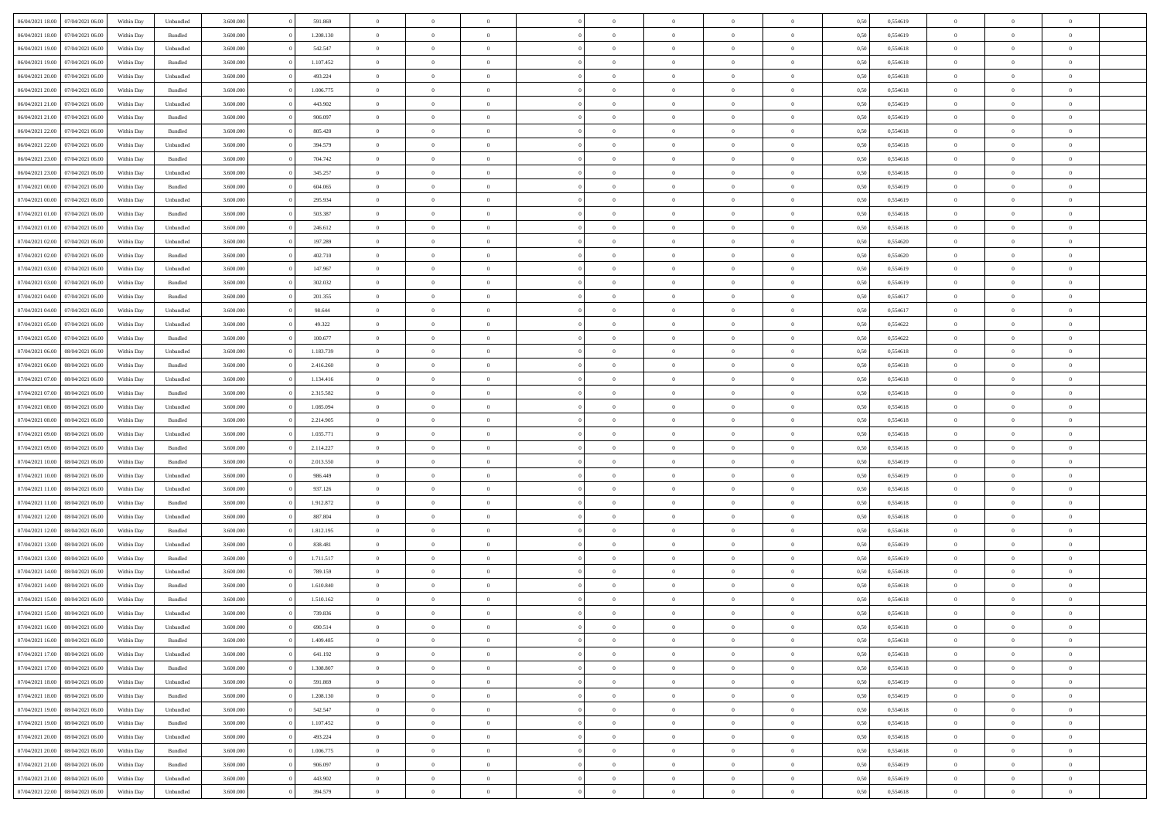| 06/04/2021 18:00                  | 07/04/2021 06:00 | Within Day | Unbundled | 3.600.000 | 591.869   | $\overline{0}$ | $\Omega$       |                | $\Omega$       | $\Omega$       | $\Omega$       | $\theta$       | 0,50 | 0,554619 | $\theta$       | $\theta$       | $\theta$       |  |
|-----------------------------------|------------------|------------|-----------|-----------|-----------|----------------|----------------|----------------|----------------|----------------|----------------|----------------|------|----------|----------------|----------------|----------------|--|
|                                   |                  |            |           |           |           |                |                |                |                |                |                |                |      |          |                |                |                |  |
| 06/04/2021 18:00                  | 07/04/2021 06:00 | Within Day | Bundled   | 3.600.000 | 1.208.130 | $\overline{0}$ | $\theta$       | $\overline{0}$ | $\overline{0}$ | $\bf{0}$       | $\overline{0}$ | $\bf{0}$       | 0,50 | 0,554619 | $\theta$       | $\theta$       | $\overline{0}$ |  |
| 06/04/2021 19:00                  | 07/04/2021 06.00 | Within Day | Unbundled | 3.600.000 | 542.547   | $\overline{0}$ | $\overline{0}$ | $\overline{0}$ | $\bf{0}$       | $\bf{0}$       | $\bf{0}$       | $\bf{0}$       | 0,50 | 0,554618 | $\bf{0}$       | $\overline{0}$ | $\overline{0}$ |  |
| 06/04/2021 19:00                  | 07/04/2021 06:00 | Within Dav | Bundled   | 3.600,000 | 1.107.452 | $\overline{0}$ | $\overline{0}$ | $\overline{0}$ | $\overline{0}$ | $\bf{0}$       | $\overline{0}$ | $\overline{0}$ | 0.50 | 0.554618 | $\theta$       | $\theta$       | $\overline{0}$ |  |
|                                   |                  |            |           |           |           | $\overline{0}$ | $\theta$       | $\overline{0}$ |                | $\bf{0}$       | $\overline{0}$ |                |      |          | $\theta$       | $\overline{0}$ | $\overline{0}$ |  |
| 06/04/2021 20:00                  | 07/04/2021 06:00 | Within Day | Unbundled | 3.600.000 | 493.224   |                |                |                | $\overline{0}$ |                |                | $\bf{0}$       | 0,50 | 0,554618 |                |                |                |  |
| 06/04/2021 20:00                  | 07/04/2021 06.00 | Within Day | Bundled   | 3.600.000 | 1.006.775 | $\overline{0}$ | $\overline{0}$ | $\overline{0}$ | $\bf{0}$       | $\overline{0}$ | $\overline{0}$ | $\mathbf{0}$   | 0,50 | 0,554618 | $\bf{0}$       | $\overline{0}$ | $\bf{0}$       |  |
| 06/04/2021 21:00                  | 07/04/2021 06.00 | Within Dav | Unbundled | 3.600.000 | 443.902   | $\overline{0}$ | $\overline{0}$ | $\overline{0}$ | $\overline{0}$ | $\overline{0}$ | $\overline{0}$ | $\overline{0}$ | 0.50 | 0,554619 | $\theta$       | $\overline{0}$ | $\overline{0}$ |  |
| 06/04/2021 21:00                  | 07/04/2021 06:00 | Within Day | Bundled   | 3.600.000 | 906.097   | $\overline{0}$ | $\theta$       | $\overline{0}$ | $\overline{0}$ | $\bf{0}$       | $\overline{0}$ | $\bf{0}$       | 0,50 | 0,554619 | $\theta$       | $\theta$       | $\overline{0}$ |  |
| 06/04/2021 22.00                  | 07/04/2021 06.00 | Within Day | Bundled   | 3.600.000 | 805.420   | $\overline{0}$ | $\overline{0}$ | $\overline{0}$ | $\bf{0}$       | $\bf{0}$       | $\bf{0}$       | $\bf{0}$       | 0,50 | 0,554618 | $\,0\,$        | $\overline{0}$ | $\overline{0}$ |  |
|                                   |                  |            |           |           |           |                | $\overline{0}$ |                |                | $\overline{0}$ |                |                |      |          | $\theta$       | $\overline{0}$ | $\overline{0}$ |  |
| 06/04/2021 22:00                  | 07/04/2021 06.00 | Within Dav | Unbundled | 3.600.000 | 394.579   | $\overline{0}$ |                | $\overline{0}$ | $\overline{0}$ |                | $\overline{0}$ | $\overline{0}$ | 0.50 | 0.554618 |                |                |                |  |
| 06/04/2021 23:00                  | 07/04/2021 06:00 | Within Day | Bundled   | 3.600.000 | 704.742   | $\overline{0}$ | $\theta$       | $\overline{0}$ | $\overline{0}$ | $\bf{0}$       | $\overline{0}$ | $\bf{0}$       | 0,50 | 0,554618 | $\,$ 0 $\,$    | $\overline{0}$ | $\overline{0}$ |  |
| 06/04/2021 23:00                  | 07/04/2021 06.00 | Within Day | Unbundled | 3.600.000 | 345.257   | $\overline{0}$ | $\overline{0}$ | $\overline{0}$ | $\bf{0}$       | $\bf{0}$       | $\bf{0}$       | $\mathbf{0}$   | 0,50 | 0,554618 | $\overline{0}$ | $\overline{0}$ | $\overline{0}$ |  |
| 07/04/2021 00:00                  | 07/04/2021 06:00 | Within Day | Bundled   | 3.600.000 | 604.065   | $\overline{0}$ | $\overline{0}$ | $\overline{0}$ | $\overline{0}$ | $\bf{0}$       | $\overline{0}$ | $\overline{0}$ | 0.50 | 0.554619 | $\theta$       | $\theta$       | $\overline{0}$ |  |
| 07/04/2021 00:00                  | 07/04/2021 06.00 | Within Day | Unbundled | 3.600.000 | 295.934   | $\overline{0}$ | $\theta$       | $\overline{0}$ | $\overline{0}$ | $\bf{0}$       | $\overline{0}$ | $\bf{0}$       | 0,50 | 0,554619 | $\theta$       | $\theta$       | $\overline{0}$ |  |
|                                   |                  |            |           |           |           |                |                |                |                |                |                |                |      |          |                |                |                |  |
| 07/04/2021 01:00                  | 07/04/2021 06:00 | Within Day | Bundled   | 3.600.000 | 503.387   | $\overline{0}$ | $\overline{0}$ | $\overline{0}$ | $\bf{0}$       | $\overline{0}$ | $\overline{0}$ | $\mathbf{0}$   | 0,50 | 0,554618 | $\overline{0}$ | $\overline{0}$ | $\bf{0}$       |  |
| 07/04/2021 01:00                  | 07/04/2021 06:00 | Within Dav | Unbundled | 3.600.000 | 246.612   | $\overline{0}$ | $\overline{0}$ | $\overline{0}$ | $\overline{0}$ | $\overline{0}$ | $\overline{0}$ | $\overline{0}$ | 0.50 | 0.554618 | $\theta$       | $\overline{0}$ | $\overline{0}$ |  |
| 07/04/2021 02:00                  | 07/04/2021 06:00 | Within Day | Unbundled | 3.600.000 | 197.289   | $\overline{0}$ | $\theta$       | $\overline{0}$ | $\overline{0}$ | $\bf{0}$       | $\overline{0}$ | $\bf{0}$       | 0,50 | 0,554620 | $\theta$       | $\theta$       | $\overline{0}$ |  |
| 07/04/2021 02:00                  | 07/04/2021 06.00 | Within Day | Bundled   | 3.600.000 | 402.710   | $\overline{0}$ | $\overline{0}$ | $\overline{0}$ | $\bf{0}$       | $\bf{0}$       | $\bf{0}$       | $\mathbf{0}$   | 0,50 | 0,554620 | $\,0\,$        | $\overline{0}$ | $\overline{0}$ |  |
| 07/04/2021 03:00                  | 07/04/2021 06.00 | Within Day | Unbundled | 3.600.000 | 147.967   | $\overline{0}$ | $\overline{0}$ | $\overline{0}$ | $\overline{0}$ | $\overline{0}$ | $\overline{0}$ | $\overline{0}$ | 0.50 | 0,554619 | $\theta$       | $\overline{0}$ | $\overline{0}$ |  |
| 07/04/2021 03:00                  | 07/04/2021 06:00 | Within Day | Bundled   | 3.600.000 | 302.032   | $\overline{0}$ | $\theta$       | $\overline{0}$ | $\overline{0}$ | $\bf{0}$       | $\overline{0}$ | $\bf{0}$       | 0,50 | 0,554619 | $\,$ 0 $\,$    | $\theta$       | $\overline{0}$ |  |
|                                   |                  |            |           |           |           |                |                |                |                |                |                |                |      |          |                |                |                |  |
| 07/04/2021 04:00                  | 07/04/2021 06.00 | Within Day | Bundled   | 3.600.000 | 201.355   | $\overline{0}$ | $\overline{0}$ | $\overline{0}$ | $\overline{0}$ | $\bf{0}$       | $\overline{0}$ | $\bf{0}$       | 0,50 | 0,554617 | $\bf{0}$       | $\overline{0}$ | $\overline{0}$ |  |
| 07/04/2021 04:00                  | 07/04/2021 06:00 | Within Day | Unbundled | 3.600,000 | 98.644    | $\overline{0}$ | $\overline{0}$ | $\overline{0}$ | $\overline{0}$ | $\bf{0}$       | $\overline{0}$ | $\overline{0}$ | 0.50 | 0.554617 | $\theta$       | $\overline{0}$ | $\overline{0}$ |  |
| 07/04/2021 05:00                  | 07/04/2021 06:00 | Within Day | Unbundled | 3.600.000 | 49.322    | $\overline{0}$ | $\theta$       | $\overline{0}$ | $\overline{0}$ | $\bf{0}$       | $\overline{0}$ | $\bf{0}$       | 0,50 | 0,554622 | $\,$ 0 $\,$    | $\overline{0}$ | $\overline{0}$ |  |
| 07/04/2021 05:00                  | 07/04/2021 06.00 | Within Day | Bundled   | 3.600.000 | 100.677   | $\overline{0}$ | $\overline{0}$ | $\overline{0}$ | $\overline{0}$ | $\overline{0}$ | $\overline{0}$ | $\mathbf{0}$   | 0,50 | 0,554622 | $\bf{0}$       | $\overline{0}$ | $\bf{0}$       |  |
| 07/04/2021 06:00                  | 08/04/2021 06:00 | Within Dav | Unbundled | 3.600.000 | 1.183.739 | $\overline{0}$ | $\overline{0}$ | $\overline{0}$ | $\overline{0}$ | $\overline{0}$ | $\overline{0}$ | $\overline{0}$ | 0.50 | 0.554618 | $\theta$       | $\overline{0}$ | $\overline{0}$ |  |
| 07/04/2021 06:00                  | 08/04/2021 06:00 | Within Day | Bundled   | 3.600.000 | 2.416.260 | $\overline{0}$ | $\theta$       | $\overline{0}$ | $\overline{0}$ | $\bf{0}$       | $\overline{0}$ | $\bf{0}$       | 0,50 | 0,554618 | $\theta$       | $\theta$       | $\overline{0}$ |  |
| 07/04/2021 07:00                  | 08/04/2021 06:00 | Within Day | Unbundled | 3.600.000 | 1.134.416 | $\overline{0}$ | $\overline{0}$ | $\overline{0}$ | $\overline{0}$ | $\bf{0}$       | $\overline{0}$ | $\bf{0}$       | 0,50 | 0,554618 | $\,0\,$        | $\overline{0}$ | $\overline{0}$ |  |
|                                   |                  |            |           |           |           |                |                |                |                |                |                |                |      |          |                |                |                |  |
| 07/04/2021 07:00                  | 08/04/2021 06:00 | Within Day | Bundled   | 3.600.000 | 2.315.582 | $\overline{0}$ | $\overline{0}$ | $\overline{0}$ | $\overline{0}$ | $\overline{0}$ | $\overline{0}$ | $\overline{0}$ | 0.50 | 0.554618 | $\theta$       | $\overline{0}$ | $\overline{0}$ |  |
| 07/04/2021 08:00                  | 08/04/2021 06:00 | Within Day | Unbundled | 3.600.000 | 1.085.094 | $\overline{0}$ | $\theta$       | $\overline{0}$ | $\overline{0}$ | $\bf{0}$       | $\overline{0}$ | $\bf{0}$       | 0,50 | 0,554618 | $\,$ 0 $\,$    | $\overline{0}$ | $\overline{0}$ |  |
| 07/04/2021 08:00                  | 08/04/2021 06:00 | Within Day | Bundled   | 3.600.000 | 2.214.905 | $\overline{0}$ | $\overline{0}$ | $\overline{0}$ | $\overline{0}$ | $\bf{0}$       | $\overline{0}$ | $\bf{0}$       | 0,50 | 0,554618 | $\bf{0}$       | $\overline{0}$ | $\overline{0}$ |  |
| 07/04/2021 09:00                  | 08/04/2021 06:00 | Within Day | Unbundled | 3.600.000 | 1.035.771 | $\overline{0}$ | $\Omega$       | $\Omega$       | $\Omega$       | $\Omega$       | $\Omega$       | $\overline{0}$ | 0,50 | 0,554618 | $\,0\,$        | $\theta$       | $\theta$       |  |
| 07/04/2021 09:00                  | 08/04/2021 06:00 | Within Day | Bundled   | 3.600.000 | 2.114.227 | $\overline{0}$ | $\theta$       | $\overline{0}$ | $\overline{0}$ | $\bf{0}$       | $\overline{0}$ | $\bf{0}$       | 0,50 | 0,554618 | $\theta$       | $\theta$       | $\overline{0}$ |  |
| 07/04/2021 10:00                  | 08/04/2021 06:00 | Within Day | Bundled   | 3.600.000 | 2.013.550 | $\overline{0}$ | $\overline{0}$ | $\overline{0}$ | $\overline{0}$ | $\bf{0}$       | $\overline{0}$ | $\mathbf{0}$   | 0,50 | 0,554619 | $\bf{0}$       | $\overline{0}$ | $\bf{0}$       |  |
|                                   |                  |            |           |           |           |                |                |                |                |                |                |                |      |          |                |                |                |  |
| 07/04/2021 10:00                  | 08/04/2021 06:00 | Within Day | Unbundled | 3.600,000 | 986,449   | $\overline{0}$ | $\Omega$       | $\Omega$       | $\Omega$       | $\bf{0}$       | $\overline{0}$ | $\overline{0}$ | 0.50 | 0.554619 | $\theta$       | $\theta$       | $\theta$       |  |
| 07/04/2021 11:00                  | 08/04/2021 06:00 | Within Day | Unbundled | 3.600.000 | 937.126   | $\overline{0}$ | $\theta$       | $\overline{0}$ | $\overline{0}$ | $\bf{0}$       | $\overline{0}$ | $\bf{0}$       | 0,50 | 0,554618 | $\,$ 0 $\,$    | $\theta$       | $\overline{0}$ |  |
| 07/04/2021 11:00                  | 08/04/2021 06:00 | Within Day | Bundled   | 3.600.000 | 1.912.872 | $\overline{0}$ | $\overline{0}$ | $\overline{0}$ | $\overline{0}$ | $\bf{0}$       | $\overline{0}$ | $\bf{0}$       | 0,50 | 0,554618 | $\,0\,$        | $\overline{0}$ | $\overline{0}$ |  |
| 07/04/2021 12:00                  | 08/04/2021 06:00 | Within Day | Unbundled | 3.600,000 | 887.804   | $\overline{0}$ | $\Omega$       | $\Omega$       | $\Omega$       | $\theta$       | $\theta$       | $\overline{0}$ | 0.50 | 0.554618 | $\theta$       | $\theta$       | $\theta$       |  |
| 07/04/2021 12:00                  | 08/04/2021 06:00 | Within Day | Bundled   | 3.600.000 | 1.812.195 | $\overline{0}$ | $\theta$       | $\overline{0}$ | $\overline{0}$ | $\bf{0}$       | $\overline{0}$ | $\bf{0}$       | 0,50 | 0,554618 | $\,$ 0 $\,$    | $\overline{0}$ | $\overline{0}$ |  |
| 07/04/2021 13:00                  | 08/04/2021 06:00 | Within Day | Unbundled | 3.600.000 | 838.481   | $\overline{0}$ | $\overline{0}$ | $\overline{0}$ | $\overline{0}$ | $\bf{0}$       | $\bf{0}$       | $\bf{0}$       | 0,50 | 0,554619 | $\bf{0}$       | $\overline{0}$ | $\overline{0}$ |  |
|                                   |                  |            |           |           |           |                |                |                |                |                |                |                |      |          |                |                |                |  |
| 07/04/2021 13:00                  | 08/04/2021 06:00 | Within Day | Bundled   | 3.600.000 | 1.711.517 | $\overline{0}$ | $\Omega$       | $\overline{0}$ | $\Omega$       | $\Omega$       | $\overline{0}$ | $\overline{0}$ | 0,50 | 0,554619 | $\,0\,$        | $\theta$       | $\theta$       |  |
| 07/04/2021 14:00                  | 08/04/2021 06:00 | Within Day | Unbundled | 3.600.000 | 789.159   | $\overline{0}$ | $\theta$       | $\overline{0}$ | $\overline{0}$ | $\bf{0}$       | $\overline{0}$ | $\bf{0}$       | 0,50 | 0,554618 | $\,$ 0 $\,$    | $\overline{0}$ | $\overline{0}$ |  |
| 07/04/2021 14:00                  | 08/04/2021 06:00 | Within Day | Bundled   | 3.600.000 | 1.610.840 | $\overline{0}$ | $\overline{0}$ | $\overline{0}$ | $\bf{0}$       | $\bf{0}$       | $\bf{0}$       | $\mathbf{0}$   | 0,50 | 0,554618 | $\bf{0}$       | $\overline{0}$ | $\bf{0}$       |  |
| 07/04/2021 15:00                  | 08/04/2021 06:00 | Within Day | Bundled   | 3.600,000 | 1.510.162 | $\overline{0}$ | $\Omega$       | $\Omega$       | $\Omega$       | $\Omega$       | $\Omega$       | $\overline{0}$ | 0.50 | 0.554618 | $\theta$       | $\theta$       | $\theta$       |  |
| 07/04/2021 15:00                  | 08/04/2021 06:00 | Within Day | Unbundled | 3.600.000 | 739.836   | $\overline{0}$ | $\overline{0}$ | $\overline{0}$ | $\bf{0}$       | $\,$ 0         | $\bf{0}$       | $\bf{0}$       | 0,50 | 0,554618 | $\,0\,$        | $\overline{0}$ | $\overline{0}$ |  |
| 07/04/2021 16:00 08/04/2021 06:00 |                  | Within Day | Unbundled | 3.600.000 | 690.514   | $\bf{0}$       | $\bf{0}$       |                |                |                |                |                | 0,50 | 0,554618 | $\bf{0}$       | $\overline{0}$ |                |  |
|                                   |                  |            |           |           |           |                |                |                | $\Omega$       |                |                |                |      |          | $\theta$       |                | $\theta$       |  |
| 07/04/2021 16:00                  | 08/04/2021 06:00 | Within Day | Bundled   | 3.600.000 | 1.409.485 | $\overline{0}$ | $\overline{0}$ | $\overline{0}$ |                | $\overline{0}$ | $\overline{0}$ | $\overline{0}$ | 0,50 | 0.554618 |                | $\theta$       |                |  |
| 07/04/2021 17:00                  | 08/04/2021 06:00 | Within Day | Unbundled | 3.600.000 | 641.192   | $\overline{0}$ | $\bf{0}$       | $\overline{0}$ | $\bf{0}$       | $\,$ 0 $\,$    | $\overline{0}$ | $\,$ 0 $\,$    | 0,50 | 0,554618 | $\,$ 0 $\,$    | $\,$ 0 $\,$    | $\,$ 0         |  |
| 07/04/2021 17:00                  | 08/04/2021 06:00 | Within Day | Bundled   | 3.600.000 | 1.308.807 | $\overline{0}$ | $\overline{0}$ | $\overline{0}$ | $\overline{0}$ | $\overline{0}$ | $\overline{0}$ | $\mathbf{0}$   | 0,50 | 0,554618 | $\overline{0}$ | $\bf{0}$       | $\overline{0}$ |  |
| 07/04/2021 18:00                  | 08/04/2021 06:00 | Within Day | Unbundled | 3.600.000 | 591.869   | $\overline{0}$ | $\overline{0}$ | $\overline{0}$ | $\Omega$       | $\overline{0}$ | $\overline{0}$ | $\overline{0}$ | 0,50 | 0,554619 | $\overline{0}$ | $\,$ 0 $\,$    | $\overline{0}$ |  |
| 07/04/2021 18:00                  | 08/04/2021 06:00 | Within Day | Bundled   | 3.600.000 | 1.208.130 | $\overline{0}$ | $\,$ 0         | $\overline{0}$ | $\bf{0}$       | $\,$ 0 $\,$    | $\overline{0}$ | $\,$ 0 $\,$    | 0,50 | 0,554619 | $\,$ 0 $\,$    | $\overline{0}$ | $\,$ 0         |  |
| 07/04/2021 19:00                  | 08/04/2021 06:00 | Within Day | Unbundled | 3.600.000 | 542.547   | $\overline{0}$ | $\overline{0}$ | $\overline{0}$ | $\overline{0}$ | $\overline{0}$ | $\overline{0}$ | $\mathbf{0}$   | 0,50 | 0,554618 | $\overline{0}$ | $\overline{0}$ | $\overline{0}$ |  |
|                                   | 08/04/2021 06:00 |            |           | 3.600,000 |           |                | $\overline{0}$ | $\overline{0}$ |                | $\overline{0}$ | $\overline{0}$ |                | 0.50 |          |                | $\theta$       | $\overline{0}$ |  |
| 07/04/2021 19:00                  |                  | Within Day | Bundled   |           | 1.107.452 | $\overline{0}$ |                |                | $\overline{0}$ |                |                | $\overline{0}$ |      | 0,554618 | $\overline{0}$ |                |                |  |
| 07/04/2021 20:00                  | 08/04/2021 06:00 | Within Day | Unbundled | 3.600.000 | 493.224   | $\overline{0}$ | $\,$ 0         | $\overline{0}$ | $\bf{0}$       | $\bf{0}$       | $\bf{0}$       | $\bf{0}$       | 0,50 | 0,554618 | $\,$ 0 $\,$    | $\overline{0}$ | $\overline{0}$ |  |
| 07/04/2021 20:00                  | 08/04/2021 06:00 | Within Day | Bundled   | 3.600.000 | 1.006.775 | $\overline{0}$ | $\bf{0}$       | $\overline{0}$ | $\overline{0}$ | $\overline{0}$ | $\overline{0}$ | $\mathbf{0}$   | 0,50 | 0,554618 | $\overline{0}$ | $\overline{0}$ | $\bf{0}$       |  |
| 07/04/2021 21:00                  | 08/04/2021 06:00 | Within Day | Bundled   | 3.600,000 | 906,097   | $\overline{0}$ | $\overline{0}$ | $\overline{0}$ | $\Omega$       | $\overline{0}$ | $\overline{0}$ | $\overline{0}$ | 0.50 | 0,554619 | $\overline{0}$ | $\overline{0}$ | $\overline{0}$ |  |
| 07/04/2021 21:00                  | 08/04/2021 06:00 | Within Day | Unbundled | 3.600.000 | 443.902   | $\overline{0}$ | $\bf{0}$       | $\overline{0}$ | $\bf{0}$       | $\bf{0}$       | $\bf{0}$       | $\mathbf{0}$   | 0,50 | 0,554619 | $\,$ 0 $\,$    | $\,$ 0 $\,$    | $\bf{0}$       |  |
| 07/04/2021 22.00                  | 08/04/2021 06:00 | Within Day | Unbundled | 3.600.000 | 394.579   | $\overline{0}$ | $\overline{0}$ | $\overline{0}$ | $\overline{0}$ | $\overline{0}$ | $\bf{0}$       | $\mathbf{0}$   | 0,50 | 0,554618 | $\overline{0}$ | $\bf{0}$       | $\overline{0}$ |  |
|                                   |                  |            |           |           |           |                |                |                |                |                |                |                |      |          |                |                |                |  |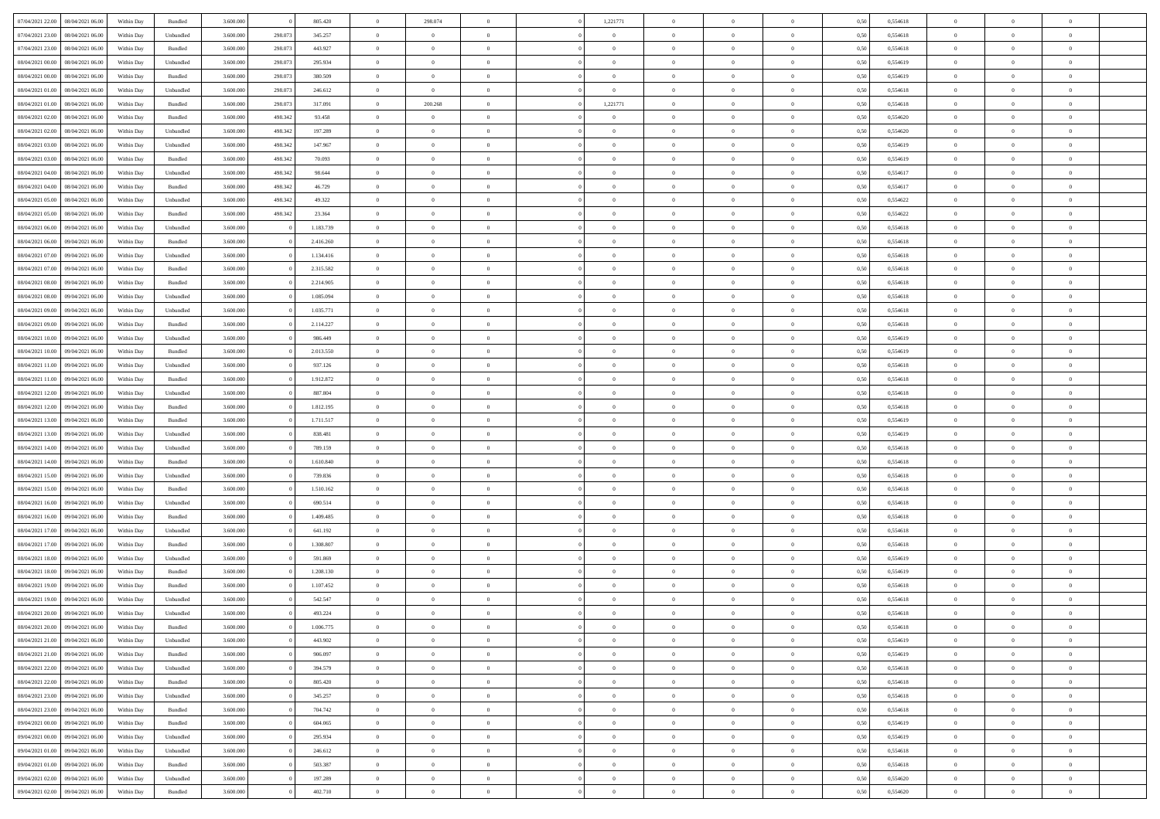| 07/04/2021 22.00                  | 08/04/2021 06:00 | Within Day | Bundled            | 3.600.000 |         | 805.420   | $\overline{0}$ | 298.074        |                | 1,221771       | $\bf{0}$       | $\overline{0}$ | $\theta$       | 0,50 | 0,554618 | $\theta$       | $\theta$       | $\overline{0}$ |  |
|-----------------------------------|------------------|------------|--------------------|-----------|---------|-----------|----------------|----------------|----------------|----------------|----------------|----------------|----------------|------|----------|----------------|----------------|----------------|--|
| 07/04/2021 23.00                  | 08/04/2021 06.00 | Within Day | Unbundled          | 3.600.000 | 298.073 | 345.257   | $\overline{0}$ | $\theta$       | $\overline{0}$ | $\overline{0}$ | $\,$ 0         | $\bf{0}$       | $\bf{0}$       | 0,50 | 0,554618 | $\,$ 0 $\,$    | $\overline{0}$ | $\overline{0}$ |  |
|                                   |                  |            |                    |           |         |           |                |                |                |                |                |                |                |      |          |                |                |                |  |
| 07/04/2021 23:00                  | 08/04/2021 06:00 | Within Day | Bundled            | 3.600,000 | 298.073 | 443.927   | $\overline{0}$ | $\overline{0}$ | $\overline{0}$ | $\overline{0}$ | $\bf{0}$       | $\overline{0}$ | $\mathbf{0}$   | 0,50 | 0,554618 | $\bf{0}$       | $\overline{0}$ | $\overline{0}$ |  |
| 08/04/2021 00:00                  | 08/04/2021 06:00 | Within Day | Unbundled          | 3.600.000 | 298.073 | 295.934   | $\overline{0}$ | $\overline{0}$ | $\overline{0}$ | $\overline{0}$ | $\bf{0}$       | $\overline{0}$ | $\overline{0}$ | 0,50 | 0,554619 | $\,$ 0 $\,$    | $\overline{0}$ | $\overline{0}$ |  |
| 08/04/2021 00:00                  | 08/04/2021 06.00 | Within Day | Bundled            | 3.600.000 | 298.073 | 380.509   | $\overline{0}$ | $\theta$       | $\overline{0}$ | $\overline{0}$ | $\overline{0}$ | $\overline{0}$ | $\bf{0}$       | 0,50 | 0,554619 | $\,$ 0 $\,$    | $\overline{0}$ | $\overline{0}$ |  |
| 08/04/2021 01:00                  | 08/04/2021 06:00 | Within Day | Unbundled          | 3.600,000 | 298.073 | 246.612   | $\overline{0}$ | $\overline{0}$ | $\overline{0}$ | $\overline{0}$ | $\bf{0}$       | $\overline{0}$ | $\overline{0}$ | 0.50 | 0.554618 | $\,0\,$        | $\theta$       | $\overline{0}$ |  |
| 08/04/2021 01:00                  | 08/04/2021 06:00 | Within Day | Bundled            | 3.600.000 | 298.073 | 317.091   | $\overline{0}$ | 200.268        | $\overline{0}$ | 1,221771       | $\,$ 0         | $\overline{0}$ | $\overline{0}$ | 0,50 | 0,554618 | $\,$ 0 $\,$    | $\theta$       | $\overline{0}$ |  |
| 08/04/2021 02:00                  | 08/04/2021 06.00 | Within Day | Bundled            | 3.600.000 | 498.342 | 93.458    | $\overline{0}$ | $\theta$       | $\overline{0}$ |                | $\,$ 0         | $\overline{0}$ | $\bf{0}$       | 0,50 | 0,554620 | $\,$ 0 $\,$    | $\overline{0}$ | $\overline{0}$ |  |
| 08/04/2021 02:00                  | 08/04/2021 06:00 | Within Day | Unbundled          | 3.600,000 | 498,342 | 197.289   | $\overline{0}$ | $\overline{0}$ | $\overline{0}$ | $\overline{0}$ | $\bf{0}$       | $\overline{0}$ | $\bf{0}$       | 0.50 | 0.554620 | $\,0\,$        | $\overline{0}$ | $\overline{0}$ |  |
| 08/04/2021 03:00                  | 08/04/2021 06:00 | Within Day | Unbundled          | 3.600.000 | 498.342 | 147.967   | $\overline{0}$ | $\overline{0}$ | $\overline{0}$ | $\overline{0}$ | $\,$ 0         | $\overline{0}$ | $\bf{0}$       | 0,50 | 0,554619 | $\,$ 0 $\,$    | $\overline{0}$ | $\overline{0}$ |  |
| 08/04/2021 03:00                  | 08/04/2021 06.00 | Within Day | Bundled            | 3.600.000 | 498.342 | 70.093    | $\bf{0}$       | $\theta$       | $\overline{0}$ | $\overline{0}$ | $\,$ 0         | $\overline{0}$ | $\bf{0}$       | 0,50 | 0,554619 | $\,$ 0 $\,$    | $\overline{0}$ | $\overline{0}$ |  |
| 08/04/2021 04:00                  | 08/04/2021 06:00 |            |                    | 3.600,000 | 498,342 | 98.644    |                | $\overline{0}$ | $\overline{0}$ | $\overline{0}$ |                | $\overline{0}$ |                | 0.50 | 0.554617 | $\bf{0}$       | $\overline{0}$ | $\overline{0}$ |  |
|                                   |                  | Within Day | Unbundled          |           |         |           | $\overline{0}$ |                |                |                | $\bf{0}$       |                | $\mathbf{0}$   |      |          |                |                |                |  |
| 08/04/2021 04:00                  | 08/04/2021 06:00 | Within Day | Bundled            | 3.600.000 | 498.342 | 46.729    | $\overline{0}$ | $\overline{0}$ | $\overline{0}$ | $\overline{0}$ | $\,$ 0         | $\overline{0}$ | $\overline{0}$ | 0,50 | 0,554617 | $\,$ 0 $\,$    | $\overline{0}$ | $\overline{0}$ |  |
| 08/04/2021 05:00                  | 08/04/2021 06.00 | Within Day | Unbundled          | 3.600.000 | 498.342 | 49.322    | $\overline{0}$ | $\theta$       | $\overline{0}$ | $\overline{0}$ | $\overline{0}$ | $\overline{0}$ | $\bf{0}$       | 0,50 | 0,554622 | $\,$ 0 $\,$    | $\overline{0}$ | $\overline{0}$ |  |
| 08/04/2021 05:00                  | 08/04/2021 06:00 | Within Day | Bundled            | 3.600,000 | 498.342 | 23.364    | $\overline{0}$ | $\overline{0}$ | $\overline{0}$ | $\overline{0}$ | $\,$ 0         | $\overline{0}$ | $\bf{0}$       | 0.50 | 0.554622 | $\,0\,$        | $\theta$       | $\overline{0}$ |  |
| 08/04/2021 06:00                  | 09/04/2021 06:00 | Within Day | Unbundled          | 3.600.000 |         | 1.183.739 | $\overline{0}$ | $\overline{0}$ | $\overline{0}$ | $\overline{0}$ | $\,$ 0         | $\overline{0}$ | $\bf{0}$       | 0,50 | 0,554618 | $\,$ 0 $\,$    | $\theta$       | $\overline{0}$ |  |
| 08/04/2021 06:00                  | 09/04/2021 06.00 | Within Day | Bundled            | 3.600.000 |         | 2.416.260 | $\overline{0}$ | $\theta$       | $\overline{0}$ |                | $\bf{0}$       | $\overline{0}$ | $\bf{0}$       | 0,50 | 0,554618 | $\,$ 0 $\,$    | $\overline{0}$ | $\overline{0}$ |  |
| 08/04/2021 07:00                  | 09/04/2021 06:00 | Within Day | Unbundled          | 3.600,000 |         | 1.134.416 | $\overline{0}$ | $\overline{0}$ | $\overline{0}$ | $\overline{0}$ | $\bf{0}$       | $\overline{0}$ | $\bf{0}$       | 0.50 | 0.554618 | $\,0\,$        | $\overline{0}$ | $\overline{0}$ |  |
| 08/04/2021 07:00                  | 09/04/2021 06:00 | Within Day | Bundled            | 3.600.000 |         | 2.315.582 | $\overline{0}$ | $\overline{0}$ | $\overline{0}$ | $\overline{0}$ | $\,$ 0         | $\overline{0}$ | $\bf{0}$       | 0,50 | 0,554618 | $\,$ 0 $\,$    | $\overline{0}$ | $\overline{0}$ |  |
| 08/04/2021 08:00                  | 09/04/2021 06.00 | Within Day | Bundled            | 3.600.000 |         | 2.214.905 | $\overline{0}$ | $\theta$       | $\overline{0}$ | $\overline{0}$ | $\,$ 0         | $\bf{0}$       | $\bf{0}$       | 0,50 | 0,554618 | $\,$ 0 $\,$    | $\overline{0}$ | $\overline{0}$ |  |
| 08/04/2021 08:00                  | 09/04/2021 06:00 | Within Day | Unbundled          | 3.600,000 |         | 1.085.094 | $\overline{0}$ | $\overline{0}$ | $\overline{0}$ | $\overline{0}$ | $\bf{0}$       | $\overline{0}$ | $\mathbf{0}$   | 0.50 | 0.554618 | $\bf{0}$       | $\overline{0}$ | $\overline{0}$ |  |
| 08/04/2021 09:00                  | 09/04/2021 06:00 | Within Day | Unbundled          | 3.600.000 |         | 1.035.771 | $\overline{0}$ | $\overline{0}$ | $\overline{0}$ | $\overline{0}$ | $\bf{0}$       | $\overline{0}$ | $\overline{0}$ | 0,50 | 0,554618 | $\,$ 0 $\,$    | $\overline{0}$ | $\overline{0}$ |  |
|                                   | 09/04/2021 06.00 | Within Day | Bundled            | 3.600.000 |         | 2.114.227 | $\overline{0}$ | $\theta$       | $\overline{0}$ | $\overline{0}$ | $\,$ 0         | $\overline{0}$ | $\bf{0}$       | 0,50 | 0,554618 | $\,$ 0 $\,$    | $\overline{0}$ | $\overline{0}$ |  |
| 08/04/2021 09:00                  |                  |            |                    |           |         |           |                |                |                |                |                |                |                |      |          |                |                |                |  |
| 08/04/2021 10:00                  | 09/04/2021 06:00 | Within Day | Unbundled          | 3.600,000 |         | 986,449   | $\overline{0}$ | $\overline{0}$ | $\overline{0}$ | $\overline{0}$ | $\bf{0}$       | $\overline{0}$ | $\overline{0}$ | 0.50 | 0.554619 | $\,0\,$        | $\theta$       | $\overline{0}$ |  |
| 08/04/2021 10:00                  | 09/04/2021 06:00 | Within Day | Bundled            | 3.600.000 |         | 2.013.550 | $\overline{0}$ | $\theta$       | $\overline{0}$ | $\overline{0}$ | $\,$ 0         | $\overline{0}$ | $\overline{0}$ | 0,50 | 0,554619 | $\,0\,$        | $\theta$       | $\overline{0}$ |  |
| 08/04/2021 11:00                  | 09/04/2021 06.00 | Within Day | Unbundled          | 3.600.000 |         | 937.126   | $\overline{0}$ | $\theta$       | $\overline{0}$ |                | $\bf{0}$       | $\overline{0}$ | $\bf{0}$       | 0,50 | 0,554618 | $\,$ 0 $\,$    | $\overline{0}$ | $\overline{0}$ |  |
| 08/04/2021 11:00                  | 09/04/2021 06:00 | Within Day | Bundled            | 3.600,000 |         | 1.912.872 | $\overline{0}$ | $\overline{0}$ | $\overline{0}$ | $\overline{0}$ | $\bf{0}$       | $\overline{0}$ | $\bf{0}$       | 0.50 | 0.554618 | $\,0\,$        | $\overline{0}$ | $\overline{0}$ |  |
| 08/04/2021 12:00                  | 09/04/2021 06:00 | Within Day | Unbundled          | 3.600.000 |         | 887.804   | $\overline{0}$ | $\overline{0}$ | $\overline{0}$ | $\overline{0}$ | $\,$ 0         | $\overline{0}$ | $\bf{0}$       | 0,50 | 0,554618 | $\,$ 0 $\,$    | $\overline{0}$ | $\overline{0}$ |  |
| 08/04/2021 12:00                  | 09/04/2021 06.00 | Within Day | Bundled            | 3.600.000 |         | 1.812.195 | $\bf{0}$       | $\overline{0}$ | $\overline{0}$ | $\overline{0}$ | $\,$ 0         | $\bf{0}$       | $\bf{0}$       | 0,50 | 0,554618 | $\,$ 0 $\,$    | $\overline{0}$ | $\overline{0}$ |  |
| 08/04/2021 13:00                  | 09/04/2021 06:00 | Within Day | Bundled            | 3.600,000 |         | 1.711.517 | $\overline{0}$ | $\overline{0}$ | $\overline{0}$ | $\overline{0}$ | $\bf{0}$       | $\overline{0}$ | $\mathbf{0}$   | 0.50 | 0.554619 | $\bf{0}$       | $\overline{0}$ | $\overline{0}$ |  |
| 08/04/2021 13:00                  | 09/04/2021 06:00 | Within Dav | Unbundled          | 3.600.000 |         | 838.481   | $\overline{0}$ | $\overline{0}$ | $\overline{0}$ | $\overline{0}$ | $\mathbf{0}$   | $\overline{0}$ | $\overline{0}$ | 0.50 | 0,554619 | $\theta$       | $\overline{0}$ | $\overline{0}$ |  |
| 08/04/2021 14:00                  | 09/04/2021 06.00 | Within Day | Unbundled          | 3.600.000 |         | 789.159   | $\overline{0}$ | $\theta$       | $\overline{0}$ | $\overline{0}$ | $\bf{0}$       | $\overline{0}$ | $\bf{0}$       | 0,50 | 0,554618 | $\,$ 0 $\,$    | $\overline{0}$ | $\overline{0}$ |  |
| 08/04/2021 14:00                  | 09/04/2021 06:00 | Within Day | Bundled            | 3.600,000 |         | 1.610.840 | $\overline{0}$ | $\overline{0}$ | $\overline{0}$ | $\overline{0}$ | $\,$ 0         | $\overline{0}$ | $\bf{0}$       | 0.50 | 0.554618 | $\,0\,$        | $\theta$       | $\overline{0}$ |  |
| 08/04/2021 15:00                  | 09/04/2021 06:00 | Within Dav | Unbundled          | 3.600.000 |         | 739.836   | $\overline{0}$ | $\theta$       | $\Omega$       | $\overline{0}$ | $\bf{0}$       | $\overline{0}$ | $\overline{0}$ | 0.50 | 0,554618 | $\theta$       | $\overline{0}$ | $\overline{0}$ |  |
|                                   |                  |            |                    |           |         |           | $\overline{0}$ | $\theta$       | $\overline{0}$ |                |                |                |                |      |          |                |                |                |  |
| 08/04/2021 15:00                  | 09/04/2021 06.00 | Within Day | Bundled            | 3.600.000 |         | 1.510.162 |                |                |                | $\overline{0}$ | $\,$ 0         | $\overline{0}$ | $\bf{0}$       | 0,50 | 0,554618 | $\,$ 0 $\,$    | $\overline{0}$ | $\overline{0}$ |  |
| 08/04/2021 16:00                  | 09/04/2021 06:00 | Within Day | Unbundled          | 3.600,000 |         | 690.514   | $\overline{0}$ | $\overline{0}$ | $\overline{0}$ | $\overline{0}$ | $\bf{0}$       | $\overline{0}$ | $\bf{0}$       | 0.50 | 0.554618 | $\,0\,$        | $\overline{0}$ | $\overline{0}$ |  |
| 08/04/2021 16:00                  | 09/04/2021 06:00 | Within Dav | Bundled            | 3.600.000 |         | 1.409.485 | $\overline{0}$ | $\overline{0}$ | $\overline{0}$ | $\overline{0}$ | $\overline{0}$ | $\overline{0}$ | $\overline{0}$ | 0.50 | 0,554618 | $\theta$       | $\overline{0}$ | $\overline{0}$ |  |
| 08/04/2021 17:00                  | 09/04/2021 06.00 | Within Day | Unbundled          | 3.600.000 |         | 641.192   | $\overline{0}$ | $\overline{0}$ | $\overline{0}$ | $\overline{0}$ | $\bf{0}$       | $\bf{0}$       | $\bf{0}$       | 0,50 | 0,554618 | $\,$ 0 $\,$    | $\overline{0}$ | $\overline{0}$ |  |
| 08/04/2021 17:00                  | 09/04/2021 06:00 | Within Day | Bundled            | 3.600,000 |         | 1.308.807 | $\overline{0}$ | $\overline{0}$ | $\overline{0}$ | $\overline{0}$ | $\bf{0}$       | $\overline{0}$ | $\mathbf{0}$   | 0.50 | 0.554618 | $\,$ 0 $\,$    | $\overline{0}$ | $\overline{0}$ |  |
| 08/04/2021 18:00                  | 09/04/2021 06:00 | Within Dav | Unbundled          | 3.600.000 |         | 591.869   | $\overline{0}$ | $\overline{0}$ | $\Omega$       | $\overline{0}$ | $\mathbf{0}$   | $\overline{0}$ | $\overline{0}$ | 0.50 | 0,554619 | $\theta$       | $\overline{0}$ | $\overline{0}$ |  |
| 08/04/2021 18:00                  | 09/04/2021 06.00 | Within Day | Bundled            | 3.600.000 |         | 1.208.130 | $\overline{0}$ | $\overline{0}$ | $\overline{0}$ | $\overline{0}$ | $\,$ 0         | $\overline{0}$ | $\bf{0}$       | 0,50 | 0,554619 | $\,$ 0 $\,$    | $\overline{0}$ | $\overline{0}$ |  |
| 08/04/2021 19:00                  | 09/04/2021 06:00 | Within Day | Bundled            | 3.600,000 |         | 1.107.452 | $\overline{0}$ | $\theta$       | $\overline{0}$ | $\overline{0}$ | $\bf{0}$       | $\Omega$       | $\overline{0}$ | 0.50 | 0.554618 | $\,0\,$        | $\theta$       | $\overline{0}$ |  |
| 08/04/2021 19:00                  | 09/04/2021 06:00 | Within Dav | Unbundled          | 3.600.000 |         | 542.547   | $\overline{0}$ | $\Omega$       | $\Omega$       | $\Omega$       | $\bf{0}$       | $\overline{0}$ | $\bf{0}$       | 0.50 | 0,554618 | $\theta$       | $\theta$       | $\overline{0}$ |  |
| 08/04/2021 20:00                  | 09/04/2021 06:00 | Within Day | Unbundled          | 3.600.000 |         | 493.224   | $\overline{0}$ | $\,$ 0 $\,$    | $\overline{0}$ | $\overline{0}$ | $\,$ 0         | $\bf{0}$       | $\bf{0}$       | 0,50 | 0,554618 | $\,$ 0 $\,$    | $\overline{0}$ | $\overline{0}$ |  |
| 08/04/2021 20:00                  | 09/04/2021 06:00 | Within Day | $\mathbf B$ undled | 3.600.000 |         | 1.006.775 | $\bf{0}$       | $\theta$       |                |                |                |                |                | 0,50 | 0,554618 | $\bf{0}$       | $\theta$       |                |  |
|                                   |                  |            |                    |           |         |           |                | $\overline{0}$ |                |                | $\overline{0}$ |                |                |      |          | $\theta$       | $\overline{0}$ | $\overline{0}$ |  |
| 08/04/2021 21:00 09/04/2021 06:00 |                  | Within Day | Unbundled          | 3.600.000 |         | 443.902   | $\overline{0}$ |                | $\overline{0}$ | $\overline{0}$ |                | $\overline{0}$ | $\mathbf{0}$   | 0,50 | 0,554619 |                |                |                |  |
| 08/04/2021 21:00                  | 09/04/2021 06:00 | Within Day | Bundled            | 3.600.000 |         | 906.097   | $\overline{0}$ | $\overline{0}$ | $\overline{0}$ | $\bf{0}$       | $\overline{0}$ | $\overline{0}$ | $\bf{0}$       | 0,50 | 0,554619 | $\bf{0}$       | $\overline{0}$ | $\bf{0}$       |  |
| 08/04/2021 22:00                  | 09/04/2021 06:00 | Within Day | Unbundled          | 3.600.000 |         | 394.579   | $\overline{0}$ | $\overline{0}$ | $\overline{0}$ | $\overline{0}$ | $\overline{0}$ | $\overline{0}$ | $\mathbf{0}$   | 0.50 | 0.554618 | $\overline{0}$ | $\bf{0}$       | $\bf{0}$       |  |
| 08/04/2021 22:00                  | 09/04/2021 06:00 | Within Day | Bundled            | 3.600.000 |         | 805.420   | $\overline{0}$ | $\overline{0}$ | $\overline{0}$ | $\overline{0}$ | $\overline{0}$ | $\overline{0}$ | $\mathbf{0}$   | 0,50 | 0,554618 | $\overline{0}$ | $\theta$       | $\overline{0}$ |  |
| 08/04/2021 23:00                  | 09/04/2021 06:00 | Within Day | Unbundled          | 3.600.000 |         | 345.257   | $\overline{0}$ | $\overline{0}$ | $\overline{0}$ | $\overline{0}$ | $\bf{0}$       | $\bf{0}$       | $\bf{0}$       | 0,50 | 0,554618 | $\bf{0}$       | $\overline{0}$ | $\overline{0}$ |  |
| 08/04/2021 23:00                  | 09/04/2021 06:00 | Within Day | Bundled            | 3.600.000 |         | 704.742   | $\overline{0}$ | $\overline{0}$ | $\overline{0}$ | $\overline{0}$ | $\bf{0}$       | $\overline{0}$ | $\mathbf{0}$   | 0.50 | 0.554618 | $\,$ 0 $\,$    | $\overline{0}$ | $\overline{0}$ |  |
| 09/04/2021 00:00                  | 09/04/2021 06:00 | Within Day | Bundled            | 3.600.000 |         | 604.065   | $\overline{0}$ | $\overline{0}$ | $\overline{0}$ | $\overline{0}$ | $\overline{0}$ | $\overline{0}$ | $\overline{0}$ | 0,50 | 0,554619 | $\overline{0}$ | $\overline{0}$ | $\overline{0}$ |  |
| 09/04/2021 00:00                  | 09/04/2021 06:00 | Within Day | Unbundled          | 3.600.000 |         | 295.934   | $\overline{0}$ | $\overline{0}$ | $\overline{0}$ | $\bf{0}$       | $\overline{0}$ | $\overline{0}$ | $\bf{0}$       | 0,50 | 0,554619 | $\,$ 0 $\,$    | $\overline{0}$ | $\overline{0}$ |  |
| 09/04/2021 01:00                  | 09/04/2021 06:00 | Within Day | Unbundled          | 3.600.000 |         | 246.612   | $\overline{0}$ | $\overline{0}$ | $\overline{0}$ | $\overline{0}$ | $\bf{0}$       | $\overline{0}$ | $\mathbf{0}$   | 0.50 | 0.554618 | $\mathbf{0}$   | $\bf{0}$       | $\bf{0}$       |  |
| 09/04/2021 01:00                  | 09/04/2021 06:00 | Within Day | Bundled            | 3.600.000 |         | 503.387   | $\overline{0}$ | $\overline{0}$ | $\overline{0}$ | $\overline{0}$ | $\overline{0}$ | $\overline{0}$ | $\overline{0}$ | 0,50 | 0,554618 | $\overline{0}$ | $\overline{0}$ | $\overline{0}$ |  |
| 09/04/2021 02:00                  | 09/04/2021 06:00 | Within Day | Unbundled          | 3.600.000 |         | 197.289   | $\overline{0}$ | $\bf{0}$       | $\overline{0}$ | $\bf{0}$       | $\bf{0}$       | $\bf{0}$       | $\bf{0}$       | 0,50 | 0,554620 | $\bf{0}$       | $\overline{0}$ | $\bf{0}$       |  |
|                                   |                  |            |                    |           |         |           |                |                |                |                |                |                |                |      |          |                |                |                |  |
| 09/04/2021 02:00 09/04/2021 06:00 |                  | Within Day | Bundled            | 3.600.000 |         | 402.710   | $\,$ 0 $\,$    | $\,$ 0 $\,$    | $\overline{0}$ | $\overline{0}$ | $\,$ 0 $\,$    | $\,$ 0 $\,$    | $\,$ 0 $\,$    | 0,50 | 0,554620 | $\mathbf{0}^-$ | $\,$ 0 $\,$    | $\,$ 0 $\,$    |  |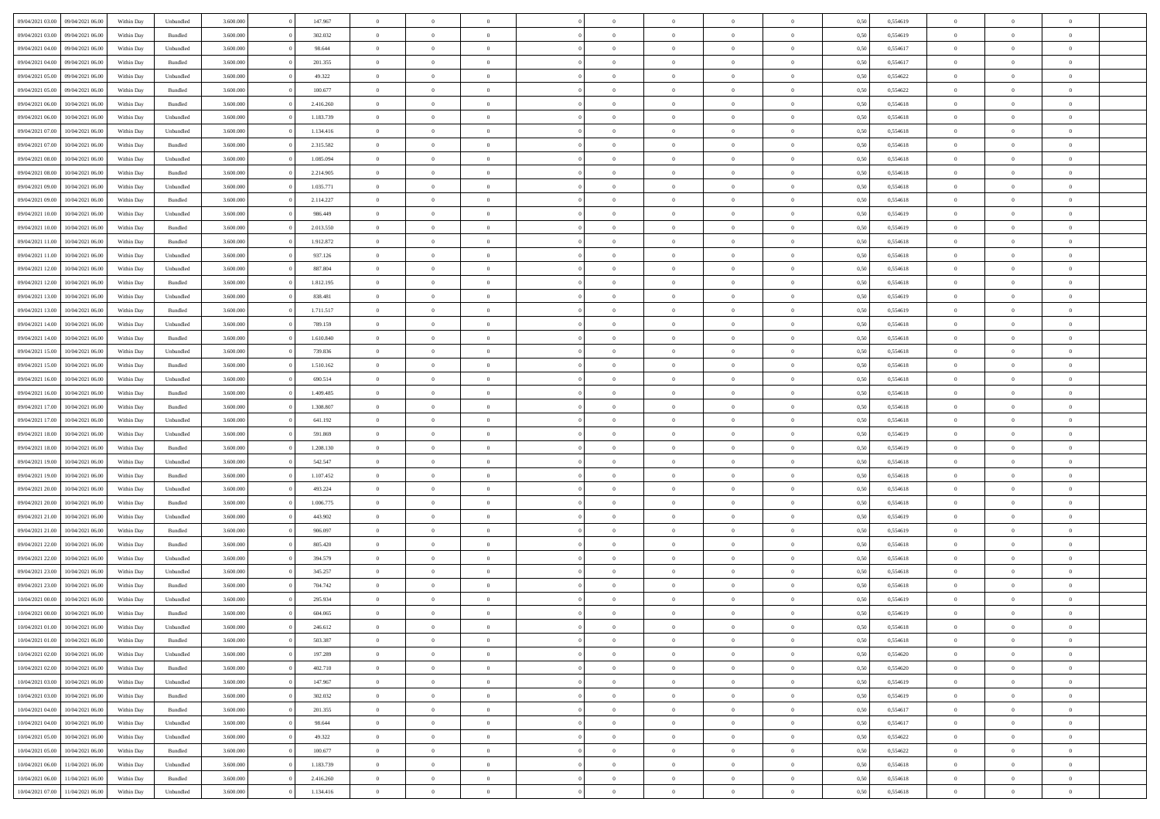| 09/04/2021 03:00                  | 09/04/2021 06:00 | Within Day | Unbundled                   | 3.600.000 | 147.967   | $\overline{0}$ | $\theta$       |                | $\overline{0}$ | $\bf{0}$       | $\overline{0}$ | $\theta$       | 0,50 | 0,554619 | $\theta$       | $\theta$       | $\theta$       |  |
|-----------------------------------|------------------|------------|-----------------------------|-----------|-----------|----------------|----------------|----------------|----------------|----------------|----------------|----------------|------|----------|----------------|----------------|----------------|--|
| 09/04/2021 03:00                  | 09/04/2021 06.00 | Within Day | Bundled                     | 3.600.000 | 302.032   | $\overline{0}$ | $\overline{0}$ | $\overline{0}$ | $\overline{0}$ | $\bf{0}$       | $\bf{0}$       | $\bf{0}$       | 0,50 | 0,554619 | $\,$ 0 $\,$    | $\overline{0}$ | $\overline{0}$ |  |
|                                   |                  |            |                             |           |           |                |                |                |                |                |                |                |      |          |                |                |                |  |
| 09/04/2021 04:00                  | 09/04/2021 06:00 | Within Day | Unbundled                   | 3.600,000 | 98.644    | $\overline{0}$ | $\overline{0}$ | $\overline{0}$ | $\overline{0}$ | $\bf{0}$       | $\overline{0}$ | $\mathbf{0}$   | 0,50 | 0.554617 | $\overline{0}$ | $\overline{0}$ | $\bf{0}$       |  |
| 09/04/2021 04:00                  | 09/04/2021 06:00 | Within Day | Bundled                     | 3.600.000 | 201.355   | $\overline{0}$ | $\overline{0}$ | $\overline{0}$ | $\overline{0}$ | $\,0\,$        | $\overline{0}$ | $\overline{0}$ | 0,50 | 0,554617 | $\,$ 0 $\,$    | $\overline{0}$ | $\overline{0}$ |  |
| 09/04/2021 05:00                  | 09/04/2021 06.00 | Within Day | Unbundled                   | 3.600.000 | 49.322    | $\overline{0}$ | $\overline{0}$ | $\overline{0}$ | $\overline{0}$ | $\,$ 0         | $\overline{0}$ | $\bf{0}$       | 0,50 | 0,554622 | $\,$ 0 $\,$    | $\overline{0}$ | $\overline{0}$ |  |
| 09/04/2021 05:00                  | 09/04/2021 06:00 | Within Day | Bundled                     | 3.600,000 | 100.677   | $\overline{0}$ | $\overline{0}$ | $\overline{0}$ | $\overline{0}$ | $\bf{0}$       | $\overline{0}$ | $\bf{0}$       | 0.50 | 0.554622 | $\,0\,$        | $\overline{0}$ | $\overline{0}$ |  |
| 09/04/2021 06:00                  | 10/04/2021 06:00 | Within Day | Bundled                     | 3.600.000 | 2.416.260 | $\overline{0}$ | $\overline{0}$ | $\overline{0}$ | $\overline{0}$ | $\bf{0}$       | $\overline{0}$ | $\bf{0}$       | 0,50 | 0,554618 | $\,$ 0 $\,$    | $\overline{0}$ | $\overline{0}$ |  |
| 09/04/2021 06:00                  | 10/04/2021 06.00 | Within Day | Unbundled                   | 3.600.000 | 1.183.739 | $\overline{0}$ | $\overline{0}$ | $\overline{0}$ | $\overline{0}$ | $\,$ 0         | $\bf{0}$       | $\bf{0}$       | 0,50 | 0,554618 | $\,$ 0 $\,$    | $\overline{0}$ | $\overline{0}$ |  |
| 09/04/2021 07:00                  | 10/04/2021 06:00 | Within Day | Unbundled                   | 3.600,000 | 1.134.416 | $\overline{0}$ | $\overline{0}$ | $\overline{0}$ | $\overline{0}$ | $\bf{0}$       | $\overline{0}$ | $\bf{0}$       | 0.50 | 0.554618 | $\bf{0}$       | $\overline{0}$ | $\bf{0}$       |  |
| 09/04/2021 07:00                  | 10/04/2021 06:00 | Within Day | Bundled                     | 3.600.000 | 2.315.582 | $\overline{0}$ | $\overline{0}$ | $\overline{0}$ | $\overline{0}$ | $\bf{0}$       | $\overline{0}$ | $\bf{0}$       | 0,50 | 0,554618 | $\,$ 0 $\,$    | $\overline{0}$ | $\overline{0}$ |  |
| 09/04/2021 08:00                  | 10/04/2021 06.00 | Within Day | Unbundled                   | 3.600.000 | 1.085.094 | $\overline{0}$ | $\overline{0}$ | $\overline{0}$ | $\overline{0}$ | $\,$ 0         | $\bf{0}$       | $\bf{0}$       | 0,50 | 0,554618 | $\,$ 0 $\,$    | $\overline{0}$ | $\overline{0}$ |  |
| 09/04/2021 08:00                  | 10/04/2021 06:00 | Within Day | Bundled                     | 3.600,000 | 2.214.905 | $\overline{0}$ | $\overline{0}$ | $\overline{0}$ | $\overline{0}$ | $\bf{0}$       | $\overline{0}$ | $\mathbf{0}$   | 0.50 | 0.554618 | $\overline{0}$ | $\,$ 0 $\,$    | $\bf{0}$       |  |
| 09/04/2021 09:00                  | 10/04/2021 06:00 | Within Day | Unbundled                   | 3.600.000 | 1.035.771 | $\overline{0}$ | $\overline{0}$ | $\overline{0}$ | $\overline{0}$ | $\bf{0}$       | $\overline{0}$ | $\overline{0}$ | 0,50 | 0,554618 | $\,$ 0 $\,$    | $\overline{0}$ | $\overline{0}$ |  |
| 09/04/2021 09:00                  | 10/04/2021 06.00 | Within Day | Bundled                     | 3.600.000 | 2.114.227 | $\overline{0}$ | $\theta$       | $\overline{0}$ | $\overline{0}$ | $\,$ 0         | $\overline{0}$ | $\bf{0}$       | 0,50 | 0,554618 | $\,$ 0 $\,$    | $\overline{0}$ | $\overline{0}$ |  |
| 09/04/2021 10:00                  | 10/04/2021 06:00 | Within Day | Unbundled                   | 3.600,000 | 986,449   | $\overline{0}$ | $\overline{0}$ | $\overline{0}$ | $\overline{0}$ | $\bf{0}$       | $\overline{0}$ | $\bf{0}$       | 0.50 | 0.554619 | $\,0\,$        | $\overline{0}$ | $\overline{0}$ |  |
| 09/04/2021 10:00                  | 10/04/2021 06:00 | Within Day | Bundled                     | 3.600.000 | 2.013.550 | $\overline{0}$ | $\overline{0}$ | $\overline{0}$ | $\overline{0}$ | $\bf{0}$       | $\overline{0}$ | $\bf{0}$       | 0,50 | 0,554619 | $\,$ 0 $\,$    | $\theta$       | $\overline{0}$ |  |
|                                   |                  |            |                             |           |           | $\overline{0}$ | $\overline{0}$ | $\overline{0}$ |                |                |                |                |      |          |                |                |                |  |
| 09/04/2021 11:00                  | 10/04/2021 06.00 | Within Day | Bundled                     | 3.600.000 | 1.912.872 |                |                |                | $\overline{0}$ | $\,$ 0         | $\bf{0}$       | $\bf{0}$       | 0,50 | 0,554618 | $\,$ 0 $\,$    | $\overline{0}$ | $\overline{0}$ |  |
| 09/04/2021 11:00                  | 10/04/2021 06:00 | Within Day | Unbundled                   | 3.600,000 | 937.126   | $\overline{0}$ | $\overline{0}$ | $\overline{0}$ | $\overline{0}$ | $\bf{0}$       | $\overline{0}$ | $\mathbf{0}$   | 0.50 | 0.554618 | $\bf{0}$       | $\overline{0}$ | $\bf{0}$       |  |
| 09/04/2021 12:00                  | 10/04/2021 06:00 | Within Day | Unbundled                   | 3.600.000 | 887.804   | $\overline{0}$ | $\overline{0}$ | $\overline{0}$ | $\overline{0}$ | $\bf{0}$       | $\overline{0}$ | $\bf{0}$       | 0,50 | 0,554618 | $\,$ 0 $\,$    | $\overline{0}$ | $\overline{0}$ |  |
| 09/04/2021 12:00                  | 10/04/2021 06.00 | Within Day | Bundled                     | 3.600.000 | 1.812.195 | $\bf{0}$       | $\overline{0}$ | $\overline{0}$ | $\overline{0}$ | $\bf{0}$       | $\bf{0}$       | $\bf{0}$       | 0,50 | 0,554618 | $\,$ 0 $\,$    | $\overline{0}$ | $\overline{0}$ |  |
| 09/04/2021 13:00                  | 10/04/2021 06:00 | Within Day | Unbundled                   | 3.600,000 | 838.481   | $\overline{0}$ | $\overline{0}$ | $\overline{0}$ | $\overline{0}$ | $\bf{0}$       | $\overline{0}$ | $\mathbf{0}$   | 0.50 | 0.554619 | $\overline{0}$ | $\,$ 0 $\,$    | $\overline{0}$ |  |
| 09/04/2021 13:00                  | 10/04/2021 06:00 | Within Day | Bundled                     | 3.600.000 | 1.711.517 | $\overline{0}$ | $\overline{0}$ | $\overline{0}$ | $\overline{0}$ | $\bf{0}$       | $\overline{0}$ | $\overline{0}$ | 0,50 | 0,554619 | $\,$ 0 $\,$    | $\overline{0}$ | $\overline{0}$ |  |
| 09/04/2021 14:00                  | 10/04/2021 06.00 | Within Day | Unbundled                   | 3.600.000 | 789.159   | $\overline{0}$ | $\overline{0}$ | $\overline{0}$ | $\overline{0}$ | $\,$ 0         | $\overline{0}$ | $\bf{0}$       | 0,50 | 0,554618 | $\,$ 0 $\,$    | $\overline{0}$ | $\overline{0}$ |  |
| 09/04/2021 14:00                  | 10/04/2021 06:00 | Within Day | Bundled                     | 3.600,000 | 1.610.840 | $\overline{0}$ | $\overline{0}$ | $\overline{0}$ | $\overline{0}$ | $\bf{0}$       | $\overline{0}$ | $\bf{0}$       | 0.50 | 0.554618 | $\,0\,$        | $\overline{0}$ | $\overline{0}$ |  |
| 09/04/2021 15:00                  | 10/04/2021 06:00 | Within Day | Unbundled                   | 3.600.000 | 739.836   | $\overline{0}$ | $\overline{0}$ | $\overline{0}$ | $\overline{0}$ | $\bf{0}$       | $\overline{0}$ | $\bf{0}$       | 0,50 | 0,554618 | $\,$ 0 $\,$    | $\theta$       | $\overline{0}$ |  |
| 09/04/2021 15:00                  | 10/04/2021 06.00 | Within Day | Bundled                     | 3.600.000 | 1.510.162 | $\overline{0}$ | $\theta$       | $\overline{0}$ | $\overline{0}$ | $\,$ 0         | $\bf{0}$       | $\bf{0}$       | 0,50 | 0,554618 | $\,$ 0 $\,$    | $\overline{0}$ | $\overline{0}$ |  |
| 09/04/2021 16:00                  | 10/04/2021 06:00 | Within Day | Unbundled                   | 3.600,000 | 690.514   | $\overline{0}$ | $\overline{0}$ | $\overline{0}$ | $\overline{0}$ | $\bf{0}$       | $\overline{0}$ | $\mathbf{0}$   | 0.50 | 0.554618 | $\bf{0}$       | $\overline{0}$ | $\bf{0}$       |  |
| 09/04/2021 16:00                  | 10/04/2021 06:00 | Within Day | Bundled                     | 3.600.000 | 1.409.485 | $\overline{0}$ | $\overline{0}$ | $\overline{0}$ | $\overline{0}$ | $\bf{0}$       | $\overline{0}$ | $\bf{0}$       | 0,50 | 0,554618 | $\,$ 0 $\,$    | $\overline{0}$ | $\overline{0}$ |  |
| 09/04/2021 17:00                  | 10/04/2021 06.00 | Within Day | Bundled                     | 3.600.000 | 1.308.807 | $\bf{0}$       | $\overline{0}$ | $\overline{0}$ | $\overline{0}$ | $\bf{0}$       | $\bf{0}$       | $\bf{0}$       | 0,50 | 0,554618 | $\,$ 0 $\,$    | $\overline{0}$ | $\overline{0}$ |  |
| 09/04/2021 17:00                  | 10/04/2021 06:00 | Within Day | Unbundled                   | 3.600,000 | 641.192   | $\overline{0}$ | $\overline{0}$ | $\overline{0}$ | $\overline{0}$ | $\bf{0}$       | $\overline{0}$ | $\mathbf{0}$   | 0.50 | 0.554618 | $\overline{0}$ | $\,$ 0 $\,$    | $\bf{0}$       |  |
| 09/04/2021 18:00                  | 10/04/2021 06:00 | Within Dav | Unbundled                   | 3.600.000 | 591.869   | $\overline{0}$ | $\overline{0}$ | $\overline{0}$ | $\overline{0}$ | $\overline{0}$ | $\overline{0}$ | $\overline{0}$ | 0.50 | 0,554619 | $\theta$       | $\overline{0}$ | $\overline{0}$ |  |
| 09/04/2021 18:00                  | 10/04/2021 06.00 | Within Day | Bundled                     | 3.600.000 | 1.208.130 | $\overline{0}$ | $\overline{0}$ | $\overline{0}$ | $\overline{0}$ | $\bf{0}$       | $\bf{0}$       | $\bf{0}$       | 0,50 | 0,554619 | $\,$ 0 $\,$    | $\overline{0}$ | $\overline{0}$ |  |
| 09/04/2021 19:00                  | 10/04/2021 06:00 | Within Day | Unbundled                   | 3.600,000 | 542.547   | $\overline{0}$ | $\overline{0}$ | $\overline{0}$ | $\overline{0}$ | $\bf{0}$       | $\overline{0}$ | $\bf{0}$       | 0.50 | 0.554618 | $\,0\,$        | $\overline{0}$ | $\overline{0}$ |  |
| 09/04/2021 19:00                  | 10/04/2021 06:00 | Within Dav | Bundled                     | 3.600.000 | 1.107.452 | $\overline{0}$ | $\overline{0}$ | $\Omega$       | $\overline{0}$ | $\mathbf{0}$   | $\overline{0}$ | $\overline{0}$ | 0,50 | 0,554618 | $\theta$       | $\overline{0}$ | $\overline{0}$ |  |
|                                   |                  |            |                             |           |           |                | $\overline{0}$ | $\overline{0}$ | $\overline{0}$ | $\,$ 0         |                |                |      |          | $\,$ 0 $\,$    | $\overline{0}$ | $\overline{0}$ |  |
| 09/04/2021 20:00                  | 10/04/2021 06.00 | Within Day | Unbundled                   | 3.600.000 | 493.224   | $\overline{0}$ |                |                |                |                | $\bf{0}$       | $\bf{0}$       | 0,50 | 0,554618 |                |                |                |  |
| 09/04/2021 20:00                  | 10/04/2021 06:00 | Within Day | Bundled                     | 3.600,000 | 1.006.775 | $\overline{0}$ | $\overline{0}$ | $\overline{0}$ | $\overline{0}$ | $\bf{0}$       | $\overline{0}$ | $\mathbf{0}$   | 0.50 | 0.554618 | $\overline{0}$ | $\overline{0}$ | $\bf{0}$       |  |
| 09/04/2021 21:00                  | 10/04/2021 06:00 | Within Dav | Unbundled                   | 3.600.000 | 443.902   | $\overline{0}$ | $\overline{0}$ | $\overline{0}$ | $\overline{0}$ | $\overline{0}$ | $\overline{0}$ | $\overline{0}$ | 0,50 | 0,554619 | $\theta$       | $\overline{0}$ | $\overline{0}$ |  |
| 09/04/2021 21:00                  | 10/04/2021 06.00 | Within Day | Bundled                     | 3.600.000 | 906.097   | $\overline{0}$ | $\overline{0}$ | $\overline{0}$ | $\bf{0}$       | $\bf{0}$       | $\bf{0}$       | $\bf{0}$       | 0,50 | 0,554619 | $\,$ 0 $\,$    | $\overline{0}$ | $\overline{0}$ |  |
| 09/04/2021 22:00                  | 10/04/2021 06:00 | Within Day | $\mathbf B$ undled          | 3.600,000 | 805.420   | $\overline{0}$ | $\overline{0}$ | $\overline{0}$ | $\overline{0}$ | $\bf{0}$       | $\overline{0}$ | $\mathbf{0}$   | 0.50 | 0.554618 | $\overline{0}$ | $\,$ 0 $\,$    | $\overline{0}$ |  |
| 09/04/2021 22:00                  | 10/04/2021 06:00 | Within Dav | Unbundled                   | 3.600.000 | 394.579   | $\overline{0}$ | $\overline{0}$ | $\overline{0}$ | $\overline{0}$ | $\overline{0}$ | $\overline{0}$ | $\overline{0}$ | 0,50 | 0,554618 | $\theta$       | $\overline{0}$ | $\overline{0}$ |  |
| 09/04/2021 23:00                  | 10/04/2021 06.00 | Within Day | Unbundled                   | 3.600.000 | 345.257   | $\overline{0}$ | $\overline{0}$ | $\overline{0}$ | $\overline{0}$ | $\bf{0}$       | $\overline{0}$ | $\bf{0}$       | 0,50 | 0,554618 | $\,$ 0 $\,$    | $\overline{0}$ | $\overline{0}$ |  |
| 09/04/2021 23.00                  | 10/04/2021 06:00 | Within Day | Bundled                     | 3.600,000 | 704.742   | $\overline{0}$ | $\overline{0}$ | $\overline{0}$ | $\overline{0}$ | $\bf{0}$       | $\Omega$       | $\bf{0}$       | 0.50 | 0.554618 | $\bf{0}$       | $\theta$       | $\overline{0}$ |  |
| 10/04/2021 00:00                  | 10/04/2021 06:00 | Within Dav | Unbundled                   | 3.600.000 | 295.934   | $\overline{0}$ | $\theta$       | $\Omega$       | $\overline{0}$ | $\bf{0}$       | $\overline{0}$ | $\overline{0}$ | 0.50 | 0,554619 | $\theta$       | $\overline{0}$ | $\overline{0}$ |  |
| 10/04/2021 00:00                  | 10/04/2021 06:00 | Within Day | Bundled                     | 3.600.000 | 604.065   | $\overline{0}$ | $\overline{0}$ | $\overline{0}$ | $\bf{0}$       | $\,$ 0         | $\bf{0}$       | $\bf{0}$       | 0,50 | 0,554619 | $\,$ 0 $\,$    | $\overline{0}$ | $\overline{0}$ |  |
| $10/04/2021\ 01.00$               | 10/04/2021 06:00 | Within Day | $\ensuremath{\mathsf{Unb}}$ | 3.600.000 | 246.612   | $\bf{0}$       | $\bf{0}$       |                | $\Omega$       | $\Omega$       |                |                | 0,50 | 0,554618 | $\bf{0}$       | $\theta$       |                |  |
| 10/04/2021 01:00                  | 10/04/2021 06:00 | Within Day | Bundled                     | 3.600.000 | 503.387   | $\overline{0}$ | $\overline{0}$ | $\overline{0}$ | $\overline{0}$ | $\overline{0}$ | $\overline{0}$ | $\mathbf{0}$   | 0,50 | 0,554618 | $\theta$       | $\overline{0}$ | $\overline{0}$ |  |
| 10/04/2021 02:00                  | 10/04/2021 06:00 | Within Day | Unbundled                   | 3.600.000 | 197.289   | $\overline{0}$ | $\overline{0}$ | $\overline{0}$ | $\bf{0}$       | $\overline{0}$ | $\overline{0}$ | $\bf{0}$       | 0,50 | 0,554620 | $\bf{0}$       | $\overline{0}$ | $\bf{0}$       |  |
| 10/04/2021 02:00                  | 10/04/2021 06:00 | Within Day | Bundled                     | 3.600.000 | 402.710   | $\overline{0}$ | $\overline{0}$ | $\overline{0}$ | $\overline{0}$ | $\overline{0}$ | $\overline{0}$ | $\mathbf{0}$   | 0.50 | 0.554620 | $\overline{0}$ | $\bf{0}$       | $\bf{0}$       |  |
| 10/04/2021 03:00                  | 10/04/2021 06:00 | Within Day | Unbundled                   | 3.600.000 | 147.967   | $\overline{0}$ | $\overline{0}$ | $\overline{0}$ | $\overline{0}$ | $\overline{0}$ | $\overline{0}$ | $\mathbf{0}$   | 0,50 | 0,554619 | $\overline{0}$ | $\theta$       | $\overline{0}$ |  |
| 10/04/2021 03:00                  | 10/04/2021 06:00 | Within Day | Bundled                     | 3.600.000 | 302.032   | $\overline{0}$ | $\overline{0}$ | $\overline{0}$ | $\overline{0}$ | $\bf{0}$       | $\bf{0}$       | $\bf{0}$       | 0,50 | 0,554619 | $\,$ 0 $\,$    | $\overline{0}$ | $\overline{0}$ |  |
| 10/04/2021 04:00                  | 10/04/2021 06:00 | Within Day | Bundled                     | 3.600.000 | 201.355   | $\overline{0}$ | $\overline{0}$ | $\overline{0}$ | $\overline{0}$ | $\bf{0}$       | $\overline{0}$ | $\mathbf{0}$   | 0.50 | 0.554617 | $\,$ 0 $\,$    | $\overline{0}$ | $\overline{0}$ |  |
| 10/04/2021 04:00                  | 10/04/2021 06:00 | Within Day | Unbundled                   | 3.600.000 | 98.644    | $\overline{0}$ | $\overline{0}$ | $\overline{0}$ | $\overline{0}$ | $\overline{0}$ | $\overline{0}$ | $\overline{0}$ | 0,50 | 0,554617 | $\overline{0}$ | $\theta$       | $\overline{0}$ |  |
| 10/04/2021 05:00                  | 10/04/2021 06:00 | Within Day | Unbundled                   | 3.600.000 | 49.322    | $\overline{0}$ | $\,$ 0         | $\overline{0}$ | $\bf{0}$       | $\overline{0}$ | $\overline{0}$ | $\bf{0}$       | 0,50 | 0,554622 | $\,$ 0 $\,$    | $\overline{0}$ | $\overline{0}$ |  |
|                                   |                  |            |                             |           |           |                |                |                |                |                |                |                |      |          |                |                |                |  |
| 10/04/2021 05:00                  | 10/04/2021 06:00 | Within Day | Bundled                     | 3.600.000 | 100.677   | $\overline{0}$ | $\overline{0}$ | $\overline{0}$ | $\overline{0}$ | $\bf{0}$       | $\overline{0}$ | $\mathbf{0}$   | 0.50 | 0.554622 | $\mathbf{0}$   | $\bf{0}$       | $\bf{0}$       |  |
| 10/04/2021 06:00                  | 11/04/2021 06:00 | Within Day | Unbundled                   | 3.600.000 | 1.183.739 | $\overline{0}$ | $\overline{0}$ | $\overline{0}$ | $\overline{0}$ | $\overline{0}$ | $\overline{0}$ | $\overline{0}$ | 0,50 | 0,554618 | $\overline{0}$ | $\overline{0}$ | $\overline{0}$ |  |
| 10/04/2021 06:00                  | 11/04/2021 06:00 | Within Day | Bundled                     | 3.600.000 | 2.416.260 | $\overline{0}$ | $\bf{0}$       | $\overline{0}$ | $\bf{0}$       | $\bf{0}$       | $\bf{0}$       | $\bf{0}$       | 0,50 | 0,554618 | $\bf{0}$       | $\overline{0}$ | $\bf{0}$       |  |
| 10/04/2021 07:00 11/04/2021 06:00 |                  | Within Day | Unbundled                   | 3.600.000 | 1.134.416 | $\,$ 0 $\,$    | $\,$ 0 $\,$    | $\overline{0}$ | $\overline{0}$ | $\,$ 0 $\,$    | $\,$ 0 $\,$    | $\,$ 0 $\,$    | 0,50 | 0,554618 | $\overline{0}$ | $\,$ 0 $\,$    | $\,$ 0 $\,$    |  |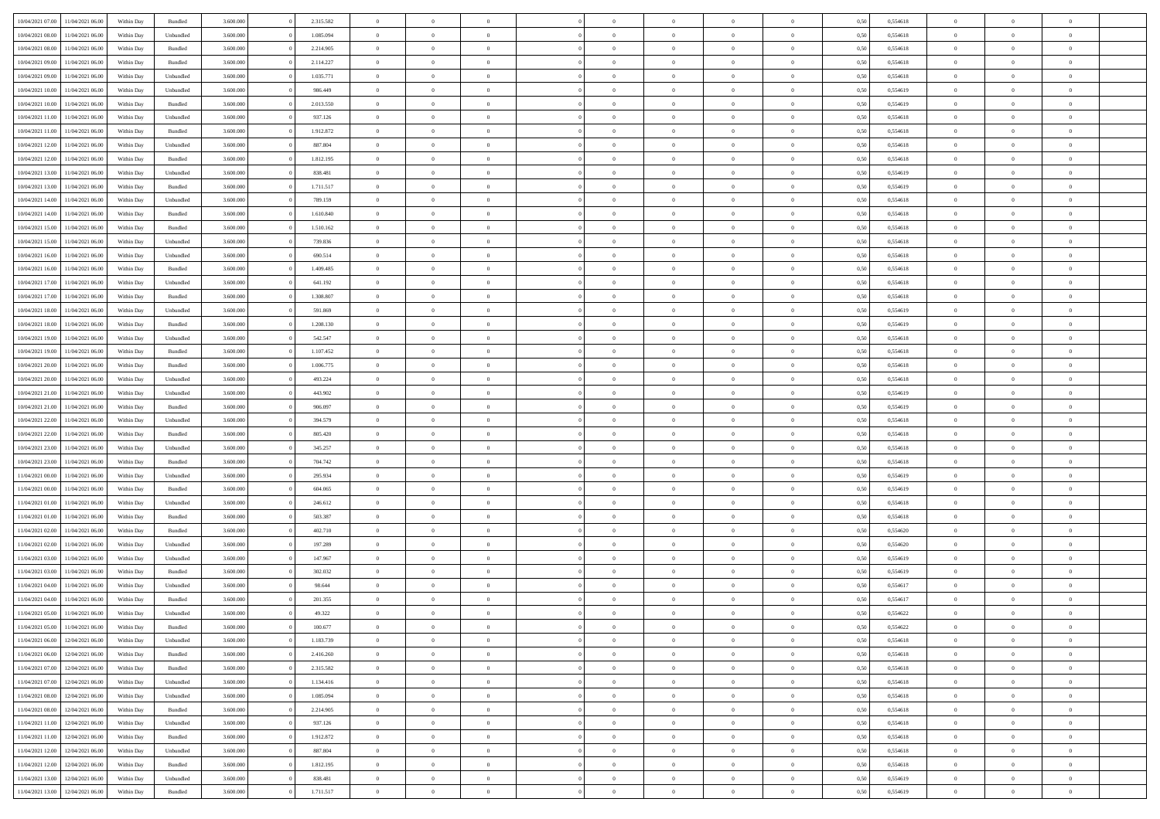| 10/04/2021 07:00 | 11/04/2021 06:00 | Within Day | Bundled   | 3.600.000 | 2.315.582 | $\overline{0}$ | $\Omega$       |                | $\Omega$       | $\Omega$       | $\Omega$       | $\theta$       | 0,50 | 0,554618 | $\theta$       | $\theta$       | $\theta$       |  |
|------------------|------------------|------------|-----------|-----------|-----------|----------------|----------------|----------------|----------------|----------------|----------------|----------------|------|----------|----------------|----------------|----------------|--|
| 10/04/2021 08:00 | 11/04/2021 06:00 | Within Day | Unbundled | 3.600.000 | 1.085.094 | $\overline{0}$ | $\theta$       | $\overline{0}$ | $\overline{0}$ | $\bf{0}$       | $\overline{0}$ | $\bf{0}$       | 0,50 | 0,554618 | $\theta$       | $\theta$       | $\overline{0}$ |  |
| 10/04/2021 08:00 | 11/04/2021 06:00 | Within Day | Bundled   | 3.600.000 | 2.214.905 | $\overline{0}$ | $\overline{0}$ | $\overline{0}$ | $\bf{0}$       | $\bf{0}$       | $\bf{0}$       | $\bf{0}$       | 0,50 | 0,554618 | $\bf{0}$       | $\overline{0}$ | $\overline{0}$ |  |
| 10/04/2021 09:00 | 11/04/2021 06:00 | Within Dav | Bundled   | 3.600,000 | 2.114.227 | $\overline{0}$ | $\overline{0}$ | $\overline{0}$ | $\overline{0}$ | $\bf{0}$       | $\overline{0}$ | $\overline{0}$ | 0.50 | 0.554618 | $\theta$       | $\theta$       | $\overline{0}$ |  |
| 10/04/2021 09:00 | 11/04/2021 06:00 | Within Day | Unbundled | 3.600.000 | 1.035.771 | $\overline{0}$ | $\theta$       | $\overline{0}$ | $\overline{0}$ | $\bf{0}$       | $\overline{0}$ | $\bf{0}$       | 0,50 | 0,554618 | $\theta$       | $\overline{0}$ | $\overline{0}$ |  |
|                  |                  |            |           |           |           |                |                |                |                |                |                |                |      |          |                |                |                |  |
| 10/04/2021 10:00 | 11/04/2021 06:00 | Within Day | Unbundled | 3.600.000 | 986.449   | $\overline{0}$ | $\bf{0}$       | $\overline{0}$ | $\bf{0}$       | $\overline{0}$ | $\overline{0}$ | $\mathbf{0}$   | 0,50 | 0,554619 | $\bf{0}$       | $\overline{0}$ | $\bf{0}$       |  |
| 10/04/2021 10:00 | 11/04/2021 06:00 | Within Dav | Bundled   | 3.600.000 | 2.013.550 | $\overline{0}$ | $\overline{0}$ | $\overline{0}$ | $\overline{0}$ | $\overline{0}$ | $\overline{0}$ | $\overline{0}$ | 0.50 | 0,554619 | $\theta$       | $\overline{0}$ | $\overline{0}$ |  |
| 10/04/2021 11:00 | 11/04/2021 06:00 | Within Day | Unbundled | 3.600.000 | 937.126   | $\overline{0}$ | $\theta$       | $\overline{0}$ | $\overline{0}$ | $\bf{0}$       | $\overline{0}$ | $\bf{0}$       | 0,50 | 0,554618 | $\theta$       | $\theta$       | $\overline{0}$ |  |
| 10/04/2021 11:00 | 11/04/2021 06:00 | Within Day | Bundled   | 3.600.000 | 1.912.872 | $\overline{0}$ | $\overline{0}$ | $\overline{0}$ | $\bf{0}$       | $\bf{0}$       | $\bf{0}$       | $\bf{0}$       | 0,50 | 0,554618 | $\,0\,$        | $\overline{0}$ | $\overline{0}$ |  |
| 10/04/2021 12:00 | 11/04/2021 06:00 | Within Dav | Unbundled | 3.600.000 | 887.804   | $\overline{0}$ | $\overline{0}$ | $\overline{0}$ | $\overline{0}$ | $\overline{0}$ | $\overline{0}$ | $\overline{0}$ | 0.50 | 0.554618 | $\theta$       | $\overline{0}$ | $\overline{0}$ |  |
| 10/04/2021 12:00 | 11/04/2021 06:00 | Within Day | Bundled   | 3.600.000 | 1.812.195 | $\overline{0}$ | $\theta$       | $\overline{0}$ | $\overline{0}$ | $\bf{0}$       | $\overline{0}$ | $\bf{0}$       | 0,50 | 0,554618 | $\,$ 0 $\,$    | $\overline{0}$ | $\overline{0}$ |  |
| 10/04/2021 13:00 | 11/04/2021 06:00 | Within Day | Unbundled | 3.600.000 | 838.481   | $\overline{0}$ | $\overline{0}$ | $\overline{0}$ | $\bf{0}$       | $\bf{0}$       | $\bf{0}$       | $\mathbf{0}$   | 0,50 | 0,554619 | $\bf{0}$       | $\overline{0}$ | $\overline{0}$ |  |
|                  |                  |            |           |           |           |                |                |                |                |                |                |                |      |          |                |                |                |  |
| 10/04/2021 13:00 | 11/04/2021 06:00 | Within Day | Bundled   | 3.600.000 | 1.711.517 | $\overline{0}$ | $\overline{0}$ | $\overline{0}$ | $\overline{0}$ | $\bf{0}$       | $\overline{0}$ | $\overline{0}$ | 0.50 | 0.554619 | $\theta$       | $\theta$       | $\overline{0}$ |  |
| 10/04/2021 14:00 | 11/04/2021 06:00 | Within Day | Unbundled | 3.600.000 | 789.159   | $\overline{0}$ | $\theta$       | $\overline{0}$ | $\overline{0}$ | $\bf{0}$       | $\overline{0}$ | $\bf{0}$       | 0,50 | 0,554618 | $\theta$       | $\overline{0}$ | $\overline{0}$ |  |
| 10/04/2021 14:00 | 11/04/2021 06:00 | Within Day | Bundled   | 3.600.000 | 1.610.840 | $\overline{0}$ | $\overline{0}$ | $\overline{0}$ | $\bf{0}$       | $\overline{0}$ | $\overline{0}$ | $\mathbf{0}$   | 0,50 | 0,554618 | $\overline{0}$ | $\overline{0}$ | $\bf{0}$       |  |
| 10/04/2021 15:00 | 11/04/2021 06:00 | Within Dav | Bundled   | 3.600.000 | 1.510.162 | $\overline{0}$ | $\overline{0}$ | $\overline{0}$ | $\overline{0}$ | $\overline{0}$ | $\overline{0}$ | $\overline{0}$ | 0.50 | 0.554618 | $\theta$       | $\overline{0}$ | $\overline{0}$ |  |
| 10/04/2021 15:00 | 11/04/2021 06:00 | Within Day | Unbundled | 3.600.000 | 739.836   | $\overline{0}$ | $\theta$       | $\overline{0}$ | $\overline{0}$ | $\bf{0}$       | $\overline{0}$ | $\bf{0}$       | 0,50 | 0,554618 | $\theta$       | $\theta$       | $\overline{0}$ |  |
| 10/04/2021 16:00 | 11/04/2021 06:00 | Within Day | Unbundled | 3.600.000 | 690.514   | $\overline{0}$ | $\overline{0}$ | $\overline{0}$ | $\bf{0}$       | $\bf{0}$       | $\bf{0}$       | $\mathbf{0}$   | 0,50 | 0,554618 | $\,0\,$        | $\overline{0}$ | $\overline{0}$ |  |
| 10/04/2021 16:00 | 11/04/2021 06:00 | Within Day | Bundled   | 3.600.000 | 1.409.485 | $\overline{0}$ | $\overline{0}$ | $\overline{0}$ | $\overline{0}$ | $\overline{0}$ | $\overline{0}$ | $\overline{0}$ | 0.50 | 0,554618 | $\theta$       | $\overline{0}$ | $\overline{0}$ |  |
|                  |                  |            |           |           |           |                |                |                |                |                |                |                |      |          |                |                |                |  |
| 10/04/2021 17:00 | 11/04/2021 06:00 | Within Day | Unbundled | 3.600.000 | 641.192   | $\overline{0}$ | $\theta$       | $\overline{0}$ | $\overline{0}$ | $\bf{0}$       | $\overline{0}$ | $\bf{0}$       | 0,50 | 0,554618 | $\,$ 0 $\,$    | $\theta$       | $\overline{0}$ |  |
| 10/04/2021 17:00 | 11/04/2021 06:00 | Within Day | Bundled   | 3.600.000 | 1.308.807 | $\overline{0}$ | $\overline{0}$ | $\overline{0}$ | $\bf{0}$       | $\bf{0}$       | $\bf{0}$       | $\bf{0}$       | 0,50 | 0,554618 | $\overline{0}$ | $\overline{0}$ | $\overline{0}$ |  |
| 10/04/2021 18:00 | 11/04/2021 06:00 | Within Day | Unbundled | 3.600,000 | 591.869   | $\overline{0}$ | $\overline{0}$ | $\overline{0}$ | $\overline{0}$ | $\bf{0}$       | $\overline{0}$ | $\overline{0}$ | 0.50 | 0.554619 | $\theta$       | $\overline{0}$ | $\overline{0}$ |  |
| 10/04/2021 18:00 | 11/04/2021 06:00 | Within Day | Bundled   | 3.600.000 | 1.208.130 | $\overline{0}$ | $\theta$       | $\overline{0}$ | $\overline{0}$ | $\bf{0}$       | $\overline{0}$ | $\bf{0}$       | 0,50 | 0,554619 | $\,$ 0 $\,$    | $\overline{0}$ | $\overline{0}$ |  |
| 10/04/2021 19:00 | 11/04/2021 06:00 | Within Day | Unbundled | 3.600.000 | 542.547   | $\overline{0}$ | $\bf{0}$       | $\overline{0}$ | $\bf{0}$       | $\overline{0}$ | $\overline{0}$ | $\mathbf{0}$   | 0,50 | 0,554618 | $\bf{0}$       | $\overline{0}$ | $\bf{0}$       |  |
| 10/04/2021 19:00 | 11/04/2021 06:00 | Within Dav | Bundled   | 3.600.000 | 1.107.452 | $\overline{0}$ | $\overline{0}$ | $\overline{0}$ | $\overline{0}$ | $\overline{0}$ | $\overline{0}$ | $\overline{0}$ | 0.50 | 0,554618 | $\theta$       | $\overline{0}$ | $\overline{0}$ |  |
| 10/04/2021 20:00 | 11/04/2021 06:00 | Within Day | Bundled   | 3.600.000 | 1.006.775 | $\overline{0}$ | $\theta$       | $\overline{0}$ | $\overline{0}$ | $\bf{0}$       | $\overline{0}$ | $\bf{0}$       | 0,50 | 0,554618 | $\theta$       | $\theta$       | $\overline{0}$ |  |
|                  |                  |            |           |           |           |                |                |                |                |                |                |                |      |          |                |                |                |  |
| 10/04/2021 20:00 | 11/04/2021 06:00 | Within Day | Unbundled | 3.600.000 | 493.224   | $\overline{0}$ | $\overline{0}$ | $\overline{0}$ | $\bf{0}$       | $\bf{0}$       | $\bf{0}$       | $\bf{0}$       | 0,50 | 0,554618 | $\,0\,$        | $\overline{0}$ | $\overline{0}$ |  |
| 10/04/2021 21:00 | 11/04/2021 06:00 | Within Day | Unbundled | 3.600.000 | 443.902   | $\overline{0}$ | $\overline{0}$ | $\overline{0}$ | $\overline{0}$ | $\overline{0}$ | $\overline{0}$ | $\overline{0}$ | 0.50 | 0.554619 | $\theta$       | $\overline{0}$ | $\overline{0}$ |  |
| 10/04/2021 21:00 | 11/04/2021 06:00 | Within Day | Bundled   | 3.600.000 | 906.097   | $\overline{0}$ | $\theta$       | $\overline{0}$ | $\overline{0}$ | $\bf{0}$       | $\overline{0}$ | $\bf{0}$       | 0,50 | 0,554619 | $\,$ 0 $\,$    | $\overline{0}$ | $\overline{0}$ |  |
| 10/04/2021 22:00 | 11/04/2021 06:00 | Within Day | Unbundled | 3.600.000 | 394.579   | $\overline{0}$ | $\overline{0}$ | $\overline{0}$ | $\bf{0}$       | $\bf{0}$       | $\bf{0}$       | $\bf{0}$       | 0,50 | 0,554618 | $\bf{0}$       | $\overline{0}$ | $\overline{0}$ |  |
| 10/04/2021 22:00 | 11/04/2021 06.00 | Within Day | Bundled   | 3.600.000 | 805.420   | $\overline{0}$ | $\Omega$       | $\Omega$       | $\Omega$       | $\Omega$       | $\Omega$       | $\overline{0}$ | 0,50 | 0,554618 | $\,0\,$        | $\theta$       | $\theta$       |  |
| 10/04/2021 23:00 | 11/04/2021 06:00 | Within Day | Unbundled | 3.600.000 | 345.257   | $\overline{0}$ | $\theta$       | $\overline{0}$ | $\overline{0}$ | $\bf{0}$       | $\overline{0}$ | $\bf{0}$       | 0,50 | 0,554618 | $\theta$       | $\theta$       | $\overline{0}$ |  |
| 10/04/2021 23:00 | 11/04/2021 06:00 | Within Day | Bundled   | 3.600.000 | 704.742   | $\overline{0}$ | $\overline{0}$ | $\overline{0}$ | $\bf{0}$       | $\bf{0}$       | $\overline{0}$ | $\mathbf{0}$   | 0,50 | 0,554618 | $\overline{0}$ | $\overline{0}$ | $\bf{0}$       |  |
|                  |                  |            |           |           |           |                |                |                |                |                |                |                |      |          |                |                |                |  |
| 11/04/2021 00:00 | 11/04/2021 06:00 | Within Day | Unbundled | 3.600,000 | 295.934   | $\overline{0}$ | $\Omega$       | $\Omega$       | $\Omega$       | $\bf{0}$       | $\overline{0}$ | $\overline{0}$ | 0.50 | 0.554619 | $\theta$       | $\theta$       | $\theta$       |  |
| 11/04/2021 00:00 | 11/04/2021 06:00 | Within Day | Bundled   | 3.600.000 | 604.065   | $\overline{0}$ | $\theta$       | $\overline{0}$ | $\overline{0}$ | $\bf{0}$       | $\overline{0}$ | $\bf{0}$       | 0,50 | 0,554619 | $\,$ 0 $\,$    | $\theta$       | $\overline{0}$ |  |
| 11/04/2021 01:00 | 11/04/2021 06:00 | Within Day | Unbundled | 3.600.000 | 246.612   | $\overline{0}$ | $\overline{0}$ | $\overline{0}$ | $\bf{0}$       | $\bf{0}$       | $\bf{0}$       | $\bf{0}$       | 0,50 | 0,554618 | $\bf{0}$       | $\overline{0}$ | $\overline{0}$ |  |
| 11/04/2021 01:00 | 11/04/2021 06:00 | Within Day | Bundled   | 3.600,000 | 503,387   | $\overline{0}$ | $\Omega$       | $\Omega$       | $\Omega$       | $\theta$       | $\theta$       | $\overline{0}$ | 0.50 | 0.554618 | $\theta$       | $\theta$       | $\theta$       |  |
| 11/04/2021 02:00 | 11/04/2021 06:00 | Within Day | Bundled   | 3.600.000 | 402.710   | $\overline{0}$ | $\theta$       | $\overline{0}$ | $\overline{0}$ | $\bf{0}$       | $\overline{0}$ | $\bf{0}$       | 0,50 | 0,554620 | $\,$ 0 $\,$    | $\overline{0}$ | $\overline{0}$ |  |
| 11/04/2021 02:00 | 11/04/2021 06:00 | Within Day | Unbundled | 3.600.000 | 197.289   | $\overline{0}$ | $\overline{0}$ | $\overline{0}$ | $\bf{0}$       | $\bf{0}$       | $\bf{0}$       | $\bf{0}$       | 0,50 | 0,554620 | $\overline{0}$ | $\overline{0}$ | $\overline{0}$ |  |
| 11/04/2021 03:00 | 11/04/2021 06.00 | Within Day | Unbundled | 3.600.000 | 147.967   | $\overline{0}$ | $\Omega$       | $\overline{0}$ | $\Omega$       | $\Omega$       | $\overline{0}$ | $\overline{0}$ | 0,50 | 0,554619 | $\,0\,$        | $\theta$       | $\theta$       |  |
| 11/04/2021 03:00 | 11/04/2021 06:00 | Within Day | Bundled   | 3.600.000 | 302.032   | $\overline{0}$ | $\theta$       | $\overline{0}$ | $\overline{0}$ | $\bf{0}$       | $\overline{0}$ | $\bf{0}$       | 0,50 | 0,554619 | $\,$ 0 $\,$    | $\overline{0}$ | $\overline{0}$ |  |
|                  |                  |            |           |           |           |                |                |                |                |                |                |                |      |          |                |                |                |  |
| 11/04/2021 04:00 | 11/04/2021 06:00 | Within Day | Unbundled | 3.600.000 | 98.644    | $\overline{0}$ | $\overline{0}$ | $\overline{0}$ | $\bf{0}$       | $\bf{0}$       | $\bf{0}$       | $\mathbf{0}$   | 0,50 | 0,554617 | $\bf{0}$       | $\overline{0}$ | $\bf{0}$       |  |
| 11/04/2021 04:00 | 11/04/2021 06:00 | Within Day | Bundled   | 3.600,000 | 201.355   | $\overline{0}$ | $\Omega$       | $\Omega$       | $\Omega$       | $\Omega$       | $\Omega$       | $\overline{0}$ | 0.50 | 0.554617 | $\theta$       | $\theta$       | $\theta$       |  |
| 11/04/2021 05:00 | 11/04/2021 06:00 | Within Day | Unbundled | 3.600.000 | 49.322    | $\overline{0}$ | $\overline{0}$ | $\overline{0}$ | $\bf{0}$       | $\,$ 0         | $\bf{0}$       | $\bf{0}$       | 0,50 | 0,554622 | $\,0\,$        | $\overline{0}$ | $\overline{0}$ |  |
| 11/04/2021 05:00 | 11/04/2021 06:00 | Within Day | Bundled   | 3.600.000 | 100.677   | $\bf{0}$       | $\bf{0}$       |                |                |                |                |                | 0,50 | 0,554622 | $\bf{0}$       | $\overline{0}$ |                |  |
| 11/04/2021 06:00 | 12/04/2021 06:00 | Within Day | Unbundled | 3.600.000 | 1.183.739 | $\overline{0}$ | $\overline{0}$ | $\overline{0}$ | $\Omega$       | $\overline{0}$ | $\overline{0}$ | $\overline{0}$ | 0,50 | 0.554618 | $\theta$       | $\theta$       | $\theta$       |  |
| 11/04/2021 06:00 | 12/04/2021 06:00 | Within Day | Bundled   | 3.600.000 | 2.416.260 | $\overline{0}$ | $\,$ 0         | $\overline{0}$ | $\bf{0}$       | $\,$ 0 $\,$    | $\overline{0}$ | $\mathbf{0}$   | 0,50 | 0,554618 | $\,$ 0 $\,$    | $\,$ 0 $\,$    | $\,$ 0         |  |
| 11/04/2021 07:00 | 12/04/2021 06:00 | Within Day | Bundled   | 3.600.000 | 2.315.582 | $\overline{0}$ | $\overline{0}$ | $\overline{0}$ | $\overline{0}$ | $\overline{0}$ | $\overline{0}$ | $\mathbf{0}$   | 0,50 | 0,554618 | $\overline{0}$ | $\bf{0}$       | $\bf{0}$       |  |
|                  |                  |            |           |           |           |                | $\overline{0}$ |                | $\Omega$       | $\overline{0}$ | $\overline{0}$ |                |      |          |                | $\theta$       | $\overline{0}$ |  |
| 11/04/2021 07:00 | 12/04/2021 06:00 | Within Day | Unbundled | 3.600.000 | 1.134.416 | $\overline{0}$ |                | $\overline{0}$ |                |                |                | $\overline{0}$ | 0,50 | 0,554618 | $\overline{0}$ |                |                |  |
| 11/04/2021 08:00 | 12/04/2021 06:00 | Within Day | Unbundled | 3.600.000 | 1.085.094 | $\overline{0}$ | $\,$ 0         | $\overline{0}$ | $\overline{0}$ | $\,$ 0 $\,$    | $\overline{0}$ | $\mathbf{0}$   | 0,50 | 0,554618 | $\,$ 0 $\,$    | $\overline{0}$ | $\overline{0}$ |  |
| 11/04/2021 08:00 | 12/04/2021 06:00 | Within Day | Bundled   | 3.600.000 | 2.214.905 | $\overline{0}$ | $\overline{0}$ | $\overline{0}$ | $\overline{0}$ | $\overline{0}$ | $\overline{0}$ | $\mathbf{0}$   | 0,50 | 0,554618 | $\overline{0}$ | $\overline{0}$ | $\bf{0}$       |  |
| 11/04/2021 11:00 | 12/04/2021 06:00 | Within Day | Unbundled | 3.600,000 | 937.126   | $\overline{0}$ | $\overline{0}$ | $\overline{0}$ | $\Omega$       | $\overline{0}$ | $\overline{0}$ | $\bf{0}$       | 0.50 | 0,554618 | $\overline{0}$ | $\theta$       | $\overline{0}$ |  |
| 11/04/2021 11:00 | 12/04/2021 06:00 | Within Day | Bundled   | 3.600.000 | 1.912.872 | $\overline{0}$ | $\,$ 0         | $\overline{0}$ | $\bf{0}$       | $\bf{0}$       | $\bf{0}$       | $\bf{0}$       | 0,50 | 0,554618 | $\,$ 0 $\,$    | $\overline{0}$ | $\overline{0}$ |  |
| 11/04/2021 12:00 | 12/04/2021 06:00 | Within Day | Unbundled | 3.600.000 | 887.804   | $\overline{0}$ | $\bf{0}$       | $\overline{0}$ | $\overline{0}$ | $\overline{0}$ | $\overline{0}$ | $\mathbf{0}$   | 0,50 | 0,554618 | $\overline{0}$ | $\overline{0}$ | $\bf{0}$       |  |
| 11/04/2021 12:00 | 12/04/2021 06:00 | Within Day | Bundled   | 3.600,000 | 1.812.195 | $\overline{0}$ | $\overline{0}$ | $\overline{0}$ | $\Omega$       | $\overline{0}$ | $\overline{0}$ | $\overline{0}$ | 0.50 | 0,554618 | $\overline{0}$ | $\theta$       | $\overline{0}$ |  |
|                  |                  |            |           |           |           |                |                |                |                |                |                |                |      |          |                |                |                |  |
| 11/04/2021 13:00 | 12/04/2021 06:00 | Within Day | Unbundled | 3.600.000 | 838.481   | $\overline{0}$ | $\,$ 0 $\,$    | $\overline{0}$ | $\overline{0}$ | $\bf{0}$       | $\bf{0}$       | $\bf{0}$       | 0,50 | 0,554619 | $\,$ 0 $\,$    | $\,$ 0 $\,$    | $\bf{0}$       |  |
| 11/04/2021 13:00 | 12/04/2021 06:00 | Within Day | Bundled   | 3.600.000 | 1.711.517 | $\overline{0}$ | $\bf{0}$       | $\overline{0}$ | $\bf{0}$       | $\bf{0}$       | $\bf{0}$       | $\bf{0}$       | 0,50 | 0,554619 | $\overline{0}$ | $\overline{0}$ | $\bf{0}$       |  |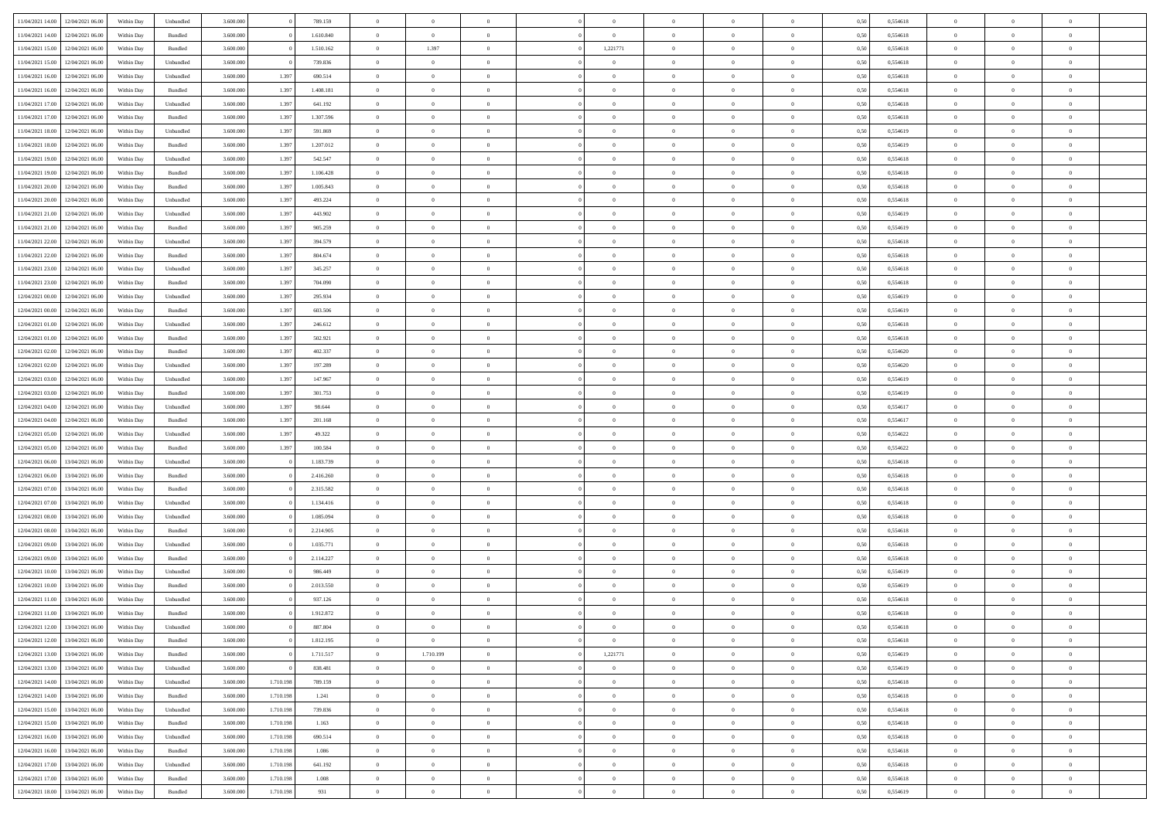| 11/04/2021 14:00                  | 12/04/2021 06:00                  | Within Dav | Unbundled | 3.600.000 |           | 789.159   | $\overline{0}$ | $\Omega$       |                | $\Omega$       | $\Omega$       | $\Omega$       | $\theta$       | 0,50 | 0,554618 | $\theta$       | $\theta$       | $\theta$       |  |
|-----------------------------------|-----------------------------------|------------|-----------|-----------|-----------|-----------|----------------|----------------|----------------|----------------|----------------|----------------|----------------|------|----------|----------------|----------------|----------------|--|
|                                   |                                   |            |           |           |           |           |                |                |                |                |                |                |                |      |          |                |                |                |  |
| 11/04/2021 14:00                  | 12/04/2021 06:00                  | Within Day | Bundled   | 3.600.000 |           | 1.610.840 | $\overline{0}$ | $\overline{0}$ | $\overline{0}$ | $\overline{0}$ | $\bf{0}$       | $\overline{0}$ | $\bf{0}$       | 0,50 | 0,554618 | $\theta$       | $\overline{0}$ | $\overline{0}$ |  |
| 11/04/2021 15:00                  | 12/04/2021 06:00                  | Within Day | Bundled   | 3.600.000 |           | 1.510.162 | $\overline{0}$ | 1.397          | $\overline{0}$ | 1,221771       | $\bf{0}$       | $\bf{0}$       | $\mathbf{0}$   | 0,50 | 0,554618 | $\overline{0}$ | $\overline{0}$ | $\overline{0}$ |  |
| 11/04/2021 15:00                  | 12/04/2021 06:00                  | Within Dav | Unbundled | 3.600,000 |           | 739.836   | $\overline{0}$ | $\overline{0}$ | $\overline{0}$ | $\overline{0}$ | $\bf{0}$       | $\overline{0}$ | $\overline{0}$ | 0.50 | 0.554618 | $\theta$       | $\theta$       | $\overline{0}$ |  |
| 11/04/2021 16:00                  | 12/04/2021 06:00                  | Within Day | Unbundled | 3.600.000 | 1.397     | 690.514   | $\overline{0}$ | $\theta$       | $\overline{0}$ | $\overline{0}$ | $\bf{0}$       | $\overline{0}$ | $\bf{0}$       | 0,50 | 0,554618 | $\theta$       | $\overline{0}$ | $\overline{0}$ |  |
| 11/04/2021 16:00                  | 12/04/2021 06:00                  | Within Day | Bundled   | 3.600.000 | 1.397     | 1.408.181 | $\overline{0}$ | $\bf{0}$       | $\overline{0}$ | $\bf{0}$       | $\overline{0}$ | $\overline{0}$ | $\mathbf{0}$   | 0,50 | 0,554618 | $\overline{0}$ | $\overline{0}$ | $\bf{0}$       |  |
| 11/04/2021 17:00                  | 12/04/2021 06:00                  | Within Dav | Unbundled | 3.600.000 | 1.397     | 641.192   | $\overline{0}$ | $\overline{0}$ | $\overline{0}$ | $\overline{0}$ | $\overline{0}$ | $\overline{0}$ | $\overline{0}$ | 0.50 | 0,554618 | $\theta$       | $\overline{0}$ | $\overline{0}$ |  |
|                                   |                                   |            |           |           |           |           |                |                |                |                |                |                |                |      |          |                |                |                |  |
| 11/04/2021 17:00                  | 12/04/2021 06:00                  | Within Day | Bundled   | 3.600.000 | 1.397     | 1.307.596 | $\overline{0}$ | $\theta$       | $\overline{0}$ | $\overline{0}$ | $\bf{0}$       | $\overline{0}$ | $\bf{0}$       | 0,50 | 0,554618 | $\theta$       | $\theta$       | $\overline{0}$ |  |
| 11/04/2021 18:00                  | 12/04/2021 06:00                  | Within Day | Unbundled | 3.600.000 | 1.397     | 591.869   | $\overline{0}$ | $\overline{0}$ | $\overline{0}$ | $\bf{0}$       | $\bf{0}$       | $\bf{0}$       | $\bf{0}$       | 0,50 | 0,554619 | $\,0\,$        | $\overline{0}$ | $\overline{0}$ |  |
| 11/04/2021 18:00                  | 12/04/2021 06:00                  | Within Dav | Bundled   | 3.600.000 | 1.397     | 1.207.012 | $\overline{0}$ | $\overline{0}$ | $\overline{0}$ | $\overline{0}$ | $\overline{0}$ | $\overline{0}$ | $\overline{0}$ | 0.50 | 0.554619 | $\theta$       | $\overline{0}$ | $\overline{0}$ |  |
| 11/04/2021 19:00                  | 12/04/2021 06:00                  | Within Day | Unbundled | 3.600.000 | 1.397     | 542.547   | $\overline{0}$ | $\theta$       | $\overline{0}$ | $\overline{0}$ | $\bf{0}$       | $\overline{0}$ | $\bf{0}$       | 0,50 | 0,554618 | $\,$ 0 $\,$    | $\overline{0}$ | $\overline{0}$ |  |
| 11/04/2021 19:00                  | 12/04/2021 06:00                  | Within Day | Bundled   | 3.600.000 | 1.397     | 1.106.428 | $\overline{0}$ | $\overline{0}$ | $\overline{0}$ | $\bf{0}$       | $\bf{0}$       | $\bf{0}$       | $\mathbf{0}$   | 0,50 | 0,554618 | $\overline{0}$ | $\overline{0}$ | $\bf{0}$       |  |
| 11/04/2021 20:00                  | 12/04/2021 06:00                  | Within Day | Bundled   | 3.600.000 | 1.397     | 1.005.843 | $\overline{0}$ | $\overline{0}$ | $\overline{0}$ | $\overline{0}$ | $\bf{0}$       | $\overline{0}$ | $\overline{0}$ | 0.50 | 0.554618 | $\theta$       | $\theta$       | $\overline{0}$ |  |
|                                   |                                   |            |           |           |           |           |                |                |                |                |                |                |                |      |          |                |                |                |  |
| 11/04/2021 20:00                  | 12/04/2021 06:00                  | Within Day | Unbundled | 3.600.000 | 1.397     | 493.224   | $\overline{0}$ | $\theta$       | $\overline{0}$ | $\overline{0}$ | $\bf{0}$       | $\overline{0}$ | $\bf{0}$       | 0,50 | 0,554618 | $\theta$       | $\overline{0}$ | $\overline{0}$ |  |
| 11/04/2021 21:00                  | 12/04/2021 06:00                  | Within Day | Unbundled | 3.600.000 | 1.397     | 443.902   | $\overline{0}$ | $\overline{0}$ | $\overline{0}$ | $\bf{0}$       | $\overline{0}$ | $\overline{0}$ | $\mathbf{0}$   | 0,50 | 0,554619 | $\overline{0}$ | $\overline{0}$ | $\bf{0}$       |  |
| 11/04/2021 21:00                  | 12/04/2021 06:00                  | Within Dav | Bundled   | 3.600.000 | 1.397     | 905.259   | $\overline{0}$ | $\overline{0}$ | $\overline{0}$ | $\overline{0}$ | $\overline{0}$ | $\overline{0}$ | $\overline{0}$ | 0.50 | 0.554619 | $\theta$       | $\overline{0}$ | $\overline{0}$ |  |
| 11/04/2021 22:00                  | 12/04/2021 06:00                  | Within Day | Unbundled | 3.600.000 | 1.397     | 394.579   | $\overline{0}$ | $\theta$       | $\overline{0}$ | $\overline{0}$ | $\bf{0}$       | $\overline{0}$ | $\bf{0}$       | 0,50 | 0,554618 | $\theta$       | $\theta$       | $\overline{0}$ |  |
| 11/04/2021 22.00                  | 12/04/2021 06:00                  | Within Day | Bundled   | 3.600.000 | 1.397     | 804.674   | $\overline{0}$ | $\overline{0}$ | $\overline{0}$ | $\bf{0}$       | $\bf{0}$       | $\bf{0}$       | $\mathbf{0}$   | 0,50 | 0,554618 | $\,0\,$        | $\overline{0}$ | $\overline{0}$ |  |
| 11/04/2021 23:00                  | 12/04/2021 06:00                  | Within Day | Unbundled | 3.600.000 | 1.397     | 345.257   | $\overline{0}$ | $\overline{0}$ | $\overline{0}$ | $\overline{0}$ | $\overline{0}$ | $\overline{0}$ | $\overline{0}$ | 0.50 | 0.554618 | $\theta$       | $\overline{0}$ | $\overline{0}$ |  |
| 11/04/2021 23:00                  | 12/04/2021 06:00                  |            | Bundled   | 3.600.000 |           |           | $\overline{0}$ | $\theta$       | $\overline{0}$ | $\overline{0}$ | $\bf{0}$       | $\overline{0}$ |                |      | 0,554618 | $\,$ 0 $\,$    | $\theta$       | $\overline{0}$ |  |
|                                   |                                   | Within Day |           |           | 1.397     | 704.090   |                |                |                |                |                |                | $\bf{0}$       | 0,50 |          |                |                |                |  |
| 12/04/2021 00:00                  | 12/04/2021 06:00                  | Within Day | Unbundled | 3.600.000 | 1.397     | 295.934   | $\overline{0}$ | $\overline{0}$ | $\overline{0}$ | $\bf{0}$       | $\bf{0}$       | $\bf{0}$       | $\bf{0}$       | 0,50 | 0,554619 | $\bf{0}$       | $\overline{0}$ | $\overline{0}$ |  |
| 12/04/2021 00:00                  | 12/04/2021 06:00                  | Within Day | Bundled   | 3.600.000 | 1.397     | 603,506   | $\overline{0}$ | $\overline{0}$ | $\overline{0}$ | $\overline{0}$ | $\bf{0}$       | $\overline{0}$ | $\overline{0}$ | 0.50 | 0.554619 | $\theta$       | $\overline{0}$ | $\overline{0}$ |  |
| 12/04/2021 01:00                  | 12/04/2021 06:00                  | Within Day | Unbundled | 3.600.000 | 1.397     | 246.612   | $\overline{0}$ | $\theta$       | $\overline{0}$ | $\overline{0}$ | $\bf{0}$       | $\overline{0}$ | $\bf{0}$       | 0,50 | 0,554618 | $\,$ 0 $\,$    | $\overline{0}$ | $\overline{0}$ |  |
| 12/04/2021 01:00                  | 12/04/2021 06:00                  | Within Day | Bundled   | 3.600.000 | 1.397     | 502.921   | $\overline{0}$ | $\bf{0}$       | $\overline{0}$ | $\bf{0}$       | $\overline{0}$ | $\overline{0}$ | $\mathbf{0}$   | 0,50 | 0,554618 | $\overline{0}$ | $\overline{0}$ | $\bf{0}$       |  |
| 12/04/2021 02:00                  | 12/04/2021 06:00                  | Within Day | Bundled   | 3.600.000 | 1.397     | 402.337   | $\overline{0}$ | $\overline{0}$ | $\overline{0}$ | $\overline{0}$ | $\overline{0}$ | $\overline{0}$ | $\overline{0}$ | 0.50 | 0,554620 | $\theta$       | $\overline{0}$ | $\overline{0}$ |  |
| 12/04/2021 02:00                  | 12/04/2021 06:00                  | Within Day | Unbundled | 3.600.000 | 1.397     | 197.289   | $\overline{0}$ | $\theta$       | $\overline{0}$ | $\overline{0}$ | $\bf{0}$       | $\overline{0}$ | $\bf{0}$       | 0,50 | 0,554620 | $\theta$       | $\theta$       | $\overline{0}$ |  |
|                                   |                                   |            |           |           |           |           |                |                |                |                |                |                |                |      |          |                |                |                |  |
| 12/04/2021 03:00                  | 12/04/2021 06:00                  | Within Day | Unbundled | 3.600.000 | 1.397     | 147.967   | $\overline{0}$ | $\overline{0}$ | $\overline{0}$ | $\bf{0}$       | $\bf{0}$       | $\bf{0}$       | $\bf{0}$       | 0,50 | 0,554619 | $\,0\,$        | $\overline{0}$ | $\overline{0}$ |  |
| 12/04/2021 03:00                  | 12/04/2021 06:00                  | Within Day | Bundled   | 3.600.000 | 1.397     | 301.753   | $\overline{0}$ | $\overline{0}$ | $\overline{0}$ | $\overline{0}$ | $\overline{0}$ | $\overline{0}$ | $\overline{0}$ | 0.50 | 0.554619 | $\theta$       | $\overline{0}$ | $\overline{0}$ |  |
| 12/04/2021 04:00                  | 12/04/2021 06:00                  | Within Day | Unbundled | 3.600.000 | 1.397     | 98.644    | $\overline{0}$ | $\theta$       | $\overline{0}$ | $\overline{0}$ | $\bf{0}$       | $\overline{0}$ | $\bf{0}$       | 0,50 | 0,554617 | $\,$ 0 $\,$    | $\overline{0}$ | $\overline{0}$ |  |
| 12/04/2021 04:00                  | 12/04/2021 06:00                  | Within Day | Bundled   | 3.600.000 | 1.397     | 201.168   | $\overline{0}$ | $\overline{0}$ | $\overline{0}$ | $\bf{0}$       | $\bf{0}$       | $\bf{0}$       | $\bf{0}$       | 0,50 | 0,554617 | $\bf{0}$       | $\overline{0}$ | $\overline{0}$ |  |
| 12/04/2021 05:00                  | 12/04/2021 06:00                  | Within Day | Unbundled | 3.600.000 | 1.397     | 49.322    | $\overline{0}$ | $\Omega$       | $\overline{0}$ | $\Omega$       | $\Omega$       | $\overline{0}$ | $\overline{0}$ | 0,50 | 0,554622 | $\,0\,$        | $\theta$       | $\theta$       |  |
| 12/04/2021 05:00                  | 12/04/2021 06:00                  | Within Day | Bundled   | 3.600.000 | 1.397     | 100.584   | $\overline{0}$ | $\theta$       | $\overline{0}$ | $\overline{0}$ | $\bf{0}$       | $\overline{0}$ | $\bf{0}$       | 0,50 | 0,554622 | $\,$ 0 $\,$    | $\overline{0}$ | $\overline{0}$ |  |
| 12/04/2021 06:00                  | 13/04/2021 06:00                  | Within Day | Unbundled | 3.600.000 |           | 1.183.739 | $\overline{0}$ | $\overline{0}$ | $\overline{0}$ | $\bf{0}$       | $\bf{0}$       | $\overline{0}$ | $\mathbf{0}$   | 0,50 | 0,554618 | $\bf{0}$       | $\overline{0}$ | $\bf{0}$       |  |
|                                   |                                   |            |           |           |           |           |                |                |                |                |                |                |                |      |          |                |                |                |  |
| 12/04/2021 06:00                  | 13/04/2021 06:00                  | Within Day | Bundled   | 3.600,000 |           | 2.416.260 | $\overline{0}$ | $\Omega$       | $\Omega$       | $\Omega$       | $\bf{0}$       | $\overline{0}$ | $\overline{0}$ | 0.50 | 0.554618 | $\theta$       | $\theta$       | $\theta$       |  |
| 12/04/2021 07:00                  | 13/04/2021 06:00                  | Within Day | Bundled   | 3.600.000 |           | 2.315.582 | $\overline{0}$ | $\theta$       | $\overline{0}$ | $\overline{0}$ | $\bf{0}$       | $\overline{0}$ | $\bf{0}$       | 0,50 | 0,554618 | $\,$ 0 $\,$    | $\overline{0}$ | $\overline{0}$ |  |
| 12/04/2021 07:00                  | 13/04/2021 06:00                  | Within Day | Unbundled | 3.600.000 |           | 1.134.416 | $\overline{0}$ | $\overline{0}$ | $\overline{0}$ | $\bf{0}$       | $\bf{0}$       | $\bf{0}$       | $\bf{0}$       | 0,50 | 0,554618 | $\,0\,$        | $\overline{0}$ | $\overline{0}$ |  |
| 12/04/2021 08:00                  | 13/04/2021 06:00                  | Within Day | Unbundled | 3.600,000 |           | 1.085.094 | $\overline{0}$ | $\Omega$       | $\overline{0}$ | $\Omega$       | $\Omega$       | $\overline{0}$ | $\overline{0}$ | 0.50 | 0.554618 | $\,$ 0 $\,$    | $\theta$       | $\theta$       |  |
| 12/04/2021 08:00                  | 13/04/2021 06:00                  | Within Day | Bundled   | 3.600.000 |           | 2.214.905 | $\overline{0}$ | $\theta$       | $\overline{0}$ | $\overline{0}$ | $\bf{0}$       | $\overline{0}$ | $\bf{0}$       | 0,50 | 0,554618 | $\,$ 0 $\,$    | $\overline{0}$ | $\overline{0}$ |  |
| 12/04/2021 09:00                  | 13/04/2021 06:00                  | Within Day | Unbundled | 3.600.000 |           | 1.035.771 | $\overline{0}$ | $\overline{0}$ | $\overline{0}$ | $\overline{0}$ | $\bf{0}$       | $\overline{0}$ | $\bf{0}$       | 0,50 | 0,554618 | $\overline{0}$ | $\overline{0}$ | $\overline{0}$ |  |
|                                   |                                   |            |           |           |           |           | $\overline{0}$ | $\Omega$       | $\overline{0}$ | $\Omega$       | $\overline{0}$ | $\overline{0}$ | $\overline{0}$ |      |          | $\,0\,$        | $\theta$       | $\theta$       |  |
| 12/04/2021 09:00                  | 13/04/2021 06:00                  | Within Day | Bundled   | 3.600.000 |           | 2.114.227 |                |                |                |                |                |                |                | 0,50 | 0,554618 |                |                |                |  |
| 12/04/2021 10:00                  | 13/04/2021 06:00                  | Within Day | Unbundled | 3.600.000 |           | 986.449   | $\overline{0}$ | $\theta$       | $\overline{0}$ | $\overline{0}$ | $\,$ 0         | $\overline{0}$ | $\bf{0}$       | 0,50 | 0,554619 | $\,$ 0 $\,$    | $\overline{0}$ | $\overline{0}$ |  |
| 12/04/2021 10:00                  | 13/04/2021 06:00                  | Within Day | Bundled   | 3.600.000 |           | 2.013.550 | $\overline{0}$ | $\overline{0}$ | $\overline{0}$ | $\overline{0}$ | $\bf{0}$       | $\overline{0}$ | $\mathbf{0}$   | 0,50 | 0,554619 | $\overline{0}$ | $\overline{0}$ | $\bf{0}$       |  |
| 12/04/2021 11:00                  | 13/04/2021 06:00                  | Within Day | Unbundled | 3.600,000 |           | 937.126   | $\overline{0}$ | $\Omega$       | $\Omega$       | $\Omega$       | $\Omega$       | $\Omega$       | $\overline{0}$ | 0.50 | 0.554618 | $\theta$       | $\theta$       | $\theta$       |  |
| 12/04/2021 11:00                  | 13/04/2021 06:00                  | Within Day | Bundled   | 3.600.000 |           | 1.912.872 | $\overline{0}$ | $\,$ 0 $\,$    | $\overline{0}$ | $\bf{0}$       | $\,$ 0         | $\overline{0}$ | $\bf{0}$       | 0,50 | 0,554618 | $\,0\,$        | $\overline{0}$ | $\overline{0}$ |  |
|                                   | 12/04/2021 12:00 13/04/2021 06:00 | Within Day | Unbundled | 3.600.000 |           | 887.804   | $\bf{0}$       | $\bf{0}$       |                |                |                |                |                | 0,50 | 0,554618 | $\bf{0}$       | $\overline{0}$ |                |  |
| 12/04/2021 12:00                  | 13/04/2021 06:00                  | Within Day | Bundled   | 3.600,000 |           | 1.812.195 | $\overline{0}$ | $\overline{0}$ | $\overline{0}$ | $\theta$       | $\overline{0}$ | $\overline{0}$ | $\overline{0}$ | 0,50 | 0.554618 | $\theta$       | $\theta$       | $\Omega$       |  |
| 12/04/2021 13:00                  | 13/04/2021 06:00                  | Within Day | Bundled   | 3.600.000 |           | 1.711.517 | $\overline{0}$ | 1.710.199      | $\overline{0}$ | 1,221771       | $\,$ 0 $\,$    | $\overline{0}$ | $\,$ 0 $\,$    | 0,50 | 0,554619 | $\,$ 0 $\,$    | $\,$ 0 $\,$    | $\,$ 0         |  |
|                                   |                                   |            |           |           |           |           |                |                |                |                |                |                |                |      |          |                |                |                |  |
| 12/04/2021 13:00                  | 13/04/2021 06:00                  | Within Day | Unbundled | 3.600.000 |           | 838.481   | $\overline{0}$ | $\overline{0}$ | $\overline{0}$ | $\overline{0}$ | $\overline{0}$ | $\overline{0}$ | $\mathbf{0}$   | 0,50 | 0,554619 | $\overline{0}$ | $\overline{0}$ | $\overline{0}$ |  |
| 12/04/2021 14:00                  | 13/04/2021 06:00                  | Within Day | Unbundled | 3.600.000 | 1.710.198 | 789.159   | $\overline{0}$ | $\overline{0}$ | $\overline{0}$ | $\overline{0}$ | $\overline{0}$ | $\overline{0}$ | $\overline{0}$ | 0,50 | 0,554618 | $\overline{0}$ | $\theta$       | $\overline{0}$ |  |
| 12/04/2021 14:00                  | 13/04/2021 06:00                  | Within Day | Bundled   | 3.600.000 | 1.710.198 | 1.241     | $\overline{0}$ | $\bf{0}$       | $\overline{0}$ | $\overline{0}$ | $\,$ 0 $\,$    | $\overline{0}$ | $\,$ 0 $\,$    | 0,50 | 0,554618 | $\,$ 0 $\,$    | $\overline{0}$ | $\,$ 0         |  |
| 12/04/2021 15:00                  | 13/04/2021 06:00                  | Within Day | Unbundled | 3.600.000 | 1.710.198 | 739.836   | $\overline{0}$ | $\overline{0}$ | $\overline{0}$ | $\overline{0}$ | $\overline{0}$ | $\overline{0}$ | $\mathbf{0}$   | 0,50 | 0,554618 | $\overline{0}$ | $\overline{0}$ | $\overline{0}$ |  |
| 12/04/2021 15:00                  | 13/04/2021 06:00                  | Within Day | Bundled   | 3.600.000 | 1.710.198 | 1.163     | $\overline{0}$ | $\overline{0}$ | $\overline{0}$ | $\overline{0}$ | $\overline{0}$ | $\overline{0}$ | $\bf{0}$       | 0.50 | 0,554618 | $\overline{0}$ | $\theta$       | $\overline{0}$ |  |
| 12/04/2021 16:00                  | 13/04/2021 06:00                  | Within Day | Unbundled | 3.600.000 | 1.710.198 | 690.514   | $\overline{0}$ | $\,$ 0         | $\overline{0}$ | $\overline{0}$ | $\bf{0}$       | $\overline{0}$ | $\bf{0}$       | 0,50 | 0,554618 | $\,$ 0 $\,$    | $\overline{0}$ | $\overline{0}$ |  |
|                                   |                                   |            |           |           |           |           |                |                |                |                |                |                |                |      |          |                |                |                |  |
| 12/04/2021 16:00                  | 13/04/2021 06:00                  | Within Day | Bundled   | 3.600.000 | 1.710.198 | 1.086     | $\overline{0}$ | $\overline{0}$ | $\overline{0}$ | $\overline{0}$ | $\overline{0}$ | $\overline{0}$ | $\mathbf{0}$   | 0,50 | 0,554618 | $\overline{0}$ | $\overline{0}$ | $\bf{0}$       |  |
| 12/04/2021 17:00                  | 13/04/2021 06:00                  | Within Day | Unbundled | 3.600.000 | 1.710.198 | 641.192   | $\overline{0}$ | $\overline{0}$ | $\overline{0}$ | $\Omega$       | $\overline{0}$ | $\overline{0}$ | $\overline{0}$ | 0.50 | 0,554618 | $\overline{0}$ | $\theta$       | $\overline{0}$ |  |
| 12/04/2021 17:00                  | 13/04/2021 06:00                  | Within Day | Bundled   | 3.600.000 | 1.710.198 | 1.008     | $\overline{0}$ | $\bf{0}$       | $\overline{0}$ | $\bf{0}$       | $\bf{0}$       | $\bf{0}$       | $\mathbf{0}$   | 0,50 | 0,554618 | $\,$ 0 $\,$    | $\,$ 0 $\,$    | $\bf{0}$       |  |
| 12/04/2021 18:00 13/04/2021 06:00 |                                   | Within Day | Bundled   | 3.600.000 | 1.710.198 | 931       | $\overline{0}$ | $\overline{0}$ | $\overline{0}$ | $\overline{0}$ | $\overline{0}$ | $\bf{0}$       | $\mathbf{0}$   | 0,50 | 0,554619 | $\overline{0}$ | $\bf{0}$       | $\overline{0}$ |  |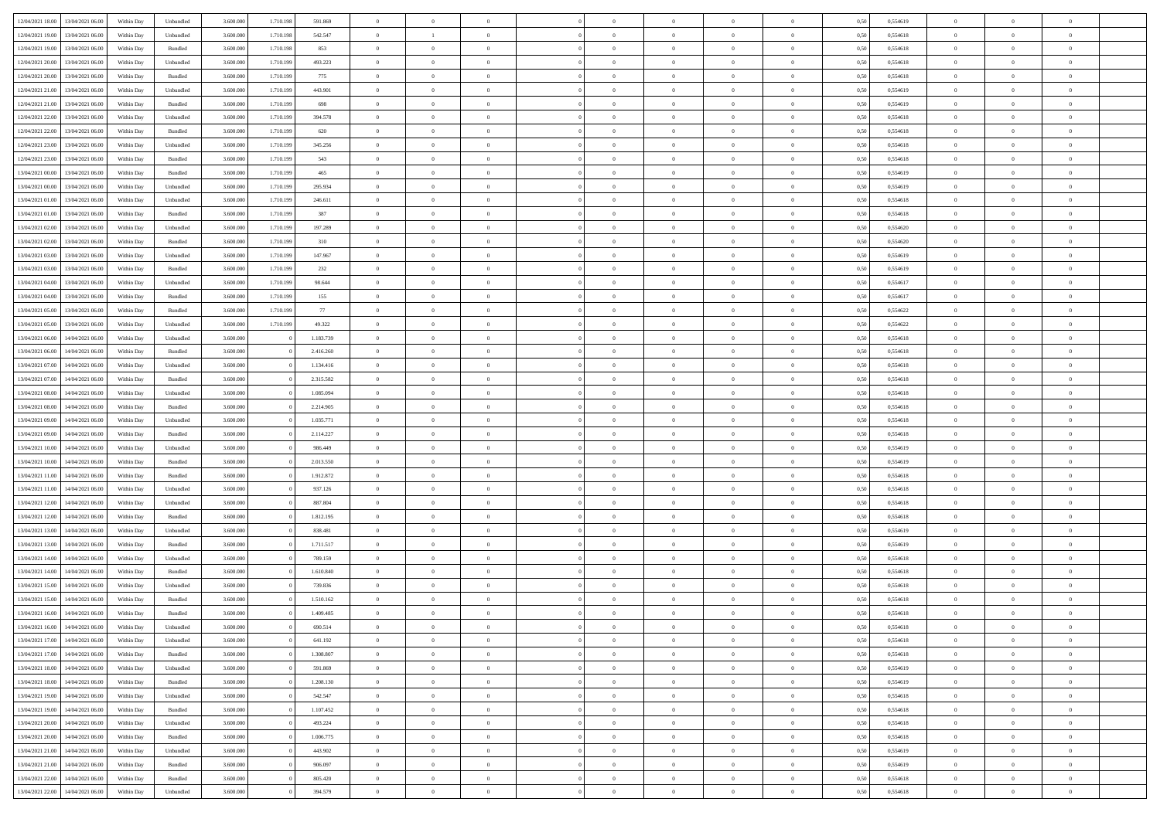| 12/04/2021 18:00                  | 13/04/2021 06:00 | Within Day | Unbundled                   | 3.600.000 | 1.710.198 | 591.869   | $\overline{0}$ | $\theta$       |                | $\overline{0}$ | $\bf{0}$       | $\overline{0}$ | $\theta$       | 0,50 | 0,554619 | $\theta$       | $\theta$       | $\theta$       |  |
|-----------------------------------|------------------|------------|-----------------------------|-----------|-----------|-----------|----------------|----------------|----------------|----------------|----------------|----------------|----------------|------|----------|----------------|----------------|----------------|--|
| 12/04/2021 19:00                  | 13/04/2021 06:00 | Within Day | Unbundled                   | 3.600.000 | 1.710.198 | 542.547   | $\overline{0}$ | <sup>1</sup>   | $\overline{0}$ | $\overline{0}$ | $\,$ 0         | $\bf{0}$       | $\bf{0}$       | 0,50 | 0,554618 | $\,$ 0 $\,$    | $\overline{0}$ | $\overline{0}$ |  |
|                                   |                  |            |                             |           |           |           |                |                |                |                |                |                |                |      |          |                |                |                |  |
| 12/04/2021 19:00                  | 13/04/2021 06:00 | Within Day | Bundled                     | 3.600,000 | 1.710.198 | 853       | $\overline{0}$ | $\overline{0}$ | $\overline{0}$ | $\overline{0}$ | $\bf{0}$       | $\overline{0}$ | $\mathbf{0}$   | 0,50 | 0,554618 | $\bf{0}$       | $\overline{0}$ | $\overline{0}$ |  |
| 12/04/2021 20:00                  | 13/04/2021 06:00 | Within Day | Unbundled                   | 3.600.000 | 1.710.199 | 493.223   | $\overline{0}$ | $\overline{0}$ | $\overline{0}$ | $\overline{0}$ | $\bf{0}$       | $\overline{0}$ | $\overline{0}$ | 0,50 | 0,554618 | $\,$ 0 $\,$    | $\overline{0}$ | $\overline{0}$ |  |
| 12/04/2021 20:00                  | 13/04/2021 06.00 | Within Day | Bundled                     | 3.600.000 | 1.710.199 | 775       | $\overline{0}$ | $\theta$       | $\overline{0}$ |                | $\overline{0}$ | $\overline{0}$ | $\bf{0}$       | 0,50 | 0,554618 | $\,$ 0 $\,$    | $\overline{0}$ | $\overline{0}$ |  |
| 12/04/2021 21:00                  | 13/04/2021 06:00 | Within Day | Unbundled                   | 3.600,000 | 1.710.199 | 443.901   | $\overline{0}$ | $\overline{0}$ | $\overline{0}$ | $\overline{0}$ | $\bf{0}$       | $\overline{0}$ | $\overline{0}$ | 0.50 | 0.554619 | $\,0\,$        | $\theta$       | $\overline{0}$ |  |
| 12/04/2021 21:00                  | 13/04/2021 06:00 | Within Day | Bundled                     | 3.600.000 | 1.710.199 | 698       | $\overline{0}$ | $\overline{0}$ | $\overline{0}$ | $\overline{0}$ | $\,$ 0         | $\overline{0}$ | $\overline{0}$ | 0,50 | 0,554619 | $\,$ 0 $\,$    | $\theta$       | $\overline{0}$ |  |
| 12/04/2021 22:00                  | 13/04/2021 06.00 | Within Day | Unbundled                   | 3.600.000 | 1.710.199 | 394.578   | $\overline{0}$ | $\theta$       | $\overline{0}$ | $\overline{0}$ | $\,$ 0         | $\bf{0}$       | $\bf{0}$       | 0,50 | 0,554618 | $\,$ 0 $\,$    | $\overline{0}$ | $\overline{0}$ |  |
| 12/04/2021 22:00                  | 13/04/2021 06:00 | Within Day | Bundled                     | 3.600,000 | 1.710.199 | 620       | $\overline{0}$ | $\overline{0}$ | $\overline{0}$ | $\overline{0}$ | $\bf{0}$       | $\overline{0}$ | $\bf{0}$       | 0.50 | 0.554618 | $\,0\,$        | $\overline{0}$ | $\overline{0}$ |  |
| 12/04/2021 23:00                  | 13/04/2021 06:00 | Within Day | Unbundled                   | 3.600.000 | 1.710.199 | 345.256   | $\overline{0}$ | $\overline{0}$ | $\overline{0}$ | $\overline{0}$ | $\,$ 0         | $\overline{0}$ | $\bf{0}$       | 0,50 | 0,554618 | $\,$ 0 $\,$    | $\overline{0}$ | $\overline{0}$ |  |
| 12/04/2021 23:00                  | 13/04/2021 06.00 | Within Day | Bundled                     | 3.600.000 | 1.710.199 | 543       | $\overline{0}$ | $\theta$       | $\overline{0}$ | $\overline{0}$ | $\,$ 0         | $\overline{0}$ | $\bf{0}$       | 0,50 | 0,554618 | $\,$ 0 $\,$    | $\overline{0}$ | $\overline{0}$ |  |
|                                   | 13/04/2021 06:00 |            | $\mathbf B$ undled          | 3.600,000 |           | 465       |                | $\overline{0}$ | $\overline{0}$ | $\overline{0}$ |                | $\overline{0}$ |                | 0.50 | 0.554619 | $\bf{0}$       | $\overline{0}$ | $\overline{0}$ |  |
| 13/04/2021 00:00                  |                  | Within Day |                             |           | 1.710.199 |           | $\overline{0}$ |                |                |                | $\bf{0}$       |                | $\mathbf{0}$   |      |          |                |                |                |  |
| 13/04/2021 00:00                  | 13/04/2021 06:00 | Within Day | Unbundled                   | 3.600.000 | 1.710.199 | 295.934   | $\overline{0}$ | $\overline{0}$ | $\overline{0}$ | $\overline{0}$ | $\,$ 0         | $\overline{0}$ | $\overline{0}$ | 0,50 | 0,554619 | $\,$ 0 $\,$    | $\overline{0}$ | $\overline{0}$ |  |
| 13/04/2021 01:00                  | 13/04/2021 06:00 | Within Day | Unbundled                   | 3.600.000 | 1.710.199 | 246.611   | $\overline{0}$ | $\theta$       | $\overline{0}$ | $\overline{0}$ | $\bf{0}$       | $\overline{0}$ | $\bf{0}$       | 0,50 | 0,554618 | $\,$ 0 $\,$    | $\overline{0}$ | $\overline{0}$ |  |
| 13/04/2021 01:00                  | 13/04/2021 06:00 | Within Day | Bundled                     | 3.600,000 | 1.710.199 | 387       | $\overline{0}$ | $\overline{0}$ | $\overline{0}$ | $\overline{0}$ | $\,$ 0         | $\overline{0}$ | $\bf{0}$       | 0.50 | 0.554618 | $\theta$       | $\theta$       | $\overline{0}$ |  |
| 13/04/2021 02:00                  | 13/04/2021 06:00 | Within Day | Unbundled                   | 3.600.000 | 1.710.199 | 197.289   | $\overline{0}$ | $\overline{0}$ | $\overline{0}$ | $\overline{0}$ | $\,$ 0         | $\overline{0}$ | $\bf{0}$       | 0,50 | 0,554620 | $\,$ 0 $\,$    | $\theta$       | $\overline{0}$ |  |
| 13/04/2021 02:00                  | 13/04/2021 06.00 | Within Day | Bundled                     | 3.600.000 | 1.710.199 | 310       | $\overline{0}$ | $\theta$       | $\overline{0}$ |                | $\,$ 0         | $\overline{0}$ | $\bf{0}$       | 0,50 | 0,554620 | $\,$ 0 $\,$    | $\overline{0}$ | $\overline{0}$ |  |
| 13/04/2021 03:00                  | 13/04/2021 06:00 | Within Day | Unbundled                   | 3.600,000 | 1.710.199 | 147.967   | $\overline{0}$ | $\overline{0}$ | $\overline{0}$ | $\overline{0}$ | $\bf{0}$       | $\overline{0}$ | $\bf{0}$       | 0.50 | 0.554619 | $\,0\,$        | $\overline{0}$ | $\overline{0}$ |  |
| 13/04/2021 03:00                  | 13/04/2021 06:00 | Within Day | Bundled                     | 3.600.000 | 1.710.199 | 232       | $\overline{0}$ | $\overline{0}$ | $\overline{0}$ | $\overline{0}$ | $\,$ 0         | $\overline{0}$ | $\bf{0}$       | 0,50 | 0,554619 | $\,$ 0 $\,$    | $\overline{0}$ | $\overline{0}$ |  |
| 13/04/2021 04:00                  | 13/04/2021 06.00 | Within Day | Unbundled                   | 3.600.000 | 1.710.199 | 98.644    | $\bf{0}$       | $\,$ 0 $\,$    | $\overline{0}$ | $\overline{0}$ | $\,$ 0         | $\bf{0}$       | $\bf{0}$       | 0,50 | 0,554617 | $\,$ 0 $\,$    | $\overline{0}$ | $\overline{0}$ |  |
| 13/04/2021 04:00                  | 13/04/2021 06:00 | Within Day | Bundled                     | 3.600,000 | 1.710.199 | 155       | $\overline{0}$ | $\overline{0}$ | $\overline{0}$ | $\overline{0}$ | $\bf{0}$       | $\overline{0}$ | $\mathbf{0}$   | 0.50 | 0.554617 | $\bf{0}$       | $\overline{0}$ | $\overline{0}$ |  |
| 13/04/2021 05:00                  | 13/04/2021 06:00 | Within Day | Bundled                     | 3.600.000 | 1.710.199 | 77        | $\overline{0}$ | $\overline{0}$ | $\overline{0}$ | $\overline{0}$ | $\bf{0}$       | $\overline{0}$ | $\overline{0}$ | 0,50 | 0,554622 | $\,$ 0 $\,$    | $\overline{0}$ | $\overline{0}$ |  |
|                                   |                  |            |                             |           |           |           |                |                |                |                |                |                |                |      |          |                |                |                |  |
| 13/04/2021 05:00                  | 13/04/2021 06:00 | Within Day | Unbundled                   | 3.600.000 | 1.710.199 | 49.322    | $\overline{0}$ | $\theta$       | $\overline{0}$ | $\overline{0}$ | $\,$ 0         | $\overline{0}$ | $\bf{0}$       | 0,50 | 0,554622 | $\,$ 0 $\,$    | $\overline{0}$ | $\overline{0}$ |  |
| 13/04/2021 06:00                  | 14/04/2021 06:00 | Within Day | Unbundled                   | 3.600,000 |           | 1.183.739 | $\overline{0}$ | $\overline{0}$ | $\overline{0}$ | $\overline{0}$ | $\bf{0}$       | $\overline{0}$ | $\bf{0}$       | 0.50 | 0.554618 | $\,0\,$        | $\theta$       | $\overline{0}$ |  |
| 13/04/2021 06:00                  | 14/04/2021 06:00 | Within Day | Bundled                     | 3.600.000 |           | 2.416.260 | $\overline{0}$ | $\theta$       | $\overline{0}$ | $\overline{0}$ | $\,$ 0         | $\overline{0}$ | $\overline{0}$ | 0,50 | 0,554618 | $\,0\,$        | $\theta$       | $\overline{0}$ |  |
| 13/04/2021 07:00                  | 14/04/2021 06.00 | Within Day | Unbundled                   | 3.600.000 |           | 1.134.416 | $\overline{0}$ | $\theta$       | $\overline{0}$ |                | $\bf{0}$       | $\overline{0}$ | $\bf{0}$       | 0,50 | 0,554618 | $\,$ 0 $\,$    | $\overline{0}$ | $\overline{0}$ |  |
| 13/04/2021 07:00                  | 14/04/2021 06:00 | Within Day | Bundled                     | 3.600,000 |           | 2.315.582 | $\overline{0}$ | $\overline{0}$ | $\overline{0}$ | $\overline{0}$ | $\bf{0}$       | $\overline{0}$ | $\bf{0}$       | 0.50 | 0.554618 | $\,0\,$        | $\overline{0}$ | $\overline{0}$ |  |
| 13/04/2021 08:00                  | 14/04/2021 06:00 | Within Day | Unbundled                   | 3.600.000 |           | 1.085.094 | $\overline{0}$ | $\overline{0}$ | $\overline{0}$ | $\overline{0}$ | $\,$ 0         | $\overline{0}$ | $\bf{0}$       | 0,50 | 0,554618 | $\,$ 0 $\,$    | $\overline{0}$ | $\overline{0}$ |  |
| 13/04/2021 08:00                  | 14/04/2021 06.00 | Within Day | Bundled                     | 3.600.000 |           | 2.214.905 | $\overline{0}$ | $\overline{0}$ | $\overline{0}$ | $\overline{0}$ | $\,$ 0         | $\overline{0}$ | $\bf{0}$       | 0,50 | 0,554618 | $\,$ 0 $\,$    | $\overline{0}$ | $\overline{0}$ |  |
| 13/04/2021 09:00                  | 14/04/2021 06:00 | Within Day | Unbundled                   | 3.600,000 |           | 1.035.771 | $\overline{0}$ | $\overline{0}$ | $\overline{0}$ | $\overline{0}$ | $\bf{0}$       | $\overline{0}$ | $\mathbf{0}$   | 0.50 | 0.554618 | $\bf{0}$       | $\overline{0}$ | $\overline{0}$ |  |
| 13/04/2021 09:00                  | 14/04/2021 06:00 | Within Dav | Bundled                     | 3.600.000 |           | 2.114.227 | $\overline{0}$ | $\overline{0}$ | $\overline{0}$ | $\overline{0}$ | $\mathbf{0}$   | $\overline{0}$ | $\overline{0}$ | 0.50 | 0,554618 | $\theta$       | $\overline{0}$ | $\overline{0}$ |  |
| 13/04/2021 10:00                  | 14/04/2021 06.00 | Within Day | Unbundled                   | 3.600.000 |           | 986.449   | $\overline{0}$ | $\theta$       | $\overline{0}$ | $\overline{0}$ | $\,$ 0         | $\overline{0}$ | $\bf{0}$       | 0,50 | 0,554619 | $\,$ 0 $\,$    | $\overline{0}$ | $\overline{0}$ |  |
|                                   | 14/04/2021 06:00 |            |                             | 3.600,000 |           | 2.013.550 |                | $\overline{0}$ |                |                |                | $\overline{0}$ |                |      |          |                | $\theta$       |                |  |
| 13/04/2021 10:00                  |                  | Within Day | Bundled                     |           |           |           | $\overline{0}$ |                | $\overline{0}$ | $\overline{0}$ | $\,$ 0         |                | $\bf{0}$       | 0.50 | 0.554619 | $\,0\,$        |                | $\overline{0}$ |  |
| 13/04/2021 11:00                  | 14/04/2021 06:00 | Within Dav | Bundled                     | 3.600.000 |           | 1.912.872 | $\overline{0}$ | $\theta$       | $\Omega$       | $\Omega$       | $\mathbf{0}$   | $\overline{0}$ | $\overline{0}$ | 0.50 | 0,554618 | $\theta$       | $\overline{0}$ | $\overline{0}$ |  |
| 13/04/2021 11:00                  | 14/04/2021 06.00 | Within Day | Unbundled                   | 3.600.000 |           | 937.126   | $\overline{0}$ | $\theta$       | $\overline{0}$ | $\overline{0}$ | $\,$ 0         | $\overline{0}$ | $\bf{0}$       | 0,50 | 0,554618 | $\,$ 0 $\,$    | $\overline{0}$ | $\overline{0}$ |  |
| 13/04/2021 12:00                  | 14/04/2021 06:00 | Within Day | Unbundled                   | 3.600,000 |           | 887.804   | $\overline{0}$ | $\overline{0}$ | $\overline{0}$ | $\overline{0}$ | $\bf{0}$       | $\overline{0}$ | $\bf{0}$       | 0.50 | 0.554618 | $\,0\,$        | $\overline{0}$ | $\overline{0}$ |  |
| 13/04/2021 12:00                  | 14/04/2021 06:00 | Within Dav | Bundled                     | 3.600.000 |           | 1.812.195 | $\overline{0}$ | $\overline{0}$ | $\overline{0}$ | $\overline{0}$ | $\overline{0}$ | $\overline{0}$ | $\overline{0}$ | 0.50 | 0,554618 | $\theta$       | $\overline{0}$ | $\overline{0}$ |  |
| 13/04/2021 13:00                  | 14/04/2021 06.00 | Within Day | Unbundled                   | 3.600.000 |           | 838.481   | $\overline{0}$ | $\overline{0}$ | $\overline{0}$ | $\overline{0}$ | $\bf{0}$       | $\overline{0}$ | $\bf{0}$       | 0,50 | 0,554619 | $\,$ 0 $\,$    | $\overline{0}$ | $\overline{0}$ |  |
| 13/04/2021 13:00                  | 14/04/2021 06:00 | Within Day | Bundled                     | 3.600,000 |           | 1.711.517 | $\overline{0}$ | $\overline{0}$ | $\overline{0}$ | $\overline{0}$ | $\bf{0}$       | $\overline{0}$ | $\mathbf{0}$   | 0.50 | 0.554619 | $\,$ 0 $\,$    | $\overline{0}$ | $\overline{0}$ |  |
| 13/04/2021 14:00                  | 14/04/2021 06:00 | Within Dav | Unbundled                   | 3.600.000 |           | 789.159   | $\overline{0}$ | $\overline{0}$ | $\Omega$       | $\overline{0}$ | $\mathbf{0}$   | $\overline{0}$ | $\overline{0}$ | 0.50 | 0.554618 | $\theta$       | $\overline{0}$ | $\overline{0}$ |  |
| 13/04/2021 14:00                  | 14/04/2021 06.00 | Within Day | Bundled                     | 3.600.000 |           | 1.610.840 | $\overline{0}$ | $\theta$       | $\overline{0}$ | $\overline{0}$ | $\,$ 0         | $\overline{0}$ | $\bf{0}$       | 0,50 | 0,554618 | $\,$ 0 $\,$    | $\overline{0}$ | $\overline{0}$ |  |
| 13/04/2021 15:00                  | 14/04/2021 06:00 | Within Day | Unbundled                   | 3.600,000 |           | 739.836   | $\overline{0}$ | $\theta$       | $\overline{0}$ | $\overline{0}$ | $\bf{0}$       | $\overline{0}$ | $\overline{0}$ | 0.50 | 0.554618 | $\,0\,$        | $\theta$       | $\overline{0}$ |  |
| 13/04/2021 15:00                  | 14/04/2021 06:00 | Within Dav | Bundled                     | 3.600.000 |           | 1.510.162 | $\overline{0}$ | $\Omega$       | $\Omega$       | $\Omega$       | $\bf{0}$       | $\overline{0}$ | $\bf{0}$       | 0.50 | 0,554618 | $\theta$       | $\theta$       | $\overline{0}$ |  |
|                                   |                  |            |                             |           |           |           |                | $\,$ 0 $\,$    | $\overline{0}$ |                | $\,$ 0         |                |                |      |          | $\,$ 0 $\,$    | $\overline{0}$ | $\overline{0}$ |  |
| 13/04/2021 16:00                  | 14/04/2021 06:00 | Within Day | Bundled                     | 3.600.000 |           | 1.409.485 | $\overline{0}$ |                |                | $\bf{0}$       |                | $\bf{0}$       | $\bf{0}$       | 0,50 | 0,554618 |                |                |                |  |
| 13/04/2021 16:00                  | 14/04/2021 06:00 | Within Day | $\ensuremath{\mathsf{Unb}}$ | 3.600.000 |           | 690.514   | $\bf{0}$       | $\theta$       |                | $\Omega$       |                |                |                | 0,50 | 0,554618 | $\bf{0}$       | $\theta$       |                |  |
| 13/04/2021 17:00 14/04/2021 06:00 |                  | Within Day | Unbundled                   | 3.600.000 |           | 641.192   | $\overline{0}$ | $\overline{0}$ | $\overline{0}$ | $\overline{0}$ | $\overline{0}$ | $\overline{0}$ | $\mathbf{0}$   | 0,50 | 0,554618 | $\theta$       | $\overline{0}$ | $\overline{0}$ |  |
| 13/04/2021 17:00                  | 14/04/2021 06:00 | Within Day | Bundled                     | 3.600.000 |           | 1.308.807 | $\overline{0}$ | $\overline{0}$ | $\overline{0}$ | $\bf{0}$       | $\overline{0}$ | $\overline{0}$ | $\bf{0}$       | 0,50 | 0,554618 | $\overline{0}$ | $\overline{0}$ | $\bf{0}$       |  |
| 13/04/2021 18:00                  | 14/04/2021 06:00 | Within Day | Unbundled                   | 3.600.000 |           | 591.869   | $\overline{0}$ | $\overline{0}$ | $\overline{0}$ | $\overline{0}$ | $\overline{0}$ | $\overline{0}$ | $\mathbf{0}$   | 0.50 | 0.554619 | $\overline{0}$ | $\bf{0}$       | $\overline{0}$ |  |
| 13/04/2021 18:00                  | 14/04/2021 06:00 | Within Day | Bundled                     | 3.600.000 |           | 1.208.130 | $\overline{0}$ | $\overline{0}$ | $\overline{0}$ | $\overline{0}$ | $\overline{0}$ | $\overline{0}$ | $\mathbf{0}$   | 0,50 | 0,554619 | $\overline{0}$ | $\theta$       | $\overline{0}$ |  |
| 13/04/2021 19:00                  | 14/04/2021 06:00 | Within Day | Unbundled                   | 3.600.000 |           | 542.547   | $\overline{0}$ | $\overline{0}$ | $\overline{0}$ | $\overline{0}$ | $\bf{0}$       | $\bf{0}$       | $\bf{0}$       | 0,50 | 0,554618 | $\bf{0}$       | $\overline{0}$ | $\overline{0}$ |  |
| 13/04/2021 19:00                  | 14/04/2021 06:00 | Within Day | Bundled                     | 3.600.000 |           | 1.107.452 | $\overline{0}$ | $\overline{0}$ | $\overline{0}$ | $\overline{0}$ | $\bf{0}$       | $\overline{0}$ | $\mathbf{0}$   | 0.50 | 0.554618 | $\,$ 0 $\,$    | $\overline{0}$ | $\overline{0}$ |  |
| 13/04/2021 20:00                  | 14/04/2021 06:00 | Within Day | Unbundled                   | 3.600.000 |           | 493.224   | $\overline{0}$ | $\overline{0}$ | $\overline{0}$ | $\overline{0}$ | $\overline{0}$ | $\overline{0}$ | $\overline{0}$ | 0,50 | 0,554618 | $\overline{0}$ | $\theta$       | $\overline{0}$ |  |
| 13/04/2021 20:00                  | 14/04/2021 06:00 | Within Day | Bundled                     | 3.600.000 |           | 1.006.775 | $\overline{0}$ | $\,$ 0         | $\overline{0}$ | $\bf{0}$       | $\overline{0}$ | $\overline{0}$ | $\bf{0}$       | 0,50 | 0,554618 | $\,$ 0 $\,$    | $\overline{0}$ | $\overline{0}$ |  |
| 13/04/2021 21:00                  | 14/04/2021 06:00 |            | Unbundled                   | 3.600,000 |           | 443.902   | $\overline{0}$ | $\overline{0}$ |                | $\overline{0}$ | $\bf{0}$       | $\overline{0}$ |                | 0.50 | 0.554619 | $\mathbf{0}$   | $\bf{0}$       | $\bf{0}$       |  |
|                                   |                  | Within Day |                             |           |           |           |                |                | $\overline{0}$ |                |                |                | $\mathbf{0}$   |      |          |                |                |                |  |
| 13/04/2021 21:00                  | 14/04/2021 06:00 | Within Day | Bundled                     | 3.600.000 |           | 906.097   | $\overline{0}$ | $\overline{0}$ | $\overline{0}$ | $\overline{0}$ | $\overline{0}$ | $\overline{0}$ | $\overline{0}$ | 0,50 | 0,554619 | $\overline{0}$ | $\overline{0}$ | $\overline{0}$ |  |
| 13/04/2021 22:00                  | 14/04/2021 06:00 | Within Day | Bundled                     | 3.600.000 |           | 805.420   | $\overline{0}$ | $\bf{0}$       | $\overline{0}$ | $\bf{0}$       | $\bf{0}$       | $\bf{0}$       | $\bf{0}$       | 0,50 | 0,554618 | $\overline{0}$ | $\overline{0}$ | $\bf{0}$       |  |
| 13/04/2021 22:00 14/04/2021 06:00 |                  | Within Day | Unbundled                   | 3.600.000 |           | 394.579   | $\,$ 0 $\,$    | $\,$ 0 $\,$    | $\overline{0}$ | $\overline{0}$ | $\,$ 0 $\,$    | $\,$ 0 $\,$    | $\,$ 0 $\,$    | 0,50 | 0,554618 | $\mathbf{0}^-$ | $\,$ 0 $\,$    | $\,$ 0 $\,$    |  |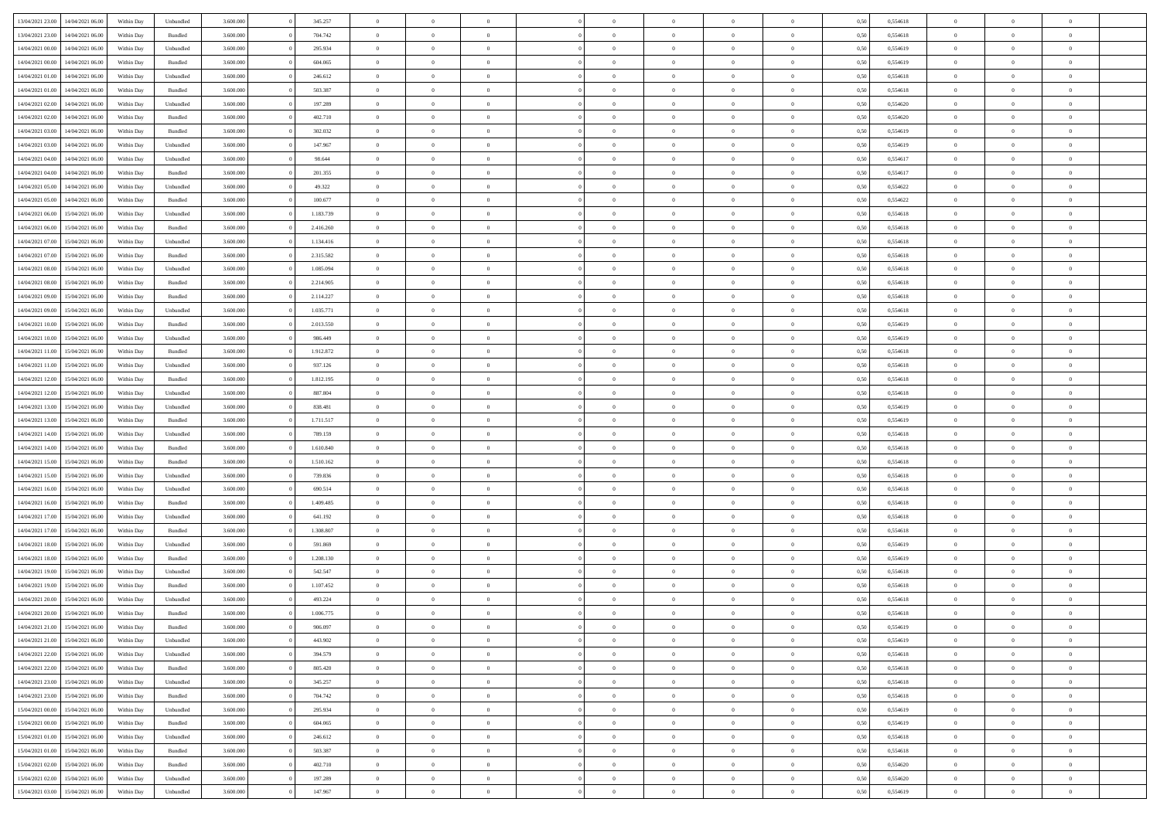| 13/04/2021 23:00                  | 14/04/2021 06:00 | Within Day | Unbundled          | 3.600.000 | 345.257   | $\overline{0}$ | $\Omega$       |                | $\Omega$       | $\Omega$       | $\Omega$       | $\theta$       | 0,50 | 0,554618 | $\theta$       | $\theta$       | $\theta$       |  |
|-----------------------------------|------------------|------------|--------------------|-----------|-----------|----------------|----------------|----------------|----------------|----------------|----------------|----------------|------|----------|----------------|----------------|----------------|--|
|                                   |                  |            |                    |           |           |                |                |                |                |                |                |                |      |          |                |                |                |  |
| 13/04/2021 23:00                  | 14/04/2021 06:00 | Within Day | Bundled            | 3.600.000 | 704.742   | $\overline{0}$ | $\theta$       | $\overline{0}$ | $\overline{0}$ | $\bf{0}$       | $\overline{0}$ | $\bf{0}$       | 0,50 | 0,554618 | $\theta$       | $\overline{0}$ | $\overline{0}$ |  |
| 14/04/2021 00:00                  | 14/04/2021 06:00 | Within Day | Unbundled          | 3.600.000 | 295.934   | $\overline{0}$ | $\overline{0}$ | $\overline{0}$ | $\bf{0}$       | $\bf{0}$       | $\bf{0}$       | $\bf{0}$       | 0,50 | 0,554619 | $\overline{0}$ | $\overline{0}$ | $\overline{0}$ |  |
| 14/04/2021 00:00                  | 14/04/2021 06:00 | Within Dav | Bundled            | 3.600,000 | 604.065   | $\overline{0}$ | $\overline{0}$ | $\overline{0}$ | $\overline{0}$ | $\bf{0}$       | $\overline{0}$ | $\overline{0}$ | 0.50 | 0.554619 | $\theta$       | $\theta$       | $\overline{0}$ |  |
|                                   |                  |            |                    |           |           | $\overline{0}$ | $\theta$       | $\overline{0}$ |                | $\bf{0}$       | $\overline{0}$ |                |      |          | $\theta$       | $\overline{0}$ | $\overline{0}$ |  |
| 14/04/2021 01:00                  | 14/04/2021 06:00 | Within Day | Unbundled          | 3.600.000 | 246.612   |                |                |                | $\overline{0}$ |                |                | $\bf{0}$       | 0,50 | 0,554618 |                |                |                |  |
| 14/04/2021 01:00                  | 14/04/2021 06:00 | Within Day | Bundled            | 3.600.000 | 503.387   | $\overline{0}$ | $\overline{0}$ | $\overline{0}$ | $\overline{0}$ | $\overline{0}$ | $\overline{0}$ | $\mathbf{0}$   | 0,50 | 0,554618 | $\overline{0}$ | $\overline{0}$ | $\bf{0}$       |  |
| 14/04/2021 02:00                  | 14/04/2021 06:00 | Within Dav | Unbundled          | 3.600.000 | 197.289   | $\overline{0}$ | $\overline{0}$ | $\overline{0}$ | $\overline{0}$ | $\overline{0}$ | $\overline{0}$ | $\overline{0}$ | 0.50 | 0,554620 | $\theta$       | $\overline{0}$ | $\overline{0}$ |  |
| 14/04/2021 02.00                  | 14/04/2021 06:00 | Within Day | Bundled            | 3.600.000 | 402.710   | $\overline{0}$ | $\theta$       | $\overline{0}$ | $\overline{0}$ | $\bf{0}$       | $\overline{0}$ | $\bf{0}$       | 0,50 | 0,554620 | $\theta$       | $\theta$       | $\overline{0}$ |  |
| 14/04/2021 03:00                  | 14/04/2021 06:00 | Within Day | Bundled            | 3.600.000 | 302.032   | $\overline{0}$ | $\overline{0}$ | $\overline{0}$ | $\overline{0}$ | $\bf{0}$       | $\overline{0}$ | $\bf{0}$       | 0,50 | 0,554619 | $\,0\,$        | $\overline{0}$ | $\overline{0}$ |  |
|                                   |                  |            |                    |           |           |                | $\overline{0}$ |                |                | $\overline{0}$ |                |                |      |          | $\theta$       | $\overline{0}$ | $\overline{0}$ |  |
| 14/04/2021 03:00                  | 14/04/2021 06:00 | Within Dav | Unbundled          | 3.600.000 | 147.967   | $\overline{0}$ |                | $\overline{0}$ | $\overline{0}$ |                | $\overline{0}$ | $\overline{0}$ | 0.50 | 0.554619 |                |                |                |  |
| 14/04/2021 04:00                  | 14/04/2021 06:00 | Within Day | Unbundled          | 3.600.000 | 98.644    | $\overline{0}$ | $\theta$       | $\overline{0}$ | $\overline{0}$ | $\bf{0}$       | $\overline{0}$ | $\bf{0}$       | 0,50 | 0,554617 | $\,$ 0 $\,$    | $\overline{0}$ | $\overline{0}$ |  |
| 14/04/2021 04:00                  | 14/04/2021 06:00 | Within Day | Bundled            | 3.600.000 | 201.355   | $\overline{0}$ | $\overline{0}$ | $\overline{0}$ | $\overline{0}$ | $\bf{0}$       | $\overline{0}$ | $\mathbf{0}$   | 0,50 | 0,554617 | $\overline{0}$ | $\overline{0}$ | $\overline{0}$ |  |
| 14/04/2021 05:00                  | 14/04/2021 06:00 | Within Day | Unbundled          | 3.600.000 | 49.322    | $\overline{0}$ | $\overline{0}$ | $\overline{0}$ | $\overline{0}$ | $\bf{0}$       | $\overline{0}$ | $\overline{0}$ | 0.50 | 0.554622 | $\theta$       | $\theta$       | $\overline{0}$ |  |
| 14/04/2021 05:00                  | 14/04/2021 06:00 | Within Day | Bundled            | 3.600.000 | 100.677   | $\overline{0}$ | $\theta$       | $\overline{0}$ | $\overline{0}$ | $\bf{0}$       | $\overline{0}$ | $\bf{0}$       | 0,50 | 0,554622 | $\theta$       | $\overline{0}$ | $\overline{0}$ |  |
|                                   |                  |            |                    |           |           |                |                |                |                |                |                |                |      |          |                |                |                |  |
| 14/04/2021 06:00                  | 15/04/2021 06:00 | Within Day | Unbundled          | 3.600.000 | 1.183.739 | $\overline{0}$ | $\overline{0}$ | $\overline{0}$ | $\overline{0}$ | $\overline{0}$ | $\overline{0}$ | $\mathbf{0}$   | 0,50 | 0,554618 | $\overline{0}$ | $\overline{0}$ | $\bf{0}$       |  |
| 14/04/2021 06:00                  | 15/04/2021 06:00 | Within Dav | Bundled            | 3.600.000 | 2.416.260 | $\overline{0}$ | $\overline{0}$ | $\overline{0}$ | $\overline{0}$ | $\overline{0}$ | $\overline{0}$ | $\overline{0}$ | 0.50 | 0.554618 | $\theta$       | $\overline{0}$ | $\overline{0}$ |  |
| 14/04/2021 07:00                  | 15/04/2021 06:00 | Within Day | Unbundled          | 3.600.000 | 1.134.416 | $\overline{0}$ | $\theta$       | $\overline{0}$ | $\overline{0}$ | $\bf{0}$       | $\overline{0}$ | $\bf{0}$       | 0,50 | 0,554618 | $\theta$       | $\theta$       | $\overline{0}$ |  |
| 14/04/2021 07:00                  | 15/04/2021 06:00 | Within Day | Bundled            | 3.600.000 | 2.315.582 | $\overline{0}$ | $\overline{0}$ | $\overline{0}$ | $\overline{0}$ | $\bf{0}$       | $\overline{0}$ | $\mathbf{0}$   | 0,50 | 0,554618 | $\,0\,$        | $\overline{0}$ | $\overline{0}$ |  |
| 14/04/2021 08:00                  | 15/04/2021 06:00 | Within Day | Unbundled          | 3.600.000 | 1.085.094 | $\overline{0}$ | $\overline{0}$ | $\overline{0}$ | $\overline{0}$ | $\overline{0}$ | $\overline{0}$ | $\overline{0}$ | 0.50 | 0,554618 | $\theta$       | $\overline{0}$ | $\overline{0}$ |  |
| 14/04/2021 08:00                  | 15/04/2021 06:00 | Within Day | Bundled            | 3.600.000 | 2.214.905 | $\overline{0}$ | $\theta$       | $\overline{0}$ | $\overline{0}$ | $\bf{0}$       | $\overline{0}$ | $\bf{0}$       | 0,50 | 0,554618 | $\,$ 0 $\,$    | $\theta$       | $\overline{0}$ |  |
|                                   |                  |            |                    |           |           |                |                |                |                |                |                |                |      |          |                |                |                |  |
| 14/04/2021 09:00                  | 15/04/2021 06:00 | Within Day | Bundled            | 3.600.000 | 2.114.227 | $\overline{0}$ | $\overline{0}$ | $\overline{0}$ | $\overline{0}$ | $\bf{0}$       | $\overline{0}$ | $\bf{0}$       | 0,50 | 0,554618 | $\bf{0}$       | $\overline{0}$ | $\overline{0}$ |  |
| 14/04/2021 09:00                  | 15/04/2021 06:00 | Within Day | Unbundled          | 3.600,000 | 1.035.771 | $\overline{0}$ | $\overline{0}$ | $\overline{0}$ | $\overline{0}$ | $\bf{0}$       | $\overline{0}$ | $\overline{0}$ | 0.50 | 0.554618 | $\theta$       | $\theta$       | $\overline{0}$ |  |
| 14/04/2021 10:00                  | 15/04/2021 06:00 | Within Day | Bundled            | 3.600.000 | 2.013.550 | $\overline{0}$ | $\theta$       | $\overline{0}$ | $\overline{0}$ | $\bf{0}$       | $\overline{0}$ | $\bf{0}$       | 0,50 | 0,554619 | $\,$ 0 $\,$    | $\overline{0}$ | $\overline{0}$ |  |
| 14/04/2021 10:00                  | 15/04/2021 06:00 | Within Day | Unbundled          | 3.600.000 | 986.449   | $\overline{0}$ | $\bf{0}$       | $\overline{0}$ | $\bf{0}$       | $\overline{0}$ | $\overline{0}$ | $\mathbf{0}$   | 0,50 | 0,554619 | $\overline{0}$ | $\overline{0}$ | $\bf{0}$       |  |
| 14/04/2021 11:00                  | 15/04/2021 06:00 | Within Dav | Bundled            | 3.600.000 | 1.912.872 | $\overline{0}$ | $\overline{0}$ | $\overline{0}$ | $\overline{0}$ | $\overline{0}$ | $\overline{0}$ | $\overline{0}$ | 0.50 | 0.554618 | $\theta$       | $\overline{0}$ | $\overline{0}$ |  |
| 14/04/2021 11:00                  | 15/04/2021 06:00 | Within Day | Unbundled          | 3.600.000 | 937.126   | $\overline{0}$ | $\theta$       | $\overline{0}$ | $\overline{0}$ | $\bf{0}$       | $\overline{0}$ | $\bf{0}$       | 0,50 | 0,554618 | $\theta$       | $\theta$       | $\overline{0}$ |  |
|                                   | 15/04/2021 06:00 | Within Day | Bundled            | 3.600.000 | 1.812.195 | $\overline{0}$ | $\overline{0}$ | $\overline{0}$ | $\bf{0}$       | $\bf{0}$       | $\bf{0}$       | $\bf{0}$       | 0,50 | 0,554618 | $\,0\,$        | $\overline{0}$ | $\overline{0}$ |  |
| 14/04/2021 12:00                  |                  |            |                    |           |           |                |                |                |                |                |                |                |      |          |                |                |                |  |
| 14/04/2021 12:00                  | 15/04/2021 06:00 | Within Day | Unbundled          | 3.600.000 | 887.804   | $\overline{0}$ | $\overline{0}$ | $\overline{0}$ | $\overline{0}$ | $\overline{0}$ | $\overline{0}$ | $\overline{0}$ | 0.50 | 0.554618 | $\theta$       | $\overline{0}$ | $\overline{0}$ |  |
| 14/04/2021 13:00                  | 15/04/2021 06:00 | Within Day | Unbundled          | 3.600.000 | 838.481   | $\overline{0}$ | $\theta$       | $\overline{0}$ | $\overline{0}$ | $\bf{0}$       | $\overline{0}$ | $\bf{0}$       | 0,50 | 0,554619 | $\,$ 0 $\,$    | $\overline{0}$ | $\overline{0}$ |  |
| 14/04/2021 13:00                  | 15/04/2021 06:00 | Within Day | Bundled            | 3.600.000 | 1.711.517 | $\overline{0}$ | $\overline{0}$ | $\overline{0}$ | $\bf{0}$       | $\bf{0}$       | $\bf{0}$       | $\bf{0}$       | 0,50 | 0,554619 | $\overline{0}$ | $\overline{0}$ | $\overline{0}$ |  |
| 14/04/2021 14:00                  | 15/04/2021 06:00 | Within Day | Unbundled          | 3.600.000 | 789.159   | $\overline{0}$ | $\Omega$       | $\overline{0}$ | $\Omega$       | $\Omega$       | $\overline{0}$ | $\overline{0}$ | 0,50 | 0,554618 | $\,0\,$        | $\theta$       | $\theta$       |  |
| 14/04/2021 14:00                  | 15/04/2021 06:00 | Within Day | Bundled            | 3.600.000 | 1.610.840 | $\overline{0}$ | $\theta$       | $\overline{0}$ | $\overline{0}$ | $\bf{0}$       | $\overline{0}$ | $\bf{0}$       | 0,50 | 0,554618 | $\theta$       | $\theta$       | $\overline{0}$ |  |
| 14/04/2021 15:00                  | 15/04/2021 06:00 | Within Day | Bundled            | 3.600.000 | 1.510.162 | $\overline{0}$ | $\overline{0}$ | $\overline{0}$ | $\bf{0}$       | $\bf{0}$       | $\overline{0}$ | $\mathbf{0}$   | 0,50 | 0,554618 | $\overline{0}$ | $\overline{0}$ | $\bf{0}$       |  |
|                                   |                  |            |                    |           |           |                |                |                |                |                |                |                |      |          |                |                |                |  |
| 14/04/2021 15:00                  | 15/04/2021 06:00 | Within Day | Unbundled          | 3.600,000 | 739.836   | $\overline{0}$ | $\Omega$       | $\Omega$       | $\Omega$       | $\bf{0}$       | $\overline{0}$ | $\overline{0}$ | 0.50 | 0.554618 | $\theta$       | $\theta$       | $\theta$       |  |
| 14/04/2021 16:00                  | 15/04/2021 06:00 | Within Day | Unbundled          | 3.600.000 | 690.514   | $\overline{0}$ | $\theta$       | $\overline{0}$ | $\overline{0}$ | $\bf{0}$       | $\overline{0}$ | $\bf{0}$       | 0,50 | 0,554618 | $\,$ 0 $\,$    | $\theta$       | $\overline{0}$ |  |
| 14/04/2021 16:00                  | 15/04/2021 06:00 | Within Day | Bundled            | 3.600.000 | 1.409.485 | $\overline{0}$ | $\overline{0}$ | $\overline{0}$ | $\bf{0}$       | $\bf{0}$       | $\bf{0}$       | $\bf{0}$       | 0,50 | 0,554618 | $\,0\,$        | $\overline{0}$ | $\overline{0}$ |  |
| 14/04/2021 17:00                  | 15/04/2021 06:00 | Within Day | Unbundled          | 3.600,000 | 641.192   | $\overline{0}$ | $\Omega$       | $\overline{0}$ | $\Omega$       | $\theta$       | $\overline{0}$ | $\overline{0}$ | 0.50 | 0.554618 | $\,0\,$        | $\theta$       | $\theta$       |  |
| 14/04/2021 17:00                  | 15/04/2021 06:00 | Within Day | Bundled            | 3.600.000 | 1.308.807 | $\overline{0}$ | $\theta$       | $\overline{0}$ | $\overline{0}$ | $\,$ 0         | $\overline{0}$ | $\bf{0}$       | 0,50 | 0,554618 | $\,$ 0 $\,$    | $\overline{0}$ | $\overline{0}$ |  |
| 14/04/2021 18:00                  | 15/04/2021 06:00 | Within Day | Unbundled          | 3.600.000 | 591.869   | $\overline{0}$ | $\overline{0}$ | $\overline{0}$ | $\bf{0}$       | $\bf{0}$       | $\bf{0}$       | $\bf{0}$       | 0,50 | 0,554619 | $\bf{0}$       | $\overline{0}$ | $\overline{0}$ |  |
|                                   |                  |            |                    |           |           |                |                |                |                |                |                |                |      |          |                |                |                |  |
| 14/04/2021 18:00                  | 15/04/2021 06:00 | Within Day | Bundled            | 3.600.000 | 1.208.130 | $\overline{0}$ | $\Omega$       | $\overline{0}$ | $\Omega$       | $\overline{0}$ | $\overline{0}$ | $\overline{0}$ | 0,50 | 0,554619 | $\,0\,$        | $\theta$       | $\theta$       |  |
| 14/04/2021 19:00                  | 15/04/2021 06:00 | Within Day | Unbundled          | 3.600.000 | 542.547   | $\overline{0}$ | $\theta$       | $\overline{0}$ | $\overline{0}$ | $\,$ 0         | $\overline{0}$ | $\bf{0}$       | 0,50 | 0,554618 | $\,$ 0 $\,$    | $\overline{0}$ | $\overline{0}$ |  |
| 14/04/2021 19:00                  | 15/04/2021 06:00 | Within Day | Bundled            | 3.600.000 | 1.107.452 | $\overline{0}$ | $\overline{0}$ | $\overline{0}$ | $\bf{0}$       | $\bf{0}$       | $\bf{0}$       | $\mathbf{0}$   | 0,50 | 0,554618 | $\bf{0}$       | $\overline{0}$ | $\bf{0}$       |  |
| 14/04/2021 20:00                  | 15/04/2021 06:00 | Within Day | Unbundled          | 3.600,000 | 493.224   | $\overline{0}$ | $\Omega$       | $\Omega$       | $\Omega$       | $\Omega$       | $\Omega$       | $\overline{0}$ | 0.50 | 0.554618 | $\theta$       | $\theta$       | $\theta$       |  |
| 14/04/2021 20:00                  | 15/04/2021 06:00 | Within Day | Bundled            | 3.600.000 | 1.006.775 | $\overline{0}$ | $\overline{0}$ | $\overline{0}$ | $\bf{0}$       | $\,$ 0         | $\bf{0}$       | $\bf{0}$       | 0,50 | 0,554618 | $\,0\,$        | $\overline{0}$ | $\overline{0}$ |  |
| 14/04/2021 21:00                  | 15/04/2021 06:00 | Within Day | $\mathbf B$ undled | 3.600.000 | 906.097   | $\bf{0}$       | $\bf{0}$       |                |                |                |                |                | 0,50 | 0,554619 | $\bf{0}$       | $\overline{0}$ |                |  |
|                                   |                  |            |                    |           |           |                |                |                |                |                |                |                |      |          |                |                |                |  |
| 14/04/2021 21:00                  | 15/04/2021 06:00 | Within Day | Unbundled          | 3.600.000 | 443.902   | $\overline{0}$ | $\overline{0}$ | $\overline{0}$ | $\Omega$       | $\overline{0}$ | $\overline{0}$ | $\overline{0}$ | 0,50 | 0.554619 | $\theta$       | $\theta$       | $\Omega$       |  |
| 14/04/2021 22.00                  | 15/04/2021 06:00 | Within Day | Unbundled          | 3.600.000 | 394.579   | $\overline{0}$ | $\bf{0}$       | $\overline{0}$ | $\bf{0}$       | $\,$ 0 $\,$    | $\overline{0}$ | $\,$ 0 $\,$    | 0,50 | 0,554618 | $\,$ 0 $\,$    | $\,$ 0 $\,$    | $\,$ 0         |  |
| 14/04/2021 22.00                  | 15/04/2021 06:00 | Within Day | Bundled            | 3.600.000 | 805.420   | $\overline{0}$ | $\overline{0}$ | $\overline{0}$ | $\overline{0}$ | $\overline{0}$ | $\overline{0}$ | $\mathbf{0}$   | 0,50 | 0,554618 | $\overline{0}$ | $\bf{0}$       | $\overline{0}$ |  |
| 14/04/2021 23:00                  | 15/04/2021 06:00 | Within Day | Unbundled          | 3.600.000 | 345.257   | $\overline{0}$ | $\overline{0}$ | $\overline{0}$ | $\Omega$       | $\overline{0}$ | $\overline{0}$ | $\overline{0}$ | 0,50 | 0,554618 | $\overline{0}$ | $\theta$       | $\overline{0}$ |  |
| 14/04/2021 23:00                  | 15/04/2021 06:00 | Within Day | Bundled            | 3.600.000 | 704.742   | $\overline{0}$ | $\,$ 0         | $\overline{0}$ | $\bf{0}$       | $\,$ 0 $\,$    | $\overline{0}$ | $\mathbf{0}$   | 0,50 | 0,554618 | $\,$ 0 $\,$    | $\overline{0}$ | $\,$ 0         |  |
| 15/04/2021 00:00                  | 15/04/2021 06:00 | Within Day | Unbundled          | 3.600.000 | 295.934   | $\overline{0}$ | $\overline{0}$ | $\overline{0}$ | $\overline{0}$ | $\overline{0}$ | $\overline{0}$ | $\mathbf{0}$   | 0,50 | 0,554619 | $\overline{0}$ | $\overline{0}$ | $\overline{0}$ |  |
|                                   |                  |            |                    |           |           |                |                |                |                |                |                |                |      |          |                |                |                |  |
| 15/04/2021 00:00                  | 15/04/2021 06:00 | Within Day | Bundled            | 3.600.000 | 604.065   | $\overline{0}$ | $\overline{0}$ | $\overline{0}$ | $\overline{0}$ | $\overline{0}$ | $\overline{0}$ | $\bf{0}$       | 0.50 | 0,554619 | $\overline{0}$ | $\theta$       | $\overline{0}$ |  |
| 15/04/2021 01:00                  | 15/04/2021 06:00 | Within Day | Unbundled          | 3.600.000 | 246.612   | $\overline{0}$ | $\,$ 0         | $\overline{0}$ | $\bf{0}$       | $\bf{0}$       | $\bf{0}$       | $\bf{0}$       | 0,50 | 0,554618 | $\,$ 0 $\,$    | $\overline{0}$ | $\overline{0}$ |  |
| 15/04/2021 01:00                  | 15/04/2021 06:00 | Within Day | Bundled            | 3.600.000 | 503.387   | $\overline{0}$ | $\bf{0}$       | $\overline{0}$ | $\overline{0}$ | $\overline{0}$ | $\overline{0}$ | $\mathbf{0}$   | 0,50 | 0,554618 | $\overline{0}$ | $\overline{0}$ | $\bf{0}$       |  |
| 15/04/2021 02:00                  | 15/04/2021 06:00 | Within Day | Bundled            | 3.600,000 | 402.710   | $\overline{0}$ | $\overline{0}$ | $\overline{0}$ | $\Omega$       | $\overline{0}$ | $\overline{0}$ | $\overline{0}$ | 0.50 | 0,554620 | $\overline{0}$ | $\overline{0}$ | $\overline{0}$ |  |
| 15/04/2021 02:00                  | 15/04/2021 06:00 | Within Day | Unbundled          | 3.600.000 | 197.289   | $\overline{0}$ | $\bf{0}$       | $\overline{0}$ | $\bf{0}$       | $\bf{0}$       | $\bf{0}$       | $\mathbf{0}$   | 0,50 | 0,554620 | $\,$ 0 $\,$    | $\,$ 0 $\,$    | $\bf{0}$       |  |
| 15/04/2021 03:00 15/04/2021 06:00 |                  | Within Day | Unbundled          | 3.600.000 | 147.967   | $\overline{0}$ | $\overline{0}$ | $\overline{0}$ | $\overline{0}$ | $\overline{0}$ | $\bf{0}$       | $\mathbf{0}$   | 0,50 | 0,554619 | $\overline{0}$ | $\bf{0}$       | $\overline{0}$ |  |
|                                   |                  |            |                    |           |           |                |                |                |                |                |                |                |      |          |                |                |                |  |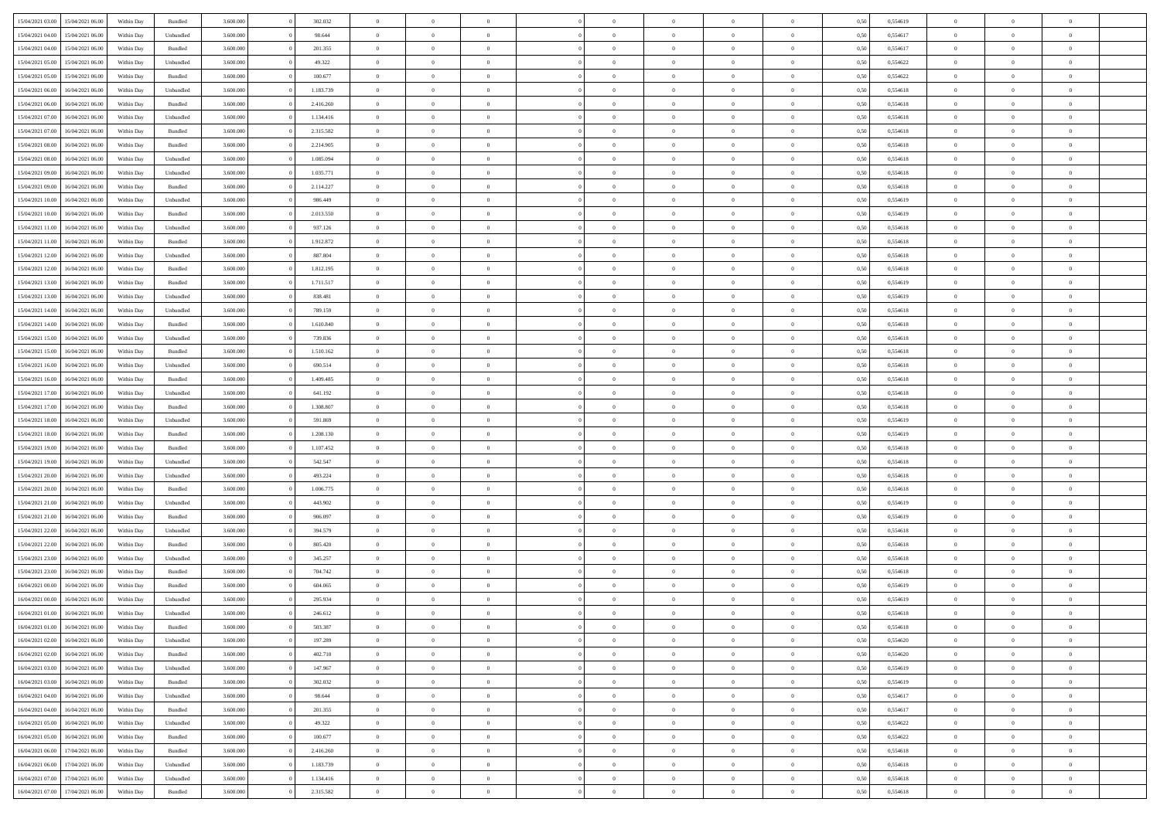|                                   |                  |            |                    |           |           | $\overline{0}$ | $\Omega$       |                |                | $\Omega$       | $\Omega$       | $\theta$       |      |          | $\theta$       |                | $\theta$       |  |
|-----------------------------------|------------------|------------|--------------------|-----------|-----------|----------------|----------------|----------------|----------------|----------------|----------------|----------------|------|----------|----------------|----------------|----------------|--|
| 15/04/2021 03:00                  | 15/04/2021 06:00 | Within Day | Bundled            | 3.600.000 | 302.032   |                |                |                | $\Omega$       |                |                |                | 0,50 | 0,554619 |                | $\theta$       |                |  |
| 15/04/2021 04:00                  | 15/04/2021 06:00 | Within Day | Unbundled          | 3.600.000 | 98.644    | $\overline{0}$ | $\theta$       | $\overline{0}$ | $\overline{0}$ | $\bf{0}$       | $\overline{0}$ | $\bf{0}$       | 0,50 | 0,554617 | $\theta$       | $\theta$       | $\overline{0}$ |  |
| 15/04/2021 04:00                  | 15/04/2021 06:00 | Within Day | Bundled            | 3.600.000 | 201.355   | $\overline{0}$ | $\overline{0}$ | $\overline{0}$ | $\bf{0}$       | $\bf{0}$       | $\bf{0}$       | $\bf{0}$       | 0,50 | 0,554617 | $\bf{0}$       | $\overline{0}$ | $\overline{0}$ |  |
| 15/04/2021 05:00                  | 15/04/2021 06:00 | Within Day | Unbundled          | 3.600.000 | 49.322    | $\overline{0}$ | $\overline{0}$ | $\overline{0}$ | $\overline{0}$ | $\bf{0}$       | $\overline{0}$ | $\overline{0}$ | 0.50 | 0.554622 | $\theta$       | $\theta$       | $\overline{0}$ |  |
|                                   |                  |            |                    |           |           | $\overline{0}$ | $\theta$       | $\overline{0}$ |                | $\bf{0}$       | $\overline{0}$ |                |      |          | $\theta$       | $\theta$       | $\overline{0}$ |  |
| 15/04/2021 05:00                  | 15/04/2021 06:00 | Within Day | Bundled            | 3.600.000 | 100.677   |                |                |                | $\overline{0}$ |                |                | $\bf{0}$       | 0,50 | 0,554622 |                |                |                |  |
| 15/04/2021 06:00                  | 16/04/2021 06:00 | Within Day | Unbundled          | 3.600.000 | 1.183.739 | $\overline{0}$ | $\overline{0}$ | $\overline{0}$ | $\bf{0}$       | $\overline{0}$ | $\overline{0}$ | $\mathbf{0}$   | 0,50 | 0,554618 | $\overline{0}$ | $\overline{0}$ | $\bf{0}$       |  |
| 15/04/2021 06:00                  | 16/04/2021 06:00 | Within Dav | Bundled            | 3.600.000 | 2.416.260 | $\overline{0}$ | $\overline{0}$ | $\overline{0}$ | $\overline{0}$ | $\overline{0}$ | $\overline{0}$ | $\overline{0}$ | 0.50 | 0,554618 | $\theta$       | $\overline{0}$ | $\overline{0}$ |  |
| 15/04/2021 07:00                  | 16/04/2021 06:00 | Within Day | Unbundled          | 3.600.000 | 1.134.416 | $\overline{0}$ | $\theta$       | $\overline{0}$ | $\overline{0}$ | $\bf{0}$       | $\overline{0}$ | $\bf{0}$       | 0,50 | 0,554618 | $\theta$       | $\theta$       | $\overline{0}$ |  |
| 15/04/2021 07:00                  | 16/04/2021 06:00 | Within Day | Bundled            | 3.600.000 | 2.315.582 | $\overline{0}$ | $\overline{0}$ | $\overline{0}$ | $\bf{0}$       | $\bf{0}$       | $\bf{0}$       | $\bf{0}$       | 0,50 | 0,554618 | $\,0\,$        | $\overline{0}$ | $\overline{0}$ |  |
|                                   |                  |            |                    |           |           |                | $\overline{0}$ |                |                | $\overline{0}$ |                |                |      |          | $\theta$       | $\overline{0}$ | $\overline{0}$ |  |
| 15/04/2021 08:00                  | 16/04/2021 06:00 | Within Dav | Bundled            | 3.600.000 | 2.214.905 | $\overline{0}$ |                | $\overline{0}$ | $\overline{0}$ |                | $\overline{0}$ | $\overline{0}$ | 0.50 | 0.554618 |                |                |                |  |
| 15/04/2021 08:00                  | 16/04/2021 06:00 | Within Day | Unbundled          | 3.600.000 | 1.085.094 | $\overline{0}$ | $\theta$       | $\overline{0}$ | $\overline{0}$ | $\bf{0}$       | $\overline{0}$ | $\bf{0}$       | 0,50 | 0,554618 | $\,$ 0 $\,$    | $\overline{0}$ | $\overline{0}$ |  |
| 15/04/2021 09:00                  | 16/04/2021 06:00 | Within Day | Unbundled          | 3.600.000 | 1.035.771 | $\overline{0}$ | $\overline{0}$ | $\overline{0}$ | $\bf{0}$       | $\bf{0}$       | $\bf{0}$       | $\mathbf{0}$   | 0,50 | 0,554618 | $\overline{0}$ | $\overline{0}$ | $\overline{0}$ |  |
| 15/04/2021 09:00                  | 16/04/2021 06:00 | Within Day | Bundled            | 3.600.000 | 2.114.227 | $\overline{0}$ | $\overline{0}$ | $\overline{0}$ | $\overline{0}$ | $\bf{0}$       | $\overline{0}$ | $\overline{0}$ | 0.50 | 0.554618 | $\theta$       | $\theta$       | $\overline{0}$ |  |
| 15/04/2021 10:00                  | 16/04/2021 06:00 | Within Day | Unbundled          | 3.600.000 | 986.449   | $\overline{0}$ | $\theta$       | $\overline{0}$ | $\overline{0}$ | $\bf{0}$       | $\overline{0}$ | $\bf{0}$       | 0,50 | 0,554619 | $\theta$       | $\theta$       | $\overline{0}$ |  |
|                                   |                  |            |                    |           |           |                |                |                |                |                |                |                |      |          |                |                |                |  |
| 15/04/2021 10:00                  | 16/04/2021 06:00 | Within Day | Bundled            | 3.600.000 | 2.013.550 | $\overline{0}$ | $\overline{0}$ | $\overline{0}$ | $\bf{0}$       | $\overline{0}$ | $\overline{0}$ | $\mathbf{0}$   | 0,50 | 0,554619 | $\overline{0}$ | $\overline{0}$ | $\bf{0}$       |  |
| 15/04/2021 11:00                  | 16/04/2021 06:00 | Within Dav | Unbundled          | 3.600.000 | 937.126   | $\overline{0}$ | $\overline{0}$ | $\overline{0}$ | $\overline{0}$ | $\overline{0}$ | $\overline{0}$ | $\overline{0}$ | 0.50 | 0.554618 | $\theta$       | $\overline{0}$ | $\overline{0}$ |  |
| 15/04/2021 11:00                  | 16/04/2021 06:00 | Within Day | Bundled            | 3.600.000 | 1.912.872 | $\overline{0}$ | $\theta$       | $\overline{0}$ | $\overline{0}$ | $\bf{0}$       | $\overline{0}$ | $\bf{0}$       | 0,50 | 0,554618 | $\theta$       | $\theta$       | $\overline{0}$ |  |
| 15/04/2021 12:00                  | 16/04/2021 06:00 | Within Day | Unbundled          | 3.600.000 | 887.804   | $\overline{0}$ | $\overline{0}$ | $\overline{0}$ | $\bf{0}$       | $\bf{0}$       | $\bf{0}$       | $\bf{0}$       | 0,50 | 0,554618 | $\,0\,$        | $\overline{0}$ | $\overline{0}$ |  |
| 15/04/2021 12:00                  | 16/04/2021 06:00 | Within Day | Bundled            | 3.600.000 | 1.812.195 | $\overline{0}$ | $\overline{0}$ | $\overline{0}$ | $\overline{0}$ | $\overline{0}$ | $\overline{0}$ | $\overline{0}$ | 0.50 | 0,554618 | $\theta$       | $\overline{0}$ | $\overline{0}$ |  |
| 15/04/2021 13:00                  | 16/04/2021 06:00 | Within Day | Bundled            | 3.600.000 | 1.711.517 | $\overline{0}$ | $\theta$       | $\overline{0}$ | $\overline{0}$ | $\bf{0}$       | $\overline{0}$ | $\bf{0}$       | 0,50 | 0,554619 | $\,$ 0 $\,$    | $\theta$       | $\overline{0}$ |  |
|                                   |                  |            |                    |           |           |                |                |                |                |                |                |                |      |          |                |                |                |  |
| 15/04/2021 13:00                  | 16/04/2021 06:00 | Within Day | Unbundled          | 3.600.000 | 838.481   | $\overline{0}$ | $\overline{0}$ | $\overline{0}$ | $\bf{0}$       | $\bf{0}$       | $\bf{0}$       | $\bf{0}$       | 0,50 | 0,554619 | $\bf{0}$       | $\overline{0}$ | $\overline{0}$ |  |
| 15/04/2021 14:00                  | 16/04/2021 06:00 | Within Day | Unbundled          | 3.600,000 | 789.159   | $\overline{0}$ | $\overline{0}$ | $\overline{0}$ | $\overline{0}$ | $\bf{0}$       | $\overline{0}$ | $\overline{0}$ | 0.50 | 0.554618 | $\theta$       | $\theta$       | $\overline{0}$ |  |
| 15/04/2021 14:00                  | 16/04/2021 06:00 | Within Day | Bundled            | 3.600.000 | 1.610.840 | $\overline{0}$ | $\theta$       | $\overline{0}$ | $\overline{0}$ | $\bf{0}$       | $\overline{0}$ | $\bf{0}$       | 0,50 | 0,554618 | $\,$ 0 $\,$    | $\overline{0}$ | $\overline{0}$ |  |
| 15/04/2021 15:00                  | 16/04/2021 06:00 | Within Day | Unbundled          | 3.600.000 | 739.836   | $\overline{0}$ | $\bf{0}$       | $\overline{0}$ | $\bf{0}$       | $\overline{0}$ | $\overline{0}$ | $\mathbf{0}$   | 0,50 | 0,554618 | $\overline{0}$ | $\overline{0}$ | $\bf{0}$       |  |
| 15/04/2021 15:00                  | 16/04/2021 06:00 | Within Dav | Bundled            | 3.600.000 | 1.510.162 | $\overline{0}$ | $\overline{0}$ | $\overline{0}$ | $\overline{0}$ | $\overline{0}$ | $\overline{0}$ | $\overline{0}$ | 0.50 | 0.554618 | $\theta$       | $\overline{0}$ | $\overline{0}$ |  |
| 15/04/2021 16:00                  | 16/04/2021 06:00 | Within Day | Unbundled          | 3.600.000 | 690.514   | $\overline{0}$ | $\theta$       | $\overline{0}$ | $\overline{0}$ | $\bf{0}$       | $\overline{0}$ | $\bf{0}$       | 0,50 | 0,554618 | $\theta$       | $\theta$       | $\overline{0}$ |  |
|                                   | 16/04/2021 06:00 | Within Day | Bundled            | 3.600.000 | 1.409.485 | $\overline{0}$ | $\overline{0}$ | $\overline{0}$ | $\bf{0}$       | $\bf{0}$       | $\bf{0}$       | $\bf{0}$       | 0,50 | 0,554618 | $\,0\,$        | $\overline{0}$ | $\overline{0}$ |  |
| 15/04/2021 16:00                  |                  |            |                    |           |           |                |                |                |                |                |                |                |      |          |                |                |                |  |
| 15/04/2021 17:00                  | 16/04/2021 06:00 | Within Day | Unbundled          | 3.600.000 | 641.192   | $\overline{0}$ | $\overline{0}$ | $\overline{0}$ | $\overline{0}$ | $\overline{0}$ | $\overline{0}$ | $\overline{0}$ | 0.50 | 0.554618 | $\theta$       | $\overline{0}$ | $\overline{0}$ |  |
| 15/04/2021 17:00                  | 16/04/2021 06:00 | Within Day | Bundled            | 3.600.000 | 1.308.807 | $\overline{0}$ | $\theta$       | $\overline{0}$ | $\overline{0}$ | $\bf{0}$       | $\overline{0}$ | $\bf{0}$       | 0,50 | 0,554618 | $\,$ 0 $\,$    | $\overline{0}$ | $\overline{0}$ |  |
| 15/04/2021 18:00                  | 16/04/2021 06:00 | Within Day | Unbundled          | 3.600.000 | 591.869   | $\overline{0}$ | $\overline{0}$ | $\overline{0}$ | $\bf{0}$       | $\bf{0}$       | $\bf{0}$       | $\bf{0}$       | 0,50 | 0,554619 | $\bf{0}$       | $\overline{0}$ | $\overline{0}$ |  |
| 15/04/2021 18:00                  | 16/04/2021 06:00 | Within Day | Bundled            | 3.600.000 | 1.208.130 | $\overline{0}$ | $\Omega$       | $\Omega$       | $\Omega$       | $\Omega$       | $\overline{0}$ | $\overline{0}$ | 0,50 | 0,554619 | $\,0\,$        | $\theta$       | $\theta$       |  |
| 15/04/2021 19:00                  | 16/04/2021 06:00 | Within Day | Bundled            | 3.600.000 | 1.107.452 | $\overline{0}$ | $\theta$       | $\overline{0}$ | $\overline{0}$ | $\bf{0}$       | $\overline{0}$ | $\bf{0}$       | 0,50 | 0,554618 | $\theta$       | $\theta$       | $\overline{0}$ |  |
| 15/04/2021 19:00                  | 16/04/2021 06:00 | Within Day | Unbundled          | 3.600.000 | 542.547   | $\overline{0}$ | $\overline{0}$ | $\overline{0}$ | $\bf{0}$       | $\bf{0}$       | $\overline{0}$ | $\mathbf{0}$   | 0,50 | 0,554618 | $\bf{0}$       | $\overline{0}$ | $\bf{0}$       |  |
|                                   |                  |            |                    |           |           |                |                |                |                |                |                |                |      |          |                |                |                |  |
| 15/04/2021 20:00                  | 16/04/2021 06:00 | Within Day | Unbundled          | 3.600,000 | 493.224   | $\overline{0}$ | $\Omega$       | $\Omega$       | $\Omega$       | $\bf{0}$       | $\overline{0}$ | $\overline{0}$ | 0.50 | 0.554618 | $\theta$       | $\theta$       | $\theta$       |  |
| 15/04/2021 20:00                  | 16/04/2021 06:00 | Within Day | Bundled            | 3.600.000 | 1.006.775 | $\overline{0}$ | $\theta$       | $\overline{0}$ | $\overline{0}$ | $\bf{0}$       | $\overline{0}$ | $\bf{0}$       | 0,50 | 0,554618 | $\,$ 0 $\,$    | $\theta$       | $\overline{0}$ |  |
| 15/04/2021 21:00                  | 16/04/2021 06:00 | Within Day | Unbundled          | 3.600.000 | 443.902   | $\overline{0}$ | $\overline{0}$ | $\overline{0}$ | $\bf{0}$       | $\bf{0}$       | $\bf{0}$       | $\bf{0}$       | 0,50 | 0,554619 | $\,0\,$        | $\overline{0}$ | $\overline{0}$ |  |
| 15/04/2021 21:00                  | 16/04/2021 06:00 | Within Day | Bundled            | 3.600,000 | 906,097   | $\overline{0}$ | $\Omega$       | $\Omega$       | $\Omega$       | $\theta$       | $\theta$       | $\overline{0}$ | 0.50 | 0.554619 | $\theta$       | $\theta$       | $\theta$       |  |
| 15/04/2021 22:00                  | 16/04/2021 06:00 | Within Day | Unbundled          | 3.600.000 | 394.579   | $\overline{0}$ | $\theta$       | $\overline{0}$ | $\overline{0}$ | $\bf{0}$       | $\overline{0}$ | $\bf{0}$       | 0,50 | 0,554618 | $\,$ 0 $\,$    | $\overline{0}$ | $\overline{0}$ |  |
|                                   |                  |            |                    |           |           |                |                |                |                |                |                |                |      |          |                |                |                |  |
| 15/04/2021 22.00                  | 16/04/2021 06:00 | Within Day | Bundled            | 3.600.000 | 805.420   | $\overline{0}$ | $\overline{0}$ | $\overline{0}$ | $\bf{0}$       | $\bf{0}$       | $\bf{0}$       | $\bf{0}$       | 0,50 | 0,554618 | $\bf{0}$       | $\overline{0}$ | $\overline{0}$ |  |
| 15/04/2021 23:00                  | 16/04/2021 06:00 | Within Day | Unbundled          | 3.600.000 | 345.257   | $\overline{0}$ | $\Omega$       | $\overline{0}$ | $\Omega$       | $\Omega$       | $\overline{0}$ | $\overline{0}$ | 0,50 | 0,554618 | $\,0\,$        | $\theta$       | $\theta$       |  |
| 15/04/2021 23:00                  | 16/04/2021 06:00 | Within Day | Bundled            | 3.600.000 | 704.742   | $\overline{0}$ | $\theta$       | $\overline{0}$ | $\overline{0}$ | $\bf{0}$       | $\overline{0}$ | $\bf{0}$       | 0,50 | 0,554618 | $\,$ 0 $\,$    | $\overline{0}$ | $\overline{0}$ |  |
| 16/04/2021 00:00                  | 16/04/2021 06:00 | Within Day | Bundled            | 3.600.000 | 604.065   | $\overline{0}$ | $\overline{0}$ | $\overline{0}$ | $\bf{0}$       | $\bf{0}$       | $\bf{0}$       | $\mathbf{0}$   | 0,50 | 0,554619 | $\bf{0}$       | $\overline{0}$ | $\bf{0}$       |  |
| 16/04/2021 00:00                  | 16/04/2021 06:00 | Within Day | Unbundled          | 3.600,000 | 295.934   | $\overline{0}$ | $\Omega$       | $\Omega$       | $\Omega$       | $\Omega$       | $\Omega$       | $\overline{0}$ | 0.50 | 0.554619 | $\theta$       | $\theta$       | $\theta$       |  |
| 16/04/2021 01:00                  | 16/04/2021 06:00 | Within Day | Unbundled          | 3.600.000 | 246.612   | $\overline{0}$ | $\,$ 0 $\,$    | $\overline{0}$ | $\bf{0}$       | $\,$ 0         | $\bf{0}$       | $\bf{0}$       | 0,50 | 0,554618 | $\,0\,$        | $\overline{0}$ | $\overline{0}$ |  |
| 16/04/2021 01:00                  | 16/04/2021 06:00 | Within Day | $\mathbf B$ undled | 3.600.000 | 503.387   | $\bf{0}$       | $\bf{0}$       |                |                |                |                |                | 0,50 | 0,554618 | $\bf{0}$       | $\overline{0}$ |                |  |
|                                   |                  |            |                    |           |           |                |                |                |                |                |                |                |      |          |                |                |                |  |
| 16/04/2021 02:00                  | 16/04/2021 06:00 | Within Day | Unbundled          | 3.600.000 | 197.289   | $\overline{0}$ | $\overline{0}$ | $\overline{0}$ | $\Omega$       | $\overline{0}$ | $\overline{0}$ | $\overline{0}$ | 0,50 | 0.554620 | $\theta$       | $\theta$       | $\theta$       |  |
| 16/04/2021 02:00                  | 16/04/2021 06:00 | Within Day | Bundled            | 3.600.000 | 402.710   | $\overline{0}$ | $\bf{0}$       | $\overline{0}$ | $\bf{0}$       | $\,$ 0 $\,$    | $\overline{0}$ | $\,$ 0 $\,$    | 0,50 | 0,554620 | $\,$ 0 $\,$    | $\,$ 0 $\,$    | $\,$ 0         |  |
| 16/04/2021 03:00                  | 16/04/2021 06:00 | Within Day | Unbundled          | 3.600.000 | 147.967   | $\overline{0}$ | $\overline{0}$ | $\overline{0}$ | $\overline{0}$ | $\overline{0}$ | $\overline{0}$ | $\mathbf{0}$   | 0,50 | 0,554619 | $\overline{0}$ | $\bf{0}$       | $\bf{0}$       |  |
| 16/04/2021 03:00                  | 16/04/2021 06:00 | Within Day | $\mathbf B$ undled | 3.600.000 | 302.032   | $\overline{0}$ | $\overline{0}$ | $\overline{0}$ | $\Omega$       | $\overline{0}$ | $\overline{0}$ | $\overline{0}$ | 0,50 | 0,554619 | $\overline{0}$ | $\theta$       | $\overline{0}$ |  |
| 16/04/2021 04:00                  | 16/04/2021 06:00 | Within Day | Unbundled          | 3.600.000 | 98.644    | $\overline{0}$ | $\,$ 0         | $\overline{0}$ | $\overline{0}$ | $\,$ 0 $\,$    | $\overline{0}$ | $\mathbf{0}$   | 0,50 | 0,554617 | $\,$ 0 $\,$    | $\overline{0}$ | $\overline{0}$ |  |
| 16/04/2021 04:00                  | 16/04/2021 06:00 | Within Day | Bundled            | 3.600.000 | 201.355   | $\overline{0}$ | $\overline{0}$ | $\overline{0}$ | $\overline{0}$ | $\overline{0}$ | $\overline{0}$ | $\mathbf{0}$   | 0,50 | 0,554617 | $\overline{0}$ | $\overline{0}$ | $\overline{0}$ |  |
|                                   |                  |            |                    |           |           |                |                |                |                |                |                |                |      |          |                |                |                |  |
| 16/04/2021 05:00                  | 16/04/2021 06:00 | Within Day | Unbundled          | 3.600.000 | 49.322    | $\overline{0}$ | $\overline{0}$ | $\overline{0}$ | $\Omega$       | $\overline{0}$ | $\overline{0}$ | $\bf{0}$       | 0.50 | 0,554622 | $\overline{0}$ | $\theta$       | $\overline{0}$ |  |
| 16/04/2021 05:00                  | 16/04/2021 06:00 | Within Day | Bundled            | 3.600.000 | 100.677   | $\overline{0}$ | $\,$ 0         | $\overline{0}$ | $\bf{0}$       | $\bf{0}$       | $\bf{0}$       | $\bf{0}$       | 0,50 | 0,554622 | $\,$ 0 $\,$    | $\overline{0}$ | $\overline{0}$ |  |
| 16/04/2021 06:00                  | 17/04/2021 06:00 | Within Day | Bundled            | 3.600.000 | 2.416.260 | $\overline{0}$ | $\bf{0}$       | $\overline{0}$ | $\overline{0}$ | $\overline{0}$ | $\overline{0}$ | $\mathbf{0}$   | 0,50 | 0,554618 | $\overline{0}$ | $\overline{0}$ | $\bf{0}$       |  |
| 16/04/2021 06:00                  | 17/04/2021 06:00 | Within Day | Unbundled          | 3.600,000 | 1.183.739 | $\overline{0}$ | $\overline{0}$ | $\overline{0}$ | $\Omega$       | $\overline{0}$ | $\overline{0}$ | $\overline{0}$ | 0.50 | 0,554618 | $\overline{0}$ | $\overline{0}$ | $\overline{0}$ |  |
| 16/04/2021 07:00                  | 17/04/2021 06:00 | Within Day | Unbundled          | 3.600.000 | 1.134.416 | $\overline{0}$ | $\bf{0}$       | $\overline{0}$ | $\bf{0}$       | $\bf{0}$       | $\bf{0}$       | $\mathbf{0}$   | 0,50 | 0,554618 | $\,$ 0 $\,$    | $\,$ 0 $\,$    | $\bf{0}$       |  |
| 16/04/2021 07:00 17/04/2021 06:00 |                  | Within Day | Bundled            | 3.600.000 | 2.315.582 | $\overline{0}$ | $\overline{0}$ | $\overline{0}$ | $\overline{0}$ | $\overline{0}$ | $\bf{0}$       | $\mathbf{0}$   | 0,50 | 0,554618 | $\overline{0}$ | $\bf{0}$       | $\bf{0}$       |  |
|                                   |                  |            |                    |           |           |                |                |                |                |                |                |                |      |          |                |                |                |  |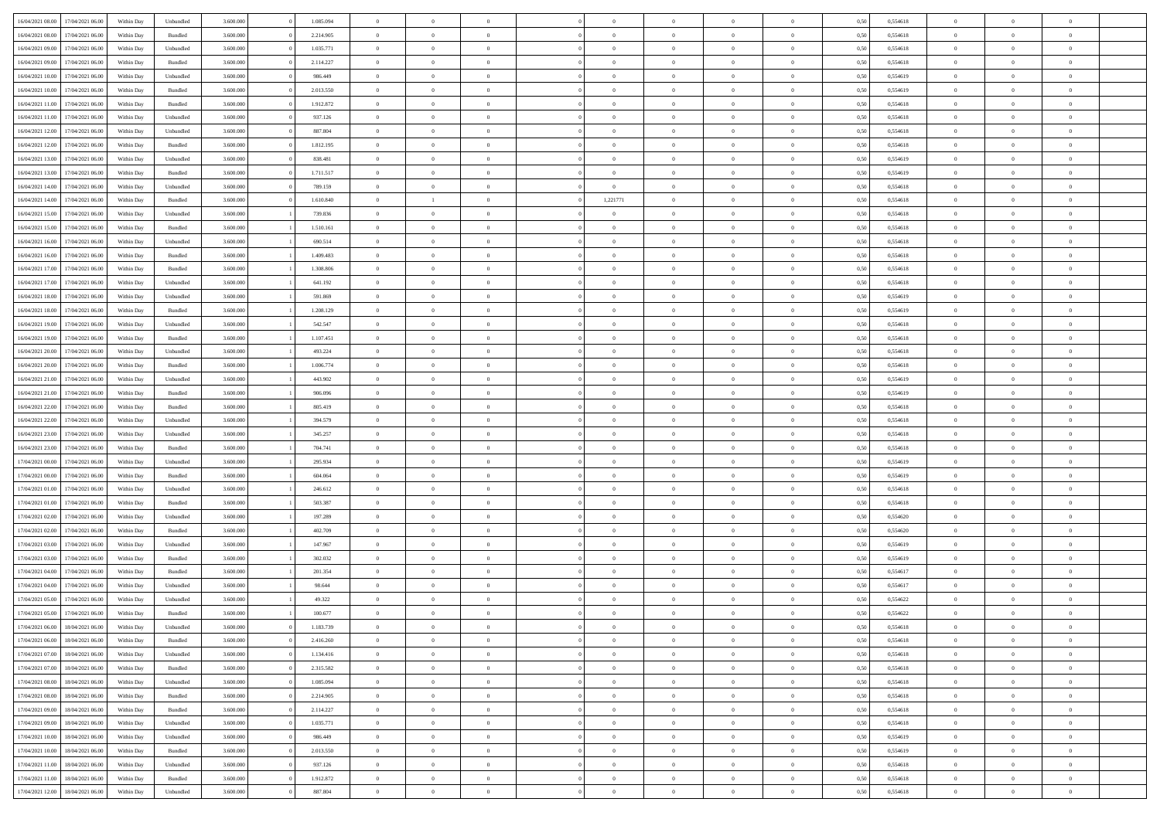|                  |                  |            |           |           |           | $\overline{0}$ | $\Omega$       |                |                | $\Omega$       | $\Omega$       | $\theta$       |      |          | $\theta$       |                | $\theta$       |  |
|------------------|------------------|------------|-----------|-----------|-----------|----------------|----------------|----------------|----------------|----------------|----------------|----------------|------|----------|----------------|----------------|----------------|--|
| 16/04/2021 08:00 | 17/04/2021 06:00 | Within Day | Unbundled | 3.600.000 | 1.085.094 |                |                |                | $\Omega$       |                |                |                | 0,50 | 0,554618 |                | $\theta$       |                |  |
| 16/04/2021 08:00 | 17/04/2021 06:00 | Within Day | Bundled   | 3.600.000 | 2.214.905 | $\overline{0}$ | $\theta$       | $\overline{0}$ | $\overline{0}$ | $\bf{0}$       | $\overline{0}$ | $\bf{0}$       | 0,50 | 0,554618 | $\theta$       | $\overline{0}$ | $\overline{0}$ |  |
| 16/04/2021 09:00 | 17/04/2021 06:00 | Within Day | Unbundled | 3.600.000 | 1.035.771 | $\overline{0}$ | $\bf{0}$       | $\overline{0}$ | $\bf{0}$       | $\bf{0}$       | $\bf{0}$       | $\mathbf{0}$   | 0,50 | 0,554618 | $\overline{0}$ | $\overline{0}$ | $\overline{0}$ |  |
| 16/04/2021 09:00 | 17/04/2021 06:00 | Within Dav | Bundled   | 3.600,000 | 2.114.227 | $\overline{0}$ | $\overline{0}$ | $\overline{0}$ | $\overline{0}$ | $\bf{0}$       | $\overline{0}$ | $\overline{0}$ | 0.50 | 0.554618 | $\theta$       | $\theta$       | $\overline{0}$ |  |
| 16/04/2021 10:00 | 17/04/2021 06:00 | Within Day | Unbundled | 3.600.000 | 986.449   | $\overline{0}$ | $\theta$       | $\overline{0}$ | $\overline{0}$ | $\bf{0}$       | $\overline{0}$ | $\bf{0}$       | 0,50 | 0,554619 | $\theta$       | $\overline{0}$ | $\overline{0}$ |  |
|                  |                  |            |           |           |           |                |                |                |                |                |                |                |      |          |                |                |                |  |
| 16/04/2021 10:00 | 17/04/2021 06:00 | Within Day | Bundled   | 3.600.000 | 2.013.550 | $\overline{0}$ | $\overline{0}$ | $\overline{0}$ | $\bf{0}$       | $\overline{0}$ | $\overline{0}$ | $\mathbf{0}$   | 0,50 | 0,554619 | $\overline{0}$ | $\overline{0}$ | $\bf{0}$       |  |
| 16/04/2021 11:00 | 17/04/2021 06:00 | Within Dav | Bundled   | 3.600.000 | 1.912.872 | $\overline{0}$ | $\overline{0}$ | $\overline{0}$ | $\overline{0}$ | $\overline{0}$ | $\overline{0}$ | $\overline{0}$ | 0.50 | 0,554618 | $\theta$       | $\overline{0}$ | $\overline{0}$ |  |
| 16/04/2021 11:00 | 17/04/2021 06:00 | Within Day | Unbundled | 3.600.000 | 937.126   | $\overline{0}$ | $\theta$       | $\overline{0}$ | $\overline{0}$ | $\bf{0}$       | $\overline{0}$ | $\bf{0}$       | 0,50 | 0,554618 | $\theta$       | $\theta$       | $\overline{0}$ |  |
| 16/04/2021 12:00 | 17/04/2021 06:00 | Within Day | Unbundled | 3.600.000 | 887.804   | $\overline{0}$ | $\overline{0}$ | $\overline{0}$ | $\bf{0}$       | $\bf{0}$       | $\bf{0}$       | $\bf{0}$       | 0,50 | 0,554618 | $\,0\,$        | $\overline{0}$ | $\overline{0}$ |  |
| 16/04/2021 12:00 | 17/04/2021 06:00 | Within Dav | Bundled   | 3.600.000 | 1.812.195 | $\overline{0}$ | $\overline{0}$ | $\overline{0}$ | $\overline{0}$ | $\overline{0}$ | $\overline{0}$ | $\overline{0}$ | 0.50 | 0.554618 | $\theta$       | $\overline{0}$ | $\overline{0}$ |  |
| 16/04/2021 13:00 | 17/04/2021 06:00 | Within Day | Unbundled | 3.600.000 | 838.481   | $\overline{0}$ | $\theta$       | $\overline{0}$ | $\overline{0}$ | $\bf{0}$       | $\overline{0}$ | $\bf{0}$       | 0,50 | 0,554619 | $\,$ 0 $\,$    | $\overline{0}$ | $\overline{0}$ |  |
| 16/04/2021 13:00 | 17/04/2021 06:00 | Within Day | Bundled   | 3.600.000 | 1.711.517 | $\overline{0}$ | $\overline{0}$ | $\overline{0}$ | $\bf{0}$       | $\bf{0}$       | $\bf{0}$       | $\mathbf{0}$   | 0,50 | 0,554619 | $\overline{0}$ | $\overline{0}$ | $\bf{0}$       |  |
|                  |                  |            |           |           |           |                |                |                |                |                |                |                |      |          |                |                |                |  |
| 16/04/2021 14:00 | 17/04/2021 06:00 | Within Day | Unbundled | 3.600.000 | 789.159   | $\overline{0}$ | $\overline{0}$ | $\overline{0}$ | $\overline{0}$ | $\bf{0}$       | $\overline{0}$ | $\overline{0}$ | 0.50 | 0.554618 | $\theta$       | $\theta$       | $\overline{0}$ |  |
| 16/04/2021 14:00 | 17/04/2021 06:00 | Within Day | Bundled   | 3.600.000 | 1.610.840 | $\overline{0}$ |                | $\overline{0}$ | 1,221771       | $\bf{0}$       | $\overline{0}$ | $\bf{0}$       | 0,50 | 0,554618 | $\theta$       | $\overline{0}$ | $\overline{0}$ |  |
| 16/04/2021 15:00 | 17/04/2021 06:00 | Within Day | Unbundled | 3.600.000 | 739.836   | $\overline{0}$ | $\overline{0}$ | $\overline{0}$ | $\bf{0}$       | $\overline{0}$ | $\overline{0}$ | $\mathbf{0}$   | 0,50 | 0,554618 | $\bf{0}$       | $\overline{0}$ | $\bf{0}$       |  |
| 16/04/2021 15:00 | 17/04/2021 06:00 | Within Dav | Bundled   | 3.600.000 | 1.510.161 | $\overline{0}$ | $\overline{0}$ | $\overline{0}$ | $\overline{0}$ | $\overline{0}$ | $\overline{0}$ | $\overline{0}$ | 0.50 | 0.554618 | $\theta$       | $\overline{0}$ | $\overline{0}$ |  |
| 16/04/2021 16:00 | 17/04/2021 06:00 | Within Day | Unbundled | 3.600.000 | 690.514   | $\overline{0}$ | $\theta$       | $\overline{0}$ | $\overline{0}$ | $\bf{0}$       | $\overline{0}$ | $\bf{0}$       | 0,50 | 0,554618 | $\theta$       | $\theta$       | $\overline{0}$ |  |
| 16/04/2021 16:00 | 17/04/2021 06:00 | Within Day | Bundled   | 3.600.000 | 1.409.483 | $\overline{0}$ | $\overline{0}$ | $\overline{0}$ | $\bf{0}$       | $\bf{0}$       | $\bf{0}$       | $\mathbf{0}$   | 0,50 | 0,554618 | $\,0\,$        | $\overline{0}$ | $\overline{0}$ |  |
| 16/04/2021 17:00 | 17/04/2021 06:00 | Within Day | Bundled   | 3.600.000 | 1.308.806 | $\overline{0}$ | $\overline{0}$ | $\overline{0}$ | $\overline{0}$ | $\overline{0}$ | $\overline{0}$ | $\overline{0}$ | 0.50 | 0,554618 | $\theta$       | $\overline{0}$ | $\overline{0}$ |  |
|                  |                  |            |           |           |           |                |                |                |                |                |                |                |      |          |                |                |                |  |
| 16/04/2021 17:00 | 17/04/2021 06:00 | Within Day | Unbundled | 3.600.000 | 641.192   | $\overline{0}$ | $\theta$       | $\overline{0}$ | $\overline{0}$ | $\bf{0}$       | $\overline{0}$ | $\bf{0}$       | 0,50 | 0,554618 | $\,$ 0 $\,$    | $\overline{0}$ | $\overline{0}$ |  |
| 16/04/2021 18:00 | 17/04/2021 06:00 | Within Day | Unbundled | 3.600.000 | 591.869   | $\overline{0}$ | $\overline{0}$ | $\overline{0}$ | $\bf{0}$       | $\bf{0}$       | $\bf{0}$       | $\bf{0}$       | 0,50 | 0,554619 | $\bf{0}$       | $\overline{0}$ | $\overline{0}$ |  |
| 16/04/2021 18:00 | 17/04/2021 06:00 | Within Day | Bundled   | 3.600,000 | 1.208.129 | $\overline{0}$ | $\overline{0}$ | $\overline{0}$ | $\overline{0}$ | $\bf{0}$       | $\overline{0}$ | $\overline{0}$ | 0.50 | 0.554619 | $\theta$       | $\overline{0}$ | $\overline{0}$ |  |
| 16/04/2021 19:00 | 17/04/2021 06:00 | Within Day | Unbundled | 3.600.000 | 542.547   | $\overline{0}$ | $\theta$       | $\overline{0}$ | $\overline{0}$ | $\bf{0}$       | $\overline{0}$ | $\bf{0}$       | 0,50 | 0,554618 | $\,$ 0 $\,$    | $\overline{0}$ | $\overline{0}$ |  |
| 16/04/2021 19:00 | 17/04/2021 06:00 | Within Day | Bundled   | 3.600.000 | 1.107.451 | $\overline{0}$ | $\overline{0}$ | $\overline{0}$ | $\bf{0}$       | $\overline{0}$ | $\overline{0}$ | $\mathbf{0}$   | 0,50 | 0,554618 | $\bf{0}$       | $\overline{0}$ | $\bf{0}$       |  |
| 16/04/2021 20:00 | 17/04/2021 06:00 | Within Dav | Unbundled | 3.600.000 | 493.224   | $\overline{0}$ | $\overline{0}$ | $\overline{0}$ | $\overline{0}$ | $\overline{0}$ | $\overline{0}$ | $\overline{0}$ | 0.50 | 0,554618 | $\theta$       | $\overline{0}$ | $\overline{0}$ |  |
| 16/04/2021 20:00 | 17/04/2021 06:00 |            |           | 3.600.000 | 1.006.774 | $\overline{0}$ | $\theta$       | $\overline{0}$ | $\overline{0}$ | $\bf{0}$       | $\overline{0}$ |                |      | 0,554618 | $\theta$       | $\theta$       | $\overline{0}$ |  |
|                  |                  | Within Day | Bundled   |           |           |                |                |                |                |                |                | $\bf{0}$       | 0,50 |          |                |                |                |  |
| 16/04/2021 21:00 | 17/04/2021 06:00 | Within Day | Unbundled | 3.600.000 | 443.902   | $\overline{0}$ | $\overline{0}$ | $\overline{0}$ | $\bf{0}$       | $\bf{0}$       | $\bf{0}$       | $\bf{0}$       | 0,50 | 0,554619 | $\,0\,$        | $\overline{0}$ | $\overline{0}$ |  |
| 16/04/2021 21:00 | 17/04/2021 06:00 | Within Day | Bundled   | 3.600.000 | 906,096   | $\overline{0}$ | $\overline{0}$ | $\overline{0}$ | $\overline{0}$ | $\overline{0}$ | $\overline{0}$ | $\overline{0}$ | 0.50 | 0.554619 | $\theta$       | $\overline{0}$ | $\overline{0}$ |  |
| 16/04/2021 22:00 | 17/04/2021 06:00 | Within Day | Bundled   | 3.600.000 | 805.419   | $\overline{0}$ | $\theta$       | $\overline{0}$ | $\overline{0}$ | $\bf{0}$       | $\overline{0}$ | $\bf{0}$       | 0,50 | 0,554618 | $\,$ 0 $\,$    | $\overline{0}$ | $\overline{0}$ |  |
| 16/04/2021 22:00 | 17/04/2021 06:00 | Within Day | Unbundled | 3.600.000 | 394.579   | $\overline{0}$ | $\overline{0}$ | $\overline{0}$ | $\bf{0}$       | $\bf{0}$       | $\bf{0}$       | $\bf{0}$       | 0,50 | 0,554618 | $\bf{0}$       | $\overline{0}$ | $\bf{0}$       |  |
| 16/04/2021 23:00 | 17/04/2021 06:00 | Within Day | Unbundled | 3.600.000 | 345.257   | $\overline{0}$ | $\Omega$       | $\overline{0}$ | $\Omega$       | $\Omega$       | $\overline{0}$ | $\overline{0}$ | 0,50 | 0,554618 | $\,0\,$        | $\theta$       | $\theta$       |  |
| 16/04/2021 23:00 | 17/04/2021 06:00 | Within Day | Bundled   | 3.600.000 | 704.741   | $\overline{0}$ | $\theta$       | $\overline{0}$ | $\overline{0}$ | $\bf{0}$       | $\overline{0}$ | $\bf{0}$       | 0,50 | 0,554618 | $\theta$       | $\overline{0}$ | $\overline{0}$ |  |
|                  |                  |            |           |           |           |                |                |                |                |                |                |                |      |          |                |                |                |  |
| 17/04/2021 00:00 | 17/04/2021 06:00 | Within Day | Unbundled | 3.600.000 | 295.934   | $\overline{0}$ | $\overline{0}$ | $\overline{0}$ | $\bf{0}$       | $\bf{0}$       | $\overline{0}$ | $\mathbf{0}$   | 0,50 | 0,554619 | $\bf{0}$       | $\overline{0}$ | $\bf{0}$       |  |
| 17/04/2021 00:00 | 17/04/2021 06:00 | Within Day | Bundled   | 3.600,000 | 604,064   | $\overline{0}$ | $\Omega$       | $\Omega$       | $\Omega$       | $\bf{0}$       | $\overline{0}$ | $\overline{0}$ | 0.50 | 0.554619 | $\theta$       | $\theta$       | $\theta$       |  |
| 17/04/2021 01:00 | 17/04/2021 06:00 | Within Day | Unbundled | 3.600.000 | 246.612   | $\overline{0}$ | $\theta$       | $\overline{0}$ | $\overline{0}$ | $\bf{0}$       | $\overline{0}$ | $\bf{0}$       | 0,50 | 0,554618 | $\,$ 0 $\,$    | $\overline{0}$ | $\overline{0}$ |  |
| 17/04/2021 01:00 | 17/04/2021 06:00 | Within Day | Bundled   | 3.600.000 | 503.387   | $\overline{0}$ | $\overline{0}$ | $\overline{0}$ | $\bf{0}$       | $\bf{0}$       | $\bf{0}$       | $\bf{0}$       | 0,50 | 0,554618 | $\bf{0}$       | $\overline{0}$ | $\overline{0}$ |  |
| 17/04/2021 02:00 | 17/04/2021 06:00 | Within Day | Unbundled | 3.600,000 | 197.289   | $\overline{0}$ | $\Omega$       | $\overline{0}$ | $\Omega$       | $\theta$       | $\overline{0}$ | $\overline{0}$ | 0.50 | 0.554620 | $\,0\,$        | $\theta$       | $\theta$       |  |
| 17/04/2021 02:00 | 17/04/2021 06:00 | Within Day | Bundled   | 3.600.000 | 402.709   | $\overline{0}$ | $\theta$       | $\overline{0}$ | $\overline{0}$ | $\bf{0}$       | $\overline{0}$ | $\bf{0}$       | 0,50 | 0,554620 | $\,$ 0 $\,$    | $\overline{0}$ | $\overline{0}$ |  |
| 17/04/2021 03:00 | 17/04/2021 06:00 | Within Day | Unbundled | 3.600.000 | 147.967   | $\overline{0}$ | $\overline{0}$ | $\overline{0}$ | $\bf{0}$       | $\bf{0}$       | $\bf{0}$       | $\bf{0}$       | 0,50 | 0,554619 | $\bf{0}$       | $\overline{0}$ | $\overline{0}$ |  |
| 17/04/2021 03:00 | 17/04/2021 06:00 | Within Day |           | 3.600.000 | 302.032   | $\overline{0}$ | $\Omega$       | $\overline{0}$ | $\Omega$       | $\overline{0}$ | $\overline{0}$ | $\overline{0}$ | 0,50 | 0,554619 | $\,0\,$        | $\theta$       | $\theta$       |  |
|                  |                  |            | Bundled   |           |           |                |                |                |                |                |                |                |      |          |                |                |                |  |
| 17/04/2021 04:00 | 17/04/2021 06:00 | Within Day | Bundled   | 3.600.000 | 201.354   | $\overline{0}$ | $\theta$       | $\overline{0}$ | $\overline{0}$ | $\,$ 0         | $\overline{0}$ | $\bf{0}$       | 0,50 | 0,554617 | $\,$ 0 $\,$    | $\overline{0}$ | $\overline{0}$ |  |
| 17/04/2021 04:00 | 17/04/2021 06:00 | Within Day | Unbundled | 3.600.000 | 98.644    | $\overline{0}$ | $\bf{0}$       | $\overline{0}$ | $\overline{0}$ | $\bf{0}$       | $\overline{0}$ | $\mathbf{0}$   | 0,50 | 0,554617 | $\bf{0}$       | $\overline{0}$ | $\bf{0}$       |  |
| 17/04/2021 05:00 | 17/04/2021 06:00 | Within Day | Unbundled | 3.600,000 | 49.322    | $\overline{0}$ | $\Omega$       | $\Omega$       | $\Omega$       | $\Omega$       | $\Omega$       | $\overline{0}$ | 0.50 | 0.554622 | $\theta$       | $\theta$       | $\theta$       |  |
| 17/04/2021 05:00 | 17/04/2021 06:00 | Within Day | Bundled   | 3.600.000 | 100.677   | $\overline{0}$ | $\,$ 0 $\,$    | $\overline{0}$ | $\bf{0}$       | $\,$ 0         | $\overline{0}$ | $\bf{0}$       | 0,50 | 0,554622 | $\,0\,$        | $\overline{0}$ | $\overline{0}$ |  |
| 17/04/2021 06:00 | 18/04/2021 06:00 | Within Day | Unbundled | 3.600.000 | 1.183.739 | $\bf{0}$       | $\bf{0}$       |                |                |                |                |                | 0,50 | 0,554618 | $\bf{0}$       | $\overline{0}$ |                |  |
| 17/04/2021 06:00 | 18/04/2021 06:00 | Within Day | Bundled   | 3.600.000 | 2.416.260 | $\overline{0}$ | $\overline{0}$ | $\overline{0}$ | $\Omega$       | $\overline{0}$ | $\overline{0}$ | $\overline{0}$ | 0,50 | 0.554618 | $\theta$       | $\theta$       | $\theta$       |  |
| 17/04/2021 07:00 | 18/04/2021 06:00 | Within Day | Unbundled | 3.600.000 | 1.134.416 | $\overline{0}$ | $\,$ 0         | $\overline{0}$ | $\overline{0}$ | $\,$ 0 $\,$    | $\overline{0}$ | $\mathbf{0}$   | 0,50 | 0,554618 | $\,$ 0 $\,$    | $\,$ 0 $\,$    | $\,$ 0         |  |
|                  |                  |            |           |           |           |                |                |                |                |                |                |                |      |          |                |                |                |  |
| 17/04/2021 07:00 | 18/04/2021 06:00 | Within Day | Bundled   | 3.600.000 | 2.315.582 | $\overline{0}$ | $\overline{0}$ | $\overline{0}$ | $\overline{0}$ | $\overline{0}$ | $\overline{0}$ | $\mathbf{0}$   | 0,50 | 0,554618 | $\overline{0}$ | $\bf{0}$       | $\bf{0}$       |  |
| 17/04/2021 08:00 | 18/04/2021 06:00 | Within Day | Unbundled | 3.600.000 | 1.085.094 | $\overline{0}$ | $\overline{0}$ | $\overline{0}$ | $\Omega$       | $\overline{0}$ | $\overline{0}$ | $\bf{0}$       | 0,50 | 0,554618 | $\overline{0}$ | $\theta$       | $\overline{0}$ |  |
| 17/04/2021 08:00 | 18/04/2021 06:00 | Within Day | Bundled   | 3.600.000 | 2.214.905 | $\overline{0}$ | $\,$ 0         | $\overline{0}$ | $\overline{0}$ | $\,$ 0 $\,$    | $\overline{0}$ | $\bf{0}$       | 0,50 | 0,554618 | $\,$ 0 $\,$    | $\overline{0}$ | $\overline{0}$ |  |
| 17/04/2021 09:00 | 18/04/2021 06:00 | Within Day | Bundled   | 3.600.000 | 2.114.227 | $\overline{0}$ | $\overline{0}$ | $\overline{0}$ | $\overline{0}$ | $\overline{0}$ | $\overline{0}$ | $\mathbf{0}$   | 0,50 | 0,554618 | $\overline{0}$ | $\overline{0}$ | $\bf{0}$       |  |
| 17/04/2021 09:00 | 18/04/2021 06:00 | Within Day | Unbundled | 3.600,000 | 1.035.771 | $\overline{0}$ | $\overline{0}$ | $\overline{0}$ | $\Omega$       | $\overline{0}$ | $\overline{0}$ | $\bf{0}$       | 0.50 | 0,554618 | $\overline{0}$ | $\theta$       | $\overline{0}$ |  |
| 17/04/2021 10:00 | 18/04/2021 06:00 | Within Day | Unbundled | 3.600.000 | 986.449   | $\overline{0}$ | $\,$ 0         | $\overline{0}$ | $\overline{0}$ | $\bf{0}$       | $\overline{0}$ | $\bf{0}$       | 0,50 | 0,554619 | $\,$ 0 $\,$    | $\overline{0}$ | $\overline{0}$ |  |
| 17/04/2021 10:00 | 18/04/2021 06:00 | Within Day | Bundled   | 3.600.000 | 2.013.550 | $\overline{0}$ | $\bf{0}$       | $\overline{0}$ | $\overline{0}$ | $\overline{0}$ | $\overline{0}$ | $\mathbf{0}$   | 0,50 | 0,554619 | $\overline{0}$ | $\overline{0}$ | $\bf{0}$       |  |
|                  |                  |            |           |           |           |                |                |                |                |                |                |                |      |          |                |                |                |  |
| 17/04/2021 11:00 | 18/04/2021 06:00 | Within Day | Unbundled | 3.600,000 | 937.126   | $\overline{0}$ | $\overline{0}$ | $\overline{0}$ | $\Omega$       | $\overline{0}$ | $\overline{0}$ | $\bf{0}$       | 0.50 | 0,554618 | $\overline{0}$ | $\theta$       | $\overline{0}$ |  |
| 17/04/2021 11:00 | 18/04/2021 06:00 | Within Day | Bundled   | 3.600.000 | 1.912.872 | $\overline{0}$ | $\bf{0}$       | $\overline{0}$ | $\overline{0}$ | $\bf{0}$       | $\overline{0}$ | $\bf{0}$       | 0,50 | 0,554618 | $\,$ 0 $\,$    | $\,$ 0 $\,$    | $\bf{0}$       |  |
| 17/04/2021 12:00 | 18/04/2021 06:00 | Within Day | Unbundled | 3.600.000 | 887.804   | $\overline{0}$ | $\bf{0}$       | $\overline{0}$ | $\bf{0}$       | $\bf{0}$       | $\overline{0}$ | $\bf{0}$       | 0,50 | 0,554618 | $\overline{0}$ | $\overline{0}$ | $\bf{0}$       |  |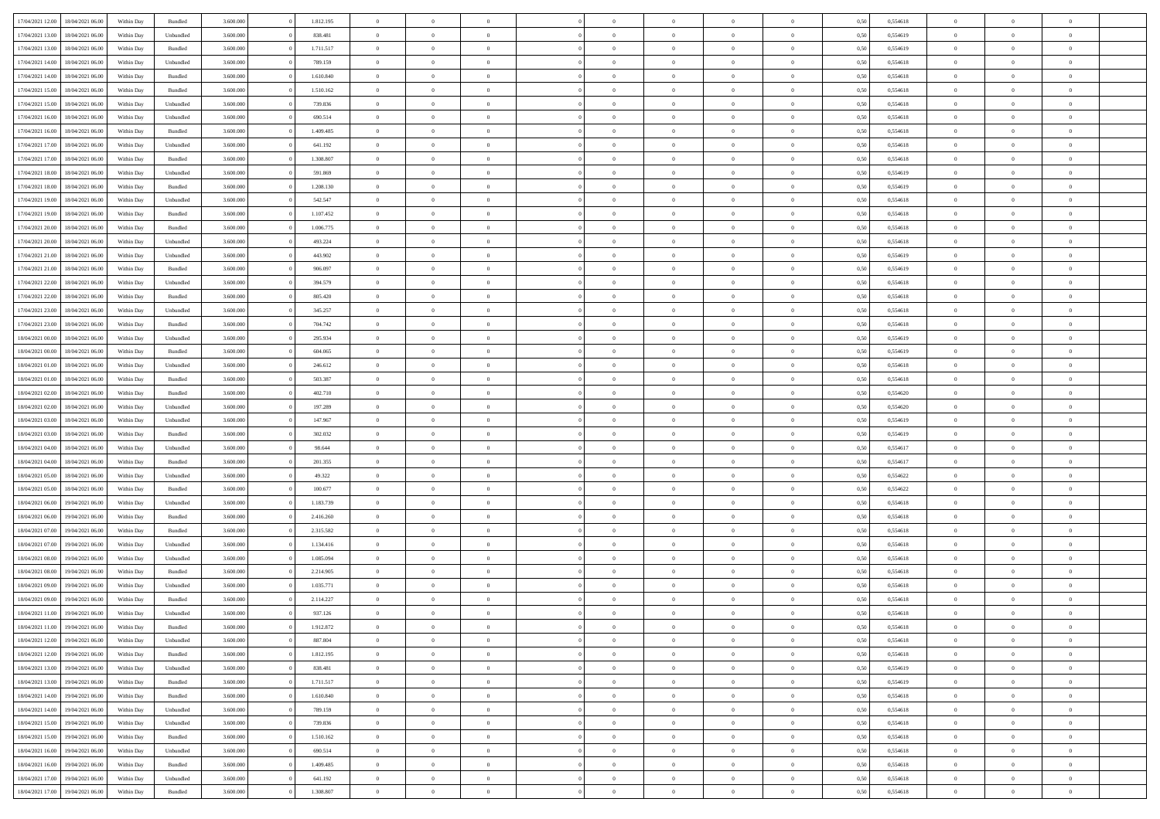|                  |                  |            |                    |           |           | $\overline{0}$ | $\Omega$       |                |                | $\Omega$       | $\Omega$       | $\theta$       |      |          | $\theta$       |                | $\theta$       |  |
|------------------|------------------|------------|--------------------|-----------|-----------|----------------|----------------|----------------|----------------|----------------|----------------|----------------|------|----------|----------------|----------------|----------------|--|
| 17/04/2021 12:00 | 18/04/2021 06:00 | Within Day | Bundled            | 3.600.000 | 1.812.195 |                |                |                | $\Omega$       |                |                |                | 0,50 | 0,554618 |                | $\theta$       |                |  |
| 17/04/2021 13:00 | 18/04/2021 06:00 | Within Day | Unbundled          | 3.600.000 | 838.481   | $\overline{0}$ | $\theta$       | $\overline{0}$ | $\overline{0}$ | $\bf{0}$       | $\overline{0}$ | $\bf{0}$       | 0,50 | 0,554619 | $\theta$       | $\theta$       | $\overline{0}$ |  |
| 17/04/2021 13:00 | 18/04/2021 06:00 | Within Day | Bundled            | 3.600.000 | 1.711.517 | $\overline{0}$ | $\overline{0}$ | $\overline{0}$ | $\overline{0}$ | $\bf{0}$       | $\overline{0}$ | $\bf{0}$       | 0,50 | 0,554619 | $\bf{0}$       | $\overline{0}$ | $\overline{0}$ |  |
| 17/04/2021 14:00 | 18/04/2021 06:00 | Within Dav | Unbundled          | 3.600,000 | 789.159   | $\overline{0}$ | $\overline{0}$ | $\overline{0}$ | $\overline{0}$ | $\bf{0}$       | $\overline{0}$ | $\overline{0}$ | 0.50 | 0.554618 | $\theta$       | $\theta$       | $\overline{0}$ |  |
|                  |                  |            |                    |           |           |                |                |                |                |                |                |                |      |          |                |                |                |  |
| 17/04/2021 14:00 | 18/04/2021 06:00 | Within Day | Bundled            | 3.600.000 | 1.610.840 | $\overline{0}$ | $\theta$       | $\overline{0}$ | $\overline{0}$ | $\bf{0}$       | $\overline{0}$ | $\bf{0}$       | 0,50 | 0,554618 | $\theta$       | $\theta$       | $\overline{0}$ |  |
| 17/04/2021 15:00 | 18/04/2021 06:00 | Within Day | Bundled            | 3.600.000 | 1.510.162 | $\overline{0}$ | $\bf{0}$       | $\overline{0}$ | $\overline{0}$ | $\overline{0}$ | $\overline{0}$ | $\mathbf{0}$   | 0,50 | 0,554618 | $\bf{0}$       | $\overline{0}$ | $\bf{0}$       |  |
| 17/04/2021 15:00 | 18/04/2021 06:00 | Within Dav | Unbundled          | 3.600.000 | 739.836   | $\overline{0}$ | $\overline{0}$ | $\overline{0}$ | $\overline{0}$ | $\overline{0}$ | $\overline{0}$ | $\overline{0}$ | 0.50 | 0,554618 | $\theta$       | $\overline{0}$ | $\overline{0}$ |  |
| 17/04/2021 16:00 | 18/04/2021 06:00 | Within Day | Unbundled          | 3.600.000 | 690.514   | $\overline{0}$ | $\theta$       | $\overline{0}$ | $\overline{0}$ | $\bf{0}$       | $\overline{0}$ | $\bf{0}$       | 0,50 | 0,554618 | $\theta$       | $\theta$       | $\overline{0}$ |  |
|                  |                  |            |                    |           |           |                | $\overline{0}$ |                |                | $\bf{0}$       |                |                |      |          | $\,0\,$        | $\overline{0}$ | $\overline{0}$ |  |
| 17/04/2021 16:00 | 18/04/2021 06:00 | Within Day | Bundled            | 3.600.000 | 1.409.485 | $\overline{0}$ |                | $\overline{0}$ | $\overline{0}$ |                | $\overline{0}$ | $\bf{0}$       | 0,50 | 0,554618 |                |                |                |  |
| 17/04/2021 17:00 | 18/04/2021 06:00 | Within Dav | Unbundled          | 3.600.000 | 641.192   | $\overline{0}$ | $\overline{0}$ | $\overline{0}$ | $\overline{0}$ | $\overline{0}$ | $\overline{0}$ | $\overline{0}$ | 0.50 | 0.554618 | $\theta$       | $\overline{0}$ | $\overline{0}$ |  |
| 17/04/2021 17:00 | 18/04/2021 06:00 | Within Day | Bundled            | 3.600.000 | 1.308.807 | $\overline{0}$ | $\theta$       | $\overline{0}$ | $\overline{0}$ | $\bf{0}$       | $\overline{0}$ | $\bf{0}$       | 0,50 | 0,554618 | $\,$ 0 $\,$    | $\overline{0}$ | $\overline{0}$ |  |
| 17/04/2021 18:00 | 18/04/2021 06:00 | Within Day | Unbundled          | 3.600.000 | 591.869   | $\overline{0}$ | $\overline{0}$ | $\overline{0}$ | $\overline{0}$ | $\bf{0}$       | $\overline{0}$ | $\mathbf{0}$   | 0,50 | 0,554619 | $\overline{0}$ | $\overline{0}$ | $\bf{0}$       |  |
| 17/04/2021 18:00 | 18/04/2021 06:00 | Within Day | Bundled            | 3.600.000 | 1.208.130 | $\overline{0}$ | $\overline{0}$ | $\overline{0}$ | $\overline{0}$ | $\bf{0}$       | $\overline{0}$ | $\overline{0}$ | 0.50 | 0.554619 | $\theta$       | $\theta$       | $\overline{0}$ |  |
|                  |                  |            |                    |           |           |                |                |                |                |                |                |                |      |          |                |                |                |  |
| 17/04/2021 19:00 | 18/04/2021 06:00 | Within Day | Unbundled          | 3.600.000 | 542.547   | $\overline{0}$ | $\theta$       | $\overline{0}$ | $\overline{0}$ | $\bf{0}$       | $\overline{0}$ | $\bf{0}$       | 0,50 | 0,554618 | $\theta$       | $\overline{0}$ | $\overline{0}$ |  |
| 17/04/2021 19:00 | 18/04/2021 06:00 | Within Day | Bundled            | 3.600.000 | 1.107.452 | $\overline{0}$ | $\overline{0}$ | $\overline{0}$ | $\overline{0}$ | $\overline{0}$ | $\overline{0}$ | $\mathbf{0}$   | 0,50 | 0,554618 | $\overline{0}$ | $\overline{0}$ | $\bf{0}$       |  |
| 17/04/2021 20:00 | 18/04/2021 06:00 | Within Dav | Bundled            | 3.600.000 | 1.006.775 | $\overline{0}$ | $\overline{0}$ | $\overline{0}$ | $\overline{0}$ | $\overline{0}$ | $\overline{0}$ | $\overline{0}$ | 0.50 | 0.554618 | $\theta$       | $\overline{0}$ | $\overline{0}$ |  |
| 17/04/2021 20:00 | 18/04/2021 06:00 | Within Day | Unbundled          | 3.600.000 | 493.224   | $\overline{0}$ | $\theta$       | $\overline{0}$ | $\overline{0}$ | $\bf{0}$       | $\overline{0}$ | $\bf{0}$       | 0,50 | 0,554618 | $\theta$       | $\theta$       | $\overline{0}$ |  |
| 17/04/2021 21:00 | 18/04/2021 06:00 | Within Day | Unbundled          | 3.600.000 | 443.902   | $\overline{0}$ | $\overline{0}$ | $\overline{0}$ | $\overline{0}$ | $\bf{0}$       | $\overline{0}$ | $\bf{0}$       | 0,50 | 0,554619 | $\,0\,$        | $\overline{0}$ | $\overline{0}$ |  |
|                  |                  |            |                    |           |           |                |                |                |                |                |                |                |      |          |                |                |                |  |
| 17/04/2021 21:00 | 18/04/2021 06:00 | Within Day | Bundled            | 3.600.000 | 906.097   | $\overline{0}$ | $\overline{0}$ | $\overline{0}$ | $\overline{0}$ | $\overline{0}$ | $\overline{0}$ | $\overline{0}$ | 0.50 | 0,554619 | $\theta$       | $\overline{0}$ | $\overline{0}$ |  |
| 17/04/2021 22.00 | 18/04/2021 06:00 | Within Day | Unbundled          | 3.600.000 | 394.579   | $\overline{0}$ | $\theta$       | $\overline{0}$ | $\overline{0}$ | $\bf{0}$       | $\overline{0}$ | $\bf{0}$       | 0,50 | 0,554618 | $\,$ 0 $\,$    | $\theta$       | $\overline{0}$ |  |
| 17/04/2021 22.00 | 18/04/2021 06:00 | Within Day | Bundled            | 3.600.000 | 805.420   | $\overline{0}$ | $\overline{0}$ | $\overline{0}$ | $\overline{0}$ | $\bf{0}$       | $\overline{0}$ | $\bf{0}$       | 0,50 | 0,554618 | $\overline{0}$ | $\overline{0}$ | $\overline{0}$ |  |
| 17/04/2021 23:00 | 18/04/2021 06:00 | Within Day | Unbundled          | 3.600,000 | 345.257   | $\overline{0}$ | $\overline{0}$ | $\overline{0}$ | $\overline{0}$ | $\bf{0}$       | $\overline{0}$ | $\overline{0}$ | 0.50 | 0.554618 | $\theta$       | $\theta$       | $\overline{0}$ |  |
|                  |                  |            |                    |           |           |                |                |                |                |                |                |                |      |          |                |                |                |  |
| 17/04/2021 23:00 | 18/04/2021 06:00 | Within Day | Bundled            | 3.600.000 | 704.742   | $\overline{0}$ | $\theta$       | $\overline{0}$ | $\overline{0}$ | $\bf{0}$       | $\overline{0}$ | $\bf{0}$       | 0,50 | 0,554618 | $\,$ 0 $\,$    | $\overline{0}$ | $\overline{0}$ |  |
| 18/04/2021 00:00 | 18/04/2021 06:00 | Within Day | Unbundled          | 3.600.000 | 295.934   | $\overline{0}$ | $\bf{0}$       | $\overline{0}$ | $\bf{0}$       | $\overline{0}$ | $\overline{0}$ | $\mathbf{0}$   | 0,50 | 0,554619 | $\overline{0}$ | $\overline{0}$ | $\bf{0}$       |  |
| 18/04/2021 00:00 | 18/04/2021 06:00 | Within Dav | Bundled            | 3.600.000 | 604.065   | $\overline{0}$ | $\overline{0}$ | $\overline{0}$ | $\overline{0}$ | $\overline{0}$ | $\overline{0}$ | $\overline{0}$ | 0.50 | 0,554619 | $\theta$       | $\overline{0}$ | $\overline{0}$ |  |
| 18/04/2021 01:00 | 18/04/2021 06:00 | Within Day | Unbundled          | 3.600.000 | 246.612   | $\overline{0}$ | $\theta$       | $\overline{0}$ | $\overline{0}$ | $\bf{0}$       | $\overline{0}$ | $\bf{0}$       | 0,50 | 0,554618 | $\theta$       | $\theta$       | $\overline{0}$ |  |
| 18/04/2021 01:00 | 18/04/2021 06:00 | Within Day | Bundled            | 3.600.000 | 503.387   | $\overline{0}$ | $\overline{0}$ | $\overline{0}$ | $\bf{0}$       | $\bf{0}$       | $\bf{0}$       | $\bf{0}$       | 0,50 | 0,554618 | $\,0\,$        | $\overline{0}$ | $\overline{0}$ |  |
|                  |                  |            |                    |           |           |                |                |                |                |                |                |                |      |          |                |                |                |  |
| 18/04/2021 02:00 | 18/04/2021 06:00 | Within Day | Bundled            | 3.600.000 | 402.710   | $\overline{0}$ | $\overline{0}$ | $\overline{0}$ | $\overline{0}$ | $\overline{0}$ | $\overline{0}$ | $\overline{0}$ | 0.50 | 0,554620 | $\theta$       | $\overline{0}$ | $\overline{0}$ |  |
| 18/04/2021 02:00 | 18/04/2021 06:00 | Within Day | Unbundled          | 3.600.000 | 197.289   | $\overline{0}$ | $\theta$       | $\overline{0}$ | $\overline{0}$ | $\bf{0}$       | $\overline{0}$ | $\bf{0}$       | 0,50 | 0,554620 | $\,$ 0 $\,$    | $\overline{0}$ | $\overline{0}$ |  |
| 18/04/2021 03:00 | 18/04/2021 06:00 | Within Day | Unbundled          | 3.600.000 | 147.967   | $\overline{0}$ | $\overline{0}$ | $\overline{0}$ | $\bf{0}$       | $\bf{0}$       | $\bf{0}$       | $\bf{0}$       | 0,50 | 0,554619 | $\overline{0}$ | $\overline{0}$ | $\overline{0}$ |  |
| 18/04/2021 03:00 | 18/04/2021 06:00 | Within Day | Bundled            | 3.600.000 | 302.032   | $\overline{0}$ | $\Omega$       | $\Omega$       | $\Omega$       | $\Omega$       | $\Omega$       | $\overline{0}$ | 0,50 | 0,554619 | $\,0\,$        | $\theta$       | $\theta$       |  |
| 18/04/2021 04:00 | 18/04/2021 06:00 | Within Day | Unbundled          | 3.600.000 | 98.644    | $\overline{0}$ | $\theta$       | $\overline{0}$ | $\overline{0}$ | $\bf{0}$       | $\overline{0}$ | $\bf{0}$       | 0,50 | 0,554617 | $\theta$       | $\theta$       | $\overline{0}$ |  |
|                  |                  |            |                    |           |           |                |                |                |                |                |                |                |      |          |                |                |                |  |
| 18/04/2021 04:00 | 18/04/2021 06:00 | Within Day | Bundled            | 3.600.000 | 201.355   | $\overline{0}$ | $\overline{0}$ | $\overline{0}$ | $\bf{0}$       | $\bf{0}$       | $\overline{0}$ | $\mathbf{0}$   | 0,50 | 0,554617 | $\overline{0}$ | $\overline{0}$ | $\bf{0}$       |  |
| 18/04/2021 05:00 | 18/04/2021 06:00 | Within Day | Unbundled          | 3.600,000 | 49.322    | $\overline{0}$ | $\Omega$       | $\Omega$       | $\Omega$       | $\bf{0}$       | $\overline{0}$ | $\overline{0}$ | 0.50 | 0.554622 | $\,0\,$        | $\theta$       | $\theta$       |  |
| 18/04/2021 05:00 | 18/04/2021 06:00 | Within Day | Bundled            | 3.600.000 | 100.677   | $\overline{0}$ | $\theta$       | $\overline{0}$ | $\overline{0}$ | $\bf{0}$       | $\overline{0}$ | $\bf{0}$       | 0,50 | 0,554622 | $\,$ 0 $\,$    | $\theta$       | $\overline{0}$ |  |
| 18/04/2021 06:00 | 19/04/2021 06:00 | Within Day | Unbundled          | 3.600.000 | 1.183.739 | $\overline{0}$ | $\overline{0}$ | $\overline{0}$ | $\bf{0}$       | $\bf{0}$       | $\bf{0}$       | $\bf{0}$       | 0,50 | 0,554618 | $\bf{0}$       | $\overline{0}$ | $\overline{0}$ |  |
|                  |                  |            |                    |           |           |                |                |                |                |                |                |                |      |          |                |                |                |  |
| 18/04/2021 06:00 | 19/04/2021 06:00 | Within Day | Bundled            | 3.600,000 | 2.416.260 | $\overline{0}$ | $\Omega$       | $\Omega$       | $\Omega$       | $\theta$       | $\theta$       | $\overline{0}$ | 0.50 | 0.554618 | $\theta$       | $\theta$       | $\theta$       |  |
| 18/04/2021 07:00 | 19/04/2021 06:00 | Within Day | Bundled            | 3.600.000 | 2.315.582 | $\overline{0}$ | $\theta$       | $\overline{0}$ | $\overline{0}$ | $\bf{0}$       | $\overline{0}$ | $\bf{0}$       | 0,50 | 0,554618 | $\,$ 0 $\,$    | $\overline{0}$ | $\overline{0}$ |  |
| 18/04/2021 07:00 | 19/04/2021 06:00 | Within Day | Unbundled          | 3.600.000 | 1.134.416 | $\overline{0}$ | $\overline{0}$ | $\overline{0}$ | $\bf{0}$       | $\bf{0}$       | $\bf{0}$       | $\bf{0}$       | 0,50 | 0,554618 | $\overline{0}$ | $\overline{0}$ | $\overline{0}$ |  |
| 18/04/2021 08:00 | 19/04/2021 06:00 | Within Day | Unbundled          | 3.600.000 | 1.085.094 | $\overline{0}$ | $\Omega$       | $\overline{0}$ | $\Omega$       | $\Omega$       | $\overline{0}$ | $\overline{0}$ | 0,50 | 0,554618 | $\,0\,$        | $\theta$       | $\theta$       |  |
| 18/04/2021 08:00 | 19/04/2021 06:00 | Within Day | Bundled            | 3.600.000 | 2.214.905 | $\overline{0}$ | $\theta$       | $\overline{0}$ | $\overline{0}$ | $\,$ 0         | $\overline{0}$ | $\bf{0}$       | 0,50 | 0,554618 | $\,$ 0 $\,$    | $\overline{0}$ | $\overline{0}$ |  |
|                  |                  |            |                    |           |           |                |                |                |                |                |                |                |      |          |                |                |                |  |
| 18/04/2021 09:00 | 19/04/2021 06:00 | Within Day | Unbundled          | 3.600.000 | 1.035.771 | $\overline{0}$ | $\overline{0}$ | $\overline{0}$ | $\bf{0}$       | $\bf{0}$       | $\bf{0}$       | $\mathbf{0}$   | 0,50 | 0,554618 | $\overline{0}$ | $\overline{0}$ | $\bf{0}$       |  |
| 18/04/2021 09:00 | 19/04/2021 06:00 | Within Day | Bundled            | 3.600,000 | 2.114.227 | $\overline{0}$ | $\Omega$       | $\Omega$       | $\Omega$       | $\Omega$       | $\Omega$       | $\overline{0}$ | 0.50 | 0.554618 | $\theta$       | $\theta$       | $\theta$       |  |
| 18/04/2021 11:00 | 19/04/2021 06:00 | Within Day | Unbundled          | 3.600.000 | 937.126   | $\overline{0}$ | $\overline{0}$ | $\overline{0}$ | $\bf{0}$       | $\,$ 0         | $\bf{0}$       | $\bf{0}$       | 0,50 | 0,554618 | $\,0\,$        | $\overline{0}$ | $\overline{0}$ |  |
| 18/04/2021 11:00 | 19/04/2021 06:00 | Within Day | $\mathbf B$ undled | 3.600.000 | 1.912.872 | $\bf{0}$       | $\bf{0}$       |                |                |                |                |                | 0,50 | 0,554618 | $\bf{0}$       | $\overline{0}$ |                |  |
| 18/04/2021 12:00 | 19/04/2021 06:00 | Within Day | Unbundled          | 3.600.000 | 887.804   | $\overline{0}$ | $\overline{0}$ | $\overline{0}$ | $\Omega$       | $\overline{0}$ | $\overline{0}$ | $\overline{0}$ | 0,50 | 0.554618 | $\theta$       | $\theta$       | $\theta$       |  |
|                  |                  |            |                    |           |           |                |                |                |                |                |                |                |      |          |                |                |                |  |
| 18/04/2021 12:00 | 19/04/2021 06:00 | Within Day | Bundled            | 3.600.000 | 1.812.195 | $\overline{0}$ | $\,$ 0         | $\overline{0}$ | $\bf{0}$       | $\,$ 0 $\,$    | $\overline{0}$ | $\,$ 0 $\,$    | 0,50 | 0,554618 | $\,$ 0 $\,$    | $\,$ 0 $\,$    | $\,$ 0         |  |
| 18/04/2021 13:00 | 19/04/2021 06:00 | Within Day | Unbundled          | 3.600.000 | 838.481   | $\overline{0}$ | $\overline{0}$ | $\overline{0}$ | $\overline{0}$ | $\overline{0}$ | $\overline{0}$ | $\mathbf{0}$   | 0,50 | 0,554619 | $\overline{0}$ | $\bf{0}$       | $\overline{0}$ |  |
| 18/04/2021 13:00 | 19/04/2021 06:00 | Within Day | $\mathbf B$ undled | 3.600.000 | 1.711.517 | $\overline{0}$ | $\overline{0}$ | $\overline{0}$ | $\Omega$       | $\overline{0}$ | $\overline{0}$ | $\overline{0}$ | 0,50 | 0,554619 | $\overline{0}$ | $\overline{0}$ | $\overline{0}$ |  |
| 18/04/2021 14:00 | 19/04/2021 06:00 | Within Day | Bundled            | 3.600.000 | 1.610.840 | $\overline{0}$ | $\,$ 0         | $\overline{0}$ | $\overline{0}$ | $\,$ 0 $\,$    | $\overline{0}$ | $\mathbf{0}$   | 0,50 | 0,554618 | $\,$ 0 $\,$    | $\overline{0}$ | $\overline{0}$ |  |
|                  |                  |            |                    |           |           |                |                |                |                |                |                |                |      |          |                |                |                |  |
| 18/04/2021 14:00 | 19/04/2021 06:00 | Within Day | Unbundled          | 3.600.000 | 789.159   | $\overline{0}$ | $\overline{0}$ | $\overline{0}$ | $\overline{0}$ | $\overline{0}$ | $\overline{0}$ | $\mathbf{0}$   | 0,50 | 0,554618 | $\overline{0}$ | $\overline{0}$ | $\overline{0}$ |  |
| 18/04/2021 15:00 | 19/04/2021 06:00 | Within Day | Unbundled          | 3.600.000 | 739.836   | $\overline{0}$ | $\overline{0}$ | $\overline{0}$ | $\overline{0}$ | $\overline{0}$ | $\overline{0}$ | $\bf{0}$       | 0.50 | 0,554618 | $\overline{0}$ | $\theta$       | $\overline{0}$ |  |
| 18/04/2021 15:00 | 19/04/2021 06:00 | Within Day | Bundled            | 3.600.000 | 1.510.162 | $\overline{0}$ | $\,$ 0         | $\overline{0}$ | $\overline{0}$ | $\bf{0}$       | $\overline{0}$ | $\bf{0}$       | 0,50 | 0,554618 | $\,$ 0 $\,$    | $\overline{0}$ | $\overline{0}$ |  |
| 18/04/2021 16:00 | 19/04/2021 06:00 | Within Day | Unbundled          | 3.600.000 | 690.514   | $\overline{0}$ | $\bf{0}$       | $\overline{0}$ | $\overline{0}$ | $\overline{0}$ | $\overline{0}$ | $\mathbf{0}$   | 0,50 | 0,554618 | $\overline{0}$ | $\overline{0}$ | $\bf{0}$       |  |
| 18/04/2021 16:00 | 19/04/2021 06:00 | Within Day | Bundled            | 3.600,000 | 1.409.485 | $\overline{0}$ | $\overline{0}$ | $\overline{0}$ | $\Omega$       | $\overline{0}$ | $\overline{0}$ | $\overline{0}$ | 0.50 | 0,554618 | $\overline{0}$ | $\overline{0}$ | $\overline{0}$ |  |
|                  |                  |            |                    |           |           |                |                |                |                |                |                |                |      |          |                |                |                |  |
| 18/04/2021 17:00 | 19/04/2021 06:00 | Within Day | Unbundled          | 3.600.000 | 641.192   | $\overline{0}$ | $\bf{0}$       | $\overline{0}$ | $\bf{0}$       | $\bf{0}$       | $\overline{0}$ | $\mathbf{0}$   | 0,50 | 0,554618 | $\,$ 0 $\,$    | $\,$ 0 $\,$    | $\bf{0}$       |  |
| 18/04/2021 17:00 | 19/04/2021 06:00 | Within Day | Bundled            | 3.600.000 | 1.308.807 | $\overline{0}$ | $\overline{0}$ | $\overline{0}$ | $\overline{0}$ | $\overline{0}$ | $\overline{0}$ | $\mathbf{0}$   | 0,50 | 0,554618 | $\overline{0}$ | $\bf{0}$       | $\overline{0}$ |  |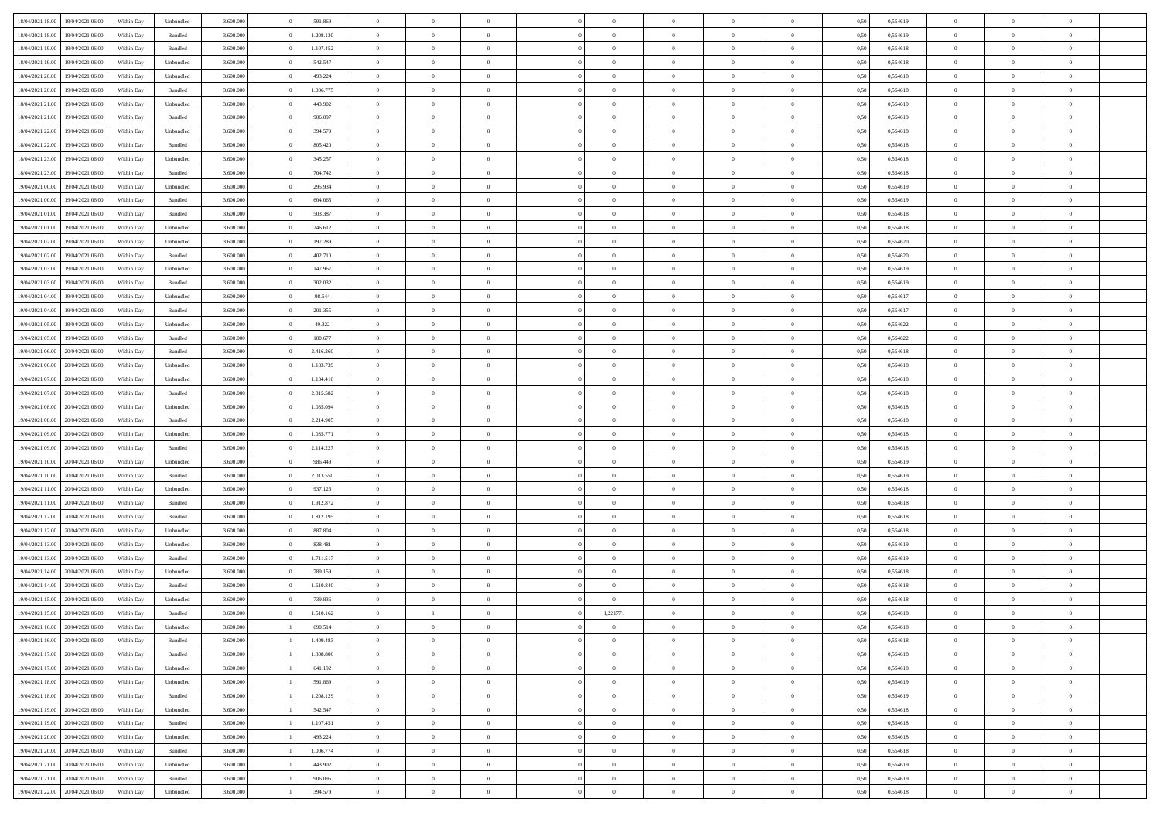| 18/04/2021 18:00 | 19/04/2021 06:00 | Within Day | Unbundled | 3.600.000 | 591.869   | $\overline{0}$ | $\Omega$       |                | $\Omega$       | $\Omega$       | $\Omega$       | $\theta$       | 0,50 | 0,554619 | $\theta$       | $\theta$       | $\theta$       |  |
|------------------|------------------|------------|-----------|-----------|-----------|----------------|----------------|----------------|----------------|----------------|----------------|----------------|------|----------|----------------|----------------|----------------|--|
| 18/04/2021 18:00 | 19/04/2021 06:00 | Within Day | Bundled   | 3.600.000 | 1.208.130 | $\overline{0}$ | $\theta$       | $\overline{0}$ | $\overline{0}$ | $\bf{0}$       | $\overline{0}$ | $\bf{0}$       | 0,50 | 0,554619 | $\theta$       | $\theta$       | $\overline{0}$ |  |
| 18/04/2021 19:00 | 19/04/2021 06:00 | Within Day | Bundled   | 3.600.000 | 1.107.452 | $\overline{0}$ | $\overline{0}$ | $\overline{0}$ | $\overline{0}$ | $\bf{0}$       | $\overline{0}$ | $\bf{0}$       | 0,50 | 0,554618 | $\overline{0}$ | $\overline{0}$ | $\overline{0}$ |  |
| 18/04/2021 19:00 | 19/04/2021 06:00 | Within Day | Unbundled | 3.600,000 | 542.547   | $\overline{0}$ | $\overline{0}$ | $\overline{0}$ | $\overline{0}$ | $\bf{0}$       | $\overline{0}$ | $\overline{0}$ | 0.50 | 0.554618 | $\theta$       | $\theta$       | $\overline{0}$ |  |
| 18/04/2021 20:00 | 19/04/2021 06:00 | Within Day | Unbundled | 3.600.000 | 493.224   | $\overline{0}$ | $\theta$       | $\overline{0}$ | $\overline{0}$ | $\bf{0}$       | $\overline{0}$ | $\bf{0}$       | 0,50 | 0,554618 | $\theta$       | $\overline{0}$ | $\overline{0}$ |  |
|                  |                  |            |           |           |           |                |                |                |                |                |                |                |      |          |                |                |                |  |
| 18/04/2021 20:00 | 19/04/2021 06:00 | Within Day | Bundled   | 3.600.000 | 1.006.775 | $\overline{0}$ | $\overline{0}$ | $\overline{0}$ | $\overline{0}$ | $\overline{0}$ | $\overline{0}$ | $\mathbf{0}$   | 0,50 | 0,554618 | $\bf{0}$       | $\overline{0}$ | $\bf{0}$       |  |
| 18/04/2021 21:00 | 19/04/2021 06:00 | Within Dav | Unbundled | 3.600.000 | 443.902   | $\overline{0}$ | $\overline{0}$ | $\overline{0}$ | $\overline{0}$ | $\overline{0}$ | $\overline{0}$ | $\overline{0}$ | 0.50 | 0,554619 | $\theta$       | $\overline{0}$ | $\overline{0}$ |  |
| 18/04/2021 21:00 | 19/04/2021 06:00 | Within Day | Bundled   | 3.600.000 | 906.097   | $\overline{0}$ | $\theta$       | $\overline{0}$ | $\overline{0}$ | $\bf{0}$       | $\overline{0}$ | $\bf{0}$       | 0,50 | 0,554619 | $\theta$       | $\theta$       | $\overline{0}$ |  |
| 18/04/2021 22:00 | 19/04/2021 06:00 | Within Day | Unbundled | 3.600.000 | 394.579   | $\overline{0}$ | $\overline{0}$ | $\overline{0}$ | $\overline{0}$ | $\bf{0}$       | $\overline{0}$ | $\bf{0}$       | 0,50 | 0,554618 | $\,0\,$        | $\overline{0}$ | $\overline{0}$ |  |
| 18/04/2021 22:00 | 19/04/2021 06:00 | Within Dav | Bundled   | 3.600.000 | 805.420   | $\overline{0}$ | $\overline{0}$ | $\overline{0}$ | $\overline{0}$ | $\overline{0}$ | $\overline{0}$ | $\overline{0}$ | 0.50 | 0.554618 | $\theta$       | $\overline{0}$ | $\overline{0}$ |  |
| 18/04/2021 23:00 | 19/04/2021 06:00 | Within Day | Unbundled | 3.600.000 | 345.257   | $\overline{0}$ | $\theta$       | $\overline{0}$ | $\overline{0}$ | $\bf{0}$       | $\overline{0}$ | $\bf{0}$       | 0,50 | 0,554618 | $\,$ 0 $\,$    | $\overline{0}$ | $\overline{0}$ |  |
| 18/04/2021 23:00 | 19/04/2021 06:00 | Within Day | Bundled   | 3.600.000 | 704.742   | $\overline{0}$ | $\overline{0}$ | $\overline{0}$ | $\overline{0}$ | $\bf{0}$       | $\overline{0}$ | $\mathbf{0}$   | 0,50 | 0,554618 | $\bf{0}$       | $\overline{0}$ | $\overline{0}$ |  |
| 19/04/2021 00:00 | 19/04/2021 06:00 | Within Day | Unbundled | 3.600.000 | 295.934   | $\overline{0}$ | $\overline{0}$ | $\overline{0}$ | $\overline{0}$ | $\bf{0}$       | $\overline{0}$ | $\overline{0}$ | 0.50 | 0.554619 | $\theta$       | $\theta$       | $\overline{0}$ |  |
|                  |                  |            |           |           |           |                |                |                |                |                |                |                |      |          |                |                |                |  |
| 19/04/2021 00:00 | 19/04/2021 06:00 | Within Day | Bundled   | 3.600.000 | 604.065   | $\overline{0}$ | $\theta$       | $\overline{0}$ | $\overline{0}$ | $\bf{0}$       | $\overline{0}$ | $\bf{0}$       | 0,50 | 0,554619 | $\theta$       | $\overline{0}$ | $\overline{0}$ |  |
| 19/04/2021 01:00 | 19/04/2021 06:00 | Within Day | Bundled   | 3.600.000 | 503.387   | $\overline{0}$ | $\overline{0}$ | $\overline{0}$ | $\overline{0}$ | $\overline{0}$ | $\overline{0}$ | $\mathbf{0}$   | 0,50 | 0,554618 | $\bf{0}$       | $\overline{0}$ | $\bf{0}$       |  |
| 19/04/2021 01:00 | 19/04/2021 06:00 | Within Dav | Unbundled | 3.600.000 | 246.612   | $\overline{0}$ | $\overline{0}$ | $\overline{0}$ | $\overline{0}$ | $\overline{0}$ | $\overline{0}$ | $\overline{0}$ | 0.50 | 0.554618 | $\theta$       | $\overline{0}$ | $\overline{0}$ |  |
| 19/04/2021 02:00 | 19/04/2021 06:00 | Within Day | Unbundled | 3.600.000 | 197.289   | $\overline{0}$ | $\theta$       | $\overline{0}$ | $\overline{0}$ | $\bf{0}$       | $\overline{0}$ | $\bf{0}$       | 0,50 | 0,554620 | $\,$ 0 $\,$    | $\theta$       | $\overline{0}$ |  |
| 19/04/2021 02:00 | 19/04/2021 06:00 | Within Day | Bundled   | 3.600.000 | 402.710   | $\overline{0}$ | $\overline{0}$ | $\overline{0}$ | $\overline{0}$ | $\bf{0}$       | $\overline{0}$ | $\mathbf{0}$   | 0,50 | 0,554620 | $\,0\,$        | $\overline{0}$ | $\overline{0}$ |  |
| 19/04/2021 03:00 | 19/04/2021 06:00 | Within Day | Unbundled | 3.600.000 | 147.967   | $\overline{0}$ | $\overline{0}$ | $\overline{0}$ | $\overline{0}$ | $\overline{0}$ | $\overline{0}$ | $\overline{0}$ | 0.50 | 0,554619 | $\theta$       | $\overline{0}$ | $\overline{0}$ |  |
| 19/04/2021 03:00 | 19/04/2021 06:00 | Within Day | Bundled   | 3.600.000 | 302.032   | $\overline{0}$ | $\theta$       | $\overline{0}$ | $\overline{0}$ | $\bf{0}$       | $\overline{0}$ | $\bf{0}$       | 0,50 | 0,554619 | $\,$ 0 $\,$    | $\overline{0}$ | $\overline{0}$ |  |
|                  |                  |            |           |           |           |                |                |                |                |                |                |                |      |          |                |                |                |  |
| 19/04/2021 04:00 | 19/04/2021 06:00 | Within Day | Unbundled | 3.600.000 | 98.644    | $\overline{0}$ | $\overline{0}$ | $\overline{0}$ | $\overline{0}$ | $\bf{0}$       | $\overline{0}$ | $\bf{0}$       | 0,50 | 0,554617 | $\bf{0}$       | $\overline{0}$ | $\overline{0}$ |  |
| 19/04/2021 04:00 | 19/04/2021 06:00 | Within Day | Bundled   | 3.600,000 | 201.355   | $\overline{0}$ | $\overline{0}$ | $\overline{0}$ | $\overline{0}$ | $\bf{0}$       | $\overline{0}$ | $\overline{0}$ | 0.50 | 0.554617 | $\theta$       | $\overline{0}$ | $\overline{0}$ |  |
| 19/04/2021 05:00 | 19/04/2021 06:00 | Within Day | Unbundled | 3.600.000 | 49.322    | $\overline{0}$ | $\theta$       | $\overline{0}$ | $\overline{0}$ | $\bf{0}$       | $\overline{0}$ | $\bf{0}$       | 0,50 | 0,554622 | $\,$ 0 $\,$    | $\overline{0}$ | $\overline{0}$ |  |
| 19/04/2021 05:00 | 19/04/2021 06:00 | Within Day | Bundled   | 3.600.000 | 100.677   | $\overline{0}$ | $\overline{0}$ | $\overline{0}$ | $\overline{0}$ | $\overline{0}$ | $\overline{0}$ | $\mathbf{0}$   | 0,50 | 0,554622 | $\bf{0}$       | $\overline{0}$ | $\bf{0}$       |  |
| 19/04/2021 06:00 | 20/04/2021 06:00 | Within Day | Bundled   | 3.600.000 | 2.416.260 | $\overline{0}$ | $\overline{0}$ | $\overline{0}$ | $\overline{0}$ | $\overline{0}$ | $\overline{0}$ | $\overline{0}$ | 0.50 | 0.554618 | $\theta$       | $\overline{0}$ | $\overline{0}$ |  |
| 19/04/2021 06:00 | 20/04/2021 06:00 | Within Day | Unbundled | 3.600.000 | 1.183.739 | $\overline{0}$ | $\theta$       | $\overline{0}$ | $\overline{0}$ | $\bf{0}$       | $\overline{0}$ | $\bf{0}$       | 0,50 | 0,554618 | $\theta$       | $\theta$       | $\overline{0}$ |  |
| 19/04/2021 07:00 | 20/04/2021 06:00 | Within Day | Unbundled | 3.600.000 | 1.134.416 | $\overline{0}$ | $\overline{0}$ | $\overline{0}$ | $\overline{0}$ | $\bf{0}$       | $\overline{0}$ | $\bf{0}$       | 0,50 | 0,554618 | $\,0\,$        | $\overline{0}$ | $\overline{0}$ |  |
|                  | 20/04/2021 06:00 |            | Bundled   | 3.600.000 | 2.315.582 | $\overline{0}$ | $\overline{0}$ | $\overline{0}$ | $\overline{0}$ | $\overline{0}$ | $\overline{0}$ | $\overline{0}$ | 0.50 | 0.554618 | $\theta$       | $\overline{0}$ | $\overline{0}$ |  |
| 19/04/2021 07:00 |                  | Within Day |           |           |           |                |                |                |                |                |                |                |      |          |                |                |                |  |
| 19/04/2021 08:00 | 20/04/2021 06:00 | Within Day | Unbundled | 3.600.000 | 1.085.094 | $\overline{0}$ | $\theta$       | $\overline{0}$ | $\overline{0}$ | $\bf{0}$       | $\overline{0}$ | $\bf{0}$       | 0,50 | 0,554618 | $\,$ 0 $\,$    | $\overline{0}$ | $\overline{0}$ |  |
| 19/04/2021 08:00 | 20/04/2021 06:00 | Within Day | Bundled   | 3.600.000 | 2.214.905 | $\overline{0}$ | $\overline{0}$ | $\overline{0}$ | $\overline{0}$ | $\bf{0}$       | $\overline{0}$ | $\bf{0}$       | 0,50 | 0,554618 | $\bf{0}$       | $\overline{0}$ | $\overline{0}$ |  |
| 19/04/2021 09:00 | 20/04/2021 06:00 | Within Day | Unbundled | 3.600.000 | 1.035.771 | $\overline{0}$ | $\Omega$       | $\overline{0}$ | $\Omega$       | $\Omega$       | $\overline{0}$ | $\overline{0}$ | 0,50 | 0,554618 | $\,0\,$        | $\theta$       | $\theta$       |  |
| 19/04/2021 09:00 | 20/04/2021 06:00 | Within Day | Bundled   | 3.600.000 | 2.114.227 | $\overline{0}$ | $\theta$       | $\overline{0}$ | $\overline{0}$ | $\bf{0}$       | $\overline{0}$ | $\bf{0}$       | 0,50 | 0,554618 | $\,$ 0 $\,$    | $\theta$       | $\overline{0}$ |  |
| 19/04/2021 10:00 | 20/04/2021 06:00 | Within Day | Unbundled | 3.600.000 | 986.449   | $\overline{0}$ | $\overline{0}$ | $\overline{0}$ | $\overline{0}$ | $\bf{0}$       | $\overline{0}$ | $\mathbf{0}$   | 0,50 | 0,554619 | $\bf{0}$       | $\overline{0}$ | $\bf{0}$       |  |
| 19/04/2021 10:00 | 20/04/2021 06:00 | Within Day | Bundled   | 3.600,000 | 2.013.550 | $\overline{0}$ | $\Omega$       | $\Omega$       | $\Omega$       | $\bf{0}$       | $\overline{0}$ | $\overline{0}$ | 0.50 | 0.554619 | $\theta$       | $\theta$       | $\theta$       |  |
| 19/04/2021 11:00 | 20/04/2021 06:00 | Within Day | Unbundled | 3.600.000 | 937.126   | $\overline{0}$ | $\theta$       | $\overline{0}$ | $\overline{0}$ | $\bf{0}$       | $\overline{0}$ | $\bf{0}$       | 0,50 | 0,554618 | $\,$ 0 $\,$    | $\overline{0}$ | $\overline{0}$ |  |
|                  |                  |            |           |           |           |                | $\overline{0}$ |                |                | $\bf{0}$       |                |                |      |          | $\bf{0}$       | $\overline{0}$ | $\overline{0}$ |  |
| 19/04/2021 11:00 | 20/04/2021 06:00 | Within Day | Bundled   | 3.600.000 | 1.912.872 | $\overline{0}$ |                | $\overline{0}$ | $\overline{0}$ |                | $\overline{0}$ | $\bf{0}$       | 0,50 | 0,554618 |                |                |                |  |
| 19/04/2021 12:00 | 20/04/2021 06:00 | Within Day | Bundled   | 3.600,000 | 1.812.195 | $\overline{0}$ | $\Omega$       | $\overline{0}$ | $\Omega$       | $\theta$       | $\overline{0}$ | $\overline{0}$ | 0.50 | 0.554618 | $\,0\,$        | $\theta$       | $\theta$       |  |
| 19/04/2021 12:00 | 20/04/2021 06:00 | Within Day | Unbundled | 3.600.000 | 887.804   | $\overline{0}$ | $\theta$       | $\overline{0}$ | $\overline{0}$ | $\,$ 0         | $\overline{0}$ | $\bf{0}$       | 0,50 | 0,554618 | $\,$ 0 $\,$    | $\overline{0}$ | $\overline{0}$ |  |
| 19/04/2021 13:00 | 20/04/2021 06:00 | Within Day | Unbundled | 3.600.000 | 838.481   | $\overline{0}$ | $\overline{0}$ | $\overline{0}$ | $\overline{0}$ | $\bf{0}$       | $\overline{0}$ | $\bf{0}$       | 0,50 | 0,554619 | $\bf{0}$       | $\overline{0}$ | $\overline{0}$ |  |
| 19/04/2021 13:00 | 20/04/2021 06:00 | Within Day | Bundled   | 3.600.000 | 1.711.517 | $\overline{0}$ | $\Omega$       | $\overline{0}$ | $\Omega$       | $\overline{0}$ | $\overline{0}$ | $\overline{0}$ | 0,50 | 0,554619 | $\,0\,$        | $\theta$       | $\theta$       |  |
| 19/04/2021 14:00 | 20/04/2021 06:00 | Within Day | Unbundled | 3.600.000 | 789.159   | $\overline{0}$ | $\theta$       | $\overline{0}$ | $\overline{0}$ | $\bf{0}$       | $\overline{0}$ | $\bf{0}$       | 0,50 | 0,554618 | $\,$ 0 $\,$    | $\overline{0}$ | $\overline{0}$ |  |
| 19/04/2021 14:00 | 20/04/2021 06:00 | Within Day | Bundled   | 3.600.000 | 1.610.840 | $\overline{0}$ | $\bf{0}$       | $\overline{0}$ | $\overline{0}$ | $\bf{0}$       | $\overline{0}$ | $\mathbf{0}$   | 0,50 | 0,554618 | $\bf{0}$       | $\overline{0}$ | $\bf{0}$       |  |
| 19/04/2021 15:00 | 20/04/2021 06:00 | Within Day | Unbundled | 3.600,000 | 739.836   | $\overline{0}$ | $\Omega$       | $\Omega$       | $\Omega$       | $\Omega$       | $\Omega$       | $\overline{0}$ | 0.50 | 0.554618 | $\theta$       | $\theta$       | $\theta$       |  |
| 19/04/2021 15:00 | 20/04/2021 06:00 | Within Day | Bundled   | 3.600.000 | 1.510.162 | $\overline{0}$ | $\mathbf{1}$   | $\overline{0}$ | 1,221771       | $\,$ 0         | $\overline{0}$ | $\bf{0}$       | 0,50 | 0,554618 | $\,0\,$        | $\overline{0}$ | $\overline{0}$ |  |
| 19/04/2021 16:00 | 20/04/2021 06:00 | Within Day | Unbundled | 3.600.000 |           |                |                |                |                |                |                |                |      |          |                |                |                |  |
|                  |                  |            |           |           | 690.514   | $\bf{0}$       | $\bf{0}$       |                |                | $\bf{0}$       |                |                | 0,50 | 0,554618 | $\bf{0}$       | $\overline{0}$ |                |  |
| 19/04/2021 16:00 | 20/04/2021 06:00 | Within Day | Bundled   | 3.600,000 | 1.409.483 | $\overline{0}$ | $\overline{0}$ | $\overline{0}$ | $\Omega$       | $\overline{0}$ | $\overline{0}$ | $\overline{0}$ | 0.50 | 0.554618 | $\theta$       | $\theta$       | $\theta$       |  |
| 19/04/2021 17:00 | 20/04/2021 06:00 | Within Day | Bundled   | 3.600.000 | 1.308.806 | $\overline{0}$ | $\,$ 0         | $\overline{0}$ | $\overline{0}$ | $\,$ 0 $\,$    | $\overline{0}$ | $\,$ 0 $\,$    | 0,50 | 0,554618 | $\,$ 0 $\,$    | $\,$ 0 $\,$    | $\,$ 0         |  |
| 19/04/2021 17:00 | 20/04/2021 06:00 | Within Day | Unbundled | 3.600.000 | 641.192   | $\overline{0}$ | $\overline{0}$ | $\overline{0}$ | $\overline{0}$ | $\overline{0}$ | $\overline{0}$ | $\mathbf{0}$   | 0,50 | 0,554618 | $\overline{0}$ | $\bf{0}$       | $\overline{0}$ |  |
| 19/04/2021 18:00 | 20/04/2021 06:00 | Within Day | Unbundled | 3.600.000 | 591.869   | $\overline{0}$ | $\overline{0}$ | $\overline{0}$ | $\Omega$       | $\overline{0}$ | $\overline{0}$ | $\overline{0}$ | 0,50 | 0,554619 | $\overline{0}$ | $\theta$       | $\overline{0}$ |  |
| 19/04/2021 18:00 | 20/04/2021 06:00 | Within Day | Bundled   | 3.600.000 | 1.208.129 | $\overline{0}$ | $\,$ 0         | $\overline{0}$ | $\overline{0}$ | $\,$ 0 $\,$    | $\overline{0}$ | $\mathbf{0}$   | 0,50 | 0,554619 | $\,$ 0 $\,$    | $\overline{0}$ | $\overline{0}$ |  |
| 19/04/2021 19:00 | 20/04/2021 06:00 | Within Day | Unbundled | 3.600.000 | 542.547   | $\overline{0}$ | $\overline{0}$ | $\overline{0}$ | $\overline{0}$ | $\overline{0}$ | $\overline{0}$ | $\mathbf{0}$   | 0,50 | 0,554618 | $\overline{0}$ | $\overline{0}$ | $\bf{0}$       |  |
| 19/04/2021 19:00 | 20/04/2021 06:00 | Within Day | Bundled   | 3.600.000 | 1.107.451 | $\overline{0}$ | $\overline{0}$ | $\overline{0}$ | $\overline{0}$ | $\overline{0}$ | $\overline{0}$ | $\bf{0}$       | 0.50 | 0,554618 | $\overline{0}$ | $\theta$       | $\overline{0}$ |  |
|                  |                  |            |           |           |           |                |                |                |                |                |                |                |      |          |                |                |                |  |
| 19/04/2021 20:00 | 20/04/2021 06:00 | Within Day | Unbundled | 3.600.000 | 493.224   | $\overline{0}$ | $\,$ 0         | $\overline{0}$ | $\overline{0}$ | $\bf{0}$       | $\overline{0}$ | $\bf{0}$       | 0,50 | 0,554618 | $\,$ 0 $\,$    | $\overline{0}$ | $\overline{0}$ |  |
| 19/04/2021 20:00 | 20/04/2021 06:00 | Within Day | Bundled   | 3.600.000 | 1.006.774 | $\overline{0}$ | $\bf{0}$       | $\overline{0}$ | $\overline{0}$ | $\overline{0}$ | $\overline{0}$ | $\mathbf{0}$   | 0,50 | 0,554618 | $\overline{0}$ | $\overline{0}$ | $\bf{0}$       |  |
| 19/04/2021 21:00 | 20/04/2021 06:00 | Within Day | Unbundled | 3.600,000 | 443.902   | $\overline{0}$ | $\overline{0}$ | $\overline{0}$ | $\Omega$       | $\overline{0}$ | $\overline{0}$ | $\overline{0}$ | 0.50 | 0,554619 | $\overline{0}$ | $\overline{0}$ | $\overline{0}$ |  |
| 19/04/2021 21:00 | 20/04/2021 06:00 | Within Day | Bundled   | 3.600.000 | 906.096   | $\overline{0}$ | $\bf{0}$       | $\overline{0}$ | $\overline{0}$ | $\bf{0}$       | $\overline{0}$ | $\mathbf{0}$   | 0,50 | 0,554619 | $\,$ 0 $\,$    | $\,$ 0 $\,$    | $\bf{0}$       |  |
| 19/04/2021 22.00 | 20/04/2021 06:00 | Within Day | Unbundled | 3.600.000 | 394.579   | $\overline{0}$ | $\bf{0}$       | $\overline{0}$ | $\overline{0}$ | $\bf{0}$       | $\overline{0}$ | $\bf{0}$       | 0,50 | 0,554618 | $\overline{0}$ | $\overline{0}$ | $\bf{0}$       |  |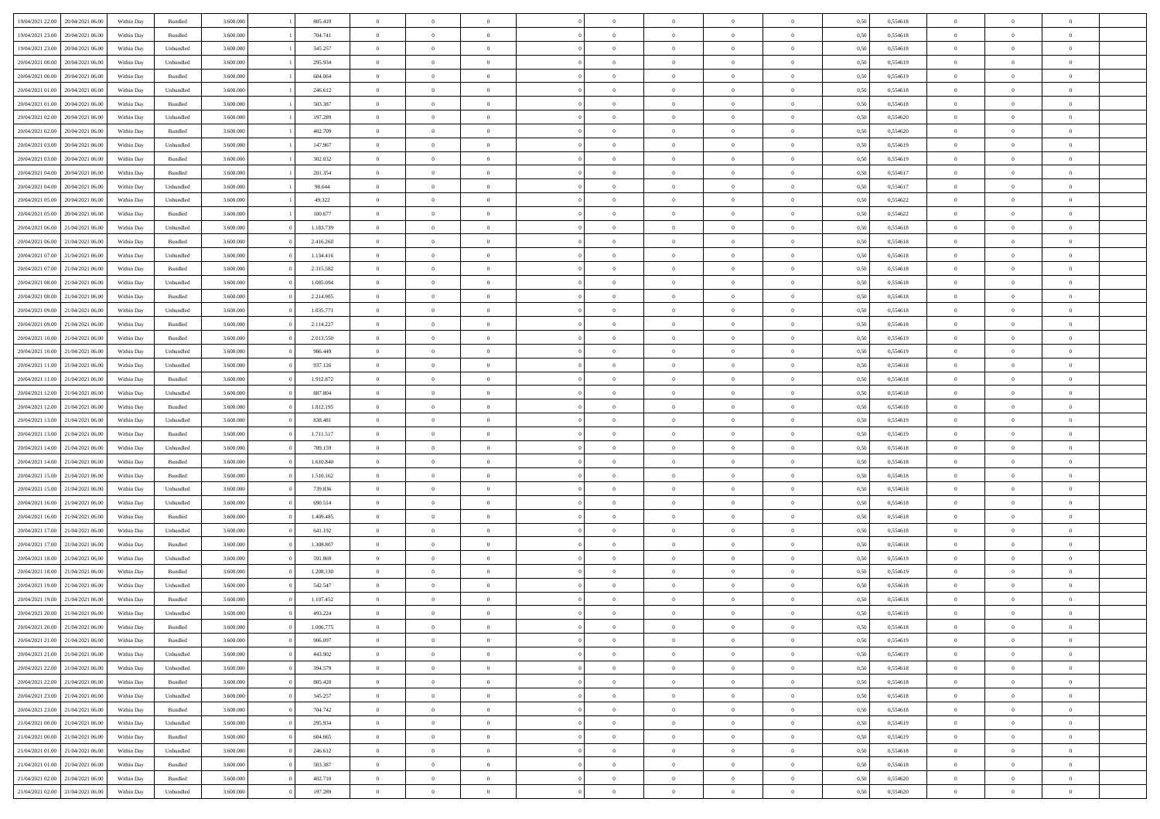| 19/04/2021 22:00                  | 20/04/2021 06:00 | Within Day | Bundled            | 3.600.000 | 805.419   | $\overline{0}$ | $\Omega$       |                | $\Omega$       | $\Omega$       | $\Omega$       | $\theta$       | 0,50 | 0,554618 | $\theta$       | $\theta$       | $\theta$       |  |
|-----------------------------------|------------------|------------|--------------------|-----------|-----------|----------------|----------------|----------------|----------------|----------------|----------------|----------------|------|----------|----------------|----------------|----------------|--|
|                                   |                  |            |                    |           |           |                |                |                |                |                |                |                |      |          |                |                |                |  |
| 19/04/2021 23:00                  | 20/04/2021 06:00 | Within Day | Bundled            | 3.600.000 | 704.741   | $\overline{0}$ | $\theta$       | $\overline{0}$ | $\overline{0}$ | $\bf{0}$       | $\overline{0}$ | $\bf{0}$       | 0,50 | 0,554618 | $\theta$       | $\theta$       | $\overline{0}$ |  |
| 19/04/2021 23:00                  | 20/04/2021 06:00 | Within Day | Unbundled          | 3.600.000 | 345.257   | $\overline{0}$ | $\overline{0}$ | $\overline{0}$ | $\overline{0}$ | $\bf{0}$       | $\overline{0}$ | $\bf{0}$       | 0,50 | 0,554618 | $\bf{0}$       | $\overline{0}$ | $\overline{0}$ |  |
| 20/04/2021 00:00                  | 20/04/2021 06:00 | Within Day | Unbundled          | 3.600,000 | 295.934   | $\overline{0}$ | $\overline{0}$ | $\overline{0}$ | $\overline{0}$ | $\bf{0}$       | $\overline{0}$ | $\overline{0}$ | 0.50 | 0.554619 | $\theta$       | $\theta$       | $\overline{0}$ |  |
| 20/04/2021 00:00                  | 20/04/2021 06:00 | Within Day | Bundled            | 3.600.000 | 604.064   | $\overline{0}$ | $\theta$       | $\overline{0}$ | $\overline{0}$ | $\bf{0}$       | $\overline{0}$ | $\bf{0}$       | 0,50 | 0,554619 | $\theta$       | $\theta$       | $\overline{0}$ |  |
| 20/04/2021 01:00                  | 20/04/2021 06:00 | Within Day | Unbundled          | 3.600.000 | 246.612   | $\overline{0}$ | $\bf{0}$       | $\overline{0}$ | $\overline{0}$ | $\overline{0}$ | $\overline{0}$ | $\mathbf{0}$   | 0,50 | 0,554618 | $\bf{0}$       | $\overline{0}$ | $\bf{0}$       |  |
|                                   |                  |            |                    |           |           |                |                |                |                |                |                |                |      |          |                |                |                |  |
| 20/04/2021 01:00                  | 20/04/2021 06:00 | Within Dav | Bundled            | 3.600.000 | 503.387   | $\overline{0}$ | $\overline{0}$ | $\overline{0}$ | $\overline{0}$ | $\overline{0}$ | $\overline{0}$ | $\overline{0}$ | 0.50 | 0.554618 | $\theta$       | $\overline{0}$ | $\overline{0}$ |  |
| 20/04/2021 02:00                  | 20/04/2021 06:00 | Within Day | Unbundled          | 3.600.000 | 197.289   | $\overline{0}$ | $\theta$       | $\overline{0}$ | $\overline{0}$ | $\bf{0}$       | $\overline{0}$ | $\bf{0}$       | 0,50 | 0,554620 | $\theta$       | $\theta$       | $\overline{0}$ |  |
| 20/04/2021 02:00                  | 20/04/2021 06:00 | Within Day | Bundled            | 3.600.000 | 402.709   | $\overline{0}$ | $\overline{0}$ | $\overline{0}$ | $\bf{0}$       | $\bf{0}$       | $\bf{0}$       | $\bf{0}$       | 0,50 | 0,554620 | $\,0\,$        | $\overline{0}$ | $\overline{0}$ |  |
| 20/04/2021 03:00                  | 20/04/2021 06:00 | Within Dav | Unbundled          | 3.600.000 | 147.967   | $\overline{0}$ | $\overline{0}$ | $\overline{0}$ | $\overline{0}$ | $\overline{0}$ | $\overline{0}$ | $\overline{0}$ | 0.50 | 0.554619 | $\theta$       | $\overline{0}$ | $\overline{0}$ |  |
| 20/04/2021 03:00                  | 20/04/2021 06:00 | Within Day | Bundled            | 3.600.000 | 302.032   | $\overline{0}$ | $\theta$       | $\overline{0}$ | $\overline{0}$ | $\bf{0}$       | $\overline{0}$ | $\bf{0}$       | 0,50 | 0,554619 | $\theta$       | $\theta$       | $\overline{0}$ |  |
| 20/04/2021 04:00                  | 20/04/2021 06:00 | Within Day | Bundled            | 3.600.000 | 201.354   | $\overline{0}$ | $\overline{0}$ | $\overline{0}$ | $\bf{0}$       | $\bf{0}$       | $\bf{0}$       | $\bf{0}$       | 0,50 | 0,554617 | $\bf{0}$       | $\overline{0}$ | $\overline{0}$ |  |
| 20/04/2021 04:00                  | 20/04/2021 06:00 | Within Day | Unbundled          | 3.600.000 | 98.644    | $\overline{0}$ | $\overline{0}$ | $\overline{0}$ | $\overline{0}$ | $\bf{0}$       | $\overline{0}$ | $\overline{0}$ | 0.50 | 0.554617 | $\theta$       | $\theta$       | $\overline{0}$ |  |
|                                   |                  |            |                    |           |           |                |                |                |                |                |                |                |      |          |                |                |                |  |
| 20/04/2021 05:00                  | 20/04/2021 06:00 | Within Day | Unbundled          | 3.600.000 | 49.322    | $\overline{0}$ | $\theta$       | $\overline{0}$ | $\overline{0}$ | $\bf{0}$       | $\overline{0}$ | $\bf{0}$       | 0,50 | 0,554622 | $\theta$       | $\theta$       | $\overline{0}$ |  |
| 20/04/2021 05:00                  | 20/04/2021 06:00 | Within Day | Bundled            | 3.600.000 | 100.677   | $\overline{0}$ | $\overline{0}$ | $\overline{0}$ | $\bf{0}$       | $\overline{0}$ | $\overline{0}$ | $\mathbf{0}$   | 0,50 | 0,554622 | $\bf{0}$       | $\overline{0}$ | $\bf{0}$       |  |
| 20/04/2021 06:00                  | 21/04/2021 06:00 | Within Dav | Unbundled          | 3.600.000 | 1.183.739 | $\overline{0}$ | $\overline{0}$ | $\overline{0}$ | $\overline{0}$ | $\overline{0}$ | $\overline{0}$ | $\overline{0}$ | 0.50 | 0,554618 | $\theta$       | $\overline{0}$ | $\overline{0}$ |  |
| 20/04/2021 06:00                  | 21/04/2021 06:00 | Within Day | Bundled            | 3.600.000 | 2.416.260 | $\overline{0}$ | $\theta$       | $\overline{0}$ | $\overline{0}$ | $\bf{0}$       | $\overline{0}$ | $\bf{0}$       | 0,50 | 0,554618 | $\theta$       | $\theta$       | $\overline{0}$ |  |
| 20/04/2021 07:00                  | 21/04/2021 06:00 | Within Day | Unbundled          | 3.600.000 | 1.134.416 | $\overline{0}$ | $\overline{0}$ | $\overline{0}$ | $\bf{0}$       | $\bf{0}$       | $\bf{0}$       | $\bf{0}$       | 0,50 | 0,554618 | $\,0\,$        | $\overline{0}$ | $\overline{0}$ |  |
| 20/04/2021 07:00                  | 21/04/2021 06:00 | Within Day | Bundled            | 3.600.000 | 2.315.582 | $\overline{0}$ | $\overline{0}$ | $\overline{0}$ | $\overline{0}$ | $\overline{0}$ | $\overline{0}$ | $\overline{0}$ | 0.50 | 0.554618 | $\theta$       | $\overline{0}$ | $\overline{0}$ |  |
|                                   |                  |            |                    |           |           | $\overline{0}$ | $\theta$       | $\overline{0}$ |                | $\bf{0}$       | $\overline{0}$ |                |      |          |                | $\theta$       | $\overline{0}$ |  |
| 20/04/2021 08:00                  | 21/04/2021 06:00 | Within Day | Unbundled          | 3.600.000 | 1.085.094 |                |                |                | $\overline{0}$ |                |                | $\bf{0}$       | 0,50 | 0,554618 | $\,$ 0 $\,$    |                |                |  |
| 20/04/2021 08:00                  | 21/04/2021 06:00 | Within Day | Bundled            | 3.600.000 | 2.214.905 | $\overline{0}$ | $\overline{0}$ | $\overline{0}$ | $\bf{0}$       | $\bf{0}$       | $\bf{0}$       | $\bf{0}$       | 0,50 | 0,554618 | $\bf{0}$       | $\overline{0}$ | $\overline{0}$ |  |
| 20/04/2021 09:00                  | 21/04/2021 06:00 | Within Day | Unbundled          | 3.600.000 | 1.035.771 | $\overline{0}$ | $\overline{0}$ | $\overline{0}$ | $\overline{0}$ | $\bf{0}$       | $\overline{0}$ | $\overline{0}$ | 0.50 | 0.554618 | $\theta$       | $\theta$       | $\overline{0}$ |  |
| 20/04/2021 09:00                  | 21/04/2021 06:00 | Within Day | Bundled            | 3.600.000 | 2.114.227 | $\overline{0}$ | $\theta$       | $\overline{0}$ | $\overline{0}$ | $\bf{0}$       | $\overline{0}$ | $\bf{0}$       | 0,50 | 0,554618 | $\theta$       | $\overline{0}$ | $\overline{0}$ |  |
| 20/04/2021 10:00                  | 21/04/2021 06:00 | Within Day | Bundled            | 3.600.000 | 2.013.550 | $\overline{0}$ | $\bf{0}$       | $\overline{0}$ | $\bf{0}$       | $\overline{0}$ | $\overline{0}$ | $\mathbf{0}$   | 0,50 | 0,554619 | $\overline{0}$ | $\overline{0}$ | $\bf{0}$       |  |
| 20/04/2021 10:00                  | 21/04/2021 06:00 | Within Dav | Unbundled          | 3.600.000 | 986,449   | $\overline{0}$ | $\overline{0}$ | $\overline{0}$ | $\overline{0}$ | $\overline{0}$ | $\overline{0}$ | $\overline{0}$ | 0.50 | 0,554619 | $\theta$       | $\theta$       | $\overline{0}$ |  |
| 20/04/2021 11:00                  | 21/04/2021 06:00 | Within Day | Unbundled          | 3.600.000 | 937.126   | $\overline{0}$ | $\theta$       | $\overline{0}$ | $\overline{0}$ | $\bf{0}$       | $\overline{0}$ | $\bf{0}$       | 0,50 | 0,554618 | $\theta$       | $\theta$       | $\overline{0}$ |  |
|                                   |                  |            |                    |           |           |                |                |                |                |                |                |                |      |          |                |                |                |  |
| 20/04/2021 11:00                  | 21/04/2021 06:00 | Within Day | Bundled            | 3.600.000 | 1.912.872 | $\overline{0}$ | $\overline{0}$ | $\overline{0}$ | $\bf{0}$       | $\bf{0}$       | $\bf{0}$       | $\bf{0}$       | 0,50 | 0,554618 | $\,0\,$        | $\overline{0}$ | $\overline{0}$ |  |
| 20/04/2021 12:00                  | 21/04/2021 06:00 | Within Day | Unbundled          | 3.600.000 | 887.804   | $\overline{0}$ | $\overline{0}$ | $\overline{0}$ | $\overline{0}$ | $\overline{0}$ | $\overline{0}$ | $\overline{0}$ | 0.50 | 0.554618 | $\theta$       | $\overline{0}$ | $\overline{0}$ |  |
| 20/04/2021 12:00                  | 21/04/2021 06:00 | Within Day | Bundled            | 3.600.000 | 1.812.195 | $\overline{0}$ | $\theta$       | $\overline{0}$ | $\overline{0}$ | $\bf{0}$       | $\overline{0}$ | $\bf{0}$       | 0,50 | 0,554618 | $\,$ 0 $\,$    | $\overline{0}$ | $\overline{0}$ |  |
| 20/04/2021 13:00                  | 21/04/2021 06:00 | Within Day | Unbundled          | 3.600.000 | 838.481   | $\overline{0}$ | $\overline{0}$ | $\overline{0}$ | $\bf{0}$       | $\bf{0}$       | $\overline{0}$ | $\bf{0}$       | 0,50 | 0,554619 | $\bf{0}$       | $\overline{0}$ | $\overline{0}$ |  |
| 20/04/2021 13:00                  | 21/04/2021 06.00 | Within Day | Bundled            | 3.600.000 | 1.711.517 | $\overline{0}$ | $\Omega$       | $\Omega$       | $\Omega$       | $\Omega$       | $\Omega$       | $\overline{0}$ | 0,50 | 0,554619 | $\,0\,$        | $\Omega$       | $\theta$       |  |
| 20/04/2021 14:00                  | 21/04/2021 06:00 | Within Day | Unbundled          | 3.600.000 | 789.159   | $\overline{0}$ | $\theta$       | $\overline{0}$ | $\overline{0}$ | $\bf{0}$       | $\overline{0}$ | $\bf{0}$       | 0,50 | 0,554618 | $\theta$       | $\theta$       | $\overline{0}$ |  |
|                                   |                  |            |                    |           |           |                |                |                |                |                |                |                |      |          |                |                |                |  |
| 20/04/2021 14:00                  | 21/04/2021 06:00 | Within Day | Bundled            | 3.600.000 | 1.610.840 | $\overline{0}$ | $\overline{0}$ | $\overline{0}$ | $\overline{0}$ | $\bf{0}$       | $\overline{0}$ | $\mathbf{0}$   | 0,50 | 0,554618 | $\bf{0}$       | $\overline{0}$ | $\bf{0}$       |  |
| 20/04/2021 15:00                  | 21/04/2021 06:00 | Within Day | Bundled            | 3.600,000 | 1.510.162 | $\overline{0}$ | $\Omega$       | $\Omega$       | $\Omega$       | $\bf{0}$       | $\overline{0}$ | $\overline{0}$ | 0.50 | 0.554618 | $\theta$       | $\theta$       | $\theta$       |  |
| 20/04/2021 15:00                  | 21/04/2021 06:00 | Within Day | Unbundled          | 3.600.000 | 739.836   | $\overline{0}$ | $\theta$       | $\overline{0}$ | $\overline{0}$ | $\bf{0}$       | $\overline{0}$ | $\bf{0}$       | 0,50 | 0,554618 | $\theta$       | $\theta$       | $\overline{0}$ |  |
| 20/04/2021 16:00                  | 21/04/2021 06:00 | Within Day | Unbundled          | 3.600.000 | 690.514   | $\overline{0}$ | $\overline{0}$ | $\overline{0}$ | $\overline{0}$ | $\bf{0}$       | $\overline{0}$ | $\bf{0}$       | 0,50 | 0,554618 | $\,0\,$        | $\overline{0}$ | $\overline{0}$ |  |
| 20/04/2021 16:00                  | 21/04/2021 06:00 | Within Day | Bundled            | 3.600,000 | 1.409.485 | $\overline{0}$ | $\Omega$       | $\Omega$       | $\Omega$       | $\Omega$       | $\theta$       | $\overline{0}$ | 0.50 | 0.554618 | $\theta$       | $\theta$       | $\theta$       |  |
| 20/04/2021 17:00                  | 21/04/2021 06:00 | Within Day | Unbundled          | 3.600.000 | 641.192   | $\overline{0}$ | $\theta$       | $\overline{0}$ | $\overline{0}$ | $\bf{0}$       | $\overline{0}$ | $\bf{0}$       | 0,50 | 0,554618 | $\,$ 0 $\,$    | $\overline{0}$ | $\overline{0}$ |  |
| 20/04/2021 17:00                  | 21/04/2021 06:00 | Within Day | Bundled            | 3.600.000 | 1.308.807 | $\overline{0}$ | $\overline{0}$ | $\overline{0}$ | $\overline{0}$ | $\bf{0}$       | $\overline{0}$ | $\bf{0}$       | 0,50 | 0,554618 | $\bf{0}$       | $\overline{0}$ | $\overline{0}$ |  |
|                                   |                  |            |                    |           |           |                |                |                |                |                |                |                |      |          |                |                |                |  |
| 20/04/2021 18:00                  | 21/04/2021 06.00 | Within Day | Unbundled          | 3.600.000 | 591.869   | $\overline{0}$ | $\Omega$       | $\overline{0}$ | $\Omega$       | $\Omega$       | $\overline{0}$ | $\overline{0}$ | 0,50 | 0,554619 | $\,0\,$        | $\theta$       | $\theta$       |  |
| 20/04/2021 18:00                  | 21/04/2021 06:00 | Within Day | Bundled            | 3.600.000 | 1.208.130 | $\overline{0}$ | $\theta$       | $\overline{0}$ | $\overline{0}$ | $\bf{0}$       | $\overline{0}$ | $\bf{0}$       | 0,50 | 0,554619 | $\,$ 0 $\,$    | $\overline{0}$ | $\overline{0}$ |  |
| 20/04/2021 19:00                  | 21/04/2021 06:00 | Within Day | Unbundled          | 3.600.000 | 542.547   | $\overline{0}$ | $\overline{0}$ | $\overline{0}$ | $\overline{0}$ | $\bf{0}$       | $\overline{0}$ | $\mathbf{0}$   | 0,50 | 0,554618 | $\bf{0}$       | $\overline{0}$ | $\bf{0}$       |  |
| 20/04/2021 19:00                  | 21/04/2021 06:00 | Within Day | Bundled            | 3.600,000 | 1.107.452 | $\overline{0}$ | $\Omega$       | $\Omega$       | $\Omega$       | $\Omega$       | $\Omega$       | $\overline{0}$ | 0.50 | 0.554618 | $\theta$       | $\Omega$       | $\theta$       |  |
| 20/04/2021 20:00                  | 21/04/2021 06:00 | Within Day | Unbundled          | 3.600.000 | 493.224   | $\overline{0}$ | $\,$ 0 $\,$    | $\overline{0}$ | $\bf{0}$       | $\,$ 0         | $\overline{0}$ | $\bf{0}$       | 0,50 | 0,554618 | $\,0\,$        | $\overline{0}$ | $\overline{0}$ |  |
| 20/04/2021 20:00                  | 21/04/2021 06:00 | Within Day | $\mathbf B$ undled | 3.600.000 | 1.006.775 | $\bf{0}$       | $\bf{0}$       |                |                |                |                |                | 0,50 | 0,554618 | $\bf{0}$       | $\overline{0}$ |                |  |
| 20/04/2021 21:00                  | 21/04/2021 06:00 | Within Day | Bundled            | 3.600,000 | 906 097   | $\overline{0}$ | $\overline{0}$ | $\overline{0}$ | $\Omega$       | $\overline{0}$ | $\overline{0}$ | $\overline{0}$ | 0,50 | 0.554619 | $\theta$       | $\theta$       | $\Omega$       |  |
| 20/04/2021 21:00                  | 21/04/2021 06:00 | Within Day | Unbundled          | 3.600.000 | 443.902   | $\overline{0}$ | $\bf{0}$       | $\overline{0}$ | $\overline{0}$ | $\,$ 0 $\,$    | $\overline{0}$ | $\,$ 0 $\,$    | 0,50 | 0,554619 | $\,$ 0 $\,$    | $\,$ 0 $\,$    | $\,$ 0         |  |
|                                   |                  |            |                    |           |           |                |                |                |                |                |                |                |      |          |                |                |                |  |
| 20/04/2021 22.00                  | 21/04/2021 06:00 | Within Day | Unbundled          | 3.600.000 | 394.579   | $\overline{0}$ | $\overline{0}$ | $\overline{0}$ | $\overline{0}$ | $\overline{0}$ | $\overline{0}$ | $\mathbf{0}$   | 0,50 | 0,554618 | $\overline{0}$ | $\bf{0}$       | $\overline{0}$ |  |
| 20/04/2021 22:00                  | 21/04/2021 06:00 | Within Day | $\mathbf B$ undled | 3.600.000 | 805.420   | $\overline{0}$ | $\overline{0}$ | $\overline{0}$ | $\Omega$       | $\overline{0}$ | $\overline{0}$ | $\overline{0}$ | 0,50 | 0,554618 | $\overline{0}$ | $\theta$       | $\overline{0}$ |  |
| 20/04/2021 23:00                  | 21/04/2021 06:00 | Within Day | Unbundled          | 3.600.000 | 345.257   | $\overline{0}$ | $\,$ 0         | $\overline{0}$ | $\overline{0}$ | $\,$ 0 $\,$    | $\overline{0}$ | $\,$ 0 $\,$    | 0,50 | 0,554618 | $\,$ 0 $\,$    | $\overline{0}$ | $\,$ 0         |  |
| 20/04/2021 23:00                  | 21/04/2021 06:00 | Within Day | Bundled            | 3.600.000 | 704.742   | $\overline{0}$ | $\overline{0}$ | $\overline{0}$ | $\overline{0}$ | $\overline{0}$ | $\overline{0}$ | $\mathbf{0}$   | 0,50 | 0,554618 | $\overline{0}$ | $\overline{0}$ | $\overline{0}$ |  |
| 21/04/2021 00:00                  | 21/04/2021 06:00 | Within Day | Unbundled          | 3.600.000 | 295.934   | $\overline{0}$ | $\overline{0}$ | $\overline{0}$ | $\overline{0}$ | $\overline{0}$ | $\overline{0}$ | $\overline{0}$ | 0.50 | 0,554619 | $\overline{0}$ | $\theta$       | $\overline{0}$ |  |
| 21/04/2021 00:00                  | 21/04/2021 06:00 | Within Day | Bundled            | 3.600.000 | 604.065   | $\overline{0}$ | $\,$ 0         | $\overline{0}$ | $\overline{0}$ | $\bf{0}$       | $\overline{0}$ | $\bf{0}$       | 0,50 | 0,554619 | $\,$ 0 $\,$    | $\overline{0}$ | $\overline{0}$ |  |
|                                   |                  |            |                    |           |           |                |                |                |                |                |                |                |      |          |                |                |                |  |
| 21/04/2021 01:00                  | 21/04/2021 06:00 | Within Day | Unbundled          | 3.600.000 | 246.612   | $\overline{0}$ | $\bf{0}$       | $\overline{0}$ | $\overline{0}$ | $\overline{0}$ | $\overline{0}$ | $\mathbf{0}$   | 0,50 | 0,554618 | $\overline{0}$ | $\overline{0}$ | $\bf{0}$       |  |
| 21/04/2021 01:00                  | 21/04/2021 06:00 | Within Day | Bundled            | 3.600,000 | 503,387   | $\overline{0}$ | $\overline{0}$ | $\overline{0}$ | $\Omega$       | $\overline{0}$ | $\overline{0}$ | $\overline{0}$ | 0.50 | 0,554618 | $\overline{0}$ | $\overline{0}$ | $\overline{0}$ |  |
| 21/04/2021 02:00                  | 21/04/2021 06:00 | Within Day | Bundled            | 3.600.000 | 402.710   | $\overline{0}$ | $\bf{0}$       | $\overline{0}$ | $\overline{0}$ | $\bf{0}$       | $\overline{0}$ | $\mathbf{0}$   | 0,50 | 0,554620 | $\,$ 0 $\,$    | $\,$ 0 $\,$    | $\bf{0}$       |  |
| 21/04/2021 02.00 21/04/2021 06.00 |                  | Within Day | Unbundled          | 3.600.000 | 197.289   | $\overline{0}$ | $\bf{0}$       | $\overline{0}$ | $\overline{0}$ | $\bf{0}$       | $\overline{0}$ | $\bf{0}$       | 0,50 | 0,554620 | $\overline{0}$ | $\overline{0}$ | $\bf{0}$       |  |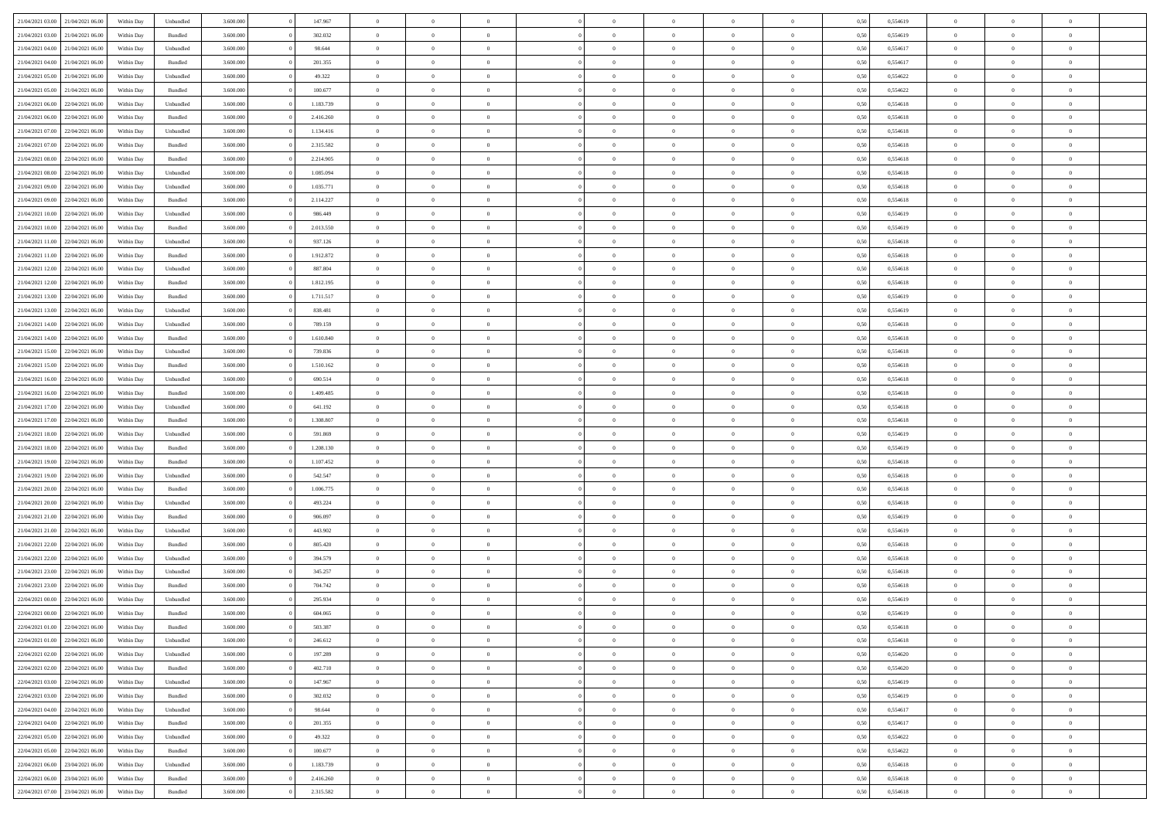|                                   |                  |            |                    |           |           | $\overline{0}$ | $\Omega$       |                |                | $\Omega$       | $\Omega$       | $\theta$       |      |          | $\theta$       |                | $\theta$       |  |
|-----------------------------------|------------------|------------|--------------------|-----------|-----------|----------------|----------------|----------------|----------------|----------------|----------------|----------------|------|----------|----------------|----------------|----------------|--|
| 21/04/2021 03:00                  | 21/04/2021 06:00 | Within Day | Unbundled          | 3.600.000 | 147.967   |                |                |                | $\Omega$       |                |                |                | 0,50 | 0,554619 |                | $\theta$       |                |  |
| 21/04/2021 03:00                  | 21/04/2021 06:00 | Within Day | Bundled            | 3.600.000 | 302.032   | $\overline{0}$ | $\theta$       | $\overline{0}$ | $\overline{0}$ | $\bf{0}$       | $\overline{0}$ | $\bf{0}$       | 0,50 | 0,554619 | $\theta$       | $\theta$       | $\overline{0}$ |  |
| 21/04/2021 04:00                  | 21/04/2021 06:00 | Within Day | Unbundled          | 3.600.000 | 98.644    | $\overline{0}$ | $\overline{0}$ | $\overline{0}$ | $\overline{0}$ | $\bf{0}$       | $\overline{0}$ | $\bf{0}$       | 0,50 | 0,554617 | $\overline{0}$ | $\overline{0}$ | $\overline{0}$ |  |
| 21/04/2021 04:00                  | 21/04/2021 06:00 | Within Dav | Bundled            | 3.600,000 | 201.355   | $\overline{0}$ | $\overline{0}$ | $\overline{0}$ | $\overline{0}$ | $\bf{0}$       | $\overline{0}$ | $\overline{0}$ | 0.50 | 0.554617 | $\theta$       | $\theta$       | $\overline{0}$ |  |
|                                   |                  |            |                    |           |           |                |                |                |                |                |                |                |      |          |                |                |                |  |
| 21/04/2021 05:00                  | 21/04/2021 06:00 | Within Day | Unbundled          | 3.600.000 | 49.322    | $\overline{0}$ | $\theta$       | $\overline{0}$ | $\overline{0}$ | $\bf{0}$       | $\overline{0}$ | $\bf{0}$       | 0,50 | 0,554622 | $\theta$       | $\theta$       | $\overline{0}$ |  |
| 21/04/2021 05:00                  | 21/04/2021 06:00 | Within Day | Bundled            | 3.600.000 | 100.677   | $\overline{0}$ | $\bf{0}$       | $\overline{0}$ | $\overline{0}$ | $\overline{0}$ | $\overline{0}$ | $\mathbf{0}$   | 0,50 | 0,554622 | $\overline{0}$ | $\overline{0}$ | $\bf{0}$       |  |
| 21/04/2021 06:00                  | 22/04/2021 06:00 | Within Dav | Unbundled          | 3.600.000 | 1.183.739 | $\overline{0}$ | $\overline{0}$ | $\overline{0}$ | $\overline{0}$ | $\overline{0}$ | $\overline{0}$ | $\overline{0}$ | 0.50 | 0.554618 | $\theta$       | $\overline{0}$ | $\overline{0}$ |  |
| 21/04/2021 06:00                  | 22/04/2021 06:00 | Within Day | Bundled            | 3.600.000 | 2.416.260 | $\overline{0}$ | $\theta$       | $\overline{0}$ | $\overline{0}$ | $\bf{0}$       | $\overline{0}$ | $\bf{0}$       | 0,50 | 0,554618 | $\theta$       | $\theta$       | $\overline{0}$ |  |
|                                   |                  |            |                    |           |           |                | $\overline{0}$ |                |                | $\bf{0}$       |                |                |      |          | $\,0\,$        | $\overline{0}$ | $\overline{0}$ |  |
| 21/04/2021 07:00                  | 22/04/2021 06:00 | Within Day | Unbundled          | 3.600.000 | 1.134.416 | $\overline{0}$ |                | $\overline{0}$ | $\overline{0}$ |                | $\overline{0}$ | $\bf{0}$       | 0,50 | 0,554618 |                |                |                |  |
| 21/04/2021 07:00                  | 22/04/2021 06:00 | Within Dav | Bundled            | 3.600.000 | 2.315.582 | $\overline{0}$ | $\overline{0}$ | $\overline{0}$ | $\overline{0}$ | $\overline{0}$ | $\overline{0}$ | $\overline{0}$ | 0.50 | 0.554618 | $\theta$       | $\overline{0}$ | $\overline{0}$ |  |
| 21/04/2021 08:00                  | 22/04/2021 06:00 | Within Day | Bundled            | 3.600.000 | 2.214.905 | $\overline{0}$ | $\theta$       | $\overline{0}$ | $\overline{0}$ | $\bf{0}$       | $\overline{0}$ | $\bf{0}$       | 0,50 | 0,554618 | $\,$ 0 $\,$    | $\overline{0}$ | $\overline{0}$ |  |
| 21/04/2021 08:00                  | 22/04/2021 06:00 | Within Day | Unbundled          | 3.600.000 | 1.085.094 | $\overline{0}$ | $\overline{0}$ | $\overline{0}$ | $\bf{0}$       | $\bf{0}$       | $\bf{0}$       | $\bf{0}$       | 0,50 | 0,554618 | $\overline{0}$ | $\overline{0}$ | $\overline{0}$ |  |
| 21/04/2021 09:00                  | 22/04/2021 06:00 | Within Day | Unbundled          | 3.600.000 | 1.035.771 | $\overline{0}$ | $\overline{0}$ | $\overline{0}$ | $\overline{0}$ | $\bf{0}$       | $\overline{0}$ | $\overline{0}$ | 0.50 | 0.554618 | $\theta$       | $\theta$       | $\overline{0}$ |  |
|                                   |                  |            |                    |           |           | $\overline{0}$ | $\theta$       |                |                |                |                |                |      |          | $\theta$       |                |                |  |
| 21/04/2021 09:00                  | 22/04/2021 06.00 | Within Day | Bundled            | 3.600.000 | 2.114.227 |                |                | $\overline{0}$ | $\overline{0}$ | $\bf{0}$       | $\overline{0}$ | $\bf{0}$       | 0,50 | 0,554618 |                | $\theta$       | $\overline{0}$ |  |
| 21/04/2021 10:00                  | 22/04/2021 06:00 | Within Day | Unbundled          | 3.600.000 | 986.449   | $\overline{0}$ | $\overline{0}$ | $\overline{0}$ | $\bf{0}$       | $\overline{0}$ | $\overline{0}$ | $\mathbf{0}$   | 0,50 | 0,554619 | $\overline{0}$ | $\overline{0}$ | $\bf{0}$       |  |
| 21/04/2021 10:00                  | 22/04/2021 06:00 | Within Dav | Bundled            | 3.600.000 | 2.013.550 | $\overline{0}$ | $\overline{0}$ | $\overline{0}$ | $\overline{0}$ | $\overline{0}$ | $\overline{0}$ | $\overline{0}$ | 0.50 | 0.554619 | $\theta$       | $\overline{0}$ | $\overline{0}$ |  |
| 21/04/2021 11:00                  | 22/04/2021 06:00 | Within Day | Unbundled          | 3.600.000 | 937.126   | $\overline{0}$ | $\theta$       | $\overline{0}$ | $\overline{0}$ | $\bf{0}$       | $\overline{0}$ | $\bf{0}$       | 0,50 | 0,554618 | $\theta$       | $\theta$       | $\overline{0}$ |  |
| 21/04/2021 11:00                  | 22/04/2021 06:00 | Within Day | Bundled            | 3.600.000 | 1.912.872 | $\overline{0}$ | $\overline{0}$ | $\overline{0}$ | $\bf{0}$       | $\bf{0}$       | $\bf{0}$       | $\bf{0}$       | 0,50 | 0,554618 | $\,0\,$        | $\overline{0}$ | $\overline{0}$ |  |
|                                   |                  |            |                    |           |           |                |                |                |                |                |                |                |      |          |                |                |                |  |
| 21/04/2021 12:00                  | 22/04/2021 06:00 | Within Day | Unbundled          | 3.600.000 | 887.804   | $\overline{0}$ | $\overline{0}$ | $\overline{0}$ | $\overline{0}$ | $\overline{0}$ | $\overline{0}$ | $\overline{0}$ | 0.50 | 0.554618 | $\theta$       | $\overline{0}$ | $\overline{0}$ |  |
| 21/04/2021 12:00                  | 22/04/2021 06:00 | Within Day | Bundled            | 3.600.000 | 1.812.195 | $\overline{0}$ | $\theta$       | $\overline{0}$ | $\overline{0}$ | $\bf{0}$       | $\overline{0}$ | $\bf{0}$       | 0,50 | 0,554618 | $\,$ 0 $\,$    | $\theta$       | $\overline{0}$ |  |
| 21/04/2021 13:00                  | 22/04/2021 06:00 | Within Day | Bundled            | 3.600.000 | 1.711.517 | $\overline{0}$ | $\overline{0}$ | $\overline{0}$ | $\bf{0}$       | $\bf{0}$       | $\bf{0}$       | $\bf{0}$       | 0,50 | 0,554619 | $\bf{0}$       | $\overline{0}$ | $\overline{0}$ |  |
| 21/04/2021 13:00                  | 22/04/2021 06:00 | Within Day | Unbundled          | 3.600,000 | 838.481   | $\overline{0}$ | $\overline{0}$ | $\overline{0}$ | $\overline{0}$ | $\bf{0}$       | $\overline{0}$ | $\overline{0}$ | 0.50 | 0.554619 | $\theta$       | $\theta$       | $\overline{0}$ |  |
|                                   |                  |            |                    |           |           | $\overline{0}$ | $\theta$       | $\overline{0}$ | $\overline{0}$ | $\bf{0}$       | $\overline{0}$ |                |      |          | $\,$ 0 $\,$    | $\overline{0}$ | $\overline{0}$ |  |
| 21/04/2021 14:00                  | 22/04/2021 06:00 | Within Day | Unbundled          | 3.600.000 | 789.159   |                |                |                |                |                |                | $\bf{0}$       | 0,50 | 0,554618 |                |                |                |  |
| 21/04/2021 14:00                  | 22/04/2021 06:00 | Within Day | Bundled            | 3.600.000 | 1.610.840 | $\overline{0}$ | $\bf{0}$       | $\overline{0}$ | $\bf{0}$       | $\overline{0}$ | $\overline{0}$ | $\mathbf{0}$   | 0,50 | 0,554618 | $\overline{0}$ | $\overline{0}$ | $\bf{0}$       |  |
| 21/04/2021 15:00                  | 22/04/2021 06:00 | Within Dav | Unbundled          | 3.600.000 | 739.836   | $\overline{0}$ | $\overline{0}$ | $\overline{0}$ | $\overline{0}$ | $\overline{0}$ | $\overline{0}$ | $\overline{0}$ | 0.50 | 0.554618 | $\theta$       | $\overline{0}$ | $\overline{0}$ |  |
| 21/04/2021 15:00                  | 22/04/2021 06:00 | Within Day | Bundled            | 3.600.000 | 1.510.162 | $\overline{0}$ | $\theta$       | $\overline{0}$ | $\overline{0}$ | $\bf{0}$       | $\overline{0}$ | $\bf{0}$       | 0,50 | 0,554618 | $\theta$       | $\theta$       | $\overline{0}$ |  |
| 21/04/2021 16:00                  | 22/04/2021 06:00 | Within Day | Unbundled          | 3.600.000 | 690.514   | $\overline{0}$ | $\overline{0}$ | $\overline{0}$ | $\bf{0}$       | $\bf{0}$       | $\bf{0}$       | $\bf{0}$       | 0,50 | 0,554618 | $\,0\,$        | $\overline{0}$ | $\overline{0}$ |  |
|                                   |                  |            |                    |           |           |                |                |                |                |                |                |                |      |          |                |                |                |  |
| 21/04/2021 16:00                  | 22/04/2021 06:00 | Within Day | Bundled            | 3.600.000 | 1.409.485 | $\overline{0}$ | $\overline{0}$ | $\overline{0}$ | $\overline{0}$ | $\overline{0}$ | $\overline{0}$ | $\overline{0}$ | 0.50 | 0.554618 | $\theta$       | $\overline{0}$ | $\overline{0}$ |  |
| 21/04/2021 17:00                  | 22/04/2021 06:00 | Within Day | Unbundled          | 3.600.000 | 641.192   | $\overline{0}$ | $\theta$       | $\overline{0}$ | $\overline{0}$ | $\bf{0}$       | $\overline{0}$ | $\bf{0}$       | 0,50 | 0,554618 | $\,$ 0 $\,$    | $\overline{0}$ | $\overline{0}$ |  |
| 21/04/2021 17:00                  | 22/04/2021 06:00 | Within Day | Bundled            | 3.600.000 | 1.308.807 | $\overline{0}$ | $\overline{0}$ | $\overline{0}$ | $\bf{0}$       | $\bf{0}$       | $\bf{0}$       | $\bf{0}$       | 0,50 | 0,554618 | $\overline{0}$ | $\overline{0}$ | $\overline{0}$ |  |
| 21/04/2021 18:00                  | 22/04/2021 06:00 | Within Day | Unbundled          | 3.600.000 | 591.869   | $\overline{0}$ | $\Omega$       | $\Omega$       | $\Omega$       | $\Omega$       | $\Omega$       | $\overline{0}$ | 0,50 | 0,554619 | $\,0\,$        | $\theta$       | $\theta$       |  |
| 21/04/2021 18:00                  | 22/04/2021 06:00 | Within Day | Bundled            | 3.600.000 | 1.208.130 | $\overline{0}$ | $\theta$       | $\overline{0}$ | $\overline{0}$ | $\bf{0}$       | $\overline{0}$ | $\bf{0}$       | 0,50 | 0,554619 | $\theta$       | $\theta$       | $\overline{0}$ |  |
|                                   |                  |            |                    |           |           |                |                |                |                |                |                |                |      |          |                |                |                |  |
| 21/04/2021 19:00                  | 22/04/2021 06:00 | Within Day | Bundled            | 3.600.000 | 1.107.452 | $\overline{0}$ | $\overline{0}$ | $\overline{0}$ | $\overline{0}$ | $\bf{0}$       | $\overline{0}$ | $\mathbf{0}$   | 0,50 | 0,554618 | $\overline{0}$ | $\overline{0}$ | $\bf{0}$       |  |
| 21/04/2021 19:00                  | 22/04/2021 06:00 | Within Day | Unbundled          | 3.600,000 | 542.547   | $\overline{0}$ | $\Omega$       | $\Omega$       | $\Omega$       | $\bf{0}$       | $\overline{0}$ | $\overline{0}$ | 0.50 | 0.554618 | $\theta$       | $\theta$       | $\theta$       |  |
| 21/04/2021 20:00                  | 22/04/2021 06:00 | Within Day | Bundled            | 3.600.000 | 1.006.775 | $\overline{0}$ | $\theta$       | $\overline{0}$ | $\overline{0}$ | $\bf{0}$       | $\overline{0}$ | $\bf{0}$       | 0,50 | 0,554618 | $\,$ 0 $\,$    | $\theta$       | $\overline{0}$ |  |
| 21/04/2021 20:00                  | 22/04/2021 06:00 | Within Day | Unbundled          | 3.600.000 | 493.224   | $\overline{0}$ | $\overline{0}$ | $\overline{0}$ | $\overline{0}$ | $\bf{0}$       | $\overline{0}$ | $\bf{0}$       | 0,50 | 0,554618 | $\,0\,$        | $\overline{0}$ | $\overline{0}$ |  |
|                                   |                  |            |                    |           |           |                |                |                |                |                |                |                |      |          |                |                |                |  |
| 21/04/2021 21:00                  | 22/04/2021 06:00 | Within Day | Bundled            | 3.600,000 | 906,097   | $\overline{0}$ | $\Omega$       | $\Omega$       | $\Omega$       | $\theta$       | $\theta$       | $\overline{0}$ | 0.50 | 0.554619 | $\theta$       | $\theta$       | $\theta$       |  |
| 21/04/2021 21:00                  | 22/04/2021 06:00 | Within Day | Unbundled          | 3.600.000 | 443.902   | $\overline{0}$ | $\theta$       | $\overline{0}$ | $\overline{0}$ | $\bf{0}$       | $\overline{0}$ | $\bf{0}$       | 0,50 | 0,554619 | $\,$ 0 $\,$    | $\overline{0}$ | $\overline{0}$ |  |
| 21/04/2021 22.00                  | 22/04/2021 06:00 | Within Day | Bundled            | 3.600.000 | 805.420   | $\overline{0}$ | $\overline{0}$ | $\overline{0}$ | $\overline{0}$ | $\bf{0}$       | $\overline{0}$ | $\bf{0}$       | 0,50 | 0,554618 | $\overline{0}$ | $\overline{0}$ | $\overline{0}$ |  |
| 21/04/2021 22:00                  | 22/04/2021 06:00 | Within Day | Unbundled          | 3.600.000 | 394.579   | $\overline{0}$ | $\Omega$       | $\overline{0}$ | $\Omega$       | $\Omega$       | $\overline{0}$ | $\overline{0}$ | 0,50 | 0,554618 | $\,0\,$        | $\theta$       | $\theta$       |  |
| 21/04/2021 23:00                  | 22/04/2021 06:00 | Within Day | Unbundled          | 3.600.000 | 345.257   | $\overline{0}$ | $\theta$       | $\overline{0}$ | $\overline{0}$ | $\bf{0}$       | $\overline{0}$ | $\bf{0}$       | 0,50 | 0,554618 | $\,$ 0 $\,$    | $\overline{0}$ | $\overline{0}$ |  |
|                                   |                  |            |                    |           |           |                |                |                |                |                |                |                |      |          |                |                |                |  |
| 21/04/2021 23:00                  | 22/04/2021 06:00 | Within Day | Bundled            | 3.600.000 | 704.742   | $\overline{0}$ | $\overline{0}$ | $\overline{0}$ | $\overline{0}$ | $\bf{0}$       | $\overline{0}$ | $\mathbf{0}$   | 0,50 | 0,554618 | $\overline{0}$ | $\overline{0}$ | $\bf{0}$       |  |
| 22/04/2021 00:00                  | 22/04/2021 06:00 | Within Day | Unbundled          | 3.600,000 | 295.934   | $\overline{0}$ | $\Omega$       | $\Omega$       | $\Omega$       | $\Omega$       | $\Omega$       | $\overline{0}$ | 0.50 | 0.554619 | $\theta$       | $\theta$       | $\theta$       |  |
| 22/04/2021 00:00                  | 22/04/2021 06:00 | Within Day | Bundled            | 3.600.000 | 604.065   | $\overline{0}$ | $\overline{0}$ | $\overline{0}$ | $\bf{0}$       | $\,$ 0         | $\overline{0}$ | $\bf{0}$       | 0,50 | 0,554619 | $\,0\,$        | $\overline{0}$ | $\overline{0}$ |  |
| 22/04/2021 01:00 22/04/2021 06:00 |                  | Within Day | $\mathbf B$ undled | 3.600.000 | 503.387   | $\bf{0}$       | $\bf{0}$       |                |                |                |                |                | 0,50 | 0,554618 | $\bf{0}$       | $\overline{0}$ |                |  |
| 22/04/2021 01:00                  | 22/04/2021 06:00 | Within Day | Unbundled          | 3.600.000 | 246.612   | $\overline{0}$ | $\overline{0}$ | $\overline{0}$ | $\Omega$       | $\overline{0}$ | $\overline{0}$ | $\overline{0}$ | 0,50 | 0.554618 | $\theta$       | $\theta$       | $\Omega$       |  |
|                                   |                  |            |                    |           |           |                |                |                |                |                |                |                |      |          |                |                |                |  |
| 22/04/2021 02:00                  | 22/04/2021 06:00 | Within Day | Unbundled          | 3.600.000 | 197.289   | $\overline{0}$ | $\bf{0}$       | $\overline{0}$ | $\overline{0}$ | $\,$ 0 $\,$    | $\overline{0}$ | $\,$ 0 $\,$    | 0,50 | 0,554620 | $\,$ 0 $\,$    | $\,$ 0 $\,$    | $\,$ 0         |  |
| 22/04/2021 02:00                  | 22/04/2021 06:00 | Within Day | Bundled            | 3.600.000 | 402.710   | $\overline{0}$ | $\overline{0}$ | $\overline{0}$ | $\overline{0}$ | $\overline{0}$ | $\overline{0}$ | $\mathbf{0}$   | 0,50 | 0,554620 | $\overline{0}$ | $\bf{0}$       | $\bf{0}$       |  |
| 22/04/2021 03:00                  | 22/04/2021 06:00 | Within Day | Unbundled          | 3.600.000 | 147.967   | $\overline{0}$ | $\overline{0}$ | $\overline{0}$ | $\Omega$       | $\overline{0}$ | $\overline{0}$ | $\overline{0}$ | 0,50 | 0,554619 | $\overline{0}$ | $\theta$       | $\overline{0}$ |  |
| 22/04/2021 03:00                  | 22/04/2021 06:00 | Within Day | Bundled            | 3.600.000 | 302.032   | $\overline{0}$ | $\,$ 0         | $\overline{0}$ | $\overline{0}$ | $\,$ 0 $\,$    | $\overline{0}$ | $\mathbf{0}$   | 0,50 | 0,554619 | $\,$ 0 $\,$    | $\overline{0}$ | $\overline{0}$ |  |
|                                   |                  |            |                    |           |           |                |                |                |                |                |                |                |      |          |                |                |                |  |
| 22/04/2021 04:00                  | 22/04/2021 06:00 | Within Day | Unbundled          | 3.600.000 | 98.644    | $\overline{0}$ | $\overline{0}$ | $\overline{0}$ | $\overline{0}$ | $\overline{0}$ | $\overline{0}$ | $\mathbf{0}$   | 0,50 | 0,554617 | $\overline{0}$ | $\overline{0}$ | $\bf{0}$       |  |
| 22/04/2021 04:00                  | 22/04/2021 06:00 | Within Day | Bundled            | 3.600.000 | 201.355   | $\overline{0}$ | $\overline{0}$ | $\overline{0}$ | $\Omega$       | $\overline{0}$ | $\overline{0}$ | $\bf{0}$       | 0.50 | 0,554617 | $\overline{0}$ | $\theta$       | $\overline{0}$ |  |
| 22/04/2021 05:00                  | 22/04/2021 06:00 | Within Day | Unbundled          | 3.600.000 | 49.322    | $\overline{0}$ | $\,$ 0         | $\overline{0}$ | $\overline{0}$ | $\bf{0}$       | $\overline{0}$ | $\bf{0}$       | 0,50 | 0,554622 | $\,$ 0 $\,$    | $\overline{0}$ | $\overline{0}$ |  |
| 22/04/2021 05:00                  | 22/04/2021 06:00 | Within Day | Bundled            | 3.600.000 | 100.677   | $\overline{0}$ | $\bf{0}$       | $\overline{0}$ | $\overline{0}$ | $\overline{0}$ | $\overline{0}$ | $\mathbf{0}$   | 0,50 | 0,554622 | $\overline{0}$ | $\overline{0}$ | $\bf{0}$       |  |
| 22/04/2021 06:00                  | 23/04/2021 06:00 | Within Day | Unbundled          | 3.600,000 | 1.183.739 | $\overline{0}$ | $\overline{0}$ | $\overline{0}$ | $\Omega$       | $\overline{0}$ | $\overline{0}$ | $\overline{0}$ | 0.50 | 0,554618 | $\overline{0}$ | $\overline{0}$ | $\overline{0}$ |  |
|                                   |                  |            |                    |           |           |                |                |                |                |                |                |                |      |          |                |                |                |  |
| 22/04/2021 06:00                  | 23/04/2021 06:00 | Within Day | Bundled            | 3.600.000 | 2.416.260 | $\overline{0}$ | $\bf{0}$       | $\overline{0}$ | $\overline{0}$ | $\bf{0}$       | $\overline{0}$ | $\mathbf{0}$   | 0,50 | 0,554618 | $\,$ 0 $\,$    | $\,$ 0 $\,$    | $\bf{0}$       |  |
| 22/04/2021 07:00 23/04/2021 06:00 |                  | Within Day | Bundled            | 3.600.000 | 2.315.582 | $\overline{0}$ | $\overline{0}$ | $\overline{0}$ | $\overline{0}$ | $\overline{0}$ | $\overline{0}$ | $\mathbf{0}$   | 0,50 | 0,554618 | $\overline{0}$ | $\bf{0}$       | $\bf{0}$       |  |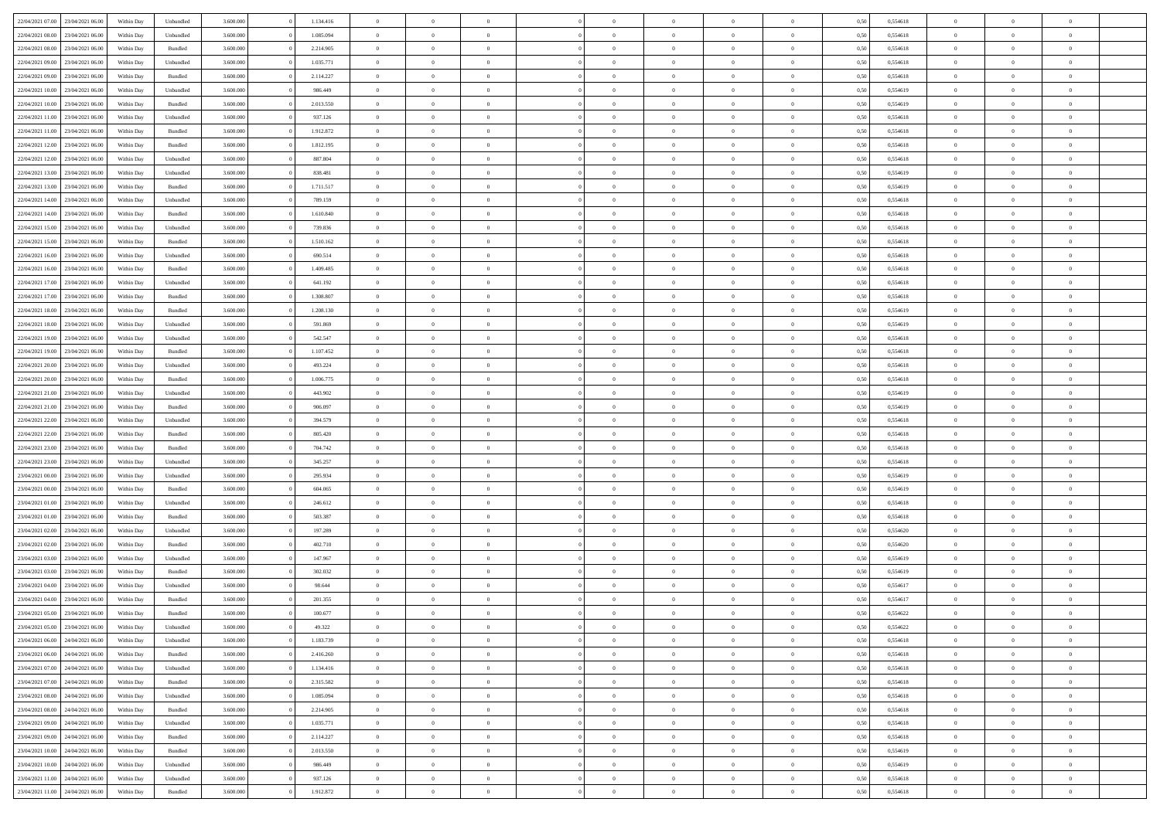| 22/04/2021 07:00                  | 23/04/2021 06:00 | Within Day | Unbundled          | 3.600.000 | 1.134.416 | $\overline{0}$ | $\Omega$       |                | $\Omega$       | $\Omega$       | $\Omega$       | $\theta$       | 0,50 | 0,554618 | $\theta$       | $\theta$       | $\theta$       |  |
|-----------------------------------|------------------|------------|--------------------|-----------|-----------|----------------|----------------|----------------|----------------|----------------|----------------|----------------|------|----------|----------------|----------------|----------------|--|
| 22/04/2021 08:00                  | 23/04/2021 06:00 | Within Day | Unbundled          | 3.600.000 | 1.085.094 | $\overline{0}$ | $\theta$       | $\overline{0}$ | $\overline{0}$ | $\bf{0}$       | $\overline{0}$ | $\bf{0}$       | 0,50 | 0,554618 | $\theta$       | $\theta$       | $\overline{0}$ |  |
| 22/04/2021 08:00                  | 23/04/2021 06:00 | Within Day | Bundled            | 3.600.000 | 2.214.905 | $\overline{0}$ | $\overline{0}$ | $\overline{0}$ | $\overline{0}$ | $\bf{0}$       | $\overline{0}$ | $\bf{0}$       | 0,50 | 0,554618 | $\overline{0}$ | $\overline{0}$ | $\overline{0}$ |  |
| 22/04/2021 09:00                  | 23/04/2021 06:00 | Within Dav | Unbundled          | 3.600.000 | 1.035.771 | $\overline{0}$ | $\overline{0}$ | $\overline{0}$ | $\overline{0}$ | $\bf{0}$       | $\overline{0}$ | $\overline{0}$ | 0.50 | 0.554618 | $\theta$       | $\theta$       | $\overline{0}$ |  |
| 22/04/2021 09:00                  | 23/04/2021 06:00 |            | Bundled            | 3.600.000 | 2.114.227 | $\overline{0}$ | $\theta$       | $\overline{0}$ | $\overline{0}$ | $\bf{0}$       | $\overline{0}$ |                |      | 0,554618 | $\theta$       | $\theta$       | $\overline{0}$ |  |
|                                   |                  | Within Day |                    |           |           |                |                |                |                |                |                | $\bf{0}$       | 0,50 |          |                |                |                |  |
| 22/04/2021 10:00                  | 23/04/2021 06:00 | Within Day | Unbundled          | 3.600.000 | 986.449   | $\overline{0}$ | $\bf{0}$       | $\overline{0}$ | $\overline{0}$ | $\overline{0}$ | $\overline{0}$ | $\mathbf{0}$   | 0,50 | 0,554619 | $\overline{0}$ | $\overline{0}$ | $\bf{0}$       |  |
| 22/04/2021 10:00                  | 23/04/2021 06:00 | Within Dav | Bundled            | 3.600.000 | 2.013.550 | $\overline{0}$ | $\overline{0}$ | $\overline{0}$ | $\overline{0}$ | $\overline{0}$ | $\overline{0}$ | $\overline{0}$ | 0.50 | 0,554619 | $\theta$       | $\overline{0}$ | $\overline{0}$ |  |
| 22/04/2021 11:00                  | 23/04/2021 06:00 | Within Day | Unbundled          | 3.600.000 | 937.126   | $\overline{0}$ | $\theta$       | $\overline{0}$ | $\overline{0}$ | $\bf{0}$       | $\overline{0}$ | $\bf{0}$       | 0,50 | 0,554618 | $\theta$       | $\theta$       | $\overline{0}$ |  |
| 22/04/2021 11:00                  | 23/04/2021 06:00 | Within Day | Bundled            | 3.600.000 | 1.912.872 | $\overline{0}$ | $\overline{0}$ | $\overline{0}$ | $\overline{0}$ | $\bf{0}$       | $\overline{0}$ | $\bf{0}$       | 0,50 | 0,554618 | $\,0\,$        | $\overline{0}$ | $\overline{0}$ |  |
| 22/04/2021 12:00                  | 23/04/2021 06:00 | Within Dav | Bundled            | 3.600.000 | 1.812.195 | $\overline{0}$ | $\overline{0}$ | $\overline{0}$ | $\overline{0}$ | $\overline{0}$ | $\overline{0}$ | $\overline{0}$ | 0.50 | 0.554618 | $\theta$       | $\overline{0}$ | $\overline{0}$ |  |
|                                   |                  |            |                    |           |           |                |                |                |                |                |                |                |      |          |                |                |                |  |
| 22/04/2021 12:00                  | 23/04/2021 06:00 | Within Day | Unbundled          | 3.600.000 | 887.804   | $\overline{0}$ | $\theta$       | $\overline{0}$ | $\overline{0}$ | $\bf{0}$       | $\overline{0}$ | $\bf{0}$       | 0,50 | 0,554618 | $\theta$       | $\overline{0}$ | $\overline{0}$ |  |
| 22/04/2021 13:00                  | 23/04/2021 06:00 | Within Day | Unbundled          | 3.600.000 | 838.481   | $\overline{0}$ | $\overline{0}$ | $\overline{0}$ | $\overline{0}$ | $\bf{0}$       | $\overline{0}$ | $\mathbf{0}$   | 0,50 | 0,554619 | $\bf{0}$       | $\overline{0}$ | $\bf{0}$       |  |
| 22/04/2021 13:00                  | 23/04/2021 06:00 | Within Day | Bundled            | 3.600.000 | 1.711.517 | $\overline{0}$ | $\overline{0}$ | $\overline{0}$ | $\overline{0}$ | $\bf{0}$       | $\overline{0}$ | $\overline{0}$ | 0.50 | 0.554619 | $\theta$       | $\theta$       | $\overline{0}$ |  |
| 22/04/2021 14:00                  | 23/04/2021 06:00 | Within Day | Unbundled          | 3.600.000 | 789.159   | $\overline{0}$ | $\theta$       | $\overline{0}$ | $\overline{0}$ | $\bf{0}$       | $\overline{0}$ | $\bf{0}$       | 0,50 | 0,554618 | $\theta$       | $\theta$       | $\overline{0}$ |  |
| 22/04/2021 14:00                  | 23/04/2021 06:00 | Within Day | Bundled            | 3.600.000 | 1.610.840 | $\overline{0}$ | $\overline{0}$ | $\overline{0}$ | $\overline{0}$ | $\overline{0}$ | $\overline{0}$ | $\mathbf{0}$   | 0,50 | 0,554618 | $\bf{0}$       | $\overline{0}$ | $\bf{0}$       |  |
|                                   |                  |            |                    |           |           |                |                |                |                |                |                |                |      |          |                |                |                |  |
| 22/04/2021 15:00                  | 23/04/2021 06:00 | Within Dav | Unbundled          | 3.600.000 | 739.836   | $\overline{0}$ | $\overline{0}$ | $\overline{0}$ | $\overline{0}$ | $\overline{0}$ | $\overline{0}$ | $\overline{0}$ | 0.50 | 0.554618 | $\theta$       | $\overline{0}$ | $\overline{0}$ |  |
| 22/04/2021 15:00                  | 23/04/2021 06:00 | Within Day | Bundled            | 3.600.000 | 1.510.162 | $\overline{0}$ | $\theta$       | $\overline{0}$ | $\overline{0}$ | $\bf{0}$       | $\overline{0}$ | $\bf{0}$       | 0,50 | 0,554618 | $\theta$       | $\theta$       | $\overline{0}$ |  |
| 22/04/2021 16:00                  | 23/04/2021 06:00 | Within Day | Unbundled          | 3.600.000 | 690.514   | $\overline{0}$ | $\overline{0}$ | $\overline{0}$ | $\overline{0}$ | $\bf{0}$       | $\overline{0}$ | $\bf{0}$       | 0,50 | 0,554618 | $\,0\,$        | $\overline{0}$ | $\overline{0}$ |  |
| 22/04/2021 16:00                  | 23/04/2021 06:00 | Within Day | Bundled            | 3.600.000 | 1.409.485 | $\overline{0}$ | $\overline{0}$ | $\overline{0}$ | $\overline{0}$ | $\overline{0}$ | $\overline{0}$ | $\overline{0}$ | 0.50 | 0,554618 | $\theta$       | $\overline{0}$ | $\overline{0}$ |  |
| 22/04/2021 17:00                  | 23/04/2021 06:00 | Within Day | Unbundled          | 3.600.000 | 641.192   | $\overline{0}$ | $\theta$       | $\overline{0}$ | $\overline{0}$ | $\bf{0}$       | $\overline{0}$ | $\bf{0}$       | 0,50 | 0,554618 | $\,$ 0 $\,$    | $\theta$       | $\overline{0}$ |  |
|                                   |                  |            |                    |           |           |                | $\overline{0}$ |                |                | $\bf{0}$       |                |                |      |          |                | $\overline{0}$ | $\overline{0}$ |  |
| 22/04/2021 17:00                  | 23/04/2021 06:00 | Within Day | Bundled            | 3.600.000 | 1.308.807 | $\overline{0}$ |                | $\overline{0}$ | $\overline{0}$ |                | $\bf{0}$       | $\bf{0}$       | 0,50 | 0,554618 | $\bf{0}$       |                |                |  |
| 22/04/2021 18:00                  | 23/04/2021 06:00 | Within Day | Bundled            | 3.600.000 | 1.208.130 | $\overline{0}$ | $\overline{0}$ | $\overline{0}$ | $\overline{0}$ | $\bf{0}$       | $\overline{0}$ | $\overline{0}$ | 0.50 | 0.554619 | $\theta$       | $\theta$       | $\overline{0}$ |  |
| 22/04/2021 18:00                  | 23/04/2021 06:00 | Within Day | Unbundled          | 3.600.000 | 591.869   | $\overline{0}$ | $\theta$       | $\overline{0}$ | $\overline{0}$ | $\bf{0}$       | $\overline{0}$ | $\bf{0}$       | 0,50 | 0,554619 | $\theta$       | $\overline{0}$ | $\overline{0}$ |  |
| 22/04/2021 19:00                  | 23/04/2021 06:00 | Within Day | Unbundled          | 3.600.000 | 542.547   | $\overline{0}$ | $\bf{0}$       | $\overline{0}$ | $\bf{0}$       | $\overline{0}$ | $\overline{0}$ | $\mathbf{0}$   | 0,50 | 0,554618 | $\bf{0}$       | $\overline{0}$ | $\bf{0}$       |  |
| 22/04/2021 19:00                  | 23/04/2021 06:00 | Within Dav | Bundled            | 3.600.000 | 1.107.452 | $\overline{0}$ | $\overline{0}$ | $\overline{0}$ | $\overline{0}$ | $\overline{0}$ | $\overline{0}$ | $\overline{0}$ | 0.50 | 0.554618 | $\theta$       | $\overline{0}$ | $\overline{0}$ |  |
| 22/04/2021 20:00                  | 23/04/2021 06:00 | Within Day | Unbundled          | 3.600.000 | 493.224   | $\overline{0}$ | $\theta$       | $\overline{0}$ | $\overline{0}$ | $\bf{0}$       | $\overline{0}$ | $\bf{0}$       | 0,50 | 0,554618 | $\theta$       | $\theta$       | $\overline{0}$ |  |
|                                   |                  |            |                    |           |           |                |                |                |                |                |                |                |      |          |                |                |                |  |
| 22/04/2021 20:00                  | 23/04/2021 06:00 | Within Day | Bundled            | 3.600.000 | 1.006.775 | $\overline{0}$ | $\overline{0}$ | $\overline{0}$ | $\bf{0}$       | $\bf{0}$       | $\bf{0}$       | $\bf{0}$       | 0,50 | 0,554618 | $\,0\,$        | $\overline{0}$ | $\overline{0}$ |  |
| 22/04/2021 21:00                  | 23/04/2021 06:00 | Within Day | Unbundled          | 3.600.000 | 443.902   | $\overline{0}$ | $\overline{0}$ | $\overline{0}$ | $\overline{0}$ | $\overline{0}$ | $\overline{0}$ | $\overline{0}$ | 0.50 | 0.554619 | $\theta$       | $\overline{0}$ | $\overline{0}$ |  |
| 22/04/2021 21:00                  | 23/04/2021 06:00 | Within Day | Bundled            | 3.600.000 | 906.097   | $\overline{0}$ | $\theta$       | $\overline{0}$ | $\overline{0}$ | $\bf{0}$       | $\overline{0}$ | $\bf{0}$       | 0,50 | 0,554619 | $\,$ 0 $\,$    | $\overline{0}$ | $\overline{0}$ |  |
| 22/04/2021 22:00                  | 23/04/2021 06:00 | Within Day | Unbundled          | 3.600.000 | 394.579   | $\overline{0}$ | $\overline{0}$ | $\overline{0}$ | $\bf{0}$       | $\bf{0}$       | $\bf{0}$       | $\bf{0}$       | 0,50 | 0,554618 | $\bf{0}$       | $\overline{0}$ | $\overline{0}$ |  |
| 22/04/2021 22:00                  | 23/04/2021 06:00 | Within Day | Bundled            | 3.600.000 | 805.420   | $\overline{0}$ | $\Omega$       | $\Omega$       | $\Omega$       | $\Omega$       | $\Omega$       | $\overline{0}$ | 0,50 | 0,554618 | $\,0\,$        | $\theta$       | $\theta$       |  |
| 22/04/2021 23:00                  | 23/04/2021 06:00 | Within Day | Bundled            | 3.600.000 | 704.742   | $\overline{0}$ | $\theta$       | $\overline{0}$ | $\overline{0}$ | $\bf{0}$       | $\overline{0}$ | $\bf{0}$       | 0,50 | 0,554618 | $\theta$       | $\theta$       | $\overline{0}$ |  |
|                                   |                  |            |                    |           |           |                |                |                |                |                |                |                |      |          |                |                |                |  |
| 22/04/2021 23:00                  | 23/04/2021 06:00 | Within Day | Unbundled          | 3.600.000 | 345.257   | $\overline{0}$ | $\overline{0}$ | $\overline{0}$ | $\bf{0}$       | $\bf{0}$       | $\overline{0}$ | $\mathbf{0}$   | 0,50 | 0,554618 | $\bf{0}$       | $\overline{0}$ | $\bf{0}$       |  |
| 23/04/2021 00:00                  | 23/04/2021 06:00 | Within Day | Unbundled          | 3.600,000 | 295.934   | $\overline{0}$ | $\Omega$       | $\Omega$       | $\Omega$       | $\bf{0}$       | $\overline{0}$ | $\overline{0}$ | 0.50 | 0.554619 | $\theta$       | $\theta$       | $\theta$       |  |
| 23/04/2021 00:00                  | 23/04/2021 06:00 | Within Day | Bundled            | 3.600.000 | 604.065   | $\overline{0}$ | $\theta$       | $\overline{0}$ | $\overline{0}$ | $\bf{0}$       | $\overline{0}$ | $\bf{0}$       | 0,50 | 0,554619 | $\,$ 0 $\,$    | $\theta$       | $\overline{0}$ |  |
| 23/04/2021 01:00                  | 23/04/2021 06:00 | Within Day | Unbundled          | 3.600.000 | 246.612   | $\overline{0}$ | $\overline{0}$ | $\overline{0}$ | $\overline{0}$ | $\bf{0}$       | $\overline{0}$ | $\bf{0}$       | 0,50 | 0,554618 | $\bf{0}$       | $\overline{0}$ | $\overline{0}$ |  |
| 23/04/2021 01:00                  | 23/04/2021 06:00 | Within Day | Bundled            | 3.600,000 | 503,387   | $\overline{0}$ | $\Omega$       | $\Omega$       | $\Omega$       | $\Omega$       | $\theta$       | $\overline{0}$ | 0.50 | 0.554618 | $\theta$       | $\theta$       | $\theta$       |  |
| 23/04/2021 02:00                  | 23/04/2021 06:00 | Within Day | Unbundled          | 3.600.000 | 197.289   | $\overline{0}$ | $\theta$       | $\overline{0}$ | $\overline{0}$ | $\bf{0}$       | $\overline{0}$ | $\bf{0}$       | 0,50 | 0,554620 | $\,$ 0 $\,$    | $\overline{0}$ | $\overline{0}$ |  |
|                                   |                  |            |                    |           |           |                |                |                |                |                |                |                |      |          |                |                |                |  |
| 23/04/2021 02:00                  | 23/04/2021 06:00 | Within Day | Bundled            | 3.600.000 | 402.710   | $\overline{0}$ | $\overline{0}$ | $\overline{0}$ | $\overline{0}$ | $\bf{0}$       | $\overline{0}$ | $\bf{0}$       | 0,50 | 0,554620 | $\overline{0}$ | $\overline{0}$ | $\overline{0}$ |  |
| 23/04/2021 03:00                  | 23/04/2021 06:00 | Within Day | Unbundled          | 3.600.000 | 147.967   | $\overline{0}$ | $\Omega$       | $\overline{0}$ | $\Omega$       | $\Omega$       | $\overline{0}$ | $\overline{0}$ | 0,50 | 0,554619 | $\,0\,$        | $\theta$       | $\theta$       |  |
| 23/04/2021 03:00                  | 23/04/2021 06:00 | Within Day | Bundled            | 3.600.000 | 302.032   | $\overline{0}$ | $\theta$       | $\overline{0}$ | $\overline{0}$ | $\bf{0}$       | $\overline{0}$ | $\bf{0}$       | 0,50 | 0,554619 | $\,$ 0 $\,$    | $\overline{0}$ | $\overline{0}$ |  |
| 23/04/2021 04:00                  | 23/04/2021 06:00 | Within Day | Unbundled          | 3.600.000 | 98.644    | $\overline{0}$ | $\overline{0}$ | $\overline{0}$ | $\overline{0}$ | $\bf{0}$       | $\overline{0}$ | $\mathbf{0}$   | 0,50 | 0,554617 | $\overline{0}$ | $\overline{0}$ | $\bf{0}$       |  |
| 23/04/2021 04:00                  | 23/04/2021 06:00 | Within Day | Bundled            | 3.600,000 | 201.355   | $\overline{0}$ | $\Omega$       | $\Omega$       | $\Omega$       | $\Omega$       | $\Omega$       | $\overline{0}$ | 0.50 | 0.554617 | $\theta$       | $\theta$       | $\theta$       |  |
| 23/04/2021 05:00                  | 23/04/2021 06:00 | Within Day | Bundled            | 3.600.000 | 100.677   | $\overline{0}$ | $\,$ 0 $\,$    | $\overline{0}$ | $\bf{0}$       | $\,$ 0         | $\overline{0}$ | $\bf{0}$       | 0,50 | 0,554622 | $\,0\,$        | $\overline{0}$ | $\overline{0}$ |  |
| 23/04/2021 05:00 23/04/2021 06:00 |                  |            |                    |           |           |                |                |                |                |                |                |                |      |          |                |                |                |  |
|                                   |                  | Within Day | Unbundled          | 3.600.000 | 49.322    | $\bf{0}$       | $\bf{0}$       |                |                |                |                |                | 0,50 | 0,554622 | $\bf{0}$       | $\overline{0}$ |                |  |
| 23/04/2021 06:00                  | 24/04/2021 06:00 | Within Day | Unbundled          | 3.600.000 | 1.183.739 | $\overline{0}$ | $\overline{0}$ | $\overline{0}$ | $\Omega$       | $\overline{0}$ | $\overline{0}$ | $\overline{0}$ | 0.50 | 0.554618 | $\theta$       | $\theta$       | $\Omega$       |  |
| 23/04/2021 06:00                  | 24/04/2021 06.00 | Within Day | Bundled            | 3.600.000 | 2.416.260 | $\overline{0}$ | $\,$ 0         | $\overline{0}$ | $\overline{0}$ | $\,$ 0 $\,$    | $\overline{0}$ | $\mathbf{0}$   | 0,50 | 0,554618 | $\,$ 0 $\,$    | $\,$ 0 $\,$    | $\,$ 0         |  |
| 23/04/2021 07:00                  | 24/04/2021 06:00 | Within Day | Unbundled          | 3.600.000 | 1.134.416 | $\overline{0}$ | $\overline{0}$ | $\overline{0}$ | $\overline{0}$ | $\overline{0}$ | $\overline{0}$ | $\mathbf{0}$   | 0,50 | 0,554618 | $\overline{0}$ | $\bf{0}$       | $\bf{0}$       |  |
| 23/04/2021 07:00                  | 24/04/2021 06.00 | Within Day | $\mathbf B$ undled | 3.600.000 | 2.315.582 | $\overline{0}$ | $\overline{0}$ | $\overline{0}$ | $\Omega$       | $\overline{0}$ | $\overline{0}$ | $\bf{0}$       | 0,50 | 0,554618 | $\overline{0}$ | $\theta$       | $\overline{0}$ |  |
| 23/04/2021 08:00                  | 24/04/2021 06.00 | Within Day | Unbundled          | 3.600.000 | 1.085.094 | $\overline{0}$ | $\,$ 0         | $\overline{0}$ | $\overline{0}$ | $\,$ 0 $\,$    | $\overline{0}$ | $\mathbf{0}$   | 0,50 | 0,554618 | $\,$ 0 $\,$    | $\overline{0}$ | $\overline{0}$ |  |
|                                   |                  |            |                    |           |           |                |                |                |                |                |                |                |      |          |                |                |                |  |
| 23/04/2021 08:00                  | 24/04/2021 06:00 | Within Day | Bundled            | 3.600.000 | 2.214.905 | $\overline{0}$ | $\overline{0}$ | $\overline{0}$ | $\overline{0}$ | $\overline{0}$ | $\overline{0}$ | $\mathbf{0}$   | 0,50 | 0,554618 | $\overline{0}$ | $\overline{0}$ | $\bf{0}$       |  |
| 23/04/2021 09:00                  | 24/04/2021 06:00 | Within Day | Unbundled          | 3.600,000 | 1.035.771 | $\overline{0}$ | $\overline{0}$ | $\overline{0}$ | $\Omega$       | $\overline{0}$ | $\overline{0}$ | $\bf{0}$       | 0.50 | 0,554618 | $\overline{0}$ | $\theta$       | $\overline{0}$ |  |
| 23/04/2021 09:00                  | 24/04/2021 06.00 | Within Day | Bundled            | 3.600.000 | 2.114.227 | $\overline{0}$ | $\,$ 0         | $\overline{0}$ | $\overline{0}$ | $\bf{0}$       | $\overline{0}$ | $\bf{0}$       | 0,50 | 0,554618 | $\,$ 0 $\,$    | $\overline{0}$ | $\overline{0}$ |  |
| 23/04/2021 10:00                  | 24/04/2021 06:00 | Within Day | Bundled            | 3.600.000 | 2.013.550 | $\overline{0}$ | $\bf{0}$       | $\overline{0}$ | $\overline{0}$ | $\overline{0}$ | $\overline{0}$ | $\mathbf{0}$   | 0,50 | 0,554619 | $\overline{0}$ | $\overline{0}$ | $\bf{0}$       |  |
| 23/04/2021 10:00                  | 24/04/2021 06:00 | Within Day | Unbundled          | 3.600,000 | 986.449   | $\overline{0}$ | $\overline{0}$ | $\overline{0}$ | $\Omega$       | $\overline{0}$ | $\overline{0}$ | $\overline{0}$ | 0.50 | 0,554619 | $\overline{0}$ | $\theta$       | $\overline{0}$ |  |
| 23/04/2021 11:00                  | 24/04/2021 06.00 | Within Day | Unbundled          | 3.600.000 | 937.126   | $\overline{0}$ | $\,$ 0 $\,$    | $\overline{0}$ | $\overline{0}$ | $\bf{0}$       | $\overline{0}$ | $\bf{0}$       | 0,50 | 0,554618 | $\,$ 0 $\,$    | $\,$ 0 $\,$    | $\bf{0}$       |  |
|                                   |                  |            |                    |           |           |                |                |                |                |                |                |                |      |          |                |                |                |  |
| 23/04/2021 11:00 24/04/2021 06:00 |                  | Within Day | Bundled            | 3.600.000 | 1.912.872 | $\overline{0}$ | $\bf{0}$       | $\overline{0}$ | $\bf{0}$       | $\bf{0}$       | $\overline{0}$ | $\bf{0}$       | 0,50 | 0,554618 | $\overline{0}$ | $\overline{0}$ | $\bf{0}$       |  |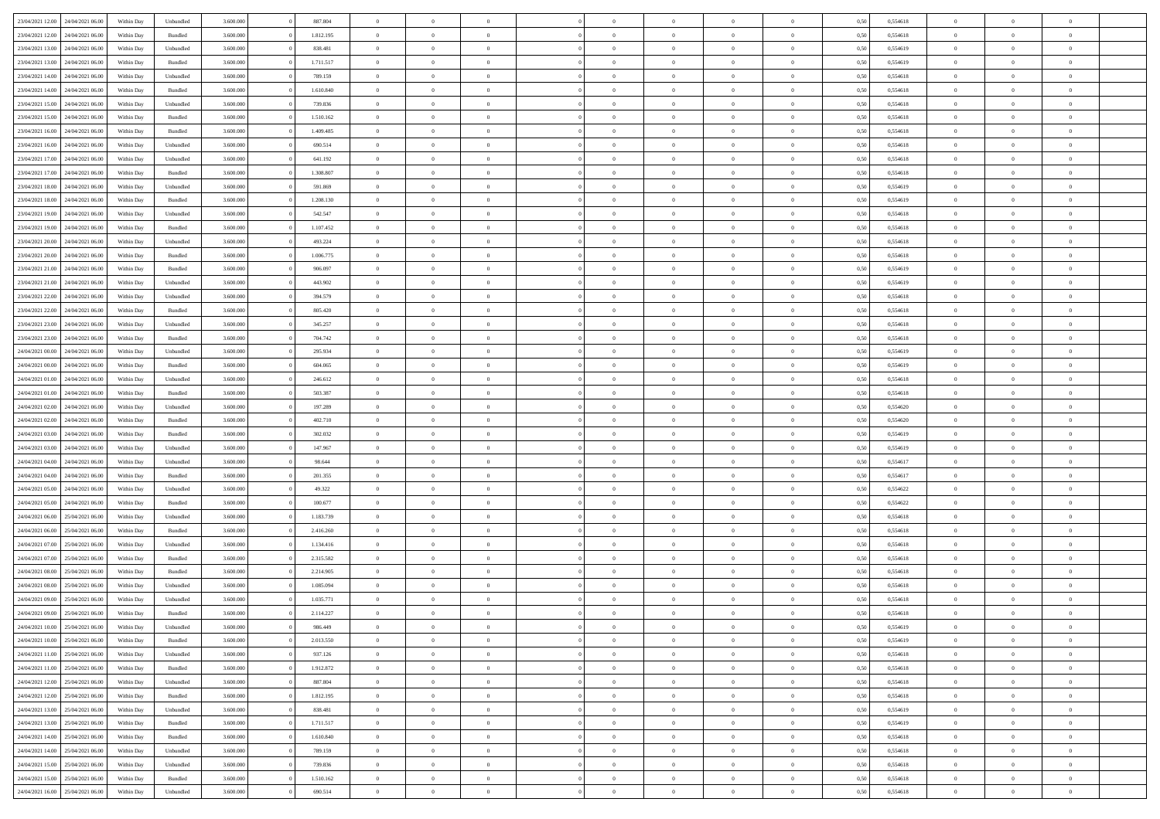| 23/04/2021 12:00 24/04/2021 06:00 |                  | Within Day | Unbundled | 3.600.000 | 887.804   | $\overline{0}$ | $\theta$       |                | $\overline{0}$ | $\bf{0}$       | $\overline{0}$ | $\theta$       | 0,50 | 0,554618 | $\theta$       | $\theta$       | $\overline{0}$           |  |
|-----------------------------------|------------------|------------|-----------|-----------|-----------|----------------|----------------|----------------|----------------|----------------|----------------|----------------|------|----------|----------------|----------------|--------------------------|--|
|                                   |                  |            |           |           |           | $\overline{0}$ | $\theta$       |                |                |                |                |                |      |          |                |                | $\overline{0}$           |  |
| 23/04/2021 12:00                  | 24/04/2021 06.00 | Within Day | Bundled   | 3.600.000 | 1.812.195 |                |                | $\overline{0}$ | $\overline{0}$ | $\,$ 0         | $\overline{0}$ | $\bf{0}$       | 0,50 | 0,554618 | $\,$ 0 $\,$    | $\overline{0}$ |                          |  |
| 23/04/2021 13:00                  | 24/04/2021 06:00 | Within Day | Unbundled | 3.600,000 | 838.481   | $\overline{0}$ | $\overline{0}$ | $\overline{0}$ | $\overline{0}$ | $\bf{0}$       | $\overline{0}$ | $\overline{0}$ | 0,50 | 0,554619 | $\bf{0}$       | $\overline{0}$ | $\overline{0}$           |  |
| 23/04/2021 13:00                  | 24/04/2021 06.00 | Within Day | Bundled   | 3.600.000 | 1.711.517 | $\overline{0}$ | $\overline{0}$ | $\overline{0}$ | $\overline{0}$ | $\bf{0}$       | $\overline{0}$ | $\overline{0}$ | 0,50 | 0,554619 | $\,$ 0 $\,$    | $\overline{0}$ | $\overline{0}$           |  |
| 23/04/2021 14:00                  | 24/04/2021 06.00 | Within Day | Unbundled | 3.600.000 | 789.159   | $\overline{0}$ | $\theta$       | $\overline{0}$ |                | $\overline{0}$ | $\overline{0}$ | $\bf{0}$       | 0,50 | 0,554618 | $\,$ 0 $\,$    | $\overline{0}$ | $\overline{0}$           |  |
| 23/04/2021 14:00                  | 24/04/2021 06:00 | Within Day | Bundled   | 3.600,000 | 1.610.840 | $\overline{0}$ | $\overline{0}$ | $\overline{0}$ | $\overline{0}$ | $\bf{0}$       | $\overline{0}$ | $\overline{0}$ | 0.50 | 0.554618 | $\,0\,$        | $\theta$       | $\overline{0}$           |  |
| 23/04/2021 15:00                  | 24/04/2021 06.00 | Within Day | Unbundled | 3.600.000 | 739.836   | $\overline{0}$ | $\overline{0}$ | $\overline{0}$ | $\overline{0}$ | $\,$ 0         | $\overline{0}$ | $\overline{0}$ | 0,50 | 0,554618 | $\,$ 0 $\,$    | $\theta$       | $\overline{0}$           |  |
| 23/04/2021 15:00                  | 24/04/2021 06.00 | Within Day | Bundled   | 3.600.000 | 1.510.162 | $\overline{0}$ | $\theta$       | $\overline{0}$ | $\overline{0}$ | $\,$ 0         | $\overline{0}$ | $\bf{0}$       | 0,50 | 0,554618 | $\,$ 0 $\,$    | $\overline{0}$ | $\overline{0}$           |  |
| 23/04/2021 16:00                  | 24/04/2021 06:00 | Within Day | Bundled   | 3.600,000 | 1.409.485 | $\overline{0}$ | $\overline{0}$ | $\overline{0}$ | $\overline{0}$ | $\bf{0}$       | $\overline{0}$ | $\bf{0}$       | 0.50 | 0.554618 | $\,0\,$        | $\overline{0}$ | $\overline{0}$           |  |
| 23/04/2021 16:00                  | 24/04/2021 06.00 | Within Day | Unbundled | 3.600.000 | 690.514   | $\overline{0}$ | $\overline{0}$ | $\overline{0}$ | $\overline{0}$ | $\,$ 0         | $\overline{0}$ | $\bf{0}$       | 0,50 | 0,554618 | $\,$ 0 $\,$    | $\overline{0}$ | $\overline{0}$           |  |
|                                   |                  |            |           |           |           |                |                |                |                |                |                |                |      |          |                |                |                          |  |
| 23/04/2021 17:00                  | 24/04/2021 06.00 | Within Day | Unbundled | 3.600.000 | 641.192   | $\bf{0}$       | $\theta$       | $\overline{0}$ | $\overline{0}$ | $\,$ 0         | $\overline{0}$ | $\bf{0}$       | 0,50 | 0,554618 | $\,$ 0 $\,$    | $\overline{0}$ | $\overline{0}$           |  |
| 23/04/2021 17:00                  | 24/04/2021 06:00 | Within Day | Bundled   | 3.600,000 | 1.308.807 | $\overline{0}$ | $\overline{0}$ | $\overline{0}$ | $\overline{0}$ | $\bf{0}$       | $\overline{0}$ | $\mathbf{0}$   | 0.50 | 0.554618 | $\bf{0}$       | $\overline{0}$ | $\overline{0}$           |  |
| 23/04/2021 18:00                  | 24/04/2021 06.00 | Within Day | Unbundled | 3.600.000 | 591.869   | $\overline{0}$ | $\overline{0}$ | $\overline{0}$ | $\overline{0}$ | $\,$ 0         | $\overline{0}$ | $\overline{0}$ | 0,50 | 0,554619 | $\,$ 0 $\,$    | $\theta$       | $\overline{0}$           |  |
| 23/04/2021 18:00                  | 24/04/2021 06.00 | Within Day | Bundled   | 3.600.000 | 1.208.130 | $\overline{0}$ | $\theta$       | $\overline{0}$ | $\overline{0}$ | $\overline{0}$ | $\overline{0}$ | $\bf{0}$       | 0,50 | 0,554619 | $\,$ 0 $\,$    | $\overline{0}$ | $\overline{0}$           |  |
| 23/04/2021 19:00                  | 24/04/2021 06:00 | Within Day | Unbundled | 3.600,000 | 542.547   | $\overline{0}$ | $\overline{0}$ | $\overline{0}$ | $\overline{0}$ | $\,$ 0         | $\overline{0}$ | $\bf{0}$       | 0.50 | 0.554618 | $\,0\,$        | $\theta$       | $\overline{0}$           |  |
| 23/04/2021 19:00                  | 24/04/2021 06.00 | Within Day | Bundled   | 3.600.000 | 1.107.452 | $\overline{0}$ | $\overline{0}$ | $\overline{0}$ | $\overline{0}$ | $\,$ 0         | $\overline{0}$ | $\bf{0}$       | 0,50 | 0,554618 | $\,0\,$        | $\theta$       | $\overline{0}$           |  |
| 23/04/2021 20:00                  | 24/04/2021 06.00 | Within Day | Unbundled | 3.600.000 | 493.224   | $\overline{0}$ | $\theta$       | $\overline{0}$ |                | $\,$ 0         | $\overline{0}$ | $\bf{0}$       | 0,50 | 0,554618 | $\,$ 0 $\,$    | $\overline{0}$ | $\overline{0}$           |  |
| 23/04/2021 20:00                  | 24/04/2021 06:00 | Within Day | Bundled   | 3.600,000 | 1.006.775 | $\overline{0}$ | $\overline{0}$ | $\overline{0}$ | $\overline{0}$ | $\bf{0}$       | $\overline{0}$ | $\bf{0}$       | 0.50 | 0.554618 | $\,0\,$        | $\overline{0}$ | $\overline{0}$           |  |
| 23/04/2021 21:00                  | 24/04/2021 06.00 | Within Day | Bundled   | 3.600.000 | 906.097   | $\overline{0}$ | $\overline{0}$ | $\overline{0}$ | $\overline{0}$ | $\bf{0}$       | $\overline{0}$ | $\bf{0}$       | 0,50 | 0,554619 | $\,$ 0 $\,$    | $\overline{0}$ | $\overline{0}$           |  |
|                                   |                  |            |           |           |           |                | $\theta$       | $\overline{0}$ | $\overline{0}$ | $\,$ 0         |                |                |      |          | $\,$ 0 $\,$    | $\overline{0}$ | $\overline{0}$           |  |
| 23/04/2021 21:00                  | 24/04/2021 06.00 | Within Day | Unbundled | 3.600.000 | 443.902   | $\bf{0}$       |                |                |                |                | $\overline{0}$ | $\bf{0}$       | 0,50 | 0,554619 |                |                |                          |  |
| 23/04/2021 22:00                  | 24/04/2021 06:00 | Within Day | Unbundled | 3.600,000 | 394.579   | $\overline{0}$ | $\overline{0}$ | $\overline{0}$ | $\overline{0}$ | $\bf{0}$       | $\overline{0}$ | $\mathbf{0}$   | 0.50 | 0.554618 | $\bf{0}$       | $\overline{0}$ | $\overline{\phantom{a}}$ |  |
| 23/04/2021 22:00                  | 24/04/2021 06.00 | Within Day | Bundled   | 3.600.000 | 805.420   | $\overline{0}$ | $\overline{0}$ | $\overline{0}$ | $\overline{0}$ | $\bf{0}$       | $\overline{0}$ | $\overline{0}$ | 0,50 | 0,554618 | $\,$ 0 $\,$    | $\overline{0}$ | $\overline{0}$           |  |
| 23/04/2021 23:00                  | 24/04/2021 06.00 | Within Day | Unbundled | 3.600.000 | 345.257   | $\overline{0}$ | $\theta$       | $\overline{0}$ | $\overline{0}$ | $\,$ 0         | $\overline{0}$ | $\bf{0}$       | 0,50 | 0,554618 | $\,$ 0 $\,$    | $\overline{0}$ | $\overline{0}$           |  |
| 23/04/2021 23:00                  | 24/04/2021 06:00 | Within Day | Bundled   | 3.600,000 | 704.742   | $\overline{0}$ | $\overline{0}$ | $\overline{0}$ | $\overline{0}$ | $\bf{0}$       | $\overline{0}$ | $\bf{0}$       | 0.50 | 0.554618 | $\,0\,$        | $\theta$       | $\overline{0}$           |  |
| 24/04/2021 00:00                  | 24/04/2021 06.00 | Within Day | Unbundled | 3.600.000 | 295.934   | $\overline{0}$ | $\overline{0}$ | $\overline{0}$ | $\overline{0}$ | $\,$ 0         | $\overline{0}$ | $\overline{0}$ | 0,50 | 0,554619 | $\,0\,$        | $\theta$       | $\overline{0}$           |  |
| 24/04/2021 00:00                  | 24/04/2021 06.00 | Within Day | Bundled   | 3.600.000 | 604.065   | $\overline{0}$ | $\theta$       | $\overline{0}$ |                | $\bf{0}$       | $\overline{0}$ | $\bf{0}$       | 0,50 | 0,554619 | $\,$ 0 $\,$    | $\overline{0}$ | $\overline{0}$           |  |
| 24/04/2021 01:00                  | 24/04/2021 06:00 | Within Day | Unbundled | 3.600,000 | 246.612   | $\overline{0}$ | $\overline{0}$ | $\overline{0}$ | $\overline{0}$ | $\bf{0}$       | $\overline{0}$ | $\bf{0}$       | 0.50 | 0.554618 | $\,0\,$        | $\overline{0}$ | $\overline{0}$           |  |
| 24/04/2021 01:00                  | 24/04/2021 06.00 | Within Day | Bundled   | 3.600.000 | 503.387   | $\overline{0}$ | $\overline{0}$ | $\overline{0}$ | $\overline{0}$ | $\,$ 0         | $\overline{0}$ | $\bf{0}$       | 0,50 | 0,554618 | $\,$ 0 $\,$    | $\overline{0}$ | $\overline{0}$           |  |
| 24/04/2021 02:00                  | 24/04/2021 06.00 | Within Day | Unbundled | 3.600.000 | 197.289   | $\bf{0}$       | $\overline{0}$ | $\overline{0}$ | $\overline{0}$ | $\bf{0}$       | $\overline{0}$ | $\bf{0}$       | 0,50 | 0,554620 | $\,$ 0 $\,$    | $\overline{0}$ | $\overline{0}$           |  |
| 24/04/2021 02:00                  | 24/04/2021 06:00 | Within Day | Bundled   | 3.600,000 | 402.710   | $\overline{0}$ | $\overline{0}$ | $\overline{0}$ | $\overline{0}$ | $\bf{0}$       | $\overline{0}$ | $\mathbf{0}$   | 0.50 | 0.554620 | $\bf{0}$       | $\overline{0}$ | $\overline{0}$           |  |
|                                   |                  |            |           |           |           |                |                |                |                |                |                |                |      |          |                |                |                          |  |
| 24/04/2021 03:00                  | 24/04/2021 06:00 | Within Dav | Bundled   | 3.600.000 | 302.032   | $\overline{0}$ | $\overline{0}$ | $\overline{0}$ | $\overline{0}$ | $\mathbf{0}$   | $\overline{0}$ | $\overline{0}$ | 0.50 | 0,554619 | $\theta$       | $\overline{0}$ | $\overline{0}$           |  |
| 24/04/2021 03:00                  | 24/04/2021 06.00 | Within Day | Unbundled | 3.600.000 | 147.967   | $\overline{0}$ | $\theta$       | $\overline{0}$ | $\overline{0}$ | $\,$ 0         | $\overline{0}$ | $\bf{0}$       | 0,50 | 0,554619 | $\,$ 0 $\,$    | $\overline{0}$ | $\overline{0}$           |  |
| 24/04/2021 04:00                  | 24/04/2021 06:00 | Within Day | Unbundled | 3.600,000 | 98.644    | $\overline{0}$ | $\overline{0}$ | $\overline{0}$ | $\overline{0}$ | $\,$ 0         | $\overline{0}$ | $\bf{0}$       | 0.50 | 0.554617 | $\,0\,$        | $\theta$       | $\overline{0}$           |  |
| 24/04/2021 04:00                  | 24/04/2021 06:00 | Within Dav | Bundled   | 3.600.000 | 201.355   | $\overline{0}$ | $\theta$       | $\Omega$       | $\overline{0}$ | $\mathbf{0}$   | $\overline{0}$ | $\overline{0}$ | 0.50 | 0,554617 | $\theta$       | $\overline{0}$ | $\overline{0}$           |  |
| 24/04/2021 05:00                  | 24/04/2021 06.00 | Within Day | Unbundled | 3.600.000 | 49.322    | $\bf{0}$       | $\theta$       | $\overline{0}$ | $\overline{0}$ | $\,$ 0         | $\overline{0}$ | $\bf{0}$       | 0,50 | 0,554622 | $\,$ 0 $\,$    | $\overline{0}$ | $\overline{0}$           |  |
| 24/04/2021 05:00                  | 24/04/2021 06:00 | Within Day | Bundled   | 3.600,000 | 100.677   | $\overline{0}$ | $\overline{0}$ | $\overline{0}$ | $\overline{0}$ | $\bf{0}$       | $\overline{0}$ | $\bf{0}$       | 0.50 | 0.554622 | $\bf{0}$       | $\overline{0}$ | $\overline{0}$           |  |
| 24/04/2021 06:00                  | 25/04/2021 06:00 | Within Dav | Unbundled | 3.600.000 | 1.183.739 | $\overline{0}$ | $\overline{0}$ | $\overline{0}$ | $\overline{0}$ | $\overline{0}$ | $\overline{0}$ | $\overline{0}$ | 0.50 | 0,554618 | $\theta$       | $\overline{0}$ | $\overline{0}$           |  |
| 24/04/2021 06:00                  | 25/04/2021 06.00 | Within Day | Bundled   | 3.600.000 | 2.416.260 | $\bf{0}$       | $\overline{0}$ | $\overline{0}$ | $\overline{0}$ | $\bf{0}$       | $\overline{0}$ | $\bf{0}$       | 0,50 | 0,554618 | $\,$ 0 $\,$    | $\overline{0}$ | $\overline{0}$           |  |
| 24/04/2021 07:00                  | 25/04/2021 06:00 | Within Day | Unbundled | 3.600,000 | 1.134.416 | $\overline{0}$ | $\overline{0}$ | $\overline{0}$ | $\overline{0}$ | $\bf{0}$       | $\overline{0}$ | $\mathbf{0}$   | 0.50 | 0.554618 | $\bf{0}$       | $\overline{0}$ | $\overline{0}$           |  |
| 24/04/2021 07:00                  | 25/04/2021 06:00 | Within Dav | Bundled   | 3.600.000 | 2.315.582 | $\overline{0}$ | $\overline{0}$ | $\Omega$       | $\overline{0}$ | $\mathbf{0}$   | $\overline{0}$ | $\overline{0}$ | 0.50 | 0,554618 | $\theta$       | $\overline{0}$ | $\overline{0}$           |  |
|                                   |                  |            |           |           |           |                | $\theta$       | $\overline{0}$ | $\overline{0}$ | $\,$ 0         | $\overline{0}$ |                |      |          | $\,$ 0 $\,$    | $\overline{0}$ | $\overline{0}$           |  |
| 24/04/2021 08:00                  | 25/04/2021 06.00 | Within Day | Bundled   | 3.600.000 | 2.214.905 | $\bf{0}$       |                |                |                |                |                | $\bf{0}$       | 0,50 | 0,554618 |                |                |                          |  |
| 24/04/2021 08:00                  | 25/04/2021 06:00 | Within Day | Unbundled | 3.600,000 | 1.085.094 | $\overline{0}$ | $\theta$       | $\overline{0}$ | $\overline{0}$ | $\bf{0}$       | $\Omega$       | $\overline{0}$ | 0.50 | 0.554618 | $\,0\,$        | $\theta$       | $\overline{0}$           |  |
| 24/04/2021 09:00                  | 25/04/2021 06:00 | Within Dav | Unbundled | 3.600.000 | 1.035.771 | $\overline{0}$ | $\Omega$       | $\Omega$       | $\Omega$       | $\bf{0}$       | $\overline{0}$ | $\bf{0}$       | 0.50 | 0,554618 | $\theta$       | $\theta$       | $\overline{0}$           |  |
| 24/04/2021 09:00                  | 25/04/2021 06.00 | Within Day | Bundled   | 3.600.000 | 2.114.227 | $\bf{0}$       | $\,$ 0 $\,$    | $\overline{0}$ | $\overline{0}$ | $\,$ 0         | $\overline{0}$ | $\bf{0}$       | 0,50 | 0,554618 | $\,$ 0 $\,$    | $\overline{0}$ | $\overline{0}$           |  |
| 24/04/2021 10:00                  | 25/04/2021 06:00 | Within Day | Unbundled | 3.600.000 | 986,449   | $\bf{0}$       | $\theta$       |                |                |                |                |                | 0,50 | 0,554619 | $\bf{0}$       | $\theta$       |                          |  |
| 24/04/2021 10:00 25/04/2021 06:00 |                  | Within Day | Bundled   | 3.600.000 | 2.013.550 | $\overline{0}$ | $\overline{0}$ | $\overline{0}$ | $\overline{0}$ | $\overline{0}$ | $\overline{0}$ | $\overline{0}$ | 0,50 | 0,554619 | $\theta$       | $\overline{0}$ | $\overline{0}$           |  |
| 24/04/2021 11:00                  | 25/04/2021 06:00 | Within Day | Unbundled | 3.600.000 | 937.126   | $\overline{0}$ | $\bf{0}$       | $\overline{0}$ | $\overline{0}$ | $\overline{0}$ | $\overline{0}$ | $\bf{0}$       | 0,50 | 0,554618 | $\bf{0}$       | $\overline{0}$ | $\bf{0}$                 |  |
| 24/04/2021 11:00                  | 25/04/2021 06:00 | Within Day | Bundled   | 3.600.000 | 1.912.872 | $\overline{0}$ | $\overline{0}$ | $\overline{0}$ | $\overline{0}$ | $\overline{0}$ | $\overline{0}$ | $\mathbf{0}$   | 0.50 | 0,554618 | $\overline{0}$ | $\bf{0}$       | $\bf{0}$                 |  |
| 24/04/2021 12:00                  | 25/04/2021 06:00 | Within Day | Unbundled | 3.600.000 | 887.804   | $\overline{0}$ | $\overline{0}$ | $\overline{0}$ | $\overline{0}$ | $\overline{0}$ | $\overline{0}$ | $\overline{0}$ | 0,50 | 0,554618 | $\overline{0}$ | $\theta$       | $\overline{0}$           |  |
| 24/04/2021 12:00                  | 25/04/2021 06:00 | Within Day | Bundled   | 3.600.000 | 1.812.195 | $\overline{0}$ | $\overline{0}$ | $\overline{0}$ | $\overline{0}$ | $\bf{0}$       | $\overline{0}$ | $\bf{0}$       | 0,50 | 0,554618 | $\,$ 0 $\,$    | $\overline{0}$ | $\overline{0}$           |  |
| 24/04/2021 13:00                  | 25/04/2021 06:00 | Within Day | Unbundled | 3.600.000 | 838.481   | $\overline{0}$ | $\overline{0}$ | $\overline{0}$ | $\overline{0}$ | $\bf{0}$       | $\overline{0}$ | $\mathbf{0}$   | 0.50 | 0.554619 | $\,$ 0 $\,$    | $\overline{0}$ | $\overline{0}$           |  |
|                                   |                  |            |           |           |           |                |                |                |                |                |                |                |      |          |                |                |                          |  |
| 24/04/2021 13:00                  | 25/04/2021 06:00 | Within Day | Bundled   | 3.600.000 | 1.711.517 | $\overline{0}$ | $\overline{0}$ | $\overline{0}$ | $\overline{0}$ | $\overline{0}$ | $\overline{0}$ | $\overline{0}$ | 0,50 | 0,554619 | $\overline{0}$ | $\theta$       | $\overline{0}$           |  |
| 24/04/2021 14:00                  | 25/04/2021 06:00 | Within Day | Bundled   | 3.600.000 | 1.610.840 | $\overline{0}$ | $\,$ 0         | $\overline{0}$ | $\bf{0}$       | $\overline{0}$ | $\overline{0}$ | $\bf{0}$       | 0,50 | 0,554618 | $\,$ 0 $\,$    | $\overline{0}$ | $\overline{0}$           |  |
| 24/04/2021 14:00                  | 25/04/2021 06:00 | Within Day | Unbundled | 3.600.000 | 789.159   | $\overline{0}$ | $\overline{0}$ | $\overline{0}$ | $\overline{0}$ | $\bf{0}$       | $\overline{0}$ | $\mathbf{0}$   | 0.50 | 0.554618 | $\mathbf{0}$   | $\bf{0}$       | $\bf{0}$                 |  |
| 24/04/2021 15:00                  | 25/04/2021 06:00 | Within Day | Unbundled | 3.600.000 | 739.836   | $\overline{0}$ | $\overline{0}$ | $\overline{0}$ | $\overline{0}$ | $\overline{0}$ | $\overline{0}$ | $\overline{0}$ | 0,50 | 0,554618 | $\overline{0}$ | $\overline{0}$ | $\overline{0}$           |  |
| 24/04/2021 15:00                  | 25/04/2021 06.00 | Within Day | Bundled   | 3.600.000 | 1.510.162 | $\overline{0}$ | $\bf{0}$       | $\overline{0}$ | $\bf{0}$       | $\bf{0}$       | $\bf{0}$       | $\bf{0}$       | 0,50 | 0,554618 | $\overline{0}$ | $\overline{0}$ | $\bf{0}$                 |  |
| 24/04/2021 16:00 25/04/2021 06:00 |                  | Within Day | Unbundled | 3.600.000 | 690.514   | $\,$ 0 $\,$    | $\,$ 0 $\,$    | $\overline{0}$ | $\overline{0}$ | $\,$ 0 $\,$    | $\,$ 0 $\,$    | $\,$ 0 $\,$    | 0,50 | 0,554618 | $\mathbf{0}^-$ | $\,$ 0 $\,$    | $\,$ 0 $\,$              |  |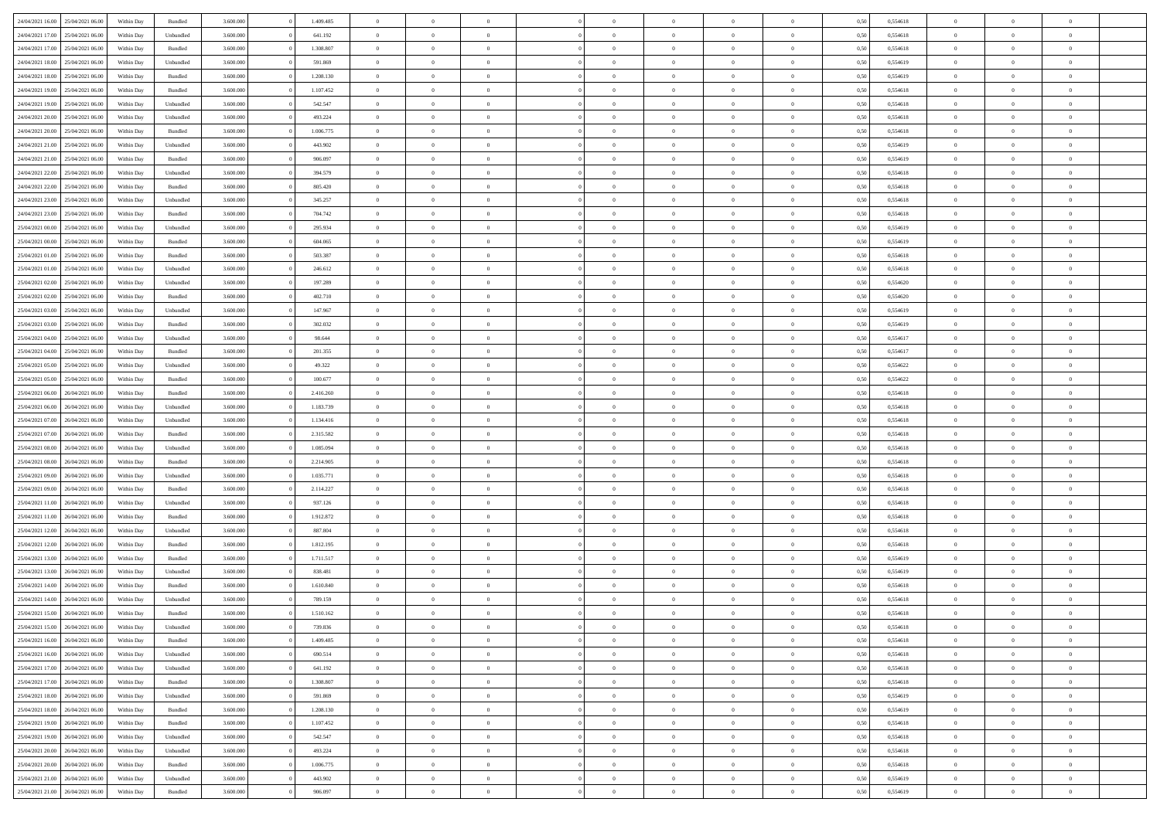| 24/04/2021 16:00 | 25/04/2021 06:00 | Within Day | Bundled            | 3.600.000 | 1.409.485 | $\overline{0}$ | $\Omega$       |                | $\Omega$       | $\Omega$       | $\Omega$       | $\theta$       | 0,50 | 0,554618 | $\theta$       | $\theta$       | $\theta$       |  |
|------------------|------------------|------------|--------------------|-----------|-----------|----------------|----------------|----------------|----------------|----------------|----------------|----------------|------|----------|----------------|----------------|----------------|--|
|                  |                  |            |                    |           |           |                |                |                |                |                |                |                |      |          |                |                |                |  |
| 24/04/2021 17:00 | 25/04/2021 06:00 | Within Day | Unbundled          | 3.600.000 | 641.192   | $\overline{0}$ | $\theta$       | $\overline{0}$ | $\overline{0}$ | $\bf{0}$       | $\overline{0}$ | $\bf{0}$       | 0,50 | 0,554618 | $\theta$       | $\theta$       | $\overline{0}$ |  |
| 24/04/2021 17:00 | 25/04/2021 06:00 | Within Day | Bundled            | 3.600.000 | 1.308.807 | $\overline{0}$ | $\overline{0}$ | $\overline{0}$ | $\bf{0}$       | $\bf{0}$       | $\bf{0}$       | $\bf{0}$       | 0,50 | 0,554618 | $\overline{0}$ | $\overline{0}$ | $\overline{0}$ |  |
| 24/04/2021 18:00 | 25/04/2021 06:00 | Within Dav | Unbundled          | 3.600,000 | 591.869   | $\overline{0}$ | $\overline{0}$ | $\overline{0}$ | $\overline{0}$ | $\bf{0}$       | $\overline{0}$ | $\overline{0}$ | 0.50 | 0.554619 | $\theta$       | $\theta$       | $\overline{0}$ |  |
|                  |                  |            |                    |           |           | $\overline{0}$ | $\theta$       | $\overline{0}$ |                | $\bf{0}$       | $\overline{0}$ |                |      |          | $\theta$       | $\overline{0}$ | $\overline{0}$ |  |
| 24/04/2021 18:00 | 25/04/2021 06:00 | Within Day | Bundled            | 3.600.000 | 1.208.130 |                |                |                | $\overline{0}$ |                |                | $\bf{0}$       | 0,50 | 0,554619 |                |                |                |  |
| 24/04/2021 19:00 | 25/04/2021 06:00 | Within Day | Bundled            | 3.600.000 | 1.107.452 | $\overline{0}$ | $\overline{0}$ | $\overline{0}$ | $\bf{0}$       | $\overline{0}$ | $\overline{0}$ | $\mathbf{0}$   | 0,50 | 0,554618 | $\overline{0}$ | $\overline{0}$ | $\bf{0}$       |  |
| 24/04/2021 19:00 | 25/04/2021 06.00 | Within Dav | Unbundled          | 3.600.000 | 542.547   | $\overline{0}$ | $\overline{0}$ | $\overline{0}$ | $\overline{0}$ | $\overline{0}$ | $\overline{0}$ | $\overline{0}$ | 0.50 | 0.554618 | $\theta$       | $\overline{0}$ | $\overline{0}$ |  |
| 24/04/2021 20:00 | 25/04/2021 06:00 | Within Day | Unbundled          | 3.600.000 | 493.224   | $\overline{0}$ | $\theta$       | $\overline{0}$ | $\overline{0}$ | $\bf{0}$       | $\overline{0}$ | $\bf{0}$       | 0,50 | 0,554618 | $\theta$       | $\theta$       | $\overline{0}$ |  |
| 24/04/2021 20:00 | 25/04/2021 06:00 | Within Day | Bundled            | 3.600.000 | 1.006.775 | $\overline{0}$ | $\overline{0}$ | $\overline{0}$ | $\bf{0}$       | $\bf{0}$       | $\bf{0}$       | $\bf{0}$       | 0,50 | 0,554618 | $\,0\,$        | $\overline{0}$ | $\overline{0}$ |  |
| 24/04/2021 21:00 | 25/04/2021 06:00 | Within Dav | Unbundled          | 3.600.000 | 443.902   | $\overline{0}$ | $\overline{0}$ | $\overline{0}$ | $\overline{0}$ | $\overline{0}$ | $\overline{0}$ | $\overline{0}$ | 0.50 | 0.554619 | $\theta$       | $\overline{0}$ | $\overline{0}$ |  |
|                  |                  |            |                    |           |           |                |                |                |                |                |                |                |      |          |                |                |                |  |
| 24/04/2021 21.00 | 25/04/2021 06:00 | Within Day | Bundled            | 3.600.000 | 906.097   | $\overline{0}$ | $\theta$       | $\overline{0}$ | $\overline{0}$ | $\bf{0}$       | $\overline{0}$ | $\bf{0}$       | 0,50 | 0,554619 | $\,$ 0 $\,$    | $\overline{0}$ | $\overline{0}$ |  |
| 24/04/2021 22.00 | 25/04/2021 06:00 | Within Day | Unbundled          | 3.600.000 | 394.579   | $\overline{0}$ | $\overline{0}$ | $\overline{0}$ | $\bf{0}$       | $\bf{0}$       | $\bf{0}$       | $\mathbf{0}$   | 0,50 | 0,554618 | $\overline{0}$ | $\overline{0}$ | $\bf{0}$       |  |
| 24/04/2021 22:00 | 25/04/2021 06:00 | Within Day | Bundled            | 3.600.000 | 805.420   | $\overline{0}$ | $\overline{0}$ | $\overline{0}$ | $\overline{0}$ | $\bf{0}$       | $\overline{0}$ | $\overline{0}$ | 0.50 | 0.554618 | $\theta$       | $\theta$       | $\overline{0}$ |  |
| 24/04/2021 23:00 | 25/04/2021 06:00 | Within Day | Unbundled          | 3.600.000 | 345.257   | $\overline{0}$ | $\theta$       | $\overline{0}$ | $\overline{0}$ | $\bf{0}$       | $\overline{0}$ | $\bf{0}$       | 0,50 | 0,554618 | $\theta$       | $\theta$       | $\overline{0}$ |  |
| 24/04/2021 23:00 | 25/04/2021 06:00 | Within Day | Bundled            | 3.600.000 | 704.742   | $\overline{0}$ | $\overline{0}$ | $\overline{0}$ | $\bf{0}$       | $\overline{0}$ | $\overline{0}$ | $\mathbf{0}$   | 0,50 | 0,554618 | $\overline{0}$ | $\overline{0}$ | $\bf{0}$       |  |
|                  |                  |            |                    |           |           |                |                |                |                |                |                |                |      |          |                |                |                |  |
| 25/04/2021 00:00 | 25/04/2021 06:00 | Within Dav | Unbundled          | 3.600.000 | 295.934   | $\overline{0}$ | $\overline{0}$ | $\overline{0}$ | $\overline{0}$ | $\overline{0}$ | $\overline{0}$ | $\overline{0}$ | 0.50 | 0,554619 | $\theta$       | $\overline{0}$ | $\overline{0}$ |  |
| 25/04/2021 00:00 | 25/04/2021 06:00 | Within Day | Bundled            | 3.600.000 | 604.065   | $\overline{0}$ | $\theta$       | $\overline{0}$ | $\overline{0}$ | $\bf{0}$       | $\overline{0}$ | $\bf{0}$       | 0,50 | 0,554619 | $\theta$       | $\theta$       | $\overline{0}$ |  |
| 25/04/2021 01:00 | 25/04/2021 06:00 | Within Day | Bundled            | 3.600.000 | 503.387   | $\overline{0}$ | $\overline{0}$ | $\overline{0}$ | $\bf{0}$       | $\bf{0}$       | $\bf{0}$       | $\mathbf{0}$   | 0,50 | 0,554618 | $\,0\,$        | $\overline{0}$ | $\overline{0}$ |  |
| 25/04/2021 01:00 | 25/04/2021 06:00 | Within Day | Unbundled          | 3.600.000 | 246.612   | $\overline{0}$ | $\overline{0}$ | $\overline{0}$ | $\overline{0}$ | $\overline{0}$ | $\overline{0}$ | $\overline{0}$ | 0.50 | 0.554618 | $\theta$       | $\overline{0}$ | $\overline{0}$ |  |
| 25/04/2021 02:00 | 25/04/2021 06:00 | Within Day | Unbundled          | 3.600.000 | 197.289   | $\overline{0}$ | $\theta$       | $\overline{0}$ | $\overline{0}$ | $\bf{0}$       | $\overline{0}$ | $\bf{0}$       | 0,50 | 0,554620 | $\,$ 0 $\,$    | $\theta$       | $\overline{0}$ |  |
| 25/04/2021 02:00 | 25/04/2021 06:00 | Within Day | Bundled            | 3.600.000 | 402.710   | $\overline{0}$ | $\overline{0}$ | $\overline{0}$ | $\bf{0}$       | $\bf{0}$       | $\bf{0}$       | $\bf{0}$       | 0,50 | 0,554620 | $\overline{0}$ | $\overline{0}$ | $\overline{0}$ |  |
|                  |                  |            |                    |           |           |                |                |                |                |                |                |                |      |          |                |                |                |  |
| 25/04/2021 03:00 | 25/04/2021 06:00 | Within Day | Unbundled          | 3.600.000 | 147.967   | $\overline{0}$ | $\overline{0}$ | $\overline{0}$ | $\overline{0}$ | $\bf{0}$       | $\overline{0}$ | $\overline{0}$ | 0.50 | 0.554619 | $\theta$       | $\theta$       | $\overline{0}$ |  |
| 25/04/2021 03:00 | 25/04/2021 06:00 | Within Day | Bundled            | 3.600.000 | 302.032   | $\overline{0}$ | $\theta$       | $\overline{0}$ | $\overline{0}$ | $\bf{0}$       | $\overline{0}$ | $\bf{0}$       | 0,50 | 0,554619 | $\,$ 0 $\,$    | $\overline{0}$ | $\overline{0}$ |  |
| 25/04/2021 04:00 | 25/04/2021 06:00 | Within Day | Unbundled          | 3.600.000 | 98.644    | $\overline{0}$ | $\overline{0}$ | $\overline{0}$ | $\bf{0}$       | $\overline{0}$ | $\overline{0}$ | $\mathbf{0}$   | 0,50 | 0,554617 | $\bf{0}$       | $\overline{0}$ | $\bf{0}$       |  |
| 25/04/2021 04:00 | 25/04/2021 06:00 | Within Dav | Bundled            | 3.600.000 | 201.355   | $\overline{0}$ | $\overline{0}$ | $\overline{0}$ | $\overline{0}$ | $\overline{0}$ | $\overline{0}$ | $\overline{0}$ | 0.50 | 0,554617 | $\theta$       | $\overline{0}$ | $\overline{0}$ |  |
| 25/04/2021 05:00 | 25/04/2021 06:00 | Within Day | Unbundled          | 3.600.000 | 49.322    | $\overline{0}$ | $\theta$       | $\overline{0}$ | $\overline{0}$ | $\bf{0}$       | $\overline{0}$ | $\bf{0}$       | 0,50 | 0,554622 | $\theta$       | $\theta$       | $\overline{0}$ |  |
| 25/04/2021 05:00 | 25/04/2021 06:00 | Within Day | Bundled            | 3.600.000 | 100.677   | $\overline{0}$ | $\overline{0}$ | $\overline{0}$ | $\bf{0}$       | $\bf{0}$       | $\bf{0}$       | $\bf{0}$       | 0,50 | 0,554622 | $\,0\,$        | $\overline{0}$ | $\overline{0}$ |  |
| 25/04/2021 06:00 | 26/04/2021 06:00 | Within Day | Bundled            | 3.600.000 | 2.416.260 | $\overline{0}$ | $\overline{0}$ | $\overline{0}$ | $\overline{0}$ | $\overline{0}$ | $\overline{0}$ | $\overline{0}$ | 0.50 | 0.554618 | $\theta$       | $\overline{0}$ | $\overline{0}$ |  |
|                  |                  |            |                    |           |           |                |                |                |                |                |                |                |      |          |                |                |                |  |
| 25/04/2021 06:00 | 26/04/2021 06:00 | Within Day | Unbundled          | 3.600.000 | 1.183.739 | $\overline{0}$ | $\theta$       | $\overline{0}$ | $\overline{0}$ | $\bf{0}$       | $\overline{0}$ | $\bf{0}$       | 0,50 | 0,554618 | $\,$ 0 $\,$    | $\overline{0}$ | $\overline{0}$ |  |
| 25/04/2021 07:00 | 26/04/2021 06:00 | Within Day | Unbundled          | 3.600.000 | 1.134.416 | $\overline{0}$ | $\overline{0}$ | $\overline{0}$ | $\bf{0}$       | $\bf{0}$       | $\bf{0}$       | $\bf{0}$       | 0,50 | 0,554618 | $\bf{0}$       | $\overline{0}$ | $\bf{0}$       |  |
| 25/04/2021 07:00 | 26/04/2021 06:00 | Within Day | Bundled            | 3.600.000 | 2.315.582 | $\overline{0}$ | $\Omega$       | $\overline{0}$ | $\Omega$       | $\Omega$       | $\overline{0}$ | $\overline{0}$ | 0,50 | 0,554618 | $\,0\,$        | $\theta$       | $\theta$       |  |
| 25/04/2021 08:00 | 26/04/2021 06:00 | Within Day | Unbundled          | 3.600.000 | 1.085.094 | $\overline{0}$ | $\theta$       | $\overline{0}$ | $\overline{0}$ | $\bf{0}$       | $\overline{0}$ | $\bf{0}$       | 0,50 | 0,554618 | $\theta$       | $\theta$       | $\overline{0}$ |  |
| 25/04/2021 08:00 | 26/04/2021 06:00 | Within Day | Bundled            | 3.600.000 | 2.214.905 | $\overline{0}$ | $\overline{0}$ | $\overline{0}$ | $\bf{0}$       | $\bf{0}$       | $\overline{0}$ | $\mathbf{0}$   | 0,50 | 0,554618 | $\bf{0}$       | $\overline{0}$ | $\bf{0}$       |  |
| 25/04/2021 09:00 | 26/04/2021 06:00 | Within Day | Unbundled          | 3.600,000 | 1.035.771 | $\overline{0}$ | $\Omega$       | $\Omega$       | $\Omega$       | $\bf{0}$       | $\overline{0}$ | $\overline{0}$ | 0.50 | 0.554618 | $\theta$       | $\theta$       | $\theta$       |  |
|                  |                  |            |                    |           |           | $\overline{0}$ | $\theta$       | $\overline{0}$ |                | $\bf{0}$       | $\overline{0}$ |                |      |          |                | $\theta$       | $\overline{0}$ |  |
| 25/04/2021 09:00 | 26/04/2021 06:00 | Within Day | Bundled            | 3.600.000 | 2.114.227 |                |                |                | $\overline{0}$ |                |                | $\bf{0}$       | 0,50 | 0,554618 | $\,$ 0 $\,$    |                |                |  |
| 25/04/2021 11:00 | 26/04/2021 06:00 | Within Day | Unbundled          | 3.600.000 | 937.126   | $\overline{0}$ | $\overline{0}$ | $\overline{0}$ | $\bf{0}$       | $\bf{0}$       | $\bf{0}$       | $\bf{0}$       | 0,50 | 0,554618 | $\bf{0}$       | $\overline{0}$ | $\overline{0}$ |  |
| 25/04/2021 11:00 | 26/04/2021 06:00 | Within Day | Bundled            | 3.600,000 | 1.912.872 | $\overline{0}$ | $\Omega$       | $\overline{0}$ | $\Omega$       | $\theta$       | $\overline{0}$ | $\overline{0}$ | 0.50 | 0.554618 | $\,0\,$        | $\theta$       | $\theta$       |  |
| 25/04/2021 12:00 | 26/04/2021 06:00 | Within Day | Unbundled          | 3.600.000 | 887.804   | $\overline{0}$ | $\theta$       | $\overline{0}$ | $\overline{0}$ | $\bf{0}$       | $\overline{0}$ | $\bf{0}$       | 0,50 | 0,554618 | $\,$ 0 $\,$    | $\overline{0}$ | $\overline{0}$ |  |
| 25/04/2021 12:00 | 26/04/2021 06:00 | Within Day | Bundled            | 3.600.000 | 1.812.195 | $\overline{0}$ | $\overline{0}$ | $\overline{0}$ | $\bf{0}$       | $\bf{0}$       | $\bf{0}$       | $\bf{0}$       | 0,50 | 0,554618 | $\overline{0}$ | $\overline{0}$ | $\overline{0}$ |  |
| 25/04/2021 13:00 | 26/04/2021 06:00 | Within Day | Bundled            | 3.600.000 | 1.711.517 | $\overline{0}$ | $\Omega$       | $\overline{0}$ | $\Omega$       | $\Omega$       | $\overline{0}$ | $\overline{0}$ | 0,50 | 0,554619 | $\,0\,$        | $\theta$       | $\theta$       |  |
| 25/04/2021 13:00 | 26/04/2021 06:00 | Within Day | Unbundled          | 3.600.000 | 838.481   | $\overline{0}$ | $\theta$       | $\overline{0}$ | $\overline{0}$ | $\,$ 0         | $\overline{0}$ | $\bf{0}$       | 0,50 | 0,554619 | $\,$ 0 $\,$    | $\overline{0}$ | $\overline{0}$ |  |
|                  |                  |            |                    |           |           |                |                |                |                |                |                |                |      |          |                |                |                |  |
| 25/04/2021 14:00 | 26/04/2021 06:00 | Within Day | Bundled            | 3.600.000 | 1.610.840 | $\overline{0}$ | $\overline{0}$ | $\overline{0}$ | $\bf{0}$       | $\bf{0}$       | $\bf{0}$       | $\mathbf{0}$   | 0,50 | 0,554618 | $\overline{0}$ | $\overline{0}$ | $\bf{0}$       |  |
| 25/04/2021 14:00 | 26/04/2021 06:00 | Within Day | Unbundled          | 3.600,000 | 789.159   | $\overline{0}$ | $\Omega$       | $\Omega$       | $\Omega$       | $\Omega$       | $\Omega$       | $\overline{0}$ | 0.50 | 0.554618 | $\theta$       | $\theta$       | $\theta$       |  |
| 25/04/2021 15:00 | 26/04/2021 06:00 | Within Day | Bundled            | 3.600.000 | 1.510.162 | $\overline{0}$ | $\overline{0}$ | $\overline{0}$ | $\bf{0}$       | $\,$ 0         | $\bf{0}$       | $\bf{0}$       | 0,50 | 0,554618 | $\,0\,$        | $\overline{0}$ | $\overline{0}$ |  |
| 25/04/2021 15:00 | 26/04/2021 06:00 | Within Day | Unbundled          | 3.600.000 | 739.836   | $\bf{0}$       | $\bf{0}$       |                |                |                |                |                | 0,50 | 0,554618 | $\bf{0}$       | $\overline{0}$ |                |  |
| 25/04/2021 16:00 | 26/04/2021 06:00 | Within Day | Bundled            | 3.600.000 | 1.409.485 | $\overline{0}$ | $\overline{0}$ | $\overline{0}$ | $\Omega$       | $\overline{0}$ | $\overline{0}$ | $\overline{0}$ | 0,50 | 0.554618 | $\theta$       | $\theta$       | $\theta$       |  |
| 25/04/2021 16:00 | 26/04/2021 06:00 | Within Day | Unbundled          | 3.600.000 | 690.514   | $\overline{0}$ | $\bf{0}$       | $\overline{0}$ | $\bf{0}$       | $\,$ 0 $\,$    | $\overline{0}$ | $\,$ 0 $\,$    | 0,50 | 0,554618 | $\,$ 0 $\,$    | $\,$ 0 $\,$    | $\,$ 0         |  |
|                  |                  |            |                    |           |           |                |                |                |                |                |                |                |      |          |                |                |                |  |
| 25/04/2021 17:00 | 26/04/2021 06:00 | Within Day | Unbundled          | 3.600.000 | 641.192   | $\overline{0}$ | $\overline{0}$ | $\overline{0}$ | $\overline{0}$ | $\overline{0}$ | $\overline{0}$ | $\mathbf{0}$   | 0,50 | 0,554618 | $\overline{0}$ | $\bf{0}$       | $\bf{0}$       |  |
| 25/04/2021 17:00 | 26/04/2021 06:00 | Within Day | $\mathbf B$ undled | 3.600.000 | 1.308.807 | $\overline{0}$ | $\overline{0}$ | $\overline{0}$ | $\Omega$       | $\overline{0}$ | $\overline{0}$ | $\overline{0}$ | 0,50 | 0,554618 | $\overline{0}$ | $\overline{0}$ | $\overline{0}$ |  |
| 25/04/2021 18:00 | 26/04/2021 06:00 | Within Day | Unbundled          | 3.600.000 | 591.869   | $\overline{0}$ | $\,$ 0         | $\overline{0}$ | $\bf{0}$       | $\,$ 0 $\,$    | $\overline{0}$ | $\mathbf{0}$   | 0,50 | 0,554619 | $\,$ 0 $\,$    | $\overline{0}$ | $\overline{0}$ |  |
| 25/04/2021 18:00 | 26/04/2021 06:00 | Within Day | Bundled            | 3.600.000 | 1.208.130 | $\overline{0}$ | $\overline{0}$ | $\overline{0}$ | $\overline{0}$ | $\overline{0}$ | $\overline{0}$ | $\mathbf{0}$   | 0,50 | 0,554619 | $\overline{0}$ | $\overline{0}$ | $\overline{0}$ |  |
| 25/04/2021 19:00 | 26/04/2021 06:00 | Within Day | Bundled            | 3.600,000 | 1.107.452 | $\overline{0}$ | $\overline{0}$ | $\overline{0}$ | $\overline{0}$ | $\overline{0}$ | $\overline{0}$ | $\bf{0}$       | 0.50 | 0,554618 | $\overline{0}$ | $\theta$       | $\overline{0}$ |  |
| 25/04/2021 19:00 | 26/04/2021 06:00 | Within Day | Unbundled          | 3.600.000 | 542.547   | $\overline{0}$ | $\,$ 0         | $\overline{0}$ | $\bf{0}$       | $\bf{0}$       | $\bf{0}$       | $\bf{0}$       | 0,50 | 0,554618 | $\,$ 0 $\,$    | $\overline{0}$ | $\overline{0}$ |  |
| 25/04/2021 20.00 | 26/04/2021 06:00 | Within Day | Unbundled          | 3.600.000 | 493.224   | $\overline{0}$ | $\bf{0}$       | $\overline{0}$ | $\overline{0}$ | $\overline{0}$ | $\overline{0}$ | $\mathbf{0}$   | 0,50 | 0,554618 | $\overline{0}$ | $\overline{0}$ | $\bf{0}$       |  |
|                  |                  |            |                    |           |           |                |                |                |                |                |                |                |      |          |                |                |                |  |
| 25/04/2021 20:00 | 26/04/2021 06:00 | Within Day | Bundled            | 3.600,000 | 1.006.775 | $\overline{0}$ | $\overline{0}$ | $\overline{0}$ | $\Omega$       | $\overline{0}$ | $\overline{0}$ | $\overline{0}$ | 0.50 | 0,554618 | $\overline{0}$ | $\overline{0}$ | $\overline{0}$ |  |
| 25/04/2021 21:00 | 26/04/2021 06:00 | Within Day | Unbundled          | 3.600.000 | 443.902   | $\overline{0}$ | $\bf{0}$       | $\overline{0}$ | $\bf{0}$       | $\bf{0}$       | $\bf{0}$       | $\mathbf{0}$   | 0,50 | 0,554619 | $\,$ 0 $\,$    | $\,$ 0 $\,$    | $\bf{0}$       |  |
| 25/04/2021 21:00 | 26/04/2021 06:00 | Within Day | Bundled            | 3.600.000 | 906.097   | $\overline{0}$ | $\overline{0}$ | $\overline{0}$ | $\overline{0}$ | $\overline{0}$ | $\bf{0}$       | $\mathbf{0}$   | 0,50 | 0,554619 | $\overline{0}$ | $\bf{0}$       | $\overline{0}$ |  |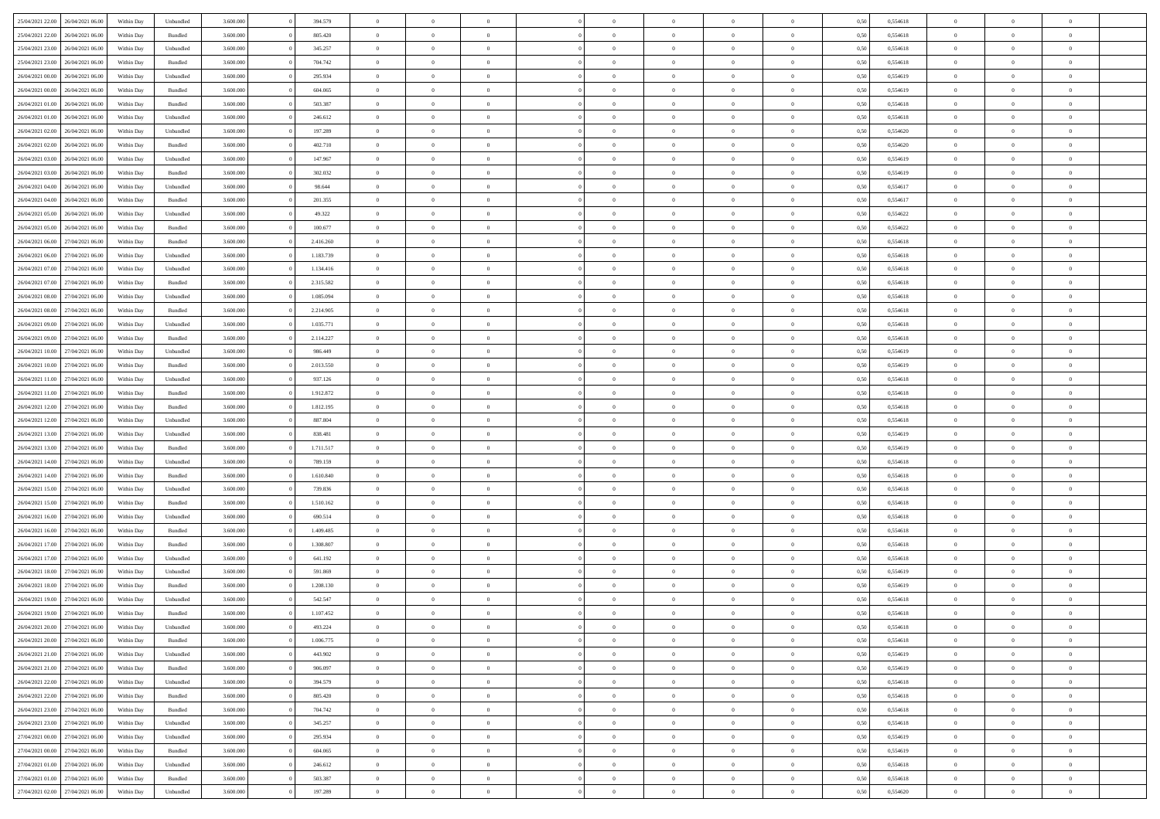| 25/04/2021 22.00                  | 26/04/2021 06:00 | Within Day | Unbundled                   | 3.600.000 | 394.579   | $\overline{0}$ | $\theta$       |                | $\overline{0}$ | $\bf{0}$       | $\overline{0}$ | $\theta$       | 0,50 | 0,554618 | $\theta$       | $\theta$       | $\overline{0}$ |  |
|-----------------------------------|------------------|------------|-----------------------------|-----------|-----------|----------------|----------------|----------------|----------------|----------------|----------------|----------------|------|----------|----------------|----------------|----------------|--|
|                                   |                  |            |                             |           |           | $\overline{0}$ |                | $\overline{0}$ |                |                |                |                |      |          |                |                | $\overline{0}$ |  |
| 25/04/2021 22.00                  | 26/04/2021 06.00 | Within Day | Bundled                     | 3.600.000 | 805.420   |                | $\overline{0}$ |                | $\overline{0}$ | $\,$ 0         | $\bf{0}$       | $\bf{0}$       | 0,50 | 0,554618 | $\,$ 0 $\,$    | $\overline{0}$ |                |  |
| 25/04/2021 23:00                  | 26/04/2021 06:00 | Within Day | Unbundled                   | 3.600,000 | 345.257   | $\overline{0}$ | $\overline{0}$ | $\overline{0}$ | $\overline{0}$ | $\bf{0}$       | $\overline{0}$ | $\mathbf{0}$   | 0,50 | 0,554618 | $\bf{0}$       | $\overline{0}$ | $\bf{0}$       |  |
| 25/04/2021 23:00                  | 26/04/2021 06:00 | Within Day | Bundled                     | 3.600.000 | 704.742   | $\overline{0}$ | $\overline{0}$ | $\overline{0}$ | $\overline{0}$ | $\,0\,$        | $\overline{0}$ | $\overline{0}$ | 0,50 | 0,554618 | $\,$ 0 $\,$    | $\overline{0}$ | $\overline{0}$ |  |
| 26/04/2021 00:00                  | 26/04/2021 06.00 | Within Day | Unbundled                   | 3.600.000 | 295.934   | $\overline{0}$ | $\theta$       | $\overline{0}$ | $\overline{0}$ | $\,$ 0         | $\overline{0}$ | $\bf{0}$       | 0,50 | 0,554619 | $\,$ 0 $\,$    | $\overline{0}$ | $\overline{0}$ |  |
| 26/04/2021 00:00                  | 26/04/2021 06:00 | Within Day | Bundled                     | 3.600,000 | 604.065   | $\overline{0}$ | $\overline{0}$ | $\overline{0}$ | $\overline{0}$ | $\bf{0}$       | $\overline{0}$ | $\bf{0}$       | 0.50 | 0.554619 | $\,0\,$        | $\overline{0}$ | $\overline{0}$ |  |
| 26/04/2021 01:00                  | 26/04/2021 06:00 | Within Day | Bundled                     | 3.600.000 | 503.387   | $\overline{0}$ | $\overline{0}$ | $\overline{0}$ | $\overline{0}$ | $\bf{0}$       | $\overline{0}$ | $\bf{0}$       | 0,50 | 0,554618 | $\,$ 0 $\,$    | $\overline{0}$ | $\overline{0}$ |  |
| 26/04/2021 01:00                  | 26/04/2021 06.00 | Within Day | Unbundled                   | 3.600.000 | 246.612   | $\overline{0}$ | $\overline{0}$ | $\overline{0}$ | $\overline{0}$ | $\,$ 0         | $\bf{0}$       | $\bf{0}$       | 0,50 | 0,554618 | $\,$ 0 $\,$    | $\overline{0}$ | $\overline{0}$ |  |
|                                   |                  |            |                             |           |           |                |                |                |                |                |                |                |      |          |                |                |                |  |
| 26/04/2021 02:00                  | 26/04/2021 06:00 | Within Day | Unbundled                   | 3.600,000 | 197.289   | $\overline{0}$ | $\overline{0}$ | $\overline{0}$ | $\overline{0}$ | $\bf{0}$       | $\overline{0}$ | $\bf{0}$       | 0.50 | 0.554620 | $\bf{0}$       | $\overline{0}$ | $\bf{0}$       |  |
| 26/04/2021 02:00                  | 26/04/2021 06:00 | Within Day | Bundled                     | 3.600.000 | 402.710   | $\overline{0}$ | $\overline{0}$ | $\overline{0}$ | $\overline{0}$ | $\bf{0}$       | $\overline{0}$ | $\bf{0}$       | 0,50 | 0,554620 | $\,$ 0 $\,$    | $\overline{0}$ | $\overline{0}$ |  |
| 26/04/2021 03:00                  | 26/04/2021 06.00 | Within Day | Unbundled                   | 3.600.000 | 147.967   | $\bf{0}$       | $\overline{0}$ | $\overline{0}$ | $\overline{0}$ | $\,$ 0         | $\bf{0}$       | $\bf{0}$       | 0,50 | 0,554619 | $\,$ 0 $\,$    | $\overline{0}$ | $\overline{0}$ |  |
| 26/04/2021 03:00                  | 26/04/2021 06:00 | Within Day | Bundled                     | 3.600,000 | 302.032   | $\overline{0}$ | $\overline{0}$ | $\overline{0}$ | $\overline{0}$ | $\bf{0}$       | $\overline{0}$ | $\mathbf{0}$   | 0.50 | 0.554619 | $\overline{0}$ | $\,$ 0 $\,$    | $\bf{0}$       |  |
| 26/04/2021 04:00                  | 26/04/2021 06:00 | Within Day | Unbundled                   | 3.600.000 | 98.644    | $\overline{0}$ | $\overline{0}$ | $\overline{0}$ | $\overline{0}$ | $\bf{0}$       | $\overline{0}$ | $\overline{0}$ | 0,50 | 0,554617 | $\,$ 0 $\,$    | $\overline{0}$ | $\overline{0}$ |  |
| 26/04/2021 04:00                  | 26/04/2021 06.00 | Within Day | Bundled                     | 3.600.000 | 201.355   | $\overline{0}$ | $\theta$       | $\overline{0}$ | $\overline{0}$ | $\,$ 0         | $\overline{0}$ | $\bf{0}$       | 0,50 | 0,554617 | $\,$ 0 $\,$    | $\overline{0}$ | $\overline{0}$ |  |
| 26/04/2021 05:00                  | 26/04/2021 06:00 | Within Day | Unbundled                   | 3.600,000 | 49.322    | $\overline{0}$ | $\overline{0}$ | $\overline{0}$ | $\overline{0}$ | $\bf{0}$       | $\overline{0}$ | $\bf{0}$       | 0.50 | 0.554622 | $\,0\,$        | $\theta$       | $\overline{0}$ |  |
| 26/04/2021 05:00                  | 26/04/2021 06:00 | Within Day | Bundled                     | 3.600.000 | 100.677   | $\overline{0}$ | $\overline{0}$ | $\overline{0}$ | $\overline{0}$ | $\bf{0}$       | $\overline{0}$ | $\bf{0}$       | 0,50 | 0,554622 | $\,$ 0 $\,$    | $\theta$       | $\overline{0}$ |  |
|                                   |                  |            |                             |           |           |                |                |                |                |                |                |                |      |          |                |                |                |  |
| 26/04/2021 06:00                  | 27/04/2021 06.00 | Within Day | Bundled                     | 3.600.000 | 2.416.260 | $\overline{0}$ | $\overline{0}$ | $\overline{0}$ | $\overline{0}$ | $\,$ 0         | $\bf{0}$       | $\bf{0}$       | 0,50 | 0,554618 | $\,$ 0 $\,$    | $\overline{0}$ | $\overline{0}$ |  |
| 26/04/2021 06:00                  | 27/04/2021 06:00 | Within Day | Unbundled                   | 3.600,000 | 1.183.739 | $\overline{0}$ | $\overline{0}$ | $\overline{0}$ | $\overline{0}$ | $\bf{0}$       | $\overline{0}$ | $\mathbf{0}$   | 0.50 | 0.554618 | $\bf{0}$       | $\overline{0}$ | $\bf{0}$       |  |
| 26/04/2021 07:00                  | 27/04/2021 06:00 | Within Day | Unbundled                   | 3.600.000 | 1.134.416 | $\overline{0}$ | $\overline{0}$ | $\overline{0}$ | $\overline{0}$ | $\bf{0}$       | $\overline{0}$ | $\bf{0}$       | 0,50 | 0,554618 | $\,$ 0 $\,$    | $\overline{0}$ | $\overline{0}$ |  |
| 26/04/2021 07:00                  | 27/04/2021 06.00 | Within Day | Bundled                     | 3.600.000 | 2.315.582 | $\overline{0}$ | $\overline{0}$ | $\overline{0}$ | $\overline{0}$ | $\bf{0}$       | $\bf{0}$       | $\bf{0}$       | 0,50 | 0,554618 | $\,$ 0 $\,$    | $\overline{0}$ | $\overline{0}$ |  |
| 26/04/2021 08:00                  | 27/04/2021 06:00 | Within Day | Unbundled                   | 3.600,000 | 1.085.094 | $\overline{0}$ | $\overline{0}$ | $\overline{0}$ | $\overline{0}$ | $\bf{0}$       | $\overline{0}$ | $\mathbf{0}$   | 0.50 | 0.554618 | $\overline{0}$ | $\,$ 0 $\,$    | $\overline{0}$ |  |
| 26/04/2021 08:00                  | 27/04/2021 06.00 | Within Day | Bundled                     | 3.600.000 | 2.214.905 | $\overline{0}$ | $\overline{0}$ | $\overline{0}$ | $\overline{0}$ | $\bf{0}$       | $\overline{0}$ | $\overline{0}$ | 0,50 | 0,554618 | $\,$ 0 $\,$    | $\overline{0}$ | $\overline{0}$ |  |
| 26/04/2021 09:00                  | 27/04/2021 06.00 | Within Day | Unbundled                   | 3.600.000 | 1.035.771 | $\overline{0}$ | $\overline{0}$ | $\overline{0}$ | $\overline{0}$ | $\,$ 0         | $\overline{0}$ | $\bf{0}$       | 0,50 | 0,554618 | $\,$ 0 $\,$    | $\overline{0}$ | $\overline{0}$ |  |
|                                   |                  |            |                             |           |           |                |                |                |                |                |                |                |      |          |                |                |                |  |
| 26/04/2021 09:00                  | 27/04/2021 06:00 | Within Day | Bundled                     | 3.600,000 | 2.114.227 | $\overline{0}$ | $\overline{0}$ | $\overline{0}$ | $\overline{0}$ | $\bf{0}$       | $\overline{0}$ | $\bf{0}$       | 0.50 | 0.554618 | $\,0\,$        | $\overline{0}$ | $\overline{0}$ |  |
| 26/04/2021 10:00                  | 27/04/2021 06.00 | Within Day | Unbundled                   | 3.600.000 | 986.449   | $\overline{0}$ | $\overline{0}$ | $\overline{0}$ | $\overline{0}$ | $\bf{0}$       | $\overline{0}$ | $\bf{0}$       | 0,50 | 0,554619 | $\,$ 0 $\,$    | $\theta$       | $\overline{0}$ |  |
| 26/04/2021 10:00                  | 27/04/2021 06.00 | Within Day | Bundled                     | 3.600.000 | 2.013.550 | $\overline{0}$ | $\theta$       | $\overline{0}$ | $\overline{0}$ | $\,$ 0         | $\bf{0}$       | $\bf{0}$       | 0,50 | 0,554619 | $\,$ 0 $\,$    | $\overline{0}$ | $\overline{0}$ |  |
| 26/04/2021 11:00                  | 27/04/2021 06:00 | Within Day | Unbundled                   | 3.600,000 | 937.126   | $\overline{0}$ | $\overline{0}$ | $\overline{0}$ | $\overline{0}$ | $\bf{0}$       | $\overline{0}$ | $\mathbf{0}$   | 0.50 | 0.554618 | $\bf{0}$       | $\overline{0}$ | $\bf{0}$       |  |
| 26/04/2021 11:00                  | 27/04/2021 06:00 | Within Day | Bundled                     | 3.600.000 | 1.912.872 | $\overline{0}$ | $\overline{0}$ | $\overline{0}$ | $\overline{0}$ | $\bf{0}$       | $\overline{0}$ | $\bf{0}$       | 0,50 | 0,554618 | $\,$ 0 $\,$    | $\overline{0}$ | $\overline{0}$ |  |
| 26/04/2021 12:00                  | 27/04/2021 06.00 | Within Day | Bundled                     | 3.600.000 | 1.812.195 | $\overline{0}$ | $\overline{0}$ | $\overline{0}$ | $\overline{0}$ | $\bf{0}$       | $\bf{0}$       | $\bf{0}$       | 0,50 | 0,554618 | $\,$ 0 $\,$    | $\overline{0}$ | $\overline{0}$ |  |
| 26/04/2021 12:00                  | 27/04/2021 06:00 | Within Day | Unbundled                   | 3.600,000 | 887.804   | $\overline{0}$ | $\overline{0}$ | $\overline{0}$ | $\overline{0}$ | $\bf{0}$       | $\overline{0}$ | $\mathbf{0}$   | 0.50 | 0.554618 | $\overline{0}$ | $\,$ 0 $\,$    | $\bf{0}$       |  |
| 26/04/2021 13:00                  | 27/04/2021 06:00 | Within Dav | Unbundled                   | 3.600.000 | 838.481   | $\overline{0}$ | $\overline{0}$ | $\overline{0}$ | $\overline{0}$ | $\overline{0}$ | $\overline{0}$ | $\overline{0}$ | 0.50 | 0,554619 | $\theta$       | $\overline{0}$ | $\overline{0}$ |  |
|                                   |                  |            |                             |           |           |                |                |                |                |                |                |                |      |          |                |                |                |  |
| 26/04/2021 13:00                  | 27/04/2021 06.00 | Within Day | Bundled                     | 3.600.000 | 1.711.517 | $\overline{0}$ | $\overline{0}$ | $\overline{0}$ | $\overline{0}$ | $\,$ 0         | $\bf{0}$       | $\bf{0}$       | 0,50 | 0,554619 | $\,$ 0 $\,$    | $\overline{0}$ | $\overline{0}$ |  |
| 26/04/2021 14:00                  | 27/04/2021 06:00 | Within Day | Unbundled                   | 3.600,000 | 789.159   | $\overline{0}$ | $\overline{0}$ | $\overline{0}$ | $\overline{0}$ | $\bf{0}$       | $\overline{0}$ | $\bf{0}$       | 0.50 | 0.554618 | $\,0\,$        | $\theta$       | $\overline{0}$ |  |
| 26/04/2021 14:00                  | 27/04/2021 06:00 | Within Dav | Bundled                     | 3.600.000 | 1.610.840 | $\overline{0}$ | $\overline{0}$ | $\Omega$       | $\overline{0}$ | $\mathbf{0}$   | $\overline{0}$ | $\overline{0}$ | 0,50 | 0,554618 | $\theta$       | $\overline{0}$ | $\overline{0}$ |  |
| 26/04/2021 15:00                  | 27/04/2021 06.00 | Within Day | Unbundled                   | 3.600.000 | 739.836   | $\overline{0}$ | $\overline{0}$ | $\overline{0}$ | $\overline{0}$ | $\,$ 0         | $\bf{0}$       | $\bf{0}$       | 0,50 | 0,554618 | $\,$ 0 $\,$    | $\overline{0}$ | $\overline{0}$ |  |
| 26/04/2021 15:00                  | 27/04/2021 06:00 | Within Day | Bundled                     | 3.600,000 | 1.510.162 | $\overline{0}$ | $\overline{0}$ | $\overline{0}$ | $\overline{0}$ | $\bf{0}$       | $\overline{0}$ | $\mathbf{0}$   | 0.50 | 0.554618 | $\bf{0}$       | $\overline{0}$ | $\bf{0}$       |  |
| 26/04/2021 16:00                  | 27/04/2021 06:00 | Within Dav | Unbundled                   | 3.600.000 | 690.514   | $\overline{0}$ | $\overline{0}$ | $\overline{0}$ | $\overline{0}$ | $\overline{0}$ | $\overline{0}$ | $\overline{0}$ | 0.50 | 0,554618 | $\theta$       | $\overline{0}$ | $\overline{0}$ |  |
| 26/04/2021 16:00                  | 27/04/2021 06.00 | Within Day | Bundled                     | 3.600.000 | 1.409.485 | $\bf{0}$       | $\overline{0}$ | $\overline{0}$ | $\bf{0}$       | $\bf{0}$       | $\bf{0}$       | $\bf{0}$       | 0,50 | 0,554618 | $\,$ 0 $\,$    | $\overline{0}$ | $\overline{0}$ |  |
| 26/04/2021 17:00                  | 27/04/2021 06:00 | Within Day | $\mathbf B$ undled          | 3.600,000 | 1.308.807 | $\overline{0}$ | $\overline{0}$ | $\overline{0}$ | $\overline{0}$ | $\bf{0}$       | $\overline{0}$ | $\mathbf{0}$   | 0.50 | 0.554618 | $\overline{0}$ | $\,$ 0 $\,$    | $\overline{0}$ |  |
|                                   |                  |            |                             |           |           |                |                |                |                |                |                |                |      |          |                |                |                |  |
| 26/04/2021 17:00                  | 27/04/2021 06:00 | Within Dav | Unbundled                   | 3.600.000 | 641.192   | $\overline{0}$ | $\overline{0}$ | $\overline{0}$ | $\overline{0}$ | $\mathbf{0}$   | $\overline{0}$ | $\overline{0}$ | 0,50 | 0,554618 | $\theta$       | $\overline{0}$ | $\overline{0}$ |  |
| 26/04/2021 18:00                  | 27/04/2021 06.00 | Within Day | Unbundled                   | 3.600.000 | 591.869   | $\bf{0}$       | $\overline{0}$ | $\overline{0}$ | $\overline{0}$ | $\bf{0}$       | $\overline{0}$ | $\bf{0}$       | 0,50 | 0,554619 | $\,$ 0 $\,$    | $\overline{0}$ | $\overline{0}$ |  |
| 26/04/2021 18:00                  | 27/04/2021 06:00 | Within Day | Bundled                     | 3.600,000 | 1.208.130 | $\overline{0}$ | $\overline{0}$ | $\overline{0}$ | $\overline{0}$ | $\bf{0}$       | $\Omega$       | $\overline{0}$ | 0.50 | 0.554619 | $\,0\,$        | $\theta$       | $\overline{0}$ |  |
| 26/04/2021 19:00                  | 27/04/2021 06:00 | Within Dav | Unbundled                   | 3.600.000 | 542.547   | $\overline{0}$ | $\theta$       | $\Omega$       | $\overline{0}$ | $\bf{0}$       | $\overline{0}$ | $\overline{0}$ | 0.50 | 0,554618 | $\theta$       | $\overline{0}$ | $\overline{0}$ |  |
| 26/04/2021 19:00                  | 27/04/2021 06:00 | Within Day | Bundled                     | 3.600.000 | 1.107.452 | $\bf{0}$       | $\overline{0}$ | $\overline{0}$ | $\bf{0}$       | $\,$ 0         | $\bf{0}$       | $\bf{0}$       | 0,50 | 0,554618 | $\,$ 0 $\,$    | $\overline{0}$ | $\overline{0}$ |  |
| 26/04/2021 20:00                  | 27/04/2021 06:00 | Within Day | $\ensuremath{\mathsf{Unb}}$ | 3.600.000 | 493.224   | $\bf{0}$       | $\theta$       |                | $^{\circ}$     | $\Omega$       |                |                | 0,50 | 0,554618 | $\bf{0}$       | $\theta$       |                |  |
| 26/04/2021 20:00 27/04/2021 06:00 |                  | Within Day | Bundled                     | 3.600.000 | 1.006.775 | $\overline{0}$ | $\overline{0}$ | $\overline{0}$ | $\overline{0}$ | $\overline{0}$ | $\overline{0}$ | $\mathbf{0}$   | 0,50 | 0,554618 | $\theta$       | $\overline{0}$ | $\overline{0}$ |  |
| 26/04/2021 21:00                  | 27/04/2021 06:00 | Within Day | Unbundled                   | 3.600.000 | 443.902   | $\overline{0}$ | $\overline{0}$ | $\overline{0}$ | $\bf{0}$       | $\overline{0}$ | $\overline{0}$ | $\bf{0}$       | 0,50 | 0,554619 | $\bf{0}$       | $\overline{0}$ | $\bf{0}$       |  |
|                                   |                  |            |                             |           |           |                |                |                |                |                |                |                |      |          |                |                |                |  |
| 26/04/2021 21:00                  | 27/04/2021 06:00 | Within Day | Bundled                     | 3.600.000 | 906.097   | $\overline{0}$ | $\overline{0}$ | $\overline{0}$ | $\overline{0}$ | $\overline{0}$ | $\overline{0}$ | $\mathbf{0}$   | 0.50 | 0.554619 | $\overline{0}$ | $\bf{0}$       | $\overline{0}$ |  |
| 26/04/2021 22:00                  | 27/04/2021 06:00 | Within Day | Unbundled                   | 3.600.000 | 394.579   | $\overline{0}$ | $\overline{0}$ | $\overline{0}$ | $\overline{0}$ | $\overline{0}$ | $\overline{0}$ | $\mathbf{0}$   | 0,50 | 0,554618 | $\overline{0}$ | $\theta$       | $\overline{0}$ |  |
| 26/04/2021 22:00                  | 27/04/2021 06:00 | Within Day | Bundled                     | 3.600.000 | 805.420   | $\overline{0}$ | $\overline{0}$ | $\overline{0}$ | $\overline{0}$ | $\bf{0}$       | $\bf{0}$       | $\bf{0}$       | 0,50 | 0,554618 | $\,$ 0 $\,$    | $\overline{0}$ | $\overline{0}$ |  |
| 26/04/2021 23:00                  | 27/04/2021 06:00 | Within Day | Bundled                     | 3.600.000 | 704.742   | $\overline{0}$ | $\overline{0}$ | $\overline{0}$ | $\overline{0}$ | $\bf{0}$       | $\overline{0}$ | $\mathbf{0}$   | 0.50 | 0.554618 | $\,$ 0 $\,$    | $\overline{0}$ | $\overline{0}$ |  |
| 26/04/2021 23:00                  | 27/04/2021 06:00 | Within Day | Unbundled                   | 3.600.000 | 345.257   | $\overline{0}$ | $\overline{0}$ | $\overline{0}$ | $\overline{0}$ | $\overline{0}$ | $\overline{0}$ | $\overline{0}$ | 0,50 | 0,554618 | $\overline{0}$ | $\theta$       | $\overline{0}$ |  |
| 27/04/2021 00:00                  | 27/04/2021 06:00 | Within Day | Unbundled                   | 3.600.000 | 295.934   | $\overline{0}$ | $\,$ 0         | $\overline{0}$ | $\bf{0}$       | $\overline{0}$ | $\overline{0}$ | $\bf{0}$       | 0,50 | 0,554619 | $\,$ 0 $\,$    | $\overline{0}$ | $\overline{0}$ |  |
| 27/04/2021 00:00                  | 27/04/2021 06:00 | Within Day | Bundled                     | 3.600.000 | 604.065   | $\overline{0}$ | $\overline{0}$ | $\overline{0}$ | $\overline{0}$ | $\bf{0}$       | $\overline{0}$ | $\mathbf{0}$   | 0.50 | 0.554619 | $\mathbf{0}$   | $\bf{0}$       | $\bf{0}$       |  |
| 27/04/2021 01:00                  | 27/04/2021 06:00 | Within Day | Unbundled                   | 3.600.000 | 246.612   | $\overline{0}$ | $\overline{0}$ | $\overline{0}$ | $\overline{0}$ | $\overline{0}$ | $\overline{0}$ | $\overline{0}$ | 0,50 | 0,554618 | $\overline{0}$ | $\overline{0}$ | $\overline{0}$ |  |
|                                   |                  |            |                             |           |           |                |                |                |                |                |                |                |      |          |                |                |                |  |
| 27/04/2021 01:00                  | 27/04/2021 06:00 | Within Day | Bundled                     | 3.600.000 | 503.387   | $\overline{0}$ | $\bf{0}$       | $\overline{0}$ | $\bf{0}$       | $\bf{0}$       | $\bf{0}$       | $\bf{0}$       | 0,50 | 0,554618 | $\overline{0}$ | $\overline{0}$ | $\bf{0}$       |  |
| 27/04/2021 02:00 27/04/2021 06:00 |                  | Within Day | Unbundled                   | 3.600.000 | 197.289   | $\,$ 0 $\,$    | $\,$ 0 $\,$    | $\overline{0}$ | $\overline{0}$ | $\,$ 0 $\,$    | $\,$ 0 $\,$    | $\,$ 0 $\,$    | 0,50 | 0,554620 | $\mathbf{0}^-$ | $\,$ 0 $\,$    | $\,$ 0 $\,$    |  |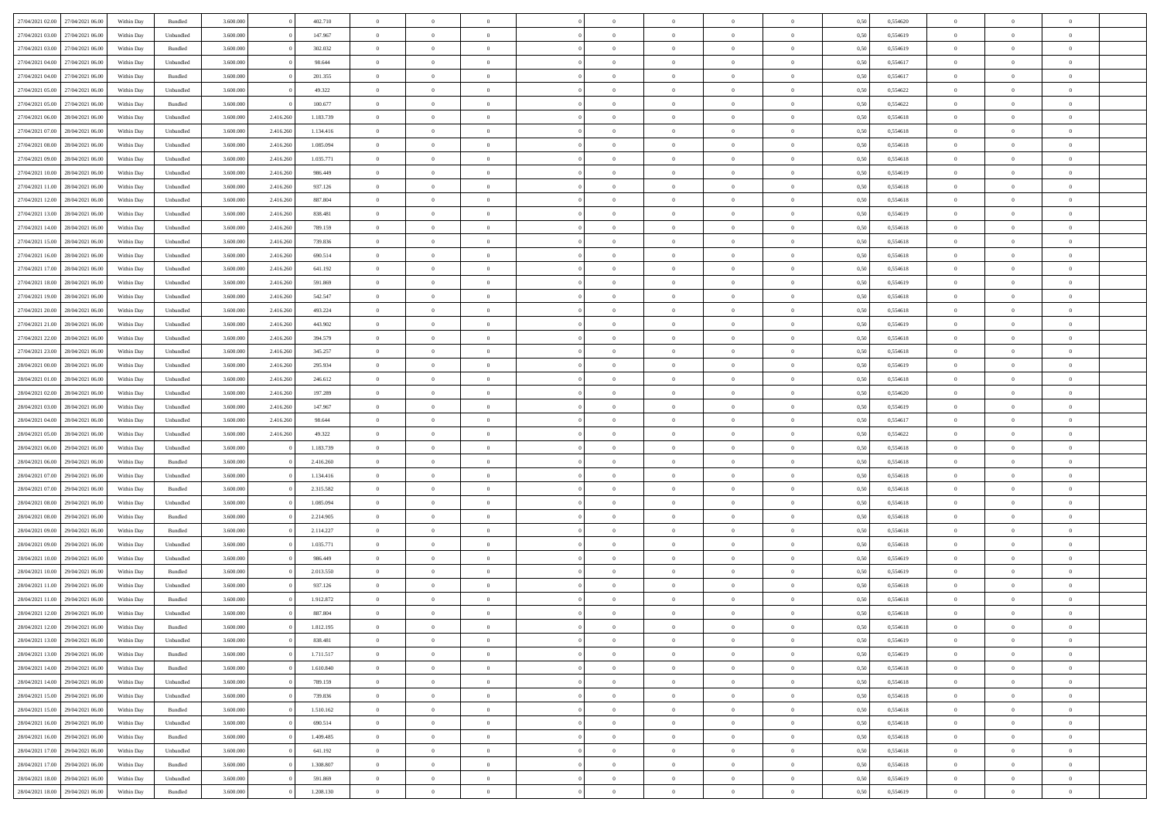| 27/04/2021 02.00 27/04/2021 06.00 |                  | Within Day | Bundled            | 3.600.000 |           | 402.710   | $\overline{0}$ | $\theta$       |                | $\overline{0}$ | $\bf{0}$       | $\overline{0}$ | $\theta$       | 0,50 | 0,554620 | $\theta$       | $\theta$       | $\theta$       |  |
|-----------------------------------|------------------|------------|--------------------|-----------|-----------|-----------|----------------|----------------|----------------|----------------|----------------|----------------|----------------|------|----------|----------------|----------------|----------------|--|
| 27/04/2021 03:00                  | 27/04/2021 06.00 | Within Day | Unbundled          | 3.600.000 |           | 147.967   | $\overline{0}$ | $\theta$       | $\overline{0}$ | $\overline{0}$ | $\,$ 0         | $\bf{0}$       | $\bf{0}$       | 0,50 | 0,554619 | $\,$ 0 $\,$    | $\overline{0}$ | $\overline{0}$ |  |
|                                   |                  |            |                    |           |           |           |                |                |                |                |                |                |                |      |          |                |                |                |  |
| 27/04/2021 03:00                  | 27/04/2021 06:00 | Within Day | Bundled            | 3.600,000 |           | 302.032   | $\overline{0}$ | $\overline{0}$ | $\overline{0}$ | $\overline{0}$ | $\bf{0}$       | $\overline{0}$ | $\mathbf{0}$   | 0.50 | 0.554619 | $\bf{0}$       | $\overline{0}$ | $\overline{0}$ |  |
| 27/04/2021 04:00                  | 27/04/2021 06.00 | Within Day | Unbundled          | 3.600.000 |           | 98.644    | $\overline{0}$ | $\overline{0}$ | $\overline{0}$ | $\overline{0}$ | $\bf{0}$       | $\overline{0}$ | $\overline{0}$ | 0,50 | 0,554617 | $\,$ 0 $\,$    | $\overline{0}$ | $\overline{0}$ |  |
| 27/04/2021 04:00                  | 27/04/2021 06.00 | Within Day | Bundled            | 3.600.000 |           | 201.355   | $\overline{0}$ | $\theta$       | $\overline{0}$ |                | $\overline{0}$ | $\overline{0}$ | $\bf{0}$       | 0,50 | 0,554617 | $\,$ 0 $\,$    | $\overline{0}$ | $\overline{0}$ |  |
| 27/04/2021 05:00                  | 27/04/2021 06:00 | Within Day | Unbundled          | 3.600,000 |           | 49.322    | $\overline{0}$ | $\overline{0}$ | $\overline{0}$ | $\overline{0}$ | $\bf{0}$       | $\overline{0}$ | $\overline{0}$ | 0.50 | 0.554622 | $\,0\,$        | $\theta$       | $\overline{0}$ |  |
| 27/04/2021 05:00                  | 27/04/2021 06.00 | Within Day | Bundled            | 3.600.000 |           | 100.677   | $\overline{0}$ | $\overline{0}$ | $\overline{0}$ | $\overline{0}$ | $\,$ 0         | $\overline{0}$ | $\overline{0}$ | 0,50 | 0,554622 | $\,$ 0 $\,$    | $\theta$       | $\overline{0}$ |  |
| 27/04/2021 06.00                  | 28/04/2021 06.00 | Within Day | Unbundled          | 3.600.000 | 2.416.260 | 1.183.739 | $\overline{0}$ | $\theta$       | $\overline{0}$ |                | $\bf{0}$       | $\overline{0}$ | $\bf{0}$       | 0,50 | 0,554618 | $\,$ 0 $\,$    | $\overline{0}$ | $\overline{0}$ |  |
| 27/04/2021 07:00                  | 28/04/2021 06:00 | Within Day | Unbundled          | 3.600,000 | 2.416.260 | 1.134.416 | $\overline{0}$ | $\overline{0}$ | $\overline{0}$ | $\overline{0}$ | $\bf{0}$       | $\overline{0}$ | $\bf{0}$       | 0.50 | 0.554618 | $\,0\,$        | $\overline{0}$ | $\overline{0}$ |  |
| 27/04/2021 08:00                  | 28/04/2021 06:00 | Within Day | Unbundled          | 3.600.000 | 2.416.260 | 1.085.094 | $\overline{0}$ | $\overline{0}$ | $\overline{0}$ | $\overline{0}$ | $\,$ 0         | $\overline{0}$ | $\bf{0}$       | 0,50 | 0,554618 | $\,$ 0 $\,$    | $\overline{0}$ | $\overline{0}$ |  |
| 27/04/2021 09:00                  | 28/04/2021 06.00 | Within Day | Unbundled          | 3.600.000 | 2.416.260 | 1.035.771 | $\bf{0}$       | $\theta$       | $\overline{0}$ | $\overline{0}$ | $\,$ 0         | $\overline{0}$ | $\bf{0}$       | 0,50 | 0,554618 | $\,$ 0 $\,$    | $\overline{0}$ | $\overline{0}$ |  |
| 27/04/2021 10:00                  | 28/04/2021 06:00 | Within Day | Unbundled          | 3.600,000 | 2.416.260 | 986.449   | $\overline{0}$ | $\overline{0}$ | $\overline{0}$ | $\overline{0}$ | $\bf{0}$       | $\overline{0}$ | $\mathbf{0}$   | 0.50 | 0.554619 | $\bf{0}$       | $\overline{0}$ | $\overline{0}$ |  |
| 27/04/2021 11:00                  | 28/04/2021 06:00 | Within Day | Unbundled          | 3.600.000 | 2.416.260 | 937.126   | $\overline{0}$ | $\overline{0}$ | $\overline{0}$ | $\overline{0}$ | $\,$ 0         | $\overline{0}$ | $\overline{0}$ | 0,50 | 0,554618 | $\,$ 0 $\,$    | $\theta$       | $\overline{0}$ |  |
| 27/04/2021 12:00                  | 28/04/2021 06.00 | Within Day | Unbundled          | 3.600.000 | 2.416.260 | 887.804   | $\overline{0}$ | $\theta$       | $\overline{0}$ |                | $\overline{0}$ | $\overline{0}$ | $\bf{0}$       | 0,50 | 0,554618 | $\,$ 0 $\,$    | $\overline{0}$ | $\overline{0}$ |  |
| 27/04/2021 13:00                  | 28/04/2021 06:00 | Within Day | Unbundled          | 3.600,000 | 2.416.260 | 838,481   | $\overline{0}$ | $\overline{0}$ | $\overline{0}$ | $\overline{0}$ | $\,$ 0         | $\overline{0}$ | $\bf{0}$       | 0.50 | 0.554619 | $\,0\,$        | $\theta$       | $\overline{0}$ |  |
|                                   |                  |            |                    |           |           |           | $\overline{0}$ | $\overline{0}$ | $\overline{0}$ | $\overline{0}$ | $\bf{0}$       | $\overline{0}$ | $\overline{0}$ |      |          |                | $\theta$       | $\overline{0}$ |  |
| 27/04/2021 14:00                  | 28/04/2021 06:00 | Within Day | Unbundled          | 3.600.000 | 2.416.260 | 789.159   |                |                |                |                |                |                |                | 0,50 | 0,554618 | $\,$ 0 $\,$    |                |                |  |
| 27/04/2021 15:00                  | 28/04/2021 06.00 | Within Day | Unbundled          | 3.600.000 | 2.416.260 | 739.836   | $\overline{0}$ | $\theta$       | $\overline{0}$ |                | $\bf{0}$       | $\overline{0}$ | $\bf{0}$       | 0,50 | 0,554618 | $\,$ 0 $\,$    | $\overline{0}$ | $\overline{0}$ |  |
| 27/04/2021 16:00                  | 28/04/2021 06:00 | Within Day | Unbundled          | 3.600,000 | 2.416.260 | 690.514   | $\overline{0}$ | $\overline{0}$ | $\overline{0}$ | $\overline{0}$ | $\bf{0}$       | $\overline{0}$ | $\bf{0}$       | 0.50 | 0.554618 | $\,0\,$        | $\overline{0}$ | $\overline{0}$ |  |
| 27/04/2021 17:00                  | 28/04/2021 06:00 | Within Day | Unbundled          | 3.600.000 | 2.416.260 | 641.192   | $\overline{0}$ | $\overline{0}$ | $\overline{0}$ | $\overline{0}$ | $\,$ 0         | $\overline{0}$ | $\bf{0}$       | 0,50 | 0,554618 | $\,$ 0 $\,$    | $\overline{0}$ | $\overline{0}$ |  |
| 27/04/2021 18:00                  | 28/04/2021 06.00 | Within Day | Unbundled          | 3.600.000 | 2.416.260 | 591.869   | $\bf{0}$       | $\theta$       | $\overline{0}$ | $\overline{0}$ | $\,$ 0         | $\bf{0}$       | $\bf{0}$       | 0,50 | 0,554619 | $\,$ 0 $\,$    | $\overline{0}$ | $\overline{0}$ |  |
| 27/04/2021 19:00                  | 28/04/2021 06:00 | Within Day | Unbundled          | 3.600,000 | 2.416.260 | 542.547   | $\overline{0}$ | $\overline{0}$ | $\overline{0}$ | $\overline{0}$ | $\bf{0}$       | $\overline{0}$ | $\mathbf{0}$   | 0.50 | 0.554618 | $\bf{0}$       | $\overline{0}$ | $\overline{0}$ |  |
| 27/04/2021 20:00                  | 28/04/2021 06:00 | Within Day | Unbundled          | 3.600.000 | 2.416.260 | 493.224   | $\overline{0}$ | $\overline{0}$ | $\overline{0}$ | $\overline{0}$ | $\bf{0}$       | $\overline{0}$ | $\overline{0}$ | 0,50 | 0,554618 | $\,$ 0 $\,$    | $\overline{0}$ | $\overline{0}$ |  |
| 27/04/2021 21:00                  | 28/04/2021 06.00 | Within Day | Unbundled          | 3.600.000 | 2.416.260 | 443.902   | $\overline{0}$ | $\theta$       | $\overline{0}$ | $\overline{0}$ | $\,$ 0         | $\overline{0}$ | $\bf{0}$       | 0,50 | 0,554619 | $\,$ 0 $\,$    | $\overline{0}$ | $\overline{0}$ |  |
| 27/04/2021 22:00                  | 28/04/2021 06:00 | Within Day | Unbundled          | 3.600,000 | 2.416.260 | 394.579   | $\overline{0}$ | $\overline{0}$ | $\overline{0}$ | $\overline{0}$ | $\bf{0}$       | $\overline{0}$ | $\overline{0}$ | 0.50 | 0.554618 | $\,0\,$        | $\theta$       | $\overline{0}$ |  |
| 27/04/2021 23:00                  | 28/04/2021 06:00 | Within Day | Unbundled          | 3.600.000 | 2.416.260 | 345.257   | $\overline{0}$ | $\theta$       | $\overline{0}$ | $\overline{0}$ | $\,$ 0         | $\overline{0}$ | $\overline{0}$ | 0,50 | 0,554618 | $\,0\,$        | $\theta$       | $\overline{0}$ |  |
| 28/04/2021 00:00                  | 28/04/2021 06.00 | Within Day | Unbundled          | 3.600.000 | 2.416.260 | 295.934   | $\overline{0}$ | $\theta$       | $\overline{0}$ |                | $\bf{0}$       | $\overline{0}$ | $\bf{0}$       | 0,50 | 0,554619 | $\,$ 0 $\,$    | $\overline{0}$ | $\overline{0}$ |  |
| 28/04/2021 01:00                  | 28/04/2021 06:00 | Within Day | Unbundled          | 3.600,000 | 2.416.260 | 246.612   | $\overline{0}$ | $\overline{0}$ | $\overline{0}$ | $\overline{0}$ | $\bf{0}$       | $\overline{0}$ | $\bf{0}$       | 0.50 | 0.554618 | $\,0\,$        | $\overline{0}$ | $\overline{0}$ |  |
| 28/04/2021 02:00                  | 28/04/2021 06:00 | Within Day | Unbundled          | 3.600.000 | 2.416.260 | 197.289   | $\overline{0}$ | $\overline{0}$ | $\overline{0}$ | $\overline{0}$ | $\,$ 0         | $\overline{0}$ | $\bf{0}$       | 0,50 | 0,554620 | $\,$ 0 $\,$    | $\theta$       | $\overline{0}$ |  |
| 28/04/2021 03:00                  | 28/04/2021 06.00 | Within Day | Unbundled          | 3.600.000 | 2.416.260 | 147.967   | $\bf{0}$       | $\overline{0}$ | $\overline{0}$ | $\overline{0}$ | $\,$ 0         | $\bf{0}$       | $\bf{0}$       | 0,50 | 0,554619 | $\,$ 0 $\,$    | $\overline{0}$ | $\overline{0}$ |  |
| 28/04/2021 04:00                  | 28/04/2021 06:00 |            |                    | 3.600,000 |           | 98.644    |                | $\overline{0}$ |                | $\overline{0}$ |                | $\overline{0}$ |                | 0.50 | 0.554617 | $\bf{0}$       | $\overline{0}$ | $\overline{0}$ |  |
|                                   |                  | Within Day | Unbundled          |           | 2.416.260 |           | $\overline{0}$ |                | $\overline{0}$ |                | $\bf{0}$       |                | $\mathbf{0}$   |      |          |                |                |                |  |
| 28/04/2021 05:00                  | 28/04/2021 06:00 | Within Dav | Unbundled          | 3.600.000 | 2.416.260 | 49.322    | $\overline{0}$ | $\overline{0}$ | $\overline{0}$ | $\overline{0}$ | $\mathbf{0}$   | $\overline{0}$ | $\overline{0}$ | 0.50 | 0,554622 | $\theta$       | $\overline{0}$ | $\overline{0}$ |  |
| 28/04/2021 06:00                  | 29/04/2021 06.00 | Within Day | Unbundled          | 3.600.000 |           | 1.183.739 | $\overline{0}$ | $\theta$       | $\overline{0}$ |                | $\bf{0}$       | $\overline{0}$ | $\bf{0}$       | 0,50 | 0,554618 | $\,$ 0 $\,$    | $\overline{0}$ | $\overline{0}$ |  |
| 28/04/2021 06:00                  | 29/04/2021 06:00 | Within Day | Bundled            | 3.600,000 |           | 2.416.260 | $\overline{0}$ | $\overline{0}$ | $\overline{0}$ | $\overline{0}$ | $\bf{0}$       | $\overline{0}$ | $\bf{0}$       | 0.50 | 0.554618 | $\,0\,$        | $\theta$       | $\overline{0}$ |  |
| 28/04/2021 07:00                  | 29/04/2021 06:00 | Within Dav | Unbundled          | 3.600.000 |           | 1.134.416 | $\overline{0}$ | $\theta$       | $\Omega$       | $\Omega$       | $\bf{0}$       | $\overline{0}$ | $\overline{0}$ | 0.50 | 0,554618 | $\theta$       | $\overline{0}$ | $\overline{0}$ |  |
| 28/04/2021 07:00                  | 29/04/2021 06.00 | Within Day | Bundled            | 3.600.000 |           | 2.315.582 | $\overline{0}$ | $\theta$       | $\overline{0}$ |                | $\,$ 0         | $\overline{0}$ | $\bf{0}$       | 0,50 | 0,554618 | $\,$ 0 $\,$    | $\overline{0}$ | $\overline{0}$ |  |
| 28/04/2021 08:00                  | 29/04/2021 06:00 | Within Day | Unbundled          | 3.600,000 |           | 1.085.094 | $\overline{0}$ | $\overline{0}$ | $\overline{0}$ | $\overline{0}$ | $\bf{0}$       | $\overline{0}$ | $\bf{0}$       | 0.50 | 0.554618 | $\,0\,$        | $\overline{0}$ | $\overline{0}$ |  |
| 28/04/2021 08:00                  | 29/04/2021 06:00 | Within Dav | Bundled            | 3.600.000 |           | 2.214.905 | $\overline{0}$ | $\overline{0}$ | $\overline{0}$ | $\overline{0}$ | $\overline{0}$ | $\overline{0}$ | $\overline{0}$ | 0.50 | 0,554618 | $\theta$       | $\overline{0}$ | $\overline{0}$ |  |
| 28/04/2021 09:00                  | 29/04/2021 06.00 | Within Day | Bundled            | 3.600.000 |           | 2.114.227 | $\overline{0}$ | $\overline{0}$ | $\overline{0}$ | $\overline{0}$ | $\bf{0}$       | $\bf{0}$       | $\bf{0}$       | 0,50 | 0,554618 | $\,$ 0 $\,$    | $\overline{0}$ | $\overline{0}$ |  |
| 28/04/2021 09:00                  | 29/04/2021 06:00 | Within Day | Unbundled          | 3.600,000 |           | 1.035.771 | $\overline{0}$ | $\overline{0}$ | $\overline{0}$ | $\overline{0}$ | $\bf{0}$       | $\overline{0}$ | $\mathbf{0}$   | 0.50 | 0.554618 | $\,$ 0 $\,$    | $\overline{0}$ | $\overline{0}$ |  |
| 28/04/2021 10:00                  | 29/04/2021 06:00 | Within Dav | Unbundled          | 3.600.000 |           | 986.449   | $\overline{0}$ | $\overline{0}$ | $\Omega$       | $\Omega$       | $\mathbf{0}$   | $\overline{0}$ | $\overline{0}$ | 0.50 | 0,554619 | $\theta$       | $\overline{0}$ | $\overline{0}$ |  |
| 28/04/2021 10:00                  | 29/04/2021 06.00 | Within Day | Bundled            | 3.600.000 |           | 2.013.550 | $\overline{0}$ | $\theta$       | $\overline{0}$ | $\overline{0}$ | $\,$ 0         | $\overline{0}$ | $\bf{0}$       | 0,50 | 0,554619 | $\,$ 0 $\,$    | $\overline{0}$ | $\overline{0}$ |  |
| 28/04/2021 11:00                  | 29/04/2021 06:00 | Within Day | Unbundled          | 3.600,000 |           | 937.126   | $\overline{0}$ | $\theta$       | $\overline{0}$ | $\overline{0}$ | $\bf{0}$       | $\Omega$       | $\overline{0}$ | 0.50 | 0.554618 | $\,0\,$        | $\theta$       | $\overline{0}$ |  |
| 28/04/2021 11:00                  | 29/04/2021 06:00 | Within Dav | Bundled            | 3.600.000 |           | 1.912.872 | $\overline{0}$ | $\Omega$       | $\Omega$       | $\Omega$       | $\bf{0}$       | $\overline{0}$ | $\Omega$       | 0.50 | 0,554618 | $\theta$       | $\theta$       | $\overline{0}$ |  |
| 28/04/2021 12:00                  | 29/04/2021 06.00 | Within Day | Unbundled          | 3.600.000 |           | 887.804   | $\overline{0}$ | $\,$ 0 $\,$    | $\overline{0}$ | $\overline{0}$ | $\,$ 0         | $\bf{0}$       | $\bf{0}$       | 0,50 | 0,554618 | $\,$ 0 $\,$    | $\overline{0}$ | $\overline{0}$ |  |
| 28/04/2021 12:00                  | 29/04/2021 06:00 | Within Day | $\mathbf B$ undled | 3.600.000 |           | 1.812.195 | $\bf{0}$       | $\theta$       |                |                |                |                |                | 0.50 | 0,554618 | $\bf{0}$       | $\theta$       |                |  |
| 28/04/2021 13:00 29/04/2021 06:00 |                  | Within Day | Unbundled          | 3.600.000 |           | 838.481   | $\overline{0}$ | $\overline{0}$ | $\overline{0}$ | $\overline{0}$ | $\overline{0}$ | $\overline{0}$ | $\mathbf{0}$   | 0,50 | 0,554619 | $\theta$       | $\overline{0}$ | $\overline{0}$ |  |
|                                   |                  |            |                    |           |           |           |                |                |                |                |                |                |                |      |          |                |                |                |  |
| 28/04/2021 13:00                  | 29/04/2021 06.00 | Within Day | Bundled            | 3.600.000 |           | 1.711.517 | $\overline{0}$ | $\overline{0}$ | $\overline{0}$ | $\bf{0}$       | $\overline{0}$ | $\overline{0}$ | $\bf{0}$       | 0,50 | 0,554619 | $\bf{0}$       | $\overline{0}$ | $\bf{0}$       |  |
| 28/04/2021 14:00                  | 29/04/2021 06:00 | Within Day | Bundled            | 3.600.000 |           | 1.610.840 | $\overline{0}$ | $\overline{0}$ | $\overline{0}$ | $\overline{0}$ | $\overline{0}$ | $\overline{0}$ | $\mathbf{0}$   | 0.50 | 0.554618 | $\overline{0}$ | $\bf{0}$       | $\overline{0}$ |  |
| 28/04/2021 14:00                  | 29/04/2021 06:00 | Within Day | Unbundled          | 3.600.000 |           | 789.159   | $\overline{0}$ | $\overline{0}$ | $\overline{0}$ | $\overline{0}$ | $\overline{0}$ | $\overline{0}$ | $\mathbf{0}$   | 0,50 | 0,554618 | $\overline{0}$ | $\theta$       | $\overline{0}$ |  |
| 28/04/2021 15:00                  | 29/04/2021 06:00 | Within Day | Unbundled          | 3.600.000 |           | 739.836   | $\overline{0}$ | $\overline{0}$ | $\overline{0}$ | $\overline{0}$ | $\bf{0}$       | $\bf{0}$       | $\bf{0}$       | 0,50 | 0,554618 | $\bf{0}$       | $\overline{0}$ | $\overline{0}$ |  |
| 28/04/2021 15:00                  | 29/04/2021 06:00 | Within Day | Bundled            | 3.600.000 |           | 1.510.162 | $\overline{0}$ | $\overline{0}$ | $\overline{0}$ | $\overline{0}$ | $\bf{0}$       | $\overline{0}$ | $\mathbf{0}$   | 0.50 | 0.554618 | $\,$ 0 $\,$    | $\overline{0}$ | $\overline{0}$ |  |
| 28/04/2021 16:00                  | 29/04/2021 06:00 | Within Day | Unbundled          | 3.600.000 |           | 690.514   | $\overline{0}$ | $\overline{0}$ | $\overline{0}$ | $\overline{0}$ | $\overline{0}$ | $\overline{0}$ | $\overline{0}$ | 0,50 | 0,554618 | $\overline{0}$ | $\theta$       | $\overline{0}$ |  |
| 28/04/2021 16:00                  | 29/04/2021 06:00 | Within Day | Bundled            | 3.600.000 |           | 1.409.485 | $\overline{0}$ | $\,$ 0         | $\overline{0}$ | $\bf{0}$       | $\,$ 0 $\,$    | $\overline{0}$ | $\bf{0}$       | 0,50 | 0,554618 | $\,$ 0 $\,$    | $\overline{0}$ | $\overline{0}$ |  |
| 28/04/2021 17:00                  | 29/04/2021 06:00 | Within Day | Unbundled          | 3.600,000 |           | 641.192   | $\overline{0}$ | $\overline{0}$ | $\overline{0}$ | $\overline{0}$ | $\bf{0}$       | $\overline{0}$ | $\mathbf{0}$   | 0.50 | 0.554618 | $\mathbf{0}$   | $\bf{0}$       | $\bf{0}$       |  |
| 28/04/2021 17:00                  | 29/04/2021 06:00 | Within Day | Bundled            | 3.600.000 |           | 1.308.807 | $\overline{0}$ | $\overline{0}$ | $\overline{0}$ | $\overline{0}$ | $\overline{0}$ | $\overline{0}$ | $\overline{0}$ | 0,50 | 0,554618 | $\overline{0}$ | $\theta$       | $\overline{0}$ |  |
| 28/04/2021 18:00                  | 29/04/2021 06.00 | Within Day | Unbundled          | 3.600.000 |           | 591.869   | $\overline{0}$ | $\bf{0}$       | $\overline{0}$ | $\bf{0}$       | $\bf{0}$       | $\bf{0}$       | $\bf{0}$       | 0,50 | 0,554619 | $\bf{0}$       | $\overline{0}$ | $\bf{0}$       |  |
| 28/04/2021 18:00 29/04/2021 06:00 |                  | Within Day | Bundled            | 3.600.000 |           | 1.208.130 | $\,$ 0 $\,$    | $\,$ 0 $\,$    | $\overline{0}$ | $\overline{0}$ | $\,$ 0 $\,$    | $\,$ 0 $\,$    | $\,$ 0 $\,$    | 0,50 | 0,554619 | $\mathbf{0}^-$ | $\,$ 0 $\,$    | $\,$ 0 $\,$    |  |
|                                   |                  |            |                    |           |           |           |                |                |                |                |                |                |                |      |          |                |                |                |  |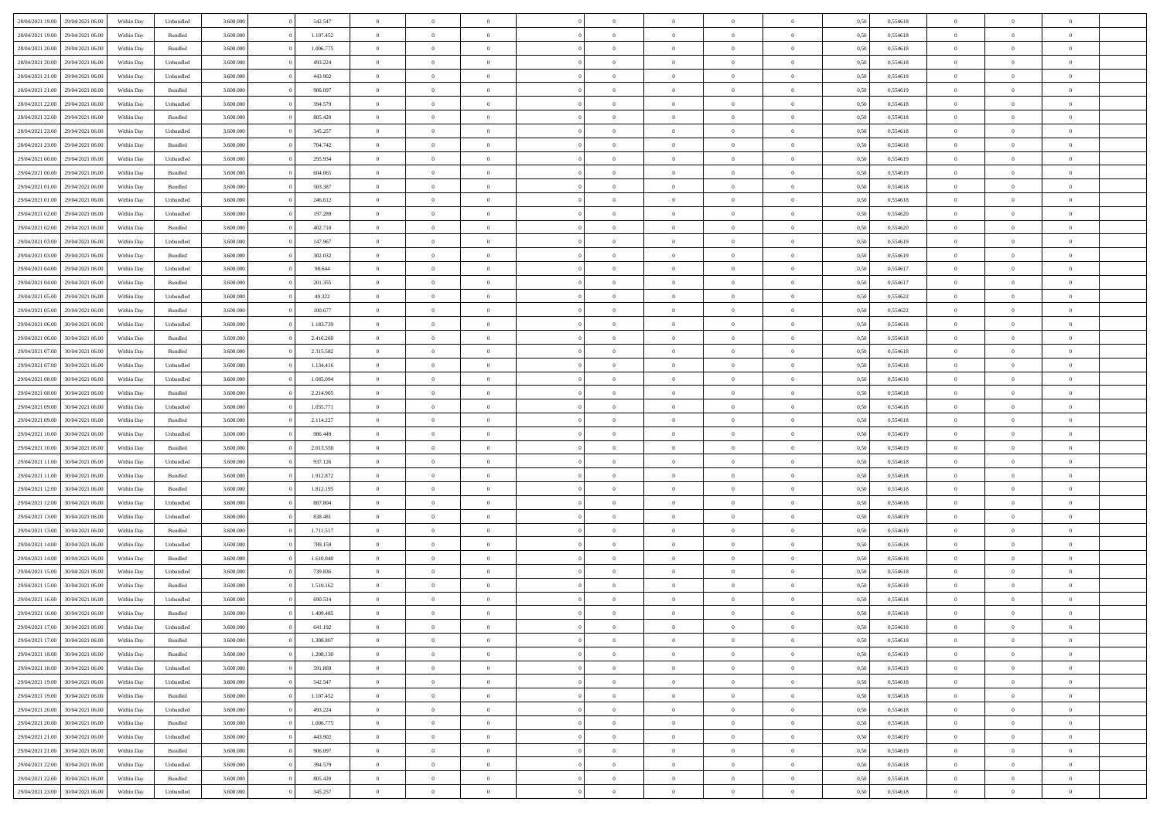| 28/04/2021 19:00 | 29/04/2021 06:00 | Within Day | Unbundled | 3.600.000 | 542.547   | $\overline{0}$ | $\Omega$       |                | $\Omega$       | $\Omega$       | $\Omega$       | $\theta$       | 0,50 | 0,554618 | $\theta$       | $\theta$       | $\theta$       |  |
|------------------|------------------|------------|-----------|-----------|-----------|----------------|----------------|----------------|----------------|----------------|----------------|----------------|------|----------|----------------|----------------|----------------|--|
| 28/04/2021 19:00 | 29/04/2021 06.00 | Within Day | Bundled   | 3.600.000 | 1.107.452 | $\overline{0}$ | $\theta$       | $\overline{0}$ | $\overline{0}$ | $\bf{0}$       | $\overline{0}$ | $\bf{0}$       | 0,50 | 0,554618 | $\theta$       | $\theta$       | $\overline{0}$ |  |
| 28/04/2021 20:00 | 29/04/2021 06:00 | Within Day | Bundled   | 3.600.000 | 1.006.775 | $\overline{0}$ | $\overline{0}$ | $\overline{0}$ | $\bf{0}$       | $\bf{0}$       | $\bf{0}$       | $\bf{0}$       | 0,50 | 0,554618 | $\bf{0}$       | $\overline{0}$ | $\overline{0}$ |  |
|                  |                  |            |           |           |           |                |                |                |                |                |                |                |      |          | $\theta$       |                |                |  |
| 28/04/2021 20:00 | 29/04/2021 06:00 | Within Day | Unbundled | 3.600,000 | 493.224   | $\overline{0}$ | $\overline{0}$ | $\overline{0}$ | $\overline{0}$ | $\bf{0}$       | $\overline{0}$ | $\overline{0}$ | 0.50 | 0.554618 |                | $\theta$       | $\overline{0}$ |  |
| 28/04/2021 21:00 | 29/04/2021 06.00 | Within Day | Unbundled | 3.600.000 | 443.902   | $\overline{0}$ | $\theta$       | $\overline{0}$ | $\overline{0}$ | $\bf{0}$       | $\overline{0}$ | $\bf{0}$       | 0,50 | 0,554619 | $\theta$       | $\theta$       | $\overline{0}$ |  |
| 28/04/2021 21:00 | 29/04/2021 06.00 | Within Day | Bundled   | 3.600.000 | 906.097   | $\overline{0}$ | $\overline{0}$ | $\overline{0}$ | $\bf{0}$       | $\overline{0}$ | $\overline{0}$ | $\mathbf{0}$   | 0,50 | 0,554619 | $\bf{0}$       | $\overline{0}$ | $\bf{0}$       |  |
| 28/04/2021 22:00 | 29/04/2021 06.00 | Within Dav | Unbundled | 3.600.000 | 394.579   | $\overline{0}$ | $\overline{0}$ | $\overline{0}$ | $\overline{0}$ | $\overline{0}$ | $\overline{0}$ | $\overline{0}$ | 0.50 | 0.554618 | $\theta$       | $\overline{0}$ | $\overline{0}$ |  |
|                  |                  |            |           |           |           |                |                |                |                |                |                |                |      |          |                |                |                |  |
| 28/04/2021 22:00 | 29/04/2021 06.00 | Within Day | Bundled   | 3.600.000 | 805.420   | $\overline{0}$ | $\theta$       | $\overline{0}$ | $\overline{0}$ | $\bf{0}$       | $\overline{0}$ | $\bf{0}$       | 0,50 | 0,554618 | $\theta$       | $\theta$       | $\overline{0}$ |  |
| 28/04/2021 23:00 | 29/04/2021 06.00 | Within Day | Unbundled | 3.600.000 | 345.257   | $\overline{0}$ | $\overline{0}$ | $\overline{0}$ | $\bf{0}$       | $\bf{0}$       | $\bf{0}$       | $\bf{0}$       | 0,50 | 0,554618 | $\,0\,$        | $\overline{0}$ | $\overline{0}$ |  |
| 28/04/2021 23:00 | 29/04/2021 06.00 | Within Dav | Bundled   | 3.600.000 | 704.742   | $\overline{0}$ | $\overline{0}$ | $\overline{0}$ | $\overline{0}$ | $\overline{0}$ | $\overline{0}$ | $\overline{0}$ | 0.50 | 0.554618 | $\theta$       | $\overline{0}$ | $\overline{0}$ |  |
|                  |                  |            |           |           |           |                |                |                |                |                |                |                |      |          |                |                |                |  |
| 29/04/2021 00:00 | 29/04/2021 06.00 | Within Day | Unbundled | 3.600.000 | 295.934   | $\overline{0}$ | $\theta$       | $\overline{0}$ | $\overline{0}$ | $\bf{0}$       | $\overline{0}$ | $\bf{0}$       | 0,50 | 0,554619 | $\,$ 0 $\,$    | $\overline{0}$ | $\overline{0}$ |  |
| 29/04/2021 00:00 | 29/04/2021 06:00 | Within Day | Bundled   | 3.600.000 | 604.065   | $\overline{0}$ | $\overline{0}$ | $\overline{0}$ | $\bf{0}$       | $\bf{0}$       | $\bf{0}$       | $\mathbf{0}$   | 0,50 | 0,554619 | $\overline{0}$ | $\overline{0}$ | $\overline{0}$ |  |
| 29/04/2021 01:00 | 29/04/2021 06:00 | Within Day | Bundled   | 3.600.000 | 503.387   | $\overline{0}$ | $\overline{0}$ | $\overline{0}$ | $\overline{0}$ | $\bf{0}$       | $\overline{0}$ | $\overline{0}$ | 0.50 | 0.554618 | $\theta$       | $\theta$       | $\overline{0}$ |  |
| 29/04/2021 01:00 | 29/04/2021 06.00 | Within Day | Unbundled | 3.600.000 | 246.612   | $\overline{0}$ | $\theta$       | $\overline{0}$ | $\overline{0}$ | $\bf{0}$       | $\overline{0}$ | $\bf{0}$       | 0,50 | 0,554618 | $\theta$       | $\theta$       | $\overline{0}$ |  |
|                  |                  |            |           |           |           |                |                |                |                |                |                |                |      |          |                |                |                |  |
| 29/04/2021 02:00 | 29/04/2021 06:00 | Within Day | Unbundled | 3.600.000 | 197.289   | $\overline{0}$ | $\overline{0}$ | $\overline{0}$ | $\bf{0}$       | $\overline{0}$ | $\overline{0}$ | $\mathbf{0}$   | 0,50 | 0,554620 | $\overline{0}$ | $\overline{0}$ | $\bf{0}$       |  |
| 29/04/2021 02:00 | 29/04/2021 06:00 | Within Dav | Bundled   | 3.600.000 | 402.710   | $\overline{0}$ | $\overline{0}$ | $\overline{0}$ | $\overline{0}$ | $\overline{0}$ | $\overline{0}$ | $\overline{0}$ | 0.50 | 0,554620 | $\theta$       | $\overline{0}$ | $\overline{0}$ |  |
| 29/04/2021 03:00 | 29/04/2021 06.00 | Within Day | Unbundled | 3.600.000 | 147.967   | $\overline{0}$ | $\theta$       | $\overline{0}$ | $\overline{0}$ | $\bf{0}$       | $\overline{0}$ | $\bf{0}$       | 0,50 | 0,554619 | $\theta$       | $\theta$       | $\overline{0}$ |  |
|                  |                  |            |           |           |           |                |                |                |                |                |                |                |      |          |                |                |                |  |
| 29/04/2021 03:00 | 29/04/2021 06.00 | Within Day | Bundled   | 3.600.000 | 302.032   | $\overline{0}$ | $\overline{0}$ | $\overline{0}$ | $\bf{0}$       | $\bf{0}$       | $\bf{0}$       | $\bf{0}$       | 0,50 | 0,554619 | $\,0\,$        | $\overline{0}$ | $\overline{0}$ |  |
| 29/04/2021 04:00 | 29/04/2021 06.00 | Within Day | Unbundled | 3.600.000 | 98.644    | $\overline{0}$ | $\overline{0}$ | $\overline{0}$ | $\overline{0}$ | $\overline{0}$ | $\overline{0}$ | $\overline{0}$ | 0.50 | 0,554617 | $\theta$       | $\overline{0}$ | $\overline{0}$ |  |
| 29/04/2021 04:00 | 29/04/2021 06.00 | Within Day | Bundled   | 3.600.000 | 201.355   | $\overline{0}$ | $\theta$       | $\overline{0}$ | $\overline{0}$ | $\bf{0}$       | $\overline{0}$ | $\bf{0}$       | 0,50 | 0,554617 | $\,$ 0 $\,$    | $\theta$       | $\overline{0}$ |  |
| 29/04/2021 05:00 | 29/04/2021 06:00 | Within Day | Unbundled | 3.600.000 | 49.322    | $\overline{0}$ | $\overline{0}$ | $\overline{0}$ | $\bf{0}$       | $\bf{0}$       | $\bf{0}$       | $\bf{0}$       | 0,50 | 0,554622 | $\,0\,$        | $\overline{0}$ | $\overline{0}$ |  |
|                  |                  |            |           |           |           |                |                |                |                |                |                |                |      |          |                |                |                |  |
| 29/04/2021 05:00 | 29/04/2021 06:00 | Within Day | Bundled   | 3.600,000 | 100.677   | $\overline{0}$ | $\overline{0}$ | $\overline{0}$ | $\overline{0}$ | $\bf{0}$       | $\overline{0}$ | $\overline{0}$ | 0.50 | 0.554622 | $\theta$       | $\theta$       | $\overline{0}$ |  |
| 29/04/2021 06:00 | 30/04/2021 06:00 | Within Day | Unbundled | 3.600.000 | 1.183.739 | $\overline{0}$ | $\theta$       | $\overline{0}$ | $\overline{0}$ | $\bf{0}$       | $\overline{0}$ | $\bf{0}$       | 0,50 | 0,554618 | $\,$ 0 $\,$    | $\overline{0}$ | $\overline{0}$ |  |
| 29/04/2021 06:00 | 30/04/2021 06:00 | Within Day | Bundled   | 3.600.000 | 2.416.260 | $\overline{0}$ | $\bf{0}$       | $\overline{0}$ | $\bf{0}$       | $\overline{0}$ | $\overline{0}$ | $\mathbf{0}$   | 0,50 | 0,554618 | $\overline{0}$ | $\overline{0}$ | $\bf{0}$       |  |
| 29/04/2021 07:00 | 30/04/2021 06:00 | Within Dav | Bundled   | 3.600.000 | 2.315.582 | $\overline{0}$ | $\overline{0}$ | $\overline{0}$ | $\overline{0}$ | $\overline{0}$ | $\overline{0}$ | $\overline{0}$ | 0.50 | 0.554618 | $\theta$       | $\overline{0}$ | $\overline{0}$ |  |
|                  |                  |            |           |           |           |                |                |                |                |                |                |                |      |          |                |                |                |  |
| 29/04/2021 07:00 | 30/04/2021 06:00 | Within Day | Unbundled | 3.600.000 | 1.134.416 | $\overline{0}$ | $\theta$       | $\overline{0}$ | $\overline{0}$ | $\bf{0}$       | $\overline{0}$ | $\bf{0}$       | 0,50 | 0,554618 | $\theta$       | $\theta$       | $\overline{0}$ |  |
| 29/04/2021 08:00 | 30/04/2021 06:00 | Within Day | Unbundled | 3.600.000 | 1.085.094 | $\overline{0}$ | $\overline{0}$ | $\overline{0}$ | $\bf{0}$       | $\bf{0}$       | $\bf{0}$       | $\bf{0}$       | 0,50 | 0,554618 | $\,0\,$        | $\overline{0}$ | $\overline{0}$ |  |
| 29/04/2021 08:00 | 30/04/2021 06:00 | Within Day | Bundled   | 3.600.000 | 2.214.905 | $\overline{0}$ | $\overline{0}$ | $\overline{0}$ | $\overline{0}$ | $\overline{0}$ | $\overline{0}$ | $\overline{0}$ | 0.50 | 0.554618 | $\theta$       | $\overline{0}$ | $\overline{0}$ |  |
| 29/04/2021 09:00 | 30/04/2021 06:00 |            |           | 3.600.000 | 1.035.771 | $\overline{0}$ | $\theta$       | $\overline{0}$ | $\overline{0}$ | $\bf{0}$       | $\overline{0}$ |                |      | 0,554618 | $\,$ 0 $\,$    | $\overline{0}$ | $\overline{0}$ |  |
|                  |                  | Within Day | Unbundled |           |           |                |                |                |                |                |                | $\bf{0}$       | 0,50 |          |                |                |                |  |
| 29/04/2021 09:00 | 30/04/2021 06:00 | Within Day | Bundled   | 3.600.000 | 2.114.227 | $\overline{0}$ | $\overline{0}$ | $\overline{0}$ | $\bf{0}$       | $\bf{0}$       | $\bf{0}$       | $\bf{0}$       | 0,50 | 0,554618 | $\bf{0}$       | $\overline{0}$ | $\overline{0}$ |  |
| 29/04/2021 10:00 | 30/04/2021 06:00 | Within Day | Unbundled | 3.600.000 | 986,449   | $\overline{0}$ | $\Omega$       | $\overline{0}$ | $\Omega$       | $\Omega$       | $\Omega$       | $\overline{0}$ | 0,50 | 0,554619 | $\,0\,$        | $\theta$       | $\theta$       |  |
| 29/04/2021 10:00 | 30/04/2021 06:00 | Within Day | Bundled   | 3.600.000 | 2.013.550 | $\overline{0}$ | $\theta$       | $\overline{0}$ | $\overline{0}$ | $\bf{0}$       | $\overline{0}$ | $\bf{0}$       | 0,50 | 0,554619 | $\theta$       | $\theta$       | $\overline{0}$ |  |
|                  |                  |            |           |           |           |                |                |                |                |                |                |                |      |          |                |                |                |  |
| 29/04/2021 11:00 | 30/04/2021 06:00 | Within Day | Unbundled | 3.600.000 | 937.126   | $\overline{0}$ | $\overline{0}$ | $\overline{0}$ | $\bf{0}$       | $\bf{0}$       | $\overline{0}$ | $\mathbf{0}$   | 0,50 | 0,554618 | $\bf{0}$       | $\overline{0}$ | $\bf{0}$       |  |
| 29/04/2021 11:00 | 30/04/2021 06:00 | Within Day | Bundled   | 3.600,000 | 1.912.872 | $\overline{0}$ | $\Omega$       | $\Omega$       | $\Omega$       | $\bf{0}$       | $\overline{0}$ | $\overline{0}$ | 0.50 | 0.554618 | $\theta$       | $\theta$       | $\theta$       |  |
| 29/04/2021 12:00 | 30/04/2021 06:00 | Within Day | Bundled   | 3.600.000 | 1.812.195 | $\overline{0}$ | $\theta$       | $\overline{0}$ | $\overline{0}$ | $\bf{0}$       | $\overline{0}$ | $\bf{0}$       | 0,50 | 0,554618 | $\,$ 0 $\,$    | $\theta$       | $\overline{0}$ |  |
| 29/04/2021 12:00 | 30/04/2021 06:00 | Within Day | Unbundled | 3.600.000 | 887.804   | $\overline{0}$ | $\overline{0}$ | $\overline{0}$ | $\bf{0}$       | $\bf{0}$       | $\bf{0}$       | $\bf{0}$       | 0,50 | 0,554618 | $\,0\,$        | $\overline{0}$ | $\overline{0}$ |  |
|                  |                  |            |           |           |           |                |                |                |                |                |                |                |      |          |                |                |                |  |
| 29/04/2021 13:00 | 30/04/2021 06:00 | Within Day | Unbundled | 3.600,000 | 838,481   | $\overline{0}$ | $\Omega$       | $\overline{0}$ | $\Omega$       | $\theta$       | $\theta$       | $\overline{0}$ | 0.50 | 0.554619 | $\theta$       | $\theta$       | $\theta$       |  |
| 29/04/2021 13:00 | 30/04/2021 06:00 | Within Day | Bundled   | 3.600.000 | 1.711.517 | $\overline{0}$ | $\theta$       | $\overline{0}$ | $\overline{0}$ | $\bf{0}$       | $\overline{0}$ | $\bf{0}$       | 0,50 | 0,554619 | $\,$ 0 $\,$    | $\overline{0}$ | $\overline{0}$ |  |
| 29/04/2021 14:00 | 30/04/2021 06:00 | Within Day | Unbundled | 3.600.000 | 789.159   | $\overline{0}$ | $\overline{0}$ | $\overline{0}$ | $\bf{0}$       | $\bf{0}$       | $\bf{0}$       | $\bf{0}$       | 0,50 | 0,554618 | $\bf{0}$       | $\overline{0}$ | $\overline{0}$ |  |
|                  |                  |            |           |           |           | $\overline{0}$ | $\Omega$       |                | $\Omega$       | $\Omega$       |                |                |      |          |                |                | $\theta$       |  |
| 29/04/2021 14:00 | 30/04/2021 06:00 | Within Day | Bundled   | 3.600.000 | 1.610.840 |                |                | $\overline{0}$ |                |                | $\overline{0}$ | $\overline{0}$ | 0,50 | 0,554618 | $\,0\,$        | $\theta$       |                |  |
| 29/04/2021 15:00 | 30/04/2021 06:00 | Within Day | Unbundled | 3.600.000 | 739.836   | $\overline{0}$ | $\theta$       | $\overline{0}$ | $\overline{0}$ | $\bf{0}$       | $\overline{0}$ | $\bf{0}$       | 0,50 | 0,554618 | $\,$ 0 $\,$    | $\overline{0}$ | $\overline{0}$ |  |
| 29/04/2021 15:00 | 30/04/2021 06:00 | Within Day | Bundled   | 3.600.000 | 1.510.162 | $\overline{0}$ | $\overline{0}$ | $\overline{0}$ | $\bf{0}$       | $\bf{0}$       | $\bf{0}$       | $\mathbf{0}$   | 0,50 | 0,554618 | $\bf{0}$       | $\overline{0}$ | $\bf{0}$       |  |
| 29/04/2021 16:00 | 30/04/2021 06:00 | Within Day | Unbundled | 3.600,000 | 690.514   | $\overline{0}$ | $\Omega$       | $\Omega$       | $\Omega$       | $\Omega$       | $\Omega$       | $\overline{0}$ | 0.50 | 0.554618 | $\theta$       | $\theta$       | $\theta$       |  |
| 29/04/2021 16:00 | 30/04/2021 06:00 | Within Day | Bundled   | 3.600.000 | 1.409.485 | $\overline{0}$ | $\overline{0}$ | $\overline{0}$ | $\bf{0}$       | $\,$ 0         | $\bf{0}$       | $\bf{0}$       | 0,50 | 0,554618 | $\,0\,$        | $\overline{0}$ | $\overline{0}$ |  |
|                  |                  |            |           |           |           |                |                |                |                |                |                |                |      |          |                |                |                |  |
| 29/04/2021 17:00 | 30/04/2021 06:00 | Within Day | Unbundled | 3.600.000 | 641.192   | $\bf{0}$       | $\bf{0}$       |                |                |                |                |                | 0,50 | 0,554618 | $\bf{0}$       | $\overline{0}$ |                |  |
| 29/04/2021 17:00 | 30/04/2021 06:00 | Within Day | Bundled   | 3.600,000 | 1.308.807 | $\overline{0}$ | $\overline{0}$ | $\overline{0}$ | $\Omega$       | $\overline{0}$ | $\overline{0}$ | $\overline{0}$ | 0.50 | 0.554618 | $\theta$       | $\theta$       | $\Omega$       |  |
| 29/04/2021 18:00 | 30/04/2021 06:00 | Within Day | Bundled   | 3.600.000 | 1.208.130 | $\overline{0}$ | $\bf{0}$       | $\overline{0}$ | $\bf{0}$       | $\,$ 0 $\,$    | $\overline{0}$ | $\,$ 0 $\,$    | 0,50 | 0,554619 | $\,$ 0 $\,$    | $\,$ 0 $\,$    | $\,$ 0         |  |
|                  |                  |            |           |           |           |                |                |                |                |                |                |                |      |          |                |                |                |  |
| 29/04/2021 18:00 | 30/04/2021 06:00 | Within Day | Unbundled | 3.600.000 | 591.869   | $\overline{0}$ | $\overline{0}$ | $\overline{0}$ | $\overline{0}$ | $\overline{0}$ | $\overline{0}$ | $\mathbf{0}$   | 0,50 | 0,554619 | $\overline{0}$ | $\bf{0}$       | $\overline{0}$ |  |
| 29/04/2021 19:00 | 30/04/2021 06:00 | Within Day | Unbundled | 3.600.000 | 542.547   | $\overline{0}$ | $\overline{0}$ | $\overline{0}$ | $\Omega$       | $\overline{0}$ | $\overline{0}$ | $\overline{0}$ | 0,50 | 0,554618 | $\overline{0}$ | $\theta$       | $\overline{0}$ |  |
| 29/04/2021 19:00 | 30/04/2021 06:00 | Within Day | Bundled   | 3.600.000 | 1.107.452 | $\overline{0}$ | $\,$ 0         | $\overline{0}$ | $\bf{0}$       | $\,$ 0 $\,$    | $\overline{0}$ | $\mathbf{0}$   | 0,50 | 0,554618 | $\,$ 0 $\,$    | $\overline{0}$ | $\overline{0}$ |  |
| 29/04/2021 20:00 | 30/04/2021 06:00 | Within Day | Unbundled | 3.600.000 | 493.224   | $\overline{0}$ | $\overline{0}$ | $\overline{0}$ | $\overline{0}$ | $\overline{0}$ | $\overline{0}$ | $\mathbf{0}$   | 0,50 | 0,554618 | $\overline{0}$ | $\overline{0}$ | $\bf{0}$       |  |
|                  |                  |            |           |           |           |                |                |                |                |                |                |                |      |          |                |                |                |  |
| 29/04/2021 20:00 | 30/04/2021 06:00 | Within Day | Bundled   | 3.600,000 | 1.006.775 | $\overline{0}$ | $\overline{0}$ | $\overline{0}$ | $\Omega$       | $\overline{0}$ | $\overline{0}$ | $\bf{0}$       | 0.50 | 0,554618 | $\overline{0}$ | $\theta$       | $\overline{0}$ |  |
| 29/04/2021 21:00 | 30/04/2021 06:00 | Within Day | Unbundled | 3.600.000 | 443.902   | $\overline{0}$ | $\,$ 0         | $\overline{0}$ | $\bf{0}$       | $\bf{0}$       | $\bf{0}$       | $\bf{0}$       | 0,50 | 0,554619 | $\,$ 0 $\,$    | $\overline{0}$ | $\overline{0}$ |  |
| 29/04/2021 21:00 | 30/04/2021 06:00 | Within Day | Bundled   | 3.600.000 | 906.097   | $\overline{0}$ | $\bf{0}$       | $\overline{0}$ | $\overline{0}$ | $\overline{0}$ | $\overline{0}$ | $\mathbf{0}$   | 0,50 | 0,554619 | $\overline{0}$ | $\overline{0}$ | $\bf{0}$       |  |
|                  |                  |            |           |           |           |                |                |                |                |                |                |                |      |          |                |                |                |  |
| 29/04/2021 22:00 | 30/04/2021 06:00 | Within Day | Unbundled | 3.600,000 | 394.579   | $\overline{0}$ | $\overline{0}$ | $\overline{0}$ | $\Omega$       | $\overline{0}$ | $\overline{0}$ | $\overline{0}$ | 0.50 | 0,554618 | $\overline{0}$ | $\overline{0}$ | $\overline{0}$ |  |
| 29/04/2021 22.00 | 30/04/2021 06:00 | Within Day | Bundled   | 3.600.000 | 805.420   | $\overline{0}$ | $\bf{0}$       | $\overline{0}$ | $\overline{0}$ | $\bf{0}$       | $\bf{0}$       | $\mathbf{0}$   | 0,50 | 0,554618 | $\,$ 0 $\,$    | $\,$ 0 $\,$    | $\bf{0}$       |  |
| 29/04/2021 23:00 | 30/04/2021 06:00 | Within Day | Unbundled | 3.600.000 | 345.257   | $\overline{0}$ | $\bf{0}$       | $\overline{0}$ | $\bf{0}$       | $\bf{0}$       | $\bf{0}$       | $\bf{0}$       | 0,50 | 0,554618 | $\overline{0}$ | $\overline{0}$ | $\bf{0}$       |  |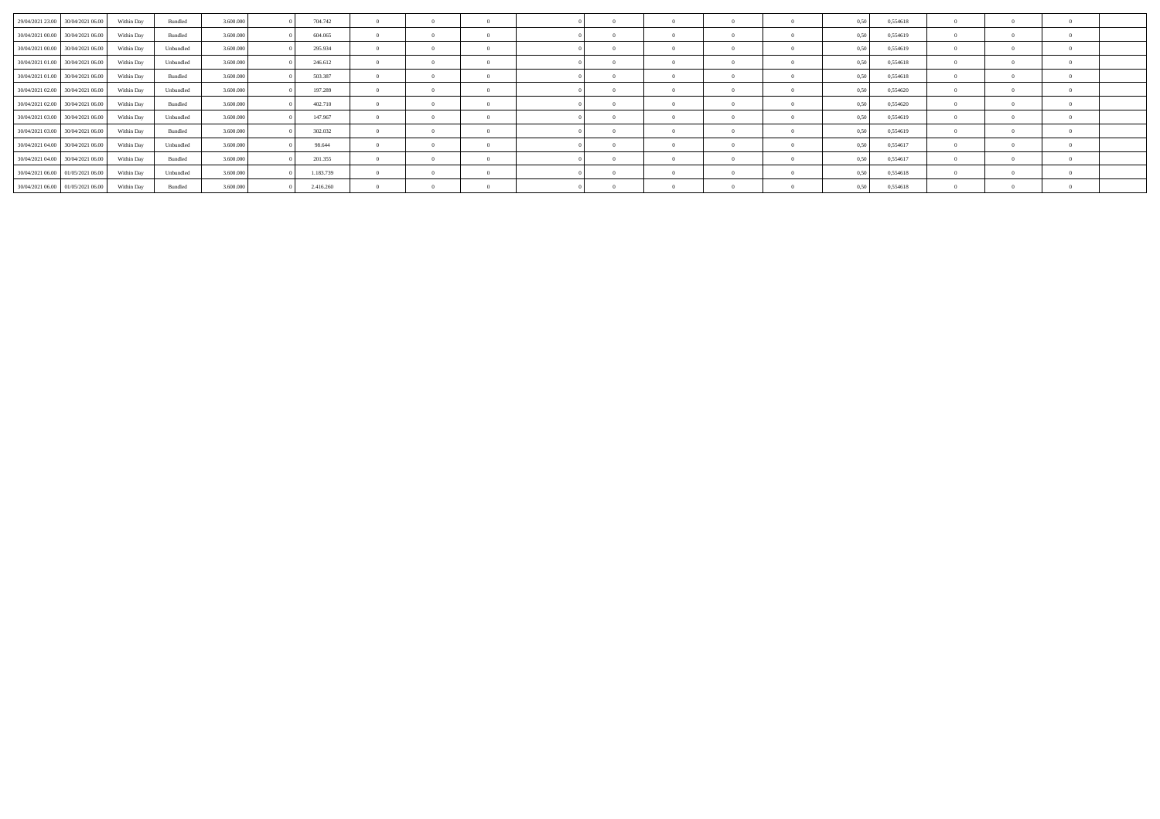| 29/04/2021 23:00 30/04/2021 06:00 | Within Day | Bundled   | 3 600 000 | 704.742   | $\Omega$       | $\Omega$       | $\Omega$       |            |  | 0.50 | 0.554618 |          |  |  |
|-----------------------------------|------------|-----------|-----------|-----------|----------------|----------------|----------------|------------|--|------|----------|----------|--|--|
| 30/04/2021 00:00 30/04/2021 06:00 | Within Day | Bundled   | 3.600,000 | 604.065   | $\Omega$       | $\mathbf{0}$   | $\Omega$       |            |  | 0.50 | 0,554619 |          |  |  |
| 30/04/2021 00:00 30/04/2021 06:00 | Within Day | Unbundled | 3.600.000 | 295.934   | $\Omega$       | $\Omega$       | $\Omega$       |            |  | 0.50 | 0,554619 |          |  |  |
| 30/04/2021 01:00 30/04/2021 06:00 | Within Day | Unbundled | 3.600,000 | 246.612   | $\overline{0}$ | $^{\circ}$     | $\Omega$       |            |  | 0,50 | 0,554618 |          |  |  |
| 30/04/2021 01:00 30/04/2021 06:00 | Within Day | Bundled   | 3.600.000 | 503.387   | $\theta$       | $\overline{0}$ | $\Omega$       |            |  | 0.50 | 0,554618 |          |  |  |
| 30/04/2021 02:00 30/04/2021 06:00 | Within Day | Unbundled | 3.600.000 | 197.289   | $\overline{0}$ | $\overline{0}$ | $\overline{0}$ |            |  | 0.50 | 0,554620 |          |  |  |
| 30/04/2021 02:00 30/04/2021 06:00 | Within Day | Bundled   | 3.600.000 | 402.710   | $\Omega$       | $\sim$ 0       | $\Omega$       |            |  | 0.50 | 0,554620 |          |  |  |
| 30/04/2021 03:00 30/04/2021 06:00 | Within Day | Unbundled | 3.600,000 | 147.967   | $\Omega$       | $\Omega$       | $\overline{0}$ |            |  | 0.50 | 0,554619 |          |  |  |
| 30/04/2021 03:00 30/04/2021 06:00 | Within Day | Bundled   | 3.600,000 | 302.032   | $\overline{0}$ | $\overline{0}$ | $\overline{0}$ |            |  | 0.50 | 0,554619 |          |  |  |
| 30/04/2021 04:00 30/04/2021 06:00 | Within Day | Unbundled | 3.600.000 | 98.644    | $\overline{0}$ | $\overline{0}$ | $\overline{0}$ |            |  | 0.50 | 0,554617 |          |  |  |
| 30/04/2021 04:00 30/04/2021 06:00 | Within Day | Bundled   | 3.600.000 | 201.355   | $\theta$       | $\Omega$       | $\Omega$       |            |  | 0.50 | 0,554617 |          |  |  |
| 30/04/2021 06:00 01/05/2021 06:00 | Within Day | Unbundled | 3.600,000 | 1.183.739 | $\Omega$       | $\mathbf{0}$   | $\Omega$       | $\sqrt{2}$ |  | 0.50 | 0,554618 | $\Omega$ |  |  |
| 30/04/2021 06:00 01/05/2021 06:00 | Within Day | Bundled   | 3.600,000 | 2.416.260 | $^{\circ}$     | $^{\circ}$     | $\Omega$       |            |  | 0.50 | 0.554618 |          |  |  |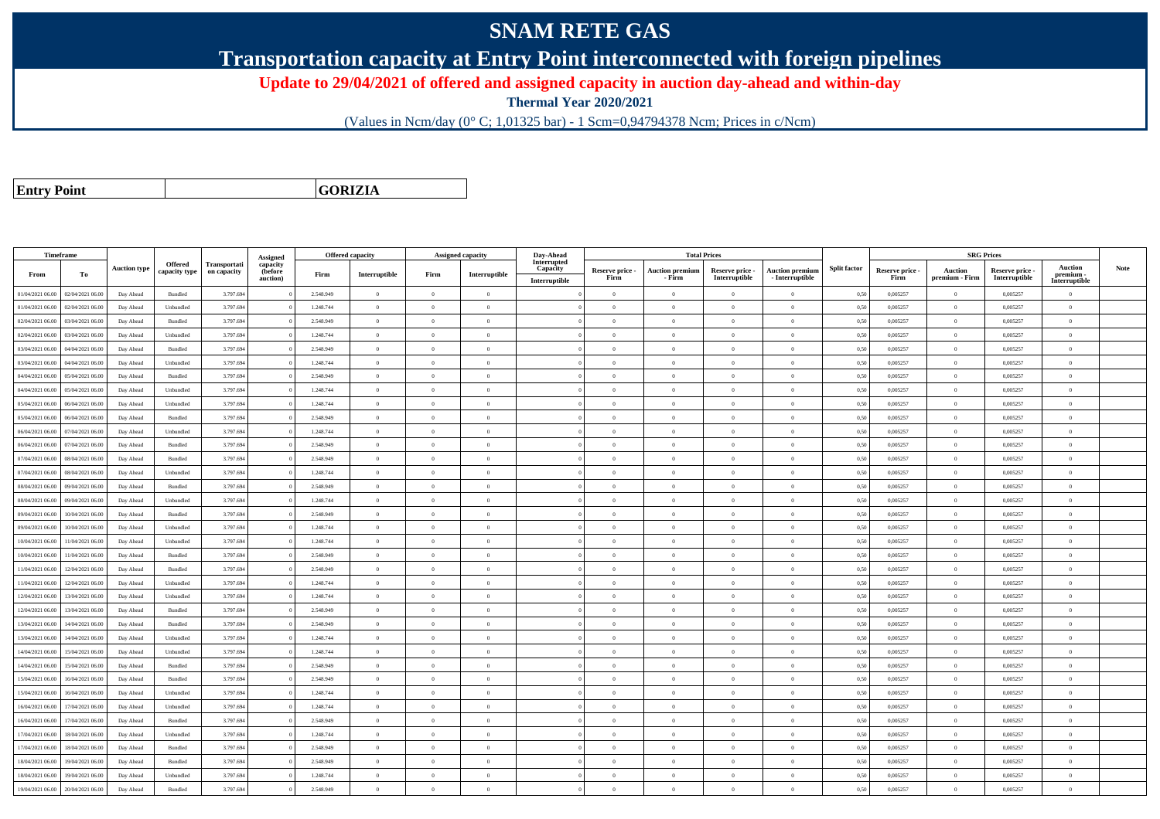## **SNAM RETE GAS**

**Transportation capacity at Entry Point interconnected with foreign pipelines**

**Update to 29/04/2021 of offered and assigned capacity in auction day-ahead and within-day**

**Thermal Year 2020/2021**

(Values in Ncm/day (0° C; 1,01325 bar) - 1 Scm=0,94794378 Ncm; Prices in c/Ncm)

**Entry Point**

**GORIZIA**

| Interrupted<br>Offered<br>Transportati<br>capacity<br><b>Auction</b><br><b>Split factor</b><br>Note<br><b>Auction type</b><br>Capacity<br>Reserve price -<br><b>Auction premiun</b><br><b>Auction premium</b><br>Reserve price -<br>Auction<br>Reserve price -<br>Reserve price -<br>capacity type<br>on capacity<br>(before<br>Firm<br>Interruptible<br>То<br>Interruptible<br>Firm<br>From<br>premium -<br>Interruptible<br>- Interruptible<br>Interruptible<br>Firm<br>premium - Firm<br>auction)<br>Firm<br>- Firm<br>Interruptible<br>Interruptible<br>01/04/2021 06:00<br>02/04/2021 06.00<br>3.797.694<br>2.548.949<br>$\overline{0}$<br>0,50<br>0,005257<br>Day Ahead<br>Bundled<br>$\overline{0}$<br>$\overline{0}$<br>$\theta$<br>$\overline{0}$<br>$\bf{0}$<br>$\theta$<br>0,005257<br>$\overline{0}$<br>$\bf{0}$<br>3.797.694<br>$\overline{0}$<br>01/04/2021 06.00<br>02/04/2021 06:00<br>1.248.744<br>0,50<br>0,005257<br>$\bf{0}$<br>0,005257<br>Day Ahead<br>Unbundled<br>$\overline{0}$<br>$\Omega$<br>$\Omega$<br>$\theta$<br>$\overline{0}$<br>$\overline{0}$<br>$\overline{0}$<br>03/04/2021 06:00<br>3.797.694<br>2.548.949<br>$\overline{0}$<br>0,005257<br>$\theta$<br>0,005257<br>02/04/2021 06.00<br>Day Ahead<br>Bundled<br>$\theta$<br>$\Omega$<br>$\theta$<br>$\Omega$<br>0,50<br>$\overline{0}$<br>$\Omega$<br>$\theta$<br>02/04/2021 06:00<br>03/04/2021 06:00<br>Unbundled<br>3.797.694<br>1.248.744<br>$\overline{0}$<br>$\overline{0}$<br>$\Omega$<br>$\Omega$<br>$\theta$<br>$\overline{0}$<br>$\theta$<br>0,50<br>0,005257<br>0.005257<br>$\mathbf{0}$<br>Day Ahead<br>04/04/2021 06:00<br>3.797.694<br>2.548.949<br>$\overline{0}$<br>$\bf{0}$<br>0,005257<br>$\theta$<br>0,005257<br>03/04/2021 06:00<br>Day Ahead<br>Bundled<br>$\overline{0}$<br>$\overline{0}$<br>$\theta$<br>$\theta$<br>$\theta$<br>0,50<br>$\overline{0}$<br>03/04/2021 06:00<br>04/04/2021 06:00<br>Unbundled<br>3.797.694<br>1.248.744<br>$\overline{0}$<br>$\Omega$<br>$\theta$<br>$\theta$<br>0.50<br>0.005257<br>$\theta$<br>0.005257<br>Day Ahead<br>$\theta$<br>$\theta$<br>$\theta$<br>$\theta$<br>3.797.694<br>2.548.949<br>$\overline{0}$<br>$\theta$<br>0.005257<br>$\theta$<br>0.005257<br>04/04/2021 06:00<br>05/04/2021 06:00<br>Bundled<br>$\Omega$<br>$\Omega$<br>$\theta$<br>0,50<br>Day Ahead<br>$\theta$<br>$\Omega$<br>$\theta$<br>04/04/2021 06:00<br>05/04/2021 06:00<br>Day Ahead<br>Unbundled<br>3.797.694<br>1.248.744<br>$\overline{0}$<br>$\overline{0}$<br>$\theta$<br>$\theta$<br>$\bf{0}$<br>0,50<br>0,005257<br>$\theta$<br>0.005257<br>$\overline{0}$<br>$\theta$<br>$\overline{0}$<br>3,797.694<br>1.248.744<br>$\overline{0}$<br>0.005257<br>$\theta$<br>0.005257<br>05/04/2021 06:00<br>06/04/2021 06:00<br>Unbundled<br>$\Omega$<br>$\Omega$<br>$\bf{0}$<br>0.50<br>Day Ahead<br>$\theta$<br>$\theta$<br>$\Omega$<br>$\theta$<br>05/04/2021 06.00<br>06/04/2021 06.00<br>Day Ahead<br>Bundled<br>3.797.694<br>2.548.949<br>$\overline{0}$<br>$\theta$<br>$\theta$<br>$\theta$<br>$\bf{0}$<br>0,50<br>0,005257<br>$\theta$<br>0,005257<br>$\Omega$<br>$\overline{0}$<br>$\overline{0}$<br>06/04/2021 06:00<br>07/04/2021 06:00<br>3.797.694<br>1.248.744<br>$\overline{0}$<br>$\bf{0}$<br>0,005257<br>$\theta$<br>0,005257<br>Day Ahead<br>Unbundled<br>$\overline{0}$<br>$\overline{0}$<br>$\theta$<br>$\theta$<br>$\overline{0}$<br>0,50<br>$\overline{0}$<br>$\,$ 0 $\,$<br>3.797.694<br>2.548.949<br>$\overline{0}$<br>$\,$ 0 $\,$<br>0,005257<br>0,005257<br>06/04/2021 06:00<br>07/04/2021 06.00<br>Day Ahead<br>Bundled<br>$\overline{0}$<br>$\overline{0}$<br>$\overline{0}$<br>$\theta$<br>$\overline{0}$<br>0,50<br>$\overline{0}$<br>07/04/2021 06.00<br>08/04/2021 06:00<br>3.797.694<br>2.548.949<br>$\overline{0}$<br>0,005257<br>$\theta$<br>0,005257<br>Day Ahead<br>Bundled<br>$\overline{0}$<br>$\Omega$<br>$\Omega$<br>$\theta$<br>$\Omega$<br>$\bf{0}$<br>0,50<br>$\overline{0}$<br>$\overline{0}$<br>$\theta$<br>07/04/2021 06:00<br>08/04/2021 06:00<br>Unbundled<br>3.797.694<br>1.248.744<br>$\overline{0}$<br>$\Omega$<br>$\Omega$<br>$\theta$<br>$\overline{0}$<br>$\theta$<br>0,50<br>0.005257<br>0.005257<br>$\theta$<br>Day Ahead<br>3.797.694<br>2.548.949<br>$\overline{0}$<br>0,50<br>$\theta$<br>08/04/2021 06:00<br>09/04/2021 06:00<br>Day Ahead<br>Bundled<br>$\theta$<br>$\Omega$<br>$\Omega$<br>$\theta$<br>$\Omega$<br>$\bf{0}$<br>0,005257<br>0,005257<br>$\theta$<br>3.797.694<br>1.248.744<br>08/04/2021 06:00<br>09/04/2021 06:00<br>Day Ahead<br>Unbundled<br>$\overline{0}$<br>$\theta$<br>$\Omega$<br>$\theta$<br>$\theta$<br>0.50<br>0.005257<br>$\theta$<br>0.005257<br>$\theta$<br>$\Omega$<br>10/04/2021 06:00<br>3.797.694<br>2.548.949<br>$\overline{0}$<br>$\overline{0}$<br>$\overline{0}$<br>$\theta$<br>$\theta$<br>$\overline{0}$<br>$\overline{0}$<br>0,50<br>0,005257<br>$\overline{0}$<br>0.005257<br>09/04/2021 06:00<br>Day Ahead<br>Bundled<br>$\bf{0}$<br>09/04/2021 06.00<br>10/04/2021 06:00<br>Day Ahead<br>Unbundled<br>3.797.694<br>1.248.744<br>$\overline{0}$<br>$\overline{0}$<br>$\overline{0}$<br>$\theta$<br>$\theta$<br>$\theta$<br>$\,$ 0<br>0,50<br>0,005257<br>$\theta$<br>0,005257<br>$\overline{0}$<br>0/04/2021 06:00<br>11/04/2021 06.00<br>3.797.694<br>1.248.744<br>$\overline{0}$<br>$\bf{0}$<br>0,005257<br>$\theta$<br>0.005257<br>Unbundled<br>$\theta$<br>$\Omega$<br>$\Omega$<br>$\theta$<br>0,50<br>Day Ahead<br>$\Omega$<br>$\theta$<br>3.797.694<br>2.548.949<br>$\overline{0}$<br>$\theta$<br>$\theta$<br>0,005257<br>10/04/2021 06.00<br>11/04/2021 06.00<br>Bundled<br>$\theta$<br>$\Omega$<br>$\Omega$<br>0,50<br>0,005257<br>Day Ahead<br>$\mathbf{a}$<br>$\Omega$<br>$\theta$<br>12/04/2021 06:00<br>3.797.694<br>2.548.949<br>$\overline{0}$<br>0,50<br>0,005257<br>$\theta$<br>0,005257<br>11/04/2021 06:00<br>Day Ahead<br>Bundled<br>$\theta$<br>$\Omega$<br>$\theta$<br>$\theta$<br>$\Omega$<br>$\Omega$<br>$\theta$<br>3.797.694<br>1.248.744<br>11/04/2021 06:00<br>12/04/2021 06:00<br>$\overline{0}$<br>$\theta$<br>0,50<br>0,005257<br>$\theta$<br>0,005257<br>Day Ahead<br>Unbundled<br>$\Omega$<br>$\Omega$<br>$\Omega$<br>$\mathbf{a}$<br>$\Omega$<br>$\sqrt{2}$<br>3.797.694<br>1.248.744<br>$\overline{0}$<br>$\overline{0}$<br>$\theta$<br>$\bf{0}$<br>0,50<br>0,005257<br>$\theta$<br>0,005257<br>12/04/2021 06.00<br>13/04/2021 06.00<br>Day Ahead<br>Unbundled<br>$\Omega$<br>$\theta$<br>$\Omega$<br>$\overline{0}$<br>12/04/2021 06:00<br>13/04/2021 06:00<br>Day Ahead<br><b>Bundled</b><br>3.797.694<br>2.548.949<br>$\overline{0}$<br>$\Omega$<br>$\Omega$<br>$\Omega$<br>$\theta$<br>0,50<br>0.005257<br>$\Omega$<br>0.005257<br>$\theta$<br>$\theta$<br>$\theta$<br>$\overline{0}$<br>$\theta$<br>13/04/2021 06:00<br>14/04/2021 06:00<br>Bundled<br>3.797.694<br>2.548.949<br>$\Omega$<br>$\overline{0}$<br>0,50<br>0,005257<br>0,005257<br>Day Ahead<br>$\Omega$<br>$\Omega$<br>$\theta$<br>$\overline{0}$<br>$\overline{0}$<br>13/04/2021 06:00<br>14/04/2021 06.00<br>Day Ahead<br>Unbundled<br>3.797.694<br>1.248.744<br>$\overline{0}$<br>$\overline{0}$<br>$\overline{0}$<br>$\theta$<br>$\bf{0}$<br>0,50<br>0,005257<br>$\theta$<br>0,005257<br>$\theta$<br>$\overline{0}$<br>$\overline{0}$<br>3.797.694<br>1.248.744<br>$\overline{0}$<br>$\overline{0}$<br>$\theta$<br>$\bf{0}$<br>0,005257<br>$\,$ 0 $\,$<br>0,005257<br>14/04/2021 06:00<br>15/04/2021 06.00<br>Unbundled<br>$\overline{0}$<br>$\theta$<br>$\theta$<br>0,50<br>$\overline{0}$<br>Day Ahead<br>3.797.694<br>$\overline{0}$<br>$\theta$<br>14/04/2021 06.00<br>15/04/2021 06:00<br>Day Ahead<br>Bundled<br>2.548.949<br>$\overline{0}$<br>$\theta$<br>$\theta$<br>$\theta$<br>$\overline{0}$<br>$\bf{0}$<br>0,50<br>0,005257<br>0,005257<br>$\overline{0}$<br>15/04/2021 06:00<br>16/04/2021 06:00<br>3.797.694<br>2.548.949<br>$\theta$<br>0,005257<br>$\theta$<br>0,005257<br>Day Ahead<br>Bundled<br>$\theta$<br>$\Omega$<br>$\theta$<br>$\Omega$<br>$\Omega$<br>0,50<br>$\theta$<br>1.248.744<br>$\overline{0}$<br>$\theta$<br>0,005257<br>$\mathbf{0}$<br>15/04/2021 06:00<br>16/04/2021 06:00<br>Unbundled<br>3.797.694<br>$\overline{0}$<br>$\Omega$<br>$\theta$<br>0,50<br>0,005257<br>Day Ahead<br>$\theta$<br>$\Omega$<br>$\theta$<br>16/04/2021 06:00<br>17/04/2021 06:00<br>Unbundled<br>3.797.694<br>1.248.744<br>$\overline{0}$<br>$\Omega$<br>$\theta$<br>$\bf{0}$<br>0,50<br>0,005257<br>$\theta$<br>0,005257<br>Day Ahead<br>$\theta$<br>$\theta$<br>$\Omega$<br>$\theta$<br>2.548.949<br>$\overline{0}$<br>0.005257<br>$\Omega$<br>16/04/2021 06:00<br>17/04/2021 06:00<br>Day Ahead<br>Bundled<br>3.797.694<br>$\overline{0}$<br>$\Omega$<br>$\theta$<br>$\theta$<br>$\overline{0}$<br>$\theta$<br>0.50<br>0.005257<br>$\theta$<br>3.797.694<br>1.248.744<br>$\overline{0}$<br>$\theta$<br>$\bf{0}$<br>0,50<br>0,005257<br>$\theta$<br>0,005257<br>17/04/2021 06.00<br>18/04/2021 06.00<br>Day Ahead<br>Unbundled<br>$\overline{0}$<br>$\Omega$<br>$\theta$<br>$\Omega$<br>$\theta$<br>3.797.694<br>$\overline{0}$<br>$\theta$<br>0.005257<br>17/04/2021 06:00<br>18/04/2021 06:00<br>Bundled<br>2.548.949<br>$\overline{0}$<br>$\overline{0}$<br>$\theta$<br>$\theta$<br>$\overline{0}$<br>$\bf{0}$<br>0.50<br>0.005257<br>$\overline{0}$<br>Day Ahead<br>19/04/2021 06:00<br>3.797.694<br>2.548.949<br>$\overline{0}$<br>$\bf{0}$<br>0,50<br>0,005257<br>$\theta$<br>0,005257<br>18/04/2021 06:00<br>Bundled<br>$\Omega$<br>$\Omega$<br>$\theta$<br>Day Ahead<br>$\Omega$<br>$\theta$<br>$\Omega$ |                  | Timeframe        |           |           |           |          |           | <b>Offered capacity</b> |          | Assigned capacity | Day-Ahead |          |          | <b>Total Prices</b> |          |      |          |          | <b>SRG Prices</b> |                |  |
|-------------------------------------------------------------------------------------------------------------------------------------------------------------------------------------------------------------------------------------------------------------------------------------------------------------------------------------------------------------------------------------------------------------------------------------------------------------------------------------------------------------------------------------------------------------------------------------------------------------------------------------------------------------------------------------------------------------------------------------------------------------------------------------------------------------------------------------------------------------------------------------------------------------------------------------------------------------------------------------------------------------------------------------------------------------------------------------------------------------------------------------------------------------------------------------------------------------------------------------------------------------------------------------------------------------------------------------------------------------------------------------------------------------------------------------------------------------------------------------------------------------------------------------------------------------------------------------------------------------------------------------------------------------------------------------------------------------------------------------------------------------------------------------------------------------------------------------------------------------------------------------------------------------------------------------------------------------------------------------------------------------------------------------------------------------------------------------------------------------------------------------------------------------------------------------------------------------------------------------------------------------------------------------------------------------------------------------------------------------------------------------------------------------------------------------------------------------------------------------------------------------------------------------------------------------------------------------------------------------------------------------------------------------------------------------------------------------------------------------------------------------------------------------------------------------------------------------------------------------------------------------------------------------------------------------------------------------------------------------------------------------------------------------------------------------------------------------------------------------------------------------------------------------------------------------------------------------------------------------------------------------------------------------------------------------------------------------------------------------------------------------------------------------------------------------------------------------------------------------------------------------------------------------------------------------------------------------------------------------------------------------------------------------------------------------------------------------------------------------------------------------------------------------------------------------------------------------------------------------------------------------------------------------------------------------------------------------------------------------------------------------------------------------------------------------------------------------------------------------------------------------------------------------------------------------------------------------------------------------------------------------------------------------------------------------------------------------------------------------------------------------------------------------------------------------------------------------------------------------------------------------------------------------------------------------------------------------------------------------------------------------------------------------------------------------------------------------------------------------------------------------------------------------------------------------------------------------------------------------------------------------------------------------------------------------------------------------------------------------------------------------------------------------------------------------------------------------------------------------------------------------------------------------------------------------------------------------------------------------------------------------------------------------------------------------------------------------------------------------------------------------------------------------------------------------------------------------------------------------------------------------------------------------------------------------------------------------------------------------------------------------------------------------------------------------------------------------------------------------------------------------------------------------------------------------------------------------------------------------------------------------------------------------------------------------------------------------------------------------------------------------------------------------------------------------------------------------------------------------------------------------------------------------------------------------------------------------------------------------------------------------------------------------------------------------------------------------------------------------------------------------------------------------------------------------------------------------------------------------------------------------------------------------------------------------------------------------------------------------------------------------------------------------------------------------------------------------------------------------------------------------------------------------------------------------------------------------------------------------------------------------------------------------------------------------------------------------------------------------------------------------------------------------------------------------------------------------------------------------------------------------------------------------------------------------------------------------------------------------------------------------------------------------------------------------------------------------------------------------------------------------------------------------------------------------------------------------------------------------------------------------------------------------------------------------------------------------------------------------------------------------------------------------------------------------------------------------------------------------------------------------------------------------------------------------------------------------------------------------------------------------------------------------------------------------------------------------------------------------------------------------------------------------------------------------------------------------------------------------------------------------------------------------------------------------------------------------------------------------------------------------------------------------------------------------------------------------------------------------------------------------------------------------------------------------------------------------------------------------------------------------------------------------------------------------------------------------------------------------------------------------------------------------------------------------------------------------------------------------------------------------------------------------------------------------------------------------------------------------------------------------------------------------------------------------------------------------------------------------------------------------------------------------------------------------------------------------------------------------------------------------------------------------------------------------------------------------------------------------------------------------------------------------------------------------------------------------------------------------------------------------------------------------------------------------------------------------------------------------------------------------------------------------------------------------------------------|------------------|------------------|-----------|-----------|-----------|----------|-----------|-------------------------|----------|-------------------|-----------|----------|----------|---------------------|----------|------|----------|----------|-------------------|----------------|--|
|                                                                                                                                                                                                                                                                                                                                                                                                                                                                                                                                                                                                                                                                                                                                                                                                                                                                                                                                                                                                                                                                                                                                                                                                                                                                                                                                                                                                                                                                                                                                                                                                                                                                                                                                                                                                                                                                                                                                                                                                                                                                                                                                                                                                                                                                                                                                                                                                                                                                                                                                                                                                                                                                                                                                                                                                                                                                                                                                                                                                                                                                                                                                                                                                                                                                                                                                                                                                                                                                                                                                                                                                                                                                                                                                                                                                                                                                                                                                                                                                                                                                                                                                                                                                                                                                                                                                                                                                                                                                                                                                                                                                                                                                                                                                                                                                                                                                                                                                                                                                                                                                                                                                                                                                                                                                                                                                                                                                                                                                                                                                                                                                                                                                                                                                                                                                                                                                                                                                                                                                                                                                                                                                                                                                                                                                                                                                                                                                                                                                                                                                                                                                                                                                                                                                                                                                                                                                                                                                                                                                                                                                                                                                                                                                                                                                                                                                                                                                                                                                                                                                                                                                                                                                                                                                                                                                                                                                                                                                                                                                                                                                                                                                                                                                                                                                                                                                                                                                                                                                                                                                                                                                                                                                                                                                                                                                                                                                                                                                                                                                                                                                                                                                                                                                                                                                                                                                                                                                                                                                                                                                                                               |                  |                  |           |           |           | Assigned |           |                         |          |                   |           |          |          |                     |          |      |          |          |                   |                |  |
|                                                                                                                                                                                                                                                                                                                                                                                                                                                                                                                                                                                                                                                                                                                                                                                                                                                                                                                                                                                                                                                                                                                                                                                                                                                                                                                                                                                                                                                                                                                                                                                                                                                                                                                                                                                                                                                                                                                                                                                                                                                                                                                                                                                                                                                                                                                                                                                                                                                                                                                                                                                                                                                                                                                                                                                                                                                                                                                                                                                                                                                                                                                                                                                                                                                                                                                                                                                                                                                                                                                                                                                                                                                                                                                                                                                                                                                                                                                                                                                                                                                                                                                                                                                                                                                                                                                                                                                                                                                                                                                                                                                                                                                                                                                                                                                                                                                                                                                                                                                                                                                                                                                                                                                                                                                                                                                                                                                                                                                                                                                                                                                                                                                                                                                                                                                                                                                                                                                                                                                                                                                                                                                                                                                                                                                                                                                                                                                                                                                                                                                                                                                                                                                                                                                                                                                                                                                                                                                                                                                                                                                                                                                                                                                                                                                                                                                                                                                                                                                                                                                                                                                                                                                                                                                                                                                                                                                                                                                                                                                                                                                                                                                                                                                                                                                                                                                                                                                                                                                                                                                                                                                                                                                                                                                                                                                                                                                                                                                                                                                                                                                                                                                                                                                                                                                                                                                                                                                                                                                                                                                                                                               |                  |                  |           |           |           |          |           |                         |          |                   |           |          |          |                     |          |      |          |          |                   |                |  |
|                                                                                                                                                                                                                                                                                                                                                                                                                                                                                                                                                                                                                                                                                                                                                                                                                                                                                                                                                                                                                                                                                                                                                                                                                                                                                                                                                                                                                                                                                                                                                                                                                                                                                                                                                                                                                                                                                                                                                                                                                                                                                                                                                                                                                                                                                                                                                                                                                                                                                                                                                                                                                                                                                                                                                                                                                                                                                                                                                                                                                                                                                                                                                                                                                                                                                                                                                                                                                                                                                                                                                                                                                                                                                                                                                                                                                                                                                                                                                                                                                                                                                                                                                                                                                                                                                                                                                                                                                                                                                                                                                                                                                                                                                                                                                                                                                                                                                                                                                                                                                                                                                                                                                                                                                                                                                                                                                                                                                                                                                                                                                                                                                                                                                                                                                                                                                                                                                                                                                                                                                                                                                                                                                                                                                                                                                                                                                                                                                                                                                                                                                                                                                                                                                                                                                                                                                                                                                                                                                                                                                                                                                                                                                                                                                                                                                                                                                                                                                                                                                                                                                                                                                                                                                                                                                                                                                                                                                                                                                                                                                                                                                                                                                                                                                                                                                                                                                                                                                                                                                                                                                                                                                                                                                                                                                                                                                                                                                                                                                                                                                                                                                                                                                                                                                                                                                                                                                                                                                                                                                                                                                                               |                  |                  |           |           |           |          |           |                         |          |                   |           |          |          |                     |          |      |          |          |                   |                |  |
|                                                                                                                                                                                                                                                                                                                                                                                                                                                                                                                                                                                                                                                                                                                                                                                                                                                                                                                                                                                                                                                                                                                                                                                                                                                                                                                                                                                                                                                                                                                                                                                                                                                                                                                                                                                                                                                                                                                                                                                                                                                                                                                                                                                                                                                                                                                                                                                                                                                                                                                                                                                                                                                                                                                                                                                                                                                                                                                                                                                                                                                                                                                                                                                                                                                                                                                                                                                                                                                                                                                                                                                                                                                                                                                                                                                                                                                                                                                                                                                                                                                                                                                                                                                                                                                                                                                                                                                                                                                                                                                                                                                                                                                                                                                                                                                                                                                                                                                                                                                                                                                                                                                                                                                                                                                                                                                                                                                                                                                                                                                                                                                                                                                                                                                                                                                                                                                                                                                                                                                                                                                                                                                                                                                                                                                                                                                                                                                                                                                                                                                                                                                                                                                                                                                                                                                                                                                                                                                                                                                                                                                                                                                                                                                                                                                                                                                                                                                                                                                                                                                                                                                                                                                                                                                                                                                                                                                                                                                                                                                                                                                                                                                                                                                                                                                                                                                                                                                                                                                                                                                                                                                                                                                                                                                                                                                                                                                                                                                                                                                                                                                                                                                                                                                                                                                                                                                                                                                                                                                                                                                                                                               |                  |                  |           |           |           |          |           |                         |          |                   |           |          |          |                     |          |      |          |          |                   |                |  |
|                                                                                                                                                                                                                                                                                                                                                                                                                                                                                                                                                                                                                                                                                                                                                                                                                                                                                                                                                                                                                                                                                                                                                                                                                                                                                                                                                                                                                                                                                                                                                                                                                                                                                                                                                                                                                                                                                                                                                                                                                                                                                                                                                                                                                                                                                                                                                                                                                                                                                                                                                                                                                                                                                                                                                                                                                                                                                                                                                                                                                                                                                                                                                                                                                                                                                                                                                                                                                                                                                                                                                                                                                                                                                                                                                                                                                                                                                                                                                                                                                                                                                                                                                                                                                                                                                                                                                                                                                                                                                                                                                                                                                                                                                                                                                                                                                                                                                                                                                                                                                                                                                                                                                                                                                                                                                                                                                                                                                                                                                                                                                                                                                                                                                                                                                                                                                                                                                                                                                                                                                                                                                                                                                                                                                                                                                                                                                                                                                                                                                                                                                                                                                                                                                                                                                                                                                                                                                                                                                                                                                                                                                                                                                                                                                                                                                                                                                                                                                                                                                                                                                                                                                                                                                                                                                                                                                                                                                                                                                                                                                                                                                                                                                                                                                                                                                                                                                                                                                                                                                                                                                                                                                                                                                                                                                                                                                                                                                                                                                                                                                                                                                                                                                                                                                                                                                                                                                                                                                                                                                                                                                                               |                  |                  |           |           |           |          |           |                         |          |                   |           |          |          |                     |          |      |          |          |                   |                |  |
|                                                                                                                                                                                                                                                                                                                                                                                                                                                                                                                                                                                                                                                                                                                                                                                                                                                                                                                                                                                                                                                                                                                                                                                                                                                                                                                                                                                                                                                                                                                                                                                                                                                                                                                                                                                                                                                                                                                                                                                                                                                                                                                                                                                                                                                                                                                                                                                                                                                                                                                                                                                                                                                                                                                                                                                                                                                                                                                                                                                                                                                                                                                                                                                                                                                                                                                                                                                                                                                                                                                                                                                                                                                                                                                                                                                                                                                                                                                                                                                                                                                                                                                                                                                                                                                                                                                                                                                                                                                                                                                                                                                                                                                                                                                                                                                                                                                                                                                                                                                                                                                                                                                                                                                                                                                                                                                                                                                                                                                                                                                                                                                                                                                                                                                                                                                                                                                                                                                                                                                                                                                                                                                                                                                                                                                                                                                                                                                                                                                                                                                                                                                                                                                                                                                                                                                                                                                                                                                                                                                                                                                                                                                                                                                                                                                                                                                                                                                                                                                                                                                                                                                                                                                                                                                                                                                                                                                                                                                                                                                                                                                                                                                                                                                                                                                                                                                                                                                                                                                                                                                                                                                                                                                                                                                                                                                                                                                                                                                                                                                                                                                                                                                                                                                                                                                                                                                                                                                                                                                                                                                                                                               |                  |                  |           |           |           |          |           |                         |          |                   |           |          |          |                     |          |      |          |          |                   |                |  |
|                                                                                                                                                                                                                                                                                                                                                                                                                                                                                                                                                                                                                                                                                                                                                                                                                                                                                                                                                                                                                                                                                                                                                                                                                                                                                                                                                                                                                                                                                                                                                                                                                                                                                                                                                                                                                                                                                                                                                                                                                                                                                                                                                                                                                                                                                                                                                                                                                                                                                                                                                                                                                                                                                                                                                                                                                                                                                                                                                                                                                                                                                                                                                                                                                                                                                                                                                                                                                                                                                                                                                                                                                                                                                                                                                                                                                                                                                                                                                                                                                                                                                                                                                                                                                                                                                                                                                                                                                                                                                                                                                                                                                                                                                                                                                                                                                                                                                                                                                                                                                                                                                                                                                                                                                                                                                                                                                                                                                                                                                                                                                                                                                                                                                                                                                                                                                                                                                                                                                                                                                                                                                                                                                                                                                                                                                                                                                                                                                                                                                                                                                                                                                                                                                                                                                                                                                                                                                                                                                                                                                                                                                                                                                                                                                                                                                                                                                                                                                                                                                                                                                                                                                                                                                                                                                                                                                                                                                                                                                                                                                                                                                                                                                                                                                                                                                                                                                                                                                                                                                                                                                                                                                                                                                                                                                                                                                                                                                                                                                                                                                                                                                                                                                                                                                                                                                                                                                                                                                                                                                                                                                                               |                  |                  |           |           |           |          |           |                         |          |                   |           |          |          |                     |          |      |          |          |                   |                |  |
|                                                                                                                                                                                                                                                                                                                                                                                                                                                                                                                                                                                                                                                                                                                                                                                                                                                                                                                                                                                                                                                                                                                                                                                                                                                                                                                                                                                                                                                                                                                                                                                                                                                                                                                                                                                                                                                                                                                                                                                                                                                                                                                                                                                                                                                                                                                                                                                                                                                                                                                                                                                                                                                                                                                                                                                                                                                                                                                                                                                                                                                                                                                                                                                                                                                                                                                                                                                                                                                                                                                                                                                                                                                                                                                                                                                                                                                                                                                                                                                                                                                                                                                                                                                                                                                                                                                                                                                                                                                                                                                                                                                                                                                                                                                                                                                                                                                                                                                                                                                                                                                                                                                                                                                                                                                                                                                                                                                                                                                                                                                                                                                                                                                                                                                                                                                                                                                                                                                                                                                                                                                                                                                                                                                                                                                                                                                                                                                                                                                                                                                                                                                                                                                                                                                                                                                                                                                                                                                                                                                                                                                                                                                                                                                                                                                                                                                                                                                                                                                                                                                                                                                                                                                                                                                                                                                                                                                                                                                                                                                                                                                                                                                                                                                                                                                                                                                                                                                                                                                                                                                                                                                                                                                                                                                                                                                                                                                                                                                                                                                                                                                                                                                                                                                                                                                                                                                                                                                                                                                                                                                                                                               |                  |                  |           |           |           |          |           |                         |          |                   |           |          |          |                     |          |      |          |          |                   |                |  |
|                                                                                                                                                                                                                                                                                                                                                                                                                                                                                                                                                                                                                                                                                                                                                                                                                                                                                                                                                                                                                                                                                                                                                                                                                                                                                                                                                                                                                                                                                                                                                                                                                                                                                                                                                                                                                                                                                                                                                                                                                                                                                                                                                                                                                                                                                                                                                                                                                                                                                                                                                                                                                                                                                                                                                                                                                                                                                                                                                                                                                                                                                                                                                                                                                                                                                                                                                                                                                                                                                                                                                                                                                                                                                                                                                                                                                                                                                                                                                                                                                                                                                                                                                                                                                                                                                                                                                                                                                                                                                                                                                                                                                                                                                                                                                                                                                                                                                                                                                                                                                                                                                                                                                                                                                                                                                                                                                                                                                                                                                                                                                                                                                                                                                                                                                                                                                                                                                                                                                                                                                                                                                                                                                                                                                                                                                                                                                                                                                                                                                                                                                                                                                                                                                                                                                                                                                                                                                                                                                                                                                                                                                                                                                                                                                                                                                                                                                                                                                                                                                                                                                                                                                                                                                                                                                                                                                                                                                                                                                                                                                                                                                                                                                                                                                                                                                                                                                                                                                                                                                                                                                                                                                                                                                                                                                                                                                                                                                                                                                                                                                                                                                                                                                                                                                                                                                                                                                                                                                                                                                                                                                                               |                  |                  |           |           |           |          |           |                         |          |                   |           |          |          |                     |          |      |          |          |                   |                |  |
|                                                                                                                                                                                                                                                                                                                                                                                                                                                                                                                                                                                                                                                                                                                                                                                                                                                                                                                                                                                                                                                                                                                                                                                                                                                                                                                                                                                                                                                                                                                                                                                                                                                                                                                                                                                                                                                                                                                                                                                                                                                                                                                                                                                                                                                                                                                                                                                                                                                                                                                                                                                                                                                                                                                                                                                                                                                                                                                                                                                                                                                                                                                                                                                                                                                                                                                                                                                                                                                                                                                                                                                                                                                                                                                                                                                                                                                                                                                                                                                                                                                                                                                                                                                                                                                                                                                                                                                                                                                                                                                                                                                                                                                                                                                                                                                                                                                                                                                                                                                                                                                                                                                                                                                                                                                                                                                                                                                                                                                                                                                                                                                                                                                                                                                                                                                                                                                                                                                                                                                                                                                                                                                                                                                                                                                                                                                                                                                                                                                                                                                                                                                                                                                                                                                                                                                                                                                                                                                                                                                                                                                                                                                                                                                                                                                                                                                                                                                                                                                                                                                                                                                                                                                                                                                                                                                                                                                                                                                                                                                                                                                                                                                                                                                                                                                                                                                                                                                                                                                                                                                                                                                                                                                                                                                                                                                                                                                                                                                                                                                                                                                                                                                                                                                                                                                                                                                                                                                                                                                                                                                                                                               |                  |                  |           |           |           |          |           |                         |          |                   |           |          |          |                     |          |      |          |          |                   |                |  |
|                                                                                                                                                                                                                                                                                                                                                                                                                                                                                                                                                                                                                                                                                                                                                                                                                                                                                                                                                                                                                                                                                                                                                                                                                                                                                                                                                                                                                                                                                                                                                                                                                                                                                                                                                                                                                                                                                                                                                                                                                                                                                                                                                                                                                                                                                                                                                                                                                                                                                                                                                                                                                                                                                                                                                                                                                                                                                                                                                                                                                                                                                                                                                                                                                                                                                                                                                                                                                                                                                                                                                                                                                                                                                                                                                                                                                                                                                                                                                                                                                                                                                                                                                                                                                                                                                                                                                                                                                                                                                                                                                                                                                                                                                                                                                                                                                                                                                                                                                                                                                                                                                                                                                                                                                                                                                                                                                                                                                                                                                                                                                                                                                                                                                                                                                                                                                                                                                                                                                                                                                                                                                                                                                                                                                                                                                                                                                                                                                                                                                                                                                                                                                                                                                                                                                                                                                                                                                                                                                                                                                                                                                                                                                                                                                                                                                                                                                                                                                                                                                                                                                                                                                                                                                                                                                                                                                                                                                                                                                                                                                                                                                                                                                                                                                                                                                                                                                                                                                                                                                                                                                                                                                                                                                                                                                                                                                                                                                                                                                                                                                                                                                                                                                                                                                                                                                                                                                                                                                                                                                                                                                                               |                  |                  |           |           |           |          |           |                         |          |                   |           |          |          |                     |          |      |          |          |                   |                |  |
|                                                                                                                                                                                                                                                                                                                                                                                                                                                                                                                                                                                                                                                                                                                                                                                                                                                                                                                                                                                                                                                                                                                                                                                                                                                                                                                                                                                                                                                                                                                                                                                                                                                                                                                                                                                                                                                                                                                                                                                                                                                                                                                                                                                                                                                                                                                                                                                                                                                                                                                                                                                                                                                                                                                                                                                                                                                                                                                                                                                                                                                                                                                                                                                                                                                                                                                                                                                                                                                                                                                                                                                                                                                                                                                                                                                                                                                                                                                                                                                                                                                                                                                                                                                                                                                                                                                                                                                                                                                                                                                                                                                                                                                                                                                                                                                                                                                                                                                                                                                                                                                                                                                                                                                                                                                                                                                                                                                                                                                                                                                                                                                                                                                                                                                                                                                                                                                                                                                                                                                                                                                                                                                                                                                                                                                                                                                                                                                                                                                                                                                                                                                                                                                                                                                                                                                                                                                                                                                                                                                                                                                                                                                                                                                                                                                                                                                                                                                                                                                                                                                                                                                                                                                                                                                                                                                                                                                                                                                                                                                                                                                                                                                                                                                                                                                                                                                                                                                                                                                                                                                                                                                                                                                                                                                                                                                                                                                                                                                                                                                                                                                                                                                                                                                                                                                                                                                                                                                                                                                                                                                                                                               |                  |                  |           |           |           |          |           |                         |          |                   |           |          |          |                     |          |      |          |          |                   |                |  |
|                                                                                                                                                                                                                                                                                                                                                                                                                                                                                                                                                                                                                                                                                                                                                                                                                                                                                                                                                                                                                                                                                                                                                                                                                                                                                                                                                                                                                                                                                                                                                                                                                                                                                                                                                                                                                                                                                                                                                                                                                                                                                                                                                                                                                                                                                                                                                                                                                                                                                                                                                                                                                                                                                                                                                                                                                                                                                                                                                                                                                                                                                                                                                                                                                                                                                                                                                                                                                                                                                                                                                                                                                                                                                                                                                                                                                                                                                                                                                                                                                                                                                                                                                                                                                                                                                                                                                                                                                                                                                                                                                                                                                                                                                                                                                                                                                                                                                                                                                                                                                                                                                                                                                                                                                                                                                                                                                                                                                                                                                                                                                                                                                                                                                                                                                                                                                                                                                                                                                                                                                                                                                                                                                                                                                                                                                                                                                                                                                                                                                                                                                                                                                                                                                                                                                                                                                                                                                                                                                                                                                                                                                                                                                                                                                                                                                                                                                                                                                                                                                                                                                                                                                                                                                                                                                                                                                                                                                                                                                                                                                                                                                                                                                                                                                                                                                                                                                                                                                                                                                                                                                                                                                                                                                                                                                                                                                                                                                                                                                                                                                                                                                                                                                                                                                                                                                                                                                                                                                                                                                                                                                                               |                  |                  |           |           |           |          |           |                         |          |                   |           |          |          |                     |          |      |          |          |                   |                |  |
|                                                                                                                                                                                                                                                                                                                                                                                                                                                                                                                                                                                                                                                                                                                                                                                                                                                                                                                                                                                                                                                                                                                                                                                                                                                                                                                                                                                                                                                                                                                                                                                                                                                                                                                                                                                                                                                                                                                                                                                                                                                                                                                                                                                                                                                                                                                                                                                                                                                                                                                                                                                                                                                                                                                                                                                                                                                                                                                                                                                                                                                                                                                                                                                                                                                                                                                                                                                                                                                                                                                                                                                                                                                                                                                                                                                                                                                                                                                                                                                                                                                                                                                                                                                                                                                                                                                                                                                                                                                                                                                                                                                                                                                                                                                                                                                                                                                                                                                                                                                                                                                                                                                                                                                                                                                                                                                                                                                                                                                                                                                                                                                                                                                                                                                                                                                                                                                                                                                                                                                                                                                                                                                                                                                                                                                                                                                                                                                                                                                                                                                                                                                                                                                                                                                                                                                                                                                                                                                                                                                                                                                                                                                                                                                                                                                                                                                                                                                                                                                                                                                                                                                                                                                                                                                                                                                                                                                                                                                                                                                                                                                                                                                                                                                                                                                                                                                                                                                                                                                                                                                                                                                                                                                                                                                                                                                                                                                                                                                                                                                                                                                                                                                                                                                                                                                                                                                                                                                                                                                                                                                                                                               |                  |                  |           |           |           |          |           |                         |          |                   |           |          |          |                     |          |      |          |          |                   |                |  |
|                                                                                                                                                                                                                                                                                                                                                                                                                                                                                                                                                                                                                                                                                                                                                                                                                                                                                                                                                                                                                                                                                                                                                                                                                                                                                                                                                                                                                                                                                                                                                                                                                                                                                                                                                                                                                                                                                                                                                                                                                                                                                                                                                                                                                                                                                                                                                                                                                                                                                                                                                                                                                                                                                                                                                                                                                                                                                                                                                                                                                                                                                                                                                                                                                                                                                                                                                                                                                                                                                                                                                                                                                                                                                                                                                                                                                                                                                                                                                                                                                                                                                                                                                                                                                                                                                                                                                                                                                                                                                                                                                                                                                                                                                                                                                                                                                                                                                                                                                                                                                                                                                                                                                                                                                                                                                                                                                                                                                                                                                                                                                                                                                                                                                                                                                                                                                                                                                                                                                                                                                                                                                                                                                                                                                                                                                                                                                                                                                                                                                                                                                                                                                                                                                                                                                                                                                                                                                                                                                                                                                                                                                                                                                                                                                                                                                                                                                                                                                                                                                                                                                                                                                                                                                                                                                                                                                                                                                                                                                                                                                                                                                                                                                                                                                                                                                                                                                                                                                                                                                                                                                                                                                                                                                                                                                                                                                                                                                                                                                                                                                                                                                                                                                                                                                                                                                                                                                                                                                                                                                                                                                                               |                  |                  |           |           |           |          |           |                         |          |                   |           |          |          |                     |          |      |          |          |                   |                |  |
|                                                                                                                                                                                                                                                                                                                                                                                                                                                                                                                                                                                                                                                                                                                                                                                                                                                                                                                                                                                                                                                                                                                                                                                                                                                                                                                                                                                                                                                                                                                                                                                                                                                                                                                                                                                                                                                                                                                                                                                                                                                                                                                                                                                                                                                                                                                                                                                                                                                                                                                                                                                                                                                                                                                                                                                                                                                                                                                                                                                                                                                                                                                                                                                                                                                                                                                                                                                                                                                                                                                                                                                                                                                                                                                                                                                                                                                                                                                                                                                                                                                                                                                                                                                                                                                                                                                                                                                                                                                                                                                                                                                                                                                                                                                                                                                                                                                                                                                                                                                                                                                                                                                                                                                                                                                                                                                                                                                                                                                                                                                                                                                                                                                                                                                                                                                                                                                                                                                                                                                                                                                                                                                                                                                                                                                                                                                                                                                                                                                                                                                                                                                                                                                                                                                                                                                                                                                                                                                                                                                                                                                                                                                                                                                                                                                                                                                                                                                                                                                                                                                                                                                                                                                                                                                                                                                                                                                                                                                                                                                                                                                                                                                                                                                                                                                                                                                                                                                                                                                                                                                                                                                                                                                                                                                                                                                                                                                                                                                                                                                                                                                                                                                                                                                                                                                                                                                                                                                                                                                                                                                                                                               |                  |                  |           |           |           |          |           |                         |          |                   |           |          |          |                     |          |      |          |          |                   |                |  |
|                                                                                                                                                                                                                                                                                                                                                                                                                                                                                                                                                                                                                                                                                                                                                                                                                                                                                                                                                                                                                                                                                                                                                                                                                                                                                                                                                                                                                                                                                                                                                                                                                                                                                                                                                                                                                                                                                                                                                                                                                                                                                                                                                                                                                                                                                                                                                                                                                                                                                                                                                                                                                                                                                                                                                                                                                                                                                                                                                                                                                                                                                                                                                                                                                                                                                                                                                                                                                                                                                                                                                                                                                                                                                                                                                                                                                                                                                                                                                                                                                                                                                                                                                                                                                                                                                                                                                                                                                                                                                                                                                                                                                                                                                                                                                                                                                                                                                                                                                                                                                                                                                                                                                                                                                                                                                                                                                                                                                                                                                                                                                                                                                                                                                                                                                                                                                                                                                                                                                                                                                                                                                                                                                                                                                                                                                                                                                                                                                                                                                                                                                                                                                                                                                                                                                                                                                                                                                                                                                                                                                                                                                                                                                                                                                                                                                                                                                                                                                                                                                                                                                                                                                                                                                                                                                                                                                                                                                                                                                                                                                                                                                                                                                                                                                                                                                                                                                                                                                                                                                                                                                                                                                                                                                                                                                                                                                                                                                                                                                                                                                                                                                                                                                                                                                                                                                                                                                                                                                                                                                                                                                                               |                  |                  |           |           |           |          |           |                         |          |                   |           |          |          |                     |          |      |          |          |                   |                |  |
|                                                                                                                                                                                                                                                                                                                                                                                                                                                                                                                                                                                                                                                                                                                                                                                                                                                                                                                                                                                                                                                                                                                                                                                                                                                                                                                                                                                                                                                                                                                                                                                                                                                                                                                                                                                                                                                                                                                                                                                                                                                                                                                                                                                                                                                                                                                                                                                                                                                                                                                                                                                                                                                                                                                                                                                                                                                                                                                                                                                                                                                                                                                                                                                                                                                                                                                                                                                                                                                                                                                                                                                                                                                                                                                                                                                                                                                                                                                                                                                                                                                                                                                                                                                                                                                                                                                                                                                                                                                                                                                                                                                                                                                                                                                                                                                                                                                                                                                                                                                                                                                                                                                                                                                                                                                                                                                                                                                                                                                                                                                                                                                                                                                                                                                                                                                                                                                                                                                                                                                                                                                                                                                                                                                                                                                                                                                                                                                                                                                                                                                                                                                                                                                                                                                                                                                                                                                                                                                                                                                                                                                                                                                                                                                                                                                                                                                                                                                                                                                                                                                                                                                                                                                                                                                                                                                                                                                                                                                                                                                                                                                                                                                                                                                                                                                                                                                                                                                                                                                                                                                                                                                                                                                                                                                                                                                                                                                                                                                                                                                                                                                                                                                                                                                                                                                                                                                                                                                                                                                                                                                                                                               |                  |                  |           |           |           |          |           |                         |          |                   |           |          |          |                     |          |      |          |          |                   |                |  |
|                                                                                                                                                                                                                                                                                                                                                                                                                                                                                                                                                                                                                                                                                                                                                                                                                                                                                                                                                                                                                                                                                                                                                                                                                                                                                                                                                                                                                                                                                                                                                                                                                                                                                                                                                                                                                                                                                                                                                                                                                                                                                                                                                                                                                                                                                                                                                                                                                                                                                                                                                                                                                                                                                                                                                                                                                                                                                                                                                                                                                                                                                                                                                                                                                                                                                                                                                                                                                                                                                                                                                                                                                                                                                                                                                                                                                                                                                                                                                                                                                                                                                                                                                                                                                                                                                                                                                                                                                                                                                                                                                                                                                                                                                                                                                                                                                                                                                                                                                                                                                                                                                                                                                                                                                                                                                                                                                                                                                                                                                                                                                                                                                                                                                                                                                                                                                                                                                                                                                                                                                                                                                                                                                                                                                                                                                                                                                                                                                                                                                                                                                                                                                                                                                                                                                                                                                                                                                                                                                                                                                                                                                                                                                                                                                                                                                                                                                                                                                                                                                                                                                                                                                                                                                                                                                                                                                                                                                                                                                                                                                                                                                                                                                                                                                                                                                                                                                                                                                                                                                                                                                                                                                                                                                                                                                                                                                                                                                                                                                                                                                                                                                                                                                                                                                                                                                                                                                                                                                                                                                                                                                                               |                  |                  |           |           |           |          |           |                         |          |                   |           |          |          |                     |          |      |          |          |                   |                |  |
|                                                                                                                                                                                                                                                                                                                                                                                                                                                                                                                                                                                                                                                                                                                                                                                                                                                                                                                                                                                                                                                                                                                                                                                                                                                                                                                                                                                                                                                                                                                                                                                                                                                                                                                                                                                                                                                                                                                                                                                                                                                                                                                                                                                                                                                                                                                                                                                                                                                                                                                                                                                                                                                                                                                                                                                                                                                                                                                                                                                                                                                                                                                                                                                                                                                                                                                                                                                                                                                                                                                                                                                                                                                                                                                                                                                                                                                                                                                                                                                                                                                                                                                                                                                                                                                                                                                                                                                                                                                                                                                                                                                                                                                                                                                                                                                                                                                                                                                                                                                                                                                                                                                                                                                                                                                                                                                                                                                                                                                                                                                                                                                                                                                                                                                                                                                                                                                                                                                                                                                                                                                                                                                                                                                                                                                                                                                                                                                                                                                                                                                                                                                                                                                                                                                                                                                                                                                                                                                                                                                                                                                                                                                                                                                                                                                                                                                                                                                                                                                                                                                                                                                                                                                                                                                                                                                                                                                                                                                                                                                                                                                                                                                                                                                                                                                                                                                                                                                                                                                                                                                                                                                                                                                                                                                                                                                                                                                                                                                                                                                                                                                                                                                                                                                                                                                                                                                                                                                                                                                                                                                                                                               |                  |                  |           |           |           |          |           |                         |          |                   |           |          |          |                     |          |      |          |          |                   |                |  |
|                                                                                                                                                                                                                                                                                                                                                                                                                                                                                                                                                                                                                                                                                                                                                                                                                                                                                                                                                                                                                                                                                                                                                                                                                                                                                                                                                                                                                                                                                                                                                                                                                                                                                                                                                                                                                                                                                                                                                                                                                                                                                                                                                                                                                                                                                                                                                                                                                                                                                                                                                                                                                                                                                                                                                                                                                                                                                                                                                                                                                                                                                                                                                                                                                                                                                                                                                                                                                                                                                                                                                                                                                                                                                                                                                                                                                                                                                                                                                                                                                                                                                                                                                                                                                                                                                                                                                                                                                                                                                                                                                                                                                                                                                                                                                                                                                                                                                                                                                                                                                                                                                                                                                                                                                                                                                                                                                                                                                                                                                                                                                                                                                                                                                                                                                                                                                                                                                                                                                                                                                                                                                                                                                                                                                                                                                                                                                                                                                                                                                                                                                                                                                                                                                                                                                                                                                                                                                                                                                                                                                                                                                                                                                                                                                                                                                                                                                                                                                                                                                                                                                                                                                                                                                                                                                                                                                                                                                                                                                                                                                                                                                                                                                                                                                                                                                                                                                                                                                                                                                                                                                                                                                                                                                                                                                                                                                                                                                                                                                                                                                                                                                                                                                                                                                                                                                                                                                                                                                                                                                                                                                                               |                  |                  |           |           |           |          |           |                         |          |                   |           |          |          |                     |          |      |          |          |                   |                |  |
|                                                                                                                                                                                                                                                                                                                                                                                                                                                                                                                                                                                                                                                                                                                                                                                                                                                                                                                                                                                                                                                                                                                                                                                                                                                                                                                                                                                                                                                                                                                                                                                                                                                                                                                                                                                                                                                                                                                                                                                                                                                                                                                                                                                                                                                                                                                                                                                                                                                                                                                                                                                                                                                                                                                                                                                                                                                                                                                                                                                                                                                                                                                                                                                                                                                                                                                                                                                                                                                                                                                                                                                                                                                                                                                                                                                                                                                                                                                                                                                                                                                                                                                                                                                                                                                                                                                                                                                                                                                                                                                                                                                                                                                                                                                                                                                                                                                                                                                                                                                                                                                                                                                                                                                                                                                                                                                                                                                                                                                                                                                                                                                                                                                                                                                                                                                                                                                                                                                                                                                                                                                                                                                                                                                                                                                                                                                                                                                                                                                                                                                                                                                                                                                                                                                                                                                                                                                                                                                                                                                                                                                                                                                                                                                                                                                                                                                                                                                                                                                                                                                                                                                                                                                                                                                                                                                                                                                                                                                                                                                                                                                                                                                                                                                                                                                                                                                                                                                                                                                                                                                                                                                                                                                                                                                                                                                                                                                                                                                                                                                                                                                                                                                                                                                                                                                                                                                                                                                                                                                                                                                                                                               |                  |                  |           |           |           |          |           |                         |          |                   |           |          |          |                     |          |      |          |          |                   |                |  |
|                                                                                                                                                                                                                                                                                                                                                                                                                                                                                                                                                                                                                                                                                                                                                                                                                                                                                                                                                                                                                                                                                                                                                                                                                                                                                                                                                                                                                                                                                                                                                                                                                                                                                                                                                                                                                                                                                                                                                                                                                                                                                                                                                                                                                                                                                                                                                                                                                                                                                                                                                                                                                                                                                                                                                                                                                                                                                                                                                                                                                                                                                                                                                                                                                                                                                                                                                                                                                                                                                                                                                                                                                                                                                                                                                                                                                                                                                                                                                                                                                                                                                                                                                                                                                                                                                                                                                                                                                                                                                                                                                                                                                                                                                                                                                                                                                                                                                                                                                                                                                                                                                                                                                                                                                                                                                                                                                                                                                                                                                                                                                                                                                                                                                                                                                                                                                                                                                                                                                                                                                                                                                                                                                                                                                                                                                                                                                                                                                                                                                                                                                                                                                                                                                                                                                                                                                                                                                                                                                                                                                                                                                                                                                                                                                                                                                                                                                                                                                                                                                                                                                                                                                                                                                                                                                                                                                                                                                                                                                                                                                                                                                                                                                                                                                                                                                                                                                                                                                                                                                                                                                                                                                                                                                                                                                                                                                                                                                                                                                                                                                                                                                                                                                                                                                                                                                                                                                                                                                                                                                                                                                                               |                  |                  |           |           |           |          |           |                         |          |                   |           |          |          |                     |          |      |          |          |                   |                |  |
|                                                                                                                                                                                                                                                                                                                                                                                                                                                                                                                                                                                                                                                                                                                                                                                                                                                                                                                                                                                                                                                                                                                                                                                                                                                                                                                                                                                                                                                                                                                                                                                                                                                                                                                                                                                                                                                                                                                                                                                                                                                                                                                                                                                                                                                                                                                                                                                                                                                                                                                                                                                                                                                                                                                                                                                                                                                                                                                                                                                                                                                                                                                                                                                                                                                                                                                                                                                                                                                                                                                                                                                                                                                                                                                                                                                                                                                                                                                                                                                                                                                                                                                                                                                                                                                                                                                                                                                                                                                                                                                                                                                                                                                                                                                                                                                                                                                                                                                                                                                                                                                                                                                                                                                                                                                                                                                                                                                                                                                                                                                                                                                                                                                                                                                                                                                                                                                                                                                                                                                                                                                                                                                                                                                                                                                                                                                                                                                                                                                                                                                                                                                                                                                                                                                                                                                                                                                                                                                                                                                                                                                                                                                                                                                                                                                                                                                                                                                                                                                                                                                                                                                                                                                                                                                                                                                                                                                                                                                                                                                                                                                                                                                                                                                                                                                                                                                                                                                                                                                                                                                                                                                                                                                                                                                                                                                                                                                                                                                                                                                                                                                                                                                                                                                                                                                                                                                                                                                                                                                                                                                                                                               |                  |                  |           |           |           |          |           |                         |          |                   |           |          |          |                     |          |      |          |          |                   |                |  |
|                                                                                                                                                                                                                                                                                                                                                                                                                                                                                                                                                                                                                                                                                                                                                                                                                                                                                                                                                                                                                                                                                                                                                                                                                                                                                                                                                                                                                                                                                                                                                                                                                                                                                                                                                                                                                                                                                                                                                                                                                                                                                                                                                                                                                                                                                                                                                                                                                                                                                                                                                                                                                                                                                                                                                                                                                                                                                                                                                                                                                                                                                                                                                                                                                                                                                                                                                                                                                                                                                                                                                                                                                                                                                                                                                                                                                                                                                                                                                                                                                                                                                                                                                                                                                                                                                                                                                                                                                                                                                                                                                                                                                                                                                                                                                                                                                                                                                                                                                                                                                                                                                                                                                                                                                                                                                                                                                                                                                                                                                                                                                                                                                                                                                                                                                                                                                                                                                                                                                                                                                                                                                                                                                                                                                                                                                                                                                                                                                                                                                                                                                                                                                                                                                                                                                                                                                                                                                                                                                                                                                                                                                                                                                                                                                                                                                                                                                                                                                                                                                                                                                                                                                                                                                                                                                                                                                                                                                                                                                                                                                                                                                                                                                                                                                                                                                                                                                                                                                                                                                                                                                                                                                                                                                                                                                                                                                                                                                                                                                                                                                                                                                                                                                                                                                                                                                                                                                                                                                                                                                                                                                                               |                  |                  |           |           |           |          |           |                         |          |                   |           |          |          |                     |          |      |          |          |                   |                |  |
|                                                                                                                                                                                                                                                                                                                                                                                                                                                                                                                                                                                                                                                                                                                                                                                                                                                                                                                                                                                                                                                                                                                                                                                                                                                                                                                                                                                                                                                                                                                                                                                                                                                                                                                                                                                                                                                                                                                                                                                                                                                                                                                                                                                                                                                                                                                                                                                                                                                                                                                                                                                                                                                                                                                                                                                                                                                                                                                                                                                                                                                                                                                                                                                                                                                                                                                                                                                                                                                                                                                                                                                                                                                                                                                                                                                                                                                                                                                                                                                                                                                                                                                                                                                                                                                                                                                                                                                                                                                                                                                                                                                                                                                                                                                                                                                                                                                                                                                                                                                                                                                                                                                                                                                                                                                                                                                                                                                                                                                                                                                                                                                                                                                                                                                                                                                                                                                                                                                                                                                                                                                                                                                                                                                                                                                                                                                                                                                                                                                                                                                                                                                                                                                                                                                                                                                                                                                                                                                                                                                                                                                                                                                                                                                                                                                                                                                                                                                                                                                                                                                                                                                                                                                                                                                                                                                                                                                                                                                                                                                                                                                                                                                                                                                                                                                                                                                                                                                                                                                                                                                                                                                                                                                                                                                                                                                                                                                                                                                                                                                                                                                                                                                                                                                                                                                                                                                                                                                                                                                                                                                                                                               |                  |                  |           |           |           |          |           |                         |          |                   |           |          |          |                     |          |      |          |          |                   |                |  |
|                                                                                                                                                                                                                                                                                                                                                                                                                                                                                                                                                                                                                                                                                                                                                                                                                                                                                                                                                                                                                                                                                                                                                                                                                                                                                                                                                                                                                                                                                                                                                                                                                                                                                                                                                                                                                                                                                                                                                                                                                                                                                                                                                                                                                                                                                                                                                                                                                                                                                                                                                                                                                                                                                                                                                                                                                                                                                                                                                                                                                                                                                                                                                                                                                                                                                                                                                                                                                                                                                                                                                                                                                                                                                                                                                                                                                                                                                                                                                                                                                                                                                                                                                                                                                                                                                                                                                                                                                                                                                                                                                                                                                                                                                                                                                                                                                                                                                                                                                                                                                                                                                                                                                                                                                                                                                                                                                                                                                                                                                                                                                                                                                                                                                                                                                                                                                                                                                                                                                                                                                                                                                                                                                                                                                                                                                                                                                                                                                                                                                                                                                                                                                                                                                                                                                                                                                                                                                                                                                                                                                                                                                                                                                                                                                                                                                                                                                                                                                                                                                                                                                                                                                                                                                                                                                                                                                                                                                                                                                                                                                                                                                                                                                                                                                                                                                                                                                                                                                                                                                                                                                                                                                                                                                                                                                                                                                                                                                                                                                                                                                                                                                                                                                                                                                                                                                                                                                                                                                                                                                                                                                                               |                  |                  |           |           |           |          |           |                         |          |                   |           |          |          |                     |          |      |          |          |                   |                |  |
|                                                                                                                                                                                                                                                                                                                                                                                                                                                                                                                                                                                                                                                                                                                                                                                                                                                                                                                                                                                                                                                                                                                                                                                                                                                                                                                                                                                                                                                                                                                                                                                                                                                                                                                                                                                                                                                                                                                                                                                                                                                                                                                                                                                                                                                                                                                                                                                                                                                                                                                                                                                                                                                                                                                                                                                                                                                                                                                                                                                                                                                                                                                                                                                                                                                                                                                                                                                                                                                                                                                                                                                                                                                                                                                                                                                                                                                                                                                                                                                                                                                                                                                                                                                                                                                                                                                                                                                                                                                                                                                                                                                                                                                                                                                                                                                                                                                                                                                                                                                                                                                                                                                                                                                                                                                                                                                                                                                                                                                                                                                                                                                                                                                                                                                                                                                                                                                                                                                                                                                                                                                                                                                                                                                                                                                                                                                                                                                                                                                                                                                                                                                                                                                                                                                                                                                                                                                                                                                                                                                                                                                                                                                                                                                                                                                                                                                                                                                                                                                                                                                                                                                                                                                                                                                                                                                                                                                                                                                                                                                                                                                                                                                                                                                                                                                                                                                                                                                                                                                                                                                                                                                                                                                                                                                                                                                                                                                                                                                                                                                                                                                                                                                                                                                                                                                                                                                                                                                                                                                                                                                                                                               |                  |                  |           |           |           |          |           |                         |          |                   |           |          |          |                     |          |      |          |          |                   |                |  |
|                                                                                                                                                                                                                                                                                                                                                                                                                                                                                                                                                                                                                                                                                                                                                                                                                                                                                                                                                                                                                                                                                                                                                                                                                                                                                                                                                                                                                                                                                                                                                                                                                                                                                                                                                                                                                                                                                                                                                                                                                                                                                                                                                                                                                                                                                                                                                                                                                                                                                                                                                                                                                                                                                                                                                                                                                                                                                                                                                                                                                                                                                                                                                                                                                                                                                                                                                                                                                                                                                                                                                                                                                                                                                                                                                                                                                                                                                                                                                                                                                                                                                                                                                                                                                                                                                                                                                                                                                                                                                                                                                                                                                                                                                                                                                                                                                                                                                                                                                                                                                                                                                                                                                                                                                                                                                                                                                                                                                                                                                                                                                                                                                                                                                                                                                                                                                                                                                                                                                                                                                                                                                                                                                                                                                                                                                                                                                                                                                                                                                                                                                                                                                                                                                                                                                                                                                                                                                                                                                                                                                                                                                                                                                                                                                                                                                                                                                                                                                                                                                                                                                                                                                                                                                                                                                                                                                                                                                                                                                                                                                                                                                                                                                                                                                                                                                                                                                                                                                                                                                                                                                                                                                                                                                                                                                                                                                                                                                                                                                                                                                                                                                                                                                                                                                                                                                                                                                                                                                                                                                                                                                                               |                  |                  |           |           |           |          |           |                         |          |                   |           |          |          |                     |          |      |          |          |                   |                |  |
|                                                                                                                                                                                                                                                                                                                                                                                                                                                                                                                                                                                                                                                                                                                                                                                                                                                                                                                                                                                                                                                                                                                                                                                                                                                                                                                                                                                                                                                                                                                                                                                                                                                                                                                                                                                                                                                                                                                                                                                                                                                                                                                                                                                                                                                                                                                                                                                                                                                                                                                                                                                                                                                                                                                                                                                                                                                                                                                                                                                                                                                                                                                                                                                                                                                                                                                                                                                                                                                                                                                                                                                                                                                                                                                                                                                                                                                                                                                                                                                                                                                                                                                                                                                                                                                                                                                                                                                                                                                                                                                                                                                                                                                                                                                                                                                                                                                                                                                                                                                                                                                                                                                                                                                                                                                                                                                                                                                                                                                                                                                                                                                                                                                                                                                                                                                                                                                                                                                                                                                                                                                                                                                                                                                                                                                                                                                                                                                                                                                                                                                                                                                                                                                                                                                                                                                                                                                                                                                                                                                                                                                                                                                                                                                                                                                                                                                                                                                                                                                                                                                                                                                                                                                                                                                                                                                                                                                                                                                                                                                                                                                                                                                                                                                                                                                                                                                                                                                                                                                                                                                                                                                                                                                                                                                                                                                                                                                                                                                                                                                                                                                                                                                                                                                                                                                                                                                                                                                                                                                                                                                                                                               |                  |                  |           |           |           |          |           |                         |          |                   |           |          |          |                     |          |      |          |          |                   |                |  |
|                                                                                                                                                                                                                                                                                                                                                                                                                                                                                                                                                                                                                                                                                                                                                                                                                                                                                                                                                                                                                                                                                                                                                                                                                                                                                                                                                                                                                                                                                                                                                                                                                                                                                                                                                                                                                                                                                                                                                                                                                                                                                                                                                                                                                                                                                                                                                                                                                                                                                                                                                                                                                                                                                                                                                                                                                                                                                                                                                                                                                                                                                                                                                                                                                                                                                                                                                                                                                                                                                                                                                                                                                                                                                                                                                                                                                                                                                                                                                                                                                                                                                                                                                                                                                                                                                                                                                                                                                                                                                                                                                                                                                                                                                                                                                                                                                                                                                                                                                                                                                                                                                                                                                                                                                                                                                                                                                                                                                                                                                                                                                                                                                                                                                                                                                                                                                                                                                                                                                                                                                                                                                                                                                                                                                                                                                                                                                                                                                                                                                                                                                                                                                                                                                                                                                                                                                                                                                                                                                                                                                                                                                                                                                                                                                                                                                                                                                                                                                                                                                                                                                                                                                                                                                                                                                                                                                                                                                                                                                                                                                                                                                                                                                                                                                                                                                                                                                                                                                                                                                                                                                                                                                                                                                                                                                                                                                                                                                                                                                                                                                                                                                                                                                                                                                                                                                                                                                                                                                                                                                                                                                                               |                  |                  |           |           |           |          |           |                         |          |                   |           |          |          |                     |          |      |          |          |                   |                |  |
|                                                                                                                                                                                                                                                                                                                                                                                                                                                                                                                                                                                                                                                                                                                                                                                                                                                                                                                                                                                                                                                                                                                                                                                                                                                                                                                                                                                                                                                                                                                                                                                                                                                                                                                                                                                                                                                                                                                                                                                                                                                                                                                                                                                                                                                                                                                                                                                                                                                                                                                                                                                                                                                                                                                                                                                                                                                                                                                                                                                                                                                                                                                                                                                                                                                                                                                                                                                                                                                                                                                                                                                                                                                                                                                                                                                                                                                                                                                                                                                                                                                                                                                                                                                                                                                                                                                                                                                                                                                                                                                                                                                                                                                                                                                                                                                                                                                                                                                                                                                                                                                                                                                                                                                                                                                                                                                                                                                                                                                                                                                                                                                                                                                                                                                                                                                                                                                                                                                                                                                                                                                                                                                                                                                                                                                                                                                                                                                                                                                                                                                                                                                                                                                                                                                                                                                                                                                                                                                                                                                                                                                                                                                                                                                                                                                                                                                                                                                                                                                                                                                                                                                                                                                                                                                                                                                                                                                                                                                                                                                                                                                                                                                                                                                                                                                                                                                                                                                                                                                                                                                                                                                                                                                                                                                                                                                                                                                                                                                                                                                                                                                                                                                                                                                                                                                                                                                                                                                                                                                                                                                                                                               |                  |                  |           |           |           |          |           |                         |          |                   |           |          |          |                     |          |      |          |          |                   |                |  |
|                                                                                                                                                                                                                                                                                                                                                                                                                                                                                                                                                                                                                                                                                                                                                                                                                                                                                                                                                                                                                                                                                                                                                                                                                                                                                                                                                                                                                                                                                                                                                                                                                                                                                                                                                                                                                                                                                                                                                                                                                                                                                                                                                                                                                                                                                                                                                                                                                                                                                                                                                                                                                                                                                                                                                                                                                                                                                                                                                                                                                                                                                                                                                                                                                                                                                                                                                                                                                                                                                                                                                                                                                                                                                                                                                                                                                                                                                                                                                                                                                                                                                                                                                                                                                                                                                                                                                                                                                                                                                                                                                                                                                                                                                                                                                                                                                                                                                                                                                                                                                                                                                                                                                                                                                                                                                                                                                                                                                                                                                                                                                                                                                                                                                                                                                                                                                                                                                                                                                                                                                                                                                                                                                                                                                                                                                                                                                                                                                                                                                                                                                                                                                                                                                                                                                                                                                                                                                                                                                                                                                                                                                                                                                                                                                                                                                                                                                                                                                                                                                                                                                                                                                                                                                                                                                                                                                                                                                                                                                                                                                                                                                                                                                                                                                                                                                                                                                                                                                                                                                                                                                                                                                                                                                                                                                                                                                                                                                                                                                                                                                                                                                                                                                                                                                                                                                                                                                                                                                                                                                                                                                                               |                  |                  |           |           |           |          |           |                         |          |                   |           |          |          |                     |          |      |          |          |                   |                |  |
|                                                                                                                                                                                                                                                                                                                                                                                                                                                                                                                                                                                                                                                                                                                                                                                                                                                                                                                                                                                                                                                                                                                                                                                                                                                                                                                                                                                                                                                                                                                                                                                                                                                                                                                                                                                                                                                                                                                                                                                                                                                                                                                                                                                                                                                                                                                                                                                                                                                                                                                                                                                                                                                                                                                                                                                                                                                                                                                                                                                                                                                                                                                                                                                                                                                                                                                                                                                                                                                                                                                                                                                                                                                                                                                                                                                                                                                                                                                                                                                                                                                                                                                                                                                                                                                                                                                                                                                                                                                                                                                                                                                                                                                                                                                                                                                                                                                                                                                                                                                                                                                                                                                                                                                                                                                                                                                                                                                                                                                                                                                                                                                                                                                                                                                                                                                                                                                                                                                                                                                                                                                                                                                                                                                                                                                                                                                                                                                                                                                                                                                                                                                                                                                                                                                                                                                                                                                                                                                                                                                                                                                                                                                                                                                                                                                                                                                                                                                                                                                                                                                                                                                                                                                                                                                                                                                                                                                                                                                                                                                                                                                                                                                                                                                                                                                                                                                                                                                                                                                                                                                                                                                                                                                                                                                                                                                                                                                                                                                                                                                                                                                                                                                                                                                                                                                                                                                                                                                                                                                                                                                                                                               |                  |                  |           |           |           |          |           |                         |          |                   |           |          |          |                     |          |      |          |          |                   |                |  |
|                                                                                                                                                                                                                                                                                                                                                                                                                                                                                                                                                                                                                                                                                                                                                                                                                                                                                                                                                                                                                                                                                                                                                                                                                                                                                                                                                                                                                                                                                                                                                                                                                                                                                                                                                                                                                                                                                                                                                                                                                                                                                                                                                                                                                                                                                                                                                                                                                                                                                                                                                                                                                                                                                                                                                                                                                                                                                                                                                                                                                                                                                                                                                                                                                                                                                                                                                                                                                                                                                                                                                                                                                                                                                                                                                                                                                                                                                                                                                                                                                                                                                                                                                                                                                                                                                                                                                                                                                                                                                                                                                                                                                                                                                                                                                                                                                                                                                                                                                                                                                                                                                                                                                                                                                                                                                                                                                                                                                                                                                                                                                                                                                                                                                                                                                                                                                                                                                                                                                                                                                                                                                                                                                                                                                                                                                                                                                                                                                                                                                                                                                                                                                                                                                                                                                                                                                                                                                                                                                                                                                                                                                                                                                                                                                                                                                                                                                                                                                                                                                                                                                                                                                                                                                                                                                                                                                                                                                                                                                                                                                                                                                                                                                                                                                                                                                                                                                                                                                                                                                                                                                                                                                                                                                                                                                                                                                                                                                                                                                                                                                                                                                                                                                                                                                                                                                                                                                                                                                                                                                                                                                                               |                  |                  |           |           |           |          |           |                         |          |                   |           |          |          |                     |          |      |          |          |                   |                |  |
|                                                                                                                                                                                                                                                                                                                                                                                                                                                                                                                                                                                                                                                                                                                                                                                                                                                                                                                                                                                                                                                                                                                                                                                                                                                                                                                                                                                                                                                                                                                                                                                                                                                                                                                                                                                                                                                                                                                                                                                                                                                                                                                                                                                                                                                                                                                                                                                                                                                                                                                                                                                                                                                                                                                                                                                                                                                                                                                                                                                                                                                                                                                                                                                                                                                                                                                                                                                                                                                                                                                                                                                                                                                                                                                                                                                                                                                                                                                                                                                                                                                                                                                                                                                                                                                                                                                                                                                                                                                                                                                                                                                                                                                                                                                                                                                                                                                                                                                                                                                                                                                                                                                                                                                                                                                                                                                                                                                                                                                                                                                                                                                                                                                                                                                                                                                                                                                                                                                                                                                                                                                                                                                                                                                                                                                                                                                                                                                                                                                                                                                                                                                                                                                                                                                                                                                                                                                                                                                                                                                                                                                                                                                                                                                                                                                                                                                                                                                                                                                                                                                                                                                                                                                                                                                                                                                                                                                                                                                                                                                                                                                                                                                                                                                                                                                                                                                                                                                                                                                                                                                                                                                                                                                                                                                                                                                                                                                                                                                                                                                                                                                                                                                                                                                                                                                                                                                                                                                                                                                                                                                                                                               |                  |                  |           |           |           |          |           |                         |          |                   |           |          |          |                     |          |      |          |          |                   |                |  |
|                                                                                                                                                                                                                                                                                                                                                                                                                                                                                                                                                                                                                                                                                                                                                                                                                                                                                                                                                                                                                                                                                                                                                                                                                                                                                                                                                                                                                                                                                                                                                                                                                                                                                                                                                                                                                                                                                                                                                                                                                                                                                                                                                                                                                                                                                                                                                                                                                                                                                                                                                                                                                                                                                                                                                                                                                                                                                                                                                                                                                                                                                                                                                                                                                                                                                                                                                                                                                                                                                                                                                                                                                                                                                                                                                                                                                                                                                                                                                                                                                                                                                                                                                                                                                                                                                                                                                                                                                                                                                                                                                                                                                                                                                                                                                                                                                                                                                                                                                                                                                                                                                                                                                                                                                                                                                                                                                                                                                                                                                                                                                                                                                                                                                                                                                                                                                                                                                                                                                                                                                                                                                                                                                                                                                                                                                                                                                                                                                                                                                                                                                                                                                                                                                                                                                                                                                                                                                                                                                                                                                                                                                                                                                                                                                                                                                                                                                                                                                                                                                                                                                                                                                                                                                                                                                                                                                                                                                                                                                                                                                                                                                                                                                                                                                                                                                                                                                                                                                                                                                                                                                                                                                                                                                                                                                                                                                                                                                                                                                                                                                                                                                                                                                                                                                                                                                                                                                                                                                                                                                                                                                                               |                  |                  |           |           |           |          |           |                         |          |                   |           |          |          |                     |          |      |          |          |                   |                |  |
|                                                                                                                                                                                                                                                                                                                                                                                                                                                                                                                                                                                                                                                                                                                                                                                                                                                                                                                                                                                                                                                                                                                                                                                                                                                                                                                                                                                                                                                                                                                                                                                                                                                                                                                                                                                                                                                                                                                                                                                                                                                                                                                                                                                                                                                                                                                                                                                                                                                                                                                                                                                                                                                                                                                                                                                                                                                                                                                                                                                                                                                                                                                                                                                                                                                                                                                                                                                                                                                                                                                                                                                                                                                                                                                                                                                                                                                                                                                                                                                                                                                                                                                                                                                                                                                                                                                                                                                                                                                                                                                                                                                                                                                                                                                                                                                                                                                                                                                                                                                                                                                                                                                                                                                                                                                                                                                                                                                                                                                                                                                                                                                                                                                                                                                                                                                                                                                                                                                                                                                                                                                                                                                                                                                                                                                                                                                                                                                                                                                                                                                                                                                                                                                                                                                                                                                                                                                                                                                                                                                                                                                                                                                                                                                                                                                                                                                                                                                                                                                                                                                                                                                                                                                                                                                                                                                                                                                                                                                                                                                                                                                                                                                                                                                                                                                                                                                                                                                                                                                                                                                                                                                                                                                                                                                                                                                                                                                                                                                                                                                                                                                                                                                                                                                                                                                                                                                                                                                                                                                                                                                                                                               | 18/04/2021 06:00 | 19/04/2021 06.00 | Day Ahead | Unbundled | 3.797.694 |          | 1.248.744 | $\overline{0}$          | $\theta$ | $\theta$          |           | $\theta$ | $\Omega$ | $\overline{0}$      | $\bf{0}$ | 0,50 | 0,005257 | $\theta$ | 0,005257          | $\overline{0}$ |  |
| 19/04/2021 06:00<br>20/04/2021 06:00<br>3.797.694<br>2.548.949<br>$\theta$<br>$\theta$<br>$\theta$<br>$\theta$<br>0,50<br>0,005257<br>$\theta$<br>0,005257<br>Day Ahead<br>Bundled<br>$\Omega$<br>$\theta$<br>$\Omega$<br>$\theta$                                                                                                                                                                                                                                                                                                                                                                                                                                                                                                                                                                                                                                                                                                                                                                                                                                                                                                                                                                                                                                                                                                                                                                                                                                                                                                                                                                                                                                                                                                                                                                                                                                                                                                                                                                                                                                                                                                                                                                                                                                                                                                                                                                                                                                                                                                                                                                                                                                                                                                                                                                                                                                                                                                                                                                                                                                                                                                                                                                                                                                                                                                                                                                                                                                                                                                                                                                                                                                                                                                                                                                                                                                                                                                                                                                                                                                                                                                                                                                                                                                                                                                                                                                                                                                                                                                                                                                                                                                                                                                                                                                                                                                                                                                                                                                                                                                                                                                                                                                                                                                                                                                                                                                                                                                                                                                                                                                                                                                                                                                                                                                                                                                                                                                                                                                                                                                                                                                                                                                                                                                                                                                                                                                                                                                                                                                                                                                                                                                                                                                                                                                                                                                                                                                                                                                                                                                                                                                                                                                                                                                                                                                                                                                                                                                                                                                                                                                                                                                                                                                                                                                                                                                                                                                                                                                                                                                                                                                                                                                                                                                                                                                                                                                                                                                                                                                                                                                                                                                                                                                                                                                                                                                                                                                                                                                                                                                                                                                                                                                                                                                                                                                                                                                                                                                                                                                                                            |                  |                  |           |           |           |          |           |                         |          |                   |           |          |          |                     |          |      |          |          |                   |                |  |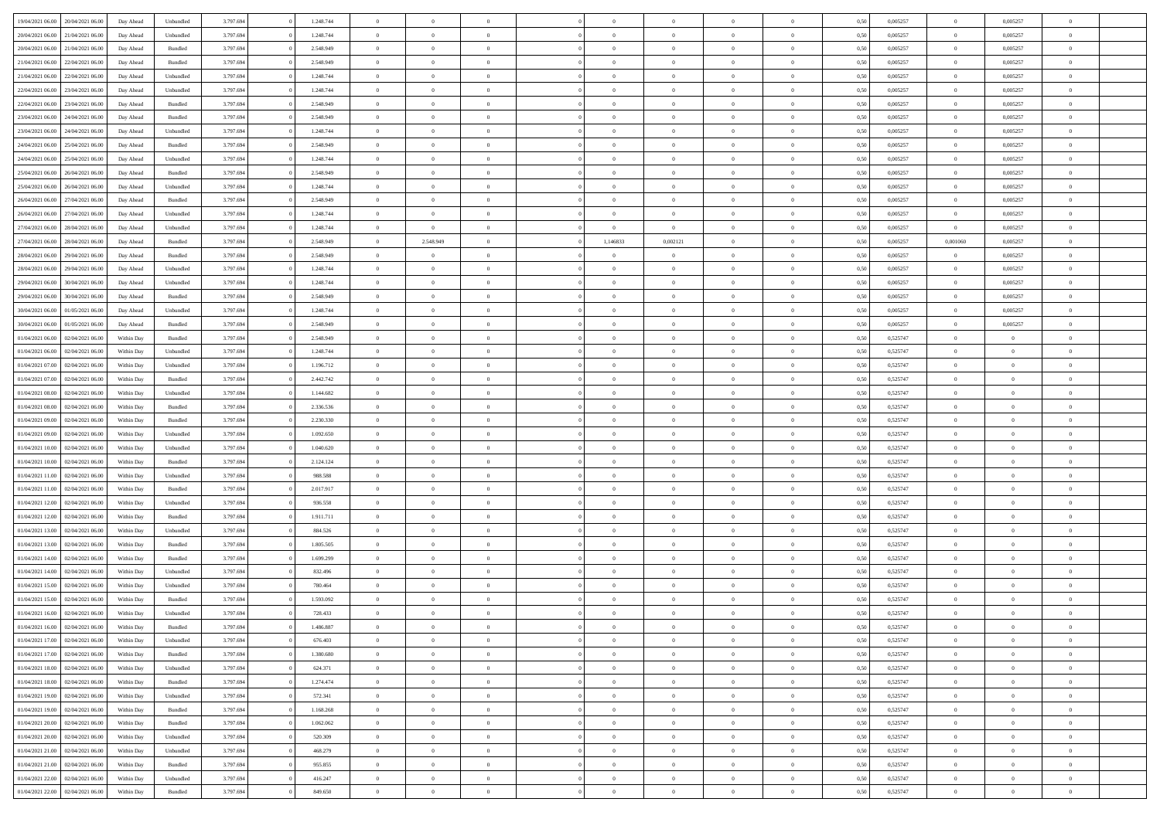| 19/04/2021 06:00                  | 20/04/2021 06:00 | Day Ahead  | Unbundled          | 3.797.694 | 1.248.744 | $\overline{0}$ | $\Omega$       |                |                | $\theta$       | $\Omega$       | $\Omega$       | 0,50 | 0,005257 | $\mathbf{0}$   | 0,005257       | $\Omega$       |  |
|-----------------------------------|------------------|------------|--------------------|-----------|-----------|----------------|----------------|----------------|----------------|----------------|----------------|----------------|------|----------|----------------|----------------|----------------|--|
| 20/04/2021 06:00                  | 21/04/2021 06:00 | Day Ahead  | Unbundled          | 3.797.694 | 1.248.744 | $\overline{0}$ | $\overline{0}$ | $\overline{0}$ |                | $\overline{0}$ | $\overline{0}$ | $\theta$       | 0,50 | 0,005257 | $\bf{0}$       | 0,005257       | $\bf{0}$       |  |
| 20/04/2021 06:00                  | 21/04/2021 06:00 | Day Ahead  | Bundled            | 3.797.694 | 2.548.949 | $\overline{0}$ | $\bf{0}$       | $\overline{0}$ | $\overline{0}$ | $\,$ 0 $\,$    | $\overline{0}$ | $\bf{0}$       | 0,50 | 0,005257 | $\bf{0}$       | 0,005257       | $\bf{0}$       |  |
| 21/04/2021 06:00                  | 22/04/2021 06:00 | Day Ahead  | Bundled            | 3.797.694 | 2.548.949 | $\overline{0}$ | $\overline{0}$ | $\overline{0}$ | $^{\circ}$     | $\overline{0}$ | $\overline{0}$ | $\bf{0}$       | 0.50 | 0,005257 | $\mathbf{0}$   | 0,005257       | $\overline{0}$ |  |
|                                   |                  |            |                    |           |           |                |                |                |                |                |                |                |      |          |                |                |                |  |
| 21/04/2021 06:00                  | 22/04/2021 06.00 | Day Ahead  | Unbundled          | 3.797.694 | 1.248.744 | $\overline{0}$ | $\overline{0}$ | $\overline{0}$ |                | $\overline{0}$ | $\overline{0}$ | $\theta$       | 0,50 | 0,005257 | $\bf{0}$       | 0,005257       | $\overline{0}$ |  |
| 22/04/2021 06:00                  | 23/04/2021 06:00 | Day Ahead  | Unbundled          | 3.797.694 | 1.248.744 | $\overline{0}$ | $\bf{0}$       | $\overline{0}$ | $\overline{0}$ | $\bf{0}$       | $\overline{0}$ | $\bf{0}$       | 0,50 | 0,005257 | $\mathbf{0}$   | 0,005257       | $\bf{0}$       |  |
| 22/04/2021 06:00                  | 23/04/2021 06:00 | Day Ahead  | Bundled            | 3.797.694 | 2.548.949 | $\overline{0}$ | $\overline{0}$ | $\overline{0}$ | $\Omega$       | $\overline{0}$ | $\overline{0}$ | $\bf{0}$       | 0,50 | 0,005257 | $\overline{0}$ | 0,005257       | $\overline{0}$ |  |
| 23/04/2021 06:00                  | 24/04/2021 06.00 | Day Ahead  | Bundled            | 3.797.694 | 2.548.949 | $\overline{0}$ | $\overline{0}$ | $\overline{0}$ |                | $\overline{0}$ | $\overline{0}$ | $\theta$       | 0,50 | 0,005257 | $\bf{0}$       | 0,005257       | $\bf{0}$       |  |
|                                   |                  |            |                    |           |           |                |                |                |                |                |                |                |      |          |                |                |                |  |
| 23/04/2021 06:00                  | 24/04/2021 06.00 | Day Ahead  | Unbundled          | 3.797.694 | 1.248.744 | $\overline{0}$ | $\overline{0}$ | $\overline{0}$ | $\overline{0}$ | $\,$ 0 $\,$    | $\overline{0}$ | $\bf{0}$       | 0,50 | 0,005257 | $\bf{0}$       | 0,005257       | $\bf{0}$       |  |
| 24/04/2021 06:00                  | 25/04/2021 06:00 | Day Ahead  | Bundled            | 3.797.694 | 2.548.949 | $\overline{0}$ | $\overline{0}$ | $\overline{0}$ | $\Omega$       | $\overline{0}$ | $\overline{0}$ | $\bf{0}$       | 0.50 | 0,005257 | $\mathbf{0}$   | 0,005257       | $\overline{0}$ |  |
| 24/04/2021 06:00                  | 25/04/2021 06:00 | Day Ahead  | Unbundled          | 3.797.694 | 1.248.744 | $\overline{0}$ | $\overline{0}$ | $\overline{0}$ | $\overline{0}$ | $\overline{0}$ | $\overline{0}$ | $\theta$       | 0,50 | 0,005257 | $\,$ 0 $\,$    | 0,005257       | $\bf{0}$       |  |
| 25/04/2021 06:00                  | 26/04/2021 06:00 | Day Ahead  | Bundled            | 3.797.694 | 2.548.949 | $\overline{0}$ | $\bf{0}$       | $\overline{0}$ | $\overline{0}$ | $\bf{0}$       | $\overline{0}$ | $\bf{0}$       | 0,50 | 0,005257 | $\bf{0}$       | 0,005257       | $\bf{0}$       |  |
|                                   |                  |            |                    |           |           |                |                |                |                |                |                |                |      |          | $\mathbf{0}$   |                |                |  |
| 25/04/2021 06:00                  | 26/04/2021 06:00 | Day Ahead  | Unbundled          | 3.797.694 | 1.248.744 | $\overline{0}$ | $\overline{0}$ | $\overline{0}$ | $^{\circ}$     | $\overline{0}$ | $\overline{0}$ | $\bf{0}$       | 0.50 | 0.005257 |                | 0.005257       | $\overline{0}$ |  |
| 26/04/2021 06:00                  | 27/04/2021 06.00 | Day Ahead  | Bundled            | 3.797.694 | 2.548.949 | $\overline{0}$ | $\overline{0}$ | $\overline{0}$ |                | $\overline{0}$ | $\overline{0}$ | $\theta$       | 0,50 | 0,005257 | $\bf{0}$       | 0,005257       | $\overline{0}$ |  |
| 26/04/2021 06:00                  | 27/04/2021 06:00 | Day Ahead  | Unbundled          | 3.797.694 | 1.248.744 | $\overline{0}$ | $\overline{0}$ | $\overline{0}$ | $\overline{0}$ | $\bf{0}$       | $\overline{0}$ | $\bf{0}$       | 0,50 | 0,005257 | $\overline{0}$ | 0,005257       | $\bf{0}$       |  |
| 27/04/2021 06:00                  | 28/04/2021 06:00 | Day Ahead  | Unbundled          | 3.797.694 | 1.248.744 | $\overline{0}$ | $\overline{0}$ | $\overline{0}$ | $\Omega$       | $\overline{0}$ | $\overline{0}$ | $\bf{0}$       | 0,50 | 0,005257 | $\overline{0}$ | 0,005257       | $\overline{0}$ |  |
| 27/04/2021 06:00                  | 28/04/2021 06:00 |            |                    | 3.797.694 | 2.548.949 | $\overline{0}$ | 2.548.949      | $\overline{0}$ | 1,146833       | 0,002121       | $\overline{0}$ | $\theta$       |      | 0,005257 | 0,001060       |                | $\bf{0}$       |  |
|                                   |                  | Day Ahead  | Bundled            |           |           |                |                |                |                |                |                |                | 0,50 |          |                | 0,005257       |                |  |
| 28/04/2021 06:00                  | 29/04/2021 06.00 | Day Ahead  | Bundled            | 3.797.694 | 2.548.949 | $\overline{0}$ | $\overline{0}$ | $\overline{0}$ | $\overline{0}$ | $\bf{0}$       | $\overline{0}$ | $\bf{0}$       | 0,50 | 0,005257 | $\bf{0}$       | 0,005257       | $\bf{0}$       |  |
| 28/04/2021 06:00                  | 29/04/2021 06:00 | Day Ahead  | Unbundled          | 3.797.694 | 1.248.744 | $\overline{0}$ | $\overline{0}$ | $\overline{0}$ | $\Omega$       | $\overline{0}$ | $\overline{0}$ | $\bf{0}$       | 0.50 | 0,005257 | $\overline{0}$ | 0,005257       | $\overline{0}$ |  |
| 29/04/2021 06:00                  | 30/04/2021 06:00 | Day Ahead  | Unbundled          | 3.797.694 | 1.248.744 | $\overline{0}$ | $\overline{0}$ | $\overline{0}$ | $\overline{0}$ | $\overline{0}$ | $\overline{0}$ | $\theta$       | 0,50 | 0,005257 | $\,$ 0 $\,$    | 0,005257       | $\bf{0}$       |  |
| 29/04/2021 06:00                  | 30/04/2021 06:00 | Day Ahead  | Bundled            | 3.797.694 | 2.548.949 | $\overline{0}$ | $\bf{0}$       | $\overline{0}$ | $\overline{0}$ | $\bf{0}$       | $\overline{0}$ | $\bf{0}$       | 0,50 | 0,005257 | $\bf{0}$       | 0,005257       | $\bf{0}$       |  |
|                                   |                  |            |                    |           |           |                |                |                |                |                |                |                |      |          |                |                |                |  |
| 30/04/2021 06:00                  | 01/05/2021 06:00 | Day Ahead  | Unbundled          | 3.797.694 | 1.248.744 | $\overline{0}$ | $\overline{0}$ | $\overline{0}$ | $^{\circ}$     | $\overline{0}$ | $\overline{0}$ | $\bf{0}$       | 0.50 | 0,005257 | $\mathbf{0}$   | 0.005257       | $\overline{0}$ |  |
| 30/04/2021 06:00                  | 01/05/2021 06:00 | Day Ahead  | Bundled            | 3.797.694 | 2.548.949 | $\overline{0}$ | $\overline{0}$ | $\overline{0}$ |                | $\overline{0}$ | $\overline{0}$ | $\theta$       | 0,50 | 0,005257 | $\bf{0}$       | 0,005257       | $\overline{0}$ |  |
| 01/04/2021 06:00                  | 02/04/2021 06.00 | Within Day | Bundled            | 3.797.694 | 2.548.949 | $\overline{0}$ | $\bf{0}$       | $\overline{0}$ | $\overline{0}$ | $\bf{0}$       | $\overline{0}$ | $\bf{0}$       | 0,50 | 0,525747 | $\bf{0}$       | $\bf{0}$       | $\bf{0}$       |  |
| 01/04/2021 06:00                  | 02/04/2021 06:00 | Within Dav | Unbundled          | 3.797.694 | 1.248.744 | $\overline{0}$ | $\overline{0}$ | $\overline{0}$ | $\Omega$       | $\overline{0}$ | $\overline{0}$ | $\bf{0}$       | 0,50 | 0,525747 | $\mathbf{0}$   | $\overline{0}$ | $\overline{0}$ |  |
|                                   |                  |            |                    |           |           |                |                |                |                |                |                |                |      |          |                |                |                |  |
| 01/04/2021 07:00                  | 02/04/2021 06:00 | Within Day | Unbundled          | 3.797.694 | 1.196.712 | $\overline{0}$ | $\overline{0}$ | $\overline{0}$ |                | $\overline{0}$ | $\overline{0}$ | $\theta$       | 0,50 | 0,525747 | $\bf{0}$       | $\overline{0}$ | $\bf{0}$       |  |
| 01/04/2021 07:00                  | 02/04/2021 06.00 | Within Day | Bundled            | 3.797.694 | 2.442.742 | $\overline{0}$ | $\overline{0}$ | $\overline{0}$ | $\overline{0}$ | $\,$ 0 $\,$    | $\overline{0}$ | $\bf{0}$       | 0,50 | 0,525747 | $\bf{0}$       | $\overline{0}$ | $\bf{0}$       |  |
| 01/04/2021 08:00                  | 02/04/2021 06:00 | Within Dav | Unbundled          | 3.797.694 | 1.144.682 | $\overline{0}$ | $\overline{0}$ | $\overline{0}$ | $\Omega$       | $\overline{0}$ | $\overline{0}$ | $\bf{0}$       | 0.50 | 0,525747 | $\mathbf{0}$   | $\overline{0}$ | $\overline{0}$ |  |
| 01/04/2021 08:00                  | 02/04/2021 06:00 | Within Day | Bundled            | 3.797.694 | 2.336.536 | $\overline{0}$ | $\overline{0}$ | $\overline{0}$ | $\overline{0}$ | $\overline{0}$ | $\overline{0}$ | $\theta$       | 0,50 | 0,525747 | $\bf{0}$       | $\overline{0}$ | $\overline{0}$ |  |
|                                   |                  |            |                    |           |           |                |                |                |                |                |                |                |      |          |                |                |                |  |
| 01/04/2021 09:00                  | 02/04/2021 06.00 | Within Day | Bundled            | 3.797.694 | 2.230.330 | $\overline{0}$ | $\bf{0}$       | $\overline{0}$ | $\overline{0}$ | $\bf{0}$       | $\overline{0}$ | $\bf{0}$       | 0,50 | 0,525747 | $\bf{0}$       | $\bf{0}$       | $\bf{0}$       |  |
| 01/04/2021 09:00                  | 02/04/2021 06.00 | Within Day | Unbundled          | 3.797.694 | 1.092.650 | $\overline{0}$ | $\Omega$       | $\Omega$       | $^{\circ}$     | $\theta$       | $\overline{0}$ | $\theta$       | 0.50 | 0,525747 | $\,$ 0 $\,$    | $\Omega$       | $\Omega$       |  |
| 01/04/2021 10:00                  | 02/04/2021 06:00 | Within Day | Unbundled          | 3.797.694 | 1.040.620 | $\overline{0}$ | $\overline{0}$ | $\overline{0}$ |                | $\overline{0}$ | $\overline{0}$ | $\theta$       | 0,50 | 0,525747 | $\bf{0}$       | $\overline{0}$ | $\overline{0}$ |  |
| 01/04/2021 10:00                  | 02/04/2021 06.00 | Within Day | Bundled            | 3.797.694 | 2.124.124 | $\overline{0}$ | $\bf{0}$       | $\overline{0}$ | $\overline{0}$ | $\bf{0}$       | $\overline{0}$ | $\bf{0}$       | 0,50 | 0,525747 | $\bf{0}$       | $\bf{0}$       | $\bf{0}$       |  |
|                                   | 02/04/2021 06:00 |            |                    |           | 988,588   | $\overline{0}$ | $\Omega$       | $\Omega$       | $\Omega$       | $\theta$       | $\overline{0}$ | $\mathbf{0}$   | 0.50 |          | $\mathbf{0}$   |                | $\theta$       |  |
| 01/04/2021 11:00                  |                  | Within Day | Unbundled          | 3.797.694 |           |                |                |                |                |                |                |                |      | 0,525747 |                | $\overline{0}$ |                |  |
| 01/04/2021 11:00                  | 02/04/2021 06:00 | Within Day | Bundled            | 3.797.694 | 2.017.917 | $\overline{0}$ | $\overline{0}$ | $\overline{0}$ | $\overline{0}$ | $\overline{0}$ | $\overline{0}$ | $\theta$       | 0,50 | 0,525747 | $\bf{0}$       | $\overline{0}$ | $\bf{0}$       |  |
| 01/04/2021 12:00                  | 02/04/2021 06.00 | Within Day | Unbundled          | 3.797.694 | 936.558   | $\overline{0}$ | $\bf{0}$       | $\overline{0}$ | $\overline{0}$ | $\bf{0}$       | $\overline{0}$ | $\bf{0}$       | 0,50 | 0,525747 | $\bf{0}$       | $\overline{0}$ | $\bf{0}$       |  |
| 01/04/2021 12:00                  | 02/04/2021 06:00 | Within Day | Bundled            | 3.797.694 | 1.911.711 | $\overline{0}$ | $\Omega$       | $\Omega$       | $\Omega$       | $\theta$       | $\overline{0}$ | $\mathbf{0}$   | 0.50 | 0,525747 | $\mathbf{0}$   | $\Omega$       | $\theta$       |  |
| 01/04/2021 13:00                  | 02/04/2021 06:00 | Within Day | Unbundled          | 3.797.694 | 884.526   | $\overline{0}$ | $\overline{0}$ | $\overline{0}$ | $\overline{0}$ | $\overline{0}$ | $\overline{0}$ | $\theta$       | 0,50 | 0,525747 | $\,$ 0 $\,$    | $\overline{0}$ | $\bf{0}$       |  |
|                                   |                  |            |                    |           |           |                |                |                |                |                |                |                |      |          |                |                |                |  |
| 01/04/2021 13:00                  | 02/04/2021 06.00 | Within Day | Bundled            | 3.797.694 | 1.805.505 | $\overline{0}$ | $\bf{0}$       | $\overline{0}$ | $\overline{0}$ | $\,$ 0 $\,$    | $\overline{0}$ | $\bf{0}$       | 0,50 | 0,525747 | $\bf{0}$       | $\bf{0}$       | $\bf{0}$       |  |
| 01/04/2021 14:00                  | 02/04/2021 06.00 | Within Day | Bundled            | 3.797.694 | 1.699.299 | $\overline{0}$ | $\Omega$       | $\Omega$       | $^{\circ}$     | $\theta$       | $\overline{0}$ | $\theta$       | 0.50 | 0,525747 | $\bf{0}$       | $\overline{0}$ | $\Omega$       |  |
| 01/04/2021 14:00                  | 02/04/2021 06:00 | Within Day | Unbundled          | 3.797.694 | 832.496   | $\overline{0}$ | $\overline{0}$ | $\overline{0}$ | $\overline{0}$ | $\bf{0}$       | $\overline{0}$ | $\bf{0}$       | 0,50 | 0,525747 | $\,$ 0 $\,$    | $\overline{0}$ | $\overline{0}$ |  |
| 01/04/2021 15:00                  | 02/04/2021 06.00 | Within Day | Unbundled          | 3.797.694 | 780.464   | $\overline{0}$ | $\bf{0}$       | $\overline{0}$ | $\overline{0}$ | $\bf{0}$       | $\overline{0}$ | $\bf{0}$       | 0,50 | 0,525747 | $\bf{0}$       | $\bf{0}$       | $\bf{0}$       |  |
|                                   | 02/04/2021 06:00 |            |                    |           |           | $\overline{0}$ | $\Omega$       | $\Omega$       | $\sqrt{2}$     | $\Omega$       | $\overline{0}$ | $\theta$       | 0.50 |          | $\overline{0}$ | $\Omega$       | $\theta$       |  |
| 01/04/2021 15:00                  |                  | Within Day | Bundled            | 3.797.694 | 1.593.092 |                |                |                |                |                |                |                |      | 0,525747 |                |                |                |  |
| 01/04/2021 16:00                  | 02/04/2021 06:00 | Within Day | Unbundled          | 3.797.694 | 728.433   | $\overline{0}$ | $\bf{0}$       | $\overline{0}$ | $\overline{0}$ | $\bf{0}$       | $\overline{0}$ | $\bf{0}$       | 0,50 | 0,525747 | $\bf{0}$       | $\bf{0}$       | $\bf{0}$       |  |
| 01/04/2021 16:00 02/04/2021 06:00 |                  | Within Day | Bundled            | 3.797.694 | 1.486.887 | $\bf{0}$       |                |                |                |                |                |                | 0,50 | 0,525747 | $\bf{0}$       |                |                |  |
| 01/04/2021 17:00                  | 02/04/2021 06:00 | Within Day | Unbundled          | 3.797.694 | 676.403   | $\overline{0}$ | $\overline{0}$ | $\Omega$       | $\Omega$       | $\overline{0}$ | $\overline{0}$ | $\mathbf{0}$   | 0.50 | 0,525747 | $\overline{0}$ | $\overline{0}$ | $\overline{0}$ |  |
| 01/04/2021 17:00                  | 02/04/2021 06:00 | Within Day | Bundled            | 3.797.694 | 1.380.680 | $\overline{0}$ | $\,$ 0 $\,$    | $\overline{0}$ | $\overline{0}$ | $\,$ 0         | $\overline{0}$ | $\bf{0}$       | 0,50 | 0,525747 | $\bf{0}$       | $\,$ 0 $\,$    | $\bf{0}$       |  |
|                                   |                  |            |                    |           |           |                |                |                |                |                |                |                |      |          |                |                |                |  |
| 01/04/2021 18:00                  | 02/04/2021 06:00 | Within Day | Unbundled          | 3.797.694 | 624.371   | $\overline{0}$ | $\overline{0}$ | $\overline{0}$ | $\overline{0}$ | $\overline{0}$ | $\overline{0}$ | $\bf{0}$       | 0,50 | 0,525747 | $\overline{0}$ | $\overline{0}$ | $\bf{0}$       |  |
| 01/04/2021 18:00                  | 02/04/2021 06:00 | Within Day | $\mathbf B$ undled | 3.797.694 | 1.274.474 | $\overline{0}$ | $\overline{0}$ | $\overline{0}$ | $\Omega$       | $\overline{0}$ | $\overline{0}$ | $\mathbf{0}$   | 0,50 | 0,525747 | $\,$ 0 $\,$    | $\bf{0}$       | $\bf{0}$       |  |
| 01/04/2021 19:00                  | 02/04/2021 06:00 | Within Day | Unbundled          | 3.797.694 | 572.341   | $\overline{0}$ | $\,$ 0 $\,$    | $\overline{0}$ | $\overline{0}$ | $\,$ 0         | $\overline{0}$ | $\bf{0}$       | 0,50 | 0,525747 | $\bf{0}$       | $\overline{0}$ | $\bf{0}$       |  |
| 01/04/2021 19:00                  | 02/04/2021 06:00 | Within Day | Bundled            | 3.797.694 | 1.168.268 | $\overline{0}$ | $\overline{0}$ | $\overline{0}$ | $\overline{0}$ | $\overline{0}$ | $\overline{0}$ | $\bf{0}$       | 0,50 | 0,525747 | $\overline{0}$ | $\overline{0}$ | $\bf{0}$       |  |
|                                   |                  |            |                    |           |           |                |                |                |                |                |                |                |      |          |                |                |                |  |
| 01/04/2021 20:00                  | 02/04/2021 06:00 | Within Day | Bundled            | 3.797.694 | 1.062.062 | $\overline{0}$ | $\overline{0}$ | $\overline{0}$ | $\Omega$       | $\overline{0}$ | $\overline{0}$ | $\overline{0}$ | 0.50 | 0,525747 | $\overline{0}$ | $\bf{0}$       | $\overline{0}$ |  |
| 01/04/2021 20:00                  | 02/04/2021 06:00 | Within Day | Unbundled          | 3.797.694 | 520.309   | $\overline{0}$ | $\,$ 0 $\,$    | $\overline{0}$ | $\overline{0}$ | $\bf{0}$       | $\overline{0}$ | $\bf{0}$       | 0,50 | 0,525747 | $\,0\,$        | $\bf{0}$       | $\bf{0}$       |  |
| 01/04/2021 21:00                  | 02/04/2021 06:00 | Within Day | Unbundled          | 3.797.694 | 468.279   | $\overline{0}$ | $\overline{0}$ | $\overline{0}$ | $\overline{0}$ | $\bf{0}$       | $\overline{0}$ | $\bf{0}$       | 0,50 | 0,525747 | $\overline{0}$ | $\bf{0}$       | $\bf{0}$       |  |
| 01/04/2021 21:00                  | 02/04/2021 06:00 | Within Day | Bundled            | 3.797.694 | 955.855   | $\overline{0}$ | $\overline{0}$ | $\overline{0}$ | $\Omega$       | $\overline{0}$ | $\overline{0}$ | $\mathbf{0}$   | 0.50 | 0,525747 | $\bf{0}$       | $\overline{0}$ | $\overline{0}$ |  |
| 01/04/2021 22.00                  | 02/04/2021 06:00 | Within Day | Unbundled          | 3.797.694 | 416.247   | $\overline{0}$ | $\,$ 0 $\,$    | $\overline{0}$ | $\overline{0}$ | $\,$ 0 $\,$    | $\overline{0}$ | $\bf{0}$       | 0,50 | 0,525747 | $\,$ 0 $\,$    | $\,$ 0 $\,$    | $\bf{0}$       |  |
|                                   |                  |            |                    |           |           |                |                |                |                |                |                |                |      |          |                |                |                |  |
| 01/04/2021 22.00                  | 02/04/2021 06:00 | Within Day | Bundled            | 3.797.694 | 849.650   | $\overline{0}$ | $\overline{0}$ | $\overline{0}$ | $\overline{0}$ | $\bf{0}$       | $\overline{0}$ | $\bf{0}$       | 0,50 | 0,525747 | $\overline{0}$ | $\overline{0}$ | $\bf{0}$       |  |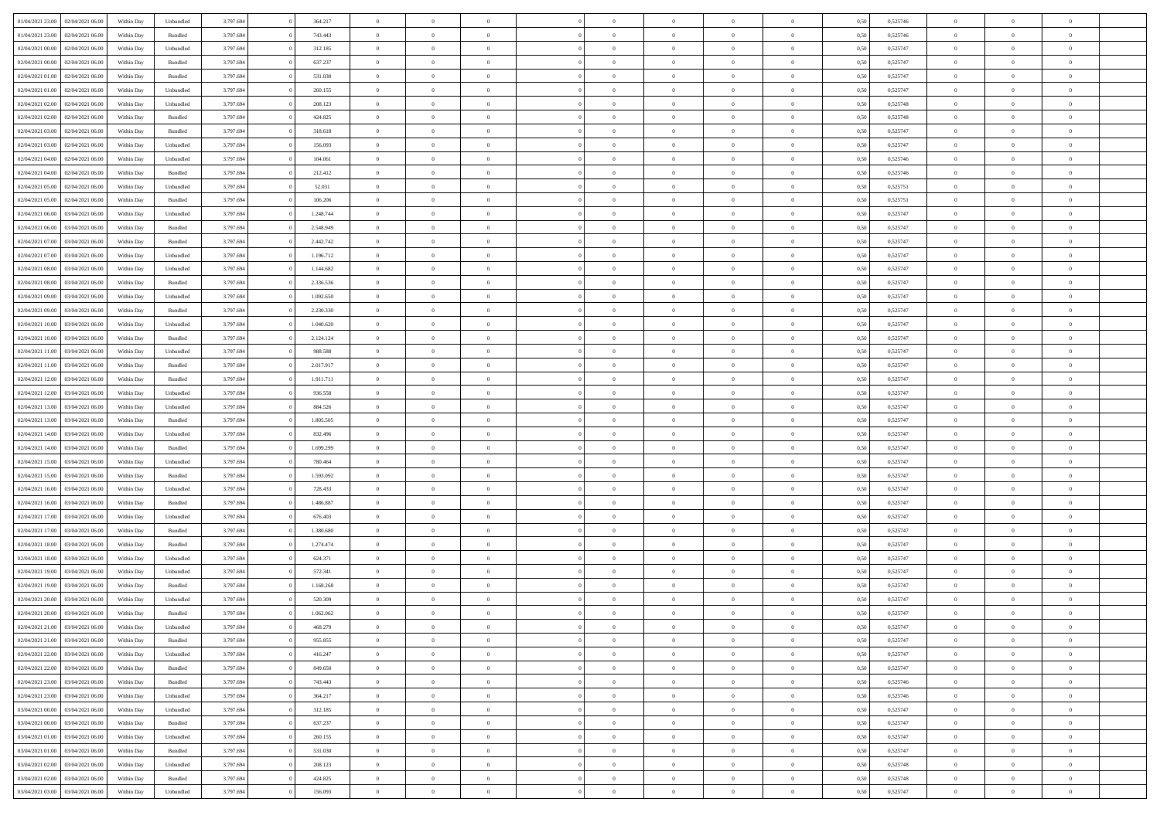|                  |                  |            |                    |           |           | $\overline{0}$ | $\Omega$       |                |                | $\Omega$       | $\Omega$       | $\theta$       |      |          | $\theta$       |                | $\theta$       |  |
|------------------|------------------|------------|--------------------|-----------|-----------|----------------|----------------|----------------|----------------|----------------|----------------|----------------|------|----------|----------------|----------------|----------------|--|
| 01/04/2021 23:00 | 02/04/2021 06:00 | Within Day | Unbundled          | 3.797.694 | 364.217   |                |                |                | $\Omega$       |                |                |                | 0.50 | 0,525746 |                | $\theta$       |                |  |
| 01/04/2021 23:00 | 02/04/2021 06:00 | Within Day | Bundled            | 3.797.694 | 743.443   | $\overline{0}$ | $\theta$       | $\overline{0}$ | $\overline{0}$ | $\bf{0}$       | $\overline{0}$ | $\bf{0}$       | 0,50 | 0,525746 | $\theta$       | $\theta$       | $\overline{0}$ |  |
| 02/04/2021 00:00 | 02/04/2021 06.00 | Within Day | Unbundled          | 3.797.694 | 312.185   | $\overline{0}$ | $\overline{0}$ | $\overline{0}$ | $\bf{0}$       | $\bf{0}$       | $\bf{0}$       | $\bf{0}$       | 0,50 | 0,525747 | $\bf{0}$       | $\overline{0}$ | $\overline{0}$ |  |
| 02/04/2021 00:00 | 02/04/2021 06:00 | Within Dav | Bundled            | 3.797.694 | 637.237   | $\overline{0}$ | $\overline{0}$ | $\overline{0}$ | $\overline{0}$ | $\bf{0}$       | $\overline{0}$ | $\overline{0}$ | 0.50 | 0,525747 | $\theta$       | $\theta$       | $\overline{0}$ |  |
|                  |                  |            |                    |           |           | $\overline{0}$ | $\theta$       | $\overline{0}$ |                | $\bf{0}$       | $\overline{0}$ |                |      |          | $\theta$       | $\overline{0}$ | $\overline{0}$ |  |
| 02/04/2021 01:00 | 02/04/2021 06:00 | Within Day | Bundled            | 3.797.694 | 531.030   |                |                |                | $\overline{0}$ |                |                | $\bf{0}$       | 0,50 | 0,525747 |                |                |                |  |
| 02/04/2021 01:00 | 02/04/2021 06.00 | Within Day | Unbundled          | 3.797.694 | 260.155   | $\overline{0}$ | $\bf{0}$       | $\overline{0}$ | $\bf{0}$       | $\overline{0}$ | $\overline{0}$ | $\mathbf{0}$   | 0,50 | 0,525747 | $\overline{0}$ | $\overline{0}$ | $\bf{0}$       |  |
| 02/04/2021 02:00 | 02/04/2021 06:00 | Within Dav | Unbundled          | 3.797.694 | 208.123   | $\overline{0}$ | $\overline{0}$ | $\overline{0}$ | $\overline{0}$ | $\overline{0}$ | $\overline{0}$ | $\overline{0}$ | 0.50 | 0,525748 | $\theta$       | $\overline{0}$ | $\overline{0}$ |  |
| 02/04/2021 02:00 | 02/04/2021 06:00 | Within Day | Bundled            | 3.797.694 | 424.825   | $\overline{0}$ | $\theta$       | $\overline{0}$ | $\overline{0}$ | $\bf{0}$       | $\overline{0}$ | $\bf{0}$       | 0,50 | 0,525748 | $\theta$       | $\theta$       | $\overline{0}$ |  |
| 02/04/2021 03:00 | 02/04/2021 06.00 | Within Day | Bundled            | 3.797.694 | 318.618   | $\overline{0}$ | $\overline{0}$ | $\overline{0}$ | $\overline{0}$ | $\bf{0}$       | $\overline{0}$ | $\bf{0}$       | 0,50 | 0,525747 | $\,0\,$        | $\overline{0}$ | $\overline{0}$ |  |
| 02/04/2021 03:00 | 02/04/2021 06:00 | Within Dav | Unbundled          | 3.797.694 | 156.093   | $\overline{0}$ | $\overline{0}$ | $\overline{0}$ | $\overline{0}$ | $\overline{0}$ | $\overline{0}$ | $\overline{0}$ | 0.50 | 0,525747 | $\theta$       | $\overline{0}$ | $\overline{0}$ |  |
|                  |                  |            |                    |           |           |                |                |                |                |                |                |                |      |          |                |                |                |  |
| 02/04/2021 04:00 | 02/04/2021 06:00 | Within Day | Unbundled          | 3.797.694 | 104.061   | $\overline{0}$ | $\theta$       | $\overline{0}$ | $\overline{0}$ | $\bf{0}$       | $\overline{0}$ | $\bf{0}$       | 0,50 | 0,525746 | $\,$ 0 $\,$    | $\overline{0}$ | $\overline{0}$ |  |
| 02/04/2021 04:00 | 02/04/2021 06.00 | Within Day | Bundled            | 3.797.694 | 212.412   | $\overline{0}$ | $\overline{0}$ | $\overline{0}$ | $\overline{0}$ | $\bf{0}$       | $\overline{0}$ | $\bf{0}$       | 0,50 | 0,525746 | $\overline{0}$ | $\overline{0}$ | $\overline{0}$ |  |
| 02/04/2021 05:00 | 02/04/2021 06:00 | Within Day | Unbundled          | 3.797.694 | 52.031    | $\overline{0}$ | $\overline{0}$ | $\overline{0}$ | $\overline{0}$ | $\bf{0}$       | $\overline{0}$ | $\overline{0}$ | 0.50 | 0,525751 | $\theta$       | $\theta$       | $\overline{0}$ |  |
| 02/04/2021 05:00 | 02/04/2021 06:00 | Within Day | Bundled            | 3.797.694 | 106.206   | $\overline{0}$ | $\theta$       | $\overline{0}$ | $\overline{0}$ | $\bf{0}$       | $\overline{0}$ | $\bf{0}$       | 0,50 | 0,525751 | $\theta$       | $\theta$       | $\overline{0}$ |  |
| 02/04/2021 06.00 | 03/04/2021 06:00 | Within Day | Unbundled          | 3.797.694 | 1.248.744 | $\overline{0}$ | $\bf{0}$       | $\overline{0}$ | $\overline{0}$ | $\overline{0}$ | $\overline{0}$ | $\mathbf{0}$   | 0,50 | 0,525747 | $\overline{0}$ | $\overline{0}$ | $\bf{0}$       |  |
|                  |                  |            |                    |           |           |                |                |                |                |                |                |                |      |          |                |                |                |  |
| 02/04/2021 06:00 | 03/04/2021 06:00 | Within Dav | Bundled            | 3.797.694 | 2.548.949 | $\overline{0}$ | $\overline{0}$ | $\overline{0}$ | $\overline{0}$ | $\overline{0}$ | $\overline{0}$ | $\overline{0}$ | 0.50 | 0,525747 | $\theta$       | $\overline{0}$ | $\overline{0}$ |  |
| 02/04/2021 07:00 | 03/04/2021 06:00 | Within Day | Bundled            | 3.797.694 | 2.442.742 | $\overline{0}$ | $\theta$       | $\overline{0}$ | $\overline{0}$ | $\bf{0}$       | $\overline{0}$ | $\bf{0}$       | 0,50 | 0,525747 | $\theta$       | $\theta$       | $\overline{0}$ |  |
| 02/04/2021 07:00 | 03/04/2021 06:00 | Within Day | Unbundled          | 3.797.694 | 1.196.712 | $\overline{0}$ | $\overline{0}$ | $\overline{0}$ | $\overline{0}$ | $\bf{0}$       | $\overline{0}$ | $\bf{0}$       | 0,50 | 0,525747 | $\,0\,$        | $\overline{0}$ | $\overline{0}$ |  |
| 02/04/2021 08:00 | 03/04/2021 06:00 | Within Day | Unbundled          | 3.797.694 | 1.144.682 | $\overline{0}$ | $\overline{0}$ | $\overline{0}$ | $\overline{0}$ | $\overline{0}$ | $\overline{0}$ | $\overline{0}$ | 0.50 | 0,525747 | $\theta$       | $\overline{0}$ | $\overline{0}$ |  |
| 02/04/2021 08:00 | 03/04/2021 06:00 | Within Day | Bundled            | 3.797.694 | 2.336.536 | $\overline{0}$ | $\theta$       | $\overline{0}$ | $\overline{0}$ | $\bf{0}$       | $\overline{0}$ | $\bf{0}$       | 0,50 | 0,525747 | $\,$ 0 $\,$    | $\theta$       | $\overline{0}$ |  |
| 02/04/2021 09:00 | 03/04/2021 06:00 | Within Day | Unbundled          | 3.797.694 | 1.092.650 | $\overline{0}$ | $\overline{0}$ | $\overline{0}$ | $\overline{0}$ | $\bf{0}$       | $\overline{0}$ | $\bf{0}$       | 0,50 | 0,525747 | $\,0\,$        | $\overline{0}$ | $\overline{0}$ |  |
|                  | 03/04/2021 06:00 |            | Bundled            | 3.797.694 | 2.230.330 | $\overline{0}$ | $\overline{0}$ | $\overline{0}$ |                | $\bf{0}$       | $\overline{0}$ |                | 0.50 | 0,525747 | $\theta$       | $\theta$       | $\overline{0}$ |  |
| 02/04/2021 09:00 |                  | Within Day |                    |           |           |                |                |                | $\overline{0}$ |                |                | $\overline{0}$ |      |          |                |                |                |  |
| 02/04/2021 10:00 | 03/04/2021 06:00 | Within Day | Unbundled          | 3.797.694 | 1.040.620 | $\overline{0}$ | $\theta$       | $\overline{0}$ | $\overline{0}$ | $\bf{0}$       | $\overline{0}$ | $\bf{0}$       | 0,50 | 0,525747 | $\,$ 0 $\,$    | $\overline{0}$ | $\overline{0}$ |  |
| 02/04/2021 10:00 | 03/04/2021 06:00 | Within Day | Bundled            | 3.797.694 | 2.124.124 | $\overline{0}$ | $\bf{0}$       | $\overline{0}$ | $\overline{0}$ | $\overline{0}$ | $\overline{0}$ | $\mathbf{0}$   | 0,50 | 0,525747 | $\overline{0}$ | $\overline{0}$ | $\bf{0}$       |  |
| 02/04/2021 11:00 | 03/04/2021 06:00 | Within Dav | Unbundled          | 3.797.694 | 988.588   | $\overline{0}$ | $\overline{0}$ | $\overline{0}$ | $\overline{0}$ | $\overline{0}$ | $\overline{0}$ | $\overline{0}$ | 0.50 | 0,525747 | $\theta$       | $\overline{0}$ | $\overline{0}$ |  |
| 02/04/2021 11:00 | 03/04/2021 06:00 | Within Day | Bundled            | 3.797.694 | 2.017.917 | $\overline{0}$ | $\theta$       | $\overline{0}$ | $\overline{0}$ | $\bf{0}$       | $\overline{0}$ | $\bf{0}$       | 0,50 | 0,525747 | $\theta$       | $\theta$       | $\overline{0}$ |  |
| 02/04/2021 12:00 | 03/04/2021 06:00 | Within Day | Bundled            | 3.797.694 | 1.911.711 | $\overline{0}$ | $\overline{0}$ | $\overline{0}$ | $\overline{0}$ | $\bf{0}$       | $\overline{0}$ | $\bf{0}$       | 0,50 | 0,525747 | $\,0\,$        | $\overline{0}$ | $\overline{0}$ |  |
| 02/04/2021 12:00 | 03/04/2021 06:00 | Within Day | Unbundled          | 3.797.694 | 936.558   | $\overline{0}$ | $\overline{0}$ | $\overline{0}$ | $\overline{0}$ | $\overline{0}$ | $\overline{0}$ | $\overline{0}$ | 0.50 | 0,525747 | $\theta$       | $\overline{0}$ | $\overline{0}$ |  |
|                  |                  |            |                    |           |           |                |                |                |                |                |                |                |      |          |                |                |                |  |
| 02/04/2021 13:00 | 03/04/2021 06:00 | Within Day | Unbundled          | 3.797.694 | 884.526   | $\overline{0}$ | $\theta$       | $\overline{0}$ | $\overline{0}$ | $\bf{0}$       | $\overline{0}$ | $\bf{0}$       | 0,50 | 0,525747 | $\,$ 0 $\,$    | $\overline{0}$ | $\overline{0}$ |  |
| 02/04/2021 13:00 | 03/04/2021 06:00 | Within Day | Bundled            | 3.797.694 | 1.805.505 | $\overline{0}$ | $\overline{0}$ | $\overline{0}$ | $\overline{0}$ | $\bf{0}$       | $\overline{0}$ | $\bf{0}$       | 0,50 | 0,525747 | $\bf{0}$       | $\overline{0}$ | $\overline{0}$ |  |
| 02/04/2021 14:00 | 03/04/2021 06:00 | Within Day | Unbundled          | 3.797.694 | 832.496   | $\overline{0}$ | $\Omega$       | $\Omega$       | $\Omega$       | $\Omega$       | $\overline{0}$ | $\overline{0}$ | 0,50 | 0,525747 | $\,0\,$        | $\theta$       | $\theta$       |  |
| 02/04/2021 14:00 | 03/04/2021 06:00 | Within Day | Bundled            | 3.797.694 | 1.699.299 | $\overline{0}$ | $\theta$       | $\overline{0}$ | $\overline{0}$ | $\bf{0}$       | $\overline{0}$ | $\bf{0}$       | 0,50 | 0,525747 | $\theta$       | $\theta$       | $\overline{0}$ |  |
| 02/04/2021 15:00 | 03/04/2021 06:00 | Within Day | Unbundled          | 3.797.694 | 780.464   | $\overline{0}$ | $\overline{0}$ | $\overline{0}$ | $\overline{0}$ | $\bf{0}$       | $\overline{0}$ | $\mathbf{0}$   | 0,50 | 0,525747 | $\bf{0}$       | $\overline{0}$ | $\bf{0}$       |  |
| 02/04/2021 15:00 | 03/04/2021 06:00 | Within Day | Bundled            | 3.797.694 | 1.593.092 | $\overline{0}$ | $\Omega$       | $\Omega$       | $\Omega$       | $\bf{0}$       | $\overline{0}$ | $\overline{0}$ | 0.50 | 0,525747 | $\,0\,$        | $\theta$       | $\theta$       |  |
|                  |                  |            |                    |           |           | $\overline{0}$ | $\theta$       | $\overline{0}$ |                | $\bf{0}$       | $\overline{0}$ |                |      |          |                | $\theta$       | $\overline{0}$ |  |
| 02/04/2021 16:00 | 03/04/2021 06:00 | Within Day | Unbundled          | 3.797.694 | 728.433   |                |                |                | $\overline{0}$ |                |                | $\bf{0}$       | 0,50 | 0,525747 | $\,$ 0 $\,$    |                |                |  |
| 02/04/2021 16:00 | 03/04/2021 06:00 | Within Day | Bundled            | 3.797.694 | 1.486.887 | $\overline{0}$ | $\overline{0}$ | $\overline{0}$ | $\bf{0}$       | $\bf{0}$       | $\bf{0}$       | $\bf{0}$       | 0,50 | 0,525747 | $\,0\,$        | $\overline{0}$ | $\overline{0}$ |  |
| 02/04/2021 17:00 | 03/04/2021 06:00 | Within Day | Unbundled          | 3.797.694 | 676,403   | $\overline{0}$ | $\Omega$       | $\Omega$       | $\Omega$       | $\Omega$       | $\theta$       | $\overline{0}$ | 0.50 | 0,525747 | $\theta$       | $\theta$       | $\theta$       |  |
| 02/04/2021 17:00 | 03/04/2021 06:00 | Within Day | Bundled            | 3.797.694 | 1.380.680 | $\overline{0}$ | $\theta$       | $\overline{0}$ | $\overline{0}$ | $\bf{0}$       | $\overline{0}$ | $\bf{0}$       | 0,50 | 0,525747 | $\,$ 0 $\,$    | $\overline{0}$ | $\overline{0}$ |  |
| 02/04/2021 18:00 | 03/04/2021 06:00 | Within Day | Bundled            | 3.797.694 | 1.274.474 | $\overline{0}$ | $\overline{0}$ | $\overline{0}$ | $\bf{0}$       | $\bf{0}$       | $\bf{0}$       | $\bf{0}$       | 0,50 | 0,525747 | $\bf{0}$       | $\overline{0}$ | $\overline{0}$ |  |
| 02/04/2021 18:00 | 03/04/2021 06:00 | Within Day | Unbundled          | 3.797.694 | 624.371   | $\overline{0}$ | $\Omega$       | $\overline{0}$ | $\Omega$       | $\Omega$       | $\overline{0}$ | $\overline{0}$ | 0,50 | 0,525747 | $\,0\,$        | $\theta$       | $\theta$       |  |
| 02/04/2021 19:00 | 03/04/2021 06:00 | Within Day | Unbundled          | 3.797.694 | 572.341   | $\overline{0}$ | $\theta$       | $\overline{0}$ | $\overline{0}$ | $\bf{0}$       | $\overline{0}$ | $\bf{0}$       | 0,50 | 0,525747 | $\,$ 0 $\,$    | $\overline{0}$ | $\overline{0}$ |  |
|                  |                  |            |                    |           |           |                |                |                |                |                |                |                |      |          |                |                |                |  |
| 02/04/2021 19:00 | 03/04/2021 06:00 | Within Day | Bundled            | 3.797.694 | 1.168.268 | $\overline{0}$ | $\overline{0}$ | $\overline{0}$ | $\bf{0}$       | $\bf{0}$       | $\bf{0}$       | $\mathbf{0}$   | 0,50 | 0,525747 | $\bf{0}$       | $\overline{0}$ | $\bf{0}$       |  |
| 02/04/2021 20:00 | 03/04/2021 06:00 | Within Day | Unbundled          | 3.797.694 | 520,309   | $\overline{0}$ | $\Omega$       | $\Omega$       | $\Omega$       | $\Omega$       | $\Omega$       | $\overline{0}$ | 0.50 | 0,525747 | $\theta$       | $\theta$       | $\theta$       |  |
| 02/04/2021 20:00 | 03/04/2021 06:00 | Within Day | Bundled            | 3.797.694 | 1.062.062 | $\overline{0}$ | $\,$ 0 $\,$    | $\overline{0}$ | $\bf{0}$       | $\,$ 0         | $\bf{0}$       | $\bf{0}$       | 0,50 | 0,525747 | $\,0\,$        | $\overline{0}$ | $\overline{0}$ |  |
| 02/04/2021 21:00 | 03/04/2021 06:00 | Within Day | Unbundled          | 3.797.694 | 468.279   | $\bf{0}$       | $\bf{0}$       |                |                |                |                |                | 0,50 | 0,525747 | $\bf{0}$       | $\overline{0}$ |                |  |
| 02/04/2021 21:00 | 03/04/2021 06:00 | Within Day | Bundled            | 3.797.694 | 955,855   | $\overline{0}$ | $\overline{0}$ | $\overline{0}$ | $\Omega$       | $\overline{0}$ | $\overline{0}$ | $\overline{0}$ | 0,50 | 0,525747 | $\theta$       | $\theta$       | $\theta$       |  |
| 02/04/2021 22.00 | 03/04/2021 06:00 | Within Day | Unbundled          | 3.797.694 | 416.247   | $\overline{0}$ | $\bf{0}$       | $\overline{0}$ | $\bf{0}$       | $\,$ 0 $\,$    | $\overline{0}$ | $\,$ 0 $\,$    | 0,50 | 0,525747 | $\,$ 0 $\,$    | $\,$ 0 $\,$    | $\,$ 0         |  |
|                  |                  |            |                    |           |           |                |                |                |                |                |                |                |      |          |                |                |                |  |
| 02/04/2021 22.00 | 03/04/2021 06:00 | Within Day | Bundled            | 3.797.694 | 849.650   | $\overline{0}$ | $\overline{0}$ | $\overline{0}$ | $\overline{0}$ | $\overline{0}$ | $\overline{0}$ | $\mathbf{0}$   | 0,50 | 0,525747 | $\overline{0}$ | $\bf{0}$       | $\overline{0}$ |  |
| 02/04/2021 23:00 | 03/04/2021 06:00 | Within Day | $\mathbf B$ undled | 3.797.694 | 743.443   | $\overline{0}$ | $\overline{0}$ | $\overline{0}$ | $\Omega$       | $\overline{0}$ | $\overline{0}$ | $\overline{0}$ | 0,50 | 0,525746 | $\overline{0}$ | $\,$ 0 $\,$    | $\overline{0}$ |  |
| 02/04/2021 23:00 | 03/04/2021 06:00 | Within Day | Unbundled          | 3.797.694 | 364.217   | $\overline{0}$ | $\,$ 0         | $\overline{0}$ | $\bf{0}$       | $\,$ 0 $\,$    | $\overline{0}$ | $\,$ 0 $\,$    | 0,50 | 0,525746 | $\,$ 0 $\,$    | $\overline{0}$ | $\,$ 0         |  |
| 03/04/2021 00:00 | 03/04/2021 06:00 | Within Day | Unbundled          | 3.797.694 | 312.185   | $\overline{0}$ | $\overline{0}$ | $\overline{0}$ | $\overline{0}$ | $\overline{0}$ | $\overline{0}$ | $\mathbf{0}$   | 0,50 | 0,525747 | $\overline{0}$ | $\overline{0}$ | $\overline{0}$ |  |
| 03/04/2021 00:00 | 03/04/2021 06:00 | Within Day | Bundled            | 3.797.694 | 637.237   | $\overline{0}$ | $\overline{0}$ | $\overline{0}$ | $\overline{0}$ | $\overline{0}$ | $\overline{0}$ | $\bf{0}$       | 0.50 | 0,525747 | $\overline{0}$ | $\theta$       | $\overline{0}$ |  |
| 03/04/2021 01:00 | 03/04/2021 06:00 | Within Day | Unbundled          | 3.797.694 | 260.155   | $\overline{0}$ | $\,$ 0         | $\overline{0}$ | $\bf{0}$       | $\bf{0}$       | $\bf{0}$       | $\bf{0}$       | 0,50 | 0,525747 | $\,$ 0 $\,$    | $\overline{0}$ | $\overline{0}$ |  |
| 03/04/2021 01:00 | 03/04/2021 06:00 | Within Day | Bundled            | 3.797.694 | 531.030   | $\overline{0}$ | $\bf{0}$       | $\overline{0}$ | $\overline{0}$ | $\overline{0}$ | $\overline{0}$ | $\mathbf{0}$   | 0,50 | 0,525747 | $\overline{0}$ | $\overline{0}$ | $\bf{0}$       |  |
|                  |                  |            |                    |           |           |                |                |                |                |                |                |                |      |          |                |                |                |  |
| 03/04/2021 02:00 | 03/04/2021 06:00 | Within Day | Unbundled          | 3.797.694 | 208.123   | $\overline{0}$ | $\overline{0}$ | $\overline{0}$ | $\Omega$       | $\overline{0}$ | $\overline{0}$ | $\overline{0}$ | 0.50 | 0,525748 | $\overline{0}$ | $\overline{0}$ | $\overline{0}$ |  |
| 03/04/2021 02:00 | 03/04/2021 06:00 | Within Day | Bundled            | 3.797.694 | 424.825   | $\overline{0}$ | $\bf{0}$       | $\overline{0}$ | $\bf{0}$       | $\bf{0}$       | $\bf{0}$       | $\mathbf{0}$   | 0,50 | 0,525748 | $\,$ 0 $\,$    | $\,$ 0 $\,$    | $\bf{0}$       |  |
| 03/04/2021 03:00 | 03/04/2021 06:00 | Within Day | Unbundled          | 3.797.694 | 156.093   | $\overline{0}$ | $\overline{0}$ | $\overline{0}$ | $\overline{0}$ | $\overline{0}$ | $\bf{0}$       | $\mathbf{0}$   | 0,50 | 0,525747 | $\overline{0}$ | $\bf{0}$       | $\overline{0}$ |  |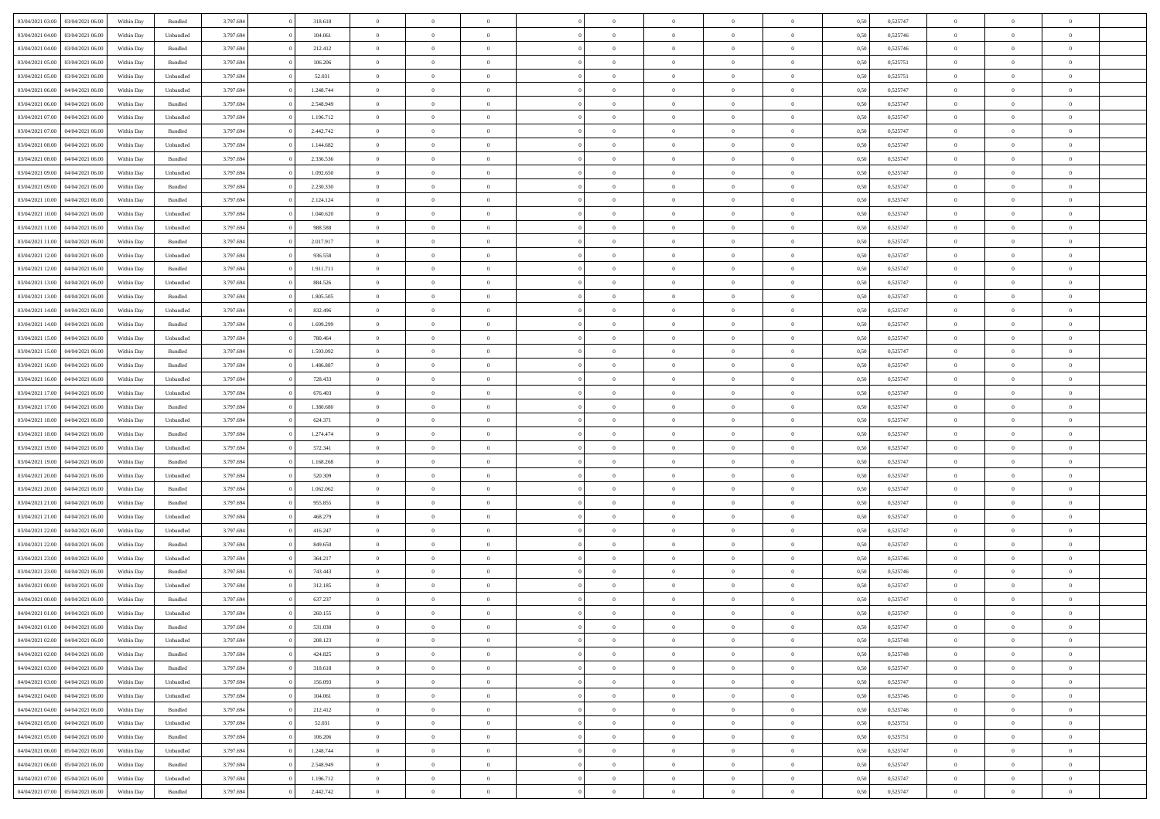| 03/04/2021 03:00                  | 03/04/2021 06:00 | Within Day | Bundled            | 3.797.694 | 318.618   | $\overline{0}$ | $\Omega$       |                | $\Omega$       | $\Omega$       | $\Omega$       | $\theta$       | 0.50 | 0,525747 | $\theta$       | $\theta$       | $\theta$       |  |
|-----------------------------------|------------------|------------|--------------------|-----------|-----------|----------------|----------------|----------------|----------------|----------------|----------------|----------------|------|----------|----------------|----------------|----------------|--|
| 03/04/2021 04:00                  | 03/04/2021 06:00 | Within Day | Unbundled          | 3.797.694 | 104.061   | $\overline{0}$ | $\theta$       | $\overline{0}$ | $\overline{0}$ | $\bf{0}$       | $\overline{0}$ | $\bf{0}$       | 0,50 | 0,525746 | $\theta$       | $\theta$       | $\overline{0}$ |  |
| 03/04/2021 04:00                  | 03/04/2021 06:00 | Within Day | Bundled            | 3.797.694 | 212.412   | $\overline{0}$ | $\overline{0}$ | $\overline{0}$ | $\bf{0}$       | $\bf{0}$       | $\bf{0}$       | $\bf{0}$       | 0,50 | 0,525746 | $\overline{0}$ | $\overline{0}$ | $\overline{0}$ |  |
| 03/04/2021 05:00                  | 03/04/2021 06:00 | Within Dav | Bundled            | 3.797.694 | 106,206   | $\overline{0}$ | $\overline{0}$ | $\overline{0}$ | $\overline{0}$ | $\bf{0}$       | $\overline{0}$ | $\overline{0}$ | 0.50 | 0,525751 | $\theta$       | $\theta$       | $\overline{0}$ |  |
| 03/04/2021 05:00                  | 03/04/2021 06:00 | Within Day | Unbundled          | 3.797.694 | 52.031    | $\overline{0}$ | $\theta$       | $\overline{0}$ | $\overline{0}$ | $\bf{0}$       | $\overline{0}$ | $\bf{0}$       | 0,50 | 0,525751 | $\theta$       | $\overline{0}$ | $\overline{0}$ |  |
|                                   |                  |            |                    |           |           |                |                |                |                |                |                |                |      |          |                |                |                |  |
| 03/04/2021 06:00                  | 04/04/2021 06.00 | Within Day | Unbundled          | 3.797.694 | 1.248.744 | $\overline{0}$ | $\bf{0}$       | $\overline{0}$ | $\bf{0}$       | $\overline{0}$ | $\overline{0}$ | $\mathbf{0}$   | 0,50 | 0,525747 | $\overline{0}$ | $\overline{0}$ | $\bf{0}$       |  |
| 03/04/2021 06:00                  | 04/04/2021 06.00 | Within Dav | Bundled            | 3.797.694 | 2.548.949 | $\overline{0}$ | $\overline{0}$ | $\overline{0}$ | $\overline{0}$ | $\bf{0}$       | $\overline{0}$ | $\overline{0}$ | 0.50 | 0,525747 | $\theta$       | $\overline{0}$ | $\overline{0}$ |  |
| 03/04/2021 07:00                  | 04/04/2021 06.00 | Within Day | Unbundled          | 3.797.694 | 1.196.712 | $\overline{0}$ | $\theta$       | $\overline{0}$ | $\overline{0}$ | $\bf{0}$       | $\overline{0}$ | $\bf{0}$       | 0,50 | 0,525747 | $\theta$       | $\theta$       | $\overline{0}$ |  |
| 03/04/2021 07:00                  | 04/04/2021 06.00 | Within Day | Bundled            | 3.797.694 | 2.442.742 | $\overline{0}$ | $\overline{0}$ | $\overline{0}$ | $\bf{0}$       | $\bf{0}$       | $\bf{0}$       | $\bf{0}$       | 0,50 | 0,525747 | $\,0\,$        | $\overline{0}$ | $\overline{0}$ |  |
| 03/04/2021 08:00                  | 04/04/2021 06.00 | Within Dav | Unbundled          | 3.797.694 | 1.144.682 | $\overline{0}$ | $\overline{0}$ | $\overline{0}$ | $\overline{0}$ | $\overline{0}$ | $\overline{0}$ | $\overline{0}$ | 0.50 | 0,525747 | $\theta$       | $\overline{0}$ | $\overline{0}$ |  |
| 03/04/2021 08:00                  | 04/04/2021 06.00 | Within Day | Bundled            | 3.797.694 | 2.336.536 | $\overline{0}$ | $\theta$       | $\overline{0}$ | $\overline{0}$ | $\bf{0}$       | $\overline{0}$ | $\bf{0}$       | 0,50 | 0,525747 | $\,$ 0 $\,$    | $\overline{0}$ | $\overline{0}$ |  |
| 03/04/2021 09:00                  | 04/04/2021 06.00 | Within Day | Unbundled          | 3.797.694 | 1.092.650 | $\overline{0}$ | $\overline{0}$ | $\overline{0}$ | $\bf{0}$       | $\bf{0}$       | $\bf{0}$       | $\bf{0}$       | 0,50 | 0,525747 | $\overline{0}$ | $\overline{0}$ | $\overline{0}$ |  |
|                                   |                  |            |                    |           |           |                |                |                |                |                |                |                |      |          |                |                |                |  |
| 03/04/2021 09:00                  | 04/04/2021 06:00 | Within Day | Bundled            | 3.797.694 | 2.230.330 | $\overline{0}$ | $\overline{0}$ | $\overline{0}$ | $\overline{0}$ | $\bf{0}$       | $\overline{0}$ | $\overline{0}$ | 0.50 | 0,525747 | $\theta$       | $\theta$       | $\overline{0}$ |  |
| 03/04/2021 10:00                  | 04/04/2021 06.00 | Within Day | Bundled            | 3.797.694 | 2.124.124 | $\overline{0}$ | $\theta$       | $\overline{0}$ | $\overline{0}$ | $\bf{0}$       | $\overline{0}$ | $\overline{0}$ | 0,50 | 0,525747 | $\theta$       | $\theta$       | $\overline{0}$ |  |
| 03/04/2021 10:00                  | 04/04/2021 06.00 | Within Day | Unbundled          | 3.797.694 | 1.040.620 | $\overline{0}$ | $\bf{0}$       | $\overline{0}$ | $\bf{0}$       | $\overline{0}$ | $\overline{0}$ | $\mathbf{0}$   | 0,50 | 0,525747 | $\overline{0}$ | $\overline{0}$ | $\bf{0}$       |  |
| 03/04/2021 11:00                  | 04/04/2021 06.00 | Within Dav | Unbundled          | 3.797.694 | 988.588   | $\overline{0}$ | $\overline{0}$ | $\overline{0}$ | $\overline{0}$ | $\overline{0}$ | $\overline{0}$ | $\overline{0}$ | 0.50 | 0,525747 | $\theta$       | $\overline{0}$ | $\overline{0}$ |  |
| 03/04/2021 11:00                  | 04/04/2021 06.00 | Within Day | Bundled            | 3.797.694 | 2.017.917 | $\overline{0}$ | $\theta$       | $\overline{0}$ | $\overline{0}$ | $\bf{0}$       | $\overline{0}$ | $\bf{0}$       | 0,50 | 0,525747 | $\theta$       | $\theta$       | $\overline{0}$ |  |
| 03/04/2021 12:00                  | 04/04/2021 06.00 | Within Day | Unbundled          | 3.797.694 | 936.558   | $\overline{0}$ | $\overline{0}$ | $\overline{0}$ | $\bf{0}$       | $\bf{0}$       | $\bf{0}$       | $\bf{0}$       | 0,50 | 0,525747 | $\,0\,$        | $\overline{0}$ | $\overline{0}$ |  |
| 03/04/2021 12:00                  | 04/04/2021 06.00 | Within Day | Bundled            | 3.797.694 | 1.911.711 | $\overline{0}$ | $\overline{0}$ | $\overline{0}$ | $\overline{0}$ | $\overline{0}$ | $\overline{0}$ | $\overline{0}$ | 0.50 | 0,525747 | $\theta$       | $\overline{0}$ | $\overline{0}$ |  |
| 03/04/2021 13:00                  | 04/04/2021 06.00 | Within Day | Unbundled          | 3.797.694 | 884.526   | $\overline{0}$ | $\theta$       | $\overline{0}$ | $\overline{0}$ | $\bf{0}$       | $\overline{0}$ | $\bf{0}$       | 0,50 | 0,525747 | $\,$ 0 $\,$    | $\theta$       | $\overline{0}$ |  |
|                                   |                  |            |                    |           |           |                |                |                |                |                |                |                |      |          |                |                |                |  |
| 03/04/2021 13:00                  | 04/04/2021 06:00 | Within Day | Bundled            | 3.797.694 | 1.805.505 | $\overline{0}$ | $\overline{0}$ | $\overline{0}$ | $\bf{0}$       | $\bf{0}$       | $\bf{0}$       | $\bf{0}$       | 0,50 | 0,525747 | $\,0\,$        | $\overline{0}$ | $\overline{0}$ |  |
| 03/04/2021 14:00                  | 04/04/2021 06:00 | Within Day | Unbundled          | 3.797.694 | 832.496   | $\overline{0}$ | $\overline{0}$ | $\overline{0}$ | $\overline{0}$ | $\bf{0}$       | $\overline{0}$ | $\overline{0}$ | 0.50 | 0,525747 | $\theta$       | $\theta$       | $\overline{0}$ |  |
| 03/04/2021 14:00                  | 04/04/2021 06.00 | Within Day | Bundled            | 3.797.694 | 1.699.299 | $\overline{0}$ | $\theta$       | $\overline{0}$ | $\overline{0}$ | $\bf{0}$       | $\overline{0}$ | $\bf{0}$       | 0,50 | 0,525747 | $\,$ 0 $\,$    | $\overline{0}$ | $\overline{0}$ |  |
| 03/04/2021 15:00                  | 04/04/2021 06.00 | Within Day | Unbundled          | 3.797.694 | 780.464   | $\overline{0}$ | $\bf{0}$       | $\overline{0}$ | $\bf{0}$       | $\overline{0}$ | $\overline{0}$ | $\mathbf{0}$   | 0,50 | 0,525747 | $\bf{0}$       | $\overline{0}$ | $\bf{0}$       |  |
| 03/04/2021 15:00                  | 04/04/2021 06.00 | Within Dav | Bundled            | 3.797.694 | 1.593.092 | $\overline{0}$ | $\overline{0}$ | $\overline{0}$ | $\overline{0}$ | $\overline{0}$ | $\overline{0}$ | $\overline{0}$ | 0.50 | 0,525747 | $\theta$       | $\overline{0}$ | $\overline{0}$ |  |
| 03/04/2021 16:00                  | 04/04/2021 06.00 | Within Day | Bundled            | 3.797.694 | 1.486.887 | $\overline{0}$ | $\theta$       | $\overline{0}$ | $\overline{0}$ | $\bf{0}$       | $\overline{0}$ | $\bf{0}$       | 0,50 | 0,525747 | $\theta$       | $\theta$       | $\overline{0}$ |  |
| 03/04/2021 16:00                  | 04/04/2021 06.00 | Within Day | Unbundled          | 3.797.694 | 728.433   | $\overline{0}$ | $\overline{0}$ | $\overline{0}$ | $\bf{0}$       | $\bf{0}$       | $\bf{0}$       | $\bf{0}$       | 0,50 | 0,525747 | $\,0\,$        | $\overline{0}$ | $\overline{0}$ |  |
| 03/04/2021 17:00                  | 04/04/2021 06.00 |            | Unbundled          | 3.797.694 | 676.403   | $\overline{0}$ | $\overline{0}$ | $\overline{0}$ | $\overline{0}$ | $\overline{0}$ | $\overline{0}$ | $\overline{0}$ | 0.50 | 0,525747 | $\theta$       | $\overline{0}$ | $\overline{0}$ |  |
|                                   |                  | Within Day |                    |           |           |                |                |                |                |                |                |                |      |          |                |                |                |  |
| 03/04/2021 17:00                  | 04/04/2021 06.00 | Within Day | Bundled            | 3.797.694 | 1.380.680 | $\overline{0}$ | $\theta$       | $\overline{0}$ | $\overline{0}$ | $\bf{0}$       | $\overline{0}$ | $\bf{0}$       | 0,50 | 0,525747 | $\,$ 0 $\,$    | $\overline{0}$ | $\overline{0}$ |  |
| 03/04/2021 18:00                  | 04/04/2021 06:00 | Within Day | Unbundled          | 3.797.694 | 624.371   | $\overline{0}$ | $\overline{0}$ | $\overline{0}$ | $\bf{0}$       | $\bf{0}$       | $\bf{0}$       | $\bf{0}$       | 0,50 | 0,525747 | $\bf{0}$       | $\overline{0}$ | $\overline{0}$ |  |
| 03/04/2021 18:00                  | 04/04/2021 06.00 | Within Day | Bundled            | 3.797.694 | 1.274.474 | $\overline{0}$ | $\Omega$       | $\Omega$       | $\Omega$       | $\Omega$       | $\Omega$       | $\overline{0}$ | 0,50 | 0,525747 | $\,0\,$        | $\Omega$       | $\theta$       |  |
| 03/04/2021 19:00                  | 04/04/2021 06.00 | Within Day | Unbundled          | 3.797.694 | 572.341   | $\overline{0}$ | $\theta$       | $\overline{0}$ | $\overline{0}$ | $\bf{0}$       | $\overline{0}$ | $\bf{0}$       | 0,50 | 0,525747 | $\theta$       | $\theta$       | $\overline{0}$ |  |
| 03/04/2021 19:00                  | 04/04/2021 06:00 | Within Day | Bundled            | 3.797.694 | 1.168.268 | $\overline{0}$ | $\overline{0}$ | $\overline{0}$ | $\overline{0}$ | $\bf{0}$       | $\overline{0}$ | $\mathbf{0}$   | 0,50 | 0,525747 | $\overline{0}$ | $\overline{0}$ | $\bf{0}$       |  |
| 03/04/2021 20.00                  | 04/04/2021 06:00 | Within Day | Unbundled          | 3.797.694 | 520.309   | $\overline{0}$ | $\Omega$       | $\Omega$       | $\Omega$       | $\bf{0}$       | $\overline{0}$ | $\overline{0}$ | 0.50 | 0,525747 | $\,0\,$        | $\theta$       | $\theta$       |  |
| 03/04/2021 20:00                  | 04/04/2021 06.00 | Within Day | Bundled            | 3.797.694 | 1.062.062 | $\overline{0}$ | $\theta$       | $\overline{0}$ | $\overline{0}$ | $\bf{0}$       | $\overline{0}$ | $\bf{0}$       | 0,50 | 0,525747 | $\,$ 0 $\,$    | $\theta$       | $\overline{0}$ |  |
|                                   |                  |            |                    |           |           |                | $\overline{0}$ |                |                | $\bf{0}$       |                |                |      |          | $\,0\,$        | $\overline{0}$ | $\overline{0}$ |  |
| 03/04/2021 21.00                  | 04/04/2021 06.00 | Within Day | Bundled            | 3.797.694 | 955.855   | $\overline{0}$ |                | $\overline{0}$ | $\overline{0}$ |                | $\overline{0}$ | $\bf{0}$       | 0,50 | 0,525747 |                |                |                |  |
| 03/04/2021 21:00                  | 04/04/2021 06:00 | Within Day | Unbundled          | 3.797.694 | 468,279   | $\overline{0}$ | $\Omega$       | $\Omega$       | $\Omega$       | $\Omega$       | $\theta$       | $\overline{0}$ | 0.50 | 0,525747 | $\theta$       | $\theta$       | $\theta$       |  |
| 03/04/2021 22:00                  | 04/04/2021 06.00 | Within Day | Unbundled          | 3.797.694 | 416.247   | $\overline{0}$ | $\theta$       | $\overline{0}$ | $\overline{0}$ | $\bf{0}$       | $\overline{0}$ | $\bf{0}$       | 0,50 | 0,525747 | $\,$ 0 $\,$    | $\overline{0}$ | $\overline{0}$ |  |
| 03/04/2021 22.00                  | 04/04/2021 06.00 | Within Day | Bundled            | 3.797.694 | 849.650   | $\overline{0}$ | $\overline{0}$ | $\overline{0}$ | $\overline{0}$ | $\bf{0}$       | $\overline{0}$ | $\bf{0}$       | 0,50 | 0,525747 | $\overline{0}$ | $\overline{0}$ | $\overline{0}$ |  |
| 03/04/2021 23:00                  | 04/04/2021 06.00 | Within Day | Unbundled          | 3.797.694 | 364.217   | $\overline{0}$ | $\Omega$       | $\overline{0}$ | $\Omega$       | $\Omega$       | $\overline{0}$ | $\overline{0}$ | 0,50 | 0,525746 | $\,0\,$        | $\theta$       | $\theta$       |  |
| 03/04/2021 23:00                  | 04/04/2021 06.00 | Within Day | Bundled            | 3.797.694 | 743.443   | $\overline{0}$ | $\theta$       | $\overline{0}$ | $\overline{0}$ | $\bf{0}$       | $\overline{0}$ | $\bf{0}$       | 0,50 | 0,525746 | $\,$ 0 $\,$    | $\overline{0}$ | $\overline{0}$ |  |
| 04/04/2021 00:00                  | 04/04/2021 06.00 | Within Day | Unbundled          | 3.797.694 | 312.185   | $\overline{0}$ | $\overline{0}$ | $\overline{0}$ | $\overline{0}$ | $\bf{0}$       | $\overline{0}$ | $\mathbf{0}$   | 0,50 | 0,525747 | $\overline{0}$ | $\overline{0}$ | $\bf{0}$       |  |
| 04/04/2021 00:00                  | 04/04/2021 06:00 | Within Day | Bundled            | 3.797.694 | 637.237   | $\overline{0}$ | $\Omega$       | $\Omega$       | $\Omega$       | $\Omega$       | $\Omega$       | $\overline{0}$ | 0.50 | 0,525747 | $\theta$       | $\theta$       | $\theta$       |  |
| 04/04/2021 01:00                  | 04/04/2021 06:00 | Within Day | Unbundled          | 3.797.694 | 260.155   | $\overline{0}$ | $\,$ 0 $\,$    | $\overline{0}$ | $\bf{0}$       | $\,$ 0         | $\overline{0}$ | $\bf{0}$       | 0,50 | 0,525747 | $\,0\,$        | $\overline{0}$ | $\overline{0}$ |  |
| 04/04/2021 01:00 04/04/2021 06:00 |                  | Within Day | $\mathbf B$ undled | 3.797.694 | 531.030   |                |                |                |                |                |                |                |      |          |                |                |                |  |
|                                   |                  |            |                    |           |           | $\bf{0}$       | $\bf{0}$       |                |                |                |                |                | 0,50 | 0,525747 | $\bf{0}$       | $\overline{0}$ |                |  |
| 04/04/2021 02.00                  | 04/04/2021 06:00 | Within Day | Unbundled          | 3.797.694 | 208,123   | $\overline{0}$ | $\overline{0}$ | $\overline{0}$ | $\Omega$       | $\overline{0}$ | $\overline{0}$ | $\overline{0}$ | 0,50 | 0,525748 | $\theta$       | $\theta$       | $\theta$       |  |
| 04/04/2021 02:00                  | 04/04/2021 06:00 | Within Day | Bundled            | 3.797.694 | 424.825   | $\overline{0}$ | $\,$ 0         | $\overline{0}$ | $\overline{0}$ | $\,$ 0 $\,$    | $\overline{0}$ | $\,$ 0 $\,$    | 0,50 | 0,525748 | $\,$ 0 $\,$    | $\,$ 0 $\,$    | $\,$ 0         |  |
| 04/04/2021 03:00                  | 04/04/2021 06:00 | Within Day | Bundled            | 3.797.694 | 318.618   | $\overline{0}$ | $\overline{0}$ | $\overline{0}$ | $\overline{0}$ | $\overline{0}$ | $\overline{0}$ | $\mathbf{0}$   | 0,50 | 0,525747 | $\overline{0}$ | $\bf{0}$       | $\bf{0}$       |  |
| 04/04/2021 03:00                  | 04/04/2021 06:00 | Within Day | Unbundled          | 3.797.694 | 156.093   | $\overline{0}$ | $\overline{0}$ | $\overline{0}$ | $\Omega$       | $\overline{0}$ | $\overline{0}$ | $\overline{0}$ | 0,50 | 0,525747 | $\overline{0}$ | $\theta$       | $\overline{0}$ |  |
| 04/04/2021 04:00                  | 04/04/2021 06:00 | Within Day | Unbundled          | 3.797.694 | 104.061   | $\overline{0}$ | $\,$ 0         | $\overline{0}$ | $\overline{0}$ | $\,$ 0 $\,$    | $\overline{0}$ | $\mathbf{0}$   | 0,50 | 0,525746 | $\,$ 0 $\,$    | $\overline{0}$ | $\overline{0}$ |  |
| 04/04/2021 04:00                  | 04/04/2021 06:00 | Within Day | Bundled            | 3.797.694 | 212.412   | $\overline{0}$ | $\overline{0}$ | $\overline{0}$ | $\overline{0}$ | $\overline{0}$ | $\overline{0}$ | $\mathbf{0}$   | 0,50 | 0,525746 | $\overline{0}$ | $\overline{0}$ | $\bf{0}$       |  |
| 04/04/2021 05:00                  | 04/04/2021 06:00 | Within Day | Unbundled          | 3.797.694 | 52.031    | $\overline{0}$ | $\overline{0}$ | $\overline{0}$ | $\Omega$       | $\overline{0}$ | $\overline{0}$ | $\bf{0}$       | 0.50 | 0,525751 | $\overline{0}$ | $\theta$       | $\overline{0}$ |  |
| 04/04/2021 05:00                  | 04/04/2021 06:00 |            | Bundled            | 3.797.694 | 106.206   | $\overline{0}$ | $\,$ 0         |                |                | $\bf{0}$       |                |                |      | 0,525751 | $\,$ 0 $\,$    | $\overline{0}$ | $\overline{0}$ |  |
|                                   |                  | Within Day |                    |           |           |                |                | $\overline{0}$ | $\overline{0}$ |                | $\overline{0}$ | $\bf{0}$       | 0,50 |          |                |                |                |  |
| 04/04/2021 06.00                  | 05/04/2021 06:00 | Within Day | Unbundled          | 3.797.694 | 1.248.744 | $\overline{0}$ | $\bf{0}$       | $\overline{0}$ | $\overline{0}$ | $\overline{0}$ | $\overline{0}$ | $\mathbf{0}$   | 0,50 | 0,525747 | $\overline{0}$ | $\overline{0}$ | $\bf{0}$       |  |
| 04/04/2021 06:00                  | 05/04/2021 06:00 | Within Day | Bundled            | 3.797.694 | 2.548.949 | $\overline{0}$ | $\overline{0}$ | $\overline{0}$ | $\Omega$       | $\overline{0}$ | $\overline{0}$ | $\overline{0}$ | 0.50 | 0,525747 | $\overline{0}$ | $\overline{0}$ | $\overline{0}$ |  |
| 04/04/2021 07:00                  | 05/04/2021 06:00 | Within Day | Unbundled          | 3.797.694 | 1.196.712 | $\overline{0}$ | $\bf{0}$       | $\overline{0}$ | $\overline{0}$ | $\bf{0}$       | $\overline{0}$ | $\bf{0}$       | 0,50 | 0,525747 | $\,$ 0 $\,$    | $\,$ 0 $\,$    | $\bf{0}$       |  |
| 04/04/2021 07:00                  | 05/04/2021 06:00 | Within Day | Bundled            | 3.797.694 | 2.442.742 | $\overline{0}$ | $\bf{0}$       | $\overline{0}$ | $\bf{0}$       | $\bf{0}$       | $\overline{0}$ | $\bf{0}$       | 0,50 | 0,525747 | $\overline{0}$ | $\overline{0}$ | $\bf{0}$       |  |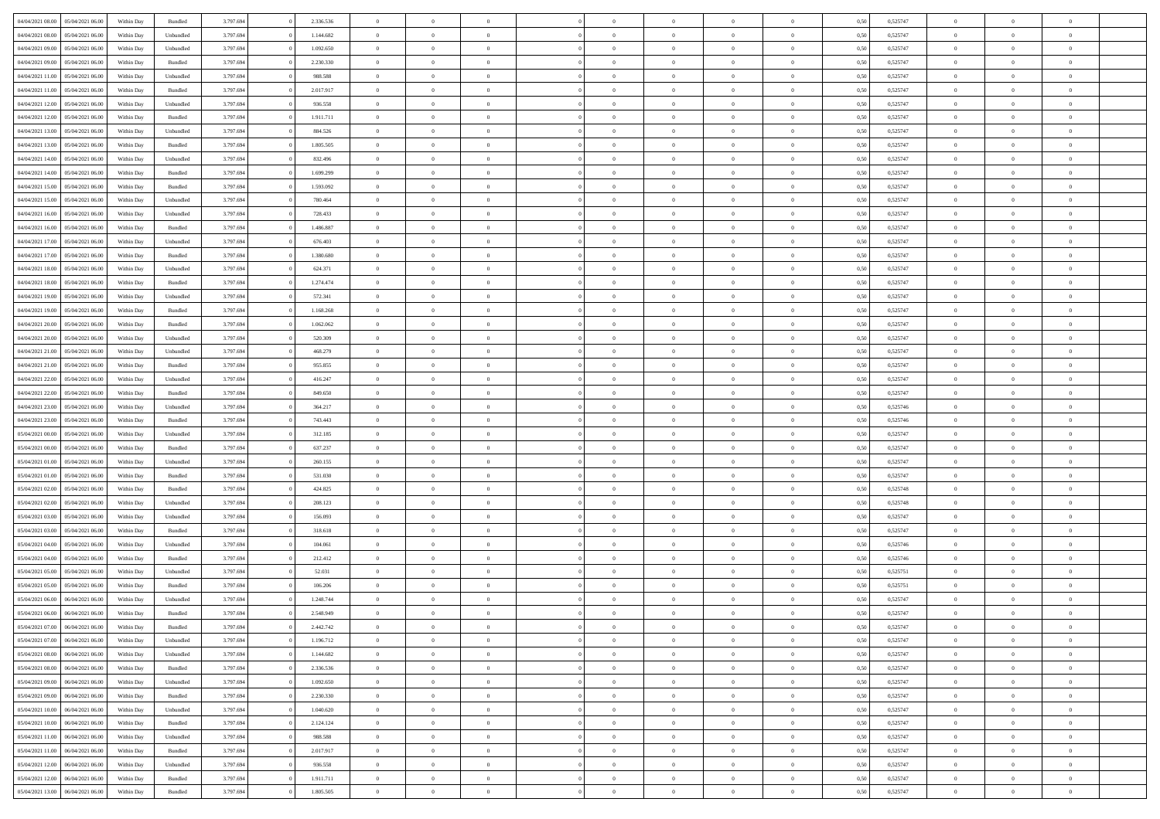|                                   |                  |            |                    |           |           |                | $\Omega$       |                |                | $\Omega$       | $\theta$       | $\theta$       |      |          | $\theta$       |                | $\theta$       |  |
|-----------------------------------|------------------|------------|--------------------|-----------|-----------|----------------|----------------|----------------|----------------|----------------|----------------|----------------|------|----------|----------------|----------------|----------------|--|
| 04/04/2021 08:00                  | 05/04/2021 06:00 | Within Day | Bundled            | 3.797.694 | 2.336.536 | $\overline{0}$ |                |                | $\Omega$       |                |                |                | 0,50 | 0,525747 |                | $\theta$       |                |  |
| 04/04/2021 08:00                  | 05/04/2021 06:00 | Within Day | Unbundled          | 3.797.694 | 1.144.682 | $\overline{0}$ | $\theta$       | $\overline{0}$ | $\overline{0}$ | $\bf{0}$       | $\overline{0}$ | $\bf{0}$       | 0,50 | 0,525747 | $\theta$       | $\overline{0}$ | $\overline{0}$ |  |
| 04/04/2021 09:00                  | 05/04/2021 06:00 | Within Day | Unbundled          | 3.797.694 | 1.092.650 | $\overline{0}$ | $\bf{0}$       | $\overline{0}$ | $\bf{0}$       | $\bf{0}$       | $\bf{0}$       | $\mathbf{0}$   | 0,50 | 0,525747 | $\overline{0}$ | $\overline{0}$ | $\overline{0}$ |  |
| 04/04/2021 09:00                  | 05/04/2021 06:00 | Within Dav | Bundled            | 3.797.694 | 2.230.330 | $\overline{0}$ | $\overline{0}$ | $\overline{0}$ | $\overline{0}$ | $\bf{0}$       | $\overline{0}$ | $\overline{0}$ | 0.50 | 0,525747 | $\theta$       | $\theta$       | $\overline{0}$ |  |
| 04/04/2021 11:00                  | 05/04/2021 06:00 | Within Day | Unbundled          | 3.797.694 | 988.588   | $\overline{0}$ | $\theta$       | $\overline{0}$ | $\overline{0}$ | $\bf{0}$       | $\overline{0}$ | $\bf{0}$       | 0,50 | 0,525747 | $\theta$       | $\overline{0}$ | $\overline{0}$ |  |
|                                   |                  |            |                    |           |           |                |                |                |                |                |                |                |      |          |                |                |                |  |
| 04/04/2021 11:00                  | 05/04/2021 06:00 | Within Day | Bundled            | 3.797.694 | 2.017.917 | $\overline{0}$ | $\overline{0}$ | $\overline{0}$ | $\bf{0}$       | $\overline{0}$ | $\overline{0}$ | $\mathbf{0}$   | 0,50 | 0,525747 | $\overline{0}$ | $\overline{0}$ | $\bf{0}$       |  |
| 04/04/2021 12:00                  | 05/04/2021 06:00 | Within Dav | Unbundled          | 3.797.694 | 936.558   | $\overline{0}$ | $\overline{0}$ | $\overline{0}$ | $\overline{0}$ | $\overline{0}$ | $\overline{0}$ | $\overline{0}$ | 0.50 | 0,525747 | $\theta$       | $\overline{0}$ | $\overline{0}$ |  |
| 04/04/2021 12:00                  | 05/04/2021 06:00 | Within Day | Bundled            | 3.797.694 | 1.911.711 | $\overline{0}$ | $\theta$       | $\overline{0}$ | $\overline{0}$ | $\bf{0}$       | $\overline{0}$ | $\bf{0}$       | 0,50 | 0,525747 | $\theta$       | $\theta$       | $\overline{0}$ |  |
| 04/04/2021 13:00                  | 05/04/2021 06:00 | Within Day | Unbundled          | 3.797.694 | 884.526   | $\overline{0}$ | $\overline{0}$ | $\overline{0}$ | $\bf{0}$       | $\bf{0}$       | $\bf{0}$       | $\bf{0}$       | 0,50 | 0,525747 | $\,0\,$        | $\overline{0}$ | $\overline{0}$ |  |
| 04/04/2021 13:00                  | 05/04/2021 06:00 | Within Dav | Bundled            | 3.797.694 | 1.805.505 | $\overline{0}$ | $\overline{0}$ | $\overline{0}$ | $\overline{0}$ | $\overline{0}$ | $\overline{0}$ | $\overline{0}$ | 0.50 | 0,525747 | $\theta$       | $\overline{0}$ | $\overline{0}$ |  |
| 04/04/2021 14:00                  | 05/04/2021 06:00 | Within Day | Unbundled          | 3.797.694 | 832.496   | $\overline{0}$ | $\theta$       | $\overline{0}$ | $\overline{0}$ | $\bf{0}$       | $\overline{0}$ | $\bf{0}$       | 0,50 | 0,525747 | $\,$ 0 $\,$    | $\overline{0}$ | $\overline{0}$ |  |
| 04/04/2021 14:00                  | 05/04/2021 06:00 | Within Day | Bundled            | 3.797.694 | 1.699.299 | $\overline{0}$ | $\overline{0}$ | $\overline{0}$ | $\bf{0}$       | $\bf{0}$       | $\overline{0}$ | $\mathbf{0}$   | 0,50 | 0,525747 | $\bf{0}$       | $\overline{0}$ | $\bf{0}$       |  |
|                                   |                  |            |                    |           |           |                |                |                |                |                |                |                |      |          | $\theta$       |                |                |  |
| 04/04/2021 15:00                  | 05/04/2021 06:00 | Within Dav | Bundled            | 3.797.694 | 1.593.092 | $\overline{0}$ | $\overline{0}$ | $\overline{0}$ | $\overline{0}$ | $\bf{0}$       | $\overline{0}$ | $\overline{0}$ | 0.50 | 0,525747 |                | $\theta$       | $\overline{0}$ |  |
| 04/04/2021 15:00                  | 05/04/2021 06:00 | Within Day | Unbundled          | 3.797.694 | 780.464   | $\overline{0}$ | $\theta$       | $\overline{0}$ | $\overline{0}$ | $\bf{0}$       | $\overline{0}$ | $\bf{0}$       | 0,50 | 0,525747 | $\theta$       | $\overline{0}$ | $\overline{0}$ |  |
| 04/04/2021 16:00                  | 05/04/2021 06:00 | Within Day | Unbundled          | 3.797.694 | 728.433   | $\overline{0}$ | $\overline{0}$ | $\overline{0}$ | $\overline{0}$ | $\overline{0}$ | $\overline{0}$ | $\mathbf{0}$   | 0,50 | 0,525747 | $\bf{0}$       | $\overline{0}$ | $\bf{0}$       |  |
| 04/04/2021 16:00                  | 05/04/2021 06:00 | Within Dav | Bundled            | 3.797.694 | 1.486.887 | $\overline{0}$ | $\overline{0}$ | $\overline{0}$ | $\overline{0}$ | $\overline{0}$ | $\overline{0}$ | $\overline{0}$ | 0.50 | 0,525747 | $\theta$       | $\overline{0}$ | $\overline{0}$ |  |
| 04/04/2021 17.00                  | 05/04/2021 06:00 | Within Day | Unbundled          | 3.797.694 | 676.403   | $\overline{0}$ | $\theta$       | $\overline{0}$ | $\overline{0}$ | $\bf{0}$       | $\overline{0}$ | $\bf{0}$       | 0,50 | 0,525747 | $\,$ 0 $\,$    | $\theta$       | $\overline{0}$ |  |
| 04/04/2021 17.00                  | 05/04/2021 06:00 | Within Day | Bundled            | 3.797.694 | 1.380.680 | $\overline{0}$ | $\overline{0}$ | $\overline{0}$ | $\overline{0}$ | $\bf{0}$       | $\overline{0}$ | $\mathbf{0}$   | 0,50 | 0,525747 | $\bf{0}$       | $\overline{0}$ | $\overline{0}$ |  |
| 04/04/2021 18:00                  | 05/04/2021 06:00 | Within Dav | Unbundled          | 3.797.694 | 624.371   | $\overline{0}$ | $\overline{0}$ | $\overline{0}$ | $\overline{0}$ | $\overline{0}$ | $\overline{0}$ | $\overline{0}$ | 0.50 | 0,525747 | $\theta$       | $\overline{0}$ | $\overline{0}$ |  |
| 04/04/2021 18:00                  | 05/04/2021 06:00 | Within Day | Bundled            | 3.797.694 | 1.274.474 | $\overline{0}$ | $\theta$       | $\overline{0}$ | $\overline{0}$ | $\bf{0}$       | $\overline{0}$ | $\bf{0}$       | 0,50 | 0,525747 | $\,$ 0 $\,$    | $\overline{0}$ | $\overline{0}$ |  |
|                                   |                  |            |                    |           |           |                |                |                |                |                |                |                |      |          |                |                |                |  |
| 04/04/2021 19:00                  | 05/04/2021 06:00 | Within Day | Unbundled          | 3.797.694 | 572.341   | $\overline{0}$ | $\overline{0}$ | $\overline{0}$ | $\overline{0}$ | $\bf{0}$       | $\overline{0}$ | $\mathbf{0}$   | 0,50 | 0,525747 | $\bf{0}$       | $\overline{0}$ | $\bf{0}$       |  |
| 04/04/2021 19:00                  | 05/04/2021 06:00 | Within Day | Bundled            | 3.797.694 | 1.168.268 | $\overline{0}$ | $\overline{0}$ | $\overline{0}$ | $\overline{0}$ | $\bf{0}$       | $\overline{0}$ | $\overline{0}$ | 0.50 | 0,525747 | $\theta$       | $\overline{0}$ | $\overline{0}$ |  |
| 04/04/2021 20.00                  | 05/04/2021 06:00 | Within Day | Bundled            | 3.797.694 | 1.062.062 | $\overline{0}$ | $\theta$       | $\overline{0}$ | $\overline{0}$ | $\bf{0}$       | $\overline{0}$ | $\bf{0}$       | 0,50 | 0,525747 | $\,$ 0 $\,$    | $\overline{0}$ | $\overline{0}$ |  |
| 04/04/2021 20.00                  | 05/04/2021 06:00 | Within Day | Unbundled          | 3.797.694 | 520.309   | $\overline{0}$ | $\overline{0}$ | $\overline{0}$ | $\overline{0}$ | $\overline{0}$ | $\overline{0}$ | $\mathbf{0}$   | 0,50 | 0,525747 | $\bf{0}$       | $\overline{0}$ | $\bf{0}$       |  |
| 04/04/2021 21:00                  | 05/04/2021 06:00 | Within Dav | Unbundled          | 3.797.694 | 468.279   | $\overline{0}$ | $\overline{0}$ | $\overline{0}$ | $\overline{0}$ | $\overline{0}$ | $\overline{0}$ | $\overline{0}$ | 0.50 | 0,525747 | $\theta$       | $\overline{0}$ | $\overline{0}$ |  |
| 04/04/2021 21:00                  | 05/04/2021 06:00 | Within Day | Bundled            | 3.797.694 | 955.855   | $\overline{0}$ | $\theta$       | $\overline{0}$ | $\overline{0}$ | $\bf{0}$       | $\overline{0}$ | $\bf{0}$       | 0,50 | 0,525747 | $\theta$       | $\theta$       | $\overline{0}$ |  |
| 04/04/2021 22.00                  | 05/04/2021 06:00 | Within Day | Unbundled          | 3.797.694 | 416.247   | $\overline{0}$ | $\overline{0}$ | $\overline{0}$ | $\overline{0}$ | $\bf{0}$       | $\overline{0}$ | $\bf{0}$       | 0,50 | 0,525747 | $\,0\,$        | $\overline{0}$ | $\overline{0}$ |  |
|                                   | 05/04/2021 06:00 |            | Bundled            | 3.797.694 | 849.650   | $\overline{0}$ | $\overline{0}$ | $\overline{0}$ | $\overline{0}$ | $\overline{0}$ | $\overline{0}$ | $\overline{0}$ | 0.50 | 0,525747 | $\theta$       | $\overline{0}$ | $\overline{0}$ |  |
| 04/04/2021 22.00                  |                  | Within Day |                    |           |           |                |                |                |                |                |                |                |      |          |                |                |                |  |
| 04/04/2021 23:00                  | 05/04/2021 06:00 | Within Day | Unbundled          | 3.797.694 | 364.217   | $\overline{0}$ | $\theta$       | $\overline{0}$ | $\overline{0}$ | $\bf{0}$       | $\overline{0}$ | $\bf{0}$       | 0,50 | 0,525746 | $\,$ 0 $\,$    | $\overline{0}$ | $\overline{0}$ |  |
| 04/04/2021 23.00                  | 05/04/2021 06:00 | Within Day | Bundled            | 3.797.694 | 743.443   | $\overline{0}$ | $\bf{0}$       | $\overline{0}$ | $\overline{0}$ | $\bf{0}$       | $\overline{0}$ | $\bf{0}$       | 0,50 | 0,525746 | $\bf{0}$       | $\overline{0}$ | $\bf{0}$       |  |
| 05/04/2021 00:00                  | 05/04/2021 06:00 | Within Day | Unbundled          | 3.797.694 | 312.185   | $\bf{0}$       | $\Omega$       | $\overline{0}$ | $\Omega$       | $\Omega$       | $\overline{0}$ | $\overline{0}$ | 0,50 | 0,525747 | $\,0\,$        | $\theta$       | $\theta$       |  |
| 05/04/2021 00:00                  | 05/04/2021 06:00 | Within Day | Bundled            | 3.797.694 | 637.237   | $\overline{0}$ | $\theta$       | $\overline{0}$ | $\overline{0}$ | $\bf{0}$       | $\overline{0}$ | $\bf{0}$       | 0,50 | 0,525747 | $\,$ 0 $\,$    | $\overline{0}$ | $\overline{0}$ |  |
| 05/04/2021 01:00                  | 05/04/2021 06:00 | Within Day | Unbundled          | 3.797.694 | 260.155   | $\overline{0}$ | $\overline{0}$ | $\overline{0}$ | $\bf{0}$       | $\overline{0}$ | $\overline{0}$ | $\mathbf{0}$   | 0,50 | 0,525747 | $\bf{0}$       | $\overline{0}$ | $\bf{0}$       |  |
| 05/04/2021 01:00                  | 05/04/2021 06:00 | Within Day | Bundled            | 3.797.694 | 531.030   | $\overline{0}$ | $\Omega$       | $\Omega$       | $\Omega$       | $\bf{0}$       | $\overline{0}$ | $\overline{0}$ | 0.50 | 0,525747 | $\,0\,$        | $\theta$       | $\theta$       |  |
| 05/04/2021 02:00                  | 05/04/2021 06:00 | Within Day | Bundled            | 3.797.694 | 424.825   | $\overline{0}$ | $\theta$       | $\overline{0}$ | $\overline{0}$ | $\bf{0}$       | $\overline{0}$ | $\bf{0}$       | 0,50 | 0,525748 | $\,$ 0 $\,$    | $\overline{0}$ | $\overline{0}$ |  |
|                                   |                  |            |                    |           |           |                | $\overline{0}$ |                |                | $\bf{0}$       |                |                |      |          | $\bf{0}$       | $\overline{0}$ | $\bf{0}$       |  |
| 05/04/2021 02:00                  | 05/04/2021 06:00 | Within Day | Unbundled          | 3.797.694 | 208.123   | $\overline{0}$ |                | $\overline{0}$ | $\bf{0}$       |                | $\bf{0}$       | $\bf{0}$       | 0,50 | 0,525748 |                |                |                |  |
| 05/04/2021 03:00                  | 05/04/2021 06:00 | Within Day | Unbundled          | 3.797.694 | 156,093   | $\overline{0}$ | $\Omega$       | $\overline{0}$ | $\Omega$       | $\theta$       | $\overline{0}$ | $\overline{0}$ | 0.50 | 0,525747 | $\,$ 0 $\,$    | $\theta$       | $\theta$       |  |
| 05/04/2021 03:00                  | 05/04/2021 06:00 | Within Day | Bundled            | 3.797.694 | 318.618   | $\overline{0}$ | $\overline{0}$ | $\overline{0}$ | $\overline{0}$ | $\bf{0}$       | $\overline{0}$ | $\bf{0}$       | 0,50 | 0,525747 | $\,$ 0 $\,$    | $\overline{0}$ | $\overline{0}$ |  |
| 05/04/2021 04:00                  | 05/04/2021 06:00 | Within Day | Unbundled          | 3.797.694 | 104.061   | $\overline{0}$ | $\overline{0}$ | $\overline{0}$ | $\bf{0}$       | $\bf{0}$       | $\bf{0}$       | $\mathbf{0}$   | 0,50 | 0,525746 | $\bf{0}$       | $\overline{0}$ | $\bf{0}$       |  |
| 05/04/2021 04:00                  | 05/04/2021 06:00 | Within Day | Bundled            | 3.797.694 | 212.412   | $\overline{0}$ | $\Omega$       | $\overline{0}$ | $\Omega$       | $\overline{0}$ | $\overline{0}$ | $\overline{0}$ | 0,50 | 0,525746 | $\,0\,$        | $\theta$       | $\theta$       |  |
| 05/04/2021 05:00                  | 05/04/2021 06:00 | Within Day | Unbundled          | 3.797.694 | 52.031    | $\overline{0}$ | $\overline{0}$ | $\overline{0}$ | $\overline{0}$ | $\bf{0}$       | $\overline{0}$ | $\bf{0}$       | 0,50 | 0,525751 | $\,$ 0 $\,$    | $\overline{0}$ | $\overline{0}$ |  |
| 05/04/2021 05:00                  | 05/04/2021 06:00 | Within Day | Bundled            | 3.797.694 | 106.206   | $\overline{0}$ | $\overline{0}$ | $\overline{0}$ | $\bf{0}$       | $\bf{0}$       | $\bf{0}$       | $\mathbf{0}$   | 0,50 | 0,525751 | $\bf{0}$       | $\overline{0}$ | $\bf{0}$       |  |
| 05/04/2021 06:00                  | 06/04/2021 06:00 | Within Day | Unbundled          | 3.797.694 | 1.248.744 | $\overline{0}$ | $\Omega$       | $\Omega$       | $\Omega$       | $\Omega$       | $\Omega$       | $\overline{0}$ | 0.50 | 0,525747 | $\theta$       | $\theta$       | $\theta$       |  |
| 05/04/2021 06:00                  | 06/04/2021 06:00 | Within Day | Bundled            | 3.797.694 | 2.548.949 | $\overline{0}$ | $\overline{0}$ | $\overline{0}$ | $\bf{0}$       | $\,$ 0         | $\bf{0}$       | $\bf{0}$       | 0,50 | 0,525747 | $\,0\,$        | $\,$ 0 $\,$    | $\overline{0}$ |  |
| 05/04/2021 07:00 06/04/2021 06:00 |                  |            |                    |           |           |                |                |                |                |                |                |                |      |          |                |                |                |  |
|                                   |                  | Within Day | $\mathbf B$ undled | 3.797.694 | 2.442.742 | $\overline{0}$ | $\bf{0}$       |                |                |                |                |                | 0,50 | 0,525747 | $\bf{0}$       | $\overline{0}$ |                |  |
| 05/04/2021 07:00                  | 06/04/2021 06:00 | Within Day | Unbundled          | 3.797.694 | 1.196.712 | $\overline{0}$ | $\overline{0}$ | $\overline{0}$ | $\Omega$       | $\overline{0}$ | $\overline{0}$ | $\overline{0}$ | 0,50 | 0,525747 | $\theta$       | $\theta$       | $\Omega$       |  |
| 05/04/2021 08:00                  | 06/04/2021 06:00 | Within Day | Unbundled          | 3.797.694 | 1.144.682 | $\overline{0}$ | $\,$ 0         | $\overline{0}$ | $\bf{0}$       | $\,$ 0 $\,$    | $\overline{0}$ | $\mathbf{0}$   | 0,50 | 0,525747 | $\,$ 0 $\,$    | $\,$ 0 $\,$    | $\,$ 0         |  |
| 05/04/2021 08:00                  | 06/04/2021 06:00 | Within Day | Bundled            | 3.797.694 | 2.336.536 | $\overline{0}$ | $\overline{0}$ | $\overline{0}$ | $\overline{0}$ | $\overline{0}$ | $\overline{0}$ | $\mathbf{0}$   | 0,50 | 0,525747 | $\overline{0}$ | $\bf{0}$       | $\bf{0}$       |  |
| 05/04/2021 09:00                  | 06/04/2021 06:00 | Within Day | Unbundled          | 3.797.694 | 1.092.650 | $\overline{0}$ | $\overline{0}$ | $\overline{0}$ | $\Omega$       | $\overline{0}$ | $\overline{0}$ | $\overline{0}$ | 0,50 | 0,525747 | $\overline{0}$ | $\theta$       | $\overline{0}$ |  |
| 05/04/2021 09:00                  | 06/04/2021 06:00 | Within Day | Bundled            | 3.797.694 | 2.230.330 | $\overline{0}$ | $\,$ 0         | $\overline{0}$ | $\overline{0}$ | $\,$ 0 $\,$    | $\overline{0}$ | $\mathbf{0}$   | 0,50 | 0,525747 | $\,$ 0 $\,$    | $\overline{0}$ | $\overline{0}$ |  |
| 05/04/2021 10:00                  | 06/04/2021 06:00 | Within Day | Unbundled          | 3.797.694 | 1.040.620 | $\overline{0}$ | $\overline{0}$ | $\overline{0}$ | $\overline{0}$ | $\overline{0}$ | $\overline{0}$ | $\mathbf{0}$   | 0,50 | 0,525747 | $\overline{0}$ | $\overline{0}$ | $\bf{0}$       |  |
| 05/04/2021 10:00                  | 06/04/2021 06:00 | Within Day | Bundled            | 3.797.694 | 2.124.124 | $\overline{0}$ | $\overline{0}$ | $\overline{0}$ | $\Omega$       | $\overline{0}$ | $\overline{0}$ | $\bf{0}$       | 0.50 | 0,525747 | $\overline{0}$ | $\theta$       | $\overline{0}$ |  |
| 05/04/2021 11:00                  | 06/04/2021 06:00 | Within Day | Unbundled          | 3.797.694 | 988.588   | $\overline{0}$ | $\,$ 0         | $\overline{0}$ | $\bf{0}$       | $\bf{0}$       | $\bf{0}$       | $\bf{0}$       | 0,50 | 0,525747 | $\,$ 0 $\,$    | $\overline{0}$ | $\overline{0}$ |  |
|                                   |                  |            |                    |           |           |                |                |                |                |                |                |                |      |          |                |                |                |  |
| 05/04/2021 11:00                  | 06/04/2021 06:00 | Within Day | Bundled            | 3.797.694 | 2.017.917 | $\overline{0}$ | $\bf{0}$       | $\overline{0}$ | $\overline{0}$ | $\overline{0}$ | $\overline{0}$ | $\mathbf{0}$   | 0,50 | 0,525747 | $\overline{0}$ | $\overline{0}$ | $\bf{0}$       |  |
| 05/04/2021 12:00                  | 06/04/2021 06:00 | Within Day | Unbundled          | 3.797.694 | 936.558   | $\overline{0}$ | $\overline{0}$ | $\overline{0}$ | $\Omega$       | $\overline{0}$ | $\overline{0}$ | $\bf{0}$       | 0.50 | 0,525747 | $\overline{0}$ | $\theta$       | $\overline{0}$ |  |
| 05/04/2021 12:00                  | 06/04/2021 06:00 | Within Day | Bundled            | 3.797.694 | 1.911.711 | $\overline{0}$ | $\bf{0}$       | $\overline{0}$ | $\overline{0}$ | $\bf{0}$       | $\bf{0}$       | $\mathbf{0}$   | 0,50 | 0,525747 | $\,$ 0 $\,$    | $\,$ 0 $\,$    | $\bf{0}$       |  |
| 05/04/2021 13:00                  | 06/04/2021 06:00 | Within Day | Bundled            | 3.797.694 | 1.805.505 | $\overline{0}$ | $\overline{0}$ | $\overline{0}$ | $\overline{0}$ | $\bf{0}$       | $\bf{0}$       | $\mathbf{0}$   | 0,50 | 0,525747 | $\overline{0}$ | $\bf{0}$       | $\bf{0}$       |  |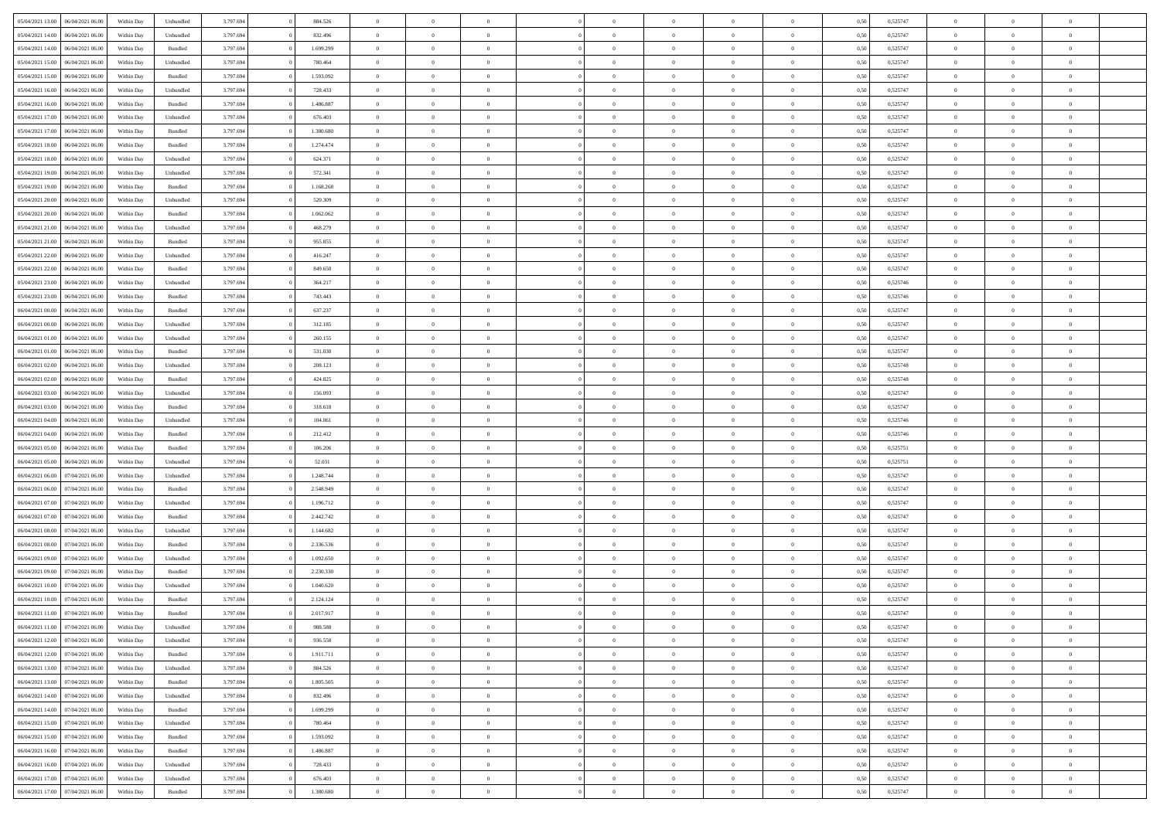| 05/04/2021 13:00                  | 06/04/2021 06:00 | Within Day | Unbundled          | 3.797.694 | 884.526   | $\overline{0}$ | $\theta$       |                | $\Omega$       | $\Omega$       | $\theta$       | $\theta$       | 0,50 | 0,525747 | $\theta$       | $\overline{0}$ | $\theta$       |  |
|-----------------------------------|------------------|------------|--------------------|-----------|-----------|----------------|----------------|----------------|----------------|----------------|----------------|----------------|------|----------|----------------|----------------|----------------|--|
|                                   |                  |            |                    |           |           |                |                |                |                |                |                |                |      |          |                |                |                |  |
| 05/04/2021 14:00                  | 06/04/2021 06:00 | Within Day | Unbundled          | 3.797.694 | 832.496   | $\overline{0}$ | $\theta$       | $\overline{0}$ | $\overline{0}$ | $\bf{0}$       | $\overline{0}$ | $\bf{0}$       | 0,50 | 0,525747 | $\theta$       | $\overline{0}$ | $\overline{0}$ |  |
| 05/04/2021 14:00                  | 06/04/2021 06:00 | Within Day | Bundled            | 3.797.694 | 1.699.299 | $\overline{0}$ | $\bf{0}$       | $\overline{0}$ | $\bf{0}$       | $\bf{0}$       | $\bf{0}$       | $\mathbf{0}$   | 0,50 | 0,525747 | $\bf{0}$       | $\overline{0}$ | $\overline{0}$ |  |
| 05/04/2021 15:00                  | 06/04/2021 06:00 | Within Dav | Unbundled          | 3.797.694 | 780.464   | $\overline{0}$ | $\overline{0}$ | $\overline{0}$ | $\overline{0}$ | $\bf{0}$       | $\overline{0}$ | $\overline{0}$ | 0.50 | 0,525747 | $\theta$       | $\theta$       | $\overline{0}$ |  |
|                                   |                  |            |                    |           |           | $\overline{0}$ | $\theta$       | $\overline{0}$ | $\overline{0}$ | $\bf{0}$       | $\overline{0}$ |                |      |          | $\theta$       | $\overline{0}$ | $\overline{0}$ |  |
| 05/04/2021 15:00                  | 06/04/2021 06:00 | Within Day | Bundled            | 3.797.694 | 1.593.092 |                |                |                |                |                |                | $\bf{0}$       | 0,50 | 0,525747 |                |                |                |  |
| 05/04/2021 16:00                  | 06/04/2021 06:00 | Within Day | Unbundled          | 3.797.694 | 728.433   | $\overline{0}$ | $\overline{0}$ | $\overline{0}$ | $\bf{0}$       | $\overline{0}$ | $\overline{0}$ | $\mathbf{0}$   | 0,50 | 0,525747 | $\bf{0}$       | $\overline{0}$ | $\bf{0}$       |  |
| 05/04/2021 16:00                  | 06/04/2021 06:00 | Within Dav | Bundled            | 3.797.694 | 1.486.887 | $\overline{0}$ | $\overline{0}$ | $\overline{0}$ | $\overline{0}$ | $\overline{0}$ | $\overline{0}$ | $\overline{0}$ | 0.50 | 0,525747 | $\theta$       | $\overline{0}$ | $\overline{0}$ |  |
| 05/04/2021 17:00                  | 06/04/2021 06:00 | Within Day | Unbundled          | 3.797.694 | 676.403   | $\overline{0}$ | $\theta$       | $\overline{0}$ | $\overline{0}$ | $\bf{0}$       | $\overline{0}$ | $\bf{0}$       | 0,50 | 0,525747 | $\theta$       | $\theta$       | $\overline{0}$ |  |
| 05/04/2021 17.00                  | 06/04/2021 06:00 | Within Day | Bundled            | 3.797.694 | 1.380.680 | $\overline{0}$ | $\overline{0}$ | $\overline{0}$ | $\bf{0}$       | $\bf{0}$       | $\bf{0}$       | $\bf{0}$       | 0,50 | 0,525747 | $\,0\,$        | $\overline{0}$ | $\overline{0}$ |  |
|                                   |                  |            |                    |           |           |                | $\overline{0}$ |                |                | $\overline{0}$ |                |                |      |          | $\theta$       | $\overline{0}$ | $\overline{0}$ |  |
| 05/04/2021 18:00                  | 06/04/2021 06:00 | Within Dav | Bundled            | 3.797.694 | 1.274.474 | $\overline{0}$ |                | $\overline{0}$ | $\overline{0}$ |                | $\overline{0}$ | $\overline{0}$ | 0.50 | 0,525747 |                |                |                |  |
| 05/04/2021 18:00                  | 06/04/2021 06:00 | Within Day | Unbundled          | 3.797.694 | 624.371   | $\overline{0}$ | $\theta$       | $\overline{0}$ | $\overline{0}$ | $\bf{0}$       | $\overline{0}$ | $\bf{0}$       | 0,50 | 0,525747 | $\,$ 0 $\,$    | $\overline{0}$ | $\overline{0}$ |  |
| 05/04/2021 19:00                  | 06/04/2021 06:00 | Within Day | Unbundled          | 3.797.694 | 572.341   | $\overline{0}$ | $\bf{0}$       | $\overline{0}$ | $\bf{0}$       | $\bf{0}$       | $\bf{0}$       | $\mathbf{0}$   | 0,50 | 0,525747 | $\bf{0}$       | $\overline{0}$ | $\bf{0}$       |  |
| 05/04/2021 19:00                  | 06/04/2021 06:00 | Within Day | Bundled            | 3.797.694 | 1.168.268 | $\overline{0}$ | $\overline{0}$ | $\overline{0}$ | $\overline{0}$ | $\bf{0}$       | $\overline{0}$ | $\overline{0}$ | 0.50 | 0,525747 | $\theta$       | $\theta$       | $\overline{0}$ |  |
| 05/04/2021 20.00                  | 06/04/2021 06:00 | Within Day | Unbundled          | 3.797.694 | 520.309   | $\overline{0}$ | $\theta$       | $\overline{0}$ | $\overline{0}$ | $\bf{0}$       | $\overline{0}$ | $\bf{0}$       | 0,50 | 0,525747 | $\theta$       | $\overline{0}$ | $\overline{0}$ |  |
|                                   |                  |            |                    |           |           |                |                |                |                |                |                |                |      |          |                |                |                |  |
| 05/04/2021 20:00                  | 06/04/2021 06:00 | Within Day | Bundled            | 3.797.694 | 1.062.062 | $\overline{0}$ | $\overline{0}$ | $\overline{0}$ | $\bf{0}$       | $\overline{0}$ | $\overline{0}$ | $\mathbf{0}$   | 0,50 | 0,525747 | $\bf{0}$       | $\overline{0}$ | $\bf{0}$       |  |
| 05/04/2021 21:00                  | 06/04/2021 06:00 | Within Dav | Unbundled          | 3.797.694 | 468.279   | $\overline{0}$ | $\overline{0}$ | $\overline{0}$ | $\overline{0}$ | $\overline{0}$ | $\overline{0}$ | $\overline{0}$ | 0.50 | 0,525747 | $\theta$       | $\overline{0}$ | $\overline{0}$ |  |
| 05/04/2021 21:00                  | 06/04/2021 06:00 | Within Day | Bundled            | 3.797.694 | 955.855   | $\overline{0}$ | $\theta$       | $\overline{0}$ | $\overline{0}$ | $\bf{0}$       | $\overline{0}$ | $\bf{0}$       | 0,50 | 0,525747 | $\theta$       | $\theta$       | $\overline{0}$ |  |
| 05/04/2021 22.00                  | 06/04/2021 06:00 | Within Day | Unbundled          | 3.797.694 | 416.247   | $\overline{0}$ | $\overline{0}$ | $\overline{0}$ | $\bf{0}$       | $\bf{0}$       | $\bf{0}$       | $\mathbf{0}$   | 0,50 | 0,525747 | $\,0\,$        | $\overline{0}$ | $\overline{0}$ |  |
| 05/04/2021 22:00                  | 06/04/2021 06:00 | Within Dav | Bundled            | 3.797.694 | 849.650   | $\overline{0}$ | $\overline{0}$ | $\overline{0}$ | $\overline{0}$ | $\overline{0}$ | $\overline{0}$ | $\overline{0}$ | 0.50 | 0,525747 | $\theta$       | $\overline{0}$ | $\overline{0}$ |  |
| 05/04/2021 23:00                  | 06/04/2021 06:00 | Within Day | Unbundled          | 3.797.694 | 364.217   | $\overline{0}$ | $\theta$       | $\overline{0}$ | $\overline{0}$ | $\bf{0}$       | $\overline{0}$ | $\bf{0}$       | 0,50 | 0,525746 | $\,$ 0 $\,$    | $\overline{0}$ | $\overline{0}$ |  |
|                                   |                  |            |                    |           |           |                |                |                |                |                |                |                |      |          |                |                |                |  |
| 05/04/2021 23.00                  | 06/04/2021 06:00 | Within Day | Bundled            | 3.797.694 | 743.443   | $\overline{0}$ | $\overline{0}$ | $\overline{0}$ | $\bf{0}$       | $\bf{0}$       | $\bf{0}$       | $\bf{0}$       | 0,50 | 0,525746 | $\bf{0}$       | $\overline{0}$ | $\bf{0}$       |  |
| 06/04/2021 00:00                  | 06/04/2021 06:00 | Within Day | Bundled            | 3.797.694 | 637.237   | $\overline{0}$ | $\overline{0}$ | $\overline{0}$ | $\overline{0}$ | $\bf{0}$       | $\overline{0}$ | $\overline{0}$ | 0.50 | 0,525747 | $\theta$       | $\overline{0}$ | $\overline{0}$ |  |
| 06/04/2021 00:00                  | 06/04/2021 06:00 | Within Day | Unbundled          | 3.797.694 | 312.185   | $\overline{0}$ | $\theta$       | $\overline{0}$ | $\overline{0}$ | $\bf{0}$       | $\overline{0}$ | $\bf{0}$       | 0,50 | 0,525747 | $\,$ 0 $\,$    | $\overline{0}$ | $\overline{0}$ |  |
| 06/04/2021 01:00                  | 06/04/2021 06:00 | Within Day | Unbundled          | 3.797.694 | 260.155   | $\overline{0}$ | $\overline{0}$ | $\overline{0}$ | $\bf{0}$       | $\overline{0}$ | $\overline{0}$ | $\mathbf{0}$   | 0,50 | 0,525747 | $\overline{0}$ | $\overline{0}$ | $\bf{0}$       |  |
| 06/04/2021 01:00                  | 06/04/2021 06:00 | Within Dav | Bundled            | 3.797.694 | 531.030   | $\overline{0}$ | $\overline{0}$ | $\overline{0}$ | $\overline{0}$ | $\overline{0}$ | $\overline{0}$ | $\overline{0}$ | 0.50 | 0,525747 | $\theta$       | $\overline{0}$ | $\overline{0}$ |  |
| 06/04/2021 02:00                  | 06/04/2021 06:00 | Within Day | Unbundled          | 3.797.694 | 208.123   | $\overline{0}$ | $\theta$       | $\overline{0}$ | $\overline{0}$ | $\bf{0}$       | $\overline{0}$ | $\bf{0}$       | 0,50 | 0,525748 | $\theta$       | $\theta$       | $\overline{0}$ |  |
| 06/04/2021 02:00                  | 06/04/2021 06:00 | Within Day | Bundled            | 3.797.694 | 424.825   | $\overline{0}$ | $\overline{0}$ | $\overline{0}$ | $\bf{0}$       | $\bf{0}$       | $\bf{0}$       | $\bf{0}$       | 0,50 | 0,525748 | $\,0\,$        | $\overline{0}$ | $\overline{0}$ |  |
| 06/04/2021 03:00                  | 06/04/2021 06:00 |            | Unbundled          | 3.797.694 | 156.093   | $\overline{0}$ | $\overline{0}$ | $\overline{0}$ | $\overline{0}$ | $\overline{0}$ | $\overline{0}$ | $\overline{0}$ | 0.50 | 0,525747 | $\theta$       | $\overline{0}$ | $\overline{0}$ |  |
|                                   |                  | Within Day |                    |           |           |                |                |                |                |                |                |                |      |          |                |                |                |  |
| 06/04/2021 03:00                  | 06/04/2021 06:00 | Within Day | Bundled            | 3.797.694 | 318.618   | $\overline{0}$ | $\theta$       | $\overline{0}$ | $\overline{0}$ | $\bf{0}$       | $\overline{0}$ | $\bf{0}$       | 0,50 | 0,525747 | $\,$ 0 $\,$    | $\overline{0}$ | $\overline{0}$ |  |
| 06/04/2021 04:00                  | 06/04/2021 06:00 | Within Day | Unbundled          | 3.797.694 | 104.061   | $\overline{0}$ | $\overline{0}$ | $\overline{0}$ | $\bf{0}$       | $\bf{0}$       | $\bf{0}$       | $\bf{0}$       | 0,50 | 0,525746 | $\overline{0}$ | $\overline{0}$ | $\bf{0}$       |  |
| 06/04/2021 04:00                  | 06/04/2021 06:00 | Within Day | Bundled            | 3.797.694 | 212.412   | $\overline{0}$ | $\Omega$       | $\overline{0}$ | $\Omega$       | $\Omega$       | $\overline{0}$ | $\overline{0}$ | 0,50 | 0,525746 | $\,0\,$        | $\theta$       | $\theta$       |  |
| 06/04/2021 05:00                  | 06/04/2021 06:00 | Within Day | Bundled            | 3.797.694 | 106.206   | $\overline{0}$ | $\theta$       | $\overline{0}$ | $\overline{0}$ | $\bf{0}$       | $\overline{0}$ | $\bf{0}$       | 0,50 | 0,525751 | $\,$ 0 $\,$    | $\overline{0}$ | $\overline{0}$ |  |
| 06/04/2021 05:00                  | 06/04/2021 06:00 | Within Day | Unbundled          | 3.797.694 | 52.031    | $\overline{0}$ | $\overline{0}$ | $\overline{0}$ | $\bf{0}$       | $\overline{0}$ | $\overline{0}$ | $\mathbf{0}$   | 0,50 | 0,525751 | $\overline{0}$ | $\overline{0}$ | $\bf{0}$       |  |
| 06/04/2021 06:00                  | 07/04/2021 06:00 | Within Day | Unbundled          | 3.797.694 | 1.248.744 | $\overline{0}$ | $\Omega$       | $\Omega$       | $\Omega$       | $\bf{0}$       | $\overline{0}$ | $\overline{0}$ | 0.50 | 0,525747 | $\,0\,$        | $\theta$       | $\theta$       |  |
| 06/04/2021 06:00                  | 07/04/2021 06:00 | Within Day | Bundled            | 3.797.694 | 2.548.949 | $\overline{0}$ | $\theta$       | $\overline{0}$ | $\overline{0}$ | $\bf{0}$       | $\overline{0}$ | $\bf{0}$       | 0,50 | 0,525747 | $\,$ 0 $\,$    | $\overline{0}$ | $\overline{0}$ |  |
|                                   |                  |            |                    |           |           |                |                |                |                |                |                |                |      |          |                |                |                |  |
| 06/04/2021 07:00                  | 07/04/2021 06.00 | Within Day | Unbundled          | 3.797.694 | 1.196.712 | $\overline{0}$ | $\overline{0}$ | $\overline{0}$ | $\overline{0}$ | $\bf{0}$       | $\overline{0}$ | $\bf{0}$       | 0,50 | 0,525747 | $\bf{0}$       | $\overline{0}$ | $\bf{0}$       |  |
| 06/04/2021 07:00                  | 07/04/2021 06:00 | Within Day | Bundled            | 3.797.694 | 2.442.742 | $\overline{0}$ | $\Omega$       | $\overline{0}$ | $\Omega$       | $\theta$       | $\overline{0}$ | $\overline{0}$ | 0.50 | 0,525747 | $\,$ 0 $\,$    | $\theta$       | $\theta$       |  |
| 06/04/2021 08:00                  | 07/04/2021 06:00 | Within Day | Unbundled          | 3.797.694 | 1.144.682 | $\overline{0}$ | $\theta$       | $\overline{0}$ | $\overline{0}$ | $\bf{0}$       | $\overline{0}$ | $\bf{0}$       | 0,50 | 0,525747 | $\,$ 0 $\,$    | $\overline{0}$ | $\overline{0}$ |  |
| 06/04/2021 08:00                  | 07/04/2021 06.00 | Within Day | Bundled            | 3.797.694 | 2.336.536 | $\overline{0}$ | $\bf{0}$       | $\overline{0}$ | $\overline{0}$ | $\bf{0}$       | $\overline{0}$ | $\mathbf{0}$   | 0,50 | 0,525747 | $\overline{0}$ | $\overline{0}$ | $\bf{0}$       |  |
| 06/04/2021 09:00                  | 07/04/2021 06.00 | Within Day | Unbundled          | 3.797.694 | 1.092.650 | $\overline{0}$ | $\Omega$       | $\overline{0}$ | $\Omega$       | $\overline{0}$ | $\overline{0}$ | $\overline{0}$ | 0,50 | 0,525747 | $\,0\,$        | $\theta$       | $\theta$       |  |
| 06/04/2021 09:00                  | 07/04/2021 06:00 | Within Day | Bundled            | 3.797.694 | 2.230.330 | $\overline{0}$ | $\theta$       | $\overline{0}$ | $\overline{0}$ | $\bf{0}$       | $\overline{0}$ | $\bf{0}$       | 0,50 | 0,525747 | $\,$ 0 $\,$    | $\overline{0}$ | $\overline{0}$ |  |
|                                   |                  |            |                    |           |           |                |                |                |                |                |                |                |      |          |                |                |                |  |
| 06/04/2021 10:00                  | 07/04/2021 06.00 | Within Day | Unbundled          | 3.797.694 | 1.040.620 | $\overline{0}$ | $\overline{0}$ | $\overline{0}$ | $\overline{0}$ | $\bf{0}$       | $\overline{0}$ | $\mathbf{0}$   | 0,50 | 0,525747 | $\overline{0}$ | $\overline{0}$ | $\bf{0}$       |  |
| 06/04/2021 10:00                  | 07/04/2021 06:00 | Within Day | Bundled            | 3.797.694 | 2.124.124 | $\overline{0}$ | $\Omega$       | $\Omega$       | $\Omega$       | $\Omega$       | $\Omega$       | $\overline{0}$ | 0.50 | 0,525747 | $\theta$       | $\theta$       | $\theta$       |  |
| 06/04/2021 11:00                  | 07/04/2021 06:00 | Within Day | Bundled            | 3.797.694 | 2.017.917 | $\overline{0}$ | $\overline{0}$ | $\overline{0}$ | $\bf{0}$       | $\,$ 0         | $\overline{0}$ | $\bf{0}$       | 0,50 | 0,525747 | $\,0\,$        | $\,$ 0 $\,$    | $\overline{0}$ |  |
| 06/04/2021 11:00 07/04/2021 06:00 |                  | Within Day | Unbundled          | 3.797.694 | 988.588   | $\bf{0}$       | $\bf{0}$       |                |                |                |                |                | 0,50 | 0,525747 | $\bf{0}$       | $\overline{0}$ |                |  |
| 06/04/2021 12:00                  | 07/04/2021 06:00 | Within Day | Unbundled          | 3.797.694 | 936.558   | $\overline{0}$ | $\overline{0}$ | $\overline{0}$ | $\Omega$       | $\overline{0}$ | $\overline{0}$ | $\overline{0}$ | 0,50 | 0,525747 | $\theta$       | $\theta$       | $\theta$       |  |
| 06/04/2021 12:00                  | 07/04/2021 06:00 | Within Day | Bundled            | 3.797.694 | 1.911.711 | $\overline{0}$ | $\,$ 0         | $\overline{0}$ | $\overline{0}$ | $\,$ 0 $\,$    | $\overline{0}$ | $\,$ 0 $\,$    | 0,50 | 0,525747 | $\,$ 0 $\,$    | $\,$ 0 $\,$    | $\,$ 0         |  |
| 06/04/2021 13:00                  | 07/04/2021 06:00 | Within Day | Unbundled          | 3.797.694 | 884.526   | $\overline{0}$ | $\overline{0}$ | $\overline{0}$ | $\overline{0}$ | $\overline{0}$ | $\overline{0}$ | $\mathbf{0}$   | 0,50 | 0,525747 | $\overline{0}$ | $\bf{0}$       | $\overline{0}$ |  |
|                                   |                  |            |                    |           |           |                | $\overline{0}$ |                | $\Omega$       | $\overline{0}$ | $\overline{0}$ |                |      |          |                | $\theta$       | $\overline{0}$ |  |
| 06/04/2021 13:00                  | 07/04/2021 06:00 | Within Day | $\mathbf B$ undled | 3.797.694 | 1.805.505 | $\overline{0}$ |                | $\overline{0}$ |                |                |                | $\overline{0}$ | 0,50 | 0,525747 | $\overline{0}$ |                |                |  |
| 06/04/2021 14:00                  | 07/04/2021 06:00 | Within Day | Unbundled          | 3.797.694 | 832.496   | $\overline{0}$ | $\,$ 0         | $\overline{0}$ | $\overline{0}$ | $\,$ 0 $\,$    | $\overline{0}$ | $\mathbf{0}$   | 0,50 | 0,525747 | $\,$ 0 $\,$    | $\overline{0}$ | $\overline{0}$ |  |
| 06/04/2021 14:00                  | 07/04/2021 06:00 | Within Day | Bundled            | 3.797.694 | 1.699.299 | $\overline{0}$ | $\overline{0}$ | $\overline{0}$ | $\overline{0}$ | $\overline{0}$ | $\overline{0}$ | $\mathbf{0}$   | 0,50 | 0,525747 | $\overline{0}$ | $\overline{0}$ | $\overline{0}$ |  |
| 06/04/2021 15:00                  | 07/04/2021 06:00 | Within Day | Unbundled          | 3.797.694 | 780.464   | $\overline{0}$ | $\overline{0}$ | $\overline{0}$ | $\overline{0}$ | $\overline{0}$ | $\overline{0}$ | $\bf{0}$       | 0.50 | 0,525747 | $\overline{0}$ | $\theta$       | $\overline{0}$ |  |
| 06/04/2021 15:00                  | 07/04/2021 06:00 | Within Day | Bundled            | 3.797.694 | 1.593.092 | $\overline{0}$ | $\,$ 0         | $\overline{0}$ | $\overline{0}$ | $\bf{0}$       | $\overline{0}$ | $\bf{0}$       | 0,50 | 0,525747 | $\,$ 0 $\,$    | $\overline{0}$ | $\overline{0}$ |  |
| 06/04/2021 16:00                  | 07/04/2021 06:00 | Within Day | Bundled            | 3.797.694 | 1.486.887 | $\overline{0}$ | $\bf{0}$       | $\overline{0}$ | $\overline{0}$ | $\overline{0}$ | $\overline{0}$ | $\mathbf{0}$   | 0,50 | 0,525747 | $\overline{0}$ | $\overline{0}$ | $\bf{0}$       |  |
| 06/04/2021 16:00                  | 07/04/2021 06:00 | Within Day | Unbundled          | 3.797.694 | 728.433   | $\overline{0}$ | $\overline{0}$ | $\overline{0}$ | $\Omega$       | $\overline{0}$ | $\overline{0}$ | $\overline{0}$ | 0.50 | 0,525747 | $\overline{0}$ | $\overline{0}$ | $\overline{0}$ |  |
| 06/04/2021 17:00                  | 07/04/2021 06:00 |            |                    | 3.797.694 | 676.403   | $\overline{0}$ | $\bf{0}$       |                | $\bf{0}$       | $\bf{0}$       |                |                |      | 0,525747 | $\,$ 0 $\,$    | $\,$ 0 $\,$    | $\bf{0}$       |  |
|                                   |                  | Within Day | Unbundled          |           |           |                |                | $\overline{0}$ |                |                | $\overline{0}$ | $\mathbf{0}$   | 0,50 |          |                |                |                |  |
| 06/04/2021 17:00                  | 07/04/2021 06:00 | Within Day | Bundled            | 3.797.694 | 1.380.680 | $\overline{0}$ | $\overline{0}$ | $\overline{0}$ | $\overline{0}$ | $\overline{0}$ | $\overline{0}$ | $\mathbf{0}$   | 0,50 | 0,525747 | $\overline{0}$ | $\bf{0}$       | $\overline{0}$ |  |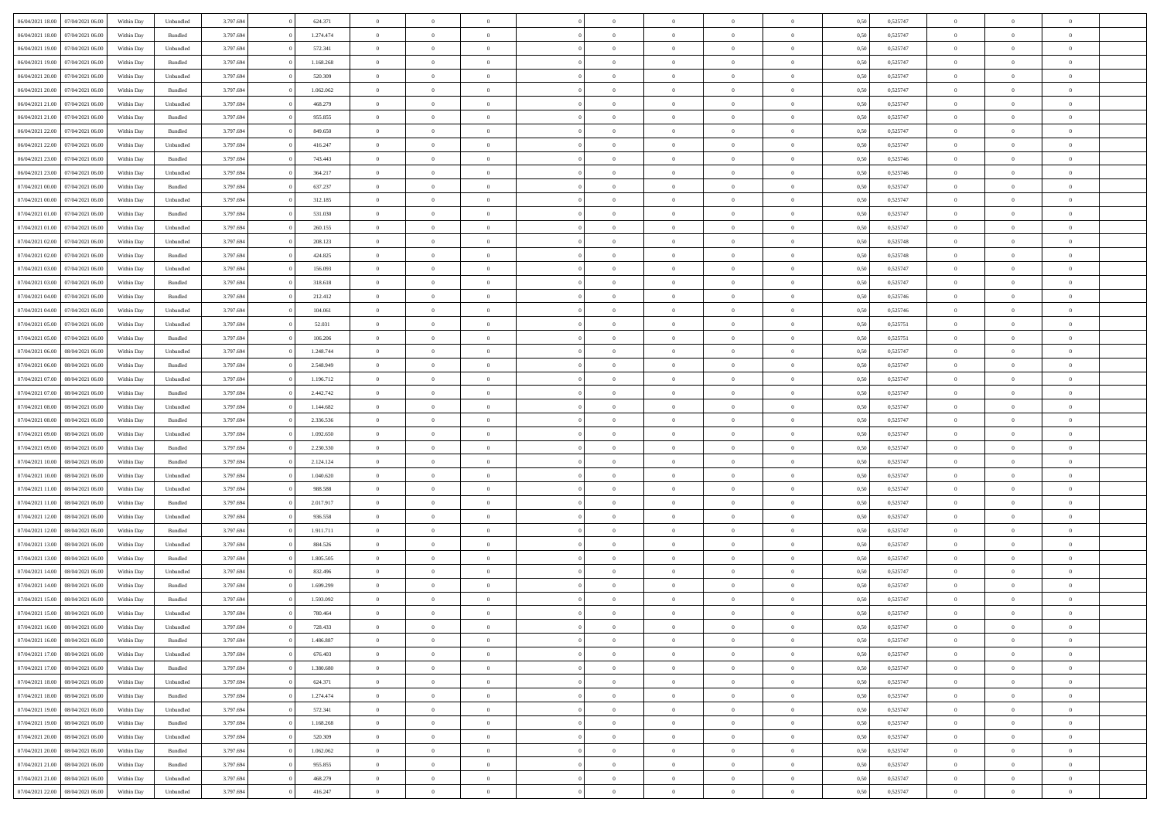| 06/04/2021 18:00                  | 07/04/2021 06:00 | Within Day | Unbundled | 3.797.694 | 624.371   | $\overline{0}$ | $\theta$       |                | $\Omega$       | $\Omega$       | $\theta$       | $\theta$       | 0,50 | 0,525747 | $\theta$       | $\overline{0}$ | $\theta$       |  |
|-----------------------------------|------------------|------------|-----------|-----------|-----------|----------------|----------------|----------------|----------------|----------------|----------------|----------------|------|----------|----------------|----------------|----------------|--|
| 06/04/2021 18:00                  | 07/04/2021 06:00 | Within Day | Bundled   | 3.797.694 | 1.274.474 | $\overline{0}$ | $\theta$       | $\overline{0}$ | $\overline{0}$ | $\bf{0}$       | $\overline{0}$ | $\bf{0}$       | 0,50 | 0,525747 | $\theta$       | $\overline{0}$ | $\overline{0}$ |  |
| 06/04/2021 19:00                  | 07/04/2021 06.00 | Within Day | Unbundled | 3.797.694 | 572.341   | $\overline{0}$ | $\bf{0}$       | $\overline{0}$ | $\overline{0}$ | $\bf{0}$       | $\overline{0}$ | $\mathbf{0}$   | 0,50 | 0,525747 | $\bf{0}$       | $\overline{0}$ | $\overline{0}$ |  |
|                                   |                  |            |           |           |           |                |                |                |                |                |                |                |      |          | $\theta$       |                |                |  |
| 06/04/2021 19:00                  | 07/04/2021 06:00 | Within Dav | Bundled   | 3.797.694 | 1.168.268 | $\overline{0}$ | $\overline{0}$ | $\overline{0}$ | $\overline{0}$ | $\bf{0}$       | $\overline{0}$ | $\overline{0}$ | 0.50 | 0,525747 |                | $\theta$       | $\overline{0}$ |  |
| 06/04/2021 20:00                  | 07/04/2021 06:00 | Within Day | Unbundled | 3.797.694 | 520.309   | $\overline{0}$ | $\theta$       | $\overline{0}$ | $\overline{0}$ | $\bf{0}$       | $\overline{0}$ | $\bf{0}$       | 0,50 | 0,525747 | $\theta$       | $\overline{0}$ | $\overline{0}$ |  |
| 06/04/2021 20:00                  | 07/04/2021 06.00 | Within Day | Bundled   | 3.797.694 | 1.062.062 | $\overline{0}$ | $\overline{0}$ | $\overline{0}$ | $\bf{0}$       | $\overline{0}$ | $\overline{0}$ | $\mathbf{0}$   | 0,50 | 0,525747 | $\overline{0}$ | $\overline{0}$ | $\bf{0}$       |  |
| 06/04/2021 21:00                  | 07/04/2021 06.00 | Within Dav | Unbundled | 3.797.694 | 468.279   | $\overline{0}$ | $\overline{0}$ | $\overline{0}$ | $\overline{0}$ | $\overline{0}$ | $\overline{0}$ | $\overline{0}$ | 0.50 | 0,525747 | $\theta$       | $\overline{0}$ | $\overline{0}$ |  |
|                                   |                  |            |           |           |           |                |                |                |                |                |                |                |      |          |                |                |                |  |
| 06/04/2021 21:00                  | 07/04/2021 06:00 | Within Day | Bundled   | 3.797.694 | 955.855   | $\overline{0}$ | $\theta$       | $\overline{0}$ | $\overline{0}$ | $\bf{0}$       | $\overline{0}$ | $\bf{0}$       | 0,50 | 0,525747 | $\theta$       | $\theta$       | $\overline{0}$ |  |
| 06/04/2021 22.00                  | 07/04/2021 06.00 | Within Day | Bundled   | 3.797.694 | 849.650   | $\overline{0}$ | $\overline{0}$ | $\overline{0}$ | $\bf{0}$       | $\bf{0}$       | $\bf{0}$       | $\bf{0}$       | 0,50 | 0,525747 | $\,0\,$        | $\overline{0}$ | $\overline{0}$ |  |
| 06/04/2021 22:00                  | 07/04/2021 06.00 | Within Dav | Unbundled | 3.797.694 | 416.247   | $\overline{0}$ | $\overline{0}$ | $\overline{0}$ | $\overline{0}$ | $\overline{0}$ | $\overline{0}$ | $\overline{0}$ | 0.50 | 0,525747 | $\theta$       | $\overline{0}$ | $\overline{0}$ |  |
|                                   |                  |            |           |           |           |                |                |                |                |                |                |                |      |          |                |                |                |  |
| 06/04/2021 23:00                  | 07/04/2021 06:00 | Within Day | Bundled   | 3.797.694 | 743.443   | $\overline{0}$ | $\theta$       | $\overline{0}$ | $\overline{0}$ | $\bf{0}$       | $\overline{0}$ | $\bf{0}$       | 0,50 | 0,525746 | $\,$ 0 $\,$    | $\overline{0}$ | $\overline{0}$ |  |
| 06/04/2021 23.00                  | 07/04/2021 06.00 | Within Day | Unbundled | 3.797.694 | 364.217   | $\overline{0}$ | $\bf{0}$       | $\overline{0}$ | $\bf{0}$       | $\bf{0}$       | $\bf{0}$       | $\mathbf{0}$   | 0,50 | 0,525746 | $\overline{0}$ | $\overline{0}$ | $\bf{0}$       |  |
| 07/04/2021 00:00                  | 07/04/2021 06:00 | Within Dav | Bundled   | 3.797.694 | 637.237   | $\overline{0}$ | $\overline{0}$ | $\overline{0}$ | $\overline{0}$ | $\bf{0}$       | $\overline{0}$ | $\overline{0}$ | 0.50 | 0,525747 | $\theta$       | $\theta$       | $\overline{0}$ |  |
| 07/04/2021 00:00                  | 07/04/2021 06.00 | Within Day | Unbundled | 3.797.694 | 312.185   | $\overline{0}$ | $\theta$       | $\overline{0}$ | $\overline{0}$ | $\bf{0}$       | $\overline{0}$ | $\bf{0}$       | 0,50 | 0,525747 | $\theta$       | $\overline{0}$ | $\overline{0}$ |  |
|                                   |                  |            |           |           |           |                |                |                |                |                |                |                |      |          |                |                |                |  |
| 07/04/2021 01:00                  | 07/04/2021 06.00 | Within Day | Bundled   | 3.797.694 | 531.030   | $\overline{0}$ | $\overline{0}$ | $\overline{0}$ | $\bf{0}$       | $\overline{0}$ | $\overline{0}$ | $\mathbf{0}$   | 0,50 | 0,525747 | $\overline{0}$ | $\overline{0}$ | $\bf{0}$       |  |
| 07/04/2021 01:00                  | 07/04/2021 06:00 | Within Dav | Unbundled | 3.797.694 | 260.155   | $\overline{0}$ | $\overline{0}$ | $\overline{0}$ | $\overline{0}$ | $\overline{0}$ | $\overline{0}$ | $\overline{0}$ | 0.50 | 0,525747 | $\theta$       | $\overline{0}$ | $\overline{0}$ |  |
| 07/04/2021 02:00                  | 07/04/2021 06:00 | Within Day | Unbundled | 3.797.694 | 208.123   | $\overline{0}$ | $\theta$       | $\overline{0}$ | $\overline{0}$ | $\bf{0}$       | $\overline{0}$ | $\bf{0}$       | 0,50 | 0,525748 | $\theta$       | $\theta$       | $\overline{0}$ |  |
| 07/04/2021 02:00                  | 07/04/2021 06.00 | Within Day | Bundled   | 3.797.694 | 424.825   | $\overline{0}$ | $\overline{0}$ | $\overline{0}$ | $\overline{0}$ | $\bf{0}$       | $\overline{0}$ | $\bf{0}$       | 0,50 | 0,525748 | $\,0\,$        | $\overline{0}$ | $\overline{0}$ |  |
|                                   |                  |            |           |           |           |                |                |                |                |                |                |                |      |          |                |                |                |  |
| 07/04/2021 03:00                  | 07/04/2021 06.00 | Within Dav | Unbundled | 3.797.694 | 156.093   | $\overline{0}$ | $\overline{0}$ | $\overline{0}$ | $\overline{0}$ | $\overline{0}$ | $\overline{0}$ | $\overline{0}$ | 0.50 | 0,525747 | $\theta$       | $\overline{0}$ | $\overline{0}$ |  |
| 07/04/2021 03:00                  | 07/04/2021 06:00 | Within Day | Bundled   | 3.797.694 | 318.618   | $\overline{0}$ | $\theta$       | $\overline{0}$ | $\overline{0}$ | $\bf{0}$       | $\overline{0}$ | $\bf{0}$       | 0,50 | 0,525747 | $\,$ 0 $\,$    | $\overline{0}$ | $\overline{0}$ |  |
| 07/04/2021 04:00                  | 07/04/2021 06.00 | Within Day | Bundled   | 3.797.694 | 212.412   | $\overline{0}$ | $\overline{0}$ | $\overline{0}$ | $\overline{0}$ | $\bf{0}$       | $\overline{0}$ | $\bf{0}$       | 0,50 | 0,525746 | $\bf{0}$       | $\overline{0}$ | $\bf{0}$       |  |
| 07/04/2021 04:00                  | 07/04/2021 06:00 | Within Day | Unbundled | 3.797.694 | 104,061   | $\overline{0}$ | $\overline{0}$ | $\overline{0}$ | $\overline{0}$ | $\bf{0}$       | $\overline{0}$ | $\overline{0}$ | 0.50 | 0,525746 | $\theta$       | $\overline{0}$ | $\overline{0}$ |  |
|                                   |                  |            |           |           |           |                |                |                |                |                |                |                |      |          |                |                |                |  |
| 07/04/2021 05:00                  | 07/04/2021 06:00 | Within Day | Unbundled | 3.797.694 | 52.031    | $\overline{0}$ | $\theta$       | $\overline{0}$ | $\overline{0}$ | $\bf{0}$       | $\overline{0}$ | $\bf{0}$       | 0,50 | 0,525751 | $\,$ 0 $\,$    | $\overline{0}$ | $\overline{0}$ |  |
| 07/04/2021 05:00                  | 07/04/2021 06.00 | Within Day | Bundled   | 3.797.694 | 106.206   | $\overline{0}$ | $\overline{0}$ | $\overline{0}$ | $\overline{0}$ | $\overline{0}$ | $\overline{0}$ | $\mathbf{0}$   | 0,50 | 0,525751 | $\bf{0}$       | $\overline{0}$ | $\bf{0}$       |  |
| 07/04/2021 06:00                  | 08/04/2021 06:00 | Within Dav | Unbundled | 3.797.694 | 1.248.744 | $\overline{0}$ | $\overline{0}$ | $\overline{0}$ | $\overline{0}$ | $\overline{0}$ | $\overline{0}$ | $\overline{0}$ | 0.50 | 0,525747 | $\theta$       | $\overline{0}$ | $\overline{0}$ |  |
| 07/04/2021 06:00                  | 08/04/2021 06:00 | Within Day | Bundled   | 3.797.694 | 2.548.949 | $\overline{0}$ | $\theta$       | $\overline{0}$ | $\overline{0}$ | $\bf{0}$       | $\overline{0}$ | $\bf{0}$       | 0,50 | 0,525747 | $\theta$       | $\theta$       | $\overline{0}$ |  |
|                                   |                  |            |           |           |           |                |                |                |                |                |                |                |      |          |                |                |                |  |
| 07/04/2021 07:00                  | 08/04/2021 06:00 | Within Day | Unbundled | 3.797.694 | 1.196.712 | $\overline{0}$ | $\overline{0}$ | $\overline{0}$ | $\overline{0}$ | $\bf{0}$       | $\overline{0}$ | $\bf{0}$       | 0,50 | 0,525747 | $\,0\,$        | $\overline{0}$ | $\overline{0}$ |  |
| 07/04/2021 07:00                  | 08/04/2021 06:00 | Within Day | Bundled   | 3.797.694 | 2.442.742 | $\overline{0}$ | $\overline{0}$ | $\overline{0}$ | $\overline{0}$ | $\overline{0}$ | $\overline{0}$ | $\overline{0}$ | 0.50 | 0,525747 | $\theta$       | $\overline{0}$ | $\overline{0}$ |  |
| 07/04/2021 08:00                  | 08/04/2021 06:00 | Within Day | Unbundled | 3.797.694 | 1.144.682 | $\overline{0}$ | $\theta$       | $\overline{0}$ | $\overline{0}$ | $\bf{0}$       | $\overline{0}$ | $\bf{0}$       | 0,50 | 0,525747 | $\,$ 0 $\,$    | $\overline{0}$ | $\overline{0}$ |  |
| 07/04/2021 08:00                  | 08/04/2021 06:00 | Within Day | Bundled   | 3.797.694 | 2.336.536 | $\overline{0}$ | $\overline{0}$ | $\overline{0}$ | $\overline{0}$ | $\bf{0}$       | $\overline{0}$ | $\bf{0}$       | 0,50 | 0,525747 | $\bf{0}$       | $\overline{0}$ | $\bf{0}$       |  |
|                                   |                  |            |           |           |           |                |                |                |                |                |                |                |      |          |                |                |                |  |
| 07/04/2021 09:00                  | 08/04/2021 06:00 | Within Day | Unbundled | 3.797.694 | 1.092.650 | $\overline{0}$ | $\Omega$       | $\Omega$       | $\Omega$       | $\Omega$       | $\overline{0}$ | $\overline{0}$ | 0,50 | 0,525747 | $\,0\,$        | $\theta$       | $\theta$       |  |
| 07/04/2021 09:00                  | 08/04/2021 06:00 | Within Day | Bundled   | 3.797.694 | 2.230.330 | $\overline{0}$ | $\theta$       | $\overline{0}$ | $\overline{0}$ | $\bf{0}$       | $\overline{0}$ | $\bf{0}$       | 0,50 | 0,525747 | $\theta$       | $\overline{0}$ | $\overline{0}$ |  |
| 07/04/2021 10:00                  | 08/04/2021 06:00 | Within Day | Bundled   | 3.797.694 | 2.124.124 | $\overline{0}$ | $\overline{0}$ | $\overline{0}$ | $\overline{0}$ | $\overline{0}$ | $\overline{0}$ | $\mathbf{0}$   | 0,50 | 0,525747 | $\bf{0}$       | $\overline{0}$ | $\bf{0}$       |  |
| 07/04/2021 10:00                  | 08/04/2021 06:00 |            | Unbundled | 3.797.694 | 1.040.620 | $\overline{0}$ | $\Omega$       | $\Omega$       | $\Omega$       | $\bf{0}$       | $\overline{0}$ | $\overline{0}$ | 0.50 | 0,525747 | $\,0\,$        | $\theta$       | $\theta$       |  |
|                                   |                  | Within Day |           |           |           |                |                |                |                |                |                |                |      |          |                |                |                |  |
| 07/04/2021 11:00                  | 08/04/2021 06:00 | Within Day | Unbundled | 3.797.694 | 988.588   | $\overline{0}$ | $\theta$       | $\overline{0}$ | $\overline{0}$ | $\bf{0}$       | $\overline{0}$ | $\bf{0}$       | 0,50 | 0,525747 | $\,$ 0 $\,$    | $\overline{0}$ | $\overline{0}$ |  |
| 07/04/2021 11:00                  | 08/04/2021 06:00 | Within Day | Bundled   | 3.797.694 | 2.017.917 | $\overline{0}$ | $\overline{0}$ | $\overline{0}$ | $\overline{0}$ | $\bf{0}$       | $\overline{0}$ | $\bf{0}$       | 0,50 | 0,525747 | $\bf{0}$       | $\overline{0}$ | $\bf{0}$       |  |
| 07/04/2021 12:00                  | 08/04/2021 06:00 | Within Day | Unbundled | 3.797.694 | 936,558   | $\overline{0}$ | $\Omega$       | $\Omega$       | $\Omega$       | $\theta$       | $\overline{0}$ | $\overline{0}$ | 0.50 | 0,525747 | $\,$ 0 $\,$    | $\theta$       | $\theta$       |  |
| 07/04/2021 12:00                  | 08/04/2021 06:00 | Within Day | Bundled   | 3.797.694 | 1.911.711 | $\overline{0}$ | $\theta$       | $\overline{0}$ | $\overline{0}$ | $\bf{0}$       | $\overline{0}$ | $\bf{0}$       | 0,50 | 0,525747 | $\,$ 0 $\,$    | $\overline{0}$ | $\overline{0}$ |  |
|                                   |                  |            |           |           |           |                |                |                |                |                |                |                |      |          |                |                |                |  |
| 07/04/2021 13:00                  | 08/04/2021 06:00 | Within Day | Unbundled | 3.797.694 | 884.526   | $\overline{0}$ | $\bf{0}$       | $\overline{0}$ | $\overline{0}$ | $\bf{0}$       | $\overline{0}$ | $\bf{0}$       | 0,50 | 0,525747 | $\bf{0}$       | $\overline{0}$ | $\bf{0}$       |  |
| 07/04/2021 13:00                  | 08/04/2021 06:00 | Within Day | Bundled   | 3.797.694 | 1.805.505 | $\overline{0}$ | $\Omega$       | $\overline{0}$ | $\Omega$       | $\overline{0}$ | $\overline{0}$ | $\overline{0}$ | 0,50 | 0,525747 | $\,0\,$        | $\theta$       | $\theta$       |  |
| 07/04/2021 14:00                  | 08/04/2021 06:00 | Within Day | Unbundled | 3.797.694 | 832.496   | $\overline{0}$ | $\overline{0}$ | $\overline{0}$ | $\overline{0}$ | $\bf{0}$       | $\overline{0}$ | $\bf{0}$       | 0,50 | 0,525747 | $\,$ 0 $\,$    | $\overline{0}$ | $\overline{0}$ |  |
|                                   |                  |            |           |           |           |                |                |                |                | $\bf{0}$       |                |                |      |          |                | $\overline{0}$ | $\bf{0}$       |  |
| 07/04/2021 14:00                  | 08/04/2021 06:00 | Within Day | Bundled   | 3.797.694 | 1.699.299 | $\overline{0}$ | $\overline{0}$ | $\overline{0}$ | $\overline{0}$ |                | $\overline{0}$ | $\mathbf{0}$   | 0,50 | 0,525747 | $\overline{0}$ |                |                |  |
| 07/04/2021 15:00                  | 08/04/2021 06:00 | Within Day | Bundled   | 3.797.694 | 1.593.092 | $\overline{0}$ | $\Omega$       | $\Omega$       | $\Omega$       | $\Omega$       | $\Omega$       | $\overline{0}$ | 0.50 | 0,525747 | $\theta$       | $\theta$       | $\theta$       |  |
| 07/04/2021 15:00                  | 08/04/2021 06:00 | Within Day | Unbundled | 3.797.694 | 780.464   | $\overline{0}$ | $\overline{0}$ | $\overline{0}$ | $\bf{0}$       | $\,$ 0         | $\bf{0}$       | $\bf{0}$       | 0,50 | 0,525747 | $\,0\,$        | $\,$ 0 $\,$    | $\overline{0}$ |  |
| 07/04/2021 16:00 08/04/2021 06:00 |                  | Within Day | Unbundled | 3.797.694 | 728.433   | $\bf{0}$       | $\bf{0}$       |                |                |                |                |                | 0,50 | 0,525747 | $\bf{0}$       | $\overline{0}$ |                |  |
|                                   |                  |            |           |           |           |                |                |                | $\Omega$       |                |                |                |      |          | $\theta$       |                | $\theta$       |  |
| 07/04/2021 16:00                  | 08/04/2021 06:00 | Within Day | Bundled   | 3.797.694 | 1.486.887 | $\overline{0}$ | $\overline{0}$ | $\overline{0}$ |                | $\overline{0}$ | $\overline{0}$ | $\overline{0}$ | 0,50 | 0,525747 |                | $\theta$       |                |  |
| 07/04/2021 17:00                  | 08/04/2021 06:00 | Within Day | Unbundled | 3.797.694 | 676.403   | $\overline{0}$ | $\,$ 0         | $\overline{0}$ | $\bf{0}$       | $\,$ 0 $\,$    | $\overline{0}$ | $\,$ 0 $\,$    | 0,50 | 0,525747 | $\,$ 0 $\,$    | $\,$ 0 $\,$    | $\,$ 0         |  |
| 07/04/2021 17:00                  | 08/04/2021 06:00 | Within Day | Bundled   | 3.797.694 | 1.380.680 | $\overline{0}$ | $\overline{0}$ | $\overline{0}$ | $\overline{0}$ | $\overline{0}$ | $\overline{0}$ | $\mathbf{0}$   | 0,50 | 0,525747 | $\overline{0}$ | $\bf{0}$       | $\overline{0}$ |  |
| 07/04/2021 18:00                  | 08/04/2021 06:00 | Within Day | Unbundled | 3.797.694 | 624.371   | $\overline{0}$ | $\overline{0}$ | $\overline{0}$ | $\Omega$       | $\overline{0}$ | $\overline{0}$ | $\overline{0}$ | 0,50 | 0,525747 | $\overline{0}$ | $\overline{0}$ | $\overline{0}$ |  |
|                                   |                  |            |           |           |           |                |                |                |                |                |                |                |      |          |                |                |                |  |
| 07/04/2021 18:00                  | 08/04/2021 06:00 | Within Day | Bundled   | 3.797.694 | 1.274.474 | $\overline{0}$ | $\,$ 0         | $\overline{0}$ | $\bf{0}$       | $\,$ 0 $\,$    | $\overline{0}$ | $\,$ 0 $\,$    | 0,50 | 0,525747 | $\,$ 0 $\,$    | $\overline{0}$ | $\overline{0}$ |  |
| 07/04/2021 19:00                  | 08/04/2021 06:00 | Within Day | Unbundled | 3.797.694 | 572.341   | $\overline{0}$ | $\overline{0}$ | $\overline{0}$ | $\overline{0}$ | $\overline{0}$ | $\overline{0}$ | $\mathbf{0}$   | 0,50 | 0,525747 | $\overline{0}$ | $\overline{0}$ | $\bf{0}$       |  |
| 07/04/2021 19:00                  | 08/04/2021 06:00 | Within Day | Bundled   | 3.797.694 | 1.168.268 | $\overline{0}$ | $\overline{0}$ | $\overline{0}$ | $\overline{0}$ | $\overline{0}$ | $\overline{0}$ | $\bf{0}$       | 0.50 | 0,525747 | $\overline{0}$ | $\theta$       | $\overline{0}$ |  |
| 07/04/2021 20:00                  | 08/04/2021 06:00 | Within Day | Unbundled | 3.797.694 | 520.309   | $\overline{0}$ | $\,$ 0         | $\overline{0}$ | $\bf{0}$       | $\bf{0}$       | $\bf{0}$       | $\bf{0}$       | 0,50 | 0,525747 | $\,$ 0 $\,$    | $\overline{0}$ | $\overline{0}$ |  |
|                                   |                  |            |           |           |           |                |                |                |                |                |                |                |      |          |                |                |                |  |
| 07/04/2021 20:00                  | 08/04/2021 06:00 | Within Day | Bundled   | 3.797.694 | 1.062.062 | $\overline{0}$ | $\bf{0}$       | $\overline{0}$ | $\overline{0}$ | $\overline{0}$ | $\overline{0}$ | $\mathbf{0}$   | 0,50 | 0,525747 | $\overline{0}$ | $\overline{0}$ | $\bf{0}$       |  |
| 07/04/2021 21:00                  | 08/04/2021 06:00 | Within Day | Bundled   | 3.797.694 | 955.855   | $\overline{0}$ | $\overline{0}$ | $\overline{0}$ | $\Omega$       | $\overline{0}$ | $\overline{0}$ | $\overline{0}$ | 0.50 | 0,525747 | $\overline{0}$ | $\overline{0}$ | $\overline{0}$ |  |
| 07/04/2021 21:00                  | 08/04/2021 06:00 | Within Day | Unbundled | 3.797.694 | 468.279   | $\overline{0}$ | $\bf{0}$       | $\overline{0}$ | $\bf{0}$       | $\bf{0}$       | $\bf{0}$       | $\mathbf{0}$   | 0,50 | 0,525747 | $\,$ 0 $\,$    | $\,$ 0 $\,$    | $\bf{0}$       |  |
| 07/04/2021 22.00                  | 08/04/2021 06:00 | Within Day | Unbundled | 3.797.694 | 416.247   | $\overline{0}$ | $\overline{0}$ | $\overline{0}$ | $\overline{0}$ | $\overline{0}$ | $\bf{0}$       | $\mathbf{0}$   | 0,50 | 0,525747 | $\overline{0}$ | $\bf{0}$       | $\bf{0}$       |  |
|                                   |                  |            |           |           |           |                |                |                |                |                |                |                |      |          |                |                |                |  |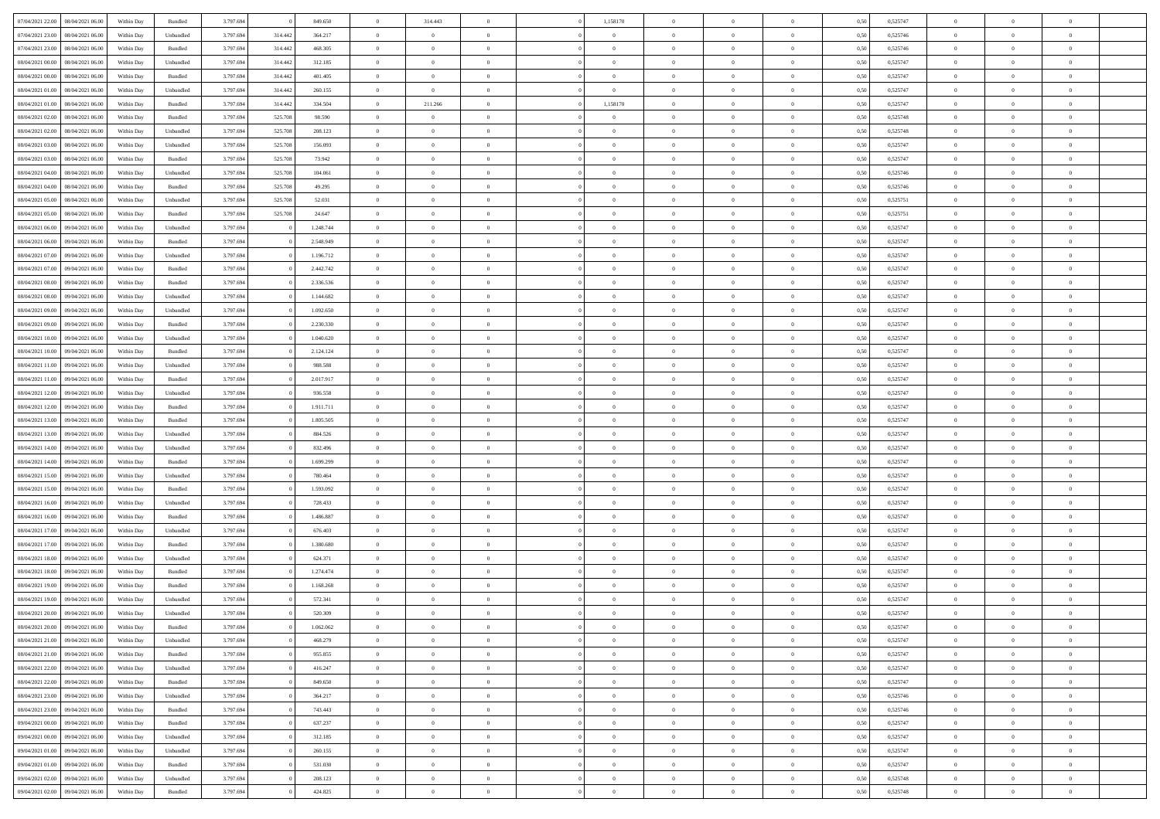| 07/04/2021 22.00<br>08/04/2021 06:00 | Within Day | Bundled            | 3.797.694 |         | 849.650   | $\overline{0}$ | 314.443        | $\overline{0}$ | 1,158170       | $\theta$       |                | $\overline{0}$ | 0,50 | 0,525747 | $\theta$       | $\theta$       | $\overline{0}$ |  |
|--------------------------------------|------------|--------------------|-----------|---------|-----------|----------------|----------------|----------------|----------------|----------------|----------------|----------------|------|----------|----------------|----------------|----------------|--|
|                                      |            |                    |           |         |           |                |                |                |                |                |                |                |      |          |                |                |                |  |
| 07/04/2021 23.00<br>08/04/2021 06.00 | Within Day | Unbundled          | 3.797.694 | 314.442 | 364.217   | $\overline{0}$ | $\overline{0}$ | $\overline{0}$ | $\bf{0}$       | $\bf{0}$       | $\overline{0}$ | $\mathbf{0}$   | 0,50 | 0,525746 | $\overline{0}$ | $\bf{0}$       | $\overline{0}$ |  |
| 07/04/2021 23.00<br>08/04/2021 06:00 | Within Day | Bundled            | 3.797.694 | 314.442 | 468,305   | $\overline{0}$ | $\overline{0}$ | $\overline{0}$ | $\bf{0}$       | $\bf{0}$       | $\overline{0}$ | $\,$ 0 $\,$    | 0.50 | 0,525746 | $\bf{0}$       | $\overline{0}$ | $\bf{0}$       |  |
| 08/04/2021 00:00<br>08/04/2021 06:00 | Within Day | Unbundled          | 3.797.694 | 314.442 | 312.185   | $\overline{0}$ | $\overline{0}$ | $\overline{0}$ | $\bf{0}$       | $\overline{0}$ | $\overline{0}$ | $\,$ 0 $\,$    | 0,50 | 0,525747 | $\,$ 0 $\,$    | $\overline{0}$ | $\overline{0}$ |  |
| 08/04/2021 00:00<br>08/04/2021 06.00 | Within Day | Bundled            | 3.797.694 | 314.442 | 401.405   | $\overline{0}$ | $\overline{0}$ | $\overline{0}$ | $\overline{0}$ | $\bf{0}$       | $\overline{0}$ | $\bf{0}$       | 0,50 | 0,525747 | $\,$ 0 $\,$    | $\bf{0}$       | $\overline{0}$ |  |
| 08/04/2021 01:00<br>08/04/2021 06:00 | Within Day | Unbundled          | 3.797.694 | 314.442 | 260.155   | $\overline{0}$ | $\overline{0}$ | $\overline{0}$ | $\bf{0}$       | $\bf{0}$       | $\overline{0}$ | $\mathbf{0}$   | 0.50 | 0.525747 | $\,$ 0 $\,$    | $\theta$       | $\overline{0}$ |  |
| 08/04/2021 01:00<br>08/04/2021 06:00 | Within Day | Bundled            | 3.797.694 | 314.442 | 334.504   | $\overline{0}$ | 211.266        | $\overline{0}$ | 1,158170       | $\overline{0}$ | $\overline{0}$ | $\bf{0}$       | 0,50 | 0,525747 | $\,$ 0 $\,$    | $\theta$       | $\overline{0}$ |  |
| 08/04/2021 02:00<br>08/04/2021 06.00 | Within Day | Bundled            | 3.797.694 | 525.708 | 98.590    | $\overline{0}$ | $\overline{0}$ | $\overline{0}$ | $\overline{0}$ | $\bf{0}$       | $\overline{0}$ | $\bf{0}$       | 0,50 | 0,525748 | $\,$ 0 $\,$    | $\bf{0}$       | $\overline{0}$ |  |
| 08/04/2021 02:00<br>08/04/2021 06:00 | Within Day | Unbundled          | 3.797.694 | 525.708 | 208.123   | $\overline{0}$ | $\overline{0}$ | $\overline{0}$ | $\bf{0}$       | $\bf{0}$       | $\overline{0}$ | $\mathbf{0}$   | 0.50 | 0.525748 | $\bf{0}$       | $\overline{0}$ | $\bf{0}$       |  |
| 08/04/2021 03:00<br>08/04/2021 06:00 | Within Day | Unbundled          | 3.797.694 | 525.708 | 156.093   | $\overline{0}$ | $\overline{0}$ | $\overline{0}$ | $\bf{0}$       | $\bf{0}$       | $\overline{0}$ | $\,$ 0 $\,$    | 0,50 | 0,525747 | $\,$ 0         | $\overline{0}$ | $\overline{0}$ |  |
|                                      |            |                    |           |         |           |                |                |                |                |                |                |                |      |          |                |                |                |  |
| 08/04/2021 03:00<br>08/04/2021 06.00 | Within Day | Bundled            | 3.797.694 | 525.708 | 73.942    | $\overline{0}$ | $\overline{0}$ | $\overline{0}$ | $\overline{0}$ | $\bf{0}$       | $\overline{0}$ | $\bf{0}$       | 0,50 | 0,525747 | $\,$ 0 $\,$    | $\bf{0}$       | $\overline{0}$ |  |
| 08/04/2021 04:00<br>08/04/2021 06:00 | Within Day | Unbundled          | 3.797.694 | 525.708 | 104,061   | $\overline{0}$ | $\overline{0}$ | $\overline{0}$ | $\bf{0}$       | $\bf{0}$       | $\overline{0}$ | $\,$ 0 $\,$    | 0.50 | 0,525746 | $\bf{0}$       | $\overline{0}$ | $\,$ 0         |  |
| 08/04/2021 04:00<br>08/04/2021 06:00 | Within Day | Bundled            | 3.797.694 | 525.708 | 49.295    | $\overline{0}$ | $\overline{0}$ | $\overline{0}$ | $\overline{0}$ | $\overline{0}$ | $\overline{0}$ | $\,$ 0 $\,$    | 0,50 | 0,525746 | $\,$ 0 $\,$    | $\,$ 0 $\,$    | $\overline{0}$ |  |
| 08/04/2021 05:00<br>08/04/2021 06.00 | Within Day | Unbundled          | 3.797.694 | 525.708 | 52.031    | $\overline{0}$ | $\overline{0}$ | $\overline{0}$ | $\overline{0}$ | $\bf{0}$       | $\overline{0}$ | $\bf{0}$       | 0,50 | 0,525751 | $\,$ 0 $\,$    | $\bf{0}$       | $\overline{0}$ |  |
| 08/04/2021 05:00<br>08/04/2021 06:00 | Within Day | Bundled            | 3.797.694 | 525.708 | 24.647    | $\overline{0}$ | $\overline{0}$ | $\overline{0}$ | $\bf{0}$       | $\bf{0}$       | $\overline{0}$ | $\mathbf{0}$   | 0.50 | 0,525751 | $\,$ 0 $\,$    | $\theta$       | $\overline{0}$ |  |
| 08/04/2021 06:00<br>09/04/2021 06:00 | Within Day | Unbundled          | 3.797.694 |         | 1.248.744 | $\overline{0}$ | $\overline{0}$ | $\overline{0}$ | $\bf{0}$       | $\overline{0}$ | $\overline{0}$ | $\bf{0}$       | 0,50 | 0,525747 | $\,$ 0         | $\theta$       | $\overline{0}$ |  |
| 08/04/2021 06:00<br>09/04/2021 06.0  | Within Day | Bundled            | 3.797.694 |         | 2.548.949 | $\overline{0}$ | $\overline{0}$ | $\overline{0}$ | $\overline{0}$ | $\bf{0}$       | $\overline{0}$ | $\bf{0}$       | 0,50 | 0,525747 | $\,$ 0 $\,$    | $\bf{0}$       | $\overline{0}$ |  |
| 08/04/2021 07:00<br>09/04/2021 06:00 | Within Day | Unbundled          | 3.797.694 |         | 1.196.712 | $\overline{0}$ | $\overline{0}$ | $\overline{0}$ | $\bf{0}$       | $\bf{0}$       | $\overline{0}$ | $\mathbf{0}$   | 0.50 | 0.525747 | $\bf{0}$       | $\overline{0}$ | $\bf{0}$       |  |
| 08/04/2021 07:00<br>09/04/2021 06:00 | Within Day | Bundled            | 3.797.694 |         | 2.442.742 | $\overline{0}$ | $\overline{0}$ | $\overline{0}$ | $\bf{0}$       | $\bf{0}$       | $\overline{0}$ | $\,$ 0 $\,$    | 0,50 | 0,525747 | $\,$ 0 $\,$    | $\,$ 0 $\,$    | $\overline{0}$ |  |
|                                      |            |                    |           |         |           |                |                |                |                |                |                |                |      |          |                |                |                |  |
| 08/04/2021 08:00<br>09/04/2021 06.0  | Within Day | Bundled            | 3.797.694 |         | 2.336.536 | $\overline{0}$ | $\overline{0}$ | $\overline{0}$ | $\overline{0}$ | $\bf{0}$       | $\overline{0}$ | $\mathbf{0}$   | 0,50 | 0,525747 | $\,$ 0 $\,$    | $\bf{0}$       | $\overline{0}$ |  |
| 08/04/2021 08:00<br>09/04/2021 06:00 | Within Day | Unbundled          | 3.797.694 |         | 1.144.682 | $\overline{0}$ | $\overline{0}$ | $\overline{0}$ | $\bf{0}$       | $\bf{0}$       | $\overline{0}$ | $\,$ 0 $\,$    | 0.50 | 0.525747 | $\bf{0}$       | $\overline{0}$ | $\,$ 0         |  |
| 08/04/2021 09:00<br>09/04/2021 06:00 | Within Day | Unbundled          | 3.797.694 |         | 1.092.650 | $\overline{0}$ | $\overline{0}$ | $\overline{0}$ | $\bf{0}$       | $\overline{0}$ | $\overline{0}$ | $\,$ 0 $\,$    | 0,50 | 0,525747 | $\,$ 0 $\,$    | $\overline{0}$ | $\overline{0}$ |  |
| 08/04/2021 09:00<br>09/04/2021 06.0  | Within Day | Bundled            | 3.797.694 |         | 2.230.330 | $\overline{0}$ | $\overline{0}$ | $\overline{0}$ | $\overline{0}$ | $\bf{0}$       | $\overline{0}$ | $\bf{0}$       | 0,50 | 0,525747 | $\,$ 0 $\,$    | $\bf{0}$       | $\overline{0}$ |  |
| 08/04/2021 10:00<br>09/04/2021 06:00 | Within Day | Unbundled          | 3.797.694 |         | 1.040.620 | $\overline{0}$ | $\overline{0}$ | $\overline{0}$ | $\bf{0}$       | $\bf{0}$       | $\overline{0}$ | $\mathbf{0}$   | 0.50 | 0.525747 | $\,$ 0 $\,$    | $\overline{0}$ | $\overline{0}$ |  |
| 08/04/2021 10:00<br>09/04/2021 06:00 | Within Day | Bundled            | 3.797.694 |         | 2.124.124 | $\overline{0}$ | $\overline{0}$ | $\overline{0}$ | $\bf{0}$       | $\bf{0}$       | $\overline{0}$ | $\bf{0}$       | 0,50 | 0,525747 | $\,$ 0 $\,$    | $\theta$       | $\overline{0}$ |  |
| 08/04/2021 11:00<br>09/04/2021 06.0  | Within Day | Unbundled          | 3.797.694 |         | 988.588   | $\overline{0}$ | $\overline{0}$ | $\overline{0}$ | $\,$ 0 $\,$    | $\bf{0}$       | $\overline{0}$ | $\bf{0}$       | 0,50 | 0,525747 | $\,$ 0 $\,$    | $\bf{0}$       | $\overline{0}$ |  |
| 08/04/2021 11:00<br>09/04/2021 06:00 | Within Day | Bundled            | 3.797.694 |         | 2.017.917 | $\overline{0}$ | $\overline{0}$ | $\overline{0}$ | $\bf{0}$       | $\bf{0}$       | $\overline{0}$ | $\mathbf{0}$   | 0.50 | 0.525747 | $\bf{0}$       | $\overline{0}$ | $\bf{0}$       |  |
| 08/04/2021 12:00<br>09/04/2021 06:00 | Within Day | Unbundled          | 3.797.694 |         | 936.558   | $\overline{0}$ | $\overline{0}$ | $\overline{0}$ | $\bf{0}$       | $\bf{0}$       | $\overline{0}$ | $\,$ 0 $\,$    | 0,50 | 0,525747 | $\,$ 0         | $\overline{0}$ | $\overline{0}$ |  |
| 09/04/2021 06.0                      | Within Day | Bundled            | 3.797.694 |         | 1.911.711 | $\overline{0}$ | $\overline{0}$ | $\overline{0}$ | $\overline{0}$ | $\bf{0}$       | $\overline{0}$ | $\mathbf{0}$   | 0,50 | 0,525747 | $\overline{0}$ | $\bf{0}$       | $\overline{0}$ |  |
| 08/04/2021 12:00                     |            |                    |           |         |           |                |                |                |                |                |                |                |      |          |                |                |                |  |
| 08/04/2021 13:00<br>09/04/2021 06:00 | Within Day | Bundled            | 3.797.694 |         | 1.805.505 | $\overline{0}$ | $\overline{0}$ | $\overline{0}$ | $\bf{0}$       | $\overline{0}$ | $\overline{0}$ | $\,$ 0 $\,$    | 0.50 | 0.525747 | $\bf{0}$       | $\overline{0}$ | $\,$ 0         |  |
| 08/04/2021 13:00<br>09/04/2021 06:00 | Within Day | Unbundled          | 3.797.694 |         | 884.526   | $\overline{0}$ | $\overline{0}$ | $\overline{0}$ | $\overline{0}$ | $\overline{0}$ | $\overline{0}$ | $\overline{0}$ | 0,50 | 0,525747 | $\theta$       | $\overline{0}$ | $\overline{0}$ |  |
| 08/04/2021 14:00<br>09/04/2021 06.0  | Within Day | Unbundled          | 3.797.694 |         | 832.496   | $\overline{0}$ | $\overline{0}$ | $\overline{0}$ | $\overline{0}$ | $\bf{0}$       | $\overline{0}$ | $\bf{0}$       | 0,50 | 0,525747 | $\,$ 0 $\,$    | $\bf{0}$       | $\overline{0}$ |  |
| 08/04/2021 14:00<br>09/04/2021 06:00 | Within Day | Bundled            | 3.797.694 |         | 1.699.299 | $\overline{0}$ | $\overline{0}$ | $\overline{0}$ | $\bf{0}$       | $\bf{0}$       | $\overline{0}$ | $\mathbf{0}$   | 0.50 | 0.525747 | $\,$ 0 $\,$    | $\theta$       | $\overline{0}$ |  |
| 08/04/2021 15:00<br>09/04/2021 06:00 | Within Dav | Unbundled          | 3.797.694 |         | 780.464   | $\overline{0}$ | $\overline{0}$ | $\overline{0}$ | $\overline{0}$ | $\overline{0}$ | $\overline{0}$ | $\overline{0}$ | 0,50 | 0,525747 | $\overline{0}$ | $\theta$       | $\overline{0}$ |  |
| 08/04/2021 15:00<br>09/04/2021 06.0  | Within Day | Bundled            | 3.797.694 |         | 1.593.092 | $\overline{0}$ | $\overline{0}$ | $\overline{0}$ | $\overline{0}$ | $\bf{0}$       | $\overline{0}$ | $\bf{0}$       | 0,50 | 0,525747 | $\,$ 0 $\,$    | $\bf{0}$       | $\overline{0}$ |  |
| 08/04/2021 16:00<br>09/04/2021 06:00 | Within Day | Unbundled          | 3.797.694 |         | 728.433   | $\overline{0}$ | $\overline{0}$ | $\overline{0}$ | $\bf{0}$       | $\bf{0}$       | $\overline{0}$ | $\,$ 0 $\,$    | 0.50 | 0.525747 | $\bf{0}$       | $\overline{0}$ | $\bf{0}$       |  |
| 08/04/2021 16:00<br>09/04/2021 06:00 | Within Day | Bundled            | 3.797.694 |         | 1.486.887 | $\overline{0}$ | $\overline{0}$ | $\overline{0}$ | $\overline{0}$ | $\overline{0}$ | $\overline{0}$ | $\mathbf{0}$   | 0,50 | 0,525747 | $\overline{0}$ | $\overline{0}$ | $\overline{0}$ |  |
| 08/04/2021 17:00<br>09/04/2021 06.0  | Within Day | Unbundled          | 3.797.694 |         | 676.403   | $\overline{0}$ | $\overline{0}$ | $\overline{0}$ | $\overline{0}$ | $\bf{0}$       | $\overline{0}$ | $\mathbf{0}$   | 0,50 | 0,525747 | $\overline{0}$ | $\bf{0}$       | $\overline{0}$ |  |
| 08/04/2021 17.00<br>09/04/2021 06:00 | Within Day | Bundled            | 3.797.694 |         | 1.380.680 | $\overline{0}$ | $\overline{0}$ | $\overline{0}$ |                | $\overline{0}$ | $\overline{0}$ | $\,$ 0 $\,$    | 0.50 | 0.525747 | $\bf{0}$       | $\overline{0}$ | $\,$ 0         |  |
|                                      |            |                    |           |         |           |                |                |                | $\bf{0}$       |                |                |                |      |          |                |                |                |  |
| 08/04/2021 18:00<br>09/04/2021 06:00 | Within Dav | Unbundled          | 3.797.694 |         | 624.371   | $\overline{0}$ | $\overline{0}$ | $\overline{0}$ | $\overline{0}$ | $\overline{0}$ | $\overline{0}$ | $\overline{0}$ | 0,50 | 0,525747 | $\theta$       | $\theta$       | $\overline{0}$ |  |
| 08/04/2021 18:00<br>09/04/2021 06.0  | Within Day | Bundled            | 3.797.694 |         | 1.274.474 | $\overline{0}$ | $\overline{0}$ | $\overline{0}$ | $\overline{0}$ | $\bf{0}$       | $\overline{0}$ | $\bf{0}$       | 0,50 | 0,525747 | $\,$ 0 $\,$    | $\bf{0}$       | $\overline{0}$ |  |
| 08/04/2021 19:00<br>09/04/2021 06.00 | Within Day | Bundled            | 3.797.694 |         | 1.168.268 | $\overline{0}$ | $\overline{0}$ | $\overline{0}$ | $\overline{0}$ | $\overline{0}$ | $\overline{0}$ | $\mathbf{0}$   | 0.50 | 0.525747 | $\bf{0}$       | $\theta$       | $\overline{0}$ |  |
| 08/04/2021 19:00<br>09/04/2021 06:00 | Within Day | Unbundled          | 3.797.694 |         | 572.341   | $\overline{0}$ | $\overline{0}$ | $\overline{0}$ | $\overline{0}$ | $\overline{0}$ | $\Omega$       | $\overline{0}$ | 0.50 | 0,525747 | $\theta$       | $\theta$       | $\overline{0}$ |  |
| 08/04/2021 20:00<br>09/04/2021 06.00 | Within Day | Unbundled          | 3.797.694 |         | 520.309   | $\overline{0}$ | $\overline{0}$ | $\overline{0}$ | $\overline{0}$ | $\bf{0}$       | $\overline{0}$ | $\mathbf{0}$   | 0,50 | 0,525747 | $\overline{0}$ | $\bf{0}$       | $\overline{0}$ |  |
| 08/04/2021 20:00 09/04/2021 06:00    | Within Day | $\mathbf B$ undled | 3.797.694 |         | 1.062.062 | $\bf{0}$       | $\,$ 0 $\,$    |                | $\bf{0}$       |                |                | $\theta$       | 0,50 | 0,525747 | $\theta$       | $\overline{0}$ |                |  |
| 08/04/2021 21:00 09/04/2021 06:00    | Within Day | Unbundled          | 3.797.694 |         | 468.279   | $\overline{0}$ | $\overline{0}$ | $\overline{0}$ | $\overline{0}$ | $\overline{0}$ | $\overline{0}$ | $\overline{0}$ | 0,50 | 0,525747 | $\theta$       | $\overline{0}$ | $\overline{0}$ |  |
| 08/04/2021 21:00<br>09/04/2021 06.00 | Within Day | Bundled            | 3.797.694 |         | 955.855   | $\overline{0}$ | $\overline{0}$ | $\overline{0}$ | $\bf{0}$       | $\overline{0}$ | $\overline{0}$ | $\bf{0}$       | 0,50 | 0,525747 | $\overline{0}$ | $\overline{0}$ | $\bf{0}$       |  |
| 08/04/2021 22:00<br>09/04/2021 06:00 | Within Day | Unbundled          | 3.797.694 |         | 416.247   | $\overline{0}$ | $\overline{0}$ | $\overline{0}$ | $\,$ 0 $\,$    | $\overline{0}$ | $\overline{0}$ | $\mathbf{0}$   | 0.50 | 0,525747 | $\overline{0}$ | $\overline{0}$ | $\overline{0}$ |  |
| 08/04/2021 22:00<br>09/04/2021 06:00 | Within Day | Bundled            | 3.797.694 |         | 849.650   | $\overline{0}$ | $\overline{0}$ | $\overline{0}$ | $\overline{0}$ | $\overline{0}$ | $\overline{0}$ | $\mathbf{0}$   | 0,50 | 0,525747 | $\overline{0}$ | $\theta$       | $\overline{0}$ |  |
| 08/04/2021 23:00<br>09/04/2021 06:00 | Within Day | Unbundled          | 3.797.694 |         | 364.217   | $\overline{0}$ | $\overline{0}$ | $\overline{0}$ | $\bf{0}$       | $\bf{0}$       | $\overline{0}$ | $\mathbf{0}$   | 0,50 | 0,525746 | $\,$ 0         | $\overline{0}$ | $\overline{0}$ |  |
|                                      |            |                    |           |         |           |                |                |                |                |                |                |                |      |          |                |                |                |  |
| 08/04/2021 23:00<br>09/04/2021 06:00 | Within Day | Bundled            | 3.797.694 |         | 743.443   | $\overline{0}$ | $\overline{0}$ | $\overline{0}$ | $\bf{0}$       | $\overline{0}$ | $\overline{0}$ | $\,$ 0 $\,$    | 0.50 | 0.525746 | $\,$ 0 $\,$    | $\theta$       | $\,$ 0         |  |
| 09/04/2021 00:00<br>09/04/2021 06:00 | Within Day | Bundled            | 3.797.694 |         | 637.237   | $\overline{0}$ | $\overline{0}$ | $\overline{0}$ | $\overline{0}$ | $\overline{0}$ | $\overline{0}$ | $\mathbf{0}$   | 0,50 | 0,525747 | $\overline{0}$ | $\theta$       | $\overline{0}$ |  |
| 09/04/2021 00:00<br>09/04/2021 06:00 | Within Day | Unbundled          | 3.797.694 |         | 312.185   | $\overline{0}$ | $\overline{0}$ | $\overline{0}$ | $\bf{0}$       | $\overline{0}$ | $\overline{0}$ | $\,$ 0 $\,$    | 0,50 | 0,525747 | $\bf{0}$       | $\overline{0}$ | $\,$ 0         |  |
| 09/04/2021 01:00<br>09/04/2021 06:00 | Within Day | Unbundled          | 3.797.694 |         | 260.155   | $\overline{0}$ | $\overline{0}$ | $\overline{0}$ | $\overline{0}$ | $\bf{0}$       | $\overline{0}$ | $\mathbf{0}$   | 0.50 | 0.525747 | $\overline{0}$ | $\bf{0}$       | $\,$ 0         |  |
| 09/04/2021 01:00<br>09/04/2021 06:00 | Within Dav | Bundled            | 3.797.694 |         | 531.030   | $\overline{0}$ | $\overline{0}$ | $\overline{0}$ | $\overline{0}$ | $\overline{0}$ | $\overline{0}$ | $\mathbf{0}$   | 0,50 | 0,525747 | $\overline{0}$ | $\theta$       | $\overline{0}$ |  |
| 09/04/2021 02.00<br>09/04/2021 06.00 | Within Day | Unbundled          | 3.797.694 |         | 208.123   | $\overline{0}$ | $\overline{0}$ | $\overline{0}$ | $\bf{0}$       | $\bf{0}$       | $\overline{0}$ | $\,$ 0 $\,$    | 0,50 | 0,525748 | $\overline{0}$ | $\overline{0}$ | $\bf{0}$       |  |
| 09/04/2021 02:00 09/04/2021 06:00    | Within Day | Bundled            | 3.797.694 |         | 424.825   | $\,$ 0 $\,$    | $\overline{0}$ | $\overline{0}$ | $\bf{0}$       | $\,$ 0 $\,$    | $\overline{0}$ | $\,0\,$        | 0,50 | 0,525748 | $\,$ 0 $\,$    | $\,$ 0 $\,$    | $\,$ 0 $\,$    |  |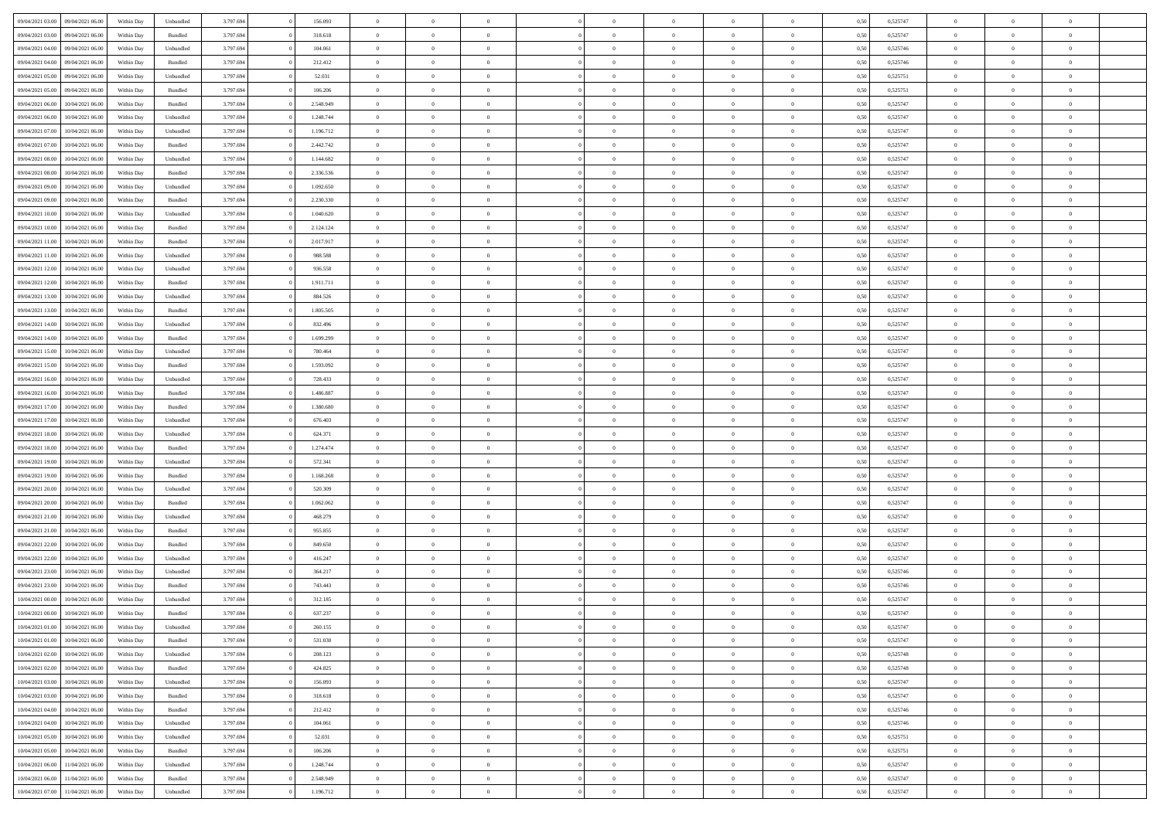|                  |                  |            |           |           |           | $\overline{0}$ | $\Omega$       |                |                | $\Omega$       | $\Omega$       | $\theta$       |      |          | $\theta$       |                | $\theta$       |  |
|------------------|------------------|------------|-----------|-----------|-----------|----------------|----------------|----------------|----------------|----------------|----------------|----------------|------|----------|----------------|----------------|----------------|--|
| 09/04/2021 03:00 | 09/04/2021 06:00 | Within Day | Unbundled | 3.797.694 | 156.093   |                |                |                | $\Omega$       |                |                |                | 0.50 | 0,525747 |                | $\theta$       |                |  |
| 09/04/2021 03:00 | 09/04/2021 06:00 | Within Day | Bundled   | 3.797.694 | 318.618   | $\overline{0}$ | $\theta$       | $\overline{0}$ | $\overline{0}$ | $\bf{0}$       | $\overline{0}$ | $\bf{0}$       | 0,50 | 0,525747 | $\theta$       | $\overline{0}$ | $\overline{0}$ |  |
| 09/04/2021 04:00 | 09/04/2021 06:00 | Within Day | Unbundled | 3.797.694 | 104.061   | $\overline{0}$ | $\overline{0}$ | $\overline{0}$ | $\bf{0}$       | $\bf{0}$       | $\bf{0}$       | $\bf{0}$       | 0,50 | 0,525746 | $\bf{0}$       | $\overline{0}$ | $\overline{0}$ |  |
| 09/04/2021 04:00 | 09/04/2021 06:00 | Within Dav | Bundled   | 3.797.694 | 212.412   | $\overline{0}$ | $\overline{0}$ | $\overline{0}$ | $\overline{0}$ | $\bf{0}$       | $\overline{0}$ | $\overline{0}$ | 0.50 | 0,525746 | $\theta$       | $\theta$       | $\overline{0}$ |  |
| 09/04/2021 05:00 | 09/04/2021 06:00 | Within Day | Unbundled | 3.797.694 | 52.031    | $\overline{0}$ | $\theta$       | $\overline{0}$ | $\overline{0}$ | $\bf{0}$       | $\overline{0}$ | $\bf{0}$       | 0,50 | 0,525751 | $\theta$       | $\overline{0}$ | $\overline{0}$ |  |
|                  |                  |            |           |           |           |                |                |                |                |                |                |                |      |          |                |                |                |  |
| 09/04/2021 05:00 | 09/04/2021 06:00 | Within Day | Bundled   | 3.797.694 | 106.206   | $\overline{0}$ | $\bf{0}$       | $\overline{0}$ | $\bf{0}$       | $\overline{0}$ | $\overline{0}$ | $\mathbf{0}$   | 0,50 | 0,525751 | $\bf{0}$       | $\overline{0}$ | $\bf{0}$       |  |
| 09/04/2021 06:00 | 10/04/2021 06:00 | Within Dav | Bundled   | 3.797.694 | 2.548.949 | $\overline{0}$ | $\overline{0}$ | $\overline{0}$ | $\overline{0}$ | $\bf{0}$       | $\overline{0}$ | $\overline{0}$ | 0.50 | 0,525747 | $\theta$       | $\overline{0}$ | $\overline{0}$ |  |
| 09/04/2021 06:00 | 10/04/2021 06:00 | Within Day | Unbundled | 3.797.694 | 1.248.744 | $\overline{0}$ | $\theta$       | $\overline{0}$ | $\overline{0}$ | $\bf{0}$       | $\overline{0}$ | $\bf{0}$       | 0,50 | 0,525747 | $\theta$       | $\theta$       | $\overline{0}$ |  |
| 09/04/2021 07:00 | 10/04/2021 06:00 | Within Day | Unbundled | 3.797.694 | 1.196.712 | $\overline{0}$ | $\overline{0}$ | $\overline{0}$ | $\bf{0}$       | $\bf{0}$       | $\bf{0}$       | $\bf{0}$       | 0,50 | 0,525747 | $\,0\,$        | $\overline{0}$ | $\overline{0}$ |  |
| 09/04/2021 07:00 | 10/04/2021 06:00 | Within Dav | Bundled   | 3.797.694 | 2.442.742 | $\overline{0}$ | $\overline{0}$ | $\overline{0}$ | $\overline{0}$ | $\overline{0}$ | $\overline{0}$ | $\overline{0}$ | 0.50 | 0,525747 | $\theta$       | $\overline{0}$ | $\overline{0}$ |  |
| 09/04/2021 08:00 | 10/04/2021 06:00 | Within Day | Unbundled | 3.797.694 | 1.144.682 | $\overline{0}$ | $\theta$       | $\overline{0}$ | $\overline{0}$ | $\bf{0}$       | $\overline{0}$ | $\bf{0}$       | 0,50 | 0,525747 | $\,$ 0 $\,$    | $\overline{0}$ | $\overline{0}$ |  |
| 09/04/2021 08:00 | 10/04/2021 06:00 | Within Day | Bundled   | 3.797.694 | 2.336.536 | $\overline{0}$ | $\overline{0}$ | $\overline{0}$ | $\bf{0}$       | $\bf{0}$       | $\bf{0}$       | $\bf{0}$       | 0,50 | 0,525747 | $\overline{0}$ | $\overline{0}$ | $\overline{0}$ |  |
|                  |                  |            |           |           |           |                |                |                |                |                |                |                |      |          | $\theta$       |                |                |  |
| 09/04/2021 09:00 | 10/04/2021 06:00 | Within Day | Unbundled | 3.797.694 | 1.092.650 | $\overline{0}$ | $\overline{0}$ | $\overline{0}$ | $\overline{0}$ | $\bf{0}$       | $\overline{0}$ | $\overline{0}$ | 0.50 | 0,525747 |                | $\theta$       | $\overline{0}$ |  |
| 09/04/2021 09:00 | 10/04/2021 06:00 | Within Day | Bundled   | 3.797.694 | 2.230.330 | $\overline{0}$ | $\theta$       | $\overline{0}$ | $\overline{0}$ | $\bf{0}$       | $\overline{0}$ | $\overline{0}$ | 0,50 | 0,525747 | $\theta$       | $\theta$       | $\overline{0}$ |  |
| 09/04/2021 10:00 | 10/04/2021 06:00 | Within Day | Unbundled | 3.797.694 | 1.040.620 | $\overline{0}$ | $\bf{0}$       | $\overline{0}$ | $\bf{0}$       | $\overline{0}$ | $\overline{0}$ | $\mathbf{0}$   | 0,50 | 0,525747 | $\overline{0}$ | $\overline{0}$ | $\bf{0}$       |  |
| 09/04/2021 10:00 | 10/04/2021 06:00 | Within Dav | Bundled   | 3.797.694 | 2.124.124 | $\overline{0}$ | $\overline{0}$ | $\overline{0}$ | $\overline{0}$ | $\overline{0}$ | $\overline{0}$ | $\overline{0}$ | 0.50 | 0,525747 | $\theta$       | $\overline{0}$ | $\overline{0}$ |  |
| 09/04/2021 11:00 | 10/04/2021 06:00 | Within Day | Bundled   | 3.797.694 | 2.017.917 | $\overline{0}$ | $\theta$       | $\overline{0}$ | $\overline{0}$ | $\bf{0}$       | $\overline{0}$ | $\bf{0}$       | 0,50 | 0,525747 | $\theta$       | $\theta$       | $\overline{0}$ |  |
| 09/04/2021 11:00 | 10/04/2021 06:00 | Within Day | Unbundled | 3.797.694 | 988.588   | $\overline{0}$ | $\overline{0}$ | $\overline{0}$ | $\bf{0}$       | $\bf{0}$       | $\bf{0}$       | $\bf{0}$       | 0,50 | 0,525747 | $\,0\,$        | $\overline{0}$ | $\overline{0}$ |  |
| 09/04/2021 12:00 | 10/04/2021 06:00 | Within Dav | Unbundled | 3.797.694 | 936.558   | $\overline{0}$ | $\overline{0}$ | $\overline{0}$ | $\overline{0}$ | $\overline{0}$ | $\overline{0}$ | $\overline{0}$ | 0.50 | 0,525747 | $\theta$       | $\overline{0}$ | $\overline{0}$ |  |
| 09/04/2021 12:00 | 10/04/2021 06:00 |            | Bundled   | 3.797.694 | 1.911.711 | $\overline{0}$ | $\theta$       | $\overline{0}$ | $\overline{0}$ | $\bf{0}$       | $\overline{0}$ |                |      | 0,525747 | $\,$ 0 $\,$    | $\theta$       | $\overline{0}$ |  |
|                  |                  | Within Day |           |           |           |                |                |                |                |                |                | $\bf{0}$       | 0,50 |          |                |                |                |  |
| 09/04/2021 13:00 | 10/04/2021 06:00 | Within Day | Unbundled | 3.797.694 | 884.526   | $\overline{0}$ | $\overline{0}$ | $\overline{0}$ | $\bf{0}$       | $\bf{0}$       | $\bf{0}$       | $\bf{0}$       | 0,50 | 0,525747 | $\,0\,$        | $\overline{0}$ | $\overline{0}$ |  |
| 09/04/2021 13:00 | 10/04/2021 06:00 | Within Day | Bundled   | 3.797.694 | 1.805.505 | $\overline{0}$ | $\overline{0}$ | $\overline{0}$ | $\overline{0}$ | $\bf{0}$       | $\overline{0}$ | $\overline{0}$ | 0.50 | 0,525747 | $\theta$       | $\theta$       | $\overline{0}$ |  |
| 09/04/2021 14:00 | 10/04/2021 06:00 | Within Day | Unbundled | 3.797.694 | 832.496   | $\overline{0}$ | $\theta$       | $\overline{0}$ | $\overline{0}$ | $\bf{0}$       | $\overline{0}$ | $\bf{0}$       | 0,50 | 0,525747 | $\,$ 0 $\,$    | $\overline{0}$ | $\overline{0}$ |  |
| 09/04/2021 14:00 | 10/04/2021 06:00 | Within Day | Bundled   | 3.797.694 | 1.699.299 | $\overline{0}$ | $\bf{0}$       | $\overline{0}$ | $\bf{0}$       | $\overline{0}$ | $\overline{0}$ | $\mathbf{0}$   | 0,50 | 0,525747 | $\bf{0}$       | $\overline{0}$ | $\bf{0}$       |  |
| 09/04/2021 15:00 | 10/04/2021 06:00 | Within Dav | Unbundled | 3.797.694 | 780.464   | $\overline{0}$ | $\overline{0}$ | $\overline{0}$ | $\overline{0}$ | $\overline{0}$ | $\overline{0}$ | $\overline{0}$ | 0.50 | 0,525747 | $\theta$       | $\overline{0}$ | $\overline{0}$ |  |
| 09/04/2021 15:00 | 10/04/2021 06:00 | Within Day | Bundled   | 3.797.694 | 1.593.092 | $\overline{0}$ | $\theta$       | $\overline{0}$ | $\overline{0}$ | $\bf{0}$       | $\overline{0}$ | $\bf{0}$       | 0,50 | 0,525747 | $\theta$       | $\theta$       | $\overline{0}$ |  |
|                  |                  |            |           |           |           |                |                |                |                |                |                |                |      |          |                |                |                |  |
| 09/04/2021 16:00 | 10/04/2021 06:00 | Within Day | Unbundled | 3.797.694 | 728.433   | $\overline{0}$ | $\overline{0}$ | $\overline{0}$ | $\bf{0}$       | $\bf{0}$       | $\bf{0}$       | $\bf{0}$       | 0,50 | 0,525747 | $\,0\,$        | $\overline{0}$ | $\overline{0}$ |  |
| 09/04/2021 16:00 | 10/04/2021 06:00 | Within Day | Bundled   | 3.797.694 | 1.486.887 | $\overline{0}$ | $\overline{0}$ | $\overline{0}$ | $\overline{0}$ | $\overline{0}$ | $\overline{0}$ | $\overline{0}$ | 0.50 | 0,525747 | $\theta$       | $\overline{0}$ | $\overline{0}$ |  |
| 09/04/2021 17:00 | 10/04/2021 06:00 | Within Day | Bundled   | 3.797.694 | 1.380.680 | $\overline{0}$ | $\theta$       | $\overline{0}$ | $\overline{0}$ | $\bf{0}$       | $\overline{0}$ | $\bf{0}$       | 0,50 | 0,525747 | $\,$ 0 $\,$    | $\overline{0}$ | $\overline{0}$ |  |
| 09/04/2021 17:00 | 10/04/2021 06:00 | Within Day | Unbundled | 3.797.694 | 676.403   | $\overline{0}$ | $\overline{0}$ | $\overline{0}$ | $\bf{0}$       | $\bf{0}$       | $\bf{0}$       | $\bf{0}$       | 0,50 | 0,525747 | $\bf{0}$       | $\overline{0}$ | $\overline{0}$ |  |
| 09/04/2021 18:00 | 10/04/2021 06:00 | Within Day | Unbundled | 3.797.694 | 624.371   | $\overline{0}$ | $\Omega$       | $\Omega$       | $\Omega$       | $\Omega$       | $\Omega$       | $\overline{0}$ | 0,50 | 0,525747 | $\,0\,$        | $\Omega$       | $\theta$       |  |
| 09/04/2021 18:00 | 10/04/2021 06:00 | Within Day | Bundled   | 3.797.694 | 1.274.474 | $\overline{0}$ | $\theta$       | $\overline{0}$ | $\overline{0}$ | $\bf{0}$       | $\overline{0}$ | $\bf{0}$       | 0,50 | 0,525747 | $\theta$       | $\theta$       | $\overline{0}$ |  |
| 09/04/2021 19:00 | 10/04/2021 06:00 | Within Day | Unbundled | 3.797.694 | 572.341   | $\overline{0}$ | $\overline{0}$ | $\overline{0}$ | $\bf{0}$       | $\bf{0}$       | $\overline{0}$ | $\mathbf{0}$   | 0,50 | 0,525747 | $\bf{0}$       | $\overline{0}$ | $\bf{0}$       |  |
|                  |                  |            |           |           |           |                |                |                |                |                |                |                |      |          |                |                |                |  |
| 09/04/2021 19:00 | 10/04/2021 06:00 | Within Day | Bundled   | 3.797.694 | 1.168.268 | $\overline{0}$ | $\Omega$       | $\Omega$       | $\Omega$       | $\Omega$       | $\Omega$       | $\overline{0}$ | 0.50 | 0,525747 | $\,0\,$        | $\theta$       | $\theta$       |  |
| 09/04/2021 20:00 | 10/04/2021 06:00 | Within Day | Unbundled | 3.797.694 | 520.309   | $\overline{0}$ | $\theta$       | $\overline{0}$ | $\overline{0}$ | $\bf{0}$       | $\overline{0}$ | $\bf{0}$       | 0,50 | 0,525747 | $\,$ 0 $\,$    | $\theta$       | $\overline{0}$ |  |
| 09/04/2021 20:00 | 10/04/2021 06:00 | Within Day | Bundled   | 3.797.694 | 1.062.062 | $\overline{0}$ | $\overline{0}$ | $\overline{0}$ | $\bf{0}$       | $\bf{0}$       | $\bf{0}$       | $\bf{0}$       | 0,50 | 0,525747 | $\,0\,$        | $\overline{0}$ | $\overline{0}$ |  |
| 09/04/2021 21:00 | 10/04/2021 06:00 | Within Day | Unbundled | 3.797.694 | 468,279   | $\overline{0}$ | $\Omega$       | $\Omega$       | $\Omega$       | $\Omega$       | $\theta$       | $\overline{0}$ | 0.50 | 0,525747 | $\theta$       | $\theta$       | $\theta$       |  |
| 09/04/2021 21.00 | 10/04/2021 06:00 | Within Day | Bundled   | 3.797.694 | 955.855   | $\overline{0}$ | $\theta$       | $\overline{0}$ | $\overline{0}$ | $\bf{0}$       | $\overline{0}$ | $\bf{0}$       | 0,50 | 0,525747 | $\,$ 0 $\,$    | $\overline{0}$ | $\overline{0}$ |  |
| 09/04/2021 22.00 | 10/04/2021 06:00 | Within Day | Bundled   | 3.797.694 | 849.650   | $\overline{0}$ | $\overline{0}$ | $\overline{0}$ | $\bf{0}$       | $\bf{0}$       | $\bf{0}$       | $\bf{0}$       | 0,50 | 0,525747 | $\overline{0}$ | $\overline{0}$ | $\overline{0}$ |  |
| 09/04/2021 22.00 | 10/04/2021 06:00 | Within Day | Unbundled | 3.797.694 | 416.247   | $\overline{0}$ | $\Omega$       | $\Omega$       | $\Omega$       | $\Omega$       | $\overline{0}$ | $\overline{0}$ | 0,50 | 0,525747 | $\,0\,$        | $\theta$       | $\theta$       |  |
| 09/04/2021 23:00 | 10/04/2021 06:00 | Within Day | Unbundled | 3.797.694 | 364.217   | $\overline{0}$ | $\theta$       | $\overline{0}$ | $\overline{0}$ | $\bf{0}$       | $\overline{0}$ | $\bf{0}$       | 0,50 | 0,525746 | $\,$ 0 $\,$    | $\overline{0}$ | $\overline{0}$ |  |
|                  |                  |            |           |           |           |                |                |                |                |                |                |                |      |          |                |                |                |  |
| 09/04/2021 23.00 | 10/04/2021 06:00 | Within Day | Bundled   | 3.797.694 | 743.443   | $\overline{0}$ | $\overline{0}$ | $\overline{0}$ | $\bf{0}$       | $\bf{0}$       | $\bf{0}$       | $\mathbf{0}$   | 0,50 | 0,525746 | $\overline{0}$ | $\overline{0}$ | $\bf{0}$       |  |
| 10/04/2021 00:00 | 10/04/2021 06:00 | Within Day | Unbundled | 3.797.694 | 312.185   | $\overline{0}$ | $\Omega$       | $\Omega$       | $\Omega$       | $\Omega$       | $\Omega$       | $\Omega$       | 0.50 | 0,525747 | $\theta$       | $\Omega$       | $\theta$       |  |
| 10/04/2021 00:00 | 10/04/2021 06:00 | Within Day | Bundled   | 3.797.694 | 637.237   | $\overline{0}$ | $\,$ 0 $\,$    | $\overline{0}$ | $\bf{0}$       | $\,$ 0         | $\bf{0}$       | $\bf{0}$       | 0,50 | 0,525747 | $\,0\,$        | $\overline{0}$ | $\overline{0}$ |  |
| 10/04/2021 01:00 | 10/04/2021 06:00 | Within Day | Unbundled | 3.797.694 | 260.155   | $\bf{0}$       | $\bf{0}$       |                |                |                |                |                | 0,50 | 0,525747 | $\bf{0}$       | $\overline{0}$ |                |  |
| 10/04/2021 01:00 | 10/04/2021 06:00 | Within Day | Bundled   | 3.797.694 | 531.030   | $\overline{0}$ | $\overline{0}$ | $\overline{0}$ | $\Omega$       | $\overline{0}$ | $\overline{0}$ | $\overline{0}$ | 0,50 | 0,525747 | $\theta$       | $\theta$       | $\theta$       |  |
| 10/04/2021 02:00 | 10/04/2021 06:00 | Within Day | Unbundled | 3.797.694 | 208.123   | $\overline{0}$ | $\bf{0}$       | $\overline{0}$ | $\bf{0}$       | $\,$ 0 $\,$    | $\overline{0}$ | $\,$ 0 $\,$    | 0,50 | 0,525748 | $\,$ 0 $\,$    | $\,$ 0 $\,$    | $\,$ 0         |  |
| 10/04/2021 02:00 | 10/04/2021 06:00 | Within Day | Bundled   | 3.797.694 | 424.825   | $\overline{0}$ | $\overline{0}$ | $\overline{0}$ | $\overline{0}$ | $\overline{0}$ | $\overline{0}$ | $\mathbf{0}$   | 0,50 | 0,525748 | $\overline{0}$ | $\bf{0}$       | $\overline{0}$ |  |
|                  |                  |            |           |           |           |                |                |                |                |                |                |                |      |          |                |                |                |  |
| 10/04/2021 03:00 | 10/04/2021 06:00 | Within Day | Unbundled | 3.797.694 | 156.093   | $\overline{0}$ | $\overline{0}$ | $\overline{0}$ | $\Omega$       | $\overline{0}$ | $\overline{0}$ | $\overline{0}$ | 0,50 | 0,525747 | $\overline{0}$ | $\theta$       | $\overline{0}$ |  |
| 10/04/2021 03:00 | 10/04/2021 06:00 | Within Day | Bundled   | 3.797.694 | 318.618   | $\overline{0}$ | $\,$ 0         | $\overline{0}$ | $\overline{0}$ | $\,$ 0 $\,$    | $\overline{0}$ | $\mathbf{0}$   | 0,50 | 0,525747 | $\,$ 0 $\,$    | $\overline{0}$ | $\overline{0}$ |  |
| 10/04/2021 04:00 | 10/04/2021 06:00 | Within Day | Bundled   | 3.797.694 | 212.412   | $\overline{0}$ | $\overline{0}$ | $\overline{0}$ | $\overline{0}$ | $\overline{0}$ | $\overline{0}$ | $\mathbf{0}$   | 0,50 | 0,525746 | $\overline{0}$ | $\overline{0}$ | $\bf{0}$       |  |
| 10/04/2021 04:00 | 10/04/2021 06:00 | Within Day | Unbundled | 3.797.694 | 104,061   | $\overline{0}$ | $\overline{0}$ | $\overline{0}$ | $\Omega$       | $\overline{0}$ | $\overline{0}$ | $\bf{0}$       | 0.50 | 0,525746 | $\overline{0}$ | $\theta$       | $\overline{0}$ |  |
| 10/04/2021 05:00 | 10/04/2021 06:00 | Within Day | Unbundled | 3.797.694 | 52.031    | $\overline{0}$ | $\,$ 0         | $\overline{0}$ | $\bf{0}$       | $\bf{0}$       | $\bf{0}$       | $\bf{0}$       | 0,50 | 0,525751 | $\,$ 0 $\,$    | $\overline{0}$ | $\overline{0}$ |  |
| 10/04/2021 05:00 | 10/04/2021 06:00 | Within Day | Bundled   | 3.797.694 | 106.206   | $\overline{0}$ | $\bf{0}$       | $\overline{0}$ | $\overline{0}$ | $\overline{0}$ | $\overline{0}$ | $\mathbf{0}$   | 0,50 | 0,525751 | $\overline{0}$ | $\overline{0}$ | $\bf{0}$       |  |
| 10/04/2021 06:00 | 11/04/2021 06:00 | Within Day | Unbundled | 3.797.694 | 1.248.744 | $\overline{0}$ | $\overline{0}$ | $\overline{0}$ | $\Omega$       | $\overline{0}$ | $\overline{0}$ | $\overline{0}$ | 0.50 | 0,525747 | $\overline{0}$ | $\overline{0}$ | $\overline{0}$ |  |
|                  |                  |            |           |           |           |                |                |                |                |                |                |                |      |          |                |                |                |  |
| 10/04/2021 06:00 | 11/04/2021 06:00 | Within Day | Bundled   | 3.797.694 | 2.548.949 | $\overline{0}$ | $\bf{0}$       | $\overline{0}$ | $\bf{0}$       | $\bf{0}$       | $\bf{0}$       | $\mathbf{0}$   | 0,50 | 0,525747 | $\,$ 0 $\,$    | $\,$ 0 $\,$    | $\bf{0}$       |  |
| 10/04/2021 07:00 | 11/04/2021 06:00 | Within Day | Unbundled | 3.797.694 | 1.196.712 | $\overline{0}$ | $\overline{0}$ | $\overline{0}$ | $\overline{0}$ | $\bf{0}$       | $\bf{0}$       | $\mathbf{0}$   | 0,50 | 0,525747 | $\overline{0}$ | $\bf{0}$       | $\bf{0}$       |  |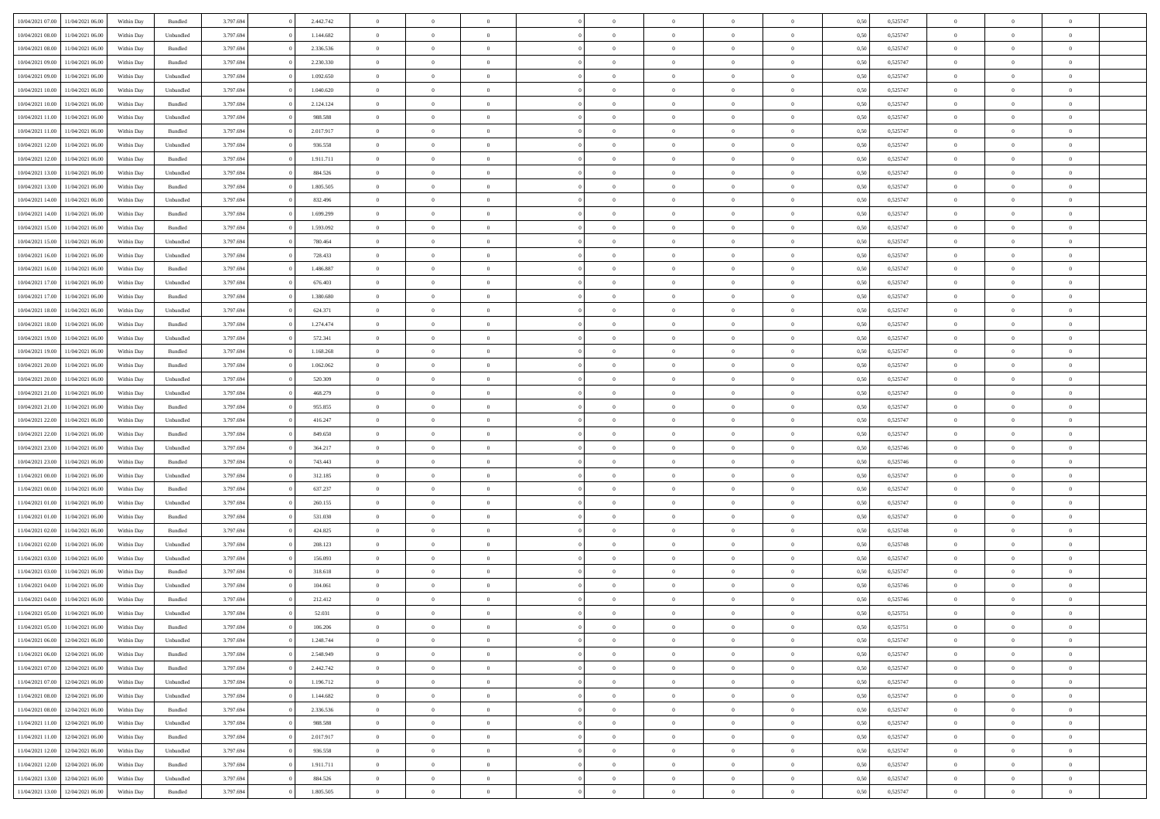| 10/04/2021 07:00                  | 11/04/2021 06:00 | Within Day | Bundled            | 3.797.694 | 2.442.742 | $\overline{0}$ | $\Omega$       |                | $\Omega$       | $\Omega$       | $\theta$       | $\theta$       | 0.50 | 0,525747 | $\theta$       | $\theta$       | $\theta$       |  |
|-----------------------------------|------------------|------------|--------------------|-----------|-----------|----------------|----------------|----------------|----------------|----------------|----------------|----------------|------|----------|----------------|----------------|----------------|--|
|                                   |                  |            |                    |           |           |                |                |                |                |                |                |                |      |          |                |                |                |  |
| 10/04/2021 08:00                  | 11/04/2021 06:00 | Within Day | Unbundled          | 3.797.694 | 1.144.682 | $\overline{0}$ | $\theta$       | $\overline{0}$ | $\overline{0}$ | $\bf{0}$       | $\overline{0}$ | $\bf{0}$       | 0,50 | 0,525747 | $\theta$       | $\overline{0}$ | $\overline{0}$ |  |
| 10/04/2021 08:00                  | 11/04/2021 06:00 | Within Day | Bundled            | 3.797.694 | 2.336.536 | $\overline{0}$ | $\bf{0}$       | $\overline{0}$ | $\bf{0}$       | $\bf{0}$       | $\bf{0}$       | $\mathbf{0}$   | 0,50 | 0,525747 | $\overline{0}$ | $\overline{0}$ | $\overline{0}$ |  |
| 10/04/2021 09:00                  | 11/04/2021 06:00 | Within Dav | Bundled            | 3.797.694 | 2.230.330 | $\overline{0}$ | $\overline{0}$ | $\overline{0}$ | $\overline{0}$ | $\bf{0}$       | $\overline{0}$ | $\overline{0}$ | 0.50 | 0,525747 | $\theta$       | $\theta$       | $\overline{0}$ |  |
|                                   |                  |            |                    |           |           | $\overline{0}$ | $\theta$       | $\overline{0}$ | $\overline{0}$ | $\bf{0}$       | $\overline{0}$ |                |      |          | $\theta$       | $\overline{0}$ | $\overline{0}$ |  |
| 10/04/2021 09:00                  | 11/04/2021 06:00 | Within Day | Unbundled          | 3.797.694 | 1.092.650 |                |                |                |                |                |                | $\bf{0}$       | 0,50 | 0,525747 |                |                |                |  |
| 10/04/2021 10:00                  | 11/04/2021 06:00 | Within Day | Unbundled          | 3.797.694 | 1.040.620 | $\overline{0}$ | $\overline{0}$ | $\overline{0}$ | $\bf{0}$       | $\overline{0}$ | $\overline{0}$ | $\mathbf{0}$   | 0,50 | 0,525747 | $\bf{0}$       | $\overline{0}$ | $\bf{0}$       |  |
| 10/04/2021 10:00                  | 11/04/2021 06:00 | Within Dav | Bundled            | 3.797.694 | 2.124.124 | $\overline{0}$ | $\overline{0}$ | $\overline{0}$ | $\overline{0}$ | $\overline{0}$ | $\overline{0}$ | $\overline{0}$ | 0.50 | 0,525747 | $\theta$       | $\overline{0}$ | $\overline{0}$ |  |
| 10/04/2021 11:00                  | 11/04/2021 06:00 | Within Day | Unbundled          | 3.797.694 | 988.588   | $\overline{0}$ | $\theta$       | $\overline{0}$ | $\overline{0}$ | $\bf{0}$       | $\overline{0}$ | $\bf{0}$       | 0,50 | 0,525747 | $\theta$       | $\theta$       | $\overline{0}$ |  |
| 10/04/2021 11:00                  | 11/04/2021 06:00 | Within Day | Bundled            | 3.797.694 | 2.017.917 | $\overline{0}$ | $\overline{0}$ | $\overline{0}$ | $\bf{0}$       | $\bf{0}$       | $\bf{0}$       | $\bf{0}$       | 0,50 | 0,525747 | $\,0\,$        | $\overline{0}$ | $\overline{0}$ |  |
| 10/04/2021 12:00                  | 11/04/2021 06:00 | Within Dav | Unbundled          | 3.797.694 | 936.558   | $\overline{0}$ | $\overline{0}$ | $\overline{0}$ | $\overline{0}$ | $\overline{0}$ | $\overline{0}$ | $\overline{0}$ | 0.50 | 0,525747 | $\theta$       | $\overline{0}$ | $\overline{0}$ |  |
|                                   |                  |            |                    |           |           |                |                |                |                |                |                |                |      |          |                |                |                |  |
| 10/04/2021 12:00                  | 11/04/2021 06:00 | Within Day | Bundled            | 3.797.694 | 1.911.711 | $\overline{0}$ | $\theta$       | $\overline{0}$ | $\overline{0}$ | $\bf{0}$       | $\overline{0}$ | $\bf{0}$       | 0,50 | 0,525747 | $\,$ 0 $\,$    | $\overline{0}$ | $\overline{0}$ |  |
| 10/04/2021 13:00                  | 11/04/2021 06:00 | Within Day | Unbundled          | 3.797.694 | 884.526   | $\overline{0}$ | $\bf{0}$       | $\overline{0}$ | $\bf{0}$       | $\bf{0}$       | $\bf{0}$       | $\mathbf{0}$   | 0,50 | 0,525747 | $\bf{0}$       | $\overline{0}$ | $\bf{0}$       |  |
| 10/04/2021 13:00                  | 11/04/2021 06:00 | Within Dav | Bundled            | 3.797.694 | 1.805.505 | $\overline{0}$ | $\overline{0}$ | $\overline{0}$ | $\overline{0}$ | $\bf{0}$       | $\overline{0}$ | $\overline{0}$ | 0.50 | 0,525747 | $\theta$       | $\theta$       | $\overline{0}$ |  |
| 10/04/2021 14:00                  | 11/04/2021 06:00 | Within Day | Unbundled          | 3.797.694 | 832.496   | $\overline{0}$ | $\theta$       | $\overline{0}$ | $\overline{0}$ | $\bf{0}$       | $\overline{0}$ | $\bf{0}$       | 0,50 | 0,525747 | $\theta$       | $\overline{0}$ | $\overline{0}$ |  |
| 10/04/2021 14:00                  | 11/04/2021 06:00 | Within Day | Bundled            | 3.797.694 | 1.699.299 | $\overline{0}$ | $\overline{0}$ | $\overline{0}$ | $\bf{0}$       | $\overline{0}$ | $\overline{0}$ | $\mathbf{0}$   | 0,50 | 0,525747 | $\bf{0}$       | $\overline{0}$ | $\bf{0}$       |  |
|                                   |                  |            |                    |           |           |                |                |                |                |                |                |                |      |          |                |                |                |  |
| 10/04/2021 15:00                  | 11/04/2021 06:00 | Within Dav | Bundled            | 3.797.694 | 1.593.092 | $\overline{0}$ | $\overline{0}$ | $\overline{0}$ | $\overline{0}$ | $\overline{0}$ | $\overline{0}$ | $\overline{0}$ | 0.50 | 0,525747 | $\theta$       | $\overline{0}$ | $\overline{0}$ |  |
| 10/04/2021 15:00                  | 11/04/2021 06:00 | Within Day | Unbundled          | 3.797.694 | 780.464   | $\overline{0}$ | $\theta$       | $\overline{0}$ | $\overline{0}$ | $\bf{0}$       | $\overline{0}$ | $\bf{0}$       | 0,50 | 0,525747 | $\theta$       | $\theta$       | $\overline{0}$ |  |
| 10/04/2021 16:00                  | 11/04/2021 06:00 | Within Day | Unbundled          | 3.797.694 | 728.433   | $\overline{0}$ | $\overline{0}$ | $\overline{0}$ | $\bf{0}$       | $\bf{0}$       | $\bf{0}$       | $\mathbf{0}$   | 0,50 | 0,525747 | $\bf{0}$       | $\overline{0}$ | $\overline{0}$ |  |
| 10/04/2021 16:00                  | 11/04/2021 06:00 | Within Day | Bundled            | 3.797.694 | 1.486.887 | $\overline{0}$ | $\overline{0}$ | $\overline{0}$ | $\overline{0}$ | $\overline{0}$ | $\overline{0}$ | $\overline{0}$ | 0.50 | 0,525747 | $\theta$       | $\overline{0}$ | $\overline{0}$ |  |
| 10/04/2021 17:00                  | 11/04/2021 06:00 | Within Day | Unbundled          | 3.797.694 | 676.403   | $\overline{0}$ | $\theta$       | $\overline{0}$ | $\overline{0}$ | $\bf{0}$       | $\overline{0}$ | $\bf{0}$       | 0,50 | 0,525747 | $\,$ 0 $\,$    | $\overline{0}$ | $\overline{0}$ |  |
| 10/04/2021 17:00                  | 11/04/2021 06:00 | Within Day | Bundled            | 3.797.694 | 1.380.680 | $\overline{0}$ | $\overline{0}$ | $\overline{0}$ | $\bf{0}$       | $\bf{0}$       | $\bf{0}$       | $\bf{0}$       | 0,50 | 0,525747 | $\bf{0}$       | $\overline{0}$ | $\bf{0}$       |  |
| 10/04/2021 18:00                  | 11/04/2021 06:00 | Within Day | Unbundled          | 3.797.694 | 624.371   | $\overline{0}$ | $\overline{0}$ | $\overline{0}$ | $\overline{0}$ | $\bf{0}$       | $\overline{0}$ | $\overline{0}$ | 0.50 | 0,525747 | $\theta$       | $\overline{0}$ | $\overline{0}$ |  |
|                                   |                  |            |                    |           |           |                |                |                |                |                |                |                |      |          |                |                |                |  |
| 10/04/2021 18:00                  | 11/04/2021 06:00 | Within Day | Bundled            | 3.797.694 | 1.274.474 | $\overline{0}$ | $\theta$       | $\overline{0}$ | $\overline{0}$ | $\bf{0}$       | $\overline{0}$ | $\bf{0}$       | 0,50 | 0,525747 | $\,$ 0 $\,$    | $\overline{0}$ | $\overline{0}$ |  |
| 10/04/2021 19:00                  | 11/04/2021 06:00 | Within Day | Unbundled          | 3.797.694 | 572.341   | $\overline{0}$ | $\overline{0}$ | $\overline{0}$ | $\bf{0}$       | $\overline{0}$ | $\overline{0}$ | $\mathbf{0}$   | 0,50 | 0,525747 | $\bf{0}$       | $\overline{0}$ | $\bf{0}$       |  |
| 10/04/2021 19:00                  | 11/04/2021 06:00 | Within Dav | Bundled            | 3.797.694 | 1.168.268 | $\overline{0}$ | $\overline{0}$ | $\overline{0}$ | $\overline{0}$ | $\overline{0}$ | $\overline{0}$ | $\overline{0}$ | 0.50 | 0,525747 | $\theta$       | $\overline{0}$ | $\overline{0}$ |  |
| 10/04/2021 20:00                  | 11/04/2021 06:00 | Within Day | Bundled            | 3.797.694 | 1.062.062 | $\overline{0}$ | $\theta$       | $\overline{0}$ | $\overline{0}$ | $\bf{0}$       | $\overline{0}$ | $\bf{0}$       | 0,50 | 0,525747 | $\theta$       | $\theta$       | $\overline{0}$ |  |
| 10/04/2021 20:00                  | 11/04/2021 06:00 | Within Day | Unbundled          | 3.797.694 | 520.309   | $\overline{0}$ | $\overline{0}$ | $\overline{0}$ | $\bf{0}$       | $\bf{0}$       | $\bf{0}$       | $\bf{0}$       | 0,50 | 0,525747 | $\,0\,$        | $\overline{0}$ | $\overline{0}$ |  |
| 10/04/2021 21:00                  | 11/04/2021 06:00 | Within Day | Unbundled          | 3.797.694 | 468.279   | $\overline{0}$ | $\overline{0}$ | $\overline{0}$ | $\overline{0}$ | $\overline{0}$ | $\overline{0}$ | $\overline{0}$ | 0.50 | 0,525747 | $\theta$       | $\overline{0}$ | $\overline{0}$ |  |
|                                   |                  |            |                    |           |           |                |                |                |                |                |                |                |      |          |                |                |                |  |
| 10/04/2021 21:00                  | 11/04/2021 06:00 | Within Day | Bundled            | 3.797.694 | 955.855   | $\overline{0}$ | $\theta$       | $\overline{0}$ | $\overline{0}$ | $\bf{0}$       | $\overline{0}$ | $\bf{0}$       | 0,50 | 0,525747 | $\,$ 0 $\,$    | $\overline{0}$ | $\overline{0}$ |  |
| 10/04/2021 22:00                  | 11/04/2021 06:00 | Within Day | Unbundled          | 3.797.694 | 416.247   | $\overline{0}$ | $\overline{0}$ | $\overline{0}$ | $\bf{0}$       | $\bf{0}$       | $\bf{0}$       | $\bf{0}$       | 0,50 | 0,525747 | $\bf{0}$       | $\overline{0}$ | $\bf{0}$       |  |
| 10/04/2021 22:00                  | 11/04/2021 06.00 | Within Day | Bundled            | 3.797.694 | 849,650   | $\overline{0}$ | $\Omega$       | $\Omega$       | $\Omega$       | $\Omega$       | $\overline{0}$ | $\overline{0}$ | 0,50 | 0,525747 | $\,0\,$        | $\theta$       | $\theta$       |  |
| 10/04/2021 23:00                  | 11/04/2021 06:00 | Within Day | Unbundled          | 3.797.694 | 364.217   | $\overline{0}$ | $\theta$       | $\overline{0}$ | $\overline{0}$ | $\bf{0}$       | $\overline{0}$ | $\bf{0}$       | 0,50 | 0,525746 | $\,$ 0 $\,$    | $\overline{0}$ | $\overline{0}$ |  |
| 10/04/2021 23:00                  | 11/04/2021 06:00 | Within Day | Bundled            | 3.797.694 | 743.443   | $\overline{0}$ | $\overline{0}$ | $\overline{0}$ | $\bf{0}$       | $\overline{0}$ | $\overline{0}$ | $\mathbf{0}$   | 0,50 | 0,525746 | $\bf{0}$       | $\overline{0}$ | $\bf{0}$       |  |
| 11/04/2021 00:00                  | 11/04/2021 06:00 | Within Day | Unbundled          | 3.797.694 | 312.185   | $\overline{0}$ | $\Omega$       | $\Omega$       | $\Omega$       | $\bf{0}$       | $\overline{0}$ | $\overline{0}$ | 0.50 | 0,525747 | $\,0\,$        | $\theta$       | $\theta$       |  |
|                                   |                  |            |                    |           |           | $\overline{0}$ | $\theta$       | $\overline{0}$ |                | $\bf{0}$       | $\overline{0}$ |                |      |          |                |                | $\overline{0}$ |  |
| 11/04/2021 00:00                  | 11/04/2021 06:00 | Within Day | Bundled            | 3.797.694 | 637.237   |                |                |                | $\overline{0}$ |                |                | $\bf{0}$       | 0,50 | 0,525747 | $\,$ 0 $\,$    | $\overline{0}$ |                |  |
| 11/04/2021 01:00                  | 11/04/2021 06:00 | Within Day | Unbundled          | 3.797.694 | 260.155   | $\overline{0}$ | $\overline{0}$ | $\overline{0}$ | $\bf{0}$       | $\bf{0}$       | $\bf{0}$       | $\bf{0}$       | 0,50 | 0,525747 | $\bf{0}$       | $\overline{0}$ | $\bf{0}$       |  |
| 11/04/2021 01:00                  | 11/04/2021 06:00 | Within Day | Bundled            | 3.797.694 | 531.030   | $\overline{0}$ | $\Omega$       | $\Omega$       | $\Omega$       | $\theta$       | $\overline{0}$ | $\overline{0}$ | 0.50 | 0,525747 | $\,$ 0 $\,$    | $\theta$       | $\theta$       |  |
| 11/04/2021 02:00                  | 11/04/2021 06:00 | Within Day | Bundled            | 3.797.694 | 424.825   | $\overline{0}$ | $\theta$       | $\overline{0}$ | $\overline{0}$ | $\bf{0}$       | $\overline{0}$ | $\bf{0}$       | 0,50 | 0,525748 | $\,$ 0 $\,$    | $\overline{0}$ | $\overline{0}$ |  |
| 11/04/2021 02:00                  | 11/04/2021 06:00 | Within Day | Unbundled          | 3.797.694 | 208.123   | $\overline{0}$ | $\bf{0}$       | $\overline{0}$ | $\bf{0}$       | $\bf{0}$       | $\bf{0}$       | $\bf{0}$       | 0,50 | 0,525748 | $\overline{0}$ | $\overline{0}$ | $\bf{0}$       |  |
| 11/04/2021 03:00                  | 11/04/2021 06.00 | Within Day | Unbundled          | 3.797.694 | 156.093   | $\overline{0}$ | $\Omega$       | $\overline{0}$ | $\Omega$       | $\overline{0}$ | $\overline{0}$ | $\overline{0}$ | 0,50 | 0,525747 | $\,0\,$        | $\theta$       | $\theta$       |  |
| 11/04/2021 03:00                  | 11/04/2021 06:00 | Within Day | Bundled            | 3.797.694 | 318.618   | $\overline{0}$ | $\overline{0}$ | $\overline{0}$ | $\overline{0}$ | $\,$ 0         | $\overline{0}$ | $\bf{0}$       | 0,50 | 0,525747 | $\,$ 0 $\,$    | $\overline{0}$ | $\overline{0}$ |  |
|                                   |                  |            |                    |           |           |                |                |                |                |                |                |                |      |          |                |                |                |  |
| 11/04/2021 04:00                  | 11/04/2021 06:00 | Within Day | Unbundled          | 3.797.694 | 104.061   | $\overline{0}$ | $\overline{0}$ | $\overline{0}$ | $\bf{0}$       | $\bf{0}$       | $\bf{0}$       | $\mathbf{0}$   | 0,50 | 0,525746 | $\overline{0}$ | $\overline{0}$ | $\bf{0}$       |  |
| 11/04/2021 04:00                  | 11/04/2021 06:00 | Within Day | Bundled            | 3.797.694 | 212.412   | $\overline{0}$ | $\Omega$       | $\Omega$       | $\Omega$       | $\Omega$       | $\Omega$       | $\overline{0}$ | 0.50 | 0,525746 | $\theta$       | $\theta$       | $\theta$       |  |
| 11/04/2021 05:00                  | 11/04/2021 06:00 | Within Day | Unbundled          | 3.797.694 | 52.031    | $\overline{0}$ | $\overline{0}$ | $\overline{0}$ | $\bf{0}$       | $\,$ 0         | $\bf{0}$       | $\bf{0}$       | 0,50 | 0,525751 | $\,0\,$        | $\,$ 0 $\,$    | $\overline{0}$ |  |
| 11/04/2021 05:00                  | 11/04/2021 06:00 | Within Day | $\mathbf B$ undled | 3.797.694 | 106.206   | $\bf{0}$       | $\bf{0}$       |                |                |                |                |                | 0,50 | 0,525751 | $\bf{0}$       | $\overline{0}$ |                |  |
| 11/04/2021 06:00                  | 12/04/2021 06:00 | Within Day | Unbundled          | 3.797.694 | 1.248.744 | $\overline{0}$ | $\overline{0}$ | $\overline{0}$ | $\Omega$       | $\theta$       | $\overline{0}$ | $\overline{0}$ | 0,50 | 0,525747 | $\theta$       | $\theta$       | $\theta$       |  |
| 11/04/2021 06:00                  | 12/04/2021 06:00 | Within Day | Bundled            | 3.797.694 | 2.548.949 | $\overline{0}$ | $\,$ 0         | $\overline{0}$ | $\bf{0}$       | $\,$ 0 $\,$    | $\overline{0}$ | $\mathbf{0}$   | 0,50 | 0,525747 | $\,$ 0 $\,$    | $\,$ 0 $\,$    | $\,$ 0         |  |
|                                   |                  |            |                    |           |           |                |                |                |                |                |                |                |      |          |                |                |                |  |
| 11/04/2021 07:00                  | 12/04/2021 06:00 | Within Day | Bundled            | 3.797.694 | 2.442.742 | $\overline{0}$ | $\overline{0}$ | $\overline{0}$ | $\overline{0}$ | $\overline{0}$ | $\overline{0}$ | $\mathbf{0}$   | 0,50 | 0,525747 | $\overline{0}$ | $\bf{0}$       | $\bf{0}$       |  |
| 11/04/2021 07:00                  | 12/04/2021 06:00 | Within Day | Unbundled          | 3.797.694 | 1.196.712 | $\overline{0}$ | $\overline{0}$ | $\overline{0}$ | $\Omega$       | $\overline{0}$ | $\overline{0}$ | $\overline{0}$ | 0,50 | 0,525747 | $\overline{0}$ | $\theta$       | $\overline{0}$ |  |
| 11/04/2021 08:00                  | 12/04/2021 06:00 | Within Day | Unbundled          | 3.797.694 | 1.144.682 | $\overline{0}$ | $\,$ 0         | $\overline{0}$ | $\overline{0}$ | $\,$ 0 $\,$    | $\overline{0}$ | $\mathbf{0}$   | 0,50 | 0,525747 | $\,$ 0 $\,$    | $\overline{0}$ | $\overline{0}$ |  |
| 11/04/2021 08:00                  | 12/04/2021 06:00 | Within Day | Bundled            | 3.797.694 | 2.336.536 | $\overline{0}$ | $\overline{0}$ | $\overline{0}$ | $\overline{0}$ | $\overline{0}$ | $\overline{0}$ | $\mathbf{0}$   | 0,50 | 0,525747 | $\overline{0}$ | $\overline{0}$ | $\bf{0}$       |  |
| 11/04/2021 11:00                  | 12/04/2021 06:00 | Within Day | Unbundled          | 3.797.694 | 988,588   | $\overline{0}$ | $\overline{0}$ | $\overline{0}$ | $\Omega$       | $\overline{0}$ | $\overline{0}$ | $\bf{0}$       | 0.50 | 0,525747 | $\overline{0}$ | $\theta$       | $\overline{0}$ |  |
| 11/04/2021 11:00                  | 12/04/2021 06:00 | Within Day | Bundled            | 3.797.694 | 2.017.917 | $\overline{0}$ | $\,$ 0         | $\overline{0}$ | $\bf{0}$       | $\bf{0}$       | $\bf{0}$       | $\bf{0}$       | 0,50 | 0,525747 | $\,$ 0 $\,$    | $\overline{0}$ | $\overline{0}$ |  |
|                                   |                  |            |                    |           |           |                |                |                |                |                |                |                |      |          |                |                |                |  |
| 11/04/2021 12:00                  | 12/04/2021 06:00 | Within Day | Unbundled          | 3.797.694 | 936.558   | $\overline{0}$ | $\bf{0}$       | $\overline{0}$ | $\overline{0}$ | $\overline{0}$ | $\overline{0}$ | $\mathbf{0}$   | 0,50 | 0,525747 | $\overline{0}$ | $\overline{0}$ | $\bf{0}$       |  |
| 11/04/2021 12:00                  | 12/04/2021 06:00 | Within Day | Bundled            | 3.797.694 | 1.911.711 | $\overline{0}$ | $\overline{0}$ | $\overline{0}$ | $\Omega$       | $\overline{0}$ | $\overline{0}$ | $\bf{0}$       | 0.50 | 0,525747 | $\overline{0}$ | $\theta$       | $\overline{0}$ |  |
| 11/04/2021 13:00                  | 12/04/2021 06:00 | Within Day | Unbundled          | 3.797.694 | 884.526   | $\overline{0}$ | $\bf{0}$       | $\overline{0}$ | $\overline{0}$ | $\bf{0}$       | $\bf{0}$       | $\mathbf{0}$   | 0,50 | 0,525747 | $\,$ 0 $\,$    | $\,$ 0 $\,$    | $\bf{0}$       |  |
| 11/04/2021 13:00 12/04/2021 06:00 |                  | Within Day | Bundled            | 3.797.694 | 1.805.505 | $\overline{0}$ | $\overline{0}$ | $\overline{0}$ | $\overline{0}$ | $\bf{0}$       | $\bf{0}$       | $\mathbf{0}$   | 0,50 | 0,525747 | $\overline{0}$ | $\bf{0}$       | $\bf{0}$       |  |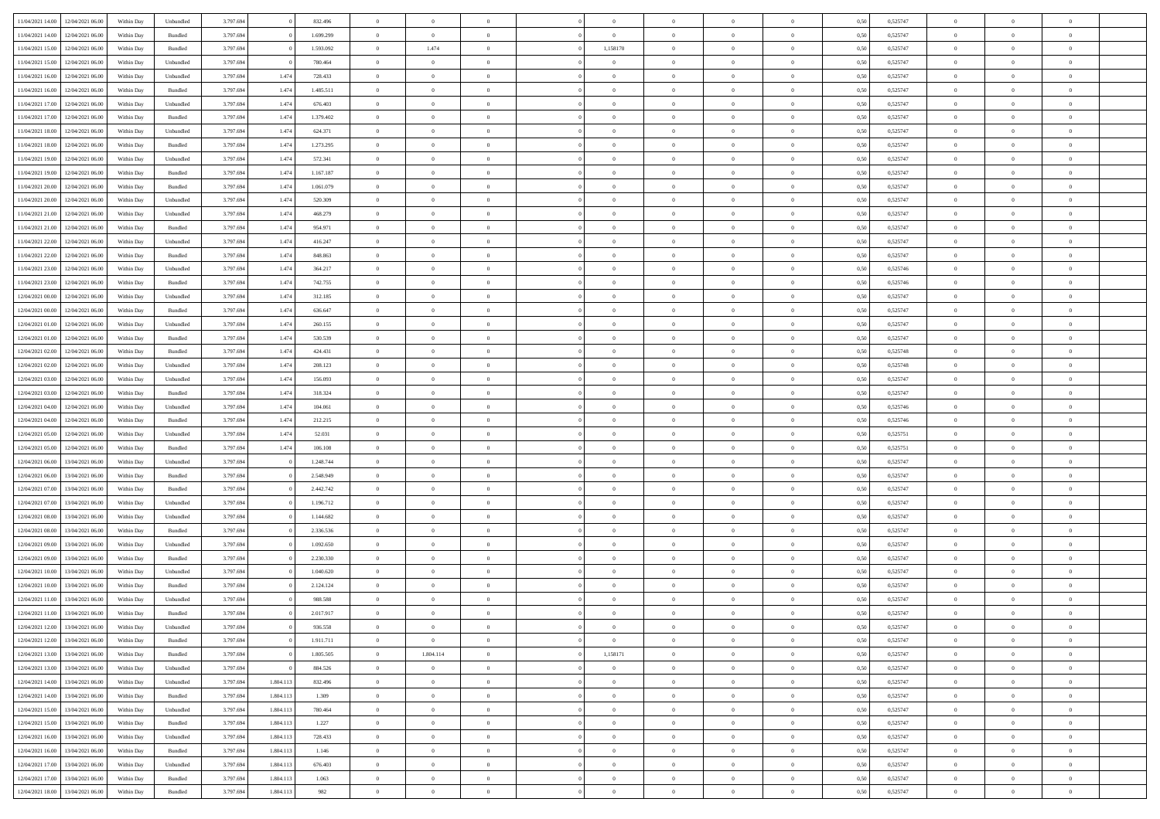| 11/04/2021 14:00                  | 12/04/2021 06:00 | Within Dav | Unbundled          | 3.797.694 |           | 832.496   | $\overline{0}$ | $\Omega$       |                | $\Omega$       | $\Omega$       | $\Omega$       | $\theta$       | 0.50 | 0,525747 | $\theta$       | $\theta$       | $\theta$       |  |
|-----------------------------------|------------------|------------|--------------------|-----------|-----------|-----------|----------------|----------------|----------------|----------------|----------------|----------------|----------------|------|----------|----------------|----------------|----------------|--|
|                                   |                  |            |                    |           |           |           |                |                |                |                |                |                |                |      |          |                |                |                |  |
| 11/04/2021 14:00                  | 12/04/2021 06:00 | Within Day | Bundled            | 3.797.694 |           | 1.699.299 | $\overline{0}$ | $\overline{0}$ | $\overline{0}$ | $\overline{0}$ | $\bf{0}$       | $\overline{0}$ | $\bf{0}$       | 0,50 | 0,525747 | $\theta$       | $\overline{0}$ | $\overline{0}$ |  |
| 11/04/2021 15:00                  | 12/04/2021 06:00 | Within Day | Bundled            | 3.797.694 |           | 1.593.092 | $\overline{0}$ | 1.474          | $\overline{0}$ | 1,158170       | $\bf{0}$       | $\bf{0}$       | $\mathbf{0}$   | 0,50 | 0,525747 | $\bf{0}$       | $\overline{0}$ | $\overline{0}$ |  |
| 11/04/2021 15:00                  | 12/04/2021 06:00 | Within Dav | Unbundled          | 3.797.694 |           | 780,464   | $\overline{0}$ | $\overline{0}$ | $\overline{0}$ | $\overline{0}$ | $\bf{0}$       | $\overline{0}$ | $\overline{0}$ | 0.50 | 0,525747 | $\theta$       | $\theta$       | $\overline{0}$ |  |
| 11/04/2021 16:00                  | 12/04/2021 06:00 | Within Day | Unbundled          | 3.797.694 | 1.474     | 728.433   | $\overline{0}$ | $\theta$       | $\overline{0}$ | $\overline{0}$ | $\bf{0}$       | $\overline{0}$ | $\bf{0}$       | 0,50 | 0,525747 | $\theta$       | $\overline{0}$ | $\overline{0}$ |  |
| 11/04/2021 16:00                  | 12/04/2021 06:00 | Within Day | Bundled            | 3.797.694 | 1.474     | 1.485.511 | $\overline{0}$ | $\bf{0}$       | $\overline{0}$ | $\bf{0}$       | $\overline{0}$ | $\overline{0}$ | $\mathbf{0}$   | 0,50 | 0,525747 | $\bf{0}$       | $\overline{0}$ | $\bf{0}$       |  |
|                                   |                  |            |                    |           |           |           |                |                |                |                | $\overline{0}$ |                |                |      |          | $\theta$       | $\overline{0}$ | $\overline{0}$ |  |
| 11/04/2021 17:00                  | 12/04/2021 06:00 | Within Dav | Unbundled          | 3.797.694 | 1.474     | 676,403   | $\overline{0}$ | $\overline{0}$ | $\overline{0}$ | $\overline{0}$ |                | $\overline{0}$ | $\overline{0}$ | 0.50 | 0,525747 |                |                |                |  |
| 11/04/2021 17:00                  | 12/04/2021 06:00 | Within Day | Bundled            | 3.797.694 | 1.474     | 1.379.402 | $\overline{0}$ | $\theta$       | $\overline{0}$ | $\overline{0}$ | $\bf{0}$       | $\overline{0}$ | $\bf{0}$       | 0,50 | 0,525747 | $\theta$       | $\theta$       | $\overline{0}$ |  |
| 11/04/2021 18:00                  | 12/04/2021 06:00 | Within Day | Unbundled          | 3.797.694 | 1.474     | 624.371   | $\overline{0}$ | $\overline{0}$ | $\overline{0}$ | $\bf{0}$       | $\bf{0}$       | $\bf{0}$       | $\bf{0}$       | 0,50 | 0,525747 | $\,0\,$        | $\overline{0}$ | $\overline{0}$ |  |
| 11/04/2021 18:00                  | 12/04/2021 06:00 | Within Dav | Bundled            | 3.797.694 | 1.474     | 1.273.295 | $\overline{0}$ | $\overline{0}$ | $\overline{0}$ | $\overline{0}$ | $\overline{0}$ | $\overline{0}$ | $\overline{0}$ | 0.50 | 0,525747 | $\theta$       | $\overline{0}$ | $\overline{0}$ |  |
| 11/04/2021 19:00                  | 12/04/2021 06:00 | Within Day | Unbundled          | 3.797.694 | 1.474     | 572.341   | $\overline{0}$ | $\theta$       | $\overline{0}$ | $\overline{0}$ | $\bf{0}$       | $\overline{0}$ | $\bf{0}$       | 0,50 | 0,525747 | $\,$ 0 $\,$    | $\overline{0}$ | $\overline{0}$ |  |
| 11/04/2021 19:00                  | 12/04/2021 06:00 | Within Day | Bundled            | 3.797.694 | 1.474     | 1.167.187 | $\overline{0}$ | $\overline{0}$ | $\overline{0}$ | $\bf{0}$       | $\bf{0}$       | $\bf{0}$       | $\mathbf{0}$   | 0,50 | 0,525747 | $\bf{0}$       | $\overline{0}$ | $\overline{0}$ |  |
| 11/04/2021 20:00                  | 12/04/2021 06:00 | Within Day | Bundled            | 3.797.694 | 1.474     | 1.061.079 | $\overline{0}$ | $\overline{0}$ | $\overline{0}$ | $\overline{0}$ | $\bf{0}$       | $\overline{0}$ | $\overline{0}$ | 0.50 | 0,525747 | $\theta$       | $\theta$       | $\overline{0}$ |  |
|                                   |                  |            |                    |           |           |           | $\overline{0}$ | $\theta$       |                |                | $\bf{0}$       |                |                |      |          | $\theta$       | $\overline{0}$ |                |  |
| 11/04/2021 20:00                  | 12/04/2021 06:00 | Within Day | Unbundled          | 3.797.694 | 1.474     | 520.309   |                |                | $\overline{0}$ | $\overline{0}$ |                | $\overline{0}$ | $\bf{0}$       | 0,50 | 0,525747 |                |                | $\overline{0}$ |  |
| 11/04/2021 21:00                  | 12/04/2021 06:00 | Within Day | Unbundled          | 3.797.694 | 1.474     | 468.279   | $\overline{0}$ | $\bf{0}$       | $\overline{0}$ | $\bf{0}$       | $\overline{0}$ | $\overline{0}$ | $\mathbf{0}$   | 0,50 | 0,525747 | $\bf{0}$       | $\overline{0}$ | $\bf{0}$       |  |
| 11/04/2021 21:00                  | 12/04/2021 06:00 | Within Dav | Bundled            | 3.797.694 | 1.474     | 954.971   | $\overline{0}$ | $\overline{0}$ | $\overline{0}$ | $\overline{0}$ | $\overline{0}$ | $\overline{0}$ | $\overline{0}$ | 0.50 | 0,525747 | $\theta$       | $\overline{0}$ | $\overline{0}$ |  |
| 11/04/2021 22:00                  | 12/04/2021 06:00 | Within Day | Unbundled          | 3.797.694 | 1.474     | 416.247   | $\overline{0}$ | $\theta$       | $\overline{0}$ | $\overline{0}$ | $\bf{0}$       | $\overline{0}$ | $\bf{0}$       | 0,50 | 0,525747 | $\,$ 0 $\,$    | $\theta$       | $\overline{0}$ |  |
| 11/04/2021 22.00                  | 12/04/2021 06:00 | Within Day | Bundled            | 3.797.694 | 1.474     | 848.863   | $\overline{0}$ | $\overline{0}$ | $\overline{0}$ | $\bf{0}$       | $\bf{0}$       | $\bf{0}$       | $\mathbf{0}$   | 0,50 | 0,525747 | $\,0\,$        | $\overline{0}$ | $\overline{0}$ |  |
| 11/04/2021 23:00                  | 12/04/2021 06:00 | Within Day | Unbundled          | 3.797.694 | 1.474     | 364,217   | $\overline{0}$ | $\overline{0}$ | $\overline{0}$ | $\overline{0}$ | $\overline{0}$ | $\overline{0}$ | $\overline{0}$ | 0.50 | 0,525746 | $\theta$       | $\overline{0}$ | $\overline{0}$ |  |
| 11/04/2021 23:00                  | 12/04/2021 06:00 | Within Day | Bundled            | 3.797.694 | 1.474     | 742.755   | $\overline{0}$ | $\theta$       | $\overline{0}$ | $\overline{0}$ | $\bf{0}$       | $\overline{0}$ | $\bf{0}$       | 0,50 | 0,525746 | $\,$ 0 $\,$    | $\theta$       | $\overline{0}$ |  |
|                                   |                  |            |                    |           |           |           |                |                |                |                |                |                |                |      |          |                |                |                |  |
| 12/04/2021 00:00                  | 12/04/2021 06:00 | Within Day | Unbundled          | 3.797.694 | 1.474     | 312.185   | $\overline{0}$ | $\overline{0}$ | $\overline{0}$ | $\bf{0}$       | $\bf{0}$       | $\bf{0}$       | $\bf{0}$       | 0,50 | 0,525747 | $\,0\,$        | $\overline{0}$ | $\overline{0}$ |  |
| 12/04/2021 00:00                  | 12/04/2021 06:00 | Within Day | Bundled            | 3.797.694 | 1.474     | 636,647   | $\overline{0}$ | $\overline{0}$ | $\overline{0}$ | $\overline{0}$ | $\bf{0}$       | $\overline{0}$ | $\overline{0}$ | 0.50 | 0,525747 | $\theta$       | $\theta$       | $\overline{0}$ |  |
| 12/04/2021 01:00                  | 12/04/2021 06:00 | Within Day | Unbundled          | 3.797.694 | 1.474     | 260.155   | $\overline{0}$ | $\theta$       | $\overline{0}$ | $\overline{0}$ | $\bf{0}$       | $\overline{0}$ | $\bf{0}$       | 0,50 | 0,525747 | $\,$ 0 $\,$    | $\overline{0}$ | $\overline{0}$ |  |
| 12/04/2021 01:00                  | 12/04/2021 06:00 | Within Day | Bundled            | 3.797.694 | 1.474     | 530.539   | $\overline{0}$ | $\bf{0}$       | $\overline{0}$ | $\bf{0}$       | $\overline{0}$ | $\overline{0}$ | $\mathbf{0}$   | 0,50 | 0,525747 | $\bf{0}$       | $\overline{0}$ | $\bf{0}$       |  |
| 12/04/2021 02:00                  | 12/04/2021 06:00 | Within Day | Bundled            | 3.797.694 | 1.474     | 424.431   | $\overline{0}$ | $\overline{0}$ | $\overline{0}$ | $\overline{0}$ | $\overline{0}$ | $\overline{0}$ | $\overline{0}$ | 0.50 | 0,525748 | $\theta$       | $\overline{0}$ | $\overline{0}$ |  |
| 12/04/2021 02:00                  | 12/04/2021 06:00 | Within Day | Unbundled          | 3.797.694 | 1.474     | 208.123   | $\overline{0}$ | $\theta$       | $\overline{0}$ | $\overline{0}$ | $\bf{0}$       | $\overline{0}$ | $\bf{0}$       | 0,50 | 0,525748 | $\theta$       | $\theta$       | $\overline{0}$ |  |
| 12/04/2021 03:00                  | 12/04/2021 06:00 | Within Day | Unbundled          | 3.797.694 | 1.474     | 156.093   | $\overline{0}$ | $\overline{0}$ | $\overline{0}$ | $\bf{0}$       | $\bf{0}$       | $\bf{0}$       | $\bf{0}$       | 0,50 | 0,525747 | $\,0\,$        | $\overline{0}$ | $\overline{0}$ |  |
| 12/04/2021 03:00                  | 12/04/2021 06:00 |            | Bundled            | 3.797.694 | 1.474     | 318,324   | $\overline{0}$ | $\overline{0}$ | $\overline{0}$ | $\overline{0}$ | $\overline{0}$ | $\overline{0}$ | $\overline{0}$ | 0.50 | 0,525747 | $\theta$       | $\overline{0}$ | $\overline{0}$ |  |
|                                   |                  | Within Day |                    |           |           |           |                |                |                |                |                |                |                |      |          |                |                |                |  |
| 12/04/2021 04:00                  | 12/04/2021 06:00 | Within Day | Unbundled          | 3.797.694 | 1.474     | 104.061   | $\overline{0}$ | $\theta$       | $\overline{0}$ | $\overline{0}$ | $\bf{0}$       | $\overline{0}$ | $\bf{0}$       | 0,50 | 0,525746 | $\,$ 0 $\,$    | $\overline{0}$ | $\overline{0}$ |  |
| 12/04/2021 04:00                  | 12/04/2021 06:00 | Within Day | Bundled            | 3.797.694 | 1.474     | 212.215   | $\overline{0}$ | $\overline{0}$ | $\overline{0}$ | $\bf{0}$       | $\bf{0}$       | $\bf{0}$       | $\bf{0}$       | 0,50 | 0,525746 | $\overline{0}$ | $\overline{0}$ | $\overline{0}$ |  |
| 12/04/2021 05:00                  | 12/04/2021 06:00 | Within Day | Unbundled          | 3.797.694 | 1.474     | 52.031    | $\overline{0}$ | $\Omega$       | $\overline{0}$ | $\Omega$       | $\Omega$       | $\overline{0}$ | $\overline{0}$ | 0,50 | 0,525751 | $\,0\,$        | $\theta$       | $\theta$       |  |
| 12/04/2021 05:00                  | 12/04/2021 06:00 | Within Day | Bundled            | 3.797.694 | 1.474     | 106.108   | $\overline{0}$ | $\theta$       | $\overline{0}$ | $\overline{0}$ | $\bf{0}$       | $\overline{0}$ | $\bf{0}$       | 0,50 | 0,525751 | $\,$ 0 $\,$    | $\overline{0}$ | $\overline{0}$ |  |
| 12/04/2021 06:00                  | 13/04/2021 06:00 | Within Day | Unbundled          | 3.797.694 |           | 1.248.744 | $\overline{0}$ | $\bf{0}$       | $\overline{0}$ | $\bf{0}$       | $\bf{0}$       | $\overline{0}$ | $\mathbf{0}$   | 0,50 | 0,525747 | $\overline{0}$ | $\overline{0}$ | $\bf{0}$       |  |
| 12/04/2021 06:00                  | 13/04/2021 06:00 | Within Day | Bundled            | 3.797.694 |           | 2.548.949 | $\overline{0}$ | $\Omega$       | $\Omega$       | $\Omega$       | $\bf{0}$       | $\overline{0}$ | $\overline{0}$ | 0.50 | 0,525747 | $\,0\,$        | $\theta$       | $\theta$       |  |
| 12/04/2021 07:00                  | 13/04/2021 06:00 | Within Day | Bundled            | 3.797.694 |           | 2.442.742 | $\overline{0}$ | $\theta$       | $\overline{0}$ | $\overline{0}$ | $\bf{0}$       | $\overline{0}$ | $\bf{0}$       | 0,50 | 0,525747 | $\,$ 0 $\,$    | $\theta$       | $\overline{0}$ |  |
|                                   |                  |            |                    |           |           |           |                |                |                |                |                |                |                |      |          |                |                |                |  |
| 12/04/2021 07:00                  | 13/04/2021 06:00 | Within Day | Unbundled          | 3.797.694 |           | 1.196.712 | $\overline{0}$ | $\overline{0}$ | $\overline{0}$ | $\bf{0}$       | $\bf{0}$       | $\bf{0}$       | $\bf{0}$       | 0,50 | 0,525747 | $\,0\,$        | $\overline{0}$ | $\overline{0}$ |  |
| 12/04/2021 08:00                  | 13/04/2021 06:00 | Within Day | Unbundled          | 3.797.694 |           | 1.144.682 | $\overline{0}$ | $\Omega$       | $\overline{0}$ | $\Omega$       | $\overline{0}$ | $\overline{0}$ | $\overline{0}$ | 0.50 | 0,525747 | $\,$ 0 $\,$    | $\theta$       | $\theta$       |  |
| 12/04/2021 08:00                  | 13/04/2021 06:00 | Within Day | Bundled            | 3.797.694 |           | 2.336.536 | $\overline{0}$ | $\theta$       | $\overline{0}$ | $\overline{0}$ | $\bf{0}$       | $\overline{0}$ | $\bf{0}$       | 0,50 | 0,525747 | $\,$ 0 $\,$    | $\overline{0}$ | $\overline{0}$ |  |
| 12/04/2021 09:00                  | 13/04/2021 06:00 | Within Day | Unbundled          | 3.797.694 |           | 1.092.650 | $\overline{0}$ | $\overline{0}$ | $\overline{0}$ | $\bf{0}$       | $\bf{0}$       | $\bf{0}$       | $\bf{0}$       | 0,50 | 0,525747 | $\bf{0}$       | $\overline{0}$ | $\overline{0}$ |  |
| 12/04/2021 09:00                  | 13/04/2021 06:00 | Within Day | $\mathbf B$ undled | 3.797.694 |           | 2.230.330 | $\overline{0}$ | $\Omega$       | $\overline{0}$ | $\Omega$       | $\overline{0}$ | $\overline{0}$ | $\overline{0}$ | 0,50 | 0,525747 | $\,0\,$        | $\theta$       | $\theta$       |  |
| 12/04/2021 10:00                  | 13/04/2021 06:00 | Within Day | Unbundled          | 3.797.694 |           | 1.040.620 | $\overline{0}$ | $\theta$       | $\overline{0}$ | $\overline{0}$ | $\,$ 0         | $\overline{0}$ | $\bf{0}$       | 0,50 | 0,525747 | $\,$ 0 $\,$    | $\overline{0}$ | $\overline{0}$ |  |
| 12/04/2021 10:00                  | 13/04/2021 06:00 | Within Day | Bundled            | 3.797.694 |           | 2.124.124 | $\overline{0}$ | $\overline{0}$ | $\overline{0}$ | $\bf{0}$       | $\bf{0}$       | $\bf{0}$       | $\mathbf{0}$   | 0,50 | 0,525747 | $\overline{0}$ | $\overline{0}$ | $\bf{0}$       |  |
| 12/04/2021 11:00                  | 13/04/2021 06:00 |            | Unbundled          | 3.797.694 |           | 988,588   | $\overline{0}$ | $\Omega$       | $\Omega$       | $\Omega$       | $\Omega$       | $\Omega$       | $\overline{0}$ | 0.50 | 0,525747 | $\theta$       | $\theta$       | $\theta$       |  |
|                                   |                  | Within Day |                    |           |           |           |                |                |                |                |                |                |                |      |          |                |                |                |  |
| 12/04/2021 11:00                  | 13/04/2021 06:00 | Within Day | Bundled            | 3.797.694 |           | 2.017.917 | $\overline{0}$ | $\,$ 0 $\,$    | $\overline{0}$ | $\bf{0}$       | $\,$ 0         | $\bf{0}$       | $\bf{0}$       | 0,50 | 0,525747 | $\,0\,$        | $\overline{0}$ | $\overline{0}$ |  |
| 12/04/2021 12:00                  | 13/04/2021 06:00 | Within Day | Unbundled          | 3.797.694 |           | 936.558   | $\bf{0}$       |                |                |                |                |                |                | 0,50 | 0,525747 | $\bf{0}$       | $\bf{0}$       |                |  |
| 12/04/2021 12:00                  | 13/04/2021 06:00 | Within Day | Bundled            | 3.797.694 |           | 1.911.711 | $\overline{0}$ | $\overline{0}$ | $\overline{0}$ | $\Omega$       | $\overline{0}$ | $\overline{0}$ | $\overline{0}$ | 0,50 | 0,525747 | $\theta$       | $\theta$       | $\theta$       |  |
| 12/04/2021 13:00                  | 13/04/2021 06:00 | Within Day | Bundled            | 3.797.694 |           | 1.805.505 | $\overline{0}$ | 1.804.114      | $\overline{0}$ | 1,158171       | $\,$ 0 $\,$    | $\overline{0}$ | $\,$ 0 $\,$    | 0,50 | 0,525747 | $\,$ 0 $\,$    | $\,$ 0 $\,$    | $\,$ 0         |  |
| 12/04/2021 13:00                  | 13/04/2021 06:00 | Within Day | Unbundled          | 3.797.694 |           | 884.526   | $\overline{0}$ | $\sim$ 0       | $\overline{0}$ | $\overline{0}$ | $\overline{0}$ | $\overline{0}$ | $\mathbf{0}$   | 0,50 | 0,525747 | $\overline{0}$ | $\bf{0}$       | $\overline{0}$ |  |
| 12/04/2021 14:00                  | 13/04/2021 06:00 | Within Day | Unbundled          | 3.797.694 | 1.804.113 | 832.496   | $\overline{0}$ | $\overline{0}$ | $\overline{0}$ | $\overline{0}$ | $\overline{0}$ | $\overline{0}$ | $\overline{0}$ | 0,50 | 0,525747 | $\overline{0}$ | $\theta$       | $\overline{0}$ |  |
| 12/04/2021 14:00                  | 13/04/2021 06:00 | Within Day | Bundled            | 3.797.694 | 1.804.113 | 1.309     | $\overline{0}$ | $\,$ 0         | $\overline{0}$ | $\bf{0}$       | $\,$ 0 $\,$    | $\overline{0}$ | $\,$ 0 $\,$    | 0,50 | 0,525747 | $\,$ 0 $\,$    | $\overline{0}$ | $\,$ 0         |  |
|                                   |                  |            |                    |           |           |           |                |                |                |                |                |                |                |      |          |                |                |                |  |
| 12/04/2021 15:00                  | 13/04/2021 06:00 | Within Day | Unbundled          | 3.797.694 | 1.804.113 | 780.464   | $\overline{0}$ | $\overline{0}$ | $\overline{0}$ | $\overline{0}$ | $\overline{0}$ | $\overline{0}$ | $\mathbf{0}$   | 0,50 | 0,525747 | $\overline{0}$ | $\overline{0}$ | $\overline{0}$ |  |
| 12/04/2021 15:00                  | 13/04/2021 06:00 | Within Day | Bundled            | 3.797.694 | 1.804.113 | 1.227     | $\overline{0}$ | $\overline{0}$ | $\overline{0}$ | $\overline{0}$ | $\overline{0}$ | $\overline{0}$ | $\bf{0}$       | 0.50 | 0,525747 | $\overline{0}$ | $\theta$       | $\overline{0}$ |  |
| 12/04/2021 16:00                  | 13/04/2021 06:00 | Within Day | Unbundled          | 3.797.694 | 1.804.113 | 728.433   | $\overline{0}$ | $\,$ 0         | $\overline{0}$ | $\bf{0}$       | $\bf{0}$       | $\bf{0}$       | $\bf{0}$       | 0,50 | 0,525747 | $\,$ 0 $\,$    | $\overline{0}$ | $\overline{0}$ |  |
| 12/04/2021 16:00                  | 13/04/2021 06:00 | Within Day | Bundled            | 3.797.694 | 1.804.113 | 1.146     | $\overline{0}$ | $\bf{0}$       | $\overline{0}$ | $\overline{0}$ | $\overline{0}$ | $\overline{0}$ | $\mathbf{0}$   | 0,50 | 0,525747 | $\overline{0}$ | $\overline{0}$ | $\bf{0}$       |  |
| 12/04/2021 17:00                  | 13/04/2021 06:00 | Within Day | Unbundled          | 3.797.694 | 1.804.113 | 676.403   | $\overline{0}$ | $\overline{0}$ | $\overline{0}$ | $\Omega$       | $\overline{0}$ | $\overline{0}$ | $\bf{0}$       | 0.50 | 0,525747 | $\overline{0}$ | $\theta$       | $\overline{0}$ |  |
| 12/04/2021 17:00                  | 13/04/2021 06:00 | Within Day | Bundled            | 3.797.694 | 1.804.113 | 1.063     | $\overline{0}$ | $\bf{0}$       | $\overline{0}$ | $\bf{0}$       | $\bf{0}$       | $\bf{0}$       | $\mathbf{0}$   | 0,50 | 0,525747 | $\,$ 0 $\,$    | $\,$ 0 $\,$    | $\bf{0}$       |  |
| 12/04/2021 18:00 13/04/2021 06:00 |                  | Within Day | Bundled            | 3.797.694 | 1.804.113 | 982       | $\overline{0}$ | $\overline{0}$ | $\overline{0}$ | $\overline{0}$ | $\overline{0}$ | $\bf{0}$       | $\mathbf{0}$   | 0,50 | 0,525747 | $\overline{0}$ | $\bf{0}$       | $\overline{0}$ |  |
|                                   |                  |            |                    |           |           |           |                |                |                |                |                |                |                |      |          |                |                |                |  |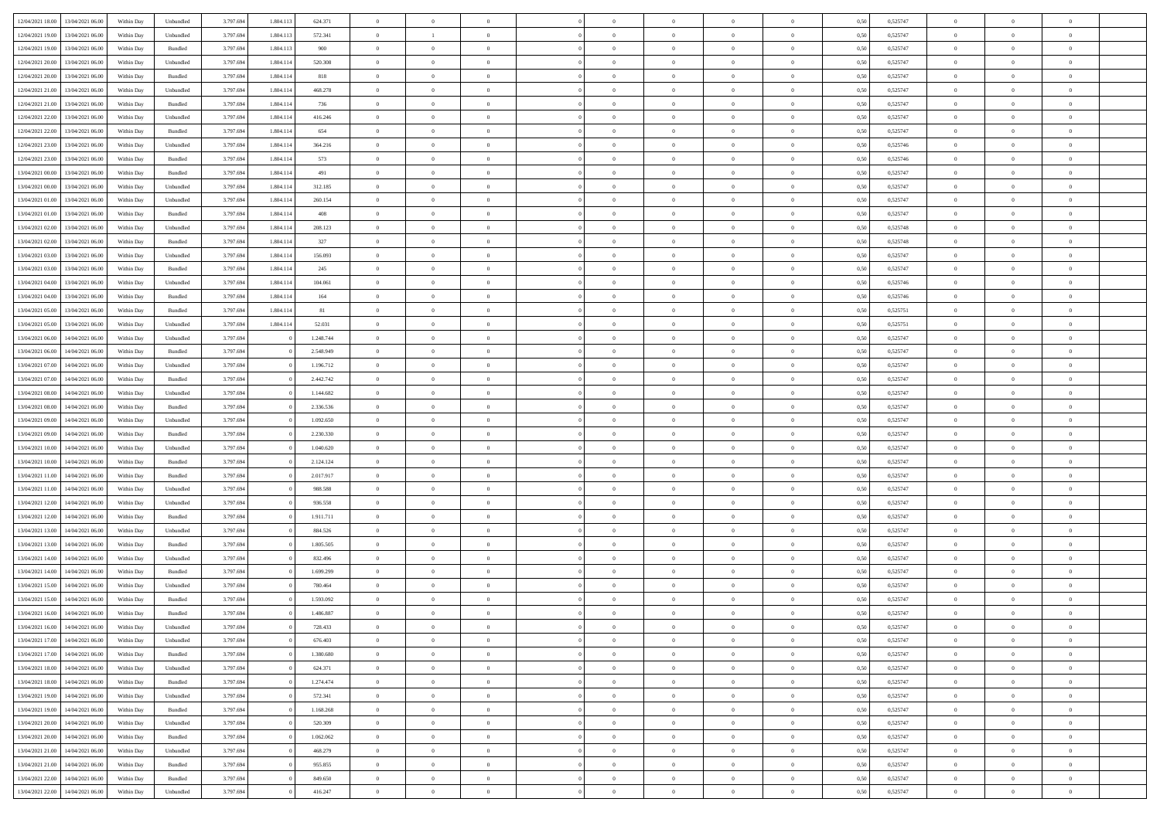| 12/04/2021 18:00 | 13/04/2021 06:00                  | Within Day         | Unbundled                   | 3.797.694 | 1.804.113 | 624.371   | $\overline{0}$ | $\theta$       |                | $\overline{0}$ | $\bf{0}$       | $\overline{0}$ | $\theta$       | 0,50 | 0,525747 | $\theta$       | $\theta$       | $\theta$       |  |
|------------------|-----------------------------------|--------------------|-----------------------------|-----------|-----------|-----------|----------------|----------------|----------------|----------------|----------------|----------------|----------------|------|----------|----------------|----------------|----------------|--|
| 12/04/2021 19:00 | 13/04/2021 06:00                  | Within Day         | Unbundled                   | 3.797.694 | 1.804.11  | 572.341   | $\bf{0}$       | <sup>1</sup>   | $\overline{0}$ | $\overline{0}$ | $\bf{0}$       | $\bf{0}$       | $\bf{0}$       | 0,50 | 0,525747 | $\,$ 0 $\,$    | $\overline{0}$ | $\overline{0}$ |  |
| 12/04/2021 19:00 | 13/04/2021 06:00                  | Within Day         | $\mathbf{B}$ undled         | 3.797.694 | 1.804.113 | 900       | $\overline{0}$ | $\overline{0}$ | $\overline{0}$ | $\overline{0}$ | $\bf{0}$       | $\overline{0}$ | $\mathbf{0}$   | 0.50 | 0,525747 | $\overline{0}$ | $\,$ 0 $\,$    | $\bf{0}$       |  |
|                  |                                   |                    |                             |           |           |           |                | $\overline{0}$ |                |                |                |                |                |      |          |                |                |                |  |
| 12/04/2021 20:00 | 13/04/2021 06:00                  | Within Day         | Unbundled                   | 3.797.694 | 1.804.114 | 520.308   | $\overline{0}$ |                | $\overline{0}$ | $\overline{0}$ | $\,0\,$        | $\overline{0}$ | $\overline{0}$ | 0,50 | 0,525747 | $\,$ 0 $\,$    | $\overline{0}$ | $\overline{0}$ |  |
| 12/04/2021 20:00 | 13/04/2021 06.00                  | Within Day         | Bundled                     | 3.797.694 | 1.804.114 | 818       | $\overline{0}$ | $\overline{0}$ | $\overline{0}$ | $\overline{0}$ | $\,$ 0         | $\overline{0}$ | $\bf{0}$       | 0,50 | 0,525747 | $\,$ 0 $\,$    | $\overline{0}$ | $\overline{0}$ |  |
| 12/04/2021 21:00 | 13/04/2021 06:00                  | Within Day         | Unbundled                   | 3.797.694 | 1.804.114 | 468.278   | $\overline{0}$ | $\overline{0}$ | $\overline{0}$ | $\overline{0}$ | $\bf{0}$       | $\overline{0}$ | $\bf{0}$       | 0.50 | 0.525747 | $\,0\,$        | $\theta$       | $\overline{0}$ |  |
| 12/04/2021 21:00 | 13/04/2021 06:00                  | Within Day         | Bundled                     | 3.797.694 | 1.804.114 | 736       | $\overline{0}$ | $\overline{0}$ | $\overline{0}$ | $\overline{0}$ | $\bf{0}$       | $\overline{0}$ | $\bf{0}$       | 0,50 | 0,525747 | $\,$ 0 $\,$    | $\theta$       | $\overline{0}$ |  |
| 12/04/2021 22:00 | 13/04/2021 06.00                  | Within Day         | Unbundled                   | 3.797.694 | 1.804.114 | 416.246   | $\overline{0}$ | $\overline{0}$ | $\overline{0}$ | $\overline{0}$ | $\,$ 0         | $\bf{0}$       | $\bf{0}$       | 0,50 | 0,525747 | $\,$ 0 $\,$    | $\overline{0}$ | $\overline{0}$ |  |
| 12/04/2021 22:00 | 13/04/2021 06:00                  | Within Day         | Bundled                     | 3.797.694 | 1.804.114 | 654       | $\overline{0}$ | $\overline{0}$ | $\overline{0}$ | $\overline{0}$ | $\bf{0}$       | $\overline{0}$ | $\bf{0}$       | 0.50 | 0.525747 | $\,0\,$        | $\overline{0}$ | $\bf{0}$       |  |
| 12/04/2021 23:00 | 13/04/2021 06:00                  | Within Day         | Unbundled                   | 3.797.694 | 1.804.114 | 364.216   | $\overline{0}$ | $\overline{0}$ | $\overline{0}$ | $\overline{0}$ | $\bf{0}$       | $\overline{0}$ | $\bf{0}$       | 0,50 | 0,525746 | $\,$ 0 $\,$    | $\overline{0}$ | $\overline{0}$ |  |
| 12/04/2021 23:00 | 13/04/2021 06.00                  | Within Day         | Bundled                     | 3.797.694 | 1.804.114 | 573       | $\bf{0}$       | $\overline{0}$ | $\overline{0}$ | $\overline{0}$ | $\,$ 0         | $\bf{0}$       | $\bf{0}$       | 0,50 | 0,525746 | $\,$ 0 $\,$    | $\overline{0}$ | $\overline{0}$ |  |
| 13/04/2021 00:00 | 13/04/2021 06:00                  | Within Day         | Bundled                     | 3.797.694 | 1.804.114 | 491       | $\overline{0}$ | $\overline{0}$ | $\overline{0}$ | $\overline{0}$ | $\bf{0}$       | $\overline{0}$ | $\mathbf{0}$   | 0.50 | 0,525747 | $\,$ 0 $\,$    | $\,$ 0 $\,$    | $\bf{0}$       |  |
| 13/04/2021 00:00 | 13/04/2021 06:00                  | Within Day         | Unbundled                   | 3.797.694 | 1.804.114 | 312.185   | $\overline{0}$ | $\overline{0}$ | $\overline{0}$ | $\overline{0}$ | $\bf{0}$       | $\overline{0}$ | $\overline{0}$ | 0,50 | 0,525747 | $\,$ 0 $\,$    | $\overline{0}$ | $\overline{0}$ |  |
| 13/04/2021 01:00 | 13/04/2021 06:00                  | Within Day         | Unbundled                   | 3.797.694 | 1.804.11  | 260.154   | $\overline{0}$ | $\theta$       | $\overline{0}$ | $\overline{0}$ | $\,$ 0         | $\overline{0}$ | $\bf{0}$       | 0,50 | 0,525747 | $\,$ 0 $\,$    | $\overline{0}$ | $\overline{0}$ |  |
| 13/04/2021 01:00 | 13/04/2021 06:00                  | Within Day         | Bundled                     | 3.797.694 | 1.804.114 | 408       | $\overline{0}$ | $\overline{0}$ | $\overline{0}$ | $\overline{0}$ | $\bf{0}$       | $\overline{0}$ | $\bf{0}$       | 0.50 | 0.525747 | $\,0\,$        | $\theta$       | $\overline{0}$ |  |
|                  |                                   |                    |                             |           |           |           | $\overline{0}$ | $\overline{0}$ | $\overline{0}$ | $\overline{0}$ |                | $\overline{0}$ |                |      |          | $\,$ 0 $\,$    | $\theta$       | $\overline{0}$ |  |
| 13/04/2021 02:00 | 13/04/2021 06:00                  | Within Day         | Unbundled                   | 3.797.694 | 1.804.114 | 208.123   |                |                |                |                | $\bf{0}$       |                | $\bf{0}$       | 0,50 | 0,525748 |                |                |                |  |
| 13/04/2021 02:00 | 13/04/2021 06.00                  | Within Day         | Bundled                     | 3.797.694 | 1.804.114 | 327       | $\overline{0}$ | $\overline{0}$ | $\overline{0}$ | $\overline{0}$ | $\,$ 0         | $\bf{0}$       | $\bf{0}$       | 0,50 | 0,525748 | $\,$ 0 $\,$    | $\overline{0}$ | $\overline{0}$ |  |
| 13/04/2021 03:00 | 13/04/2021 06:00                  | Within Day         | Unbundled                   | 3.797.694 | 1.804.114 | 156,093   | $\overline{0}$ | $\overline{0}$ | $\overline{0}$ | $\overline{0}$ | $\bf{0}$       | $\overline{0}$ | $\mathbf{0}$   | 0.50 | 0.525747 | $\bf{0}$       | $\overline{0}$ | $\bf{0}$       |  |
| 13/04/2021 03:00 | 13/04/2021 06:00                  | Within Day         | Bundled                     | 3.797.694 | 1.804.114 | 245       | $\overline{0}$ | $\overline{0}$ | $\overline{0}$ | $\overline{0}$ | $\bf{0}$       | $\overline{0}$ | $\bf{0}$       | 0,50 | 0,525747 | $\,$ 0 $\,$    | $\overline{0}$ | $\overline{0}$ |  |
| 13/04/2021 04:00 | 13/04/2021 06.00                  | Within Day         | Unbundled                   | 3.797.694 | 1.804.114 | 104.061   | $\overline{0}$ | $\overline{0}$ | $\overline{0}$ | $\overline{0}$ | $\bf{0}$       | $\bf{0}$       | $\bf{0}$       | 0,50 | 0,525746 | $\,$ 0 $\,$    | $\overline{0}$ | $\overline{0}$ |  |
| 13/04/2021 04:00 | 13/04/2021 06:00                  | Within Day         | $\mathbf B$ undled          | 3.797.694 | 1.804.114 | 164       | $\overline{0}$ | $\overline{0}$ | $\overline{0}$ | $\overline{0}$ | $\bf{0}$       | $\overline{0}$ | $\mathbf{0}$   | 0.50 | 0,525746 | $\,$ 0 $\,$    | $\,$ 0 $\,$    | $\overline{0}$ |  |
| 13/04/2021 05:00 | 13/04/2021 06:00                  | Within Day         | Bundled                     | 3.797.694 | 1.804.114 | $81\,$    | $\overline{0}$ | $\overline{0}$ | $\overline{0}$ | $\overline{0}$ | $\bf{0}$       | $\overline{0}$ | $\overline{0}$ | 0,50 | 0,525751 | $\,$ 0 $\,$    | $\overline{0}$ | $\overline{0}$ |  |
| 13/04/2021 05:00 | 13/04/2021 06:00                  | Within Day         | Unbundled                   | 3.797.694 | 1.804.114 | 52.031    | $\overline{0}$ | $\overline{0}$ | $\overline{0}$ | $\overline{0}$ | $\,$ 0         | $\bf{0}$       | $\bf{0}$       | 0,50 | 0,525751 | $\,$ 0 $\,$    | $\overline{0}$ | $\overline{0}$ |  |
| 13/04/2021 06:00 | 14/04/2021 06:00                  | Within Day         | Unbundled                   | 3.797.694 |           | 1.248.744 | $\overline{0}$ | $\overline{0}$ | $\overline{0}$ | $\overline{0}$ | $\bf{0}$       | $\overline{0}$ | $\bf{0}$       | 0.50 | 0.525747 | $\,0\,$        | $\overline{0}$ | $\overline{0}$ |  |
| 13/04/2021 06:00 | 14/04/2021 06:00                  | Within Day         | Bundled                     | 3.797.694 |           | 2.548.949 | $\overline{0}$ | $\overline{0}$ | $\overline{0}$ | $\overline{0}$ | $\bf{0}$       | $\overline{0}$ | $\bf{0}$       | 0,50 | 0,525747 | $\,$ 0 $\,$    | $\theta$       | $\overline{0}$ |  |
| 13/04/2021 07:00 | 14/04/2021 06.00                  | Within Day         | Unbundled                   | 3.797.694 |           | 1.196.712 | $\overline{0}$ | $\theta$       | $\overline{0}$ | $\overline{0}$ | $\,$ 0         | $\overline{0}$ | $\bf{0}$       | 0,50 | 0,525747 | $\,$ 0 $\,$    | $\overline{0}$ | $\overline{0}$ |  |
| 13/04/2021 07:00 | 14/04/2021 06:00                  | Within Day         | Bundled                     | 3.797.694 |           | 2.442.742 | $\overline{0}$ | $\overline{0}$ | $\overline{0}$ | $\overline{0}$ | $\bf{0}$       | $\overline{0}$ | $\bf{0}$       | 0.50 | 0.525747 | $\bf{0}$       | $\overline{0}$ | $\bf{0}$       |  |
| 13/04/2021 08:00 | 14/04/2021 06:00                  | Within Day         | Unbundled                   | 3.797.694 |           | 1.144.682 | $\overline{0}$ | $\overline{0}$ | $\overline{0}$ | $\overline{0}$ | $\bf{0}$       | $\overline{0}$ | $\bf{0}$       | 0,50 | 0,525747 | $\,$ 0 $\,$    | $\overline{0}$ | $\overline{0}$ |  |
|                  |                                   |                    |                             |           |           |           |                |                |                |                |                |                |                |      |          |                |                |                |  |
| 13/04/2021 08:00 | 14/04/2021 06.00                  | Within Day         | Bundled                     | 3.797.694 |           | 2.336.536 | $\bf{0}$       | $\overline{0}$ | $\overline{0}$ | $\overline{0}$ | $\bf{0}$       | $\overline{0}$ | $\bf{0}$       | 0,50 | 0,525747 | $\,$ 0 $\,$    | $\overline{0}$ | $\overline{0}$ |  |
| 13/04/2021 09:00 | 14/04/2021 06:00                  | Within Day         | Unbundled                   | 3.797.694 |           | 1.092.650 | $\overline{0}$ | $\overline{0}$ | $\overline{0}$ | $\overline{0}$ | $\bf{0}$       | $\overline{0}$ | $\mathbf{0}$   | 0.50 | 0,525747 | $\,$ 0 $\,$    | $\,$ 0 $\,$    | $\overline{0}$ |  |
| 13/04/2021 09:00 | 14/04/2021 06:00                  | Within Dav         | Bundled                     | 3.797.694 |           | 2.230.330 | $\overline{0}$ | $\overline{0}$ | $\overline{0}$ | $\overline{0}$ | $\overline{0}$ | $\overline{0}$ | $\mathbf{0}$   | 0.50 | 0,525747 | $\theta$       | $\overline{0}$ | $\overline{0}$ |  |
| 13/04/2021 10:00 | 14/04/2021 06.00                  | Within Day         | Unbundled                   | 3.797.694 |           | 1.040.620 | $\overline{0}$ | $\overline{0}$ | $\overline{0}$ | $\overline{0}$ | $\,$ 0         | $\bf{0}$       | $\bf{0}$       | 0,50 | 0,525747 | $\,$ 0 $\,$    | $\overline{0}$ | $\overline{0}$ |  |
| 13/04/2021 10:00 | 14/04/2021 06:00                  | Within Day         | Bundled                     | 3.797.694 |           | 2.124.124 | $\overline{0}$ | $\overline{0}$ | $\overline{0}$ | $\overline{0}$ | $\bf{0}$       | $\overline{0}$ | $\bf{0}$       | 0.50 | 0.525747 | $\,0\,$        | $\theta$       | $\overline{0}$ |  |
| 13/04/2021 11:00 | 14/04/2021 06:00                  | Within Dav         | Bundled                     | 3.797.694 |           | 2.017.917 | $\overline{0}$ | $\overline{0}$ | $\Omega$       | $\overline{0}$ | $\mathbf{0}$   | $\overline{0}$ | $\overline{0}$ | 0.50 | 0,525747 | $\theta$       | $\overline{0}$ | $\overline{0}$ |  |
| 13/04/2021 11:00 | 14/04/2021 06.00                  | Within Day         | Unbundled                   | 3.797.694 |           | 988.588   | $\bf{0}$       | $\overline{0}$ | $\overline{0}$ | $\overline{0}$ | $\,$ 0         | $\bf{0}$       | $\bf{0}$       | 0,50 | 0,525747 | $\,$ 0 $\,$    | $\overline{0}$ | $\overline{0}$ |  |
| 13/04/2021 12:00 | 14/04/2021 06:00                  | Within Day         | Unbundled                   | 3.797.694 |           | 936.558   | $\overline{0}$ | $\overline{0}$ | $\overline{0}$ | $\overline{0}$ | $\bf{0}$       | $\overline{0}$ | $\mathbf{0}$   | 0.50 | 0.525747 | $\bf{0}$       | $\overline{0}$ | $\bf{0}$       |  |
| 13/04/2021 12:00 | 14/04/2021 06:00                  | Within Dav         | Bundled                     | 3.797.694 |           | 1.911.711 | $\overline{0}$ | $\overline{0}$ | $\overline{0}$ | $\overline{0}$ | $\overline{0}$ | $\overline{0}$ | $\overline{0}$ | 0,50 | 0,525747 | $\theta$       | $\overline{0}$ | $\overline{0}$ |  |
| 13/04/2021 13:00 | 14/04/2021 06.00                  | Within Day         | Unbundled                   | 3.797.694 |           | 884.526   | $\bf{0}$       | $\overline{0}$ | $\overline{0}$ | $\bf{0}$       | $\bf{0}$       | $\bf{0}$       | $\bf{0}$       | 0,50 | 0,525747 | $\,$ 0 $\,$    | $\overline{0}$ | $\overline{0}$ |  |
| 13/04/2021 13:00 | 14/04/2021 06:00                  | Within Day         | Bundled                     | 3.797.694 |           | 1.805.505 | $\overline{0}$ | $\overline{0}$ | $\overline{0}$ | $\overline{0}$ | $\bf{0}$       | $\overline{0}$ | $\mathbf{0}$   | 0.50 | 0,525747 | $\overline{0}$ | $\,$ 0 $\,$    | $\overline{0}$ |  |
| 13/04/2021 14:00 | 14/04/2021 06:00                  | Within Dav         | Unbundled                   | 3.797.694 |           | 832.496   | $\overline{0}$ | $\overline{0}$ | $\theta$       | $\overline{0}$ | $\mathbf{0}$   | $\overline{0}$ | $\mathbf{0}$   | 0.50 | 0,525747 | $\theta$       | $\overline{0}$ | $\overline{0}$ |  |
| 13/04/2021 14:00 | 14/04/2021 06.00                  | Within Day         | Bundled                     | 3.797.694 |           | 1.699.299 | $\overline{0}$ | $\overline{0}$ | $\overline{0}$ | $\overline{0}$ | $\bf{0}$       | $\overline{0}$ | $\bf{0}$       | 0,50 | 0,525747 | $\,$ 0 $\,$    | $\overline{0}$ | $\overline{0}$ |  |
| 13/04/2021 15:00 | 14/04/2021 06:00                  | Within Day         | Unbundled                   | 3.797.694 |           | 780,464   | $\overline{0}$ | $\overline{0}$ | $\overline{0}$ | $\overline{0}$ | $\bf{0}$       | $\overline{0}$ | $\bf{0}$       | 0.50 | 0,525747 | $\,0\,$        | $\theta$       | $\overline{0}$ |  |
| 13/04/2021 15:00 | 14/04/2021 06:00                  | Within Dav         | Bundled                     | 3.797.694 |           | 1.593.092 | $\overline{0}$ | $\theta$       | $\Omega$       | $\Omega$       | $\bf{0}$       | $\overline{0}$ | $\overline{0}$ | 0.50 | 0,525747 | $\theta$       | $\overline{0}$ | $\overline{0}$ |  |
|                  |                                   |                    |                             | 3.797.694 |           |           |                | $\overline{0}$ | $\overline{0}$ |                | $\,$ 0         |                |                |      |          | $\,$ 0 $\,$    | $\overline{0}$ | $\overline{0}$ |  |
| 13/04/2021 16:00 | 14/04/2021 06:00                  | Within Day         | Bundled                     |           |           | 1.486.887 | $\overline{0}$ |                |                | $\bf{0}$       |                | $\bf{0}$       | $\bf{0}$       | 0,50 | 0,525747 |                |                |                |  |
| 13/04/2021 16:00 | 14/04/2021 06:00                  | Within ${\bf Day}$ | $\ensuremath{\mathsf{Unb}}$ | 3.797.694 |           | 728.433   | $\bf{0}$       | $\bf{0}$       |                | $^{\circ}$     | $\Omega$       |                |                | 0,50 | 0,525747 | $\bf{0}$       | $\theta$       |                |  |
| 13/04/2021 17:00 | 14/04/2021 06:00                  | Within Day         | Unbundled                   | 3.797.694 |           | 676.403   | $\overline{0}$ | $\overline{0}$ | $\overline{0}$ | $\overline{0}$ | $\overline{0}$ | $\overline{0}$ | $\mathbf{0}$   | 0,50 | 0,525747 | $\theta$       | $\overline{0}$ | $\overline{0}$ |  |
| 13/04/2021 17:00 | 14/04/2021 06:00                  | Within Day         | Bundled                     | 3.797.694 |           | 1.380.680 | $\overline{0}$ | $\overline{0}$ | $\overline{0}$ | $\bf{0}$       | $\overline{0}$ | $\overline{0}$ | $\bf{0}$       | 0,50 | 0,525747 | $\overline{0}$ | $\overline{0}$ | $\bf{0}$       |  |
| 13/04/2021 18:00 | 14/04/2021 06:00                  | Within Day         | Unbundled                   | 3.797.694 |           | 624.371   | $\overline{0}$ | $\overline{0}$ | $\overline{0}$ | $\overline{0}$ | $\overline{0}$ | $\overline{0}$ | $\mathbf{0}$   | 0.50 | 0,525747 | $\overline{0}$ | $\bf{0}$       | $\bf{0}$       |  |
| 13/04/2021 18:00 | 14/04/2021 06:00                  | Within Day         | Bundled                     | 3.797.694 |           | 1.274.474 | $\overline{0}$ | $\overline{0}$ | $\overline{0}$ | $\overline{0}$ | $\overline{0}$ | $\overline{0}$ | $\mathbf{0}$   | 0,50 | 0,525747 | $\overline{0}$ | $\theta$       | $\overline{0}$ |  |
| 13/04/2021 19:00 | 14/04/2021 06:00                  | Within Day         | Unbundled                   | 3.797.694 |           | 572.341   | $\overline{0}$ | $\overline{0}$ | $\overline{0}$ | $\overline{0}$ | $\bf{0}$       | $\bf{0}$       | $\bf{0}$       | 0,50 | 0,525747 | $\,$ 0 $\,$    | $\overline{0}$ | $\overline{0}$ |  |
| 13/04/2021 19:00 | 14/04/2021 06:00                  | Within Day         | Bundled                     | 3.797.694 |           | 1.168.268 | $\overline{0}$ | $\overline{0}$ | $\overline{0}$ | $\overline{0}$ | $\bf{0}$       | $\overline{0}$ | $\mathbf{0}$   | 0.50 | 0.525747 | $\,$ 0 $\,$    | $\overline{0}$ | $\overline{0}$ |  |
| 13/04/2021 20:00 | 14/04/2021 06:00                  | Within Day         | Unbundled                   | 3.797.694 |           | 520.309   | $\overline{0}$ | $\overline{0}$ | $\overline{0}$ | $\overline{0}$ | $\overline{0}$ | $\overline{0}$ | $\overline{0}$ | 0,50 | 0,525747 | $\overline{0}$ | $\theta$       | $\overline{0}$ |  |
| 13/04/2021 20:00 | 14/04/2021 06:00                  | Within Day         | Bundled                     | 3.797.694 |           | 1.062.062 | $\overline{0}$ | $\,$ 0         | $\overline{0}$ | $\bf{0}$       | $\,$ 0 $\,$    | $\overline{0}$ | $\bf{0}$       | 0,50 | 0,525747 | $\,$ 0 $\,$    | $\overline{0}$ | $\overline{0}$ |  |
| 13/04/2021 21:00 | 14/04/2021 06:00                  | Within Day         | Unbundled                   | 3.797.694 |           | 468.279   | $\overline{0}$ | $\overline{0}$ | $\overline{0}$ | $\overline{0}$ | $\bf{0}$       | $\overline{0}$ | $\mathbf{0}$   | 0.50 | 0.525747 | $\mathbf{0}$   | $\,$ 0 $\,$    | $\overline{0}$ |  |
| 13/04/2021 21:00 | 14/04/2021 06:00                  | Within Dav         | Bundled                     | 3.797.694 |           | 955.855   | $\overline{0}$ | $\overline{0}$ | $\overline{0}$ | $\overline{0}$ | $\overline{0}$ | $\overline{0}$ | $\overline{0}$ | 0,50 | 0,525747 | $\overline{0}$ | $\overline{0}$ | $\overline{0}$ |  |
|                  |                                   |                    |                             |           |           |           |                | $\overline{0}$ |                | $\bf{0}$       | $\bf{0}$       |                |                |      |          | $\bf{0}$       | $\overline{0}$ | $\bf{0}$       |  |
| 13/04/2021 22:00 | 14/04/2021 06:00                  | Within Day         | Bundled                     | 3.797.694 |           | 849.650   | $\overline{0}$ |                | $\overline{0}$ |                |                | $\bf{0}$       | $\bf{0}$       | 0,50 | 0,525747 |                |                |                |  |
|                  | 13/04/2021 22:00 14/04/2021 06:00 | Within Day         | Unbundled                   | 3.797.694 |           | 416.247   | $\overline{0}$ | $\,$ 0 $\,$    | $\overline{0}$ | $\overline{0}$ | $\,$ 0 $\,$    | $\overline{0}$ | $\,$ 0 $\,$    | 0,50 | 0,525747 | $\overline{0}$ | $\,$ 0 $\,$    | $\,$ 0 $\,$    |  |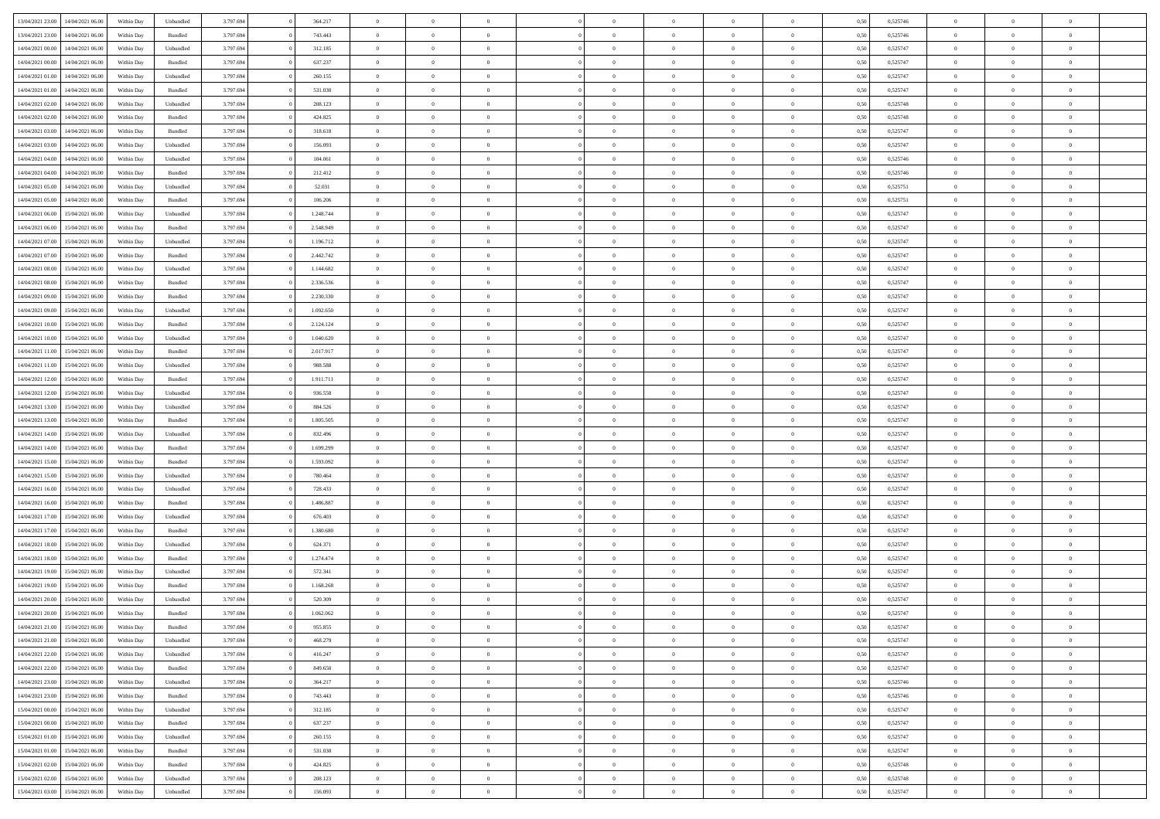| 13/04/2021 23:00 | 14/04/2021 06:00 | Within Day | Unbundled          | 3.797.694 | 364.217   | $\overline{0}$ | $\theta$       |                | $\Omega$       | $\Omega$       | $\Omega$       | $\theta$       | 0.50 | 0,525746 | $\theta$       | $\theta$       | $\theta$       |  |
|------------------|------------------|------------|--------------------|-----------|-----------|----------------|----------------|----------------|----------------|----------------|----------------|----------------|------|----------|----------------|----------------|----------------|--|
|                  |                  |            |                    |           |           |                |                |                |                |                |                |                |      |          |                |                |                |  |
| 13/04/2021 23:00 | 14/04/2021 06:00 | Within Day | Bundled            | 3.797.694 | 743.443   | $\overline{0}$ | $\theta$       | $\overline{0}$ | $\overline{0}$ | $\bf{0}$       | $\overline{0}$ | $\bf{0}$       | 0,50 | 0,525746 | $\theta$       | $\overline{0}$ | $\overline{0}$ |  |
| 14/04/2021 00:00 | 14/04/2021 06:00 | Within Day | Unbundled          | 3.797.694 | 312.185   | $\overline{0}$ | $\overline{0}$ | $\overline{0}$ | $\bf{0}$       | $\bf{0}$       | $\bf{0}$       | $\bf{0}$       | 0,50 | 0,525747 | $\bf{0}$       | $\overline{0}$ | $\overline{0}$ |  |
| 14/04/2021 00:00 | 14/04/2021 06:00 | Within Dav | Bundled            | 3.797.694 | 637.237   | $\overline{0}$ | $\overline{0}$ | $\overline{0}$ | $\overline{0}$ | $\bf{0}$       | $\overline{0}$ | $\overline{0}$ | 0.50 | 0,525747 | $\theta$       | $\theta$       | $\overline{0}$ |  |
| 14/04/2021 01:00 | 14/04/2021 06:00 | Within Day | Unbundled          | 3.797.694 | 260.155   | $\overline{0}$ | $\theta$       | $\overline{0}$ | $\overline{0}$ | $\bf{0}$       | $\overline{0}$ | $\bf{0}$       | 0,50 | 0,525747 | $\theta$       | $\overline{0}$ | $\overline{0}$ |  |
|                  |                  |            |                    |           |           |                |                |                |                |                |                |                |      |          |                |                |                |  |
| 14/04/2021 01:00 | 14/04/2021 06:00 | Within Day | Bundled            | 3.797.694 | 531.030   | $\overline{0}$ | $\bf{0}$       | $\overline{0}$ | $\bf{0}$       | $\overline{0}$ | $\overline{0}$ | $\mathbf{0}$   | 0,50 | 0,525747 | $\overline{0}$ | $\overline{0}$ | $\bf{0}$       |  |
| 14/04/2021 02:00 | 14/04/2021 06:00 | Within Dav | Unbundled          | 3.797.694 | 208.123   | $\overline{0}$ | $\overline{0}$ | $\overline{0}$ | $\overline{0}$ | $\overline{0}$ | $\overline{0}$ | $\overline{0}$ | 0.50 | 0,525748 | $\theta$       | $\overline{0}$ | $\overline{0}$ |  |
| 14/04/2021 02.00 | 14/04/2021 06:00 | Within Day | Bundled            | 3.797.694 | 424.825   | $\overline{0}$ | $\theta$       | $\overline{0}$ | $\overline{0}$ | $\bf{0}$       | $\overline{0}$ | $\bf{0}$       | 0,50 | 0,525748 | $\theta$       | $\theta$       | $\overline{0}$ |  |
| 14/04/2021 03:00 | 14/04/2021 06:00 | Within Day | Bundled            | 3.797.694 | 318.618   | $\overline{0}$ | $\overline{0}$ | $\overline{0}$ | $\bf{0}$       | $\bf{0}$       | $\bf{0}$       | $\bf{0}$       | 0,50 | 0,525747 | $\,0\,$        | $\overline{0}$ | $\overline{0}$ |  |
| 14/04/2021 03:00 | 14/04/2021 06:00 | Within Dav | Unbundled          | 3.797.694 | 156.093   | $\overline{0}$ | $\overline{0}$ | $\overline{0}$ | $\overline{0}$ | $\overline{0}$ | $\overline{0}$ | $\overline{0}$ | 0.50 | 0,525747 | $\theta$       | $\overline{0}$ | $\overline{0}$ |  |
| 14/04/2021 04:00 | 14/04/2021 06:00 | Within Day | Unbundled          | 3.797.694 | 104.061   | $\overline{0}$ | $\theta$       | $\overline{0}$ | $\overline{0}$ | $\bf{0}$       | $\overline{0}$ | $\bf{0}$       | 0,50 | 0,525746 | $\,$ 0 $\,$    | $\overline{0}$ | $\overline{0}$ |  |
|                  |                  |            |                    |           |           |                | $\overline{0}$ |                |                | $\bf{0}$       |                |                |      |          |                | $\overline{0}$ | $\overline{0}$ |  |
| 14/04/2021 04:00 | 14/04/2021 06:00 | Within Day | Bundled            | 3.797.694 | 212.412   | $\overline{0}$ |                | $\overline{0}$ | $\bf{0}$       |                | $\bf{0}$       | $\bf{0}$       | 0,50 | 0,525746 | $\overline{0}$ |                |                |  |
| 14/04/2021 05:00 | 14/04/2021 06:00 | Within Day | Unbundled          | 3.797.694 | 52.031    | $\overline{0}$ | $\overline{0}$ | $\overline{0}$ | $\overline{0}$ | $\bf{0}$       | $\overline{0}$ | $\overline{0}$ | 0.50 | 0,525751 | $\theta$       | $\theta$       | $\overline{0}$ |  |
| 14/04/2021 05:00 | 14/04/2021 06:00 | Within Day | Bundled            | 3.797.694 | 106.206   | $\overline{0}$ | $\theta$       | $\overline{0}$ | $\overline{0}$ | $\bf{0}$       | $\overline{0}$ | $\bf{0}$       | 0,50 | 0,525751 | $\theta$       | $\theta$       | $\overline{0}$ |  |
| 14/04/2021 06:00 | 15/04/2021 06:00 | Within Day | Unbundled          | 3.797.694 | 1.248.744 | $\overline{0}$ | $\bf{0}$       | $\overline{0}$ | $\bf{0}$       | $\overline{0}$ | $\overline{0}$ | $\mathbf{0}$   | 0,50 | 0,525747 | $\overline{0}$ | $\overline{0}$ | $\bf{0}$       |  |
| 14/04/2021 06:00 | 15/04/2021 06:00 | Within Dav | Bundled            | 3.797.694 | 2.548.949 | $\overline{0}$ | $\overline{0}$ | $\overline{0}$ | $\overline{0}$ | $\overline{0}$ | $\overline{0}$ | $\overline{0}$ | 0.50 | 0,525747 | $\theta$       | $\overline{0}$ | $\overline{0}$ |  |
| 14/04/2021 07:00 | 15/04/2021 06:00 | Within Day | Unbundled          | 3.797.694 | 1.196.712 | $\overline{0}$ | $\theta$       | $\overline{0}$ | $\overline{0}$ | $\bf{0}$       | $\overline{0}$ | $\bf{0}$       | 0,50 | 0,525747 | $\theta$       | $\theta$       | $\overline{0}$ |  |
| 14/04/2021 07:00 | 15/04/2021 06:00 | Within Day | Bundled            | 3.797.694 | 2.442.742 | $\overline{0}$ | $\overline{0}$ | $\overline{0}$ | $\bf{0}$       | $\bf{0}$       | $\bf{0}$       | $\bf{0}$       | 0,50 | 0,525747 | $\,0\,$        | $\overline{0}$ | $\overline{0}$ |  |
| 14/04/2021 08:00 | 15/04/2021 06:00 | Within Day | Unbundled          | 3.797.694 | 1.144.682 | $\overline{0}$ | $\overline{0}$ | $\overline{0}$ | $\overline{0}$ | $\overline{0}$ | $\overline{0}$ | $\overline{0}$ | 0.50 | 0,525747 | $\theta$       | $\overline{0}$ | $\overline{0}$ |  |
|                  |                  |            |                    |           |           |                |                |                |                |                |                |                |      |          |                |                |                |  |
| 14/04/2021 08:00 | 15/04/2021 06:00 | Within Day | Bundled            | 3.797.694 | 2.336.536 | $\overline{0}$ | $\theta$       | $\overline{0}$ | $\overline{0}$ | $\bf{0}$       | $\overline{0}$ | $\bf{0}$       | 0,50 | 0,525747 | $\theta$       | $\theta$       | $\overline{0}$ |  |
| 14/04/2021 09:00 | 15/04/2021 06:00 | Within Day | Bundled            | 3.797.694 | 2.230.330 | $\overline{0}$ | $\overline{0}$ | $\overline{0}$ | $\bf{0}$       | $\bf{0}$       | $\bf{0}$       | $\bf{0}$       | 0,50 | 0,525747 | $\,0\,$        | $\overline{0}$ | $\overline{0}$ |  |
| 14/04/2021 09:00 | 15/04/2021 06:00 | Within Day | Unbundled          | 3.797.694 | 1.092.650 | $\overline{0}$ | $\overline{0}$ | $\overline{0}$ | $\overline{0}$ | $\bf{0}$       | $\overline{0}$ | $\overline{0}$ | 0.50 | 0,525747 | $\theta$       | $\theta$       | $\overline{0}$ |  |
| 14/04/2021 10:00 | 15/04/2021 06:00 | Within Day | Bundled            | 3.797.694 | 2.124.124 | $\overline{0}$ | $\theta$       | $\overline{0}$ | $\overline{0}$ | $\bf{0}$       | $\overline{0}$ | $\bf{0}$       | 0,50 | 0,525747 | $\,$ 0 $\,$    | $\overline{0}$ | $\overline{0}$ |  |
| 14/04/2021 10:00 | 15/04/2021 06:00 | Within Day | Unbundled          | 3.797.694 | 1.040.620 | $\overline{0}$ | $\bf{0}$       | $\overline{0}$ | $\bf{0}$       | $\overline{0}$ | $\overline{0}$ | $\mathbf{0}$   | 0,50 | 0,525747 | $\overline{0}$ | $\overline{0}$ | $\bf{0}$       |  |
| 14/04/2021 11:00 | 15/04/2021 06:00 | Within Dav | Bundled            | 3.797.694 | 2.017.917 | $\overline{0}$ | $\overline{0}$ | $\overline{0}$ | $\overline{0}$ | $\overline{0}$ | $\overline{0}$ | $\overline{0}$ | 0.50 | 0,525747 | $\theta$       | $\overline{0}$ | $\overline{0}$ |  |
| 14/04/2021 11:00 | 15/04/2021 06:00 | Within Day | Unbundled          | 3.797.694 | 988.588   | $\overline{0}$ | $\theta$       | $\overline{0}$ | $\overline{0}$ | $\bf{0}$       | $\overline{0}$ | $\bf{0}$       | 0,50 | 0,525747 | $\theta$       | $\theta$       | $\overline{0}$ |  |
|                  |                  |            |                    |           |           |                |                |                |                |                |                |                |      |          |                |                |                |  |
| 14/04/2021 12:00 | 15/04/2021 06:00 | Within Day | Bundled            | 3.797.694 | 1.911.711 | $\overline{0}$ | $\overline{0}$ | $\overline{0}$ | $\bf{0}$       | $\bf{0}$       | $\bf{0}$       | $\bf{0}$       | 0,50 | 0,525747 | $\,0\,$        | $\overline{0}$ | $\overline{0}$ |  |
| 14/04/2021 12:00 | 15/04/2021 06:00 | Within Day | Unbundled          | 3.797.694 | 936.558   | $\overline{0}$ | $\overline{0}$ | $\overline{0}$ | $\overline{0}$ | $\overline{0}$ | $\overline{0}$ | $\overline{0}$ | 0.50 | 0,525747 | $\theta$       | $\overline{0}$ | $\overline{0}$ |  |
| 14/04/2021 13:00 | 15/04/2021 06:00 | Within Day | Unbundled          | 3.797.694 | 884.526   | $\overline{0}$ | $\theta$       | $\overline{0}$ | $\overline{0}$ | $\bf{0}$       | $\overline{0}$ | $\bf{0}$       | 0,50 | 0,525747 | $\,$ 0 $\,$    | $\overline{0}$ | $\overline{0}$ |  |
| 14/04/2021 13:00 | 15/04/2021 06:00 | Within Day | Bundled            | 3.797.694 | 1.805.505 | $\overline{0}$ | $\overline{0}$ | $\overline{0}$ | $\overline{0}$ | $\bf{0}$       | $\overline{0}$ | $\bf{0}$       | 0,50 | 0,525747 | $\bf{0}$       | $\overline{0}$ | $\overline{0}$ |  |
| 14/04/2021 14:00 | 15/04/2021 06:00 | Within Day | Unbundled          | 3.797.694 | 832.496   | $\overline{0}$ | $\Omega$       | $\Omega$       | $\Omega$       | $\Omega$       | $\overline{0}$ | $\overline{0}$ | 0,50 | 0,525747 | $\,0\,$        | $\theta$       | $\theta$       |  |
| 14/04/2021 14:00 | 15/04/2021 06:00 | Within Day | Bundled            | 3.797.694 | 1.699.299 | $\overline{0}$ | $\theta$       | $\overline{0}$ | $\overline{0}$ | $\bf{0}$       | $\overline{0}$ | $\bf{0}$       | 0,50 | 0,525747 | $\theta$       | $\theta$       | $\overline{0}$ |  |
| 14/04/2021 15:00 | 15/04/2021 06:00 | Within Day | Bundled            | 3.797.694 | 1.593.092 | $\overline{0}$ | $\overline{0}$ | $\overline{0}$ | $\overline{0}$ | $\bf{0}$       | $\overline{0}$ | $\mathbf{0}$   | 0,50 | 0,525747 | $\bf{0}$       | $\overline{0}$ | $\bf{0}$       |  |
| 14/04/2021 15:00 | 15/04/2021 06:00 |            | Unbundled          | 3.797.694 | 780,464   | $\overline{0}$ | $\Omega$       | $\Omega$       | $\Omega$       | $\bf{0}$       | $\overline{0}$ | $\overline{0}$ | 0.50 | 0,525747 | $\,0\,$        | $\theta$       | $\theta$       |  |
|                  |                  | Within Day |                    |           |           |                |                |                |                |                |                |                |      |          |                |                |                |  |
| 14/04/2021 16:00 | 15/04/2021 06:00 | Within Day | Unbundled          | 3.797.694 | 728.433   | $\overline{0}$ | $\theta$       | $\overline{0}$ | $\overline{0}$ | $\bf{0}$       | $\overline{0}$ | $\bf{0}$       | 0,50 | 0,525747 | $\,$ 0 $\,$    | $\theta$       | $\overline{0}$ |  |
| 14/04/2021 16:00 | 15/04/2021 06:00 | Within Day | Bundled            | 3.797.694 | 1.486.887 | $\overline{0}$ | $\overline{0}$ | $\overline{0}$ | $\overline{0}$ | $\bf{0}$       | $\overline{0}$ | $\bf{0}$       | 0,50 | 0,525747 | $\,0\,$        | $\overline{0}$ | $\overline{0}$ |  |
| 14/04/2021 17:00 | 15/04/2021 06:00 | Within Day | Unbundled          | 3.797.694 | 676,403   | $\overline{0}$ | $\Omega$       | $\Omega$       | $\Omega$       | $\theta$       | $\theta$       | $\overline{0}$ | 0.50 | 0,525747 | $\theta$       | $\theta$       | $\theta$       |  |
| 14/04/2021 17:00 | 15/04/2021 06:00 | Within Day | Bundled            | 3.797.694 | 1.380.680 | $\overline{0}$ | $\theta$       | $\overline{0}$ | $\overline{0}$ | $\bf{0}$       | $\overline{0}$ | $\bf{0}$       | 0,50 | 0,525747 | $\,$ 0 $\,$    | $\overline{0}$ | $\overline{0}$ |  |
| 14/04/2021 18:00 | 15/04/2021 06:00 | Within Day | Unbundled          | 3.797.694 | 624.371   | $\overline{0}$ | $\overline{0}$ | $\overline{0}$ | $\overline{0}$ | $\bf{0}$       | $\overline{0}$ | $\bf{0}$       | 0,50 | 0,525747 | $\bf{0}$       | $\overline{0}$ | $\overline{0}$ |  |
| 14/04/2021 18:00 | 15/04/2021 06:00 | Within Day | Bundled            | 3.797.694 | 1.274.474 | $\overline{0}$ | $\Omega$       | $\overline{0}$ | $\Omega$       | $\Omega$       | $\overline{0}$ | $\overline{0}$ | 0,50 | 0,525747 | $\,0\,$        | $\theta$       | $\theta$       |  |
| 14/04/2021 19:00 | 15/04/2021 06:00 | Within Day | Unbundled          | 3.797.694 | 572.341   | $\overline{0}$ | $\theta$       | $\overline{0}$ | $\overline{0}$ | $\bf{0}$       | $\overline{0}$ | $\bf{0}$       | 0,50 | 0,525747 | $\,$ 0 $\,$    | $\overline{0}$ | $\overline{0}$ |  |
| 14/04/2021 19:00 | 15/04/2021 06:00 | Within Day | Bundled            | 3.797.694 | 1.168.268 | $\overline{0}$ | $\overline{0}$ | $\overline{0}$ | $\overline{0}$ | $\bf{0}$       | $\overline{0}$ | $\mathbf{0}$   | 0,50 | 0,525747 | $\bf{0}$       | $\overline{0}$ | $\bf{0}$       |  |
|                  |                  |            |                    |           |           |                |                |                |                |                |                |                |      |          |                |                |                |  |
| 14/04/2021 20:00 | 15/04/2021 06:00 | Within Day | Unbundled          | 3.797.694 | 520,309   | $\overline{0}$ | $\Omega$       | $\Omega$       | $\Omega$       | $\Omega$       | $\Omega$       | $\overline{0}$ | 0.50 | 0,525747 | $\theta$       | $\theta$       | $\theta$       |  |
| 14/04/2021 20:00 | 15/04/2021 06:00 | Within Day | Bundled            | 3.797.694 | 1.062.062 | $\overline{0}$ | $\,$ 0 $\,$    | $\overline{0}$ | $\bf{0}$       | $\,$ 0         | $\overline{0}$ | $\bf{0}$       | 0,50 | 0,525747 | $\,0\,$        | $\overline{0}$ | $\overline{0}$ |  |
| 14/04/2021 21:00 | 15/04/2021 06:00 | Within Day | $\mathbf B$ undled | 3.797.694 | 955.855   | $\bf{0}$       | $\bf{0}$       |                |                |                |                |                | 0,50 | 0,525747 | $\bf{0}$       | $\overline{0}$ |                |  |
| 14/04/2021 21:00 | 15/04/2021 06:00 | Within Day | Unbundled          | 3.797.694 | 468,279   | $\overline{0}$ | $\overline{0}$ | $\overline{0}$ | $\Omega$       | $\overline{0}$ | $\overline{0}$ | $\overline{0}$ | 0,50 | 0,525747 | $\theta$       | $\theta$       | $\Omega$       |  |
| 14/04/2021 22.00 | 15/04/2021 06:00 | Within Day | Unbundled          | 3.797.694 | 416.247   | $\overline{0}$ | $\bf{0}$       | $\overline{0}$ | $\bf{0}$       | $\,$ 0 $\,$    | $\overline{0}$ | $\,$ 0 $\,$    | 0,50 | 0,525747 | $\,$ 0 $\,$    | $\,$ 0 $\,$    | $\,$ 0         |  |
| 14/04/2021 22.00 | 15/04/2021 06:00 | Within Day | Bundled            | 3.797.694 | 849.650   | $\overline{0}$ | $\overline{0}$ | $\overline{0}$ | $\overline{0}$ | $\overline{0}$ | $\overline{0}$ | $\mathbf{0}$   | 0,50 | 0,525747 | $\overline{0}$ | $\bf{0}$       | $\overline{0}$ |  |
| 14/04/2021 23:00 | 15/04/2021 06:00 | Within Day | Unbundled          | 3.797.694 | 364.217   | $\overline{0}$ | $\overline{0}$ | $\overline{0}$ | $\Omega$       | $\overline{0}$ | $\overline{0}$ | $\overline{0}$ | 0,50 | 0,525746 | $\overline{0}$ | $\theta$       | $\overline{0}$ |  |
| 14/04/2021 23:00 | 15/04/2021 06:00 | Within Day | Bundled            | 3.797.694 | 743.443   | $\overline{0}$ | $\,$ 0         | $\overline{0}$ | $\overline{0}$ | $\,$ 0 $\,$    | $\overline{0}$ | $\mathbf{0}$   | 0,50 | 0,525746 | $\,$ 0 $\,$    | $\overline{0}$ | $\overline{0}$ |  |
|                  |                  |            |                    |           |           |                |                |                |                |                |                |                |      |          |                |                |                |  |
| 15/04/2021 00:00 | 15/04/2021 06:00 | Within Day | Unbundled          | 3.797.694 | 312.185   | $\overline{0}$ | $\overline{0}$ | $\overline{0}$ | $\overline{0}$ | $\overline{0}$ | $\overline{0}$ | $\mathbf{0}$   | 0,50 | 0,525747 | $\overline{0}$ | $\overline{0}$ | $\bf{0}$       |  |
| 15/04/2021 00:00 | 15/04/2021 06:00 | Within Day | Bundled            | 3.797.694 | 637.237   | $\overline{0}$ | $\overline{0}$ | $\overline{0}$ | $\overline{0}$ | $\overline{0}$ | $\overline{0}$ | $\bf{0}$       | 0.50 | 0,525747 | $\overline{0}$ | $\theta$       | $\overline{0}$ |  |
| 15/04/2021 01:00 | 15/04/2021 06:00 | Within Day | Unbundled          | 3.797.694 | 260.155   | $\overline{0}$ | $\,$ 0         | $\overline{0}$ | $\bf{0}$       | $\bf{0}$       | $\bf{0}$       | $\bf{0}$       | 0,50 | 0,525747 | $\,$ 0 $\,$    | $\overline{0}$ | $\overline{0}$ |  |
| 15/04/2021 01:00 | 15/04/2021 06:00 | Within Day | Bundled            | 3.797.694 | 531.030   | $\overline{0}$ | $\bf{0}$       | $\overline{0}$ | $\overline{0}$ | $\overline{0}$ | $\overline{0}$ | $\mathbf{0}$   | 0,50 | 0,525747 | $\overline{0}$ | $\overline{0}$ | $\bf{0}$       |  |
| 15/04/2021 02:00 | 15/04/2021 06:00 | Within Day | Bundled            | 3.797.694 | 424.825   | $\overline{0}$ | $\overline{0}$ | $\overline{0}$ | $\Omega$       | $\overline{0}$ | $\overline{0}$ | $\overline{0}$ | 0.50 | 0,525748 | $\overline{0}$ | $\overline{0}$ | $\overline{0}$ |  |
| 15/04/2021 02:00 | 15/04/2021 06:00 | Within Day | Unbundled          | 3.797.694 | 208.123   | $\overline{0}$ | $\bf{0}$       | $\overline{0}$ | $\bf{0}$       | $\bf{0}$       | $\bf{0}$       | $\mathbf{0}$   | 0,50 | 0,525748 | $\,$ 0 $\,$    | $\,$ 0 $\,$    | $\bf{0}$       |  |
| 15/04/2021 03:00 | 15/04/2021 06:00 | Within Day | Unbundled          | 3.797.694 | 156.093   | $\overline{0}$ | $\overline{0}$ | $\overline{0}$ | $\overline{0}$ | $\overline{0}$ | $\bf{0}$       | $\mathbf{0}$   | 0,50 | 0,525747 | $\overline{0}$ | $\bf{0}$       | $\bf{0}$       |  |
|                  |                  |            |                    |           |           |                |                |                |                |                |                |                |      |          |                |                |                |  |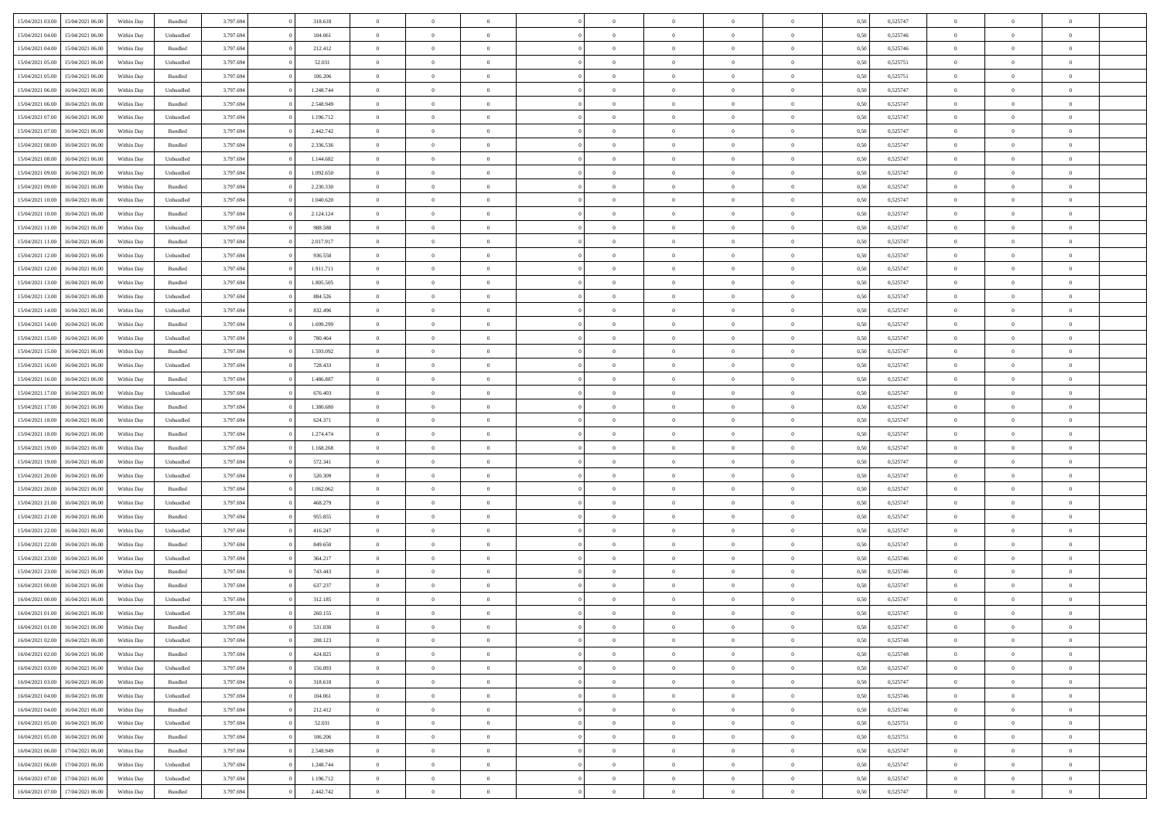| 15/04/2021 03:00                  | 15/04/2021 06:00 | Within Day | Bundled            | 3.797.694 | 318.618   | $\overline{0}$ | $\Omega$       |                | $\Omega$       | $\Omega$       | $\Omega$       | $\theta$       | 0.50 | 0,525747 | $\theta$       | $\theta$       | $\theta$       |  |
|-----------------------------------|------------------|------------|--------------------|-----------|-----------|----------------|----------------|----------------|----------------|----------------|----------------|----------------|------|----------|----------------|----------------|----------------|--|
|                                   |                  |            |                    |           |           |                |                |                |                |                |                |                |      |          |                |                |                |  |
| 15/04/2021 04:00                  | 15/04/2021 06:00 | Within Day | Unbundled          | 3.797.694 | 104.061   | $\overline{0}$ | $\theta$       | $\overline{0}$ | $\overline{0}$ | $\bf{0}$       | $\overline{0}$ | $\bf{0}$       | 0,50 | 0,525746 | $\theta$       | $\theta$       | $\overline{0}$ |  |
| 15/04/2021 04:00                  | 15/04/2021 06:00 | Within Day | Bundled            | 3.797.694 | 212.412   | $\overline{0}$ | $\overline{0}$ | $\overline{0}$ | $\bf{0}$       | $\bf{0}$       | $\bf{0}$       | $\bf{0}$       | 0,50 | 0,525746 | $\bf{0}$       | $\overline{0}$ | $\overline{0}$ |  |
| 15/04/2021 05:00                  | 15/04/2021 06:00 | Within Day | Unbundled          | 3.797.694 | 52.031    | $\overline{0}$ | $\theta$       | $\overline{0}$ | $\overline{0}$ | $\bf{0}$       | $\overline{0}$ | $\overline{0}$ | 0.50 | 0,525751 | $\theta$       | $\theta$       | $\overline{0}$ |  |
|                                   |                  |            |                    |           |           | $\overline{0}$ | $\theta$       | $\overline{0}$ |                | $\bf{0}$       | $\overline{0}$ |                |      |          | $\theta$       | $\theta$       | $\overline{0}$ |  |
| 15/04/2021 05:00                  | 15/04/2021 06:00 | Within Day | Bundled            | 3.797.694 | 106.206   |                |                |                | $\overline{0}$ |                |                | $\bf{0}$       | 0,50 | 0,525751 |                |                |                |  |
| 15/04/2021 06:00                  | 16/04/2021 06:00 | Within Day | Unbundled          | 3.797.694 | 1.248.744 | $\overline{0}$ | $\bf{0}$       | $\overline{0}$ | $\bf{0}$       | $\overline{0}$ | $\overline{0}$ | $\mathbf{0}$   | 0,50 | 0,525747 | $\overline{0}$ | $\overline{0}$ | $\bf{0}$       |  |
| 15/04/2021 06:00                  | 16/04/2021 06:00 | Within Dav | Bundled            | 3.797.694 | 2.548.949 | $\overline{0}$ | $\overline{0}$ | $\overline{0}$ | $\overline{0}$ | $\bf{0}$       | $\overline{0}$ | $\overline{0}$ | 0.50 | 0,525747 | $\theta$       | $\overline{0}$ | $\overline{0}$ |  |
| 15/04/2021 07:00                  | 16/04/2021 06:00 | Within Day | Unbundled          | 3.797.694 | 1.196.712 | $\overline{0}$ | $\theta$       | $\overline{0}$ | $\overline{0}$ | $\bf{0}$       | $\overline{0}$ | $\bf{0}$       | 0,50 | 0,525747 | $\theta$       | $\theta$       | $\overline{0}$ |  |
| 15/04/2021 07:00                  | 16/04/2021 06:00 | Within Day | Bundled            | 3.797.694 | 2.442.742 | $\overline{0}$ | $\overline{0}$ | $\overline{0}$ | $\bf{0}$       | $\bf{0}$       | $\bf{0}$       | $\bf{0}$       | 0,50 | 0,525747 | $\,0\,$        | $\overline{0}$ | $\overline{0}$ |  |
| 15/04/2021 08:00                  | 16/04/2021 06:00 | Within Dav | Bundled            | 3.797.694 | 2.336.536 | $\overline{0}$ | $\overline{0}$ | $\overline{0}$ | $\overline{0}$ | $\overline{0}$ | $\overline{0}$ | $\overline{0}$ | 0.50 | 0,525747 | $\theta$       | $\overline{0}$ | $\overline{0}$ |  |
|                                   |                  |            |                    |           |           |                |                |                |                |                |                |                |      |          |                |                |                |  |
| 15/04/2021 08:00                  | 16/04/2021 06:00 | Within Day | Unbundled          | 3.797.694 | 1.144.682 | $\overline{0}$ | $\theta$       | $\overline{0}$ | $\overline{0}$ | $\bf{0}$       | $\overline{0}$ | $\bf{0}$       | 0,50 | 0,525747 | $\,$ 0 $\,$    | $\overline{0}$ | $\overline{0}$ |  |
| 15/04/2021 09:00                  | 16/04/2021 06:00 | Within Day | Unbundled          | 3.797.694 | 1.092.650 | $\overline{0}$ | $\overline{0}$ | $\overline{0}$ | $\bf{0}$       | $\bf{0}$       | $\bf{0}$       | $\bf{0}$       | 0,50 | 0,525747 | $\bf{0}$       | $\overline{0}$ | $\overline{0}$ |  |
| 15/04/2021 09:00                  | 16/04/2021 06:00 | Within Day | Bundled            | 3.797.694 | 2.230.330 | $\overline{0}$ | $\overline{0}$ | $\overline{0}$ | $\overline{0}$ | $\bf{0}$       | $\overline{0}$ | $\overline{0}$ | 0.50 | 0,525747 | $\theta$       | $\theta$       | $\overline{0}$ |  |
| 15/04/2021 10:00                  | 16/04/2021 06:00 | Within Day | Unbundled          | 3.797.694 | 1.040.620 | $\overline{0}$ | $\theta$       | $\overline{0}$ | $\overline{0}$ | $\bf{0}$       | $\overline{0}$ | $\bf{0}$       | 0,50 | 0,525747 | $\theta$       | $\theta$       | $\overline{0}$ |  |
| 15/04/2021 10:00                  | 16/04/2021 06:00 | Within Day | Bundled            | 3.797.694 | 2.124.124 | $\overline{0}$ | $\bf{0}$       | $\overline{0}$ | $\bf{0}$       | $\overline{0}$ | $\overline{0}$ | $\mathbf{0}$   | 0,50 | 0,525747 | $\overline{0}$ | $\overline{0}$ | $\bf{0}$       |  |
|                                   |                  |            |                    |           |           |                |                |                |                |                |                |                |      |          |                |                |                |  |
| 15/04/2021 11:00                  | 16/04/2021 06:00 | Within Dav | Unbundled          | 3.797.694 | 988.588   | $\overline{0}$ | $\overline{0}$ | $\overline{0}$ | $\overline{0}$ | $\overline{0}$ | $\overline{0}$ | $\overline{0}$ | 0.50 | 0,525747 | $\theta$       | $\overline{0}$ | $\overline{0}$ |  |
| 15/04/2021 11:00                  | 16/04/2021 06:00 | Within Day | Bundled            | 3.797.694 | 2.017.917 | $\overline{0}$ | $\theta$       | $\overline{0}$ | $\overline{0}$ | $\bf{0}$       | $\overline{0}$ | $\bf{0}$       | 0,50 | 0,525747 | $\theta$       | $\theta$       | $\overline{0}$ |  |
| 15/04/2021 12:00                  | 16/04/2021 06:00 | Within Day | Unbundled          | 3.797.694 | 936.558   | $\overline{0}$ | $\overline{0}$ | $\overline{0}$ | $\bf{0}$       | $\bf{0}$       | $\bf{0}$       | $\bf{0}$       | 0,50 | 0,525747 | $\,0\,$        | $\overline{0}$ | $\overline{0}$ |  |
| 15/04/2021 12:00                  | 16/04/2021 06:00 | Within Day | Bundled            | 3.797.694 | 1.911.711 | $\overline{0}$ | $\overline{0}$ | $\overline{0}$ | $\overline{0}$ | $\overline{0}$ | $\overline{0}$ | $\overline{0}$ | 0.50 | 0,525747 | $\theta$       | $\overline{0}$ | $\overline{0}$ |  |
| 15/04/2021 13:00                  | 16/04/2021 06:00 | Within Day | Bundled            | 3.797.694 | 1.805.505 | $\overline{0}$ | $\theta$       | $\overline{0}$ | $\overline{0}$ | $\bf{0}$       | $\overline{0}$ | $\bf{0}$       | 0,50 | 0,525747 | $\,$ 0 $\,$    | $\theta$       | $\overline{0}$ |  |
| 15/04/2021 13:00                  | 16/04/2021 06:00 | Within Day | Unbundled          | 3.797.694 | 884.526   | $\overline{0}$ | $\overline{0}$ | $\overline{0}$ | $\bf{0}$       | $\bf{0}$       | $\bf{0}$       | $\bf{0}$       | 0,50 | 0,525747 | $\,0\,$        | $\overline{0}$ | $\overline{0}$ |  |
|                                   | 16/04/2021 06:00 |            | Unbundled          | 3.797.694 | 832.496   | $\overline{0}$ | $\overline{0}$ | $\overline{0}$ |                | $\bf{0}$       | $\overline{0}$ |                | 0.50 | 0,525747 | $\theta$       | $\theta$       | $\overline{0}$ |  |
| 15/04/2021 14:00                  |                  | Within Day |                    |           |           |                |                |                | $\overline{0}$ |                |                | $\overline{0}$ |      |          |                |                |                |  |
| 15/04/2021 14:00                  | 16/04/2021 06:00 | Within Day | Bundled            | 3.797.694 | 1.699.299 | $\overline{0}$ | $\theta$       | $\overline{0}$ | $\overline{0}$ | $\bf{0}$       | $\overline{0}$ | $\bf{0}$       | 0,50 | 0,525747 | $\,$ 0 $\,$    | $\overline{0}$ | $\overline{0}$ |  |
| 15/04/2021 15:00                  | 16/04/2021 06:00 | Within Day | Unbundled          | 3.797.694 | 780.464   | $\overline{0}$ | $\bf{0}$       | $\overline{0}$ | $\bf{0}$       | $\overline{0}$ | $\overline{0}$ | $\mathbf{0}$   | 0,50 | 0,525747 | $\overline{0}$ | $\overline{0}$ | $\bf{0}$       |  |
| 15/04/2021 15:00                  | 16/04/2021 06:00 | Within Dav | Bundled            | 3.797.694 | 1.593.092 | $\overline{0}$ | $\overline{0}$ | $\overline{0}$ | $\overline{0}$ | $\overline{0}$ | $\overline{0}$ | $\overline{0}$ | 0.50 | 0,525747 | $\theta$       | $\overline{0}$ | $\overline{0}$ |  |
| 15/04/2021 16:00                  | 16/04/2021 06:00 | Within Day | Unbundled          | 3.797.694 | 728.433   | $\overline{0}$ | $\theta$       | $\overline{0}$ | $\overline{0}$ | $\bf{0}$       | $\overline{0}$ | $\bf{0}$       | 0,50 | 0,525747 | $\theta$       | $\theta$       | $\overline{0}$ |  |
| 15/04/2021 16:00                  | 16/04/2021 06:00 | Within Day | Bundled            | 3.797.694 | 1.486.887 | $\overline{0}$ | $\overline{0}$ | $\overline{0}$ | $\overline{0}$ | $\bf{0}$       | $\overline{0}$ | $\bf{0}$       | 0,50 | 0,525747 | $\,0\,$        | $\overline{0}$ | $\overline{0}$ |  |
| 15/04/2021 17:00                  | 16/04/2021 06:00 | Within Day | Unbundled          | 3.797.694 | 676.403   | $\overline{0}$ | $\overline{0}$ | $\overline{0}$ | $\overline{0}$ | $\overline{0}$ | $\overline{0}$ | $\overline{0}$ | 0.50 | 0,525747 | $\theta$       | $\overline{0}$ | $\overline{0}$ |  |
|                                   |                  |            |                    |           |           |                |                |                |                |                |                |                |      |          |                |                |                |  |
| 15/04/2021 17:00                  | 16/04/2021 06:00 | Within Day | Bundled            | 3.797.694 | 1.380.680 | $\overline{0}$ | $\theta$       | $\overline{0}$ | $\overline{0}$ | $\bf{0}$       | $\overline{0}$ | $\bf{0}$       | 0,50 | 0,525747 | $\,$ 0 $\,$    | $\overline{0}$ | $\overline{0}$ |  |
| 15/04/2021 18:00                  | 16/04/2021 06:00 | Within Day | Unbundled          | 3.797.694 | 624.371   | $\overline{0}$ | $\overline{0}$ | $\overline{0}$ | $\overline{0}$ | $\bf{0}$       | $\overline{0}$ | $\bf{0}$       | 0,50 | 0,525747 | $\bf{0}$       | $\overline{0}$ | $\overline{0}$ |  |
| 15/04/2021 18:00                  | 16/04/2021 06:00 | Within Day | Bundled            | 3.797.694 | 1.274.474 | $\overline{0}$ | $\Omega$       | $\Omega$       | $\Omega$       | $\Omega$       | $\Omega$       | $\overline{0}$ | 0,50 | 0,525747 | $\,0\,$        | $\Omega$       | $\theta$       |  |
| 15/04/2021 19:00                  | 16/04/2021 06:00 | Within Day | Bundled            | 3.797.694 | 1.168.268 | $\overline{0}$ | $\theta$       | $\overline{0}$ | $\overline{0}$ | $\bf{0}$       | $\overline{0}$ | $\bf{0}$       | 0,50 | 0,525747 | $\theta$       | $\theta$       | $\overline{0}$ |  |
| 15/04/2021 19:00                  | 16/04/2021 06:00 | Within Day | Unbundled          | 3.797.694 | 572.341   | $\overline{0}$ | $\overline{0}$ | $\overline{0}$ | $\overline{0}$ | $\bf{0}$       | $\overline{0}$ | $\mathbf{0}$   | 0,50 | 0,525747 | $\bf{0}$       | $\overline{0}$ | $\bf{0}$       |  |
| 15/04/2021 20:00                  | 16/04/2021 06:00 | Within Day | Unbundled          | 3.797.694 | 520.309   | $\overline{0}$ | $\Omega$       | $\Omega$       | $\Omega$       | $\bf{0}$       | $\overline{0}$ | $\overline{0}$ | 0.50 | 0,525747 | $\,0\,$        | $\theta$       | $\theta$       |  |
|                                   |                  |            |                    |           |           | $\overline{0}$ | $\theta$       | $\overline{0}$ |                | $\bf{0}$       | $\overline{0}$ |                |      |          |                | $\theta$       | $\overline{0}$ |  |
| 15/04/2021 20:00                  | 16/04/2021 06:00 | Within Day | Bundled            | 3.797.694 | 1.062.062 |                |                |                | $\overline{0}$ |                |                | $\bf{0}$       | 0,50 | 0,525747 | $\,$ 0 $\,$    |                |                |  |
| 15/04/2021 21:00                  | 16/04/2021 06:00 | Within Day | Unbundled          | 3.797.694 | 468.279   | $\overline{0}$ | $\overline{0}$ | $\overline{0}$ | $\overline{0}$ | $\bf{0}$       | $\overline{0}$ | $\bf{0}$       | 0,50 | 0,525747 | $\,0\,$        | $\overline{0}$ | $\overline{0}$ |  |
| 15/04/2021 21:00                  | 16/04/2021 06:00 | Within Day | Bundled            | 3.797.694 | 955,855   | $\overline{0}$ | $\Omega$       | $\Omega$       | $\Omega$       | $\Omega$       | $\theta$       | $\overline{0}$ | 0.50 | 0,525747 | $\theta$       | $\theta$       | $\theta$       |  |
| 15/04/2021 22:00                  | 16/04/2021 06:00 | Within Day | Unbundled          | 3.797.694 | 416.247   | $\overline{0}$ | $\theta$       | $\overline{0}$ | $\overline{0}$ | $\bf{0}$       | $\overline{0}$ | $\bf{0}$       | 0,50 | 0,525747 | $\,$ 0 $\,$    | $\overline{0}$ | $\overline{0}$ |  |
| 15/04/2021 22.00                  | 16/04/2021 06:00 | Within Day | Bundled            | 3.797.694 | 849.650   | $\overline{0}$ | $\overline{0}$ | $\overline{0}$ | $\overline{0}$ | $\bf{0}$       | $\overline{0}$ | $\bf{0}$       | 0,50 | 0,525747 | $\overline{0}$ | $\overline{0}$ | $\overline{0}$ |  |
| 15/04/2021 23:00                  | 16/04/2021 06:00 | Within Day | Unbundled          | 3.797.694 | 364.217   | $\overline{0}$ | $\Omega$       | $\overline{0}$ | $\Omega$       | $\Omega$       | $\overline{0}$ | $\overline{0}$ | 0,50 | 0,525746 | $\,0\,$        | $\theta$       | $\theta$       |  |
| 15/04/2021 23:00                  | 16/04/2021 06:00 | Within Day | Bundled            | 3.797.694 | 743.443   | $\overline{0}$ | $\theta$       | $\overline{0}$ | $\overline{0}$ | $\bf{0}$       | $\overline{0}$ | $\bf{0}$       | 0,50 | 0,525746 | $\,$ 0 $\,$    | $\overline{0}$ | $\overline{0}$ |  |
|                                   |                  |            |                    |           |           |                |                |                |                |                |                |                |      |          |                |                |                |  |
| 16/04/2021 00:00                  | 16/04/2021 06:00 | Within Day | Bundled            | 3.797.694 | 637.237   | $\overline{0}$ | $\overline{0}$ | $\overline{0}$ | $\overline{0}$ | $\bf{0}$       | $\overline{0}$ | $\mathbf{0}$   | 0,50 | 0,525747 | $\overline{0}$ | $\overline{0}$ | $\bf{0}$       |  |
| 16/04/2021 00:00                  | 16/04/2021 06:00 | Within Day | Unbundled          | 3.797.694 | 312.185   | $\overline{0}$ | $\Omega$       | $\Omega$       | $\Omega$       | $\Omega$       | $\Omega$       | $\overline{0}$ | 0.50 | 0,525747 | $\theta$       | $\theta$       | $\theta$       |  |
| 16/04/2021 01:00                  | 16/04/2021 06:00 | Within Day | Unbundled          | 3.797.694 | 260.155   | $\overline{0}$ | $\,$ 0 $\,$    | $\overline{0}$ | $\bf{0}$       | $\,$ 0         | $\overline{0}$ | $\bf{0}$       | 0,50 | 0,525747 | $\,0\,$        | $\overline{0}$ | $\overline{0}$ |  |
| 16/04/2021 01:00                  | 16/04/2021 06:00 | Within Day | $\mathbf B$ undled | 3.797.694 | 531.030   | $\bf{0}$       | $\bf{0}$       |                |                |                |                |                | 0,50 | 0,525747 | $\bf{0}$       | $\overline{0}$ |                |  |
| 16/04/2021 02:00                  | 16/04/2021 06:00 | Within Day | Unbundled          | 3.797.694 | 208,123   | $\overline{0}$ | $\overline{0}$ | $\overline{0}$ | $\Omega$       | $\overline{0}$ | $\overline{0}$ | $\overline{0}$ | 0,50 | 0,525748 | $\theta$       | $\theta$       | $\theta$       |  |
| 16/04/2021 02:00                  | 16/04/2021 06:00 | Within Day | Bundled            | 3.797.694 | 424.825   | $\overline{0}$ | $\,$ 0         | $\overline{0}$ | $\overline{0}$ | $\,$ 0 $\,$    | $\overline{0}$ | $\,$ 0 $\,$    | 0,50 | 0,525748 | $\,$ 0 $\,$    | $\,$ 0 $\,$    | $\,$ 0         |  |
|                                   |                  |            |                    |           |           |                |                |                |                |                |                |                |      |          |                |                |                |  |
| 16/04/2021 03:00                  | 16/04/2021 06:00 | Within Day | Unbundled          | 3.797.694 | 156.093   | $\overline{0}$ | $\overline{0}$ | $\overline{0}$ | $\overline{0}$ | $\overline{0}$ | $\overline{0}$ | $\mathbf{0}$   | 0,50 | 0,525747 | $\overline{0}$ | $\bf{0}$       | $\bf{0}$       |  |
| 16/04/2021 03:00                  | 16/04/2021 06:00 | Within Day | Bundled            | 3.797.694 | 318.618   | $\overline{0}$ | $\overline{0}$ | $\overline{0}$ | $\Omega$       | $\overline{0}$ | $\overline{0}$ | $\overline{0}$ | 0,50 | 0,525747 | $\overline{0}$ | $\theta$       | $\overline{0}$ |  |
| 16/04/2021 04:00                  | 16/04/2021 06:00 | Within Day | Unbundled          | 3.797.694 | 104.061   | $\overline{0}$ | $\,$ 0         | $\overline{0}$ | $\overline{0}$ | $\,$ 0 $\,$    | $\overline{0}$ | $\mathbf{0}$   | 0,50 | 0,525746 | $\,$ 0 $\,$    | $\overline{0}$ | $\overline{0}$ |  |
| 16/04/2021 04:00                  | 16/04/2021 06:00 | Within Day | Bundled            | 3.797.694 | 212.412   | $\overline{0}$ | $\overline{0}$ | $\overline{0}$ | $\overline{0}$ | $\overline{0}$ | $\overline{0}$ | $\mathbf{0}$   | 0,50 | 0,525746 | $\overline{0}$ | $\overline{0}$ | $\bf{0}$       |  |
| 16/04/2021 05:00                  | 16/04/2021 06:00 | Within Day | Unbundled          | 3.797.694 | 52.031    | $\overline{0}$ | $\overline{0}$ | $\overline{0}$ | $\Omega$       | $\overline{0}$ | $\overline{0}$ | $\bf{0}$       | 0.50 | 0,525751 | $\overline{0}$ | $\theta$       | $\overline{0}$ |  |
| 16/04/2021 05:00                  | 16/04/2021 06:00 | Within Day | Bundled            | 3.797.694 | 106.206   | $\overline{0}$ | $\,$ 0         | $\overline{0}$ | $\overline{0}$ | $\bf{0}$       | $\overline{0}$ | $\bf{0}$       | 0,50 | 0,525751 | $\,$ 0 $\,$    | $\overline{0}$ | $\overline{0}$ |  |
| 16/04/2021 06:00                  | 17/04/2021 06:00 | Within Day | Bundled            | 3.797.694 | 2.548.949 | $\overline{0}$ | $\bf{0}$       | $\overline{0}$ | $\overline{0}$ | $\overline{0}$ | $\overline{0}$ | $\mathbf{0}$   | 0,50 | 0,525747 | $\overline{0}$ | $\overline{0}$ | $\bf{0}$       |  |
|                                   |                  |            |                    |           |           |                |                |                |                |                |                |                |      |          |                |                |                |  |
| 16/04/2021 06:00                  | 17/04/2021 06:00 | Within Day | Unbundled          | 3.797.694 | 1.248.744 | $\overline{0}$ | $\overline{0}$ | $\overline{0}$ | $\Omega$       | $\overline{0}$ | $\overline{0}$ | $\overline{0}$ | 0.50 | 0,525747 | $\overline{0}$ | $\overline{0}$ | $\overline{0}$ |  |
| 16/04/2021 07:00                  | 17/04/2021 06:00 | Within Day | Unbundled          | 3.797.694 | 1.196.712 | $\overline{0}$ | $\bf{0}$       | $\overline{0}$ | $\overline{0}$ | $\bf{0}$       | $\bf{0}$       | $\mathbf{0}$   | 0,50 | 0,525747 | $\,$ 0 $\,$    | $\,$ 0 $\,$    | $\bf{0}$       |  |
| 16/04/2021 07:00 17/04/2021 06:00 |                  | Within Day | Bundled            | 3.797.694 | 2.442.742 | $\overline{0}$ | $\overline{0}$ | $\overline{0}$ | $\overline{0}$ | $\bf{0}$       | $\bf{0}$       | $\mathbf{0}$   | 0,50 | 0,525747 | $\overline{0}$ | $\bf{0}$       | $\bf{0}$       |  |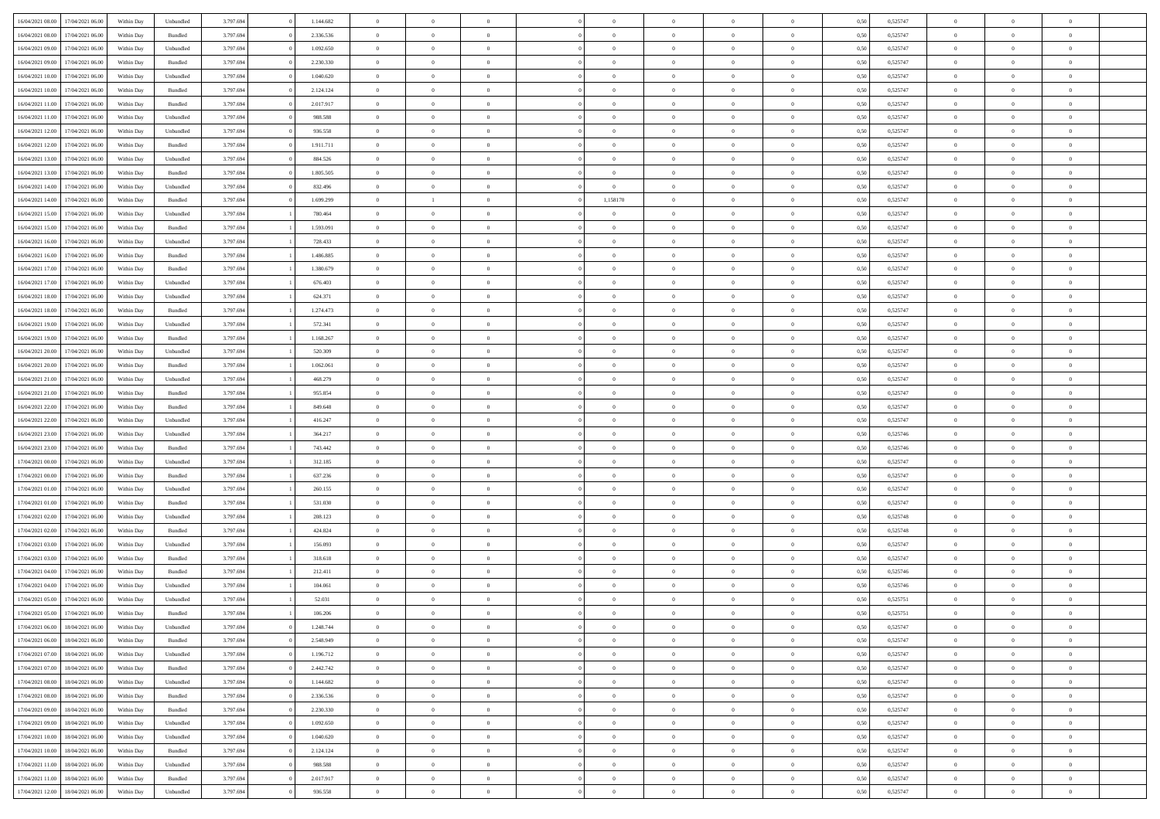| 16/04/2021 08:00 | 17/04/2021 06:00 | Within Day | Unbundled | 3.797.694 | 1.144.682 | $\overline{0}$ | $\theta$       |                | $\Omega$       | $\Omega$       | $\theta$       | $\theta$       | 0.50 | 0,525747 | $\theta$       | $\overline{0}$ | $\overline{0}$ |  |
|------------------|------------------|------------|-----------|-----------|-----------|----------------|----------------|----------------|----------------|----------------|----------------|----------------|------|----------|----------------|----------------|----------------|--|
|                  |                  |            |           |           |           |                |                |                |                |                |                |                |      |          |                |                |                |  |
| 16/04/2021 08:00 | 17/04/2021 06:00 | Within Day | Bundled   | 3.797.694 | 2.336.536 | $\overline{0}$ | $\theta$       | $\overline{0}$ | $\overline{0}$ | $\bf{0}$       | $\overline{0}$ | $\,$ 0 $\,$    | 0,50 | 0,525747 | $\theta$       | $\overline{0}$ | $\overline{0}$ |  |
| 16/04/2021 09:00 | 17/04/2021 06:00 | Within Day | Unbundled | 3.797.694 | 1.092.650 | $\overline{0}$ | $\bf{0}$       | $\overline{0}$ | $\bf{0}$       | $\bf{0}$       | $\bf{0}$       | $\mathbf{0}$   | 0,50 | 0,525747 | $\overline{0}$ | $\overline{0}$ | $\overline{0}$ |  |
| 16/04/2021 09:00 | 17/04/2021 06:00 | Within Dav | Bundled   | 3.797.694 | 2.230.330 | $\overline{0}$ | $\overline{0}$ | $\overline{0}$ | $\overline{0}$ | $\bf{0}$       | $\overline{0}$ | $\overline{0}$ | 0.50 | 0,525747 | $\theta$       | $\theta$       | $\overline{0}$ |  |
| 16/04/2021 10:00 | 17/04/2021 06:00 | Within Day | Unbundled | 3.797.694 | 1.040.620 | $\overline{0}$ | $\theta$       | $\overline{0}$ | $\overline{0}$ | $\bf{0}$       | $\overline{0}$ | $\bf{0}$       | 0,50 | 0,525747 | $\theta$       | $\overline{0}$ | $\overline{0}$ |  |
|                  |                  |            |           |           |           |                |                |                |                |                |                |                |      |          |                |                |                |  |
| 16/04/2021 10:00 | 17/04/2021 06:00 | Within Day | Bundled   | 3.797.694 | 2.124.124 | $\overline{0}$ | $\overline{0}$ | $\overline{0}$ | $\bf{0}$       | $\overline{0}$ | $\overline{0}$ | $\mathbf{0}$   | 0,50 | 0,525747 | $\overline{0}$ | $\overline{0}$ | $\bf{0}$       |  |
| 16/04/2021 11:00 | 17/04/2021 06:00 | Within Dav | Bundled   | 3.797.694 | 2.017.917 | $\overline{0}$ | $\overline{0}$ | $\overline{0}$ | $\overline{0}$ | $\overline{0}$ | $\overline{0}$ | $\overline{0}$ | 0.50 | 0,525747 | $\theta$       | $\overline{0}$ | $\overline{0}$ |  |
| 16/04/2021 11:00 | 17/04/2021 06:00 | Within Day | Unbundled | 3.797.694 | 988.588   | $\overline{0}$ | $\theta$       | $\overline{0}$ | $\overline{0}$ | $\bf{0}$       | $\overline{0}$ | $\bf{0}$       | 0,50 | 0,525747 | $\theta$       | $\theta$       | $\overline{0}$ |  |
| 16/04/2021 12:00 | 17/04/2021 06:00 | Within Day | Unbundled | 3.797.694 | 936.558   | $\overline{0}$ | $\overline{0}$ | $\overline{0}$ | $\bf{0}$       | $\bf{0}$       | $\bf{0}$       | $\bf{0}$       | 0,50 | 0,525747 | $\,0\,$        | $\overline{0}$ | $\overline{0}$ |  |
| 16/04/2021 12:00 | 17/04/2021 06:00 | Within Dav | Bundled   | 3.797.694 | 1.911.711 | $\overline{0}$ | $\overline{0}$ | $\overline{0}$ | $\overline{0}$ | $\overline{0}$ | $\overline{0}$ | $\overline{0}$ | 0.50 | 0,525747 | $\theta$       | $\overline{0}$ | $\overline{0}$ |  |
| 16/04/2021 13:00 | 17/04/2021 06:00 | Within Day | Unbundled | 3.797.694 | 884.526   | $\overline{0}$ | $\theta$       | $\overline{0}$ | $\overline{0}$ | $\bf{0}$       | $\overline{0}$ | $\bf{0}$       | 0,50 | 0,525747 | $\,$ 0 $\,$    | $\overline{0}$ | $\overline{0}$ |  |
| 16/04/2021 13:00 | 17/04/2021 06:00 | Within Day | Bundled   | 3.797.694 | 1.805.505 | $\overline{0}$ | $\overline{0}$ | $\overline{0}$ | $\bf{0}$       | $\bf{0}$       | $\bf{0}$       | $\mathbf{0}$   | 0,50 | 0,525747 | $\overline{0}$ | $\overline{0}$ | $\bf{0}$       |  |
| 16/04/2021 14:00 | 17/04/2021 06:00 | Within Day | Unbundled | 3.797.694 | 832.496   | $\overline{0}$ | $\overline{0}$ | $\overline{0}$ | $\overline{0}$ | $\bf{0}$       | $\overline{0}$ | $\overline{0}$ | 0.50 | 0,525747 | $\theta$       | $\theta$       | $\overline{0}$ |  |
|                  |                  |            |           |           |           |                |                |                |                |                |                |                |      |          |                |                |                |  |
| 16/04/2021 14:00 | 17/04/2021 06:00 | Within Day | Bundled   | 3.797.694 | 1.699.299 | $\overline{0}$ |                | $\overline{0}$ | 1,158170       | $\bf{0}$       | $\overline{0}$ | $\bf{0}$       | 0,50 | 0,525747 | $\theta$       | $\overline{0}$ | $\overline{0}$ |  |
| 16/04/2021 15:00 | 17/04/2021 06:00 | Within Day | Unbundled | 3.797.694 | 780.464   | $\overline{0}$ | $\overline{0}$ | $\overline{0}$ | $\bf{0}$       | $\overline{0}$ | $\overline{0}$ | $\mathbf{0}$   | 0,50 | 0,525747 | $\overline{0}$ | $\overline{0}$ | $\bf{0}$       |  |
| 16/04/2021 15:00 | 17/04/2021 06:00 | Within Dav | Bundled   | 3.797.694 | 1.593.091 | $\overline{0}$ | $\overline{0}$ | $\overline{0}$ | $\overline{0}$ | $\overline{0}$ | $\overline{0}$ | $\overline{0}$ | 0.50 | 0,525747 | $\theta$       | $\overline{0}$ | $\overline{0}$ |  |
| 16/04/2021 16:00 | 17/04/2021 06:00 | Within Day | Unbundled | 3.797.694 | 728.433   | $\overline{0}$ | $\theta$       | $\overline{0}$ | $\overline{0}$ | $\bf{0}$       | $\overline{0}$ | $\bf{0}$       | 0,50 | 0,525747 | $\,$ 0 $\,$    | $\theta$       | $\overline{0}$ |  |
| 16/04/2021 16:00 | 17/04/2021 06:00 | Within Day | Bundled   | 3.797.694 | 1.486.885 | $\overline{0}$ | $\overline{0}$ | $\overline{0}$ | $\bf{0}$       | $\bf{0}$       | $\bf{0}$       | $\mathbf{0}$   | 0,50 | 0,525747 | $\,0\,$        | $\overline{0}$ | $\overline{0}$ |  |
| 16/04/2021 17:00 | 17/04/2021 06:00 | Within Day | Bundled   | 3.797.694 | 1.380.679 | $\overline{0}$ | $\overline{0}$ | $\overline{0}$ | $\overline{0}$ | $\overline{0}$ | $\overline{0}$ | $\overline{0}$ | 0.50 | 0,525747 | $\theta$       | $\overline{0}$ | $\overline{0}$ |  |
| 16/04/2021 17:00 | 17/04/2021 06:00 | Within Day | Unbundled | 3.797.694 | 676.403   | $\overline{0}$ | $\theta$       | $\overline{0}$ | $\overline{0}$ | $\bf{0}$       | $\overline{0}$ | $\bf{0}$       | 0,50 | 0,525747 | $\,$ 0 $\,$    | $\overline{0}$ | $\overline{0}$ |  |
|                  |                  |            |           |           |           |                | $\overline{0}$ |                |                | $\bf{0}$       |                |                |      |          | $\bf{0}$       | $\overline{0}$ | $\bf{0}$       |  |
| 16/04/2021 18:00 | 17/04/2021 06:00 | Within Day | Unbundled | 3.797.694 | 624.371   | $\overline{0}$ |                | $\overline{0}$ | $\overline{0}$ |                | $\overline{0}$ | $\mathbf{0}$   | 0,50 | 0,525747 | $\theta$       |                |                |  |
| 16/04/2021 18:00 | 17/04/2021 06:00 | Within Day | Bundled   | 3.797.694 | 1.274.473 | $\overline{0}$ | $\overline{0}$ | $\overline{0}$ | $\overline{0}$ | $\bf{0}$       | $\overline{0}$ | $\overline{0}$ | 0.50 | 0,525747 |                | $\overline{0}$ | $\overline{0}$ |  |
| 16/04/2021 19:00 | 17/04/2021 06:00 | Within Day | Unbundled | 3.797.694 | 572.341   | $\overline{0}$ | $\theta$       | $\overline{0}$ | $\overline{0}$ | $\bf{0}$       | $\overline{0}$ | $\bf{0}$       | 0,50 | 0,525747 | $\,$ 0 $\,$    | $\overline{0}$ | $\overline{0}$ |  |
| 16/04/2021 19:00 | 17/04/2021 06:00 | Within Day | Bundled   | 3.797.694 | 1.168.267 | $\overline{0}$ | $\overline{0}$ | $\overline{0}$ | $\overline{0}$ | $\overline{0}$ | $\overline{0}$ | $\mathbf{0}$   | 0,50 | 0,525747 | $\overline{0}$ | $\overline{0}$ | $\bf{0}$       |  |
| 16/04/2021 20:00 | 17/04/2021 06:00 | Within Dav | Unbundled | 3.797.694 | 520.309   | $\overline{0}$ | $\overline{0}$ | $\overline{0}$ | $\overline{0}$ | $\overline{0}$ | $\overline{0}$ | $\overline{0}$ | 0.50 | 0,525747 | $\theta$       | $\overline{0}$ | $\overline{0}$ |  |
| 16/04/2021 20:00 | 17/04/2021 06:00 | Within Day | Bundled   | 3.797.694 | 1.062.061 | $\overline{0}$ | $\theta$       | $\overline{0}$ | $\overline{0}$ | $\bf{0}$       | $\overline{0}$ | $\bf{0}$       | 0,50 | 0,525747 | $\theta$       | $\theta$       | $\overline{0}$ |  |
| 16/04/2021 21.00 | 17/04/2021 06:00 | Within Day | Unbundled | 3.797.694 | 468.279   | $\overline{0}$ | $\overline{0}$ | $\overline{0}$ | $\overline{0}$ | $\bf{0}$       | $\overline{0}$ | $\bf{0}$       | 0,50 | 0,525747 | $\,0\,$        | $\overline{0}$ | $\overline{0}$ |  |
| 16/04/2021 21:00 | 17/04/2021 06:00 | Within Day | Bundled   | 3.797.694 | 955.854   | $\overline{0}$ | $\overline{0}$ | $\overline{0}$ | $\overline{0}$ | $\overline{0}$ | $\overline{0}$ | $\overline{0}$ | 0.50 | 0,525747 | $\theta$       | $\overline{0}$ | $\overline{0}$ |  |
| 16/04/2021 22:00 | 17/04/2021 06:00 |            | Bundled   | 3.797.694 | 849.648   | $\overline{0}$ | $\theta$       | $\overline{0}$ | $\overline{0}$ | $\bf{0}$       | $\overline{0}$ |                |      | 0,525747 | $\,$ 0 $\,$    | $\overline{0}$ | $\overline{0}$ |  |
|                  |                  | Within Day |           |           |           |                |                |                |                |                |                | $\bf{0}$       | 0,50 |          |                |                |                |  |
| 16/04/2021 22:00 | 17/04/2021 06:00 | Within Day | Unbundled | 3.797.694 | 416.247   | $\overline{0}$ | $\overline{0}$ | $\overline{0}$ | $\overline{0}$ | $\bf{0}$       | $\overline{0}$ | $\bf{0}$       | 0,50 | 0,525747 | $\overline{0}$ | $\overline{0}$ | $\bf{0}$       |  |
| 16/04/2021 23:00 | 17/04/2021 06:00 | Within Day | Unbundled | 3.797.694 | 364.217   | $\overline{0}$ | $\Omega$       | $\overline{0}$ | $\Omega$       | $\Omega$       | $\overline{0}$ | $\overline{0}$ | 0,50 | 0,525746 | $\,0\,$        | $\theta$       | $\theta$       |  |
| 16/04/2021 23:00 | 17/04/2021 06:00 | Within Day | Bundled   | 3.797.694 | 743.442   | $\overline{0}$ | $\theta$       | $\overline{0}$ | $\overline{0}$ | $\bf{0}$       | $\overline{0}$ | $\bf{0}$       | 0,50 | 0,525746 | $\,$ 0 $\,$    | $\overline{0}$ | $\overline{0}$ |  |
| 17/04/2021 00:00 | 17/04/2021 06:00 | Within Day | Unbundled | 3.797.694 | 312.185   | $\overline{0}$ | $\overline{0}$ | $\overline{0}$ | $\overline{0}$ | $\overline{0}$ | $\overline{0}$ | $\mathbf{0}$   | 0,50 | 0,525747 | $\overline{0}$ | $\overline{0}$ | $\bf{0}$       |  |
| 17/04/2021 00:00 | 17/04/2021 06:00 | Within Day | Bundled   | 3.797.694 | 637.236   | $\overline{0}$ | $\Omega$       | $\Omega$       | $\Omega$       | $\bf{0}$       | $\overline{0}$ | $\overline{0}$ | 0.50 | 0,525747 | $\,0\,$        | $\theta$       | $\theta$       |  |
| 17/04/2021 01:00 | 17/04/2021 06:00 | Within Day | Unbundled | 3.797.694 | 260.155   | $\overline{0}$ | $\theta$       | $\overline{0}$ | $\overline{0}$ | $\bf{0}$       | $\overline{0}$ | $\bf{0}$       | 0,50 | 0,525747 | $\,$ 0 $\,$    | $\overline{0}$ | $\overline{0}$ |  |
| 17/04/2021 01:00 | 17/04/2021 06:00 | Within Day | Bundled   | 3.797.694 | 531.030   | $\overline{0}$ | $\overline{0}$ | $\overline{0}$ | $\overline{0}$ | $\bf{0}$       | $\overline{0}$ | $\bf{0}$       | 0,50 | 0,525747 | $\bf{0}$       | $\overline{0}$ | $\bf{0}$       |  |
| 17/04/2021 02:00 | 17/04/2021 06:00 | Within Day | Unbundled | 3.797.694 | 208.123   | $\overline{0}$ | $\Omega$       | $\overline{0}$ | $\Omega$       | $\overline{0}$ | $\overline{0}$ | $\overline{0}$ | 0.50 | 0,525748 | $\,$ 0 $\,$    | $\theta$       | $\theta$       |  |
|                  |                  |            |           |           |           |                |                |                |                |                |                |                |      |          |                |                |                |  |
| 17/04/2021 02:00 | 17/04/2021 06:00 | Within Day | Bundled   | 3.797.694 | 424.824   | $\overline{0}$ | $\overline{0}$ | $\overline{0}$ | $\overline{0}$ | $\bf{0}$       | $\overline{0}$ | $\bf{0}$       | 0,50 | 0,525748 | $\,$ 0 $\,$    | $\overline{0}$ | $\overline{0}$ |  |
| 17/04/2021 03:00 | 17/04/2021 06:00 | Within Day | Unbundled | 3.797.694 | 156.093   | $\overline{0}$ | $\overline{0}$ | $\overline{0}$ | $\bf{0}$       | $\bf{0}$       | $\bf{0}$       | $\mathbf{0}$   | 0,50 | 0,525747 | $\overline{0}$ | $\overline{0}$ | $\bf{0}$       |  |
| 17/04/2021 03:00 | 17/04/2021 06:00 | Within Day | Bundled   | 3.797.694 | 318.618   | $\overline{0}$ | $\Omega$       | $\overline{0}$ | $\Omega$       | $\bf{0}$       | $\overline{0}$ | $\overline{0}$ | 0,50 | 0,525747 | $\,0\,$        | $\theta$       | $\theta$       |  |
| 17/04/2021 04:00 | 17/04/2021 06:00 | Within Day | Bundled   | 3.797.694 | 212.411   | $\overline{0}$ | $\overline{0}$ | $\overline{0}$ | $\overline{0}$ | $\,$ 0         | $\overline{0}$ | $\bf{0}$       | 0,50 | 0,525746 | $\,$ 0 $\,$    | $\overline{0}$ | $\overline{0}$ |  |
| 17/04/2021 04:00 | 17/04/2021 06:00 | Within Day | Unbundled | 3.797.694 | 104.061   | $\overline{0}$ | $\overline{0}$ | $\overline{0}$ | $\bf{0}$       | $\bf{0}$       | $\bf{0}$       | $\mathbf{0}$   | 0,50 | 0,525746 | $\overline{0}$ | $\overline{0}$ | $\bf{0}$       |  |
| 17/04/2021 05:00 | 17/04/2021 06:00 | Within Day | Unbundled | 3.797.694 | 52.031    | $\overline{0}$ | $\Omega$       | $\Omega$       | $\Omega$       | $\Omega$       | $\Omega$       | $\overline{0}$ | 0.50 | 0,525751 | $\theta$       | $\theta$       | $\theta$       |  |
| 17/04/2021 05:00 | 17/04/2021 06:00 | Within Day | Bundled   | 3.797.694 | 106.206   | $\overline{0}$ | $\overline{0}$ | $\overline{0}$ | $\bf{0}$       | $\,$ 0         | $\bf{0}$       | $\bf{0}$       | 0,50 | 0,525751 | $\,0\,$        | $\,0\,$        | $\overline{0}$ |  |
| 17/04/2021 06:00 | 18/04/2021 06:00 | Within Day | Unbundled | 3.797.694 | 1.248.744 | $\overline{0}$ | $\bf{0}$       |                |                |                |                |                | 0,50 | 0,525747 | $\bf{0}$       | $\overline{0}$ |                |  |
|                  | 18/04/2021 06:00 |            |           | 3.797.694 | 2.548.949 | $\overline{0}$ | $\overline{0}$ | $\overline{0}$ | $\Omega$       | $\theta$       | $\overline{0}$ |                |      |          | $\theta$       | $\theta$       | $\theta$       |  |
| 17/04/2021 06:00 |                  | Within Day | Bundled   |           |           |                |                |                |                |                |                | $\overline{0}$ | 0,50 | 0,525747 |                |                |                |  |
| 17/04/2021 07:00 | 18/04/2021 06:00 | Within Day | Unbundled | 3.797.694 | 1.196.712 | $\overline{0}$ | $\,$ 0         | $\overline{0}$ | $\bf{0}$       | $\,$ 0 $\,$    | $\overline{0}$ | $\mathbf{0}$   | 0,50 | 0,525747 | $\,$ 0 $\,$    | $\,$ 0 $\,$    | $\,$ 0         |  |
| 17/04/2021 07:00 | 18/04/2021 06:00 | Within Day | Bundled   | 3.797.694 | 2.442.742 | $\overline{0}$ | $\overline{0}$ | $\overline{0}$ | $\overline{0}$ | $\overline{0}$ | $\overline{0}$ | $\mathbf{0}$   | 0,50 | 0,525747 | $\overline{0}$ | $\bf{0}$       | $\bf{0}$       |  |
| 17/04/2021 08:00 | 18/04/2021 06:00 | Within Day | Unbundled | 3.797.694 | 1.144.682 | $\overline{0}$ | $\overline{0}$ | $\overline{0}$ | $\Omega$       | $\overline{0}$ | $\overline{0}$ | $\bf{0}$       | 0,50 | 0,525747 | $\overline{0}$ | $\theta$       | $\overline{0}$ |  |
| 17/04/2021 08:00 | 18/04/2021 06:00 | Within Day | Bundled   | 3.797.694 | 2.336.536 | $\overline{0}$ | $\,$ 0         | $\overline{0}$ | $\overline{0}$ | $\overline{0}$ | $\overline{0}$ | $\bf{0}$       | 0,50 | 0,525747 | $\,$ 0 $\,$    | $\overline{0}$ | $\overline{0}$ |  |
| 17/04/2021 09:00 | 18/04/2021 06:00 | Within Day | Bundled   | 3.797.694 | 2.230.330 | $\overline{0}$ | $\overline{0}$ | $\overline{0}$ | $\overline{0}$ | $\overline{0}$ | $\overline{0}$ | $\mathbf{0}$   | 0,50 | 0,525747 | $\overline{0}$ | $\bf{0}$       | $\bf{0}$       |  |
| 17/04/2021 09:00 | 18/04/2021 06:00 | Within Day | Unbundled | 3.797.694 | 1.092.650 | $\overline{0}$ | $\overline{0}$ | $\overline{0}$ | $\Omega$       | $\overline{0}$ | $\overline{0}$ | $\bf{0}$       | 0.50 | 0,525747 | $\overline{0}$ | $\theta$       | $\overline{0}$ |  |
| 17/04/2021 10:00 | 18/04/2021 06:00 | Within Day | Unbundled | 3.797.694 | 1.040.620 | $\overline{0}$ | $\,$ 0         | $\overline{0}$ | $\bf{0}$       | $\bf{0}$       | $\bf{0}$       | $\bf{0}$       | 0,50 | 0,525747 | $\,$ 0 $\,$    | $\overline{0}$ | $\overline{0}$ |  |
|                  |                  |            |           |           |           |                | $\bf{0}$       |                |                |                |                |                |      |          |                | $\overline{0}$ | $\bf{0}$       |  |
| 17/04/2021 10:00 | 18/04/2021 06:00 | Within Day | Bundled   | 3.797.694 | 2.124.124 | $\overline{0}$ |                | $\overline{0}$ | $\overline{0}$ | $\overline{0}$ | $\bf{0}$       | $\mathbf{0}$   | 0,50 | 0,525747 | $\overline{0}$ |                |                |  |
| 17/04/2021 11:00 | 18/04/2021 06:00 | Within Day | Unbundled | 3.797.694 | 988,588   | $\overline{0}$ | $\overline{0}$ | $\overline{0}$ | $\Omega$       | $\overline{0}$ | $\overline{0}$ | $\bf{0}$       | 0.50 | 0,525747 | $\overline{0}$ | $\theta$       | $\overline{0}$ |  |
| 17/04/2021 11:00 | 18/04/2021 06:00 | Within Day | Bundled   | 3.797.694 | 2.017.917 | $\overline{0}$ | $\bf{0}$       | $\overline{0}$ | $\overline{0}$ | $\bf{0}$       | $\bf{0}$       | $\mathbf{0}$   | 0,50 | 0,525747 | $\,$ 0 $\,$    | $\,$ 0 $\,$    | $\bf{0}$       |  |
| 17/04/2021 12:00 | 18/04/2021 06:00 | Within Day | Unbundled | 3.797.694 | 936.558   | $\overline{0}$ | $\overline{0}$ | $\overline{0}$ | $\overline{0}$ | $\bf{0}$       | $\overline{0}$ | $\mathbf{0}$   | 0,50 | 0,525747 | $\overline{0}$ | $\bf{0}$       | $\bf{0}$       |  |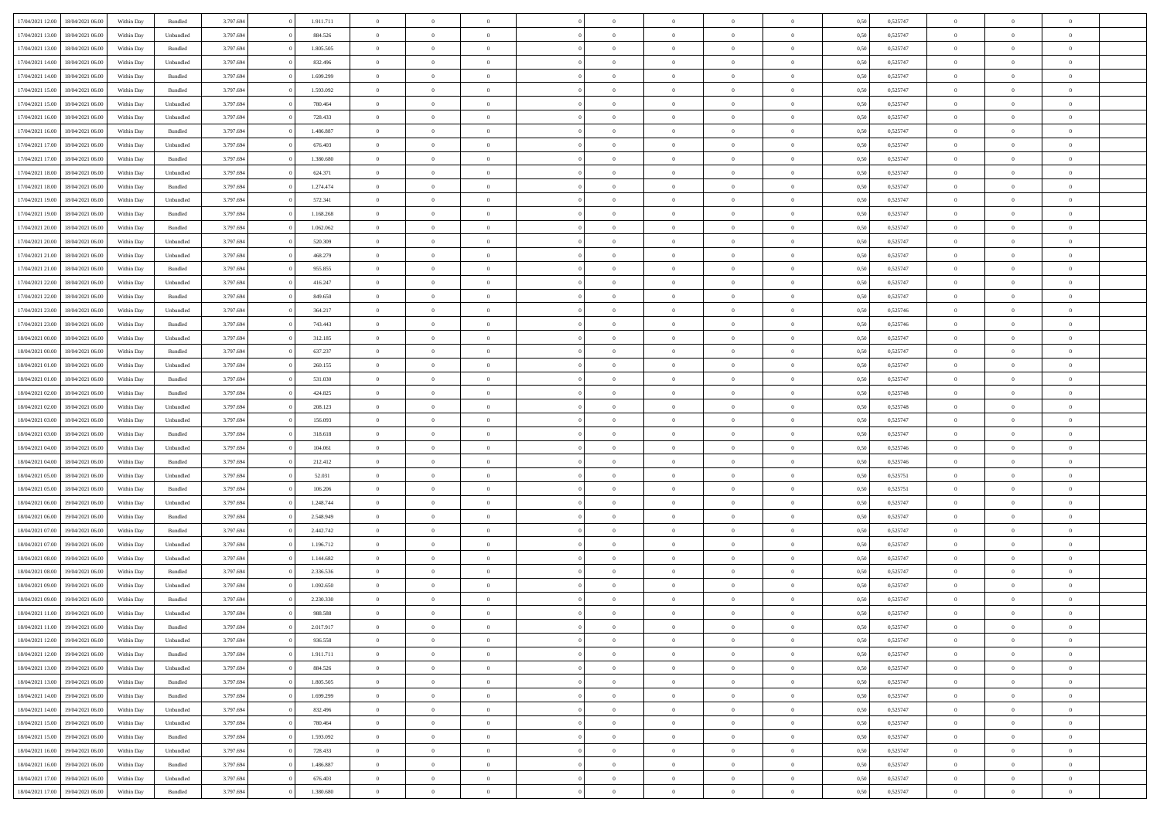| 17/04/2021 12:00 | 18/04/2021 06:00                  | Within Day | Bundled            | 3.797.694 | 1.911.711 | $\overline{0}$ | $\theta$       |                | $\overline{0}$ | $\bf{0}$       | $\overline{0}$ | $\theta$       | 0,50 | 0,525747 | $\theta$       | $\theta$       | $\overline{0}$ |  |
|------------------|-----------------------------------|------------|--------------------|-----------|-----------|----------------|----------------|----------------|----------------|----------------|----------------|----------------|------|----------|----------------|----------------|----------------|--|
|                  |                                   |            |                    |           |           | $\overline{0}$ | $\overline{0}$ |                |                |                |                |                |      |          |                |                | $\overline{0}$ |  |
| 17/04/2021 13:00 | 18/04/2021 06:00                  | Within Day | Unbundled          | 3.797.694 | 884.526   |                |                | $\overline{0}$ | $\overline{0}$ | $\,$ 0         | $\overline{0}$ | $\bf{0}$       | 0,50 | 0,525747 | $\,$ 0 $\,$    | $\overline{0}$ |                |  |
| 17/04/2021 13:00 | 18/04/2021 06:00                  | Within Day | Bundled            | 3.797.694 | 1.805.505 | $\overline{0}$ | $\overline{0}$ | $\overline{0}$ | $\overline{0}$ | $\bf{0}$       | $\overline{0}$ | $\mathbf{0}$   | 0.50 | 0,525747 | $\bf{0}$       | $\overline{0}$ | $\overline{0}$ |  |
| 17/04/2021 14:00 | 18/04/2021 06:00                  | Within Day | Unbundled          | 3.797.694 | 832.496   | $\overline{0}$ | $\overline{0}$ | $\overline{0}$ | $\overline{0}$ | $\,$ 0         | $\overline{0}$ | $\overline{0}$ | 0,50 | 0,525747 | $\,$ 0 $\,$    | $\overline{0}$ | $\overline{0}$ |  |
| 17/04/2021 14:00 | 18/04/2021 06:00                  | Within Day | Bundled            | 3.797.694 | 1.699.299 | $\overline{0}$ | $\theta$       | $\overline{0}$ |                | $\overline{0}$ | $\overline{0}$ | $\bf{0}$       | 0,50 | 0,525747 | $\,$ 0 $\,$    | $\overline{0}$ | $\overline{0}$ |  |
| 17/04/2021 15:00 | 18/04/2021 06:00                  | Within Day | Bundled            | 3.797.694 | 1.593.092 | $\overline{0}$ | $\overline{0}$ | $\overline{0}$ | $\overline{0}$ | $\bf{0}$       | $\overline{0}$ | $\overline{0}$ | 0.50 | 0.525747 | $\,0\,$        | $\theta$       | $\overline{0}$ |  |
| 17/04/2021 15:00 | 18/04/2021 06:00                  | Within Day | Unbundled          | 3.797.694 | 780.464   | $\overline{0}$ | $\overline{0}$ | $\overline{0}$ | $\overline{0}$ | $\,$ 0         | $\overline{0}$ | $\overline{0}$ | 0,50 | 0,525747 | $\,$ 0 $\,$    | $\theta$       | $\overline{0}$ |  |
| 17/04/2021 16:00 | 18/04/2021 06.00                  | Within Day | Unbundled          | 3.797.694 | 728.433   | $\overline{0}$ | $\theta$       | $\overline{0}$ | $\overline{0}$ | $\bf{0}$       | $\overline{0}$ | $\bf{0}$       | 0,50 | 0,525747 | $\,$ 0 $\,$    | $\overline{0}$ | $\overline{0}$ |  |
| 17/04/2021 16:00 | 18/04/2021 06:00                  | Within Day | Bundled            | 3.797.694 | 1.486.887 | $\overline{0}$ | $\overline{0}$ | $\overline{0}$ | $\overline{0}$ | $\bf{0}$       | $\overline{0}$ | $\bf{0}$       | 0.50 | 0.525747 | $\,0\,$        | $\overline{0}$ | $\overline{0}$ |  |
| 17/04/2021 17:00 | 18/04/2021 06:00                  | Within Day | Unbundled          | 3.797.694 | 676.403   | $\overline{0}$ | $\overline{0}$ | $\overline{0}$ | $\overline{0}$ | $\,$ 0         | $\overline{0}$ | $\bf{0}$       | 0,50 | 0,525747 | $\,$ 0 $\,$    | $\overline{0}$ | $\overline{0}$ |  |
|                  |                                   |            |                    |           |           |                |                |                |                |                |                |                |      |          |                |                |                |  |
| 17/04/2021 17:00 | 18/04/2021 06:00                  | Within Day | Bundled            | 3.797.694 | 1.380.680 | $\overline{0}$ | $\theta$       | $\overline{0}$ | $\overline{0}$ | $\,$ 0         | $\overline{0}$ | $\bf{0}$       | 0,50 | 0,525747 | $\,$ 0 $\,$    | $\overline{0}$ | $\overline{0}$ |  |
| 17/04/2021 18:00 | 18/04/2021 06:00                  | Within Day | Unbundled          | 3.797.694 | 624.371   | $\overline{0}$ | $\overline{0}$ | $\overline{0}$ | $\overline{0}$ | $\bf{0}$       | $\overline{0}$ | $\mathbf{0}$   | 0.50 | 0,525747 | $\bf{0}$       | $\overline{0}$ | $\overline{0}$ |  |
| 17/04/2021 18:00 | 18/04/2021 06:00                  | Within Day | Bundled            | 3.797.694 | 1.274.474 | $\overline{0}$ | $\overline{0}$ | $\overline{0}$ | $\overline{0}$ | $\,$ 0         | $\overline{0}$ | $\overline{0}$ | 0,50 | 0,525747 | $\,$ 0 $\,$    | $\overline{0}$ | $\overline{0}$ |  |
| 17/04/2021 19:00 | 18/04/2021 06:00                  | Within Day | Unbundled          | 3.797.694 | 572.341   | $\overline{0}$ | $\theta$       | $\overline{0}$ | $\overline{0}$ | $\overline{0}$ | $\overline{0}$ | $\bf{0}$       | 0,50 | 0,525747 | $\,$ 0 $\,$    | $\overline{0}$ | $\overline{0}$ |  |
| 17/04/2021 19:00 | 18/04/2021 06:00                  | Within Day | Bundled            | 3.797.694 | 1.168.268 | $\overline{0}$ | $\overline{0}$ | $\overline{0}$ | $\overline{0}$ | $\,$ 0         | $\overline{0}$ | $\bf{0}$       | 0.50 | 0.525747 | $\theta$       | $\theta$       | $\overline{0}$ |  |
| 17/04/2021 20:00 | 18/04/2021 06:00                  | Within Day | Bundled            | 3.797.694 | 1.062.062 | $\overline{0}$ | $\overline{0}$ | $\overline{0}$ | $\overline{0}$ | $\,$ 0         | $\overline{0}$ | $\bf{0}$       | 0,50 | 0,525747 | $\,$ 0 $\,$    | $\theta$       | $\overline{0}$ |  |
| 17/04/2021 20:00 | 18/04/2021 06.00                  | Within Day | Unbundled          | 3.797.694 | 520.309   | $\overline{0}$ | $\theta$       | $\overline{0}$ |                | $\bf{0}$       | $\overline{0}$ | $\bf{0}$       | 0,50 | 0,525747 | $\,$ 0 $\,$    | $\overline{0}$ | $\overline{0}$ |  |
| 17/04/2021 21:00 | 18/04/2021 06:00                  | Within Day | Unbundled          | 3.797.694 | 468.279   | $\overline{0}$ | $\overline{0}$ | $\overline{0}$ | $\overline{0}$ | $\bf{0}$       | $\overline{0}$ | $\bf{0}$       | 0.50 | 0.525747 | $\,0\,$        | $\overline{0}$ | $\overline{0}$ |  |
| 17/04/2021 21:00 | 18/04/2021 06:00                  | Within Day | Bundled            | 3.797.694 | 955.855   | $\overline{0}$ | $\overline{0}$ | $\overline{0}$ | $\overline{0}$ | $\,$ 0         | $\overline{0}$ | $\bf{0}$       | 0,50 | 0,525747 | $\,$ 0 $\,$    | $\overline{0}$ | $\overline{0}$ |  |
| 17/04/2021 22:00 | 18/04/2021 06:00                  | Within Day | Unbundled          | 3.797.694 | 416.247   | $\bf{0}$       | $\theta$       | $\overline{0}$ | $\overline{0}$ | $\,$ 0         | $\overline{0}$ | $\bf{0}$       | 0,50 | 0,525747 | $\,$ 0 $\,$    | $\overline{0}$ | $\overline{0}$ |  |
|                  | 18/04/2021 06:00                  |            |                    |           | 849.650   |                | $\overline{0}$ |                |                |                | $\overline{0}$ |                | 0.50 |          |                | $\overline{0}$ |                |  |
| 17/04/2021 22:00 |                                   | Within Day | Bundled            | 3.797.694 |           | $\overline{0}$ |                | $\overline{0}$ | $\overline{0}$ | $\bf{0}$       |                | $\mathbf{0}$   |      | 0,525747 | $\bf{0}$       |                | $\overline{0}$ |  |
| 17/04/2021 23:00 | 18/04/2021 06:00                  | Within Day | Unbundled          | 3.797.694 | 364.217   | $\overline{0}$ | $\overline{0}$ | $\overline{0}$ | $\overline{0}$ | $\bf{0}$       | $\overline{0}$ | $\overline{0}$ | 0,50 | 0,525746 | $\,$ 0 $\,$    | $\overline{0}$ | $\overline{0}$ |  |
| 17/04/2021 23:00 | 18/04/2021 06:00                  | Within Day | Bundled            | 3.797.694 | 743.443   | $\overline{0}$ | $\theta$       | $\overline{0}$ | $\overline{0}$ | $\bf{0}$       | $\overline{0}$ | $\bf{0}$       | 0,50 | 0,525746 | $\,$ 0 $\,$    | $\overline{0}$ | $\overline{0}$ |  |
| 18/04/2021 00:00 | 18/04/2021 06:00                  | Within Day | Unbundled          | 3.797.694 | 312.185   | $\overline{0}$ | $\overline{0}$ | $\overline{0}$ | $\overline{0}$ | $\bf{0}$       | $\overline{0}$ | $\bf{0}$       | 0.50 | 0.525747 | $\,0\,$        | $\theta$       | $\overline{0}$ |  |
| 18/04/2021 00:00 | 18/04/2021 06:00                  | Within Day | Bundled            | 3.797.694 | 637.237   | $\overline{0}$ | $\theta$       | $\overline{0}$ | $\overline{0}$ | $\,$ 0         | $\overline{0}$ | $\overline{0}$ | 0,50 | 0,525747 | $\,0\,$        | $\theta$       | $\overline{0}$ |  |
| 18/04/2021 01:00 | 18/04/2021 06.00                  | Within Day | Unbundled          | 3.797.694 | 260.155   | $\overline{0}$ | $\theta$       | $\overline{0}$ |                | $\bf{0}$       | $\overline{0}$ | $\bf{0}$       | 0,50 | 0,525747 | $\,$ 0 $\,$    | $\overline{0}$ | $\overline{0}$ |  |
| 18/04/2021 01:00 | 18/04/2021 06:00                  | Within Day | Bundled            | 3.797.694 | 531.030   | $\overline{0}$ | $\overline{0}$ | $\overline{0}$ | $\overline{0}$ | $\bf{0}$       | $\overline{0}$ | $\bf{0}$       | 0.50 | 0.525747 | $\,0\,$        | $\overline{0}$ | $\overline{0}$ |  |
| 18/04/2021 02:00 | 18/04/2021 06:00                  | Within Day | Bundled            | 3.797.694 | 424.825   | $\overline{0}$ | $\overline{0}$ | $\overline{0}$ | $\overline{0}$ | $\,$ 0         | $\overline{0}$ | $\bf{0}$       | 0,50 | 0,525748 | $\,$ 0 $\,$    | $\overline{0}$ | $\overline{0}$ |  |
| 18/04/2021 02:00 | 18/04/2021 06.00                  | Within Day | Unbundled          | 3.797.694 | 208.123   | $\overline{0}$ | $\theta$       | $\overline{0}$ | $\overline{0}$ | $\,$ 0         | $\bf{0}$       | $\bf{0}$       | 0,50 | 0,525748 | $\,$ 0 $\,$    | $\overline{0}$ | $\overline{0}$ |  |
| 18/04/2021 03:00 | 18/04/2021 06:00                  | Within Day | Unbundled          | 3.797.694 | 156.093   | $\overline{0}$ | $\overline{0}$ | $\overline{0}$ | $\overline{0}$ | $\bf{0}$       | $\overline{0}$ | $\mathbf{0}$   | 0.50 | 0,525747 | $\bf{0}$       | $\overline{0}$ | $\overline{0}$ |  |
| 18/04/2021 03:00 | 18/04/2021 06:00                  | Within Dav | Bundled            | 3.797.694 | 318.618   | $\overline{0}$ | $\overline{0}$ | $\overline{0}$ | $\overline{0}$ | $\bf{0}$       | $\overline{0}$ | $\overline{0}$ | 0.50 | 0,525747 | $\theta$       | $\overline{0}$ | $\overline{0}$ |  |
| 18/04/2021 04:00 | 18/04/2021 06.00                  | Within Day | Unbundled          | 3.797.694 | 104.061   | $\overline{0}$ | $\theta$       | $\overline{0}$ | $\overline{0}$ | $\bf{0}$       | $\overline{0}$ | $\bf{0}$       | 0,50 | 0,525746 | $\,$ 0 $\,$    | $\overline{0}$ | $\overline{0}$ |  |
|                  |                                   |            |                    |           |           |                |                |                |                |                |                |                |      |          |                |                |                |  |
| 18/04/2021 04:00 | 18/04/2021 06:00                  | Within Day | Bundled            | 3.797.694 | 212.412   | $\overline{0}$ | $\overline{0}$ | $\overline{0}$ | $\overline{0}$ | $\,$ 0         | $\overline{0}$ | $\bf{0}$       | 0.50 | 0.525746 | $\,0\,$        | $\theta$       | $\overline{0}$ |  |
| 18/04/2021 05:00 | 18/04/2021 06:00                  | Within Dav | Unbundled          | 3.797.694 | 52.031    | $\overline{0}$ | $\theta$       | $\Omega$       | $\overline{0}$ | $\bf{0}$       | $\overline{0}$ | $\overline{0}$ | 0.50 | 0,525751 | $\theta$       | $\overline{0}$ | $\overline{0}$ |  |
| 18/04/2021 05:00 | 18/04/2021 06.00                  | Within Day | Bundled            | 3.797.694 | 106.206   | $\overline{0}$ | $\theta$       | $\overline{0}$ | $\overline{0}$ | $\,$ 0         | $\overline{0}$ | $\bf{0}$       | 0,50 | 0,525751 | $\,$ 0 $\,$    | $\overline{0}$ | $\overline{0}$ |  |
| 18/04/2021 06:00 | 19/04/2021 06:00                  | Within Day | Unbundled          | 3.797.694 | 1.248.744 | $\overline{0}$ | $\overline{0}$ | $\overline{0}$ | $\overline{0}$ | $\bf{0}$       | $\overline{0}$ | $\bf{0}$       | 0.50 | 0,525747 | $\,0\,$        | $\overline{0}$ | $\overline{0}$ |  |
| 18/04/2021 06:00 | 19/04/2021 06:00                  | Within Dav | Bundled            | 3.797.694 | 2.548.949 | $\overline{0}$ | $\overline{0}$ | $\overline{0}$ | $\overline{0}$ | $\overline{0}$ | $\overline{0}$ | $\overline{0}$ | 0.50 | 0,525747 | $\theta$       | $\overline{0}$ | $\overline{0}$ |  |
| 18/04/2021 07:00 | 19/04/2021 06.00                  | Within Day | Bundled            | 3.797.694 | 2.442.742 | $\overline{0}$ | $\overline{0}$ | $\overline{0}$ | $\overline{0}$ | $\bf{0}$       | $\bf{0}$       | $\bf{0}$       | 0,50 | 0,525747 | $\,$ 0 $\,$    | $\overline{0}$ | $\overline{0}$ |  |
| 18/04/2021 07:00 | 19/04/2021 06:00                  | Within Day | Unbundled          | 3.797.694 | 1.196.712 | $\overline{0}$ | $\overline{0}$ | $\overline{0}$ | $\overline{0}$ | $\bf{0}$       | $\overline{0}$ | $\mathbf{0}$   | 0.50 | 0,525747 | $\bf{0}$       | $\overline{0}$ | $\overline{0}$ |  |
| 18/04/2021 08:00 | 19/04/2021 06:00                  | Within Dav | Unbundled          | 3.797.694 | 1.144.682 | $\overline{0}$ | $\overline{0}$ | $\Omega$       | $\overline{0}$ | $\bf{0}$       | $\overline{0}$ | $\overline{0}$ | 0.50 | 0,525747 | $\theta$       | $\overline{0}$ | $\overline{0}$ |  |
| 18/04/2021 08:00 | 19/04/2021 06.00                  | Within Day | Bundled            | 3.797.694 | 2.336.536 | $\overline{0}$ | $\theta$       | $\overline{0}$ | $\overline{0}$ | $\,$ 0         | $\overline{0}$ | $\bf{0}$       | 0,50 | 0,525747 | $\,$ 0 $\,$    | $\overline{0}$ | $\overline{0}$ |  |
| 18/04/2021 09:00 | 19/04/2021 06:00                  | Within Day | Unbundled          | 3.797.694 | 1.092.650 | $\overline{0}$ | $\theta$       | $\overline{0}$ | $\overline{0}$ | $\bf{0}$       | $\Omega$       | $\overline{0}$ | 0.50 | 0,525747 | $\,0\,$        | $\theta$       | $\theta$       |  |
| 18/04/2021 09:00 | 19/04/2021 06:00                  | Within Dav | Bundled            | 3.797.694 | 2.230.330 | $\overline{0}$ | $\Omega$       | $\Omega$       | $\Omega$       | $\bf{0}$       | $\overline{0}$ | $\theta$       | 0.50 | 0,525747 | $\theta$       | $\theta$       | $\overline{0}$ |  |
| 18/04/2021 11:00 | 19/04/2021 06:00                  | Within Day | Unbundled          | 3.797.694 | 988.588   | $\overline{0}$ | $\,$ 0 $\,$    | $\overline{0}$ | $\overline{0}$ | $\,$ 0         | $\bf{0}$       | $\bf{0}$       | 0,50 | 0,525747 | $\,$ 0 $\,$    | $\overline{0}$ | $\overline{0}$ |  |
|                  | 19/04/2021 06:00                  |            |                    |           | 2.017.917 |                |                |                |                |                |                |                |      | 0,525747 |                |                |                |  |
| 18/04/2021 11:00 |                                   | Within Day | $\mathbf B$ undled | 3.797.694 |           | $\bf{0}$       | $\theta$       |                |                |                |                |                | 0,50 |          | $\bf{0}$       | $\theta$       |                |  |
| 18/04/2021 12:00 | 19/04/2021 06:00                  | Within Day | Unbundled          | 3.797.694 | 936.558   | $\overline{0}$ | $\overline{0}$ | $\overline{0}$ | $\overline{0}$ | $\overline{0}$ | $\overline{0}$ | $\overline{0}$ | 0,50 | 0,525747 | $\theta$       | $\overline{0}$ | $\overline{0}$ |  |
| 18/04/2021 12:00 | 19/04/2021 06:00                  | Within Day | Bundled            | 3.797.694 | 1.911.711 | $\overline{0}$ | $\bf{0}$       | $\overline{0}$ | $\overline{0}$ | $\overline{0}$ | $\overline{0}$ | $\bf{0}$       | 0,50 | 0,525747 | $\bf{0}$       | $\overline{0}$ | $\bf{0}$       |  |
| 18/04/2021 13:00 | 19/04/2021 06:00                  | Within Day | Unbundled          | 3.797.694 | 884.526   | $\overline{0}$ | $\overline{0}$ | $\overline{0}$ | $\overline{0}$ | $\overline{0}$ | $\overline{0}$ | $\mathbf{0}$   | 0.50 | 0,525747 | $\overline{0}$ | $\bf{0}$       | $\bf{0}$       |  |
| 18/04/2021 13:00 | 19/04/2021 06:00                  | Within Day | Bundled            | 3.797.694 | 1.805.505 | $\overline{0}$ | $\overline{0}$ | $\overline{0}$ | $\overline{0}$ | $\overline{0}$ | $\overline{0}$ | $\overline{0}$ | 0,50 | 0,525747 | $\overline{0}$ | $\theta$       | $\overline{0}$ |  |
| 18/04/2021 14:00 | 19/04/2021 06:00                  | Within Day | Bundled            | 3.797.694 | 1.699.299 | $\overline{0}$ | $\overline{0}$ | $\overline{0}$ | $\overline{0}$ | $\bf{0}$       | $\overline{0}$ | $\bf{0}$       | 0,50 | 0,525747 | $\,$ 0 $\,$    | $\overline{0}$ | $\overline{0}$ |  |
| 18/04/2021 14:00 | 19/04/2021 06:00                  | Within Day | Unbundled          | 3.797.694 | 832.496   | $\overline{0}$ | $\overline{0}$ | $\overline{0}$ | $\overline{0}$ | $\bf{0}$       | $\overline{0}$ | $\mathbf{0}$   | 0.50 | 0.525747 | $\,$ 0 $\,$    | $\overline{0}$ | $\overline{0}$ |  |
| 18/04/2021 15:00 | 19/04/2021 06:00                  | Within Day | Unbundled          | 3.797.694 | 780.464   | $\overline{0}$ | $\overline{0}$ | $\overline{0}$ | $\overline{0}$ | $\overline{0}$ | $\overline{0}$ | $\overline{0}$ | 0,50 | 0,525747 | $\overline{0}$ | $\overline{0}$ | $\overline{0}$ |  |
| 18/04/2021 15:00 | 19/04/2021 06:00                  | Within Day | Bundled            | 3.797.694 | 1.593.092 | $\overline{0}$ | $\,$ 0         | $\overline{0}$ | $\bf{0}$       | $\,$ 0 $\,$    | $\overline{0}$ | $\bf{0}$       | 0,50 | 0,525747 | $\,$ 0 $\,$    | $\overline{0}$ | $\overline{0}$ |  |
| 18/04/2021 16:00 | 19/04/2021 06:00                  | Within Day | Unbundled          | 3.797.694 | 728.433   | $\overline{0}$ | $\overline{0}$ | $\overline{0}$ | $\overline{0}$ | $\bf{0}$       | $\overline{0}$ | $\mathbf{0}$   | 0.50 | 0.525747 | $\mathbf{0}$   | $\,$ 0 $\,$    | $\overline{0}$ |  |
| 18/04/2021 16:00 | 19/04/2021 06:00                  | Within Day | Bundled            | 3.797.694 | 1.486.887 | $\overline{0}$ | $\overline{0}$ | $\overline{0}$ | $\overline{0}$ | $\overline{0}$ | $\overline{0}$ | $\overline{0}$ | 0,50 | 0,525747 | $\overline{0}$ | $\overline{0}$ | $\overline{0}$ |  |
| 18/04/2021 17:00 | 19/04/2021 06:00                  | Within Day |                    | 3.797.694 | 676.403   | $\overline{0}$ | $\overline{0}$ | $\overline{0}$ | $\bf{0}$       | $\bf{0}$       | $\overline{0}$ | $\bf{0}$       | 0,50 | 0,525747 | $\bf{0}$       | $\overline{0}$ | $\bf{0}$       |  |
|                  |                                   |            | Unbundled          |           |           |                |                |                |                |                |                |                |      |          |                |                |                |  |
|                  | 18/04/2021 17:00 19/04/2021 06:00 | Within Day | Bundled            | 3.797.694 | 1.380.680 | $\overline{0}$ | $\,$ 0 $\,$    | $\overline{0}$ | $\overline{0}$ | $\,$ 0 $\,$    | $\overline{0}$ | $\,$ 0 $\,$    | 0,50 | 0,525747 | $\,$ 0 $\,$    | $\,$ 0 $\,$    | $\,$ 0 $\,$    |  |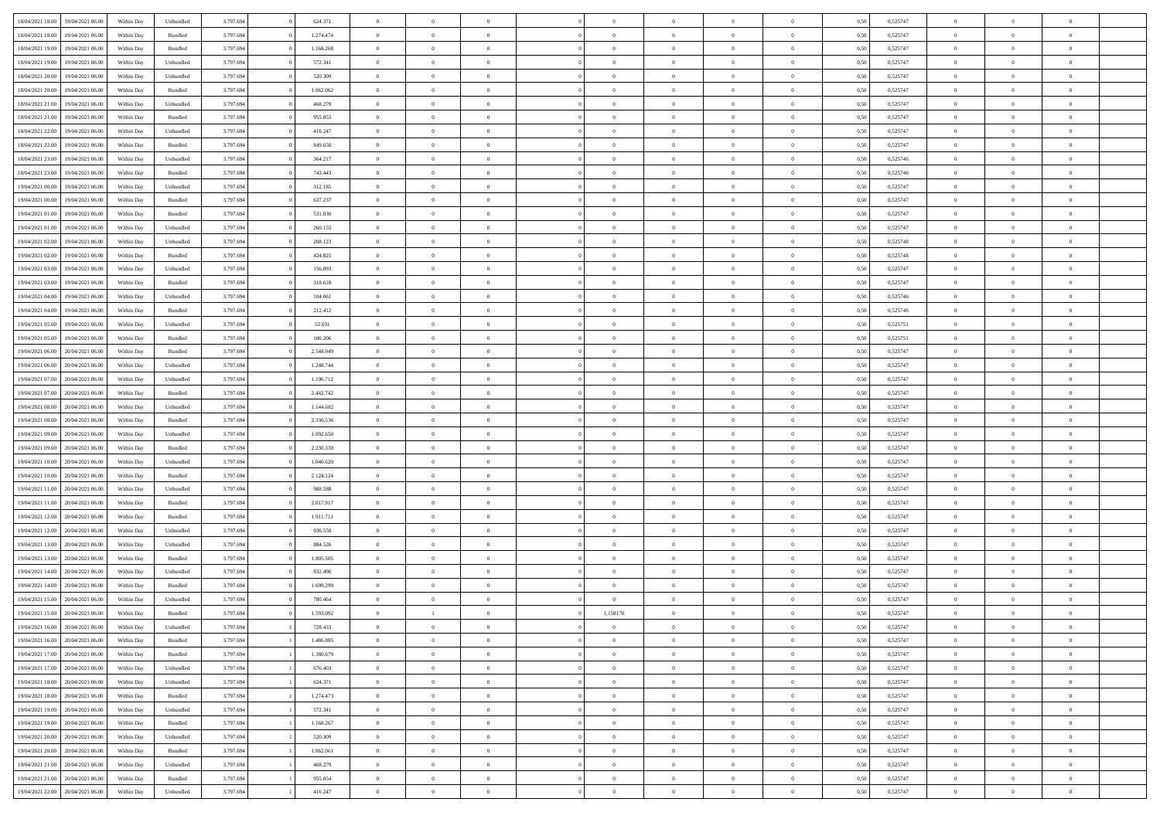| 18/04/2021 18:00                  | 19/04/2021 06:00 | Within Day | Unbundled                   | 3.797.694 | 624.371   | $\overline{0}$ | $\theta$       |                | $\overline{0}$ | $\bf{0}$       | $\overline{0}$ | $\theta$       | 0,50 | 0,525747 | $\theta$       | $\theta$       | $\overline{0}$           |  |
|-----------------------------------|------------------|------------|-----------------------------|-----------|-----------|----------------|----------------|----------------|----------------|----------------|----------------|----------------|------|----------|----------------|----------------|--------------------------|--|
|                                   |                  |            |                             |           |           | $\overline{0}$ | $\overline{0}$ | $\overline{0}$ |                |                |                |                |      |          |                |                | $\overline{0}$           |  |
| 18/04/2021 18:00                  | 19/04/2021 06.00 | Within Day | Bundled                     | 3.797.694 | 1.274.474 |                |                |                | $\overline{0}$ | $\,$ 0         | $\overline{0}$ | $\bf{0}$       | 0,50 | 0,525747 | $\,$ 0 $\,$    | $\overline{0}$ |                          |  |
| 18/04/2021 19:00                  | 19/04/2021 06:00 | Within Day | Bundled                     | 3.797.694 | 1.168.268 | $\overline{0}$ | $\overline{0}$ | $\overline{0}$ | $\overline{0}$ | $\bf{0}$       | $\overline{0}$ | $\mathbf{0}$   | 0.50 | 0,525747 | $\bf{0}$       | $\overline{0}$ | $\overline{0}$           |  |
| 18/04/2021 19:00                  | 19/04/2021 06:00 | Within Day | Unbundled                   | 3.797.694 | 572.341   | $\overline{0}$ | $\overline{0}$ | $\overline{0}$ | $\overline{0}$ | $\bf{0}$       | $\overline{0}$ | $\overline{0}$ | 0,50 | 0,525747 | $\,$ 0 $\,$    | $\overline{0}$ | $\overline{0}$           |  |
| 18/04/2021 20:00                  | 19/04/2021 06.00 | Within Day | Unbundled                   | 3.797.694 | 520.309   | $\overline{0}$ | $\theta$       | $\overline{0}$ | $\overline{0}$ | $\bf{0}$       | $\overline{0}$ | $\bf{0}$       | 0,50 | 0,525747 | $\,$ 0 $\,$    | $\overline{0}$ | $\overline{0}$           |  |
| 18/04/2021 20:00                  | 19/04/2021 06:00 | Within Day | Bundled                     | 3.797.694 | 1.062.062 | $\overline{0}$ | $\overline{0}$ | $\overline{0}$ | $\overline{0}$ | $\bf{0}$       | $\overline{0}$ | $\bf{0}$       | 0.50 | 0.525747 | $\,0\,$        | $\theta$       | $\overline{0}$           |  |
| 18/04/2021 21:00                  | 19/04/2021 06:00 | Within Day | Unbundled                   | 3.797.694 | 468.279   | $\overline{0}$ | $\overline{0}$ | $\overline{0}$ | $\overline{0}$ | $\bf{0}$       | $\overline{0}$ | $\bf{0}$       | 0,50 | 0,525747 | $\,$ 0 $\,$    | $\theta$       | $\overline{0}$           |  |
| 18/04/2021 21:00                  | 19/04/2021 06.00 | Within Day | Bundled                     | 3.797.694 | 955.855   | $\overline{0}$ | $\theta$       | $\overline{0}$ | $\overline{0}$ | $\,$ 0         | $\bf{0}$       | $\bf{0}$       | 0,50 | 0,525747 | $\,$ 0 $\,$    | $\overline{0}$ | $\overline{0}$           |  |
| 18/04/2021 22:00                  | 19/04/2021 06:00 | Within Day | Unbundled                   | 3.797.694 | 416.247   | $\overline{0}$ | $\overline{0}$ | $\overline{0}$ | $\overline{0}$ | $\bf{0}$       | $\overline{0}$ | $\bf{0}$       | 0.50 | 0.525747 | $\,0\,$        | $\overline{0}$ | $\overline{0}$           |  |
| 18/04/2021 22:00                  | 19/04/2021 06:00 | Within Day | Bundled                     | 3.797.694 | 849.650   | $\overline{0}$ | $\overline{0}$ | $\overline{0}$ | $\overline{0}$ | $\bf{0}$       | $\overline{0}$ | $\bf{0}$       | 0,50 | 0,525747 | $\,$ 0 $\,$    | $\overline{0}$ | $\overline{0}$           |  |
|                                   |                  |            |                             |           |           |                |                |                |                |                |                |                |      |          |                |                |                          |  |
| 18/04/2021 23:00                  | 19/04/2021 06.00 | Within Day | Unbundled                   | 3.797.694 | 364.217   | $\overline{0}$ | $\theta$       | $\overline{0}$ | $\overline{0}$ | $\,$ 0         | $\bf{0}$       | $\bf{0}$       | 0,50 | 0,525746 | $\,$ 0 $\,$    | $\overline{0}$ | $\overline{0}$           |  |
| 18/04/2021 23:00                  | 19/04/2021 06:00 | Within Day | Bundled                     | 3.797.694 | 743.443   | $\overline{0}$ | $\overline{0}$ | $\overline{0}$ | $\overline{0}$ | $\bf{0}$       | $\overline{0}$ | $\mathbf{0}$   | 0.50 | 0,525746 | $\,$ 0 $\,$    | $\overline{0}$ | $\overline{\phantom{a}}$ |  |
| 19/04/2021 00:00                  | 19/04/2021 06:00 | Within Day | Unbundled                   | 3.797.694 | 312.185   | $\overline{0}$ | $\overline{0}$ | $\overline{0}$ | $\overline{0}$ | $\,$ 0         | $\overline{0}$ | $\overline{0}$ | 0,50 | 0,525747 | $\,$ 0 $\,$    | $\overline{0}$ | $\overline{0}$           |  |
| 19/04/2021 00:00                  | 19/04/2021 06.00 | Within Day | Bundled                     | 3.797.694 | 637.237   | $\overline{0}$ | $\theta$       | $\overline{0}$ | $\overline{0}$ | $\bf{0}$       | $\overline{0}$ | $\bf{0}$       | 0,50 | 0,525747 | $\,$ 0 $\,$    | $\overline{0}$ | $\overline{0}$           |  |
| 19/04/2021 01:00                  | 19/04/2021 06:00 | Within Day | Bundled                     | 3.797.694 | 531.030   | $\overline{0}$ | $\overline{0}$ | $\overline{0}$ | $\overline{0}$ | $\bf{0}$       | $\overline{0}$ | $\bf{0}$       | 0.50 | 0.525747 | $\theta$       | $\theta$       | $\overline{0}$           |  |
| 19/04/2021 01:00                  | 19/04/2021 06:00 | Within Day | Unbundled                   | 3.797.694 | 260.155   | $\overline{0}$ | $\overline{0}$ | $\overline{0}$ | $\overline{0}$ | $\bf{0}$       | $\overline{0}$ | $\bf{0}$       | 0,50 | 0,525747 | $\,$ 0 $\,$    | $\theta$       | $\overline{0}$           |  |
| 19/04/2021 02:00                  | 19/04/2021 06.00 | Within Day | Unbundled                   | 3.797.694 | 208.123   | $\overline{0}$ | $\theta$       | $\overline{0}$ | $\overline{0}$ | $\,$ 0         | $\overline{0}$ | $\bf{0}$       | 0,50 | 0,525748 | $\,$ 0 $\,$    | $\overline{0}$ | $\overline{0}$           |  |
| 19/04/2021 02:00                  | 19/04/2021 06:00 | Within Day | Bundled                     | 3.797.694 | 424.825   | $\overline{0}$ | $\overline{0}$ | $\overline{0}$ | $\overline{0}$ | $\bf{0}$       | $\overline{0}$ | $\bf{0}$       | 0.50 | 0.525748 | $\,0\,$        | $\overline{0}$ | $\overline{0}$           |  |
| 19/04/2021 03:00                  | 19/04/2021 06:00 | Within Day | Unbundled                   | 3.797.694 | 156.093   | $\overline{0}$ | $\overline{0}$ | $\overline{0}$ | $\overline{0}$ | $\bf{0}$       | $\overline{0}$ | $\bf{0}$       | 0,50 | 0,525747 | $\,$ 0 $\,$    | $\overline{0}$ | $\overline{0}$           |  |
| 19/04/2021 03:00                  | 19/04/2021 06.00 | Within Day | Bundled                     | 3.797.694 | 318.618   | $\overline{0}$ | $\overline{0}$ | $\overline{0}$ | $\overline{0}$ | $\bf{0}$       | $\bf{0}$       | $\bf{0}$       | 0,50 | 0,525747 | $\,$ 0 $\,$    | $\overline{0}$ | $\overline{0}$           |  |
| 19/04/2021 04:00                  | 19/04/2021 06:00 | Within Day | Unbundled                   | 3.797.694 | 104.061   | $\overline{0}$ | $\overline{0}$ | $\overline{0}$ | $\overline{0}$ | $\bf{0}$       | $\overline{0}$ | $\mathbf{0}$   | 0.50 | 0,525746 | $\,$ 0 $\,$    | $\overline{0}$ | $\bf{0}$                 |  |
| 19/04/2021 04:00                  | 19/04/2021 06:00 |            | Bundled                     | 3.797.694 |           | $\overline{0}$ | $\overline{0}$ | $\overline{0}$ | $\overline{0}$ | $\bf{0}$       | $\overline{0}$ | $\overline{0}$ | 0,50 | 0,525746 | $\,$ 0 $\,$    | $\overline{0}$ | $\overline{0}$           |  |
|                                   |                  | Within Day |                             |           | 212.412   |                |                |                |                |                |                |                |      |          |                |                |                          |  |
| 19/04/2021 05:00                  | 19/04/2021 06.00 | Within Day | Unbundled                   | 3.797.694 | 52.031    | $\overline{0}$ | $\theta$       | $\overline{0}$ | $\overline{0}$ | $\,$ 0         | $\overline{0}$ | $\bf{0}$       | 0,50 | 0,525751 | $\,$ 0 $\,$    | $\overline{0}$ | $\overline{0}$           |  |
| 19/04/2021 05:00                  | 19/04/2021 06:00 | Within Day | Bundled                     | 3.797.694 | 106,206   | $\overline{0}$ | $\overline{0}$ | $\overline{0}$ | $\overline{0}$ | $\bf{0}$       | $\overline{0}$ | $\bf{0}$       | 0.50 | 0,525751 | $\,0\,$        | $\theta$       | $\overline{0}$           |  |
| 19/04/2021 06:00                  | 20/04/2021 06:00 | Within Day | Bundled                     | 3.797.694 | 2.548.949 | $\overline{0}$ | $\overline{0}$ | $\overline{0}$ | $\overline{0}$ | $\,$ 0         | $\overline{0}$ | $\overline{0}$ | 0,50 | 0,525747 | $\,$ 0 $\,$    | $\theta$       | $\overline{0}$           |  |
| 19/04/2021 06:00                  | 20/04/2021 06.00 | Within Day | Unbundled                   | 3.797.694 | 1.248.744 | $\overline{0}$ | $\theta$       | $\overline{0}$ | $\overline{0}$ | $\,$ 0         | $\overline{0}$ | $\bf{0}$       | 0,50 | 0,525747 | $\,$ 0 $\,$    | $\overline{0}$ | $\overline{0}$           |  |
| 19/04/2021 07:00                  | 20/04/2021 06:00 | Within Day | Unbundled                   | 3.797.694 | 1.196.712 | $\overline{0}$ | $\overline{0}$ | $\overline{0}$ | $\overline{0}$ | $\bf{0}$       | $\overline{0}$ | $\bf{0}$       | 0.50 | 0.525747 | $\,0\,$        | $\overline{0}$ | $\overline{0}$           |  |
| 19/04/2021 07:00                  | 20/04/2021 06:00 | Within Day | Bundled                     | 3.797.694 | 2.442.742 | $\overline{0}$ | $\overline{0}$ | $\overline{0}$ | $\overline{0}$ | $\bf{0}$       | $\overline{0}$ | $\bf{0}$       | 0,50 | 0,525747 | $\,$ 0 $\,$    | $\overline{0}$ | $\overline{0}$           |  |
| 19/04/2021 08:00                  | 20/04/2021 06.00 | Within Day | Unbundled                   | 3.797.694 | 1.144.682 | $\overline{0}$ | $\overline{0}$ | $\overline{0}$ | $\overline{0}$ | $\bf{0}$       | $\overline{0}$ | $\bf{0}$       | 0,50 | 0,525747 | $\,$ 0 $\,$    | $\overline{0}$ | $\overline{0}$           |  |
| 19/04/2021 08:00                  | 20/04/2021 06:00 | Within Day | Bundled                     | 3.797.694 | 2.336.536 | $\overline{0}$ | $\overline{0}$ | $\overline{0}$ | $\overline{0}$ | $\bf{0}$       | $\overline{0}$ | $\mathbf{0}$   | 0.50 | 0,525747 | $\,$ 0 $\,$    | $\overline{0}$ | $\bf{0}$                 |  |
| 19/04/2021 09:00                  | 20/04/2021 06:00 | Within Dav | Unbundled                   | 3.797.694 | 1.092.650 | $\overline{0}$ | $\overline{0}$ | $\overline{0}$ | $\overline{0}$ | $\overline{0}$ | $\overline{0}$ | $\overline{0}$ | 0.50 | 0,525747 | $\theta$       | $\overline{0}$ | $\overline{0}$           |  |
| 19/04/2021 09:00                  | 20/04/2021 06.00 | Within Day | Bundled                     | 3.797.694 | 2.230.330 | $\overline{0}$ | $\theta$       | $\overline{0}$ | $\overline{0}$ | $\,$ 0         | $\overline{0}$ | $\bf{0}$       | 0,50 | 0,525747 | $\,$ 0 $\,$    | $\overline{0}$ | $\overline{0}$           |  |
|                                   | 20/04/2021 06:00 |            |                             |           | 1.040.620 |                | $\overline{0}$ | $\overline{0}$ | $\overline{0}$ | $\bf{0}$       | $\overline{0}$ |                | 0.50 | 0.525747 | $\,0\,$        | $\theta$       | $\overline{0}$           |  |
| 19/04/2021 10:00                  |                  | Within Day | Unbundled                   | 3.797.694 |           | $\overline{0}$ |                |                |                |                |                | $\bf{0}$       |      |          |                |                |                          |  |
| 19/04/2021 10:00                  | 20/04/2021 06:00 | Within Dav | Bundled                     | 3.797.694 | 2.124.124 | $\overline{0}$ | $\overline{0}$ | $\Omega$       | $\overline{0}$ | $\mathbf{0}$   | $\overline{0}$ | $\overline{0}$ | 0.50 | 0,525747 | $\theta$       | $\overline{0}$ | $\overline{0}$           |  |
| 19/04/2021 11:00                  | 20/04/2021 06.00 | Within Day | Unbundled                   | 3.797.694 | 988.588   | $\overline{0}$ | $\theta$       | $\overline{0}$ | $\overline{0}$ | $\,$ 0         | $\overline{0}$ | $\bf{0}$       | 0,50 | 0,525747 | $\,$ 0 $\,$    | $\overline{0}$ | $\overline{0}$           |  |
| 19/04/2021 11:00                  | 20/04/2021 06:00 | Within Day | Bundled                     | 3.797.694 | 2.017.917 | $\overline{0}$ | $\overline{0}$ | $\overline{0}$ | $\overline{0}$ | $\bf{0}$       | $\overline{0}$ | $\bf{0}$       | 0.50 | 0.525747 | $\bf{0}$       | $\overline{0}$ | $\overline{0}$           |  |
| 19/04/2021 12:00                  | 20/04/2021 06:00 | Within Dav | Bundled                     | 3.797.694 | 1.911.711 | $\overline{0}$ | $\overline{0}$ | $\overline{0}$ | $\overline{0}$ | $\overline{0}$ | $\overline{0}$ | $\overline{0}$ | 0,50 | 0,525747 | $\theta$       | $\overline{0}$ | $\overline{0}$           |  |
| 19/04/2021 12:00                  | 20/04/2021 06.0  | Within Day | Unbundled                   | 3.797.694 | 936.558   | $\overline{0}$ | $\overline{0}$ | $\overline{0}$ | $\bf{0}$       | $\bf{0}$       | $\overline{0}$ | $\bf{0}$       | 0,50 | 0,525747 | $\,$ 0 $\,$    | $\overline{0}$ | $\overline{0}$           |  |
| 19/04/2021 13:00                  | 20/04/2021 06:00 | Within Day | Unbundled                   | 3.797.694 | 884.526   | $\overline{0}$ | $\overline{0}$ | $\overline{0}$ | $\overline{0}$ | $\bf{0}$       | $\overline{0}$ | $\mathbf{0}$   | 0.50 | 0,525747 | $\,$ 0 $\,$    | $\overline{0}$ | $\overline{0}$           |  |
| 19/04/2021 13:00                  | 20/04/2021 06:00 | Within Dav | Bundled                     | 3.797.694 | 1.805.505 | $\overline{0}$ | $\overline{0}$ | $\Omega$       | $\overline{0}$ | $\mathbf{0}$   | $\overline{0}$ | $\overline{0}$ | 0.50 | 0,525747 | $\theta$       | $\overline{0}$ | $\overline{0}$           |  |
| 19/04/2021 14:00                  | 20/04/2021 06.00 | Within Day | Unbundled                   | 3.797.694 | 832.496   | $\overline{0}$ | $\overline{0}$ | $\overline{0}$ | $\overline{0}$ | $\,$ 0         | $\overline{0}$ | $\bf{0}$       | 0,50 | 0,525747 | $\,$ 0 $\,$    | $\overline{0}$ | $\overline{0}$           |  |
| 19/04/2021 14:00                  | 20/04/2021 06:00 | Within Day | Bundled                     | 3.797.694 | 1.699.299 | $\overline{0}$ | $\theta$       | $\overline{0}$ | $\overline{0}$ | $\bf{0}$       | $\Omega$       | $\overline{0}$ | 0.50 | 0,525747 | $\,0\,$        | $\theta$       | $\overline{0}$           |  |
| 19/04/2021 15:00                  | 20/04/2021 06:00 | Within Dav | Unbundled                   | 3.797.694 | 780.464   | $\overline{0}$ | $\Omega$       | $\Omega$       | $\overline{0}$ | $\bf{0}$       | $\overline{0}$ | $\overline{0}$ | 0.50 | 0,525747 | $\theta$       | $\overline{0}$ | $\overline{0}$           |  |
| 19/04/2021 15:00                  | 20/04/2021 06:00 | Within Day | Bundled                     | 3.797.694 | 1.593.092 | $\overline{0}$ | <sup>1</sup>   | $\overline{0}$ | 1,158170       | $\,$ 0         | $\overline{0}$ | $\bf{0}$       | 0,50 | 0,525747 | $\,$ 0 $\,$    | $\overline{0}$ | $\overline{0}$           |  |
| 19/04/2021 16:00                  | 20/04/2021 06:00 | Within Day | $\ensuremath{\mathsf{Unb}}$ | 3.797.694 | 728.433   | $\bf{0}$       | $\theta$       |                | $^{\circ}$     | $\bf{0}$       |                |                | 0,50 | 0,525747 | $\bf{0}$       | $\Omega$       |                          |  |
| 19/04/2021 16:00 20/04/2021 06:00 |                  | Within Day | Bundled                     | 3.797.694 | 1.486.885 | $\overline{0}$ | $\overline{0}$ | $\overline{0}$ | $\overline{0}$ | $\overline{0}$ | $\overline{0}$ | $\mathbf{0}$   | 0,50 | 0,525747 | $\theta$       | $\overline{0}$ | $\overline{0}$           |  |
|                                   |                  |            |                             |           |           |                |                |                |                |                |                |                |      |          |                |                |                          |  |
| 19/04/2021 17:00                  | 20/04/2021 06:00 | Within Day | Bundled                     | 3.797.694 | 1.380.679 | $\overline{0}$ | $\overline{0}$ | $\overline{0}$ | $\bf{0}$       | $\overline{0}$ | $\overline{0}$ | $\bf{0}$       | 0,50 | 0,525747 | $\overline{0}$ | $\overline{0}$ | $\bf{0}$                 |  |
| 19/04/2021 17:00                  | 20/04/2021 06:00 | Within Day | Unbundled                   | 3.797.694 | 676.403   | $\overline{0}$ | $\overline{0}$ | $\overline{0}$ | $\overline{0}$ | $\overline{0}$ | $\overline{0}$ | $\mathbf{0}$   | 0.50 | 0,525747 | $\overline{0}$ | $\bf{0}$       | $\bf{0}$                 |  |
| 19/04/2021 18:00                  | 20/04/2021 06:00 | Within Day | Unbundled                   | 3.797.694 | 624.371   | $\overline{0}$ | $\overline{0}$ | $\overline{0}$ | $\overline{0}$ | $\overline{0}$ | $\overline{0}$ | $\mathbf{0}$   | 0,50 | 0,525747 | $\overline{0}$ | $\theta$       | $\overline{0}$           |  |
| 19/04/2021 18:00                  | 20/04/2021 06:00 | Within Day | Bundled                     | 3.797.694 | 1.274.473 | $\overline{0}$ | $\overline{0}$ | $\overline{0}$ | $\overline{0}$ | $\bf{0}$       | $\bf{0}$       | $\bf{0}$       | 0,50 | 0,525747 | $\,$ 0 $\,$    | $\overline{0}$ | $\overline{0}$           |  |
| 19/04/2021 19:00                  | 20/04/2021 06:00 | Within Day | Unbundled                   | 3.797.694 | 572.341   | $\overline{0}$ | $\overline{0}$ | $\overline{0}$ | $\overline{0}$ | $\bf{0}$       | $\overline{0}$ | $\mathbf{0}$   | 0.50 | 0.525747 | $\,$ 0 $\,$    | $\overline{0}$ | $\overline{0}$           |  |
| 19/04/2021 19:00                  | 20/04/2021 06:00 | Within Day | Bundled                     | 3.797.694 | 1.168.267 | $\overline{0}$ | $\overline{0}$ | $\overline{0}$ | $\overline{0}$ | $\overline{0}$ | $\overline{0}$ | $\overline{0}$ | 0,50 | 0,525747 | $\overline{0}$ | $\theta$       | $\overline{0}$           |  |
| 19/04/2021 20:00                  | 20/04/2021 06:00 | Within Day | Unbundled                   | 3.797.694 | 520.309   | $\overline{0}$ | $\,$ 0         | $\overline{0}$ | $\bf{0}$       | $\,$ 0 $\,$    | $\overline{0}$ | $\bf{0}$       | 0,50 | 0,525747 | $\,$ 0 $\,$    | $\overline{0}$ | $\overline{0}$           |  |
| 19/04/2021 20:00                  | 20/04/2021 06:00 | Within Day | Bundled                     | 3.797.694 | 1.062.061 | $\overline{0}$ | $\overline{0}$ | $\overline{0}$ | $\overline{0}$ | $\bf{0}$       | $\overline{0}$ | $\mathbf{0}$   | 0.50 | 0.525747 | $\mathbf{0}$   | $\bf{0}$       | $\bf{0}$                 |  |
| 19/04/2021 21:00                  | 20/04/2021 06:00 | Within Day | Unbundled                   | 3.797.694 | 468.279   | $\overline{0}$ | $\overline{0}$ | $\overline{0}$ | $\overline{0}$ | $\overline{0}$ | $\overline{0}$ | $\overline{0}$ | 0,50 | 0,525747 | $\overline{0}$ | $\overline{0}$ | $\overline{0}$           |  |
| 19/04/2021 21.00                  | 20/04/2021 06:00 | Within Day | Bundled                     | 3.797.694 | 955.854   | $\overline{0}$ | $\bf{0}$       | $\overline{0}$ | $\bf{0}$       | $\bf{0}$       | $\bf{0}$       | $\bf{0}$       | 0,50 | 0,525747 | $\overline{0}$ | $\overline{0}$ | $\bf{0}$                 |  |
| 19/04/2021 22:00 20/04/2021 06:00 |                  |            | Unbundled                   | 3.797.694 | 416.247   | $\,$ 0 $\,$    | $\,$ 0 $\,$    | $\overline{0}$ | $\overline{0}$ | $\,$ 0 $\,$    | $\,$ 0 $\,$    | $\,$ 0 $\,$    | 0,50 | 0,525747 | $\mathbf{0}^-$ | $\,$ 0 $\,$    | $\,$ 0 $\,$              |  |
|                                   |                  | Within Day |                             |           |           |                |                |                |                |                |                |                |      |          |                |                |                          |  |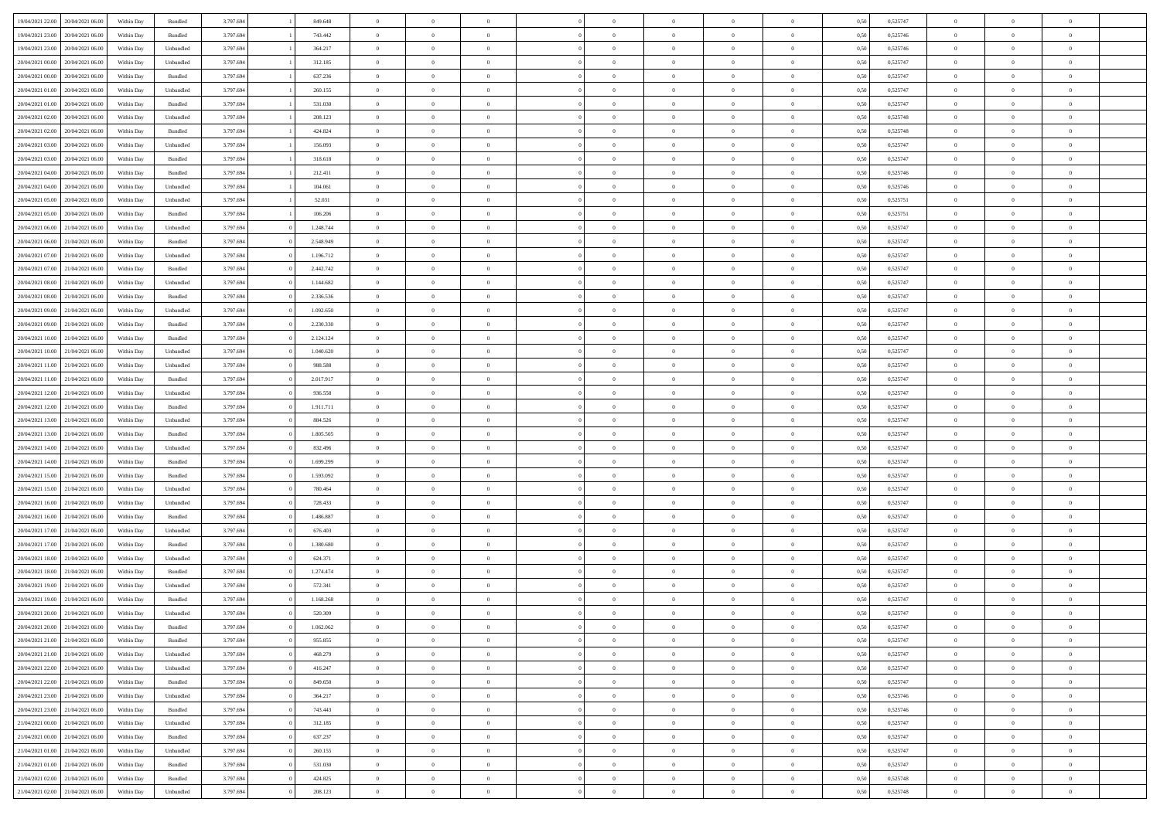| 19/04/2021 22:00                  | 20/04/2021 06:00 | Within Day | Bundled            | 3.797.694 | 849.648   | $\overline{0}$ | $\Omega$       |                | $\Omega$       | $\Omega$       | $\Omega$       | $\theta$       | 0.50 | 0,525747 | $\theta$       | $\theta$       | $\theta$       |  |
|-----------------------------------|------------------|------------|--------------------|-----------|-----------|----------------|----------------|----------------|----------------|----------------|----------------|----------------|------|----------|----------------|----------------|----------------|--|
|                                   |                  |            |                    |           |           |                |                |                |                |                |                |                |      |          |                |                |                |  |
| 19/04/2021 23:00                  | 20/04/2021 06:00 | Within Day | Bundled            | 3.797.694 | 743.442   | $\overline{0}$ | $\theta$       | $\overline{0}$ | $\overline{0}$ | $\bf{0}$       | $\overline{0}$ | $\bf{0}$       | 0,50 | 0,525746 | $\theta$       | $\theta$       | $\overline{0}$ |  |
| 19/04/2021 23:00                  | 20/04/2021 06:00 | Within Day | Unbundled          | 3.797.694 | 364.217   | $\overline{0}$ | $\overline{0}$ | $\overline{0}$ | $\bf{0}$       | $\bf{0}$       | $\bf{0}$       | $\bf{0}$       | 0,50 | 0,525746 | $\bf{0}$       | $\overline{0}$ | $\overline{0}$ |  |
| 20/04/2021 00:00                  | 20/04/2021 06:00 | Within Dav | Unbundled          | 3.797.694 | 312.185   | $\overline{0}$ | $\theta$       | $\overline{0}$ | $\overline{0}$ | $\bf{0}$       | $\overline{0}$ | $\overline{0}$ | 0.50 | 0,525747 | $\theta$       | $\theta$       | $\overline{0}$ |  |
| 20/04/2021 00:00                  | 20/04/2021 06:00 | Within Day | Bundled            | 3.797.694 | 637.236   | $\overline{0}$ | $\theta$       | $\overline{0}$ | $\overline{0}$ | $\bf{0}$       | $\overline{0}$ | $\bf{0}$       | 0,50 | 0,525747 | $\theta$       | $\theta$       | $\overline{0}$ |  |
|                                   |                  |            |                    |           |           |                |                |                |                |                |                |                |      |          |                |                |                |  |
| 20/04/2021 01:00                  | 20/04/2021 06:00 | Within Day | Unbundled          | 3.797.694 | 260.155   | $\overline{0}$ | $\bf{0}$       | $\overline{0}$ | $\bf{0}$       | $\overline{0}$ | $\overline{0}$ | $\mathbf{0}$   | 0,50 | 0,525747 | $\overline{0}$ | $\overline{0}$ | $\bf{0}$       |  |
| 20/04/2021 01:00                  | 20/04/2021 06:00 | Within Dav | Bundled            | 3.797.694 | 531.030   | $\overline{0}$ | $\overline{0}$ | $\overline{0}$ | $\overline{0}$ | $\bf{0}$       | $\overline{0}$ | $\overline{0}$ | 0.50 | 0,525747 | $\theta$       | $\overline{0}$ | $\overline{0}$ |  |
| 20/04/2021 02:00                  | 20/04/2021 06:00 | Within Day | Unbundled          | 3.797.694 | 208.123   | $\overline{0}$ | $\theta$       | $\overline{0}$ | $\overline{0}$ | $\bf{0}$       | $\overline{0}$ | $\bf{0}$       | 0,50 | 0,525748 | $\theta$       | $\theta$       | $\overline{0}$ |  |
| 20/04/2021 02:00                  | 20/04/2021 06:00 | Within Day | Bundled            | 3.797.694 | 424.824   | $\overline{0}$ | $\overline{0}$ | $\overline{0}$ | $\bf{0}$       | $\bf{0}$       | $\overline{0}$ | $\bf{0}$       | 0,50 | 0,525748 | $\,0\,$        | $\overline{0}$ | $\overline{0}$ |  |
| 20/04/2021 03:00                  | 20/04/2021 06:00 | Within Dav | Unbundled          | 3.797.694 | 156.093   | $\overline{0}$ | $\overline{0}$ | $\overline{0}$ | $\overline{0}$ | $\overline{0}$ | $\overline{0}$ | $\overline{0}$ | 0.50 | 0,525747 | $\theta$       | $\overline{0}$ | $\overline{0}$ |  |
| 20/04/2021 03:00                  | 20/04/2021 06:00 | Within Day | Bundled            | 3.797.694 | 318.618   | $\overline{0}$ | $\theta$       | $\overline{0}$ | $\overline{0}$ | $\bf{0}$       | $\overline{0}$ | $\bf{0}$       | 0,50 | 0,525747 | $\,$ 0 $\,$    | $\theta$       | $\overline{0}$ |  |
| 20/04/2021 04:00                  | 20/04/2021 06:00 | Within Day | Bundled            | 3.797.694 | 212.411   | $\overline{0}$ | $\overline{0}$ | $\overline{0}$ | $\overline{0}$ | $\bf{0}$       | $\overline{0}$ | $\bf{0}$       | 0,50 | 0,525746 | $\overline{0}$ | $\overline{0}$ | $\overline{0}$ |  |
|                                   |                  |            |                    |           |           |                |                |                |                |                |                |                |      |          | $\theta$       |                |                |  |
| 20/04/2021 04:00                  | 20/04/2021 06:00 | Within Day | Unbundled          | 3.797.694 | 104.061   | $\overline{0}$ | $\overline{0}$ | $\overline{0}$ | $\overline{0}$ | $\bf{0}$       | $\overline{0}$ | $\overline{0}$ | 0.50 | 0,525746 |                | $\theta$       | $\overline{0}$ |  |
| 20/04/2021 05:00                  | 20/04/2021 06:00 | Within Day | Unbundled          | 3.797.694 | 52.031    | $\overline{0}$ | $\theta$       | $\overline{0}$ | $\overline{0}$ | $\bf{0}$       | $\overline{0}$ | $\overline{0}$ | 0,50 | 0,525751 | $\theta$       | $\theta$       | $\overline{0}$ |  |
| 20/04/2021 05:00                  | 20/04/2021 06:00 | Within Day | Bundled            | 3.797.694 | 106.206   | $\overline{0}$ | $\bf{0}$       | $\overline{0}$ | $\overline{0}$ | $\overline{0}$ | $\overline{0}$ | $\mathbf{0}$   | 0,50 | 0,525751 | $\overline{0}$ | $\overline{0}$ | $\bf{0}$       |  |
| 20/04/2021 06:00                  | 21/04/2021 06:00 | Within Dav | Unbundled          | 3.797.694 | 1.248.744 | $\overline{0}$ | $\overline{0}$ | $\overline{0}$ | $\overline{0}$ | $\bf{0}$       | $\overline{0}$ | $\overline{0}$ | 0.50 | 0,525747 | $\theta$       | $\overline{0}$ | $\overline{0}$ |  |
| 20/04/2021 06:00                  | 21/04/2021 06:00 | Within Day | Bundled            | 3.797.694 | 2.548.949 | $\overline{0}$ | $\theta$       | $\overline{0}$ | $\overline{0}$ | $\bf{0}$       | $\overline{0}$ | $\bf{0}$       | 0,50 | 0,525747 | $\theta$       | $\theta$       | $\overline{0}$ |  |
| 20/04/2021 07:00                  | 21/04/2021 06:00 | Within Day | Unbundled          | 3.797.694 | 1.196.712 | $\overline{0}$ | $\overline{0}$ | $\overline{0}$ | $\overline{0}$ | $\bf{0}$       | $\overline{0}$ | $\bf{0}$       | 0,50 | 0,525747 | $\,0\,$        | $\overline{0}$ | $\overline{0}$ |  |
| 20/04/2021 07:00                  | 21/04/2021 06:00 | Within Day | Bundled            | 3.797.694 | 2.442.742 | $\overline{0}$ | $\overline{0}$ | $\overline{0}$ | $\overline{0}$ | $\overline{0}$ | $\overline{0}$ | $\overline{0}$ | 0.50 | 0,525747 | $\theta$       | $\overline{0}$ | $\overline{0}$ |  |
|                                   |                  |            |                    |           |           |                |                |                |                |                |                |                |      |          |                |                |                |  |
| 20/04/2021 08:00                  | 21/04/2021 06:00 | Within Day | Unbundled          | 3.797.694 | 1.144.682 | $\overline{0}$ | $\theta$       | $\overline{0}$ | $\overline{0}$ | $\bf{0}$       | $\overline{0}$ | $\bf{0}$       | 0,50 | 0,525747 | $\theta$       | $\theta$       | $\overline{0}$ |  |
| 20/04/2021 08:00                  | 21/04/2021 06:00 | Within Day | Bundled            | 3.797.694 | 2.336.536 | $\overline{0}$ | $\overline{0}$ | $\overline{0}$ | $\overline{0}$ | $\bf{0}$       | $\overline{0}$ | $\bf{0}$       | 0,50 | 0,525747 | $\,0\,$        | $\overline{0}$ | $\overline{0}$ |  |
| 20/04/2021 09:00                  | 21/04/2021 06:00 | Within Day | Unbundled          | 3.797.694 | 1.092.650 | $\overline{0}$ | $\overline{0}$ | $\overline{0}$ | $\overline{0}$ | $\bf{0}$       | $\overline{0}$ | $\overline{0}$ | 0.50 | 0,525747 | $\theta$       | $\theta$       | $\overline{0}$ |  |
| 20/04/2021 09:00                  | 21/04/2021 06:00 | Within Day | Bundled            | 3.797.694 | 2.230.330 | $\overline{0}$ | $\theta$       | $\overline{0}$ | $\overline{0}$ | $\bf{0}$       | $\overline{0}$ | $\bf{0}$       | 0,50 | 0,525747 | $\,$ 0 $\,$    | $\overline{0}$ | $\overline{0}$ |  |
| 20/04/2021 10:00                  | 21/04/2021 06:00 | Within Day | Bundled            | 3.797.694 | 2.124.124 | $\overline{0}$ | $\bf{0}$       | $\overline{0}$ | $\overline{0}$ | $\overline{0}$ | $\overline{0}$ | $\mathbf{0}$   | 0,50 | 0,525747 | $\overline{0}$ | $\overline{0}$ | $\bf{0}$       |  |
| 20/04/2021 10:00                  | 21/04/2021 06:00 | Within Dav | Unbundled          | 3.797.694 | 1.040.620 | $\overline{0}$ | $\overline{0}$ | $\overline{0}$ | $\overline{0}$ | $\overline{0}$ | $\overline{0}$ | $\overline{0}$ | 0.50 | 0,525747 | $\theta$       | $\overline{0}$ | $\overline{0}$ |  |
| 20/04/2021 11:00                  | 21/04/2021 06:00 |            |                    | 3.797.694 | 988.588   | $\overline{0}$ | $\theta$       | $\overline{0}$ | $\overline{0}$ | $\bf{0}$       | $\overline{0}$ |                |      | 0,525747 | $\theta$       | $\theta$       | $\overline{0}$ |  |
|                                   |                  | Within Day | Unbundled          |           |           |                |                |                |                |                |                | $\bf{0}$       | 0,50 |          |                |                |                |  |
| 20/04/2021 11:00                  | 21/04/2021 06:00 | Within Day | Bundled            | 3.797.694 | 2.017.917 | $\overline{0}$ | $\overline{0}$ | $\overline{0}$ | $\overline{0}$ | $\bf{0}$       | $\overline{0}$ | $\bf{0}$       | 0,50 | 0,525747 | $\,0\,$        | $\overline{0}$ | $\overline{0}$ |  |
| 20/04/2021 12:00                  | 21/04/2021 06:00 | Within Day | Unbundled          | 3.797.694 | 936.558   | $\overline{0}$ | $\overline{0}$ | $\overline{0}$ | $\overline{0}$ | $\bf{0}$       | $\overline{0}$ | $\overline{0}$ | 0.50 | 0,525747 | $\theta$       | $\overline{0}$ | $\overline{0}$ |  |
| 20/04/2021 12:00                  | 21/04/2021 06:00 | Within Day | Bundled            | 3.797.694 | 1.911.711 | $\overline{0}$ | $\theta$       | $\overline{0}$ | $\overline{0}$ | $\bf{0}$       | $\overline{0}$ | $\bf{0}$       | 0,50 | 0,525747 | $\,$ 0 $\,$    | $\theta$       | $\overline{0}$ |  |
| 20/04/2021 13:00                  | 21/04/2021 06:00 | Within Day | Unbundled          | 3.797.694 | 884.526   | $\overline{0}$ | $\overline{0}$ | $\overline{0}$ | $\bf{0}$       | $\bf{0}$       | $\bf{0}$       | $\bf{0}$       | 0,50 | 0,525747 | $\bf{0}$       | $\overline{0}$ | $\overline{0}$ |  |
| 20/04/2021 13:00                  | 21/04/2021 06.00 | Within Day | Bundled            | 3.797.694 | 1.805.505 | $\overline{0}$ | $\Omega$       | $\Omega$       | $\Omega$       | $\Omega$       | $\Omega$       | $\overline{0}$ | 0,50 | 0,525747 | $\,0\,$        | $\Omega$       | $\theta$       |  |
| 20/04/2021 14:00                  | 21/04/2021 06:00 | Within Day | Unbundled          | 3.797.694 | 832.496   | $\overline{0}$ | $\theta$       | $\overline{0}$ | $\overline{0}$ | $\bf{0}$       | $\overline{0}$ | $\bf{0}$       | 0,50 | 0,525747 | $\theta$       | $\theta$       | $\overline{0}$ |  |
|                                   |                  |            |                    |           |           |                |                |                |                |                |                |                |      |          |                |                |                |  |
| 20/04/2021 14:00                  | 21/04/2021 06:00 | Within Day | Bundled            | 3.797.694 | 1.699.299 | $\overline{0}$ | $\bf{0}$       | $\overline{0}$ | $\bf{0}$       | $\bf{0}$       | $\overline{0}$ | $\mathbf{0}$   | 0,50 | 0,525747 | $\overline{0}$ | $\overline{0}$ | $\bf{0}$       |  |
| 20/04/2021 15:00                  | 21/04/2021 06:00 | Within Day | Bundled            | 3.797.694 | 1.593.092 | $\overline{0}$ | $\Omega$       | $\Omega$       | $\Omega$       | $\Omega$       | $\overline{0}$ | $\overline{0}$ | 0.50 | 0,525747 | $\,0\,$        | $\theta$       | $\theta$       |  |
| 20/04/2021 15:00                  | 21/04/2021 06:00 | Within Day | Unbundled          | 3.797.694 | 780.464   | $\overline{0}$ | $\theta$       | $\overline{0}$ | $\overline{0}$ | $\bf{0}$       | $\overline{0}$ | $\bf{0}$       | 0,50 | 0,525747 | $\,$ 0 $\,$    | $\theta$       | $\overline{0}$ |  |
| 20/04/2021 16:00                  | 21/04/2021 06:00 | Within Day | Unbundled          | 3.797.694 | 728.433   | $\overline{0}$ | $\overline{0}$ | $\overline{0}$ | $\bf{0}$       | $\bf{0}$       | $\bf{0}$       | $\bf{0}$       | 0,50 | 0,525747 | $\,0\,$        | $\overline{0}$ | $\overline{0}$ |  |
| 20/04/2021 16:00                  | 21/04/2021 06:00 | Within Day | Bundled            | 3.797.694 | 1.486.887 | $\overline{0}$ | $\Omega$       | $\Omega$       | $\Omega$       | $\Omega$       | $\theta$       | $\overline{0}$ | 0.50 | 0,525747 | $\theta$       | $\theta$       | $\theta$       |  |
| 20/04/2021 17:00                  | 21/04/2021 06:00 | Within Day | Unbundled          | 3.797.694 | 676.403   | $\overline{0}$ | $\theta$       | $\overline{0}$ | $\overline{0}$ | $\bf{0}$       | $\overline{0}$ | $\bf{0}$       | 0,50 | 0,525747 | $\,$ 0 $\,$    | $\theta$       | $\overline{0}$ |  |
| 20/04/2021 17:00                  | 21/04/2021 06:00 | Within Day | Bundled            | 3.797.694 | 1.380.680 | $\overline{0}$ | $\overline{0}$ | $\overline{0}$ | $\bf{0}$       | $\bf{0}$       | $\bf{0}$       | $\bf{0}$       | 0,50 | 0,525747 | $\overline{0}$ | $\overline{0}$ | $\overline{0}$ |  |
|                                   |                  |            |                    |           |           | $\overline{0}$ | $\Omega$       | $\overline{0}$ | $\Omega$       | $\Omega$       | $\overline{0}$ | $\overline{0}$ |      |          | $\,0\,$        | $\theta$       | $\theta$       |  |
| 20/04/2021 18:00                  | 21/04/2021 06.00 | Within Day | Unbundled          | 3.797.694 | 624.371   |                |                |                |                |                |                |                | 0,50 | 0,525747 |                |                |                |  |
| 20/04/2021 18:00                  | 21/04/2021 06:00 | Within Day | Bundled            | 3.797.694 | 1.274.474 | $\overline{0}$ | $\theta$       | $\overline{0}$ | $\overline{0}$ | $\bf{0}$       | $\overline{0}$ | $\bf{0}$       | 0,50 | 0,525747 | $\,$ 0 $\,$    | $\overline{0}$ | $\overline{0}$ |  |
| 20/04/2021 19:00                  | 21/04/2021 06:00 | Within Day | Unbundled          | 3.797.694 | 572.341   | $\overline{0}$ | $\overline{0}$ | $\overline{0}$ | $\bf{0}$       | $\bf{0}$       | $\bf{0}$       | $\mathbf{0}$   | 0,50 | 0,525747 | $\overline{0}$ | $\overline{0}$ | $\bf{0}$       |  |
| 20/04/2021 19:00                  | 21/04/2021 06:00 | Within Day | Bundled            | 3.797.694 | 1.168.268 | $\overline{0}$ | $\Omega$       | $\Omega$       | $\Omega$       | $\Omega$       | $\Omega$       | $\overline{0}$ | 0.50 | 0,525747 | $\theta$       | $\Omega$       | $\theta$       |  |
| 20/04/2021 20:00                  | 21/04/2021 06:00 | Within Day | Unbundled          | 3.797.694 | 520.309   | $\overline{0}$ | $\,$ 0 $\,$    | $\overline{0}$ | $\bf{0}$       | $\,$ 0         | $\bf{0}$       | $\bf{0}$       | 0,50 | 0,525747 | $\,0\,$        | $\overline{0}$ | $\overline{0}$ |  |
| 20/04/2021 20:00                  | 21/04/2021 06:00 | Within Day | $\mathbf B$ undled | 3.797.694 | 1.062.062 | $\bf{0}$       | $\bf{0}$       |                |                |                |                |                | 0,50 | 0,525747 | $\bf{0}$       | $\overline{0}$ |                |  |
| 20/04/2021 21:00                  | 21/04/2021 06:00 | Within Day | Bundled            | 3.797.694 | 955,855   | $\overline{0}$ | $\overline{0}$ | $\overline{0}$ | $\Omega$       | $\overline{0}$ | $\overline{0}$ | $\overline{0}$ | 0,50 | 0,525747 | $\theta$       | $\theta$       | $\theta$       |  |
| 20/04/2021 21:00                  | 21/04/2021 06:00 | Within Day | Unbundled          | 3.797.694 | 468.279   | $\overline{0}$ | $\,$ 0         | $\overline{0}$ | $\bf{0}$       | $\,$ 0 $\,$    | $\overline{0}$ | $\,$ 0 $\,$    | 0,50 | 0,525747 | $\,$ 0 $\,$    | $\,$ 0 $\,$    | $\,$ 0         |  |
|                                   |                  |            |                    |           |           |                |                |                |                |                |                |                |      |          |                |                |                |  |
| 20/04/2021 22.00                  | 21/04/2021 06:00 | Within Day | Unbundled          | 3.797.694 | 416.247   | $\overline{0}$ | $\overline{0}$ | $\overline{0}$ | $\overline{0}$ | $\overline{0}$ | $\overline{0}$ | $\mathbf{0}$   | 0,50 | 0,525747 | $\overline{0}$ | $\bf{0}$       | $\overline{0}$ |  |
| 20/04/2021 22:00                  | 21/04/2021 06:00 | Within Day | $\mathbf B$ undled | 3.797.694 | 849.650   | $\overline{0}$ | $\overline{0}$ | $\overline{0}$ | $\Omega$       | $\overline{0}$ | $\overline{0}$ | $\overline{0}$ | 0,50 | 0,525747 | $\overline{0}$ | $\theta$       | $\overline{0}$ |  |
| 20/04/2021 23:00                  | 21/04/2021 06:00 | Within Day | Unbundled          | 3.797.694 | 364.217   | $\overline{0}$ | $\,$ 0         | $\overline{0}$ | $\overline{0}$ | $\,$ 0 $\,$    | $\overline{0}$ | $\,$ 0 $\,$    | 0,50 | 0,525746 | $\,$ 0 $\,$    | $\overline{0}$ | $\overline{0}$ |  |
| 20/04/2021 23:00                  | 21/04/2021 06:00 | Within Day | Bundled            | 3.797.694 | 743.443   | $\overline{0}$ | $\overline{0}$ | $\overline{0}$ | $\overline{0}$ | $\overline{0}$ | $\overline{0}$ | $\mathbf{0}$   | 0,50 | 0,525746 | $\overline{0}$ | $\overline{0}$ | $\bf{0}$       |  |
| 21/04/2021 00:00                  | 21/04/2021 06:00 | Within Day | Unbundled          | 3.797.694 | 312.185   | $\overline{0}$ | $\overline{0}$ | $\overline{0}$ | $\Omega$       | $\overline{0}$ | $\overline{0}$ | $\bf{0}$       | 0.50 | 0,525747 | $\overline{0}$ | $\theta$       | $\overline{0}$ |  |
| 21/04/2021 00:00                  | 21/04/2021 06:00 | Within Day | Bundled            | 3.797.694 | 637.237   | $\overline{0}$ | $\,$ 0         | $\overline{0}$ | $\overline{0}$ | $\bf{0}$       | $\overline{0}$ | $\bf{0}$       | 0,50 | 0,525747 | $\,$ 0 $\,$    | $\overline{0}$ | $\overline{0}$ |  |
| 21/04/2021 01:00                  | 21/04/2021 06:00 | Within Day | Unbundled          | 3.797.694 | 260.155   | $\overline{0}$ | $\bf{0}$       | $\overline{0}$ | $\overline{0}$ | $\overline{0}$ | $\overline{0}$ | $\mathbf{0}$   | 0,50 | 0,525747 | $\overline{0}$ | $\overline{0}$ | $\bf{0}$       |  |
|                                   |                  |            |                    |           |           |                |                |                |                |                |                |                |      |          |                |                |                |  |
| 21/04/2021 01:00                  | 21/04/2021 06:00 | Within Day | Bundled            | 3.797.694 | 531.030   | $\overline{0}$ | $\overline{0}$ | $\overline{0}$ | $\Omega$       | $\overline{0}$ | $\overline{0}$ | $\overline{0}$ | 0.50 | 0,525747 | $\overline{0}$ | $\overline{0}$ | $\overline{0}$ |  |
| 21/04/2021 02:00                  | 21/04/2021 06:00 | Within Day | Bundled            | 3.797.694 | 424.825   | $\overline{0}$ | $\bf{0}$       | $\overline{0}$ | $\overline{0}$ | $\bf{0}$       | $\overline{0}$ | $\mathbf{0}$   | 0,50 | 0,525748 | $\,$ 0 $\,$    | $\,$ 0 $\,$    | $\bf{0}$       |  |
| 21/04/2021 02.00 21/04/2021 06.00 |                  | Within Day | Unbundled          | 3.797.694 | 208.123   | $\overline{0}$ | $\bf{0}$       | $\overline{0}$ | $\overline{0}$ | $\bf{0}$       | $\overline{0}$ | $\bf{0}$       | 0,50 | 0,525748 | $\overline{0}$ | $\overline{0}$ | $\bf{0}$       |  |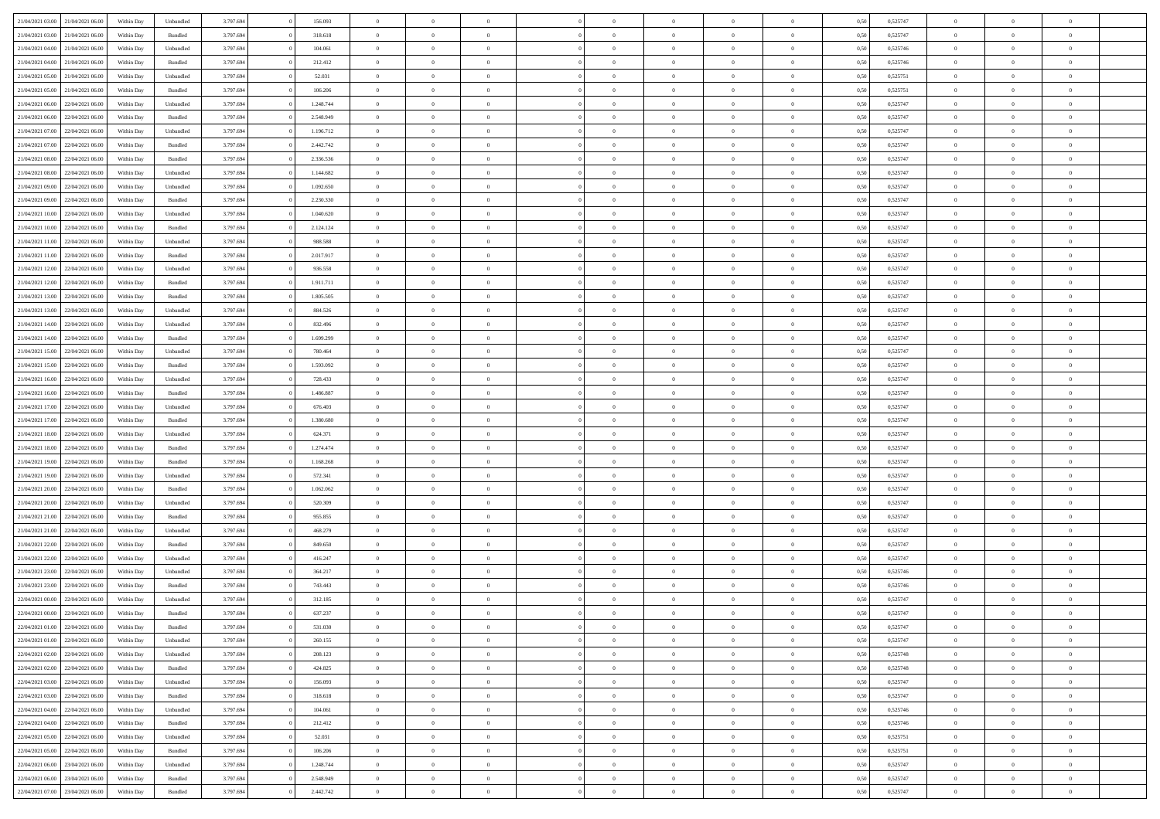|                                   |                  |            |                    |           |           | $\overline{0}$ | $\Omega$       |                |                | $\Omega$       | $\Omega$       | $\theta$       |      |          | $\theta$       |                | $\theta$       |  |
|-----------------------------------|------------------|------------|--------------------|-----------|-----------|----------------|----------------|----------------|----------------|----------------|----------------|----------------|------|----------|----------------|----------------|----------------|--|
| 21/04/2021 03:00                  | 21/04/2021 06:00 | Within Dav | Unbundled          | 3.797.694 | 156.093   |                |                |                | $\Omega$       |                |                |                | 0.50 | 0,525747 |                | $\theta$       |                |  |
| 21/04/2021 03:00                  | 21/04/2021 06:00 | Within Day | Bundled            | 3.797.694 | 318.618   | $\overline{0}$ | $\theta$       | $\overline{0}$ | $\overline{0}$ | $\bf{0}$       | $\overline{0}$ | $\bf{0}$       | 0,50 | 0,525747 | $\theta$       | $\theta$       | $\overline{0}$ |  |
| 21/04/2021 04:00                  | 21/04/2021 06:00 | Within Day | Unbundled          | 3.797.694 | 104.061   | $\overline{0}$ | $\overline{0}$ | $\overline{0}$ | $\bf{0}$       | $\bf{0}$       | $\bf{0}$       | $\bf{0}$       | 0,50 | 0,525746 | $\bf{0}$       | $\overline{0}$ | $\overline{0}$ |  |
| 21/04/2021 04:00                  | 21/04/2021 06:00 | Within Dav | Bundled            | 3.797.694 | 212.412   | $\overline{0}$ | $\theta$       | $\overline{0}$ | $\overline{0}$ | $\bf{0}$       | $\overline{0}$ | $\overline{0}$ | 0.50 | 0,525746 | $\theta$       | $\theta$       | $\overline{0}$ |  |
|                                   |                  |            |                    |           |           |                |                |                |                |                |                |                |      |          |                |                |                |  |
| 21/04/2021 05:00                  | 21/04/2021 06:00 | Within Day | Unbundled          | 3.797.694 | 52.031    | $\overline{0}$ | $\theta$       | $\overline{0}$ | $\overline{0}$ | $\bf{0}$       | $\overline{0}$ | $\bf{0}$       | 0,50 | 0,525751 | $\theta$       | $\theta$       | $\overline{0}$ |  |
| 21/04/2021 05:00                  | 21/04/2021 06:00 | Within Day | Bundled            | 3.797.694 | 106.206   | $\overline{0}$ | $\bf{0}$       | $\overline{0}$ | $\bf{0}$       | $\overline{0}$ | $\overline{0}$ | $\mathbf{0}$   | 0,50 | 0,525751 | $\overline{0}$ | $\overline{0}$ | $\bf{0}$       |  |
| 21/04/2021 06:00                  | 22/04/2021 06:00 | Within Dav | Unbundled          | 3.797.694 | 1.248.744 | $\overline{0}$ | $\overline{0}$ | $\overline{0}$ | $\overline{0}$ | $\bf{0}$       | $\overline{0}$ | $\overline{0}$ | 0.50 | 0,525747 | $\theta$       | $\overline{0}$ | $\overline{0}$ |  |
| 21/04/2021 06:00                  | 22/04/2021 06:00 | Within Day | Bundled            | 3.797.694 | 2.548.949 | $\overline{0}$ | $\theta$       | $\overline{0}$ | $\overline{0}$ | $\bf{0}$       | $\overline{0}$ | $\bf{0}$       | 0,50 | 0,525747 | $\theta$       | $\theta$       | $\overline{0}$ |  |
| 21/04/2021 07:00                  | 22/04/2021 06:00 | Within Day | Unbundled          | 3.797.694 | 1.196.712 | $\overline{0}$ | $\overline{0}$ | $\overline{0}$ | $\bf{0}$       | $\bf{0}$       | $\bf{0}$       | $\bf{0}$       | 0,50 | 0,525747 | $\,0\,$        | $\overline{0}$ | $\overline{0}$ |  |
|                                   |                  |            |                    |           |           |                |                |                |                |                |                |                |      |          |                |                |                |  |
| 21/04/2021 07:00                  | 22/04/2021 06:00 | Within Dav | Bundled            | 3.797.694 | 2.442.742 | $\overline{0}$ | $\overline{0}$ | $\overline{0}$ | $\overline{0}$ | $\overline{0}$ | $\overline{0}$ | $\overline{0}$ | 0.50 | 0,525747 | $\theta$       | $\overline{0}$ | $\overline{0}$ |  |
| 21/04/2021 08:00                  | 22/04/2021 06.00 | Within Day | Bundled            | 3.797.694 | 2.336.536 | $\overline{0}$ | $\theta$       | $\overline{0}$ | $\overline{0}$ | $\bf{0}$       | $\overline{0}$ | $\bf{0}$       | 0,50 | 0,525747 | $\,$ 0 $\,$    | $\theta$       | $\overline{0}$ |  |
| 21/04/2021 08:00                  | 22/04/2021 06:00 | Within Day | Unbundled          | 3.797.694 | 1.144.682 | $\overline{0}$ | $\overline{0}$ | $\overline{0}$ | $\bf{0}$       | $\bf{0}$       | $\bf{0}$       | $\bf{0}$       | 0,50 | 0,525747 | $\overline{0}$ | $\overline{0}$ | $\overline{0}$ |  |
| 21/04/2021 09:00                  | 22/04/2021 06:00 | Within Day | Unbundled          | 3.797.694 | 1.092.650 | $\overline{0}$ | $\theta$       | $\overline{0}$ | $\overline{0}$ | $\bf{0}$       | $\overline{0}$ | $\overline{0}$ | 0.50 | 0,525747 | $\theta$       | $\theta$       | $\overline{0}$ |  |
| 21/04/2021 09:00                  | 22/04/2021 06.00 | Within Day | Bundled            | 3.797.694 | 2.230.330 | $\overline{0}$ | $\theta$       | $\overline{0}$ | $\overline{0}$ | $\bf{0}$       | $\overline{0}$ | $\bf{0}$       | 0,50 | 0,525747 | $\theta$       | $\theta$       | $\overline{0}$ |  |
|                                   |                  |            |                    |           |           |                |                |                |                |                |                |                |      |          |                |                |                |  |
| 21/04/2021 10:00                  | 22/04/2021 06:00 | Within Day | Unbundled          | 3.797.694 | 1.040.620 | $\overline{0}$ | $\bf{0}$       | $\overline{0}$ | $\overline{0}$ | $\overline{0}$ | $\overline{0}$ | $\mathbf{0}$   | 0,50 | 0,525747 | $\bf{0}$       | $\overline{0}$ | $\bf{0}$       |  |
| 21/04/2021 10:00                  | 22/04/2021 06:00 | Within Dav | Bundled            | 3.797.694 | 2.124.124 | $\overline{0}$ | $\overline{0}$ | $\overline{0}$ | $\overline{0}$ | $\bf{0}$       | $\overline{0}$ | $\overline{0}$ | 0.50 | 0,525747 | $\theta$       | $\overline{0}$ | $\overline{0}$ |  |
| 21/04/2021 11:00                  | 22/04/2021 06:00 | Within Day | Unbundled          | 3.797.694 | 988.588   | $\overline{0}$ | $\theta$       | $\overline{0}$ | $\overline{0}$ | $\bf{0}$       | $\overline{0}$ | $\bf{0}$       | 0,50 | 0,525747 | $\theta$       | $\theta$       | $\overline{0}$ |  |
| 21/04/2021 11:00                  | 22/04/2021 06:00 | Within Day | Bundled            | 3.797.694 | 2.017.917 | $\overline{0}$ | $\overline{0}$ | $\overline{0}$ | $\overline{0}$ | $\bf{0}$       | $\overline{0}$ | $\bf{0}$       | 0,50 | 0,525747 | $\,0\,$        | $\overline{0}$ | $\overline{0}$ |  |
| 21/04/2021 12:00                  | 22/04/2021 06:00 | Within Day | Unbundled          | 3.797.694 | 936.558   | $\overline{0}$ | $\overline{0}$ | $\overline{0}$ | $\overline{0}$ | $\overline{0}$ | $\overline{0}$ | $\overline{0}$ | 0.50 | 0,525747 | $\theta$       | $\overline{0}$ | $\overline{0}$ |  |
|                                   |                  |            |                    |           |           |                |                |                |                |                |                |                |      |          |                |                |                |  |
| 21/04/2021 12:00                  | 22/04/2021 06:00 | Within Day | Bundled            | 3.797.694 | 1.911.711 | $\overline{0}$ | $\theta$       | $\overline{0}$ | $\overline{0}$ | $\bf{0}$       | $\overline{0}$ | $\bf{0}$       | 0,50 | 0,525747 | $\theta$       | $\theta$       | $\overline{0}$ |  |
| 21/04/2021 13:00                  | 22/04/2021 06:00 | Within Day | Bundled            | 3.797.694 | 1.805.505 | $\overline{0}$ | $\overline{0}$ | $\overline{0}$ | $\overline{0}$ | $\bf{0}$       | $\overline{0}$ | $\bf{0}$       | 0,50 | 0,525747 | $\,0\,$        | $\overline{0}$ | $\overline{0}$ |  |
| 21/04/2021 13:00                  | 22/04/2021 06:00 | Within Day | Unbundled          | 3.797.694 | 884.526   | $\overline{0}$ | $\overline{0}$ | $\overline{0}$ | $\overline{0}$ | $\bf{0}$       | $\overline{0}$ | $\overline{0}$ | 0.50 | 0,525747 | $\theta$       | $\theta$       | $\overline{0}$ |  |
| 21/04/2021 14:00                  | 22/04/2021 06:00 | Within Day | Unbundled          | 3.797.694 | 832.496   | $\overline{0}$ | $\theta$       | $\overline{0}$ | $\overline{0}$ | $\bf{0}$       | $\overline{0}$ | $\bf{0}$       | 0,50 | 0,525747 | $\,$ 0 $\,$    | $\overline{0}$ | $\overline{0}$ |  |
| 21/04/2021 14:00                  | 22/04/2021 06:00 | Within Day | Bundled            | 3.797.694 | 1.699.299 | $\overline{0}$ | $\bf{0}$       | $\overline{0}$ | $\bf{0}$       | $\overline{0}$ | $\overline{0}$ | $\mathbf{0}$   | 0,50 | 0,525747 | $\overline{0}$ | $\overline{0}$ | $\bf{0}$       |  |
|                                   |                  |            |                    |           |           |                |                |                |                |                |                |                |      |          |                |                |                |  |
| 21/04/2021 15:00                  | 22/04/2021 06:00 | Within Dav | Unbundled          | 3.797.694 | 780.464   | $\overline{0}$ | $\overline{0}$ | $\overline{0}$ | $\overline{0}$ | $\overline{0}$ | $\overline{0}$ | $\overline{0}$ | 0.50 | 0,525747 | $\theta$       | $\overline{0}$ | $\overline{0}$ |  |
| 21/04/2021 15:00                  | 22/04/2021 06:00 | Within Day | Bundled            | 3.797.694 | 1.593.092 | $\overline{0}$ | $\theta$       | $\overline{0}$ | $\overline{0}$ | $\bf{0}$       | $\overline{0}$ | $\bf{0}$       | 0,50 | 0,525747 | $\theta$       | $\theta$       | $\overline{0}$ |  |
| 21/04/2021 16:00                  | 22/04/2021 06:00 | Within Day | Unbundled          | 3.797.694 | 728.433   | $\overline{0}$ | $\overline{0}$ | $\overline{0}$ | $\bf{0}$       | $\bf{0}$       | $\bf{0}$       | $\bf{0}$       | 0,50 | 0,525747 | $\,0\,$        | $\overline{0}$ | $\overline{0}$ |  |
| 21/04/2021 16:00                  | 22/04/2021 06:00 | Within Day | Bundled            | 3.797.694 | 1.486.887 | $\overline{0}$ | $\overline{0}$ | $\overline{0}$ | $\overline{0}$ | $\bf{0}$       | $\overline{0}$ | $\overline{0}$ | 0.50 | 0,525747 | $\theta$       | $\overline{0}$ | $\overline{0}$ |  |
| 21/04/2021 17:00                  | 22/04/2021 06:00 | Within Day | Unbundled          | 3.797.694 | 676.403   | $\overline{0}$ | $\theta$       | $\overline{0}$ | $\overline{0}$ | $\bf{0}$       | $\overline{0}$ | $\bf{0}$       | 0,50 | 0,525747 | $\,$ 0 $\,$    | $\theta$       | $\overline{0}$ |  |
| 21/04/2021 17:00                  | 22/04/2021 06:00 | Within Day | Bundled            | 3.797.694 | 1.380.680 | $\overline{0}$ | $\overline{0}$ | $\overline{0}$ | $\bf{0}$       | $\bf{0}$       | $\bf{0}$       | $\bf{0}$       | 0,50 | 0,525747 | $\bf{0}$       | $\overline{0}$ | $\overline{0}$ |  |
|                                   |                  |            |                    |           |           |                |                |                |                |                |                |                |      |          |                |                | $\theta$       |  |
| 21/04/2021 18:00                  | 22/04/2021 06:00 | Within Day | Unbundled          | 3.797.694 | 624.371   | $\overline{0}$ | $\Omega$       | $\Omega$       | $\Omega$       | $\Omega$       | $\Omega$       | $\overline{0}$ | 0,50 | 0,525747 | $\,0\,$        | $\Omega$       |                |  |
| 21/04/2021 18:00                  | 22/04/2021 06:00 | Within Day | Bundled            | 3.797.694 | 1.274.474 | $\overline{0}$ | $\theta$       | $\overline{0}$ | $\overline{0}$ | $\bf{0}$       | $\overline{0}$ | $\bf{0}$       | 0,50 | 0,525747 | $\theta$       | $\theta$       | $\overline{0}$ |  |
| 21/04/2021 19:00                  | 22/04/2021 06:00 | Within Day | Bundled            | 3.797.694 | 1.168.268 | $\overline{0}$ | $\overline{0}$ | $\overline{0}$ | $\bf{0}$       | $\bf{0}$       | $\overline{0}$ | $\mathbf{0}$   | 0,50 | 0,525747 | $\overline{0}$ | $\overline{0}$ | $\bf{0}$       |  |
| 21/04/2021 19:00                  | 22/04/2021 06:00 | Within Day | Unbundled          | 3.797.694 | 572.341   | $\overline{0}$ | $\Omega$       | $\Omega$       | $\Omega$       | $\bf{0}$       | $\overline{0}$ | $\overline{0}$ | 0.50 | 0,525747 | $\,0\,$        | $\theta$       | $\theta$       |  |
| 21/04/2021 20:00                  | 22/04/2021 06:00 | Within Day | Bundled            | 3.797.694 | 1.062.062 | $\overline{0}$ | $\theta$       | $\overline{0}$ | $\overline{0}$ | $\bf{0}$       | $\overline{0}$ | $\bf{0}$       | 0,50 | 0,525747 | $\,$ 0 $\,$    | $\theta$       | $\overline{0}$ |  |
| 21/04/2021 20:00                  | 22/04/2021 06:00 | Within Day | Unbundled          | 3.797.694 | 520.309   | $\overline{0}$ | $\overline{0}$ | $\overline{0}$ | $\bf{0}$       | $\bf{0}$       | $\overline{0}$ | $\bf{0}$       | 0,50 | 0,525747 | $\,0\,$        | $\overline{0}$ | $\overline{0}$ |  |
|                                   |                  |            |                    |           |           |                | $\Omega$       |                |                | $\Omega$       | $\theta$       |                |      |          | $\theta$       | $\theta$       | $\theta$       |  |
| 21/04/2021 21:00                  | 22/04/2021 06:00 | Within Day | Bundled            | 3.797.694 | 955.855   | $\overline{0}$ |                | $\Omega$       | $\Omega$       |                |                | $\overline{0}$ | 0.50 | 0,525747 |                |                |                |  |
| 21/04/2021 21:00                  | 22/04/2021 06:00 | Within Day | Unbundled          | 3.797.694 | 468.279   | $\overline{0}$ | $\theta$       | $\overline{0}$ | $\overline{0}$ | $\bf{0}$       | $\overline{0}$ | $\bf{0}$       | 0,50 | 0,525747 | $\,$ 0 $\,$    | $\overline{0}$ | $\overline{0}$ |  |
| 21/04/2021 22.00                  | 22/04/2021 06:00 | Within Day | Bundled            | 3.797.694 | 849.650   | $\overline{0}$ | $\overline{0}$ | $\overline{0}$ | $\overline{0}$ | $\bf{0}$       | $\overline{0}$ | $\bf{0}$       | 0,50 | 0,525747 | $\overline{0}$ | $\overline{0}$ | $\overline{0}$ |  |
| 21/04/2021 22:00                  | 22/04/2021 06:00 | Within Day | Unbundled          | 3.797.694 | 416.247   | $\overline{0}$ | $\Omega$       | $\overline{0}$ | $\Omega$       | $\Omega$       | $\overline{0}$ | $\overline{0}$ | 0,50 | 0,525747 | $\,0\,$        | $\theta$       | $\theta$       |  |
| 21/04/2021 23:00                  | 22/04/2021 06:00 | Within Day | Unbundled          | 3.797.694 | 364.217   | $\overline{0}$ | $\theta$       | $\overline{0}$ | $\overline{0}$ | $\bf{0}$       | $\overline{0}$ | $\bf{0}$       | 0,50 | 0,525746 | $\,$ 0 $\,$    | $\overline{0}$ | $\overline{0}$ |  |
| 21/04/2021 23:00                  | 22/04/2021 06:00 | Within Day | Bundled            | 3.797.694 | 743.443   | $\overline{0}$ | $\overline{0}$ | $\overline{0}$ | $\overline{0}$ | $\bf{0}$       | $\overline{0}$ | $\mathbf{0}$   | 0,50 | 0,525746 | $\overline{0}$ | $\overline{0}$ | $\bf{0}$       |  |
|                                   | 22/04/2021 06:00 |            |                    |           |           | $\overline{0}$ | $\Omega$       | $\Omega$       | $\Omega$       | $\Omega$       | $\Omega$       |                |      |          | $\theta$       | $\Omega$       | $\theta$       |  |
| 22/04/2021 00:00                  |                  | Within Day | Unbundled          | 3.797.694 | 312.185   |                |                |                |                |                |                | $\overline{0}$ | 0.50 | 0,525747 |                |                |                |  |
| 22/04/2021 00:00                  | 22/04/2021 06:00 | Within Day | Bundled            | 3.797.694 | 637.237   | $\overline{0}$ | $\,$ 0 $\,$    | $\overline{0}$ | $\bf{0}$       | $\,$ 0         | $\overline{0}$ | $\bf{0}$       | 0,50 | 0,525747 | $\,0\,$        | $\overline{0}$ | $\overline{0}$ |  |
| 22/04/2021 01:00 22/04/2021 06:00 |                  | Within Day | $\mathbf B$ undled | 3.797.694 | 531.030   | $\bf{0}$       | $\bf{0}$       |                |                |                |                |                | 0,50 | 0,525747 | $\bf{0}$       | $\overline{0}$ |                |  |
| 22/04/2021 01:00                  | 22/04/2021 06:00 | Within Day | Unbundled          | 3.797.694 | 260.155   | $\overline{0}$ | $\overline{0}$ | $\overline{0}$ | $\Omega$       | $\overline{0}$ | $\overline{0}$ | $\overline{0}$ | 0,50 | 0,525747 | $\theta$       | $\theta$       | $\theta$       |  |
| 22/04/2021 02:00                  | 22/04/2021 06:00 | Within Day | Unbundled          | 3.797.694 | 208.123   | $\overline{0}$ | $\,$ 0         | $\overline{0}$ | $\overline{0}$ | $\,$ 0 $\,$    | $\overline{0}$ | $\,$ 0 $\,$    | 0,50 | 0,525748 | $\,$ 0 $\,$    | $\,$ 0 $\,$    | $\,$ 0         |  |
| 22/04/2021 02:00                  | 22/04/2021 06:00 | Within Day | Bundled            | 3.797.694 | 424.825   | $\overline{0}$ | $\overline{0}$ | $\overline{0}$ | $\overline{0}$ | $\overline{0}$ | $\overline{0}$ | $\mathbf{0}$   | 0,50 | 0,525748 | $\overline{0}$ | $\bf{0}$       | $\bf{0}$       |  |
|                                   |                  |            |                    |           |           |                | $\overline{0}$ |                | $\Omega$       | $\overline{0}$ | $\overline{0}$ |                |      |          |                | $\theta$       | $\overline{0}$ |  |
| 22/04/2021 03:00                  | 22/04/2021 06:00 | Within Day | Unbundled          | 3.797.694 | 156.093   | $\overline{0}$ |                | $\overline{0}$ |                |                |                | $\overline{0}$ | 0,50 | 0,525747 | $\overline{0}$ |                |                |  |
| 22/04/2021 03:00                  | 22/04/2021 06:00 | Within Day | Bundled            | 3.797.694 | 318.618   | $\overline{0}$ | $\,$ 0         | $\overline{0}$ | $\overline{0}$ | $\,$ 0 $\,$    | $\overline{0}$ | $\mathbf{0}$   | 0,50 | 0,525747 | $\,$ 0 $\,$    | $\overline{0}$ | $\overline{0}$ |  |
| 22/04/2021 04:00                  | 22/04/2021 06:00 | Within Day | Unbundled          | 3.797.694 | 104.061   | $\overline{0}$ | $\overline{0}$ | $\overline{0}$ | $\overline{0}$ | $\overline{0}$ | $\overline{0}$ | $\mathbf{0}$   | 0,50 | 0,525746 | $\overline{0}$ | $\overline{0}$ | $\bf{0}$       |  |
| 22/04/2021 04:00                  | 22/04/2021 06:00 | Within Day | Bundled            | 3.797.694 | 212.412   | $\overline{0}$ | $\overline{0}$ | $\overline{0}$ | $\Omega$       | $\overline{0}$ | $\overline{0}$ | $\bf{0}$       | 0.50 | 0,525746 | $\overline{0}$ | $\theta$       | $\overline{0}$ |  |
| 22/04/2021 05:00                  | 22/04/2021 06:00 | Within Day | Unbundled          | 3.797.694 | 52.031    | $\overline{0}$ | $\,$ 0         | $\overline{0}$ | $\overline{0}$ | $\bf{0}$       | $\overline{0}$ | $\bf{0}$       | 0,50 | 0,525751 | $\,$ 0 $\,$    | $\overline{0}$ | $\overline{0}$ |  |
| 22/04/2021 05:00                  | 22/04/2021 06:00 | Within Day | Bundled            | 3.797.694 | 106.206   | $\overline{0}$ | $\bf{0}$       | $\overline{0}$ | $\overline{0}$ | $\overline{0}$ | $\overline{0}$ | $\mathbf{0}$   | 0,50 | 0,525751 | $\overline{0}$ | $\overline{0}$ | $\bf{0}$       |  |
|                                   |                  |            |                    |           |           |                |                |                |                |                |                |                |      |          |                |                |                |  |
| 22/04/2021 06:00                  | 23/04/2021 06:00 | Within Day | Unbundled          | 3.797.694 | 1.248.744 | $\overline{0}$ | $\overline{0}$ | $\overline{0}$ | $\Omega$       | $\overline{0}$ | $\overline{0}$ | $\overline{0}$ | 0.50 | 0,525747 | $\overline{0}$ | $\theta$       | $\overline{0}$ |  |
| 22/04/2021 06:00                  | 23/04/2021 06:00 | Within Day | Bundled            | 3.797.694 | 2.548.949 | $\overline{0}$ | $\bf{0}$       | $\overline{0}$ | $\overline{0}$ | $\bf{0}$       | $\bf{0}$       | $\mathbf{0}$   | 0,50 | 0,525747 | $\,$ 0 $\,$    | $\,$ 0 $\,$    | $\bf{0}$       |  |
| 22/04/2021 07:00 23/04/2021 06:00 |                  | Within Day | Bundled            | 3.797.694 | 2.442.742 | $\overline{0}$ | $\overline{0}$ | $\overline{0}$ | $\overline{0}$ | $\bf{0}$       | $\bf{0}$       | $\mathbf{0}$   | 0,50 | 0,525747 | $\overline{0}$ | $\bf{0}$       | $\bf{0}$       |  |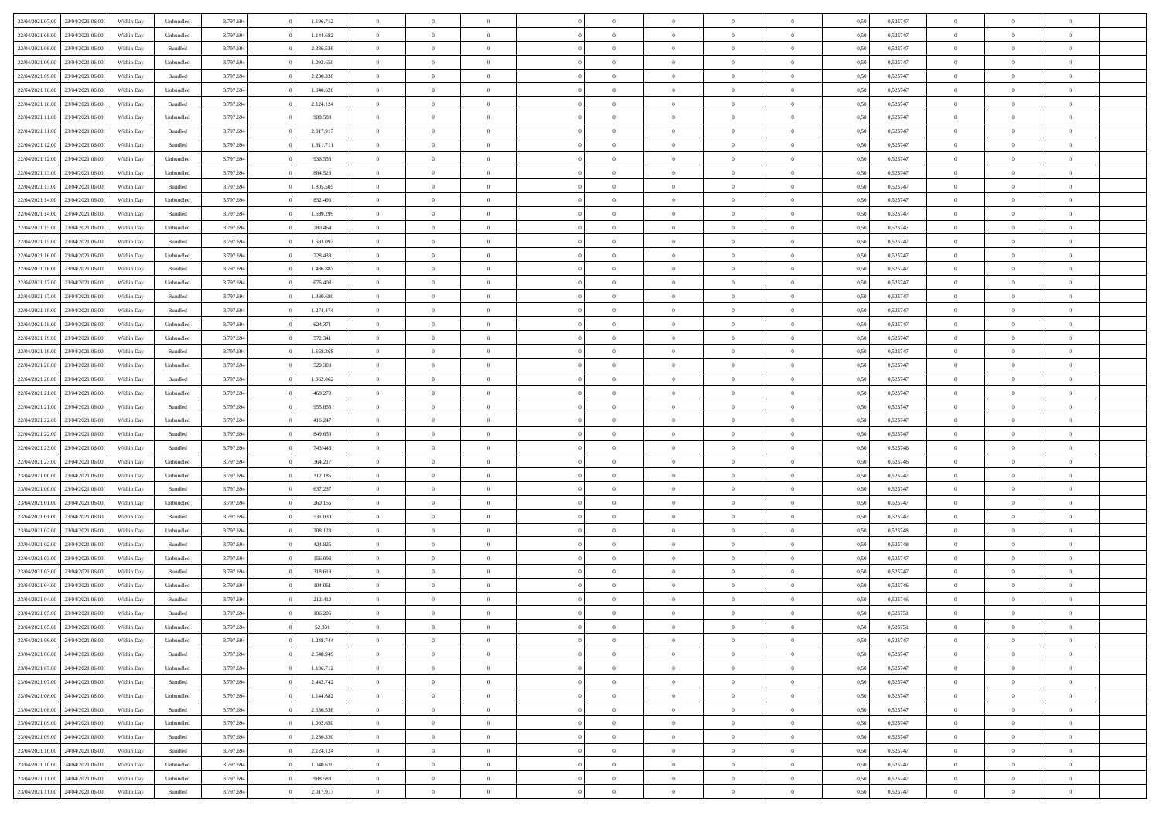| 22/04/2021 07:00 23/04/2021 06:00    | Within Day               | Unbundled | 3.797.694 | 1.196.712 | $\overline{0}$ | $\overline{0}$ | $\Omega$       | $\Omega$       | $\theta$       | $\Omega$       | $\overline{0}$ | 0,50 | 0,525747 | $\theta$       | $\theta$       | $\theta$       |  |
|--------------------------------------|--------------------------|-----------|-----------|-----------|----------------|----------------|----------------|----------------|----------------|----------------|----------------|------|----------|----------------|----------------|----------------|--|
| 22/04/2021 08:00<br>23/04/2021 06:00 | Within Day               | Unbundled | 3.797.694 | 1.144.682 | $\overline{0}$ | $\overline{0}$ | $\overline{0}$ | $\overline{0}$ | $\theta$       | $\overline{0}$ | $\bf{0}$       | 0,50 | 0,525747 | $\theta$       | $\theta$       | $\overline{0}$ |  |
| 22/04/2021 08:00<br>23/04/2021 06:00 | Within Day               | Bundled   | 3.797.694 | 2.336.536 | $\overline{0}$ | $\bf{0}$       | $\overline{0}$ | $\overline{0}$ | $\overline{0}$ | $\overline{0}$ | $\bf{0}$       | 0,50 | 0,525747 | $\bf{0}$       | $\overline{0}$ | $\overline{0}$ |  |
| 22/04/2021 09:00<br>23/04/2021 06:00 | Within Day               | Unbundled | 3.797.694 | 1.092.650 | $\overline{0}$ | $\overline{0}$ | $\overline{0}$ | $\overline{0}$ | $\theta$       | $\overline{0}$ | $\overline{0}$ | 0.50 | 0,525747 | $\theta$       | $\theta$       | $\overline{0}$ |  |
| 22/04/2021 09:00<br>23/04/2021 06:00 | Within Day               | Bundled   | 3.797.694 | 2.230.330 | $\overline{0}$ | $\overline{0}$ | $\overline{0}$ | $\overline{0}$ | $\theta$       | $\overline{0}$ | $\bf{0}$       | 0,50 | 0,525747 | $\theta$       | $\theta$       | $\overline{0}$ |  |
| 22/04/2021 10:00<br>23/04/2021 06:00 | Within Day               | Unbundled | 3.797.694 | 1.040.620 | $\overline{0}$ | $\bf{0}$       | $\overline{0}$ | $\overline{0}$ | $\overline{0}$ | $\overline{0}$ | $\bf{0}$       | 0,50 | 0,525747 | $\overline{0}$ | $\overline{0}$ | $\bf{0}$       |  |
| 22/04/2021 10:00<br>23/04/2021 06:00 |                          | Bundled   | 3.797.694 | 2.124.124 | $\overline{0}$ | $\overline{0}$ | $\overline{0}$ | $\overline{0}$ | $\overline{0}$ | $\overline{0}$ | $\bf{0}$       | 0.5( | 0,525747 | $\theta$       | $\theta$       | $\overline{0}$ |  |
|                                      | Within Day               |           |           |           |                |                |                |                |                |                |                |      |          |                |                |                |  |
| 22/04/2021 11:00<br>23/04/2021 06:00 | Within Day               | Unbundled | 3.797.694 | 988.588   | $\overline{0}$ | $\theta$       | $\overline{0}$ | $\overline{0}$ | $\theta$       | $\overline{0}$ | $\bf{0}$       | 0,50 | 0,525747 | $\theta$       | $\theta$       | $\overline{0}$ |  |
| 22/04/2021 11:00<br>23/04/2021 06:00 | Within Day               | Bundled   | 3.797.694 | 2.017.917 | $\overline{0}$ | $\bf{0}$       | $\overline{0}$ | $\overline{0}$ | $\overline{0}$ | $\overline{0}$ | $\bf{0}$       | 0,50 | 0,525747 | $\bf{0}$       | $\bf{0}$       | $\overline{0}$ |  |
| 22/04/2021 12:00<br>23/04/2021 06:00 | Within Day               | Bundled   | 3.797.694 | 1.911.711 | $\overline{0}$ | $\overline{0}$ | $\overline{0}$ | $\overline{0}$ | $\overline{0}$ | $\overline{0}$ | $\bf{0}$       | 0.50 | 0,525747 | $\theta$       | $\theta$       | $\overline{0}$ |  |
| 22/04/2021 12:00<br>23/04/2021 06:00 | Within Day               | Unbundled | 3.797.694 | 936.558   | $\overline{0}$ | $\overline{0}$ | $\overline{0}$ | $\overline{0}$ | $\theta$       | $\overline{0}$ | $\bf{0}$       | 0,50 | 0,525747 | $\theta$       | $\theta$       | $\overline{0}$ |  |
| 22/04/2021 13:00<br>23/04/2021 06:00 | Within Day               | Unbundled | 3.797.694 | 884.526   | $\overline{0}$ | $\bf{0}$       | $\overline{0}$ | $\overline{0}$ | $\bf{0}$       | $\overline{0}$ | $\bf{0}$       | 0,50 | 0,525747 | $\bf{0}$       | $\overline{0}$ | $\overline{0}$ |  |
| 22/04/2021 13:00<br>23/04/2021 06:00 | Within Day               | Bundled   | 3.797.694 | 1.805.505 | $\overline{0}$ | $\overline{0}$ | $\overline{0}$ | $\overline{0}$ | $\overline{0}$ | $\overline{0}$ | $\overline{0}$ | 0.5( | 0,525747 | $\theta$       | $\theta$       | $\overline{0}$ |  |
| 22/04/2021 14:00<br>23/04/2021 06:00 | Within Day               | Unbundled | 3.797.694 | 832.496   | $\overline{0}$ | $\overline{0}$ | $\overline{0}$ | $\overline{0}$ | $\theta$       | $\overline{0}$ | $\,$ 0 $\,$    | 0,50 | 0,525747 | $\theta$       | $\theta$       | $\overline{0}$ |  |
| 22/04/2021 14:00<br>23/04/2021 06:00 | Within Day               | Bundled   | 3.797.694 | 1.699.299 | $\overline{0}$ | $\bf{0}$       | $\overline{0}$ | $\overline{0}$ | $\overline{0}$ | $\overline{0}$ | $\bf{0}$       | 0,50 | 0,525747 | $\bf{0}$       | $\overline{0}$ | $\bf{0}$       |  |
| 22/04/2021 15:00<br>23/04/2021 06:00 | Within Day               | Unbundled | 3.797.694 | 780.464   | $\overline{0}$ | $\overline{0}$ | $\overline{0}$ | $\overline{0}$ | $\overline{0}$ | $\overline{0}$ | $\overline{0}$ | 0.5( | 0,525747 | $\theta$       | $\theta$       | $\overline{0}$ |  |
| 22/04/2021 15:00<br>23/04/2021 06:00 | Within Day               | Bundled   | 3.797.694 | 1.593.092 | $\overline{0}$ | $\overline{0}$ | $\overline{0}$ | $\overline{0}$ | $\theta$       | $\overline{0}$ | $\bf{0}$       | 0,50 | 0,525747 | $\theta$       | $\theta$       | $\overline{0}$ |  |
| 22/04/2021 16:00<br>23/04/2021 06:00 | Within Day               | Unbundled | 3.797.694 | 728.433   | $\overline{0}$ | $\bf{0}$       | $\overline{0}$ | $\overline{0}$ | $\overline{0}$ | $\overline{0}$ | $\bf{0}$       | 0,50 | 0,525747 | $\bf{0}$       | $\overline{0}$ | $\overline{0}$ |  |
| 22/04/2021 16:00<br>23/04/2021 06:00 | Within Day               | Bundled   | 3.797.694 | 1.486.887 | $\overline{0}$ | $\overline{0}$ | $\overline{0}$ | $\overline{0}$ | $\overline{0}$ | $\overline{0}$ | $\overline{0}$ | 0.50 | 0,525747 | $\theta$       | $\theta$       | $\overline{0}$ |  |
| 22/04/2021 17:00<br>23/04/2021 06:00 | Within Day               | Unbundled | 3.797.694 | 676.403   | $\bf{0}$       | $\overline{0}$ | $\overline{0}$ | $\overline{0}$ | $\theta$       | $\overline{0}$ | $\bf{0}$       | 0,50 | 0,525747 | $\theta$       | $\theta$       | $\overline{0}$ |  |
| 22/04/2021 17:00<br>23/04/2021 06:00 | Within Day               | Bundled   | 3.797.694 | 1.380.680 | $\overline{0}$ | $\bf{0}$       | $\overline{0}$ | $\overline{0}$ | $\overline{0}$ | $\overline{0}$ | $\bf{0}$       | 0,50 | 0,525747 | $\bf{0}$       | $\overline{0}$ | $\overline{0}$ |  |
| 22/04/2021 18:00<br>23/04/2021 06:00 | Within Day               | Bundled   | 3.797.694 | 1.274.474 | $\overline{0}$ | $\overline{0}$ | $\overline{0}$ | $\overline{0}$ | $\overline{0}$ | $\overline{0}$ | $\overline{0}$ | 0.5( | 0,525747 | $\theta$       | $\theta$       | $\overline{0}$ |  |
|                                      |                          |           |           |           |                | $\theta$       |                |                |                |                |                |      |          | $\theta$       | $\theta$       |                |  |
| 22/04/2021 18:00<br>23/04/2021 06:00 | Within Day               | Unbundled | 3.797.694 | 624.371   | $\overline{0}$ |                | $\overline{0}$ | $\overline{0}$ | $\theta$       | $\overline{0}$ | $\bf{0}$       | 0,50 | 0,525747 |                |                | $\overline{0}$ |  |
| 22/04/2021 19:00<br>23/04/2021 06:00 | Within Day               | Unbundled | 3.797.694 | 572.341   | $\overline{0}$ | $\bf{0}$       | $\overline{0}$ | $\overline{0}$ | $\overline{0}$ | $\overline{0}$ | $\bf{0}$       | 0,50 | 0,525747 | $\overline{0}$ | $\overline{0}$ | $\bf{0}$       |  |
| 22/04/2021 19:00<br>23/04/2021 06:00 | Within Day               | Bundled   | 3.797.694 | 1.168.268 | $\overline{0}$ | $\overline{0}$ | $\overline{0}$ | $\overline{0}$ | $\overline{0}$ | $\overline{0}$ | $\overline{0}$ | 0.5( | 0,525747 | $\theta$       | $\theta$       | $\overline{0}$ |  |
| 22/04/2021 20:00<br>23/04/2021 06:00 | Within Day               | Unbundled | 3.797.694 | 520.309   | $\overline{0}$ | $\overline{0}$ | $\overline{0}$ | $\overline{0}$ | $\theta$       | $\overline{0}$ | $\bf{0}$       | 0,50 | 0,525747 | $\theta$       | $\theta$       | $\overline{0}$ |  |
| 22/04/2021 20:00<br>23/04/2021 06:00 | Within Day               | Bundled   | 3.797.694 | 1.062.062 | $\overline{0}$ | $\bf{0}$       | $\overline{0}$ | $\overline{0}$ | $\overline{0}$ | $\bf{0}$       | $\bf{0}$       | 0,50 | 0,525747 | $\bf{0}$       | $\bf{0}$       | $\overline{0}$ |  |
| 22/04/2021 21:00<br>23/04/2021 06:00 | Within Day               | Unbundled | 3.797.694 | 468.279   | $\overline{0}$ | $\overline{0}$ | $\overline{0}$ | $\overline{0}$ | $\overline{0}$ | $\overline{0}$ | $\overline{0}$ | 0.5( | 0,525747 | $\theta$       | $\theta$       | $\overline{0}$ |  |
| 22/04/2021 21:00<br>23/04/2021 06:00 | Within Day               | Bundled   | 3.797.694 | 955.855   | $\bf{0}$       | $\overline{0}$ | $\overline{0}$ | $\overline{0}$ | $\theta$       | $\overline{0}$ | $\bf{0}$       | 0,50 | 0,525747 | $\theta$       | $\theta$       | $\overline{0}$ |  |
| 22/04/2021 22:00<br>23/04/2021 06:00 | Within Day               | Unbundled | 3.797.694 | 416.247   | $\overline{0}$ | $\bf{0}$       | $\overline{0}$ | $\overline{0}$ | $\bf{0}$       | $\overline{0}$ | $\bf{0}$       | 0,50 | 0,525747 | $\bf{0}$       | $\overline{0}$ | $\overline{0}$ |  |
| 22/04/2021 22:00<br>23/04/2021 06.00 | Within Day               | Bundled   | 3.797.694 | 849.650   | $\overline{0}$ | $\overline{0}$ | $\Omega$       | $\Omega$       | $\Omega$       | $\theta$       | $\overline{0}$ | 0,50 | 0,525747 | $\,$ 0 $\,$    | $\Omega$       | $\theta$       |  |
| 22/04/2021 23:00<br>23/04/2021 06:00 | Within Day               | Bundled   | 3.797.694 | 743.443   | $\overline{0}$ | $\overline{0}$ | $\overline{0}$ | $\overline{0}$ | $\theta$       | $\overline{0}$ | $\bf{0}$       | 0,50 | 0,525746 | $\theta$       | $\theta$       | $\overline{0}$ |  |
| 22/04/2021 23:00<br>23/04/2021 06:00 | Within Day               | Unbundled | 3.797.694 | 364.217   | $\overline{0}$ | $\bf{0}$       | $\overline{0}$ | $\overline{0}$ | $\bf{0}$       | $\overline{0}$ | $\bf{0}$       | 0,50 | 0,525746 | $\overline{0}$ | $\overline{0}$ | $\bf{0}$       |  |
| 23/04/2021 00:00<br>23/04/2021 06:00 | Within Day               | Unbundled | 3.797.694 | 312.185   | $\overline{0}$ | $\overline{0}$ | $\Omega$       | $\Omega$       | $\overline{0}$ | $\Omega$       | $\overline{0}$ | 0.50 | 0,525747 | $\bf{0}$       | $\theta$       | $\theta$       |  |
| 23/04/2021 00:00<br>23/04/2021 06:00 | Within Day               | Bundled   | 3.797.694 | 637.237   | $\bf{0}$       | $\overline{0}$ | $\overline{0}$ | $\overline{0}$ | $\theta$       | $\overline{0}$ | $\bf{0}$       | 0,50 | 0,525747 | $\theta$       | $\theta$       | $\overline{0}$ |  |
| 23/04/2021 01:00<br>23/04/2021 06.00 | Within Day               | Unbundled | 3.797.694 | 260.155   | $\overline{0}$ | $\bf{0}$       | $\overline{0}$ | $\overline{0}$ | $\overline{0}$ | $\bf{0}$       | $\bf{0}$       | 0,50 | 0,525747 | $\bf{0}$       | $\overline{0}$ | $\overline{0}$ |  |
| 23/04/2021 01:00<br>23/04/2021 06:00 | Within Day               | Bundled   | 3.797.694 | 531.030   | $\overline{0}$ | $\overline{0}$ | $\Omega$       | $\Omega$       | $\Omega$       | $\Omega$       | $\overline{0}$ | 0.50 | 0,525747 | $\theta$       | $\Omega$       | $\theta$       |  |
| 23/04/2021 02:00<br>23/04/2021 06:00 | Within Day               | Unbundled | 3.797.694 | 208.123   | $\bf{0}$       | $\overline{0}$ | $\overline{0}$ | $\overline{0}$ | $\theta$       | $\overline{0}$ | $\bf{0}$       | 0,50 | 0,525748 | $\theta$       | $\theta$       | $\overline{0}$ |  |
| 23/04/2021 02:00<br>23/04/2021 06:00 | Within Day               | Bundled   | 3.797.694 | 424.825   | $\overline{0}$ | $\bf{0}$       | $\overline{0}$ | $\overline{0}$ | $\overline{0}$ | $\overline{0}$ | $\bf{0}$       | 0,50 | 0,525748 | $\bf{0}$       | $\overline{0}$ | $\overline{0}$ |  |
| 23/04/2021 03:00<br>23/04/2021 06.00 | Within Day               | Unbundled | 3.797.694 | 156.093   | $\overline{0}$ | $\overline{0}$ | $\overline{0}$ | $\Omega$       | $\theta$       | $\Omega$       | $\overline{0}$ | 0,50 | 0,525747 | $\bf{0}$       | $\overline{0}$ | $\theta$       |  |
| 23/04/2021 03:00<br>23/04/2021 06:00 | Within Day               | Bundled   | 3.797.694 | 318.618   | $\bf{0}$       | $\overline{0}$ | $\overline{0}$ | $\overline{0}$ | $\theta$       | $\overline{0}$ | $\bf{0}$       | 0,50 | 0,525747 | $\,$ 0 $\,$    | $\theta$       | $\overline{0}$ |  |
| 23/04/2021 04:00<br>23/04/2021 06.00 | Within Day               | Unbundled | 3.797.694 | 104.061   | $\overline{0}$ | $\bf{0}$       | $\overline{0}$ | $\overline{0}$ | $\overline{0}$ | $\overline{0}$ | $\bf{0}$       | 0,50 | 0,525746 | $\overline{0}$ | $\overline{0}$ | $\bf{0}$       |  |
| 23/04/2021 04:00<br>23/04/2021 06.00 |                          | Bundled   | 3.797.694 | 212.412   | $\overline{0}$ | $\Omega$       | $\Omega$       | $\Omega$       | $\Omega$       | $\theta$       | $\overline{0}$ | 0.50 | 0,525746 | $\theta$       | $\Omega$       | $\theta$       |  |
| 23/04/2021 05:00<br>23/04/2021 06:00 | Within Day<br>Within Day | Bundled   | 3.797.694 | 106.206   | $\bf{0}$       | $\bf{0}$       | $\overline{0}$ | $\overline{0}$ | $\bf{0}$       | $\bf{0}$       | $\bf{0}$       | 0,50 | 0,525751 | $\bf{0}$       | $\bf{0}$       | $\overline{0}$ |  |
| 23/04/2021 05:00 23/04/2021 06:00    | Within Day               | Unbundled | 3.797.694 | 52.031    |                |                |                |                |                |                |                | 0,50 | 0,525751 | $\bf{0}$       | $\bf{0}$       |                |  |
|                                      |                          |           |           |           | $\Omega$       | $\overline{0}$ |                | $\theta$       | $\Omega$       | $\theta$       |                |      |          | $\theta$       | $\theta$       | $\theta$       |  |
| 23/04/2021 06:00 24/04/2021 06:00    | Within Day               | Unbundled | 3.797.694 | 1.248.744 |                |                | $\Omega$       |                |                |                | $\overline{0}$ | 0,50 | 0,525747 |                |                |                |  |
| 23/04/2021 06:00<br>24/04/2021 06:00 | Within Day               | Bundled   | 3.797.694 | 2.548.949 | $\overline{0}$ | $\,$ 0         | $\overline{0}$ | $\overline{0}$ | $\overline{0}$ | $\overline{0}$ | $\,$ 0 $\,$    | 0,50 | 0,525747 | $\,$ 0 $\,$    | $\,$ 0 $\,$    | $\,$ 0         |  |
| 23/04/2021 07:00 24/04/2021 06:00    | Within Day               | Unbundled | 3.797.694 | 1.196.712 | $\overline{0}$ | $\overline{0}$ | $\overline{0}$ | $\overline{0}$ | $\overline{0}$ | $\overline{0}$ | $\bf{0}$       | 0,50 | 0,525747 | $\overline{0}$ | $\bf{0}$       | $\bf{0}$       |  |
| 23/04/2021 07:00<br>24/04/2021 06:00 | Within Day               | Bundled   | 3.797.694 | 2.442.742 | $\overline{0}$ | $\bf{0}$       | $\overline{0}$ | $\overline{0}$ | $\overline{0}$ | $\overline{0}$ | $\bf{0}$       | 0,50 | 0,525747 | $\bf{0}$       | $\theta$       | $\overline{0}$ |  |
| 23/04/2021 08:00<br>24/04/2021 06:00 | Within Day               | Unbundled | 3.797.694 | 1.144.682 | $\overline{0}$ | $\overline{0}$ | $\overline{0}$ | $\overline{0}$ | $\overline{0}$ | $\overline{0}$ | $\bf{0}$       | 0,50 | 0,525747 | $\,$ 0 $\,$    | $\,$ 0 $\,$    | $\overline{0}$ |  |
| 23/04/2021 08:00<br>24/04/2021 06:00 | Within Day               | Bundled   | 3.797.694 | 2.336.536 | $\overline{0}$ | $\overline{0}$ | $\overline{0}$ | $\overline{0}$ | $\overline{0}$ | $\overline{0}$ | $\bf{0}$       | 0,50 | 0,525747 | $\overline{0}$ | $\bf{0}$       | $\bf{0}$       |  |
| 23/04/2021 09:00<br>24/04/2021 06:00 | Within Day               | Unbundled | 3.797.694 | 1.092.650 | $\overline{0}$ | $\bf{0}$       | $\overline{0}$ | $\overline{0}$ | $\overline{0}$ | $\overline{0}$ | $\bf{0}$       | 0.50 | 0,525747 | $\overline{0}$ | $\theta$       | $\overline{0}$ |  |
| 23/04/2021 09:00<br>24/04/2021 06:00 | Within Day               | Bundled   | 3.797.694 | 2.230.330 | $\overline{0}$ | $\,$ 0         | $\overline{0}$ | $\overline{0}$ | $\overline{0}$ | $\overline{0}$ | $\bf{0}$       | 0,50 | 0,525747 | $\,$ 0 $\,$    | $\bf{0}$       | $\overline{0}$ |  |
| 24/04/2021 06:00<br>23/04/2021 10:00 | Within Day               | Bundled   | 3.797.694 | 2.124.124 | $\overline{0}$ | $\bf{0}$       | $\overline{0}$ | $\overline{0}$ | $\overline{0}$ | $\overline{0}$ | $\bf{0}$       | 0,50 | 0,525747 | $\overline{0}$ | $\overline{0}$ | $\bf{0}$       |  |
| 24/04/2021 06:00<br>23/04/2021 10:00 | Within Day               | Unbundled | 3.797.694 | 1.040.620 | $\overline{0}$ | $\overline{0}$ | $\overline{0}$ | $\overline{0}$ | $\overline{0}$ | $\overline{0}$ | $\bf{0}$       | 0.50 | 0,525747 | $\overline{0}$ | $\theta$       | $\overline{0}$ |  |
| 23/04/2021 11:00<br>24/04/2021 06:00 | Within Day               | Unbundled | 3.797.694 | 988.588   | $\overline{0}$ | $\,$ 0         | $\overline{0}$ | $\overline{0}$ | $\overline{0}$ | $\bf{0}$       | $\bf{0}$       | 0,50 | 0,525747 | $\,$ 0 $\,$    | $\,$ 0 $\,$    | $\overline{0}$ |  |
| 23/04/2021 11:00 24/04/2021 06:00    | Within Day               | Bundled   | 3.797.694 | 2.017.917 | $\overline{0}$ | $\bf{0}$       | $\overline{0}$ | $\overline{0}$ | $\bf{0}$       | $\overline{0}$ | $\bf{0}$       | 0,50 | 0,525747 | $\overline{0}$ | $\bf{0}$       | $\overline{0}$ |  |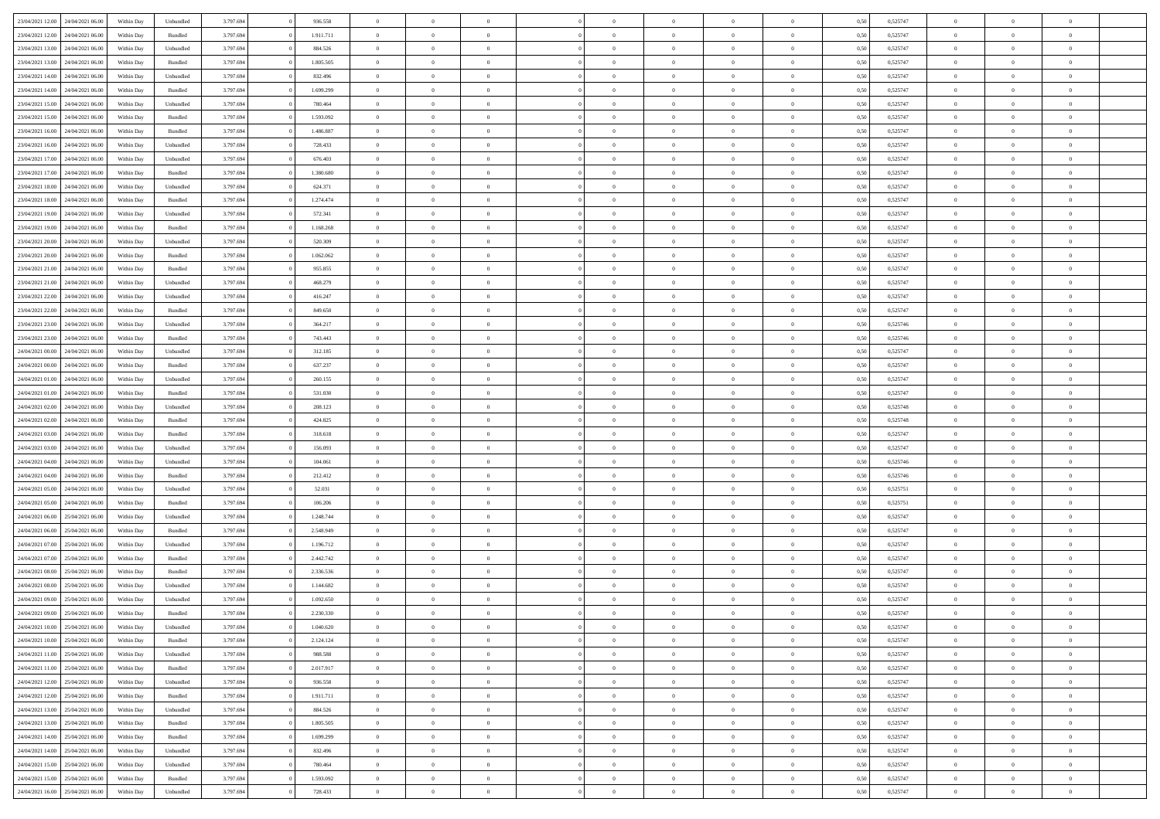| 23/04/2021 12:00 24/04/2021 06:00 |                  | Within Day | Unbundled | 3.797.694 | 936.558   | $\overline{0}$ | $\theta$       |                | $\overline{0}$ | $\bf{0}$       | $\overline{0}$ | $\theta$       | 0,50 | 0,525747 | $\theta$             | $\theta$       | $\overline{0}$ |  |
|-----------------------------------|------------------|------------|-----------|-----------|-----------|----------------|----------------|----------------|----------------|----------------|----------------|----------------|------|----------|----------------------|----------------|----------------|--|
|                                   |                  |            |           |           |           | $\overline{0}$ | $\theta$       |                |                |                |                |                |      |          |                      |                | $\overline{0}$ |  |
| 23/04/2021 12:00                  | 24/04/2021 06.00 | Within Day | Bundled   | 3.797.694 | 1.911.711 |                |                | $\overline{0}$ | $\overline{0}$ | $\,$ 0         | $\bf{0}$       | $\bf{0}$       | 0,50 | 0,525747 | $\,$ 0 $\,$          | $\overline{0}$ |                |  |
| 23/04/2021 13:00                  | 24/04/2021 06:00 | Within Day | Unbundled | 3.797.694 | 884.526   | $\overline{0}$ | $\overline{0}$ | $\overline{0}$ | $\overline{0}$ | $\bf{0}$       | $\overline{0}$ | $\mathbf{0}$   | 0.50 | 0,525747 | $\bf{0}$             | $\overline{0}$ | $\overline{0}$ |  |
| 23/04/2021 13:00                  | 24/04/2021 06.00 | Within Day | Bundled   | 3.797.694 | 1.805.505 | $\overline{0}$ | $\overline{0}$ | $\overline{0}$ | $\overline{0}$ | $\bf{0}$       | $\overline{0}$ | $\overline{0}$ | 0,50 | 0,525747 | $\,$ 0 $\,$          | $\overline{0}$ | $\overline{0}$ |  |
| 23/04/2021 14:00                  | 24/04/2021 06.00 | Within Day | Unbundled | 3.797.694 | 832.496   | $\overline{0}$ | $\theta$       | $\overline{0}$ |                | $\overline{0}$ | $\overline{0}$ | $\bf{0}$       | 0,50 | 0,525747 | $\,$ 0 $\,$          | $\overline{0}$ | $\overline{0}$ |  |
| 23/04/2021 14:00                  | 24/04/2021 06:00 | Within Day | Bundled   | 3.797.694 | 1.699.299 | $\overline{0}$ | $\overline{0}$ | $\overline{0}$ | $\overline{0}$ | $\bf{0}$       | $\overline{0}$ | $\bf{0}$       | 0.50 | 0.525747 | $\,0\,$              | $\theta$       | $\overline{0}$ |  |
| 23/04/2021 15:00                  | 24/04/2021 06.00 | Within Day | Unbundled | 3.797.694 | 780.464   | $\overline{0}$ | $\overline{0}$ | $\overline{0}$ | $\overline{0}$ | $\,$ 0         | $\overline{0}$ | $\overline{0}$ | 0,50 | 0,525747 | $\,$ 0 $\,$          | $\theta$       | $\overline{0}$ |  |
| 23/04/2021 15:00                  | 24/04/2021 06.00 | Within Day | Bundled   | 3.797.694 | 1.593.092 | $\overline{0}$ | $\theta$       | $\overline{0}$ | $\overline{0}$ | $\bf{0}$       | $\overline{0}$ | $\bf{0}$       | 0,50 | 0,525747 | $\,$ 0 $\,$          | $\overline{0}$ | $\overline{0}$ |  |
| 23/04/2021 16:00                  | 24/04/2021 06:00 | Within Day | Bundled   | 3.797.694 | 1.486.887 | $\overline{0}$ | $\overline{0}$ | $\overline{0}$ | $\overline{0}$ | $\bf{0}$       | $\overline{0}$ | $\bf{0}$       | 0.50 | 0.525747 | $\,0\,$              | $\overline{0}$ | $\overline{0}$ |  |
| 23/04/2021 16:00                  | 24/04/2021 06.00 | Within Day | Unbundled | 3.797.694 | 728.433   | $\overline{0}$ | $\overline{0}$ | $\overline{0}$ | $\overline{0}$ | $\,$ 0         | $\overline{0}$ | $\bf{0}$       | 0,50 | 0,525747 | $\,$ 0 $\,$          | $\overline{0}$ | $\overline{0}$ |  |
|                                   |                  |            |           |           |           |                |                |                |                |                |                |                |      |          |                      |                |                |  |
| 23/04/2021 17:00                  | 24/04/2021 06.00 | Within Day | Unbundled | 3.797.694 | 676.403   | $\bf{0}$       | $\theta$       | $\overline{0}$ | $\overline{0}$ | $\,$ 0         | $\overline{0}$ | $\bf{0}$       | 0,50 | 0,525747 | $\,$ 0 $\,$          | $\overline{0}$ | $\overline{0}$ |  |
| 23/04/2021 17:00                  | 24/04/2021 06:00 | Within Day | Bundled   | 3.797.694 | 1.380.680 | $\overline{0}$ | $\overline{0}$ | $\overline{0}$ | $\overline{0}$ | $\bf{0}$       | $\overline{0}$ | $\mathbf{0}$   | 0.50 | 0,525747 | $\bf{0}$             | $\overline{0}$ | $\overline{0}$ |  |
| 23/04/2021 18:00                  | 24/04/2021 06.00 | Within Day | Unbundled | 3.797.694 | 624.371   | $\overline{0}$ | $\theta$       | $\overline{0}$ | $\overline{0}$ | $\,$ 0         | $\overline{0}$ | $\overline{0}$ | 0,50 | 0,525747 | $\,$ 0 $\,$          | $\theta$       | $\overline{0}$ |  |
| 23/04/2021 18:00                  | 24/04/2021 06.00 | Within Day | Bundled   | 3.797.694 | 1.274.474 | $\overline{0}$ | $\theta$       | $\overline{0}$ | $\overline{0}$ | $\overline{0}$ | $\overline{0}$ | $\bf{0}$       | 0,50 | 0,525747 | $\,$ 0 $\,$          | $\overline{0}$ | $\overline{0}$ |  |
| 23/04/2021 19:00                  | 24/04/2021 06:00 | Within Day | Unbundled | 3.797.694 | 572.341   | $\overline{0}$ | $\overline{0}$ | $\overline{0}$ | $\overline{0}$ | $\,$ 0         | $\overline{0}$ | $\bf{0}$       | 0.50 | 0.525747 | $\,0\,$              | $\theta$       | $\overline{0}$ |  |
| 23/04/2021 19:00                  | 24/04/2021 06.00 | Within Day | Bundled   | 3.797.694 | 1.168.268 | $\overline{0}$ | $\overline{0}$ | $\overline{0}$ | $\overline{0}$ | $\bf{0}$       | $\overline{0}$ | $\bf{0}$       | 0,50 | 0,525747 | $\,$ 0 $\,$          | $\theta$       | $\overline{0}$ |  |
| 23/04/2021 20:00                  | 24/04/2021 06.00 | Within Day | Unbundled | 3.797.694 | 520.309   | $\overline{0}$ | $\theta$       | $\overline{0}$ |                | $\bf{0}$       | $\overline{0}$ | $\bf{0}$       | 0,50 | 0,525747 | $\,$ 0 $\,$          | $\overline{0}$ | $\overline{0}$ |  |
| 23/04/2021 20:00                  | 24/04/2021 06:00 | Within Day | Bundled   | 3.797.694 | 1.062.062 | $\overline{0}$ | $\overline{0}$ | $\overline{0}$ | $\overline{0}$ | $\bf{0}$       | $\overline{0}$ | $\bf{0}$       | 0.50 | 0.525747 | $\,0\,$              | $\overline{0}$ | $\overline{0}$ |  |
| 23/04/2021 21:00                  | 24/04/2021 06.00 | Within Day | Bundled   | 3.797.694 | 955.855   | $\overline{0}$ | $\overline{0}$ | $\overline{0}$ | $\overline{0}$ | $\,$ 0         | $\overline{0}$ | $\bf{0}$       | 0,50 | 0,525747 | $\,$ 0 $\,$          | $\overline{0}$ | $\overline{0}$ |  |
| 23/04/2021 21:00                  | 24/04/2021 06.00 | Within Day | Unbundled | 3.797.694 | 468.279   | $\overline{0}$ | $\theta$       | $\overline{0}$ | $\overline{0}$ | $\,$ 0         | $\bf{0}$       | $\bf{0}$       | 0,50 | 0,525747 | $\,$ 0 $\,$          | $\overline{0}$ | $\overline{0}$ |  |
| 23/04/2021 22:00                  | 24/04/2021 06:00 | Within Day | Unbundled | 3.797.694 | 416.247   | $\overline{0}$ | $\overline{0}$ | $\overline{0}$ | $\overline{0}$ | $\bf{0}$       | $\overline{0}$ | $\mathbf{0}$   | 0.50 | 0,525747 | $\bf{0}$             | $\overline{0}$ | $\overline{0}$ |  |
|                                   |                  |            |           |           |           |                | $\overline{0}$ |                |                |                |                |                |      |          |                      | $\overline{0}$ |                |  |
| 23/04/2021 22:00                  | 24/04/2021 06.00 | Within Day | Bundled   | 3.797.694 | 849.650   | $\overline{0}$ |                | $\overline{0}$ | $\overline{0}$ | $\bf{0}$       | $\overline{0}$ | $\overline{0}$ | 0,50 | 0,525747 | $\,$ 0 $\,$          |                | $\overline{0}$ |  |
| 23/04/2021 23:00                  | 24/04/2021 06.00 | Within Day | Unbundled | 3.797.694 | 364.217   | $\overline{0}$ | $\theta$       | $\overline{0}$ | $\overline{0}$ | $\bf{0}$       | $\overline{0}$ | $\bf{0}$       | 0,50 | 0,525746 | $\,$ 0 $\,$          | $\overline{0}$ | $\overline{0}$ |  |
| 23/04/2021 23:00                  | 24/04/2021 06:00 | Within Day | Bundled   | 3.797.694 | 743.443   | $\overline{0}$ | $\overline{0}$ | $\overline{0}$ | $\overline{0}$ | $\bf{0}$       | $\overline{0}$ | $\bf{0}$       | 0.50 | 0.525746 | $\,0\,$              | $\theta$       | $\overline{0}$ |  |
| 24/04/2021 00:00                  | 24/04/2021 06.00 | Within Day | Unbundled | 3.797.694 | 312.185   | $\overline{0}$ | $\overline{0}$ | $\overline{0}$ | $\overline{0}$ | $\,$ 0         | $\overline{0}$ | $\overline{0}$ | 0,50 | 0,525747 | $\,0\,$              | $\theta$       | $\overline{0}$ |  |
| 24/04/2021 00:00                  | 24/04/2021 06.00 | Within Day | Bundled   | 3.797.694 | 637.237   | $\overline{0}$ | $\theta$       | $\overline{0}$ |                | $\bf{0}$       | $\overline{0}$ | $\bf{0}$       | 0,50 | 0,525747 | $\,$ 0 $\,$          | $\overline{0}$ | $\overline{0}$ |  |
| 24/04/2021 01:00                  | 24/04/2021 06:00 | Within Day | Unbundled | 3.797.694 | 260.155   | $\overline{0}$ | $\overline{0}$ | $\overline{0}$ | $\overline{0}$ | $\bf{0}$       | $\overline{0}$ | $\bf{0}$       | 0.50 | 0.525747 | $\,0\,$              | $\overline{0}$ | $\overline{0}$ |  |
| 24/04/2021 01:00                  | 24/04/2021 06.00 | Within Day | Bundled   | 3.797.694 | 531.030   | $\overline{0}$ | $\overline{0}$ | $\overline{0}$ | $\overline{0}$ | $\,$ 0         | $\overline{0}$ | $\bf{0}$       | 0,50 | 0,525747 | $\,$ 0 $\,$          | $\overline{0}$ | $\overline{0}$ |  |
| 24/04/2021 02:00                  | 24/04/2021 06.00 | Within Day | Unbundled | 3.797.694 | 208.123   | $\overline{0}$ | $\theta$       | $\overline{0}$ | $\overline{0}$ | $\,$ 0         | $\bf{0}$       | $\bf{0}$       | 0,50 | 0,525748 | $\,$ 0 $\,$          | $\overline{0}$ | $\overline{0}$ |  |
| 24/04/2021 02:00                  | 24/04/2021 06:00 | Within Day | Bundled   | 3.797.694 | 424.825   | $\overline{0}$ | $\overline{0}$ | $\overline{0}$ | $\overline{0}$ | $\bf{0}$       | $\overline{0}$ | $\mathbf{0}$   | 0.50 | 0,525748 | $\bf{0}$             | $\overline{0}$ | $\overline{0}$ |  |
| 24/04/2021 03:00                  | 24/04/2021 06:00 | Within Dav | Bundled   | 3.797.694 | 318.618   | $\overline{0}$ | $\overline{0}$ | $\overline{0}$ | $\overline{0}$ | $\bf{0}$       | $\overline{0}$ | $\overline{0}$ | 0.50 | 0,525747 | $\theta$             | $\overline{0}$ | $\overline{0}$ |  |
| 24/04/2021 03:00                  | 24/04/2021 06.00 | Within Day | Unbundled | 3.797.694 | 156.093   | $\overline{0}$ | $\theta$       | $\overline{0}$ | $\overline{0}$ | $\bf{0}$       | $\overline{0}$ | $\bf{0}$       | 0,50 | 0,525747 | $\,$ 0 $\,$          | $\overline{0}$ | $\overline{0}$ |  |
|                                   | 24/04/2021 06:00 |            |           |           | 104,061   |                | $\overline{0}$ | $\overline{0}$ | $\overline{0}$ | $\,$ 0         | $\overline{0}$ |                | 0.50 | 0.525746 | $\,0\,$              | $\theta$       | $\overline{0}$ |  |
| 24/04/2021 04:00                  |                  | Within Day | Unbundled | 3.797.694 |           | $\overline{0}$ |                |                |                |                |                | $\bf{0}$       |      |          |                      |                |                |  |
| 24/04/2021 04:00                  | 24/04/2021 06.00 | Within Dav | Bundled   | 3.797.694 | 212.412   | $\overline{0}$ | $\theta$       | $\Omega$       | $\Omega$       | $\bf{0}$       | $\overline{0}$ | $\overline{0}$ | 0.50 | 0,525746 | $\theta$             | $\overline{0}$ | $\overline{0}$ |  |
| 24/04/2021 05:00                  | 24/04/2021 06.00 | Within Day | Unbundled | 3.797.694 | 52.031    | $\overline{0}$ | $\theta$       | $\overline{0}$ |                | $\,$ 0         | $\overline{0}$ | $\bf{0}$       | 0,50 | 0,525751 | $\,$ 0 $\,$          | $\overline{0}$ | $\overline{0}$ |  |
| 24/04/2021 05:00                  | 24/04/2021 06:00 | Within Day | Bundled   | 3.797.694 | 106,206   | $\overline{0}$ | $\overline{0}$ | $\overline{0}$ | $\overline{0}$ | $\bf{0}$       | $\overline{0}$ | $\bf{0}$       | 0.50 | 0,525751 | $\,0\,$              | $\overline{0}$ | $\overline{0}$ |  |
| 24/04/2021 06:00                  | 25/04/2021 06:00 | Within Dav | Unbundled | 3.797.694 | 1.248.744 | $\overline{0}$ | $\overline{0}$ | $\overline{0}$ | $\overline{0}$ | $\overline{0}$ | $\overline{0}$ | $\overline{0}$ | 0.50 | 0,525747 | $\theta$             | $\overline{0}$ | $\overline{0}$ |  |
| 24/04/2021 06.00                  | 25/04/2021 06.00 | Within Day | Bundled   | 3.797.694 | 2.548.949 | $\overline{0}$ | $\overline{0}$ | $\overline{0}$ | $\overline{0}$ | $\bf{0}$       | $\bf{0}$       | $\bf{0}$       | 0,50 | 0,525747 | $\,$ 0 $\,$          | $\overline{0}$ | $\overline{0}$ |  |
| 24/04/2021 07:00                  | 25/04/2021 06:00 | Within Day | Unbundled | 3.797.694 | 1.196.712 | $\overline{0}$ | $\overline{0}$ | $\overline{0}$ | $\overline{0}$ | $\bf{0}$       | $\overline{0}$ | $\mathbf{0}$   | 0.50 | 0,525747 | $\bf{0}$             | $\overline{0}$ | $\overline{0}$ |  |
| 24/04/2021 07:00                  | 25/04/2021 06:00 | Within Dav | Bundled   | 3.797.694 | 2.442.742 | $\overline{0}$ | $\overline{0}$ | $\Omega$       | $\overline{0}$ | $\bf{0}$       | $\overline{0}$ | $\overline{0}$ | 0.50 | 0,525747 | $\theta$             | $\overline{0}$ | $\overline{0}$ |  |
| 24/04/2021 08:00                  | 25/04/2021 06.00 | Within Day | Bundled   | 3.797.694 | 2.336.536 | $\overline{0}$ | $\theta$       | $\overline{0}$ | $\overline{0}$ | $\bf{0}$       | $\overline{0}$ | $\bf{0}$       | 0,50 | 0,525747 | $\,$ 0 $\,$          | $\overline{0}$ | $\overline{0}$ |  |
| 24/04/2021 08:00                  | 25/04/2021 06:00 | Within Day | Unbundled | 3.797.694 | 1.144.682 | $\overline{0}$ | $\theta$       | $\overline{0}$ | $\overline{0}$ | $\overline{0}$ | $\Omega$       | $\overline{0}$ | 0.50 | 0,525747 | $\,0\,$              | $\theta$       | $\theta$       |  |
| 24/04/2021 09:00                  | 25/04/2021 06:00 | Within Dav | Unbundled | 3.797.694 | 1.092.650 | $\overline{0}$ | $\Omega$       | $\Omega$       | $\Omega$       | $\bf{0}$       | $\overline{0}$ | $\bf{0}$       | 0.50 | 0,525747 | $\theta$             | $\theta$       | $\overline{0}$ |  |
| 24/04/2021 09:00                  | 25/04/2021 06.00 | Within Day | Bundled   | 3.797.694 | 2.230.330 | $\overline{0}$ | $\,$ 0 $\,$    | $\overline{0}$ | $\overline{0}$ | $\,$ 0         | $\bf{0}$       | $\bf{0}$       | 0,50 | 0,525747 | $\,$ 0 $\,$          | $\overline{0}$ | $\overline{0}$ |  |
| 24/04/2021 10:00                  | 25/04/2021 06:00 | Within Day | Unbundled | 3.797.694 | 1.040.620 |                | $\mathbf{0}$   |                |                |                |                |                | 0,50 | 0,525747 |                      | $\theta$       |                |  |
|                                   |                  |            |           |           |           | $\bf{0}$       | $\overline{0}$ |                |                | $\overline{0}$ |                |                |      |          | $\bf{0}$<br>$\theta$ | $\overline{0}$ | $\overline{0}$ |  |
| 24/04/2021 10:00 25/04/2021 06:00 |                  | Within Day | Bundled   | 3.797.694 | 2.124.124 | $\overline{0}$ |                | $\overline{0}$ | $\overline{0}$ |                | $\overline{0}$ | $\mathbf{0}$   | 0,50 | 0,525747 |                      |                |                |  |
| 24/04/2021 11:00                  | 25/04/2021 06:00 | Within Day | Unbundled | 3.797.694 | 988.588   | $\overline{0}$ | $\bf{0}$       | $\overline{0}$ | $\bf{0}$       | $\overline{0}$ | $\overline{0}$ | $\bf{0}$       | 0,50 | 0,525747 | $\overline{0}$       | $\overline{0}$ | $\bf{0}$       |  |
| 24/04/2021 11:00                  | 25/04/2021 06:00 | Within Day | Bundled   | 3.797.694 | 2.017.917 | $\overline{0}$ | $\overline{0}$ | $\overline{0}$ | $\overline{0}$ | $\overline{0}$ | $\overline{0}$ | $\mathbf{0}$   | 0.50 | 0,525747 | $\overline{0}$       | $\bf{0}$       | $\bf{0}$       |  |
| 24/04/2021 12:00                  | 25/04/2021 06:00 | Within Day | Unbundled | 3.797.694 | 936.558   | $\overline{0}$ | $\overline{0}$ | $\overline{0}$ | $\overline{0}$ | $\overline{0}$ | $\overline{0}$ | $\mathbf{0}$   | 0,50 | 0,525747 | $\overline{0}$       | $\theta$       | $\overline{0}$ |  |
| 24/04/2021 12:00                  | 25/04/2021 06:00 | Within Day | Bundled   | 3.797.694 | 1.911.711 | $\overline{0}$ | $\overline{0}$ | $\overline{0}$ | $\overline{0}$ | $\bf{0}$       | $\bf{0}$       | $\bf{0}$       | 0,50 | 0,525747 | $\,$ 0 $\,$          | $\overline{0}$ | $\overline{0}$ |  |
| 24/04/2021 13:00                  | 25/04/2021 06:00 | Within Day | Unbundled | 3.797.694 | 884.526   | $\overline{0}$ | $\overline{0}$ | $\overline{0}$ | $\overline{0}$ | $\bf{0}$       | $\overline{0}$ | $\mathbf{0}$   | 0.50 | 0.525747 | $\,$ 0 $\,$          | $\overline{0}$ | $\overline{0}$ |  |
| 24/04/2021 13:00                  | 25/04/2021 06:00 | Within Day | Bundled   | 3.797.694 | 1.805.505 | $\overline{0}$ | $\overline{0}$ | $\overline{0}$ | $\overline{0}$ | $\overline{0}$ | $\overline{0}$ | $\overline{0}$ | 0,50 | 0,525747 | $\overline{0}$       | $\theta$       | $\overline{0}$ |  |
| 24/04/2021 14:00                  | 25/04/2021 06:00 | Within Day | Bundled   | 3.797.694 | 1.699.299 | $\overline{0}$ | $\,$ 0         | $\overline{0}$ | $\bf{0}$       | $\overline{0}$ | $\overline{0}$ | $\bf{0}$       | 0,50 | 0,525747 | $\,$ 0 $\,$          | $\overline{0}$ | $\overline{0}$ |  |
| 24/04/2021 14:00                  | 25/04/2021 06:00 | Within Day | Unbundled | 3.797.694 | 832.496   | $\overline{0}$ | $\overline{0}$ | $\overline{0}$ | $\overline{0}$ | $\bf{0}$       | $\overline{0}$ | $\mathbf{0}$   | 0.50 | 0.525747 | $\mathbf{0}$         | $\bf{0}$       | $\bf{0}$       |  |
| 24/04/2021 15:00                  | 25/04/2021 06:00 | Within Day | Unbundled | 3.797.694 | 780.464   | $\overline{0}$ | $\overline{0}$ | $\overline{0}$ | $\overline{0}$ | $\overline{0}$ | $\overline{0}$ | $\overline{0}$ | 0,50 | 0,525747 | $\overline{0}$       | $\overline{0}$ | $\overline{0}$ |  |
| 24/04/2021 15:00                  | 25/04/2021 06.00 | Within Day | Bundled   | 3.797.694 | 1.593.092 | $\overline{0}$ | $\bf{0}$       | $\overline{0}$ | $\bf{0}$       | $\bf{0}$       | $\bf{0}$       | $\bf{0}$       | 0,50 | 0,525747 | $\overline{0}$       | $\overline{0}$ | $\bf{0}$       |  |
|                                   |                  |            |           |           |           |                |                |                |                |                |                |                |      |          |                      |                |                |  |
| 24/04/2021 16:00 25/04/2021 06:00 |                  | Within Day | Unbundled | 3.797.694 | 728.433   | $\,$ 0 $\,$    | $\,$ 0 $\,$    | $\overline{0}$ | $\overline{0}$ | $\,$ 0 $\,$    | $\,$ 0 $\,$    | $\,$ 0 $\,$    | 0,50 | 0,525747 | $\mathbf{0}^-$       | $\,$ 0 $\,$    | $\,$ 0 $\,$    |  |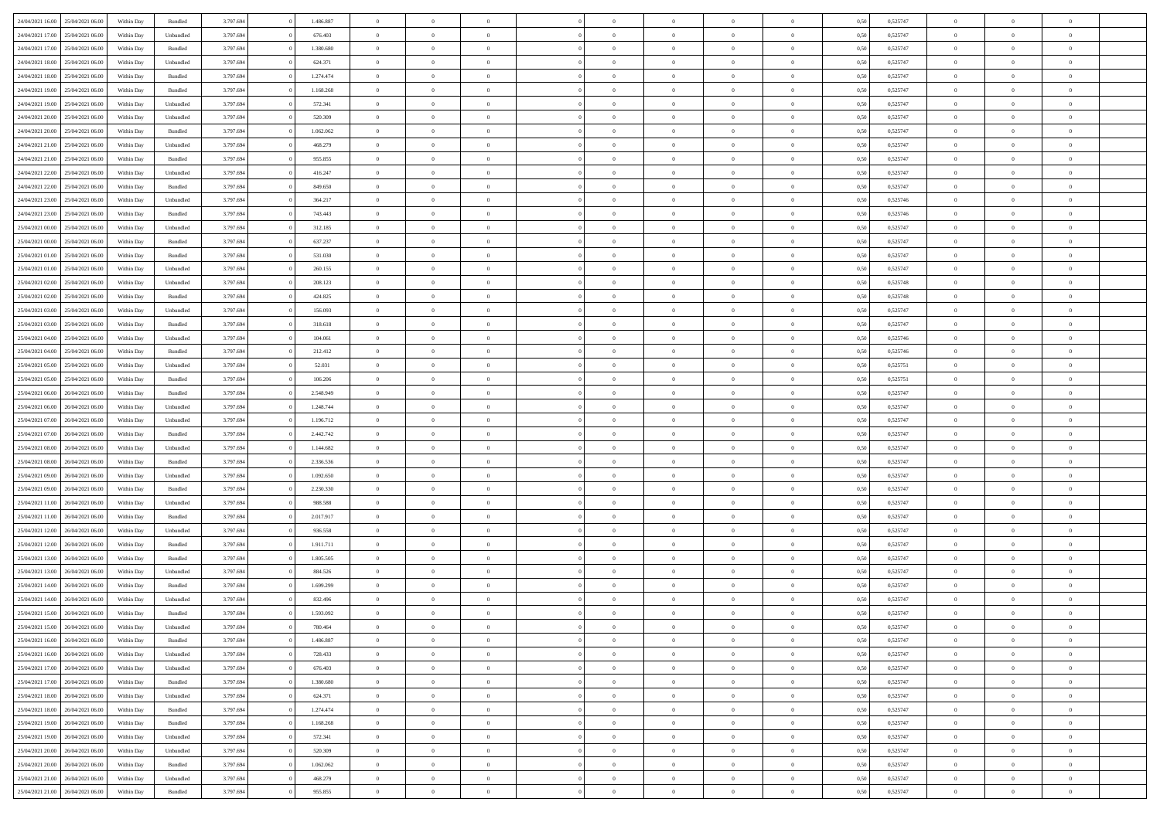| 24/04/2021 16:00 | 25/04/2021 06:00 | Within Day | Bundled            | 3.797.694 | 1.486.887 | $\overline{0}$ | $\Omega$       |                | $\Omega$       | $\Omega$       | $\theta$       | $\theta$       | 0,50 | 0,525747 | $\theta$       | $\theta$       | $\theta$       |  |
|------------------|------------------|------------|--------------------|-----------|-----------|----------------|----------------|----------------|----------------|----------------|----------------|----------------|------|----------|----------------|----------------|----------------|--|
|                  |                  |            |                    |           |           |                |                |                |                |                |                |                |      |          |                |                |                |  |
| 24/04/2021 17:00 | 25/04/2021 06:00 | Within Day | Unbundled          | 3.797.694 | 676.403   | $\overline{0}$ | $\theta$       | $\overline{0}$ | $\overline{0}$ | $\bf{0}$       | $\overline{0}$ | $\,$ 0 $\,$    | 0,50 | 0,525747 | $\theta$       | $\overline{0}$ | $\overline{0}$ |  |
| 24/04/2021 17:00 | 25/04/2021 06:00 | Within Day | Bundled            | 3.797.694 | 1.380.680 | $\overline{0}$ | $\bf{0}$       | $\overline{0}$ | $\bf{0}$       | $\bf{0}$       | $\bf{0}$       | $\mathbf{0}$   | 0,50 | 0,525747 | $\overline{0}$ | $\overline{0}$ | $\overline{0}$ |  |
| 24/04/2021 18:00 | 25/04/2021 06:00 | Within Day | Unbundled          | 3.797.694 | 624.371   | $\overline{0}$ | $\overline{0}$ | $\overline{0}$ | $\overline{0}$ | $\bf{0}$       | $\overline{0}$ | $\overline{0}$ | 0.50 | 0,525747 | $\theta$       | $\theta$       | $\overline{0}$ |  |
| 24/04/2021 18:00 | 25/04/2021 06:00 | Within Day | Bundled            | 3.797.694 | 1.274.474 | $\overline{0}$ | $\theta$       | $\overline{0}$ | $\overline{0}$ | $\bf{0}$       | $\overline{0}$ | $\bf{0}$       | 0,50 | 0,525747 | $\,$ 0 $\,$    | $\overline{0}$ | $\overline{0}$ |  |
| 24/04/2021 19:00 | 25/04/2021 06:00 | Within Day | Bundled            | 3.797.694 | 1.168.268 | $\overline{0}$ | $\overline{0}$ | $\overline{0}$ | $\bf{0}$       | $\overline{0}$ | $\overline{0}$ | $\mathbf{0}$   | 0,50 | 0,525747 | $\overline{0}$ | $\overline{0}$ | $\bf{0}$       |  |
| 24/04/2021 19:00 | 25/04/2021 06.00 | Within Dav | Unbundled          | 3.797.694 | 572.341   | $\overline{0}$ | $\overline{0}$ | $\overline{0}$ | $\overline{0}$ | $\overline{0}$ | $\overline{0}$ | $\overline{0}$ | 0.50 | 0,525747 | $\theta$       | $\overline{0}$ | $\overline{0}$ |  |
|                  |                  |            |                    |           |           |                |                |                |                |                |                |                |      |          |                |                |                |  |
| 24/04/2021 20:00 | 25/04/2021 06:00 | Within Day | Unbundled          | 3.797.694 | 520.309   | $\overline{0}$ | $\theta$       | $\overline{0}$ | $\overline{0}$ | $\bf{0}$       | $\overline{0}$ | $\bf{0}$       | 0,50 | 0,525747 | $\theta$       | $\theta$       | $\overline{0}$ |  |
| 24/04/2021 20:00 | 25/04/2021 06:00 | Within Day | Bundled            | 3.797.694 | 1.062.062 | $\overline{0}$ | $\overline{0}$ | $\overline{0}$ | $\bf{0}$       | $\bf{0}$       | $\bf{0}$       | $\mathbf{0}$   | 0,50 | 0,525747 | $\,0\,$        | $\overline{0}$ | $\overline{0}$ |  |
| 24/04/2021 21:00 | 25/04/2021 06:00 | Within Dav | Unbundled          | 3.797.694 | 468.279   | $\overline{0}$ | $\overline{0}$ | $\overline{0}$ | $\overline{0}$ | $\overline{0}$ | $\overline{0}$ | $\overline{0}$ | 0.50 | 0,525747 | $\theta$       | $\overline{0}$ | $\overline{0}$ |  |
| 24/04/2021 21.00 | 25/04/2021 06:00 | Within Day | Bundled            | 3.797.694 | 955.855   | $\overline{0}$ | $\theta$       | $\overline{0}$ | $\overline{0}$ | $\bf{0}$       | $\overline{0}$ | $\bf{0}$       | 0,50 | 0,525747 | $\,$ 0 $\,$    | $\overline{0}$ | $\overline{0}$ |  |
| 24/04/2021 22.00 | 25/04/2021 06:00 | Within Day | Unbundled          | 3.797.694 | 416.247   | $\overline{0}$ | $\bf{0}$       | $\overline{0}$ | $\bf{0}$       | $\bf{0}$       | $\bf{0}$       | $\mathbf{0}$   | 0,50 | 0,525747 | $\overline{0}$ | $\overline{0}$ | $\bf{0}$       |  |
| 24/04/2021 22:00 | 25/04/2021 06:00 | Within Day | Bundled            | 3.797.694 | 849,650   | $\overline{0}$ | $\overline{0}$ | $\overline{0}$ | $\overline{0}$ | $\bf{0}$       | $\overline{0}$ | $\overline{0}$ | 0.50 | 0,525747 | $\theta$       | $\theta$       | $\overline{0}$ |  |
| 24/04/2021 23:00 | 25/04/2021 06:00 | Within Day | Unbundled          | 3.797.694 | 364.217   | $\overline{0}$ | $\theta$       | $\overline{0}$ | $\overline{0}$ | $\bf{0}$       | $\overline{0}$ | $\bf{0}$       | 0,50 | 0,525746 | $\theta$       | $\overline{0}$ | $\overline{0}$ |  |
|                  |                  |            |                    |           |           |                |                |                |                |                |                |                |      |          |                |                |                |  |
| 24/04/2021 23:00 | 25/04/2021 06:00 | Within Day | Bundled            | 3.797.694 | 743.443   | $\overline{0}$ | $\overline{0}$ | $\overline{0}$ | $\bf{0}$       | $\overline{0}$ | $\overline{0}$ | $\mathbf{0}$   | 0,50 | 0,525746 | $\overline{0}$ | $\overline{0}$ | $\bf{0}$       |  |
| 25/04/2021 00:00 | 25/04/2021 06:00 | Within Dav | Unbundled          | 3.797.694 | 312.185   | $\overline{0}$ | $\overline{0}$ | $\overline{0}$ | $\overline{0}$ | $\overline{0}$ | $\overline{0}$ | $\overline{0}$ | 0.50 | 0,525747 | $\theta$       | $\overline{0}$ | $\overline{0}$ |  |
| 25/04/2021 00:00 | 25/04/2021 06:00 | Within Day | Bundled            | 3.797.694 | 637.237   | $\overline{0}$ | $\theta$       | $\overline{0}$ | $\overline{0}$ | $\bf{0}$       | $\overline{0}$ | $\bf{0}$       | 0,50 | 0,525747 | $\,$ 0 $\,$    | $\theta$       | $\overline{0}$ |  |
| 25/04/2021 01:00 | 25/04/2021 06:00 | Within Day | Bundled            | 3.797.694 | 531.030   | $\overline{0}$ | $\overline{0}$ | $\overline{0}$ | $\bf{0}$       | $\bf{0}$       | $\bf{0}$       | $\mathbf{0}$   | 0,50 | 0,525747 | $\bf{0}$       | $\overline{0}$ | $\bf{0}$       |  |
| 25/04/2021 01:00 | 25/04/2021 06:00 | Within Dav | Unbundled          | 3.797.694 | 260.155   | $\overline{0}$ | $\overline{0}$ | $\overline{0}$ | $\overline{0}$ | $\overline{0}$ | $\overline{0}$ | $\overline{0}$ | 0.50 | 0,525747 | $\theta$       | $\overline{0}$ | $\overline{0}$ |  |
| 25/04/2021 02:00 | 25/04/2021 06:00 | Within Day | Unbundled          | 3.797.694 | 208.123   | $\overline{0}$ | $\theta$       | $\overline{0}$ | $\overline{0}$ | $\bf{0}$       | $\overline{0}$ | $\bf{0}$       | 0,50 | 0,525748 | $\,$ 0 $\,$    | $\overline{0}$ | $\overline{0}$ |  |
| 25/04/2021 02:00 | 25/04/2021 06:00 | Within Day | Bundled            | 3.797.694 | 424.825   | $\overline{0}$ | $\overline{0}$ | $\overline{0}$ | $\bf{0}$       | $\bf{0}$       | $\bf{0}$       | $\mathbf{0}$   | 0,50 | 0,525748 | $\overline{0}$ | $\overline{0}$ | $\bf{0}$       |  |
| 25/04/2021 03:00 | 25/04/2021 06:00 | Within Day | Unbundled          | 3.797.694 | 156.093   | $\overline{0}$ | $\overline{0}$ | $\overline{0}$ | $\overline{0}$ | $\bf{0}$       | $\overline{0}$ | $\overline{0}$ | 0.50 | 0,525747 | $\theta$       | $\overline{0}$ | $\overline{0}$ |  |
| 25/04/2021 03:00 | 25/04/2021 06:00 | Within Day | Bundled            | 3.797.694 | 318.618   | $\overline{0}$ | $\theta$       | $\overline{0}$ | $\overline{0}$ | $\bf{0}$       | $\overline{0}$ | $\bf{0}$       | 0,50 | 0,525747 | $\,$ 0 $\,$    | $\overline{0}$ | $\overline{0}$ |  |
|                  |                  |            |                    |           |           |                |                |                |                |                |                |                |      |          |                |                |                |  |
| 25/04/2021 04:00 | 25/04/2021 06:00 | Within Day | Unbundled          | 3.797.694 | 104.061   | $\overline{0}$ | $\overline{0}$ | $\overline{0}$ | $\bf{0}$       | $\overline{0}$ | $\overline{0}$ | $\mathbf{0}$   | 0,50 | 0,525746 | $\overline{0}$ | $\overline{0}$ | $\bf{0}$       |  |
| 25/04/2021 04:00 | 25/04/2021 06.00 | Within Dav | Bundled            | 3.797.694 | 212.412   | $\overline{0}$ | $\overline{0}$ | $\overline{0}$ | $\overline{0}$ | $\overline{0}$ | $\overline{0}$ | $\overline{0}$ | 0.50 | 0,525746 | $\theta$       | $\overline{0}$ | $\overline{0}$ |  |
| 25/04/2021 05:00 | 25/04/2021 06:00 | Within Day | Unbundled          | 3.797.694 | 52.031    | $\overline{0}$ | $\theta$       | $\overline{0}$ | $\overline{0}$ | $\bf{0}$       | $\overline{0}$ | $\bf{0}$       | 0,50 | 0,525751 | $\theta$       | $\theta$       | $\overline{0}$ |  |
| 25/04/2021 05:00 | 25/04/2021 06:00 | Within Day | Bundled            | 3.797.694 | 106.206   | $\overline{0}$ | $\overline{0}$ | $\overline{0}$ | $\bf{0}$       | $\bf{0}$       | $\bf{0}$       | $\mathbf{0}$   | 0,50 | 0,525751 | $\,0\,$        | $\overline{0}$ | $\overline{0}$ |  |
| 25/04/2021 06:00 | 26/04/2021 06:00 | Within Day | Bundled            | 3.797.694 | 2.548.949 | $\overline{0}$ | $\overline{0}$ | $\overline{0}$ | $\overline{0}$ | $\overline{0}$ | $\overline{0}$ | $\overline{0}$ | 0.50 | 0,525747 | $\theta$       | $\overline{0}$ | $\overline{0}$ |  |
| 25/04/2021 06:00 | 26/04/2021 06:00 | Within Day | Unbundled          | 3.797.694 | 1.248.744 | $\overline{0}$ | $\theta$       | $\overline{0}$ | $\overline{0}$ | $\bf{0}$       | $\overline{0}$ | $\bf{0}$       | 0,50 | 0,525747 | $\,$ 0 $\,$    | $\overline{0}$ | $\overline{0}$ |  |
| 25/04/2021 07:00 | 26/04/2021 06:00 | Within Day | Unbundled          | 3.797.694 | 1.196.712 | $\overline{0}$ | $\overline{0}$ | $\overline{0}$ | $\bf{0}$       | $\bf{0}$       | $\bf{0}$       | $\bf{0}$       | 0,50 | 0,525747 | $\overline{0}$ | $\overline{0}$ | $\bf{0}$       |  |
| 25/04/2021 07:00 | 26/04/2021 06:00 | Within Day | Bundled            | 3.797.694 | 2.442.742 | $\overline{0}$ | $\Omega$       | $\overline{0}$ | $\Omega$       | $\Omega$       | $\overline{0}$ | $\overline{0}$ | 0,50 | 0,525747 | $\,0\,$        | $\theta$       | $\theta$       |  |
| 25/04/2021 08:00 | 26/04/2021 06:00 | Within Day | Unbundled          | 3.797.694 | 1.144.682 | $\overline{0}$ | $\theta$       | $\overline{0}$ | $\overline{0}$ | $\bf{0}$       | $\overline{0}$ | $\bf{0}$       | 0,50 | 0,525747 | $\,$ 0 $\,$    | $\overline{0}$ | $\overline{0}$ |  |
|                  |                  |            |                    |           |           |                |                |                |                |                |                |                |      |          |                |                |                |  |
| 25/04/2021 08:00 | 26/04/2021 06:00 | Within Day | Bundled            | 3.797.694 | 2.336.536 | $\overline{0}$ | $\overline{0}$ | $\overline{0}$ | $\bf{0}$       | $\overline{0}$ | $\overline{0}$ | $\mathbf{0}$   | 0,50 | 0,525747 | $\overline{0}$ | $\overline{0}$ | $\bf{0}$       |  |
| 25/04/2021 09:00 | 26/04/2021 06:00 | Within Day | Unbundled          | 3.797.694 | 1.092.650 | $\overline{0}$ | $\Omega$       | $\Omega$       | $\Omega$       | $\bf{0}$       | $\overline{0}$ | $\overline{0}$ | 0.50 | 0,525747 | $\,0\,$        | $\theta$       | $\theta$       |  |
| 25/04/2021 09:00 | 26/04/2021 06:00 | Within Day | Bundled            | 3.797.694 | 2.230.330 | $\overline{0}$ | $\theta$       | $\overline{0}$ | $\overline{0}$ | $\bf{0}$       | $\overline{0}$ | $\bf{0}$       | 0,50 | 0,525747 | $\,$ 0 $\,$    | $\overline{0}$ | $\overline{0}$ |  |
| 25/04/2021 11:00 | 26/04/2021 06:00 | Within Day | Unbundled          | 3.797.694 | 988.588   | $\overline{0}$ | $\overline{0}$ | $\overline{0}$ | $\bf{0}$       | $\bf{0}$       | $\bf{0}$       | $\mathbf{0}$   | 0,50 | 0,525747 | $\bf{0}$       | $\overline{0}$ | $\bf{0}$       |  |
| 25/04/2021 11:00 | 26/04/2021 06:00 | Within Day | Bundled            | 3.797.694 | 2.017.917 | $\overline{0}$ | $\Omega$       | $\overline{0}$ | $\Omega$       | $\overline{0}$ | $\overline{0}$ | $\overline{0}$ | 0.50 | 0,525747 | $\,$ 0 $\,$    | $\theta$       | $\theta$       |  |
| 25/04/2021 12:00 | 26/04/2021 06:00 | Within Day | Unbundled          | 3.797.694 | 936.558   | $\overline{0}$ | $\theta$       | $\overline{0}$ | $\overline{0}$ | $\,$ 0         | $\overline{0}$ | $\bf{0}$       | 0,50 | 0,525747 | $\,$ 0 $\,$    | $\overline{0}$ | $\overline{0}$ |  |
| 25/04/2021 12:00 | 26/04/2021 06:00 | Within Day | Bundled            | 3.797.694 | 1.911.711 | $\overline{0}$ | $\overline{0}$ | $\overline{0}$ | $\bf{0}$       | $\bf{0}$       | $\bf{0}$       | $\mathbf{0}$   | 0,50 | 0,525747 | $\overline{0}$ | $\overline{0}$ | $\bf{0}$       |  |
| 25/04/2021 13:00 | 26/04/2021 06:00 | Within Day | Bundled            | 3.797.694 | 1.805.505 | $\overline{0}$ | $\Omega$       | $\overline{0}$ | $\Omega$       | $\overline{0}$ | $\overline{0}$ | $\overline{0}$ | 0,50 | 0,525747 | $\,0\,$        | $\theta$       | $\theta$       |  |
|                  |                  |            |                    |           |           |                | $\overline{0}$ |                |                |                |                |                |      |          |                |                |                |  |
| 25/04/2021 13:00 | 26/04/2021 06:00 | Within Day | Unbundled          | 3.797.694 | 884.526   | $\overline{0}$ |                | $\overline{0}$ | $\overline{0}$ | $\,$ 0         | $\overline{0}$ | $\bf{0}$       | 0,50 | 0,525747 | $\,$ 0 $\,$    | $\overline{0}$ | $\overline{0}$ |  |
| 25/04/2021 14:00 | 26/04/2021 06:00 | Within Day | Bundled            | 3.797.694 | 1.699.299 | $\overline{0}$ | $\overline{0}$ | $\overline{0}$ | $\bf{0}$       | $\bf{0}$       | $\bf{0}$       | $\mathbf{0}$   | 0,50 | 0,525747 | $\overline{0}$ | $\overline{0}$ | $\bf{0}$       |  |
| 25/04/2021 14:00 | 26/04/2021 06:00 | Within Day | Unbundled          | 3.797.694 | 832.496   | $\overline{0}$ | $\Omega$       | $\Omega$       | $\Omega$       | $\Omega$       | $\Omega$       | $\overline{0}$ | 0.50 | 0,525747 | $\theta$       | $\theta$       | $\theta$       |  |
| 25/04/2021 15:00 | 26/04/2021 06:00 | Within Day | Bundled            | 3.797.694 | 1.593.092 | $\overline{0}$ | $\overline{0}$ | $\overline{0}$ | $\bf{0}$       | $\,$ 0         | $\bf{0}$       | $\bf{0}$       | 0,50 | 0,525747 | $\,0\,$        | $\,0\,$        | $\overline{0}$ |  |
| 25/04/2021 15:00 | 26/04/2021 06:00 | Within Day | Unbundled          | 3.797.694 | 780.464   | $\bf{0}$       | $\bf{0}$       |                |                |                |                |                | 0,50 | 0,525747 | $\bf{0}$       | $\overline{0}$ |                |  |
| 25/04/2021 16:00 | 26/04/2021 06:00 | Within Day | Bundled            | 3.797.694 | 1.486.887 | $\overline{0}$ | $\overline{0}$ | $\overline{0}$ | $\Omega$       | $\overline{0}$ | $\overline{0}$ | $\overline{0}$ | 0,50 | 0,525747 | $\theta$       | $\theta$       | $\theta$       |  |
| 25/04/2021 16:00 | 26/04/2021 06:00 | Within Day | Unbundled          | 3.797.694 | 728.433   | $\overline{0}$ | $\,$ 0         | $\overline{0}$ | $\bf{0}$       | $\,$ 0 $\,$    | $\overline{0}$ | $\,$ 0 $\,$    | 0,50 | 0,525747 | $\,$ 0 $\,$    | $\,$ 0 $\,$    | $\,$ 0         |  |
| 25/04/2021 17:00 | 26/04/2021 06:00 | Within Day | Unbundled          | 3.797.694 | 676.403   | $\overline{0}$ | $\overline{0}$ | $\overline{0}$ | $\overline{0}$ | $\overline{0}$ | $\overline{0}$ | $\mathbf{0}$   | 0,50 | 0,525747 | $\overline{0}$ | $\bf{0}$       | $\bf{0}$       |  |
| 25/04/2021 17:00 | 26/04/2021 06:00 | Within Day | $\mathbf B$ undled | 3.797.694 | 1.380.680 | $\overline{0}$ | $\overline{0}$ | $\overline{0}$ | $\Omega$       | $\overline{0}$ | $\overline{0}$ | $\overline{0}$ | 0,50 | 0,525747 | $\overline{0}$ | $\theta$       | $\overline{0}$ |  |
|                  |                  |            |                    |           |           |                |                |                |                |                |                |                |      |          |                |                |                |  |
| 25/04/2021 18:00 | 26/04/2021 06:00 | Within Day | Unbundled          | 3.797.694 | 624.371   | $\overline{0}$ | $\,$ 0         | $\overline{0}$ | $\overline{0}$ | $\,$ 0 $\,$    | $\overline{0}$ | $\mathbf{0}$   | 0,50 | 0,525747 | $\,$ 0 $\,$    | $\overline{0}$ | $\overline{0}$ |  |
| 25/04/2021 18:00 | 26/04/2021 06:00 | Within Day | Bundled            | 3.797.694 | 1.274.474 | $\overline{0}$ | $\overline{0}$ | $\overline{0}$ | $\overline{0}$ | $\overline{0}$ | $\overline{0}$ | $\mathbf{0}$   | 0,50 | 0,525747 | $\overline{0}$ | $\overline{0}$ | $\bf{0}$       |  |
| 25/04/2021 19:00 | 26/04/2021 06:00 | Within Day | Bundled            | 3.797.694 | 1.168.268 | $\overline{0}$ | $\overline{0}$ | $\overline{0}$ | $\Omega$       | $\overline{0}$ | $\overline{0}$ | $\bf{0}$       | 0.50 | 0,525747 | $\overline{0}$ | $\theta$       | $\overline{0}$ |  |
| 25/04/2021 19:00 | 26/04/2021 06:00 | Within Day | Unbundled          | 3.797.694 | 572.341   | $\overline{0}$ | $\,$ 0         | $\overline{0}$ | $\bf{0}$       | $\bf{0}$       | $\bf{0}$       | $\bf{0}$       | 0,50 | 0,525747 | $\,$ 0 $\,$    | $\overline{0}$ | $\overline{0}$ |  |
| 25/04/2021 20.00 | 26/04/2021 06:00 | Within Day | Unbundled          | 3.797.694 | 520.309   | $\overline{0}$ | $\bf{0}$       | $\overline{0}$ | $\overline{0}$ | $\overline{0}$ | $\overline{0}$ | $\mathbf{0}$   | 0,50 | 0,525747 | $\overline{0}$ | $\overline{0}$ | $\bf{0}$       |  |
| 25/04/2021 20:00 | 26/04/2021 06:00 | Within Day | Bundled            | 3.797.694 | 1.062.062 | $\overline{0}$ | $\overline{0}$ | $\overline{0}$ | $\Omega$       | $\overline{0}$ | $\overline{0}$ | $\overline{0}$ | 0.50 | 0,525747 | $\overline{0}$ | $\overline{0}$ | $\overline{0}$ |  |
| 25/04/2021 21:00 | 26/04/2021 06:00 | Within Day | Unbundled          | 3.797.694 | 468.279   | $\overline{0}$ | $\bf{0}$       | $\overline{0}$ | $\overline{0}$ | $\bf{0}$       | $\bf{0}$       | $\mathbf{0}$   | 0,50 | 0,525747 | $\,$ 0 $\,$    | $\,$ 0 $\,$    | $\bf{0}$       |  |
|                  |                  |            |                    |           |           |                |                |                |                |                |                |                |      |          |                |                |                |  |
| 25/04/2021 21:00 | 26/04/2021 06:00 | Within Day | Bundled            | 3.797.694 | 955.855   | $\overline{0}$ | $\overline{0}$ | $\overline{0}$ | $\overline{0}$ | $\overline{0}$ | $\bf{0}$       | $\mathbf{0}$   | 0,50 | 0,525747 | $\overline{0}$ | $\bf{0}$       | $\bf{0}$       |  |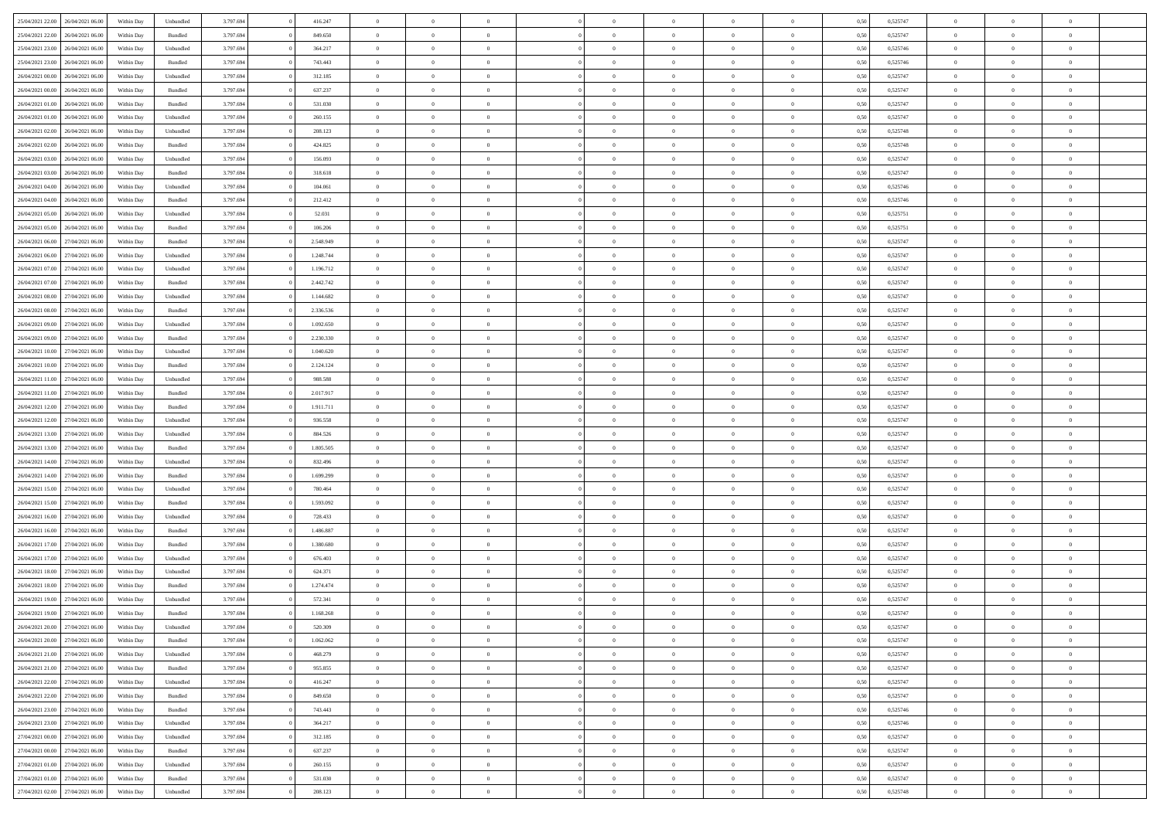| 25/04/2021 22:00 26/04/2021 06:00    | Within Day | Unbundled                   | 3.797.694 | 416.247   | $\overline{0}$ | $\overline{0}$ |                | $\overline{0}$ | $\theta$       |                | $\theta$       | 0,50 | 0,525747 | $\theta$       | $\theta$       | $\overline{0}$ |  |
|--------------------------------------|------------|-----------------------------|-----------|-----------|----------------|----------------|----------------|----------------|----------------|----------------|----------------|------|----------|----------------|----------------|----------------|--|
|                                      |            |                             |           |           |                |                |                |                |                |                |                |      |          |                |                |                |  |
| 25/04/2021 22:00<br>26/04/2021 06.00 | Within Day | Bundled                     | 3.797.69  | 849.650   | $\bf{0}$       | $\bf{0}$       | $\bf{0}$       | $\overline{0}$ | $\overline{0}$ | $\overline{0}$ | $\bf{0}$       | 0,50 | 0,525747 | $\,$ 0 $\,$    | $\bf{0}$       | $\overline{0}$ |  |
| 25/04/2021 23:00<br>26/04/2021 06:00 | Within Day | Unbundled                   | 3.797.694 | 364.217   | $\overline{0}$ | $\bf{0}$       | $\overline{0}$ | $\bf{0}$       | $\bf{0}$       | $\overline{0}$ | $\bf{0}$       | 0.50 | 0,525746 | $\bf{0}$       | $\overline{0}$ | $\overline{0}$ |  |
| 25/04/2021 23:00<br>26/04/2021 06:00 | Within Day | Bundled                     | 3.797.694 | 743.443   | $\overline{0}$ | $\overline{0}$ | $\overline{0}$ | $\overline{0}$ | $\theta$       | $\overline{0}$ | $\bf{0}$       | 0,50 | 0,525746 | $\,$ 0 $\,$    | $\theta$       | $\overline{0}$ |  |
| 26/04/2021 00:00<br>26/04/2021 06.00 | Within Day | Unbundled                   | 3.797.69  | 312.185   | $\overline{0}$ | $\overline{0}$ | $\bf{0}$       | $\overline{0}$ | $\theta$       | $\overline{0}$ | $\bf{0}$       | 0,50 | 0,525747 | $\,$ 0 $\,$    | $\theta$       | $\overline{0}$ |  |
| 26/04/2021 00:00<br>26/04/2021 06:00 |            | Bundled                     | 3.797.694 | 637.237   | $\overline{0}$ | $\overline{0}$ | $\overline{0}$ | $\bf{0}$       | $\overline{0}$ | $\theta$       | $\bf{0}$       | 0.50 | 0.525747 | $\bf{0}$       | $\theta$       | $\overline{0}$ |  |
|                                      | Within Day |                             |           |           |                |                |                |                |                |                |                |      |          |                |                |                |  |
| 26/04/2021 01:00<br>26/04/2021 06:00 | Within Day | Bundled                     | 3.797.694 | 531.030   | $\bf{0}$       | $\overline{0}$ | $\overline{0}$ | $\overline{0}$ | $\overline{0}$ | $\overline{0}$ | $\bf{0}$       | 0,50 | 0,525747 | $\,$ 0 $\,$    | $\theta$       | $\overline{0}$ |  |
| 26/04/2021 01:00<br>26/04/2021 06.00 | Within Day | Unbundled                   | 3.797.694 | 260.155   | $\bf{0}$       | $\overline{0}$ | $\bf{0}$       | $\overline{0}$ | $\overline{0}$ | $\overline{0}$ | $\bf{0}$       | 0,50 | 0,525747 | $\,$ 0 $\,$    | $\bf{0}$       | $\overline{0}$ |  |
| 26/04/2021 02:00<br>26/04/2021 06:00 | Within Day | Unbundled                   | 3.797.694 | 208.123   | $\overline{0}$ | $\bf{0}$       | $\overline{0}$ | $\bf{0}$       | $\overline{0}$ | $\overline{0}$ | $\bf{0}$       | 0.50 | 0.525748 | $\bf{0}$       | $\overline{0}$ | $\overline{0}$ |  |
| 26/04/2021 02:00<br>26/04/2021 06:00 | Within Day | Bundled                     | 3.797.694 | 424.825   | $\bf{0}$       | $\bf{0}$       | $\overline{0}$ | $\overline{0}$ | $\overline{0}$ | $\overline{0}$ | $\bf{0}$       | 0,50 | 0,525748 | $\,$ 0 $\,$    | $\bf{0}$       | $\overline{0}$ |  |
| 26/04/2021 03:00<br>26/04/2021 06.00 | Within Day | Unbundled                   | 3.797.69  | 156.093   | $\bf{0}$       | $\overline{0}$ | $\bf{0}$       | $\bf{0}$       | $\bf{0}$       | $\overline{0}$ | $\bf{0}$       | 0,50 | 0,525747 | $\,$ 0 $\,$    | $\bf{0}$       | $\overline{0}$ |  |
| 26/04/2021 03:00<br>26/04/2021 06:00 | Within Day | Bundled                     | 3.797.694 | 318.618   | $\overline{0}$ | $\bf{0}$       | $\overline{0}$ | $\overline{0}$ | $\bf{0}$       | $\overline{0}$ | $\bf{0}$       | 0.50 | 0,525747 | $\bf{0}$       | $\overline{0}$ | $\overline{0}$ |  |
| 26/04/2021 04:00<br>26/04/2021 06:00 | Within Day | Unbundled                   | 3.797.694 | 104.061   | $\overline{0}$ | $\overline{0}$ | $\overline{0}$ | $\overline{0}$ | $\theta$       | $\overline{0}$ | $\bf{0}$       | 0,50 | 0,525746 | $\,$ 0 $\,$    | $\theta$       | $\overline{0}$ |  |
|                                      |            |                             |           |           |                |                |                |                |                |                |                |      |          |                |                |                |  |
| 26/04/2021 04:00<br>26/04/2021 06.00 | Within Day | Bundled                     | 3.797.69  | 212.412   | $\bf{0}$       | $\overline{0}$ | $\bf{0}$       | $\overline{0}$ | $\bf{0}$       | $\overline{0}$ | $\bf{0}$       | 0,50 | 0,525746 | $\,$ 0 $\,$    | $\bf{0}$       | $\overline{0}$ |  |
| 26/04/2021 05:00<br>26/04/2021 06:00 | Within Day | Unbundled                   | 3.797.694 | 52.031    | $\overline{0}$ | $\overline{0}$ | $\overline{0}$ | $\bf{0}$       | $\bf{0}$       | $\theta$       | $\bf{0}$       | 0.50 | 0,525751 | $\,$ 0 $\,$    | $\theta$       | $\overline{0}$ |  |
| 26/04/2021 05:00<br>26/04/2021 06:00 | Within Day | Bundled                     | 3.797.694 | 106.206   | $\bf{0}$       | $\bf{0}$       | $\overline{0}$ | $\overline{0}$ | $\overline{0}$ | $\overline{0}$ | $\bf{0}$       | 0,50 | 0,525751 | $\,$ 0 $\,$    | $\theta$       | $\overline{0}$ |  |
| 26/04/2021 06:00<br>27/04/2021 06.00 | Within Day | Bundled                     | 3.797.694 | 2.548.949 | $\bf{0}$       | $\overline{0}$ | $\bf{0}$       | $\overline{0}$ | $\bf{0}$       | $\overline{0}$ | $\bf{0}$       | 0,50 | 0,525747 | $\,$ 0 $\,$    | $\bf{0}$       | $\overline{0}$ |  |
| 26/04/2021 06:00<br>27/04/2021 06:00 | Within Day | Unbundled                   | 3.797.694 | 1.248.744 | $\overline{0}$ | $\bf{0}$       | $\overline{0}$ | $\bf{0}$       | $\overline{0}$ | $\overline{0}$ | $\bf{0}$       | 0.50 | 0.525747 | $\bf{0}$       | $\overline{0}$ | $\overline{0}$ |  |
| 26/04/2021 07:00<br>27/04/2021 06:00 | Within Day | Unbundled                   | 3.797.694 | 1.196.712 | $\bf{0}$       | $\bf{0}$       | $\overline{0}$ | $\overline{0}$ | $\overline{0}$ | $\overline{0}$ | $\bf{0}$       | 0,50 | 0,525747 | $\,$ 0 $\,$    | $\bf{0}$       | $\overline{0}$ |  |
| 26/04/2021 07:00<br>27/04/2021 06.00 | Within Day | Bundled                     | 3.797.69  | 2.442.742 | $\bf{0}$       | $\bf{0}$       | $\bf{0}$       | $\bf{0}$       | $\overline{0}$ | $\overline{0}$ | $\bf{0}$       | 0,50 | 0,525747 | $\,$ 0 $\,$    | $\bf{0}$       | $\overline{0}$ |  |
| 26/04/2021 08:00                     |            | Unbundled                   |           | 1.144.682 |                | $\bf{0}$       | $\overline{0}$ |                | $\bf{0}$       | $\overline{0}$ |                | 0.50 |          | $\bf{0}$       | $\overline{0}$ | $\bf{0}$       |  |
| 27/04/2021 06:00                     | Within Day |                             | 3.797.694 |           | $\overline{0}$ |                |                | $\overline{0}$ |                |                | $\bf{0}$       |      | 0,525747 |                |                |                |  |
| 26/04/2021 08:00<br>27/04/2021 06:00 | Within Day | Bundled                     | 3.797.694 | 2.336.536 | $\overline{0}$ | $\overline{0}$ | $\overline{0}$ | $\overline{0}$ | $\theta$       | $\overline{0}$ | $\bf{0}$       | 0,50 | 0,525747 | $\,$ 0 $\,$    | $\theta$       | $\overline{0}$ |  |
| 26/04/2021 09:00<br>27/04/2021 06.00 | Within Day | Unbundled                   | 3.797.69  | 1.092.650 | $\bf{0}$       | $\overline{0}$ | $\bf{0}$       | $\bf{0}$       | $\overline{0}$ | $\overline{0}$ | $\bf{0}$       | 0,50 | 0,525747 | $\,$ 0 $\,$    | $\bf{0}$       | $\overline{0}$ |  |
| 26/04/2021 09:00<br>27/04/2021 06:00 | Within Day | Bundled                     | 3.797.694 | 2.230.330 | $\overline{0}$ | $\overline{0}$ | $\overline{0}$ | $\overline{0}$ | $\overline{0}$ | $\theta$       | $\bf{0}$       | 0.50 | 0.525747 | $\bf{0}$       | $\theta$       | $\overline{0}$ |  |
| 26/04/2021 10:00<br>27/04/2021 06:00 | Within Day | Unbundled                   | 3.797.694 | 1.040.620 | $\bf{0}$       | $\overline{0}$ | $\overline{0}$ | $\overline{0}$ | $\overline{0}$ | $\overline{0}$ | $\bf{0}$       | 0,50 | 0,525747 | $\,$ 0 $\,$    | $\theta$       | $\overline{0}$ |  |
| 26/04/2021 10:00<br>27/04/2021 06.00 | Within Day | Bundled                     | 3.797.694 | 2.124.124 | $\bf{0}$       | $\overline{0}$ | $\bf{0}$       | $\overline{0}$ | $\bf{0}$       | $\overline{0}$ | $\bf{0}$       | 0,50 | 0,525747 | $\,$ 0 $\,$    | $\theta$       | $\overline{0}$ |  |
| 26/04/2021 11:00<br>27/04/2021 06:00 | Within Day | Unbundled                   | 3.797.694 | 988,588   | $\overline{0}$ | $\bf{0}$       | $\overline{0}$ | $\bf{0}$       | $\overline{0}$ | $\overline{0}$ | $\bf{0}$       | 0.50 | 0.525747 | $\bf{0}$       | $\overline{0}$ | $\overline{0}$ |  |
| 26/04/2021 11:00<br>27/04/2021 06:00 | Within Day | Bundled                     | 3.797.694 | 2.017.917 | $\overline{0}$ | $\bf{0}$       | $\overline{0}$ | $\overline{0}$ | $\overline{0}$ | $\overline{0}$ | $\bf{0}$       | 0,50 | 0,525747 | $\,$ 0 $\,$    | $\bf{0}$       | $\overline{0}$ |  |
| 27/04/2021 06.00                     | Within Day | Bundled                     | 3.797.69  |           | $\bf{0}$       | $\bf{0}$       | $\bf{0}$       | $\bf{0}$       | $\overline{0}$ | $\overline{0}$ | $\bf{0}$       | 0,50 | 0,525747 | $\,$ 0 $\,$    | $\bf{0}$       | $\overline{0}$ |  |
| 26/04/2021 12:00                     |            |                             |           | 1.911.711 |                |                |                |                |                |                |                |      |          |                |                |                |  |
| 26/04/2021 12:00<br>27/04/2021 06:00 | Within Day | Unbundled                   | 3.797.694 | 936.558   | $\overline{0}$ | $\bf{0}$       | $\overline{0}$ | $\bf{0}$       | $\bf{0}$       | $\overline{0}$ | $\bf{0}$       | 0.50 | 0,525747 | $\bf{0}$       | $\overline{0}$ | $\overline{0}$ |  |
| 26/04/2021 13:00<br>27/04/2021 06:00 | Within Day | Unbundled                   | 3.797.694 | 884.526   | $\overline{0}$ | $\overline{0}$ | $\overline{0}$ | $\overline{0}$ | $\overline{0}$ | $\overline{0}$ | $\bf{0}$       | 0.50 | 0,525747 | $\theta$       | $\theta$       | $\overline{0}$ |  |
| 26/04/2021 13:00<br>27/04/2021 06.00 | Within Day | Bundled                     | 3.797.694 | 1.805.505 | $\bf{0}$       | $\overline{0}$ | $\bf{0}$       | $\bf{0}$       | $\overline{0}$ | $\overline{0}$ | $\bf{0}$       | 0,50 | 0,525747 | $\,$ 0 $\,$    | $\bf{0}$       | $\overline{0}$ |  |
| 26/04/2021 14:00<br>27/04/2021 06:00 | Within Day | Unbundled                   | 3.797.694 | 832.496   | $\overline{0}$ | $\overline{0}$ | $\overline{0}$ | $\bf{0}$       | $\bf{0}$       | $\overline{0}$ | $\bf{0}$       | 0.50 | 0.525747 | $\,$ 0 $\,$    | $\theta$       | $\overline{0}$ |  |
| 26/04/2021 14:00<br>27/04/2021 06:00 | Within Dav | Bundled                     | 3.797.694 | 1.699.299 | $\overline{0}$ | $\overline{0}$ | $\overline{0}$ | $\overline{0}$ | $\overline{0}$ | $\overline{0}$ | $\overline{0}$ | 0.50 | 0,525747 | $\theta$       | $\theta$       | $\overline{0}$ |  |
| 26/04/2021 15:00<br>27/04/2021 06.00 | Within Day | Unbundled                   | 3.797.694 | 780.464   | $\bf{0}$       | $\overline{0}$ | $\bf{0}$       | $\bf{0}$       | $\bf{0}$       | $\overline{0}$ | $\bf{0}$       | 0,50 | 0,525747 | $\,$ 0 $\,$    | $\bf{0}$       | $\overline{0}$ |  |
| 26/04/2021 15:00<br>27/04/2021 06:00 | Within Day | Bundled                     | 3.797.694 | 1.593.092 | $\overline{0}$ | $\bf{0}$       | $\overline{0}$ | $\bf{0}$       | $\overline{0}$ | $\overline{0}$ | $\bf{0}$       | 0.50 | 0.525747 | $\bf{0}$       | $\overline{0}$ | $\overline{0}$ |  |
| 26/04/2021 16:00<br>27/04/2021 06:00 | Within Day | Unbundled                   | 3.797.694 | 728.433   | $\overline{0}$ | $\overline{0}$ | $\overline{0}$ | $\overline{0}$ | $\overline{0}$ | $\overline{0}$ | $\overline{0}$ | 0.50 | 0,525747 | $\theta$       | $\theta$       | $\overline{0}$ |  |
|                                      |            |                             |           |           | $\bf{0}$       | $\bf{0}$       | $\bf{0}$       |                | $\overline{0}$ | $\overline{0}$ |                |      |          | $\,$ 0 $\,$    | $\bf{0}$       | $\overline{0}$ |  |
| 26/04/2021 16:00<br>27/04/2021 06.00 | Within Day | Bundled                     | 3.797.69  | 1.486.887 |                |                |                | $\bf{0}$       |                |                | $\bf{0}$       | 0,50 | 0,525747 |                |                |                |  |
| 26/04/2021 17:00<br>27/04/2021 06:00 | Within Day | Bundled                     | 3.797.694 | 1.380.680 | $\overline{0}$ | $\bf{0}$       | $\overline{0}$ | $\overline{0}$ | $\bf{0}$       | $\overline{0}$ | $\bf{0}$       | 0.50 | 0,525747 | $\bf{0}$       | $\overline{0}$ | $\overline{0}$ |  |
| 26/04/2021 17:00<br>27/04/2021 06:00 | Within Dav | Unbundled                   | 3.797.694 | 676.403   | $\overline{0}$ | $\overline{0}$ | $\overline{0}$ | $\overline{0}$ | $\overline{0}$ | $\overline{0}$ | $\bf{0}$       | 0.50 | 0,525747 | $\theta$       | $\theta$       | $\overline{0}$ |  |
| 26/04/2021 18:00<br>27/04/2021 06.00 | Within Day | Unbundled                   | 3.797.694 | 624.371   | $\bf{0}$       | $\overline{0}$ | $\bf{0}$       | $\bf{0}$       | $\overline{0}$ | $\overline{0}$ | $\bf{0}$       | 0,50 | 0,525747 | $\,$ 0 $\,$    | $\bf{0}$       | $\overline{0}$ |  |
| 26/04/2021 18:00<br>27/04/2021 06.00 | Within Day | Bundled                     | 3.797.694 | 1.274.474 | $\overline{0}$ | $\overline{0}$ | $\overline{0}$ | $\overline{0}$ | $\overline{0}$ | $\Omega$       | $\bf{0}$       | 0.50 | 0,525747 | $\bf{0}$       | $\theta$       | $\overline{0}$ |  |
| 26/04/2021 19:00<br>27/04/2021 06:00 | Within Dav | Unbundled                   | 3.797.694 | 572.341   | $\overline{0}$ | $\overline{0}$ | $\Omega$       | $\overline{0}$ | $\theta$       | $\overline{0}$ | $\overline{0}$ | 0.50 | 0,525747 | $\theta$       | $\theta$       | $\overline{0}$ |  |
| 26/04/2021 19:00<br>27/04/2021 06:00 | Within Day | Bundled                     | 3.797.694 | 1.168.268 | $\bf{0}$       | $\bf{0}$       | $\bf{0}$       | $\bf{0}$       | $\bf{0}$       | $\overline{0}$ | $\bf{0}$       | 0,50 | 0,525747 | $\,$ 0 $\,$    | $\bf{0}$       | $\overline{0}$ |  |
| 26/04/2021 20:00 27/04/2021 06:00    | Within Day | $\ensuremath{\mathsf{Unb}}$ | 3.797.694 | 520.309   | $\overline{0}$ | $\Omega$       |                | $\Omega$       | $\Omega$       |                |                | 0,50 | 0,525747 | $\theta$       | $\overline{0}$ |                |  |
| 26/04/2021 20:00 27/04/2021 06:00    | Within Day | Bundled                     | 3.797.694 | 1.062.062 | $\overline{0}$ | $\overline{0}$ | $\overline{0}$ | $\overline{0}$ | $\overline{0}$ | $\overline{0}$ | $\bf{0}$       | 0,50 | 0,525747 | $\theta$       | $\overline{0}$ | $\overline{0}$ |  |
|                                      |            |                             |           |           |                |                |                |                |                |                |                |      |          |                |                |                |  |
| 26/04/2021 21.00<br>27/04/2021 06:00 | Within Day | Unbundled                   | 3.797.694 | 468.279   | $\overline{0}$ | $\bf{0}$       | $\overline{0}$ | $\overline{0}$ | $\bf{0}$       | $\overline{0}$ | $\bf{0}$       | 0,50 | 0,525747 | $\bf{0}$       | $\overline{0}$ | $\bf{0}$       |  |
| 26/04/2021 21:00 27/04/2021 06:00    | Within Day | Bundled                     | 3.797.694 | 955.855   | $\overline{0}$ | $\overline{0}$ | $\overline{0}$ | $\overline{0}$ | $\mathbf{0}$   | $\overline{0}$ | $\,$ 0 $\,$    | 0.50 | 0,525747 | $\overline{0}$ | $\bf{0}$       | $\,$ 0 $\,$    |  |
| 26/04/2021 22:00 27/04/2021 06:00    | Within Day | Unbundled                   | 3.797.694 | 416.247   | $\overline{0}$ | $\overline{0}$ | $\overline{0}$ | $\overline{0}$ | $\overline{0}$ | $\overline{0}$ | $\bf{0}$       | 0,50 | 0,525747 | $\overline{0}$ | $\theta$       | $\overline{0}$ |  |
| 26/04/2021 22:00<br>27/04/2021 06:00 | Within Day | Bundled                     | 3.797.694 | 849.650   | $\overline{0}$ | $\bf{0}$       | $\overline{0}$ | $\overline{0}$ | $\bf{0}$       | $\overline{0}$ | $\bf{0}$       | 0,50 | 0,525747 | $\bf{0}$       | $\overline{0}$ | $\overline{0}$ |  |
| 26/04/2021 23:00<br>27/04/2021 06:00 | Within Day | Bundled                     | 3.797.694 | 743.443   | $\overline{0}$ | $\bf{0}$       | $\overline{0}$ | $\overline{0}$ | $\bf{0}$       | $\overline{0}$ | $\bf{0}$       | 0.50 | 0.525746 | $\,$ 0 $\,$    | $\overline{0}$ | $\,$ 0         |  |
| 26/04/2021 23:00 27/04/2021 06:00    | Within Day | Unbundled                   | 3.797.694 | 364.217   | $\overline{0}$ | $\overline{0}$ | $\overline{0}$ | $\overline{0}$ | $\overline{0}$ | $\overline{0}$ | $\bf{0}$       | 0,50 | 0,525746 | $\overline{0}$ | $\theta$       | $\overline{0}$ |  |
| 27/04/2021 00:00<br>27/04/2021 06:00 | Within Day | Unbundled                   | 3.797.694 | 312.185   | $\overline{0}$ | $\overline{0}$ | $\overline{0}$ | $\overline{0}$ | $\overline{0}$ | $\overline{0}$ | $\bf{0}$       | 0,50 | 0,525747 | $\bf{0}$       | $\overline{0}$ | $\,$ 0         |  |
|                                      |            | Bundled                     | 3.797.694 | 637.237   |                | $\overline{0}$ |                |                |                | $\overline{0}$ |                | 0.50 | 0.525747 |                |                | $\,$ 0         |  |
| 27/04/2021 00:00 27/04/2021 06:00    | Within Day |                             |           |           | $\overline{0}$ |                | $\overline{0}$ | $\overline{0}$ | $\overline{0}$ |                | $\bf{0}$       |      |          | $\mathbf{0}$   | $\bf{0}$       |                |  |
| 27/04/2021 01:00 27/04/2021 06:00    | Within Day | Unbundled                   | 3.797.694 | 260.155   | $\overline{0}$ | $\overline{0}$ | $\overline{0}$ | $\overline{0}$ | $\overline{0}$ | $\overline{0}$ | $\bf{0}$       | 0,50 | 0,525747 | $\overline{0}$ | $\overline{0}$ | $\overline{0}$ |  |
| 27/04/2021 01:00<br>27/04/2021 06:00 | Within Day | Bundled                     | 3.797.694 | 531.030   | $\overline{0}$ | $\bf{0}$       | $\overline{0}$ | $\overline{0}$ | $\overline{0}$ | $\overline{0}$ | $\bf{0}$       | 0,50 | 0,525747 | $\bf{0}$       | $\overline{0}$ | $\bf{0}$       |  |
| 27/04/2021 02:00 27/04/2021 06:00    | Within Day | ${\sf Unbundred}$           | 3.797.694 | 208.123   | $\,$ 0 $\,$    | $\bf{0}$       | $\overline{0}$ | $\overline{0}$ | $\,$ 0 $\,$    | $\,$ 0 $\,$    | $\,$ 0 $\,$    | 0,50 | 0,525748 | $\,$ 0 $\,$    | $\,$ 0 $\,$    | $\,$ 0 $\,$    |  |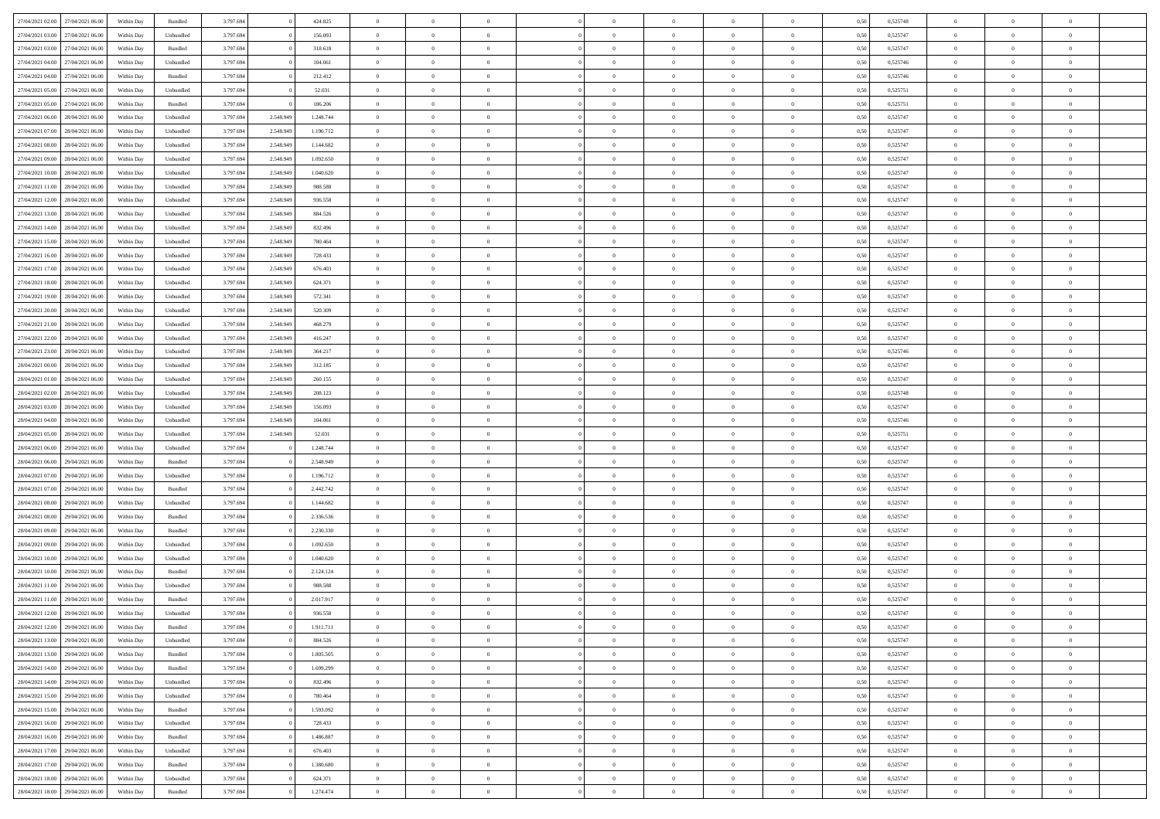| 27/04/2021 02:00                  | 27/04/2021 06:00 | Within Day | Bundled            | 3.797.694 |           | 424.825   | $\overline{0}$ | $\Omega$       |                | $\Omega$       | $\Omega$       | $\Omega$       | $\theta$       | 0.50 | 0,525748 | $\theta$       | $\theta$       | $\theta$       |  |
|-----------------------------------|------------------|------------|--------------------|-----------|-----------|-----------|----------------|----------------|----------------|----------------|----------------|----------------|----------------|------|----------|----------------|----------------|----------------|--|
|                                   |                  |            |                    |           |           |           |                |                |                |                |                |                |                |      |          |                |                |                |  |
| 27/04/2021 03:00                  | 27/04/2021 06.00 | Within Day | Unbundled          | 3.797.694 |           | 156.093   | $\overline{0}$ | $\theta$       | $\overline{0}$ | $\overline{0}$ | $\bf{0}$       | $\overline{0}$ | $\bf{0}$       | 0,50 | 0,525747 | $\theta$       | $\theta$       | $\overline{0}$ |  |
| 27/04/2021 03:00                  | 27/04/2021 06:00 | Within Day | Bundled            | 3.797.694 |           | 318.618   | $\overline{0}$ | $\overline{0}$ | $\overline{0}$ | $\bf{0}$       | $\bf{0}$       | $\bf{0}$       | $\bf{0}$       | 0,50 | 0,525747 | $\overline{0}$ | $\overline{0}$ | $\overline{0}$ |  |
| 27/04/2021 04:00                  | 27/04/2021 06:00 | Within Dav | Unbundled          | 3.797.694 |           | 104.061   | $\overline{0}$ | $\overline{0}$ | $\overline{0}$ | $\overline{0}$ | $\bf{0}$       | $\overline{0}$ | $\overline{0}$ | 0.50 | 0,525746 | $\theta$       | $\theta$       | $\overline{0}$ |  |
| 27/04/2021 04:00                  | 27/04/2021 06.00 | Within Day | Bundled            | 3.797.694 |           | 212.412   | $\overline{0}$ | $\theta$       | $\overline{0}$ | $\overline{0}$ | $\bf{0}$       | $\overline{0}$ | $\bf{0}$       | 0,50 | 0,525746 | $\theta$       | $\overline{0}$ | $\overline{0}$ |  |
| 27/04/2021 05:00                  | 27/04/2021 06:00 | Within Day | Unbundled          | 3.797.694 |           | 52.031    | $\overline{0}$ | $\bf{0}$       | $\overline{0}$ | $\bf{0}$       | $\overline{0}$ | $\overline{0}$ | $\mathbf{0}$   | 0,50 | 0,525751 | $\overline{0}$ | $\overline{0}$ | $\bf{0}$       |  |
| 27/04/2021 05:00                  | 27/04/2021 06.00 | Within Dav | Bundled            | 3.797.694 |           | 106.206   | $\overline{0}$ | $\overline{0}$ | $\overline{0}$ | $\overline{0}$ | $\overline{0}$ | $\overline{0}$ | $\overline{0}$ | 0.50 | 0,525751 | $\theta$       | $\overline{0}$ | $\overline{0}$ |  |
|                                   |                  |            |                    |           |           |           |                |                |                |                |                |                |                |      |          |                |                |                |  |
| 27/04/2021 06:00                  | 28/04/2021 06:00 | Within Day | Unbundled          | 3.797.694 | 2.548.949 | 1.248.744 | $\overline{0}$ | $\theta$       | $\overline{0}$ | $\overline{0}$ | $\bf{0}$       | $\overline{0}$ | $\bf{0}$       | 0,50 | 0,525747 | $\theta$       | $\theta$       | $\overline{0}$ |  |
| 27/04/2021 07:00                  | 28/04/2021 06:00 | Within Day | Unbundled          | 3.797.694 | 2.548.949 | 1.196.712 | $\overline{0}$ | $\overline{0}$ | $\overline{0}$ | $\bf{0}$       | $\bf{0}$       | $\bf{0}$       | $\bf{0}$       | 0,50 | 0,525747 | $\,0\,$        | $\overline{0}$ | $\overline{0}$ |  |
| 27/04/2021 08:00                  | 28/04/2021 06:00 | Within Dav | Unbundled          | 3.797.694 | 2.548.949 | 1.144.682 | $\overline{0}$ | $\overline{0}$ | $\overline{0}$ | $\overline{0}$ | $\overline{0}$ | $\overline{0}$ | $\overline{0}$ | 0.50 | 0,525747 | $\theta$       | $\overline{0}$ | $\overline{0}$ |  |
| 27/04/2021 09:00                  | 28/04/2021 06:00 | Within Day | Unbundled          | 3.797.694 | 2.548.949 | 1.092.650 | $\overline{0}$ | $\theta$       | $\overline{0}$ | $\overline{0}$ | $\bf{0}$       | $\overline{0}$ | $\bf{0}$       | 0,50 | 0,525747 | $\,$ 0 $\,$    | $\overline{0}$ | $\overline{0}$ |  |
| 27/04/2021 10:00                  | 28/04/2021 06:00 | Within Day | Unbundled          | 3.797.694 | 2.548.949 | 1.040.620 | $\overline{0}$ | $\overline{0}$ | $\overline{0}$ | $\bf{0}$       | $\bf{0}$       | $\bf{0}$       | $\bf{0}$       | 0,50 | 0,525747 | $\overline{0}$ | $\overline{0}$ | $\overline{0}$ |  |
| 27/04/2021 11:00                  | 28/04/2021 06:00 | Within Day | Unbundled          | 3.797.694 | 2.548.949 | 988,588   | $\overline{0}$ | $\overline{0}$ | $\overline{0}$ | $\overline{0}$ | $\bf{0}$       | $\overline{0}$ | $\overline{0}$ | 0.50 | 0,525747 | $\theta$       | $\theta$       | $\overline{0}$ |  |
| 27/04/2021 12:00                  | 28/04/2021 06:00 | Within Day | Unbundled          | 3.797.694 | 2.548.949 | 936.558   | $\overline{0}$ | $\theta$       | $\overline{0}$ | $\overline{0}$ | $\bf{0}$       | $\overline{0}$ | $\bf{0}$       | 0,50 | 0,525747 | $\theta$       | $\overline{0}$ | $\overline{0}$ |  |
|                                   |                  |            |                    |           |           |           |                |                |                |                |                |                |                |      |          |                |                |                |  |
| 27/04/2021 13:00                  | 28/04/2021 06:00 | Within Day | Unbundled          | 3.797.694 | 2.548.949 | 884.526   | $\overline{0}$ | $\overline{0}$ | $\overline{0}$ | $\bf{0}$       | $\overline{0}$ | $\overline{0}$ | $\mathbf{0}$   | 0,50 | 0,525747 | $\overline{0}$ | $\overline{0}$ | $\bf{0}$       |  |
| 27/04/2021 14:00                  | 28/04/2021 06:00 | Within Dav | Unbundled          | 3.797.694 | 2.548.949 | 832.496   | $\overline{0}$ | $\overline{0}$ | $\overline{0}$ | $\overline{0}$ | $\overline{0}$ | $\overline{0}$ | $\overline{0}$ | 0.50 | 0,525747 | $\theta$       | $\overline{0}$ | $\overline{0}$ |  |
| 27/04/2021 15:00                  | 28/04/2021 06:00 | Within Day | Unbundled          | 3.797.694 | 2.548.949 | 780.464   | $\overline{0}$ | $\theta$       | $\overline{0}$ | $\overline{0}$ | $\bf{0}$       | $\overline{0}$ | $\bf{0}$       | 0,50 | 0,525747 | $\theta$       | $\theta$       | $\overline{0}$ |  |
| 27/04/2021 16:00                  | 28/04/2021 06:00 | Within Day | Unbundled          | 3.797.694 | 2.548.949 | 728.433   | $\overline{0}$ | $\overline{0}$ | $\overline{0}$ | $\overline{0}$ | $\bf{0}$       | $\overline{0}$ | $\bf{0}$       | 0,50 | 0,525747 | $\,0\,$        | $\overline{0}$ | $\overline{0}$ |  |
| 27/04/2021 17:00                  | 28/04/2021 06:00 | Within Day | Unbundled          | 3.797.694 | 2.548.949 | 676,403   | $\overline{0}$ | $\overline{0}$ | $\overline{0}$ | $\overline{0}$ | $\overline{0}$ | $\overline{0}$ | $\overline{0}$ | 0.50 | 0,525747 | $\theta$       | $\overline{0}$ | $\overline{0}$ |  |
| 27/04/2021 18:00                  | 28/04/2021 06:00 | Within Day | Unbundled          | 3.797.694 | 2.548.949 | 624.371   | $\overline{0}$ | $\theta$       | $\overline{0}$ | $\overline{0}$ | $\bf{0}$       | $\overline{0}$ | $\bf{0}$       | 0,50 | 0,525747 | $\,$ 0 $\,$    | $\theta$       | $\overline{0}$ |  |
| 27/04/2021 19:00                  | 28/04/2021 06:00 | Within Day | Unbundled          | 3.797.694 | 2.548.949 | 572.341   | $\overline{0}$ | $\overline{0}$ | $\overline{0}$ | $\bf{0}$       | $\bf{0}$       | $\overline{0}$ | $\bf{0}$       | 0,50 | 0,525747 | $\bf{0}$       | $\overline{0}$ | $\overline{0}$ |  |
| 27/04/2021 20:00                  | 28/04/2021 06:00 | Within Day | Unbundled          | 3.797.694 | 2.548.949 | 520,309   | $\overline{0}$ | $\overline{0}$ | $\overline{0}$ | $\overline{0}$ | $\bf{0}$       | $\overline{0}$ | $\overline{0}$ | 0.50 | 0,525747 | $\theta$       | $\theta$       | $\overline{0}$ |  |
|                                   |                  |            |                    |           |           |           |                |                |                |                |                |                |                |      |          |                |                |                |  |
| 27/04/2021 21:00                  | 28/04/2021 06:00 | Within Day | Unbundled          | 3.797.694 | 2.548.949 | 468.279   | $\overline{0}$ | $\theta$       | $\overline{0}$ | $\overline{0}$ | $\bf{0}$       | $\overline{0}$ | $\bf{0}$       | 0,50 | 0,525747 | $\,$ 0 $\,$    | $\overline{0}$ | $\overline{0}$ |  |
| 27/04/2021 22.00                  | 28/04/2021 06:00 | Within Day | Unbundled          | 3.797.694 | 2.548.949 | 416.247   | $\overline{0}$ | $\bf{0}$       | $\overline{0}$ | $\overline{0}$ | $\overline{0}$ | $\overline{0}$ | $\mathbf{0}$   | 0,50 | 0,525747 | $\bf{0}$       | $\overline{0}$ | $\bf{0}$       |  |
| 27/04/2021 23:00                  | 28/04/2021 06:00 | Within Dav | Unbundled          | 3.797.694 | 2.548.949 | 364.217   | $\overline{0}$ | $\overline{0}$ | $\overline{0}$ | $\overline{0}$ | $\overline{0}$ | $\overline{0}$ | $\overline{0}$ | 0.50 | 0,525746 | $\theta$       | $\overline{0}$ | $\overline{0}$ |  |
| 28/04/2021 00:00                  | 28/04/2021 06:00 | Within Day | Unbundled          | 3.797.694 | 2.548.949 | 312.185   | $\overline{0}$ | $\theta$       | $\overline{0}$ | $\overline{0}$ | $\bf{0}$       | $\overline{0}$ | $\bf{0}$       | 0,50 | 0,525747 | $\theta$       | $\theta$       | $\overline{0}$ |  |
| 28/04/2021 01:00                  | 28/04/2021 06:00 | Within Day | Unbundled          | 3.797.694 | 2.548.949 | 260.155   | $\overline{0}$ | $\overline{0}$ | $\overline{0}$ | $\bf{0}$       | $\bf{0}$       | $\bf{0}$       | $\bf{0}$       | 0,50 | 0,525747 | $\,0\,$        | $\overline{0}$ | $\overline{0}$ |  |
| 28/04/2021 02:00                  | 28/04/2021 06:00 | Within Day | Unbundled          | 3.797.694 | 2.548.949 | 208,123   | $\overline{0}$ | $\overline{0}$ | $\overline{0}$ | $\overline{0}$ | $\overline{0}$ | $\overline{0}$ | $\overline{0}$ | 0.50 | 0,525748 | $\theta$       | $\overline{0}$ | $\overline{0}$ |  |
| 28/04/2021 03:00                  | 28/04/2021 06:00 | Within Day | Unbundled          | 3.797.694 | 2.548.949 | 156.093   | $\overline{0}$ | $\theta$       | $\overline{0}$ | $\overline{0}$ | $\bf{0}$       | $\overline{0}$ | $\bf{0}$       | 0,50 | 0,525747 | $\,$ 0 $\,$    | $\overline{0}$ | $\overline{0}$ |  |
|                                   |                  |            |                    |           |           |           |                | $\overline{0}$ |                |                | $\bf{0}$       |                |                |      |          | $\bf{0}$       | $\overline{0}$ | $\overline{0}$ |  |
| 28/04/2021 04:00                  | 28/04/2021 06:00 | Within Day | Unbundled          | 3.797.694 | 2.548.949 | 104.061   | $\overline{0}$ |                | $\overline{0}$ | $\bf{0}$       |                | $\bf{0}$       | $\bf{0}$       | 0,50 | 0,525746 |                |                |                |  |
| 28/04/2021 05:00                  | 28/04/2021 06:00 | Within Day | Unbundled          | 3.797.694 | 2.548.949 | 52.031    | $\overline{0}$ | $\Omega$       | $\Omega$       | $\Omega$       | $\Omega$       | $\overline{0}$ | $\overline{0}$ | 0,50 | 0,525751 | $\,0\,$        | $\theta$       | $\theta$       |  |
| 28/04/2021 06:00                  | 29/04/2021 06.00 | Within Day | Unbundled          | 3.797.694 |           | 1.248.744 | $\overline{0}$ | $\theta$       | $\overline{0}$ | $\overline{0}$ | $\bf{0}$       | $\overline{0}$ | $\bf{0}$       | 0,50 | 0,525747 | $\theta$       | $\overline{0}$ | $\overline{0}$ |  |
| 28/04/2021 06:00                  | 29/04/2021 06:00 | Within Day | Bundled            | 3.797.694 |           | 2.548.949 | $\overline{0}$ | $\bf{0}$       | $\overline{0}$ | $\bf{0}$       | $\bf{0}$       | $\overline{0}$ | $\mathbf{0}$   | 0,50 | 0,525747 | $\overline{0}$ | $\overline{0}$ | $\bf{0}$       |  |
| 28/04/2021 07:00                  | 29/04/2021 06:00 | Within Day | Unbundled          | 3.797.694 |           | 1.196.712 | $\overline{0}$ | $\Omega$       | $\Omega$       | $\Omega$       | $\bf{0}$       | $\overline{0}$ | $\overline{0}$ | 0.50 | 0,525747 | $\,0\,$        | $\theta$       | $\theta$       |  |
| 28/04/2021 07:00                  | 29/04/2021 06.00 | Within Day | Bundled            | 3.797.694 |           | 2.442.742 | $\overline{0}$ | $\theta$       | $\overline{0}$ | $\overline{0}$ | $\bf{0}$       | $\overline{0}$ | $\bf{0}$       | 0,50 | 0,525747 | $\,$ 0 $\,$    | $\theta$       | $\overline{0}$ |  |
| 28/04/2021 08:00                  | 29/04/2021 06.00 | Within Day | Unbundled          | 3.797.694 |           | 1.144.682 | $\overline{0}$ | $\overline{0}$ | $\overline{0}$ | $\bf{0}$       | $\bf{0}$       | $\bf{0}$       | $\bf{0}$       | 0,50 | 0,525747 | $\,0\,$        | $\overline{0}$ | $\overline{0}$ |  |
| 28/04/2021 08:00                  | 29/04/2021 06:00 | Within Day | Bundled            | 3.797.694 |           | 2.336.536 | $\overline{0}$ | $\Omega$       | $\Omega$       | $\Omega$       | $\Omega$       | $\overline{0}$ | $\overline{0}$ | 0.50 | 0,525747 | $\theta$       | $\theta$       | $\theta$       |  |
|                                   |                  |            |                    |           |           |           |                |                |                |                |                |                |                |      |          |                |                |                |  |
| 28/04/2021 09:00                  | 29/04/2021 06.00 | Within Day | Bundled            | 3.797.694 |           | 2.230.330 | $\overline{0}$ | $\theta$       | $\overline{0}$ | $\overline{0}$ | $\bf{0}$       | $\overline{0}$ | $\bf{0}$       | 0,50 | 0,525747 | $\,$ 0 $\,$    | $\overline{0}$ | $\overline{0}$ |  |
| 28/04/2021 09:00                  | 29/04/2021 06:00 | Within Day | Unbundled          | 3.797.694 |           | 1.092.650 | $\overline{0}$ | $\overline{0}$ | $\overline{0}$ | $\bf{0}$       | $\bf{0}$       | $\bf{0}$       | $\bf{0}$       | 0,50 | 0,525747 | $\bf{0}$       | $\overline{0}$ | $\overline{0}$ |  |
| 28/04/2021 10:00                  | 29/04/2021 06.00 | Within Day | Unbundled          | 3.797.694 |           | 1.040.620 | $\overline{0}$ | $\Omega$       | $\overline{0}$ | $\Omega$       | $\overline{0}$ | $\overline{0}$ | $\overline{0}$ | 0,50 | 0,525747 | $\,0\,$        | $\theta$       | $\theta$       |  |
| 28/04/2021 10:00                  | 29/04/2021 06.00 | Within Day | Bundled            | 3.797.694 |           | 2.124.124 | $\overline{0}$ | $\theta$       | $\overline{0}$ | $\overline{0}$ | $\bf{0}$       | $\overline{0}$ | $\bf{0}$       | 0,50 | 0,525747 | $\,$ 0 $\,$    | $\overline{0}$ | $\overline{0}$ |  |
| 28/04/2021 11:00                  | 29/04/2021 06.00 | Within Day | Unbundled          | 3.797.694 |           | 988.588   | $\overline{0}$ | $\overline{0}$ | $\overline{0}$ | $\bf{0}$       | $\bf{0}$       | $\bf{0}$       | $\mathbf{0}$   | 0,50 | 0,525747 | $\bf{0}$       | $\overline{0}$ | $\bf{0}$       |  |
| 28/04/2021 11:00                  | 29/04/2021 06:00 | Within Day | Bundled            | 3.797.694 |           | 2.017.917 | $\overline{0}$ | $\Omega$       | $\Omega$       | $\Omega$       | $\Omega$       | $\Omega$       | $\overline{0}$ | 0.50 | 0,525747 | $\theta$       | $\theta$       | $\theta$       |  |
| 28/04/2021 12:00                  | 29/04/2021 06:00 | Within Day | Unbundled          | 3.797.694 |           | 936.558   | $\overline{0}$ | $\,$ 0 $\,$    | $\overline{0}$ | $\bf{0}$       | $\,$ 0         | $\bf{0}$       | $\bf{0}$       | 0,50 | 0,525747 | $\,0\,$        | $\overline{0}$ | $\overline{0}$ |  |
| 28/04/2021 12:00                  | 29/04/2021 06:00 | Within Day | $\mathbf B$ undled | 3.797.694 |           | 1.911.711 | $\bf{0}$       | $\bf{0}$       |                |                |                |                |                | 0,50 | 0,525747 | $\bf{0}$       | $\overline{0}$ |                |  |
| 28/04/2021 13:00                  | 29/04/2021 06:00 | Within Day | Unbundled          | 3.797.694 |           | 884.526   | $\overline{0}$ | $\overline{0}$ | $\overline{0}$ | $\Omega$       | $\overline{0}$ | $\overline{0}$ | $\overline{0}$ | 0,50 | 0,525747 | $\theta$       | $\theta$       | $\theta$       |  |
|                                   |                  |            |                    |           |           |           |                |                |                |                |                |                |                |      |          |                |                |                |  |
| 28/04/2021 13:00                  | 29/04/2021 06:00 | Within Day | Bundled            | 3.797.694 |           | 1.805.505 | $\overline{0}$ | $\,$ 0         | $\overline{0}$ | $\bf{0}$       | $\,$ 0 $\,$    | $\overline{0}$ | $\mathbf{0}$   | 0,50 | 0,525747 | $\,$ 0 $\,$    | $\,$ 0 $\,$    | $\,$ 0         |  |
| 28/04/2021 14:00                  | 29/04/2021 06:00 | Within Day | Bundled            | 3.797.694 |           | 1.699.299 | $\overline{0}$ | $\overline{0}$ | $\overline{0}$ | $\overline{0}$ | $\overline{0}$ | $\overline{0}$ | $\mathbf{0}$   | 0,50 | 0,525747 | $\overline{0}$ | $\bf{0}$       | $\bf{0}$       |  |
| 28/04/2021 14:00                  | 29/04/2021 06:00 | Within Day | Unbundled          | 3.797.694 |           | 832.496   | $\overline{0}$ | $\overline{0}$ | $\overline{0}$ | $\Omega$       | $\overline{0}$ | $\overline{0}$ | $\overline{0}$ | 0,50 | 0,525747 | $\overline{0}$ | $\theta$       | $\overline{0}$ |  |
| 28/04/2021 15:00                  | 29/04/2021 06:00 | Within Day | Unbundled          | 3.797.694 |           | 780.464   | $\overline{0}$ | $\,$ 0         | $\overline{0}$ | $\overline{0}$ | $\,$ 0 $\,$    | $\overline{0}$ | $\mathbf{0}$   | 0,50 | 0,525747 | $\,$ 0 $\,$    | $\overline{0}$ | $\overline{0}$ |  |
| 28/04/2021 15:00                  | 29/04/2021 06:00 | Within Day | Bundled            | 3.797.694 |           | 1.593.092 | $\overline{0}$ | $\overline{0}$ | $\overline{0}$ | $\overline{0}$ | $\overline{0}$ | $\overline{0}$ | $\mathbf{0}$   | 0,50 | 0,525747 | $\overline{0}$ | $\overline{0}$ | $\bf{0}$       |  |
| 28/04/2021 16:00                  | 29/04/2021 06:00 | Within Day | Unbundled          | 3.797.694 |           | 728.433   | $\overline{0}$ | $\overline{0}$ | $\overline{0}$ | $\Omega$       | $\overline{0}$ | $\overline{0}$ | $\bf{0}$       | 0.50 | 0,525747 | $\overline{0}$ | $\theta$       | $\overline{0}$ |  |
| 28/04/2021 16:00                  | 29/04/2021 06:00 | Within Day | Bundled            | 3.797.694 |           | 1.486.887 | $\overline{0}$ | $\,$ 0         | $\overline{0}$ | $\bf{0}$       | $\bf{0}$       | $\bf{0}$       | $\bf{0}$       | 0,50 | 0,525747 | $\,$ 0 $\,$    | $\overline{0}$ | $\overline{0}$ |  |
|                                   |                  |            |                    |           |           |           |                | $\bf{0}$       |                |                |                |                |                |      |          |                | $\overline{0}$ |                |  |
| 28/04/2021 17:00                  | 29/04/2021 06:00 | Within Day | Unbundled          | 3.797.694 |           | 676.403   | $\overline{0}$ |                | $\overline{0}$ | $\overline{0}$ | $\overline{0}$ | $\overline{0}$ | $\mathbf{0}$   | 0,50 | 0,525747 | $\overline{0}$ |                | $\bf{0}$       |  |
| 28/04/2021 17:00                  | 29/04/2021 06:00 | Within Day | Bundled            | 3.797.694 |           | 1.380,680 | $\overline{0}$ | $\overline{0}$ | $\overline{0}$ | $\Omega$       | $\overline{0}$ | $\overline{0}$ | $\bf{0}$       | 0.50 | 0,525747 | $\overline{0}$ | $\theta$       | $\overline{0}$ |  |
| 28/04/2021 18:00                  | 29/04/2021 06:00 | Within Day | Unbundled          | 3.797.694 |           | 624.371   | $\overline{0}$ | $\bf{0}$       | $\overline{0}$ | $\overline{0}$ | $\bf{0}$       | $\bf{0}$       | $\mathbf{0}$   | 0,50 | 0,525747 | $\,$ 0 $\,$    | $\,$ 0 $\,$    | $\bf{0}$       |  |
| 28/04/2021 18:00 29/04/2021 06:00 |                  | Within Day | Bundled            | 3.797.694 |           | 1.274.474 | $\overline{0}$ | $\overline{0}$ | $\overline{0}$ | $\overline{0}$ | $\overline{0}$ | $\bf{0}$       | $\mathbf{0}$   | 0,50 | 0,525747 | $\overline{0}$ | $\bf{0}$       | $\bf{0}$       |  |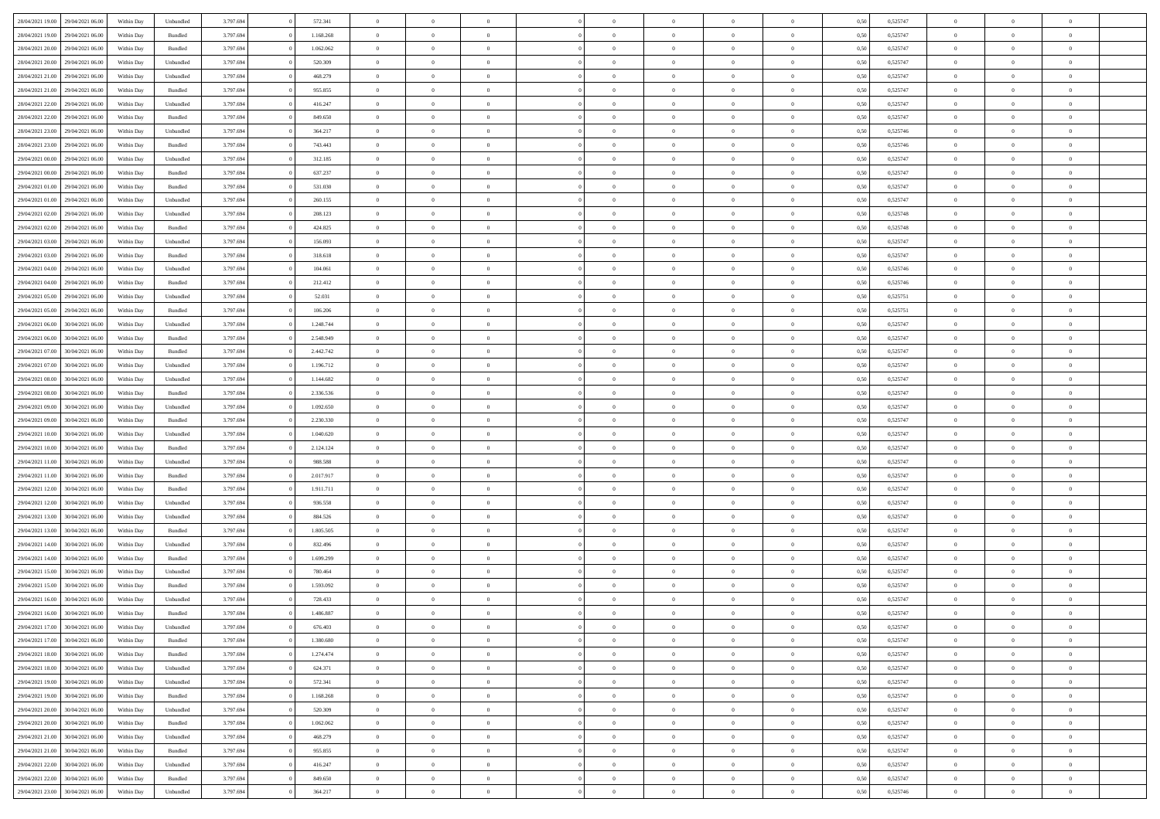| 28/04/2021 19:00 | 29/04/2021 06:00 | Within Day | Unbundled                   | 3.797.694 | 572.341   | $\overline{0}$ | $\theta$       |                | $\overline{0}$ | $\bf{0}$       | $\overline{0}$ | $\theta$       | 0,50 | 0,525747 | $\theta$       | $\theta$       | $\theta$       |  |
|------------------|------------------|------------|-----------------------------|-----------|-----------|----------------|----------------|----------------|----------------|----------------|----------------|----------------|------|----------|----------------|----------------|----------------|--|
|                  |                  |            |                             |           |           | $\overline{0}$ |                | $\overline{0}$ |                |                |                |                |      |          |                |                | $\overline{0}$ |  |
| 28/04/2021 19:00 | 29/04/2021 06.00 | Within Day | Bundled                     | 3.797.694 | 1.168.268 |                | $\overline{0}$ |                | $\overline{0}$ | $\,$ 0         | $\bf{0}$       | $\bf{0}$       | 0,50 | 0,525747 | $\,$ 0 $\,$    | $\overline{0}$ |                |  |
| 28/04/2021 20:00 | 29/04/2021 06:00 | Within Day | Bundled                     | 3.797.694 | 1.062.062 | $\overline{0}$ | $\overline{0}$ | $\overline{0}$ | $\overline{0}$ | $\bf{0}$       | $\overline{0}$ | $\mathbf{0}$   | 0.50 | 0,525747 | $\overline{0}$ | $\overline{0}$ | $\overline{0}$ |  |
| 28/04/2021 20:00 | 29/04/2021 06.00 | Within Day | Unbundled                   | 3.797.694 | 520.309   | $\overline{0}$ | $\overline{0}$ | $\overline{0}$ | $\overline{0}$ | $\,0\,$        | $\overline{0}$ | $\overline{0}$ | 0,50 | 0,525747 | $\,$ 0 $\,$    | $\overline{0}$ | $\overline{0}$ |  |
| 28/04/2021 21:00 | 29/04/2021 06.00 | Within Day | Unbundled                   | 3.797.694 | 468.279   | $\overline{0}$ | $\theta$       | $\overline{0}$ | $\overline{0}$ | $\,$ 0         | $\overline{0}$ | $\bf{0}$       | 0,50 | 0,525747 | $\,$ 0 $\,$    | $\overline{0}$ | $\overline{0}$ |  |
| 28/04/2021 21:00 | 29/04/2021 06:00 | Within Day | Bundled                     | 3.797.694 | 955.855   | $\overline{0}$ | $\overline{0}$ | $\overline{0}$ | $\overline{0}$ | $\bf{0}$       | $\overline{0}$ | $\bf{0}$       | 0.50 | 0.525747 | $\,0\,$        | $\overline{0}$ | $\overline{0}$ |  |
| 28/04/2021 22:00 | 29/04/2021 06:00 | Within Day | Unbundled                   | 3.797.694 | 416.247   | $\overline{0}$ | $\overline{0}$ | $\overline{0}$ | $\overline{0}$ | $\bf{0}$       | $\overline{0}$ | $\bf{0}$       | 0,50 | 0,525747 | $\,$ 0 $\,$    | $\overline{0}$ | $\overline{0}$ |  |
| 28/04/2021 22:00 | 29/04/2021 06.00 | Within Day | Bundled                     | 3.797.694 | 849.650   | $\overline{0}$ | $\overline{0}$ | $\overline{0}$ | $\overline{0}$ | $\,$ 0         | $\overline{0}$ | $\bf{0}$       | 0,50 | 0,525747 | $\,$ 0 $\,$    | $\overline{0}$ | $\overline{0}$ |  |
| 28/04/2021 23:00 | 29/04/2021 06:00 | Within Day | Unbundled                   | 3.797.694 | 364.217   | $\overline{0}$ | $\overline{0}$ | $\overline{0}$ | $\overline{0}$ | $\bf{0}$       | $\overline{0}$ | $\bf{0}$       | 0.50 | 0.525746 | $\bf{0}$       | $\overline{0}$ | $\bf{0}$       |  |
| 28/04/2021 23:00 | 29/04/2021 06:00 | Within Day | Bundled                     | 3.797.694 | 743.443   | $\overline{0}$ | $\overline{0}$ | $\overline{0}$ | $\overline{0}$ | $\bf{0}$       | $\overline{0}$ | $\bf{0}$       | 0,50 | 0,525746 | $\,$ 0 $\,$    | $\overline{0}$ | $\overline{0}$ |  |
|                  |                  |            |                             |           |           |                |                |                |                |                |                |                |      |          |                |                |                |  |
| 29/04/2021 00:00 | 29/04/2021 06.00 | Within Day | Unbundled                   | 3.797.694 | 312.185   | $\overline{0}$ | $\overline{0}$ | $\overline{0}$ | $\overline{0}$ | $\,$ 0         | $\overline{0}$ | $\bf{0}$       | 0,50 | 0,525747 | $\,$ 0 $\,$    | $\overline{0}$ | $\overline{0}$ |  |
| 29/04/2021 00:00 | 29/04/2021 06:00 | Within Day | Bundled                     | 3.797.694 | 637.237   | $\overline{0}$ | $\overline{0}$ | $\overline{0}$ | $\overline{0}$ | $\bf{0}$       | $\overline{0}$ | $\mathbf{0}$   | 0.50 | 0,525747 | $\overline{0}$ | $\,$ 0 $\,$    | $\bf{0}$       |  |
| 29/04/2021 01:00 | 29/04/2021 06.00 | Within Day | Bundled                     | 3.797.694 | 531.030   | $\overline{0}$ | $\overline{0}$ | $\overline{0}$ | $\overline{0}$ | $\bf{0}$       | $\overline{0}$ | $\overline{0}$ | 0,50 | 0,525747 | $\,$ 0 $\,$    | $\overline{0}$ | $\overline{0}$ |  |
| 29/04/2021 01:00 | 29/04/2021 06.00 | Within Day | Unbundled                   | 3.797.694 | 260.155   | $\overline{0}$ | $\theta$       | $\overline{0}$ | $\overline{0}$ | $\,$ 0         | $\overline{0}$ | $\bf{0}$       | 0,50 | 0,525747 | $\,$ 0 $\,$    | $\overline{0}$ | $\overline{0}$ |  |
| 29/04/2021 02:00 | 29/04/2021 06:00 | Within Day | Unbundled                   | 3.797.694 | 208.123   | $\overline{0}$ | $\overline{0}$ | $\overline{0}$ | $\overline{0}$ | $\bf{0}$       | $\overline{0}$ | $\bf{0}$       | 0.50 | 0.525748 | $\,0\,$        | $\theta$       | $\overline{0}$ |  |
| 29/04/2021 02:00 | 29/04/2021 06:00 | Within Day | Bundled                     | 3.797.694 | 424.825   | $\overline{0}$ | $\overline{0}$ | $\overline{0}$ | $\overline{0}$ | $\,$ 0         | $\overline{0}$ | $\bf{0}$       | 0,50 | 0,525748 | $\,$ 0 $\,$    | $\theta$       | $\overline{0}$ |  |
| 29/04/2021 03:00 | 29/04/2021 06.00 | Within Day | Unbundled                   | 3.797.694 | 156.093   | $\overline{0}$ | $\overline{0}$ | $\overline{0}$ | $\overline{0}$ | $\,$ 0         | $\overline{0}$ | $\bf{0}$       | 0,50 | 0,525747 | $\,$ 0 $\,$    | $\overline{0}$ | $\overline{0}$ |  |
| 29/04/2021 03:00 | 29/04/2021 06:00 | Within Day | Bundled                     | 3.797.694 | 318,618   | $\overline{0}$ | $\overline{0}$ | $\overline{0}$ | $\overline{0}$ | $\bf{0}$       | $\overline{0}$ | $\mathbf{0}$   | 0.50 | 0.525747 | $\bf{0}$       | $\overline{0}$ | $\bf{0}$       |  |
| 29/04/2021 04:00 | 29/04/2021 06.00 | Within Day | Unbundled                   | 3.797.694 | 104.061   | $\overline{0}$ | $\overline{0}$ | $\overline{0}$ | $\overline{0}$ | $\bf{0}$       | $\overline{0}$ | $\bf{0}$       | 0,50 | 0,525746 | $\,$ 0 $\,$    | $\overline{0}$ | $\overline{0}$ |  |
| 29/04/2021 04:00 | 29/04/2021 06.00 | Within Day | Bundled                     | 3.797.694 | 212.412   | $\bf{0}$       | $\overline{0}$ | $\overline{0}$ | $\overline{0}$ | $\bf{0}$       | $\bf{0}$       | $\bf{0}$       | 0,50 | 0,525746 | $\,$ 0 $\,$    | $\overline{0}$ | $\overline{0}$ |  |
|                  |                  |            |                             |           |           |                |                |                |                |                |                |                |      |          |                |                |                |  |
| 29/04/2021 05:00 | 29/04/2021 06:00 | Within Day | Unbundled                   | 3.797.694 | 52.031    | $\overline{0}$ | $\overline{0}$ | $\overline{0}$ | $\overline{0}$ | $\bf{0}$       | $\overline{0}$ | $\mathbf{0}$   | 0.50 | 0,525751 | $\,$ 0 $\,$    | $\,$ 0 $\,$    | $\overline{0}$ |  |
| 29/04/2021 05:00 | 29/04/2021 06.00 | Within Day | Bundled                     | 3.797.694 | 106.206   | $\overline{0}$ | $\overline{0}$ | $\overline{0}$ | $\overline{0}$ | $\bf{0}$       | $\overline{0}$ | $\overline{0}$ | 0,50 | 0,525751 | $\,$ 0 $\,$    | $\overline{0}$ | $\overline{0}$ |  |
| 29/04/2021 06:00 | 30/04/2021 06.00 | Within Day | Unbundled                   | 3.797.694 | 1.248.744 | $\overline{0}$ | $\overline{0}$ | $\overline{0}$ | $\overline{0}$ | $\,$ 0         | $\overline{0}$ | $\bf{0}$       | 0,50 | 0,525747 | $\,$ 0 $\,$    | $\overline{0}$ | $\overline{0}$ |  |
| 29/04/2021 06:00 | 30/04/2021 06:00 | Within Day | Bundled                     | 3.797.694 | 2.548.949 | $\overline{0}$ | $\overline{0}$ | $\overline{0}$ | $\overline{0}$ | $\bf{0}$       | $\overline{0}$ | $\bf{0}$       | 0.50 | 0.525747 | $\,0\,$        | $\overline{0}$ | $\overline{0}$ |  |
| 29/04/2021 07:00 | 30/04/2021 06:00 | Within Day | Bundled                     | 3.797.694 | 2.442.742 | $\overline{0}$ | $\overline{0}$ | $\overline{0}$ | $\overline{0}$ | $\,$ 0         | $\overline{0}$ | $\overline{0}$ | 0,50 | 0,525747 | $\,$ 0 $\,$    | $\theta$       | $\overline{0}$ |  |
| 29/04/2021 07:00 | 30/04/2021 06.00 | Within Day | Unbundled                   | 3.797.694 | 1.196.712 | $\overline{0}$ | $\theta$       | $\overline{0}$ | $\overline{0}$ | $\,$ 0         | $\bf{0}$       | $\bf{0}$       | 0,50 | 0,525747 | $\,$ 0 $\,$    | $\overline{0}$ | $\overline{0}$ |  |
| 29/04/2021 08:00 | 30/04/2021 06:00 | Within Day | Unbundled                   | 3.797.694 | 1.144.682 | $\overline{0}$ | $\overline{0}$ | $\overline{0}$ | $\overline{0}$ | $\bf{0}$       | $\overline{0}$ | $\bf{0}$       | 0.50 | 0.525747 | $\bf{0}$       | $\overline{0}$ | $\bf{0}$       |  |
| 29/04/2021 08:00 | 30/04/2021 06:00 | Within Day | Bundled                     | 3.797.694 | 2.336.536 | $\overline{0}$ | $\overline{0}$ | $\overline{0}$ | $\overline{0}$ | $\bf{0}$       | $\overline{0}$ | $\bf{0}$       | 0,50 | 0,525747 | $\,$ 0 $\,$    | $\overline{0}$ | $\overline{0}$ |  |
| 29/04/2021 09:00 | 30/04/2021 06.00 | Within Day | Unbundled                   | 3.797.694 | 1.092.650 | $\bf{0}$       | $\overline{0}$ | $\overline{0}$ | $\overline{0}$ | $\bf{0}$       | $\bf{0}$       | $\bf{0}$       | 0,50 | 0,525747 | $\,$ 0 $\,$    | $\overline{0}$ | $\overline{0}$ |  |
| 29/04/2021 09:00 | 30/04/2021 06:00 | Within Day | Bundled                     | 3.797.694 | 2.230.330 | $\overline{0}$ | $\overline{0}$ | $\overline{0}$ | $\overline{0}$ | $\bf{0}$       | $\overline{0}$ | $\mathbf{0}$   | 0.50 | 0,525747 | $\overline{0}$ | $\,$ 0 $\,$    | $\bf{0}$       |  |
| 29/04/2021 10:00 | 30/04/2021 06:00 | Within Dav | Unbundled                   | 3.797.694 | 1.040.620 | $\overline{0}$ | $\overline{0}$ | $\overline{0}$ | $\overline{0}$ | $\overline{0}$ | $\overline{0}$ | $\overline{0}$ | 0.50 | 0,525747 | $\theta$       | $\overline{0}$ | $\overline{0}$ |  |
|                  | 30/04/2021 06.00 | Within Day | Bundled                     | 3.797.694 | 2.124.124 | $\overline{0}$ | $\overline{0}$ | $\overline{0}$ | $\overline{0}$ | $\,$ 0         | $\bf{0}$       | $\bf{0}$       | 0,50 | 0,525747 | $\,$ 0 $\,$    | $\overline{0}$ | $\overline{0}$ |  |
| 29/04/2021 10:00 |                  |            |                             |           |           |                |                |                |                |                |                |                |      |          |                |                |                |  |
| 29/04/2021 11:00 | 30/04/2021 06:00 | Within Day | Unbundled                   | 3.797.694 | 988,588   | $\overline{0}$ | $\overline{0}$ | $\overline{0}$ | $\overline{0}$ | $\bf{0}$       | $\overline{0}$ | $\bf{0}$       | 0.50 | 0.525747 | $\,0\,$        | $\theta$       | $\overline{0}$ |  |
| 29/04/2021 11:00 | 30/04/2021 06:00 | Within Dav | Bundled                     | 3.797.694 | 2.017.917 | $\overline{0}$ | $\overline{0}$ | $\Omega$       | $\overline{0}$ | $\mathbf{0}$   | $\overline{0}$ | $\overline{0}$ | 0.50 | 0,525747 | $\theta$       | $\overline{0}$ | $\overline{0}$ |  |
| 29/04/2021 12:00 | 30/04/2021 06.00 | Within Day | Bundled                     | 3.797.694 | 1.911.711 | $\bf{0}$       | $\overline{0}$ | $\overline{0}$ | $\overline{0}$ | $\,$ 0         | $\bf{0}$       | $\bf{0}$       | 0,50 | 0,525747 | $\,$ 0 $\,$    | $\overline{0}$ | $\overline{0}$ |  |
| 29/04/2021 12:00 | 30/04/2021 06:00 | Within Day | Unbundled                   | 3.797.694 | 936,558   | $\overline{0}$ | $\overline{0}$ | $\overline{0}$ | $\overline{0}$ | $\bf{0}$       | $\overline{0}$ | $\mathbf{0}$   | 0.50 | 0.525747 | $\bf{0}$       | $\overline{0}$ | $\bf{0}$       |  |
| 29/04/2021 13:00 | 30/04/2021 06:00 | Within Dav | Unbundled                   | 3.797.694 | 884.526   | $\overline{0}$ | $\overline{0}$ | $\overline{0}$ | $\overline{0}$ | $\overline{0}$ | $\overline{0}$ | $\overline{0}$ | 0,50 | 0,525747 | $\theta$       | $\overline{0}$ | $\overline{0}$ |  |
| 29/04/2021 13:00 | 30/04/2021 06.00 | Within Day | Bundled                     | 3.797.694 | 1.805.505 | $\bf{0}$       | $\overline{0}$ | $\overline{0}$ | $\bf{0}$       | $\bf{0}$       | $\bf{0}$       | $\bf{0}$       | 0,50 | 0,525747 | $\,$ 0 $\,$    | $\overline{0}$ | $\overline{0}$ |  |
| 29/04/2021 14:00 | 30/04/2021 06:00 | Within Day | Unbundled                   | 3.797.694 | 832.496   | $\overline{0}$ | $\overline{0}$ | $\overline{0}$ | $\overline{0}$ | $\bf{0}$       | $\overline{0}$ | $\mathbf{0}$   | 0.50 | 0,525747 | $\,$ 0 $\,$    | $\,$ 0 $\,$    | $\bf{0}$       |  |
| 29/04/2021 14:00 | 30/04/2021 06:00 | Within Dav | Bundled                     | 3.797.694 | 1.699.299 | $\overline{0}$ | $\overline{0}$ | $\theta$       | $\overline{0}$ | $\mathbf{0}$   | $\overline{0}$ | $\overline{0}$ | 0.50 | 0,525747 | $\theta$       | $\overline{0}$ | $\overline{0}$ |  |
| 29/04/2021 15:00 | 30/04/2021 06.00 | Within Day | Unbundled                   | 3.797.694 | 780.464   | $\bf{0}$       | $\overline{0}$ | $\overline{0}$ | $\overline{0}$ | $\bf{0}$       | $\overline{0}$ | $\bf{0}$       | 0,50 | 0,525747 | $\,$ 0 $\,$    | $\overline{0}$ | $\overline{0}$ |  |
| 29/04/2021 15:00 | 30/04/2021 06:00 | Within Day | Bundled                     | 3.797.694 | 1.593.092 | $\overline{0}$ | $\overline{0}$ | $\overline{0}$ | $\overline{0}$ | $\bf{0}$       | $\Omega$       | $\bf{0}$       | 0.50 | 0.525747 | $\,0\,$        | $\theta$       | $\overline{0}$ |  |
| 29/04/2021 16:00 | 30/04/2021 06:00 | Within Dav | Unbundled                   | 3.797.694 | 728.433   | $\overline{0}$ | $\theta$       | $\Omega$       | $\Omega$       | $\bf{0}$       | $\overline{0}$ | $\overline{0}$ | 0.50 | 0,525747 | $\theta$       | $\overline{0}$ | $\overline{0}$ |  |
| 29/04/2021 16:00 | 30/04/2021 06:00 | Within Day | Bundled                     | 3.797.694 | 1.486.887 | $\bf{0}$       | $\overline{0}$ | $\overline{0}$ | $\bf{0}$       | $\,$ 0         | $\bf{0}$       | $\bf{0}$       | 0,50 | 0,525747 | $\,$ 0 $\,$    | $\overline{0}$ | $\overline{0}$ |  |
| 29/04/2021 17:00 |                  |            |                             |           | 676.403   |                |                |                |                |                |                |                |      | 0,525747 |                |                |                |  |
|                  | 30/04/2021 06:00 | Within Day | $\ensuremath{\mathsf{Unb}}$ | 3.797.694 |           | $\bf{0}$       | $\theta$       |                | $^{\circ}$     | $\Omega$       |                |                | 0,50 |          | $\bf{0}$       | $\theta$       |                |  |
| 29/04/2021 17:00 | 30/04/2021 06:00 | Within Day | Bundled                     | 3.797.694 | 1.380.680 | $\overline{0}$ | $\overline{0}$ | $\overline{0}$ | $\overline{0}$ | $\overline{0}$ | $\overline{0}$ | $\mathbf{0}$   | 0,50 | 0,525747 | $\theta$       | $\overline{0}$ | $\overline{0}$ |  |
| 29/04/2021 18:00 | 30/04/2021 06:00 | Within Day | Bundled                     | 3.797.694 | 1.274.474 | $\overline{0}$ | $\bf{0}$       | $\overline{0}$ | $\bf{0}$       | $\overline{0}$ | $\overline{0}$ | $\bf{0}$       | 0,50 | 0,525747 | $\bf{0}$       | $\overline{0}$ | $\bf{0}$       |  |
| 29/04/2021 18:00 | 30/04/2021 06:00 | Within Day | Unbundled                   | 3.797.694 | 624.371   | $\overline{0}$ | $\overline{0}$ | $\overline{0}$ | $\overline{0}$ | $\overline{0}$ | $\overline{0}$ | $\mathbf{0}$   | 0.50 | 0,525747 | $\overline{0}$ | $\bf{0}$       | $\bf{0}$       |  |
| 29/04/2021 19:00 | 30/04/2021 06:00 | Within Day | Unbundled                   | 3.797.694 | 572.341   | $\overline{0}$ | $\overline{0}$ | $\overline{0}$ | $\overline{0}$ | $\overline{0}$ | $\overline{0}$ | $\mathbf{0}$   | 0,50 | 0,525747 | $\overline{0}$ | $\theta$       | $\overline{0}$ |  |
| 29/04/2021 19:00 | 30/04/2021 06:00 | Within Day | Bundled                     | 3.797.694 | 1.168.268 | $\overline{0}$ | $\overline{0}$ | $\overline{0}$ | $\overline{0}$ | $\bf{0}$       | $\bf{0}$       | $\bf{0}$       | 0,50 | 0,525747 | $\,$ 0 $\,$    | $\overline{0}$ | $\overline{0}$ |  |
| 29/04/2021 20:00 | 30/04/2021 06:00 | Within Day | Unbundled                   | 3.797.694 | 520.309   | $\overline{0}$ | $\overline{0}$ | $\overline{0}$ | $\overline{0}$ | $\bf{0}$       | $\overline{0}$ | $\mathbf{0}$   | 0.50 | 0.525747 | $\,$ 0 $\,$    | $\overline{0}$ | $\overline{0}$ |  |
| 29/04/2021 20:00 | 30/04/2021 06:00 | Within Day | Bundled                     | 3.797.694 | 1.062.062 | $\overline{0}$ | $\overline{0}$ | $\overline{0}$ | $\overline{0}$ | $\overline{0}$ | $\overline{0}$ | $\overline{0}$ | 0,50 | 0,525747 | $\overline{0}$ | $\theta$       | $\overline{0}$ |  |
| 29/04/2021 21:00 | 30/04/2021 06:00 | Within Day | Unbundled                   | 3.797.694 | 468.279   | $\overline{0}$ | $\,$ 0         | $\overline{0}$ | $\bf{0}$       | $\,$ 0 $\,$    | $\overline{0}$ | $\bf{0}$       | 0,50 | 0,525747 | $\,$ 0 $\,$    | $\overline{0}$ | $\overline{0}$ |  |
| 29/04/2021 21:00 | 30/04/2021 06:00 | Within Day | Bundled                     | 3.797.694 | 955.855   | $\overline{0}$ | $\overline{0}$ | $\overline{0}$ | $\overline{0}$ | $\bf{0}$       | $\overline{0}$ | $\mathbf{0}$   | 0.50 | 0.525747 | $\mathbf{0}$   | $\bf{0}$       | $\bf{0}$       |  |
| 29/04/2021 22.00 | 30/04/2021 06:00 | Within Day | Unbundled                   | 3.797.694 | 416.247   | $\overline{0}$ | $\overline{0}$ | $\overline{0}$ | $\overline{0}$ | $\overline{0}$ | $\overline{0}$ | $\overline{0}$ | 0,50 | 0,525747 | $\overline{0}$ | $\overline{0}$ | $\overline{0}$ |  |
| 29/04/2021 22.00 | 30/04/2021 06:00 | Within Day | Bundled                     | 3.797.694 | 849.650   | $\overline{0}$ | $\bf{0}$       | $\overline{0}$ | $\bf{0}$       | $\bf{0}$       | $\bf{0}$       | $\bf{0}$       | 0,50 | 0,525747 | $\overline{0}$ | $\overline{0}$ | $\bf{0}$       |  |
|                  |                  |            |                             |           |           |                |                |                |                |                |                |                |      |          |                |                |                |  |
| 29/04/2021 23:00 | 30/04/2021 06:00 | Within Day | Unbundled                   | 3.797.694 | 364.217   | $\,$ 0 $\,$    | $\,$ 0 $\,$    | $\overline{0}$ | $\overline{0}$ | $\,$ 0 $\,$    | $\,$ 0 $\,$    | $\,$ 0 $\,$    | 0,50 | 0,525746 | $\mathbf{0}^-$ | $\,$ 0 $\,$    | $\,$ 0 $\,$    |  |